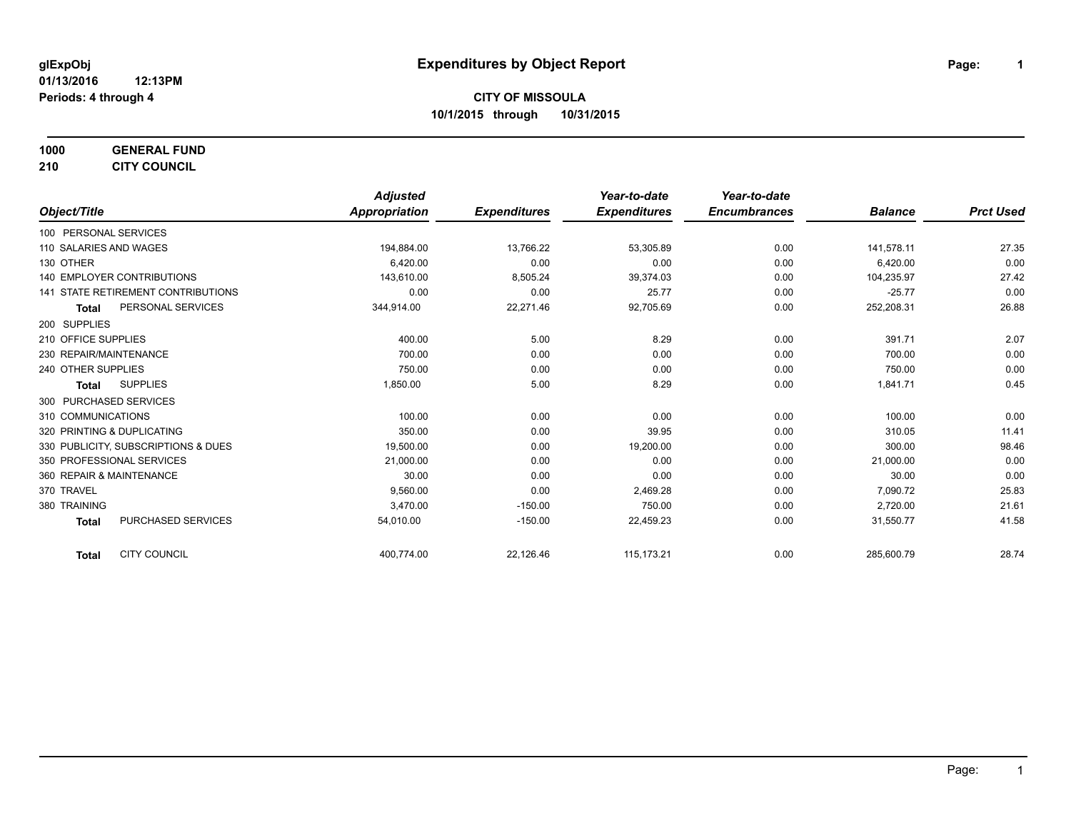**1000 GENERAL FUND 210 CITY COUNCIL**

|                                           | <b>Adjusted</b> |                     | Year-to-date        | Year-to-date        |                |                  |
|-------------------------------------------|-----------------|---------------------|---------------------|---------------------|----------------|------------------|
| Object/Title                              | Appropriation   | <b>Expenditures</b> | <b>Expenditures</b> | <b>Encumbrances</b> | <b>Balance</b> | <b>Prct Used</b> |
| 100 PERSONAL SERVICES                     |                 |                     |                     |                     |                |                  |
| 110 SALARIES AND WAGES                    | 194,884.00      | 13,766.22           | 53,305.89           | 0.00                | 141,578.11     | 27.35            |
| 130 OTHER                                 | 6,420.00        | 0.00                | 0.00                | 0.00                | 6,420.00       | 0.00             |
| 140 EMPLOYER CONTRIBUTIONS                | 143,610.00      | 8,505.24            | 39,374.03           | 0.00                | 104,235.97     | 27.42            |
| <b>141 STATE RETIREMENT CONTRIBUTIONS</b> | 0.00            | 0.00                | 25.77               | 0.00                | $-25.77$       | 0.00             |
| PERSONAL SERVICES<br><b>Total</b>         | 344,914.00      | 22,271.46           | 92,705.69           | 0.00                | 252,208.31     | 26.88            |
| 200 SUPPLIES                              |                 |                     |                     |                     |                |                  |
| 210 OFFICE SUPPLIES                       | 400.00          | 5.00                | 8.29                | 0.00                | 391.71         | 2.07             |
| 230 REPAIR/MAINTENANCE                    | 700.00          | 0.00                | 0.00                | 0.00                | 700.00         | 0.00             |
| 240 OTHER SUPPLIES                        | 750.00          | 0.00                | 0.00                | 0.00                | 750.00         | 0.00             |
| <b>SUPPLIES</b><br>Total                  | 1,850.00        | 5.00                | 8.29                | 0.00                | 1,841.71       | 0.45             |
| 300 PURCHASED SERVICES                    |                 |                     |                     |                     |                |                  |
| 310 COMMUNICATIONS                        | 100.00          | 0.00                | 0.00                | 0.00                | 100.00         | 0.00             |
| 320 PRINTING & DUPLICATING                | 350.00          | 0.00                | 39.95               | 0.00                | 310.05         | 11.41            |
| 330 PUBLICITY, SUBSCRIPTIONS & DUES       | 19,500.00       | 0.00                | 19,200.00           | 0.00                | 300.00         | 98.46            |
| 350 PROFESSIONAL SERVICES                 | 21.000.00       | 0.00                | 0.00                | 0.00                | 21,000.00      | 0.00             |
| 360 REPAIR & MAINTENANCE                  | 30.00           | 0.00                | 0.00                | 0.00                | 30.00          | 0.00             |
| 370 TRAVEL                                | 9.560.00        | 0.00                | 2,469.28            | 0.00                | 7,090.72       | 25.83            |
| 380 TRAINING                              | 3,470.00        | $-150.00$           | 750.00              | 0.00                | 2,720.00       | 21.61            |
| <b>PURCHASED SERVICES</b><br><b>Total</b> | 54,010.00       | $-150.00$           | 22,459.23           | 0.00                | 31,550.77      | 41.58            |
| <b>CITY COUNCIL</b><br><b>Total</b>       | 400,774.00      | 22,126.46           | 115,173.21          | 0.00                | 285,600.79     | 28.74            |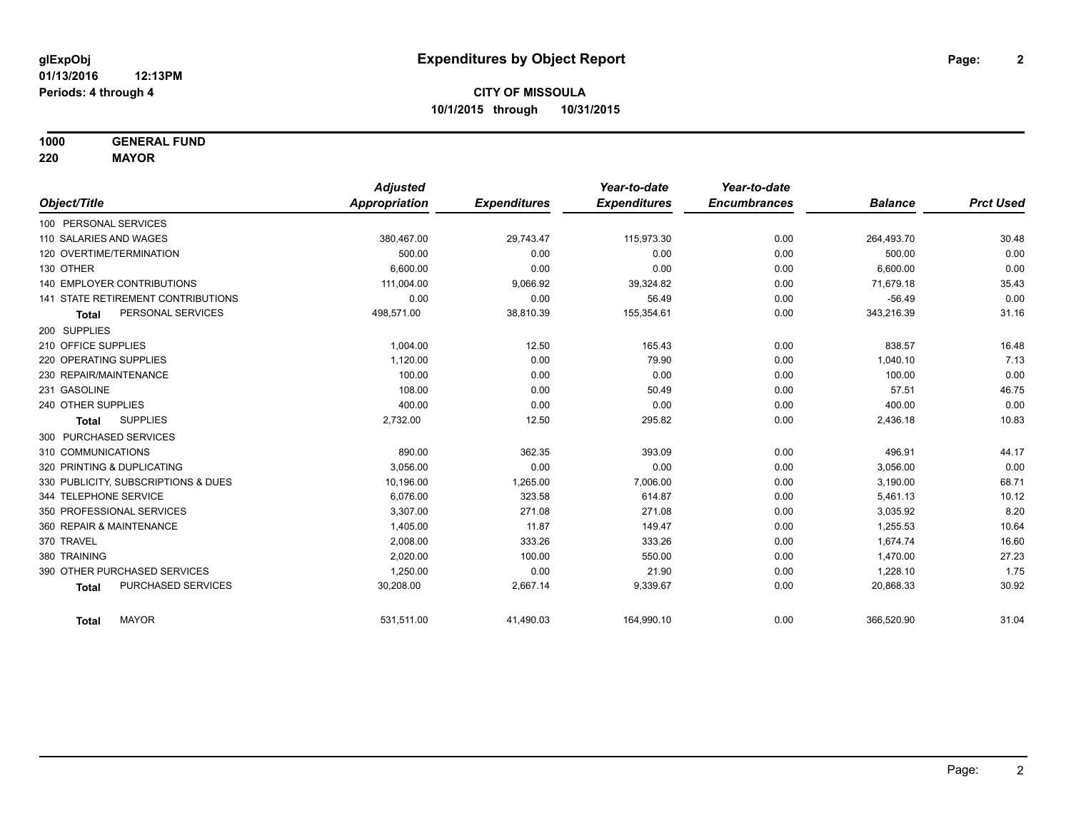**1000 GENERAL FUND**

**220 MAYOR**

|                                     | <b>Adjusted</b> |                     | Year-to-date        | Year-to-date        |                |                  |
|-------------------------------------|-----------------|---------------------|---------------------|---------------------|----------------|------------------|
| Object/Title                        | Appropriation   | <b>Expenditures</b> | <b>Expenditures</b> | <b>Encumbrances</b> | <b>Balance</b> | <b>Prct Used</b> |
| 100 PERSONAL SERVICES               |                 |                     |                     |                     |                |                  |
| 110 SALARIES AND WAGES              | 380,467.00      | 29,743.47           | 115,973.30          | 0.00                | 264,493.70     | 30.48            |
| 120 OVERTIME/TERMINATION            | 500.00          | 0.00                | 0.00                | 0.00                | 500.00         | 0.00             |
| 130 OTHER                           | 6.600.00        | 0.00                | 0.00                | 0.00                | 6,600.00       | 0.00             |
| <b>140 EMPLOYER CONTRIBUTIONS</b>   | 111,004.00      | 9,066.92            | 39,324.82           | 0.00                | 71,679.18      | 35.43            |
| 141 STATE RETIREMENT CONTRIBUTIONS  | 0.00            | 0.00                | 56.49               | 0.00                | $-56.49$       | 0.00             |
| PERSONAL SERVICES<br><b>Total</b>   | 498,571.00      | 38,810.39           | 155,354.61          | 0.00                | 343,216.39     | 31.16            |
| 200 SUPPLIES                        |                 |                     |                     |                     |                |                  |
| 210 OFFICE SUPPLIES                 | 1,004.00        | 12.50               | 165.43              | 0.00                | 838.57         | 16.48            |
| 220 OPERATING SUPPLIES              | 1,120.00        | 0.00                | 79.90               | 0.00                | 1,040.10       | 7.13             |
| 230 REPAIR/MAINTENANCE              | 100.00          | 0.00                | 0.00                | 0.00                | 100.00         | 0.00             |
| 231 GASOLINE                        | 108.00          | 0.00                | 50.49               | 0.00                | 57.51          | 46.75            |
| 240 OTHER SUPPLIES                  | 400.00          | 0.00                | 0.00                | 0.00                | 400.00         | 0.00             |
| <b>SUPPLIES</b><br><b>Total</b>     | 2,732.00        | 12.50               | 295.82              | 0.00                | 2,436.18       | 10.83            |
| 300 PURCHASED SERVICES              |                 |                     |                     |                     |                |                  |
| 310 COMMUNICATIONS                  | 890.00          | 362.35              | 393.09              | 0.00                | 496.91         | 44.17            |
| 320 PRINTING & DUPLICATING          | 3.056.00        | 0.00                | 0.00                | 0.00                | 3,056.00       | 0.00             |
| 330 PUBLICITY, SUBSCRIPTIONS & DUES | 10,196.00       | 1,265.00            | 7,006.00            | 0.00                | 3,190.00       | 68.71            |
| 344 TELEPHONE SERVICE               | 6.076.00        | 323.58              | 614.87              | 0.00                | 5,461.13       | 10.12            |
| 350 PROFESSIONAL SERVICES           | 3,307.00        | 271.08              | 271.08              | 0.00                | 3,035.92       | 8.20             |
| 360 REPAIR & MAINTENANCE            | 1,405.00        | 11.87               | 149.47              | 0.00                | 1,255.53       | 10.64            |
| 370 TRAVEL                          | 2,008.00        | 333.26              | 333.26              | 0.00                | 1,674.74       | 16.60            |
| 380 TRAINING                        | 2,020.00        | 100.00              | 550.00              | 0.00                | 1,470.00       | 27.23            |
| 390 OTHER PURCHASED SERVICES        | 1,250.00        | 0.00                | 21.90               | 0.00                | 1,228.10       | 1.75             |
| PURCHASED SERVICES<br><b>Total</b>  | 30,208.00       | 2,667.14            | 9,339.67            | 0.00                | 20,868.33      | 30.92            |
| <b>MAYOR</b><br><b>Total</b>        | 531,511.00      | 41,490.03           | 164,990.10          | 0.00                | 366,520.90     | 31.04            |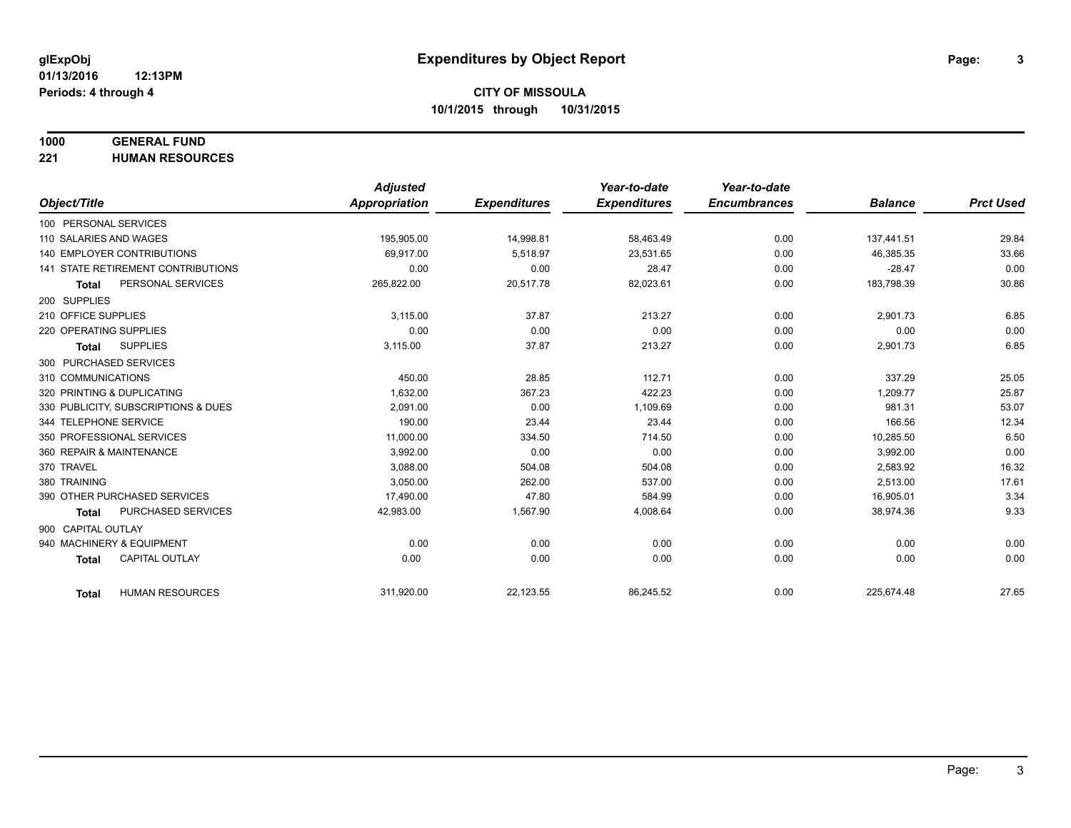# **1000 GENERAL FUND**

**221 HUMAN RESOURCES**

|                            |                                           | <b>Adjusted</b>      |                     | Year-to-date        | Year-to-date        |                |                  |
|----------------------------|-------------------------------------------|----------------------|---------------------|---------------------|---------------------|----------------|------------------|
| Object/Title               |                                           | <b>Appropriation</b> | <b>Expenditures</b> | <b>Expenditures</b> | <b>Encumbrances</b> | <b>Balance</b> | <b>Prct Used</b> |
| 100 PERSONAL SERVICES      |                                           |                      |                     |                     |                     |                |                  |
| 110 SALARIES AND WAGES     |                                           | 195,905.00           | 14,998.81           | 58,463.49           | 0.00                | 137,441.51     | 29.84            |
|                            | <b>140 EMPLOYER CONTRIBUTIONS</b>         | 69.917.00            | 5.518.97            | 23,531.65           | 0.00                | 46,385.35      | 33.66            |
|                            | <b>141 STATE RETIREMENT CONTRIBUTIONS</b> | 0.00                 | 0.00                | 28.47               | 0.00                | $-28.47$       | 0.00             |
| <b>Total</b>               | PERSONAL SERVICES                         | 265,822.00           | 20,517.78           | 82,023.61           | 0.00                | 183,798.39     | 30.86            |
| 200 SUPPLIES               |                                           |                      |                     |                     |                     |                |                  |
| 210 OFFICE SUPPLIES        |                                           | 3,115.00             | 37.87               | 213.27              | 0.00                | 2,901.73       | 6.85             |
| 220 OPERATING SUPPLIES     |                                           | 0.00                 | 0.00                | 0.00                | 0.00                | 0.00           | 0.00             |
| Total                      | <b>SUPPLIES</b>                           | 3,115.00             | 37.87               | 213.27              | 0.00                | 2,901.73       | 6.85             |
| 300 PURCHASED SERVICES     |                                           |                      |                     |                     |                     |                |                  |
| 310 COMMUNICATIONS         |                                           | 450.00               | 28.85               | 112.71              | 0.00                | 337.29         | 25.05            |
| 320 PRINTING & DUPLICATING |                                           | 1.632.00             | 367.23              | 422.23              | 0.00                | 1,209.77       | 25.87            |
|                            | 330 PUBLICITY, SUBSCRIPTIONS & DUES       | 2.091.00             | 0.00                | 1,109.69            | 0.00                | 981.31         | 53.07            |
| 344 TELEPHONE SERVICE      |                                           | 190.00               | 23.44               | 23.44               | 0.00                | 166.56         | 12.34            |
| 350 PROFESSIONAL SERVICES  |                                           | 11,000.00            | 334.50              | 714.50              | 0.00                | 10,285.50      | 6.50             |
| 360 REPAIR & MAINTENANCE   |                                           | 3,992.00             | 0.00                | 0.00                | 0.00                | 3,992.00       | 0.00             |
| 370 TRAVEL                 |                                           | 3.088.00             | 504.08              | 504.08              | 0.00                | 2,583.92       | 16.32            |
| 380 TRAINING               |                                           | 3,050.00             | 262.00              | 537.00              | 0.00                | 2,513.00       | 17.61            |
|                            | 390 OTHER PURCHASED SERVICES              | 17,490.00            | 47.80               | 584.99              | 0.00                | 16,905.01      | 3.34             |
| <b>Total</b>               | PURCHASED SERVICES                        | 42,983.00            | 1,567.90            | 4,008.64            | 0.00                | 38,974.36      | 9.33             |
| 900 CAPITAL OUTLAY         |                                           |                      |                     |                     |                     |                |                  |
| 940 MACHINERY & EQUIPMENT  |                                           | 0.00                 | 0.00                | 0.00                | 0.00                | 0.00           | 0.00             |
| <b>Total</b>               | <b>CAPITAL OUTLAY</b>                     | 0.00                 | 0.00                | 0.00                | 0.00                | 0.00           | 0.00             |
|                            |                                           |                      |                     |                     |                     |                |                  |
| Total                      | <b>HUMAN RESOURCES</b>                    | 311,920.00           | 22,123.55           | 86,245.52           | 0.00                | 225,674.48     | 27.65            |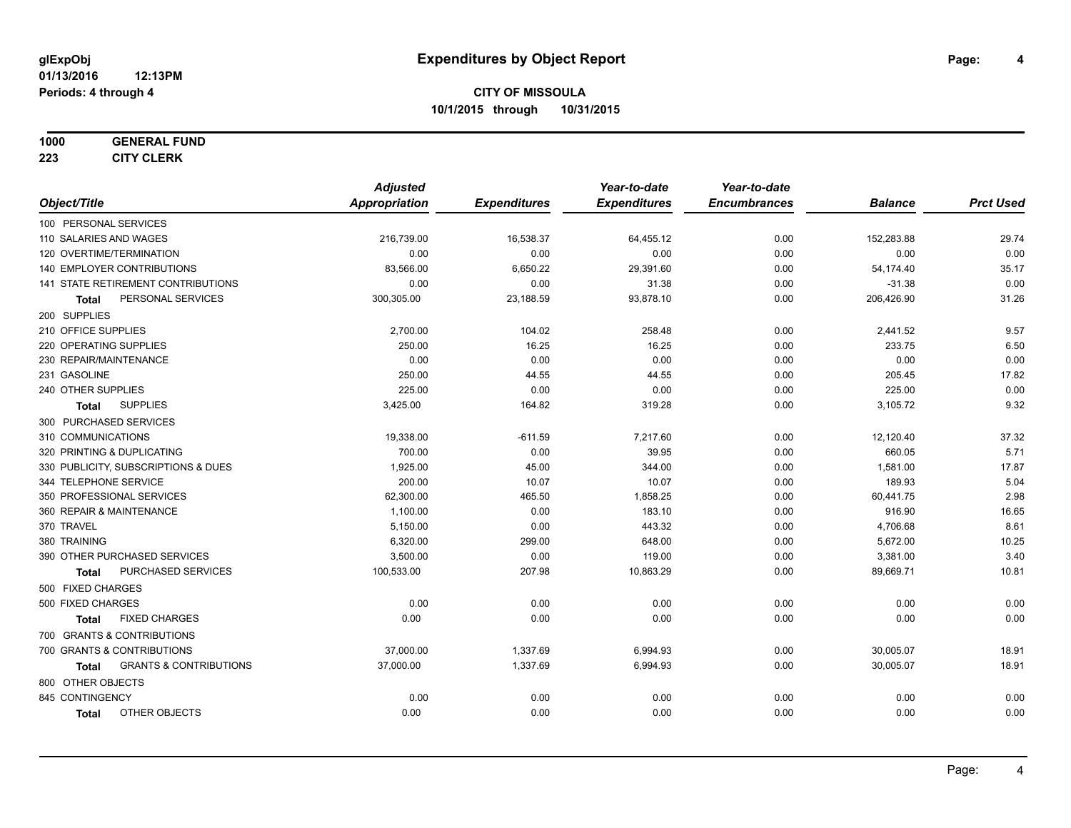#### **1000 GENERAL FUND**

**223 CITY CLERK**

|                                            | <b>Adjusted</b>      |                     | Year-to-date        | Year-to-date        |                |                  |
|--------------------------------------------|----------------------|---------------------|---------------------|---------------------|----------------|------------------|
| Object/Title                               | <b>Appropriation</b> | <b>Expenditures</b> | <b>Expenditures</b> | <b>Encumbrances</b> | <b>Balance</b> | <b>Prct Used</b> |
| 100 PERSONAL SERVICES                      |                      |                     |                     |                     |                |                  |
| 110 SALARIES AND WAGES                     | 216,739.00           | 16,538.37           | 64,455.12           | 0.00                | 152,283.88     | 29.74            |
| 120 OVERTIME/TERMINATION                   | 0.00                 | 0.00                | 0.00                | 0.00                | 0.00           | 0.00             |
| 140 EMPLOYER CONTRIBUTIONS                 | 83,566.00            | 6,650.22            | 29,391.60           | 0.00                | 54,174.40      | 35.17            |
| 141 STATE RETIREMENT CONTRIBUTIONS         | 0.00                 | 0.00                | 31.38               | 0.00                | $-31.38$       | 0.00             |
| PERSONAL SERVICES<br>Total                 | 300,305.00           | 23,188.59           | 93,878.10           | 0.00                | 206,426.90     | 31.26            |
| 200 SUPPLIES                               |                      |                     |                     |                     |                |                  |
| 210 OFFICE SUPPLIES                        | 2,700.00             | 104.02              | 258.48              | 0.00                | 2,441.52       | 9.57             |
| 220 OPERATING SUPPLIES                     | 250.00               | 16.25               | 16.25               | 0.00                | 233.75         | 6.50             |
| 230 REPAIR/MAINTENANCE                     | 0.00                 | 0.00                | 0.00                | 0.00                | 0.00           | 0.00             |
| 231 GASOLINE                               | 250.00               | 44.55               | 44.55               | 0.00                | 205.45         | 17.82            |
| 240 OTHER SUPPLIES                         | 225.00               | 0.00                | 0.00                | 0.00                | 225.00         | 0.00             |
| <b>SUPPLIES</b><br>Total                   | 3,425.00             | 164.82              | 319.28              | 0.00                | 3,105.72       | 9.32             |
| 300 PURCHASED SERVICES                     |                      |                     |                     |                     |                |                  |
| 310 COMMUNICATIONS                         | 19,338.00            | $-611.59$           | 7,217.60            | 0.00                | 12,120.40      | 37.32            |
| 320 PRINTING & DUPLICATING                 | 700.00               | 0.00                | 39.95               | 0.00                | 660.05         | 5.71             |
| 330 PUBLICITY, SUBSCRIPTIONS & DUES        | 1,925.00             | 45.00               | 344.00              | 0.00                | 1,581.00       | 17.87            |
| 344 TELEPHONE SERVICE                      | 200.00               | 10.07               | 10.07               | 0.00                | 189.93         | 5.04             |
| 350 PROFESSIONAL SERVICES                  | 62,300.00            | 465.50              | 1,858.25            | 0.00                | 60,441.75      | 2.98             |
| 360 REPAIR & MAINTENANCE                   | 1,100.00             | 0.00                | 183.10              | 0.00                | 916.90         | 16.65            |
| 370 TRAVEL                                 | 5,150.00             | 0.00                | 443.32              | 0.00                | 4,706.68       | 8.61             |
| 380 TRAINING                               | 6,320.00             | 299.00              | 648.00              | 0.00                | 5,672.00       | 10.25            |
| 390 OTHER PURCHASED SERVICES               | 3,500.00             | 0.00                | 119.00              | 0.00                | 3,381.00       | 3.40             |
| PURCHASED SERVICES<br><b>Total</b>         | 100,533.00           | 207.98              | 10,863.29           | 0.00                | 89,669.71      | 10.81            |
| 500 FIXED CHARGES                          |                      |                     |                     |                     |                |                  |
| 500 FIXED CHARGES                          | 0.00                 | 0.00                | 0.00                | 0.00                | 0.00           | 0.00             |
| <b>FIXED CHARGES</b><br><b>Total</b>       | 0.00                 | 0.00                | 0.00                | 0.00                | 0.00           | 0.00             |
| 700 GRANTS & CONTRIBUTIONS                 |                      |                     |                     |                     |                |                  |
| 700 GRANTS & CONTRIBUTIONS                 | 37,000.00            | 1,337.69            | 6,994.93            | 0.00                | 30,005.07      | 18.91            |
| <b>GRANTS &amp; CONTRIBUTIONS</b><br>Total | 37,000.00            | 1,337.69            | 6,994.93            | 0.00                | 30,005.07      | 18.91            |
| 800 OTHER OBJECTS                          |                      |                     |                     |                     |                |                  |
| 845 CONTINGENCY                            | 0.00                 | 0.00                | 0.00                | 0.00                | 0.00           | 0.00             |
| <b>OTHER OBJECTS</b><br><b>Total</b>       | 0.00                 | 0.00                | 0.00                | 0.00                | 0.00           | 0.00             |
|                                            |                      |                     |                     |                     |                |                  |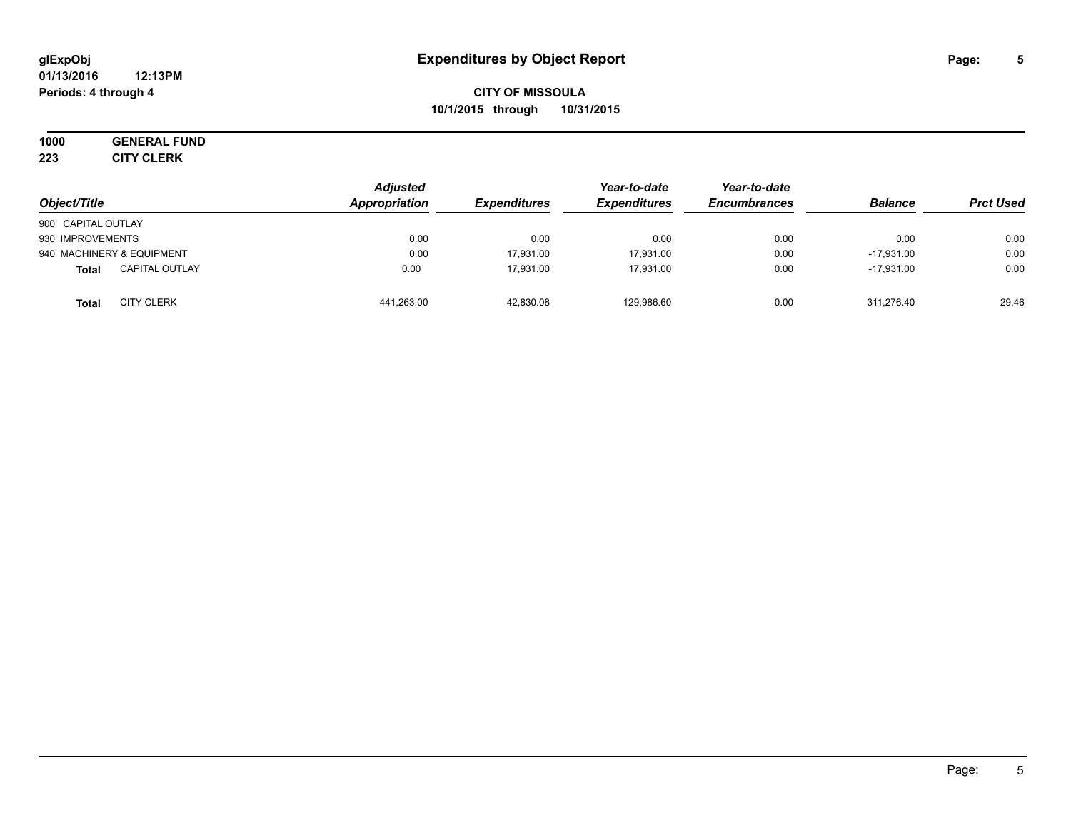#### **01/13/2016 12:13PM Periods: 4 through 4**

# **CITY OF MISSOULA 10/1/2015 through 10/31/2015**

# **1000 GENERAL FUND**

**223 CITY CLERK**

| Object/Title                      | <b>Adjusted</b><br>Appropriation | <b>Expenditures</b> | Year-to-date<br><b>Expenditures</b> | Year-to-date<br><b>Encumbrances</b> | <b>Balance</b> | <b>Prct Used</b> |
|-----------------------------------|----------------------------------|---------------------|-------------------------------------|-------------------------------------|----------------|------------------|
| 900 CAPITAL OUTLAY                |                                  |                     |                                     |                                     |                |                  |
| 930 IMPROVEMENTS                  | 0.00                             | 0.00                | 0.00                                | 0.00                                | 0.00           | 0.00             |
| 940 MACHINERY & EQUIPMENT         | 0.00                             | 17,931.00           | 17,931.00                           | 0.00                                | $-17.931.00$   | 0.00             |
| <b>CAPITAL OUTLAY</b><br>Total    | 0.00                             | 17.931.00           | 17.931.00                           | 0.00                                | $-17.931.00$   | 0.00             |
| <b>CITY CLERK</b><br><b>Total</b> | 441,263.00                       | 42,830.08           | 129,986.60                          | 0.00                                | 311.276.40     | 29.46            |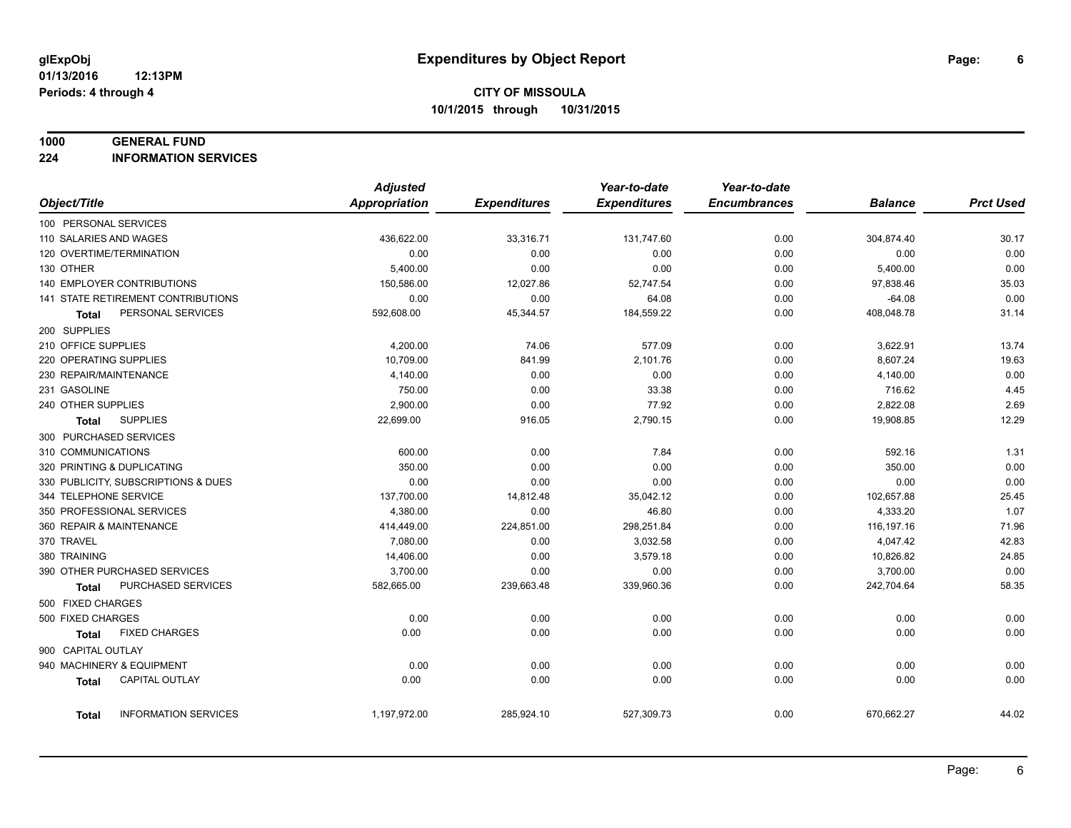#### **1000 GENERAL FUND**

**224 INFORMATION SERVICES**

|                                       | <b>Adjusted</b>      |                     | Year-to-date        | Year-to-date        |                |                  |
|---------------------------------------|----------------------|---------------------|---------------------|---------------------|----------------|------------------|
| Object/Title                          | <b>Appropriation</b> | <b>Expenditures</b> | <b>Expenditures</b> | <b>Encumbrances</b> | <b>Balance</b> | <b>Prct Used</b> |
| 100 PERSONAL SERVICES                 |                      |                     |                     |                     |                |                  |
| 110 SALARIES AND WAGES                | 436,622.00           | 33,316.71           | 131,747.60          | 0.00                | 304,874.40     | 30.17            |
| 120 OVERTIME/TERMINATION              | 0.00                 | 0.00                | 0.00                | 0.00                | 0.00           | 0.00             |
| 130 OTHER                             | 5,400.00             | 0.00                | 0.00                | 0.00                | 5,400.00       | 0.00             |
| 140 EMPLOYER CONTRIBUTIONS            | 150,586.00           | 12,027.86           | 52,747.54           | 0.00                | 97,838.46      | 35.03            |
| 141 STATE RETIREMENT CONTRIBUTIONS    | 0.00                 | 0.00                | 64.08               | 0.00                | $-64.08$       | 0.00             |
| PERSONAL SERVICES<br>Total            | 592,608.00           | 45,344.57           | 184,559.22          | 0.00                | 408,048.78     | 31.14            |
| 200 SUPPLIES                          |                      |                     |                     |                     |                |                  |
| 210 OFFICE SUPPLIES                   | 4,200.00             | 74.06               | 577.09              | 0.00                | 3,622.91       | 13.74            |
| 220 OPERATING SUPPLIES                | 10,709.00            | 841.99              | 2,101.76            | 0.00                | 8,607.24       | 19.63            |
| 230 REPAIR/MAINTENANCE                | 4,140.00             | 0.00                | 0.00                | 0.00                | 4,140.00       | 0.00             |
| 231 GASOLINE                          | 750.00               | 0.00                | 33.38               | 0.00                | 716.62         | 4.45             |
| 240 OTHER SUPPLIES                    | 2,900.00             | 0.00                | 77.92               | 0.00                | 2,822.08       | 2.69             |
| <b>SUPPLIES</b><br>Total              | 22,699.00            | 916.05              | 2,790.15            | 0.00                | 19,908.85      | 12.29            |
| 300 PURCHASED SERVICES                |                      |                     |                     |                     |                |                  |
| 310 COMMUNICATIONS                    | 600.00               | 0.00                | 7.84                | 0.00                | 592.16         | 1.31             |
| 320 PRINTING & DUPLICATING            | 350.00               | 0.00                | 0.00                | 0.00                | 350.00         | 0.00             |
| 330 PUBLICITY, SUBSCRIPTIONS & DUES   | 0.00                 | 0.00                | 0.00                | 0.00                | 0.00           | 0.00             |
| 344 TELEPHONE SERVICE                 | 137,700.00           | 14,812.48           | 35,042.12           | 0.00                | 102,657.88     | 25.45            |
| 350 PROFESSIONAL SERVICES             | 4,380.00             | 0.00                | 46.80               | 0.00                | 4,333.20       | 1.07             |
| 360 REPAIR & MAINTENANCE              | 414,449.00           | 224,851.00          | 298,251.84          | 0.00                | 116,197.16     | 71.96            |
| 370 TRAVEL                            | 7,080.00             | 0.00                | 3,032.58            | 0.00                | 4,047.42       | 42.83            |
| 380 TRAINING                          | 14,406.00            | 0.00                | 3,579.18            | 0.00                | 10,826.82      | 24.85            |
| 390 OTHER PURCHASED SERVICES          | 3,700.00             | 0.00                | 0.00                | 0.00                | 3,700.00       | 0.00             |
| PURCHASED SERVICES<br><b>Total</b>    | 582,665.00           | 239,663.48          | 339,960.36          | 0.00                | 242,704.64     | 58.35            |
| 500 FIXED CHARGES                     |                      |                     |                     |                     |                |                  |
| 500 FIXED CHARGES                     | 0.00                 | 0.00                | 0.00                | 0.00                | 0.00           | 0.00             |
| <b>FIXED CHARGES</b><br>Total         | 0.00                 | 0.00                | 0.00                | 0.00                | 0.00           | 0.00             |
| 900 CAPITAL OUTLAY                    |                      |                     |                     |                     |                |                  |
| 940 MACHINERY & EQUIPMENT             | 0.00                 | 0.00                | 0.00                | 0.00                | 0.00           | 0.00             |
| <b>CAPITAL OUTLAY</b><br><b>Total</b> | 0.00                 | 0.00                | 0.00                | 0.00                | 0.00           | 0.00             |
|                                       |                      |                     |                     |                     |                |                  |
| <b>INFORMATION SERVICES</b><br>Total  | 1,197,972.00         | 285,924.10          | 527,309.73          | 0.00                | 670,662.27     | 44.02            |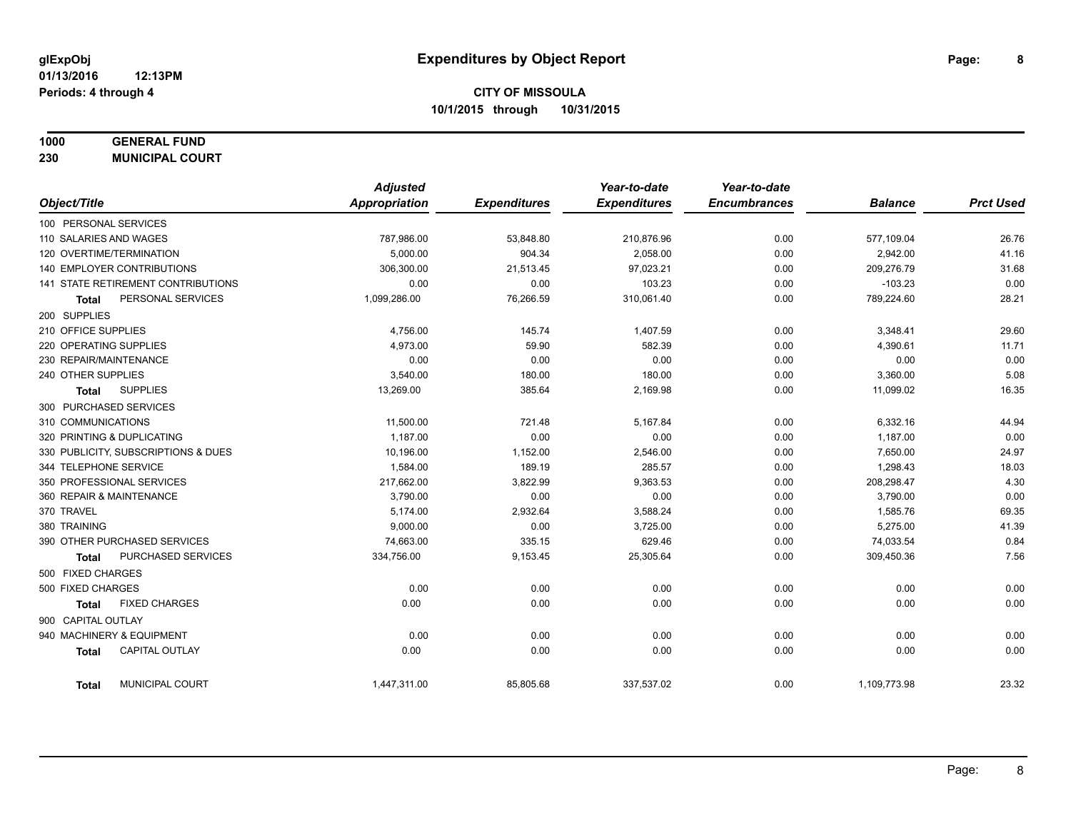# **1000 GENERAL FUND**

**230 MUNICIPAL COURT**

|                                       | <b>Adjusted</b> |                     | Year-to-date        | Year-to-date        |                |                  |
|---------------------------------------|-----------------|---------------------|---------------------|---------------------|----------------|------------------|
| Object/Title                          | Appropriation   | <b>Expenditures</b> | <b>Expenditures</b> | <b>Encumbrances</b> | <b>Balance</b> | <b>Prct Used</b> |
| 100 PERSONAL SERVICES                 |                 |                     |                     |                     |                |                  |
| 110 SALARIES AND WAGES                | 787,986.00      | 53,848.80           | 210,876.96          | 0.00                | 577,109.04     | 26.76            |
| 120 OVERTIME/TERMINATION              | 5.000.00        | 904.34              | 2.058.00            | 0.00                | 2,942.00       | 41.16            |
| 140 EMPLOYER CONTRIBUTIONS            | 306,300.00      | 21,513.45           | 97,023.21           | 0.00                | 209,276.79     | 31.68            |
| 141 STATE RETIREMENT CONTRIBUTIONS    | 0.00            | 0.00                | 103.23              | 0.00                | $-103.23$      | 0.00             |
| PERSONAL SERVICES<br><b>Total</b>     | 1,099,286.00    | 76,266.59           | 310,061.40          | 0.00                | 789,224.60     | 28.21            |
| 200 SUPPLIES                          |                 |                     |                     |                     |                |                  |
| 210 OFFICE SUPPLIES                   | 4,756.00        | 145.74              | 1,407.59            | 0.00                | 3,348.41       | 29.60            |
| 220 OPERATING SUPPLIES                | 4,973.00        | 59.90               | 582.39              | 0.00                | 4,390.61       | 11.71            |
| 230 REPAIR/MAINTENANCE                | 0.00            | 0.00                | 0.00                | 0.00                | 0.00           | 0.00             |
| 240 OTHER SUPPLIES                    | 3,540.00        | 180.00              | 180.00              | 0.00                | 3,360.00       | 5.08             |
| <b>SUPPLIES</b><br>Total              | 13,269.00       | 385.64              | 2,169.98            | 0.00                | 11,099.02      | 16.35            |
| 300 PURCHASED SERVICES                |                 |                     |                     |                     |                |                  |
| 310 COMMUNICATIONS                    | 11,500.00       | 721.48              | 5,167.84            | 0.00                | 6,332.16       | 44.94            |
| 320 PRINTING & DUPLICATING            | 1,187.00        | 0.00                | 0.00                | 0.00                | 1,187.00       | 0.00             |
| 330 PUBLICITY, SUBSCRIPTIONS & DUES   | 10,196.00       | 1,152.00            | 2,546.00            | 0.00                | 7,650.00       | 24.97            |
| 344 TELEPHONE SERVICE                 | 1,584.00        | 189.19              | 285.57              | 0.00                | 1,298.43       | 18.03            |
| 350 PROFESSIONAL SERVICES             | 217,662.00      | 3,822.99            | 9,363.53            | 0.00                | 208,298.47     | 4.30             |
| 360 REPAIR & MAINTENANCE              | 3,790.00        | 0.00                | 0.00                | 0.00                | 3,790.00       | 0.00             |
| 370 TRAVEL                            | 5,174.00        | 2,932.64            | 3,588.24            | 0.00                | 1,585.76       | 69.35            |
| 380 TRAINING                          | 9,000.00        | 0.00                | 3,725.00            | 0.00                | 5,275.00       | 41.39            |
| 390 OTHER PURCHASED SERVICES          | 74,663.00       | 335.15              | 629.46              | 0.00                | 74,033.54      | 0.84             |
| PURCHASED SERVICES<br><b>Total</b>    | 334,756.00      | 9,153.45            | 25,305.64           | 0.00                | 309,450.36     | 7.56             |
| 500 FIXED CHARGES                     |                 |                     |                     |                     |                |                  |
| 500 FIXED CHARGES                     | 0.00            | 0.00                | 0.00                | 0.00                | 0.00           | 0.00             |
| <b>FIXED CHARGES</b><br>Total         | 0.00            | 0.00                | 0.00                | 0.00                | 0.00           | 0.00             |
| 900 CAPITAL OUTLAY                    |                 |                     |                     |                     |                |                  |
| 940 MACHINERY & EQUIPMENT             | 0.00            | 0.00                | 0.00                | 0.00                | 0.00           | 0.00             |
| <b>CAPITAL OUTLAY</b><br><b>Total</b> | 0.00            | 0.00                | 0.00                | 0.00                | 0.00           | 0.00             |
| MUNICIPAL COURT<br><b>Total</b>       | 1,447,311.00    | 85,805.68           | 337,537.02          | 0.00                | 1,109,773.98   | 23.32            |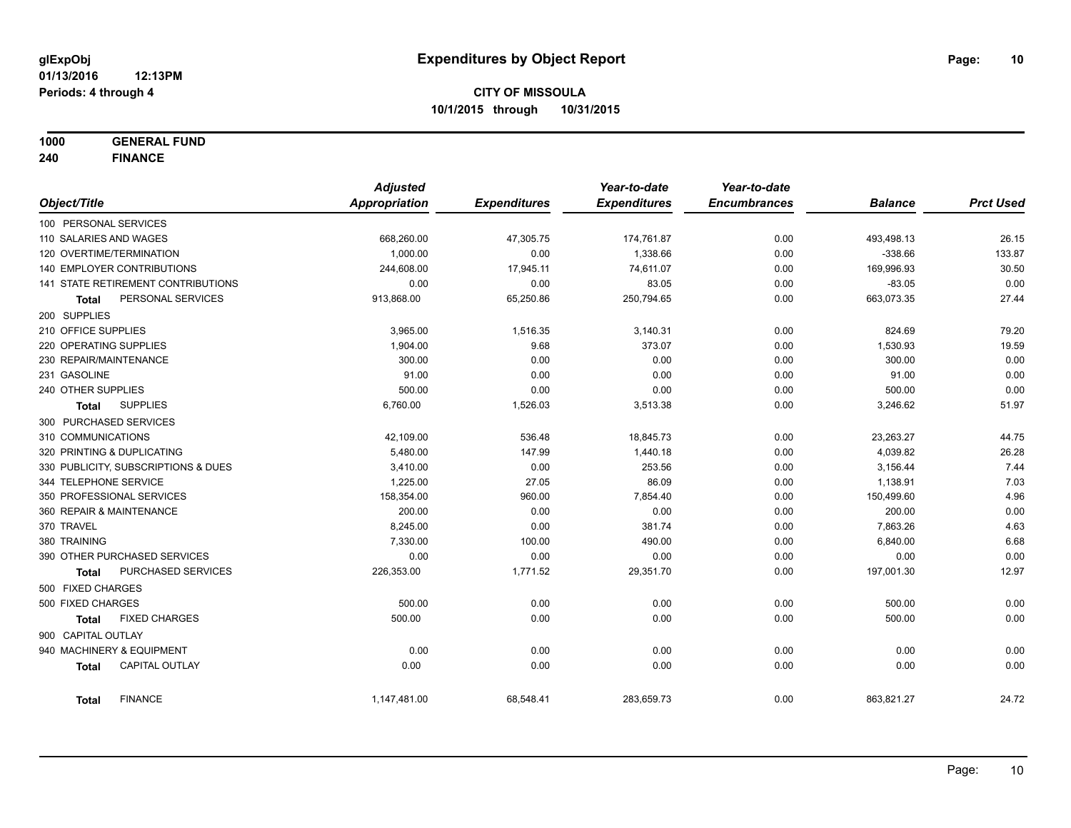**1000 GENERAL FUND**

**240 FINANCE**

|                            |                                     | <b>Adjusted</b>      |                     | Year-to-date        | Year-to-date        |                |                  |
|----------------------------|-------------------------------------|----------------------|---------------------|---------------------|---------------------|----------------|------------------|
| Object/Title               |                                     | <b>Appropriation</b> | <b>Expenditures</b> | <b>Expenditures</b> | <b>Encumbrances</b> | <b>Balance</b> | <b>Prct Used</b> |
| 100 PERSONAL SERVICES      |                                     |                      |                     |                     |                     |                |                  |
| 110 SALARIES AND WAGES     |                                     | 668,260.00           | 47,305.75           | 174,761.87          | 0.00                | 493,498.13     | 26.15            |
| 120 OVERTIME/TERMINATION   |                                     | 1,000.00             | 0.00                | 1,338.66            | 0.00                | $-338.66$      | 133.87           |
|                            | 140 EMPLOYER CONTRIBUTIONS          | 244,608.00           | 17,945.11           | 74,611.07           | 0.00                | 169,996.93     | 30.50            |
|                            | 141 STATE RETIREMENT CONTRIBUTIONS  | 0.00                 | 0.00                | 83.05               | 0.00                | $-83.05$       | 0.00             |
| <b>Total</b>               | PERSONAL SERVICES                   | 913,868.00           | 65,250.86           | 250,794.65          | 0.00                | 663,073.35     | 27.44            |
| 200 SUPPLIES               |                                     |                      |                     |                     |                     |                |                  |
| 210 OFFICE SUPPLIES        |                                     | 3,965.00             | 1,516.35            | 3,140.31            | 0.00                | 824.69         | 79.20            |
| 220 OPERATING SUPPLIES     |                                     | 1,904.00             | 9.68                | 373.07              | 0.00                | 1,530.93       | 19.59            |
| 230 REPAIR/MAINTENANCE     |                                     | 300.00               | 0.00                | 0.00                | 0.00                | 300.00         | 0.00             |
| 231 GASOLINE               |                                     | 91.00                | 0.00                | 0.00                | 0.00                | 91.00          | 0.00             |
| 240 OTHER SUPPLIES         |                                     | 500.00               | 0.00                | 0.00                | 0.00                | 500.00         | 0.00             |
| <b>Total</b>               | <b>SUPPLIES</b>                     | 6,760.00             | 1,526.03            | 3,513.38            | 0.00                | 3,246.62       | 51.97            |
| 300 PURCHASED SERVICES     |                                     |                      |                     |                     |                     |                |                  |
| 310 COMMUNICATIONS         |                                     | 42,109.00            | 536.48              | 18,845.73           | 0.00                | 23,263.27      | 44.75            |
| 320 PRINTING & DUPLICATING |                                     | 5,480.00             | 147.99              | 1,440.18            | 0.00                | 4,039.82       | 26.28            |
|                            | 330 PUBLICITY, SUBSCRIPTIONS & DUES | 3,410.00             | 0.00                | 253.56              | 0.00                | 3,156.44       | 7.44             |
| 344 TELEPHONE SERVICE      |                                     | 1,225.00             | 27.05               | 86.09               | 0.00                | 1,138.91       | 7.03             |
|                            | 350 PROFESSIONAL SERVICES           | 158,354.00           | 960.00              | 7,854.40            | 0.00                | 150,499.60     | 4.96             |
| 360 REPAIR & MAINTENANCE   |                                     | 200.00               | 0.00                | 0.00                | 0.00                | 200.00         | 0.00             |
| 370 TRAVEL                 |                                     | 8,245.00             | 0.00                | 381.74              | 0.00                | 7,863.26       | 4.63             |
| 380 TRAINING               |                                     | 7,330.00             | 100.00              | 490.00              | 0.00                | 6,840.00       | 6.68             |
|                            | 390 OTHER PURCHASED SERVICES        | 0.00                 | 0.00                | 0.00                | 0.00                | 0.00           | 0.00             |
| <b>Total</b>               | PURCHASED SERVICES                  | 226,353.00           | 1,771.52            | 29,351.70           | 0.00                | 197,001.30     | 12.97            |
| 500 FIXED CHARGES          |                                     |                      |                     |                     |                     |                |                  |
| 500 FIXED CHARGES          |                                     | 500.00               | 0.00                | 0.00                | 0.00                | 500.00         | 0.00             |
| <b>Total</b>               | <b>FIXED CHARGES</b>                | 500.00               | 0.00                | 0.00                | 0.00                | 500.00         | 0.00             |
| 900 CAPITAL OUTLAY         |                                     |                      |                     |                     |                     |                |                  |
| 940 MACHINERY & EQUIPMENT  |                                     | 0.00                 | 0.00                | 0.00                | 0.00                | 0.00           | 0.00             |
| <b>Total</b>               | <b>CAPITAL OUTLAY</b>               | 0.00                 | 0.00                | 0.00                | 0.00                | 0.00           | 0.00             |
| <b>Total</b>               | <b>FINANCE</b>                      | 1,147,481.00         | 68,548.41           | 283,659.73          | 0.00                | 863,821.27     | 24.72            |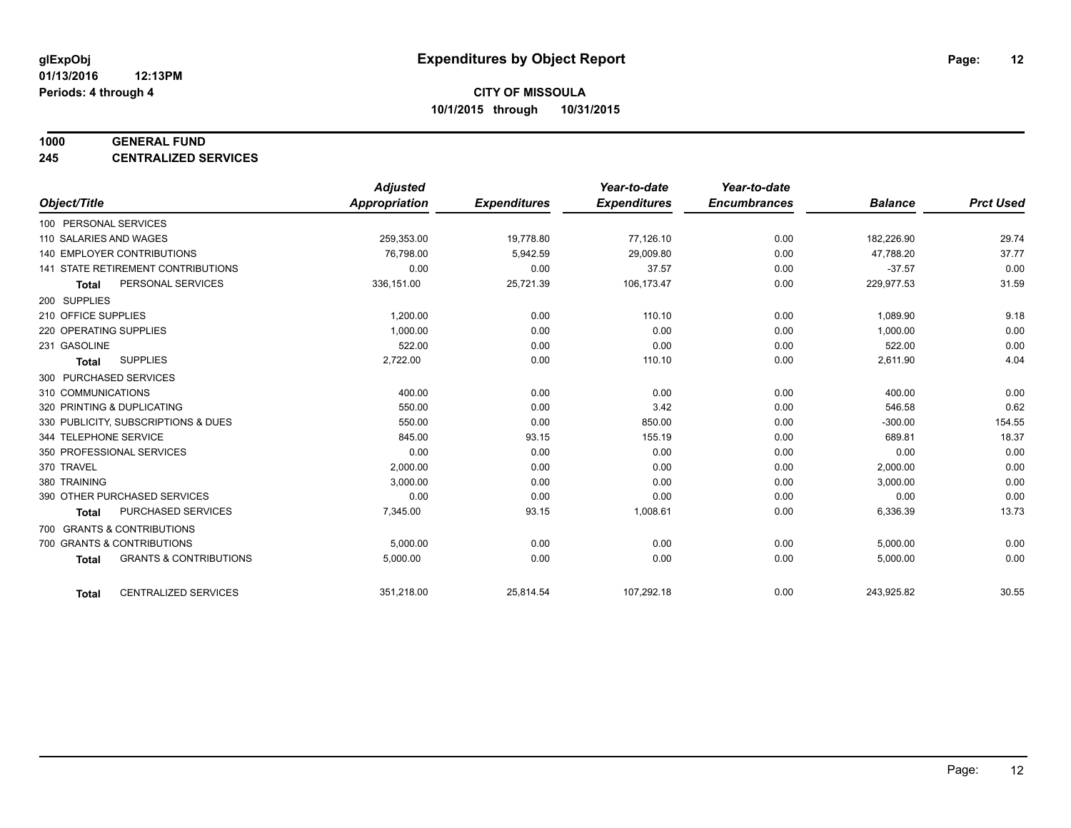#### **1000 GENERAL FUND**

**245 CENTRALIZED SERVICES**

|                                                   | <b>Adjusted</b>      |                     | Year-to-date        | Year-to-date        |                |                  |
|---------------------------------------------------|----------------------|---------------------|---------------------|---------------------|----------------|------------------|
| Object/Title                                      | <b>Appropriation</b> | <b>Expenditures</b> | <b>Expenditures</b> | <b>Encumbrances</b> | <b>Balance</b> | <b>Prct Used</b> |
| 100 PERSONAL SERVICES                             |                      |                     |                     |                     |                |                  |
| 110 SALARIES AND WAGES                            | 259,353.00           | 19,778.80           | 77,126.10           | 0.00                | 182,226.90     | 29.74            |
| <b>140 EMPLOYER CONTRIBUTIONS</b>                 | 76,798.00            | 5,942.59            | 29,009.80           | 0.00                | 47,788.20      | 37.77            |
| 141 STATE RETIREMENT CONTRIBUTIONS                | 0.00                 | 0.00                | 37.57               | 0.00                | $-37.57$       | 0.00             |
| PERSONAL SERVICES<br><b>Total</b>                 | 336,151.00           | 25,721.39           | 106,173.47          | 0.00                | 229,977.53     | 31.59            |
| 200 SUPPLIES                                      |                      |                     |                     |                     |                |                  |
| 210 OFFICE SUPPLIES                               | 1,200.00             | 0.00                | 110.10              | 0.00                | 1,089.90       | 9.18             |
| 220 OPERATING SUPPLIES                            | 1.000.00             | 0.00                | 0.00                | 0.00                | 1,000.00       | 0.00             |
| 231 GASOLINE                                      | 522.00               | 0.00                | 0.00                | 0.00                | 522.00         | 0.00             |
| <b>SUPPLIES</b><br><b>Total</b>                   | 2,722.00             | 0.00                | 110.10              | 0.00                | 2,611.90       | 4.04             |
| 300 PURCHASED SERVICES                            |                      |                     |                     |                     |                |                  |
| 310 COMMUNICATIONS                                | 400.00               | 0.00                | 0.00                | 0.00                | 400.00         | 0.00             |
| 320 PRINTING & DUPLICATING                        | 550.00               | 0.00                | 3.42                | 0.00                | 546.58         | 0.62             |
| 330 PUBLICITY, SUBSCRIPTIONS & DUES               | 550.00               | 0.00                | 850.00              | 0.00                | $-300.00$      | 154.55           |
| 344 TELEPHONE SERVICE                             | 845.00               | 93.15               | 155.19              | 0.00                | 689.81         | 18.37            |
| 350 PROFESSIONAL SERVICES                         | 0.00                 | 0.00                | 0.00                | 0.00                | 0.00           | 0.00             |
| 370 TRAVEL                                        | 2,000.00             | 0.00                | 0.00                | 0.00                | 2,000.00       | 0.00             |
| 380 TRAINING                                      | 3,000.00             | 0.00                | 0.00                | 0.00                | 3,000.00       | 0.00             |
| 390 OTHER PURCHASED SERVICES                      | 0.00                 | 0.00                | 0.00                | 0.00                | 0.00           | 0.00             |
| <b>PURCHASED SERVICES</b><br><b>Total</b>         | 7,345.00             | 93.15               | 1,008.61            | 0.00                | 6,336.39       | 13.73            |
| 700 GRANTS & CONTRIBUTIONS                        |                      |                     |                     |                     |                |                  |
| 700 GRANTS & CONTRIBUTIONS                        | 5,000.00             | 0.00                | 0.00                | 0.00                | 5,000.00       | 0.00             |
| <b>GRANTS &amp; CONTRIBUTIONS</b><br><b>Total</b> | 5,000.00             | 0.00                | 0.00                | 0.00                | 5,000.00       | 0.00             |
|                                                   |                      |                     |                     |                     |                |                  |
| <b>CENTRALIZED SERVICES</b><br><b>Total</b>       | 351,218.00           | 25,814.54           | 107,292.18          | 0.00                | 243,925.82     | 30.55            |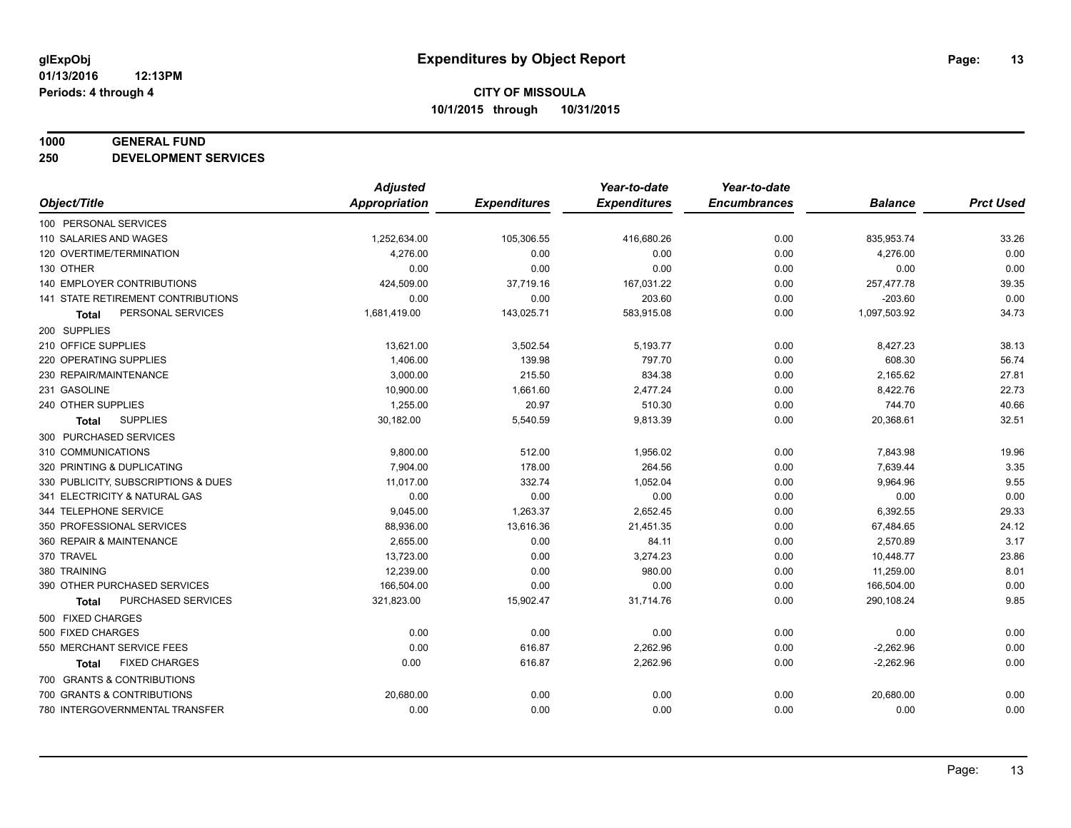#### **1000 GENERAL FUND**

**250 DEVELOPMENT SERVICES**

|                                     | <b>Adjusted</b> |                     | Year-to-date        | Year-to-date        |                |                  |
|-------------------------------------|-----------------|---------------------|---------------------|---------------------|----------------|------------------|
| Object/Title                        | Appropriation   | <b>Expenditures</b> | <b>Expenditures</b> | <b>Encumbrances</b> | <b>Balance</b> | <b>Prct Used</b> |
| 100 PERSONAL SERVICES               |                 |                     |                     |                     |                |                  |
| 110 SALARIES AND WAGES              | 1,252,634.00    | 105,306.55          | 416,680.26          | 0.00                | 835,953.74     | 33.26            |
| 120 OVERTIME/TERMINATION            | 4,276.00        | 0.00                | 0.00                | 0.00                | 4,276.00       | 0.00             |
| 130 OTHER                           | 0.00            | 0.00                | 0.00                | 0.00                | 0.00           | 0.00             |
| 140 EMPLOYER CONTRIBUTIONS          | 424,509.00      | 37,719.16           | 167,031.22          | 0.00                | 257,477.78     | 39.35            |
| 141 STATE RETIREMENT CONTRIBUTIONS  | 0.00            | 0.00                | 203.60              | 0.00                | $-203.60$      | 0.00             |
| PERSONAL SERVICES<br>Total          | 1,681,419.00    | 143,025.71          | 583,915.08          | 0.00                | 1,097,503.92   | 34.73            |
| 200 SUPPLIES                        |                 |                     |                     |                     |                |                  |
| 210 OFFICE SUPPLIES                 | 13,621.00       | 3,502.54            | 5,193.77            | 0.00                | 8,427.23       | 38.13            |
| 220 OPERATING SUPPLIES              | 1,406.00        | 139.98              | 797.70              | 0.00                | 608.30         | 56.74            |
| 230 REPAIR/MAINTENANCE              | 3,000.00        | 215.50              | 834.38              | 0.00                | 2,165.62       | 27.81            |
| 231 GASOLINE                        | 10,900.00       | 1,661.60            | 2,477.24            | 0.00                | 8,422.76       | 22.73            |
| 240 OTHER SUPPLIES                  | 1,255.00        | 20.97               | 510.30              | 0.00                | 744.70         | 40.66            |
| <b>SUPPLIES</b><br><b>Total</b>     | 30,182.00       | 5,540.59            | 9,813.39            | 0.00                | 20,368.61      | 32.51            |
| 300 PURCHASED SERVICES              |                 |                     |                     |                     |                |                  |
| 310 COMMUNICATIONS                  | 9,800.00        | 512.00              | 1,956.02            | 0.00                | 7,843.98       | 19.96            |
| 320 PRINTING & DUPLICATING          | 7,904.00        | 178.00              | 264.56              | 0.00                | 7,639.44       | 3.35             |
| 330 PUBLICITY, SUBSCRIPTIONS & DUES | 11,017.00       | 332.74              | 1,052.04            | 0.00                | 9,964.96       | 9.55             |
| 341 ELECTRICITY & NATURAL GAS       | 0.00            | 0.00                | 0.00                | 0.00                | 0.00           | 0.00             |
| 344 TELEPHONE SERVICE               | 9,045.00        | 1,263.37            | 2,652.45            | 0.00                | 6,392.55       | 29.33            |
| 350 PROFESSIONAL SERVICES           | 88,936.00       | 13,616.36           | 21,451.35           | 0.00                | 67,484.65      | 24.12            |
| 360 REPAIR & MAINTENANCE            | 2,655.00        | 0.00                | 84.11               | 0.00                | 2,570.89       | 3.17             |
| 370 TRAVEL                          | 13,723.00       | 0.00                | 3,274.23            | 0.00                | 10,448.77      | 23.86            |
| 380 TRAINING                        | 12,239.00       | 0.00                | 980.00              | 0.00                | 11,259.00      | 8.01             |
| 390 OTHER PURCHASED SERVICES        | 166,504.00      | 0.00                | 0.00                | 0.00                | 166,504.00     | 0.00             |
| PURCHASED SERVICES<br><b>Total</b>  | 321,823.00      | 15,902.47           | 31,714.76           | 0.00                | 290,108.24     | 9.85             |
| 500 FIXED CHARGES                   |                 |                     |                     |                     |                |                  |
| 500 FIXED CHARGES                   | 0.00            | 0.00                | 0.00                | 0.00                | 0.00           | 0.00             |
| 550 MERCHANT SERVICE FEES           | 0.00            | 616.87              | 2,262.96            | 0.00                | $-2,262.96$    | 0.00             |
| <b>FIXED CHARGES</b><br>Total       | 0.00            | 616.87              | 2,262.96            | 0.00                | $-2,262.96$    | 0.00             |
| 700 GRANTS & CONTRIBUTIONS          |                 |                     |                     |                     |                |                  |
| 700 GRANTS & CONTRIBUTIONS          | 20,680.00       | 0.00                | 0.00                | 0.00                | 20,680.00      | 0.00             |
| 780 INTERGOVERNMENTAL TRANSFER      | 0.00            | 0.00                | 0.00                | 0.00                | 0.00           | 0.00             |
|                                     |                 |                     |                     |                     |                |                  |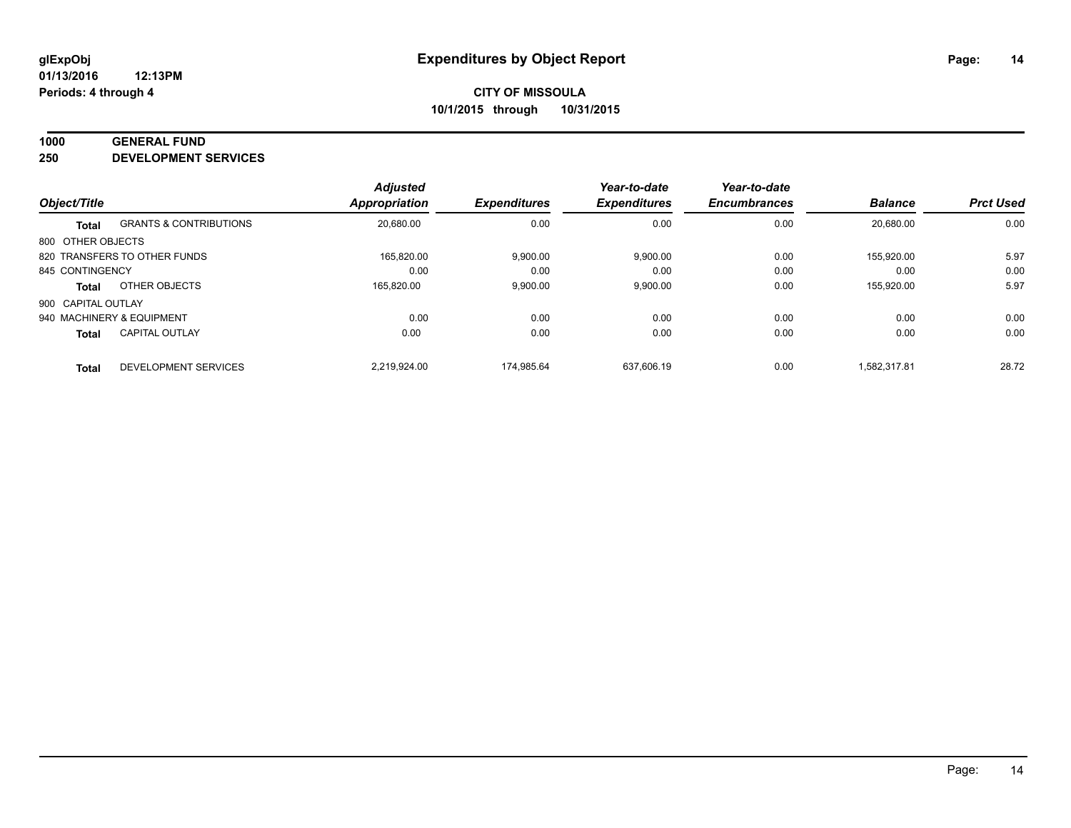#### **1000 GENERAL FUND**

**250 DEVELOPMENT SERVICES**

| Object/Title              |                                   | <b>Adjusted</b><br><b>Appropriation</b> | <b>Expenditures</b> | Year-to-date<br><b>Expenditures</b> | Year-to-date<br><b>Encumbrances</b> | <b>Balance</b> | <b>Prct Used</b> |
|---------------------------|-----------------------------------|-----------------------------------------|---------------------|-------------------------------------|-------------------------------------|----------------|------------------|
|                           |                                   |                                         |                     |                                     |                                     |                |                  |
| <b>Total</b>              | <b>GRANTS &amp; CONTRIBUTIONS</b> | 20,680.00                               | 0.00                | 0.00                                | 0.00                                | 20.680.00      | 0.00             |
| 800 OTHER OBJECTS         |                                   |                                         |                     |                                     |                                     |                |                  |
|                           | 820 TRANSFERS TO OTHER FUNDS      | 165.820.00                              | 9,900.00            | 9,900.00                            | 0.00                                | 155.920.00     | 5.97             |
| 845 CONTINGENCY           |                                   | 0.00                                    | 0.00                | 0.00                                | 0.00                                | 0.00           | 0.00             |
| <b>Total</b>              | OTHER OBJECTS                     | 165.820.00                              | 9,900.00            | 9,900.00                            | 0.00                                | 155.920.00     | 5.97             |
| 900 CAPITAL OUTLAY        |                                   |                                         |                     |                                     |                                     |                |                  |
| 940 MACHINERY & EQUIPMENT |                                   | 0.00                                    | 0.00                | 0.00                                | 0.00                                | 0.00           | 0.00             |
| <b>Total</b>              | <b>CAPITAL OUTLAY</b>             | 0.00                                    | 0.00                | 0.00                                | 0.00                                | 0.00           | 0.00             |
| <b>Total</b>              | DEVELOPMENT SERVICES              | 2.219.924.00                            | 174.985.64          | 637.606.19                          | 0.00                                | 1.582.317.81   | 28.72            |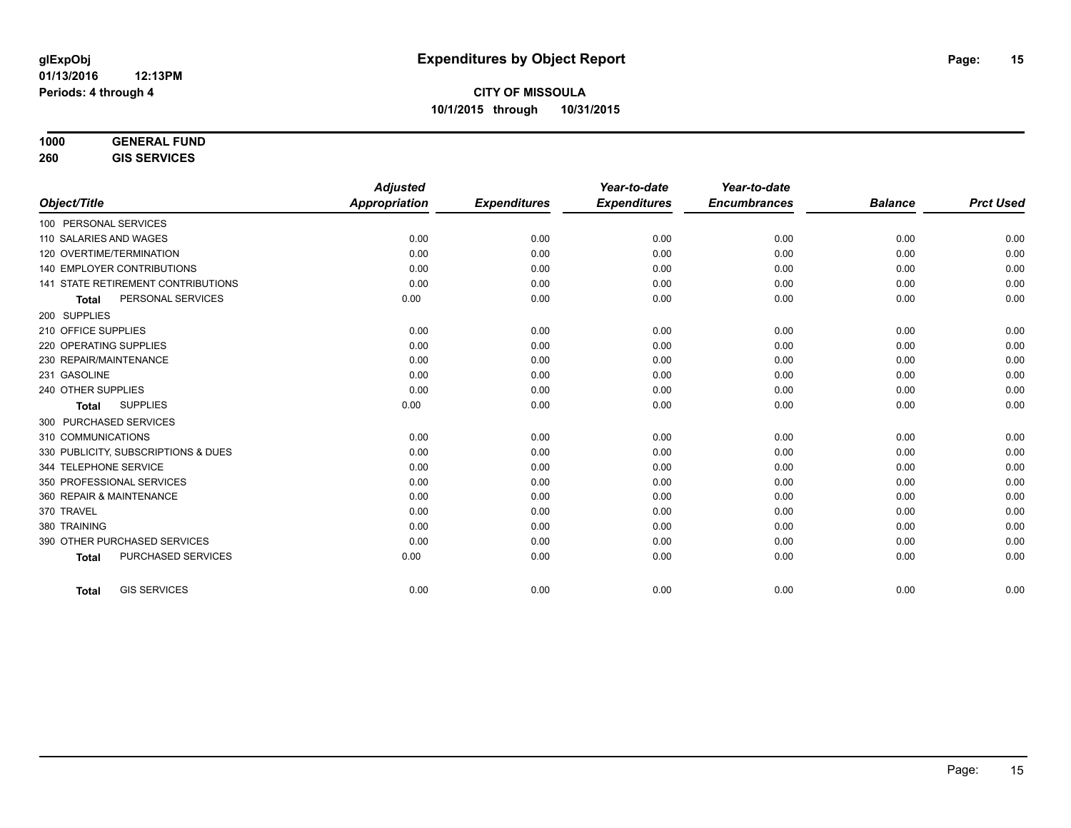| 1000 | <b>GENERAL FUND</b> |  |
|------|---------------------|--|
|      | A A A F B A A F A   |  |

**260 GIS SERVICES**

|                                           | <b>Adjusted</b> |                     | Year-to-date        | Year-to-date        |                |                  |
|-------------------------------------------|-----------------|---------------------|---------------------|---------------------|----------------|------------------|
| Object/Title                              | Appropriation   | <b>Expenditures</b> | <b>Expenditures</b> | <b>Encumbrances</b> | <b>Balance</b> | <b>Prct Used</b> |
| 100 PERSONAL SERVICES                     |                 |                     |                     |                     |                |                  |
| 110 SALARIES AND WAGES                    | 0.00            | 0.00                | 0.00                | 0.00                | 0.00           | 0.00             |
| 120 OVERTIME/TERMINATION                  | 0.00            | 0.00                | 0.00                | 0.00                | 0.00           | 0.00             |
| <b>140 EMPLOYER CONTRIBUTIONS</b>         | 0.00            | 0.00                | 0.00                | 0.00                | 0.00           | 0.00             |
| <b>141 STATE RETIREMENT CONTRIBUTIONS</b> | 0.00            | 0.00                | 0.00                | 0.00                | 0.00           | 0.00             |
| PERSONAL SERVICES<br><b>Total</b>         | 0.00            | 0.00                | 0.00                | 0.00                | 0.00           | 0.00             |
| 200 SUPPLIES                              |                 |                     |                     |                     |                |                  |
| 210 OFFICE SUPPLIES                       | 0.00            | 0.00                | 0.00                | 0.00                | 0.00           | 0.00             |
| 220 OPERATING SUPPLIES                    | 0.00            | 0.00                | 0.00                | 0.00                | 0.00           | 0.00             |
| 230 REPAIR/MAINTENANCE                    | 0.00            | 0.00                | 0.00                | 0.00                | 0.00           | 0.00             |
| 231 GASOLINE                              | 0.00            | 0.00                | 0.00                | 0.00                | 0.00           | 0.00             |
| 240 OTHER SUPPLIES                        | 0.00            | 0.00                | 0.00                | 0.00                | 0.00           | 0.00             |
| <b>SUPPLIES</b><br><b>Total</b>           | 0.00            | 0.00                | 0.00                | 0.00                | 0.00           | 0.00             |
| 300 PURCHASED SERVICES                    |                 |                     |                     |                     |                |                  |
| 310 COMMUNICATIONS                        | 0.00            | 0.00                | 0.00                | 0.00                | 0.00           | 0.00             |
| 330 PUBLICITY, SUBSCRIPTIONS & DUES       | 0.00            | 0.00                | 0.00                | 0.00                | 0.00           | 0.00             |
| 344 TELEPHONE SERVICE                     | 0.00            | 0.00                | 0.00                | 0.00                | 0.00           | 0.00             |
| 350 PROFESSIONAL SERVICES                 | 0.00            | 0.00                | 0.00                | 0.00                | 0.00           | 0.00             |
| 360 REPAIR & MAINTENANCE                  | 0.00            | 0.00                | 0.00                | 0.00                | 0.00           | 0.00             |
| 370 TRAVEL                                | 0.00            | 0.00                | 0.00                | 0.00                | 0.00           | 0.00             |
| 380 TRAINING                              | 0.00            | 0.00                | 0.00                | 0.00                | 0.00           | 0.00             |
| 390 OTHER PURCHASED SERVICES              | 0.00            | 0.00                | 0.00                | 0.00                | 0.00           | 0.00             |
| PURCHASED SERVICES<br><b>Total</b>        | 0.00            | 0.00                | 0.00                | 0.00                | 0.00           | 0.00             |
|                                           |                 |                     |                     |                     |                |                  |
| <b>GIS SERVICES</b><br><b>Total</b>       | 0.00            | 0.00                | 0.00                | 0.00                | 0.00           | 0.00             |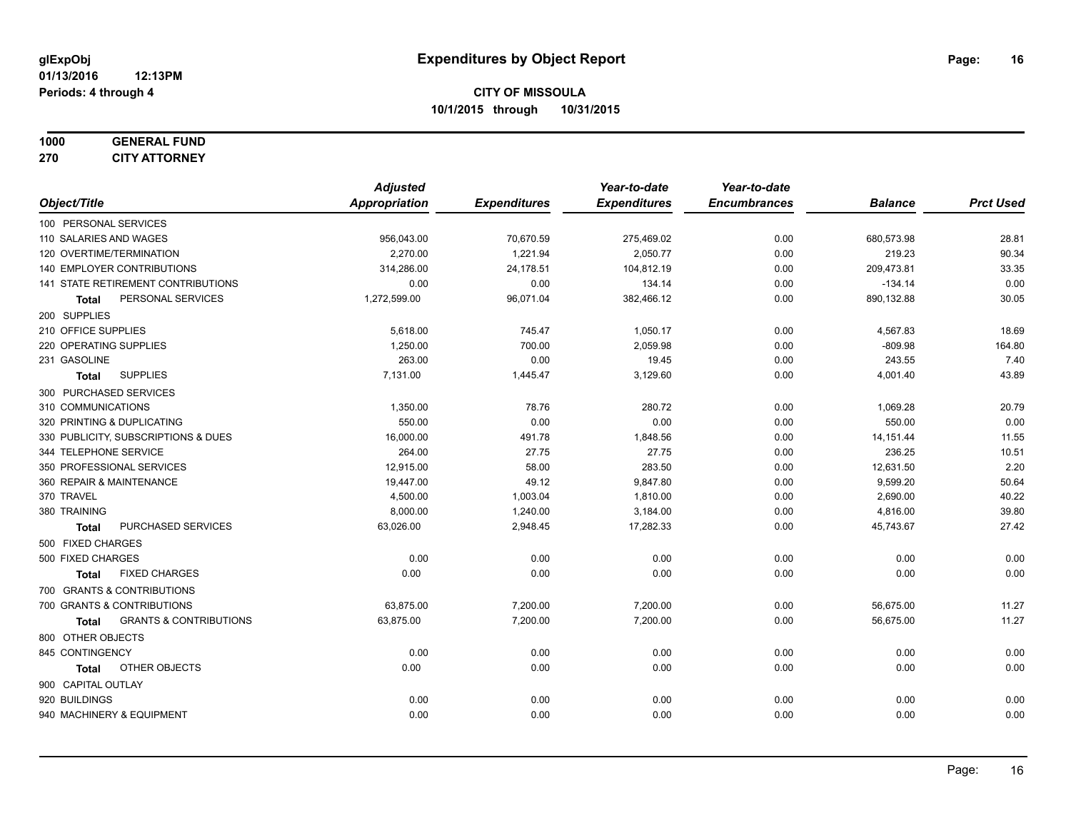#### **1000 GENERAL FUND 270 CITY ATTORNEY**

|                                            | <b>Adjusted</b> |                     | Year-to-date        | Year-to-date        |                |                  |
|--------------------------------------------|-----------------|---------------------|---------------------|---------------------|----------------|------------------|
| Object/Title                               | Appropriation   | <b>Expenditures</b> | <b>Expenditures</b> | <b>Encumbrances</b> | <b>Balance</b> | <b>Prct Used</b> |
| 100 PERSONAL SERVICES                      |                 |                     |                     |                     |                |                  |
| 110 SALARIES AND WAGES                     | 956,043.00      | 70,670.59           | 275,469.02          | 0.00                | 680,573.98     | 28.81            |
| 120 OVERTIME/TERMINATION                   | 2,270.00        | 1,221.94            | 2,050.77            | 0.00                | 219.23         | 90.34            |
| 140 EMPLOYER CONTRIBUTIONS                 | 314,286.00      | 24,178.51           | 104,812.19          | 0.00                | 209,473.81     | 33.35            |
| 141 STATE RETIREMENT CONTRIBUTIONS         | 0.00            | 0.00                | 134.14              | 0.00                | $-134.14$      | 0.00             |
| PERSONAL SERVICES<br>Total                 | 1,272,599.00    | 96,071.04           | 382,466.12          | 0.00                | 890,132.88     | 30.05            |
| 200 SUPPLIES                               |                 |                     |                     |                     |                |                  |
| 210 OFFICE SUPPLIES                        | 5,618.00        | 745.47              | 1,050.17            | 0.00                | 4,567.83       | 18.69            |
| 220 OPERATING SUPPLIES                     | 1,250.00        | 700.00              | 2,059.98            | 0.00                | $-809.98$      | 164.80           |
| 231 GASOLINE                               | 263.00          | 0.00                | 19.45               | 0.00                | 243.55         | 7.40             |
| <b>SUPPLIES</b><br><b>Total</b>            | 7,131.00        | 1,445.47            | 3,129.60            | 0.00                | 4,001.40       | 43.89            |
| 300 PURCHASED SERVICES                     |                 |                     |                     |                     |                |                  |
| 310 COMMUNICATIONS                         | 1,350.00        | 78.76               | 280.72              | 0.00                | 1,069.28       | 20.79            |
| 320 PRINTING & DUPLICATING                 | 550.00          | 0.00                | 0.00                | 0.00                | 550.00         | 0.00             |
| 330 PUBLICITY, SUBSCRIPTIONS & DUES        | 16,000.00       | 491.78              | 1,848.56            | 0.00                | 14, 151.44     | 11.55            |
| 344 TELEPHONE SERVICE                      | 264.00          | 27.75               | 27.75               | 0.00                | 236.25         | 10.51            |
| 350 PROFESSIONAL SERVICES                  | 12,915.00       | 58.00               | 283.50              | 0.00                | 12,631.50      | 2.20             |
| 360 REPAIR & MAINTENANCE                   | 19,447.00       | 49.12               | 9,847.80            | 0.00                | 9,599.20       | 50.64            |
| 370 TRAVEL                                 | 4,500.00        | 1,003.04            | 1,810.00            | 0.00                | 2,690.00       | 40.22            |
| 380 TRAINING                               | 8,000.00        | 1,240.00            | 3,184.00            | 0.00                | 4,816.00       | 39.80            |
| PURCHASED SERVICES<br><b>Total</b>         | 63,026.00       | 2,948.45            | 17,282.33           | 0.00                | 45,743.67      | 27.42            |
| 500 FIXED CHARGES                          |                 |                     |                     |                     |                |                  |
| 500 FIXED CHARGES                          | 0.00            | 0.00                | 0.00                | 0.00                | 0.00           | 0.00             |
| <b>FIXED CHARGES</b><br><b>Total</b>       | 0.00            | 0.00                | 0.00                | 0.00                | 0.00           | 0.00             |
| 700 GRANTS & CONTRIBUTIONS                 |                 |                     |                     |                     |                |                  |
| 700 GRANTS & CONTRIBUTIONS                 | 63,875.00       | 7,200.00            | 7,200.00            | 0.00                | 56,675.00      | 11.27            |
| <b>GRANTS &amp; CONTRIBUTIONS</b><br>Total | 63,875.00       | 7,200.00            | 7,200.00            | 0.00                | 56,675.00      | 11.27            |
| 800 OTHER OBJECTS                          |                 |                     |                     |                     |                |                  |
| 845 CONTINGENCY                            | 0.00            | 0.00                | 0.00                | 0.00                | 0.00           | 0.00             |
| OTHER OBJECTS<br>Total                     | 0.00            | 0.00                | 0.00                | 0.00                | 0.00           | 0.00             |
| 900 CAPITAL OUTLAY                         |                 |                     |                     |                     |                |                  |
| 920 BUILDINGS                              | 0.00            | 0.00                | 0.00                | 0.00                | 0.00           | 0.00             |
| 940 MACHINERY & EQUIPMENT                  | 0.00            | 0.00                | 0.00                | 0.00                | 0.00           | 0.00             |
|                                            |                 |                     |                     |                     |                |                  |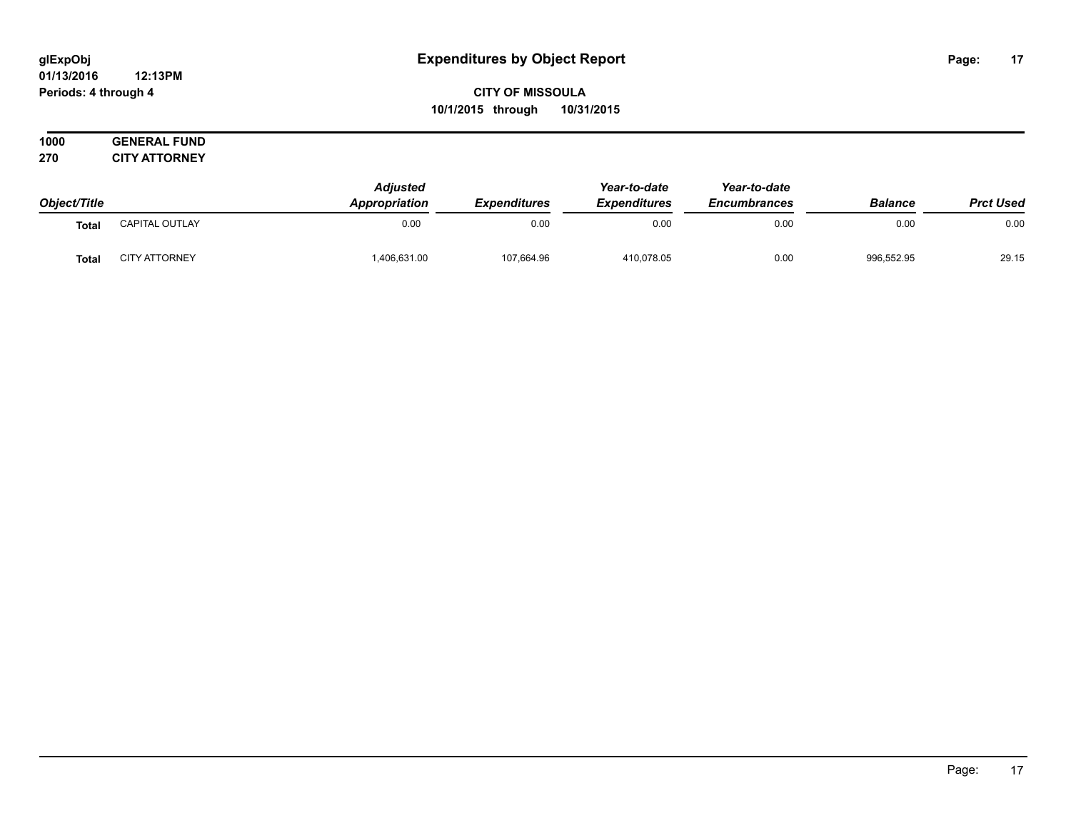#### **01/13/2016 12:13PM Periods: 4 through 4**

# **CITY OF MISSOULA 10/1/2015 through 10/31/2015**

| 1000 | <b>GENERAL FUND</b>  |
|------|----------------------|
| 270  | <b>CITY ATTORNEY</b> |

|              |                      | <b>Adjusted</b>      | Year-to-date        | Year-to-date        |                     |                |                  |
|--------------|----------------------|----------------------|---------------------|---------------------|---------------------|----------------|------------------|
| Object/Title |                      | <b>Appropriation</b> | <b>Expenditures</b> | <b>Expenditures</b> | <b>Encumbrances</b> | <b>Balance</b> | <b>Prct Used</b> |
| Tota         | CAPITAL OUTLAY       | 0.00                 | 0.00                | 0.00                | 0.00                | 0.00           | 0.00             |
| Tota         | <b>CITY ATTORNEY</b> | 406,631.00           | 107,664.96          | 410,078.05          | 0.00                | 996,552.95     | 29.15            |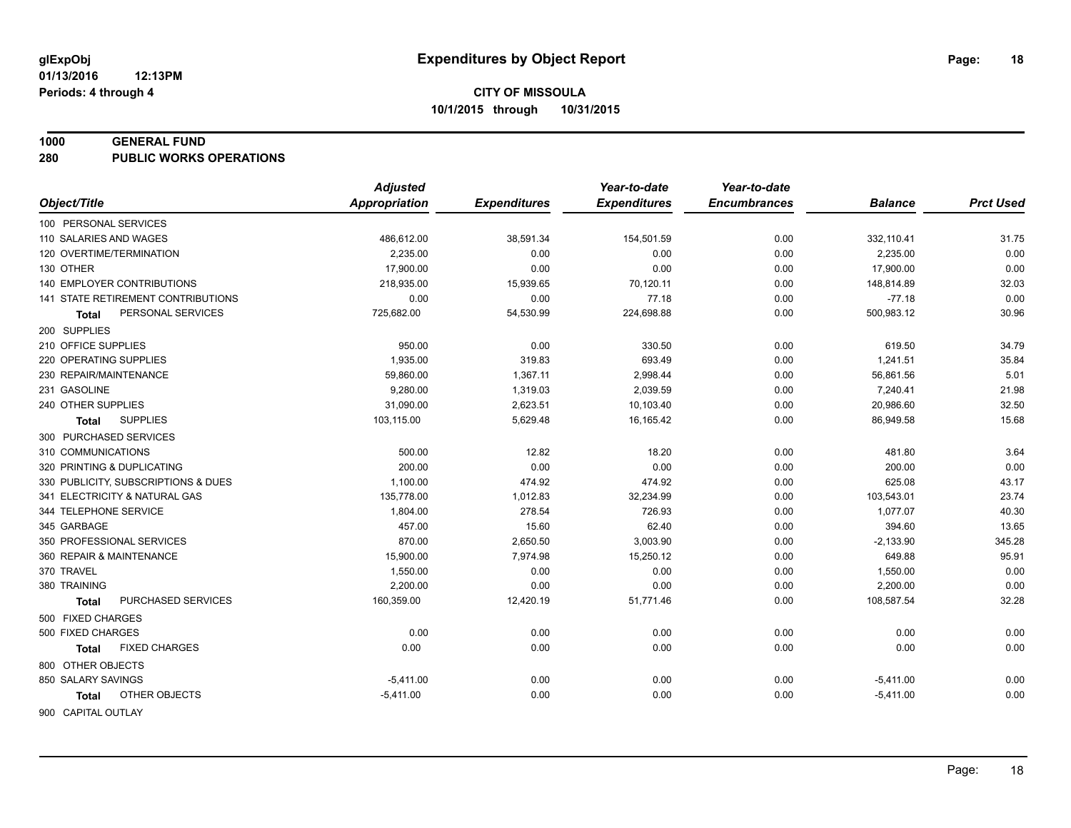#### **1000 GENERAL FUND**

**280 PUBLIC WORKS OPERATIONS**

| <b>Appropriation</b><br>Object/Title<br><b>Expenditures</b><br><b>Expenditures</b><br><b>Encumbrances</b> | <b>Prct Used</b><br><b>Balance</b> |
|-----------------------------------------------------------------------------------------------------------|------------------------------------|
|                                                                                                           |                                    |
| 100 PERSONAL SERVICES                                                                                     |                                    |
| 0.00<br>110 SALARIES AND WAGES<br>486,612.00<br>38,591.34<br>154,501.59                                   | 31.75<br>332,110.41                |
| 120 OVERTIME/TERMINATION<br>2.235.00<br>0.00<br>0.00<br>0.00                                              | 0.00<br>2,235.00                   |
| 130 OTHER<br>17,900.00<br>0.00<br>0.00<br>0.00                                                            | 0.00<br>17,900.00                  |
| <b>140 EMPLOYER CONTRIBUTIONS</b><br>218,935.00<br>15,939.65<br>70,120.11<br>0.00                         | 32.03<br>148,814.89                |
| 141 STATE RETIREMENT CONTRIBUTIONS<br>0.00<br>0.00<br>77.18<br>0.00                                       | 0.00<br>$-77.18$                   |
| PERSONAL SERVICES<br>725,682.00<br>54,530.99<br>224,698.88<br>0.00<br>Total                               | 500,983.12<br>30.96                |
| 200 SUPPLIES                                                                                              |                                    |
| 210 OFFICE SUPPLIES<br>950.00<br>0.00<br>330.50<br>0.00                                                   | 619.50<br>34.79                    |
| 220 OPERATING SUPPLIES<br>1,935.00<br>319.83<br>693.49<br>0.00                                            | 1,241.51<br>35.84                  |
| 230 REPAIR/MAINTENANCE<br>59,860.00<br>1,367.11<br>2,998.44<br>0.00                                       | 5.01<br>56,861.56                  |
| 231 GASOLINE<br>9,280.00<br>1,319.03<br>2,039.59<br>0.00                                                  | 21.98<br>7,240.41                  |
| 31,090.00<br>2,623.51<br>10,103.40<br>240 OTHER SUPPLIES<br>0.00                                          | 20,986.60<br>32.50                 |
| <b>SUPPLIES</b><br>103,115.00<br>5,629.48<br>16,165.42<br>0.00<br>Total                                   | 86,949.58<br>15.68                 |
| 300 PURCHASED SERVICES                                                                                    |                                    |
| 500.00<br>12.82<br>18.20<br>310 COMMUNICATIONS<br>0.00                                                    | 3.64<br>481.80                     |
| 200.00<br>0.00<br>0.00<br>320 PRINTING & DUPLICATING<br>0.00                                              | 0.00<br>200.00                     |
| 474.92<br>330 PUBLICITY, SUBSCRIPTIONS & DUES<br>1,100.00<br>474.92<br>0.00                               | 43.17<br>625.08                    |
| 341 ELECTRICITY & NATURAL GAS<br>135,778.00<br>1,012.83<br>32,234.99<br>0.00                              | 23.74<br>103,543.01                |
| 344 TELEPHONE SERVICE<br>1,804.00<br>278.54<br>726.93<br>0.00                                             | 40.30<br>1,077.07                  |
| 457.00<br>345 GARBAGE<br>15.60<br>62.40<br>0.00                                                           | 13.65<br>394.60                    |
| 350 PROFESSIONAL SERVICES<br>870.00<br>3,003.90<br>2,650.50<br>0.00                                       | 345.28<br>$-2,133.90$              |
| 360 REPAIR & MAINTENANCE<br>15,900.00<br>7,974.98<br>15,250.12<br>0.00                                    | 649.88<br>95.91                    |
| 370 TRAVEL<br>0.00<br>1,550.00<br>0.00<br>0.00                                                            | 0.00<br>1,550.00                   |
| 380 TRAINING<br>2,200.00<br>0.00<br>0.00<br>0.00                                                          | 0.00<br>2,200.00                   |
| PURCHASED SERVICES<br>160,359.00<br>12,420.19<br>51,771.46<br>0.00<br><b>Total</b>                        | 108,587.54<br>32.28                |
| 500 FIXED CHARGES                                                                                         |                                    |
| 0.00<br>500 FIXED CHARGES<br>0.00<br>0.00<br>0.00                                                         | 0.00<br>0.00                       |
| <b>FIXED CHARGES</b><br>0.00<br>0.00<br>0.00<br>0.00<br>Total                                             | 0.00<br>0.00                       |
| 800 OTHER OBJECTS                                                                                         |                                    |
| 850 SALARY SAVINGS<br>$-5,411.00$<br>0.00<br>0.00<br>0.00                                                 | 0.00<br>$-5,411.00$                |
| OTHER OBJECTS<br>0.00<br>0.00<br>0.00<br>$-5,411.00$<br><b>Total</b>                                      | 0.00<br>$-5,411.00$                |
| 900 CAPITAL OUTLAY                                                                                        |                                    |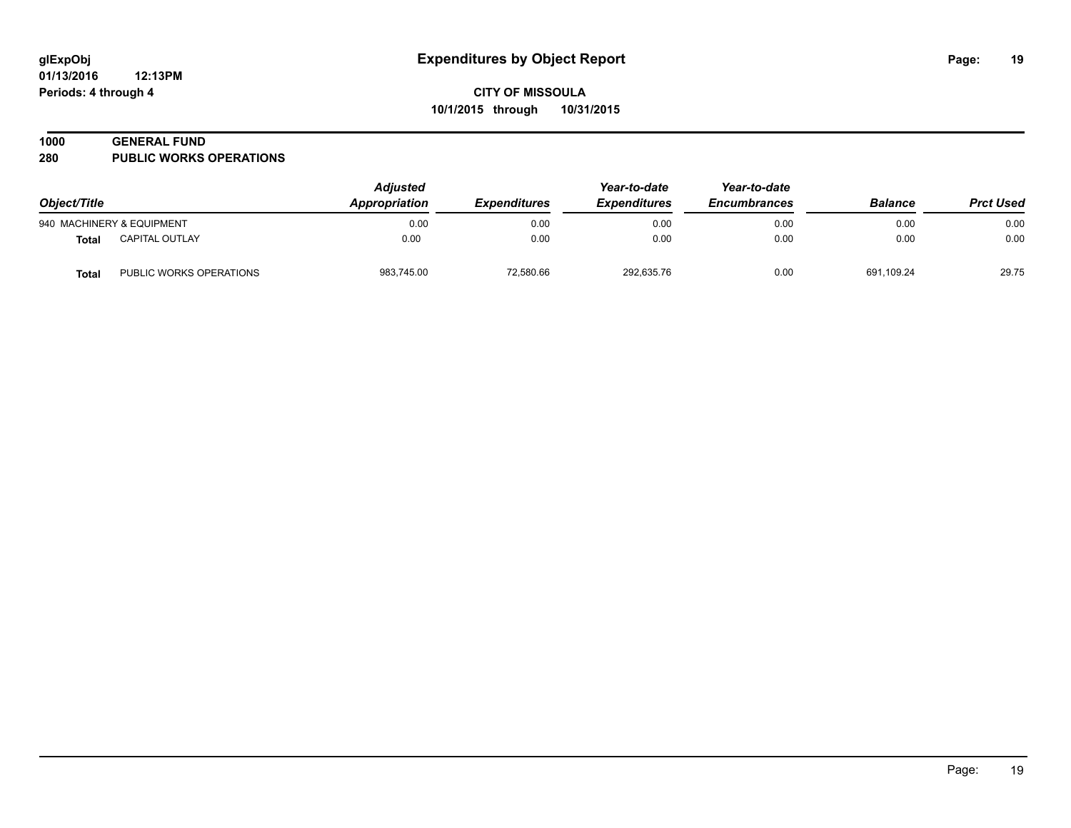# **1000 GENERAL FUND**

**280 PUBLIC WORKS OPERATIONS**

| Object/Title |                           | <b>Adjusted</b><br>Appropriation | <b>Expenditures</b> | Year-to-date<br><b>Expenditures</b> | Year-to-date<br><b>Encumbrances</b> | <b>Balance</b> | <b>Prct Used</b> |
|--------------|---------------------------|----------------------------------|---------------------|-------------------------------------|-------------------------------------|----------------|------------------|
|              | 940 MACHINERY & EQUIPMENT | 0.00                             | 0.00                | 0.00                                | 0.00                                | 0.00           | 0.00             |
| <b>Total</b> | <b>CAPITAL OUTLAY</b>     | 0.00                             | 0.00                | 0.00                                | 0.00                                | 0.00           | 0.00             |
| <b>Total</b> | PUBLIC WORKS OPERATIONS   | 983,745.00                       | 72,580.66           | 292,635.76                          | 0.00                                | 691,109.24     | 29.75            |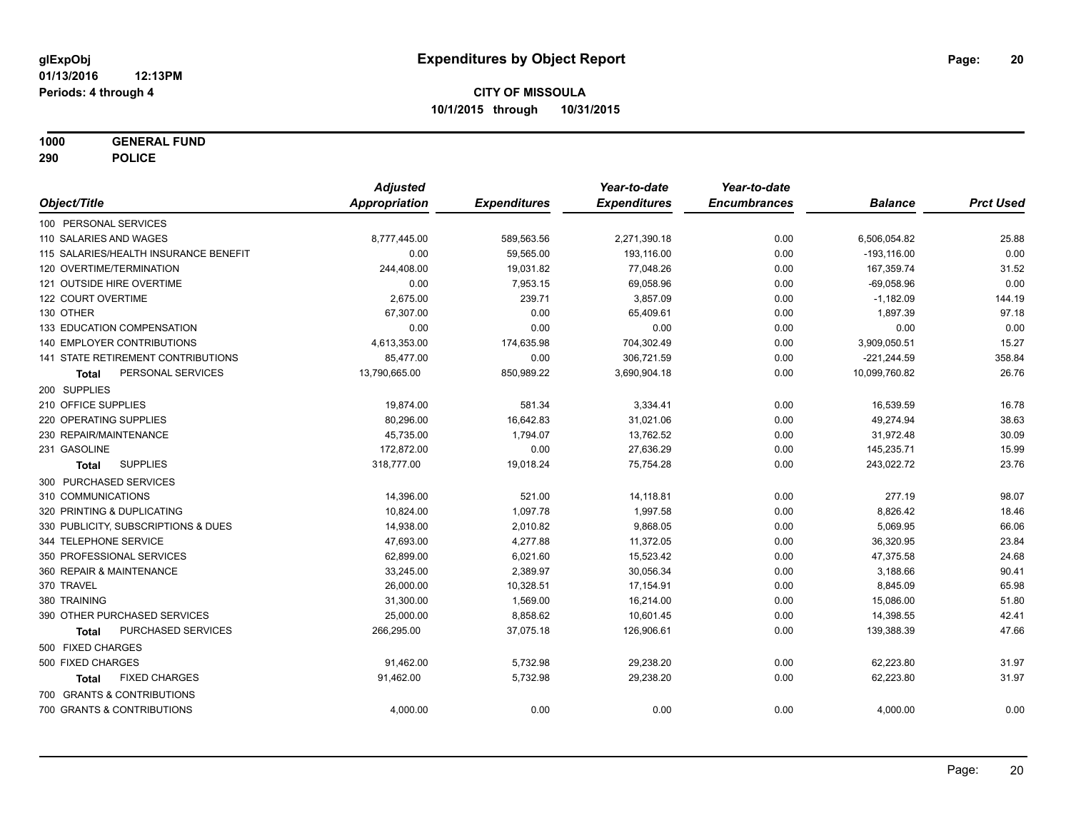**1000 GENERAL FUND**

**290 POLICE**

|                                           | <b>Adjusted</b>      |                     | Year-to-date        | Year-to-date        |                |                  |
|-------------------------------------------|----------------------|---------------------|---------------------|---------------------|----------------|------------------|
| Object/Title                              | <b>Appropriation</b> | <b>Expenditures</b> | <b>Expenditures</b> | <b>Encumbrances</b> | <b>Balance</b> | <b>Prct Used</b> |
| 100 PERSONAL SERVICES                     |                      |                     |                     |                     |                |                  |
| 110 SALARIES AND WAGES                    | 8,777,445.00         | 589,563.56          | 2,271,390.18        | 0.00                | 6,506,054.82   | 25.88            |
| 115 SALARIES/HEALTH INSURANCE BENEFIT     | 0.00                 | 59,565.00           | 193,116.00          | 0.00                | $-193, 116.00$ | 0.00             |
| 120 OVERTIME/TERMINATION                  | 244,408.00           | 19,031.82           | 77,048.26           | 0.00                | 167,359.74     | 31.52            |
| 121 OUTSIDE HIRE OVERTIME                 | 0.00                 | 7,953.15            | 69,058.96           | 0.00                | $-69,058.96$   | 0.00             |
| 122 COURT OVERTIME                        | 2,675.00             | 239.71              | 3,857.09            | 0.00                | $-1,182.09$    | 144.19           |
| 130 OTHER                                 | 67,307.00            | 0.00                | 65,409.61           | 0.00                | 1,897.39       | 97.18            |
| 133 EDUCATION COMPENSATION                | 0.00                 | 0.00                | 0.00                | 0.00                | 0.00           | 0.00             |
| <b>140 EMPLOYER CONTRIBUTIONS</b>         | 4,613,353.00         | 174,635.98          | 704,302.49          | 0.00                | 3,909,050.51   | 15.27            |
| <b>141 STATE RETIREMENT CONTRIBUTIONS</b> | 85,477.00            | 0.00                | 306,721.59          | 0.00                | $-221,244.59$  | 358.84           |
| PERSONAL SERVICES<br>Total                | 13,790,665.00        | 850,989.22          | 3,690,904.18        | 0.00                | 10,099,760.82  | 26.76            |
| 200 SUPPLIES                              |                      |                     |                     |                     |                |                  |
| 210 OFFICE SUPPLIES                       | 19,874.00            | 581.34              | 3,334.41            | 0.00                | 16,539.59      | 16.78            |
| 220 OPERATING SUPPLIES                    | 80,296.00            | 16,642.83           | 31,021.06           | 0.00                | 49,274.94      | 38.63            |
| 230 REPAIR/MAINTENANCE                    | 45,735.00            | 1,794.07            | 13,762.52           | 0.00                | 31,972.48      | 30.09            |
| 231 GASOLINE                              | 172,872.00           | 0.00                | 27,636.29           | 0.00                | 145,235.71     | 15.99            |
| <b>SUPPLIES</b><br><b>Total</b>           | 318,777.00           | 19,018.24           | 75,754.28           | 0.00                | 243,022.72     | 23.76            |
| 300 PURCHASED SERVICES                    |                      |                     |                     |                     |                |                  |
| 310 COMMUNICATIONS                        | 14,396.00            | 521.00              | 14,118.81           | 0.00                | 277.19         | 98.07            |
| 320 PRINTING & DUPLICATING                | 10,824.00            | 1,097.78            | 1,997.58            | 0.00                | 8,826.42       | 18.46            |
| 330 PUBLICITY, SUBSCRIPTIONS & DUES       | 14,938.00            | 2,010.82            | 9,868.05            | 0.00                | 5,069.95       | 66.06            |
| 344 TELEPHONE SERVICE                     | 47,693.00            | 4,277.88            | 11,372.05           | 0.00                | 36,320.95      | 23.84            |
| 350 PROFESSIONAL SERVICES                 | 62,899.00            | 6,021.60            | 15,523.42           | 0.00                | 47,375.58      | 24.68            |
| 360 REPAIR & MAINTENANCE                  | 33,245.00            | 2,389.97            | 30,056.34           | 0.00                | 3,188.66       | 90.41            |
| 370 TRAVEL                                | 26,000.00            | 10,328.51           | 17,154.91           | 0.00                | 8,845.09       | 65.98            |
| 380 TRAINING                              | 31,300.00            | 1,569.00            | 16,214.00           | 0.00                | 15,086.00      | 51.80            |
| 390 OTHER PURCHASED SERVICES              | 25,000.00            | 8,858.62            | 10,601.45           | 0.00                | 14,398.55      | 42.41            |
| PURCHASED SERVICES<br>Total               | 266,295.00           | 37,075.18           | 126,906.61          | 0.00                | 139,388.39     | 47.66            |
| 500 FIXED CHARGES                         |                      |                     |                     |                     |                |                  |
| 500 FIXED CHARGES                         | 91,462.00            | 5,732.98            | 29,238.20           | 0.00                | 62,223.80      | 31.97            |
| <b>FIXED CHARGES</b><br>Total             | 91,462.00            | 5,732.98            | 29,238.20           | 0.00                | 62,223.80      | 31.97            |
| 700 GRANTS & CONTRIBUTIONS                |                      |                     |                     |                     |                |                  |
| 700 GRANTS & CONTRIBUTIONS                | 4,000.00             | 0.00                | 0.00                | 0.00                | 4,000.00       | 0.00             |
|                                           |                      |                     |                     |                     |                |                  |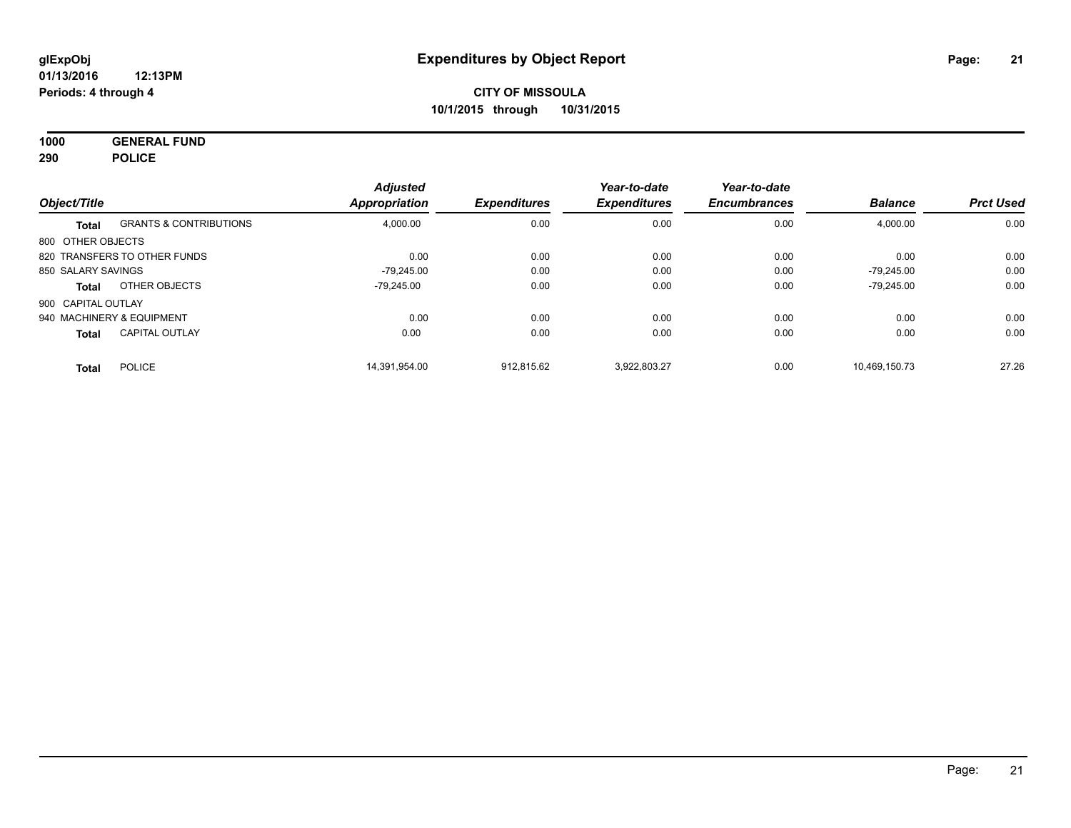**1000 GENERAL FUND 290 POLICE**

| Object/Title              |                                   | <b>Adjusted</b><br><b>Appropriation</b> | <b>Expenditures</b> | Year-to-date<br><b>Expenditures</b> | Year-to-date<br><b>Encumbrances</b> | <b>Balance</b> | <b>Prct Used</b> |
|---------------------------|-----------------------------------|-----------------------------------------|---------------------|-------------------------------------|-------------------------------------|----------------|------------------|
|                           |                                   |                                         |                     |                                     |                                     |                |                  |
| <b>Total</b>              | <b>GRANTS &amp; CONTRIBUTIONS</b> | 4,000.00                                | 0.00                | 0.00                                | 0.00                                | 4,000.00       | 0.00             |
| 800 OTHER OBJECTS         |                                   |                                         |                     |                                     |                                     |                |                  |
|                           | 820 TRANSFERS TO OTHER FUNDS      | 0.00                                    | 0.00                | 0.00                                | 0.00                                | 0.00           | 0.00             |
| 850 SALARY SAVINGS        |                                   | $-79.245.00$                            | 0.00                | 0.00                                | 0.00                                | $-79.245.00$   | 0.00             |
| <b>Total</b>              | OTHER OBJECTS                     | -79.245.00                              | 0.00                | 0.00                                | 0.00                                | $-79.245.00$   | 0.00             |
| 900 CAPITAL OUTLAY        |                                   |                                         |                     |                                     |                                     |                |                  |
| 940 MACHINERY & EQUIPMENT |                                   | 0.00                                    | 0.00                | 0.00                                | 0.00                                | 0.00           | 0.00             |
| <b>Total</b>              | <b>CAPITAL OUTLAY</b>             | 0.00                                    | 0.00                | 0.00                                | 0.00                                | 0.00           | 0.00             |
| <b>Total</b>              | <b>POLICE</b>                     | 14.391.954.00                           | 912.815.62          | 3.922.803.27                        | 0.00                                | 10.469.150.73  | 27.26            |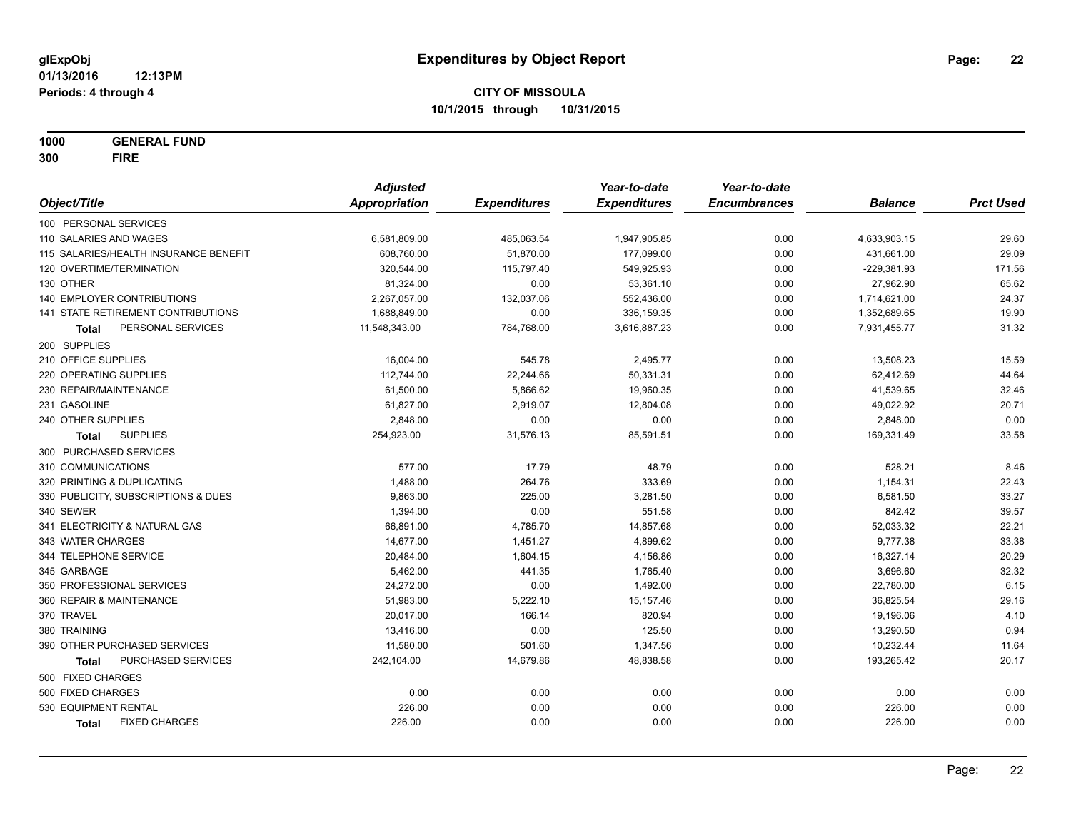**1000 GENERAL FUND 300 FIRE**

|                                       | <b>Adjusted</b>      |                     | Year-to-date        | Year-to-date        |                |                  |
|---------------------------------------|----------------------|---------------------|---------------------|---------------------|----------------|------------------|
| Object/Title                          | <b>Appropriation</b> | <b>Expenditures</b> | <b>Expenditures</b> | <b>Encumbrances</b> | <b>Balance</b> | <b>Prct Used</b> |
| 100 PERSONAL SERVICES                 |                      |                     |                     |                     |                |                  |
| 110 SALARIES AND WAGES                | 6,581,809.00         | 485,063.54          | 1,947,905.85        | 0.00                | 4,633,903.15   | 29.60            |
| 115 SALARIES/HEALTH INSURANCE BENEFIT | 608,760.00           | 51,870.00           | 177,099.00          | 0.00                | 431,661.00     | 29.09            |
| 120 OVERTIME/TERMINATION              | 320,544.00           | 115,797.40          | 549,925.93          | 0.00                | $-229,381.93$  | 171.56           |
| 130 OTHER                             | 81,324.00            | 0.00                | 53,361.10           | 0.00                | 27,962.90      | 65.62            |
| 140 EMPLOYER CONTRIBUTIONS            | 2,267,057.00         | 132,037.06          | 552,436.00          | 0.00                | 1,714,621.00   | 24.37            |
| 141 STATE RETIREMENT CONTRIBUTIONS    | 1,688,849.00         | 0.00                | 336, 159.35         | 0.00                | 1,352,689.65   | 19.90            |
| PERSONAL SERVICES<br>Total            | 11,548,343.00        | 784,768.00          | 3,616,887.23        | 0.00                | 7,931,455.77   | 31.32            |
| 200 SUPPLIES                          |                      |                     |                     |                     |                |                  |
| 210 OFFICE SUPPLIES                   | 16,004.00            | 545.78              | 2,495.77            | 0.00                | 13,508.23      | 15.59            |
| 220 OPERATING SUPPLIES                | 112,744.00           | 22,244.66           | 50,331.31           | 0.00                | 62,412.69      | 44.64            |
| 230 REPAIR/MAINTENANCE                | 61,500.00            | 5,866.62            | 19,960.35           | 0.00                | 41,539.65      | 32.46            |
| 231 GASOLINE                          | 61,827.00            | 2,919.07            | 12,804.08           | 0.00                | 49,022.92      | 20.71            |
| 240 OTHER SUPPLIES                    | 2,848.00             | 0.00                | 0.00                | 0.00                | 2,848.00       | 0.00             |
| <b>SUPPLIES</b><br>Total              | 254,923.00           | 31,576.13           | 85,591.51           | 0.00                | 169,331.49     | 33.58            |
| 300 PURCHASED SERVICES                |                      |                     |                     |                     |                |                  |
| 310 COMMUNICATIONS                    | 577.00               | 17.79               | 48.79               | 0.00                | 528.21         | 8.46             |
| 320 PRINTING & DUPLICATING            | 1,488.00             | 264.76              | 333.69              | 0.00                | 1,154.31       | 22.43            |
| 330 PUBLICITY, SUBSCRIPTIONS & DUES   | 9,863.00             | 225.00              | 3,281.50            | 0.00                | 6,581.50       | 33.27            |
| 340 SEWER                             | 1,394.00             | 0.00                | 551.58              | 0.00                | 842.42         | 39.57            |
| 341 ELECTRICITY & NATURAL GAS         | 66,891.00            | 4,785.70            | 14,857.68           | 0.00                | 52,033.32      | 22.21            |
| 343 WATER CHARGES                     | 14,677.00            | 1,451.27            | 4,899.62            | 0.00                | 9,777.38       | 33.38            |
| 344 TELEPHONE SERVICE                 | 20,484.00            | 1,604.15            | 4,156.86            | 0.00                | 16,327.14      | 20.29            |
| 345 GARBAGE                           | 5,462.00             | 441.35              | 1,765.40            | 0.00                | 3,696.60       | 32.32            |
| 350 PROFESSIONAL SERVICES             | 24,272.00            | 0.00                | 1,492.00            | 0.00                | 22,780.00      | 6.15             |
| 360 REPAIR & MAINTENANCE              | 51,983.00            | 5,222.10            | 15, 157.46          | 0.00                | 36,825.54      | 29.16            |
| 370 TRAVEL                            | 20,017.00            | 166.14              | 820.94              | 0.00                | 19,196.06      | 4.10             |
| 380 TRAINING                          | 13,416.00            | 0.00                | 125.50              | 0.00                | 13,290.50      | 0.94             |
| 390 OTHER PURCHASED SERVICES          | 11,580.00            | 501.60              | 1,347.56            | 0.00                | 10,232.44      | 11.64            |
| PURCHASED SERVICES<br><b>Total</b>    | 242,104.00           | 14,679.86           | 48,838.58           | 0.00                | 193,265.42     | 20.17            |
| 500 FIXED CHARGES                     |                      |                     |                     |                     |                |                  |
| 500 FIXED CHARGES                     | 0.00                 | 0.00                | 0.00                | 0.00                | 0.00           | 0.00             |
| 530 EQUIPMENT RENTAL                  | 226.00               | 0.00                | 0.00                | 0.00                | 226.00         | 0.00             |
| <b>FIXED CHARGES</b><br>Total         | 226.00               | 0.00                | 0.00                | 0.00                | 226.00         | 0.00             |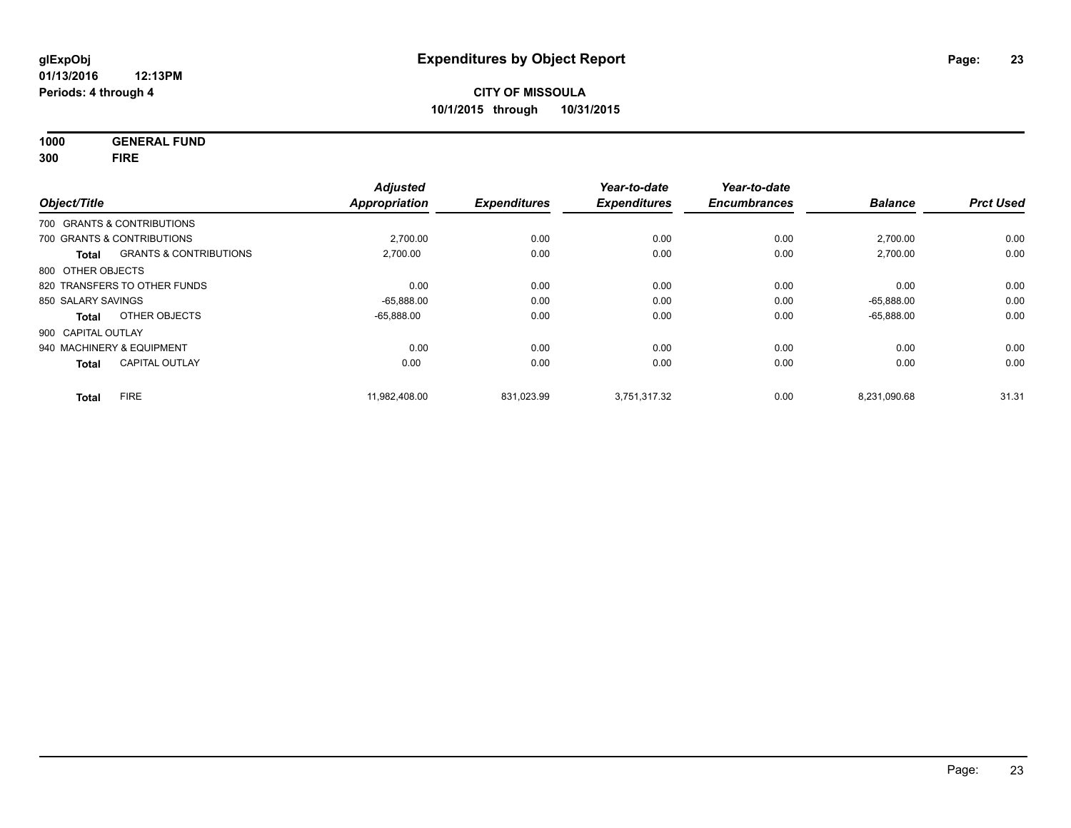**1000 GENERAL FUND 300 FIRE**

| Object/Title       |                                   | <b>Adjusted</b><br><b>Appropriation</b> | <b>Expenditures</b> | Year-to-date<br><b>Expenditures</b> | Year-to-date<br><b>Encumbrances</b> | <b>Balance</b> | <b>Prct Used</b> |
|--------------------|-----------------------------------|-----------------------------------------|---------------------|-------------------------------------|-------------------------------------|----------------|------------------|
|                    | 700 GRANTS & CONTRIBUTIONS        |                                         |                     |                                     |                                     |                |                  |
|                    | 700 GRANTS & CONTRIBUTIONS        | 2.700.00                                | 0.00                | 0.00                                | 0.00                                | 2,700.00       | 0.00             |
| Total              | <b>GRANTS &amp; CONTRIBUTIONS</b> | 2,700.00                                | 0.00                | 0.00                                | 0.00                                | 2,700.00       | 0.00             |
| 800 OTHER OBJECTS  |                                   |                                         |                     |                                     |                                     |                |                  |
|                    | 820 TRANSFERS TO OTHER FUNDS      | 0.00                                    | 0.00                | 0.00                                | 0.00                                | 0.00           | 0.00             |
| 850 SALARY SAVINGS |                                   | $-65,888.00$                            | 0.00                | 0.00                                | 0.00                                | $-65.888.00$   | 0.00             |
| Total              | OTHER OBJECTS                     | $-65,888.00$                            | 0.00                | 0.00                                | 0.00                                | $-65,888.00$   | 0.00             |
| 900 CAPITAL OUTLAY |                                   |                                         |                     |                                     |                                     |                |                  |
|                    | 940 MACHINERY & EQUIPMENT         | 0.00                                    | 0.00                | 0.00                                | 0.00                                | 0.00           | 0.00             |
| <b>Total</b>       | <b>CAPITAL OUTLAY</b>             | 0.00                                    | 0.00                | 0.00                                | 0.00                                | 0.00           | 0.00             |
| Total              | <b>FIRE</b>                       | 11.982.408.00                           | 831,023.99          | 3,751,317.32                        | 0.00                                | 8,231,090.68   | 31.31            |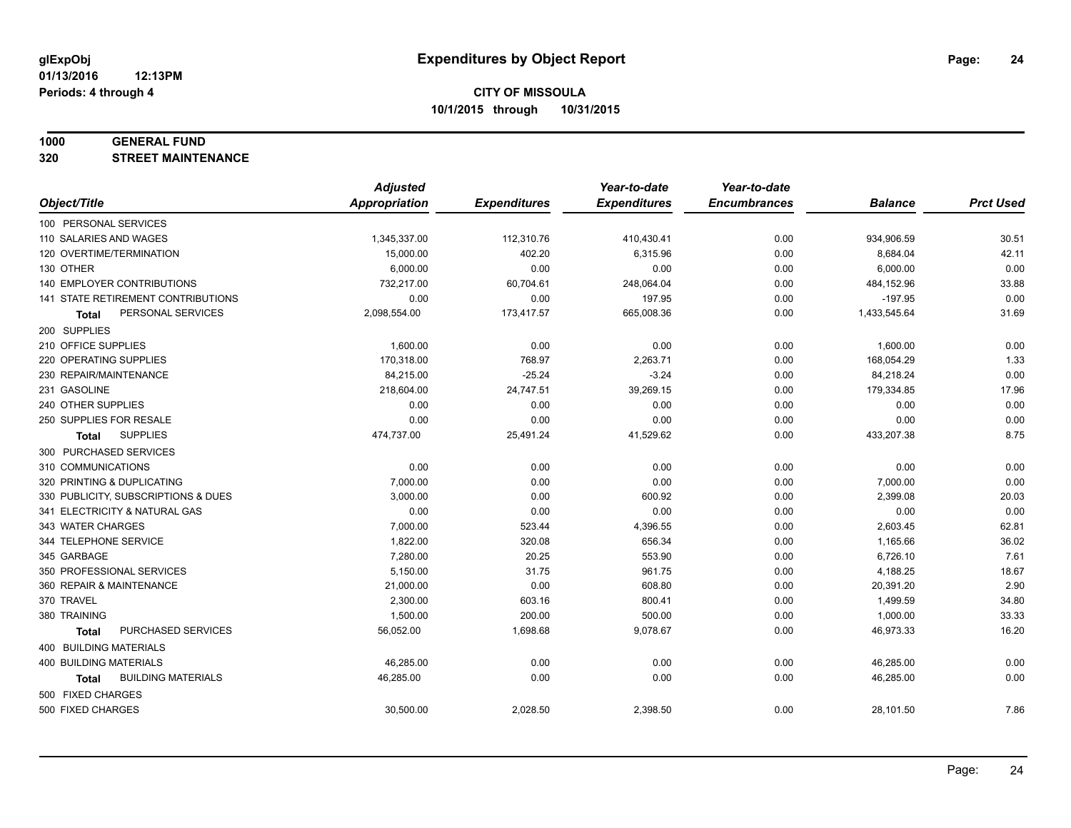#### **1000 GENERAL FUND**

**320 STREET MAINTENANCE**

|                                           | <b>Adjusted</b>      |                     | Year-to-date        | Year-to-date        |                |                  |
|-------------------------------------------|----------------------|---------------------|---------------------|---------------------|----------------|------------------|
| Object/Title                              | <b>Appropriation</b> | <b>Expenditures</b> | <b>Expenditures</b> | <b>Encumbrances</b> | <b>Balance</b> | <b>Prct Used</b> |
| 100 PERSONAL SERVICES                     |                      |                     |                     |                     |                |                  |
| 110 SALARIES AND WAGES                    | 1,345,337.00         | 112,310.76          | 410,430.41          | 0.00                | 934,906.59     | 30.51            |
| 120 OVERTIME/TERMINATION                  | 15,000.00            | 402.20              | 6,315.96            | 0.00                | 8,684.04       | 42.11            |
| 130 OTHER                                 | 6,000.00             | 0.00                | 0.00                | 0.00                | 6,000.00       | 0.00             |
| 140 EMPLOYER CONTRIBUTIONS                | 732,217.00           | 60,704.61           | 248,064.04          | 0.00                | 484,152.96     | 33.88            |
| 141 STATE RETIREMENT CONTRIBUTIONS        | 0.00                 | 0.00                | 197.95              | 0.00                | $-197.95$      | 0.00             |
| PERSONAL SERVICES<br><b>Total</b>         | 2,098,554.00         | 173,417.57          | 665,008.36          | 0.00                | 1,433,545.64   | 31.69            |
| 200 SUPPLIES                              |                      |                     |                     |                     |                |                  |
| 210 OFFICE SUPPLIES                       | 1,600.00             | 0.00                | 0.00                | 0.00                | 1,600.00       | 0.00             |
| 220 OPERATING SUPPLIES                    | 170,318.00           | 768.97              | 2,263.71            | 0.00                | 168,054.29     | 1.33             |
| 230 REPAIR/MAINTENANCE                    | 84,215.00            | $-25.24$            | $-3.24$             | 0.00                | 84,218.24      | 0.00             |
| 231 GASOLINE                              | 218,604.00           | 24,747.51           | 39,269.15           | 0.00                | 179,334.85     | 17.96            |
| 240 OTHER SUPPLIES                        | 0.00                 | 0.00                | 0.00                | 0.00                | 0.00           | 0.00             |
| 250 SUPPLIES FOR RESALE                   | 0.00                 | 0.00                | 0.00                | 0.00                | 0.00           | 0.00             |
| <b>SUPPLIES</b><br><b>Total</b>           | 474,737.00           | 25,491.24           | 41,529.62           | 0.00                | 433,207.38     | 8.75             |
| 300 PURCHASED SERVICES                    |                      |                     |                     |                     |                |                  |
| 310 COMMUNICATIONS                        | 0.00                 | 0.00                | 0.00                | 0.00                | 0.00           | 0.00             |
| 320 PRINTING & DUPLICATING                | 7,000.00             | 0.00                | 0.00                | 0.00                | 7,000.00       | 0.00             |
| 330 PUBLICITY, SUBSCRIPTIONS & DUES       | 3,000.00             | 0.00                | 600.92              | 0.00                | 2,399.08       | 20.03            |
| 341 ELECTRICITY & NATURAL GAS             | 0.00                 | 0.00                | 0.00                | 0.00                | 0.00           | 0.00             |
| 343 WATER CHARGES                         | 7,000.00             | 523.44              | 4,396.55            | 0.00                | 2,603.45       | 62.81            |
| 344 TELEPHONE SERVICE                     | 1,822.00             | 320.08              | 656.34              | 0.00                | 1,165.66       | 36.02            |
| 345 GARBAGE                               | 7,280.00             | 20.25               | 553.90              | 0.00                | 6,726.10       | 7.61             |
| 350 PROFESSIONAL SERVICES                 | 5,150.00             | 31.75               | 961.75              | 0.00                | 4,188.25       | 18.67            |
| 360 REPAIR & MAINTENANCE                  | 21,000.00            | 0.00                | 608.80              | 0.00                | 20,391.20      | 2.90             |
| 370 TRAVEL                                | 2,300.00             | 603.16              | 800.41              | 0.00                | 1,499.59       | 34.80            |
| 380 TRAINING                              | 1,500.00             | 200.00              | 500.00              | 0.00                | 1,000.00       | 33.33            |
| PURCHASED SERVICES<br><b>Total</b>        | 56,052.00            | 1,698.68            | 9,078.67            | 0.00                | 46,973.33      | 16.20            |
| 400 BUILDING MATERIALS                    |                      |                     |                     |                     |                |                  |
| <b>400 BUILDING MATERIALS</b>             | 46,285.00            | 0.00                | 0.00                | 0.00                | 46,285.00      | 0.00             |
| <b>BUILDING MATERIALS</b><br><b>Total</b> | 46,285.00            | 0.00                | 0.00                | 0.00                | 46,285.00      | 0.00             |
| 500 FIXED CHARGES                         |                      |                     |                     |                     |                |                  |
| 500 FIXED CHARGES                         | 30,500.00            | 2,028.50            | 2,398.50            | 0.00                | 28,101.50      | 7.86             |
|                                           |                      |                     |                     |                     |                |                  |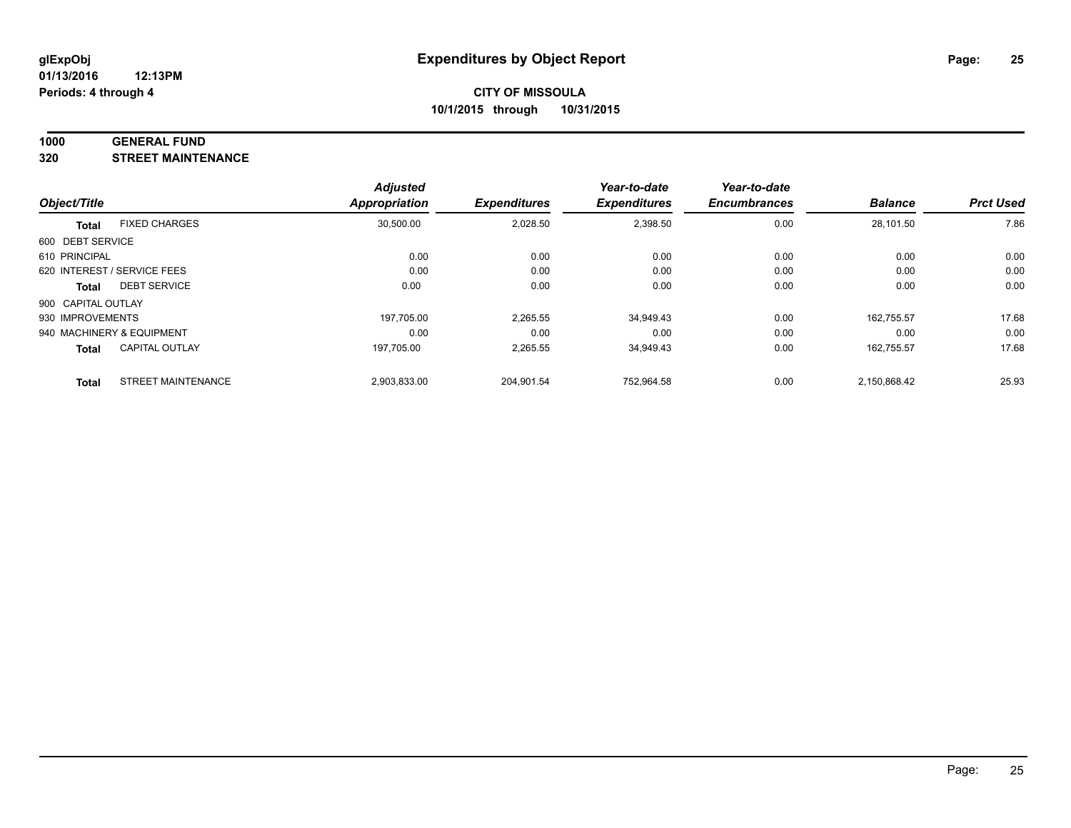#### **1000 GENERAL FUND**

**320 STREET MAINTENANCE**

|                    |                             | <b>Adjusted</b> |                     | Year-to-date        | Year-to-date        |                |                  |
|--------------------|-----------------------------|-----------------|---------------------|---------------------|---------------------|----------------|------------------|
| Object/Title       |                             | Appropriation   | <b>Expenditures</b> | <b>Expenditures</b> | <b>Encumbrances</b> | <b>Balance</b> | <b>Prct Used</b> |
| <b>Total</b>       | <b>FIXED CHARGES</b>        | 30,500.00       | 2,028.50            | 2,398.50            | 0.00                | 28,101.50      | 7.86             |
| 600 DEBT SERVICE   |                             |                 |                     |                     |                     |                |                  |
| 610 PRINCIPAL      |                             | 0.00            | 0.00                | 0.00                | 0.00                | 0.00           | 0.00             |
|                    | 620 INTEREST / SERVICE FEES | 0.00            | 0.00                | 0.00                | 0.00                | 0.00           | 0.00             |
| Total              | <b>DEBT SERVICE</b>         | 0.00            | 0.00                | 0.00                | 0.00                | 0.00           | 0.00             |
| 900 CAPITAL OUTLAY |                             |                 |                     |                     |                     |                |                  |
| 930 IMPROVEMENTS   |                             | 197.705.00      | 2,265.55            | 34,949.43           | 0.00                | 162.755.57     | 17.68            |
|                    | 940 MACHINERY & EQUIPMENT   | 0.00            | 0.00                | 0.00                | 0.00                | 0.00           | 0.00             |
| <b>Total</b>       | <b>CAPITAL OUTLAY</b>       | 197,705.00      | 2,265.55            | 34,949.43           | 0.00                | 162.755.57     | 17.68            |
| <b>Total</b>       | <b>STREET MAINTENANCE</b>   | 2,903,833.00    | 204.901.54          | 752.964.58          | 0.00                | 2.150.868.42   | 25.93            |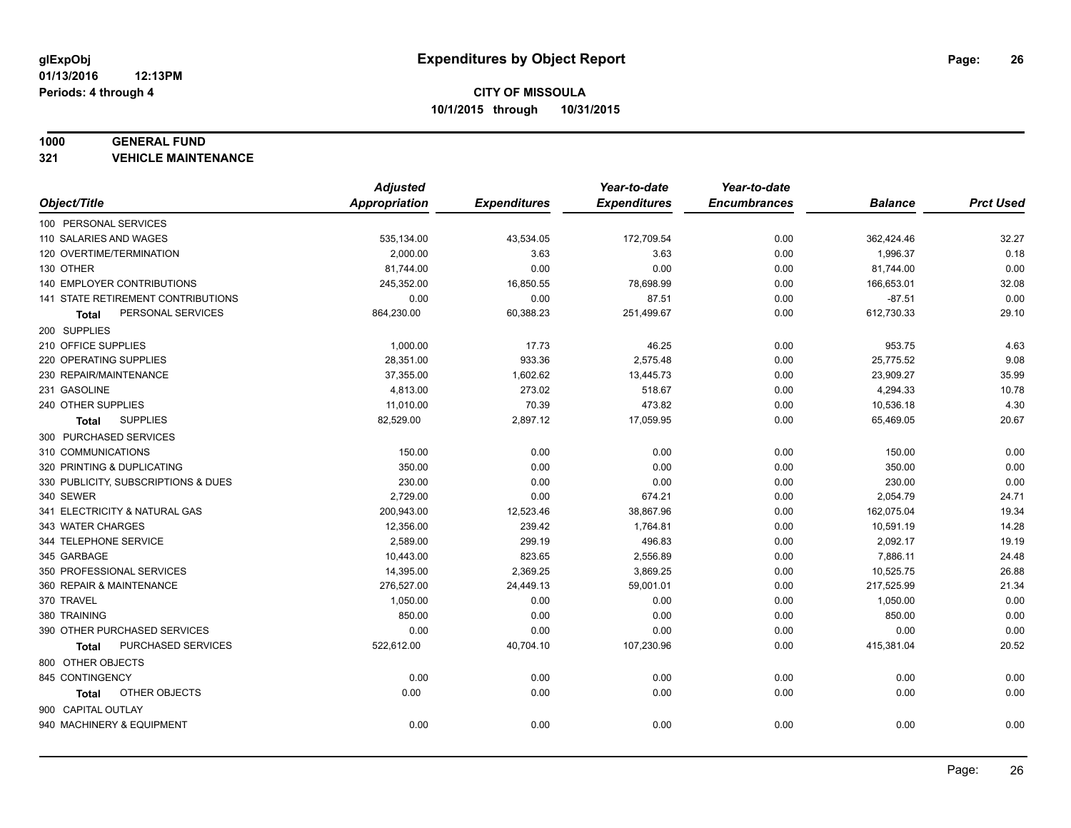#### **1000 GENERAL FUND**

**321 VEHICLE MAINTENANCE**

|                                           | <b>Adjusted</b> |                     | Year-to-date        | Year-to-date        |                |                  |
|-------------------------------------------|-----------------|---------------------|---------------------|---------------------|----------------|------------------|
| Object/Title                              | Appropriation   | <b>Expenditures</b> | <b>Expenditures</b> | <b>Encumbrances</b> | <b>Balance</b> | <b>Prct Used</b> |
| 100 PERSONAL SERVICES                     |                 |                     |                     |                     |                |                  |
| 110 SALARIES AND WAGES                    | 535,134.00      | 43,534.05           | 172,709.54          | 0.00                | 362,424.46     | 32.27            |
| 120 OVERTIME/TERMINATION                  | 2,000.00        | 3.63                | 3.63                | 0.00                | 1,996.37       | 0.18             |
| 130 OTHER                                 | 81,744.00       | 0.00                | 0.00                | 0.00                | 81,744.00      | 0.00             |
| 140 EMPLOYER CONTRIBUTIONS                | 245,352.00      | 16,850.55           | 78,698.99           | 0.00                | 166,653.01     | 32.08            |
| <b>141 STATE RETIREMENT CONTRIBUTIONS</b> | 0.00            | 0.00                | 87.51               | 0.00                | $-87.51$       | 0.00             |
| PERSONAL SERVICES<br>Total                | 864,230.00      | 60,388.23           | 251,499.67          | 0.00                | 612,730.33     | 29.10            |
| 200 SUPPLIES                              |                 |                     |                     |                     |                |                  |
| 210 OFFICE SUPPLIES                       | 1,000.00        | 17.73               | 46.25               | 0.00                | 953.75         | 4.63             |
| 220 OPERATING SUPPLIES                    | 28,351.00       | 933.36              | 2,575.48            | 0.00                | 25,775.52      | 9.08             |
| 230 REPAIR/MAINTENANCE                    | 37,355.00       | 1,602.62            | 13,445.73           | 0.00                | 23,909.27      | 35.99            |
| 231 GASOLINE                              | 4,813.00        | 273.02              | 518.67              | 0.00                | 4,294.33       | 10.78            |
| 240 OTHER SUPPLIES                        | 11,010.00       | 70.39               | 473.82              | 0.00                | 10,536.18      | 4.30             |
| <b>SUPPLIES</b><br>Total                  | 82,529.00       | 2,897.12            | 17,059.95           | 0.00                | 65,469.05      | 20.67            |
| 300 PURCHASED SERVICES                    |                 |                     |                     |                     |                |                  |
| 310 COMMUNICATIONS                        | 150.00          | 0.00                | 0.00                | 0.00                | 150.00         | 0.00             |
| 320 PRINTING & DUPLICATING                | 350.00          | 0.00                | 0.00                | 0.00                | 350.00         | 0.00             |
| 330 PUBLICITY, SUBSCRIPTIONS & DUES       | 230.00          | 0.00                | 0.00                | 0.00                | 230.00         | 0.00             |
| 340 SEWER                                 | 2,729.00        | 0.00                | 674.21              | 0.00                | 2,054.79       | 24.71            |
| 341 ELECTRICITY & NATURAL GAS             | 200,943.00      | 12,523.46           | 38,867.96           | 0.00                | 162,075.04     | 19.34            |
| 343 WATER CHARGES                         | 12,356.00       | 239.42              | 1,764.81            | 0.00                | 10,591.19      | 14.28            |
| 344 TELEPHONE SERVICE                     | 2,589.00        | 299.19              | 496.83              | 0.00                | 2,092.17       | 19.19            |
| 345 GARBAGE                               | 10,443.00       | 823.65              | 2,556.89            | 0.00                | 7,886.11       | 24.48            |
| 350 PROFESSIONAL SERVICES                 | 14,395.00       | 2,369.25            | 3,869.25            | 0.00                | 10,525.75      | 26.88            |
| 360 REPAIR & MAINTENANCE                  | 276,527.00      | 24,449.13           | 59,001.01           | 0.00                | 217,525.99     | 21.34            |
| 370 TRAVEL                                | 1,050.00        | 0.00                | 0.00                | 0.00                | 1,050.00       | 0.00             |
| 380 TRAINING                              | 850.00          | 0.00                | 0.00                | 0.00                | 850.00         | 0.00             |
| 390 OTHER PURCHASED SERVICES              | 0.00            | 0.00                | 0.00                | 0.00                | 0.00           | 0.00             |
| PURCHASED SERVICES<br><b>Total</b>        | 522,612.00      | 40,704.10           | 107,230.96          | 0.00                | 415,381.04     | 20.52            |
| 800 OTHER OBJECTS                         |                 |                     |                     |                     |                |                  |
| 845 CONTINGENCY                           | 0.00            | 0.00                | 0.00                | 0.00                | 0.00           | 0.00             |
| OTHER OBJECTS<br>Total                    | 0.00            | 0.00                | 0.00                | 0.00                | 0.00           | 0.00             |
| 900 CAPITAL OUTLAY                        |                 |                     |                     |                     |                |                  |
| 940 MACHINERY & EQUIPMENT                 | 0.00            | 0.00                | 0.00                | 0.00                | 0.00           | 0.00             |
|                                           |                 |                     |                     |                     |                |                  |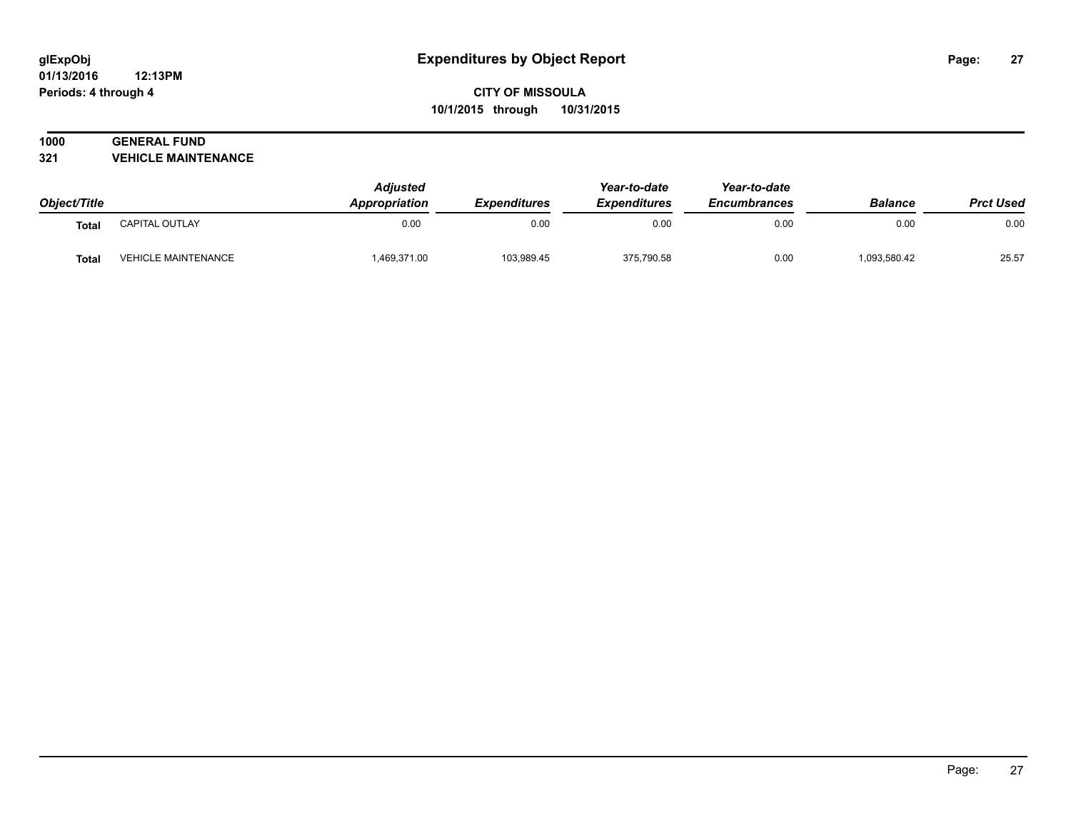#### **01/13/2016 12:13PM Periods: 4 through 4**

# **CITY OF MISSOULA 10/1/2015 through 10/31/2015**

# **1000 GENERAL FUND**

**321 VEHICLE MAINTENANCE**

| Object/Title |                            | <b>Adjusted</b><br>Appropriation | <i><b>Expenditures</b></i> | Year-to-date<br><b>Expenditures</b> | Year-to-date<br><b>Encumbrances</b> | <b>Balance</b> | <b>Prct Used</b> |
|--------------|----------------------------|----------------------------------|----------------------------|-------------------------------------|-------------------------------------|----------------|------------------|
| Total        | CAPITAL OUTLAY             | 0.00                             | 0.00                       | 0.00                                | 0.00                                | 0.00           | 0.00             |
| <b>Total</b> | <b>VEHICLE MAINTENANCE</b> | 1,469,371.00                     | 103,989.45                 | 375,790.58                          | 0.00                                | 1,093,580.42   | 25.57            |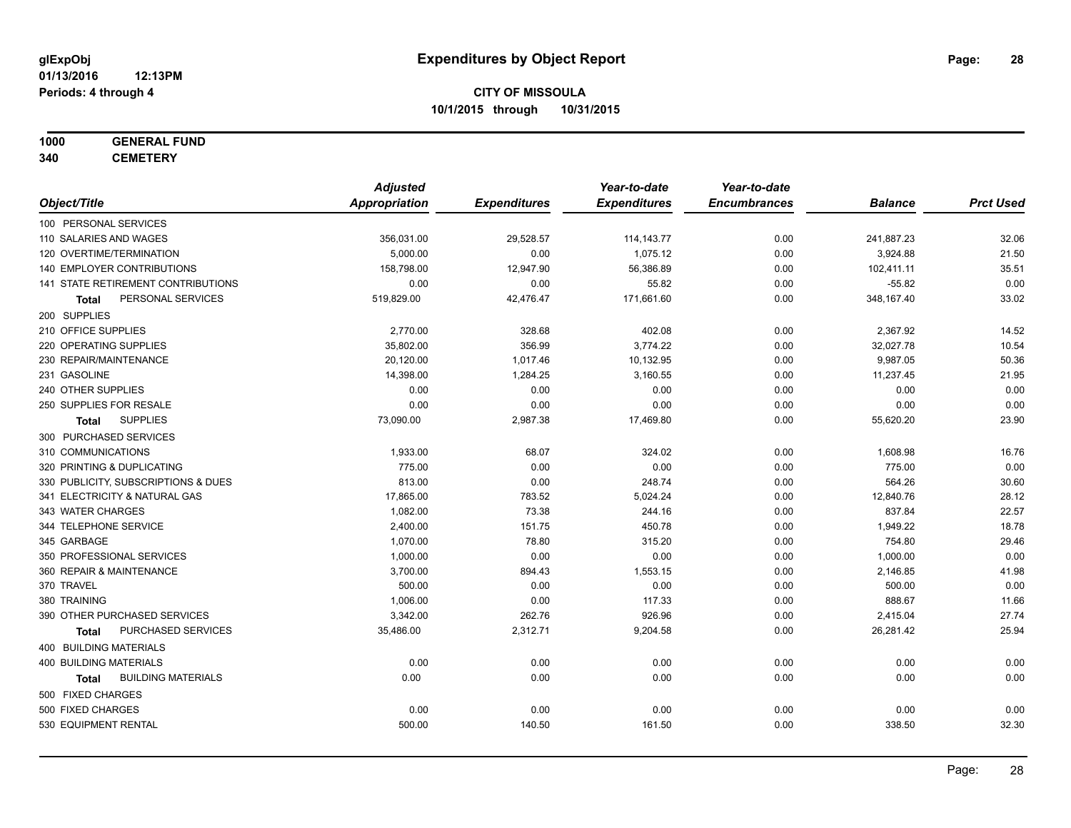# **1000 GENERAL FUND**

**340 CEMETERY**

|                                           | <b>Adjusted</b>      |                     | Year-to-date        | Year-to-date        |                |                  |
|-------------------------------------------|----------------------|---------------------|---------------------|---------------------|----------------|------------------|
| Object/Title                              | <b>Appropriation</b> | <b>Expenditures</b> | <b>Expenditures</b> | <b>Encumbrances</b> | <b>Balance</b> | <b>Prct Used</b> |
| 100 PERSONAL SERVICES                     |                      |                     |                     |                     |                |                  |
| 110 SALARIES AND WAGES                    | 356,031.00           | 29,528.57           | 114, 143. 77        | 0.00                | 241,887.23     | 32.06            |
| 120 OVERTIME/TERMINATION                  | 5,000.00             | 0.00                | 1,075.12            | 0.00                | 3,924.88       | 21.50            |
| 140 EMPLOYER CONTRIBUTIONS                | 158,798.00           | 12,947.90           | 56,386.89           | 0.00                | 102,411.11     | 35.51            |
| 141 STATE RETIREMENT CONTRIBUTIONS        | 0.00                 | 0.00                | 55.82               | 0.00                | $-55.82$       | 0.00             |
| PERSONAL SERVICES<br>Total                | 519,829.00           | 42,476.47           | 171,661.60          | 0.00                | 348,167.40     | 33.02            |
| 200 SUPPLIES                              |                      |                     |                     |                     |                |                  |
| 210 OFFICE SUPPLIES                       | 2,770.00             | 328.68              | 402.08              | 0.00                | 2,367.92       | 14.52            |
| 220 OPERATING SUPPLIES                    | 35,802.00            | 356.99              | 3,774.22            | 0.00                | 32,027.78      | 10.54            |
| 230 REPAIR/MAINTENANCE                    | 20,120.00            | 1,017.46            | 10,132.95           | 0.00                | 9,987.05       | 50.36            |
| 231 GASOLINE                              | 14,398.00            | 1,284.25            | 3,160.55            | 0.00                | 11,237.45      | 21.95            |
| 240 OTHER SUPPLIES                        | 0.00                 | 0.00                | 0.00                | 0.00                | 0.00           | 0.00             |
| 250 SUPPLIES FOR RESALE                   | 0.00                 | 0.00                | 0.00                | 0.00                | 0.00           | 0.00             |
| <b>SUPPLIES</b><br>Total                  | 73,090.00            | 2,987.38            | 17,469.80           | 0.00                | 55,620.20      | 23.90            |
| 300 PURCHASED SERVICES                    |                      |                     |                     |                     |                |                  |
| 310 COMMUNICATIONS                        | 1,933.00             | 68.07               | 324.02              | 0.00                | 1,608.98       | 16.76            |
| 320 PRINTING & DUPLICATING                | 775.00               | 0.00                | 0.00                | 0.00                | 775.00         | 0.00             |
| 330 PUBLICITY, SUBSCRIPTIONS & DUES       | 813.00               | 0.00                | 248.74              | 0.00                | 564.26         | 30.60            |
| 341 ELECTRICITY & NATURAL GAS             | 17,865.00            | 783.52              | 5,024.24            | 0.00                | 12,840.76      | 28.12            |
| 343 WATER CHARGES                         | 1,082.00             | 73.38               | 244.16              | 0.00                | 837.84         | 22.57            |
| 344 TELEPHONE SERVICE                     | 2,400.00             | 151.75              | 450.78              | 0.00                | 1,949.22       | 18.78            |
| 345 GARBAGE                               | 1,070.00             | 78.80               | 315.20              | 0.00                | 754.80         | 29.46            |
| 350 PROFESSIONAL SERVICES                 | 1,000.00             | 0.00                | 0.00                | 0.00                | 1,000.00       | 0.00             |
| 360 REPAIR & MAINTENANCE                  | 3,700.00             | 894.43              | 1,553.15            | 0.00                | 2,146.85       | 41.98            |
| 370 TRAVEL                                | 500.00               | 0.00                | 0.00                | 0.00                | 500.00         | 0.00             |
| 380 TRAINING                              | 1,006.00             | 0.00                | 117.33              | 0.00                | 888.67         | 11.66            |
| 390 OTHER PURCHASED SERVICES              | 3,342.00             | 262.76              | 926.96              | 0.00                | 2,415.04       | 27.74            |
| PURCHASED SERVICES<br><b>Total</b>        | 35,486.00            | 2,312.71            | 9,204.58            | 0.00                | 26,281.42      | 25.94            |
| 400 BUILDING MATERIALS                    |                      |                     |                     |                     |                |                  |
| <b>400 BUILDING MATERIALS</b>             | 0.00                 | 0.00                | 0.00                | 0.00                | 0.00           | 0.00             |
| <b>BUILDING MATERIALS</b><br><b>Total</b> | 0.00                 | 0.00                | 0.00                | 0.00                | 0.00           | 0.00             |
| 500 FIXED CHARGES                         |                      |                     |                     |                     |                |                  |
| 500 FIXED CHARGES                         | 0.00                 | 0.00                | 0.00                | 0.00                | 0.00           | 0.00             |
| 530 EQUIPMENT RENTAL                      | 500.00               | 140.50              | 161.50              | 0.00                | 338.50         | 32.30            |
|                                           |                      |                     |                     |                     |                |                  |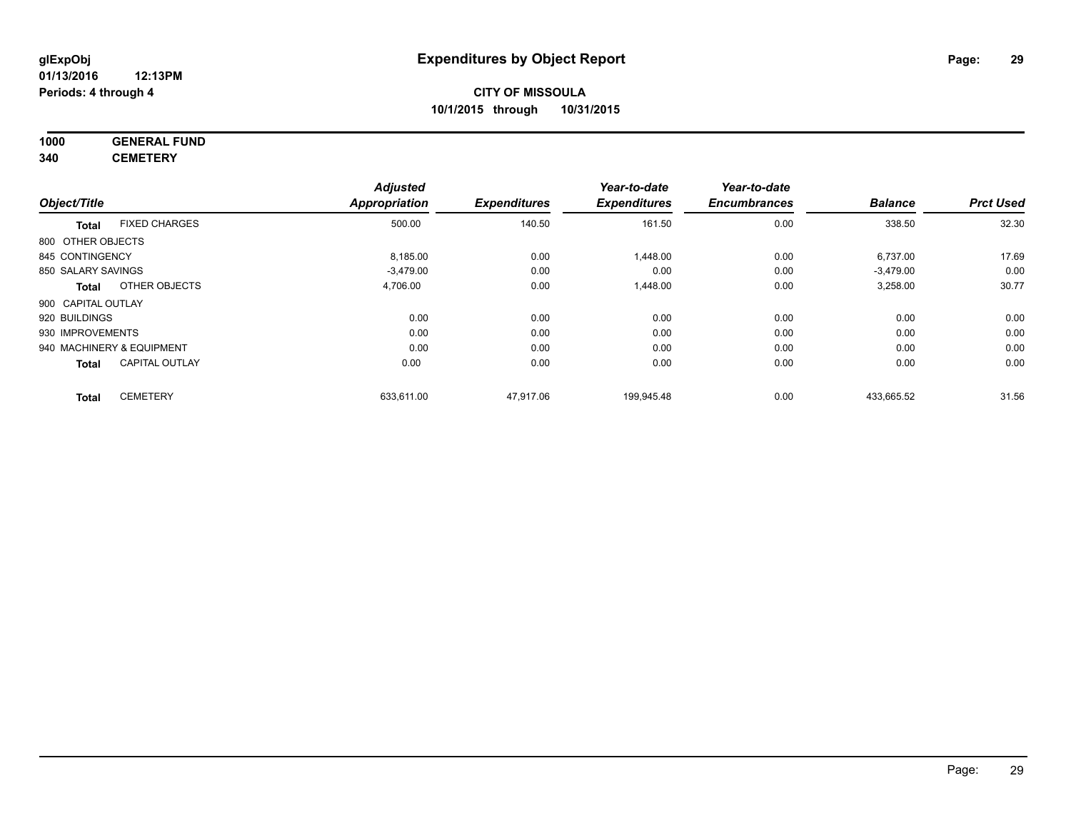#### **1000 GENERAL FUND 340 CEMETERY**

|                           |                       | <b>Adjusted</b>      |                     | Year-to-date        | Year-to-date        |                |                  |
|---------------------------|-----------------------|----------------------|---------------------|---------------------|---------------------|----------------|------------------|
| Object/Title              |                       | <b>Appropriation</b> | <b>Expenditures</b> | <b>Expenditures</b> | <b>Encumbrances</b> | <b>Balance</b> | <b>Prct Used</b> |
| <b>Total</b>              | <b>FIXED CHARGES</b>  | 500.00               | 140.50              | 161.50              | 0.00                | 338.50         | 32.30            |
| 800 OTHER OBJECTS         |                       |                      |                     |                     |                     |                |                  |
| 845 CONTINGENCY           |                       | 8,185.00             | 0.00                | 1,448.00            | 0.00                | 6,737.00       | 17.69            |
| 850 SALARY SAVINGS        |                       | $-3,479.00$          | 0.00                | 0.00                | 0.00                | $-3,479.00$    | 0.00             |
| <b>Total</b>              | OTHER OBJECTS         | 4,706.00             | 0.00                | 1,448.00            | 0.00                | 3,258.00       | 30.77            |
| 900 CAPITAL OUTLAY        |                       |                      |                     |                     |                     |                |                  |
| 920 BUILDINGS             |                       | 0.00                 | 0.00                | 0.00                | 0.00                | 0.00           | 0.00             |
| 930 IMPROVEMENTS          |                       | 0.00                 | 0.00                | 0.00                | 0.00                | 0.00           | 0.00             |
| 940 MACHINERY & EQUIPMENT |                       | 0.00                 | 0.00                | 0.00                | 0.00                | 0.00           | 0.00             |
| <b>Total</b>              | <b>CAPITAL OUTLAY</b> | 0.00                 | 0.00                | 0.00                | 0.00                | 0.00           | 0.00             |
| <b>Total</b>              | <b>CEMETERY</b>       | 633,611.00           | 47,917.06           | 199,945.48          | 0.00                | 433,665.52     | 31.56            |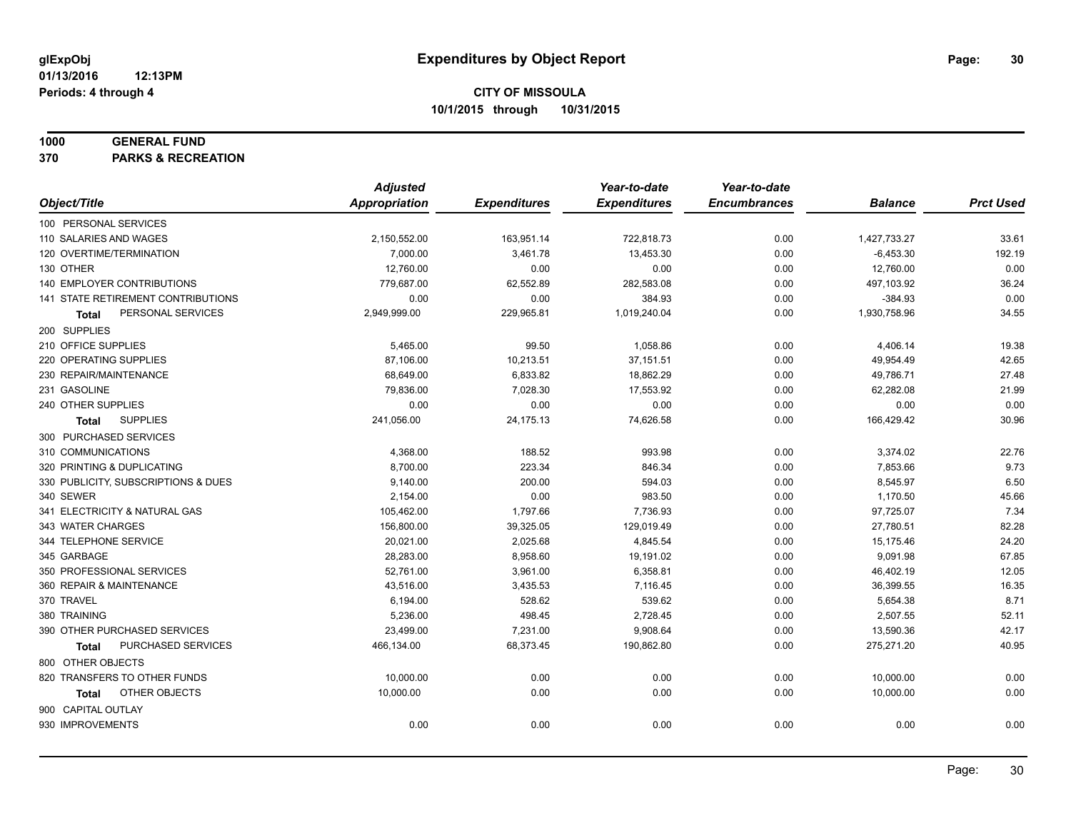#### **1000 GENERAL FUND**

**370 PARKS & RECREATION**

|                                     | <b>Adjusted</b> |                     | Year-to-date        | Year-to-date        |                |                  |
|-------------------------------------|-----------------|---------------------|---------------------|---------------------|----------------|------------------|
| Object/Title                        | Appropriation   | <b>Expenditures</b> | <b>Expenditures</b> | <b>Encumbrances</b> | <b>Balance</b> | <b>Prct Used</b> |
| 100 PERSONAL SERVICES               |                 |                     |                     |                     |                |                  |
| 110 SALARIES AND WAGES              | 2,150,552.00    | 163,951.14          | 722,818.73          | 0.00                | 1,427,733.27   | 33.61            |
| 120 OVERTIME/TERMINATION            | 7,000.00        | 3,461.78            | 13,453.30           | 0.00                | $-6,453.30$    | 192.19           |
| 130 OTHER                           | 12,760.00       | 0.00                | 0.00                | 0.00                | 12,760.00      | 0.00             |
| 140 EMPLOYER CONTRIBUTIONS          | 779,687.00      | 62,552.89           | 282,583.08          | 0.00                | 497,103.92     | 36.24            |
| 141 STATE RETIREMENT CONTRIBUTIONS  | 0.00            | 0.00                | 384.93              | 0.00                | $-384.93$      | 0.00             |
| PERSONAL SERVICES<br>Total          | 2,949,999.00    | 229,965.81          | 1,019,240.04        | 0.00                | 1,930,758.96   | 34.55            |
| 200 SUPPLIES                        |                 |                     |                     |                     |                |                  |
| 210 OFFICE SUPPLIES                 | 5,465.00        | 99.50               | 1,058.86            | 0.00                | 4,406.14       | 19.38            |
| 220 OPERATING SUPPLIES              | 87,106.00       | 10,213.51           | 37,151.51           | 0.00                | 49,954.49      | 42.65            |
| 230 REPAIR/MAINTENANCE              | 68,649.00       | 6,833.82            | 18,862.29           | 0.00                | 49,786.71      | 27.48            |
| 231 GASOLINE                        | 79,836.00       | 7,028.30            | 17,553.92           | 0.00                | 62,282.08      | 21.99            |
| 240 OTHER SUPPLIES                  | 0.00            | 0.00                | 0.00                | 0.00                | 0.00           | 0.00             |
| <b>SUPPLIES</b><br>Total            | 241,056.00      | 24,175.13           | 74,626.58           | 0.00                | 166,429.42     | 30.96            |
| 300 PURCHASED SERVICES              |                 |                     |                     |                     |                |                  |
| 310 COMMUNICATIONS                  | 4,368.00        | 188.52              | 993.98              | 0.00                | 3,374.02       | 22.76            |
| 320 PRINTING & DUPLICATING          | 8,700.00        | 223.34              | 846.34              | 0.00                | 7,853.66       | 9.73             |
| 330 PUBLICITY, SUBSCRIPTIONS & DUES | 9,140.00        | 200.00              | 594.03              | 0.00                | 8,545.97       | 6.50             |
| 340 SEWER                           | 2,154.00        | 0.00                | 983.50              | 0.00                | 1,170.50       | 45.66            |
| 341 ELECTRICITY & NATURAL GAS       | 105,462.00      | 1,797.66            | 7,736.93            | 0.00                | 97,725.07      | 7.34             |
| 343 WATER CHARGES                   | 156,800.00      | 39,325.05           | 129,019.49          | 0.00                | 27,780.51      | 82.28            |
| 344 TELEPHONE SERVICE               | 20,021.00       | 2,025.68            | 4,845.54            | 0.00                | 15,175.46      | 24.20            |
| 345 GARBAGE                         | 28,283.00       | 8,958.60            | 19,191.02           | 0.00                | 9,091.98       | 67.85            |
| 350 PROFESSIONAL SERVICES           | 52,761.00       | 3,961.00            | 6,358.81            | 0.00                | 46,402.19      | 12.05            |
| 360 REPAIR & MAINTENANCE            | 43,516.00       | 3,435.53            | 7,116.45            | 0.00                | 36,399.55      | 16.35            |
| 370 TRAVEL                          | 6,194.00        | 528.62              | 539.62              | 0.00                | 5,654.38       | 8.71             |
| 380 TRAINING                        | 5,236.00        | 498.45              | 2,728.45            | 0.00                | 2,507.55       | 52.11            |
| 390 OTHER PURCHASED SERVICES        | 23,499.00       | 7,231.00            | 9,908.64            | 0.00                | 13,590.36      | 42.17            |
| PURCHASED SERVICES<br>Total         | 466,134.00      | 68,373.45           | 190,862.80          | 0.00                | 275,271.20     | 40.95            |
| 800 OTHER OBJECTS                   |                 |                     |                     |                     |                |                  |
| 820 TRANSFERS TO OTHER FUNDS        | 10,000.00       | 0.00                | 0.00                | 0.00                | 10,000.00      | 0.00             |
| OTHER OBJECTS<br>Total              | 10,000.00       | 0.00                | 0.00                | 0.00                | 10,000.00      | 0.00             |
| 900 CAPITAL OUTLAY                  |                 |                     |                     |                     |                |                  |
| 930 IMPROVEMENTS                    | 0.00            | 0.00                | 0.00                | 0.00                | 0.00           | 0.00             |
|                                     |                 |                     |                     |                     |                |                  |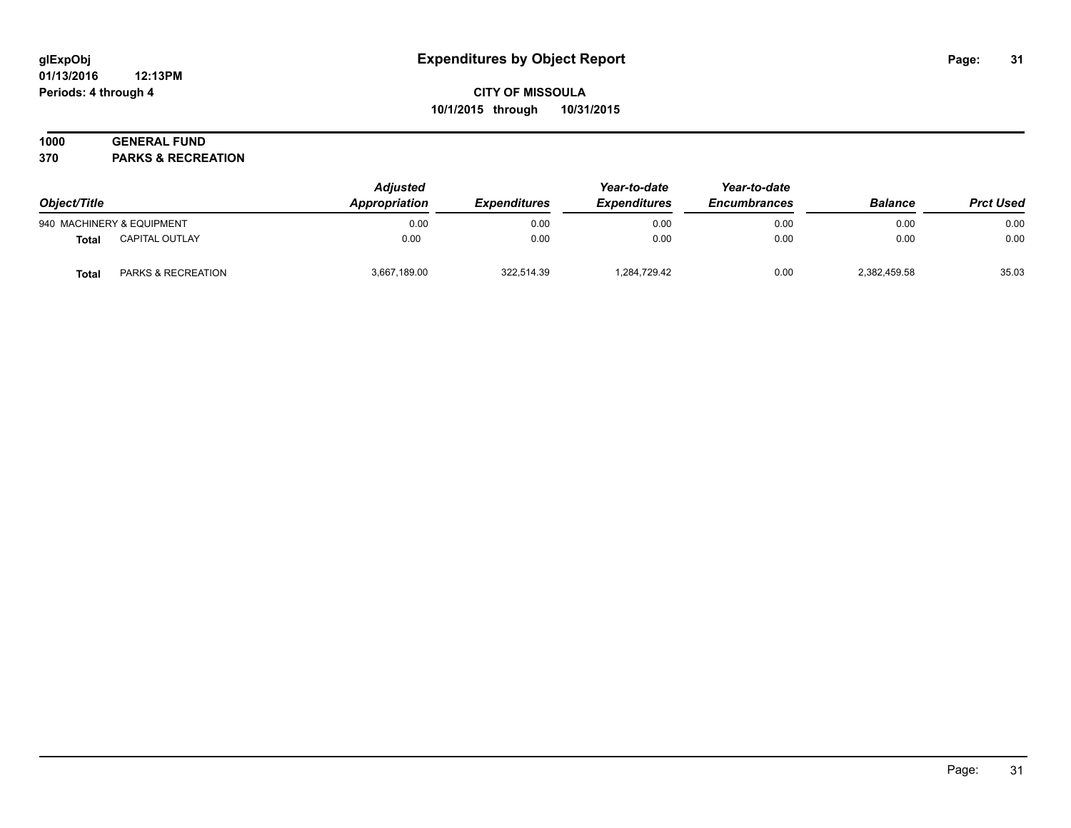#### **01/13/2016 12:13PM Periods: 4 through 4**

# **CITY OF MISSOULA 10/1/2015 through 10/31/2015**

# **1000 GENERAL FUND**

**370 PARKS & RECREATION**

| Object/Title |                           | <b>Adjusted</b><br>Appropriation | <i><b>Expenditures</b></i> | Year-to-date<br><b>Expenditures</b> | Year-to-date<br><b>Encumbrances</b> | <b>Balance</b> | <b>Prct Used</b> |
|--------------|---------------------------|----------------------------------|----------------------------|-------------------------------------|-------------------------------------|----------------|------------------|
|              | 940 MACHINERY & EQUIPMENT | 0.00                             | 0.00                       | 0.00                                | 0.00                                | 0.00           | 0.00             |
| Total        | <b>CAPITAL OUTLAY</b>     | 0.00                             | 0.00                       | 0.00                                | 0.00                                | 0.00           | 0.00             |
| <b>Total</b> | PARKS & RECREATION        | 3,667,189.00                     | 322.514.39                 | 1.284.729.42                        | 0.00                                | 2,382,459.58   | 35.03            |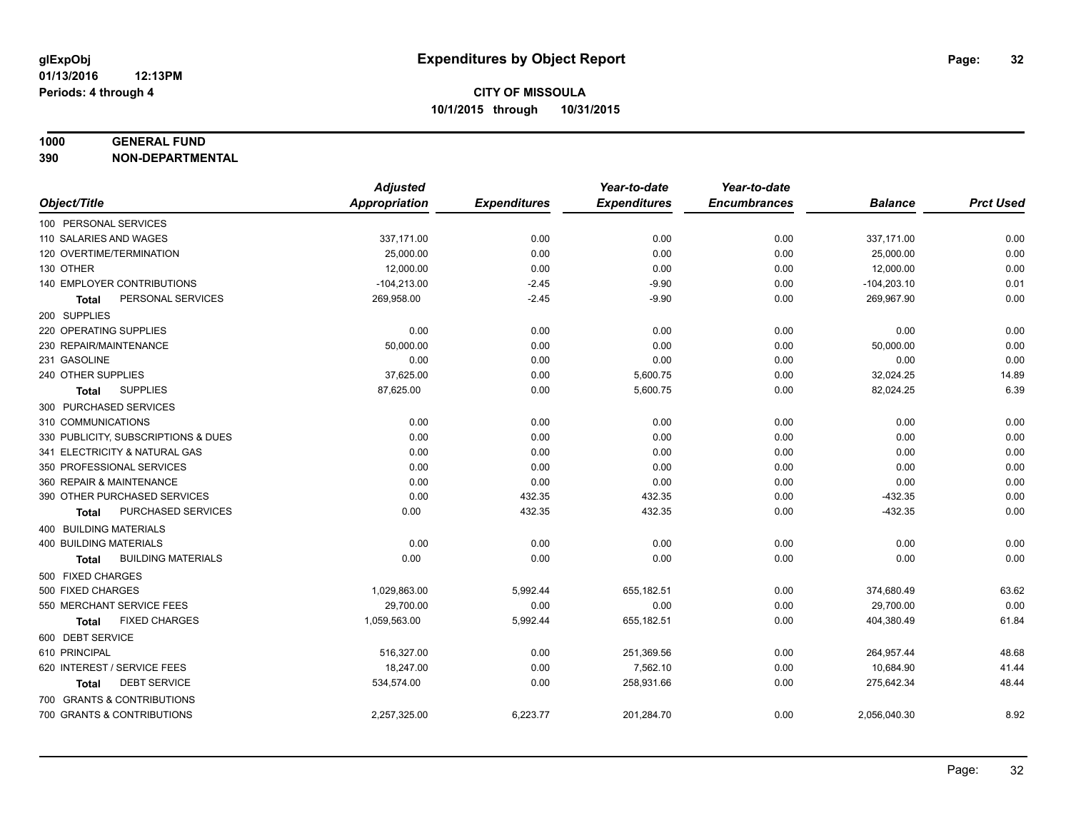# **1000 GENERAL FUND**

**390 NON-DEPARTMENTAL**

|                                           | <b>Adjusted</b> |                     | Year-to-date        | Year-to-date        |                |                  |
|-------------------------------------------|-----------------|---------------------|---------------------|---------------------|----------------|------------------|
| Object/Title                              | Appropriation   | <b>Expenditures</b> | <b>Expenditures</b> | <b>Encumbrances</b> | <b>Balance</b> | <b>Prct Used</b> |
| 100 PERSONAL SERVICES                     |                 |                     |                     |                     |                |                  |
| 110 SALARIES AND WAGES                    | 337,171.00      | 0.00                | 0.00                | 0.00                | 337,171.00     | 0.00             |
| 120 OVERTIME/TERMINATION                  | 25,000.00       | 0.00                | 0.00                | 0.00                | 25,000.00      | 0.00             |
| 130 OTHER                                 | 12,000.00       | 0.00                | 0.00                | 0.00                | 12,000.00      | 0.00             |
| 140 EMPLOYER CONTRIBUTIONS                | $-104,213.00$   | $-2.45$             | $-9.90$             | 0.00                | $-104,203.10$  | 0.01             |
| PERSONAL SERVICES<br><b>Total</b>         | 269,958.00      | $-2.45$             | $-9.90$             | 0.00                | 269,967.90     | 0.00             |
| 200 SUPPLIES                              |                 |                     |                     |                     |                |                  |
| 220 OPERATING SUPPLIES                    | 0.00            | 0.00                | 0.00                | 0.00                | 0.00           | 0.00             |
| 230 REPAIR/MAINTENANCE                    | 50,000.00       | 0.00                | 0.00                | 0.00                | 50,000.00      | 0.00             |
| 231 GASOLINE                              | 0.00            | 0.00                | 0.00                | 0.00                | 0.00           | 0.00             |
| 240 OTHER SUPPLIES                        | 37,625.00       | 0.00                | 5,600.75            | 0.00                | 32,024.25      | 14.89            |
| <b>SUPPLIES</b><br>Total                  | 87,625.00       | 0.00                | 5,600.75            | 0.00                | 82,024.25      | 6.39             |
| 300 PURCHASED SERVICES                    |                 |                     |                     |                     |                |                  |
| 310 COMMUNICATIONS                        | 0.00            | 0.00                | 0.00                | 0.00                | 0.00           | 0.00             |
| 330 PUBLICITY, SUBSCRIPTIONS & DUES       | 0.00            | 0.00                | 0.00                | 0.00                | 0.00           | 0.00             |
| 341 ELECTRICITY & NATURAL GAS             | 0.00            | 0.00                | 0.00                | 0.00                | 0.00           | 0.00             |
| 350 PROFESSIONAL SERVICES                 | 0.00            | 0.00                | 0.00                | 0.00                | 0.00           | 0.00             |
| 360 REPAIR & MAINTENANCE                  | 0.00            | 0.00                | 0.00                | 0.00                | 0.00           | 0.00             |
| 390 OTHER PURCHASED SERVICES              | 0.00            | 432.35              | 432.35              | 0.00                | $-432.35$      | 0.00             |
| PURCHASED SERVICES<br>Total               | 0.00            | 432.35              | 432.35              | 0.00                | $-432.35$      | 0.00             |
| <b>400 BUILDING MATERIALS</b>             |                 |                     |                     |                     |                |                  |
| <b>400 BUILDING MATERIALS</b>             | 0.00            | 0.00                | 0.00                | 0.00                | 0.00           | 0.00             |
| <b>BUILDING MATERIALS</b><br><b>Total</b> | 0.00            | 0.00                | 0.00                | 0.00                | 0.00           | 0.00             |
| 500 FIXED CHARGES                         |                 |                     |                     |                     |                |                  |
| 500 FIXED CHARGES                         | 1,029,863.00    | 5,992.44            | 655,182.51          | 0.00                | 374,680.49     | 63.62            |
| 550 MERCHANT SERVICE FEES                 | 29,700.00       | 0.00                | 0.00                | 0.00                | 29,700.00      | 0.00             |
| <b>FIXED CHARGES</b><br><b>Total</b>      | 1,059,563.00    | 5,992.44            | 655,182.51          | 0.00                | 404,380.49     | 61.84            |
| 600 DEBT SERVICE                          |                 |                     |                     |                     |                |                  |
| 610 PRINCIPAL                             | 516,327.00      | 0.00                | 251,369.56          | 0.00                | 264,957.44     | 48.68            |
| 620 INTEREST / SERVICE FEES               | 18,247.00       | 0.00                | 7,562.10            | 0.00                | 10,684.90      | 41.44            |
| <b>DEBT SERVICE</b><br>Total              | 534,574.00      | 0.00                | 258,931.66          | 0.00                | 275,642.34     | 48.44            |
| 700 GRANTS & CONTRIBUTIONS                |                 |                     |                     |                     |                |                  |
| 700 GRANTS & CONTRIBUTIONS                | 2,257,325.00    | 6,223.77            | 201,284.70          | 0.00                | 2,056,040.30   | 8.92             |
|                                           |                 |                     |                     |                     |                |                  |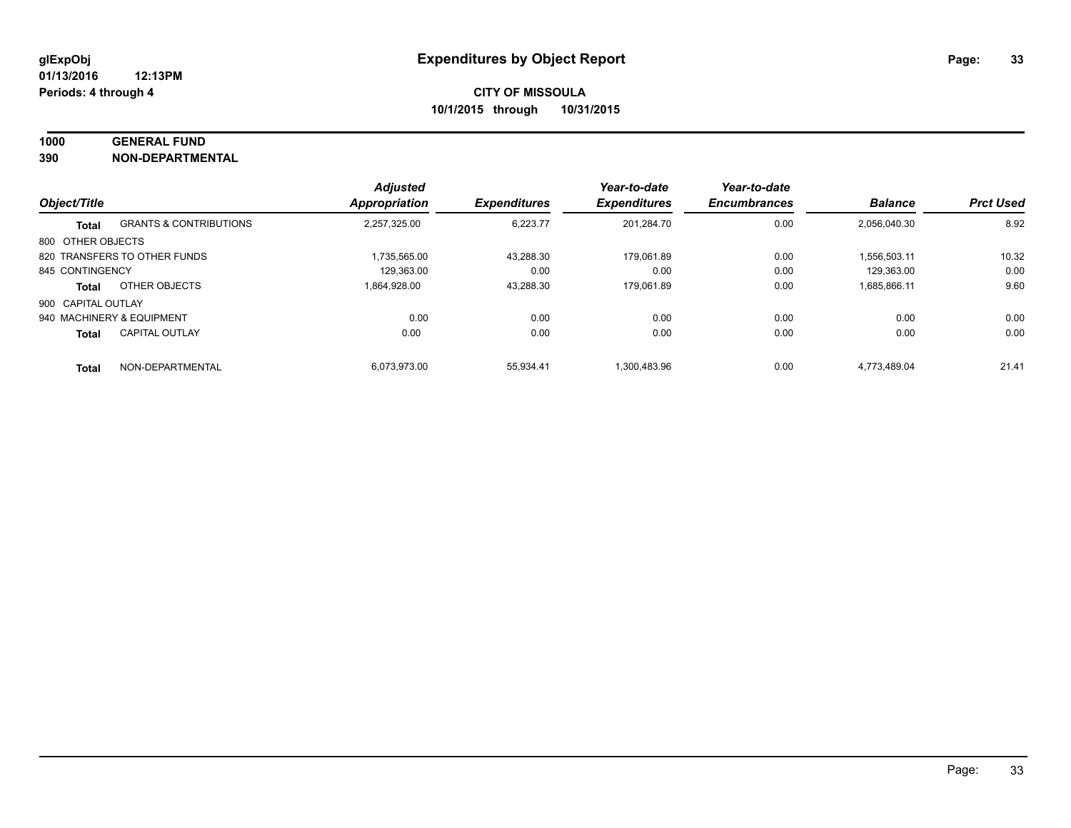# **1000 GENERAL FUND**

**390 NON-DEPARTMENTAL**

| Object/Title       |                                   | <b>Adjusted</b><br><b>Appropriation</b> |                     | Year-to-date<br><b>Expenditures</b> | Year-to-date<br><b>Encumbrances</b> | <b>Balance</b> | <b>Prct Used</b> |
|--------------------|-----------------------------------|-----------------------------------------|---------------------|-------------------------------------|-------------------------------------|----------------|------------------|
|                    |                                   |                                         | <b>Expenditures</b> |                                     |                                     |                |                  |
| Total              | <b>GRANTS &amp; CONTRIBUTIONS</b> | 2,257,325.00                            | 6,223.77            | 201,284.70                          | 0.00                                | 2,056,040.30   | 8.92             |
| 800 OTHER OBJECTS  |                                   |                                         |                     |                                     |                                     |                |                  |
|                    | 820 TRANSFERS TO OTHER FUNDS      | 1.735.565.00                            | 43.288.30           | 179.061.89                          | 0.00                                | 1.556.503.11   | 10.32            |
| 845 CONTINGENCY    |                                   | 129.363.00                              | 0.00                | 0.00                                | 0.00                                | 129.363.00     | 0.00             |
| Total              | OTHER OBJECTS                     | 1,864,928.00                            | 43,288.30           | 179,061.89                          | 0.00                                | 1,685,866.11   | 9.60             |
| 900 CAPITAL OUTLAY |                                   |                                         |                     |                                     |                                     |                |                  |
|                    | 940 MACHINERY & EQUIPMENT         | 0.00                                    | 0.00                | 0.00                                | 0.00                                | 0.00           | 0.00             |
| <b>Total</b>       | <b>CAPITAL OUTLAY</b>             | 0.00                                    | 0.00                | 0.00                                | 0.00                                | 0.00           | 0.00             |
| <b>Total</b>       | NON-DEPARTMENTAL                  | 6.073.973.00                            | 55.934.41           | 1.300.483.96                        | 0.00                                | 4.773.489.04   | 21.41            |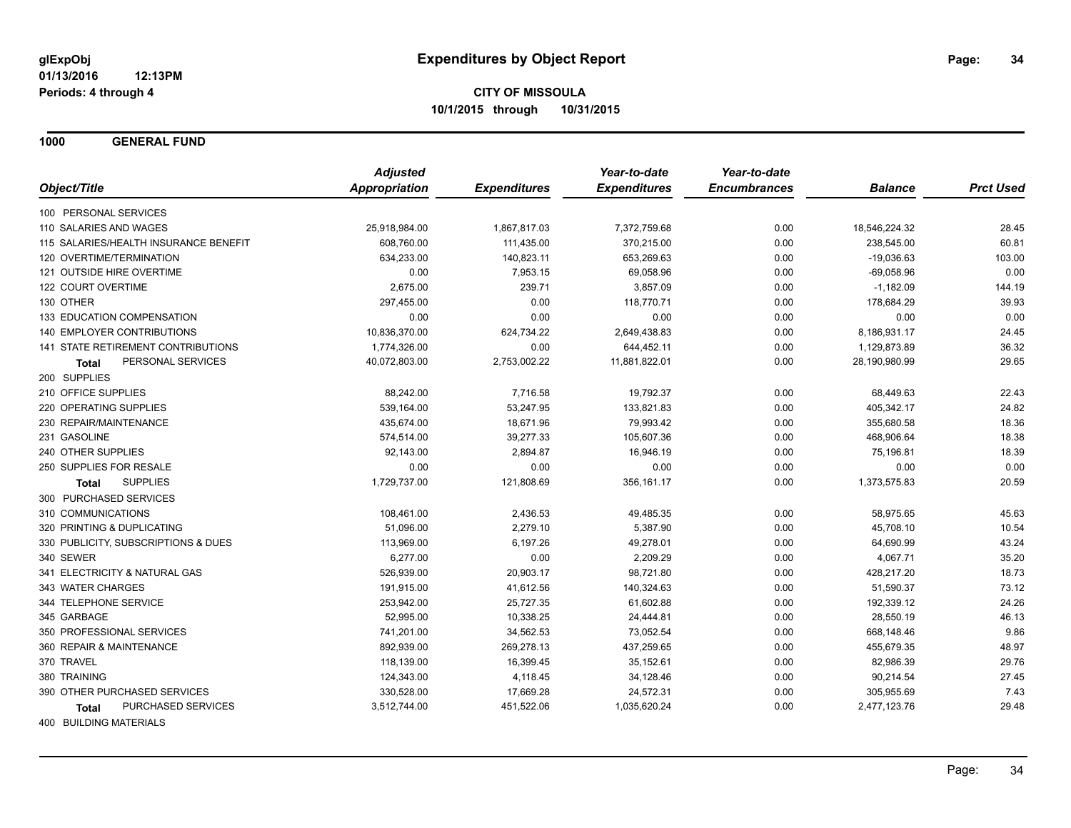**1000 GENERAL FUND**

|                                           | <b>Adjusted</b> |                     | Year-to-date        | Year-to-date        |                |                  |
|-------------------------------------------|-----------------|---------------------|---------------------|---------------------|----------------|------------------|
| Object/Title                              | Appropriation   | <b>Expenditures</b> | <b>Expenditures</b> | <b>Encumbrances</b> | <b>Balance</b> | <b>Prct Used</b> |
| 100 PERSONAL SERVICES                     |                 |                     |                     |                     |                |                  |
| 110 SALARIES AND WAGES                    | 25,918,984.00   | 1,867,817.03        | 7,372,759.68        | 0.00                | 18,546,224.32  | 28.45            |
| 115 SALARIES/HEALTH INSURANCE BENEFIT     | 608,760.00      | 111,435.00          | 370,215.00          | 0.00                | 238,545.00     | 60.81            |
| 120 OVERTIME/TERMINATION                  | 634,233.00      | 140,823.11          | 653,269.63          | 0.00                | $-19,036.63$   | 103.00           |
| 121 OUTSIDE HIRE OVERTIME                 | 0.00            | 7,953.15            | 69,058.96           | 0.00                | $-69,058.96$   | 0.00             |
| 122 COURT OVERTIME                        | 2,675.00        | 239.71              | 3,857.09            | 0.00                | $-1,182.09$    | 144.19           |
| 130 OTHER                                 | 297,455.00      | 0.00                | 118,770.71          | 0.00                | 178,684.29     | 39.93            |
| 133 EDUCATION COMPENSATION                | 0.00            | 0.00                | 0.00                | 0.00                | 0.00           | 0.00             |
| 140 EMPLOYER CONTRIBUTIONS                | 10,836,370.00   | 624,734.22          | 2,649,438.83        | 0.00                | 8,186,931.17   | 24.45            |
| <b>141 STATE RETIREMENT CONTRIBUTIONS</b> | 1,774,326.00    | 0.00                | 644,452.11          | 0.00                | 1,129,873.89   | 36.32            |
| PERSONAL SERVICES<br><b>Total</b>         | 40,072,803.00   | 2,753,002.22        | 11,881,822.01       | 0.00                | 28,190,980.99  | 29.65            |
| 200 SUPPLIES                              |                 |                     |                     |                     |                |                  |
| 210 OFFICE SUPPLIES                       | 88,242.00       | 7,716.58            | 19,792.37           | 0.00                | 68,449.63      | 22.43            |
| 220 OPERATING SUPPLIES                    | 539,164.00      | 53,247.95           | 133,821.83          | 0.00                | 405,342.17     | 24.82            |
| 230 REPAIR/MAINTENANCE                    | 435,674.00      | 18,671.96           | 79,993.42           | 0.00                | 355,680.58     | 18.36            |
| 231 GASOLINE                              | 574,514.00      | 39,277.33           | 105,607.36          | 0.00                | 468,906.64     | 18.38            |
| 240 OTHER SUPPLIES                        | 92,143.00       | 2,894.87            | 16,946.19           | 0.00                | 75,196.81      | 18.39            |
| 250 SUPPLIES FOR RESALE                   | 0.00            | 0.00                | 0.00                | 0.00                | 0.00           | 0.00             |
| <b>SUPPLIES</b><br><b>Total</b>           | 1,729,737.00    | 121,808.69          | 356,161.17          | 0.00                | 1,373,575.83   | 20.59            |
| 300 PURCHASED SERVICES                    |                 |                     |                     |                     |                |                  |
| 310 COMMUNICATIONS                        | 108,461.00      | 2,436.53            | 49,485.35           | 0.00                | 58,975.65      | 45.63            |
| 320 PRINTING & DUPLICATING                | 51,096.00       | 2,279.10            | 5,387.90            | 0.00                | 45,708.10      | 10.54            |
| 330 PUBLICITY, SUBSCRIPTIONS & DUES       | 113,969.00      | 6,197.26            | 49,278.01           | 0.00                | 64,690.99      | 43.24            |
| 340 SEWER                                 | 6,277.00        | 0.00                | 2,209.29            | 0.00                | 4,067.71       | 35.20            |
| 341 ELECTRICITY & NATURAL GAS             | 526,939.00      | 20,903.17           | 98,721.80           | 0.00                | 428,217.20     | 18.73            |
| 343 WATER CHARGES                         | 191,915.00      | 41,612.56           | 140,324.63          | 0.00                | 51,590.37      | 73.12            |
| 344 TELEPHONE SERVICE                     | 253,942.00      | 25,727.35           | 61,602.88           | 0.00                | 192,339.12     | 24.26            |
| 345 GARBAGE                               | 52,995.00       | 10,338.25           | 24,444.81           | 0.00                | 28,550.19      | 46.13            |
| 350 PROFESSIONAL SERVICES                 | 741,201.00      | 34,562.53           | 73,052.54           | 0.00                | 668,148.46     | 9.86             |
| 360 REPAIR & MAINTENANCE                  | 892,939.00      | 269,278.13          | 437,259.65          | 0.00                | 455,679.35     | 48.97            |
| 370 TRAVEL                                | 118,139.00      | 16,399.45           | 35,152.61           | 0.00                | 82,986.39      | 29.76            |
| 380 TRAINING                              | 124,343.00      | 4,118.45            | 34,128.46           | 0.00                | 90,214.54      | 27.45            |
| 390 OTHER PURCHASED SERVICES              | 330,528.00      | 17,669.28           | 24,572.31           | 0.00                | 305,955.69     | 7.43             |
| <b>PURCHASED SERVICES</b><br>Total        | 3,512,744.00    | 451,522.06          | 1,035,620.24        | 0.00                | 2,477,123.76   | 29.48            |
|                                           |                 |                     |                     |                     |                |                  |

400 BUILDING MATERIALS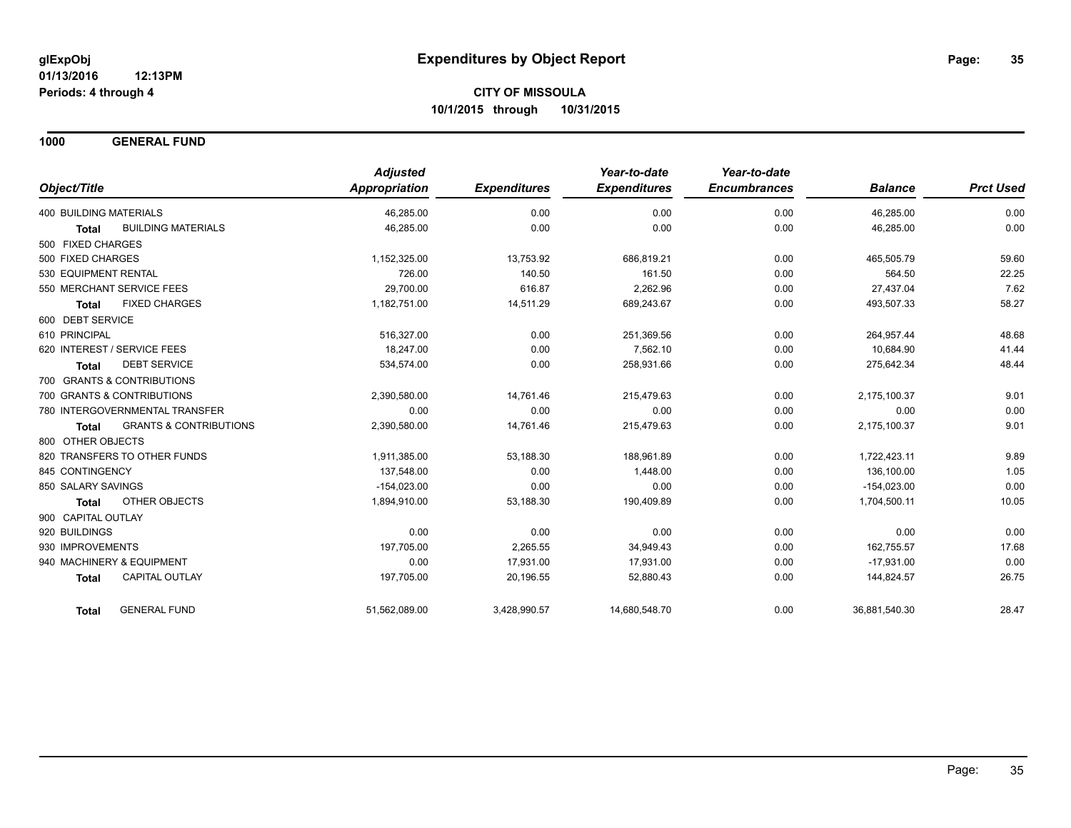**1000 GENERAL FUND**

|                                            | <b>Adjusted</b> |                     | Year-to-date        | Year-to-date        |                |                  |
|--------------------------------------------|-----------------|---------------------|---------------------|---------------------|----------------|------------------|
| Object/Title                               | Appropriation   | <b>Expenditures</b> | <b>Expenditures</b> | <b>Encumbrances</b> | <b>Balance</b> | <b>Prct Used</b> |
| 400 BUILDING MATERIALS                     | 46,285.00       | 0.00                | 0.00                | 0.00                | 46,285.00      | 0.00             |
| <b>BUILDING MATERIALS</b><br><b>Total</b>  | 46,285.00       | 0.00                | 0.00                | 0.00                | 46,285.00      | 0.00             |
| 500 FIXED CHARGES                          |                 |                     |                     |                     |                |                  |
| 500 FIXED CHARGES                          | 1,152,325.00    | 13,753.92           | 686,819.21          | 0.00                | 465,505.79     | 59.60            |
| 530 EQUIPMENT RENTAL                       | 726.00          | 140.50              | 161.50              | 0.00                | 564.50         | 22.25            |
| 550 MERCHANT SERVICE FEES                  | 29,700.00       | 616.87              | 2.262.96            | 0.00                | 27.437.04      | 7.62             |
| <b>FIXED CHARGES</b><br><b>Total</b>       | 1,182,751.00    | 14,511.29           | 689,243.67          | 0.00                | 493,507.33     | 58.27            |
| 600 DEBT SERVICE                           |                 |                     |                     |                     |                |                  |
| 610 PRINCIPAL                              | 516,327.00      | 0.00                | 251,369.56          | 0.00                | 264,957.44     | 48.68            |
| 620 INTEREST / SERVICE FEES                | 18,247.00       | 0.00                | 7,562.10            | 0.00                | 10,684.90      | 41.44            |
| <b>DEBT SERVICE</b><br>Total               | 534,574.00      | 0.00                | 258,931.66          | 0.00                | 275,642.34     | 48.44            |
| 700 GRANTS & CONTRIBUTIONS                 |                 |                     |                     |                     |                |                  |
| 700 GRANTS & CONTRIBUTIONS                 | 2,390,580.00    | 14,761.46           | 215,479.63          | 0.00                | 2,175,100.37   | 9.01             |
| 780 INTERGOVERNMENTAL TRANSFER             | 0.00            | 0.00                | 0.00                | 0.00                | 0.00           | 0.00             |
| <b>GRANTS &amp; CONTRIBUTIONS</b><br>Total | 2,390,580.00    | 14,761.46           | 215,479.63          | 0.00                | 2,175,100.37   | 9.01             |
| 800 OTHER OBJECTS                          |                 |                     |                     |                     |                |                  |
| 820 TRANSFERS TO OTHER FUNDS               | 1,911,385.00    | 53,188.30           | 188,961.89          | 0.00                | 1,722,423.11   | 9.89             |
| 845 CONTINGENCY                            | 137,548.00      | 0.00                | 1,448.00            | 0.00                | 136,100.00     | 1.05             |
| 850 SALARY SAVINGS                         | $-154,023.00$   | 0.00                | 0.00                | 0.00                | $-154,023.00$  | 0.00             |
| OTHER OBJECTS<br>Total                     | 1,894,910.00    | 53,188.30           | 190,409.89          | 0.00                | 1,704,500.11   | 10.05            |
| 900 CAPITAL OUTLAY                         |                 |                     |                     |                     |                |                  |
| 920 BUILDINGS                              | 0.00            | 0.00                | 0.00                | 0.00                | 0.00           | 0.00             |
| 930 IMPROVEMENTS                           | 197,705.00      | 2,265.55            | 34,949.43           | 0.00                | 162,755.57     | 17.68            |
| 940 MACHINERY & EQUIPMENT                  | 0.00            | 17,931.00           | 17,931.00           | 0.00                | $-17,931.00$   | 0.00             |
| CAPITAL OUTLAY<br><b>Total</b>             | 197,705.00      | 20,196.55           | 52,880.43           | 0.00                | 144,824.57     | 26.75            |
| <b>GENERAL FUND</b><br>Total               | 51,562,089.00   | 3,428,990.57        | 14,680,548.70       | 0.00                | 36,881,540.30  | 28.47            |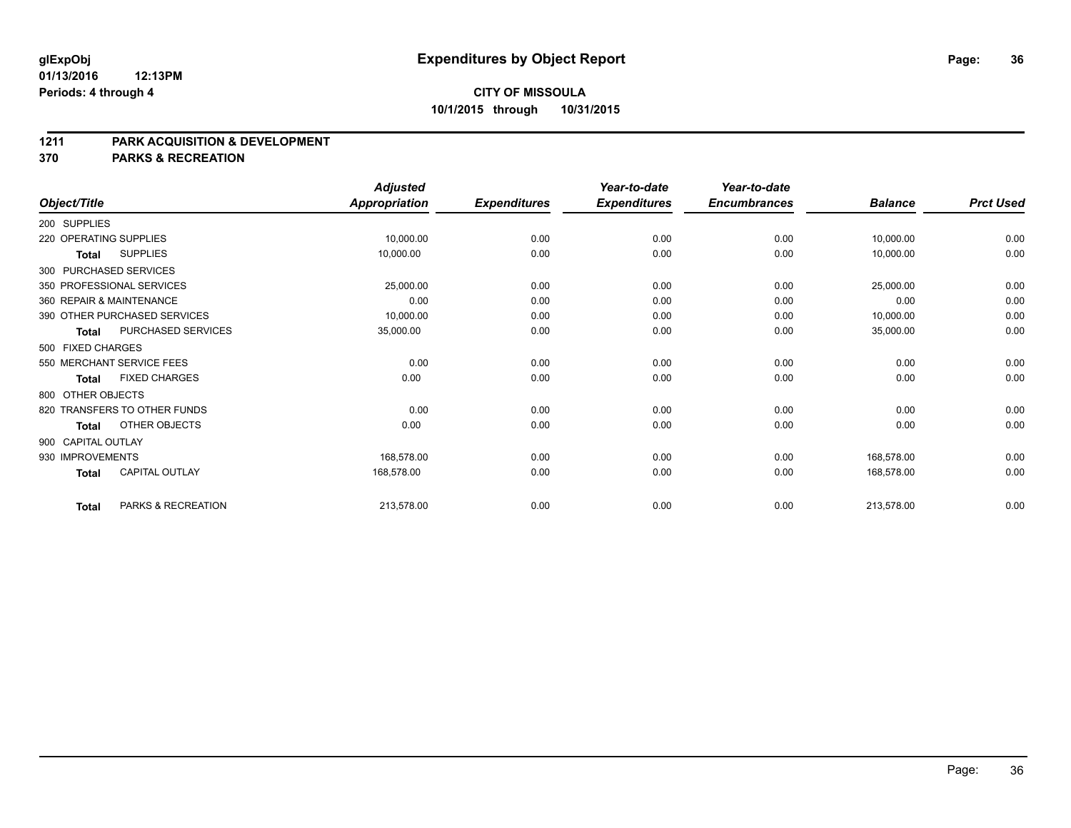#### **1211 PARK ACQUISITION & DEVELOPMENT**

**370 PARKS & RECREATION**

|                        |                              | <b>Adjusted</b>      |                     | Year-to-date        | Year-to-date        |                |                  |
|------------------------|------------------------------|----------------------|---------------------|---------------------|---------------------|----------------|------------------|
| Object/Title           |                              | <b>Appropriation</b> | <b>Expenditures</b> | <b>Expenditures</b> | <b>Encumbrances</b> | <b>Balance</b> | <b>Prct Used</b> |
| 200 SUPPLIES           |                              |                      |                     |                     |                     |                |                  |
| 220 OPERATING SUPPLIES |                              | 10,000.00            | 0.00                | 0.00                | 0.00                | 10,000.00      | 0.00             |
| <b>Total</b>           | <b>SUPPLIES</b>              | 10,000.00            | 0.00                | 0.00                | 0.00                | 10,000.00      | 0.00             |
| 300 PURCHASED SERVICES |                              |                      |                     |                     |                     |                |                  |
|                        | 350 PROFESSIONAL SERVICES    | 25,000.00            | 0.00                | 0.00                | 0.00                | 25,000.00      | 0.00             |
|                        | 360 REPAIR & MAINTENANCE     | 0.00                 | 0.00                | 0.00                | 0.00                | 0.00           | 0.00             |
|                        | 390 OTHER PURCHASED SERVICES | 10,000.00            | 0.00                | 0.00                | 0.00                | 10,000.00      | 0.00             |
| Total                  | PURCHASED SERVICES           | 35,000.00            | 0.00                | 0.00                | 0.00                | 35,000.00      | 0.00             |
| 500 FIXED CHARGES      |                              |                      |                     |                     |                     |                |                  |
|                        | 550 MERCHANT SERVICE FEES    | 0.00                 | 0.00                | 0.00                | 0.00                | 0.00           | 0.00             |
| <b>Total</b>           | <b>FIXED CHARGES</b>         | 0.00                 | 0.00                | 0.00                | 0.00                | 0.00           | 0.00             |
| 800 OTHER OBJECTS      |                              |                      |                     |                     |                     |                |                  |
|                        | 820 TRANSFERS TO OTHER FUNDS | 0.00                 | 0.00                | 0.00                | 0.00                | 0.00           | 0.00             |
| Total                  | OTHER OBJECTS                | 0.00                 | 0.00                | 0.00                | 0.00                | 0.00           | 0.00             |
| 900 CAPITAL OUTLAY     |                              |                      |                     |                     |                     |                |                  |
| 930 IMPROVEMENTS       |                              | 168.578.00           | 0.00                | 0.00                | 0.00                | 168,578.00     | 0.00             |
| <b>Total</b>           | CAPITAL OUTLAY               | 168,578.00           | 0.00                | 0.00                | 0.00                | 168,578.00     | 0.00             |
| <b>Total</b>           | PARKS & RECREATION           | 213,578.00           | 0.00                | 0.00                | 0.00                | 213,578.00     | 0.00             |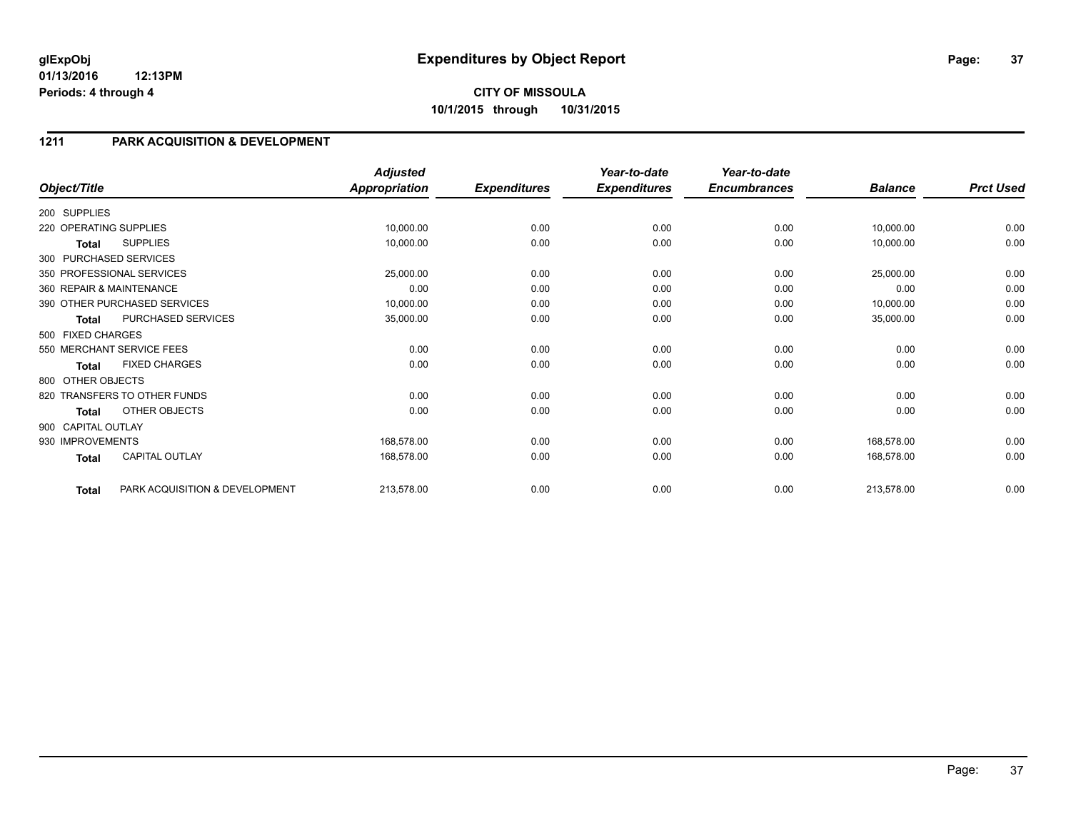# **CITY OF MISSOULA 10/1/2015 through 10/31/2015**

# **1211 PARK ACQUISITION & DEVELOPMENT**

| Object/Title           |                                | <b>Adjusted</b><br><b>Appropriation</b> | <b>Expenditures</b> | Year-to-date<br><b>Expenditures</b> | Year-to-date<br><b>Encumbrances</b> | <b>Balance</b> | <b>Prct Used</b> |
|------------------------|--------------------------------|-----------------------------------------|---------------------|-------------------------------------|-------------------------------------|----------------|------------------|
|                        |                                |                                         |                     |                                     |                                     |                |                  |
| 200 SUPPLIES           |                                |                                         |                     |                                     |                                     |                |                  |
| 220 OPERATING SUPPLIES |                                | 10,000.00                               | 0.00                | 0.00                                | 0.00                                | 10,000.00      | 0.00             |
| Total                  | <b>SUPPLIES</b>                | 10,000.00                               | 0.00                | 0.00                                | 0.00                                | 10,000.00      | 0.00             |
|                        | 300 PURCHASED SERVICES         |                                         |                     |                                     |                                     |                |                  |
|                        | 350 PROFESSIONAL SERVICES      | 25,000.00                               | 0.00                | 0.00                                | 0.00                                | 25,000.00      | 0.00             |
|                        | 360 REPAIR & MAINTENANCE       | 0.00                                    | 0.00                | 0.00                                | 0.00                                | 0.00           | 0.00             |
|                        | 390 OTHER PURCHASED SERVICES   | 10,000.00                               | 0.00                | 0.00                                | 0.00                                | 10,000.00      | 0.00             |
| <b>Total</b>           | PURCHASED SERVICES             | 35,000.00                               | 0.00                | 0.00                                | 0.00                                | 35,000.00      | 0.00             |
| 500 FIXED CHARGES      |                                |                                         |                     |                                     |                                     |                |                  |
|                        | 550 MERCHANT SERVICE FEES      | 0.00                                    | 0.00                | 0.00                                | 0.00                                | 0.00           | 0.00             |
| <b>Total</b>           | <b>FIXED CHARGES</b>           | 0.00                                    | 0.00                | 0.00                                | 0.00                                | 0.00           | 0.00             |
| 800 OTHER OBJECTS      |                                |                                         |                     |                                     |                                     |                |                  |
|                        | 820 TRANSFERS TO OTHER FUNDS   | 0.00                                    | 0.00                | 0.00                                | 0.00                                | 0.00           | 0.00             |
| <b>Total</b>           | OTHER OBJECTS                  | 0.00                                    | 0.00                | 0.00                                | 0.00                                | 0.00           | 0.00             |
| 900 CAPITAL OUTLAY     |                                |                                         |                     |                                     |                                     |                |                  |
| 930 IMPROVEMENTS       |                                | 168,578.00                              | 0.00                | 0.00                                | 0.00                                | 168,578.00     | 0.00             |
| <b>Total</b>           | <b>CAPITAL OUTLAY</b>          | 168,578.00                              | 0.00                | 0.00                                | 0.00                                | 168,578.00     | 0.00             |
| <b>Total</b>           | PARK ACQUISITION & DEVELOPMENT | 213,578.00                              | 0.00                | 0.00                                | 0.00                                | 213,578.00     | 0.00             |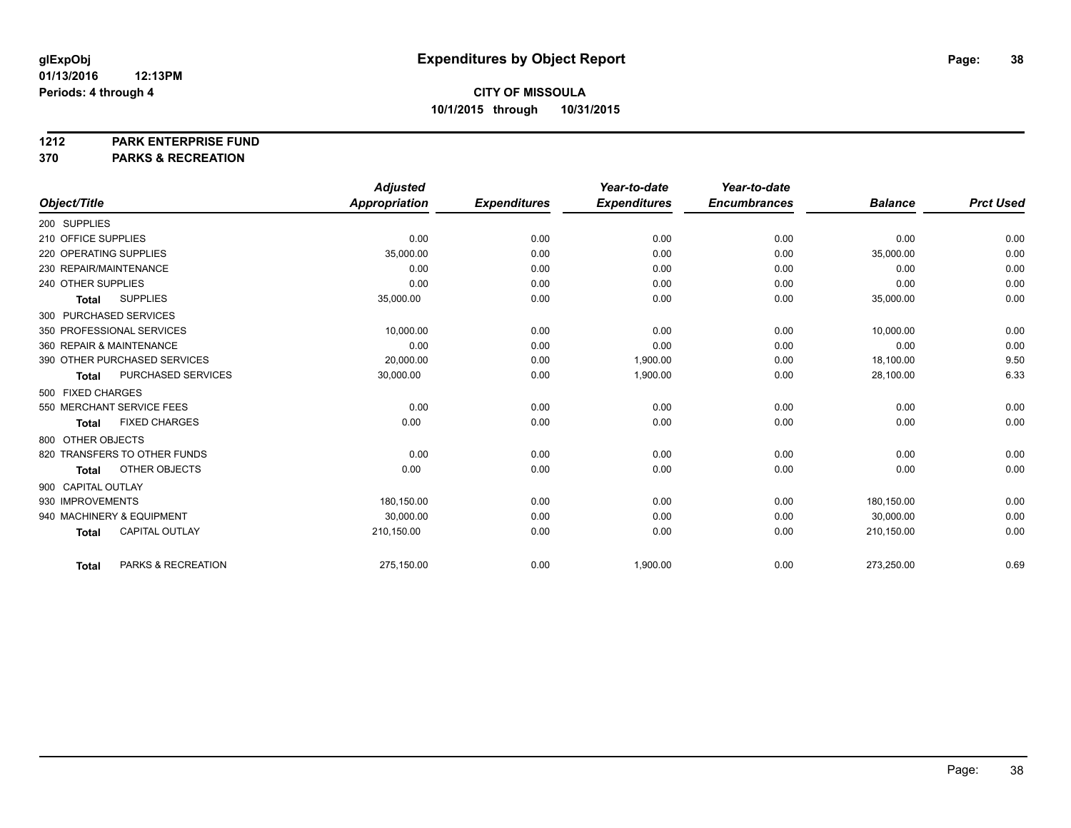**1212 PARK ENTERPRISE FUND**

**370 PARKS & RECREATION**

|                                       | <b>Adjusted</b> |                     | Year-to-date        | Year-to-date        |                |                  |
|---------------------------------------|-----------------|---------------------|---------------------|---------------------|----------------|------------------|
| Object/Title                          | Appropriation   | <b>Expenditures</b> | <b>Expenditures</b> | <b>Encumbrances</b> | <b>Balance</b> | <b>Prct Used</b> |
| 200 SUPPLIES                          |                 |                     |                     |                     |                |                  |
| 210 OFFICE SUPPLIES                   | 0.00            | 0.00                | 0.00                | 0.00                | 0.00           | 0.00             |
| 220 OPERATING SUPPLIES                | 35,000.00       | 0.00                | 0.00                | 0.00                | 35,000.00      | 0.00             |
| 230 REPAIR/MAINTENANCE                | 0.00            | 0.00                | 0.00                | 0.00                | 0.00           | 0.00             |
| 240 OTHER SUPPLIES                    | 0.00            | 0.00                | 0.00                | 0.00                | 0.00           | 0.00             |
| <b>SUPPLIES</b><br><b>Total</b>       | 35,000.00       | 0.00                | 0.00                | 0.00                | 35,000.00      | 0.00             |
| 300 PURCHASED SERVICES                |                 |                     |                     |                     |                |                  |
| 350 PROFESSIONAL SERVICES             | 10,000.00       | 0.00                | 0.00                | 0.00                | 10,000.00      | 0.00             |
| 360 REPAIR & MAINTENANCE              | 0.00            | 0.00                | 0.00                | 0.00                | 0.00           | 0.00             |
| 390 OTHER PURCHASED SERVICES          | 20,000.00       | 0.00                | 1,900.00            | 0.00                | 18,100.00      | 9.50             |
| PURCHASED SERVICES<br><b>Total</b>    | 30,000.00       | 0.00                | 1,900.00            | 0.00                | 28,100.00      | 6.33             |
| 500 FIXED CHARGES                     |                 |                     |                     |                     |                |                  |
| 550 MERCHANT SERVICE FEES             | 0.00            | 0.00                | 0.00                | 0.00                | 0.00           | 0.00             |
| <b>FIXED CHARGES</b><br><b>Total</b>  | 0.00            | 0.00                | 0.00                | 0.00                | 0.00           | 0.00             |
| 800 OTHER OBJECTS                     |                 |                     |                     |                     |                |                  |
| 820 TRANSFERS TO OTHER FUNDS          | 0.00            | 0.00                | 0.00                | 0.00                | 0.00           | 0.00             |
| OTHER OBJECTS<br><b>Total</b>         | 0.00            | 0.00                | 0.00                | 0.00                | 0.00           | 0.00             |
| 900 CAPITAL OUTLAY                    |                 |                     |                     |                     |                |                  |
| 930 IMPROVEMENTS                      | 180,150.00      | 0.00                | 0.00                | 0.00                | 180,150.00     | 0.00             |
| 940 MACHINERY & EQUIPMENT             | 30,000.00       | 0.00                | 0.00                | 0.00                | 30,000.00      | 0.00             |
| <b>CAPITAL OUTLAY</b><br><b>Total</b> | 210,150.00      | 0.00                | 0.00                | 0.00                | 210,150.00     | 0.00             |
|                                       |                 |                     |                     |                     |                |                  |
| PARKS & RECREATION<br><b>Total</b>    | 275,150.00      | 0.00                | 1,900.00            | 0.00                | 273,250.00     | 0.69             |
|                                       |                 |                     |                     |                     |                |                  |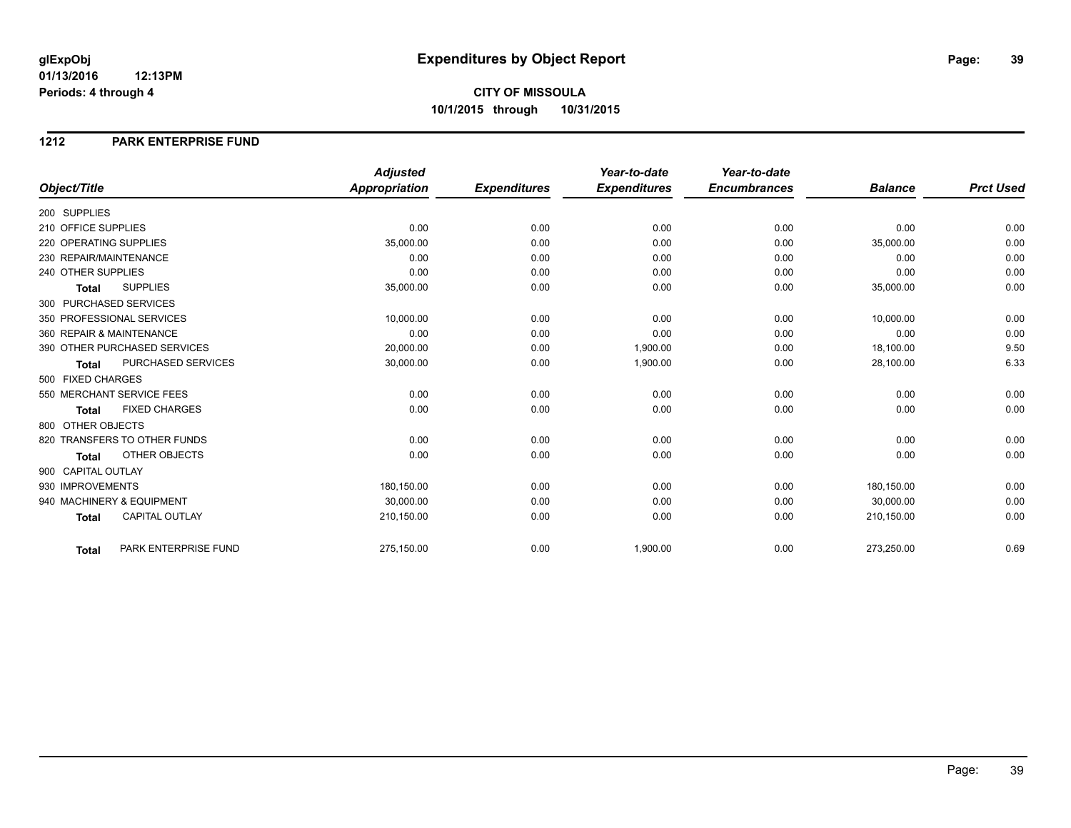### **1212 PARK ENTERPRISE FUND**

|                                           | <b>Adjusted</b>      |                     | Year-to-date        | Year-to-date        |                |                  |
|-------------------------------------------|----------------------|---------------------|---------------------|---------------------|----------------|------------------|
| Object/Title                              | <b>Appropriation</b> | <b>Expenditures</b> | <b>Expenditures</b> | <b>Encumbrances</b> | <b>Balance</b> | <b>Prct Used</b> |
| 200 SUPPLIES                              |                      |                     |                     |                     |                |                  |
| 210 OFFICE SUPPLIES                       | 0.00                 | 0.00                | 0.00                | 0.00                | 0.00           | 0.00             |
| 220 OPERATING SUPPLIES                    | 35,000.00            | 0.00                | 0.00                | 0.00                | 35,000.00      | 0.00             |
| 230 REPAIR/MAINTENANCE                    | 0.00                 | 0.00                | 0.00                | 0.00                | 0.00           | 0.00             |
| 240 OTHER SUPPLIES                        | 0.00                 | 0.00                | 0.00                | 0.00                | 0.00           | 0.00             |
| <b>SUPPLIES</b><br><b>Total</b>           | 35,000.00            | 0.00                | 0.00                | 0.00                | 35,000.00      | 0.00             |
| 300 PURCHASED SERVICES                    |                      |                     |                     |                     |                |                  |
| 350 PROFESSIONAL SERVICES                 | 10,000.00            | 0.00                | 0.00                | 0.00                | 10,000.00      | 0.00             |
| 360 REPAIR & MAINTENANCE                  | 0.00                 | 0.00                | 0.00                | 0.00                | 0.00           | 0.00             |
| 390 OTHER PURCHASED SERVICES              | 20,000.00            | 0.00                | 1,900.00            | 0.00                | 18,100.00      | 9.50             |
| <b>PURCHASED SERVICES</b><br><b>Total</b> | 30,000.00            | 0.00                | 1,900.00            | 0.00                | 28,100.00      | 6.33             |
| 500 FIXED CHARGES                         |                      |                     |                     |                     |                |                  |
| 550 MERCHANT SERVICE FEES                 | 0.00                 | 0.00                | 0.00                | 0.00                | 0.00           | 0.00             |
| <b>FIXED CHARGES</b><br><b>Total</b>      | 0.00                 | 0.00                | 0.00                | 0.00                | 0.00           | 0.00             |
| 800 OTHER OBJECTS                         |                      |                     |                     |                     |                |                  |
| 820 TRANSFERS TO OTHER FUNDS              | 0.00                 | 0.00                | 0.00                | 0.00                | 0.00           | 0.00             |
| <b>OTHER OBJECTS</b><br><b>Total</b>      | 0.00                 | 0.00                | 0.00                | 0.00                | 0.00           | 0.00             |
| 900 CAPITAL OUTLAY                        |                      |                     |                     |                     |                |                  |
| 930 IMPROVEMENTS                          | 180,150.00           | 0.00                | 0.00                | 0.00                | 180,150.00     | 0.00             |
| 940 MACHINERY & EQUIPMENT                 | 30,000.00            | 0.00                | 0.00                | 0.00                | 30,000.00      | 0.00             |
| <b>CAPITAL OUTLAY</b><br><b>Total</b>     | 210,150.00           | 0.00                | 0.00                | 0.00                | 210,150.00     | 0.00             |
| PARK ENTERPRISE FUND<br>Total             | 275,150.00           | 0.00                | 1,900.00            | 0.00                | 273,250.00     | 0.69             |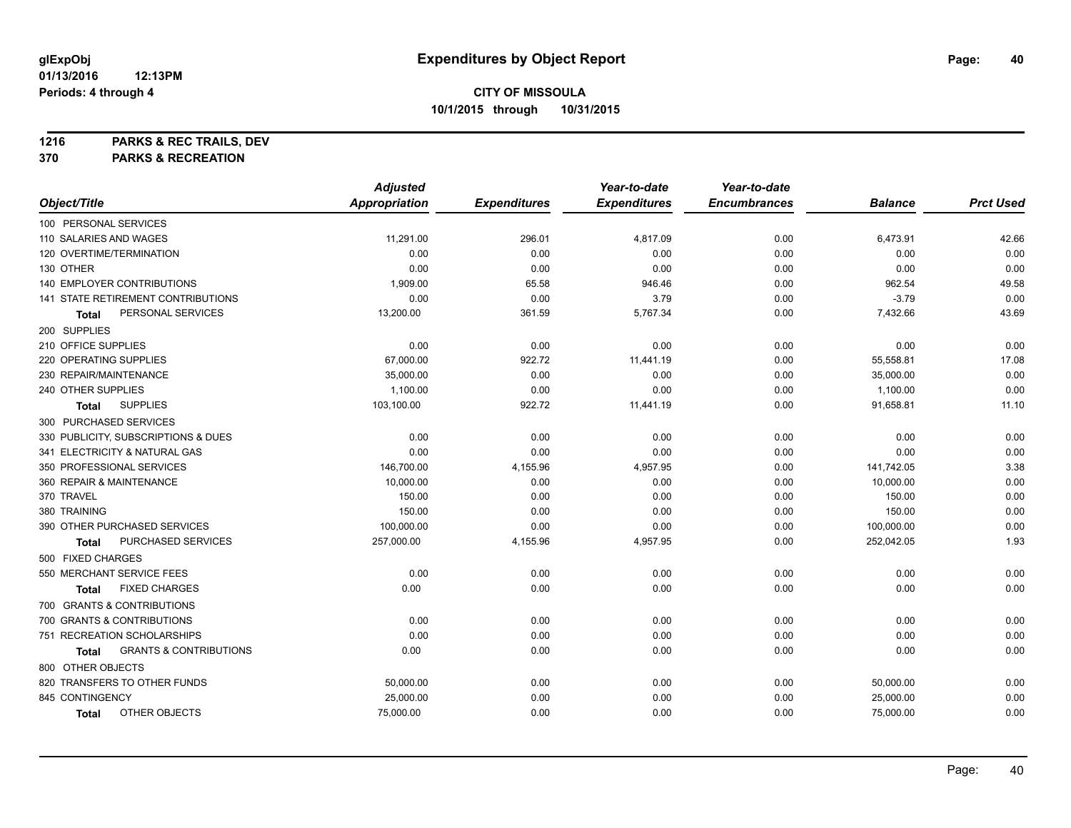**1216 PARKS & REC TRAILS, DEV**

**370 PARKS & RECREATION**

|                                            | <b>Adjusted</b>      |                     | Year-to-date        | Year-to-date        |                |                  |
|--------------------------------------------|----------------------|---------------------|---------------------|---------------------|----------------|------------------|
| Object/Title                               | <b>Appropriation</b> | <b>Expenditures</b> | <b>Expenditures</b> | <b>Encumbrances</b> | <b>Balance</b> | <b>Prct Used</b> |
| 100 PERSONAL SERVICES                      |                      |                     |                     |                     |                |                  |
| 110 SALARIES AND WAGES                     | 11,291.00            | 296.01              | 4,817.09            | 0.00                | 6,473.91       | 42.66            |
| 120 OVERTIME/TERMINATION                   | 0.00                 | 0.00                | 0.00                | 0.00                | 0.00           | 0.00             |
| 130 OTHER                                  | 0.00                 | 0.00                | 0.00                | 0.00                | 0.00           | 0.00             |
| 140 EMPLOYER CONTRIBUTIONS                 | 1,909.00             | 65.58               | 946.46              | 0.00                | 962.54         | 49.58            |
| 141 STATE RETIREMENT CONTRIBUTIONS         | 0.00                 | 0.00                | 3.79                | 0.00                | $-3.79$        | 0.00             |
| PERSONAL SERVICES<br>Total                 | 13,200.00            | 361.59              | 5,767.34            | 0.00                | 7,432.66       | 43.69            |
| 200 SUPPLIES                               |                      |                     |                     |                     |                |                  |
| 210 OFFICE SUPPLIES                        | 0.00                 | 0.00                | 0.00                | 0.00                | 0.00           | 0.00             |
| 220 OPERATING SUPPLIES                     | 67,000.00            | 922.72              | 11,441.19           | 0.00                | 55,558.81      | 17.08            |
| 230 REPAIR/MAINTENANCE                     | 35,000.00            | 0.00                | 0.00                | 0.00                | 35,000.00      | 0.00             |
| 240 OTHER SUPPLIES                         | 1,100.00             | 0.00                | 0.00                | 0.00                | 1,100.00       | 0.00             |
| <b>SUPPLIES</b><br><b>Total</b>            | 103,100.00           | 922.72              | 11,441.19           | 0.00                | 91,658.81      | 11.10            |
| 300 PURCHASED SERVICES                     |                      |                     |                     |                     |                |                  |
| 330 PUBLICITY, SUBSCRIPTIONS & DUES        | 0.00                 | 0.00                | 0.00                | 0.00                | 0.00           | 0.00             |
| 341 ELECTRICITY & NATURAL GAS              | 0.00                 | 0.00                | 0.00                | 0.00                | 0.00           | 0.00             |
| 350 PROFESSIONAL SERVICES                  | 146,700.00           | 4,155.96            | 4,957.95            | 0.00                | 141,742.05     | 3.38             |
| 360 REPAIR & MAINTENANCE                   | 10,000.00            | 0.00                | 0.00                | 0.00                | 10,000.00      | 0.00             |
| 370 TRAVEL                                 | 150.00               | 0.00                | 0.00                | 0.00                | 150.00         | 0.00             |
| 380 TRAINING                               | 150.00               | 0.00                | 0.00                | 0.00                | 150.00         | 0.00             |
| 390 OTHER PURCHASED SERVICES               | 100,000.00           | 0.00                | 0.00                | 0.00                | 100,000.00     | 0.00             |
| PURCHASED SERVICES<br>Total                | 257,000.00           | 4,155.96            | 4,957.95            | 0.00                | 252,042.05     | 1.93             |
| 500 FIXED CHARGES                          |                      |                     |                     |                     |                |                  |
| 550 MERCHANT SERVICE FEES                  | 0.00                 | 0.00                | 0.00                | 0.00                | 0.00           | 0.00             |
| <b>FIXED CHARGES</b><br>Total              | 0.00                 | 0.00                | 0.00                | 0.00                | 0.00           | 0.00             |
| 700 GRANTS & CONTRIBUTIONS                 |                      |                     |                     |                     |                |                  |
| 700 GRANTS & CONTRIBUTIONS                 | 0.00                 | 0.00                | 0.00                | 0.00                | 0.00           | 0.00             |
| 751 RECREATION SCHOLARSHIPS                | 0.00                 | 0.00                | 0.00                | 0.00                | 0.00           | 0.00             |
| <b>GRANTS &amp; CONTRIBUTIONS</b><br>Total | 0.00                 | 0.00                | 0.00                | 0.00                | 0.00           | 0.00             |
| 800 OTHER OBJECTS                          |                      |                     |                     |                     |                |                  |
| 820 TRANSFERS TO OTHER FUNDS               | 50,000.00            | 0.00                | 0.00                | 0.00                | 50,000.00      | 0.00             |
| 845 CONTINGENCY                            | 25,000.00            | 0.00                | 0.00                | 0.00                | 25,000.00      | 0.00             |
| OTHER OBJECTS<br>Total                     | 75,000.00            | 0.00                | 0.00                | 0.00                | 75,000.00      | 0.00             |
|                                            |                      |                     |                     |                     |                |                  |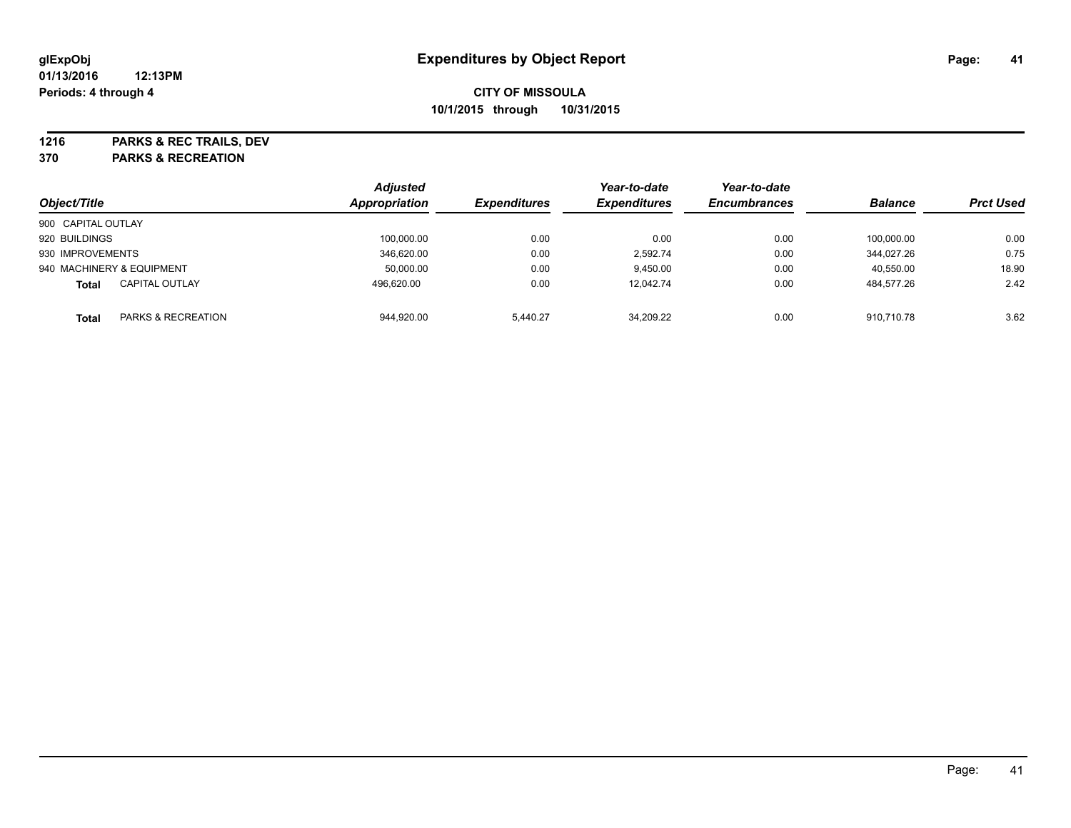**1216 PARKS & REC TRAILS, DEV**

**370 PARKS & RECREATION**

|                    |                           | <b>Adjusted</b> |                     | Year-to-date        | Year-to-date        |                |                  |
|--------------------|---------------------------|-----------------|---------------------|---------------------|---------------------|----------------|------------------|
| Object/Title       |                           | Appropriation   | <b>Expenditures</b> | <b>Expenditures</b> | <b>Encumbrances</b> | <b>Balance</b> | <b>Prct Used</b> |
| 900 CAPITAL OUTLAY |                           |                 |                     |                     |                     |                |                  |
| 920 BUILDINGS      |                           | 100,000.00      | 0.00                | 0.00                | 0.00                | 100.000.00     | 0.00             |
| 930 IMPROVEMENTS   |                           | 346.620.00      | 0.00                | 2.592.74            | 0.00                | 344.027.26     | 0.75             |
|                    | 940 MACHINERY & EQUIPMENT | 50,000.00       | 0.00                | 9,450.00            | 0.00                | 40,550.00      | 18.90            |
| <b>Total</b>       | <b>CAPITAL OUTLAY</b>     | 496.620.00      | 0.00                | 12.042.74           | 0.00                | 484,577.26     | 2.42             |
| Total              | PARKS & RECREATION        | 944,920.00      | 5.440.27            | 34.209.22           | 0.00                | 910.710.78     | 3.62             |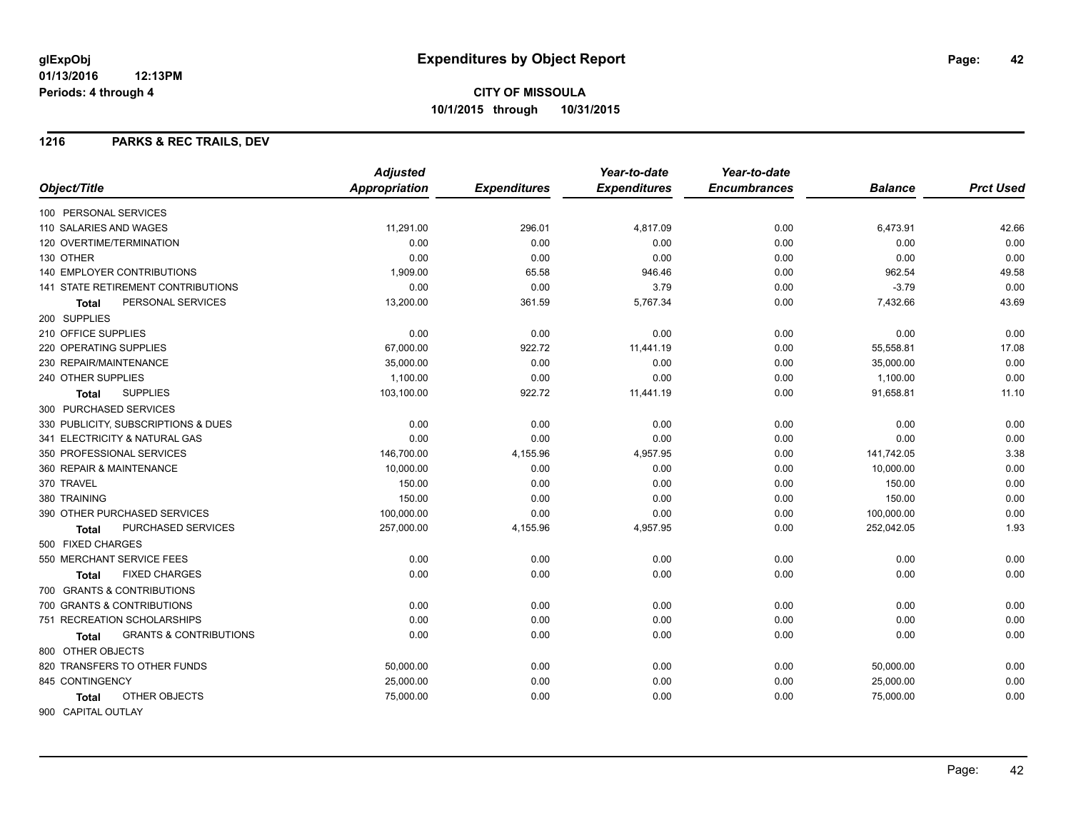**CITY OF MISSOULA 10/1/2015 through 10/31/2015**

### **1216 PARKS & REC TRAILS, DEV**

|                                                   | <b>Adjusted</b> |                     | Year-to-date        | Year-to-date        |                |                  |
|---------------------------------------------------|-----------------|---------------------|---------------------|---------------------|----------------|------------------|
| Object/Title                                      | Appropriation   | <b>Expenditures</b> | <b>Expenditures</b> | <b>Encumbrances</b> | <b>Balance</b> | <b>Prct Used</b> |
| 100 PERSONAL SERVICES                             |                 |                     |                     |                     |                |                  |
| 110 SALARIES AND WAGES                            | 11,291.00       | 296.01              | 4,817.09            | 0.00                | 6,473.91       | 42.66            |
| 120 OVERTIME/TERMINATION                          | 0.00            | 0.00                | 0.00                | 0.00                | 0.00           | 0.00             |
| 130 OTHER                                         | 0.00            | 0.00                | 0.00                | 0.00                | 0.00           | 0.00             |
| <b>140 EMPLOYER CONTRIBUTIONS</b>                 | 1.909.00        | 65.58               | 946.46              | 0.00                | 962.54         | 49.58            |
| 141 STATE RETIREMENT CONTRIBUTIONS                | 0.00            | 0.00                | 3.79                | 0.00                | $-3.79$        | 0.00             |
| PERSONAL SERVICES<br>Total                        | 13,200.00       | 361.59              | 5,767.34            | 0.00                | 7,432.66       | 43.69            |
| 200 SUPPLIES                                      |                 |                     |                     |                     |                |                  |
| 210 OFFICE SUPPLIES                               | 0.00            | 0.00                | 0.00                | 0.00                | 0.00           | 0.00             |
| 220 OPERATING SUPPLIES                            | 67,000.00       | 922.72              | 11,441.19           | 0.00                | 55,558.81      | 17.08            |
| 230 REPAIR/MAINTENANCE                            | 35,000.00       | 0.00                | 0.00                | 0.00                | 35,000.00      | 0.00             |
| 240 OTHER SUPPLIES                                | 1,100.00        | 0.00                | 0.00                | 0.00                | 1,100.00       | 0.00             |
| <b>SUPPLIES</b><br><b>Total</b>                   | 103,100.00      | 922.72              | 11,441.19           | 0.00                | 91,658.81      | 11.10            |
| 300 PURCHASED SERVICES                            |                 |                     |                     |                     |                |                  |
| 330 PUBLICITY, SUBSCRIPTIONS & DUES               | 0.00            | 0.00                | 0.00                | 0.00                | 0.00           | 0.00             |
| 341 ELECTRICITY & NATURAL GAS                     | 0.00            | 0.00                | 0.00                | 0.00                | 0.00           | 0.00             |
| 350 PROFESSIONAL SERVICES                         | 146,700.00      | 4,155.96            | 4,957.95            | 0.00                | 141,742.05     | 3.38             |
| 360 REPAIR & MAINTENANCE                          | 10,000.00       | 0.00                | 0.00                | 0.00                | 10,000.00      | 0.00             |
| 370 TRAVEL                                        | 150.00          | 0.00                | 0.00                | 0.00                | 150.00         | 0.00             |
| 380 TRAINING                                      | 150.00          | 0.00                | 0.00                | 0.00                | 150.00         | 0.00             |
| 390 OTHER PURCHASED SERVICES                      | 100,000.00      | 0.00                | 0.00                | 0.00                | 100,000.00     | 0.00             |
| PURCHASED SERVICES<br>Total                       | 257,000.00      | 4,155.96            | 4,957.95            | 0.00                | 252,042.05     | 1.93             |
| 500 FIXED CHARGES                                 |                 |                     |                     |                     |                |                  |
| 550 MERCHANT SERVICE FEES                         | 0.00            | 0.00                | 0.00                | 0.00                | 0.00           | 0.00             |
| <b>FIXED CHARGES</b><br><b>Total</b>              | 0.00            | 0.00                | 0.00                | 0.00                | 0.00           | 0.00             |
| 700 GRANTS & CONTRIBUTIONS                        |                 |                     |                     |                     |                |                  |
| 700 GRANTS & CONTRIBUTIONS                        | 0.00            | 0.00                | 0.00                | 0.00                | 0.00           | 0.00             |
| 751 RECREATION SCHOLARSHIPS                       | 0.00            | 0.00                | 0.00                | 0.00                | 0.00           | 0.00             |
| <b>GRANTS &amp; CONTRIBUTIONS</b><br><b>Total</b> | 0.00            | 0.00                | 0.00                | 0.00                | 0.00           | 0.00             |
| 800 OTHER OBJECTS                                 |                 |                     |                     |                     |                |                  |
| 820 TRANSFERS TO OTHER FUNDS                      | 50,000.00       | 0.00                | 0.00                | 0.00                | 50,000.00      | 0.00             |
| 845 CONTINGENCY                                   | 25,000.00       | 0.00                | 0.00                | 0.00                | 25,000.00      | 0.00             |
| OTHER OBJECTS<br><b>Total</b>                     | 75,000.00       | 0.00                | 0.00                | 0.00                | 75,000.00      | 0.00             |
| 900 CAPITAL OUTLAY                                |                 |                     |                     |                     |                |                  |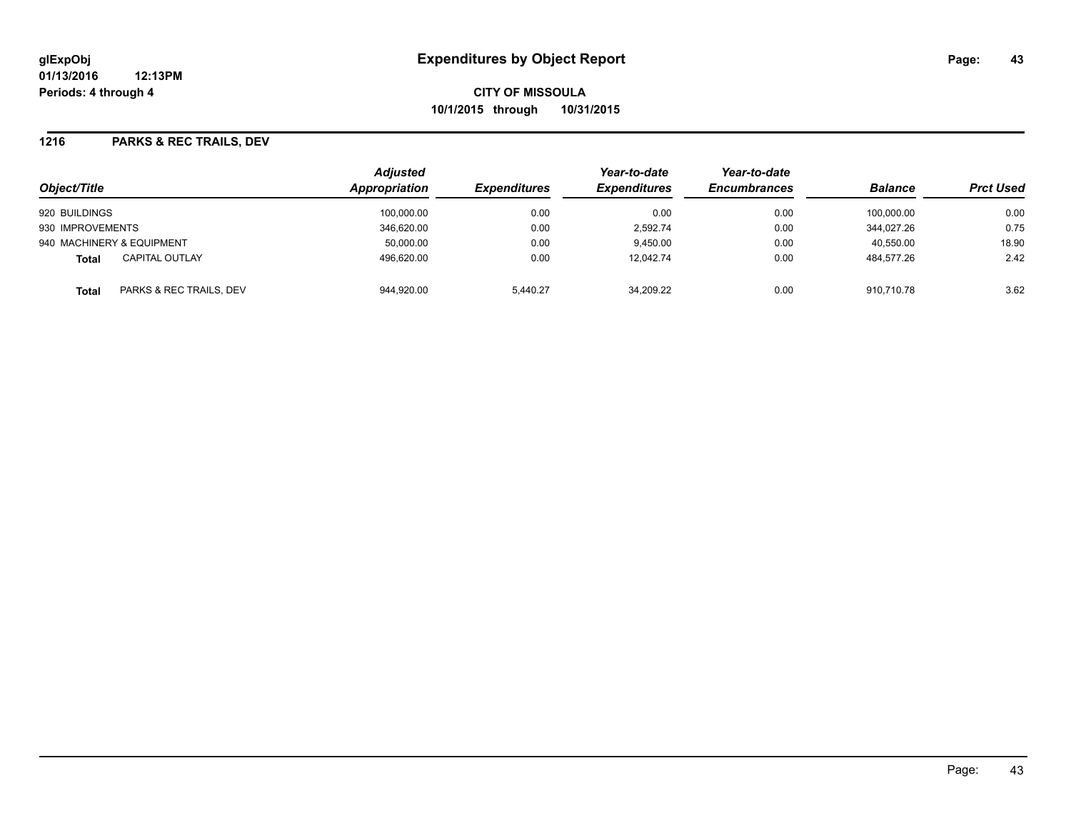### **1216 PARKS & REC TRAILS, DEV**

| Object/Title                          | <b>Adjusted</b><br>Appropriation | <i><b>Expenditures</b></i> | Year-to-date<br><b>Expenditures</b> | Year-to-date<br><b>Encumbrances</b> | <b>Balance</b> | <b>Prct Used</b> |
|---------------------------------------|----------------------------------|----------------------------|-------------------------------------|-------------------------------------|----------------|------------------|
| 920 BUILDINGS                         | 100,000.00                       | 0.00                       | 0.00                                | 0.00                                | 100.000.00     | 0.00             |
| 930 IMPROVEMENTS                      | 346,620.00                       | 0.00                       | 2.592.74                            | 0.00                                | 344.027.26     | 0.75             |
| 940 MACHINERY & EQUIPMENT             | 50,000.00                        | 0.00                       | 9.450.00                            | 0.00                                | 40.550.00      | 18.90            |
| <b>CAPITAL OUTLAY</b><br><b>Total</b> | 496.620.00                       | 0.00                       | 12.042.74                           | 0.00                                | 484.577.26     | 2.42             |
| PARKS & REC TRAILS, DEV<br>Total      | 944,920.00                       | 5.440.27                   | 34,209.22                           | 0.00                                | 910.710.78     | 3.62             |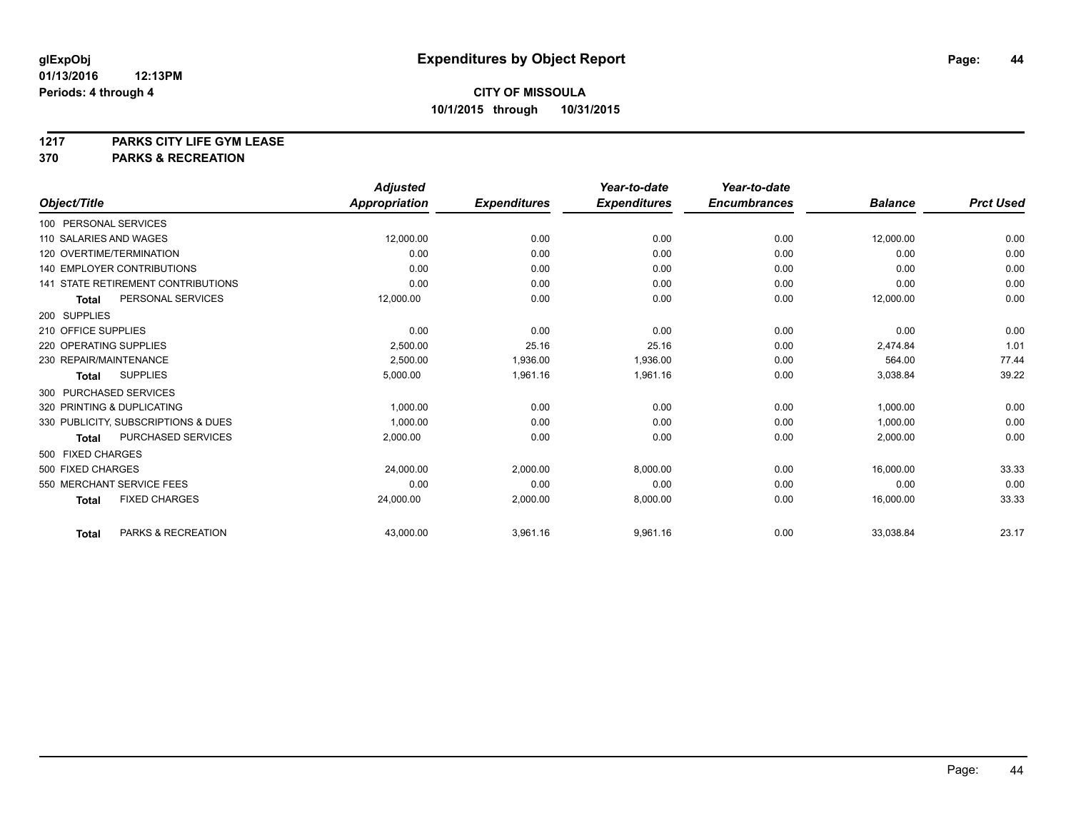**1217 PARKS CITY LIFE GYM LEASE**

**370 PARKS & RECREATION**

|                                      | <b>Adjusted</b> |                     | Year-to-date        | Year-to-date        |                |                  |
|--------------------------------------|-----------------|---------------------|---------------------|---------------------|----------------|------------------|
| Object/Title                         | Appropriation   | <b>Expenditures</b> | <b>Expenditures</b> | <b>Encumbrances</b> | <b>Balance</b> | <b>Prct Used</b> |
| 100 PERSONAL SERVICES                |                 |                     |                     |                     |                |                  |
| 110 SALARIES AND WAGES               | 12,000.00       | 0.00                | 0.00                | 0.00                | 12,000.00      | 0.00             |
| 120 OVERTIME/TERMINATION             | 0.00            | 0.00                | 0.00                | 0.00                | 0.00           | 0.00             |
| 140 EMPLOYER CONTRIBUTIONS           | 0.00            | 0.00                | 0.00                | 0.00                | 0.00           | 0.00             |
| 141 STATE RETIREMENT CONTRIBUTIONS   | 0.00            | 0.00                | 0.00                | 0.00                | 0.00           | 0.00             |
| PERSONAL SERVICES<br>Total           | 12,000.00       | 0.00                | 0.00                | 0.00                | 12,000.00      | 0.00             |
| 200 SUPPLIES                         |                 |                     |                     |                     |                |                  |
| 210 OFFICE SUPPLIES                  | 0.00            | 0.00                | 0.00                | 0.00                | 0.00           | 0.00             |
| 220 OPERATING SUPPLIES               | 2,500.00        | 25.16               | 25.16               | 0.00                | 2.474.84       | 1.01             |
| 230 REPAIR/MAINTENANCE               | 2,500.00        | 1,936.00            | 1,936.00            | 0.00                | 564.00         | 77.44            |
| <b>SUPPLIES</b><br><b>Total</b>      | 5,000.00        | 1,961.16            | 1,961.16            | 0.00                | 3,038.84       | 39.22            |
| 300 PURCHASED SERVICES               |                 |                     |                     |                     |                |                  |
| 320 PRINTING & DUPLICATING           | 1,000.00        | 0.00                | 0.00                | 0.00                | 1,000.00       | 0.00             |
| 330 PUBLICITY, SUBSCRIPTIONS & DUES  | 1.000.00        | 0.00                | 0.00                | 0.00                | 1,000.00       | 0.00             |
| PURCHASED SERVICES<br><b>Total</b>   | 2,000.00        | 0.00                | 0.00                | 0.00                | 2,000.00       | 0.00             |
| 500 FIXED CHARGES                    |                 |                     |                     |                     |                |                  |
| 500 FIXED CHARGES                    | 24,000.00       | 2.000.00            | 8.000.00            | 0.00                | 16.000.00      | 33.33            |
| 550 MERCHANT SERVICE FEES            | 0.00            | 0.00                | 0.00                | 0.00                | 0.00           | 0.00             |
| <b>FIXED CHARGES</b><br><b>Total</b> | 24,000.00       | 2,000.00            | 8,000.00            | 0.00                | 16,000.00      | 33.33            |
| PARKS & RECREATION<br><b>Total</b>   | 43,000.00       | 3,961.16            | 9,961.16            | 0.00                | 33,038.84      | 23.17            |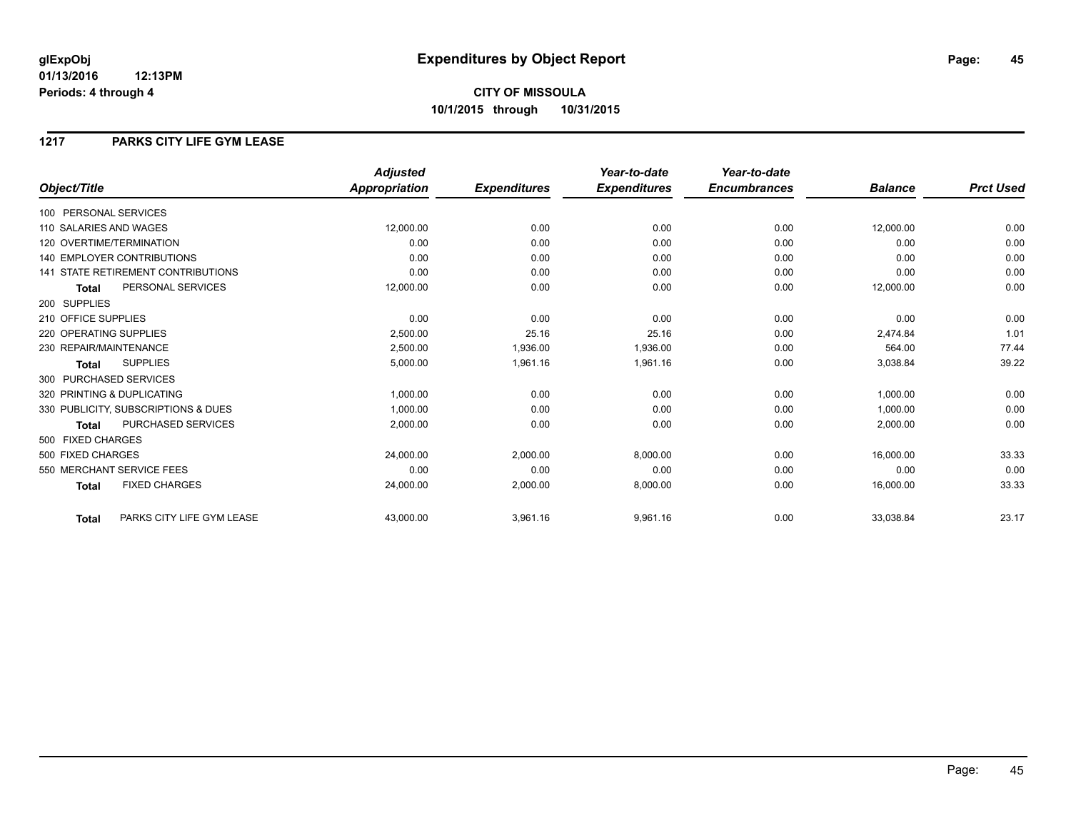# **CITY OF MISSOULA 10/1/2015 through 10/31/2015**

### **1217 PARKS CITY LIFE GYM LEASE**

|                                           | <b>Adjusted</b> |                     | Year-to-date        | Year-to-date        |                |                  |
|-------------------------------------------|-----------------|---------------------|---------------------|---------------------|----------------|------------------|
| Object/Title                              | Appropriation   | <b>Expenditures</b> | <b>Expenditures</b> | <b>Encumbrances</b> | <b>Balance</b> | <b>Prct Used</b> |
| 100 PERSONAL SERVICES                     |                 |                     |                     |                     |                |                  |
| 110 SALARIES AND WAGES                    | 12,000.00       | 0.00                | 0.00                | 0.00                | 12,000.00      | 0.00             |
| 120 OVERTIME/TERMINATION                  | 0.00            | 0.00                | 0.00                | 0.00                | 0.00           | 0.00             |
| 140 EMPLOYER CONTRIBUTIONS                | 0.00            | 0.00                | 0.00                | 0.00                | 0.00           | 0.00             |
| <b>141 STATE RETIREMENT CONTRIBUTIONS</b> | 0.00            | 0.00                | 0.00                | 0.00                | 0.00           | 0.00             |
| PERSONAL SERVICES<br><b>Total</b>         | 12,000.00       | 0.00                | 0.00                | 0.00                | 12,000.00      | 0.00             |
| 200 SUPPLIES                              |                 |                     |                     |                     |                |                  |
| 210 OFFICE SUPPLIES                       | 0.00            | 0.00                | 0.00                | 0.00                | 0.00           | 0.00             |
| 220 OPERATING SUPPLIES                    | 2,500.00        | 25.16               | 25.16               | 0.00                | 2,474.84       | 1.01             |
| 230 REPAIR/MAINTENANCE                    | 2,500.00        | 1,936.00            | 1,936.00            | 0.00                | 564.00         | 77.44            |
| <b>SUPPLIES</b><br><b>Total</b>           | 5,000.00        | 1,961.16            | 1,961.16            | 0.00                | 3,038.84       | 39.22            |
| 300 PURCHASED SERVICES                    |                 |                     |                     |                     |                |                  |
| 320 PRINTING & DUPLICATING                | 1,000.00        | 0.00                | 0.00                | 0.00                | 1,000.00       | 0.00             |
| 330 PUBLICITY, SUBSCRIPTIONS & DUES       | 1.000.00        | 0.00                | 0.00                | 0.00                | 1.000.00       | 0.00             |
| <b>PURCHASED SERVICES</b><br>Total        | 2,000.00        | 0.00                | 0.00                | 0.00                | 2,000.00       | 0.00             |
| 500 FIXED CHARGES                         |                 |                     |                     |                     |                |                  |
| 500 FIXED CHARGES                         | 24,000.00       | 2,000.00            | 8,000.00            | 0.00                | 16,000.00      | 33.33            |
| 550 MERCHANT SERVICE FEES                 | 0.00            | 0.00                | 0.00                | 0.00                | 0.00           | 0.00             |
| <b>FIXED CHARGES</b><br>Total             | 24,000.00       | 2,000.00            | 8,000.00            | 0.00                | 16,000.00      | 33.33            |
| PARKS CITY LIFE GYM LEASE<br><b>Total</b> | 43,000.00       | 3,961.16            | 9,961.16            | 0.00                | 33,038.84      | 23.17            |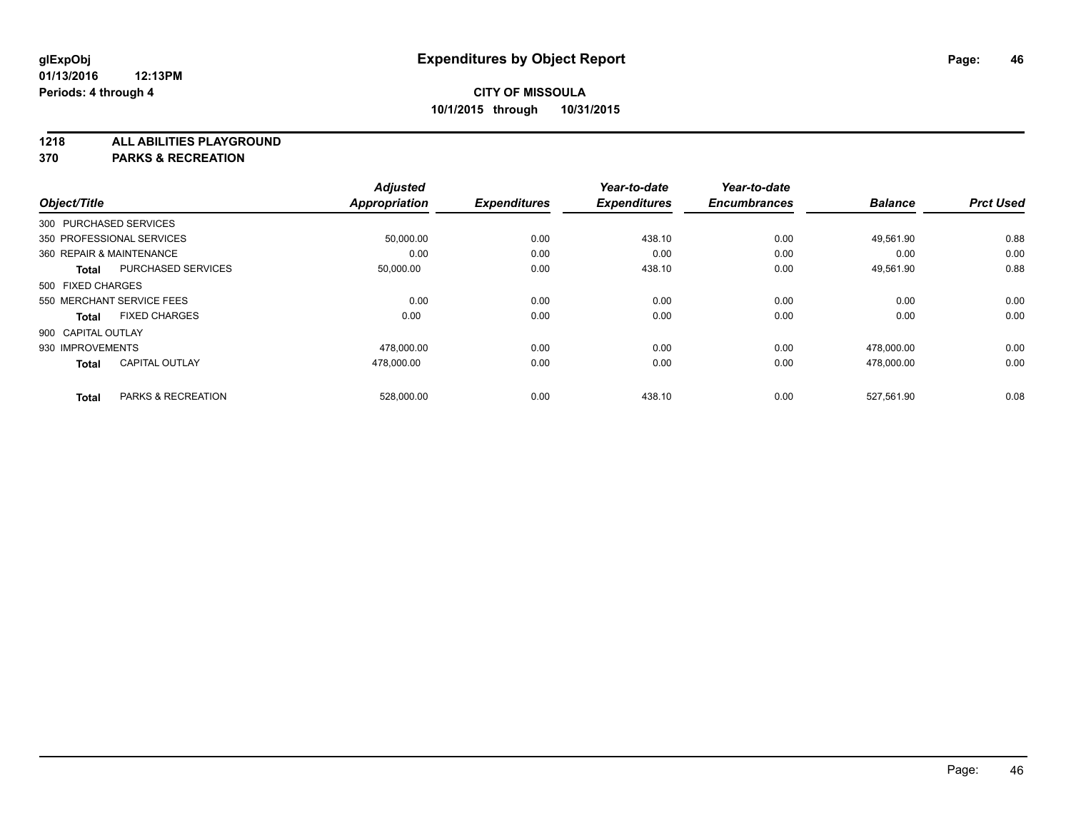**1218 ALL ABILITIES PLAYGROUND**

**370 PARKS & RECREATION**

|                          |                           | <b>Adjusted</b>      |                     | Year-to-date        | Year-to-date        |                |                  |
|--------------------------|---------------------------|----------------------|---------------------|---------------------|---------------------|----------------|------------------|
| Object/Title             |                           | <b>Appropriation</b> | <b>Expenditures</b> | <b>Expenditures</b> | <b>Encumbrances</b> | <b>Balance</b> | <b>Prct Used</b> |
| 300 PURCHASED SERVICES   |                           |                      |                     |                     |                     |                |                  |
|                          | 350 PROFESSIONAL SERVICES | 50,000.00            | 0.00                | 438.10              | 0.00                | 49,561.90      | 0.88             |
| 360 REPAIR & MAINTENANCE |                           | 0.00                 | 0.00                | 0.00                | 0.00                | 0.00           | 0.00             |
| Total                    | <b>PURCHASED SERVICES</b> | 50,000.00            | 0.00                | 438.10              | 0.00                | 49,561.90      | 0.88             |
| 500 FIXED CHARGES        |                           |                      |                     |                     |                     |                |                  |
|                          | 550 MERCHANT SERVICE FEES | 0.00                 | 0.00                | 0.00                | 0.00                | 0.00           | 0.00             |
| <b>Total</b>             | <b>FIXED CHARGES</b>      | 0.00                 | 0.00                | 0.00                | 0.00                | 0.00           | 0.00             |
| 900 CAPITAL OUTLAY       |                           |                      |                     |                     |                     |                |                  |
| 930 IMPROVEMENTS         |                           | 478,000.00           | 0.00                | 0.00                | 0.00                | 478,000.00     | 0.00             |
| <b>Total</b>             | <b>CAPITAL OUTLAY</b>     | 478,000.00           | 0.00                | 0.00                | 0.00                | 478.000.00     | 0.00             |
|                          |                           |                      |                     |                     |                     |                |                  |
| <b>Total</b>             | PARKS & RECREATION        | 528,000.00           | 0.00                | 438.10              | 0.00                | 527.561.90     | 0.08             |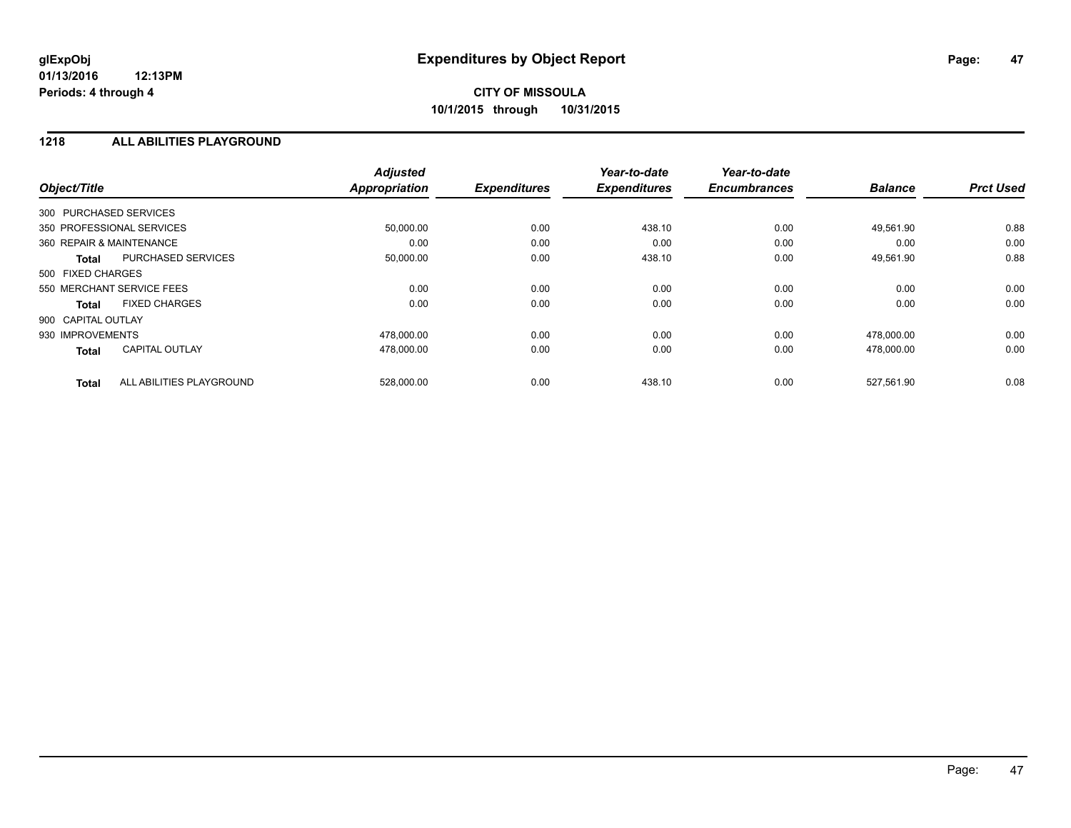### **1218 ALL ABILITIES PLAYGROUND**

| Object/Title             |                           | <b>Adjusted</b><br><b>Appropriation</b> | <b>Expenditures</b> | Year-to-date<br><b>Expenditures</b> | Year-to-date<br><b>Encumbrances</b> | <b>Balance</b> | <b>Prct Used</b> |
|--------------------------|---------------------------|-----------------------------------------|---------------------|-------------------------------------|-------------------------------------|----------------|------------------|
| 300 PURCHASED SERVICES   |                           |                                         |                     |                                     |                                     |                |                  |
|                          | 350 PROFESSIONAL SERVICES | 50,000.00                               | 0.00                | 438.10                              | 0.00                                | 49,561.90      | 0.88             |
| 360 REPAIR & MAINTENANCE |                           | 0.00                                    | 0.00                | 0.00                                | 0.00                                | 0.00           | 0.00             |
| <b>Total</b>             | <b>PURCHASED SERVICES</b> | 50,000.00                               | 0.00                | 438.10                              | 0.00                                | 49,561.90      | 0.88             |
| 500 FIXED CHARGES        |                           |                                         |                     |                                     |                                     |                |                  |
|                          | 550 MERCHANT SERVICE FEES | 0.00                                    | 0.00                | 0.00                                | 0.00                                | 0.00           | 0.00             |
| <b>Total</b>             | <b>FIXED CHARGES</b>      | 0.00                                    | 0.00                | 0.00                                | 0.00                                | 0.00           | 0.00             |
| 900 CAPITAL OUTLAY       |                           |                                         |                     |                                     |                                     |                |                  |
| 930 IMPROVEMENTS         |                           | 478,000.00                              | 0.00                | 0.00                                | 0.00                                | 478,000.00     | 0.00             |
| <b>Total</b>             | <b>CAPITAL OUTLAY</b>     | 478,000.00                              | 0.00                | 0.00                                | 0.00                                | 478,000.00     | 0.00             |
| <b>Total</b>             | ALL ABILITIES PLAYGROUND  | 528,000.00                              | 0.00                | 438.10                              | 0.00                                | 527,561.90     | 0.08             |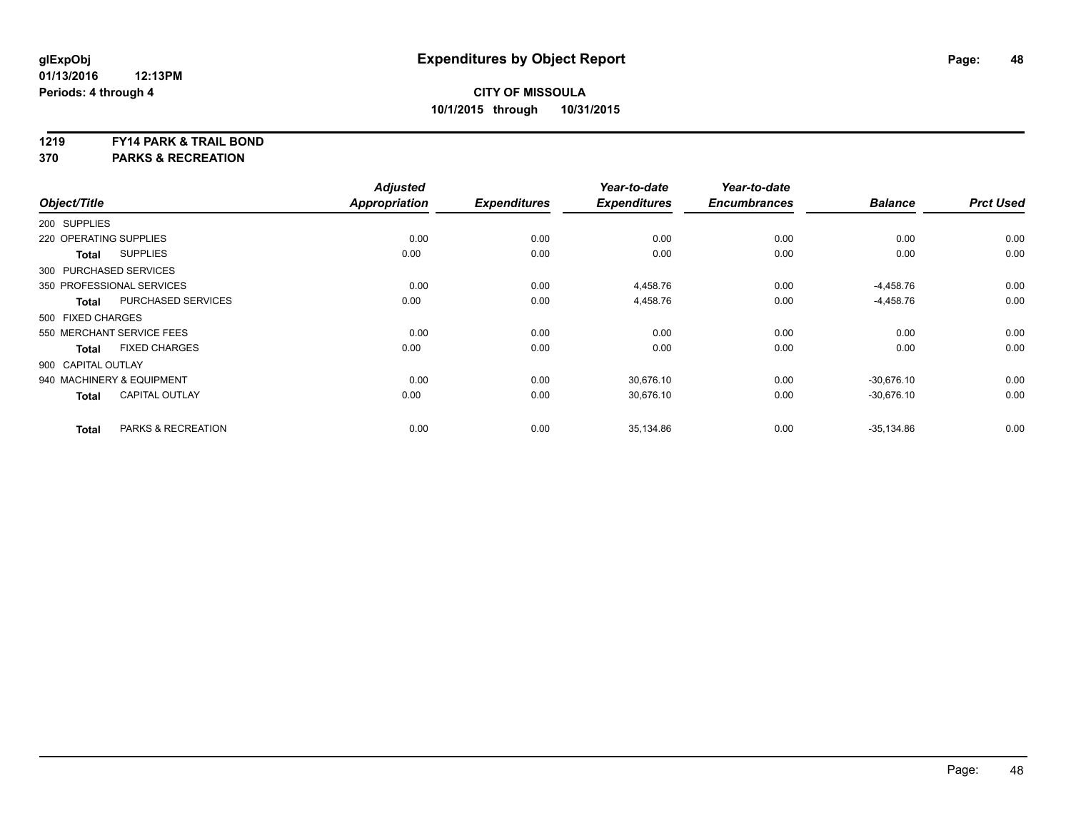#### **1219 FY14 PARK & TRAIL BOND**

**370 PARKS & RECREATION**

| Object/Title              |                           | <b>Adjusted</b><br><b>Appropriation</b> | <b>Expenditures</b> | Year-to-date<br><b>Expenditures</b> | Year-to-date<br><b>Encumbrances</b> | <b>Balance</b> | <b>Prct Used</b> |
|---------------------------|---------------------------|-----------------------------------------|---------------------|-------------------------------------|-------------------------------------|----------------|------------------|
| 200 SUPPLIES              |                           |                                         |                     |                                     |                                     |                |                  |
| 220 OPERATING SUPPLIES    |                           | 0.00                                    | 0.00                | 0.00                                | 0.00                                | 0.00           | 0.00             |
| <b>Total</b>              | <b>SUPPLIES</b>           | 0.00                                    | 0.00                | 0.00                                | 0.00                                | 0.00           | 0.00             |
| 300 PURCHASED SERVICES    |                           |                                         |                     |                                     |                                     |                |                  |
| 350 PROFESSIONAL SERVICES |                           | 0.00                                    | 0.00                | 4,458.76                            | 0.00                                | $-4,458.76$    | 0.00             |
| <b>Total</b>              | PURCHASED SERVICES        | 0.00                                    | 0.00                | 4,458.76                            | 0.00                                | $-4,458.76$    | 0.00             |
| 500 FIXED CHARGES         |                           |                                         |                     |                                     |                                     |                |                  |
|                           | 550 MERCHANT SERVICE FEES | 0.00                                    | 0.00                | 0.00                                | 0.00                                | 0.00           | 0.00             |
| <b>Total</b>              | <b>FIXED CHARGES</b>      | 0.00                                    | 0.00                | 0.00                                | 0.00                                | 0.00           | 0.00             |
| 900 CAPITAL OUTLAY        |                           |                                         |                     |                                     |                                     |                |                  |
| 940 MACHINERY & EQUIPMENT |                           | 0.00                                    | 0.00                | 30.676.10                           | 0.00                                | $-30.676.10$   | 0.00             |
| <b>Total</b>              | <b>CAPITAL OUTLAY</b>     | 0.00                                    | 0.00                | 30,676.10                           | 0.00                                | $-30,676.10$   | 0.00             |
| <b>Total</b>              | PARKS & RECREATION        | 0.00                                    | 0.00                | 35,134.86                           | 0.00                                | $-35,134.86$   | 0.00             |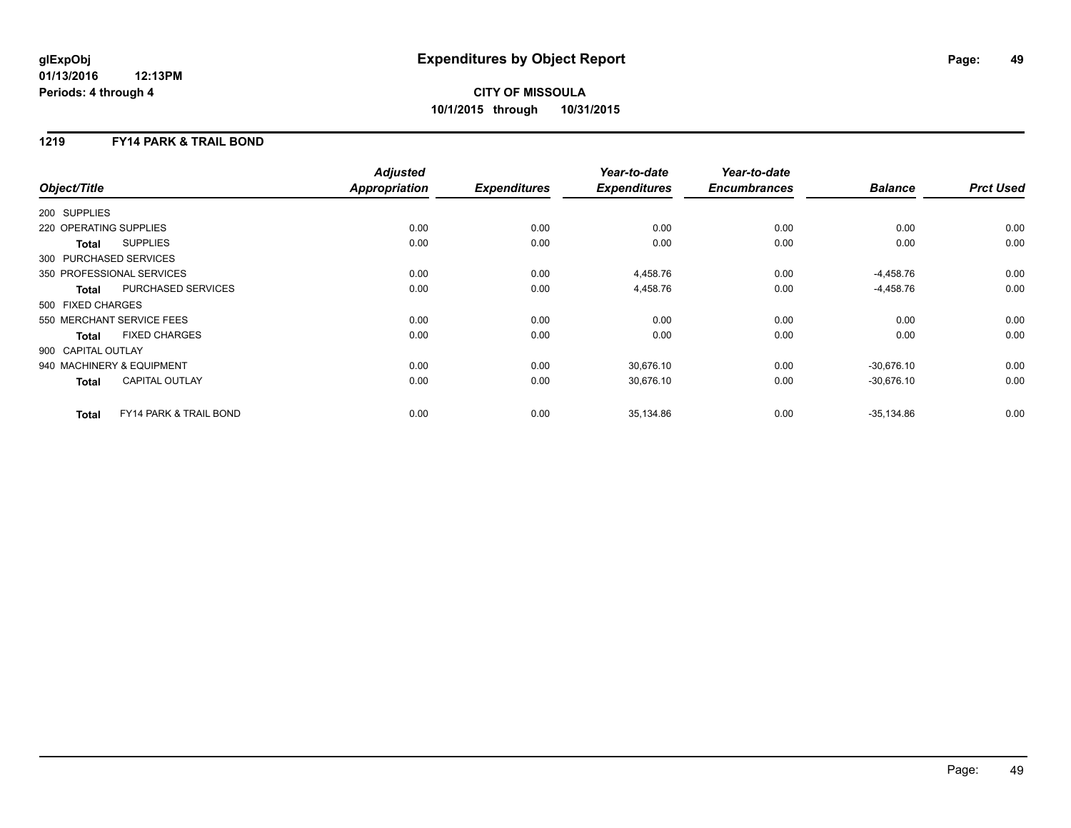# **CITY OF MISSOULA 10/1/2015 through 10/31/2015**

### **1219 FY14 PARK & TRAIL BOND**

|                        |                                   | <b>Adjusted</b>      |                     | Year-to-date        | Year-to-date        |                |                  |
|------------------------|-----------------------------------|----------------------|---------------------|---------------------|---------------------|----------------|------------------|
| Object/Title           |                                   | <b>Appropriation</b> | <b>Expenditures</b> | <b>Expenditures</b> | <b>Encumbrances</b> | <b>Balance</b> | <b>Prct Used</b> |
| 200 SUPPLIES           |                                   |                      |                     |                     |                     |                |                  |
| 220 OPERATING SUPPLIES |                                   | 0.00                 | 0.00                | 0.00                | 0.00                | 0.00           | 0.00             |
| Total                  | <b>SUPPLIES</b>                   | 0.00                 | 0.00                | 0.00                | 0.00                | 0.00           | 0.00             |
| 300 PURCHASED SERVICES |                                   |                      |                     |                     |                     |                |                  |
|                        | 350 PROFESSIONAL SERVICES         | 0.00                 | 0.00                | 4,458.76            | 0.00                | $-4,458.76$    | 0.00             |
| <b>Total</b>           | PURCHASED SERVICES                | 0.00                 | 0.00                | 4,458.76            | 0.00                | $-4,458.76$    | 0.00             |
| 500 FIXED CHARGES      |                                   |                      |                     |                     |                     |                |                  |
|                        | 550 MERCHANT SERVICE FEES         | 0.00                 | 0.00                | 0.00                | 0.00                | 0.00           | 0.00             |
| Total                  | <b>FIXED CHARGES</b>              | 0.00                 | 0.00                | 0.00                | 0.00                | 0.00           | 0.00             |
| 900 CAPITAL OUTLAY     |                                   |                      |                     |                     |                     |                |                  |
|                        | 940 MACHINERY & EQUIPMENT         | 0.00                 | 0.00                | 30,676.10           | 0.00                | $-30,676.10$   | 0.00             |
| <b>Total</b>           | <b>CAPITAL OUTLAY</b>             | 0.00                 | 0.00                | 30,676.10           | 0.00                | $-30,676.10$   | 0.00             |
| <b>Total</b>           | <b>FY14 PARK &amp; TRAIL BOND</b> | 0.00                 | 0.00                | 35,134.86           | 0.00                | $-35,134.86$   | 0.00             |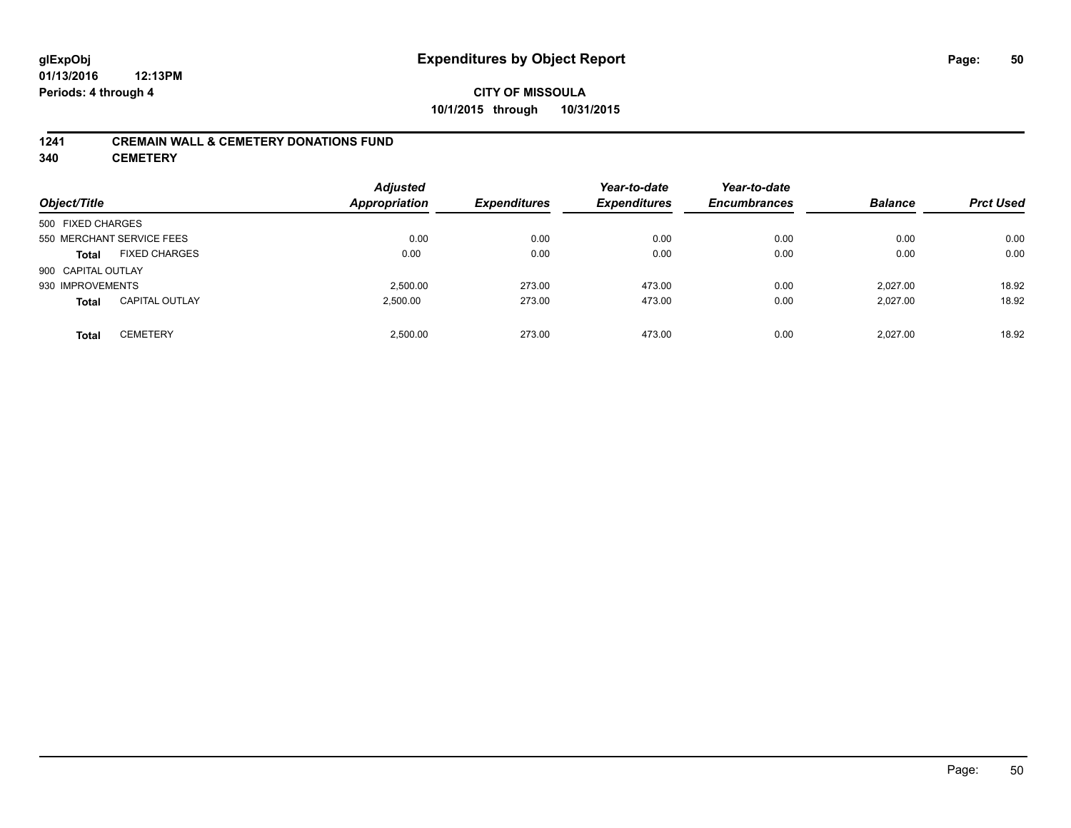# **CITY OF MISSOULA 10/1/2015 through 10/31/2015**

### **1241 CREMAIN WALL & CEMETERY DONATIONS FUND**

**340 CEMETERY**

| Object/Title              |                       | <b>Adjusted</b><br>Appropriation | <b>Expenditures</b> | Year-to-date<br><b>Expenditures</b> | Year-to-date<br><b>Encumbrances</b> | <b>Balance</b> | <b>Prct Used</b> |
|---------------------------|-----------------------|----------------------------------|---------------------|-------------------------------------|-------------------------------------|----------------|------------------|
| 500 FIXED CHARGES         |                       |                                  |                     |                                     |                                     |                |                  |
| 550 MERCHANT SERVICE FEES |                       | 0.00                             | 0.00                | 0.00                                | 0.00                                | 0.00           | 0.00             |
| <b>Total</b>              | <b>FIXED CHARGES</b>  | 0.00                             | 0.00                | 0.00                                | 0.00                                | 0.00           | 0.00             |
| 900 CAPITAL OUTLAY        |                       |                                  |                     |                                     |                                     |                |                  |
| 930 IMPROVEMENTS          |                       | 2.500.00                         | 273.00              | 473.00                              | 0.00                                | 2.027.00       | 18.92            |
| <b>Total</b>              | <b>CAPITAL OUTLAY</b> | 2,500.00                         | 273.00              | 473.00                              | 0.00                                | 2.027.00       | 18.92            |
| <b>Total</b>              | <b>CEMETERY</b>       | 2.500.00                         | 273.00              | 473.00                              | 0.00                                | 2.027.00       | 18.92            |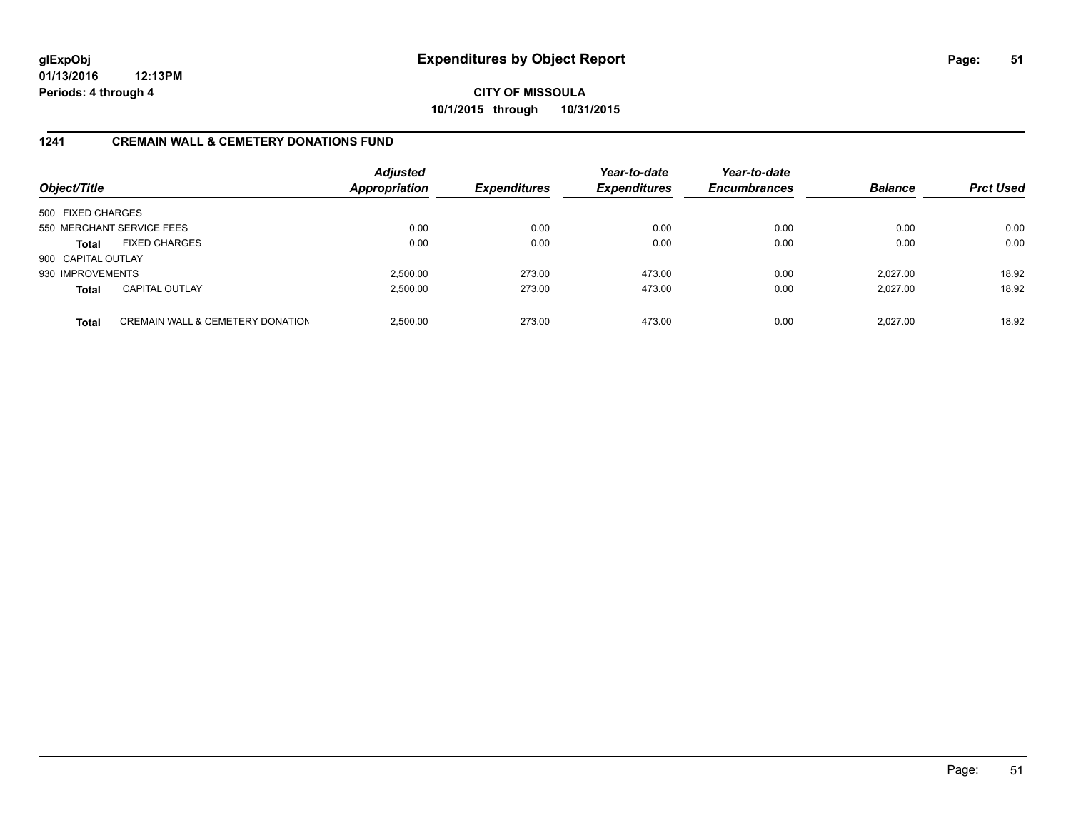**CITY OF MISSOULA 10/1/2015 through 10/31/2015**

### **1241 CREMAIN WALL & CEMETERY DONATIONS FUND**

| Object/Title       |                                             | <b>Adjusted</b><br>Appropriation | <b>Expenditures</b> | Year-to-date<br><b>Expenditures</b> | Year-to-date<br><b>Encumbrances</b> | <b>Balance</b> | <b>Prct Used</b> |
|--------------------|---------------------------------------------|----------------------------------|---------------------|-------------------------------------|-------------------------------------|----------------|------------------|
| 500 FIXED CHARGES  |                                             |                                  |                     |                                     |                                     |                |                  |
|                    | 550 MERCHANT SERVICE FEES                   | 0.00                             | 0.00                | 0.00                                | 0.00                                | 0.00           | 0.00             |
| <b>Total</b>       | <b>FIXED CHARGES</b>                        | 0.00                             | 0.00                | 0.00                                | 0.00                                | 0.00           | 0.00             |
| 900 CAPITAL OUTLAY |                                             |                                  |                     |                                     |                                     |                |                  |
| 930 IMPROVEMENTS   |                                             | 2.500.00                         | 273.00              | 473.00                              | 0.00                                | 2.027.00       | 18.92            |
| <b>Total</b>       | <b>CAPITAL OUTLAY</b>                       | 2,500.00                         | 273.00              | 473.00                              | 0.00                                | 2,027.00       | 18.92            |
| <b>Total</b>       | <b>CREMAIN WALL &amp; CEMETERY DONATION</b> | 2.500.00                         | 273.00              | 473.00                              | 0.00                                | 2.027.00       | 18.92            |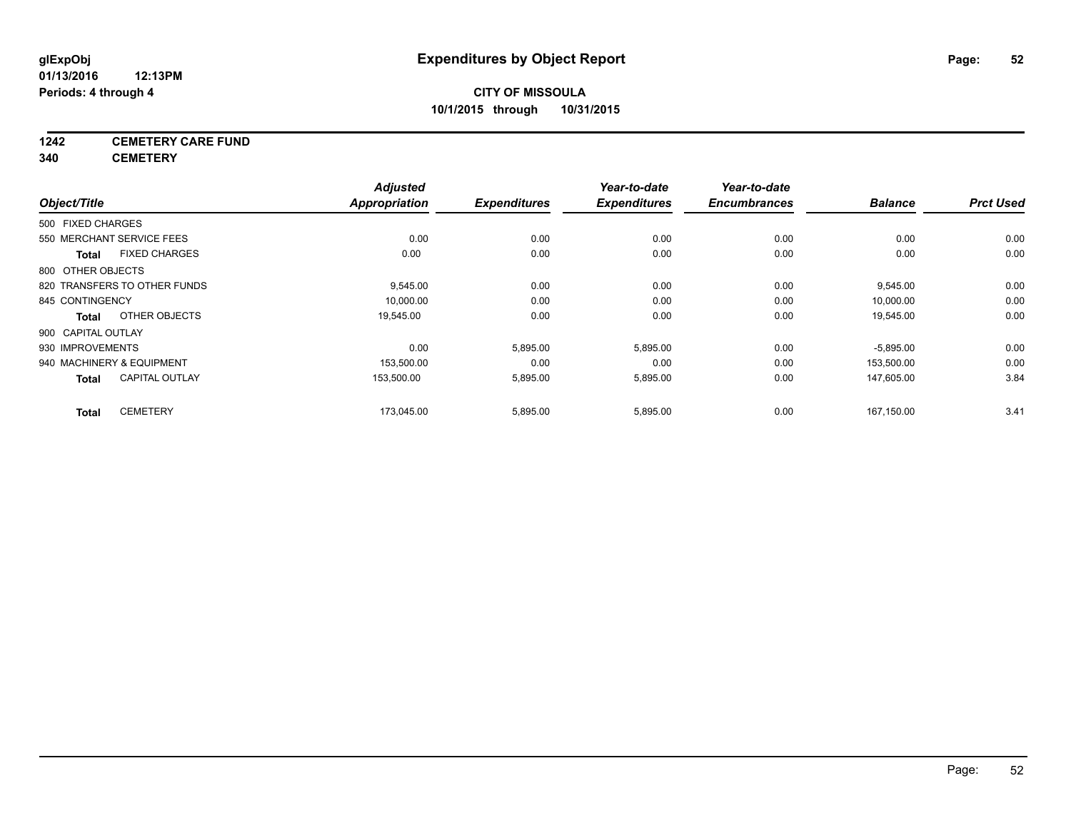# **1242 CEMETERY CARE FUND**

**340 CEMETERY**

| Object/Title       |                              | <b>Adjusted</b><br>Appropriation | <b>Expenditures</b> | Year-to-date<br><b>Expenditures</b> | Year-to-date<br><b>Encumbrances</b> | <b>Balance</b> | <b>Prct Used</b> |
|--------------------|------------------------------|----------------------------------|---------------------|-------------------------------------|-------------------------------------|----------------|------------------|
| 500 FIXED CHARGES  |                              |                                  |                     |                                     |                                     |                |                  |
|                    | 550 MERCHANT SERVICE FEES    | 0.00                             | 0.00                | 0.00                                | 0.00                                | 0.00           | 0.00             |
| <b>Total</b>       | <b>FIXED CHARGES</b>         | 0.00                             | 0.00                | 0.00                                | 0.00                                | 0.00           | 0.00             |
| 800 OTHER OBJECTS  |                              |                                  |                     |                                     |                                     |                |                  |
|                    | 820 TRANSFERS TO OTHER FUNDS | 9,545.00                         | 0.00                | 0.00                                | 0.00                                | 9,545.00       | 0.00             |
| 845 CONTINGENCY    |                              | 10,000.00                        | 0.00                | 0.00                                | 0.00                                | 10,000.00      | 0.00             |
| <b>Total</b>       | OTHER OBJECTS                | 19,545.00                        | 0.00                | 0.00                                | 0.00                                | 19,545.00      | 0.00             |
| 900 CAPITAL OUTLAY |                              |                                  |                     |                                     |                                     |                |                  |
| 930 IMPROVEMENTS   |                              | 0.00                             | 5,895.00            | 5,895.00                            | 0.00                                | $-5,895.00$    | 0.00             |
|                    | 940 MACHINERY & EQUIPMENT    | 153,500.00                       | 0.00                | 0.00                                | 0.00                                | 153,500.00     | 0.00             |
| <b>Total</b>       | <b>CAPITAL OUTLAY</b>        | 153,500.00                       | 5,895.00            | 5,895.00                            | 0.00                                | 147,605.00     | 3.84             |
| <b>Total</b>       | <b>CEMETERY</b>              | 173.045.00                       | 5,895.00            | 5,895.00                            | 0.00                                | 167.150.00     | 3.41             |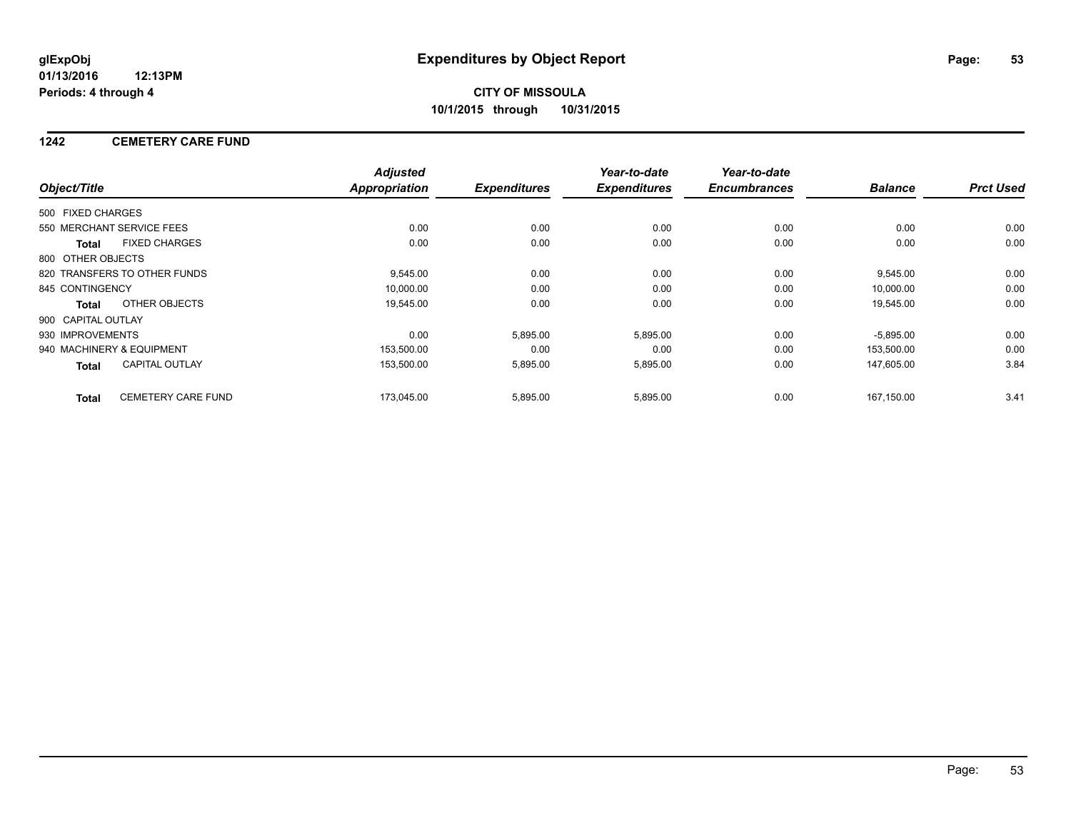### **1242 CEMETERY CARE FUND**

|                    |                              | <b>Adjusted</b>      |                     | Year-to-date        | Year-to-date        |                |                  |
|--------------------|------------------------------|----------------------|---------------------|---------------------|---------------------|----------------|------------------|
| Object/Title       |                              | <b>Appropriation</b> | <b>Expenditures</b> | <b>Expenditures</b> | <b>Encumbrances</b> | <b>Balance</b> | <b>Prct Used</b> |
| 500 FIXED CHARGES  |                              |                      |                     |                     |                     |                |                  |
|                    | 550 MERCHANT SERVICE FEES    | 0.00                 | 0.00                | 0.00                | 0.00                | 0.00           | 0.00             |
| <b>Total</b>       | <b>FIXED CHARGES</b>         | 0.00                 | 0.00                | 0.00                | 0.00                | 0.00           | 0.00             |
| 800 OTHER OBJECTS  |                              |                      |                     |                     |                     |                |                  |
|                    | 820 TRANSFERS TO OTHER FUNDS | 9,545.00             | 0.00                | 0.00                | 0.00                | 9,545.00       | 0.00             |
| 845 CONTINGENCY    |                              | 10,000.00            | 0.00                | 0.00                | 0.00                | 10,000.00      | 0.00             |
| Total              | OTHER OBJECTS                | 19,545.00            | 0.00                | 0.00                | 0.00                | 19,545.00      | 0.00             |
| 900 CAPITAL OUTLAY |                              |                      |                     |                     |                     |                |                  |
| 930 IMPROVEMENTS   |                              | 0.00                 | 5,895.00            | 5,895.00            | 0.00                | $-5,895.00$    | 0.00             |
|                    | 940 MACHINERY & EQUIPMENT    | 153,500.00           | 0.00                | 0.00                | 0.00                | 153,500.00     | 0.00             |
| Total              | <b>CAPITAL OUTLAY</b>        | 153,500.00           | 5,895.00            | 5,895.00            | 0.00                | 147,605.00     | 3.84             |
| <b>Total</b>       | CEMETERY CARE FUND           | 173,045.00           | 5,895.00            | 5,895.00            | 0.00                | 167,150.00     | 3.41             |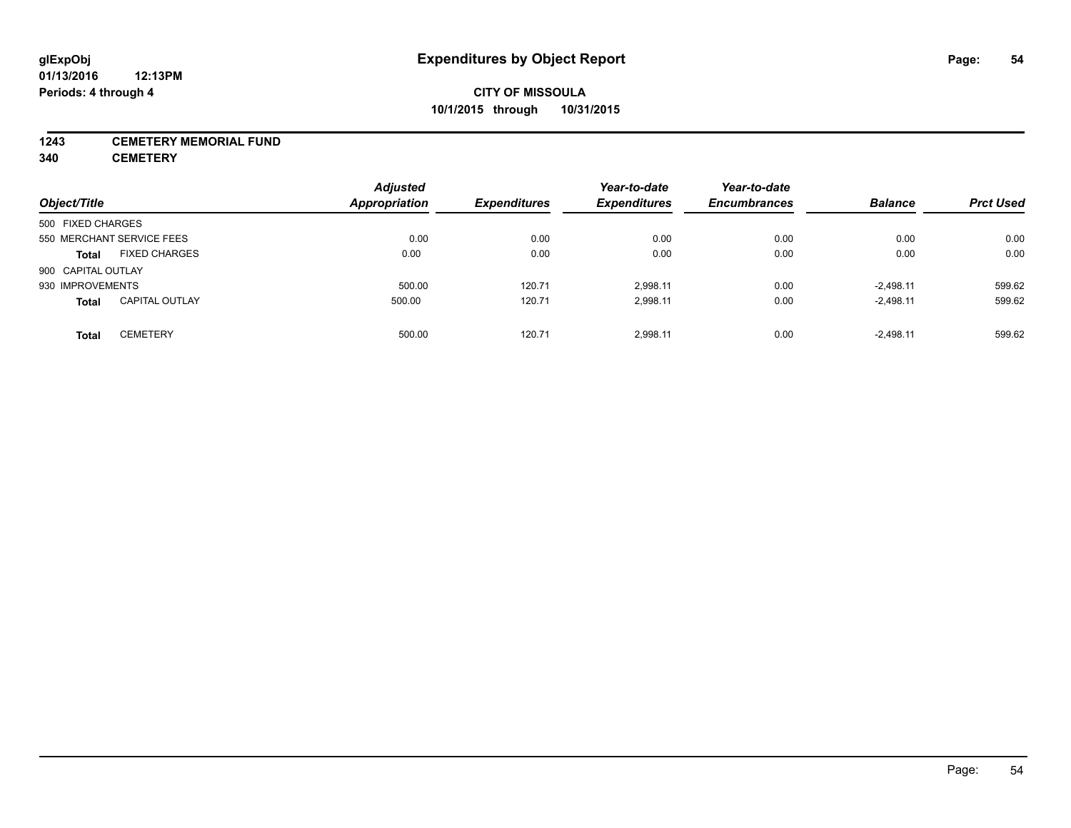### **1243 CEMETERY MEMORIAL FUND**

**340 CEMETERY**

| Object/Title                          | <b>Adjusted</b><br>Appropriation | <b>Expenditures</b> | Year-to-date<br><b>Expenditures</b> | Year-to-date<br><b>Encumbrances</b> | <b>Balance</b> | <b>Prct Used</b> |
|---------------------------------------|----------------------------------|---------------------|-------------------------------------|-------------------------------------|----------------|------------------|
| 500 FIXED CHARGES                     |                                  |                     |                                     |                                     |                |                  |
| 550 MERCHANT SERVICE FEES             | 0.00                             | 0.00                | 0.00                                | 0.00                                | 0.00           | 0.00             |
| <b>FIXED CHARGES</b><br><b>Total</b>  | 0.00                             | 0.00                | 0.00                                | 0.00                                | 0.00           | 0.00             |
| 900 CAPITAL OUTLAY                    |                                  |                     |                                     |                                     |                |                  |
| 930 IMPROVEMENTS                      | 500.00                           | 120.71              | 2.998.11                            | 0.00                                | $-2,498.11$    | 599.62           |
| <b>CAPITAL OUTLAY</b><br><b>Total</b> | 500.00                           | 120.71              | 2,998.11                            | 0.00                                | $-2,498.11$    | 599.62           |
| <b>CEMETERY</b><br><b>Total</b>       | 500.00                           | 120.71              | 2.998.11                            | 0.00                                | $-2.498.11$    | 599.62           |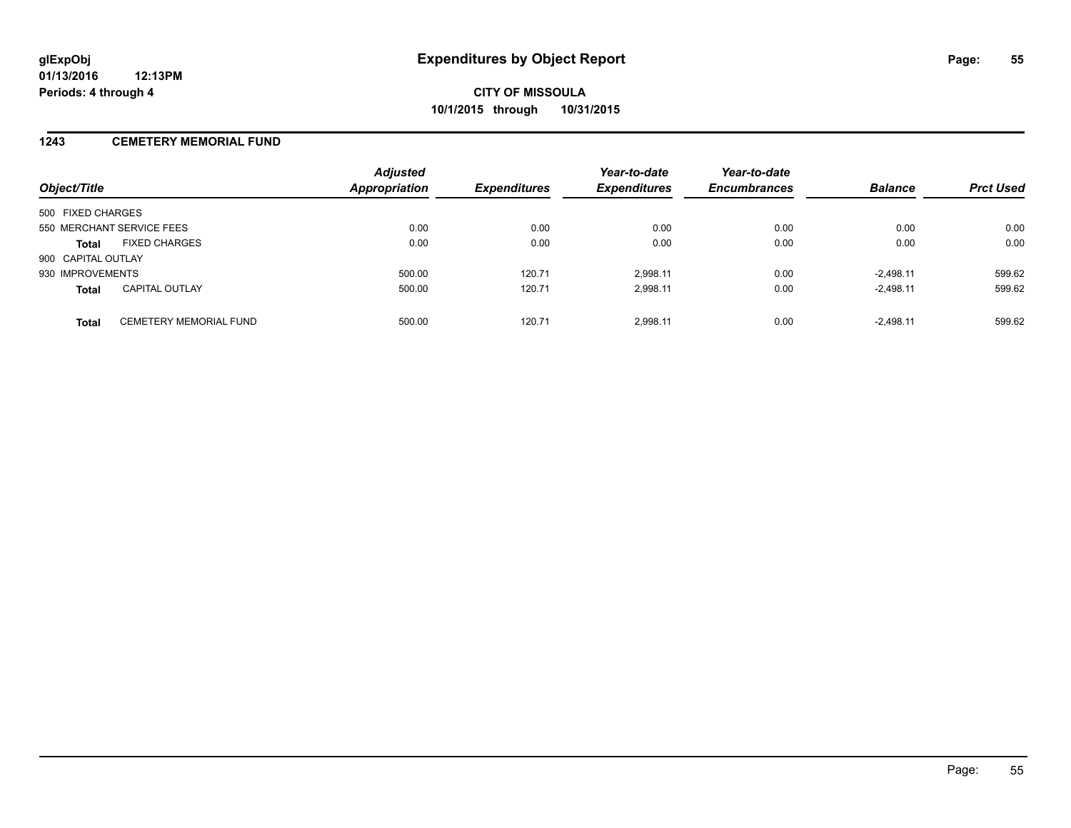### **1243 CEMETERY MEMORIAL FUND**

| Object/Title                                  | <b>Adjusted</b><br><b>Appropriation</b> | <b>Expenditures</b> | Year-to-date<br><b>Expenditures</b> | Year-to-date<br><b>Encumbrances</b> | <b>Balance</b> | <b>Prct Used</b> |
|-----------------------------------------------|-----------------------------------------|---------------------|-------------------------------------|-------------------------------------|----------------|------------------|
| 500 FIXED CHARGES                             |                                         |                     |                                     |                                     |                |                  |
| 550 MERCHANT SERVICE FEES                     | 0.00                                    | 0.00                | 0.00                                | 0.00                                | 0.00           | 0.00             |
| <b>FIXED CHARGES</b><br><b>Total</b>          | 0.00                                    | 0.00                | 0.00                                | 0.00                                | 0.00           | 0.00             |
| 900 CAPITAL OUTLAY                            |                                         |                     |                                     |                                     |                |                  |
| 930 IMPROVEMENTS                              | 500.00                                  | 120.71              | 2.998.11                            | 0.00                                | $-2.498.11$    | 599.62           |
| <b>CAPITAL OUTLAY</b><br><b>Total</b>         | 500.00                                  | 120.71              | 2,998.11                            | 0.00                                | $-2,498.11$    | 599.62           |
| <b>CEMETERY MEMORIAL FUND</b><br><b>Total</b> | 500.00                                  | 120.71              | 2.998.11                            | 0.00                                | $-2.498.11$    | 599.62           |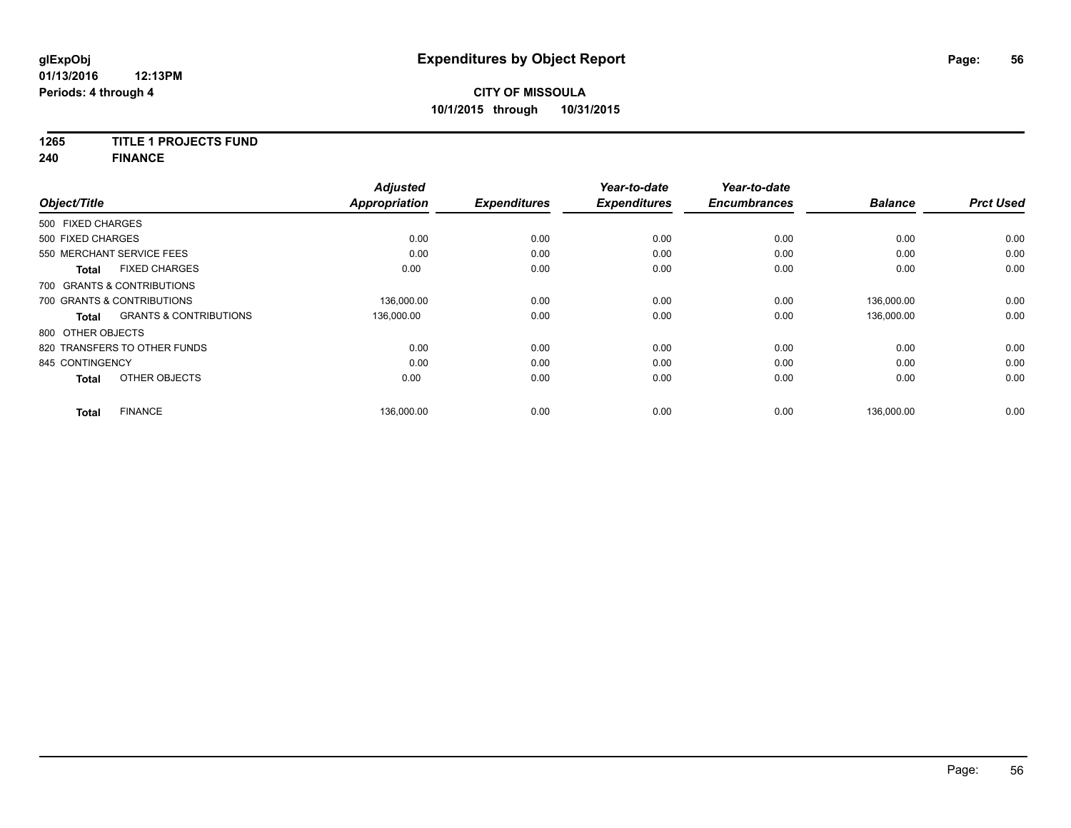# **1265 TITLE 1 PROJECTS FUND**

**240 FINANCE**

| Object/Title      |                                   | <b>Adjusted</b><br><b>Appropriation</b> | <b>Expenditures</b> | Year-to-date<br><b>Expenditures</b> | Year-to-date<br><b>Encumbrances</b> | <b>Balance</b> | <b>Prct Used</b> |
|-------------------|-----------------------------------|-----------------------------------------|---------------------|-------------------------------------|-------------------------------------|----------------|------------------|
| 500 FIXED CHARGES |                                   |                                         |                     |                                     |                                     |                |                  |
|                   |                                   |                                         |                     |                                     |                                     |                |                  |
| 500 FIXED CHARGES |                                   | 0.00                                    | 0.00                | 0.00                                | 0.00                                | 0.00           | 0.00             |
|                   | 550 MERCHANT SERVICE FEES         | 0.00                                    | 0.00                | 0.00                                | 0.00                                | 0.00           | 0.00             |
| <b>Total</b>      | <b>FIXED CHARGES</b>              | 0.00                                    | 0.00                | 0.00                                | 0.00                                | 0.00           | 0.00             |
|                   | 700 GRANTS & CONTRIBUTIONS        |                                         |                     |                                     |                                     |                |                  |
|                   | 700 GRANTS & CONTRIBUTIONS        | 136,000.00                              | 0.00                | 0.00                                | 0.00                                | 136,000.00     | 0.00             |
| <b>Total</b>      | <b>GRANTS &amp; CONTRIBUTIONS</b> | 136,000.00                              | 0.00                | 0.00                                | 0.00                                | 136,000.00     | 0.00             |
| 800 OTHER OBJECTS |                                   |                                         |                     |                                     |                                     |                |                  |
|                   | 820 TRANSFERS TO OTHER FUNDS      | 0.00                                    | 0.00                | 0.00                                | 0.00                                | 0.00           | 0.00             |
| 845 CONTINGENCY   |                                   | 0.00                                    | 0.00                | 0.00                                | 0.00                                | 0.00           | 0.00             |
| <b>Total</b>      | OTHER OBJECTS                     | 0.00                                    | 0.00                | 0.00                                | 0.00                                | 0.00           | 0.00             |
| <b>Total</b>      | <b>FINANCE</b>                    | 136,000.00                              | 0.00                | 0.00                                | 0.00                                | 136,000.00     | 0.00             |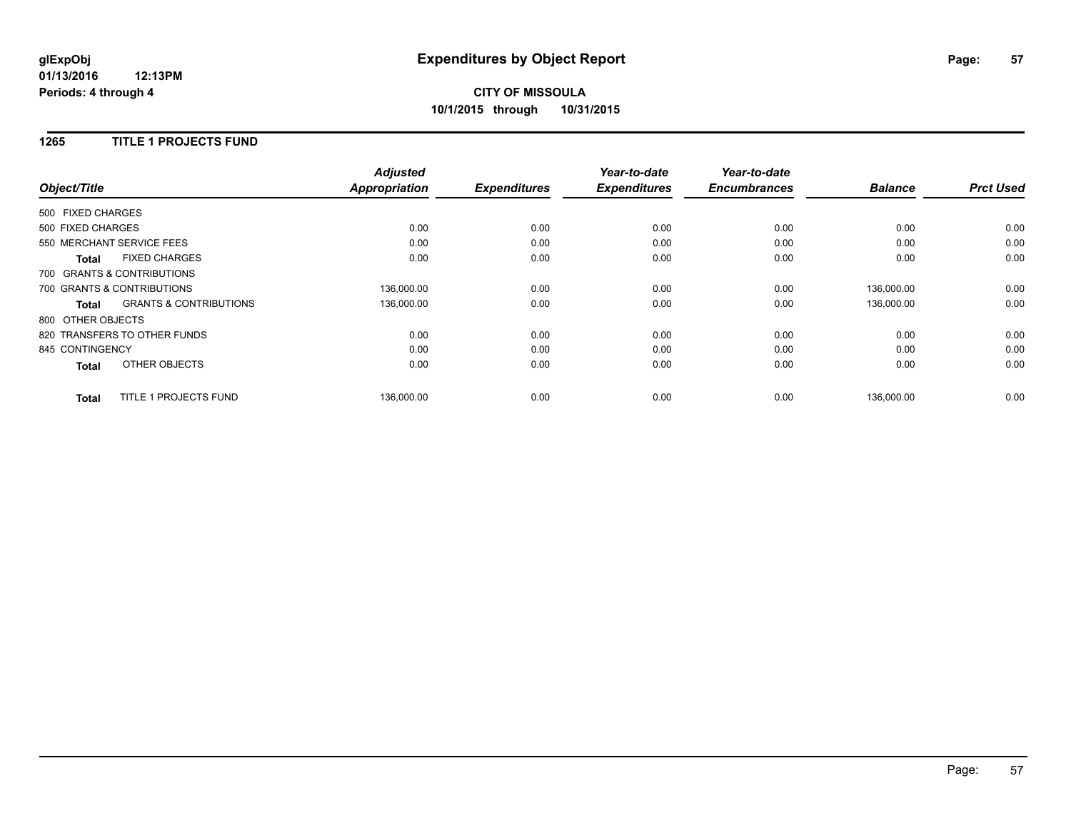# **CITY OF MISSOULA 10/1/2015 through 10/31/2015**

### **1265 TITLE 1 PROJECTS FUND**

|                              |                                   | <b>Adjusted</b>      |                     | Year-to-date        | Year-to-date        |                |                  |
|------------------------------|-----------------------------------|----------------------|---------------------|---------------------|---------------------|----------------|------------------|
| Object/Title                 |                                   | <b>Appropriation</b> | <b>Expenditures</b> | <b>Expenditures</b> | <b>Encumbrances</b> | <b>Balance</b> | <b>Prct Used</b> |
| 500 FIXED CHARGES            |                                   |                      |                     |                     |                     |                |                  |
| 500 FIXED CHARGES            |                                   | 0.00                 | 0.00                | 0.00                | 0.00                | 0.00           | 0.00             |
| 550 MERCHANT SERVICE FEES    |                                   | 0.00                 | 0.00                | 0.00                | 0.00                | 0.00           | 0.00             |
| <b>Total</b>                 | <b>FIXED CHARGES</b>              | 0.00                 | 0.00                | 0.00                | 0.00                | 0.00           | 0.00             |
| 700 GRANTS & CONTRIBUTIONS   |                                   |                      |                     |                     |                     |                |                  |
| 700 GRANTS & CONTRIBUTIONS   |                                   | 136,000.00           | 0.00                | 0.00                | 0.00                | 136,000.00     | 0.00             |
| Total                        | <b>GRANTS &amp; CONTRIBUTIONS</b> | 136,000.00           | 0.00                | 0.00                | 0.00                | 136,000.00     | 0.00             |
| 800 OTHER OBJECTS            |                                   |                      |                     |                     |                     |                |                  |
| 820 TRANSFERS TO OTHER FUNDS |                                   | 0.00                 | 0.00                | 0.00                | 0.00                | 0.00           | 0.00             |
| 845 CONTINGENCY              |                                   | 0.00                 | 0.00                | 0.00                | 0.00                | 0.00           | 0.00             |
| <b>Total</b>                 | OTHER OBJECTS                     | 0.00                 | 0.00                | 0.00                | 0.00                | 0.00           | 0.00             |
| <b>Total</b>                 | TITLE 1 PROJECTS FUND             | 136,000.00           | 0.00                | 0.00                | 0.00                | 136,000.00     | 0.00             |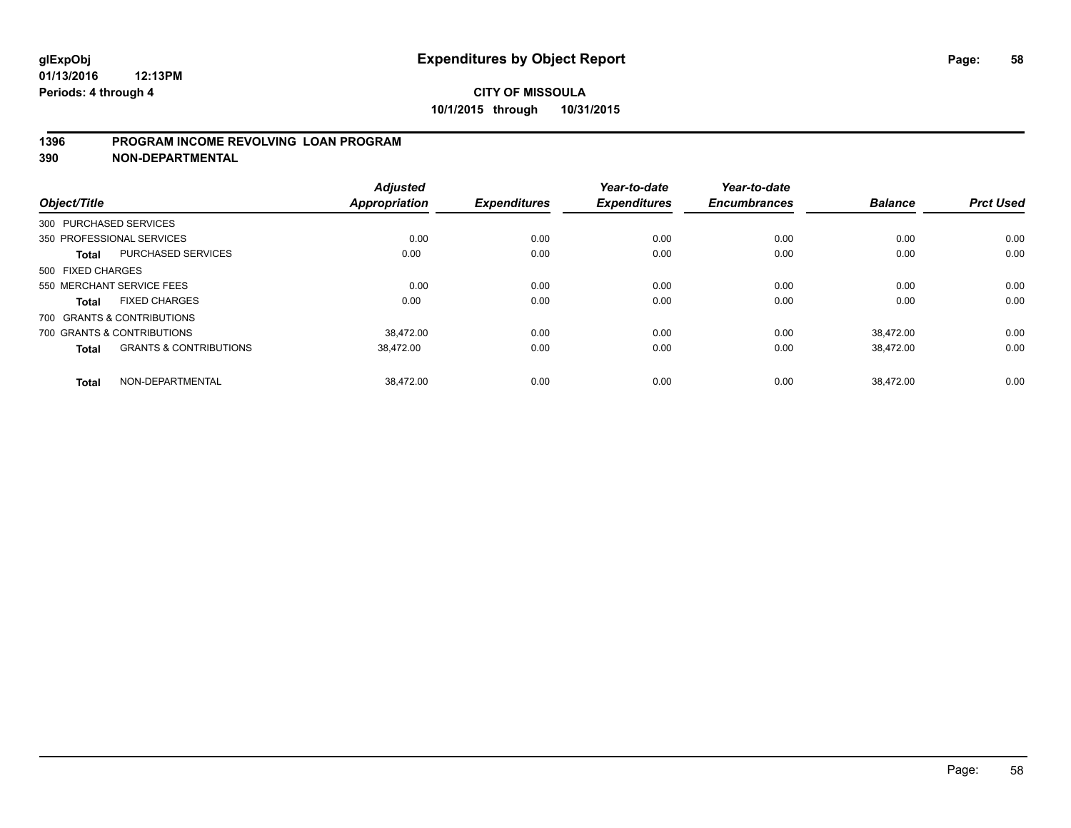### **1396 PROGRAM INCOME REVOLVING LOAN PROGRAM**

**390 NON-DEPARTMENTAL**

| Object/Title           |                                   | <b>Adjusted</b><br><b>Appropriation</b> | <b>Expenditures</b> | Year-to-date<br><b>Expenditures</b> | Year-to-date<br><b>Encumbrances</b> | <b>Balance</b> | <b>Prct Used</b> |
|------------------------|-----------------------------------|-----------------------------------------|---------------------|-------------------------------------|-------------------------------------|----------------|------------------|
| 300 PURCHASED SERVICES |                                   |                                         |                     |                                     |                                     |                |                  |
|                        | 350 PROFESSIONAL SERVICES         | 0.00                                    | 0.00                | 0.00                                | 0.00                                | 0.00           | 0.00             |
|                        |                                   |                                         |                     |                                     |                                     |                |                  |
| <b>Total</b>           | PURCHASED SERVICES                | 0.00                                    | 0.00                | 0.00                                | 0.00                                | 0.00           | 0.00             |
| 500 FIXED CHARGES      |                                   |                                         |                     |                                     |                                     |                |                  |
|                        | 550 MERCHANT SERVICE FEES         | 0.00                                    | 0.00                | 0.00                                | 0.00                                | 0.00           | 0.00             |
| <b>Total</b>           | <b>FIXED CHARGES</b>              | 0.00                                    | 0.00                | 0.00                                | 0.00                                | 0.00           | 0.00             |
|                        | 700 GRANTS & CONTRIBUTIONS        |                                         |                     |                                     |                                     |                |                  |
|                        | 700 GRANTS & CONTRIBUTIONS        | 38.472.00                               | 0.00                | 0.00                                | 0.00                                | 38.472.00      | 0.00             |
| <b>Total</b>           | <b>GRANTS &amp; CONTRIBUTIONS</b> | 38,472.00                               | 0.00                | 0.00                                | 0.00                                | 38,472.00      | 0.00             |
|                        |                                   |                                         |                     |                                     |                                     |                |                  |
| <b>Total</b>           | NON-DEPARTMENTAL                  | 38.472.00                               | 0.00                | 0.00                                | 0.00                                | 38.472.00      | 0.00             |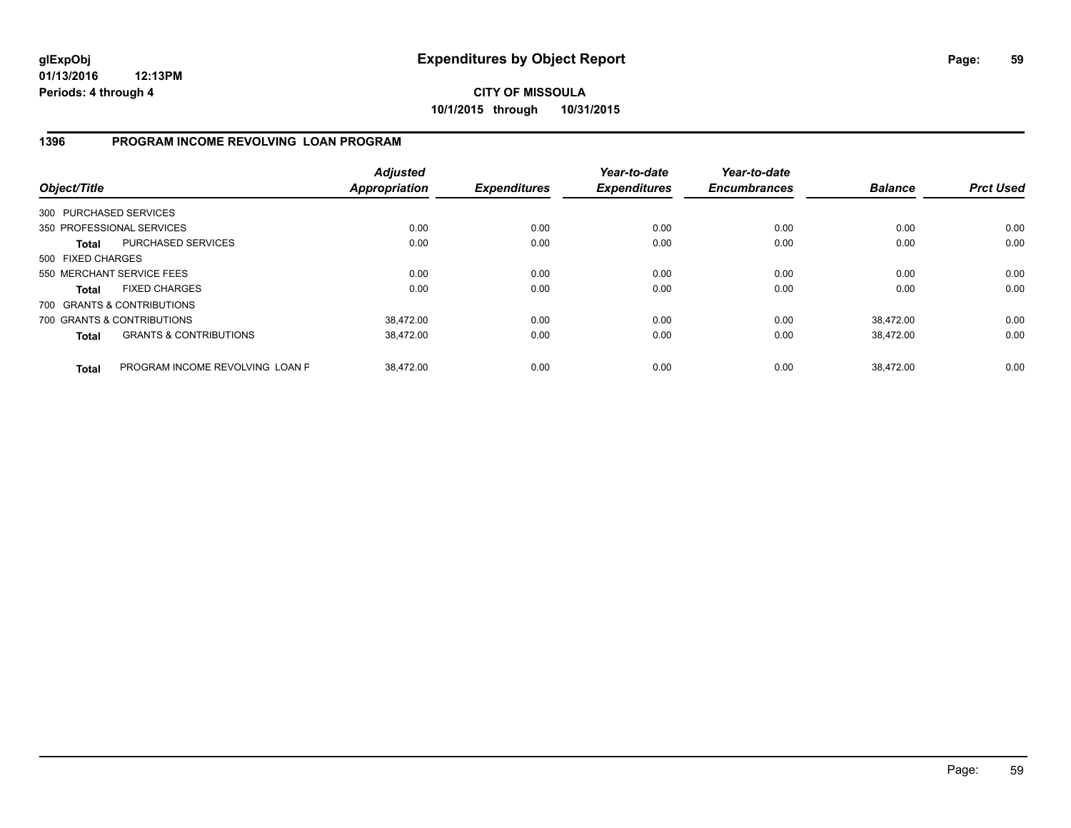**CITY OF MISSOULA 10/1/2015 through 10/31/2015**

### **1396 PROGRAM INCOME REVOLVING LOAN PROGRAM**

| Object/Title           |                                   | <b>Adjusted</b><br><b>Appropriation</b> | <b>Expenditures</b> | Year-to-date<br><b>Expenditures</b> | Year-to-date<br><b>Encumbrances</b> | <b>Balance</b> | <b>Prct Used</b> |
|------------------------|-----------------------------------|-----------------------------------------|---------------------|-------------------------------------|-------------------------------------|----------------|------------------|
| 300 PURCHASED SERVICES |                                   |                                         |                     |                                     |                                     |                |                  |
|                        | 350 PROFESSIONAL SERVICES         | 0.00                                    | 0.00                | 0.00                                | 0.00                                | 0.00           | 0.00             |
| Total                  | <b>PURCHASED SERVICES</b>         | 0.00                                    | 0.00                | 0.00                                | 0.00                                | 0.00           | 0.00             |
| 500 FIXED CHARGES      |                                   |                                         |                     |                                     |                                     |                |                  |
|                        | 550 MERCHANT SERVICE FEES         | 0.00                                    | 0.00                | 0.00                                | 0.00                                | 0.00           | 0.00             |
| <b>Total</b>           | <b>FIXED CHARGES</b>              | 0.00                                    | 0.00                | 0.00                                | 0.00                                | 0.00           | 0.00             |
|                        | 700 GRANTS & CONTRIBUTIONS        |                                         |                     |                                     |                                     |                |                  |
|                        | 700 GRANTS & CONTRIBUTIONS        | 38,472.00                               | 0.00                | 0.00                                | 0.00                                | 38.472.00      | 0.00             |
| <b>Total</b>           | <b>GRANTS &amp; CONTRIBUTIONS</b> | 38.472.00                               | 0.00                | 0.00                                | 0.00                                | 38.472.00      | 0.00             |
| <b>Total</b>           | PROGRAM INCOME REVOLVING LOAN P   | 38.472.00                               | 0.00                | 0.00                                | 0.00                                | 38.472.00      | 0.00             |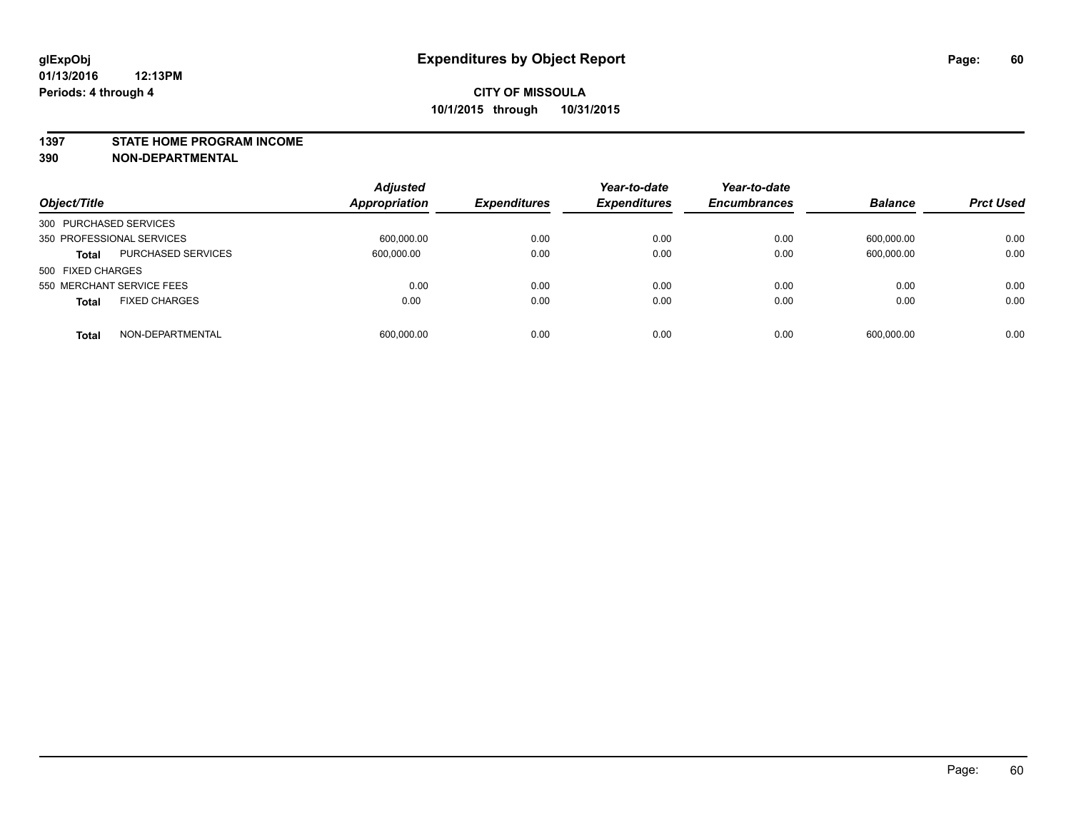#### **1397 STATE HOME PROGRAM INCOME**

**390 NON-DEPARTMENTAL**

| Object/Title                              | <b>Adjusted</b><br><b>Appropriation</b> | <b>Expenditures</b> | Year-to-date<br><b>Expenditures</b> | Year-to-date<br><b>Encumbrances</b> | <b>Balance</b> | <b>Prct Used</b> |
|-------------------------------------------|-----------------------------------------|---------------------|-------------------------------------|-------------------------------------|----------------|------------------|
| 300 PURCHASED SERVICES                    |                                         |                     |                                     |                                     |                |                  |
| 350 PROFESSIONAL SERVICES                 | 600,000.00                              | 0.00                | 0.00                                | 0.00                                | 600,000.00     | 0.00             |
| <b>PURCHASED SERVICES</b><br><b>Total</b> | 600,000.00                              | 0.00                | 0.00                                | 0.00                                | 600,000.00     | 0.00             |
| 500 FIXED CHARGES                         |                                         |                     |                                     |                                     |                |                  |
| 550 MERCHANT SERVICE FEES                 | 0.00                                    | 0.00                | 0.00                                | 0.00                                | 0.00           | 0.00             |
| <b>FIXED CHARGES</b><br><b>Total</b>      | 0.00                                    | 0.00                | 0.00                                | 0.00                                | 0.00           | 0.00             |
| NON-DEPARTMENTAL<br><b>Total</b>          | 600,000.00                              | 0.00                | 0.00                                | 0.00                                | 600,000.00     | 0.00             |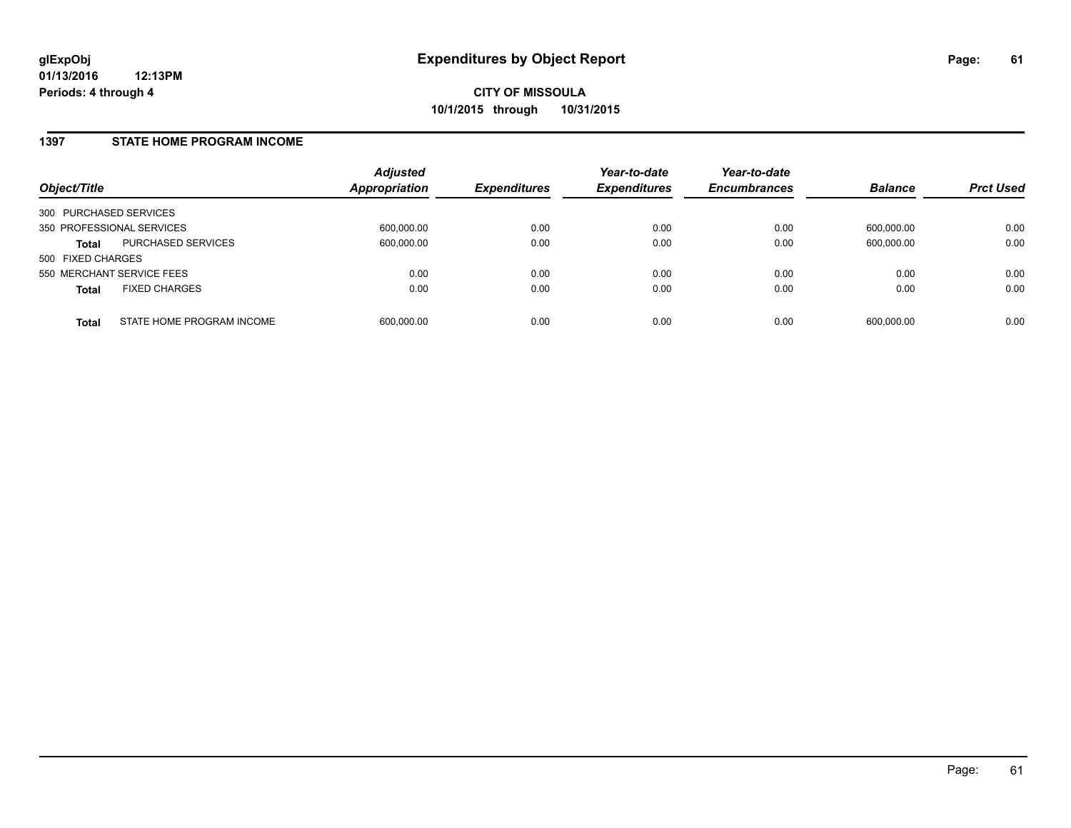### **1397 STATE HOME PROGRAM INCOME**

| Object/Title                              | <b>Adjusted</b><br><b>Appropriation</b> | <b>Expenditures</b> | Year-to-date<br><b>Expenditures</b> | Year-to-date<br><b>Encumbrances</b> | <b>Balance</b> | <b>Prct Used</b> |
|-------------------------------------------|-----------------------------------------|---------------------|-------------------------------------|-------------------------------------|----------------|------------------|
| 300 PURCHASED SERVICES                    |                                         |                     |                                     |                                     |                |                  |
| 350 PROFESSIONAL SERVICES                 | 600,000.00                              | 0.00                | 0.00                                | 0.00                                | 600.000.00     | 0.00             |
| PURCHASED SERVICES<br><b>Total</b>        | 600.000.00                              | 0.00                | 0.00                                | 0.00                                | 600.000.00     | 0.00             |
| 500 FIXED CHARGES                         |                                         |                     |                                     |                                     |                |                  |
| 550 MERCHANT SERVICE FEES                 | 0.00                                    | 0.00                | 0.00                                | 0.00                                | 0.00           | 0.00             |
| <b>FIXED CHARGES</b><br><b>Total</b>      | 0.00                                    | 0.00                | 0.00                                | 0.00                                | 0.00           | 0.00             |
| STATE HOME PROGRAM INCOME<br><b>Total</b> | 600.000.00                              | 0.00                | 0.00                                | 0.00                                | 600.000.00     | 0.00             |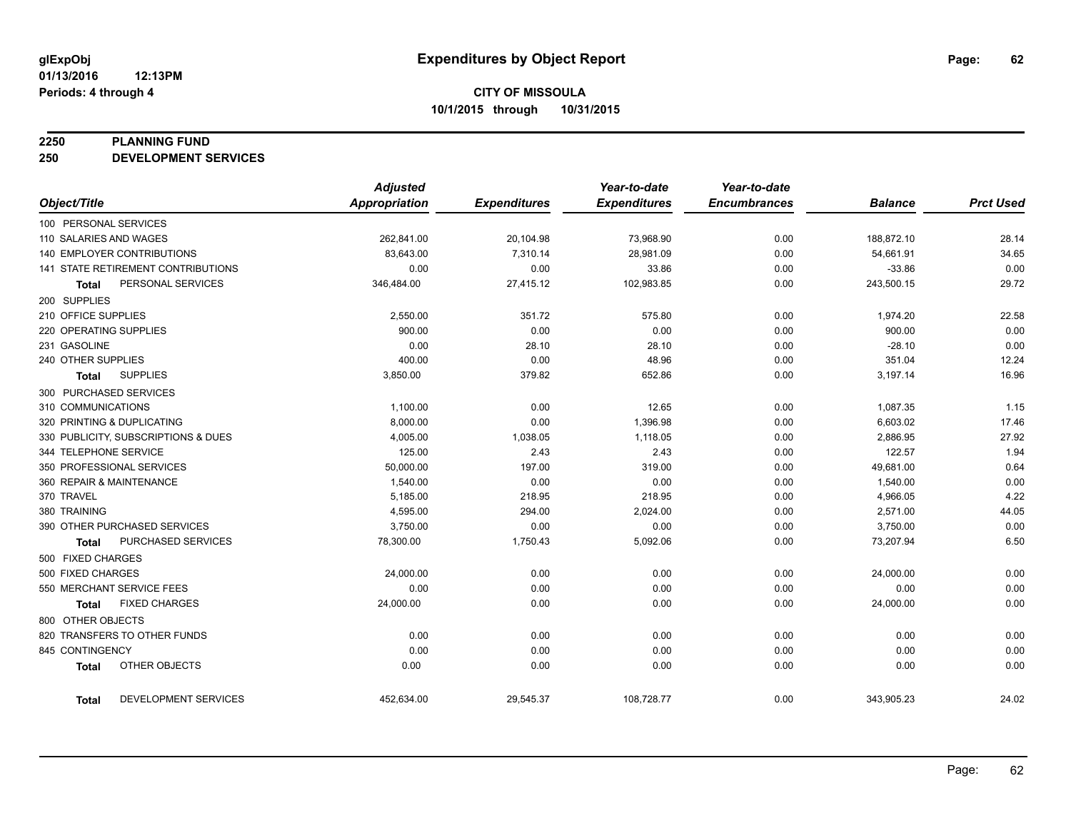#### **2250 PLANNING FUND**

**250 DEVELOPMENT SERVICES**

|                                           | <b>Adjusted</b>      |                     | Year-to-date        | Year-to-date        |                |                  |
|-------------------------------------------|----------------------|---------------------|---------------------|---------------------|----------------|------------------|
| Object/Title                              | <b>Appropriation</b> | <b>Expenditures</b> | <b>Expenditures</b> | <b>Encumbrances</b> | <b>Balance</b> | <b>Prct Used</b> |
| 100 PERSONAL SERVICES                     |                      |                     |                     |                     |                |                  |
| 110 SALARIES AND WAGES                    | 262,841.00           | 20,104.98           | 73,968.90           | 0.00                | 188,872.10     | 28.14            |
| <b>140 EMPLOYER CONTRIBUTIONS</b>         | 83,643.00            | 7,310.14            | 28,981.09           | 0.00                | 54,661.91      | 34.65            |
| <b>141 STATE RETIREMENT CONTRIBUTIONS</b> | 0.00                 | 0.00                | 33.86               | 0.00                | $-33.86$       | 0.00             |
| PERSONAL SERVICES<br><b>Total</b>         | 346,484.00           | 27,415.12           | 102,983.85          | 0.00                | 243,500.15     | 29.72            |
| 200 SUPPLIES                              |                      |                     |                     |                     |                |                  |
| 210 OFFICE SUPPLIES                       | 2,550.00             | 351.72              | 575.80              | 0.00                | 1,974.20       | 22.58            |
| 220 OPERATING SUPPLIES                    | 900.00               | 0.00                | 0.00                | 0.00                | 900.00         | 0.00             |
| 231 GASOLINE                              | 0.00                 | 28.10               | 28.10               | 0.00                | $-28.10$       | 0.00             |
| 240 OTHER SUPPLIES                        | 400.00               | 0.00                | 48.96               | 0.00                | 351.04         | 12.24            |
| <b>SUPPLIES</b><br>Total                  | 3,850.00             | 379.82              | 652.86              | 0.00                | 3,197.14       | 16.96            |
| 300 PURCHASED SERVICES                    |                      |                     |                     |                     |                |                  |
| 310 COMMUNICATIONS                        | 1,100.00             | 0.00                | 12.65               | 0.00                | 1,087.35       | 1.15             |
| 320 PRINTING & DUPLICATING                | 8,000.00             | 0.00                | 1,396.98            | 0.00                | 6,603.02       | 17.46            |
| 330 PUBLICITY, SUBSCRIPTIONS & DUES       | 4,005.00             | 1,038.05            | 1,118.05            | 0.00                | 2,886.95       | 27.92            |
| 344 TELEPHONE SERVICE                     | 125.00               | 2.43                | 2.43                | 0.00                | 122.57         | 1.94             |
| 350 PROFESSIONAL SERVICES                 | 50,000.00            | 197.00              | 319.00              | 0.00                | 49,681.00      | 0.64             |
| 360 REPAIR & MAINTENANCE                  | 1,540.00             | 0.00                | 0.00                | 0.00                | 1,540.00       | 0.00             |
| 370 TRAVEL                                | 5,185.00             | 218.95              | 218.95              | 0.00                | 4,966.05       | 4.22             |
| 380 TRAINING                              | 4,595.00             | 294.00              | 2,024.00            | 0.00                | 2,571.00       | 44.05            |
| 390 OTHER PURCHASED SERVICES              | 3,750.00             | 0.00                | 0.00                | 0.00                | 3,750.00       | 0.00             |
| <b>PURCHASED SERVICES</b><br><b>Total</b> | 78,300.00            | 1,750.43            | 5,092.06            | 0.00                | 73,207.94      | 6.50             |
| 500 FIXED CHARGES                         |                      |                     |                     |                     |                |                  |
| 500 FIXED CHARGES                         | 24,000.00            | 0.00                | 0.00                | 0.00                | 24,000.00      | 0.00             |
| 550 MERCHANT SERVICE FEES                 | 0.00                 | 0.00                | 0.00                | 0.00                | 0.00           | 0.00             |
| <b>FIXED CHARGES</b><br><b>Total</b>      | 24,000.00            | 0.00                | 0.00                | 0.00                | 24,000.00      | 0.00             |
| 800 OTHER OBJECTS                         |                      |                     |                     |                     |                |                  |
| 820 TRANSFERS TO OTHER FUNDS              | 0.00                 | 0.00                | 0.00                | 0.00                | 0.00           | 0.00             |
| 845 CONTINGENCY                           | 0.00                 | 0.00                | 0.00                | 0.00                | 0.00           | 0.00             |
| OTHER OBJECTS<br><b>Total</b>             | 0.00                 | 0.00                | 0.00                | 0.00                | 0.00           | 0.00             |
| DEVELOPMENT SERVICES<br><b>Total</b>      | 452,634.00           | 29,545.37           | 108,728.77          | 0.00                | 343,905.23     | 24.02            |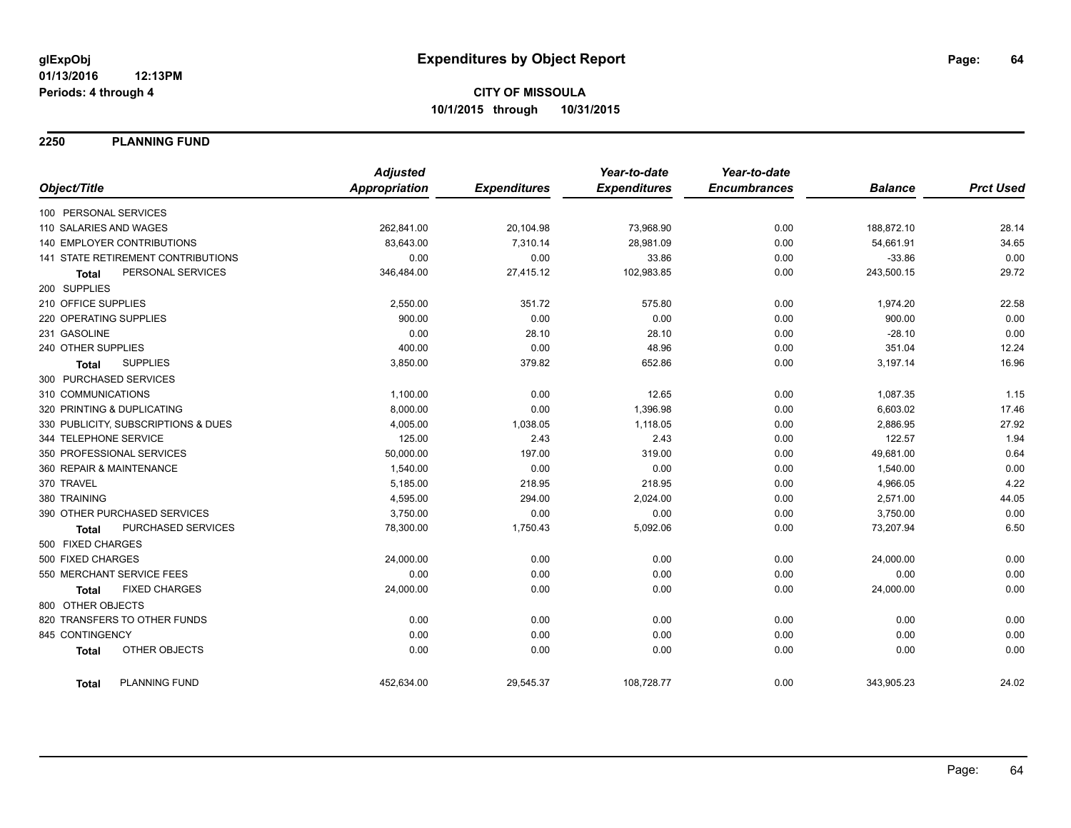**2250 PLANNING FUND**

|                                      | <b>Adjusted</b>      |                     | Year-to-date        | Year-to-date        |                |                  |
|--------------------------------------|----------------------|---------------------|---------------------|---------------------|----------------|------------------|
| Object/Title                         | <b>Appropriation</b> | <b>Expenditures</b> | <b>Expenditures</b> | <b>Encumbrances</b> | <b>Balance</b> | <b>Prct Used</b> |
| 100 PERSONAL SERVICES                |                      |                     |                     |                     |                |                  |
| 110 SALARIES AND WAGES               | 262,841.00           | 20,104.98           | 73,968.90           | 0.00                | 188,872.10     | 28.14            |
| 140 EMPLOYER CONTRIBUTIONS           | 83,643.00            | 7,310.14            | 28,981.09           | 0.00                | 54,661.91      | 34.65            |
| 141 STATE RETIREMENT CONTRIBUTIONS   | 0.00                 | 0.00                | 33.86               | 0.00                | $-33.86$       | 0.00             |
| PERSONAL SERVICES<br><b>Total</b>    | 346,484.00           | 27,415.12           | 102,983.85          | 0.00                | 243,500.15     | 29.72            |
| 200 SUPPLIES                         |                      |                     |                     |                     |                |                  |
| 210 OFFICE SUPPLIES                  | 2,550.00             | 351.72              | 575.80              | 0.00                | 1,974.20       | 22.58            |
| 220 OPERATING SUPPLIES               | 900.00               | 0.00                | 0.00                | 0.00                | 900.00         | 0.00             |
| 231 GASOLINE                         | 0.00                 | 28.10               | 28.10               | 0.00                | $-28.10$       | 0.00             |
| 240 OTHER SUPPLIES                   | 400.00               | 0.00                | 48.96               | 0.00                | 351.04         | 12.24            |
| <b>SUPPLIES</b><br><b>Total</b>      | 3,850.00             | 379.82              | 652.86              | 0.00                | 3,197.14       | 16.96            |
| 300 PURCHASED SERVICES               |                      |                     |                     |                     |                |                  |
| 310 COMMUNICATIONS                   | 1,100.00             | 0.00                | 12.65               | 0.00                | 1,087.35       | 1.15             |
| 320 PRINTING & DUPLICATING           | 8,000.00             | 0.00                | 1,396.98            | 0.00                | 6,603.02       | 17.46            |
| 330 PUBLICITY, SUBSCRIPTIONS & DUES  | 4,005.00             | 1,038.05            | 1,118.05            | 0.00                | 2,886.95       | 27.92            |
| 344 TELEPHONE SERVICE                | 125.00               | 2.43                | 2.43                | 0.00                | 122.57         | 1.94             |
| 350 PROFESSIONAL SERVICES            | 50,000.00            | 197.00              | 319.00              | 0.00                | 49,681.00      | 0.64             |
| 360 REPAIR & MAINTENANCE             | 1,540.00             | 0.00                | 0.00                | 0.00                | 1,540.00       | 0.00             |
| 370 TRAVEL                           | 5,185.00             | 218.95              | 218.95              | 0.00                | 4,966.05       | 4.22             |
| 380 TRAINING                         | 4,595.00             | 294.00              | 2,024.00            | 0.00                | 2,571.00       | 44.05            |
| 390 OTHER PURCHASED SERVICES         | 3,750.00             | 0.00                | 0.00                | 0.00                | 3,750.00       | 0.00             |
| PURCHASED SERVICES<br><b>Total</b>   | 78,300.00            | 1,750.43            | 5,092.06            | 0.00                | 73,207.94      | 6.50             |
| 500 FIXED CHARGES                    |                      |                     |                     |                     |                |                  |
| 500 FIXED CHARGES                    | 24,000.00            | 0.00                | 0.00                | 0.00                | 24,000.00      | 0.00             |
| 550 MERCHANT SERVICE FEES            | 0.00                 | 0.00                | 0.00                | 0.00                | 0.00           | 0.00             |
| <b>FIXED CHARGES</b><br><b>Total</b> | 24,000.00            | 0.00                | 0.00                | 0.00                | 24,000.00      | 0.00             |
| 800 OTHER OBJECTS                    |                      |                     |                     |                     |                |                  |
| 820 TRANSFERS TO OTHER FUNDS         | 0.00                 | 0.00                | 0.00                | 0.00                | 0.00           | 0.00             |
| 845 CONTINGENCY                      | 0.00                 | 0.00                | 0.00                | 0.00                | 0.00           | 0.00             |
| OTHER OBJECTS<br><b>Total</b>        | 0.00                 | 0.00                | 0.00                | 0.00                | 0.00           | 0.00             |
| <b>PLANNING FUND</b><br><b>Total</b> | 452,634.00           | 29,545.37           | 108,728.77          | 0.00                | 343,905.23     | 24.02            |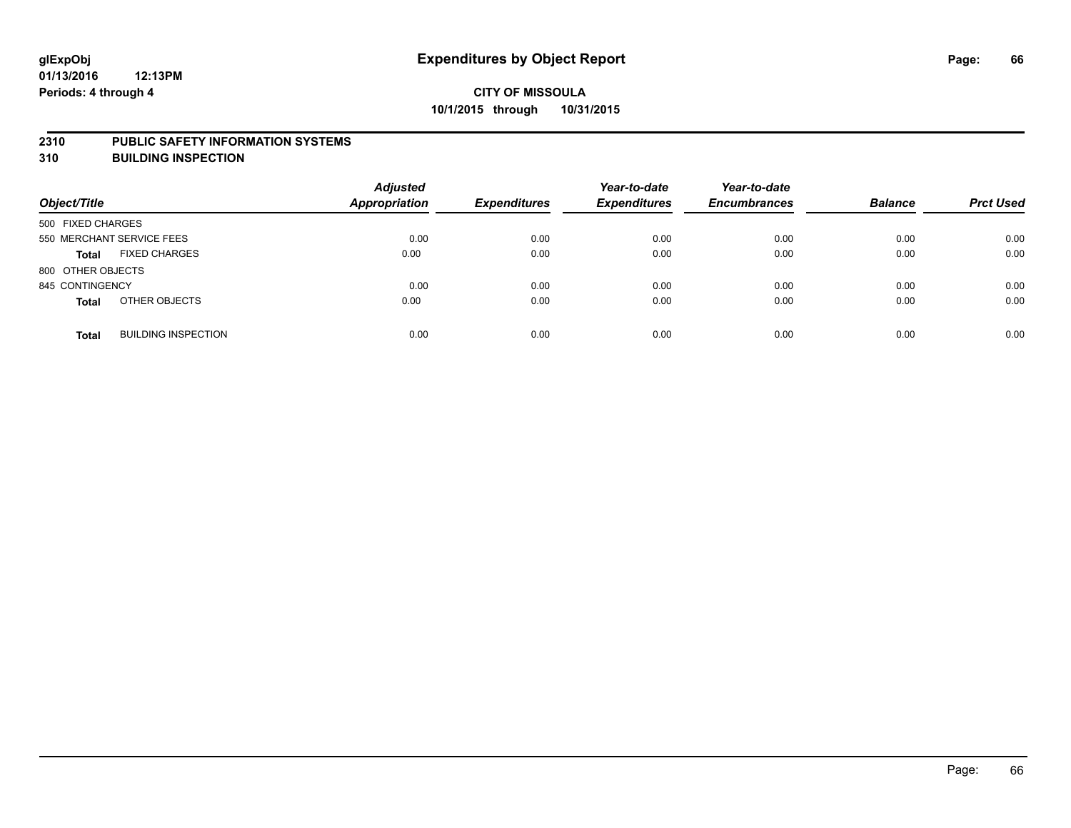#### **2310 PUBLIC SAFETY INFORMATION SYSTEMS**

**310 BUILDING INSPECTION**

| Object/Title      |                            | <b>Adjusted</b><br><b>Appropriation</b> | <b>Expenditures</b> | Year-to-date<br><b>Expenditures</b> | Year-to-date<br><b>Encumbrances</b> | <b>Balance</b> | <b>Prct Used</b> |
|-------------------|----------------------------|-----------------------------------------|---------------------|-------------------------------------|-------------------------------------|----------------|------------------|
| 500 FIXED CHARGES |                            |                                         |                     |                                     |                                     |                |                  |
|                   | 550 MERCHANT SERVICE FEES  | 0.00                                    | 0.00                | 0.00                                | 0.00                                | 0.00           | 0.00             |
| <b>Total</b>      | <b>FIXED CHARGES</b>       | 0.00                                    | 0.00                | 0.00                                | 0.00                                | 0.00           | 0.00             |
| 800 OTHER OBJECTS |                            |                                         |                     |                                     |                                     |                |                  |
| 845 CONTINGENCY   |                            | 0.00                                    | 0.00                | 0.00                                | 0.00                                | 0.00           | 0.00             |
| <b>Total</b>      | OTHER OBJECTS              | 0.00                                    | 0.00                | 0.00                                | 0.00                                | 0.00           | 0.00             |
| <b>Total</b>      | <b>BUILDING INSPECTION</b> | 0.00                                    | 0.00                | 0.00                                | 0.00                                | 0.00           | 0.00             |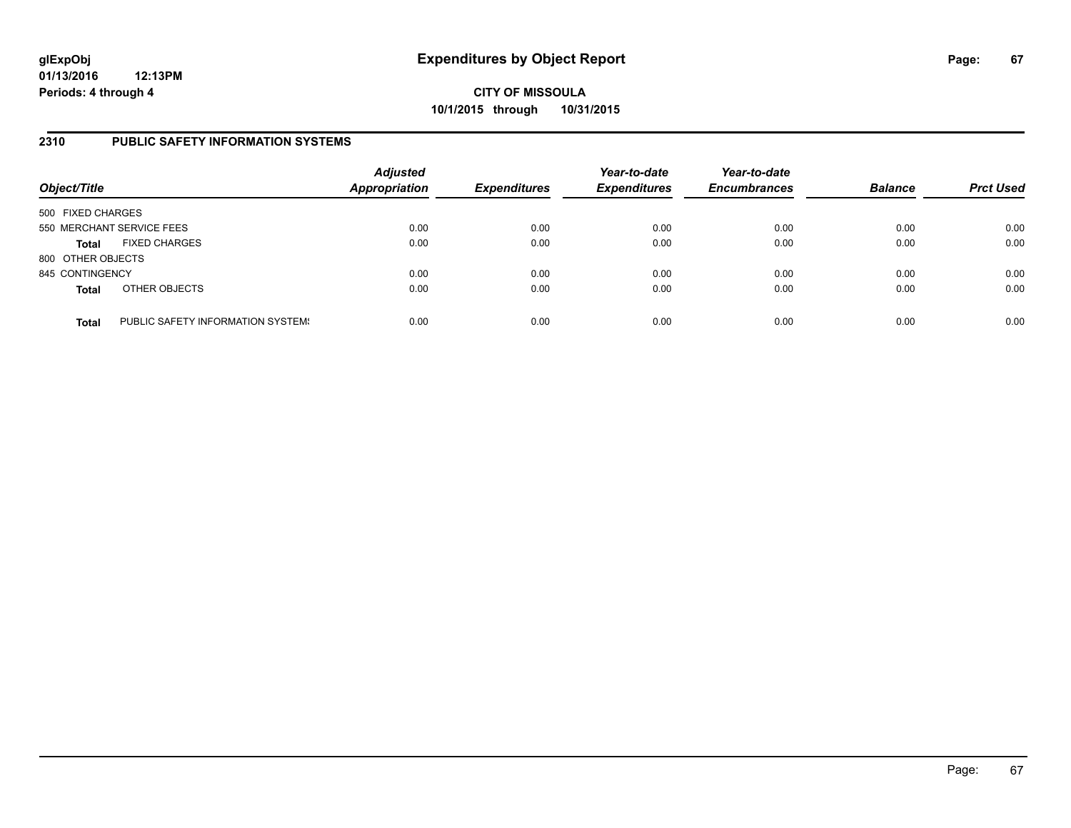# **CITY OF MISSOULA 10/1/2015 through 10/31/2015**

### **2310 PUBLIC SAFETY INFORMATION SYSTEMS**

| Object/Title      |                                   | <b>Adjusted</b><br>Appropriation | <b>Expenditures</b> | Year-to-date<br><b>Expenditures</b> | Year-to-date<br><b>Encumbrances</b> | <b>Balance</b> | <b>Prct Used</b> |
|-------------------|-----------------------------------|----------------------------------|---------------------|-------------------------------------|-------------------------------------|----------------|------------------|
| 500 FIXED CHARGES |                                   |                                  |                     |                                     |                                     |                |                  |
|                   | 550 MERCHANT SERVICE FEES         | 0.00                             | 0.00                | 0.00                                | 0.00                                | 0.00           | 0.00             |
| <b>Total</b>      | <b>FIXED CHARGES</b>              | 0.00                             | 0.00                | 0.00                                | 0.00                                | 0.00           | 0.00             |
| 800 OTHER OBJECTS |                                   |                                  |                     |                                     |                                     |                |                  |
| 845 CONTINGENCY   |                                   | 0.00                             | 0.00                | 0.00                                | 0.00                                | 0.00           | 0.00             |
| <b>Total</b>      | OTHER OBJECTS                     | 0.00                             | 0.00                | 0.00                                | 0.00                                | 0.00           | 0.00             |
| <b>Total</b>      | PUBLIC SAFETY INFORMATION SYSTEM! | 0.00                             | 0.00                | 0.00                                | 0.00                                | 0.00           | 0.00             |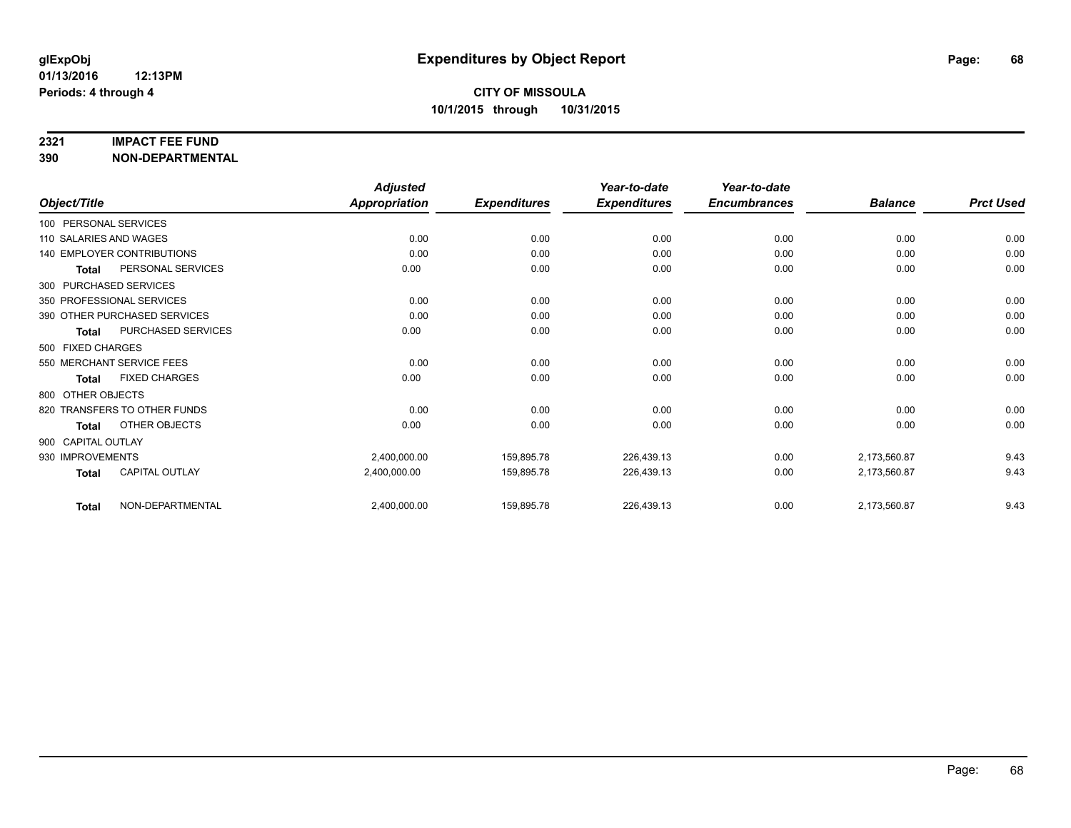#### **2321 IMPACT FEE FUND**

**390 NON-DEPARTMENTAL**

|                        |                                   | <b>Adjusted</b>      |                     | Year-to-date        | Year-to-date        |                |                  |
|------------------------|-----------------------------------|----------------------|---------------------|---------------------|---------------------|----------------|------------------|
| Object/Title           |                                   | <b>Appropriation</b> | <b>Expenditures</b> | <b>Expenditures</b> | <b>Encumbrances</b> | <b>Balance</b> | <b>Prct Used</b> |
| 100 PERSONAL SERVICES  |                                   |                      |                     |                     |                     |                |                  |
| 110 SALARIES AND WAGES |                                   | 0.00                 | 0.00                | 0.00                | 0.00                | 0.00           | 0.00             |
|                        | <b>140 EMPLOYER CONTRIBUTIONS</b> | 0.00                 | 0.00                | 0.00                | 0.00                | 0.00           | 0.00             |
| <b>Total</b>           | PERSONAL SERVICES                 | 0.00                 | 0.00                | 0.00                | 0.00                | 0.00           | 0.00             |
| 300 PURCHASED SERVICES |                                   |                      |                     |                     |                     |                |                  |
|                        | 350 PROFESSIONAL SERVICES         | 0.00                 | 0.00                | 0.00                | 0.00                | 0.00           | 0.00             |
|                        | 390 OTHER PURCHASED SERVICES      | 0.00                 | 0.00                | 0.00                | 0.00                | 0.00           | 0.00             |
| <b>Total</b>           | PURCHASED SERVICES                | 0.00                 | 0.00                | 0.00                | 0.00                | 0.00           | 0.00             |
| 500 FIXED CHARGES      |                                   |                      |                     |                     |                     |                |                  |
|                        | 550 MERCHANT SERVICE FEES         | 0.00                 | 0.00                | 0.00                | 0.00                | 0.00           | 0.00             |
| <b>Total</b>           | <b>FIXED CHARGES</b>              | 0.00                 | 0.00                | 0.00                | 0.00                | 0.00           | 0.00             |
| 800 OTHER OBJECTS      |                                   |                      |                     |                     |                     |                |                  |
|                        | 820 TRANSFERS TO OTHER FUNDS      | 0.00                 | 0.00                | 0.00                | 0.00                | 0.00           | 0.00             |
| Total                  | OTHER OBJECTS                     | 0.00                 | 0.00                | 0.00                | 0.00                | 0.00           | 0.00             |
| 900 CAPITAL OUTLAY     |                                   |                      |                     |                     |                     |                |                  |
| 930 IMPROVEMENTS       |                                   | 2,400,000.00         | 159,895.78          | 226,439.13          | 0.00                | 2,173,560.87   | 9.43             |
| <b>Total</b>           | CAPITAL OUTLAY                    | 2,400,000.00         | 159,895.78          | 226,439.13          | 0.00                | 2,173,560.87   | 9.43             |
| <b>Total</b>           | NON-DEPARTMENTAL                  | 2,400,000.00         | 159,895.78          | 226,439.13          | 0.00                | 2,173,560.87   | 9.43             |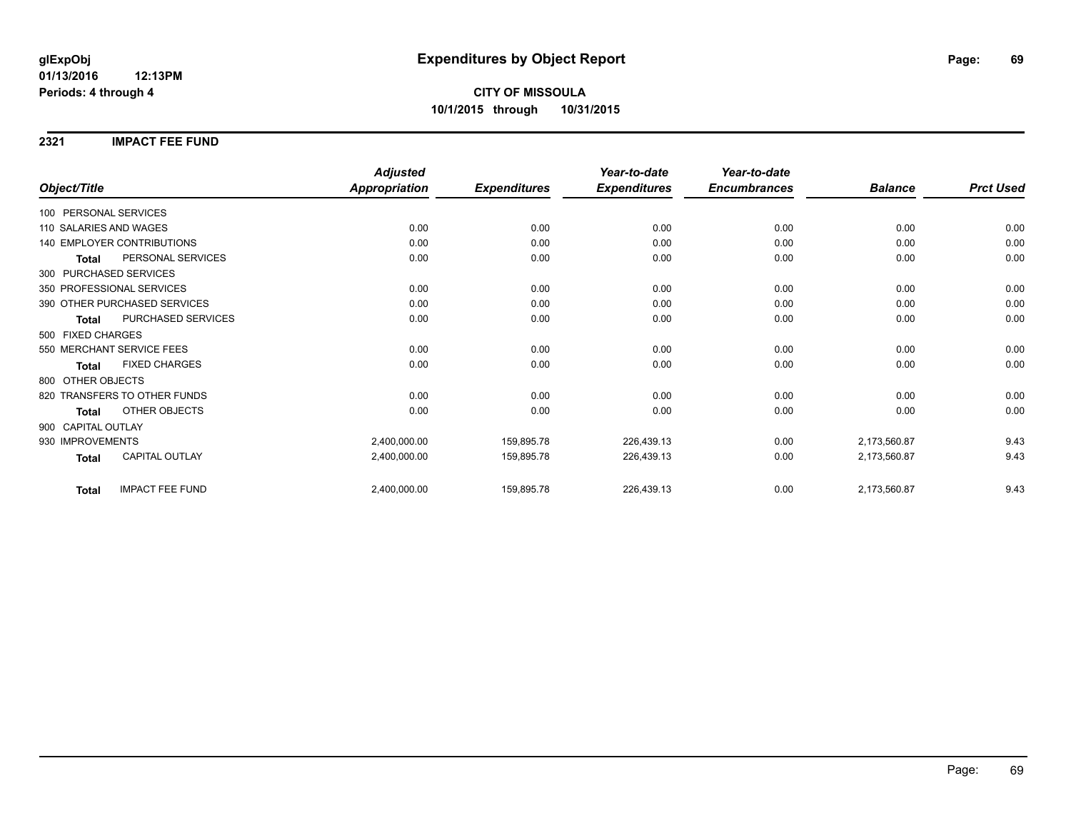**2321 IMPACT FEE FUND**

|                                        | <b>Adjusted</b>      |                     | Year-to-date        | Year-to-date        |                |                  |
|----------------------------------------|----------------------|---------------------|---------------------|---------------------|----------------|------------------|
| Object/Title                           | <b>Appropriation</b> | <b>Expenditures</b> | <b>Expenditures</b> | <b>Encumbrances</b> | <b>Balance</b> | <b>Prct Used</b> |
| 100 PERSONAL SERVICES                  |                      |                     |                     |                     |                |                  |
| 110 SALARIES AND WAGES                 | 0.00                 | 0.00                | 0.00                | 0.00                | 0.00           | 0.00             |
| <b>140 EMPLOYER CONTRIBUTIONS</b>      | 0.00                 | 0.00                | 0.00                | 0.00                | 0.00           | 0.00             |
| PERSONAL SERVICES<br><b>Total</b>      | 0.00                 | 0.00                | 0.00                | 0.00                | 0.00           | 0.00             |
| 300 PURCHASED SERVICES                 |                      |                     |                     |                     |                |                  |
| 350 PROFESSIONAL SERVICES              | 0.00                 | 0.00                | 0.00                | 0.00                | 0.00           | 0.00             |
| 390 OTHER PURCHASED SERVICES           | 0.00                 | 0.00                | 0.00                | 0.00                | 0.00           | 0.00             |
| PURCHASED SERVICES<br><b>Total</b>     | 0.00                 | 0.00                | 0.00                | 0.00                | 0.00           | 0.00             |
| 500 FIXED CHARGES                      |                      |                     |                     |                     |                |                  |
| 550 MERCHANT SERVICE FEES              | 0.00                 | 0.00                | 0.00                | 0.00                | 0.00           | 0.00             |
| <b>FIXED CHARGES</b><br><b>Total</b>   | 0.00                 | 0.00                | 0.00                | 0.00                | 0.00           | 0.00             |
| 800 OTHER OBJECTS                      |                      |                     |                     |                     |                |                  |
| 820 TRANSFERS TO OTHER FUNDS           | 0.00                 | 0.00                | 0.00                | 0.00                | 0.00           | 0.00             |
| OTHER OBJECTS<br><b>Total</b>          | 0.00                 | 0.00                | 0.00                | 0.00                | 0.00           | 0.00             |
| 900 CAPITAL OUTLAY                     |                      |                     |                     |                     |                |                  |
| 930 IMPROVEMENTS                       | 2,400,000.00         | 159,895.78          | 226,439.13          | 0.00                | 2,173,560.87   | 9.43             |
| CAPITAL OUTLAY<br><b>Total</b>         | 2,400,000.00         | 159,895.78          | 226,439.13          | 0.00                | 2,173,560.87   | 9.43             |
| <b>IMPACT FEE FUND</b><br><b>Total</b> | 2,400,000.00         | 159,895.78          | 226,439.13          | 0.00                | 2,173,560.87   | 9.43             |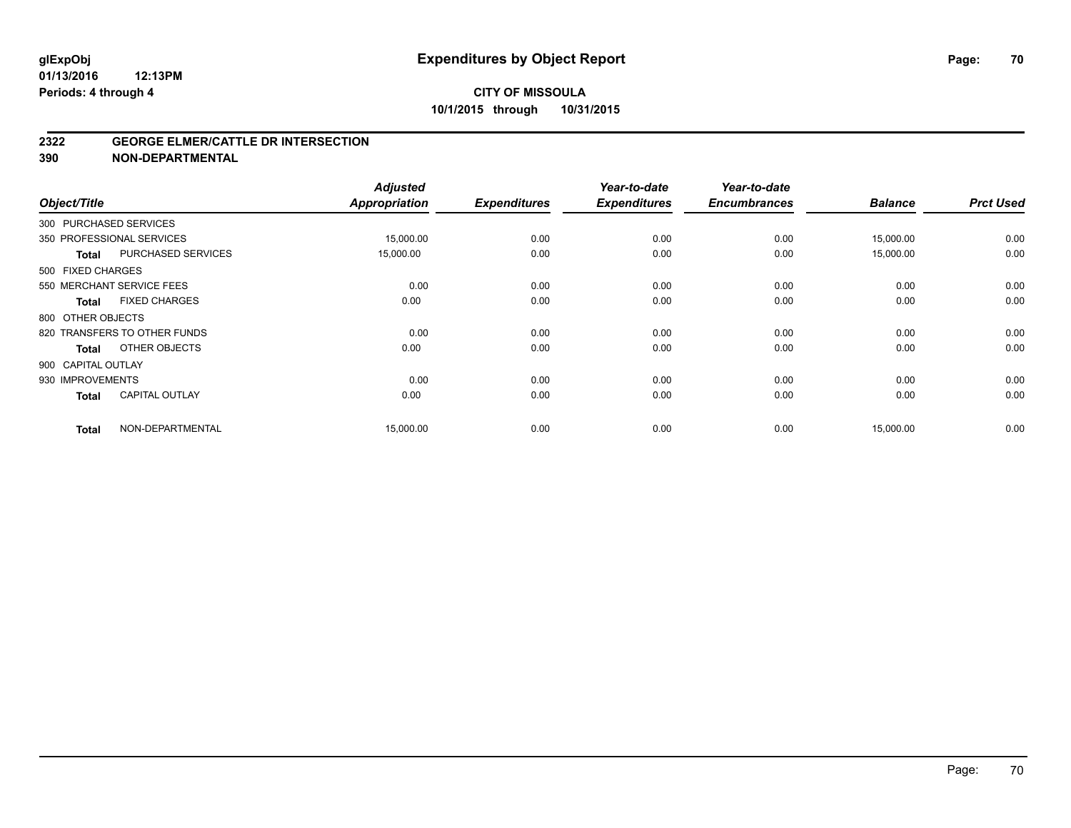#### **2322 GEORGE ELMER/CATTLE DR INTERSECTION**

**390 NON-DEPARTMENTAL**

| Object/Title       |                              | <b>Adjusted</b><br><b>Appropriation</b> | <b>Expenditures</b> | Year-to-date<br><b>Expenditures</b> | Year-to-date<br><b>Encumbrances</b> | <b>Balance</b> | <b>Prct Used</b> |
|--------------------|------------------------------|-----------------------------------------|---------------------|-------------------------------------|-------------------------------------|----------------|------------------|
|                    | 300 PURCHASED SERVICES       |                                         |                     |                                     |                                     |                |                  |
|                    | 350 PROFESSIONAL SERVICES    | 15,000.00                               | 0.00                | 0.00                                | 0.00                                | 15,000.00      | 0.00             |
| <b>Total</b>       | <b>PURCHASED SERVICES</b>    | 15,000.00                               | 0.00                | 0.00                                | 0.00                                | 15,000.00      | 0.00             |
| 500 FIXED CHARGES  |                              |                                         |                     |                                     |                                     |                |                  |
|                    | 550 MERCHANT SERVICE FEES    | 0.00                                    | 0.00                | 0.00                                | 0.00                                | 0.00           | 0.00             |
| <b>Total</b>       | <b>FIXED CHARGES</b>         | 0.00                                    | 0.00                | 0.00                                | 0.00                                | 0.00           | 0.00             |
| 800 OTHER OBJECTS  |                              |                                         |                     |                                     |                                     |                |                  |
|                    | 820 TRANSFERS TO OTHER FUNDS | 0.00                                    | 0.00                | 0.00                                | 0.00                                | 0.00           | 0.00             |
| <b>Total</b>       | OTHER OBJECTS                | 0.00                                    | 0.00                | 0.00                                | 0.00                                | 0.00           | 0.00             |
| 900 CAPITAL OUTLAY |                              |                                         |                     |                                     |                                     |                |                  |
| 930 IMPROVEMENTS   |                              | 0.00                                    | 0.00                | 0.00                                | 0.00                                | 0.00           | 0.00             |
| <b>Total</b>       | <b>CAPITAL OUTLAY</b>        | 0.00                                    | 0.00                | 0.00                                | 0.00                                | 0.00           | 0.00             |
| <b>Total</b>       | NON-DEPARTMENTAL             | 15,000.00                               | 0.00                | 0.00                                | 0.00                                | 15,000.00      | 0.00             |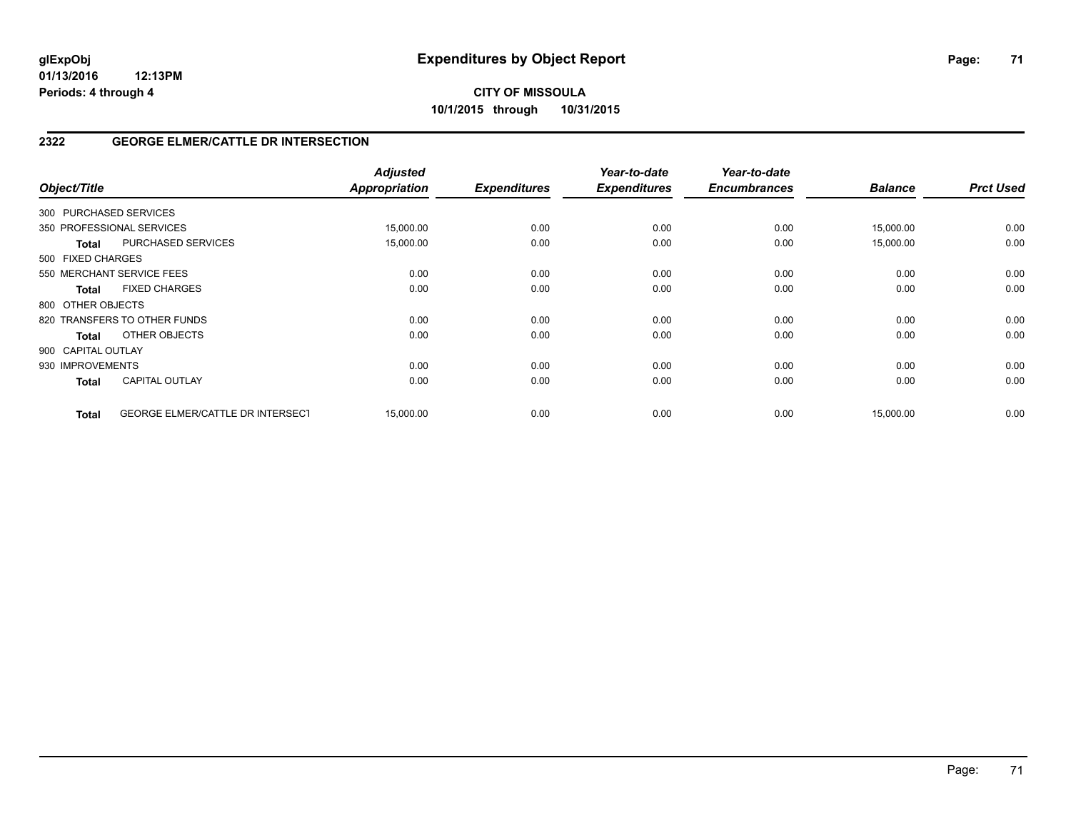# **CITY OF MISSOULA 10/1/2015 through 10/31/2015**

# **2322 GEORGE ELMER/CATTLE DR INTERSECTION**

| Object/Title           |                                  | <b>Adjusted</b><br><b>Appropriation</b> | <b>Expenditures</b> | Year-to-date<br><b>Expenditures</b> | Year-to-date<br><b>Encumbrances</b> | <b>Balance</b> | <b>Prct Used</b> |
|------------------------|----------------------------------|-----------------------------------------|---------------------|-------------------------------------|-------------------------------------|----------------|------------------|
| 300 PURCHASED SERVICES |                                  |                                         |                     |                                     |                                     |                |                  |
|                        | 350 PROFESSIONAL SERVICES        | 15,000.00                               | 0.00                | 0.00                                | 0.00                                | 15,000.00      | 0.00             |
| Total                  | PURCHASED SERVICES               | 15,000.00                               | 0.00                | 0.00                                | 0.00                                | 15,000.00      | 0.00             |
| 500 FIXED CHARGES      |                                  |                                         |                     |                                     |                                     |                |                  |
|                        | 550 MERCHANT SERVICE FEES        | 0.00                                    | 0.00                | 0.00                                | 0.00                                | 0.00           | 0.00             |
| <b>Total</b>           | <b>FIXED CHARGES</b>             | 0.00                                    | 0.00                | 0.00                                | 0.00                                | 0.00           | 0.00             |
| 800 OTHER OBJECTS      |                                  |                                         |                     |                                     |                                     |                |                  |
|                        | 820 TRANSFERS TO OTHER FUNDS     | 0.00                                    | 0.00                | 0.00                                | 0.00                                | 0.00           | 0.00             |
| <b>Total</b>           | OTHER OBJECTS                    | 0.00                                    | 0.00                | 0.00                                | 0.00                                | 0.00           | 0.00             |
| 900 CAPITAL OUTLAY     |                                  |                                         |                     |                                     |                                     |                |                  |
| 930 IMPROVEMENTS       |                                  | 0.00                                    | 0.00                | 0.00                                | 0.00                                | 0.00           | 0.00             |
| <b>Total</b>           | <b>CAPITAL OUTLAY</b>            | 0.00                                    | 0.00                | 0.00                                | 0.00                                | 0.00           | 0.00             |
| <b>Total</b>           | GEORGE ELMER/CATTLE DR INTERSECT | 15,000.00                               | 0.00                | 0.00                                | 0.00                                | 15,000.00      | 0.00             |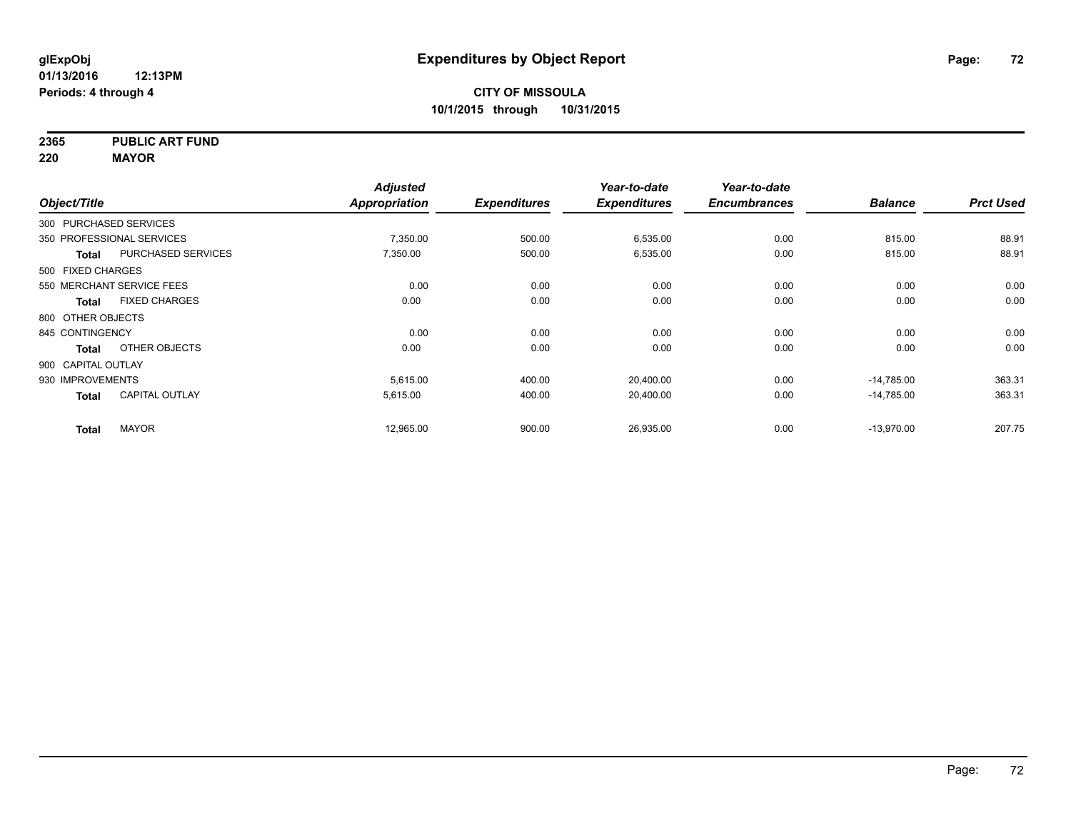**2365 PUBLIC ART FUND**

**220 MAYOR**

|                    |                           | <b>Adjusted</b>      |                     | Year-to-date        | Year-to-date        |                |                  |
|--------------------|---------------------------|----------------------|---------------------|---------------------|---------------------|----------------|------------------|
| Object/Title       |                           | <b>Appropriation</b> | <b>Expenditures</b> | <b>Expenditures</b> | <b>Encumbrances</b> | <b>Balance</b> | <b>Prct Used</b> |
|                    | 300 PURCHASED SERVICES    |                      |                     |                     |                     |                |                  |
|                    | 350 PROFESSIONAL SERVICES | 7,350.00             | 500.00              | 6,535.00            | 0.00                | 815.00         | 88.91            |
| Total              | PURCHASED SERVICES        | 7,350.00             | 500.00              | 6,535.00            | 0.00                | 815.00         | 88.91            |
| 500 FIXED CHARGES  |                           |                      |                     |                     |                     |                |                  |
|                    | 550 MERCHANT SERVICE FEES | 0.00                 | 0.00                | 0.00                | 0.00                | 0.00           | 0.00             |
| Total              | <b>FIXED CHARGES</b>      | 0.00                 | 0.00                | 0.00                | 0.00                | 0.00           | 0.00             |
| 800 OTHER OBJECTS  |                           |                      |                     |                     |                     |                |                  |
| 845 CONTINGENCY    |                           | 0.00                 | 0.00                | 0.00                | 0.00                | 0.00           | 0.00             |
| <b>Total</b>       | OTHER OBJECTS             | 0.00                 | 0.00                | 0.00                | 0.00                | 0.00           | 0.00             |
| 900 CAPITAL OUTLAY |                           |                      |                     |                     |                     |                |                  |
| 930 IMPROVEMENTS   |                           | 5,615.00             | 400.00              | 20,400.00           | 0.00                | $-14,785.00$   | 363.31           |
| <b>Total</b>       | <b>CAPITAL OUTLAY</b>     | 5,615.00             | 400.00              | 20,400.00           | 0.00                | $-14,785.00$   | 363.31           |
| <b>Total</b>       | <b>MAYOR</b>              | 12,965.00            | 900.00              | 26,935.00           | 0.00                | $-13,970.00$   | 207.75           |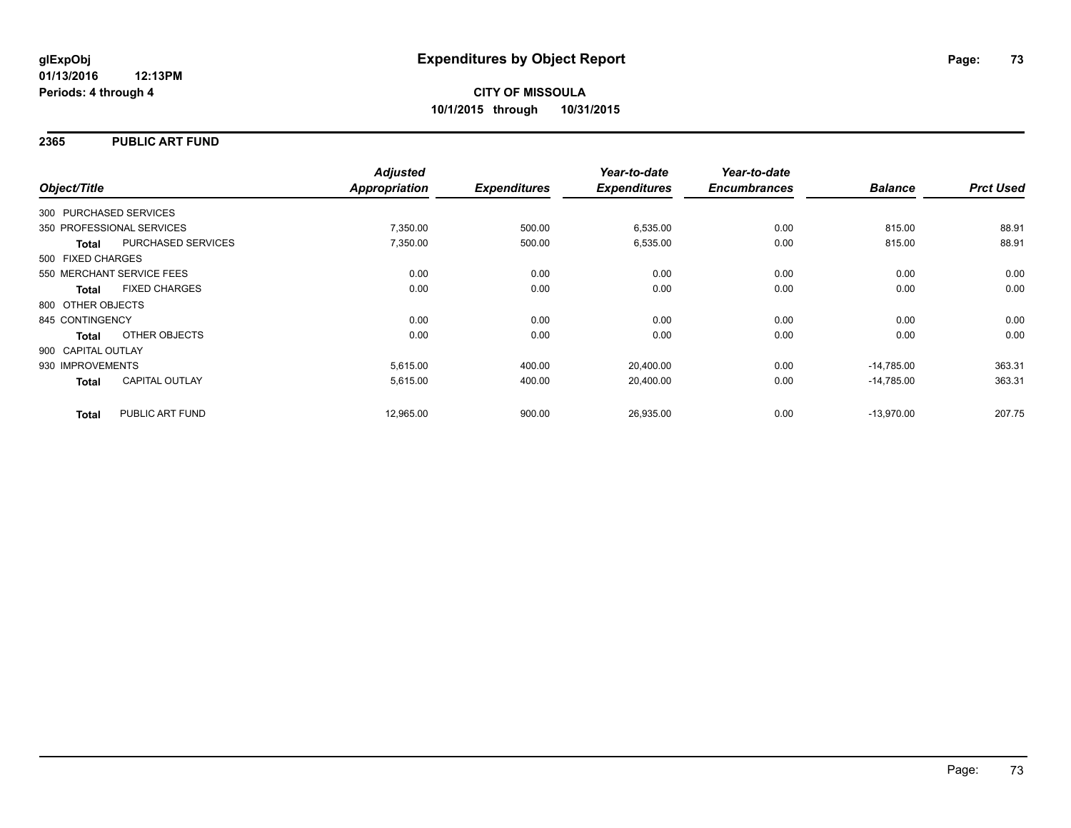## **2365 PUBLIC ART FUND**

| Object/Title           |                           | <b>Adjusted</b><br>Appropriation | <b>Expenditures</b> | Year-to-date<br><b>Expenditures</b> | Year-to-date<br><b>Encumbrances</b> | <b>Balance</b> | <b>Prct Used</b> |
|------------------------|---------------------------|----------------------------------|---------------------|-------------------------------------|-------------------------------------|----------------|------------------|
| 300 PURCHASED SERVICES |                           |                                  |                     |                                     |                                     |                |                  |
|                        |                           |                                  |                     |                                     |                                     |                |                  |
|                        | 350 PROFESSIONAL SERVICES | 7,350.00                         | 500.00              | 6,535.00                            | 0.00                                | 815.00         | 88.91            |
| <b>Total</b>           | PURCHASED SERVICES        | 7,350.00                         | 500.00              | 6,535.00                            | 0.00                                | 815.00         | 88.91            |
| 500 FIXED CHARGES      |                           |                                  |                     |                                     |                                     |                |                  |
|                        | 550 MERCHANT SERVICE FEES | 0.00                             | 0.00                | 0.00                                | 0.00                                | 0.00           | 0.00             |
| <b>Total</b>           | <b>FIXED CHARGES</b>      | 0.00                             | 0.00                | 0.00                                | 0.00                                | 0.00           | 0.00             |
| 800 OTHER OBJECTS      |                           |                                  |                     |                                     |                                     |                |                  |
| 845 CONTINGENCY        |                           | 0.00                             | 0.00                | 0.00                                | 0.00                                | 0.00           | 0.00             |
| Total                  | OTHER OBJECTS             | 0.00                             | 0.00                | 0.00                                | 0.00                                | 0.00           | 0.00             |
| 900 CAPITAL OUTLAY     |                           |                                  |                     |                                     |                                     |                |                  |
| 930 IMPROVEMENTS       |                           | 5,615.00                         | 400.00              | 20,400.00                           | 0.00                                | $-14,785.00$   | 363.31           |
| <b>Total</b>           | <b>CAPITAL OUTLAY</b>     | 5,615.00                         | 400.00              | 20,400.00                           | 0.00                                | $-14,785.00$   | 363.31           |
| <b>Total</b>           | PUBLIC ART FUND           | 12,965.00                        | 900.00              | 26,935.00                           | 0.00                                | $-13,970.00$   | 207.75           |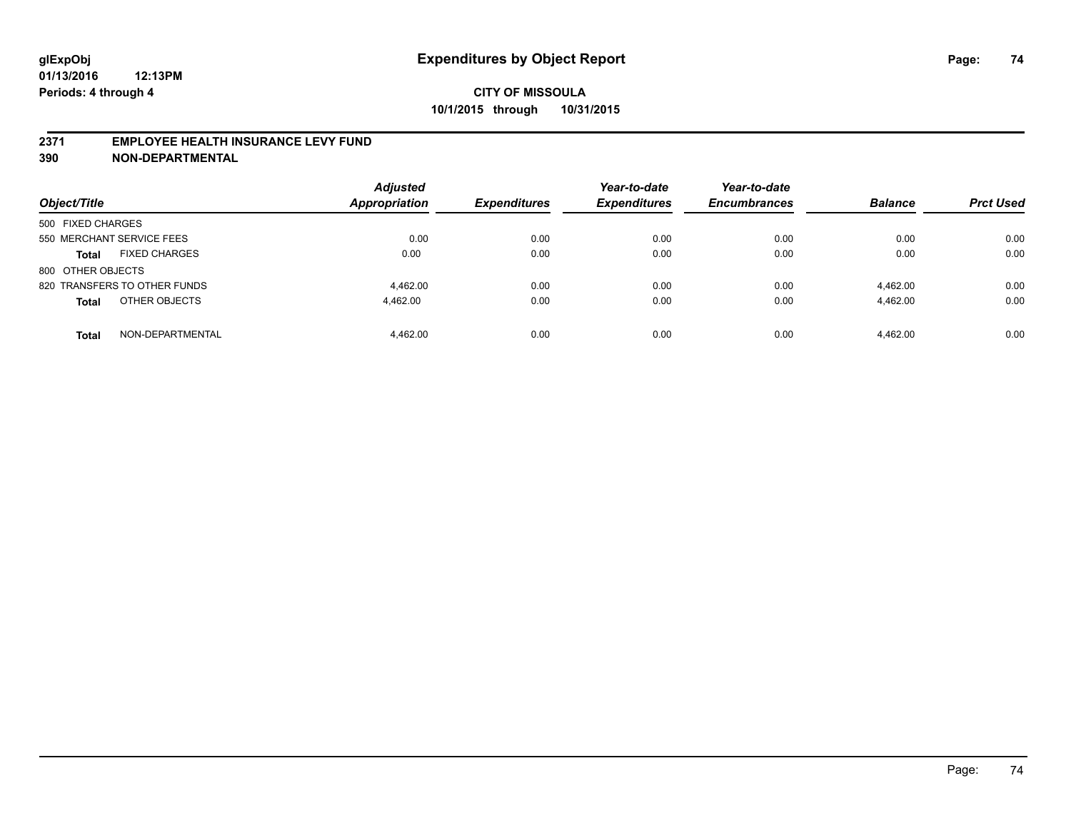### **2371 EMPLOYEE HEALTH INSURANCE LEVY FUND**

**390 NON-DEPARTMENTAL**

| Object/Title                         | <b>Adjusted</b><br>Appropriation | <b>Expenditures</b> | Year-to-date<br><b>Expenditures</b> | Year-to-date<br><b>Encumbrances</b> | <b>Balance</b> | <b>Prct Used</b> |
|--------------------------------------|----------------------------------|---------------------|-------------------------------------|-------------------------------------|----------------|------------------|
| 500 FIXED CHARGES                    |                                  |                     |                                     |                                     |                |                  |
| 550 MERCHANT SERVICE FEES            | 0.00                             | 0.00                | 0.00                                | 0.00                                | 0.00           | 0.00             |
| <b>FIXED CHARGES</b><br><b>Total</b> | 0.00                             | 0.00                | 0.00                                | 0.00                                | 0.00           | 0.00             |
| 800 OTHER OBJECTS                    |                                  |                     |                                     |                                     |                |                  |
| 820 TRANSFERS TO OTHER FUNDS         | 4.462.00                         | 0.00                | 0.00                                | 0.00                                | 4.462.00       | 0.00             |
| OTHER OBJECTS<br><b>Total</b>        | 4.462.00                         | 0.00                | 0.00                                | 0.00                                | 4.462.00       | 0.00             |
| NON-DEPARTMENTAL<br><b>Total</b>     | 4.462.00                         | 0.00                | 0.00                                | 0.00                                | 4.462.00       | 0.00             |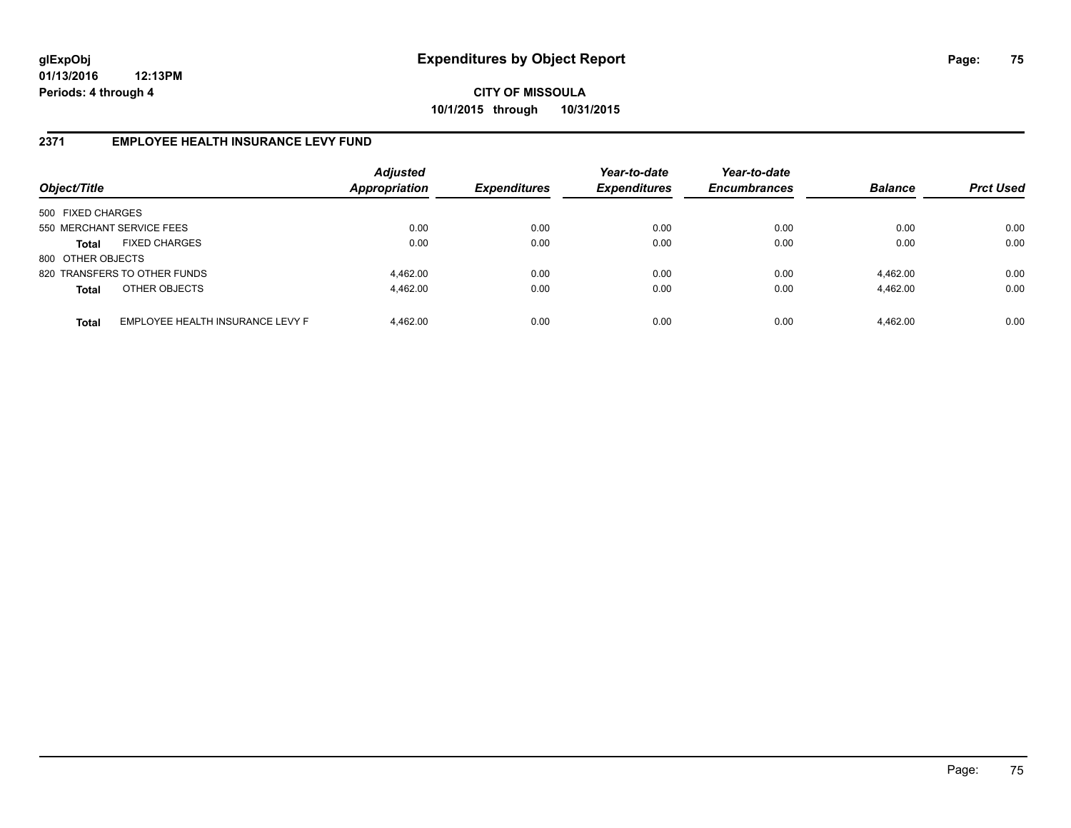**CITY OF MISSOULA 10/1/2015 through 10/31/2015**

## **2371 EMPLOYEE HEALTH INSURANCE LEVY FUND**

| Object/Title              |                                  | <b>Adjusted</b><br>Appropriation | <b>Expenditures</b> | Year-to-date<br><b>Expenditures</b> | Year-to-date<br><b>Encumbrances</b> | <b>Balance</b> | <b>Prct Used</b> |
|---------------------------|----------------------------------|----------------------------------|---------------------|-------------------------------------|-------------------------------------|----------------|------------------|
| 500 FIXED CHARGES         |                                  |                                  |                     |                                     |                                     |                |                  |
| 550 MERCHANT SERVICE FEES |                                  | 0.00                             | 0.00                | 0.00                                | 0.00                                | 0.00           | 0.00             |
| Total                     | <b>FIXED CHARGES</b>             | 0.00                             | 0.00                | 0.00                                | 0.00                                | 0.00           | 0.00             |
| 800 OTHER OBJECTS         |                                  |                                  |                     |                                     |                                     |                |                  |
|                           | 820 TRANSFERS TO OTHER FUNDS     | 4,462.00                         | 0.00                | 0.00                                | 0.00                                | 4,462.00       | 0.00             |
| <b>Total</b>              | OTHER OBJECTS                    | 4,462.00                         | 0.00                | 0.00                                | 0.00                                | 4,462.00       | 0.00             |
| <b>Total</b>              | EMPLOYEE HEALTH INSURANCE LEVY F | 4.462.00                         | 0.00                | 0.00                                | 0.00                                | 4,462.00       | 0.00             |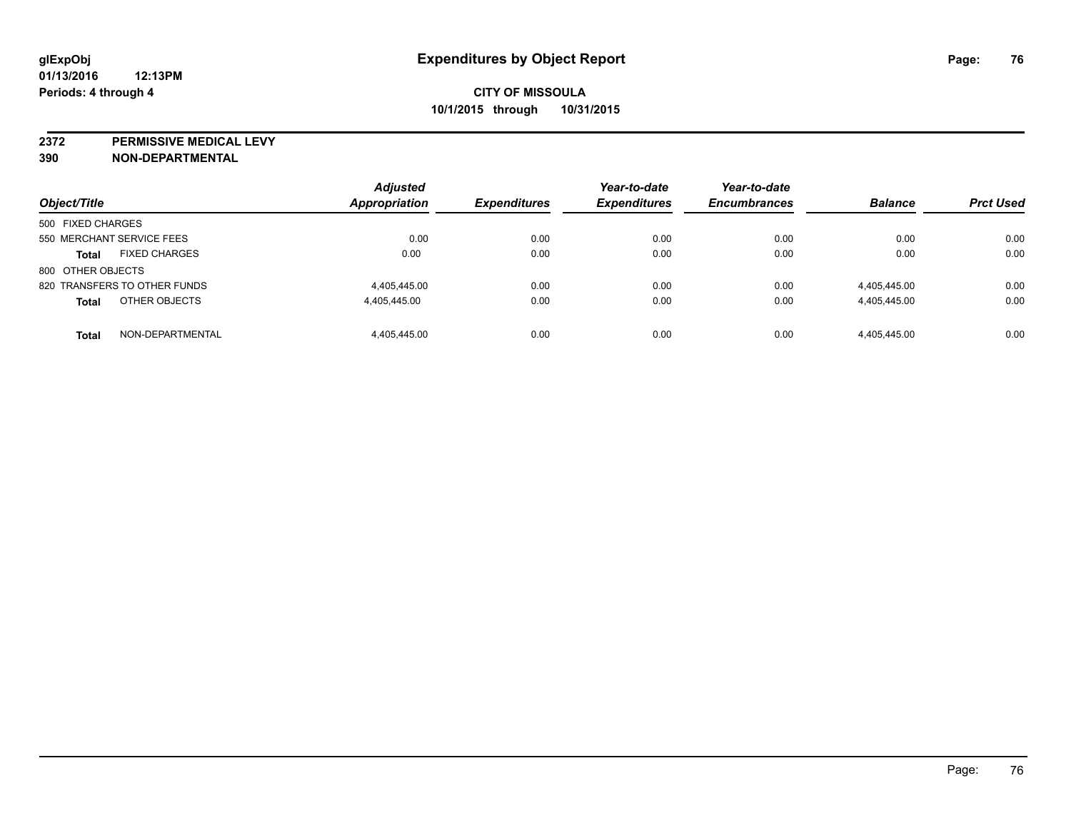**2372 PERMISSIVE MEDICAL LEVY**

**390 NON-DEPARTMENTAL**

| Object/Title                         | <b>Adjusted</b><br>Appropriation | <b>Expenditures</b> | Year-to-date<br><b>Expenditures</b> | Year-to-date<br><b>Encumbrances</b> | <b>Balance</b> | <b>Prct Used</b> |
|--------------------------------------|----------------------------------|---------------------|-------------------------------------|-------------------------------------|----------------|------------------|
| 500 FIXED CHARGES                    |                                  |                     |                                     |                                     |                |                  |
| 550 MERCHANT SERVICE FEES            | 0.00                             | 0.00                | 0.00                                | 0.00                                | 0.00           | 0.00             |
| <b>FIXED CHARGES</b><br><b>Total</b> | 0.00                             | 0.00                | 0.00                                | 0.00                                | 0.00           | 0.00             |
| 800 OTHER OBJECTS                    |                                  |                     |                                     |                                     |                |                  |
| 820 TRANSFERS TO OTHER FUNDS         | 4.405.445.00                     | 0.00                | 0.00                                | 0.00                                | 4,405,445.00   | 0.00             |
| OTHER OBJECTS<br><b>Total</b>        | 4,405,445.00                     | 0.00                | 0.00                                | 0.00                                | 4,405,445.00   | 0.00             |
| NON-DEPARTMENTAL<br><b>Total</b>     | 4.405.445.00                     | 0.00                | 0.00                                | 0.00                                | 4.405.445.00   | 0.00             |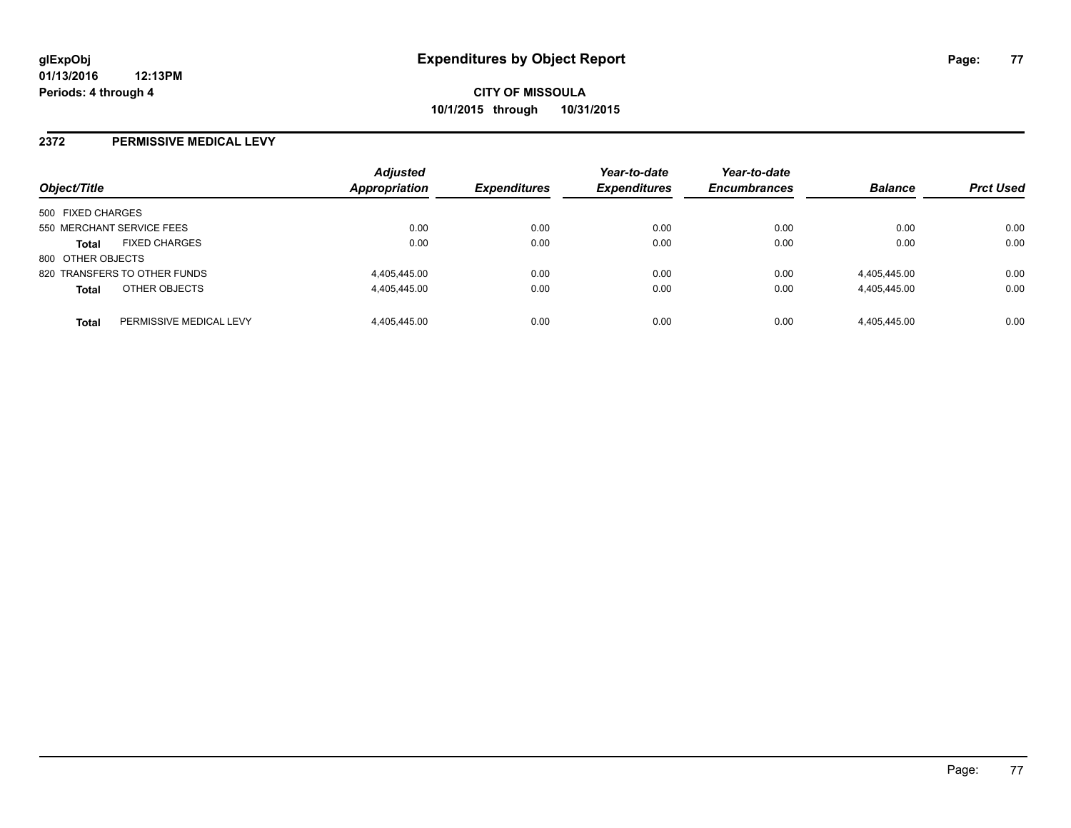### **2372 PERMISSIVE MEDICAL LEVY**

| Object/Title                         |                         | <b>Adjusted</b><br>Appropriation | <b>Expenditures</b> | Year-to-date<br><b>Expenditures</b> | Year-to-date<br><b>Encumbrances</b> | <b>Balance</b> | <b>Prct Used</b> |
|--------------------------------------|-------------------------|----------------------------------|---------------------|-------------------------------------|-------------------------------------|----------------|------------------|
| 500 FIXED CHARGES                    |                         |                                  |                     |                                     |                                     |                |                  |
| 550 MERCHANT SERVICE FEES            |                         | 0.00                             | 0.00                | 0.00                                | 0.00                                | 0.00           | 0.00             |
| <b>FIXED CHARGES</b><br><b>Total</b> |                         | 0.00                             | 0.00                | 0.00                                | 0.00                                | 0.00           | 0.00             |
| 800 OTHER OBJECTS                    |                         |                                  |                     |                                     |                                     |                |                  |
| 820 TRANSFERS TO OTHER FUNDS         |                         | 4,405,445.00                     | 0.00                | 0.00                                | 0.00                                | 4,405,445.00   | 0.00             |
| OTHER OBJECTS<br><b>Total</b>        |                         | 4.405.445.00                     | 0.00                | 0.00                                | 0.00                                | 4,405,445.00   | 0.00             |
| <b>Total</b>                         | PERMISSIVE MEDICAL LEVY | 4.405.445.00                     | 0.00                | 0.00                                | 0.00                                | 4.405.445.00   | 0.00             |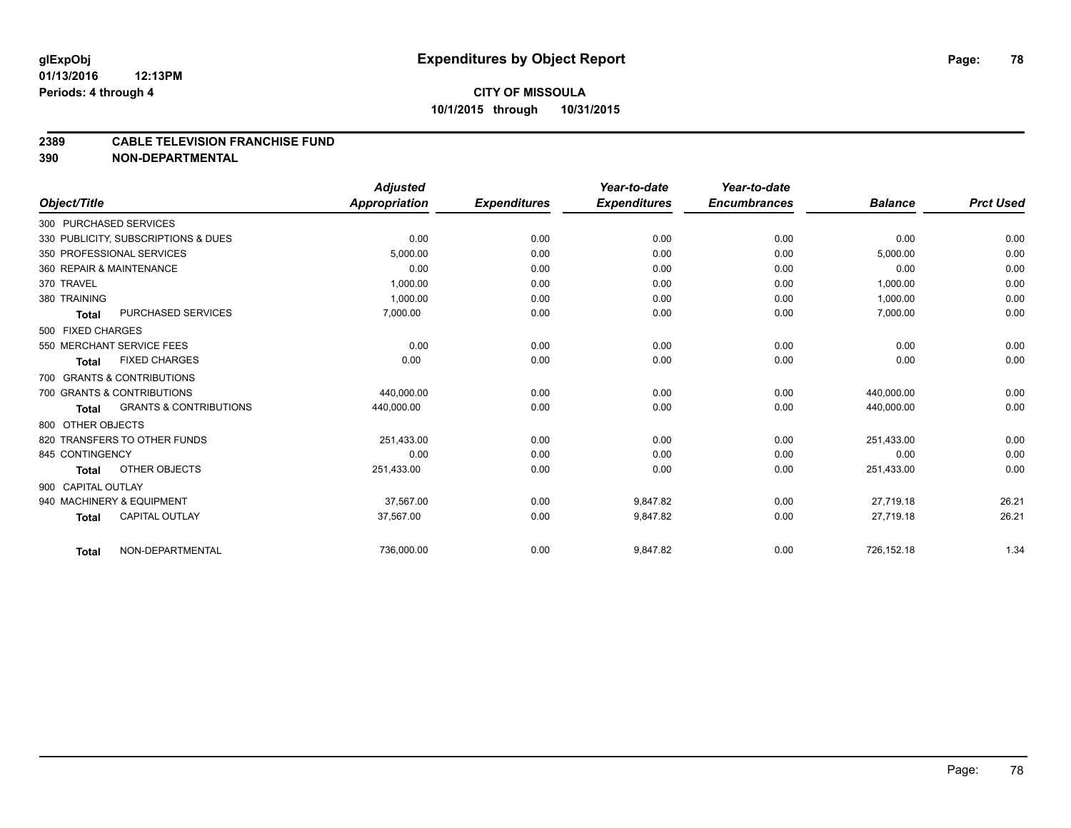# **CITY OF MISSOULA 10/1/2015 through 10/31/2015**

#### **2389 CABLE TELEVISION FRANCHISE FUND**

**390 NON-DEPARTMENTAL**

|                    |                                     | <b>Adjusted</b>      |                     | Year-to-date        | Year-to-date        |                |                  |
|--------------------|-------------------------------------|----------------------|---------------------|---------------------|---------------------|----------------|------------------|
| Object/Title       |                                     | <b>Appropriation</b> | <b>Expenditures</b> | <b>Expenditures</b> | <b>Encumbrances</b> | <b>Balance</b> | <b>Prct Used</b> |
|                    | 300 PURCHASED SERVICES              |                      |                     |                     |                     |                |                  |
|                    | 330 PUBLICITY, SUBSCRIPTIONS & DUES | 0.00                 | 0.00                | 0.00                | 0.00                | 0.00           | 0.00             |
|                    | 350 PROFESSIONAL SERVICES           | 5,000.00             | 0.00                | 0.00                | 0.00                | 5,000.00       | 0.00             |
|                    | 360 REPAIR & MAINTENANCE            | 0.00                 | 0.00                | 0.00                | 0.00                | 0.00           | 0.00             |
| 370 TRAVEL         |                                     | 1,000.00             | 0.00                | 0.00                | 0.00                | 1,000.00       | 0.00             |
| 380 TRAINING       |                                     | 1.000.00             | 0.00                | 0.00                | 0.00                | 1,000.00       | 0.00             |
| <b>Total</b>       | PURCHASED SERVICES                  | 7,000.00             | 0.00                | 0.00                | 0.00                | 7,000.00       | 0.00             |
| 500 FIXED CHARGES  |                                     |                      |                     |                     |                     |                |                  |
|                    | 550 MERCHANT SERVICE FEES           | 0.00                 | 0.00                | 0.00                | 0.00                | 0.00           | 0.00             |
| <b>Total</b>       | <b>FIXED CHARGES</b>                | 0.00                 | 0.00                | 0.00                | 0.00                | 0.00           | 0.00             |
|                    | 700 GRANTS & CONTRIBUTIONS          |                      |                     |                     |                     |                |                  |
|                    | 700 GRANTS & CONTRIBUTIONS          | 440.000.00           | 0.00                | 0.00                | 0.00                | 440.000.00     | 0.00             |
| <b>Total</b>       | <b>GRANTS &amp; CONTRIBUTIONS</b>   | 440,000.00           | 0.00                | 0.00                | 0.00                | 440,000.00     | 0.00             |
| 800 OTHER OBJECTS  |                                     |                      |                     |                     |                     |                |                  |
|                    | 820 TRANSFERS TO OTHER FUNDS        | 251,433.00           | 0.00                | 0.00                | 0.00                | 251,433.00     | 0.00             |
| 845 CONTINGENCY    |                                     | 0.00                 | 0.00                | 0.00                | 0.00                | 0.00           | 0.00             |
| Total              | <b>OTHER OBJECTS</b>                | 251,433.00           | 0.00                | 0.00                | 0.00                | 251,433.00     | 0.00             |
| 900 CAPITAL OUTLAY |                                     |                      |                     |                     |                     |                |                  |
|                    | 940 MACHINERY & EQUIPMENT           | 37.567.00            | 0.00                | 9.847.82            | 0.00                | 27.719.18      | 26.21            |
| <b>Total</b>       | <b>CAPITAL OUTLAY</b>               | 37,567.00            | 0.00                | 9,847.82            | 0.00                | 27,719.18      | 26.21            |
| Total              | NON-DEPARTMENTAL                    | 736,000.00           | 0.00                | 9,847.82            | 0.00                | 726,152.18     | 1.34             |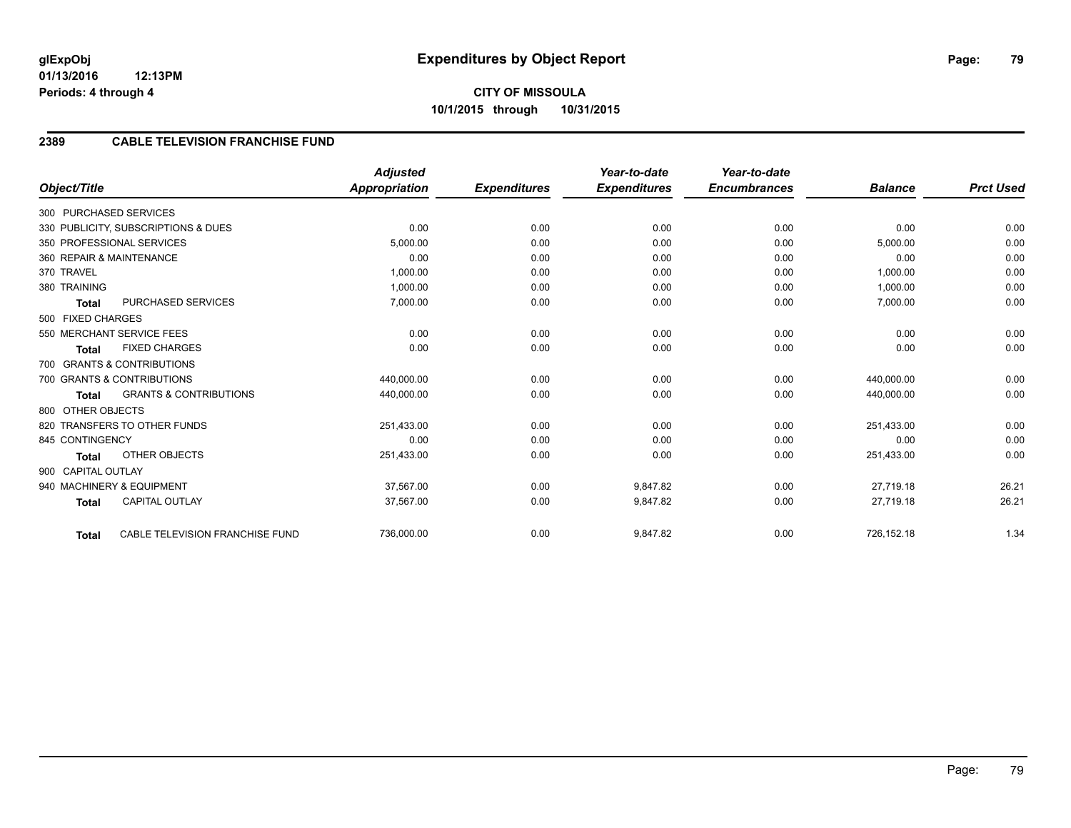# **2389 CABLE TELEVISION FRANCHISE FUND**

|                          |                                     | <b>Adjusted</b>      |                     | Year-to-date        | Year-to-date        |                |                  |
|--------------------------|-------------------------------------|----------------------|---------------------|---------------------|---------------------|----------------|------------------|
| Object/Title             |                                     | <b>Appropriation</b> | <b>Expenditures</b> | <b>Expenditures</b> | <b>Encumbrances</b> | <b>Balance</b> | <b>Prct Used</b> |
| 300 PURCHASED SERVICES   |                                     |                      |                     |                     |                     |                |                  |
|                          | 330 PUBLICITY, SUBSCRIPTIONS & DUES | 0.00                 | 0.00                | 0.00                | 0.00                | 0.00           | 0.00             |
|                          | 350 PROFESSIONAL SERVICES           | 5,000.00             | 0.00                | 0.00                | 0.00                | 5,000.00       | 0.00             |
| 360 REPAIR & MAINTENANCE |                                     | 0.00                 | 0.00                | 0.00                | 0.00                | 0.00           | 0.00             |
| 370 TRAVEL               |                                     | 1,000.00             | 0.00                | 0.00                | 0.00                | 1,000.00       | 0.00             |
| 380 TRAINING             |                                     | 1,000.00             | 0.00                | 0.00                | 0.00                | 1,000.00       | 0.00             |
| <b>Total</b>             | PURCHASED SERVICES                  | 7,000.00             | 0.00                | 0.00                | 0.00                | 7,000.00       | 0.00             |
| 500 FIXED CHARGES        |                                     |                      |                     |                     |                     |                |                  |
|                          | 550 MERCHANT SERVICE FEES           | 0.00                 | 0.00                | 0.00                | 0.00                | 0.00           | 0.00             |
| <b>Total</b>             | <b>FIXED CHARGES</b>                | 0.00                 | 0.00                | 0.00                | 0.00                | 0.00           | 0.00             |
|                          | 700 GRANTS & CONTRIBUTIONS          |                      |                     |                     |                     |                |                  |
|                          | 700 GRANTS & CONTRIBUTIONS          | 440,000.00           | 0.00                | 0.00                | 0.00                | 440,000.00     | 0.00             |
| <b>Total</b>             | <b>GRANTS &amp; CONTRIBUTIONS</b>   | 440,000.00           | 0.00                | 0.00                | 0.00                | 440,000.00     | 0.00             |
| 800 OTHER OBJECTS        |                                     |                      |                     |                     |                     |                |                  |
|                          | 820 TRANSFERS TO OTHER FUNDS        | 251,433.00           | 0.00                | 0.00                | 0.00                | 251,433.00     | 0.00             |
| 845 CONTINGENCY          |                                     | 0.00                 | 0.00                | 0.00                | 0.00                | 0.00           | 0.00             |
| <b>Total</b>             | <b>OTHER OBJECTS</b>                | 251,433.00           | 0.00                | 0.00                | 0.00                | 251,433.00     | 0.00             |
| 900 CAPITAL OUTLAY       |                                     |                      |                     |                     |                     |                |                  |
|                          | 940 MACHINERY & EQUIPMENT           | 37.567.00            | 0.00                | 9.847.82            | 0.00                | 27,719.18      | 26.21            |
| <b>Total</b>             | <b>CAPITAL OUTLAY</b>               | 37,567.00            | 0.00                | 9,847.82            | 0.00                | 27,719.18      | 26.21            |
| <b>Total</b>             | CABLE TELEVISION FRANCHISE FUND     | 736,000.00           | 0.00                | 9,847.82            | 0.00                | 726,152.18     | 1.34             |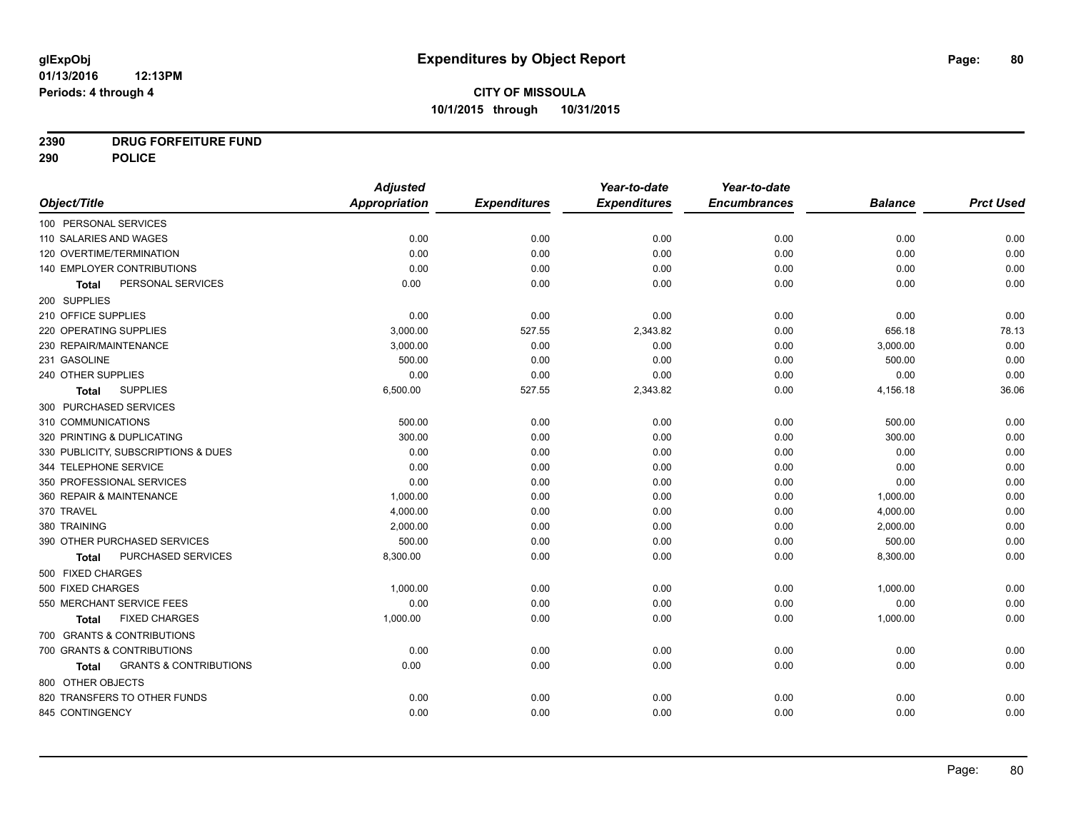**2390 DRUG FORFEITURE FUND**

**290 POLICE**

|                                                   | <b>Adjusted</b> |                     | Year-to-date        | Year-to-date        |                |                  |
|---------------------------------------------------|-----------------|---------------------|---------------------|---------------------|----------------|------------------|
| Object/Title                                      | Appropriation   | <b>Expenditures</b> | <b>Expenditures</b> | <b>Encumbrances</b> | <b>Balance</b> | <b>Prct Used</b> |
| 100 PERSONAL SERVICES                             |                 |                     |                     |                     |                |                  |
| 110 SALARIES AND WAGES                            | 0.00            | 0.00                | 0.00                | 0.00                | 0.00           | 0.00             |
| 120 OVERTIME/TERMINATION                          | 0.00            | 0.00                | 0.00                | 0.00                | 0.00           | 0.00             |
| 140 EMPLOYER CONTRIBUTIONS                        | 0.00            | 0.00                | 0.00                | 0.00                | 0.00           | 0.00             |
| PERSONAL SERVICES<br>Total                        | 0.00            | 0.00                | 0.00                | 0.00                | 0.00           | 0.00             |
| 200 SUPPLIES                                      |                 |                     |                     |                     |                |                  |
| 210 OFFICE SUPPLIES                               | 0.00            | 0.00                | 0.00                | 0.00                | 0.00           | 0.00             |
| 220 OPERATING SUPPLIES                            | 3,000.00        | 527.55              | 2,343.82            | 0.00                | 656.18         | 78.13            |
| 230 REPAIR/MAINTENANCE                            | 3,000.00        | 0.00                | 0.00                | 0.00                | 3,000.00       | 0.00             |
| 231 GASOLINE                                      | 500.00          | 0.00                | 0.00                | 0.00                | 500.00         | 0.00             |
| 240 OTHER SUPPLIES                                | 0.00            | 0.00                | 0.00                | 0.00                | 0.00           | 0.00             |
| <b>SUPPLIES</b><br><b>Total</b>                   | 6,500.00        | 527.55              | 2,343.82            | 0.00                | 4,156.18       | 36.06            |
| 300 PURCHASED SERVICES                            |                 |                     |                     |                     |                |                  |
| 310 COMMUNICATIONS                                | 500.00          | 0.00                | 0.00                | 0.00                | 500.00         | 0.00             |
| 320 PRINTING & DUPLICATING                        | 300.00          | 0.00                | 0.00                | 0.00                | 300.00         | 0.00             |
| 330 PUBLICITY, SUBSCRIPTIONS & DUES               | 0.00            | 0.00                | 0.00                | 0.00                | 0.00           | 0.00             |
| 344 TELEPHONE SERVICE                             | 0.00            | 0.00                | 0.00                | 0.00                | 0.00           | 0.00             |
| 350 PROFESSIONAL SERVICES                         | 0.00            | 0.00                | 0.00                | 0.00                | 0.00           | 0.00             |
| 360 REPAIR & MAINTENANCE                          | 1,000.00        | 0.00                | 0.00                | 0.00                | 1,000.00       | 0.00             |
| 370 TRAVEL                                        | 4,000.00        | 0.00                | 0.00                | 0.00                | 4,000.00       | 0.00             |
| 380 TRAINING                                      | 2,000.00        | 0.00                | 0.00                | 0.00                | 2,000.00       | 0.00             |
| 390 OTHER PURCHASED SERVICES                      | 500.00          | 0.00                | 0.00                | 0.00                | 500.00         | 0.00             |
| PURCHASED SERVICES<br>Total                       | 8,300.00        | 0.00                | 0.00                | 0.00                | 8,300.00       | 0.00             |
| 500 FIXED CHARGES                                 |                 |                     |                     |                     |                |                  |
| 500 FIXED CHARGES                                 | 1,000.00        | 0.00                | 0.00                | 0.00                | 1,000.00       | 0.00             |
| 550 MERCHANT SERVICE FEES                         | 0.00            | 0.00                | 0.00                | 0.00                | 0.00           | 0.00             |
| <b>FIXED CHARGES</b><br><b>Total</b>              | 1,000.00        | 0.00                | 0.00                | 0.00                | 1,000.00       | 0.00             |
| 700 GRANTS & CONTRIBUTIONS                        |                 |                     |                     |                     |                |                  |
| 700 GRANTS & CONTRIBUTIONS                        | 0.00            | 0.00                | 0.00                | 0.00                | 0.00           | 0.00             |
| <b>GRANTS &amp; CONTRIBUTIONS</b><br><b>Total</b> | 0.00            | 0.00                | 0.00                | 0.00                | 0.00           | 0.00             |
| 800 OTHER OBJECTS                                 |                 |                     |                     |                     |                |                  |
| 820 TRANSFERS TO OTHER FUNDS                      | 0.00            | 0.00                | 0.00                | 0.00                | 0.00           | 0.00             |
| 845 CONTINGENCY                                   | 0.00            | 0.00                | 0.00                | 0.00                | 0.00           | 0.00             |
|                                                   |                 |                     |                     |                     |                |                  |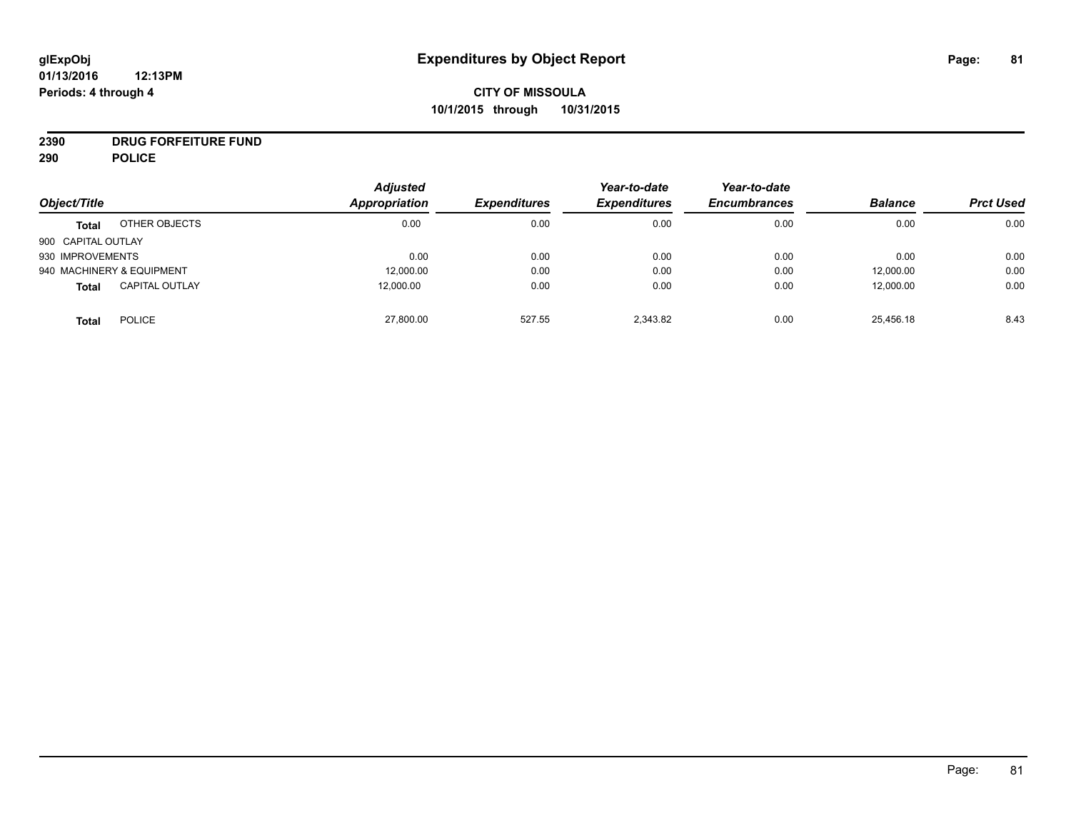# **CITY OF MISSOULA 10/1/2015 through 10/31/2015**

# **2390 DRUG FORFEITURE FUND**

**290 POLICE**

| Object/Title       |                           | <b>Adjusted</b><br>Appropriation | <b>Expenditures</b> | Year-to-date<br><b>Expenditures</b> | Year-to-date<br><b>Encumbrances</b> | <b>Balance</b> | <b>Prct Used</b> |
|--------------------|---------------------------|----------------------------------|---------------------|-------------------------------------|-------------------------------------|----------------|------------------|
| <b>Total</b>       | OTHER OBJECTS             | 0.00                             | 0.00                | 0.00                                | 0.00                                | 0.00           | 0.00             |
| 900 CAPITAL OUTLAY |                           |                                  |                     |                                     |                                     |                |                  |
| 930 IMPROVEMENTS   |                           | 0.00                             | 0.00                | 0.00                                | 0.00                                | 0.00           | 0.00             |
|                    | 940 MACHINERY & EQUIPMENT | 12,000.00                        | 0.00                | 0.00                                | 0.00                                | 12,000.00      | 0.00             |
| <b>Total</b>       | <b>CAPITAL OUTLAY</b>     | 12,000.00                        | 0.00                | 0.00                                | 0.00                                | 12,000.00      | 0.00             |
| <b>Total</b>       | <b>POLICE</b>             | 27,800.00                        | 527.55              | 2,343.82                            | 0.00                                | 25,456.18      | 8.43             |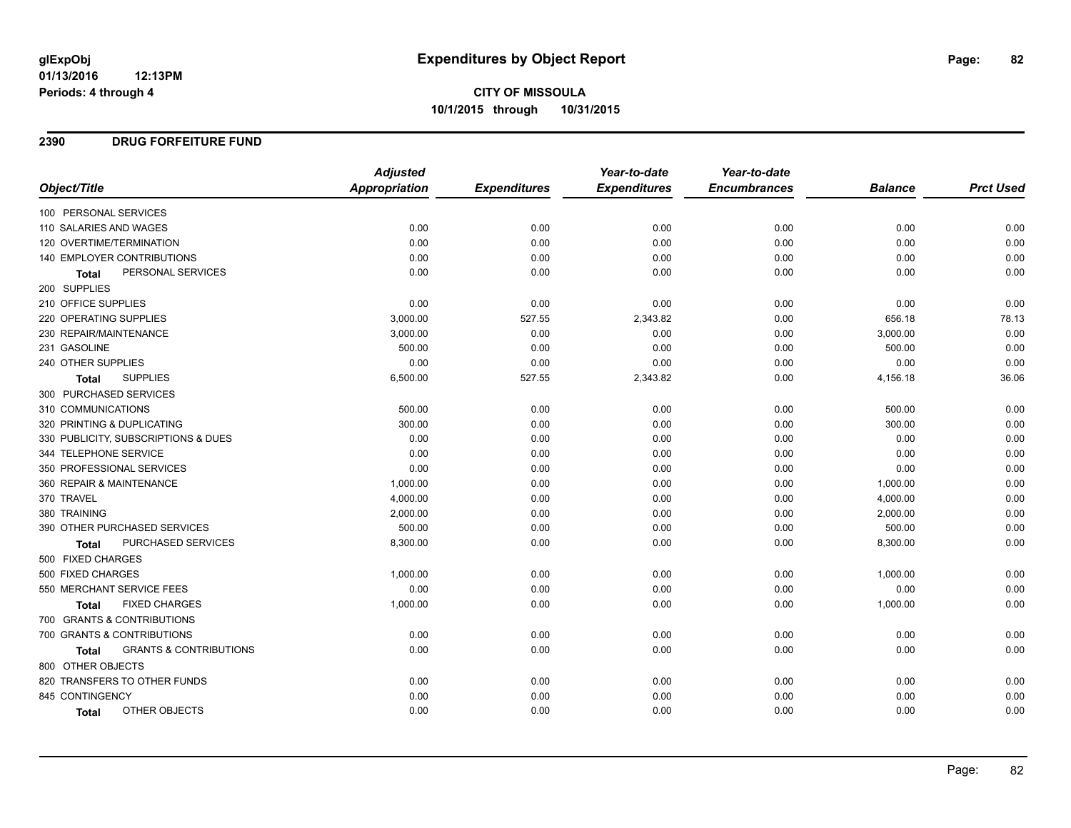**CITY OF MISSOULA 10/1/2015 through 10/31/2015**

## **2390 DRUG FORFEITURE FUND**

|                                            | <b>Adjusted</b> |                     | Year-to-date        | Year-to-date        |                |                  |
|--------------------------------------------|-----------------|---------------------|---------------------|---------------------|----------------|------------------|
| Object/Title                               | Appropriation   | <b>Expenditures</b> | <b>Expenditures</b> | <b>Encumbrances</b> | <b>Balance</b> | <b>Prct Used</b> |
| 100 PERSONAL SERVICES                      |                 |                     |                     |                     |                |                  |
| 110 SALARIES AND WAGES                     | 0.00            | 0.00                | 0.00                | 0.00                | 0.00           | 0.00             |
| 120 OVERTIME/TERMINATION                   | 0.00            | 0.00                | 0.00                | 0.00                | 0.00           | 0.00             |
| 140 EMPLOYER CONTRIBUTIONS                 | 0.00            | 0.00                | 0.00                | 0.00                | 0.00           | 0.00             |
| PERSONAL SERVICES<br><b>Total</b>          | 0.00            | 0.00                | 0.00                | 0.00                | 0.00           | 0.00             |
| 200 SUPPLIES                               |                 |                     |                     |                     |                |                  |
| 210 OFFICE SUPPLIES                        | 0.00            | 0.00                | 0.00                | 0.00                | 0.00           | 0.00             |
| 220 OPERATING SUPPLIES                     | 3,000.00        | 527.55              | 2,343.82            | 0.00                | 656.18         | 78.13            |
| 230 REPAIR/MAINTENANCE                     | 3,000.00        | 0.00                | 0.00                | 0.00                | 3,000.00       | 0.00             |
| 231 GASOLINE                               | 500.00          | 0.00                | 0.00                | 0.00                | 500.00         | 0.00             |
| 240 OTHER SUPPLIES                         | 0.00            | 0.00                | 0.00                | 0.00                | 0.00           | 0.00             |
| <b>SUPPLIES</b><br>Total                   | 6,500.00        | 527.55              | 2,343.82            | 0.00                | 4,156.18       | 36.06            |
| 300 PURCHASED SERVICES                     |                 |                     |                     |                     |                |                  |
| 310 COMMUNICATIONS                         | 500.00          | 0.00                | 0.00                | 0.00                | 500.00         | 0.00             |
| 320 PRINTING & DUPLICATING                 | 300.00          | 0.00                | 0.00                | 0.00                | 300.00         | 0.00             |
| 330 PUBLICITY, SUBSCRIPTIONS & DUES        | 0.00            | 0.00                | 0.00                | 0.00                | 0.00           | 0.00             |
| 344 TELEPHONE SERVICE                      | 0.00            | 0.00                | 0.00                | 0.00                | 0.00           | 0.00             |
| 350 PROFESSIONAL SERVICES                  | 0.00            | 0.00                | 0.00                | 0.00                | 0.00           | 0.00             |
| 360 REPAIR & MAINTENANCE                   | 1,000.00        | 0.00                | 0.00                | 0.00                | 1,000.00       | 0.00             |
| 370 TRAVEL                                 | 4,000.00        | 0.00                | 0.00                | 0.00                | 4,000.00       | 0.00             |
| 380 TRAINING                               | 2,000.00        | 0.00                | 0.00                | 0.00                | 2,000.00       | 0.00             |
| 390 OTHER PURCHASED SERVICES               | 500.00          | 0.00                | 0.00                | 0.00                | 500.00         | 0.00             |
| PURCHASED SERVICES<br>Total                | 8,300.00        | 0.00                | 0.00                | 0.00                | 8,300.00       | 0.00             |
| 500 FIXED CHARGES                          |                 |                     |                     |                     |                |                  |
| 500 FIXED CHARGES                          | 1,000.00        | 0.00                | 0.00                | 0.00                | 1,000.00       | 0.00             |
| 550 MERCHANT SERVICE FEES                  | 0.00            | 0.00                | 0.00                | 0.00                | 0.00           | 0.00             |
| <b>FIXED CHARGES</b><br><b>Total</b>       | 1,000.00        | 0.00                | 0.00                | 0.00                | 1,000.00       | 0.00             |
| 700 GRANTS & CONTRIBUTIONS                 |                 |                     |                     |                     |                |                  |
| 700 GRANTS & CONTRIBUTIONS                 | 0.00            | 0.00                | 0.00                | 0.00                | 0.00           | 0.00             |
| <b>GRANTS &amp; CONTRIBUTIONS</b><br>Total | 0.00            | 0.00                | 0.00                | 0.00                | 0.00           | 0.00             |
| 800 OTHER OBJECTS                          |                 |                     |                     |                     |                |                  |
| 820 TRANSFERS TO OTHER FUNDS               | 0.00            | 0.00                | 0.00                | 0.00                | 0.00           | 0.00             |
| 845 CONTINGENCY                            | 0.00            | 0.00                | 0.00                | 0.00                | 0.00           | 0.00             |
| OTHER OBJECTS<br>Total                     | 0.00            | 0.00                | 0.00                | 0.00                | 0.00           | 0.00             |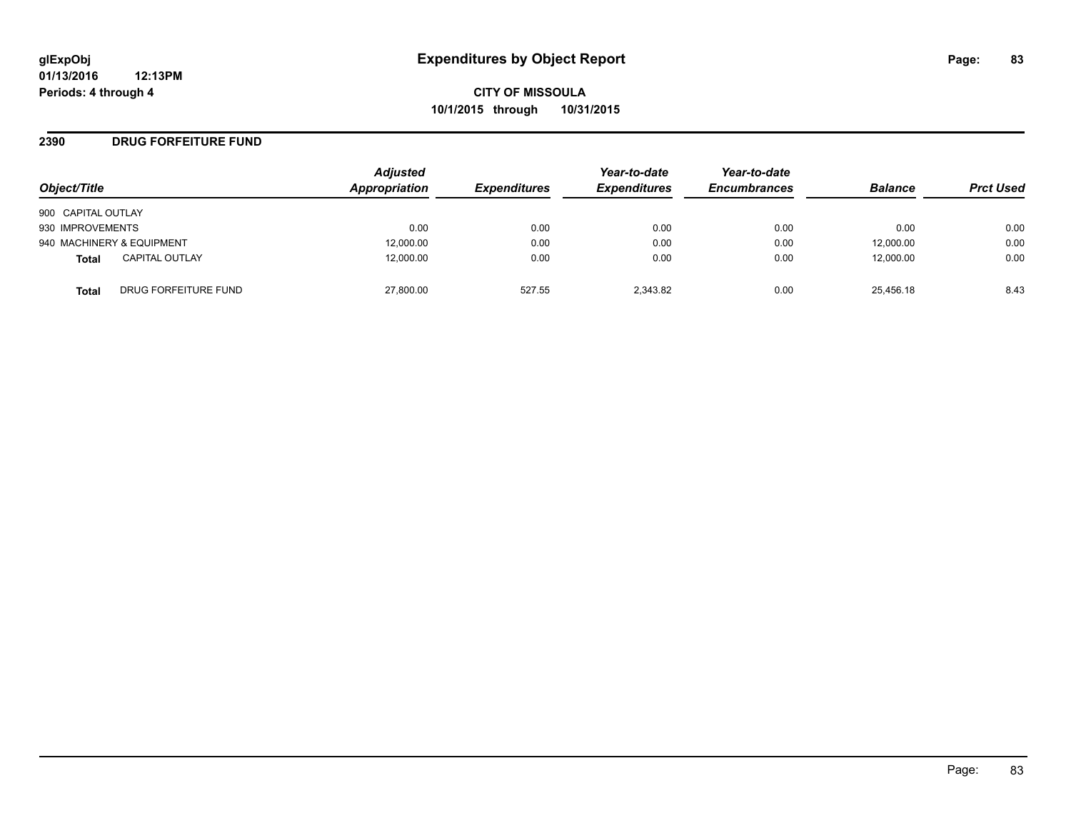## **2390 DRUG FORFEITURE FUND**

| Object/Title              |                       | <b>Adjusted</b><br>Appropriation | <b>Expenditures</b> | Year-to-date<br><b>Expenditures</b> | Year-to-date<br><b>Encumbrances</b> | <b>Balance</b> | <b>Prct Used</b> |
|---------------------------|-----------------------|----------------------------------|---------------------|-------------------------------------|-------------------------------------|----------------|------------------|
| 900 CAPITAL OUTLAY        |                       |                                  |                     |                                     |                                     |                |                  |
| 930 IMPROVEMENTS          |                       | 0.00                             | 0.00                | 0.00                                | 0.00                                | 0.00           | 0.00             |
| 940 MACHINERY & EQUIPMENT |                       | 12,000.00                        | 0.00                | 0.00                                | 0.00                                | 12,000.00      | 0.00             |
| <b>Total</b>              | <b>CAPITAL OUTLAY</b> | 12.000.00                        | 0.00                | 0.00                                | 0.00                                | 12,000.00      | 0.00             |
| Total                     | DRUG FORFEITURE FUND  | 27,800.00                        | 527.55              | 2.343.82                            | 0.00                                | 25.456.18      | 8.43             |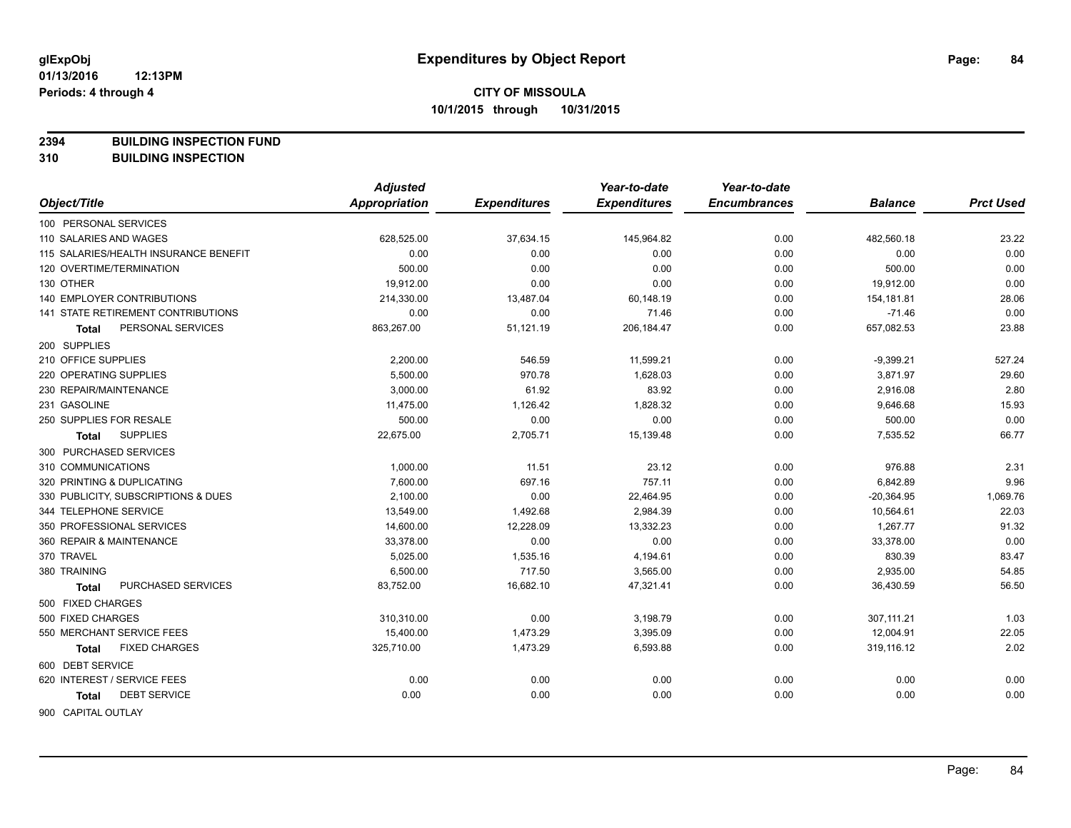**2394 BUILDING INSPECTION FUND**

**310 BUILDING INSPECTION**

|                                           | <b>Adjusted</b> |                     | Year-to-date        | Year-to-date        |                |                  |
|-------------------------------------------|-----------------|---------------------|---------------------|---------------------|----------------|------------------|
| Object/Title                              | Appropriation   | <b>Expenditures</b> | <b>Expenditures</b> | <b>Encumbrances</b> | <b>Balance</b> | <b>Prct Used</b> |
| 100 PERSONAL SERVICES                     |                 |                     |                     |                     |                |                  |
| 110 SALARIES AND WAGES                    | 628,525.00      | 37,634.15           | 145,964.82          | 0.00                | 482,560.18     | 23.22            |
| 115 SALARIES/HEALTH INSURANCE BENEFIT     | 0.00            | 0.00                | 0.00                | 0.00                | 0.00           | 0.00             |
| 120 OVERTIME/TERMINATION                  | 500.00          | 0.00                | 0.00                | 0.00                | 500.00         | 0.00             |
| 130 OTHER                                 | 19,912.00       | 0.00                | 0.00                | 0.00                | 19,912.00      | 0.00             |
| <b>140 EMPLOYER CONTRIBUTIONS</b>         | 214,330.00      | 13,487.04           | 60,148.19           | 0.00                | 154,181.81     | 28.06            |
| <b>141 STATE RETIREMENT CONTRIBUTIONS</b> | 0.00            | 0.00                | 71.46               | 0.00                | $-71.46$       | 0.00             |
| PERSONAL SERVICES<br>Total                | 863,267.00      | 51,121.19           | 206,184.47          | 0.00                | 657,082.53     | 23.88            |
| 200 SUPPLIES                              |                 |                     |                     |                     |                |                  |
| 210 OFFICE SUPPLIES                       | 2,200.00        | 546.59              | 11,599.21           | 0.00                | $-9,399.21$    | 527.24           |
| 220 OPERATING SUPPLIES                    | 5,500.00        | 970.78              | 1,628.03            | 0.00                | 3,871.97       | 29.60            |
| 230 REPAIR/MAINTENANCE                    | 3,000.00        | 61.92               | 83.92               | 0.00                | 2,916.08       | 2.80             |
| 231 GASOLINE                              | 11,475.00       | 1,126.42            | 1,828.32            | 0.00                | 9,646.68       | 15.93            |
| 250 SUPPLIES FOR RESALE                   | 500.00          | 0.00                | 0.00                | 0.00                | 500.00         | 0.00             |
| <b>SUPPLIES</b><br>Total                  | 22,675.00       | 2,705.71            | 15,139.48           | 0.00                | 7,535.52       | 66.77            |
| 300 PURCHASED SERVICES                    |                 |                     |                     |                     |                |                  |
| 310 COMMUNICATIONS                        | 1,000.00        | 11.51               | 23.12               | 0.00                | 976.88         | 2.31             |
| 320 PRINTING & DUPLICATING                | 7,600.00        | 697.16              | 757.11              | 0.00                | 6,842.89       | 9.96             |
| 330 PUBLICITY, SUBSCRIPTIONS & DUES       | 2,100.00        | 0.00                | 22,464.95           | 0.00                | $-20,364.95$   | 1,069.76         |
| 344 TELEPHONE SERVICE                     | 13,549.00       | 1,492.68            | 2,984.39            | 0.00                | 10,564.61      | 22.03            |
| 350 PROFESSIONAL SERVICES                 | 14,600.00       | 12,228.09           | 13,332.23           | 0.00                | 1,267.77       | 91.32            |
| 360 REPAIR & MAINTENANCE                  | 33,378.00       | 0.00                | 0.00                | 0.00                | 33,378.00      | 0.00             |
| 370 TRAVEL                                | 5,025.00        | 1,535.16            | 4,194.61            | 0.00                | 830.39         | 83.47            |
| 380 TRAINING                              | 6,500.00        | 717.50              | 3,565.00            | 0.00                | 2,935.00       | 54.85            |
| PURCHASED SERVICES<br>Total               | 83,752.00       | 16,682.10           | 47,321.41           | 0.00                | 36,430.59      | 56.50            |
| 500 FIXED CHARGES                         |                 |                     |                     |                     |                |                  |
| 500 FIXED CHARGES                         | 310,310.00      | 0.00                | 3,198.79            | 0.00                | 307,111.21     | 1.03             |
| 550 MERCHANT SERVICE FEES                 | 15,400.00       | 1,473.29            | 3,395.09            | 0.00                | 12,004.91      | 22.05            |
| <b>FIXED CHARGES</b><br>Total             | 325,710.00      | 1,473.29            | 6,593.88            | 0.00                | 319,116.12     | 2.02             |
| 600 DEBT SERVICE                          |                 |                     |                     |                     |                |                  |
| 620 INTEREST / SERVICE FEES               | 0.00            | 0.00                | 0.00                | 0.00                | 0.00           | 0.00             |
| <b>DEBT SERVICE</b><br>Total              | 0.00            | 0.00                | 0.00                | 0.00                | 0.00           | 0.00             |
| 900 CAPITAL OUTLAY                        |                 |                     |                     |                     |                |                  |

Page: 84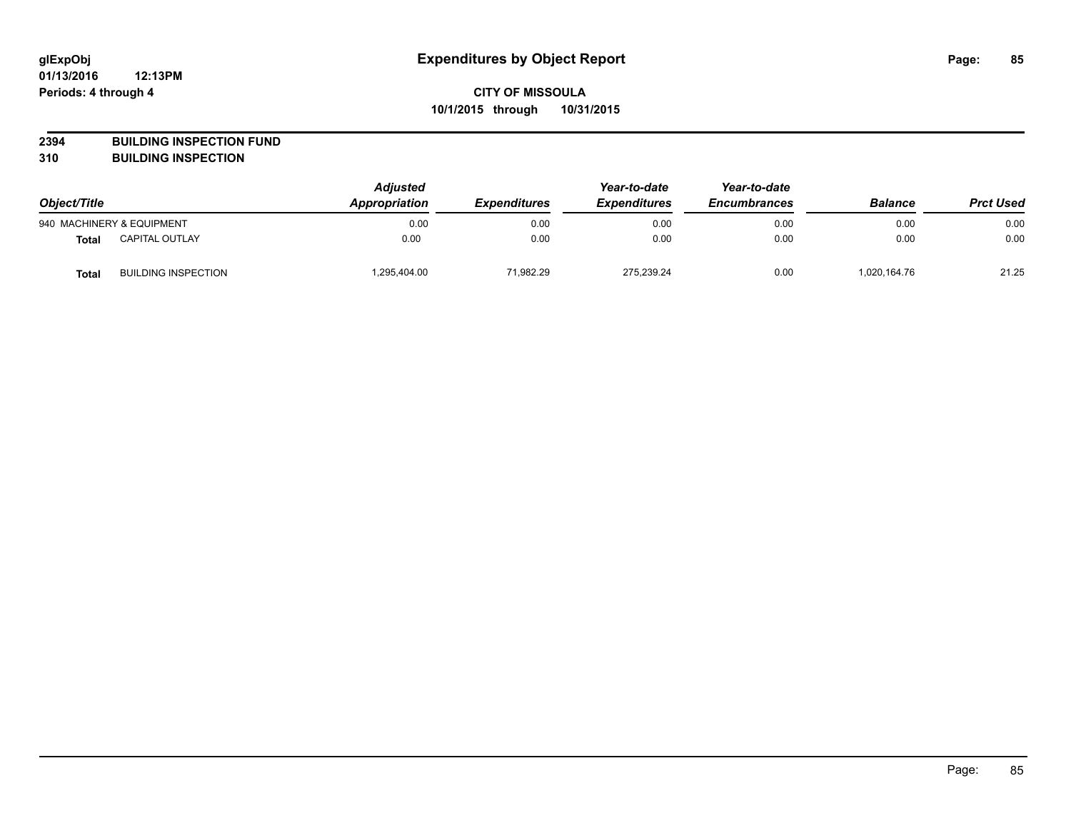**2394 BUILDING INSPECTION FUND**

**310 BUILDING INSPECTION**

| Object/Title |                            | <b>Adjusted</b><br><b>Appropriation</b> | <b>Expenditures</b> | Year-to-date<br><b>Expenditures</b> | Year-to-date<br><b>Encumbrances</b> | <b>Balance</b> | <b>Prct Used</b> |
|--------------|----------------------------|-----------------------------------------|---------------------|-------------------------------------|-------------------------------------|----------------|------------------|
|              | 940 MACHINERY & EQUIPMENT  | 0.00                                    | 0.00                | 0.00                                | 0.00                                | 0.00           | 0.00             |
| <b>Total</b> | <b>CAPITAL OUTLAY</b>      | 0.00                                    | 0.00                | 0.00                                | 0.00                                | 0.00           | 0.00             |
| <b>Total</b> | <b>BUILDING INSPECTION</b> | .295.404.00                             | 71.982.29           | 275.239.24                          | 0.00                                | 1,020,164.76   | 21.25            |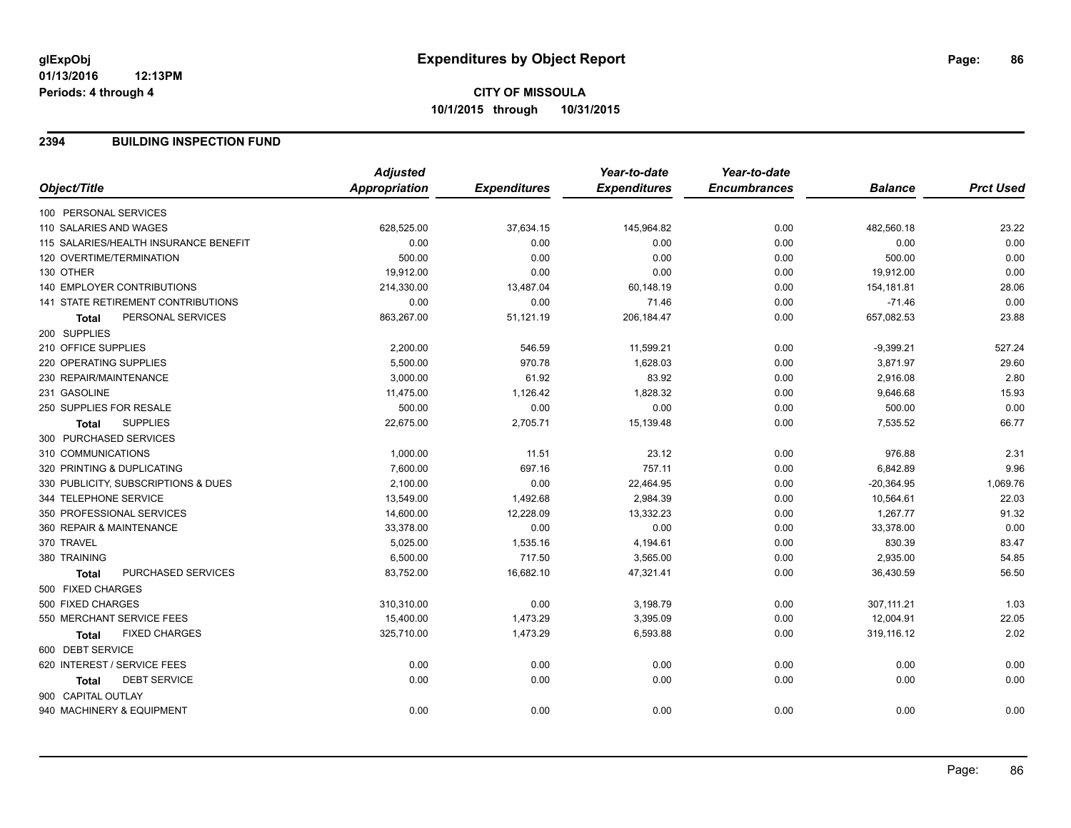## **2394 BUILDING INSPECTION FUND**

|                                           | <b>Adjusted</b> |                     | Year-to-date        | Year-to-date        |                |                  |
|-------------------------------------------|-----------------|---------------------|---------------------|---------------------|----------------|------------------|
| Object/Title                              | Appropriation   | <b>Expenditures</b> | <b>Expenditures</b> | <b>Encumbrances</b> | <b>Balance</b> | <b>Prct Used</b> |
| 100 PERSONAL SERVICES                     |                 |                     |                     |                     |                |                  |
| 110 SALARIES AND WAGES                    | 628,525.00      | 37,634.15           | 145,964.82          | 0.00                | 482,560.18     | 23.22            |
| 115 SALARIES/HEALTH INSURANCE BENEFIT     | 0.00            | 0.00                | 0.00                | 0.00                | 0.00           | 0.00             |
| 120 OVERTIME/TERMINATION                  | 500.00          | 0.00                | 0.00                | 0.00                | 500.00         | 0.00             |
| 130 OTHER                                 | 19,912.00       | 0.00                | 0.00                | 0.00                | 19,912.00      | 0.00             |
| <b>140 EMPLOYER CONTRIBUTIONS</b>         | 214,330.00      | 13,487.04           | 60,148.19           | 0.00                | 154,181.81     | 28.06            |
| 141 STATE RETIREMENT CONTRIBUTIONS        | 0.00            | 0.00                | 71.46               | 0.00                | $-71.46$       | 0.00             |
| PERSONAL SERVICES<br><b>Total</b>         | 863,267.00      | 51,121.19           | 206,184.47          | 0.00                | 657,082.53     | 23.88            |
| 200 SUPPLIES                              |                 |                     |                     |                     |                |                  |
| 210 OFFICE SUPPLIES                       | 2,200.00        | 546.59              | 11,599.21           | 0.00                | $-9,399.21$    | 527.24           |
| 220 OPERATING SUPPLIES                    | 5,500.00        | 970.78              | 1,628.03            | 0.00                | 3,871.97       | 29.60            |
| 230 REPAIR/MAINTENANCE                    | 3,000.00        | 61.92               | 83.92               | 0.00                | 2,916.08       | 2.80             |
| 231 GASOLINE                              | 11,475.00       | 1,126.42            | 1,828.32            | 0.00                | 9,646.68       | 15.93            |
| 250 SUPPLIES FOR RESALE                   | 500.00          | 0.00                | 0.00                | 0.00                | 500.00         | 0.00             |
| <b>SUPPLIES</b><br><b>Total</b>           | 22,675.00       | 2,705.71            | 15,139.48           | 0.00                | 7,535.52       | 66.77            |
| 300 PURCHASED SERVICES                    |                 |                     |                     |                     |                |                  |
| 310 COMMUNICATIONS                        | 1,000.00        | 11.51               | 23.12               | 0.00                | 976.88         | 2.31             |
| 320 PRINTING & DUPLICATING                | 7,600.00        | 697.16              | 757.11              | 0.00                | 6,842.89       | 9.96             |
| 330 PUBLICITY, SUBSCRIPTIONS & DUES       | 2,100.00        | 0.00                | 22,464.95           | 0.00                | $-20,364.95$   | 1,069.76         |
| 344 TELEPHONE SERVICE                     | 13,549.00       | 1,492.68            | 2,984.39            | 0.00                | 10,564.61      | 22.03            |
| 350 PROFESSIONAL SERVICES                 | 14,600.00       | 12,228.09           | 13,332.23           | 0.00                | 1,267.77       | 91.32            |
| 360 REPAIR & MAINTENANCE                  | 33,378.00       | 0.00                | 0.00                | 0.00                | 33,378.00      | 0.00             |
| 370 TRAVEL                                | 5,025.00        | 1,535.16            | 4,194.61            | 0.00                | 830.39         | 83.47            |
| 380 TRAINING                              | 6,500.00        | 717.50              | 3,565.00            | 0.00                | 2,935.00       | 54.85            |
| <b>PURCHASED SERVICES</b><br><b>Total</b> | 83,752.00       | 16,682.10           | 47,321.41           | 0.00                | 36,430.59      | 56.50            |
| 500 FIXED CHARGES                         |                 |                     |                     |                     |                |                  |
| 500 FIXED CHARGES                         | 310,310.00      | 0.00                | 3,198.79            | 0.00                | 307,111.21     | 1.03             |
| 550 MERCHANT SERVICE FEES                 | 15,400.00       | 1,473.29            | 3,395.09            | 0.00                | 12,004.91      | 22.05            |
| <b>FIXED CHARGES</b><br><b>Total</b>      | 325,710.00      | 1,473.29            | 6,593.88            | 0.00                | 319,116.12     | 2.02             |
| 600 DEBT SERVICE                          |                 |                     |                     |                     |                |                  |
| 620 INTEREST / SERVICE FEES               | 0.00            | 0.00                | 0.00                | 0.00                | 0.00           | 0.00             |
| <b>DEBT SERVICE</b><br><b>Total</b>       | 0.00            | 0.00                | 0.00                | 0.00                | 0.00           | 0.00             |
| 900 CAPITAL OUTLAY                        |                 |                     |                     |                     |                |                  |
| 940 MACHINERY & EQUIPMENT                 | 0.00            | 0.00                | 0.00                | 0.00                | 0.00           | 0.00             |
|                                           |                 |                     |                     |                     |                |                  |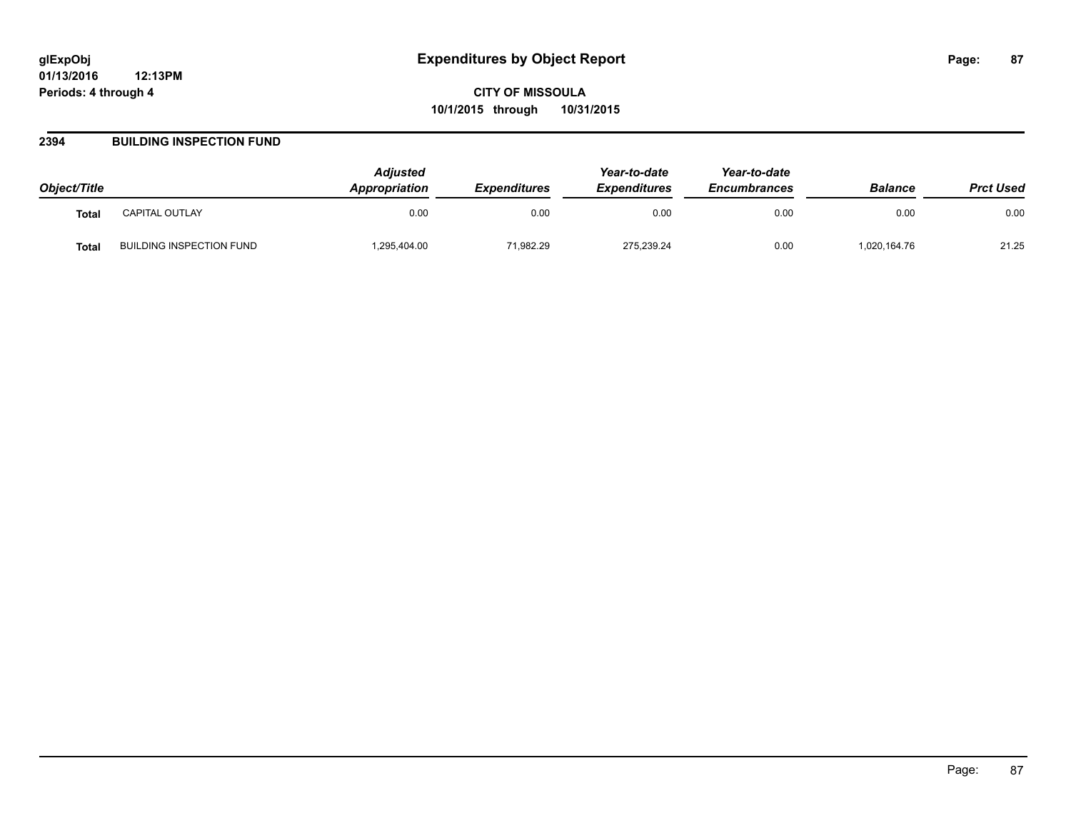**CITY OF MISSOULA 10/1/2015 through 10/31/2015**

## **2394 BUILDING INSPECTION FUND**

| Object/Title |                          | <b>Adjusted</b><br><b>Appropriation</b> | <b>Expenditures</b> | Year-to-date<br><b>Expenditures</b> | Year-to-date<br><b>Encumbrances</b> | <b>Balance</b> | <b>Prct Used</b> |
|--------------|--------------------------|-----------------------------------------|---------------------|-------------------------------------|-------------------------------------|----------------|------------------|
| <b>Total</b> | <b>CAPITAL OUTLAY</b>    | 0.00                                    | 0.00                | 0.00                                | 0.00                                | 0.00           | 0.00             |
| Total        | BUILDING INSPECTION FUND | .295,404.00                             | 71,982.29           | 275.239.24                          | 0.00                                | 1,020,164.76   | 21.25            |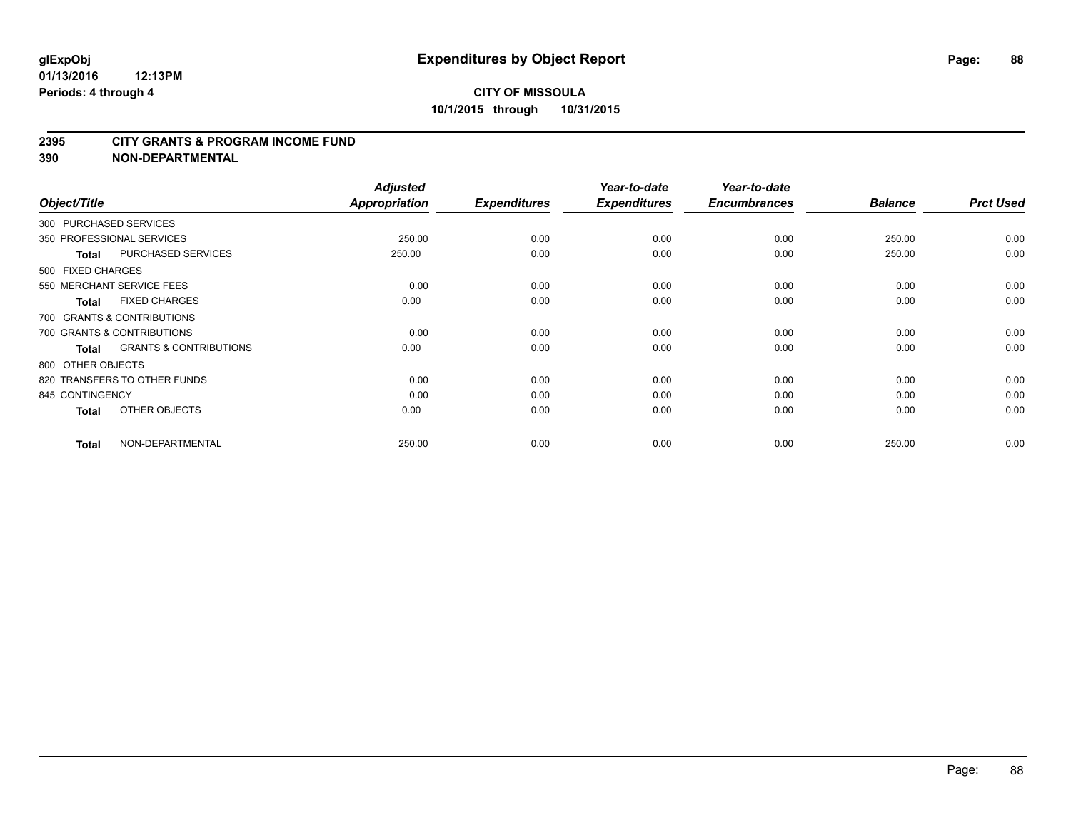#### **2395 CITY GRANTS & PROGRAM INCOME FUND**

**390 NON-DEPARTMENTAL**

| Object/Title           |                                   | <b>Adjusted</b><br>Appropriation | <b>Expenditures</b> | Year-to-date<br><b>Expenditures</b> | Year-to-date<br><b>Encumbrances</b> | <b>Balance</b> | <b>Prct Used</b> |
|------------------------|-----------------------------------|----------------------------------|---------------------|-------------------------------------|-------------------------------------|----------------|------------------|
| 300 PURCHASED SERVICES |                                   |                                  |                     |                                     |                                     |                |                  |
|                        | 350 PROFESSIONAL SERVICES         | 250.00                           | 0.00                | 0.00                                | 0.00                                | 250.00         | 0.00             |
| <b>Total</b>           | <b>PURCHASED SERVICES</b>         | 250.00                           | 0.00                | 0.00                                | 0.00                                | 250.00         | 0.00             |
| 500 FIXED CHARGES      |                                   |                                  |                     |                                     |                                     |                |                  |
|                        | 550 MERCHANT SERVICE FEES         | 0.00                             | 0.00                | 0.00                                | 0.00                                | 0.00           | 0.00             |
| <b>Total</b>           | <b>FIXED CHARGES</b>              | 0.00                             | 0.00                | 0.00                                | 0.00                                | 0.00           | 0.00             |
|                        | 700 GRANTS & CONTRIBUTIONS        |                                  |                     |                                     |                                     |                |                  |
|                        | 700 GRANTS & CONTRIBUTIONS        | 0.00                             | 0.00                | 0.00                                | 0.00                                | 0.00           | 0.00             |
| <b>Total</b>           | <b>GRANTS &amp; CONTRIBUTIONS</b> | 0.00                             | 0.00                | 0.00                                | 0.00                                | 0.00           | 0.00             |
| 800 OTHER OBJECTS      |                                   |                                  |                     |                                     |                                     |                |                  |
|                        | 820 TRANSFERS TO OTHER FUNDS      | 0.00                             | 0.00                | 0.00                                | 0.00                                | 0.00           | 0.00             |
| 845 CONTINGENCY        |                                   | 0.00                             | 0.00                | 0.00                                | 0.00                                | 0.00           | 0.00             |
| <b>Total</b>           | OTHER OBJECTS                     | 0.00                             | 0.00                | 0.00                                | 0.00                                | 0.00           | 0.00             |
| <b>Total</b>           | NON-DEPARTMENTAL                  | 250.00                           | 0.00                | 0.00                                | 0.00                                | 250.00         | 0.00             |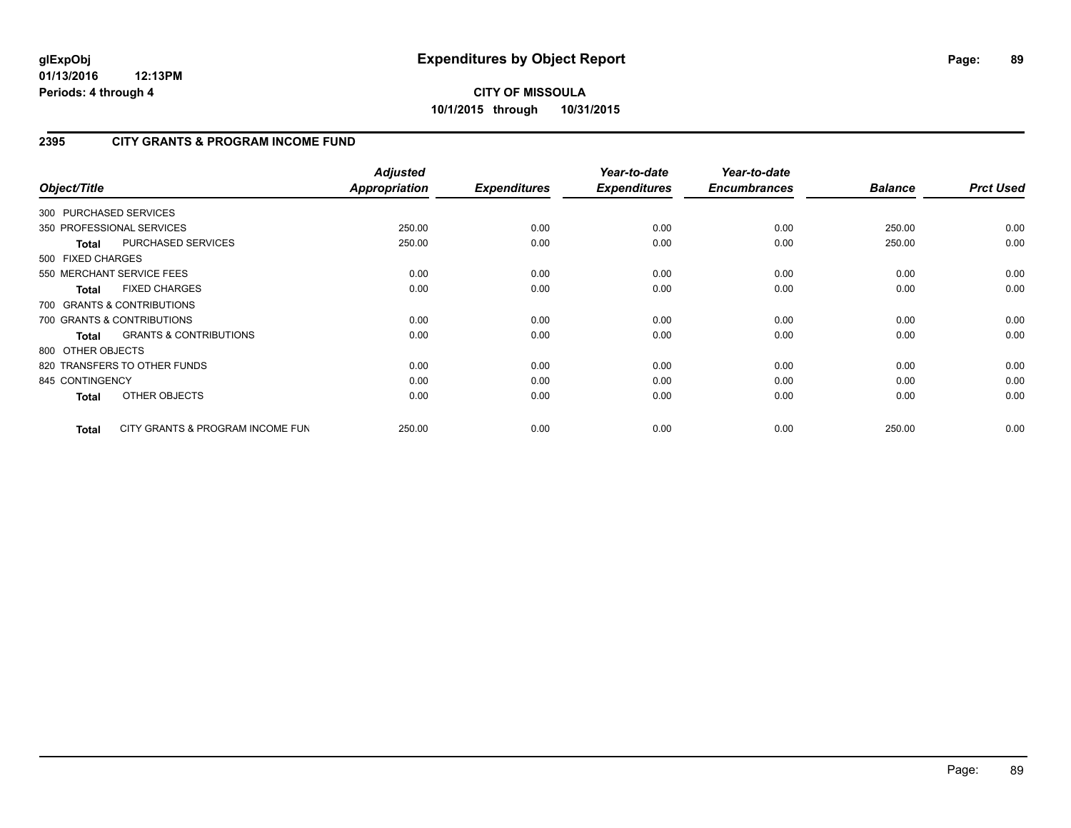# **2395 CITY GRANTS & PROGRAM INCOME FUND**

| Object/Title           |                                   | <b>Adjusted</b><br>Appropriation | <b>Expenditures</b> | Year-to-date<br><b>Expenditures</b> | Year-to-date<br><b>Encumbrances</b> | <b>Balance</b> | <b>Prct Used</b> |
|------------------------|-----------------------------------|----------------------------------|---------------------|-------------------------------------|-------------------------------------|----------------|------------------|
| 300 PURCHASED SERVICES |                                   |                                  |                     |                                     |                                     |                |                  |
|                        | 350 PROFESSIONAL SERVICES         | 250.00                           | 0.00                | 0.00                                | 0.00                                | 250.00         | 0.00             |
| <b>Total</b>           | PURCHASED SERVICES                | 250.00                           | 0.00                | 0.00                                | 0.00                                | 250.00         | 0.00             |
| 500 FIXED CHARGES      |                                   |                                  |                     |                                     |                                     |                |                  |
|                        | 550 MERCHANT SERVICE FEES         | 0.00                             | 0.00                | 0.00                                | 0.00                                | 0.00           | 0.00             |
| <b>Total</b>           | <b>FIXED CHARGES</b>              | 0.00                             | 0.00                | 0.00                                | 0.00                                | 0.00           | 0.00             |
|                        | 700 GRANTS & CONTRIBUTIONS        |                                  |                     |                                     |                                     |                |                  |
|                        | 700 GRANTS & CONTRIBUTIONS        | 0.00                             | 0.00                | 0.00                                | 0.00                                | 0.00           | 0.00             |
| <b>Total</b>           | <b>GRANTS &amp; CONTRIBUTIONS</b> | 0.00                             | 0.00                | 0.00                                | 0.00                                | 0.00           | 0.00             |
| 800 OTHER OBJECTS      |                                   |                                  |                     |                                     |                                     |                |                  |
|                        | 820 TRANSFERS TO OTHER FUNDS      | 0.00                             | 0.00                | 0.00                                | 0.00                                | 0.00           | 0.00             |
| 845 CONTINGENCY        |                                   | 0.00                             | 0.00                | 0.00                                | 0.00                                | 0.00           | 0.00             |
| <b>Total</b>           | OTHER OBJECTS                     | 0.00                             | 0.00                | 0.00                                | 0.00                                | 0.00           | 0.00             |
| Total                  | CITY GRANTS & PROGRAM INCOME FUN  | 250.00                           | 0.00                | 0.00                                | 0.00                                | 250.00         | 0.00             |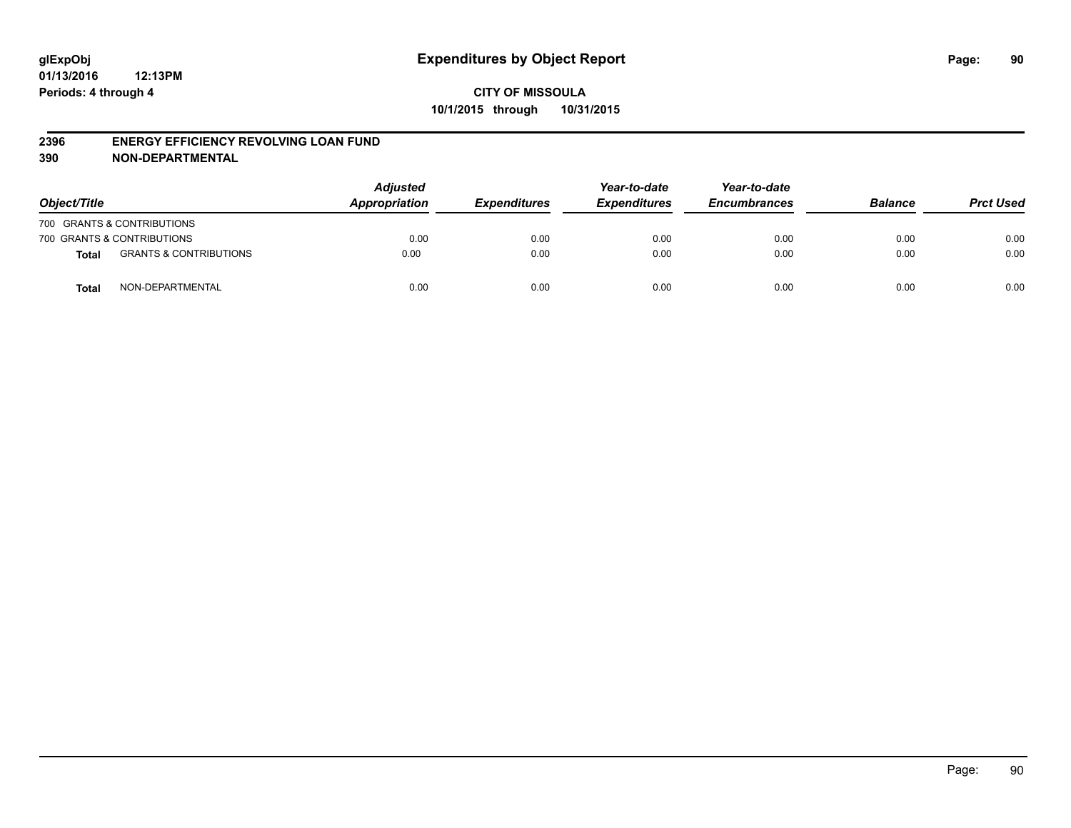### **2396 ENERGY EFFICIENCY REVOLVING LOAN FUND**

**390 NON-DEPARTMENTAL**

| Object/Title |                                   | <b>Adjusted</b><br>Appropriation | <b>Expenditures</b> | Year-to-date<br><b>Expenditures</b> | Year-to-date<br><b>Encumbrances</b> | <b>Balance</b> | <b>Prct Used</b> |
|--------------|-----------------------------------|----------------------------------|---------------------|-------------------------------------|-------------------------------------|----------------|------------------|
|              | 700 GRANTS & CONTRIBUTIONS        |                                  |                     |                                     |                                     |                |                  |
|              | 700 GRANTS & CONTRIBUTIONS        | 0.00                             | 0.00                | 0.00                                | 0.00                                | 0.00           | 0.00             |
| Total        | <b>GRANTS &amp; CONTRIBUTIONS</b> | 0.00                             | 0.00                | 0.00                                | 0.00                                | 0.00           | 0.00             |
| <b>Total</b> | NON-DEPARTMENTAL                  | 0.00                             | 0.00                | 0.00                                | 0.00                                | 0.00           | 0.00             |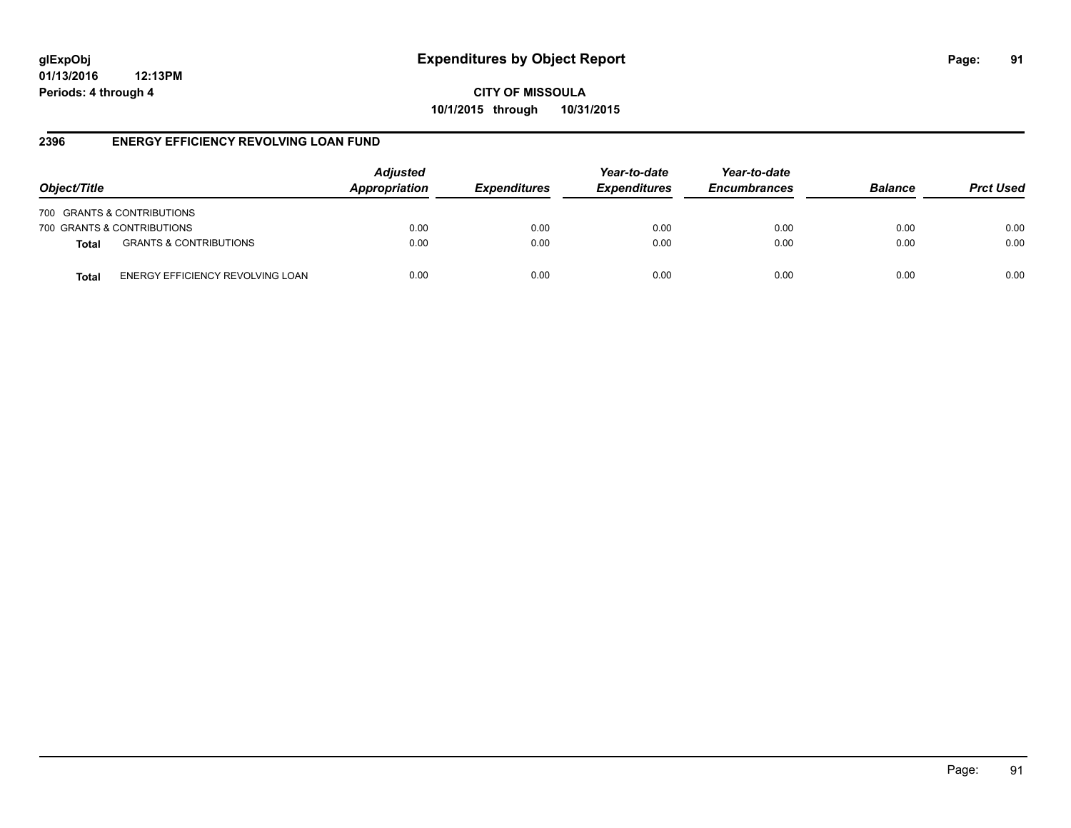**CITY OF MISSOULA 10/1/2015 through 10/31/2015**

## **2396 ENERGY EFFICIENCY REVOLVING LOAN FUND**

| Object/Title |                                   | <b>Adjusted</b><br>Appropriation | <b>Expenditures</b> | Year-to-date<br><b>Expenditures</b> | Year-to-date<br><b>Encumbrances</b> | <b>Balance</b> | <b>Prct Used</b> |
|--------------|-----------------------------------|----------------------------------|---------------------|-------------------------------------|-------------------------------------|----------------|------------------|
|              | 700 GRANTS & CONTRIBUTIONS        |                                  |                     |                                     |                                     |                |                  |
|              | 700 GRANTS & CONTRIBUTIONS        | 0.00                             | 0.00                | 0.00                                | 0.00                                | 0.00           | 0.00             |
| <b>Total</b> | <b>GRANTS &amp; CONTRIBUTIONS</b> | 0.00                             | 0.00                | 0.00                                | 0.00                                | 0.00           | 0.00             |
| Total        | ENERGY EFFICIENCY REVOLVING LOAN  | 0.00                             | 0.00                | 0.00                                | 0.00                                | 0.00           | 0.00             |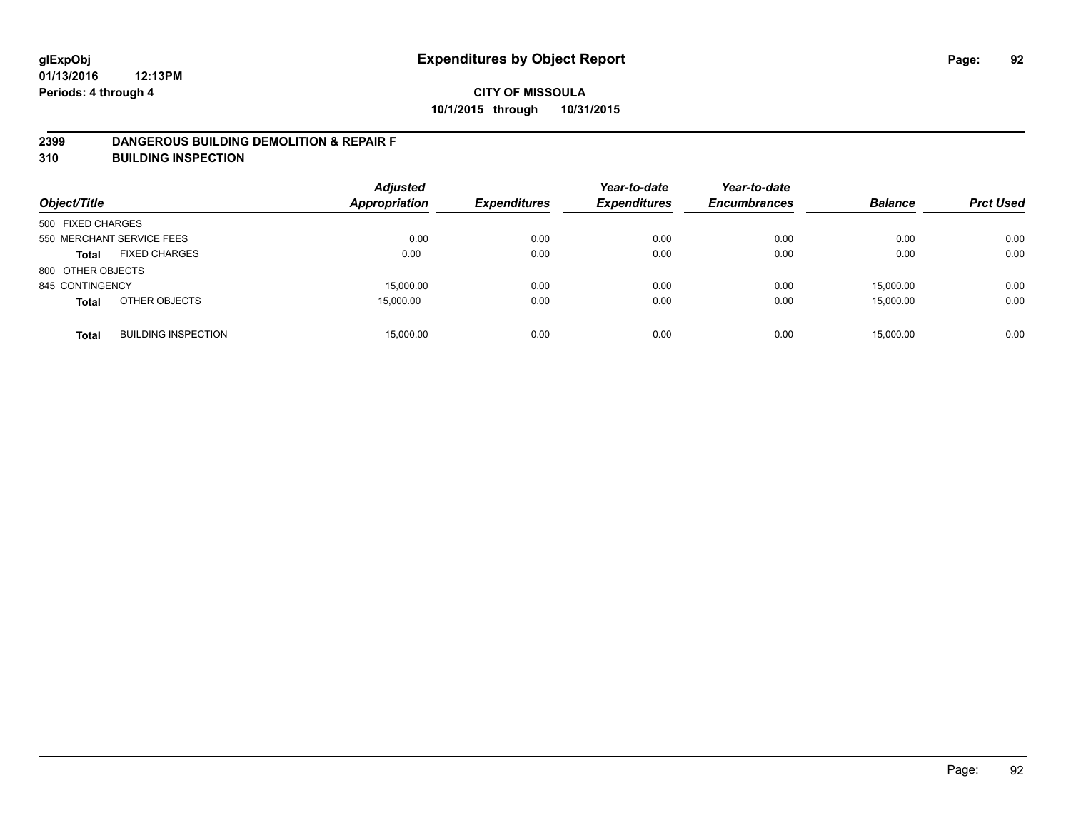### **2399 DANGEROUS BUILDING DEMOLITION & REPAIR F**

**310 BUILDING INSPECTION**

| Object/Title              |                            | <b>Adjusted</b><br><b>Appropriation</b> | <b>Expenditures</b> | Year-to-date<br><b>Expenditures</b> | Year-to-date<br><b>Encumbrances</b> | <b>Balance</b> | <b>Prct Used</b> |
|---------------------------|----------------------------|-----------------------------------------|---------------------|-------------------------------------|-------------------------------------|----------------|------------------|
| 500 FIXED CHARGES         |                            |                                         |                     |                                     |                                     |                |                  |
| 550 MERCHANT SERVICE FEES |                            | 0.00                                    | 0.00                | 0.00                                | 0.00                                | 0.00           | 0.00             |
| <b>Total</b>              | <b>FIXED CHARGES</b>       | 0.00                                    | 0.00                | 0.00                                | 0.00                                | 0.00           | 0.00             |
| 800 OTHER OBJECTS         |                            |                                         |                     |                                     |                                     |                |                  |
| 845 CONTINGENCY           |                            | 15,000.00                               | 0.00                | 0.00                                | 0.00                                | 15.000.00      | 0.00             |
| <b>Total</b>              | OTHER OBJECTS              | 15,000.00                               | 0.00                | 0.00                                | 0.00                                | 15.000.00      | 0.00             |
| <b>Total</b>              | <b>BUILDING INSPECTION</b> | 15,000.00                               | 0.00                | 0.00                                | 0.00                                | 15.000.00      | 0.00             |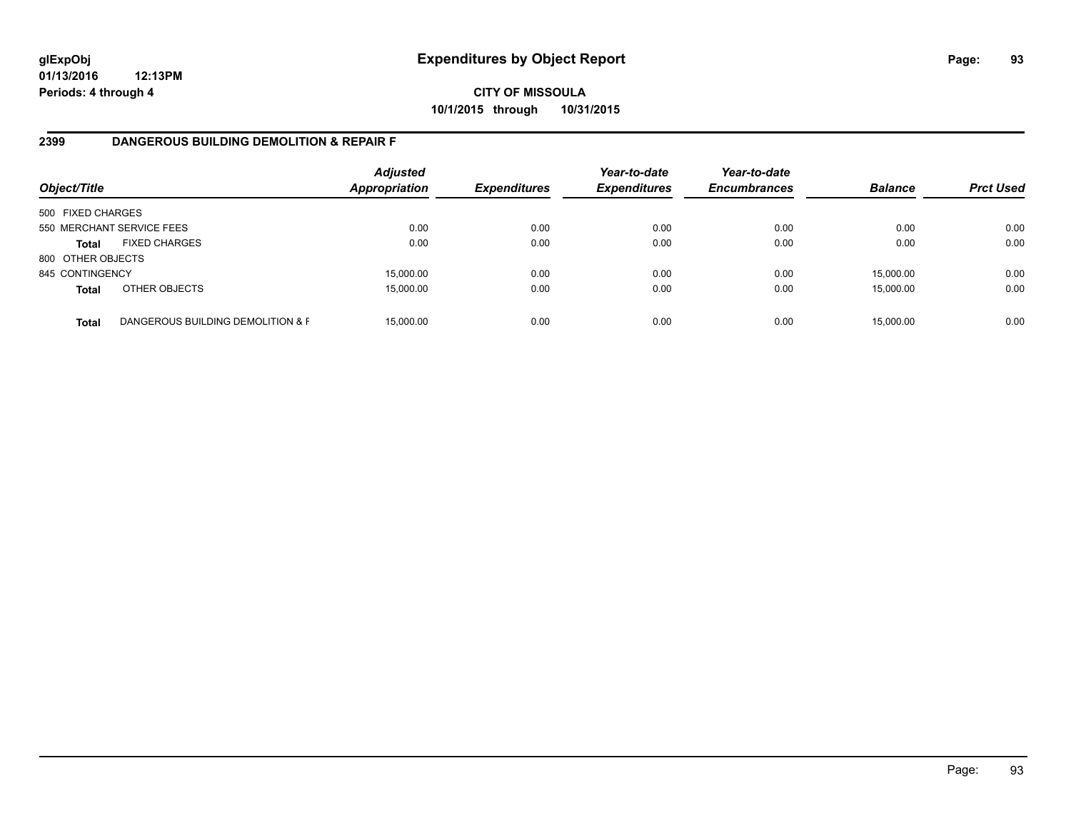# **CITY OF MISSOULA 10/1/2015 through 10/31/2015**

## **2399 DANGEROUS BUILDING DEMOLITION & REPAIR F**

| Object/Title      |                                   | <b>Adjusted</b><br>Appropriation | <b>Expenditures</b> | Year-to-date<br><b>Expenditures</b> | Year-to-date<br><b>Encumbrances</b> | <b>Balance</b> | <b>Prct Used</b> |
|-------------------|-----------------------------------|----------------------------------|---------------------|-------------------------------------|-------------------------------------|----------------|------------------|
| 500 FIXED CHARGES |                                   |                                  |                     |                                     |                                     |                |                  |
|                   | 550 MERCHANT SERVICE FEES         | 0.00                             | 0.00                | 0.00                                | 0.00                                | 0.00           | 0.00             |
| <b>Total</b>      | <b>FIXED CHARGES</b>              | 0.00                             | 0.00                | 0.00                                | 0.00                                | 0.00           | 0.00             |
| 800 OTHER OBJECTS |                                   |                                  |                     |                                     |                                     |                |                  |
| 845 CONTINGENCY   |                                   | 15,000.00                        | 0.00                | 0.00                                | 0.00                                | 15,000.00      | 0.00             |
| <b>Total</b>      | OTHER OBJECTS                     | 15,000.00                        | 0.00                | 0.00                                | 0.00                                | 15,000.00      | 0.00             |
| <b>Total</b>      | DANGEROUS BUILDING DEMOLITION & F | 15.000.00                        | 0.00                | 0.00                                | 0.00                                | 15,000.00      | 0.00             |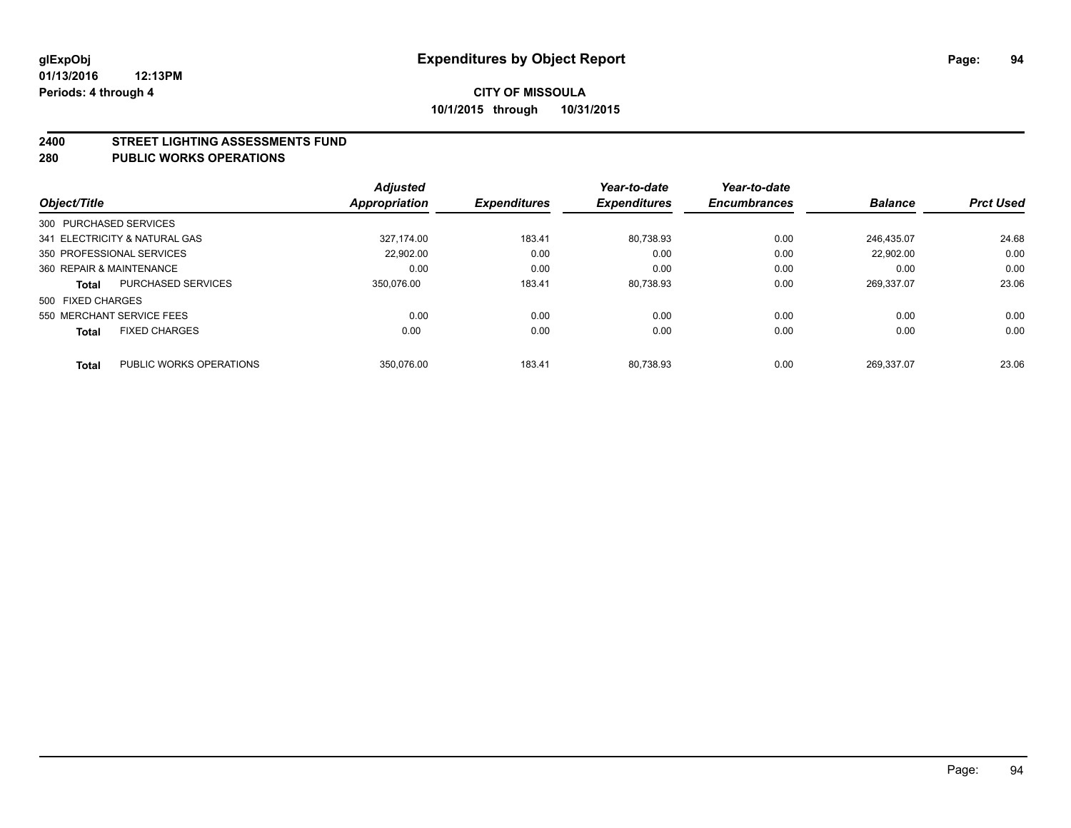#### **2400 STREET LIGHTING ASSESSMENTS FUND**

#### **280 PUBLIC WORKS OPERATIONS**

| Object/Title             |                               | <b>Adjusted</b><br><b>Appropriation</b> | <b>Expenditures</b> | Year-to-date<br><b>Expenditures</b> | Year-to-date<br><b>Encumbrances</b> | <b>Balance</b> | <b>Prct Used</b> |
|--------------------------|-------------------------------|-----------------------------------------|---------------------|-------------------------------------|-------------------------------------|----------------|------------------|
| 300 PURCHASED SERVICES   |                               |                                         |                     |                                     |                                     |                |                  |
|                          | 341 ELECTRICITY & NATURAL GAS | 327.174.00                              | 183.41              | 80.738.93                           | 0.00                                | 246.435.07     | 24.68            |
|                          | 350 PROFESSIONAL SERVICES     | 22.902.00                               | 0.00                | 0.00                                | 0.00                                | 22.902.00      | 0.00             |
| 360 REPAIR & MAINTENANCE |                               | 0.00                                    | 0.00                | 0.00                                | 0.00                                | 0.00           | 0.00             |
| <b>Total</b>             | <b>PURCHASED SERVICES</b>     | 350.076.00                              | 183.41              | 80.738.93                           | 0.00                                | 269.337.07     | 23.06            |
| 500 FIXED CHARGES        |                               |                                         |                     |                                     |                                     |                |                  |
|                          | 550 MERCHANT SERVICE FEES     | 0.00                                    | 0.00                | 0.00                                | 0.00                                | 0.00           | 0.00             |
| <b>Total</b>             | <b>FIXED CHARGES</b>          | 0.00                                    | 0.00                | 0.00                                | 0.00                                | 0.00           | 0.00             |
| <b>Total</b>             | PUBLIC WORKS OPERATIONS       | 350.076.00                              | 183.41              | 80.738.93                           | 0.00                                | 269.337.07     | 23.06            |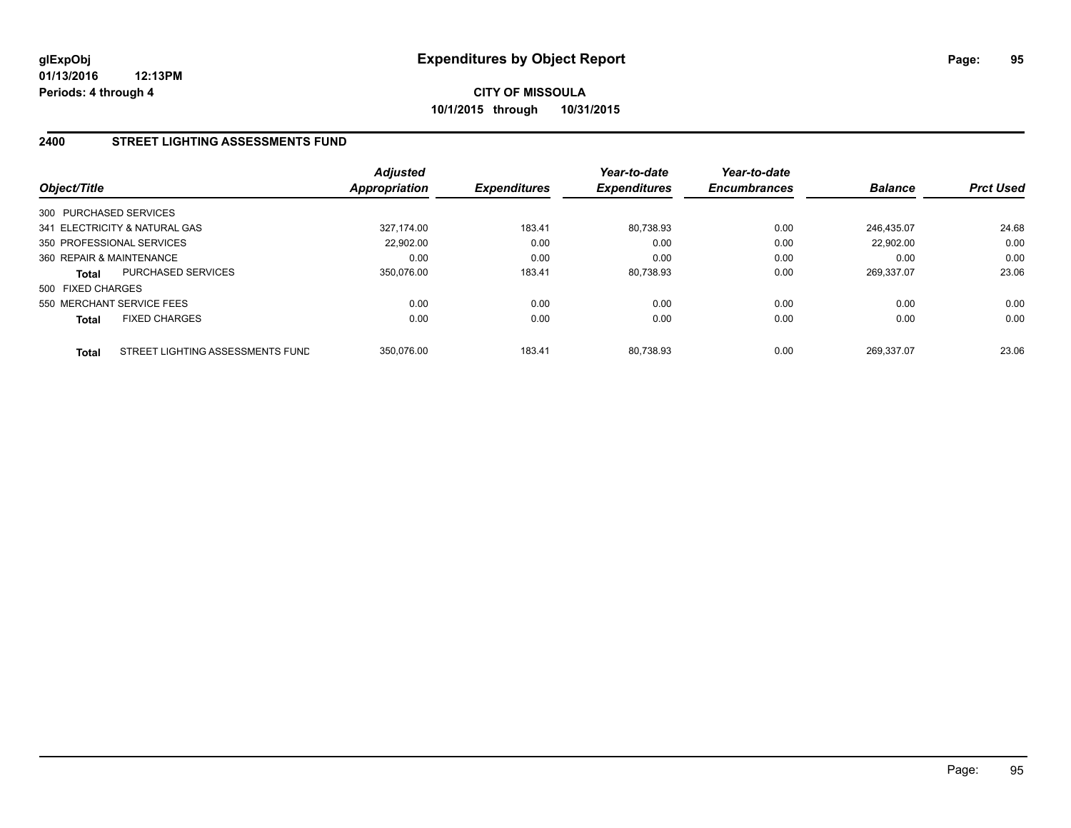## **2400 STREET LIGHTING ASSESSMENTS FUND**

| Object/Title              |                                  | <b>Adjusted</b><br><b>Appropriation</b> | <b>Expenditures</b> | Year-to-date<br><b>Expenditures</b> | Year-to-date<br><b>Encumbrances</b> | <b>Balance</b> | <b>Prct Used</b> |
|---------------------------|----------------------------------|-----------------------------------------|---------------------|-------------------------------------|-------------------------------------|----------------|------------------|
| 300 PURCHASED SERVICES    |                                  |                                         |                     |                                     |                                     |                |                  |
|                           | 341 ELECTRICITY & NATURAL GAS    | 327.174.00                              | 183.41              | 80.738.93                           | 0.00                                | 246.435.07     | 24.68            |
| 350 PROFESSIONAL SERVICES |                                  | 22.902.00                               | 0.00                | 0.00                                | 0.00                                | 22.902.00      | 0.00             |
| 360 REPAIR & MAINTENANCE  |                                  | 0.00                                    | 0.00                | 0.00                                | 0.00                                | 0.00           | 0.00             |
| <b>Total</b>              | PURCHASED SERVICES               | 350,076.00                              | 183.41              | 80,738.93                           | 0.00                                | 269.337.07     | 23.06            |
| 500 FIXED CHARGES         |                                  |                                         |                     |                                     |                                     |                |                  |
| 550 MERCHANT SERVICE FEES |                                  | 0.00                                    | 0.00                | 0.00                                | 0.00                                | 0.00           | 0.00             |
| <b>Total</b>              | <b>FIXED CHARGES</b>             | 0.00                                    | 0.00                | 0.00                                | 0.00                                | 0.00           | 0.00             |
| <b>Total</b>              | STREET LIGHTING ASSESSMENTS FUND | 350.076.00                              | 183.41              | 80.738.93                           | 0.00                                | 269.337.07     | 23.06            |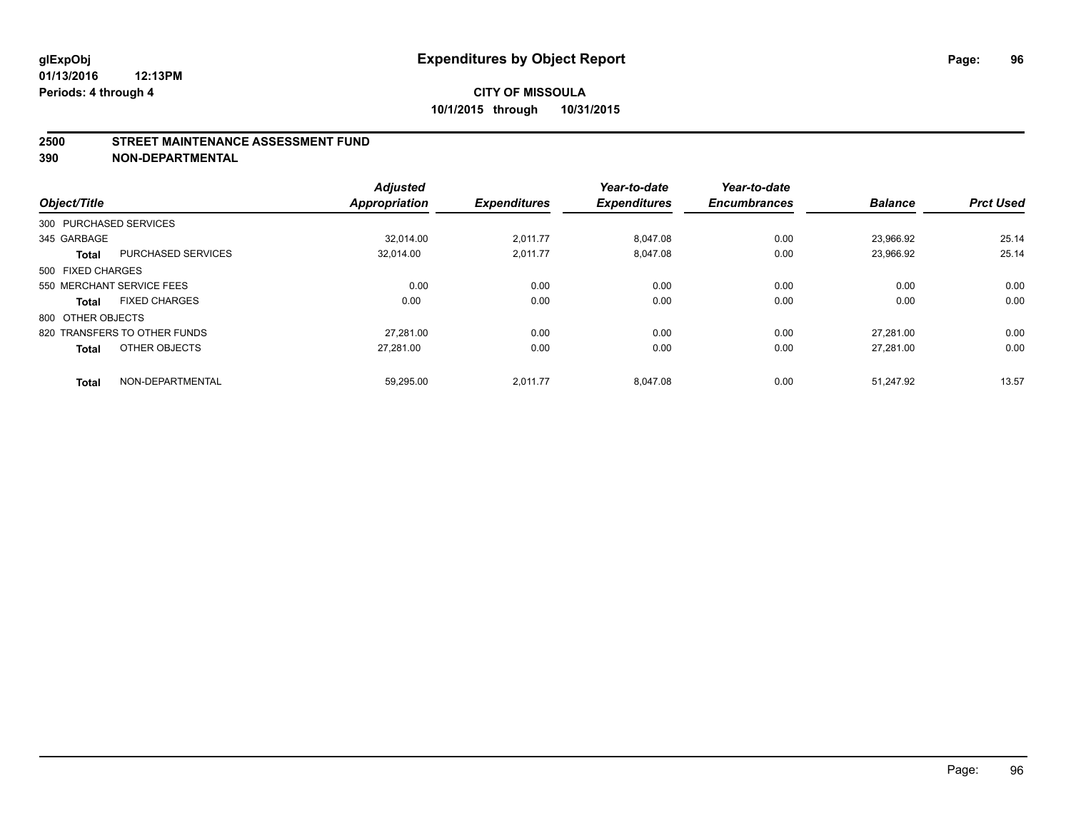#### **2500 STREET MAINTENANCE ASSESSMENT FUND**

**390 NON-DEPARTMENTAL**

| Object/Title      |                              | <b>Adjusted</b><br><b>Appropriation</b> | <b>Expenditures</b> | Year-to-date<br><b>Expenditures</b> | Year-to-date<br><b>Encumbrances</b> | <b>Balance</b> | <b>Prct Used</b> |
|-------------------|------------------------------|-----------------------------------------|---------------------|-------------------------------------|-------------------------------------|----------------|------------------|
|                   | 300 PURCHASED SERVICES       |                                         |                     |                                     |                                     |                |                  |
| 345 GARBAGE       |                              | 32.014.00                               | 2,011.77            | 8,047.08                            | 0.00                                | 23,966.92      | 25.14            |
| <b>Total</b>      | <b>PURCHASED SERVICES</b>    | 32,014.00                               | 2,011.77            | 8,047.08                            | 0.00                                | 23,966.92      | 25.14            |
| 500 FIXED CHARGES |                              |                                         |                     |                                     |                                     |                |                  |
|                   | 550 MERCHANT SERVICE FEES    | 0.00                                    | 0.00                | 0.00                                | 0.00                                | 0.00           | 0.00             |
| <b>Total</b>      | <b>FIXED CHARGES</b>         | 0.00                                    | 0.00                | 0.00                                | 0.00                                | 0.00           | 0.00             |
| 800 OTHER OBJECTS |                              |                                         |                     |                                     |                                     |                |                  |
|                   | 820 TRANSFERS TO OTHER FUNDS | 27.281.00                               | 0.00                | 0.00                                | 0.00                                | 27.281.00      | 0.00             |
| <b>Total</b>      | OTHER OBJECTS                | 27.281.00                               | 0.00                | 0.00                                | 0.00                                | 27.281.00      | 0.00             |
| <b>Total</b>      | NON-DEPARTMENTAL             | 59.295.00                               | 2.011.77            | 8.047.08                            | 0.00                                | 51.247.92      | 13.57            |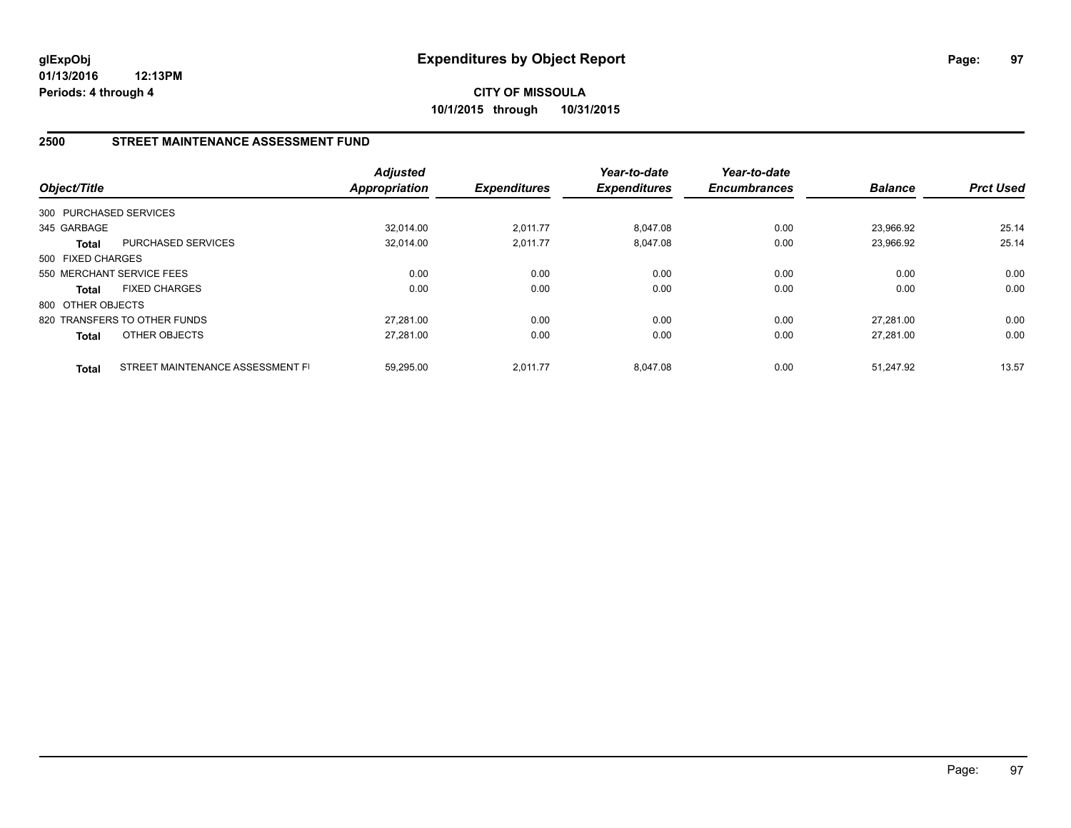**CITY OF MISSOULA 10/1/2015 through 10/31/2015**

## **2500 STREET MAINTENANCE ASSESSMENT FUND**

| Object/Title      |                                  | <b>Adjusted</b><br><b>Appropriation</b> | <b>Expenditures</b> | Year-to-date<br><b>Expenditures</b> | Year-to-date<br><b>Encumbrances</b> | <b>Balance</b> | <b>Prct Used</b> |
|-------------------|----------------------------------|-----------------------------------------|---------------------|-------------------------------------|-------------------------------------|----------------|------------------|
|                   | 300 PURCHASED SERVICES           |                                         |                     |                                     |                                     |                |                  |
| 345 GARBAGE       |                                  | 32.014.00                               | 2,011.77            | 8.047.08                            | 0.00                                | 23.966.92      | 25.14            |
| <b>Total</b>      | <b>PURCHASED SERVICES</b>        | 32,014.00                               | 2,011.77            | 8,047.08                            | 0.00                                | 23,966.92      | 25.14            |
| 500 FIXED CHARGES |                                  |                                         |                     |                                     |                                     |                |                  |
|                   | 550 MERCHANT SERVICE FEES        | 0.00                                    | 0.00                | 0.00                                | 0.00                                | 0.00           | 0.00             |
| <b>Total</b>      | <b>FIXED CHARGES</b>             | 0.00                                    | 0.00                | 0.00                                | 0.00                                | 0.00           | 0.00             |
| 800 OTHER OBJECTS |                                  |                                         |                     |                                     |                                     |                |                  |
|                   | 820 TRANSFERS TO OTHER FUNDS     | 27.281.00                               | 0.00                | 0.00                                | 0.00                                | 27.281.00      | 0.00             |
| <b>Total</b>      | OTHER OBJECTS                    | 27,281.00                               | 0.00                | 0.00                                | 0.00                                | 27.281.00      | 0.00             |
| <b>Total</b>      | STREET MAINTENANCE ASSESSMENT FI | 59.295.00                               | 2.011.77            | 8.047.08                            | 0.00                                | 51.247.92      | 13.57            |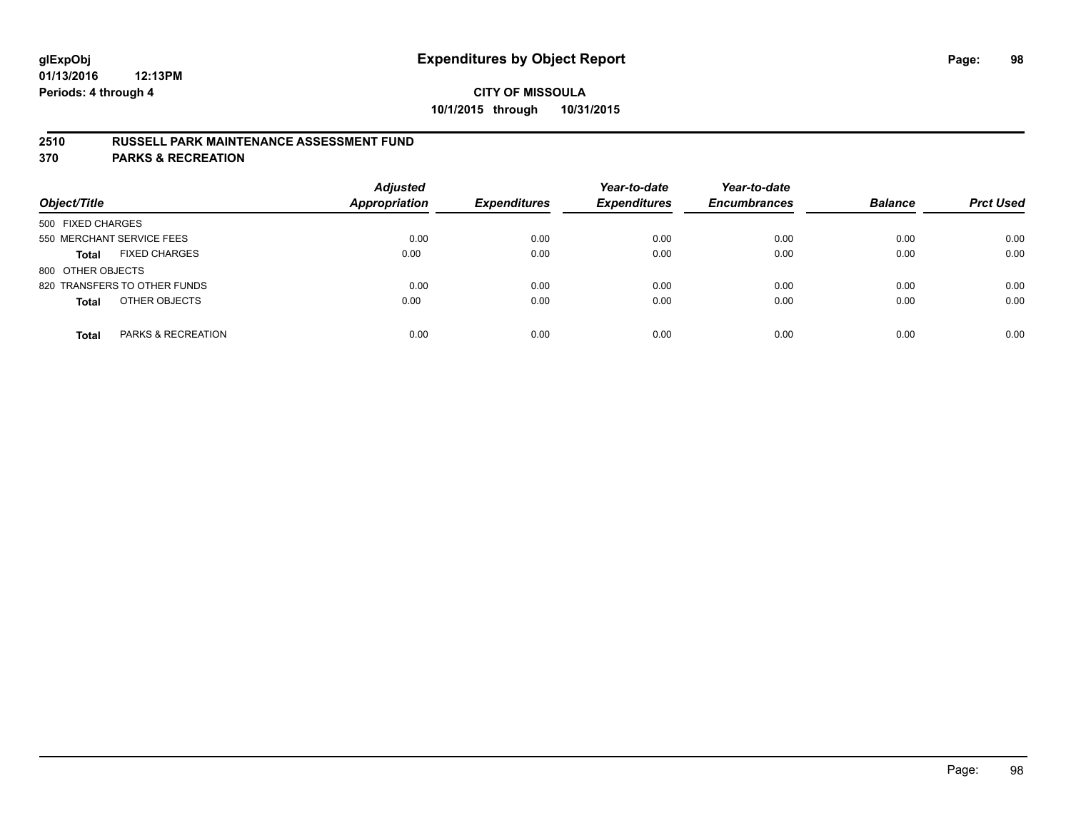## **2510 RUSSELL PARK MAINTENANCE ASSESSMENT FUND**

**370 PARKS & RECREATION**

| Object/Title                         | <b>Adjusted</b><br><b>Appropriation</b> | <b>Expenditures</b> | Year-to-date<br><b>Expenditures</b> | Year-to-date<br><b>Encumbrances</b> | <b>Balance</b> | <b>Prct Used</b> |
|--------------------------------------|-----------------------------------------|---------------------|-------------------------------------|-------------------------------------|----------------|------------------|
| 500 FIXED CHARGES                    |                                         |                     |                                     |                                     |                |                  |
| 550 MERCHANT SERVICE FEES            | 0.00                                    | 0.00                | 0.00                                | 0.00                                | 0.00           | 0.00             |
| <b>FIXED CHARGES</b><br><b>Total</b> | 0.00                                    | 0.00                | 0.00                                | 0.00                                | 0.00           | 0.00             |
| 800 OTHER OBJECTS                    |                                         |                     |                                     |                                     |                |                  |
| 820 TRANSFERS TO OTHER FUNDS         | 0.00                                    | 0.00                | 0.00                                | 0.00                                | 0.00           | 0.00             |
| OTHER OBJECTS<br><b>Total</b>        | 0.00                                    | 0.00                | 0.00                                | 0.00                                | 0.00           | 0.00             |
| PARKS & RECREATION<br><b>Total</b>   | 0.00                                    | 0.00                | 0.00                                | 0.00                                | 0.00           | 0.00             |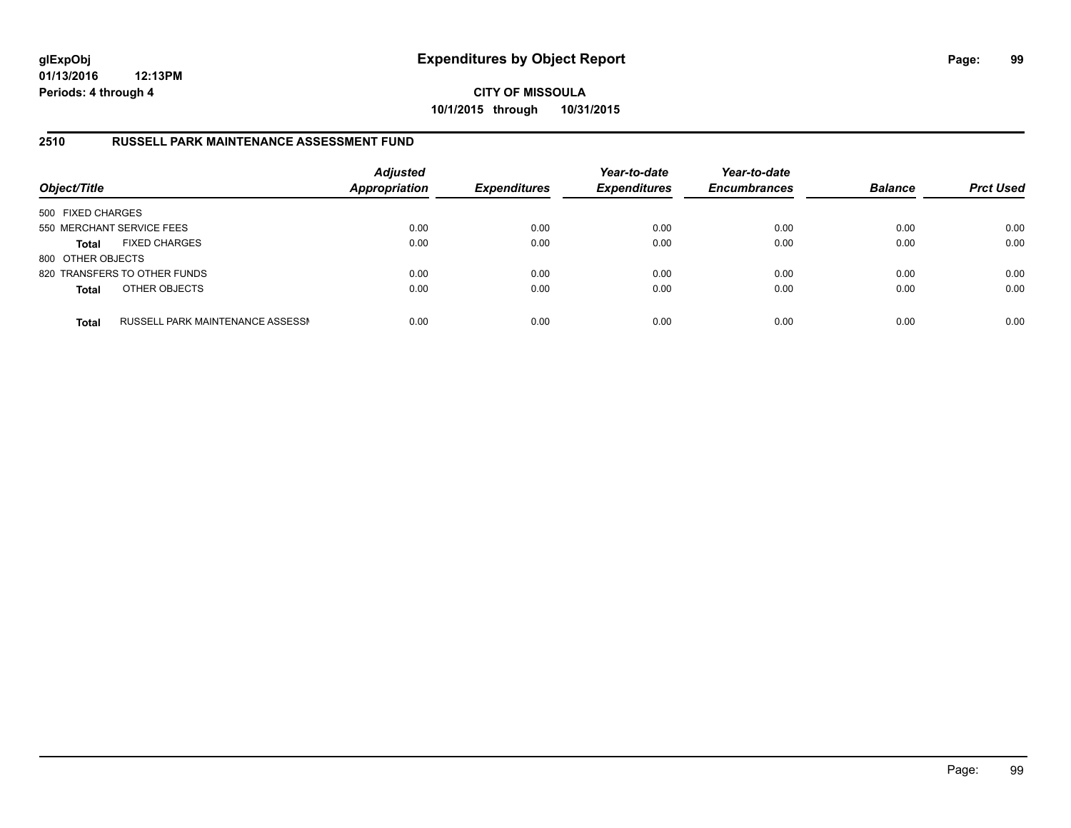**CITY OF MISSOULA 10/1/2015 through 10/31/2015**

## **2510 RUSSELL PARK MAINTENANCE ASSESSMENT FUND**

| Object/Title              |                                  | <b>Adjusted</b><br><b>Appropriation</b> | <b>Expenditures</b> | Year-to-date<br><b>Expenditures</b> | Year-to-date<br><b>Encumbrances</b> | <b>Balance</b> | <b>Prct Used</b> |
|---------------------------|----------------------------------|-----------------------------------------|---------------------|-------------------------------------|-------------------------------------|----------------|------------------|
| 500 FIXED CHARGES         |                                  |                                         |                     |                                     |                                     |                |                  |
| 550 MERCHANT SERVICE FEES |                                  | 0.00                                    | 0.00                | 0.00                                | 0.00                                | 0.00           | 0.00             |
| <b>Total</b>              | <b>FIXED CHARGES</b>             | 0.00                                    | 0.00                | 0.00                                | 0.00                                | 0.00           | 0.00             |
| 800 OTHER OBJECTS         |                                  |                                         |                     |                                     |                                     |                |                  |
|                           | 820 TRANSFERS TO OTHER FUNDS     | 0.00                                    | 0.00                | 0.00                                | 0.00                                | 0.00           | 0.00             |
| <b>Total</b>              | OTHER OBJECTS                    | 0.00                                    | 0.00                | 0.00                                | 0.00                                | 0.00           | 0.00             |
| <b>Total</b>              | RUSSELL PARK MAINTENANCE ASSESSM | 0.00                                    | 0.00                | 0.00                                | 0.00                                | 0.00           | 0.00             |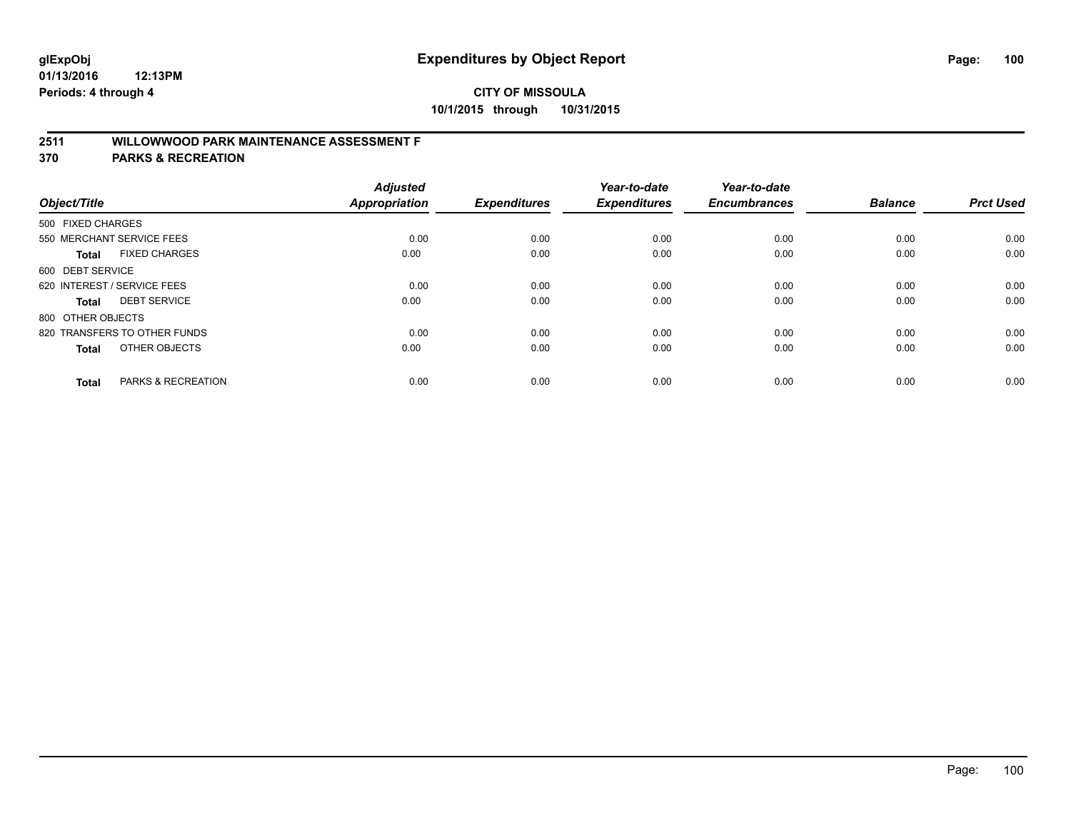# **2511 WILLOWWOOD PARK MAINTENANCE ASSESSMENT F**

**370 PARKS & RECREATION**

| Object/Title                |                               | <b>Adjusted</b><br><b>Appropriation</b> | <b>Expenditures</b> | Year-to-date<br><b>Expenditures</b> | Year-to-date<br><b>Encumbrances</b> | <b>Balance</b> | <b>Prct Used</b> |
|-----------------------------|-------------------------------|-----------------------------------------|---------------------|-------------------------------------|-------------------------------------|----------------|------------------|
| 500 FIXED CHARGES           |                               |                                         |                     |                                     |                                     |                |                  |
|                             | 550 MERCHANT SERVICE FEES     | 0.00                                    | 0.00                | 0.00                                | 0.00                                | 0.00           | 0.00             |
| <b>Total</b>                | <b>FIXED CHARGES</b>          | 0.00                                    | 0.00                | 0.00                                | 0.00                                | 0.00           | 0.00             |
| 600 DEBT SERVICE            |                               |                                         |                     |                                     |                                     |                |                  |
| 620 INTEREST / SERVICE FEES |                               | 0.00                                    | 0.00                | 0.00                                | 0.00                                | 0.00           | 0.00             |
| Total                       | <b>DEBT SERVICE</b>           | 0.00                                    | 0.00                | 0.00                                | 0.00                                | 0.00           | 0.00             |
| 800 OTHER OBJECTS           |                               |                                         |                     |                                     |                                     |                |                  |
|                             | 820 TRANSFERS TO OTHER FUNDS  | 0.00                                    | 0.00                | 0.00                                | 0.00                                | 0.00           | 0.00             |
| Total                       | OTHER OBJECTS                 | 0.00                                    | 0.00                | 0.00                                | 0.00                                | 0.00           | 0.00             |
|                             |                               |                                         |                     |                                     |                                     |                |                  |
| <b>Total</b>                | <b>PARKS &amp; RECREATION</b> | 0.00                                    | 0.00                | 0.00                                | 0.00                                | 0.00           | 0.00             |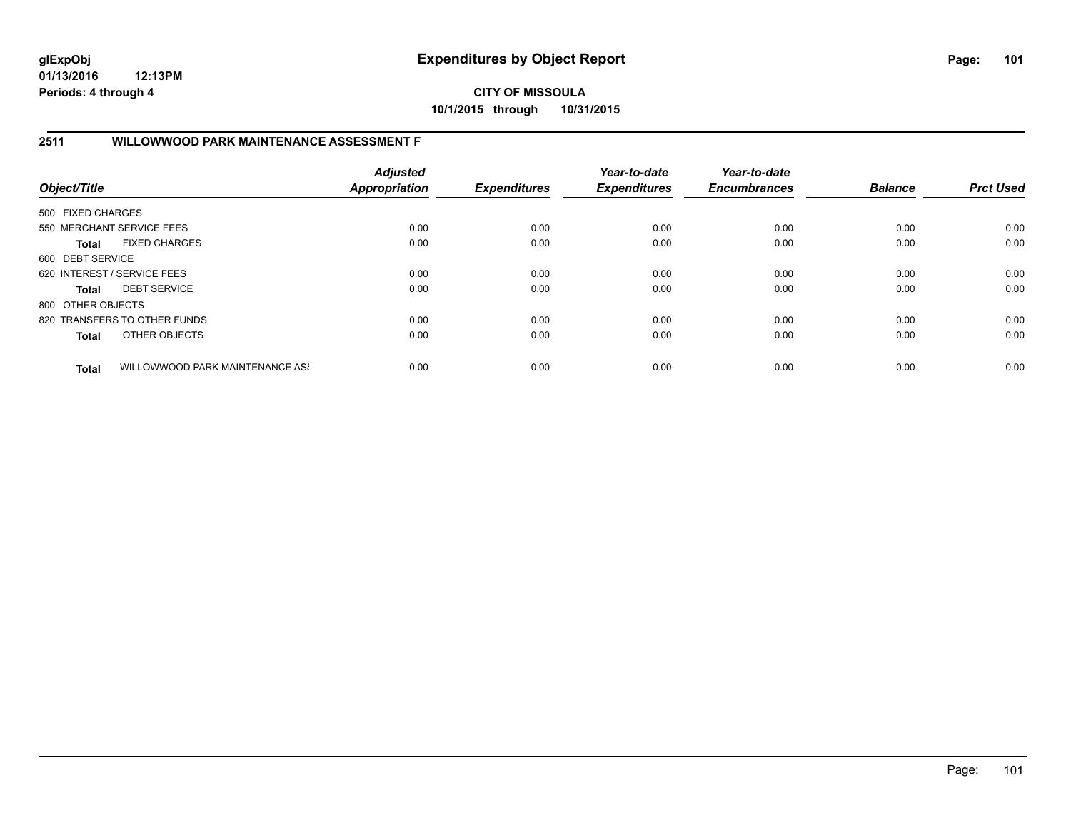# **CITY OF MISSOULA 10/1/2015 through 10/31/2015**

## **2511 WILLOWWOOD PARK MAINTENANCE ASSESSMENT F**

| Object/Title                |                                 | <b>Adjusted</b><br><b>Appropriation</b> | <b>Expenditures</b> | Year-to-date<br><b>Expenditures</b> | Year-to-date<br><b>Encumbrances</b> | <b>Balance</b> | <b>Prct Used</b> |
|-----------------------------|---------------------------------|-----------------------------------------|---------------------|-------------------------------------|-------------------------------------|----------------|------------------|
| 500 FIXED CHARGES           |                                 |                                         |                     |                                     |                                     |                |                  |
|                             | 550 MERCHANT SERVICE FEES       | 0.00                                    | 0.00                | 0.00                                | 0.00                                | 0.00           | 0.00             |
| <b>Total</b>                | <b>FIXED CHARGES</b>            | 0.00                                    | 0.00                | 0.00                                | 0.00                                | 0.00           | 0.00             |
| 600 DEBT SERVICE            |                                 |                                         |                     |                                     |                                     |                |                  |
| 620 INTEREST / SERVICE FEES |                                 | 0.00                                    | 0.00                | 0.00                                | 0.00                                | 0.00           | 0.00             |
| <b>Total</b>                | <b>DEBT SERVICE</b>             | 0.00                                    | 0.00                | 0.00                                | 0.00                                | 0.00           | 0.00             |
| 800 OTHER OBJECTS           |                                 |                                         |                     |                                     |                                     |                |                  |
|                             | 820 TRANSFERS TO OTHER FUNDS    | 0.00                                    | 0.00                | 0.00                                | 0.00                                | 0.00           | 0.00             |
| <b>Total</b>                | OTHER OBJECTS                   | 0.00                                    | 0.00                | 0.00                                | 0.00                                | 0.00           | 0.00             |
| <b>Total</b>                | WILLOWWOOD PARK MAINTENANCE ASS | 0.00                                    | 0.00                | 0.00                                | 0.00                                | 0.00           | 0.00             |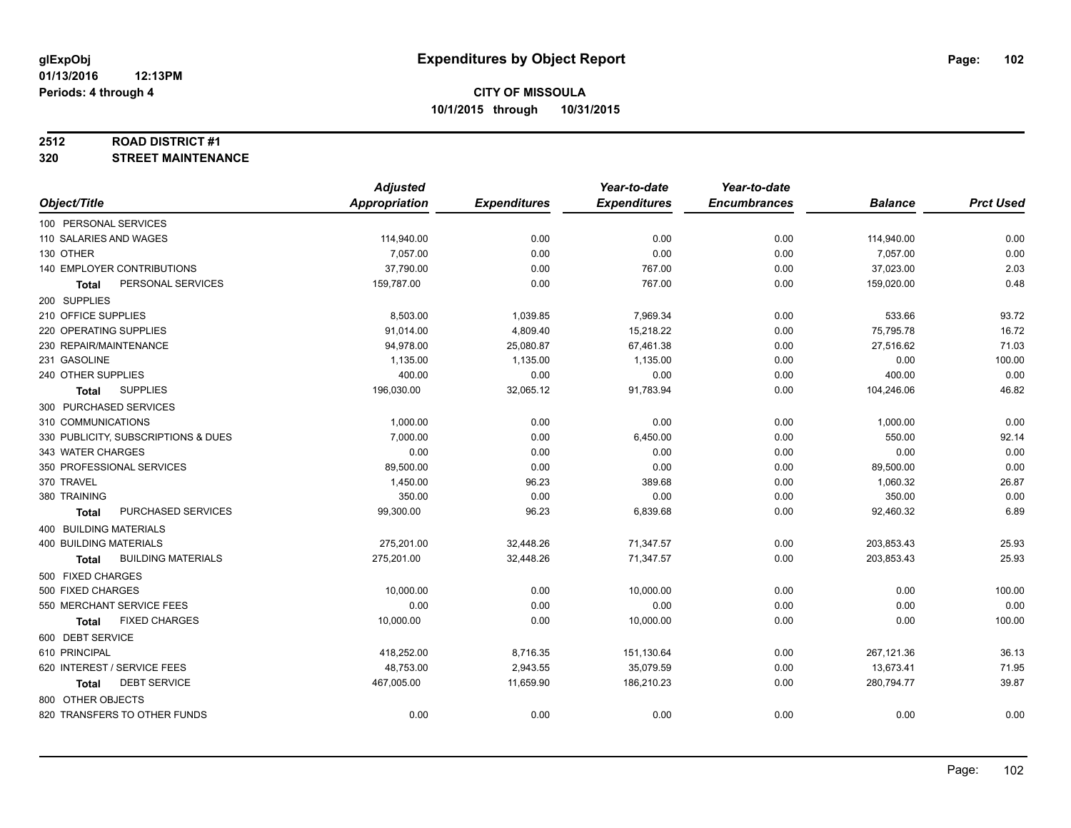#### **2512 ROAD DISTRICT #1**

**320 STREET MAINTENANCE**

|                                           | <b>Adjusted</b>      |                     | Year-to-date        | Year-to-date        |                |                  |
|-------------------------------------------|----------------------|---------------------|---------------------|---------------------|----------------|------------------|
| Object/Title                              | <b>Appropriation</b> | <b>Expenditures</b> | <b>Expenditures</b> | <b>Encumbrances</b> | <b>Balance</b> | <b>Prct Used</b> |
| 100 PERSONAL SERVICES                     |                      |                     |                     |                     |                |                  |
| 110 SALARIES AND WAGES                    | 114,940.00           | 0.00                | 0.00                | 0.00                | 114,940.00     | 0.00             |
| 130 OTHER                                 | 7,057.00             | 0.00                | 0.00                | 0.00                | 7,057.00       | 0.00             |
| 140 EMPLOYER CONTRIBUTIONS                | 37,790.00            | 0.00                | 767.00              | 0.00                | 37,023.00      | 2.03             |
| PERSONAL SERVICES<br><b>Total</b>         | 159,787.00           | 0.00                | 767.00              | 0.00                | 159,020.00     | 0.48             |
| 200 SUPPLIES                              |                      |                     |                     |                     |                |                  |
| 210 OFFICE SUPPLIES                       | 8,503.00             | 1,039.85            | 7,969.34            | 0.00                | 533.66         | 93.72            |
| 220 OPERATING SUPPLIES                    | 91,014.00            | 4,809.40            | 15,218.22           | 0.00                | 75,795.78      | 16.72            |
| 230 REPAIR/MAINTENANCE                    | 94,978.00            | 25,080.87           | 67,461.38           | 0.00                | 27,516.62      | 71.03            |
| 231 GASOLINE                              | 1,135.00             | 1,135.00            | 1,135.00            | 0.00                | 0.00           | 100.00           |
| 240 OTHER SUPPLIES                        | 400.00               | 0.00                | 0.00                | 0.00                | 400.00         | 0.00             |
| <b>SUPPLIES</b><br>Total                  | 196,030.00           | 32,065.12           | 91,783.94           | 0.00                | 104,246.06     | 46.82            |
| 300 PURCHASED SERVICES                    |                      |                     |                     |                     |                |                  |
| 310 COMMUNICATIONS                        | 1,000.00             | 0.00                | 0.00                | 0.00                | 1,000.00       | 0.00             |
| 330 PUBLICITY, SUBSCRIPTIONS & DUES       | 7,000.00             | 0.00                | 6,450.00            | 0.00                | 550.00         | 92.14            |
| 343 WATER CHARGES                         | 0.00                 | 0.00                | 0.00                | 0.00                | 0.00           | 0.00             |
| 350 PROFESSIONAL SERVICES                 | 89,500.00            | 0.00                | 0.00                | 0.00                | 89,500.00      | 0.00             |
| 370 TRAVEL                                | 1,450.00             | 96.23               | 389.68              | 0.00                | 1,060.32       | 26.87            |
| 380 TRAINING                              | 350.00               | 0.00                | 0.00                | 0.00                | 350.00         | 0.00             |
| PURCHASED SERVICES<br><b>Total</b>        | 99,300.00            | 96.23               | 6,839.68            | 0.00                | 92,460.32      | 6.89             |
| 400 BUILDING MATERIALS                    |                      |                     |                     |                     |                |                  |
| <b>400 BUILDING MATERIALS</b>             | 275,201.00           | 32,448.26           | 71,347.57           | 0.00                | 203,853.43     | 25.93            |
| <b>BUILDING MATERIALS</b><br><b>Total</b> | 275,201.00           | 32,448.26           | 71,347.57           | 0.00                | 203,853.43     | 25.93            |
| 500 FIXED CHARGES                         |                      |                     |                     |                     |                |                  |
| 500 FIXED CHARGES                         | 10,000.00            | 0.00                | 10,000.00           | 0.00                | 0.00           | 100.00           |
| 550 MERCHANT SERVICE FEES                 | 0.00                 | 0.00                | 0.00                | 0.00                | 0.00           | 0.00             |
| <b>FIXED CHARGES</b><br><b>Total</b>      | 10,000.00            | 0.00                | 10,000.00           | 0.00                | 0.00           | 100.00           |
| 600 DEBT SERVICE                          |                      |                     |                     |                     |                |                  |
| 610 PRINCIPAL                             | 418,252.00           | 8,716.35            | 151,130.64          | 0.00                | 267,121.36     | 36.13            |
| 620 INTEREST / SERVICE FEES               | 48,753.00            | 2,943.55            | 35,079.59           | 0.00                | 13,673.41      | 71.95            |
| <b>DEBT SERVICE</b><br>Total              | 467,005.00           | 11,659.90           | 186,210.23          | 0.00                | 280,794.77     | 39.87            |
| 800 OTHER OBJECTS                         |                      |                     |                     |                     |                |                  |
| 820 TRANSFERS TO OTHER FUNDS              | 0.00                 | 0.00                | 0.00                | 0.00                | 0.00           | 0.00             |
|                                           |                      |                     |                     |                     |                |                  |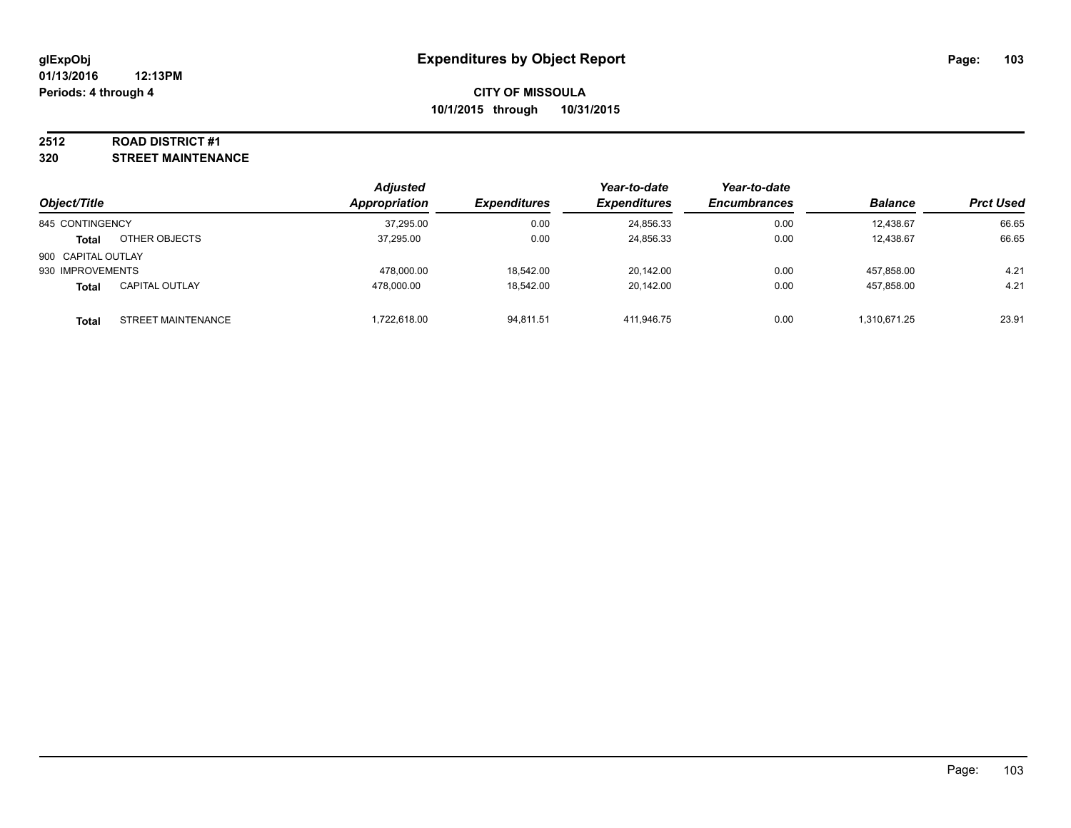### **2512 ROAD DISTRICT #1**

**320 STREET MAINTENANCE**

|                    |                       | <b>Adjusted</b> |                     | Year-to-date        | Year-to-date        |                |                  |
|--------------------|-----------------------|-----------------|---------------------|---------------------|---------------------|----------------|------------------|
| Object/Title       |                       | Appropriation   | <b>Expenditures</b> | <b>Expenditures</b> | <b>Encumbrances</b> | <b>Balance</b> | <b>Prct Used</b> |
| 845 CONTINGENCY    |                       | 37,295.00       | 0.00                | 24,856.33           | 0.00                | 12,438.67      | 66.65            |
| Total              | OTHER OBJECTS         | 37.295.00       | 0.00                | 24,856.33           | 0.00                | 12,438.67      | 66.65            |
| 900 CAPITAL OUTLAY |                       |                 |                     |                     |                     |                |                  |
| 930 IMPROVEMENTS   |                       | 478.000.00      | 18.542.00           | 20.142.00           | 0.00                | 457.858.00     | 4.21             |
| <b>Total</b>       | <b>CAPITAL OUTLAY</b> | 478.000.00      | 18.542.00           | 20.142.00           | 0.00                | 457.858.00     | 4.21             |
| Total              | STREET MAINTENANCE    | .722.618.00     | 94,811.51           | 411.946.75          | 0.00                | 1,310,671.25   | 23.91            |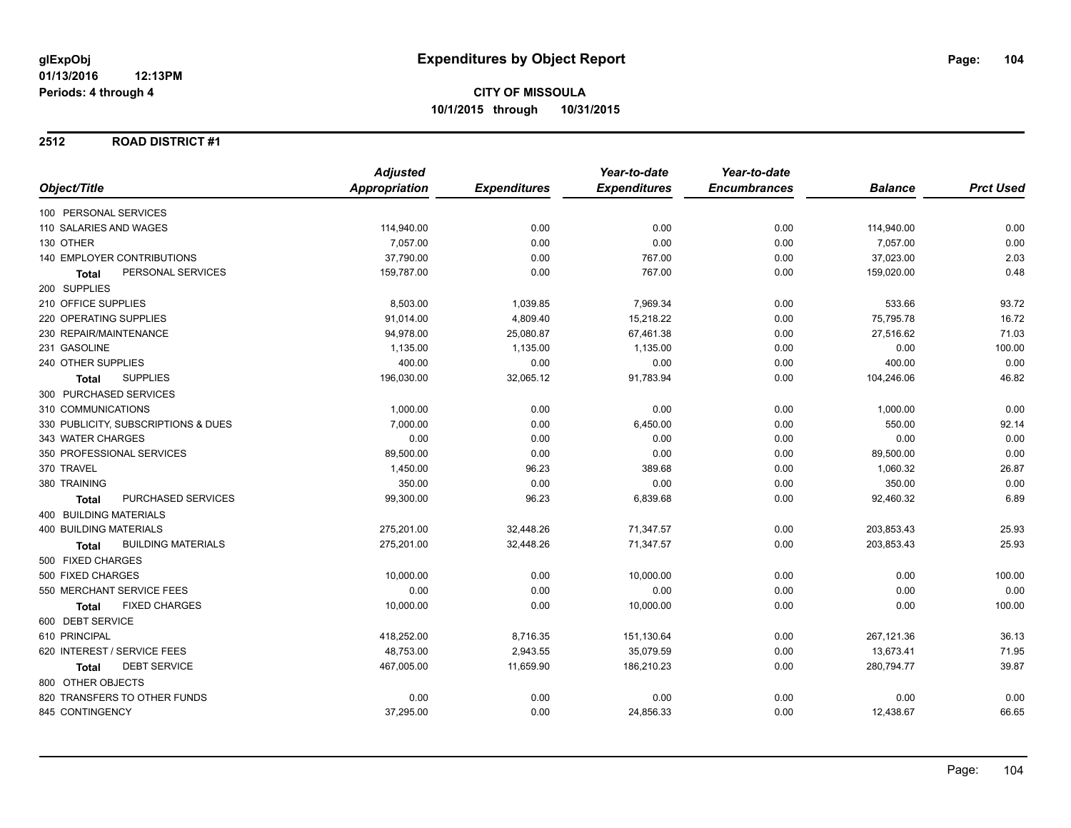### **2512 ROAD DISTRICT #1**

|                                           | <b>Adjusted</b> |                     | Year-to-date        | Year-to-date        |                |                  |
|-------------------------------------------|-----------------|---------------------|---------------------|---------------------|----------------|------------------|
| Object/Title                              | Appropriation   | <b>Expenditures</b> | <b>Expenditures</b> | <b>Encumbrances</b> | <b>Balance</b> | <b>Prct Used</b> |
| 100 PERSONAL SERVICES                     |                 |                     |                     |                     |                |                  |
| 110 SALARIES AND WAGES                    | 114,940.00      | 0.00                | 0.00                | 0.00                | 114,940.00     | 0.00             |
| 130 OTHER                                 | 7,057.00        | 0.00                | 0.00                | 0.00                | 7,057.00       | 0.00             |
| <b>140 EMPLOYER CONTRIBUTIONS</b>         | 37,790.00       | 0.00                | 767.00              | 0.00                | 37,023.00      | 2.03             |
| PERSONAL SERVICES<br>Total                | 159,787.00      | 0.00                | 767.00              | 0.00                | 159,020.00     | 0.48             |
| 200 SUPPLIES                              |                 |                     |                     |                     |                |                  |
| 210 OFFICE SUPPLIES                       | 8,503.00        | 1,039.85            | 7,969.34            | 0.00                | 533.66         | 93.72            |
| 220 OPERATING SUPPLIES                    | 91,014.00       | 4,809.40            | 15,218.22           | 0.00                | 75,795.78      | 16.72            |
| 230 REPAIR/MAINTENANCE                    | 94,978.00       | 25,080.87           | 67,461.38           | 0.00                | 27,516.62      | 71.03            |
| 231 GASOLINE                              | 1,135.00        | 1,135.00            | 1,135.00            | 0.00                | 0.00           | 100.00           |
| 240 OTHER SUPPLIES                        | 400.00          | 0.00                | 0.00                | 0.00                | 400.00         | 0.00             |
| <b>SUPPLIES</b><br><b>Total</b>           | 196,030.00      | 32,065.12           | 91,783.94           | 0.00                | 104,246.06     | 46.82            |
| 300 PURCHASED SERVICES                    |                 |                     |                     |                     |                |                  |
| 310 COMMUNICATIONS                        | 1,000.00        | 0.00                | 0.00                | 0.00                | 1,000.00       | 0.00             |
| 330 PUBLICITY, SUBSCRIPTIONS & DUES       | 7.000.00        | 0.00                | 6,450.00            | 0.00                | 550.00         | 92.14            |
| 343 WATER CHARGES                         | 0.00            | 0.00                | 0.00                | 0.00                | 0.00           | 0.00             |
| 350 PROFESSIONAL SERVICES                 | 89,500.00       | 0.00                | 0.00                | 0.00                | 89,500.00      | 0.00             |
| 370 TRAVEL                                | 1,450.00        | 96.23               | 389.68              | 0.00                | 1,060.32       | 26.87            |
| 380 TRAINING                              | 350.00          | 0.00                | 0.00                | 0.00                | 350.00         | 0.00             |
| PURCHASED SERVICES<br><b>Total</b>        | 99,300.00       | 96.23               | 6,839.68            | 0.00                | 92,460.32      | 6.89             |
| <b>400 BUILDING MATERIALS</b>             |                 |                     |                     |                     |                |                  |
| <b>400 BUILDING MATERIALS</b>             | 275,201.00      | 32,448.26           | 71,347.57           | 0.00                | 203,853.43     | 25.93            |
| <b>BUILDING MATERIALS</b><br><b>Total</b> | 275,201.00      | 32,448.26           | 71,347.57           | 0.00                | 203,853.43     | 25.93            |
| 500 FIXED CHARGES                         |                 |                     |                     |                     |                |                  |
| 500 FIXED CHARGES                         | 10,000.00       | 0.00                | 10,000.00           | 0.00                | 0.00           | 100.00           |
| 550 MERCHANT SERVICE FEES                 | 0.00            | 0.00                | 0.00                | 0.00                | 0.00           | 0.00             |
| <b>FIXED CHARGES</b><br>Total             | 10,000.00       | 0.00                | 10,000.00           | 0.00                | 0.00           | 100.00           |
| 600 DEBT SERVICE                          |                 |                     |                     |                     |                |                  |
| 610 PRINCIPAL                             | 418,252.00      | 8,716.35            | 151,130.64          | 0.00                | 267,121.36     | 36.13            |
| 620 INTEREST / SERVICE FEES               | 48,753.00       | 2,943.55            | 35,079.59           | 0.00                | 13,673.41      | 71.95            |
| <b>DEBT SERVICE</b><br>Total              | 467,005.00      | 11,659.90           | 186,210.23          | 0.00                | 280,794.77     | 39.87            |
| 800 OTHER OBJECTS                         |                 |                     |                     |                     |                |                  |
| 820 TRANSFERS TO OTHER FUNDS              | 0.00            | 0.00                | 0.00                | 0.00                | 0.00           | 0.00             |
| 845 CONTINGENCY                           | 37,295.00       | 0.00                | 24,856.33           | 0.00                | 12,438.67      | 66.65            |
|                                           |                 |                     |                     |                     |                |                  |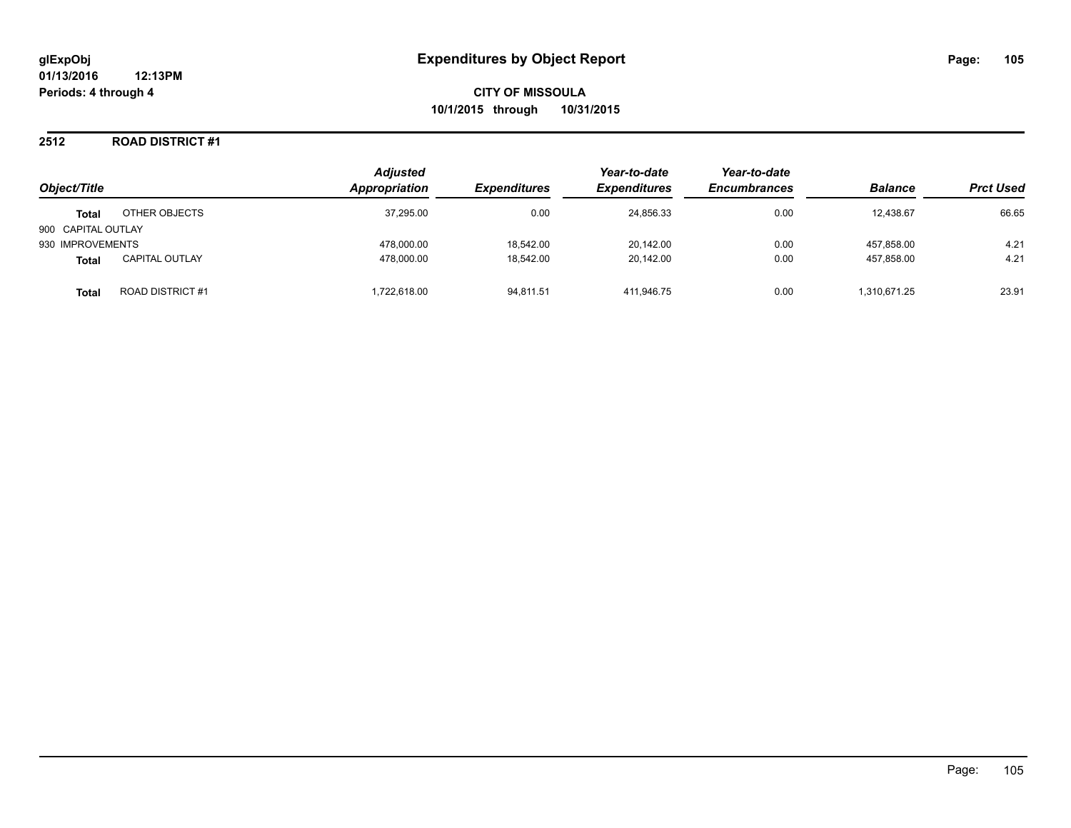### **2512 ROAD DISTRICT #1**

| Object/Title       |                       | <b>Adjusted</b><br>Appropriation | <b>Expenditures</b> | Year-to-date<br><b>Expenditures</b> | Year-to-date<br><b>Encumbrances</b> | <b>Balance</b> | <b>Prct Used</b> |
|--------------------|-----------------------|----------------------------------|---------------------|-------------------------------------|-------------------------------------|----------------|------------------|
| <b>Total</b>       | OTHER OBJECTS         | 37,295.00                        | 0.00                | 24,856.33                           | 0.00                                | 12,438.67      | 66.65            |
| 900 CAPITAL OUTLAY |                       |                                  |                     |                                     |                                     |                |                  |
| 930 IMPROVEMENTS   |                       | 478.000.00                       | 18.542.00           | 20.142.00                           | 0.00                                | 457.858.00     | 4.21             |
| <b>Total</b>       | <b>CAPITAL OUTLAY</b> | 478.000.00                       | 18.542.00           | 20.142.00                           | 0.00                                | 457.858.00     | 4.21             |
| <b>Total</b>       | ROAD DISTRICT #1      | 1.722.618.00                     | 94,811.51           | 411.946.75                          | 0.00                                | 1,310,671.25   | 23.91            |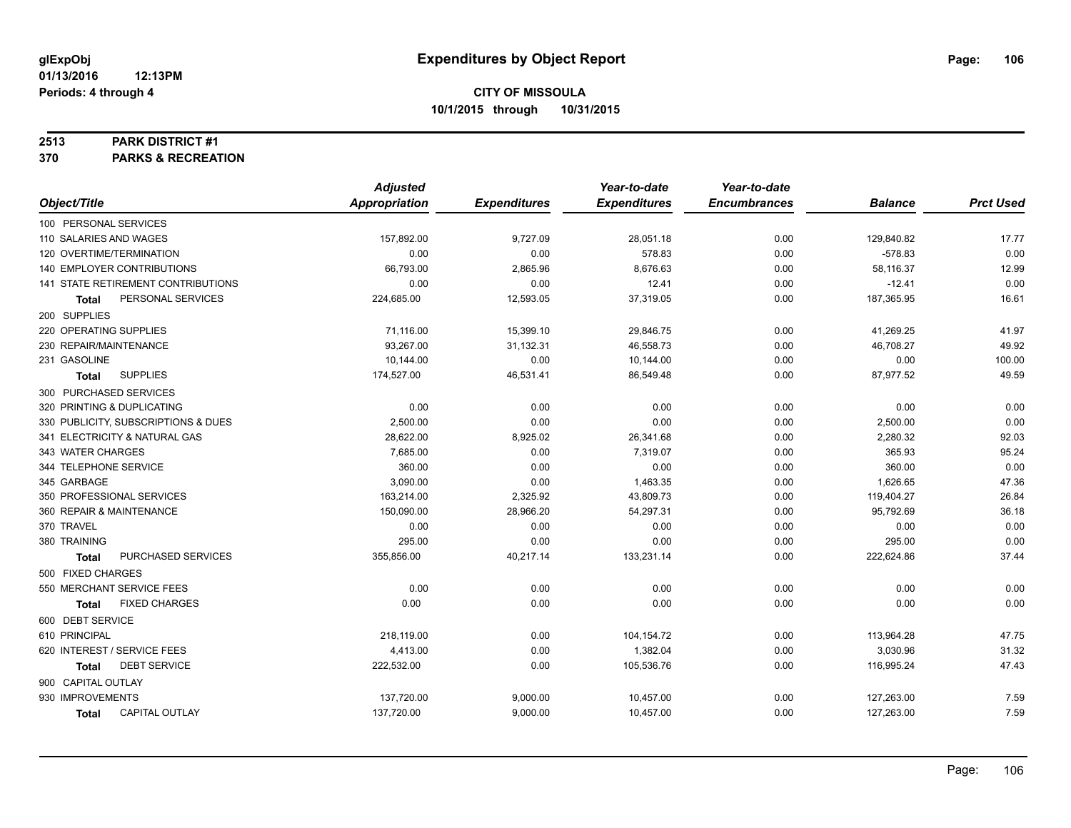#### **2513 PARK DISTRICT #1**

**370 PARKS & RECREATION**

|                                       | <b>Adjusted</b>      |                     | Year-to-date        | Year-to-date        |                |                  |
|---------------------------------------|----------------------|---------------------|---------------------|---------------------|----------------|------------------|
| Object/Title                          | <b>Appropriation</b> | <b>Expenditures</b> | <b>Expenditures</b> | <b>Encumbrances</b> | <b>Balance</b> | <b>Prct Used</b> |
| 100 PERSONAL SERVICES                 |                      |                     |                     |                     |                |                  |
| 110 SALARIES AND WAGES                | 157,892.00           | 9,727.09            | 28,051.18           | 0.00                | 129,840.82     | 17.77            |
| 120 OVERTIME/TERMINATION              | 0.00                 | 0.00                | 578.83              | 0.00                | $-578.83$      | 0.00             |
| 140 EMPLOYER CONTRIBUTIONS            | 66,793.00            | 2,865.96            | 8,676.63            | 0.00                | 58,116.37      | 12.99            |
| 141 STATE RETIREMENT CONTRIBUTIONS    | 0.00                 | 0.00                | 12.41               | 0.00                | $-12.41$       | 0.00             |
| PERSONAL SERVICES<br><b>Total</b>     | 224,685.00           | 12,593.05           | 37,319.05           | 0.00                | 187,365.95     | 16.61            |
| 200 SUPPLIES                          |                      |                     |                     |                     |                |                  |
| 220 OPERATING SUPPLIES                | 71,116.00            | 15,399.10           | 29,846.75           | 0.00                | 41,269.25      | 41.97            |
| 230 REPAIR/MAINTENANCE                | 93,267.00            | 31,132.31           | 46,558.73           | 0.00                | 46,708.27      | 49.92            |
| 231 GASOLINE                          | 10,144.00            | 0.00                | 10,144.00           | 0.00                | 0.00           | 100.00           |
| <b>SUPPLIES</b><br>Total              | 174,527.00           | 46,531.41           | 86,549.48           | 0.00                | 87,977.52      | 49.59            |
| 300 PURCHASED SERVICES                |                      |                     |                     |                     |                |                  |
| 320 PRINTING & DUPLICATING            | 0.00                 | 0.00                | 0.00                | 0.00                | 0.00           | 0.00             |
| 330 PUBLICITY, SUBSCRIPTIONS & DUES   | 2,500.00             | 0.00                | 0.00                | 0.00                | 2,500.00       | 0.00             |
| 341 ELECTRICITY & NATURAL GAS         | 28,622.00            | 8,925.02            | 26,341.68           | 0.00                | 2,280.32       | 92.03            |
| 343 WATER CHARGES                     | 7,685.00             | 0.00                | 7,319.07            | 0.00                | 365.93         | 95.24            |
| 344 TELEPHONE SERVICE                 | 360.00               | 0.00                | 0.00                | 0.00                | 360.00         | 0.00             |
| 345 GARBAGE                           | 3,090.00             | 0.00                | 1,463.35            | 0.00                | 1,626.65       | 47.36            |
| 350 PROFESSIONAL SERVICES             | 163,214.00           | 2,325.92            | 43,809.73           | 0.00                | 119,404.27     | 26.84            |
| 360 REPAIR & MAINTENANCE              | 150,090.00           | 28,966.20           | 54,297.31           | 0.00                | 95,792.69      | 36.18            |
| 370 TRAVEL                            | 0.00                 | 0.00                | 0.00                | 0.00                | 0.00           | 0.00             |
| 380 TRAINING                          | 295.00               | 0.00                | 0.00                | 0.00                | 295.00         | 0.00             |
| PURCHASED SERVICES<br><b>Total</b>    | 355,856.00           | 40,217.14           | 133,231.14          | 0.00                | 222,624.86     | 37.44            |
| 500 FIXED CHARGES                     |                      |                     |                     |                     |                |                  |
| 550 MERCHANT SERVICE FEES             | 0.00                 | 0.00                | 0.00                | 0.00                | 0.00           | 0.00             |
| <b>FIXED CHARGES</b><br><b>Total</b>  | 0.00                 | 0.00                | 0.00                | 0.00                | 0.00           | 0.00             |
| 600 DEBT SERVICE                      |                      |                     |                     |                     |                |                  |
| 610 PRINCIPAL                         | 218,119.00           | 0.00                | 104,154.72          | 0.00                | 113,964.28     | 47.75            |
| 620 INTEREST / SERVICE FEES           | 4,413.00             | 0.00                | 1,382.04            | 0.00                | 3,030.96       | 31.32            |
| <b>DEBT SERVICE</b><br><b>Total</b>   | 222,532.00           | 0.00                | 105,536.76          | 0.00                | 116,995.24     | 47.43            |
| 900 CAPITAL OUTLAY                    |                      |                     |                     |                     |                |                  |
| 930 IMPROVEMENTS                      | 137,720.00           | 9,000.00            | 10,457.00           | 0.00                | 127,263.00     | 7.59             |
| <b>CAPITAL OUTLAY</b><br><b>Total</b> | 137,720.00           | 9,000.00            | 10,457.00           | 0.00                | 127,263.00     | 7.59             |
|                                       |                      |                     |                     |                     |                |                  |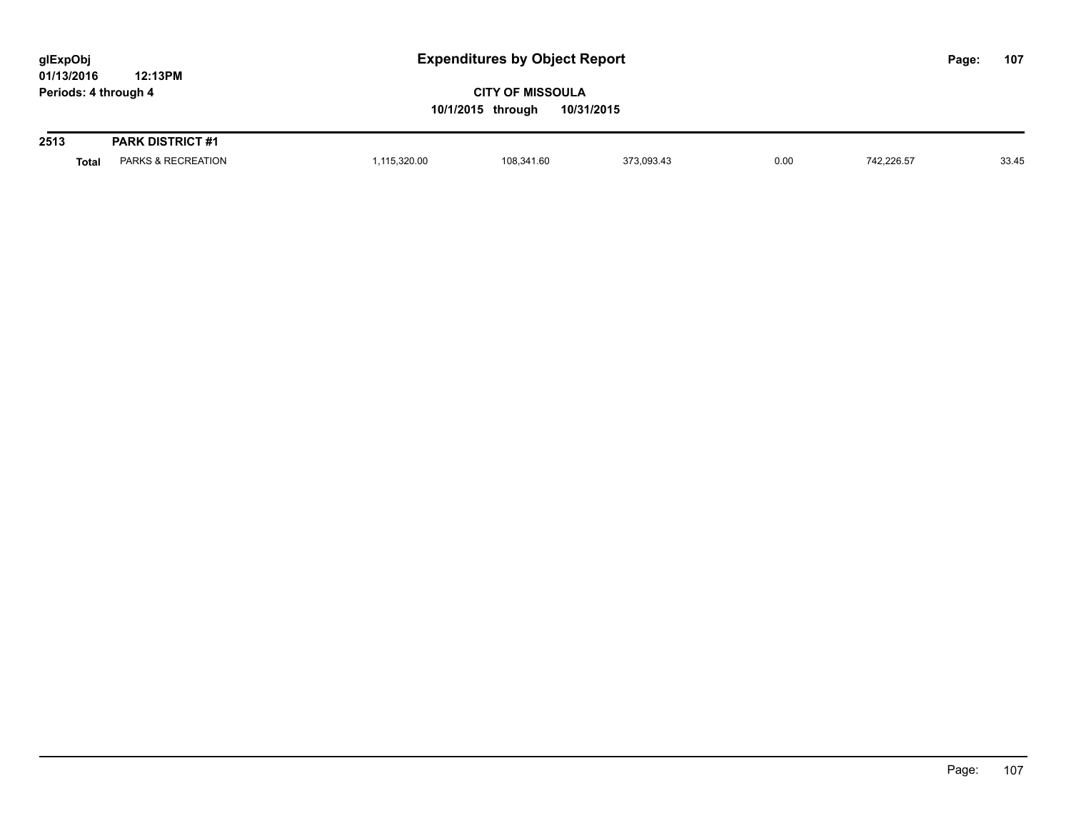| glExpObj             |         | <b>Expenditures by Object Report</b> | Page: | 107 |
|----------------------|---------|--------------------------------------|-------|-----|
| 01/13/2016           | 12:13PM |                                      |       |     |
| Periods: 4 through 4 |         | <b>CITY OF MISSOULA</b>              |       |     |
|                      |         | 10/31/2015<br>10/1/2015 through      |       |     |
|                      |         |                                      |       |     |

| 2513         | <b>PARK DISTRICT #1</b>     |                                                                |          |                     |      |                                                                                                                                                                                                                                                  |       |
|--------------|-----------------------------|----------------------------------------------------------------|----------|---------------------|------|--------------------------------------------------------------------------------------------------------------------------------------------------------------------------------------------------------------------------------------------------|-------|
| <b>Total</b> | <b>RECREATION</b><br>ARNO & | ,115,320.00<br>the contract of the contract of the contract of | 8,341.60 | 00010<br>373.093.43 | 0.00 | 742,226.57<br>$\mathcal{L}$ . The contract of the contract of the contract of the contract of the contract of the contract of the contract of the contract of the contract of the contract of the contract of the contract of the contract of th | 33.45 |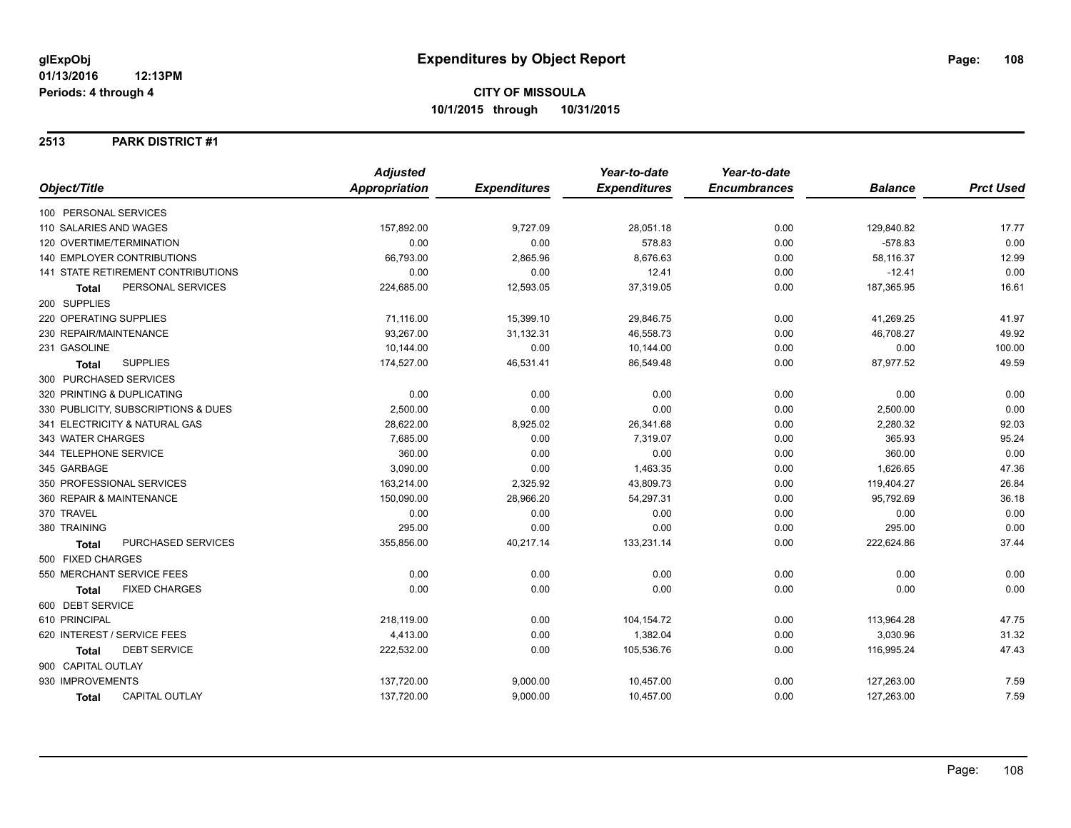### **2513 PARK DISTRICT #1**

| Object/Title                              | <b>Adjusted</b> |                     | Year-to-date        | Year-to-date        |                |                  |
|-------------------------------------------|-----------------|---------------------|---------------------|---------------------|----------------|------------------|
|                                           | Appropriation   | <b>Expenditures</b> | <b>Expenditures</b> | <b>Encumbrances</b> | <b>Balance</b> | <b>Prct Used</b> |
| 100 PERSONAL SERVICES                     |                 |                     |                     |                     |                |                  |
| 110 SALARIES AND WAGES                    | 157,892.00      | 9,727.09            | 28,051.18           | 0.00                | 129,840.82     | 17.77            |
| 120 OVERTIME/TERMINATION                  | 0.00            | 0.00                | 578.83              | 0.00                | $-578.83$      | 0.00             |
| <b>140 EMPLOYER CONTRIBUTIONS</b>         | 66,793.00       | 2,865.96            | 8,676.63            | 0.00                | 58,116.37      | 12.99            |
| 141 STATE RETIREMENT CONTRIBUTIONS        | 0.00            | 0.00                | 12.41               | 0.00                | $-12.41$       | 0.00             |
| PERSONAL SERVICES<br>Total                | 224,685.00      | 12,593.05           | 37,319.05           | 0.00                | 187,365.95     | 16.61            |
| 200 SUPPLIES                              |                 |                     |                     |                     |                |                  |
| 220 OPERATING SUPPLIES                    | 71,116.00       | 15,399.10           | 29,846.75           | 0.00                | 41,269.25      | 41.97            |
| 230 REPAIR/MAINTENANCE                    | 93,267.00       | 31,132.31           | 46,558.73           | 0.00                | 46,708.27      | 49.92            |
| 231 GASOLINE                              | 10,144.00       | 0.00                | 10,144.00           | 0.00                | 0.00           | 100.00           |
| <b>SUPPLIES</b><br><b>Total</b>           | 174,527.00      | 46,531.41           | 86,549.48           | 0.00                | 87,977.52      | 49.59            |
| 300 PURCHASED SERVICES                    |                 |                     |                     |                     |                |                  |
| 320 PRINTING & DUPLICATING                | 0.00            | 0.00                | 0.00                | 0.00                | 0.00           | 0.00             |
| 330 PUBLICITY, SUBSCRIPTIONS & DUES       | 2,500.00        | 0.00                | 0.00                | 0.00                | 2,500.00       | 0.00             |
| 341 ELECTRICITY & NATURAL GAS             | 28,622.00       | 8,925.02            | 26,341.68           | 0.00                | 2,280.32       | 92.03            |
| 343 WATER CHARGES                         | 7,685.00        | 0.00                | 7,319.07            | 0.00                | 365.93         | 95.24            |
| 344 TELEPHONE SERVICE                     | 360.00          | 0.00                | 0.00                | 0.00                | 360.00         | 0.00             |
| 345 GARBAGE                               | 3,090.00        | 0.00                | 1,463.35            | 0.00                | 1,626.65       | 47.36            |
| 350 PROFESSIONAL SERVICES                 | 163,214.00      | 2,325.92            | 43,809.73           | 0.00                | 119,404.27     | 26.84            |
| 360 REPAIR & MAINTENANCE                  | 150,090.00      | 28,966.20           | 54,297.31           | 0.00                | 95,792.69      | 36.18            |
| 370 TRAVEL                                | 0.00            | 0.00                | 0.00                | 0.00                | 0.00           | 0.00             |
| 380 TRAINING                              | 295.00          | 0.00                | 0.00                | 0.00                | 295.00         | 0.00             |
| <b>PURCHASED SERVICES</b><br><b>Total</b> | 355,856.00      | 40,217.14           | 133,231.14          | 0.00                | 222,624.86     | 37.44            |
| 500 FIXED CHARGES                         |                 |                     |                     |                     |                |                  |
| 550 MERCHANT SERVICE FEES                 | 0.00            | 0.00                | 0.00                | 0.00                | 0.00           | 0.00             |
| <b>FIXED CHARGES</b><br><b>Total</b>      | 0.00            | 0.00                | 0.00                | 0.00                | 0.00           | 0.00             |
| 600 DEBT SERVICE                          |                 |                     |                     |                     |                |                  |
| 610 PRINCIPAL                             | 218,119.00      | 0.00                | 104,154.72          | 0.00                | 113,964.28     | 47.75            |
| 620 INTEREST / SERVICE FEES               | 4,413.00        | 0.00                | 1,382.04            | 0.00                | 3,030.96       | 31.32            |
| <b>DEBT SERVICE</b><br>Total              | 222,532.00      | 0.00                | 105,536.76          | 0.00                | 116,995.24     | 47.43            |
| 900 CAPITAL OUTLAY                        |                 |                     |                     |                     |                |                  |
| 930 IMPROVEMENTS                          | 137,720.00      | 9,000.00            | 10,457.00           | 0.00                | 127,263.00     | 7.59             |
| <b>CAPITAL OUTLAY</b><br>Total            | 137,720.00      | 9,000.00            | 10,457.00           | 0.00                | 127,263.00     | 7.59             |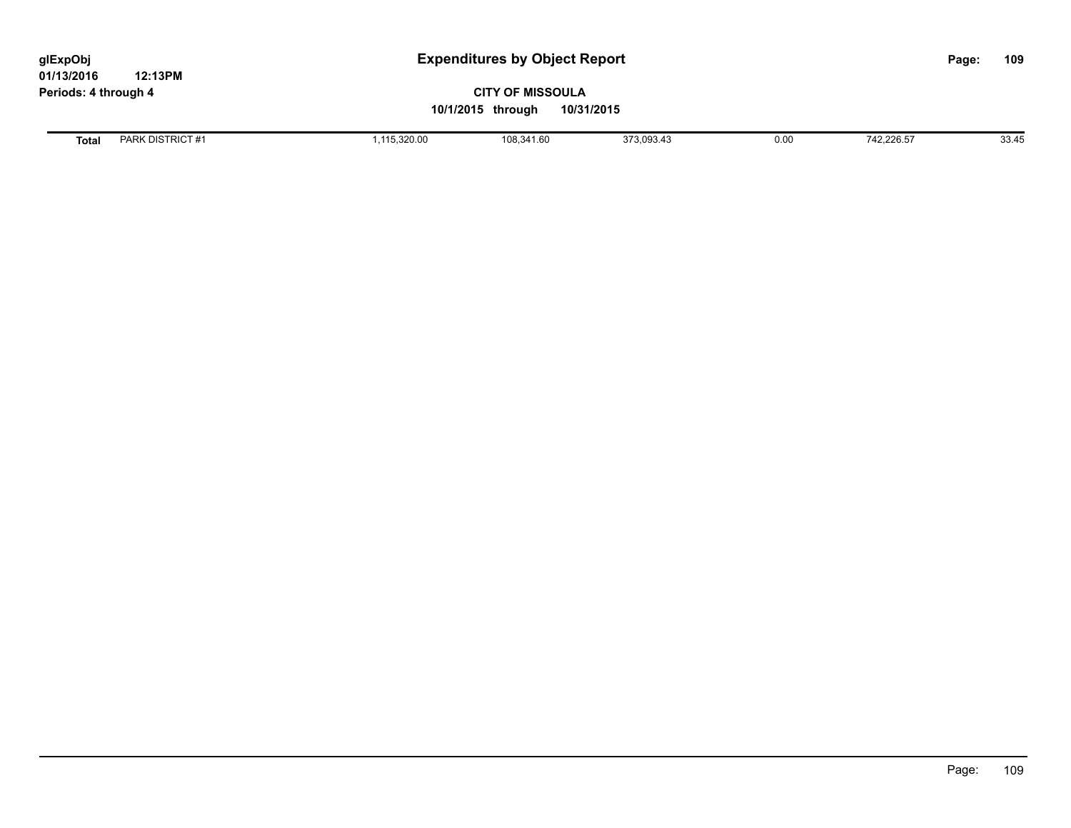| glExpObj<br>01/13/2016 | 12:13PM          | <b>Expenditures by Object Report</b>                       |            |            |      |            | Page: | 109   |
|------------------------|------------------|------------------------------------------------------------|------------|------------|------|------------|-------|-------|
| Periods: 4 through 4   |                  | <b>CITY OF MISSOULA</b><br>10/31/2015<br>10/1/2015 through |            |            |      |            |       |       |
| <b>Total</b>           | PARK DISTRICT #1 | 1,115,320.00                                               | 108,341.60 | 373,093.43 | 0.00 | 742.226.57 |       | 33.45 |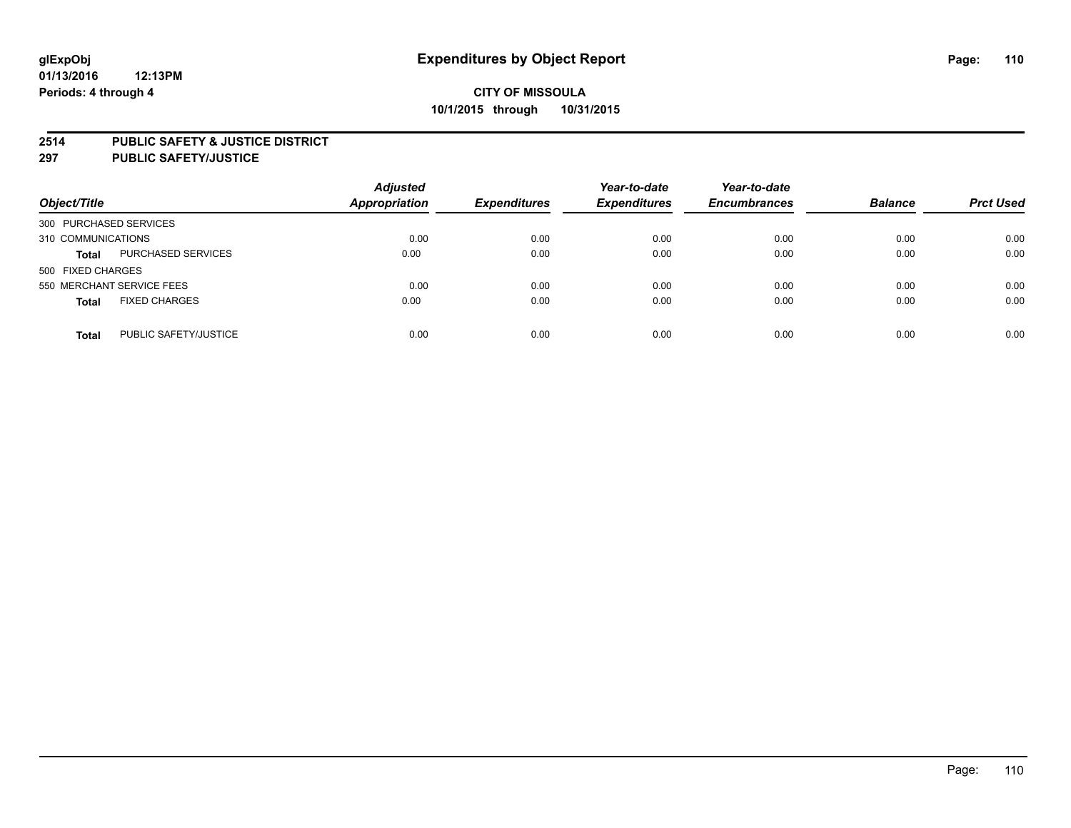### **2514 PUBLIC SAFETY & JUSTICE DISTRICT**

**297 PUBLIC SAFETY/JUSTICE**

| Object/Title                          | <b>Adjusted</b><br>Appropriation | <b>Expenditures</b> | Year-to-date<br><b>Expenditures</b> | Year-to-date<br><b>Encumbrances</b> | <b>Balance</b> | <b>Prct Used</b> |
|---------------------------------------|----------------------------------|---------------------|-------------------------------------|-------------------------------------|----------------|------------------|
| 300 PURCHASED SERVICES                |                                  |                     |                                     |                                     |                |                  |
| 310 COMMUNICATIONS                    | 0.00                             | 0.00                | 0.00                                | 0.00                                | 0.00           | 0.00             |
| PURCHASED SERVICES<br><b>Total</b>    | 0.00                             | 0.00                | 0.00                                | 0.00                                | 0.00           | 0.00             |
| 500 FIXED CHARGES                     |                                  |                     |                                     |                                     |                |                  |
| 550 MERCHANT SERVICE FEES             | 0.00                             | 0.00                | 0.00                                | 0.00                                | 0.00           | 0.00             |
| <b>FIXED CHARGES</b><br><b>Total</b>  | 0.00                             | 0.00                | 0.00                                | 0.00                                | 0.00           | 0.00             |
| PUBLIC SAFETY/JUSTICE<br><b>Total</b> | 0.00                             | 0.00                | 0.00                                | 0.00                                | 0.00           | 0.00             |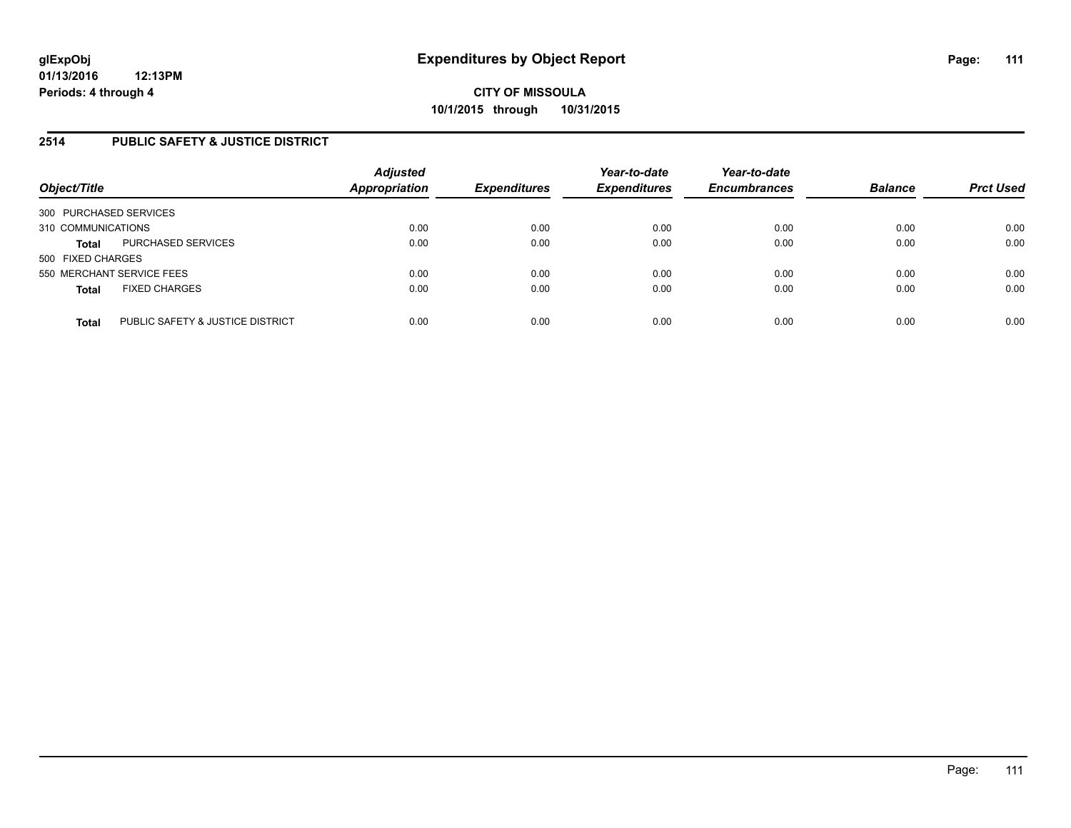### **2514 PUBLIC SAFETY & JUSTICE DISTRICT**

| Object/Title                                     | <b>Adjusted</b><br><b>Appropriation</b> | <b>Expenditures</b> | Year-to-date<br><b>Expenditures</b> | Year-to-date<br><b>Encumbrances</b> | <b>Balance</b> | <b>Prct Used</b> |
|--------------------------------------------------|-----------------------------------------|---------------------|-------------------------------------|-------------------------------------|----------------|------------------|
| 300 PURCHASED SERVICES                           |                                         |                     |                                     |                                     |                |                  |
| 310 COMMUNICATIONS                               | 0.00                                    | 0.00                | 0.00                                | 0.00                                | 0.00           | 0.00             |
| PURCHASED SERVICES<br><b>Total</b>               | 0.00                                    | 0.00                | 0.00                                | 0.00                                | 0.00           | 0.00             |
| 500 FIXED CHARGES                                |                                         |                     |                                     |                                     |                |                  |
| 550 MERCHANT SERVICE FEES                        | 0.00                                    | 0.00                | 0.00                                | 0.00                                | 0.00           | 0.00             |
| <b>FIXED CHARGES</b><br><b>Total</b>             | 0.00                                    | 0.00                | 0.00                                | 0.00                                | 0.00           | 0.00             |
| PUBLIC SAFETY & JUSTICE DISTRICT<br><b>Total</b> | 0.00                                    | 0.00                | 0.00                                | 0.00                                | 0.00           | 0.00             |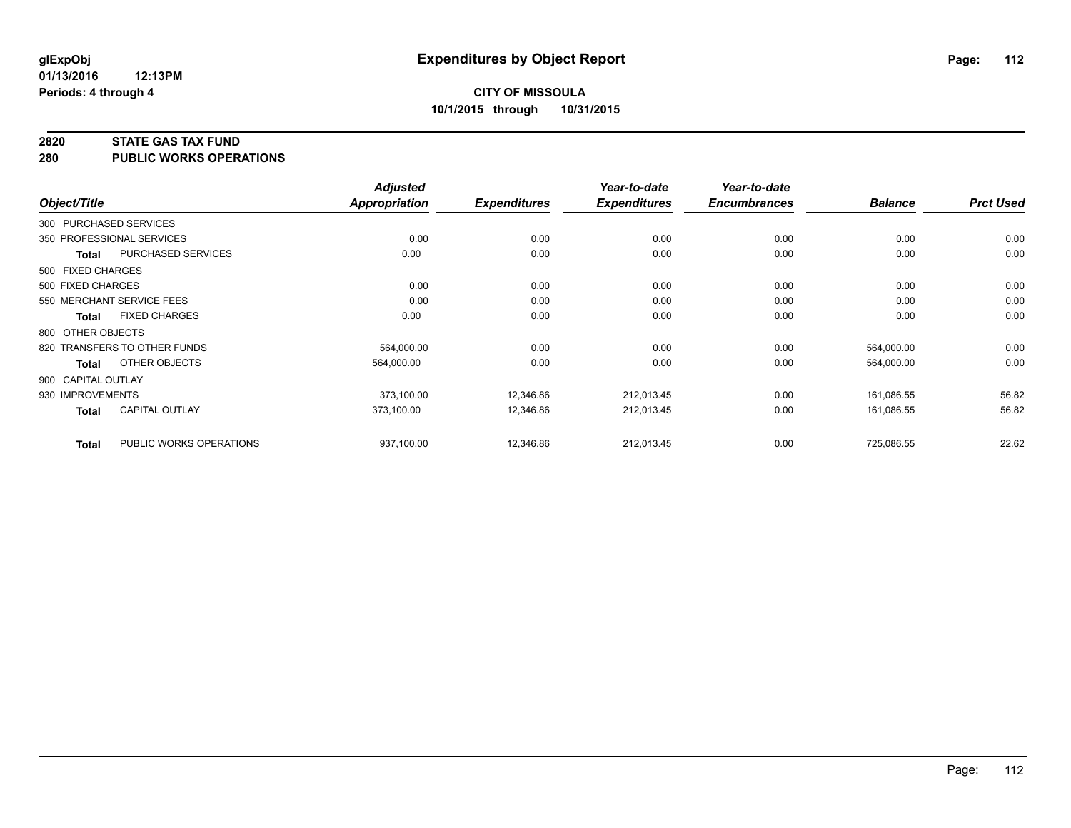### **2820 STATE GAS TAX FUND**

**280 PUBLIC WORKS OPERATIONS**

|                    |                              | <b>Adjusted</b>      |                     | Year-to-date        | Year-to-date        |                |                  |
|--------------------|------------------------------|----------------------|---------------------|---------------------|---------------------|----------------|------------------|
| Object/Title       |                              | <b>Appropriation</b> | <b>Expenditures</b> | <b>Expenditures</b> | <b>Encumbrances</b> | <b>Balance</b> | <b>Prct Used</b> |
|                    | 300 PURCHASED SERVICES       |                      |                     |                     |                     |                |                  |
|                    | 350 PROFESSIONAL SERVICES    | 0.00                 | 0.00                | 0.00                | 0.00                | 0.00           | 0.00             |
| Total              | PURCHASED SERVICES           | 0.00                 | 0.00                | 0.00                | 0.00                | 0.00           | 0.00             |
| 500 FIXED CHARGES  |                              |                      |                     |                     |                     |                |                  |
| 500 FIXED CHARGES  |                              | 0.00                 | 0.00                | 0.00                | 0.00                | 0.00           | 0.00             |
|                    | 550 MERCHANT SERVICE FEES    | 0.00                 | 0.00                | 0.00                | 0.00                | 0.00           | 0.00             |
| Total              | <b>FIXED CHARGES</b>         | 0.00                 | 0.00                | 0.00                | 0.00                | 0.00           | 0.00             |
| 800 OTHER OBJECTS  |                              |                      |                     |                     |                     |                |                  |
|                    | 820 TRANSFERS TO OTHER FUNDS | 564,000.00           | 0.00                | 0.00                | 0.00                | 564,000.00     | 0.00             |
| <b>Total</b>       | OTHER OBJECTS                | 564,000.00           | 0.00                | 0.00                | 0.00                | 564,000.00     | 0.00             |
| 900 CAPITAL OUTLAY |                              |                      |                     |                     |                     |                |                  |
| 930 IMPROVEMENTS   |                              | 373,100.00           | 12,346.86           | 212,013.45          | 0.00                | 161,086.55     | 56.82            |
| Total              | <b>CAPITAL OUTLAY</b>        | 373.100.00           | 12,346.86           | 212,013.45          | 0.00                | 161.086.55     | 56.82            |
| <b>Total</b>       | PUBLIC WORKS OPERATIONS      | 937,100.00           | 12,346.86           | 212,013.45          | 0.00                | 725,086.55     | 22.62            |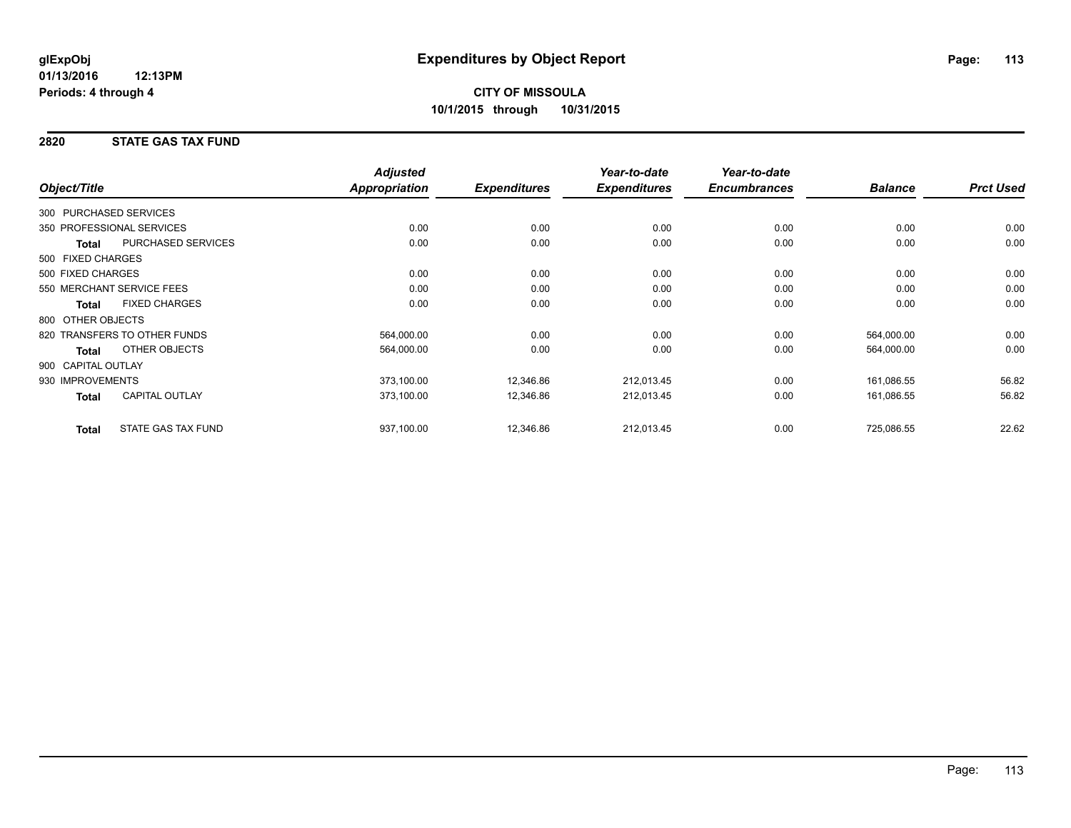### **2820 STATE GAS TAX FUND**

| Object/Title           |                              | <b>Adjusted</b><br>Appropriation | <b>Expenditures</b> | Year-to-date<br><b>Expenditures</b> | Year-to-date<br><b>Encumbrances</b> | <b>Balance</b> | <b>Prct Used</b> |
|------------------------|------------------------------|----------------------------------|---------------------|-------------------------------------|-------------------------------------|----------------|------------------|
|                        |                              |                                  |                     |                                     |                                     |                |                  |
| 300 PURCHASED SERVICES |                              |                                  |                     |                                     |                                     |                |                  |
|                        | 350 PROFESSIONAL SERVICES    | 0.00                             | 0.00                | 0.00                                | 0.00                                | 0.00           | 0.00             |
| <b>Total</b>           | PURCHASED SERVICES           | 0.00                             | 0.00                | 0.00                                | 0.00                                | 0.00           | 0.00             |
| 500 FIXED CHARGES      |                              |                                  |                     |                                     |                                     |                |                  |
| 500 FIXED CHARGES      |                              | 0.00                             | 0.00                | 0.00                                | 0.00                                | 0.00           | 0.00             |
|                        | 550 MERCHANT SERVICE FEES    | 0.00                             | 0.00                | 0.00                                | 0.00                                | 0.00           | 0.00             |
| <b>Total</b>           | <b>FIXED CHARGES</b>         | 0.00                             | 0.00                | 0.00                                | 0.00                                | 0.00           | 0.00             |
| 800 OTHER OBJECTS      |                              |                                  |                     |                                     |                                     |                |                  |
|                        | 820 TRANSFERS TO OTHER FUNDS | 564,000.00                       | 0.00                | 0.00                                | 0.00                                | 564,000.00     | 0.00             |
| Total                  | OTHER OBJECTS                | 564,000.00                       | 0.00                | 0.00                                | 0.00                                | 564,000.00     | 0.00             |
| 900 CAPITAL OUTLAY     |                              |                                  |                     |                                     |                                     |                |                  |
| 930 IMPROVEMENTS       |                              | 373,100.00                       | 12,346.86           | 212,013.45                          | 0.00                                | 161,086.55     | 56.82            |
| Total                  | <b>CAPITAL OUTLAY</b>        | 373,100.00                       | 12,346.86           | 212,013.45                          | 0.00                                | 161,086.55     | 56.82            |
| <b>Total</b>           | <b>STATE GAS TAX FUND</b>    | 937,100.00                       | 12,346.86           | 212,013.45                          | 0.00                                | 725,086.55     | 22.62            |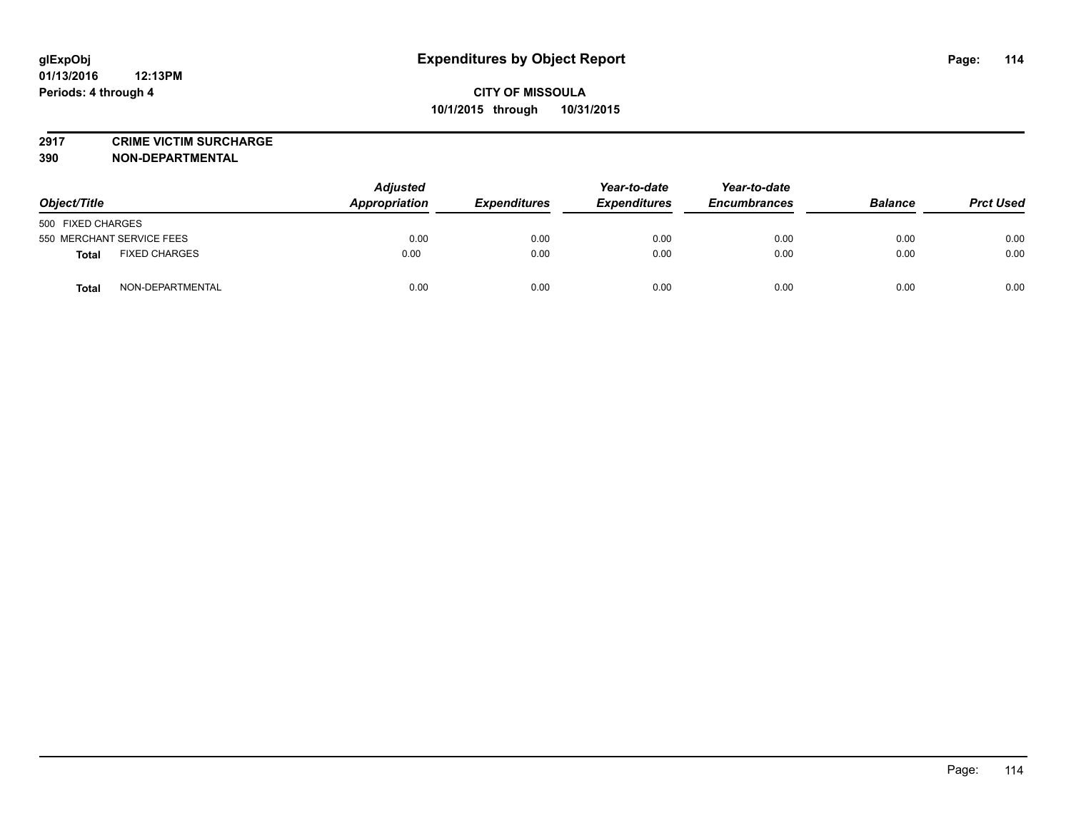**2917 CRIME VICTIM SURCHARGE**

**390 NON-DEPARTMENTAL**

| Object/Title                         | <b>Adjusted</b><br>Appropriation | <b>Expenditures</b> | Year-to-date<br><b>Expenditures</b> | Year-to-date<br><b>Encumbrances</b> | <b>Balance</b> | <b>Prct Used</b> |
|--------------------------------------|----------------------------------|---------------------|-------------------------------------|-------------------------------------|----------------|------------------|
| 500 FIXED CHARGES                    |                                  |                     |                                     |                                     |                |                  |
| 550 MERCHANT SERVICE FEES            | 0.00                             | 0.00                | 0.00                                | 0.00                                | 0.00           | 0.00             |
| <b>FIXED CHARGES</b><br><b>Total</b> | 0.00                             | 0.00                | 0.00                                | 0.00                                | 0.00           | 0.00             |
| NON-DEPARTMENTAL<br><b>Total</b>     | 0.00                             | 0.00                | 0.00                                | 0.00                                | 0.00           | 0.00             |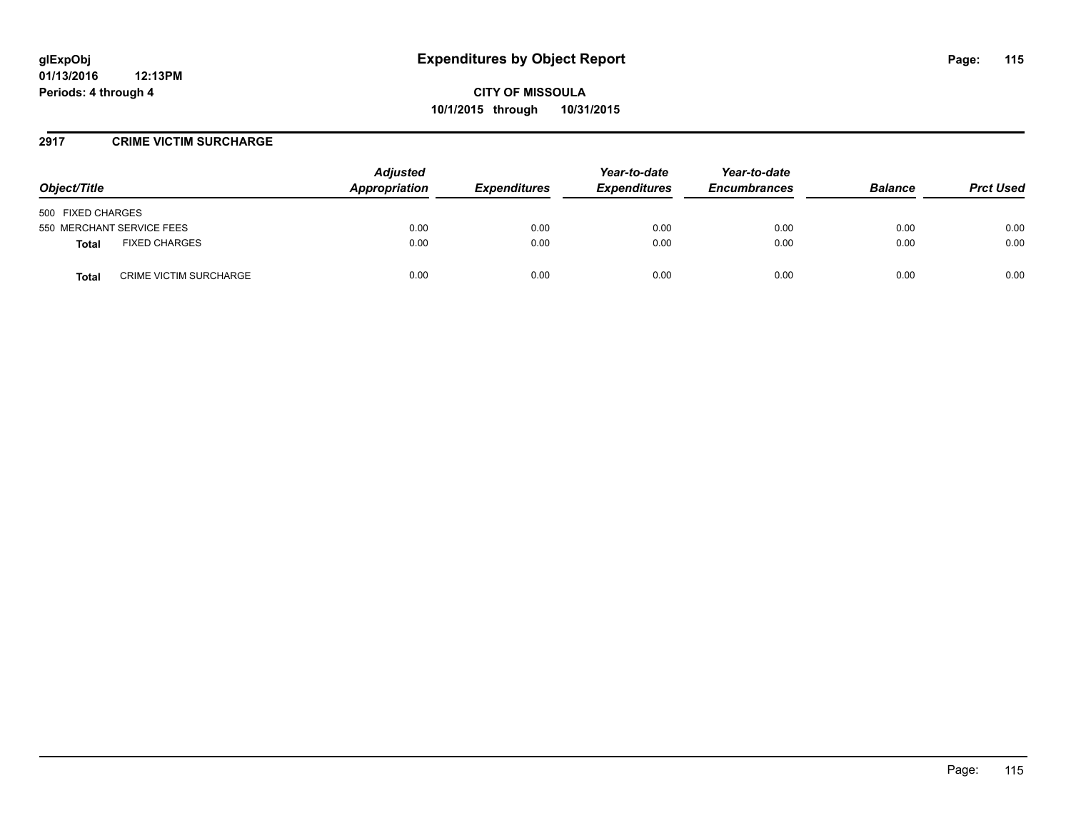### **2917 CRIME VICTIM SURCHARGE**

| Object/Title                           | <b>Adjusted</b><br>Appropriation | <b>Expenditures</b> | Year-to-date<br><b>Expenditures</b> | Year-to-date<br><b>Encumbrances</b> | <b>Balance</b> | <b>Prct Used</b> |
|----------------------------------------|----------------------------------|---------------------|-------------------------------------|-------------------------------------|----------------|------------------|
| 500 FIXED CHARGES                      |                                  |                     |                                     |                                     |                |                  |
| 550 MERCHANT SERVICE FEES              | 0.00                             | 0.00                | 0.00                                | 0.00                                | 0.00           | 0.00             |
| <b>FIXED CHARGES</b><br><b>Total</b>   | 0.00                             | 0.00                | 0.00                                | 0.00                                | 0.00           | 0.00             |
| <b>CRIME VICTIM SURCHARGE</b><br>Total | 0.00                             | 0.00                | 0.00                                | 0.00                                | 0.00           | 0.00             |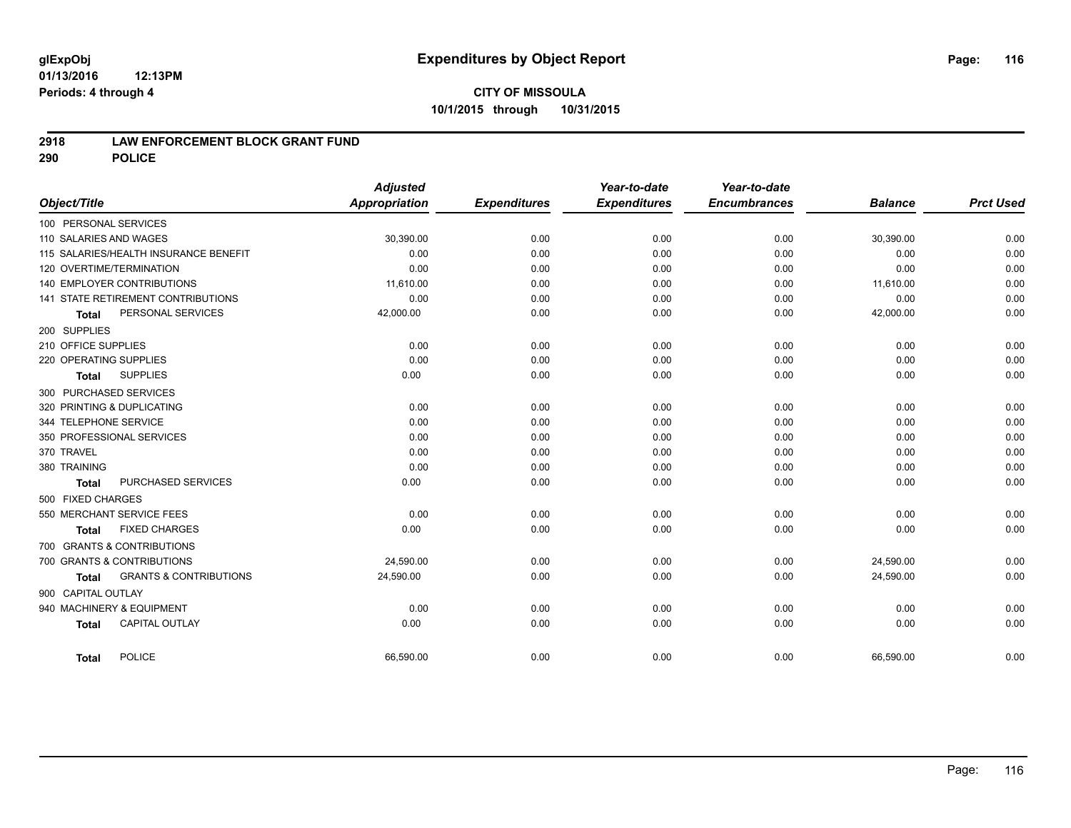#### **01/13/2016 12:13PM Periods: 4 through 4**

# **CITY OF MISSOULA 10/1/2015 through 10/31/2015**

### **2918 LAW ENFORCEMENT BLOCK GRANT FUND**

**290 POLICE**

|                                       |                                   | <b>Adjusted</b>      |                     | Year-to-date        | Year-to-date        |                |                  |
|---------------------------------------|-----------------------------------|----------------------|---------------------|---------------------|---------------------|----------------|------------------|
| Object/Title                          |                                   | <b>Appropriation</b> | <b>Expenditures</b> | <b>Expenditures</b> | <b>Encumbrances</b> | <b>Balance</b> | <b>Prct Used</b> |
| 100 PERSONAL SERVICES                 |                                   |                      |                     |                     |                     |                |                  |
| 110 SALARIES AND WAGES                |                                   | 30,390.00            | 0.00                | 0.00                | 0.00                | 30,390.00      | 0.00             |
| 115 SALARIES/HEALTH INSURANCE BENEFIT |                                   | 0.00                 | 0.00                | 0.00                | 0.00                | 0.00           | 0.00             |
| 120 OVERTIME/TERMINATION              |                                   | 0.00                 | 0.00                | 0.00                | 0.00                | 0.00           | 0.00             |
| 140 EMPLOYER CONTRIBUTIONS            |                                   | 11,610.00            | 0.00                | 0.00                | 0.00                | 11,610.00      | 0.00             |
| 141 STATE RETIREMENT CONTRIBUTIONS    |                                   | 0.00                 | 0.00                | 0.00                | 0.00                | 0.00           | 0.00             |
| <b>Total</b>                          | PERSONAL SERVICES                 | 42,000.00            | 0.00                | 0.00                | 0.00                | 42,000.00      | 0.00             |
| 200 SUPPLIES                          |                                   |                      |                     |                     |                     |                |                  |
| 210 OFFICE SUPPLIES                   |                                   | 0.00                 | 0.00                | 0.00                | 0.00                | 0.00           | 0.00             |
| 220 OPERATING SUPPLIES                |                                   | 0.00                 | 0.00                | 0.00                | 0.00                | 0.00           | 0.00             |
| <b>SUPPLIES</b><br><b>Total</b>       |                                   | 0.00                 | 0.00                | 0.00                | 0.00                | 0.00           | 0.00             |
| 300 PURCHASED SERVICES                |                                   |                      |                     |                     |                     |                |                  |
| 320 PRINTING & DUPLICATING            |                                   | 0.00                 | 0.00                | 0.00                | 0.00                | 0.00           | 0.00             |
| 344 TELEPHONE SERVICE                 |                                   | 0.00                 | 0.00                | 0.00                | 0.00                | 0.00           | 0.00             |
| 350 PROFESSIONAL SERVICES             |                                   | 0.00                 | 0.00                | 0.00                | 0.00                | 0.00           | 0.00             |
| 370 TRAVEL                            |                                   | 0.00                 | 0.00                | 0.00                | 0.00                | 0.00           | 0.00             |
| 380 TRAINING                          |                                   | 0.00                 | 0.00                | 0.00                | 0.00                | 0.00           | 0.00             |
| <b>Total</b>                          | PURCHASED SERVICES                | 0.00                 | 0.00                | 0.00                | 0.00                | 0.00           | 0.00             |
| 500 FIXED CHARGES                     |                                   |                      |                     |                     |                     |                |                  |
| 550 MERCHANT SERVICE FEES             |                                   | 0.00                 | 0.00                | 0.00                | 0.00                | 0.00           | 0.00             |
| <b>FIXED CHARGES</b><br><b>Total</b>  |                                   | 0.00                 | 0.00                | 0.00                | 0.00                | 0.00           | 0.00             |
| 700 GRANTS & CONTRIBUTIONS            |                                   |                      |                     |                     |                     |                |                  |
| 700 GRANTS & CONTRIBUTIONS            |                                   | 24,590.00            | 0.00                | 0.00                | 0.00                | 24,590.00      | 0.00             |
| <b>Total</b>                          | <b>GRANTS &amp; CONTRIBUTIONS</b> | 24,590.00            | 0.00                | 0.00                | 0.00                | 24,590.00      | 0.00             |
| 900 CAPITAL OUTLAY                    |                                   |                      |                     |                     |                     |                |                  |
| 940 MACHINERY & EQUIPMENT             |                                   | 0.00                 | 0.00                | 0.00                | 0.00                | 0.00           | 0.00             |
| <b>CAPITAL OUTLAY</b>                 |                                   | 0.00                 | 0.00                | 0.00                | 0.00                | 0.00           | 0.00             |
| <b>Total</b>                          |                                   |                      |                     |                     |                     |                |                  |
| <b>POLICE</b><br><b>Total</b>         |                                   | 66,590.00            | 0.00                | 0.00                | 0.00                | 66,590.00      | 0.00             |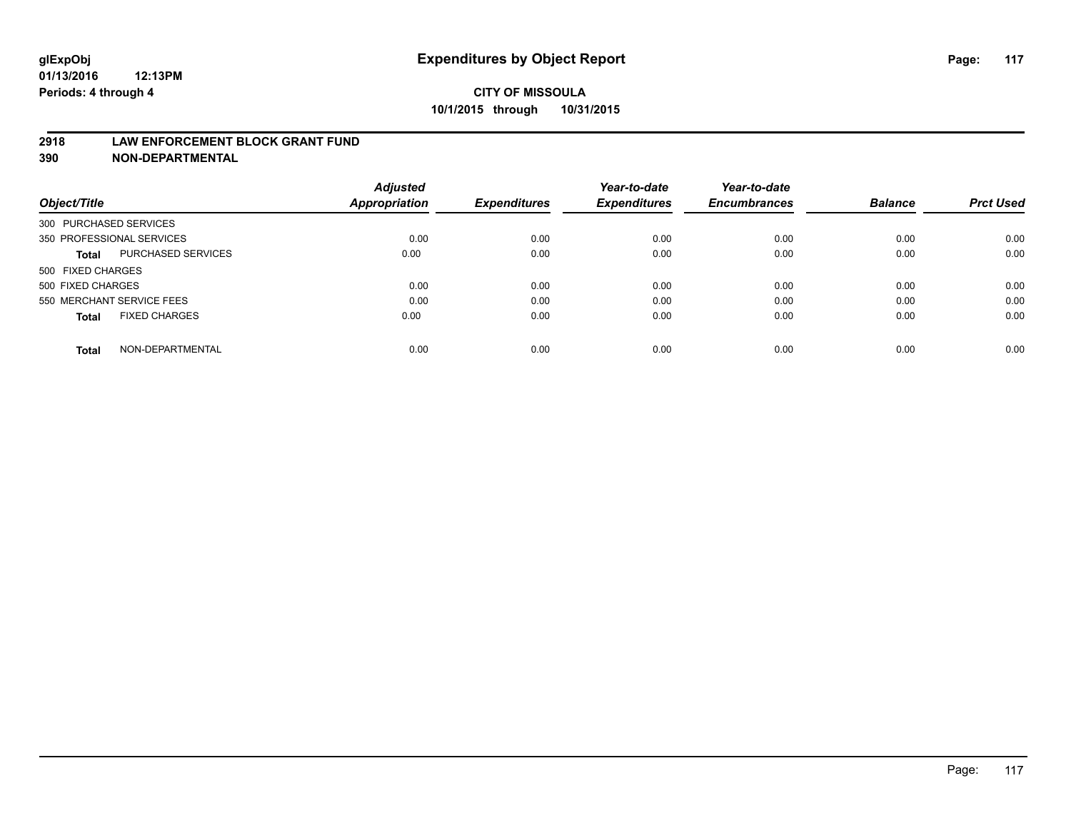### **2918 LAW ENFORCEMENT BLOCK GRANT FUND**

**390 NON-DEPARTMENTAL**

|                                           | <b>Adjusted</b> |                     | Year-to-date        | Year-to-date        |                |                  |
|-------------------------------------------|-----------------|---------------------|---------------------|---------------------|----------------|------------------|
| Object/Title                              | Appropriation   | <b>Expenditures</b> | <b>Expenditures</b> | <b>Encumbrances</b> | <b>Balance</b> | <b>Prct Used</b> |
| 300 PURCHASED SERVICES                    |                 |                     |                     |                     |                |                  |
| 350 PROFESSIONAL SERVICES                 | 0.00            | 0.00                | 0.00                | 0.00                | 0.00           | 0.00             |
| <b>PURCHASED SERVICES</b><br><b>Total</b> | 0.00            | 0.00                | 0.00                | 0.00                | 0.00           | 0.00             |
| 500 FIXED CHARGES                         |                 |                     |                     |                     |                |                  |
| 500 FIXED CHARGES                         | 0.00            | 0.00                | 0.00                | 0.00                | 0.00           | 0.00             |
| 550 MERCHANT SERVICE FEES                 | 0.00            | 0.00                | 0.00                | 0.00                | 0.00           | 0.00             |
| <b>FIXED CHARGES</b><br><b>Total</b>      | 0.00            | 0.00                | 0.00                | 0.00                | 0.00           | 0.00             |
| NON-DEPARTMENTAL<br><b>Total</b>          | 0.00            | 0.00                | 0.00                | 0.00                | 0.00           | 0.00             |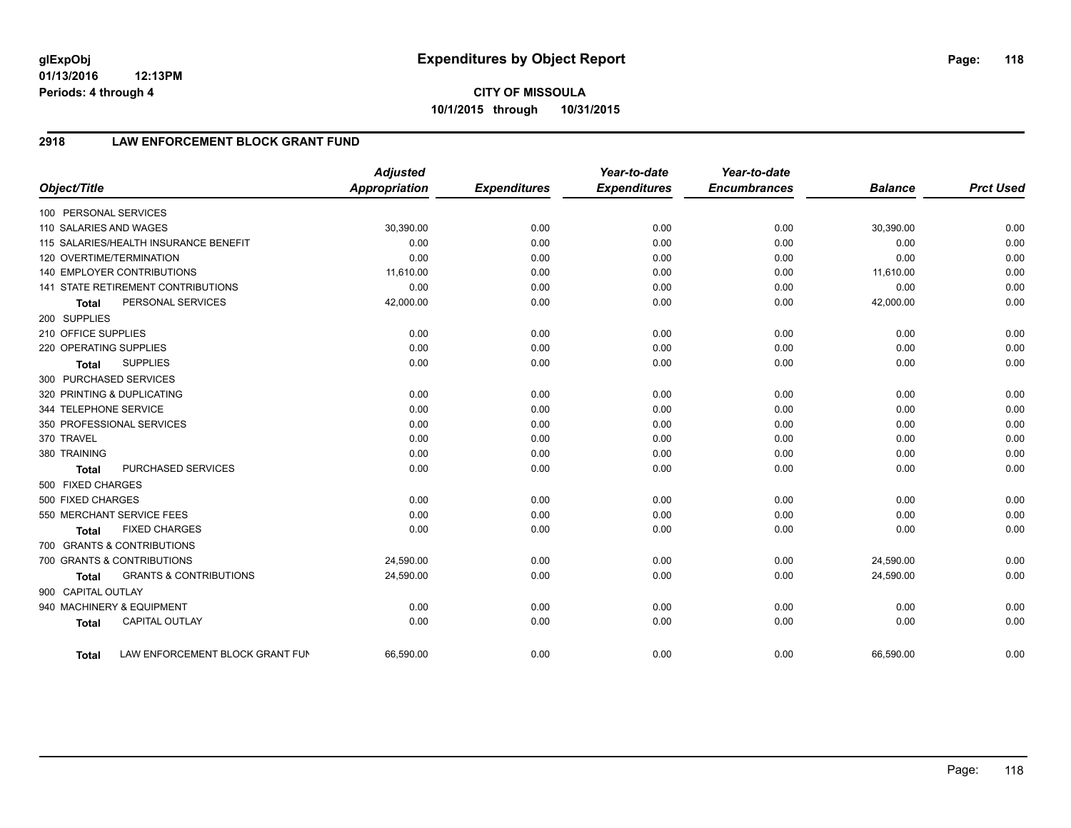**01/13/2016 12:13PM Periods: 4 through 4**

# **2918 LAW ENFORCEMENT BLOCK GRANT FUND**

| Object/Title           |                                       | <b>Adjusted</b><br>Appropriation | <b>Expenditures</b> | Year-to-date<br><b>Expenditures</b> | Year-to-date<br><b>Encumbrances</b> | <b>Balance</b> | <b>Prct Used</b> |
|------------------------|---------------------------------------|----------------------------------|---------------------|-------------------------------------|-------------------------------------|----------------|------------------|
| 100 PERSONAL SERVICES  |                                       |                                  |                     |                                     |                                     |                |                  |
| 110 SALARIES AND WAGES |                                       | 30,390.00                        | 0.00                | 0.00                                | 0.00                                | 30,390.00      | 0.00             |
|                        | 115 SALARIES/HEALTH INSURANCE BENEFIT | 0.00                             | 0.00                | 0.00                                | 0.00                                | 0.00           | 0.00             |
|                        | 120 OVERTIME/TERMINATION              | 0.00                             | 0.00                | 0.00                                | 0.00                                | 0.00           | 0.00             |
|                        | <b>140 EMPLOYER CONTRIBUTIONS</b>     | 11,610.00                        | 0.00                | 0.00                                | 0.00                                | 11,610.00      | 0.00             |
|                        | 141 STATE RETIREMENT CONTRIBUTIONS    | 0.00                             | 0.00                | 0.00                                | 0.00                                | 0.00           | 0.00             |
| <b>Total</b>           | PERSONAL SERVICES                     | 42,000.00                        | 0.00                | 0.00                                | 0.00                                | 42,000.00      | 0.00             |
| 200 SUPPLIES           |                                       |                                  |                     |                                     |                                     |                |                  |
| 210 OFFICE SUPPLIES    |                                       | 0.00                             | 0.00                | 0.00                                | 0.00                                | 0.00           | 0.00             |
| 220 OPERATING SUPPLIES |                                       | 0.00                             | 0.00                | 0.00                                | 0.00                                | 0.00           | 0.00             |
| <b>Total</b>           | <b>SUPPLIES</b>                       | 0.00                             | 0.00                | 0.00                                | 0.00                                | 0.00           | 0.00             |
| 300 PURCHASED SERVICES |                                       |                                  |                     |                                     |                                     |                |                  |
|                        | 320 PRINTING & DUPLICATING            | 0.00                             | 0.00                | 0.00                                | 0.00                                | 0.00           | 0.00             |
| 344 TELEPHONE SERVICE  |                                       | 0.00                             | 0.00                | 0.00                                | 0.00                                | 0.00           | 0.00             |
|                        | 350 PROFESSIONAL SERVICES             | 0.00                             | 0.00                | 0.00                                | 0.00                                | 0.00           | 0.00             |
| 370 TRAVEL             |                                       | 0.00                             | 0.00                | 0.00                                | 0.00                                | 0.00           | 0.00             |
| 380 TRAINING           |                                       | 0.00                             | 0.00                | 0.00                                | 0.00                                | 0.00           | 0.00             |
| <b>Total</b>           | PURCHASED SERVICES                    | 0.00                             | 0.00                | 0.00                                | 0.00                                | 0.00           | 0.00             |
| 500 FIXED CHARGES      |                                       |                                  |                     |                                     |                                     |                |                  |
| 500 FIXED CHARGES      |                                       | 0.00                             | 0.00                | 0.00                                | 0.00                                | 0.00           | 0.00             |
|                        | 550 MERCHANT SERVICE FEES             | 0.00                             | 0.00                | 0.00                                | 0.00                                | 0.00           | 0.00             |
| <b>Total</b>           | <b>FIXED CHARGES</b>                  | 0.00                             | 0.00                | 0.00                                | 0.00                                | 0.00           | 0.00             |
|                        | 700 GRANTS & CONTRIBUTIONS            |                                  |                     |                                     |                                     |                |                  |
|                        | 700 GRANTS & CONTRIBUTIONS            | 24,590.00                        | 0.00                | 0.00                                | 0.00                                | 24,590.00      | 0.00             |
| <b>Total</b>           | <b>GRANTS &amp; CONTRIBUTIONS</b>     | 24,590.00                        | 0.00                | 0.00                                | 0.00                                | 24,590.00      | 0.00             |
| 900 CAPITAL OUTLAY     |                                       |                                  |                     |                                     |                                     |                |                  |
|                        | 940 MACHINERY & EQUIPMENT             | 0.00                             | 0.00                | 0.00                                | 0.00                                | 0.00           | 0.00             |
| <b>Total</b>           | CAPITAL OUTLAY                        | 0.00                             | 0.00                | 0.00                                | 0.00                                | 0.00           | 0.00             |
| <b>Total</b>           | LAW ENFORCEMENT BLOCK GRANT FUN       | 66,590.00                        | 0.00                | 0.00                                | 0.00                                | 66,590.00      | 0.00             |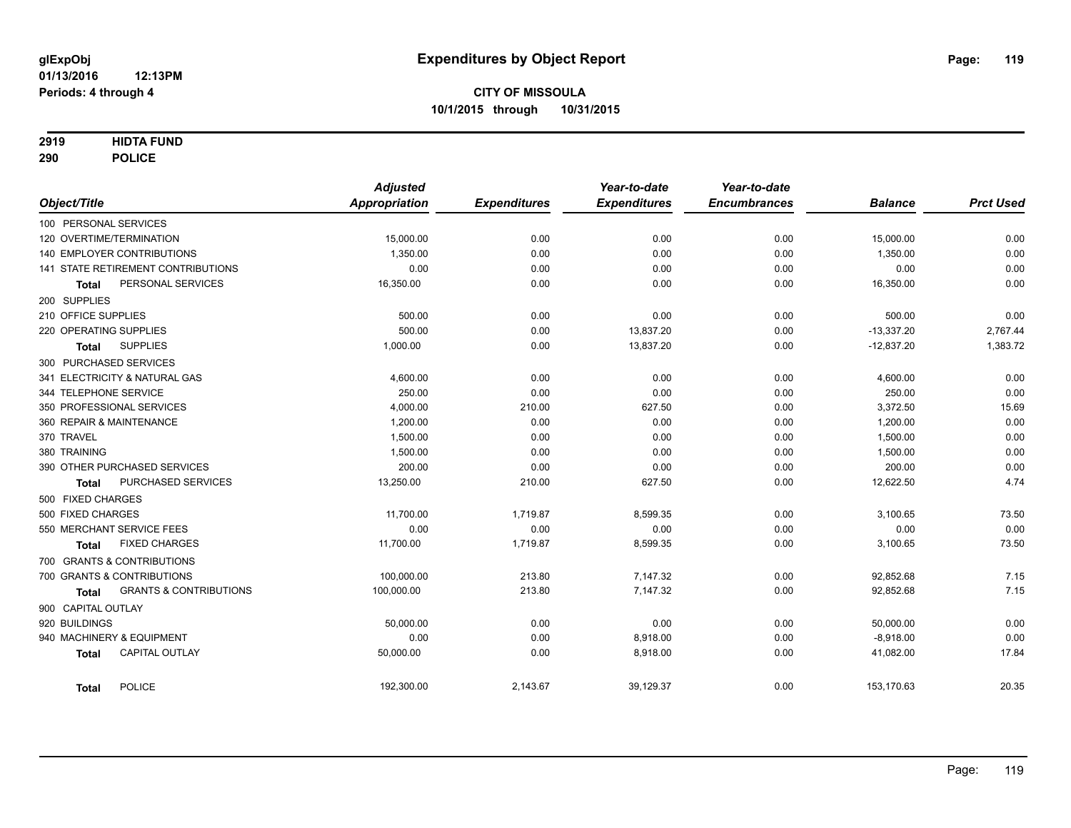### **2919 HIDTA FUND**

**290 POLICE**

|                                            | <b>Adjusted</b>      |                     | Year-to-date        | Year-to-date        |                |                  |
|--------------------------------------------|----------------------|---------------------|---------------------|---------------------|----------------|------------------|
| Object/Title                               | <b>Appropriation</b> | <b>Expenditures</b> | <b>Expenditures</b> | <b>Encumbrances</b> | <b>Balance</b> | <b>Prct Used</b> |
| 100 PERSONAL SERVICES                      |                      |                     |                     |                     |                |                  |
| 120 OVERTIME/TERMINATION                   | 15,000.00            | 0.00                | 0.00                | 0.00                | 15,000.00      | 0.00             |
| <b>140 EMPLOYER CONTRIBUTIONS</b>          | 1,350.00             | 0.00                | 0.00                | 0.00                | 1,350.00       | 0.00             |
| 141 STATE RETIREMENT CONTRIBUTIONS         | 0.00                 | 0.00                | 0.00                | 0.00                | 0.00           | 0.00             |
| PERSONAL SERVICES<br>Total                 | 16,350.00            | 0.00                | 0.00                | 0.00                | 16,350.00      | 0.00             |
| 200 SUPPLIES                               |                      |                     |                     |                     |                |                  |
| 210 OFFICE SUPPLIES                        | 500.00               | 0.00                | 0.00                | 0.00                | 500.00         | 0.00             |
| 220 OPERATING SUPPLIES                     | 500.00               | 0.00                | 13,837.20           | 0.00                | $-13,337.20$   | 2,767.44         |
| <b>SUPPLIES</b><br><b>Total</b>            | 1,000.00             | 0.00                | 13,837.20           | 0.00                | $-12,837.20$   | 1,383.72         |
| 300 PURCHASED SERVICES                     |                      |                     |                     |                     |                |                  |
| 341 ELECTRICITY & NATURAL GAS              | 4,600.00             | 0.00                | 0.00                | 0.00                | 4,600.00       | 0.00             |
| 344 TELEPHONE SERVICE                      | 250.00               | 0.00                | 0.00                | 0.00                | 250.00         | 0.00             |
| 350 PROFESSIONAL SERVICES                  | 4,000.00             | 210.00              | 627.50              | 0.00                | 3,372.50       | 15.69            |
| 360 REPAIR & MAINTENANCE                   | 1,200.00             | 0.00                | 0.00                | 0.00                | 1,200.00       | 0.00             |
| 370 TRAVEL                                 | 1,500.00             | 0.00                | 0.00                | 0.00                | 1,500.00       | 0.00             |
| 380 TRAINING                               | 1,500.00             | 0.00                | 0.00                | 0.00                | 1,500.00       | 0.00             |
| 390 OTHER PURCHASED SERVICES               | 200.00               | 0.00                | 0.00                | 0.00                | 200.00         | 0.00             |
| PURCHASED SERVICES<br><b>Total</b>         | 13,250.00            | 210.00              | 627.50              | 0.00                | 12,622.50      | 4.74             |
| 500 FIXED CHARGES                          |                      |                     |                     |                     |                |                  |
| 500 FIXED CHARGES                          | 11,700.00            | 1,719.87            | 8,599.35            | 0.00                | 3,100.65       | 73.50            |
| 550 MERCHANT SERVICE FEES                  | 0.00                 | 0.00                | 0.00                | 0.00                | 0.00           | 0.00             |
| <b>FIXED CHARGES</b><br>Total              | 11,700.00            | 1,719.87            | 8,599.35            | 0.00                | 3,100.65       | 73.50            |
| 700 GRANTS & CONTRIBUTIONS                 |                      |                     |                     |                     |                |                  |
| 700 GRANTS & CONTRIBUTIONS                 | 100,000.00           | 213.80              | 7,147.32            | 0.00                | 92,852.68      | 7.15             |
| <b>GRANTS &amp; CONTRIBUTIONS</b><br>Total | 100,000.00           | 213.80              | 7,147.32            | 0.00                | 92,852.68      | 7.15             |
| 900 CAPITAL OUTLAY                         |                      |                     |                     |                     |                |                  |
| 920 BUILDINGS                              | 50,000.00            | 0.00                | 0.00                | 0.00                | 50,000.00      | 0.00             |
| 940 MACHINERY & EQUIPMENT                  | 0.00                 | 0.00                | 8,918.00            | 0.00                | $-8,918.00$    | 0.00             |
| <b>CAPITAL OUTLAY</b><br><b>Total</b>      | 50,000.00            | 0.00                | 8,918.00            | 0.00                | 41,082.00      | 17.84            |
| <b>POLICE</b><br><b>Total</b>              | 192,300.00           | 2,143.67            | 39,129.37           | 0.00                | 153,170.63     | 20.35            |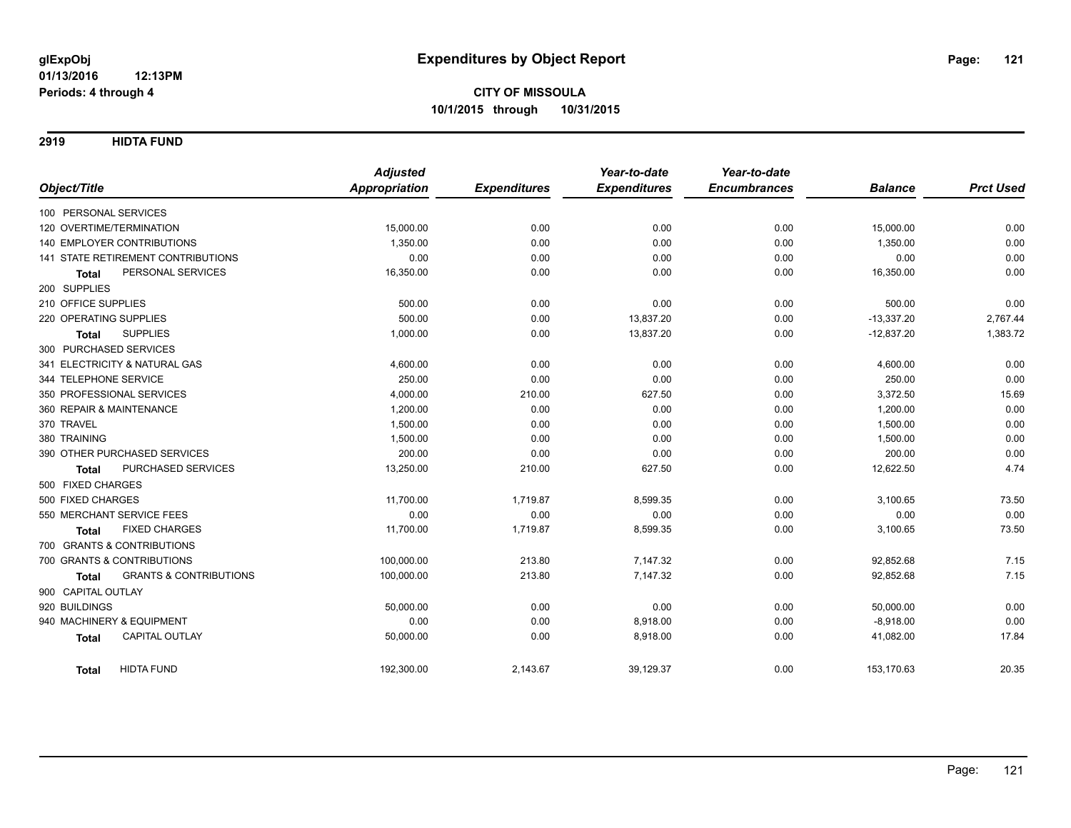**2919 HIDTA FUND**

|                                                   | <b>Adjusted</b>      |                     | Year-to-date        | Year-to-date        |                |                  |
|---------------------------------------------------|----------------------|---------------------|---------------------|---------------------|----------------|------------------|
| Object/Title                                      | <b>Appropriation</b> | <b>Expenditures</b> | <b>Expenditures</b> | <b>Encumbrances</b> | <b>Balance</b> | <b>Prct Used</b> |
| 100 PERSONAL SERVICES                             |                      |                     |                     |                     |                |                  |
| 120 OVERTIME/TERMINATION                          | 15,000.00            | 0.00                | 0.00                | 0.00                | 15,000.00      | 0.00             |
| <b>140 EMPLOYER CONTRIBUTIONS</b>                 | 1,350.00             | 0.00                | 0.00                | 0.00                | 1,350.00       | 0.00             |
| 141 STATE RETIREMENT CONTRIBUTIONS                | 0.00                 | 0.00                | 0.00                | 0.00                | 0.00           | 0.00             |
| PERSONAL SERVICES<br><b>Total</b>                 | 16,350.00            | 0.00                | 0.00                | 0.00                | 16,350.00      | 0.00             |
| 200 SUPPLIES                                      |                      |                     |                     |                     |                |                  |
| 210 OFFICE SUPPLIES                               | 500.00               | 0.00                | 0.00                | 0.00                | 500.00         | 0.00             |
| 220 OPERATING SUPPLIES                            | 500.00               | 0.00                | 13,837.20           | 0.00                | $-13,337.20$   | 2,767.44         |
| <b>SUPPLIES</b><br>Total                          | 1,000.00             | 0.00                | 13,837.20           | 0.00                | $-12,837.20$   | 1,383.72         |
| 300 PURCHASED SERVICES                            |                      |                     |                     |                     |                |                  |
| 341 ELECTRICITY & NATURAL GAS                     | 4,600.00             | 0.00                | 0.00                | 0.00                | 4,600.00       | 0.00             |
| 344 TELEPHONE SERVICE                             | 250.00               | 0.00                | 0.00                | 0.00                | 250.00         | 0.00             |
| 350 PROFESSIONAL SERVICES                         | 4,000.00             | 210.00              | 627.50              | 0.00                | 3,372.50       | 15.69            |
| 360 REPAIR & MAINTENANCE                          | 1,200.00             | 0.00                | 0.00                | 0.00                | 1,200.00       | 0.00             |
| 370 TRAVEL                                        | 1,500.00             | 0.00                | 0.00                | 0.00                | 1,500.00       | 0.00             |
| 380 TRAINING                                      | 1,500.00             | 0.00                | 0.00                | 0.00                | 1,500.00       | 0.00             |
| 390 OTHER PURCHASED SERVICES                      | 200.00               | 0.00                | 0.00                | 0.00                | 200.00         | 0.00             |
| PURCHASED SERVICES<br><b>Total</b>                | 13,250.00            | 210.00              | 627.50              | 0.00                | 12,622.50      | 4.74             |
| 500 FIXED CHARGES                                 |                      |                     |                     |                     |                |                  |
| 500 FIXED CHARGES                                 | 11,700.00            | 1,719.87            | 8,599.35            | 0.00                | 3,100.65       | 73.50            |
| 550 MERCHANT SERVICE FEES                         | 0.00                 | 0.00                | 0.00                | 0.00                | 0.00           | 0.00             |
| <b>FIXED CHARGES</b><br><b>Total</b>              | 11,700.00            | 1,719.87            | 8,599.35            | 0.00                | 3,100.65       | 73.50            |
| 700 GRANTS & CONTRIBUTIONS                        |                      |                     |                     |                     |                |                  |
| 700 GRANTS & CONTRIBUTIONS                        | 100,000.00           | 213.80              | 7,147.32            | 0.00                | 92,852.68      | 7.15             |
| <b>GRANTS &amp; CONTRIBUTIONS</b><br><b>Total</b> | 100,000.00           | 213.80              | 7,147.32            | 0.00                | 92,852.68      | 7.15             |
| 900 CAPITAL OUTLAY                                |                      |                     |                     |                     |                |                  |
| 920 BUILDINGS                                     | 50,000.00            | 0.00                | 0.00                | 0.00                | 50,000.00      | 0.00             |
| 940 MACHINERY & EQUIPMENT                         | 0.00                 | 0.00                | 8,918.00            | 0.00                | $-8,918.00$    | 0.00             |
| CAPITAL OUTLAY<br><b>Total</b>                    | 50,000.00            | 0.00                | 8,918.00            | 0.00                | 41,082.00      | 17.84            |
| <b>HIDTA FUND</b><br>Total                        | 192,300.00           | 2,143.67            | 39,129.37           | 0.00                | 153,170.63     | 20.35            |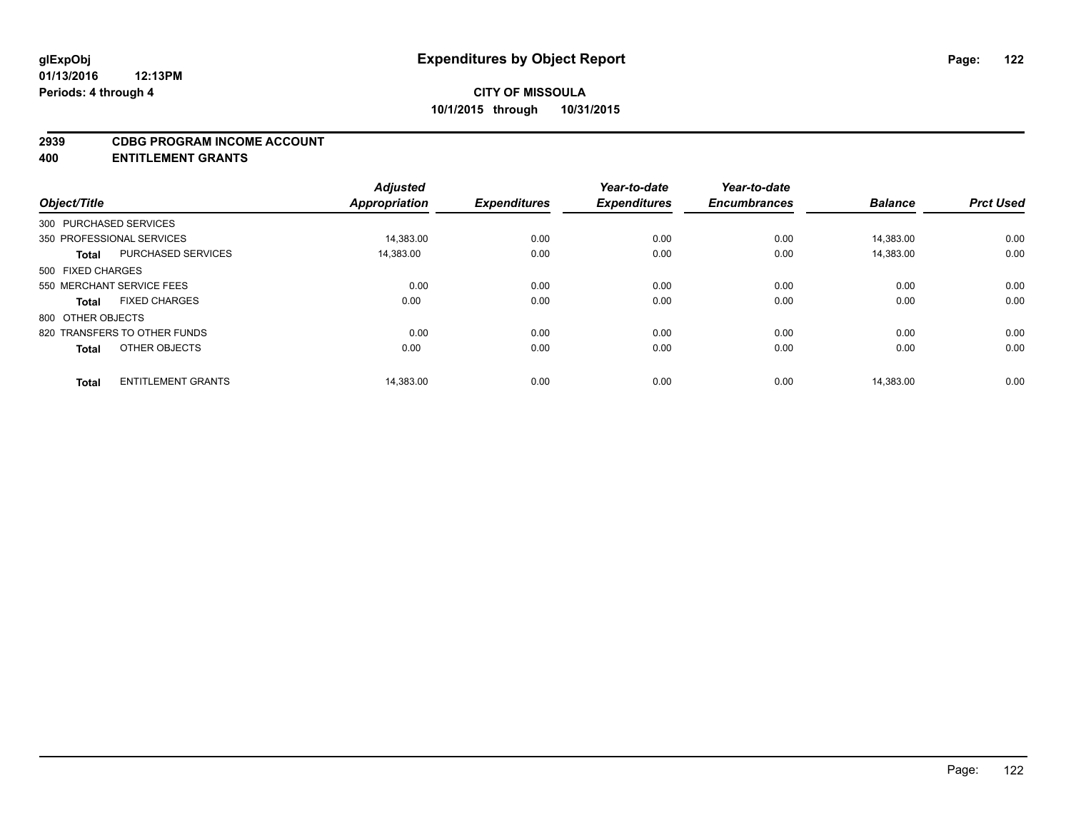### **2939 CDBG PROGRAM INCOME ACCOUNT**

**400 ENTITLEMENT GRANTS**

| Object/Title           |                              | <b>Adjusted</b><br><b>Appropriation</b> | <b>Expenditures</b> | Year-to-date<br><b>Expenditures</b> | Year-to-date<br><b>Encumbrances</b> | <b>Balance</b> | <b>Prct Used</b> |
|------------------------|------------------------------|-----------------------------------------|---------------------|-------------------------------------|-------------------------------------|----------------|------------------|
|                        |                              |                                         |                     |                                     |                                     |                |                  |
| 300 PURCHASED SERVICES |                              |                                         |                     |                                     |                                     |                |                  |
|                        | 350 PROFESSIONAL SERVICES    | 14,383.00                               | 0.00                | 0.00                                | 0.00                                | 14,383.00      | 0.00             |
| <b>Total</b>           | <b>PURCHASED SERVICES</b>    | 14,383.00                               | 0.00                | 0.00                                | 0.00                                | 14.383.00      | 0.00             |
| 500 FIXED CHARGES      |                              |                                         |                     |                                     |                                     |                |                  |
|                        | 550 MERCHANT SERVICE FEES    | 0.00                                    | 0.00                | 0.00                                | 0.00                                | 0.00           | 0.00             |
| Total                  | <b>FIXED CHARGES</b>         | 0.00                                    | 0.00                | 0.00                                | 0.00                                | 0.00           | 0.00             |
| 800 OTHER OBJECTS      |                              |                                         |                     |                                     |                                     |                |                  |
|                        | 820 TRANSFERS TO OTHER FUNDS | 0.00                                    | 0.00                | 0.00                                | 0.00                                | 0.00           | 0.00             |
| <b>Total</b>           | OTHER OBJECTS                | 0.00                                    | 0.00                | 0.00                                | 0.00                                | 0.00           | 0.00             |
|                        |                              |                                         |                     |                                     |                                     |                |                  |
| <b>Total</b>           | <b>ENTITLEMENT GRANTS</b>    | 14,383.00                               | 0.00                | 0.00                                | 0.00                                | 14,383.00      | 0.00             |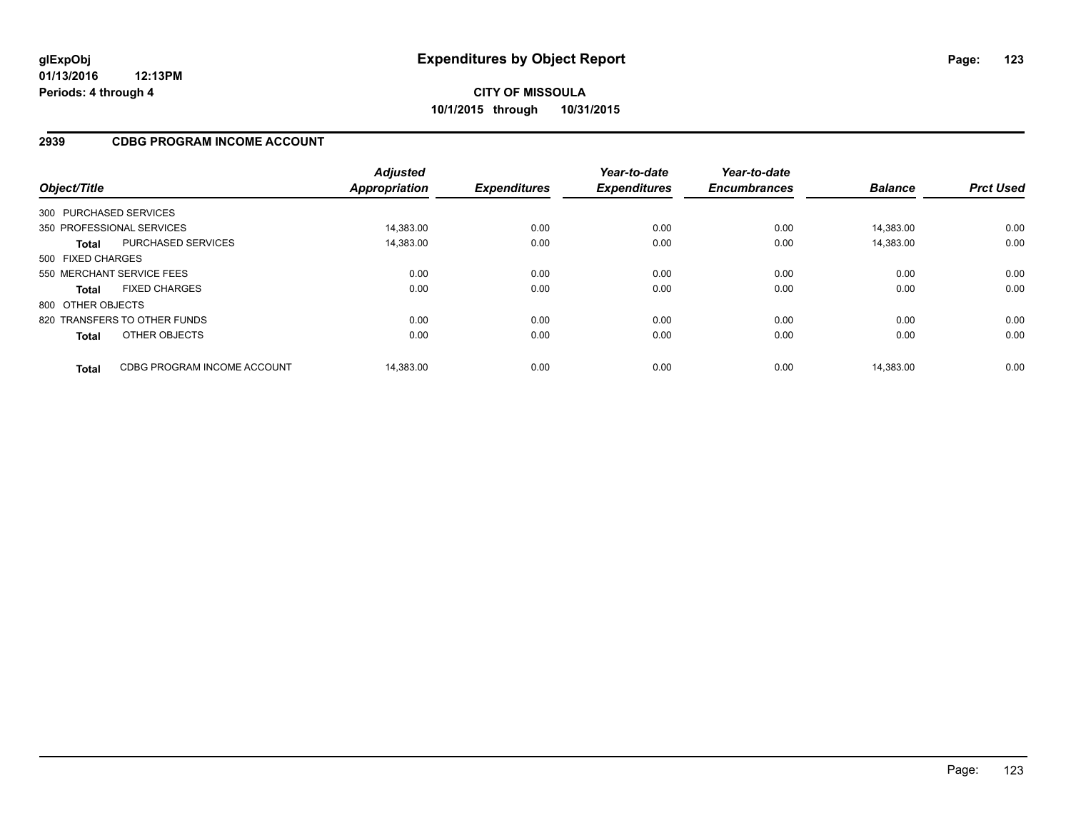### **2939 CDBG PROGRAM INCOME ACCOUNT**

| Object/Title           |                              | <b>Adjusted</b><br><b>Appropriation</b> | <b>Expenditures</b> | Year-to-date<br><b>Expenditures</b> | Year-to-date<br><b>Encumbrances</b> | <b>Balance</b> | <b>Prct Used</b> |
|------------------------|------------------------------|-----------------------------------------|---------------------|-------------------------------------|-------------------------------------|----------------|------------------|
| 300 PURCHASED SERVICES |                              |                                         |                     |                                     |                                     |                |                  |
|                        | 350 PROFESSIONAL SERVICES    | 14.383.00                               | 0.00                | 0.00                                | 0.00                                | 14.383.00      | 0.00             |
| Total                  | <b>PURCHASED SERVICES</b>    | 14,383.00                               | 0.00                | 0.00                                | 0.00                                | 14,383.00      | 0.00             |
| 500 FIXED CHARGES      |                              |                                         |                     |                                     |                                     |                |                  |
|                        | 550 MERCHANT SERVICE FEES    | 0.00                                    | 0.00                | 0.00                                | 0.00                                | 0.00           | 0.00             |
| <b>Total</b>           | <b>FIXED CHARGES</b>         | 0.00                                    | 0.00                | 0.00                                | 0.00                                | 0.00           | 0.00             |
| 800 OTHER OBJECTS      |                              |                                         |                     |                                     |                                     |                |                  |
|                        | 820 TRANSFERS TO OTHER FUNDS | 0.00                                    | 0.00                | 0.00                                | 0.00                                | 0.00           | 0.00             |
| <b>Total</b>           | OTHER OBJECTS                | 0.00                                    | 0.00                | 0.00                                | 0.00                                | 0.00           | 0.00             |
| <b>Total</b>           | CDBG PROGRAM INCOME ACCOUNT  | 14.383.00                               | 0.00                | 0.00                                | 0.00                                | 14.383.00      | 0.00             |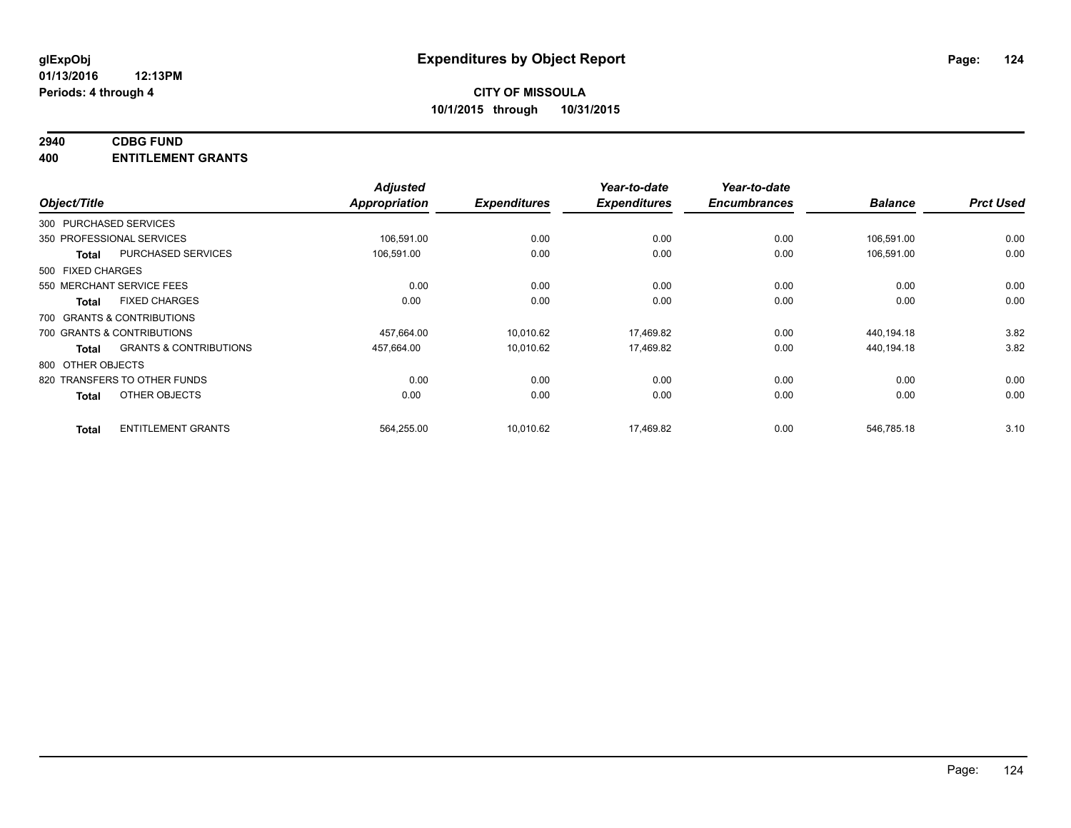# **2940 CDBG FUND**

**400 ENTITLEMENT GRANTS**

|                   |                                   | <b>Adjusted</b>      |                     | Year-to-date        | Year-to-date        |                |                  |
|-------------------|-----------------------------------|----------------------|---------------------|---------------------|---------------------|----------------|------------------|
| Object/Title      |                                   | <b>Appropriation</b> | <b>Expenditures</b> | <b>Expenditures</b> | <b>Encumbrances</b> | <b>Balance</b> | <b>Prct Used</b> |
|                   | 300 PURCHASED SERVICES            |                      |                     |                     |                     |                |                  |
|                   | 350 PROFESSIONAL SERVICES         | 106,591.00           | 0.00                | 0.00                | 0.00                | 106,591.00     | 0.00             |
| Total             | PURCHASED SERVICES                | 106,591.00           | 0.00                | 0.00                | 0.00                | 106,591.00     | 0.00             |
| 500 FIXED CHARGES |                                   |                      |                     |                     |                     |                |                  |
|                   | 550 MERCHANT SERVICE FEES         | 0.00                 | 0.00                | 0.00                | 0.00                | 0.00           | 0.00             |
| Total             | <b>FIXED CHARGES</b>              | 0.00                 | 0.00                | 0.00                | 0.00                | 0.00           | 0.00             |
|                   | 700 GRANTS & CONTRIBUTIONS        |                      |                     |                     |                     |                |                  |
|                   | 700 GRANTS & CONTRIBUTIONS        | 457,664.00           | 10.010.62           | 17,469.82           | 0.00                | 440,194.18     | 3.82             |
| Total             | <b>GRANTS &amp; CONTRIBUTIONS</b> | 457,664.00           | 10,010.62           | 17,469.82           | 0.00                | 440,194.18     | 3.82             |
| 800 OTHER OBJECTS |                                   |                      |                     |                     |                     |                |                  |
|                   | 820 TRANSFERS TO OTHER FUNDS      | 0.00                 | 0.00                | 0.00                | 0.00                | 0.00           | 0.00             |
| <b>Total</b>      | OTHER OBJECTS                     | 0.00                 | 0.00                | 0.00                | 0.00                | 0.00           | 0.00             |
| <b>Total</b>      | <b>ENTITLEMENT GRANTS</b>         | 564,255.00           | 10,010.62           | 17,469.82           | 0.00                | 546,785.18     | 3.10             |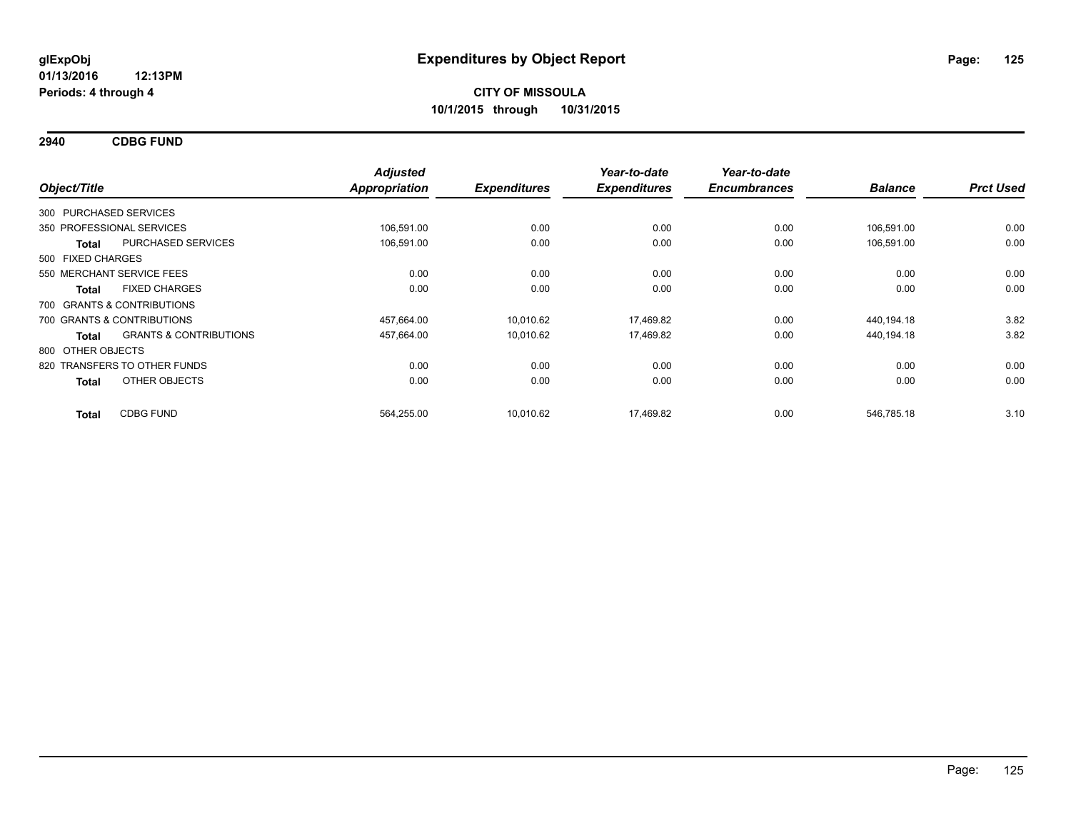**2940 CDBG FUND**

| Object/Title                 |                                   | <b>Adjusted</b><br><b>Appropriation</b> | <b>Expenditures</b> | Year-to-date<br><b>Expenditures</b> | Year-to-date<br><b>Encumbrances</b> | <b>Balance</b> | <b>Prct Used</b> |
|------------------------------|-----------------------------------|-----------------------------------------|---------------------|-------------------------------------|-------------------------------------|----------------|------------------|
| 300 PURCHASED SERVICES       |                                   |                                         |                     |                                     |                                     |                |                  |
| 350 PROFESSIONAL SERVICES    |                                   | 106.591.00                              | 0.00                | 0.00                                | 0.00                                | 106.591.00     | 0.00             |
| <b>Total</b>                 | PURCHASED SERVICES                | 106,591.00                              | 0.00                | 0.00                                | 0.00                                | 106,591.00     | 0.00             |
| 500 FIXED CHARGES            |                                   |                                         |                     |                                     |                                     |                |                  |
| 550 MERCHANT SERVICE FEES    |                                   | 0.00                                    | 0.00                | 0.00                                | 0.00                                | 0.00           | 0.00             |
| Total                        | <b>FIXED CHARGES</b>              | 0.00                                    | 0.00                | 0.00                                | 0.00                                | 0.00           | 0.00             |
| 700 GRANTS & CONTRIBUTIONS   |                                   |                                         |                     |                                     |                                     |                |                  |
| 700 GRANTS & CONTRIBUTIONS   |                                   | 457,664.00                              | 10,010.62           | 17,469.82                           | 0.00                                | 440,194.18     | 3.82             |
| Total                        | <b>GRANTS &amp; CONTRIBUTIONS</b> | 457,664.00                              | 10,010.62           | 17,469.82                           | 0.00                                | 440,194.18     | 3.82             |
| 800 OTHER OBJECTS            |                                   |                                         |                     |                                     |                                     |                |                  |
| 820 TRANSFERS TO OTHER FUNDS |                                   | 0.00                                    | 0.00                | 0.00                                | 0.00                                | 0.00           | 0.00             |
| <b>Total</b>                 | OTHER OBJECTS                     | 0.00                                    | 0.00                | 0.00                                | 0.00                                | 0.00           | 0.00             |
| <b>Total</b>                 | <b>CDBG FUND</b>                  | 564,255.00                              | 10,010.62           | 17,469.82                           | 0.00                                | 546,785.18     | 3.10             |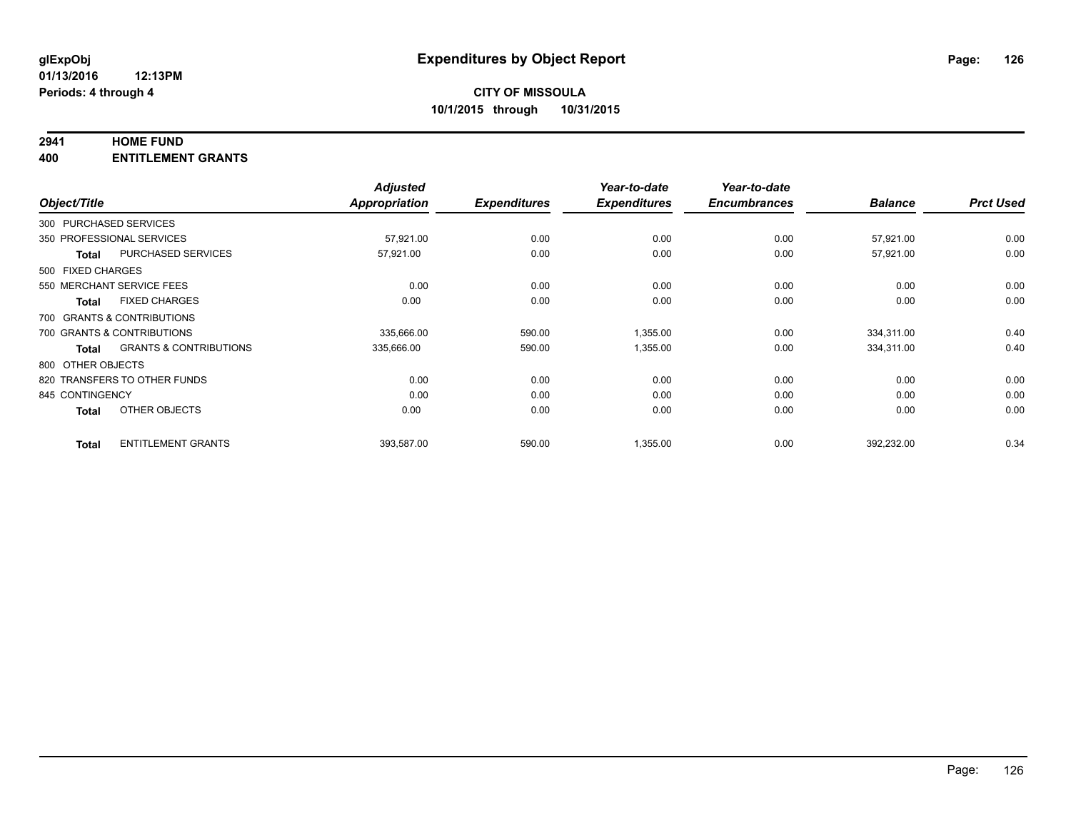## **2941 HOME FUND**

**400 ENTITLEMENT GRANTS**

|                   |                                   | <b>Adjusted</b> |                     | Year-to-date        | Year-to-date        |                |                  |
|-------------------|-----------------------------------|-----------------|---------------------|---------------------|---------------------|----------------|------------------|
| Object/Title      |                                   | Appropriation   | <b>Expenditures</b> | <b>Expenditures</b> | <b>Encumbrances</b> | <b>Balance</b> | <b>Prct Used</b> |
|                   | 300 PURCHASED SERVICES            |                 |                     |                     |                     |                |                  |
|                   | 350 PROFESSIONAL SERVICES         | 57,921.00       | 0.00                | 0.00                | 0.00                | 57,921.00      | 0.00             |
| <b>Total</b>      | <b>PURCHASED SERVICES</b>         | 57,921.00       | 0.00                | 0.00                | 0.00                | 57,921.00      | 0.00             |
| 500 FIXED CHARGES |                                   |                 |                     |                     |                     |                |                  |
|                   | 550 MERCHANT SERVICE FEES         | 0.00            | 0.00                | 0.00                | 0.00                | 0.00           | 0.00             |
| Total             | <b>FIXED CHARGES</b>              | 0.00            | 0.00                | 0.00                | 0.00                | 0.00           | 0.00             |
|                   | 700 GRANTS & CONTRIBUTIONS        |                 |                     |                     |                     |                |                  |
|                   | 700 GRANTS & CONTRIBUTIONS        | 335,666.00      | 590.00              | 1,355.00            | 0.00                | 334,311.00     | 0.40             |
| Total             | <b>GRANTS &amp; CONTRIBUTIONS</b> | 335,666.00      | 590.00              | 1,355.00            | 0.00                | 334,311.00     | 0.40             |
| 800 OTHER OBJECTS |                                   |                 |                     |                     |                     |                |                  |
|                   | 820 TRANSFERS TO OTHER FUNDS      | 0.00            | 0.00                | 0.00                | 0.00                | 0.00           | 0.00             |
| 845 CONTINGENCY   |                                   | 0.00            | 0.00                | 0.00                | 0.00                | 0.00           | 0.00             |
| <b>Total</b>      | OTHER OBJECTS                     | 0.00            | 0.00                | 0.00                | 0.00                | 0.00           | 0.00             |
| <b>Total</b>      | <b>ENTITLEMENT GRANTS</b>         | 393,587.00      | 590.00              | 1,355.00            | 0.00                | 392,232.00     | 0.34             |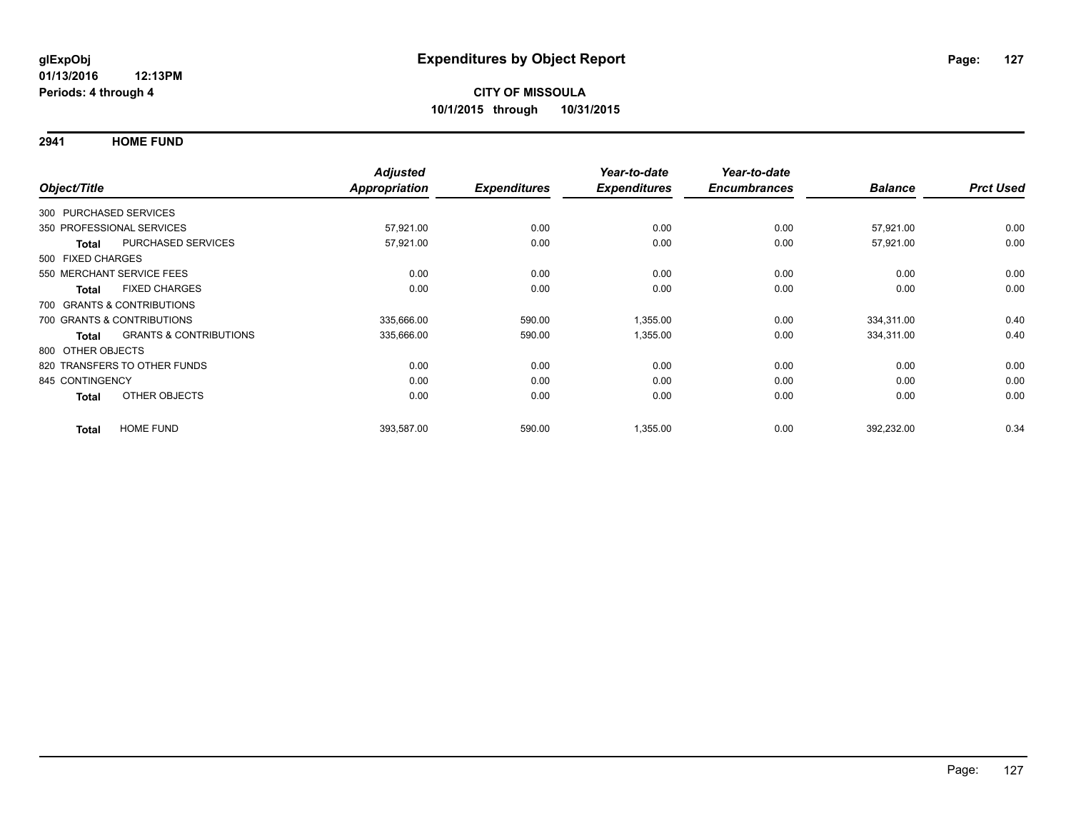**2941 HOME FUND**

| Object/Title                                      | <b>Adjusted</b><br>Appropriation | <b>Expenditures</b> | Year-to-date<br><b>Expenditures</b> | Year-to-date<br><b>Encumbrances</b> | <b>Balance</b> | <b>Prct Used</b> |
|---------------------------------------------------|----------------------------------|---------------------|-------------------------------------|-------------------------------------|----------------|------------------|
|                                                   |                                  |                     |                                     |                                     |                |                  |
| 300 PURCHASED SERVICES                            |                                  |                     |                                     |                                     |                |                  |
| 350 PROFESSIONAL SERVICES                         | 57,921.00                        | 0.00                | 0.00                                | 0.00                                | 57,921.00      | 0.00             |
| PURCHASED SERVICES<br><b>Total</b>                | 57,921.00                        | 0.00                | 0.00                                | 0.00                                | 57,921.00      | 0.00             |
| 500 FIXED CHARGES                                 |                                  |                     |                                     |                                     |                |                  |
| 550 MERCHANT SERVICE FEES                         | 0.00                             | 0.00                | 0.00                                | 0.00                                | 0.00           | 0.00             |
| <b>FIXED CHARGES</b><br><b>Total</b>              | 0.00                             | 0.00                | 0.00                                | 0.00                                | 0.00           | 0.00             |
| 700 GRANTS & CONTRIBUTIONS                        |                                  |                     |                                     |                                     |                |                  |
| 700 GRANTS & CONTRIBUTIONS                        | 335,666.00                       | 590.00              | 1,355.00                            | 0.00                                | 334,311.00     | 0.40             |
| <b>GRANTS &amp; CONTRIBUTIONS</b><br><b>Total</b> | 335,666.00                       | 590.00              | 1,355.00                            | 0.00                                | 334,311.00     | 0.40             |
| 800 OTHER OBJECTS                                 |                                  |                     |                                     |                                     |                |                  |
| 820 TRANSFERS TO OTHER FUNDS                      | 0.00                             | 0.00                | 0.00                                | 0.00                                | 0.00           | 0.00             |
| 845 CONTINGENCY                                   | 0.00                             | 0.00                | 0.00                                | 0.00                                | 0.00           | 0.00             |
| OTHER OBJECTS<br><b>Total</b>                     | 0.00                             | 0.00                | 0.00                                | 0.00                                | 0.00           | 0.00             |
|                                                   |                                  |                     |                                     |                                     |                |                  |
| <b>HOME FUND</b><br><b>Total</b>                  | 393,587.00                       | 590.00              | 1,355.00                            | 0.00                                | 392,232.00     | 0.34             |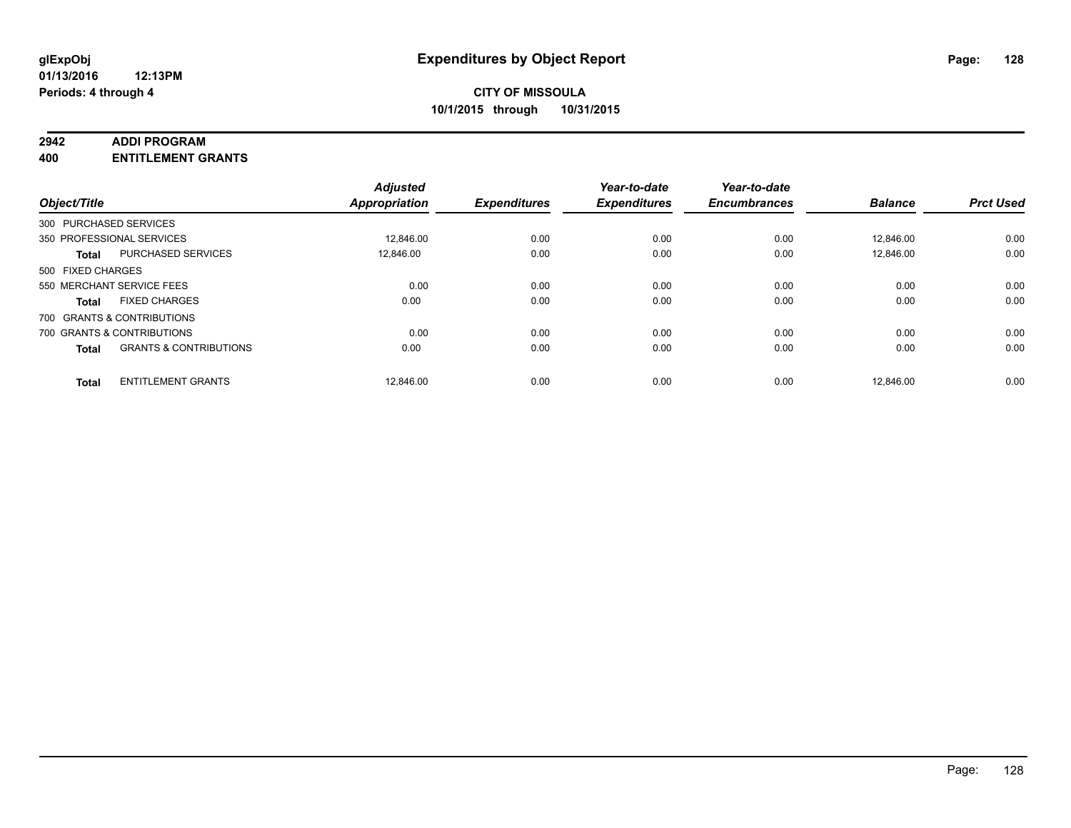### **2942 ADDI PROGRAM**

**400 ENTITLEMENT GRANTS**

|                                   | <b>Adjusted</b>                                                     |                                   | Year-to-date                | Year-to-date                |                             | <b>Prct Used</b>            |
|-----------------------------------|---------------------------------------------------------------------|-----------------------------------|-----------------------------|-----------------------------|-----------------------------|-----------------------------|
|                                   |                                                                     |                                   |                             |                             |                             |                             |
|                                   |                                                                     |                                   |                             |                             |                             |                             |
| 350 PROFESSIONAL SERVICES         | 12.846.00                                                           | 0.00                              | 0.00                        | 0.00                        | 12.846.00                   | 0.00                        |
| <b>PURCHASED SERVICES</b>         | 12.846.00                                                           | 0.00                              | 0.00                        | 0.00                        | 12.846.00                   | 0.00                        |
| 500 FIXED CHARGES                 |                                                                     |                                   |                             |                             |                             |                             |
| 550 MERCHANT SERVICE FEES         | 0.00                                                                | 0.00                              | 0.00                        | 0.00                        | 0.00                        | 0.00                        |
| <b>FIXED CHARGES</b><br>Total     | 0.00                                                                | 0.00                              | 0.00                        | 0.00                        | 0.00                        | 0.00                        |
| 700 GRANTS & CONTRIBUTIONS        |                                                                     |                                   |                             |                             |                             |                             |
| 700 GRANTS & CONTRIBUTIONS        | 0.00                                                                | 0.00                              | 0.00                        | 0.00                        | 0.00                        | 0.00                        |
| <b>GRANTS &amp; CONTRIBUTIONS</b> | 0.00                                                                | 0.00                              | 0.00                        | 0.00                        | 0.00                        | 0.00                        |
|                                   |                                                                     |                                   |                             |                             |                             | 0.00                        |
|                                   | Object/Title<br>300 PURCHASED SERVICES<br><b>ENTITLEMENT GRANTS</b> | <b>Appropriation</b><br>12.846.00 | <b>Expenditures</b><br>0.00 | <b>Expenditures</b><br>0.00 | <b>Encumbrances</b><br>0.00 | <b>Balance</b><br>12.846.00 |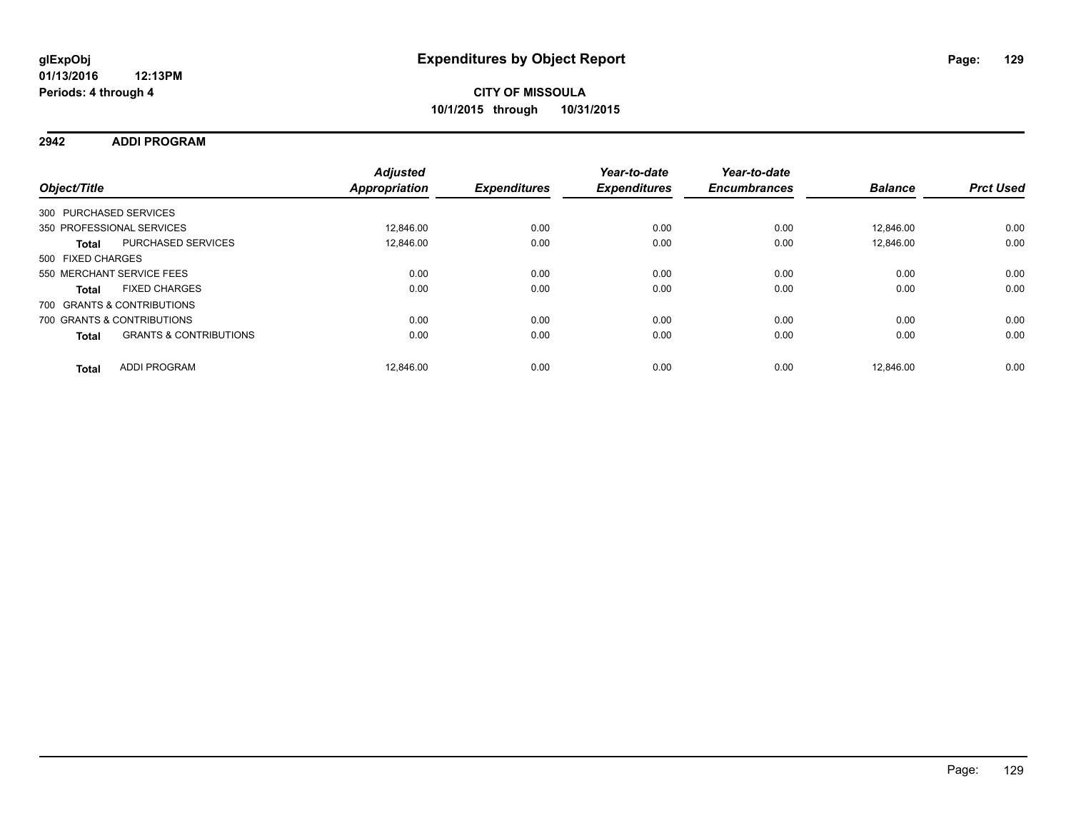### **2942 ADDI PROGRAM**

| Object/Title           |                                   | <b>Adjusted</b><br>Appropriation | <b>Expenditures</b> | Year-to-date<br><b>Expenditures</b> | Year-to-date<br><b>Encumbrances</b> | <b>Balance</b> | <b>Prct Used</b> |
|------------------------|-----------------------------------|----------------------------------|---------------------|-------------------------------------|-------------------------------------|----------------|------------------|
| 300 PURCHASED SERVICES |                                   |                                  |                     |                                     |                                     |                |                  |
|                        | 350 PROFESSIONAL SERVICES         | 12.846.00                        | 0.00                | 0.00                                | 0.00                                | 12.846.00      | 0.00             |
| <b>Total</b>           | <b>PURCHASED SERVICES</b>         | 12.846.00                        | 0.00                | 0.00                                | 0.00                                | 12.846.00      | 0.00             |
| 500 FIXED CHARGES      |                                   |                                  |                     |                                     |                                     |                |                  |
|                        | 550 MERCHANT SERVICE FEES         | 0.00                             | 0.00                | 0.00                                | 0.00                                | 0.00           | 0.00             |
| <b>Total</b>           | <b>FIXED CHARGES</b>              | 0.00                             | 0.00                | 0.00                                | 0.00                                | 0.00           | 0.00             |
|                        | 700 GRANTS & CONTRIBUTIONS        |                                  |                     |                                     |                                     |                |                  |
|                        | 700 GRANTS & CONTRIBUTIONS        | 0.00                             | 0.00                | 0.00                                | 0.00                                | 0.00           | 0.00             |
| <b>Total</b>           | <b>GRANTS &amp; CONTRIBUTIONS</b> | 0.00                             | 0.00                | 0.00                                | 0.00                                | 0.00           | 0.00             |
| <b>Total</b>           | <b>ADDI PROGRAM</b>               | 12.846.00                        | 0.00                | 0.00                                | 0.00                                | 12.846.00      | 0.00             |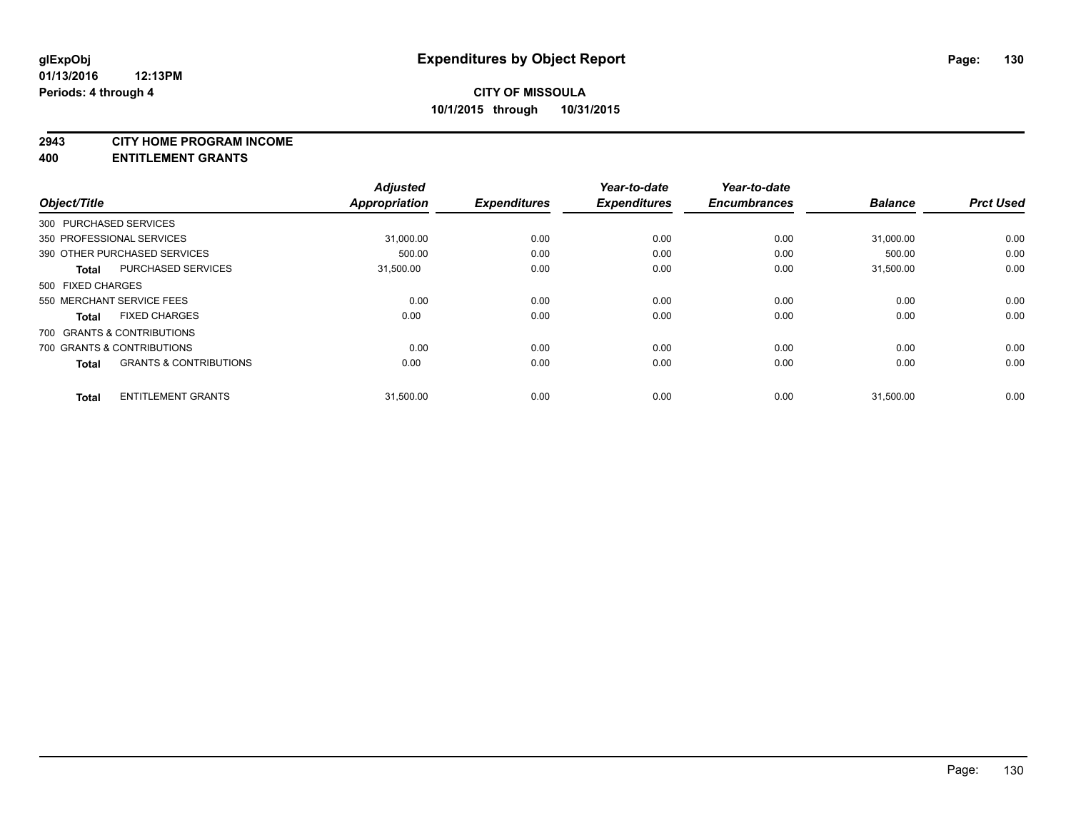### **2943 CITY HOME PROGRAM INCOME**

**400 ENTITLEMENT GRANTS**

| Object/Title      |                                   | <b>Adjusted</b><br><b>Appropriation</b> | <b>Expenditures</b> | Year-to-date<br><b>Expenditures</b> | Year-to-date<br><b>Encumbrances</b> | <b>Balance</b> | <b>Prct Used</b> |
|-------------------|-----------------------------------|-----------------------------------------|---------------------|-------------------------------------|-------------------------------------|----------------|------------------|
|                   | 300 PURCHASED SERVICES            |                                         |                     |                                     |                                     |                |                  |
|                   | 350 PROFESSIONAL SERVICES         | 31,000.00                               | 0.00                | 0.00                                | 0.00                                | 31,000.00      | 0.00             |
|                   | 390 OTHER PURCHASED SERVICES      | 500.00                                  | 0.00                | 0.00                                | 0.00                                | 500.00         | 0.00             |
| <b>Total</b>      | <b>PURCHASED SERVICES</b>         | 31,500.00                               | 0.00                | 0.00                                | 0.00                                | 31.500.00      | 0.00             |
| 500 FIXED CHARGES |                                   |                                         |                     |                                     |                                     |                |                  |
|                   | 550 MERCHANT SERVICE FEES         | 0.00                                    | 0.00                | 0.00                                | 0.00                                | 0.00           | 0.00             |
| <b>Total</b>      | <b>FIXED CHARGES</b>              | 0.00                                    | 0.00                | 0.00                                | 0.00                                | 0.00           | 0.00             |
|                   | 700 GRANTS & CONTRIBUTIONS        |                                         |                     |                                     |                                     |                |                  |
|                   | 700 GRANTS & CONTRIBUTIONS        | 0.00                                    | 0.00                | 0.00                                | 0.00                                | 0.00           | 0.00             |
| <b>Total</b>      | <b>GRANTS &amp; CONTRIBUTIONS</b> | 0.00                                    | 0.00                | 0.00                                | 0.00                                | 0.00           | 0.00             |
| <b>Total</b>      | <b>ENTITLEMENT GRANTS</b>         | 31,500.00                               | 0.00                | 0.00                                | 0.00                                | 31,500.00      | 0.00             |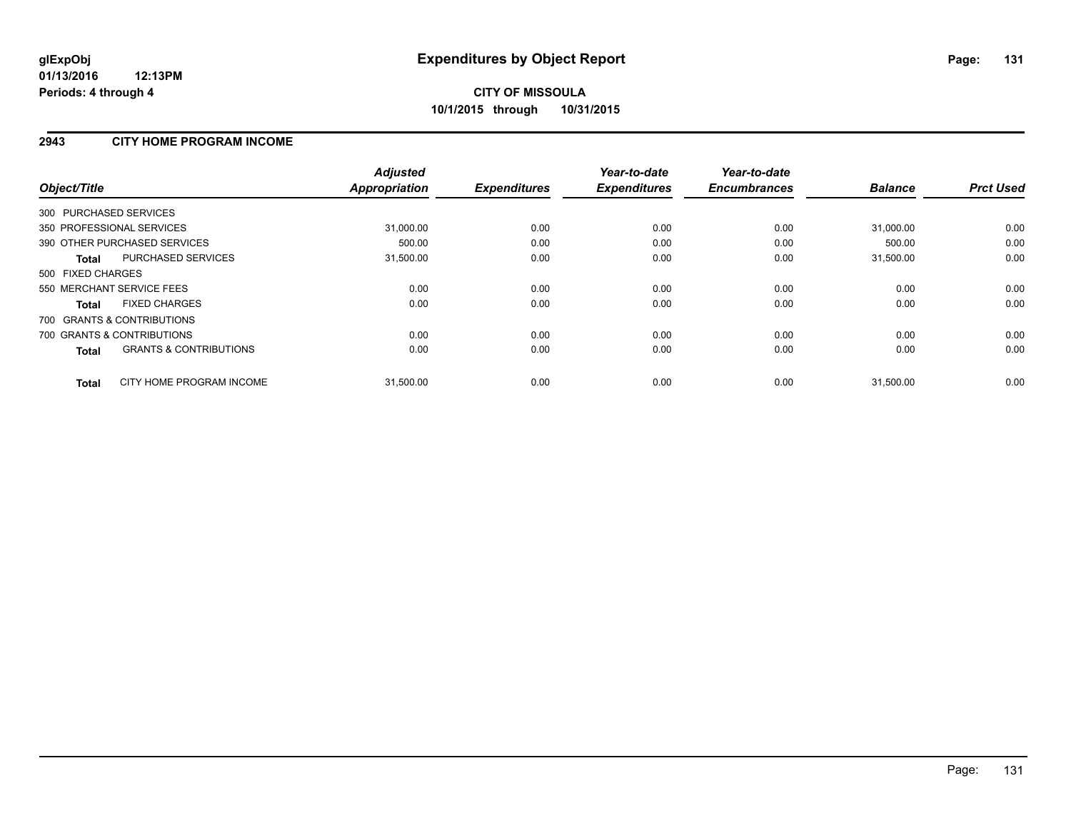### **2943 CITY HOME PROGRAM INCOME**

| Object/Title                                      | <b>Adjusted</b><br><b>Appropriation</b> | <b>Expenditures</b> | Year-to-date<br><b>Expenditures</b> | Year-to-date<br><b>Encumbrances</b> | <b>Balance</b> | <b>Prct Used</b> |
|---------------------------------------------------|-----------------------------------------|---------------------|-------------------------------------|-------------------------------------|----------------|------------------|
| 300 PURCHASED SERVICES                            |                                         |                     |                                     |                                     |                |                  |
| 350 PROFESSIONAL SERVICES                         | 31,000.00                               | 0.00                | 0.00                                | 0.00                                | 31,000.00      | 0.00             |
| 390 OTHER PURCHASED SERVICES                      | 500.00                                  | 0.00                | 0.00                                | 0.00                                | 500.00         | 0.00             |
| PURCHASED SERVICES<br>Total                       | 31,500.00                               | 0.00                | 0.00                                | 0.00                                | 31,500.00      | 0.00             |
| 500 FIXED CHARGES                                 |                                         |                     |                                     |                                     |                |                  |
| 550 MERCHANT SERVICE FEES                         | 0.00                                    | 0.00                | 0.00                                | 0.00                                | 0.00           | 0.00             |
| <b>FIXED CHARGES</b><br><b>Total</b>              | 0.00                                    | 0.00                | 0.00                                | 0.00                                | 0.00           | 0.00             |
| 700 GRANTS & CONTRIBUTIONS                        |                                         |                     |                                     |                                     |                |                  |
| 700 GRANTS & CONTRIBUTIONS                        | 0.00                                    | 0.00                | 0.00                                | 0.00                                | 0.00           | 0.00             |
| <b>GRANTS &amp; CONTRIBUTIONS</b><br><b>Total</b> | 0.00                                    | 0.00                | 0.00                                | 0.00                                | 0.00           | 0.00             |
| CITY HOME PROGRAM INCOME<br><b>Total</b>          | 31,500.00                               | 0.00                | 0.00                                | 0.00                                | 31,500.00      | 0.00             |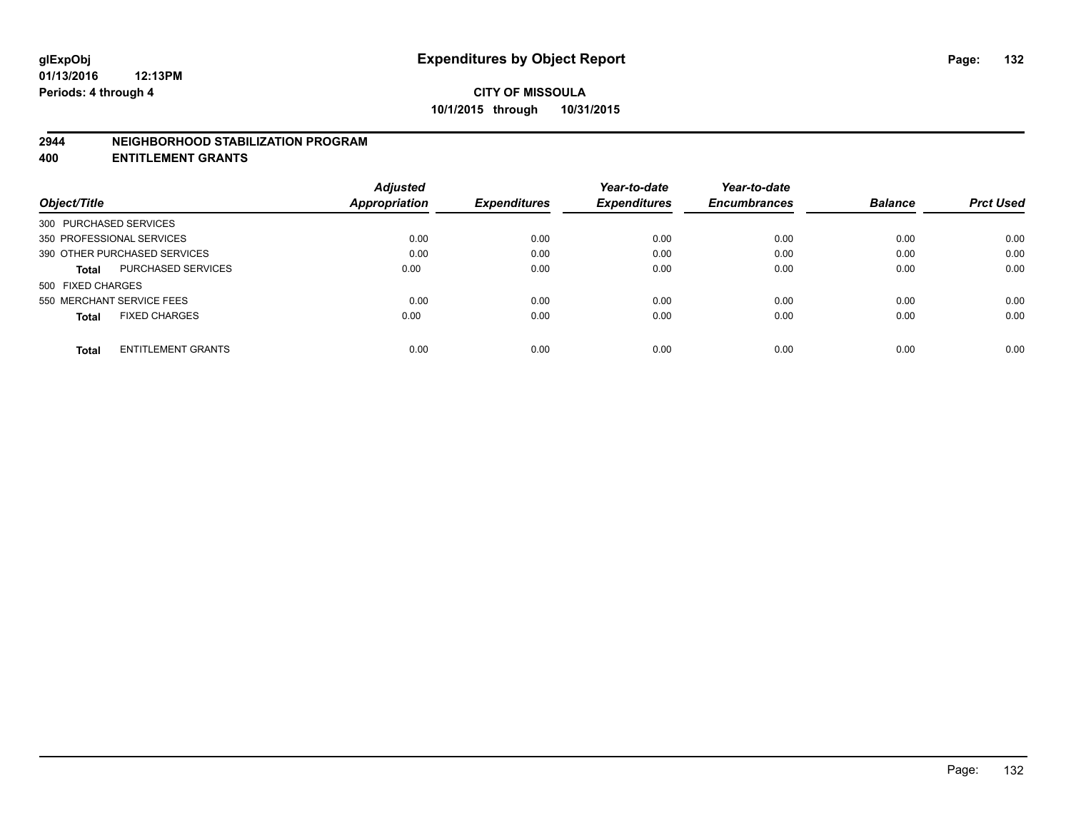### **2944 NEIGHBORHOOD STABILIZATION PROGRAM**

**400 ENTITLEMENT GRANTS**

|                                           | <b>Adjusted</b> |                     | Year-to-date        | Year-to-date        |                |                  |
|-------------------------------------------|-----------------|---------------------|---------------------|---------------------|----------------|------------------|
| Object/Title                              | Appropriation   | <b>Expenditures</b> | <b>Expenditures</b> | <b>Encumbrances</b> | <b>Balance</b> | <b>Prct Used</b> |
| 300 PURCHASED SERVICES                    |                 |                     |                     |                     |                |                  |
| 350 PROFESSIONAL SERVICES                 | 0.00            | 0.00                | 0.00                | 0.00                | 0.00           | 0.00             |
| 390 OTHER PURCHASED SERVICES              | 0.00            | 0.00                | 0.00                | 0.00                | 0.00           | 0.00             |
| <b>PURCHASED SERVICES</b><br><b>Total</b> | 0.00            | 0.00                | 0.00                | 0.00                | 0.00           | 0.00             |
| 500 FIXED CHARGES                         |                 |                     |                     |                     |                |                  |
| 550 MERCHANT SERVICE FEES                 | 0.00            | 0.00                | 0.00                | 0.00                | 0.00           | 0.00             |
| <b>FIXED CHARGES</b><br><b>Total</b>      | 0.00            | 0.00                | 0.00                | 0.00                | 0.00           | 0.00             |
| <b>ENTITLEMENT GRANTS</b><br><b>Total</b> | 0.00            | 0.00                | 0.00                | 0.00                | 0.00           | 0.00             |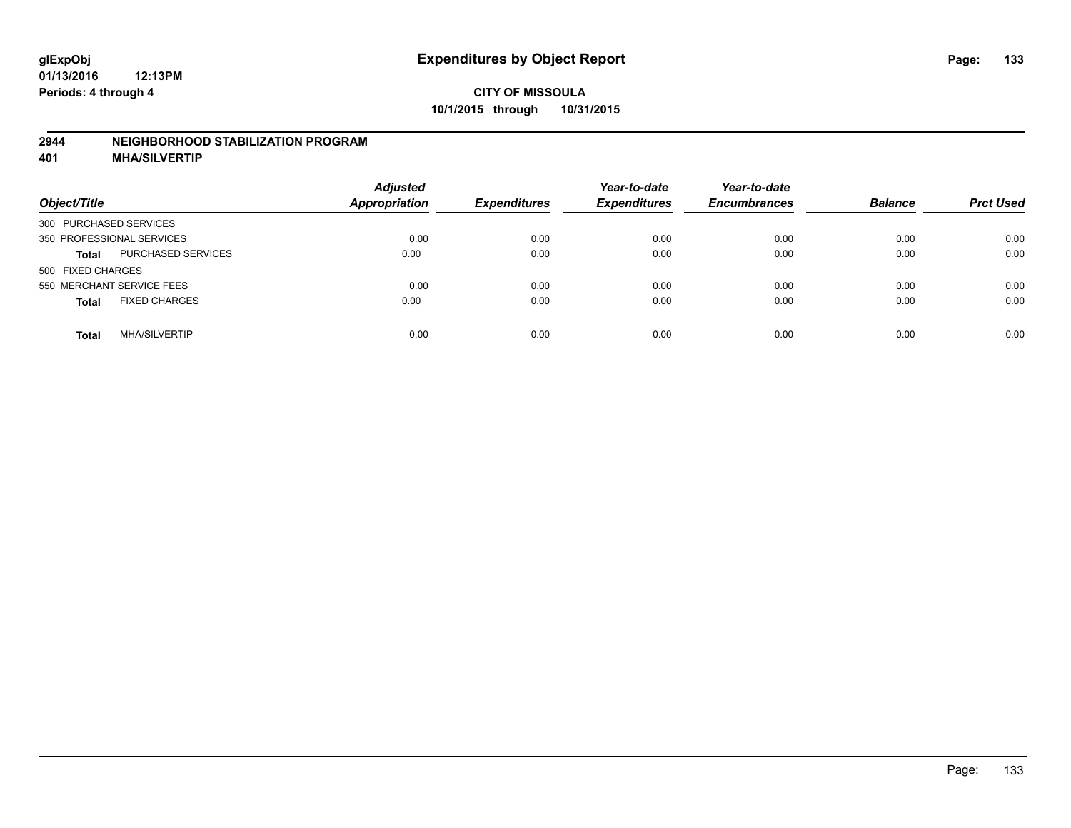### **2944 NEIGHBORHOOD STABILIZATION PROGRAM**

**401 MHA/SILVERTIP**

| Object/Title                              | <b>Adjusted</b><br><b>Appropriation</b> | <b>Expenditures</b> | Year-to-date<br><b>Expenditures</b> | Year-to-date<br><b>Encumbrances</b> | <b>Balance</b> | <b>Prct Used</b> |
|-------------------------------------------|-----------------------------------------|---------------------|-------------------------------------|-------------------------------------|----------------|------------------|
| 300 PURCHASED SERVICES                    |                                         |                     |                                     |                                     |                |                  |
| 350 PROFESSIONAL SERVICES                 | 0.00                                    | 0.00                | 0.00                                | 0.00                                | 0.00           | 0.00             |
| <b>PURCHASED SERVICES</b><br><b>Total</b> | 0.00                                    | 0.00                | 0.00                                | 0.00                                | 0.00           | 0.00             |
| 500 FIXED CHARGES                         |                                         |                     |                                     |                                     |                |                  |
| 550 MERCHANT SERVICE FEES                 | 0.00                                    | 0.00                | 0.00                                | 0.00                                | 0.00           | 0.00             |
| <b>FIXED CHARGES</b><br><b>Total</b>      | 0.00                                    | 0.00                | 0.00                                | 0.00                                | 0.00           | 0.00             |
| <b>MHA/SILVERTIP</b><br>Total             | 0.00                                    | 0.00                | 0.00                                | 0.00                                | 0.00           | 0.00             |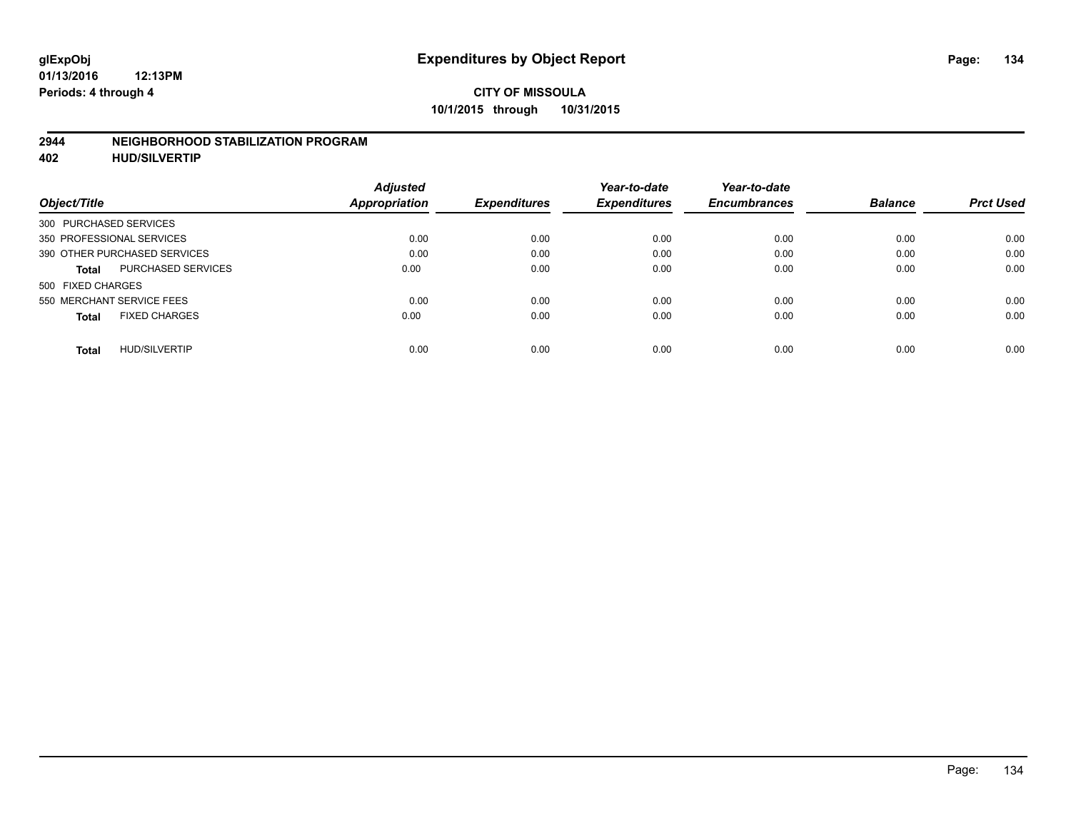### **2944 NEIGHBORHOOD STABILIZATION PROGRAM**

**402 HUD/SILVERTIP**

| <b>Adjusted</b> |               | Year-to-date        | Year-to-date        |                     | <b>Prct Used</b> |
|-----------------|---------------|---------------------|---------------------|---------------------|------------------|
|                 |               |                     |                     |                     |                  |
|                 |               |                     |                     |                     |                  |
| 0.00            | 0.00          | 0.00                | 0.00                | 0.00                | 0.00             |
| 0.00            | 0.00          | 0.00                | 0.00                | 0.00                | 0.00             |
| 0.00            | 0.00          | 0.00                | 0.00                | 0.00                | 0.00             |
|                 |               |                     |                     |                     |                  |
| 0.00            | 0.00          | 0.00                | 0.00                | 0.00                | 0.00             |
| 0.00            | 0.00          | 0.00                | 0.00                | 0.00                | 0.00             |
| 0.00            | 0.00          | 0.00                | 0.00                | 0.00                | 0.00             |
|                 | Appropriation | <b>Expenditures</b> | <b>Expenditures</b> | <b>Encumbrances</b> | <b>Balance</b>   |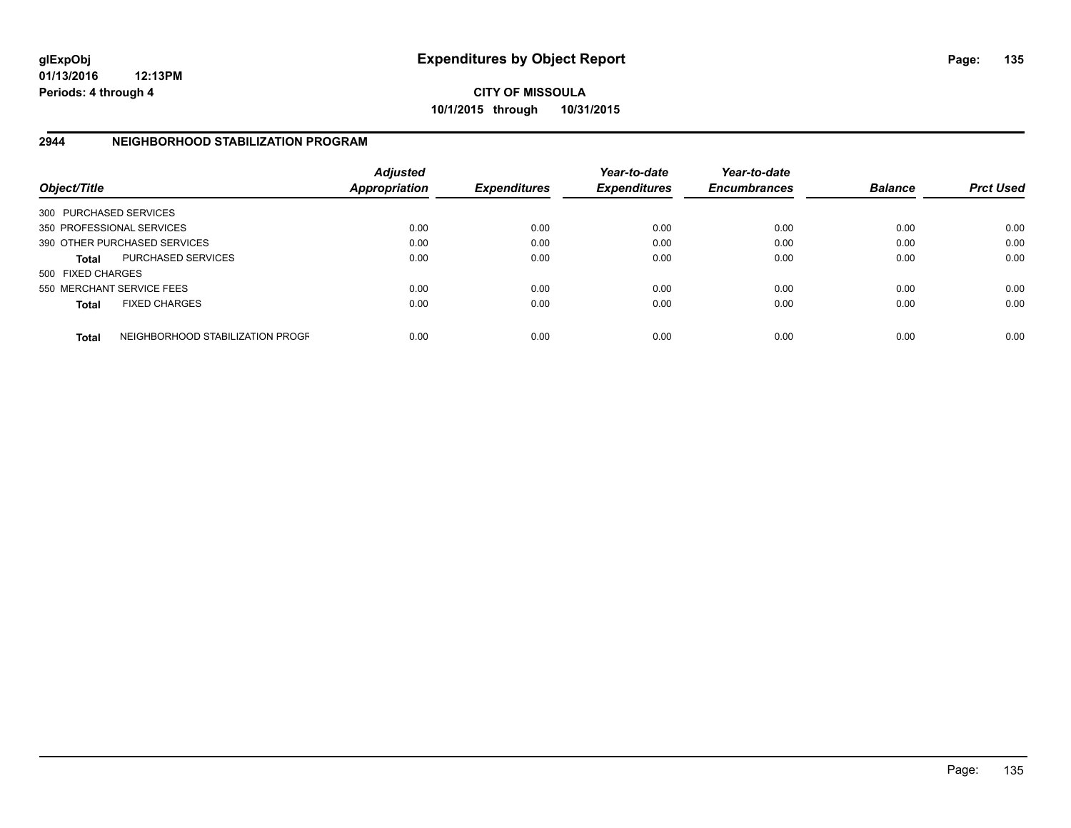**01/13/2016 12:13PM Periods: 4 through 4**

**CITY OF MISSOULA 10/1/2015 through 10/31/2015**

### **2944 NEIGHBORHOOD STABILIZATION PROGRAM**

| Object/Title           |                                  | <b>Adjusted</b><br><b>Appropriation</b> | <b>Expenditures</b> | Year-to-date<br><b>Expenditures</b> | Year-to-date<br><b>Encumbrances</b> | <b>Balance</b> | <b>Prct Used</b> |
|------------------------|----------------------------------|-----------------------------------------|---------------------|-------------------------------------|-------------------------------------|----------------|------------------|
| 300 PURCHASED SERVICES |                                  |                                         |                     |                                     |                                     |                |                  |
|                        | 350 PROFESSIONAL SERVICES        | 0.00                                    | 0.00                | 0.00                                | 0.00                                | 0.00           | 0.00             |
|                        | 390 OTHER PURCHASED SERVICES     | 0.00                                    | 0.00                | 0.00                                | 0.00                                | 0.00           | 0.00             |
| <b>Total</b>           | <b>PURCHASED SERVICES</b>        | 0.00                                    | 0.00                | 0.00                                | 0.00                                | 0.00           | 0.00             |
| 500 FIXED CHARGES      |                                  |                                         |                     |                                     |                                     |                |                  |
|                        | 550 MERCHANT SERVICE FEES        | 0.00                                    | 0.00                | 0.00                                | 0.00                                | 0.00           | 0.00             |
| <b>Total</b>           | <b>FIXED CHARGES</b>             | 0.00                                    | 0.00                | 0.00                                | 0.00                                | 0.00           | 0.00             |
| <b>Total</b>           | NEIGHBORHOOD STABILIZATION PROGF | 0.00                                    | 0.00                | 0.00                                | 0.00                                | 0.00           | 0.00             |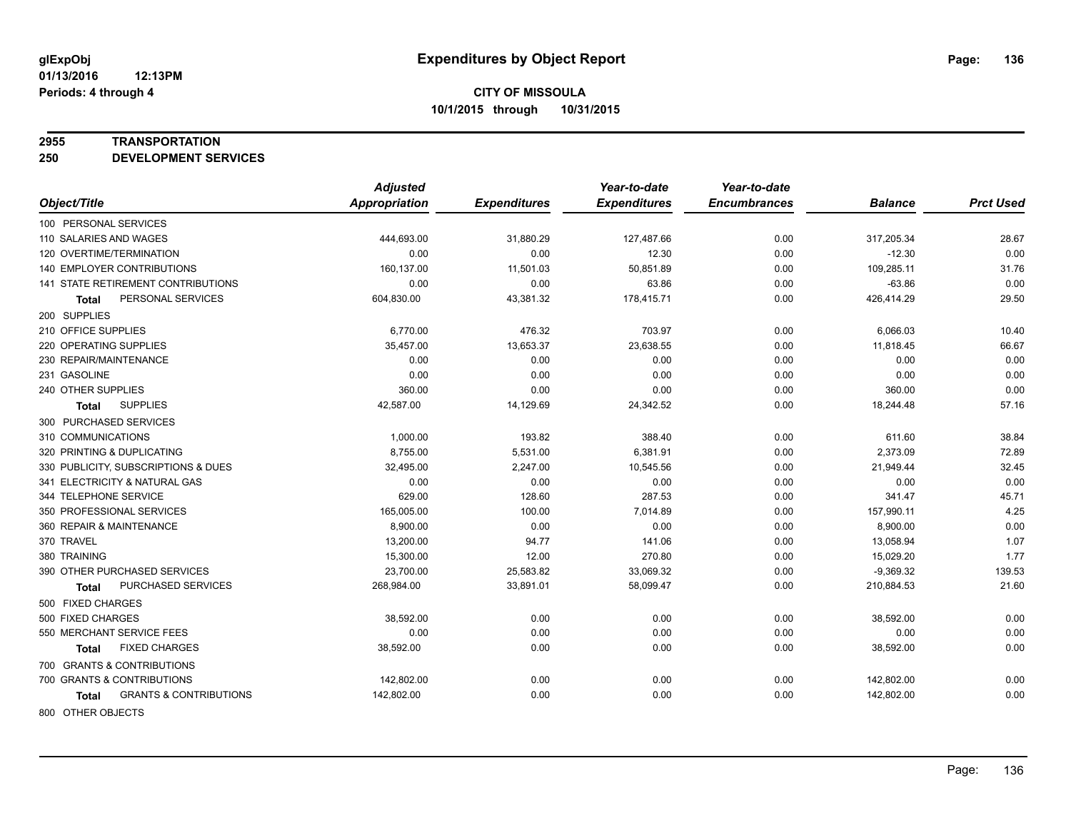### **2955 TRANSPORTATION**

**250 DEVELOPMENT SERVICES**

|                                            | <b>Adjusted</b>      |                     | Year-to-date        | Year-to-date        |                |                  |
|--------------------------------------------|----------------------|---------------------|---------------------|---------------------|----------------|------------------|
| Object/Title                               | <b>Appropriation</b> | <b>Expenditures</b> | <b>Expenditures</b> | <b>Encumbrances</b> | <b>Balance</b> | <b>Prct Used</b> |
| 100 PERSONAL SERVICES                      |                      |                     |                     |                     |                |                  |
| 110 SALARIES AND WAGES                     | 444,693.00           | 31,880.29           | 127,487.66          | 0.00                | 317,205.34     | 28.67            |
| 120 OVERTIME/TERMINATION                   | 0.00                 | 0.00                | 12.30               | 0.00                | $-12.30$       | 0.00             |
| 140 EMPLOYER CONTRIBUTIONS                 | 160,137.00           | 11,501.03           | 50,851.89           | 0.00                | 109,285.11     | 31.76            |
| 141 STATE RETIREMENT CONTRIBUTIONS         | 0.00                 | 0.00                | 63.86               | 0.00                | $-63.86$       | 0.00             |
| PERSONAL SERVICES<br><b>Total</b>          | 604,830.00           | 43,381.32           | 178,415.71          | 0.00                | 426,414.29     | 29.50            |
| 200 SUPPLIES                               |                      |                     |                     |                     |                |                  |
| 210 OFFICE SUPPLIES                        | 6,770.00             | 476.32              | 703.97              | 0.00                | 6,066.03       | 10.40            |
| 220 OPERATING SUPPLIES                     | 35,457.00            | 13,653.37           | 23,638.55           | 0.00                | 11,818.45      | 66.67            |
| 230 REPAIR/MAINTENANCE                     | 0.00                 | 0.00                | 0.00                | 0.00                | 0.00           | 0.00             |
| 231 GASOLINE                               | 0.00                 | 0.00                | 0.00                | 0.00                | 0.00           | 0.00             |
| 240 OTHER SUPPLIES                         | 360.00               | 0.00                | 0.00                | 0.00                | 360.00         | 0.00             |
| <b>SUPPLIES</b><br>Total                   | 42,587.00            | 14,129.69           | 24,342.52           | 0.00                | 18,244.48      | 57.16            |
| 300 PURCHASED SERVICES                     |                      |                     |                     |                     |                |                  |
| 310 COMMUNICATIONS                         | 1,000.00             | 193.82              | 388.40              | 0.00                | 611.60         | 38.84            |
| 320 PRINTING & DUPLICATING                 | 8,755.00             | 5,531.00            | 6,381.91            | 0.00                | 2,373.09       | 72.89            |
| 330 PUBLICITY, SUBSCRIPTIONS & DUES        | 32,495.00            | 2,247.00            | 10,545.56           | 0.00                | 21,949.44      | 32.45            |
| 341 ELECTRICITY & NATURAL GAS              | 0.00                 | 0.00                | 0.00                | 0.00                | 0.00           | 0.00             |
| 344 TELEPHONE SERVICE                      | 629.00               | 128.60              | 287.53              | 0.00                | 341.47         | 45.71            |
| 350 PROFESSIONAL SERVICES                  | 165,005.00           | 100.00              | 7,014.89            | 0.00                | 157,990.11     | 4.25             |
| 360 REPAIR & MAINTENANCE                   | 8,900.00             | 0.00                | 0.00                | 0.00                | 8,900.00       | 0.00             |
| 370 TRAVEL                                 | 13,200.00            | 94.77               | 141.06              | 0.00                | 13,058.94      | 1.07             |
| 380 TRAINING                               | 15,300.00            | 12.00               | 270.80              | 0.00                | 15,029.20      | 1.77             |
| 390 OTHER PURCHASED SERVICES               | 23,700.00            | 25,583.82           | 33,069.32           | 0.00                | $-9,369.32$    | 139.53           |
| PURCHASED SERVICES<br>Total                | 268,984.00           | 33,891.01           | 58,099.47           | 0.00                | 210,884.53     | 21.60            |
| 500 FIXED CHARGES                          |                      |                     |                     |                     |                |                  |
| 500 FIXED CHARGES                          | 38,592.00            | 0.00                | 0.00                | 0.00                | 38,592.00      | 0.00             |
| 550 MERCHANT SERVICE FEES                  | 0.00                 | 0.00                | 0.00                | 0.00                | 0.00           | 0.00             |
| <b>FIXED CHARGES</b><br><b>Total</b>       | 38,592.00            | 0.00                | 0.00                | 0.00                | 38,592.00      | 0.00             |
| 700 GRANTS & CONTRIBUTIONS                 |                      |                     |                     |                     |                |                  |
| 700 GRANTS & CONTRIBUTIONS                 | 142,802.00           | 0.00                | 0.00                | 0.00                | 142,802.00     | 0.00             |
| <b>GRANTS &amp; CONTRIBUTIONS</b><br>Total | 142,802.00           | 0.00                | 0.00                | 0.00                | 142,802.00     | 0.00             |
|                                            |                      |                     |                     |                     |                |                  |

800 OTHER OBJECTS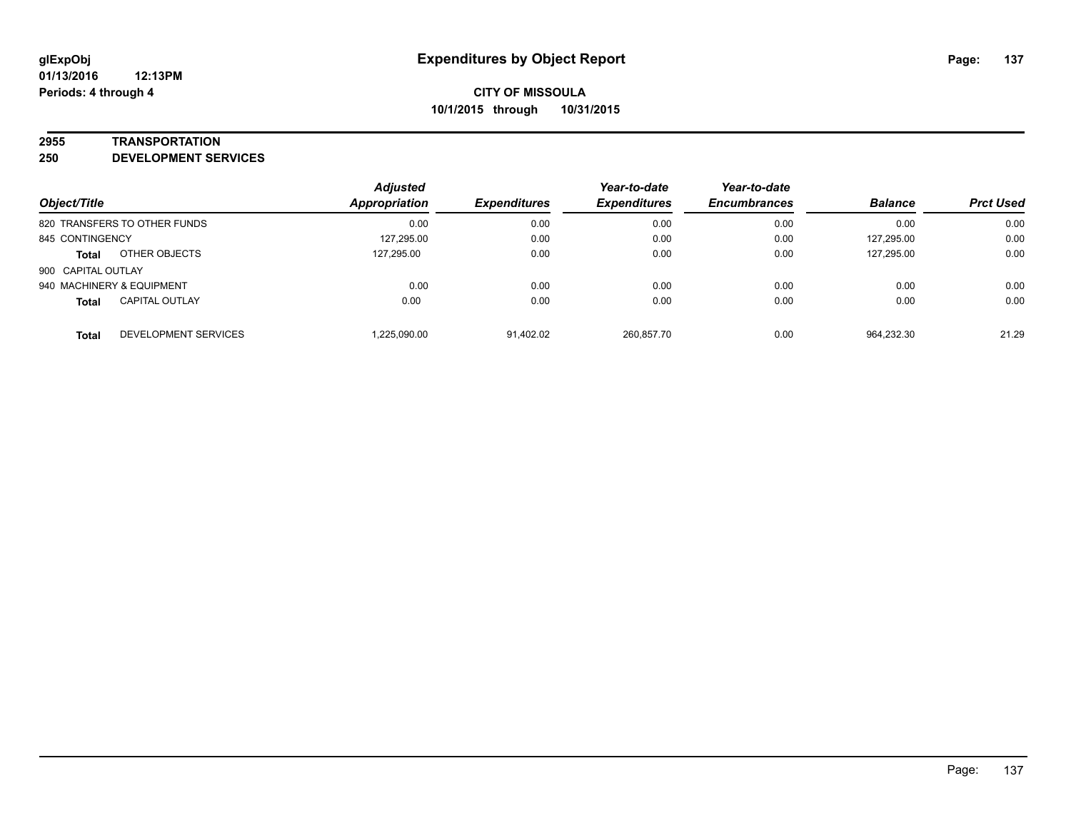### **2955 TRANSPORTATION**

**250 DEVELOPMENT SERVICES**

| Object/Title                                | <b>Adjusted</b><br>Appropriation | <b>Expenditures</b> | Year-to-date<br><b>Expenditures</b> | Year-to-date<br><b>Encumbrances</b> | <b>Balance</b> | <b>Prct Used</b> |
|---------------------------------------------|----------------------------------|---------------------|-------------------------------------|-------------------------------------|----------------|------------------|
| 820 TRANSFERS TO OTHER FUNDS                | 0.00                             | 0.00                | 0.00                                | 0.00                                | 0.00           | 0.00             |
| 845 CONTINGENCY                             | 127,295.00                       | 0.00                | 0.00                                | 0.00                                | 127,295.00     | 0.00             |
| OTHER OBJECTS<br><b>Total</b>               | 127,295.00                       | 0.00                | 0.00                                | 0.00                                | 127,295.00     | 0.00             |
| 900 CAPITAL OUTLAY                          |                                  |                     |                                     |                                     |                |                  |
| 940 MACHINERY & EQUIPMENT                   | 0.00                             | 0.00                | 0.00                                | 0.00                                | 0.00           | 0.00             |
| <b>CAPITAL OUTLAY</b><br><b>Total</b>       | 0.00                             | 0.00                | 0.00                                | 0.00                                | 0.00           | 0.00             |
| <b>DEVELOPMENT SERVICES</b><br><b>Total</b> | 1,225,090.00                     | 91,402.02           | 260,857.70                          | 0.00                                | 964,232.30     | 21.29            |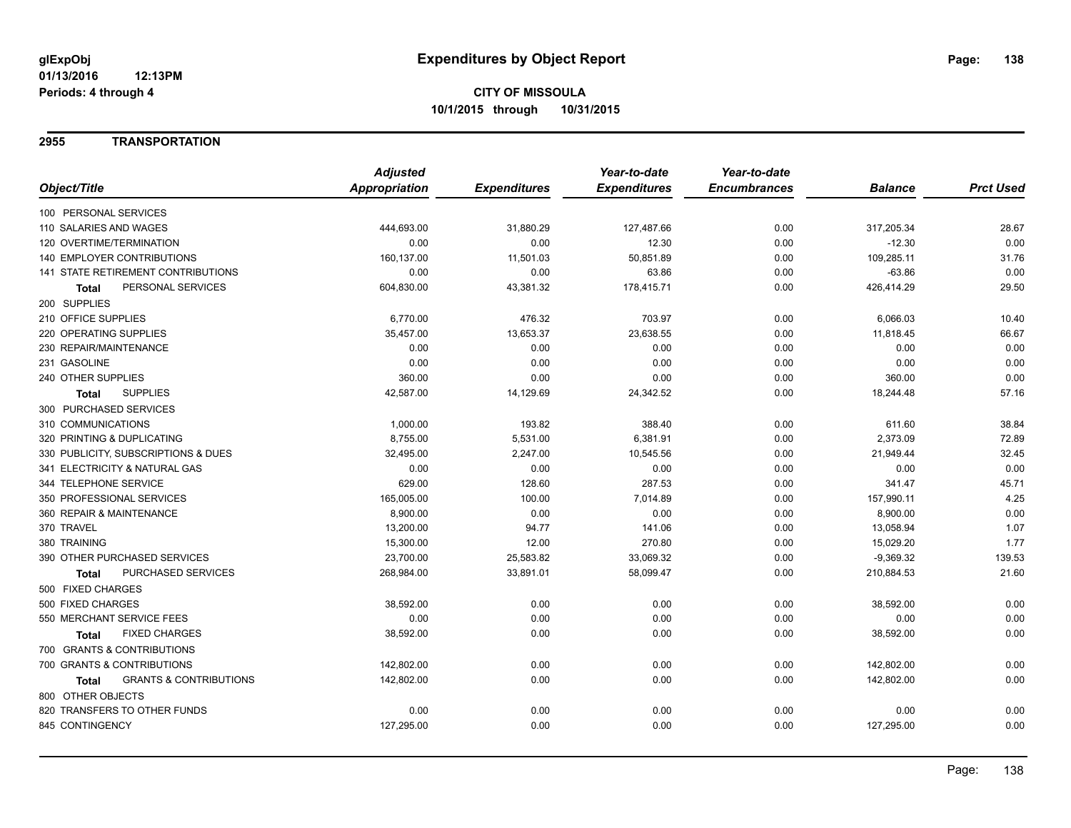### **2955 TRANSPORTATION**

|                                            | <b>Adjusted</b>      |                     | Year-to-date        | Year-to-date        |                |                  |
|--------------------------------------------|----------------------|---------------------|---------------------|---------------------|----------------|------------------|
| Object/Title                               | <b>Appropriation</b> | <b>Expenditures</b> | <b>Expenditures</b> | <b>Encumbrances</b> | <b>Balance</b> | <b>Prct Used</b> |
| 100 PERSONAL SERVICES                      |                      |                     |                     |                     |                |                  |
| 110 SALARIES AND WAGES                     | 444,693.00           | 31,880.29           | 127,487.66          | 0.00                | 317,205.34     | 28.67            |
| 120 OVERTIME/TERMINATION                   | 0.00                 | 0.00                | 12.30               | 0.00                | $-12.30$       | 0.00             |
| 140 EMPLOYER CONTRIBUTIONS                 | 160,137.00           | 11,501.03           | 50,851.89           | 0.00                | 109,285.11     | 31.76            |
| 141 STATE RETIREMENT CONTRIBUTIONS         | 0.00                 | 0.00                | 63.86               | 0.00                | $-63.86$       | 0.00             |
| PERSONAL SERVICES<br>Total                 | 604,830.00           | 43,381.32           | 178,415.71          | 0.00                | 426,414.29     | 29.50            |
| 200 SUPPLIES                               |                      |                     |                     |                     |                |                  |
| 210 OFFICE SUPPLIES                        | 6,770.00             | 476.32              | 703.97              | 0.00                | 6,066.03       | 10.40            |
| 220 OPERATING SUPPLIES                     | 35,457.00            | 13,653.37           | 23,638.55           | 0.00                | 11,818.45      | 66.67            |
| 230 REPAIR/MAINTENANCE                     | 0.00                 | 0.00                | 0.00                | 0.00                | 0.00           | 0.00             |
| 231 GASOLINE                               | 0.00                 | 0.00                | 0.00                | 0.00                | 0.00           | 0.00             |
| 240 OTHER SUPPLIES                         | 360.00               | 0.00                | 0.00                | 0.00                | 360.00         | 0.00             |
| <b>SUPPLIES</b><br>Total                   | 42,587.00            | 14,129.69           | 24,342.52           | 0.00                | 18,244.48      | 57.16            |
| 300 PURCHASED SERVICES                     |                      |                     |                     |                     |                |                  |
| 310 COMMUNICATIONS                         | 1,000.00             | 193.82              | 388.40              | 0.00                | 611.60         | 38.84            |
| 320 PRINTING & DUPLICATING                 | 8,755.00             | 5,531.00            | 6,381.91            | 0.00                | 2,373.09       | 72.89            |
| 330 PUBLICITY, SUBSCRIPTIONS & DUES        | 32,495.00            | 2,247.00            | 10,545.56           | 0.00                | 21,949.44      | 32.45            |
| 341 ELECTRICITY & NATURAL GAS              | 0.00                 | 0.00                | 0.00                | 0.00                | 0.00           | 0.00             |
| 344 TELEPHONE SERVICE                      | 629.00               | 128.60              | 287.53              | 0.00                | 341.47         | 45.71            |
| 350 PROFESSIONAL SERVICES                  | 165,005.00           | 100.00              | 7,014.89            | 0.00                | 157,990.11     | 4.25             |
| 360 REPAIR & MAINTENANCE                   | 8,900.00             | 0.00                | 0.00                | 0.00                | 8,900.00       | 0.00             |
| 370 TRAVEL                                 | 13,200.00            | 94.77               | 141.06              | 0.00                | 13,058.94      | 1.07             |
| 380 TRAINING                               | 15,300.00            | 12.00               | 270.80              | 0.00                | 15,029.20      | 1.77             |
| 390 OTHER PURCHASED SERVICES               | 23,700.00            | 25,583.82           | 33,069.32           | 0.00                | $-9,369.32$    | 139.53           |
| PURCHASED SERVICES<br>Total                | 268,984.00           | 33,891.01           | 58,099.47           | 0.00                | 210,884.53     | 21.60            |
| 500 FIXED CHARGES                          |                      |                     |                     |                     |                |                  |
| 500 FIXED CHARGES                          | 38,592.00            | 0.00                | 0.00                | 0.00                | 38,592.00      | 0.00             |
| 550 MERCHANT SERVICE FEES                  | 0.00                 | 0.00                | 0.00                | 0.00                | 0.00           | 0.00             |
| <b>FIXED CHARGES</b><br>Total              | 38,592.00            | 0.00                | 0.00                | 0.00                | 38,592.00      | 0.00             |
| 700 GRANTS & CONTRIBUTIONS                 |                      |                     |                     |                     |                |                  |
| 700 GRANTS & CONTRIBUTIONS                 | 142,802.00           | 0.00                | 0.00                | 0.00                | 142,802.00     | 0.00             |
| <b>GRANTS &amp; CONTRIBUTIONS</b><br>Total | 142,802.00           | 0.00                | 0.00                | 0.00                | 142,802.00     | 0.00             |
| 800 OTHER OBJECTS                          |                      |                     |                     |                     |                |                  |
| 820 TRANSFERS TO OTHER FUNDS               | 0.00                 | 0.00                | 0.00                | 0.00                | 0.00           | 0.00             |
| 845 CONTINGENCY                            | 127,295.00           | 0.00                | 0.00                | 0.00                | 127,295.00     | 0.00             |
|                                            |                      |                     |                     |                     |                |                  |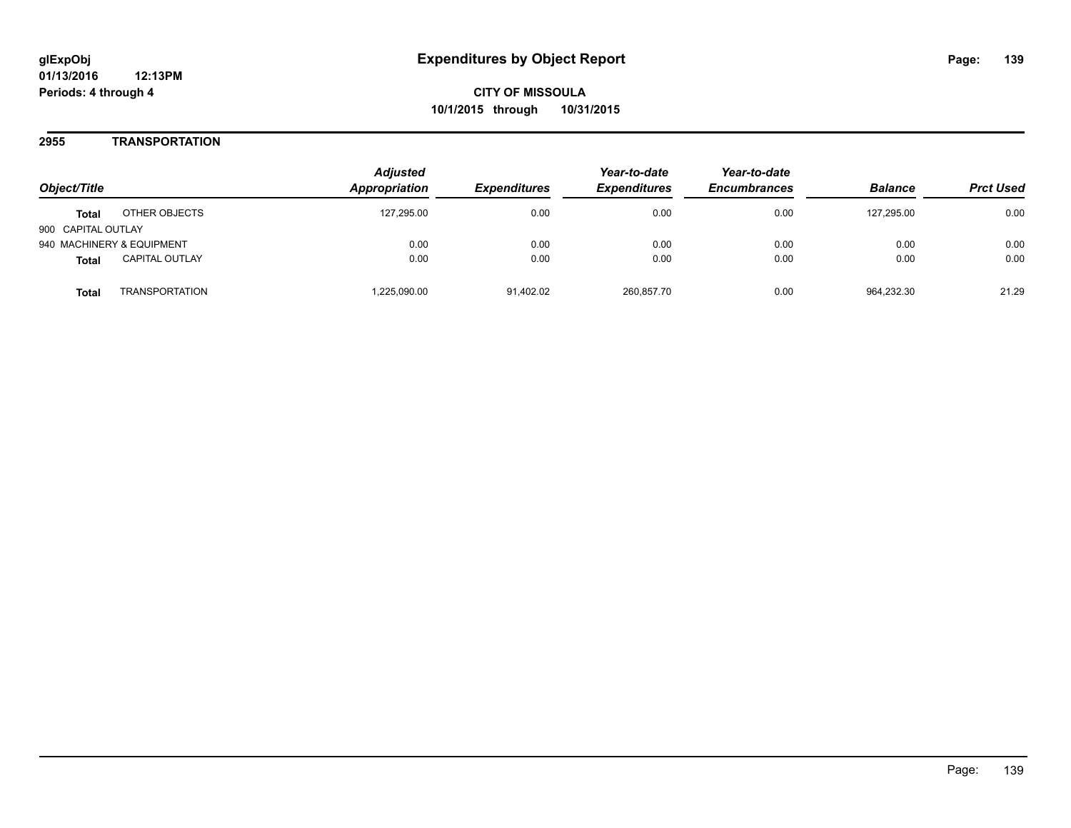**01/13/2016 12:13PM Periods: 4 through 4**

**CITY OF MISSOULA 10/1/2015 through 10/31/2015**

### **2955 TRANSPORTATION**

| Object/Title                          | <b>Adjusted</b><br><b>Appropriation</b> | <i><b>Expenditures</b></i> | Year-to-date<br><b>Expenditures</b> | Year-to-date<br><b>Encumbrances</b> | <b>Balance</b> | <b>Prct Used</b> |
|---------------------------------------|-----------------------------------------|----------------------------|-------------------------------------|-------------------------------------|----------------|------------------|
| OTHER OBJECTS<br><b>Total</b>         | 127.295.00                              | 0.00                       | 0.00                                | 0.00                                | 127.295.00     | 0.00             |
| 900 CAPITAL OUTLAY                    |                                         |                            |                                     |                                     |                |                  |
| 940 MACHINERY & EQUIPMENT             | 0.00                                    | 0.00                       | 0.00                                | 0.00                                | 0.00           | 0.00             |
| <b>CAPITAL OUTLAY</b><br><b>Total</b> | 0.00                                    | 0.00                       | 0.00                                | 0.00                                | 0.00           | 0.00             |
| <b>TRANSPORTATION</b><br>Total        | .225,090.00                             | 91,402.02                  | 260,857.70                          | 0.00                                | 964.232.30     | 21.29            |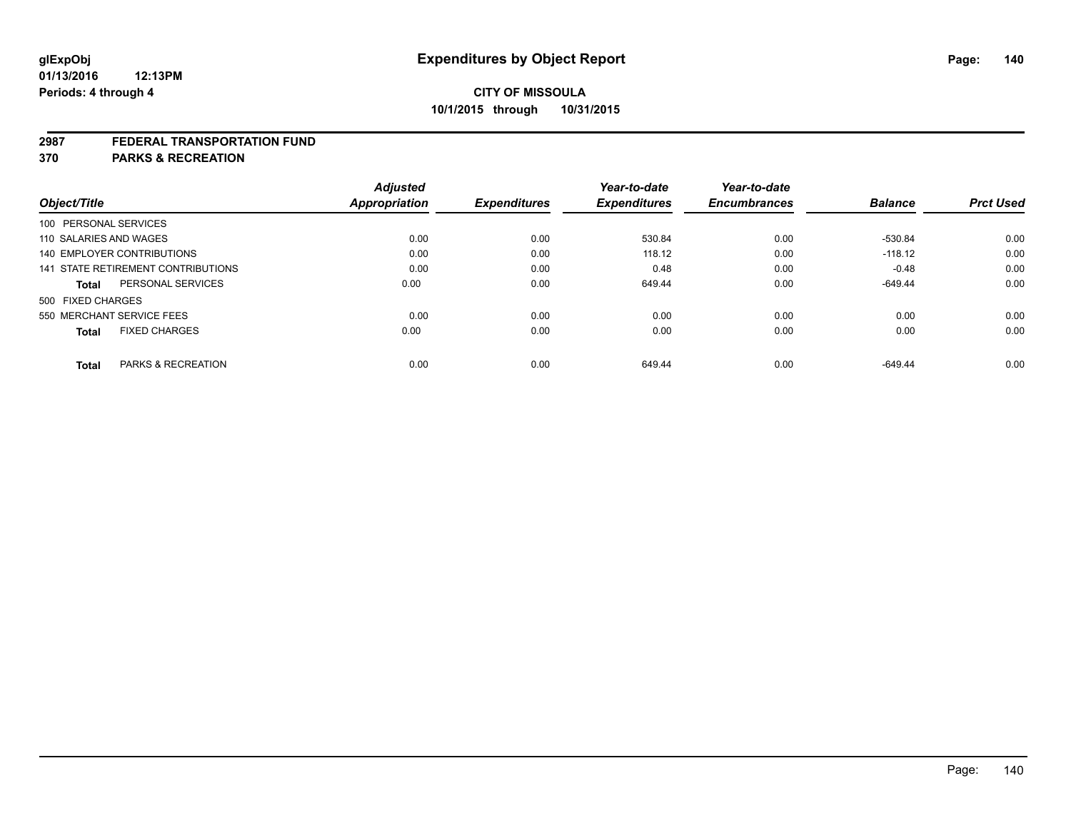### **2987 FEDERAL TRANSPORTATION FUND**

**370 PARKS & RECREATION**

| Object/Title           |                                    | <b>Adjusted</b><br><b>Appropriation</b> | <b>Expenditures</b> | Year-to-date<br><b>Expenditures</b> | Year-to-date<br><b>Encumbrances</b> | <b>Balance</b> | <b>Prct Used</b> |
|------------------------|------------------------------------|-----------------------------------------|---------------------|-------------------------------------|-------------------------------------|----------------|------------------|
| 100 PERSONAL SERVICES  |                                    |                                         |                     |                                     |                                     |                |                  |
| 110 SALARIES AND WAGES |                                    | 0.00                                    | 0.00                | 530.84                              | 0.00                                | $-530.84$      | 0.00             |
|                        | 140 EMPLOYER CONTRIBUTIONS         | 0.00                                    | 0.00                | 118.12                              | 0.00                                | $-118.12$      | 0.00             |
|                        | 141 STATE RETIREMENT CONTRIBUTIONS | 0.00                                    | 0.00                | 0.48                                | 0.00                                | $-0.48$        | 0.00             |
| <b>Total</b>           | PERSONAL SERVICES                  | 0.00                                    | 0.00                | 649.44                              | 0.00                                | $-649.44$      | 0.00             |
| 500 FIXED CHARGES      |                                    |                                         |                     |                                     |                                     |                |                  |
|                        | 550 MERCHANT SERVICE FEES          | 0.00                                    | 0.00                | 0.00                                | 0.00                                | 0.00           | 0.00             |
| <b>Total</b>           | <b>FIXED CHARGES</b>               | 0.00                                    | 0.00                | 0.00                                | 0.00                                | 0.00           | 0.00             |
|                        |                                    |                                         |                     |                                     |                                     |                |                  |
| <b>Total</b>           | <b>PARKS &amp; RECREATION</b>      | 0.00                                    | 0.00                | 649.44                              | 0.00                                | $-649.44$      | 0.00             |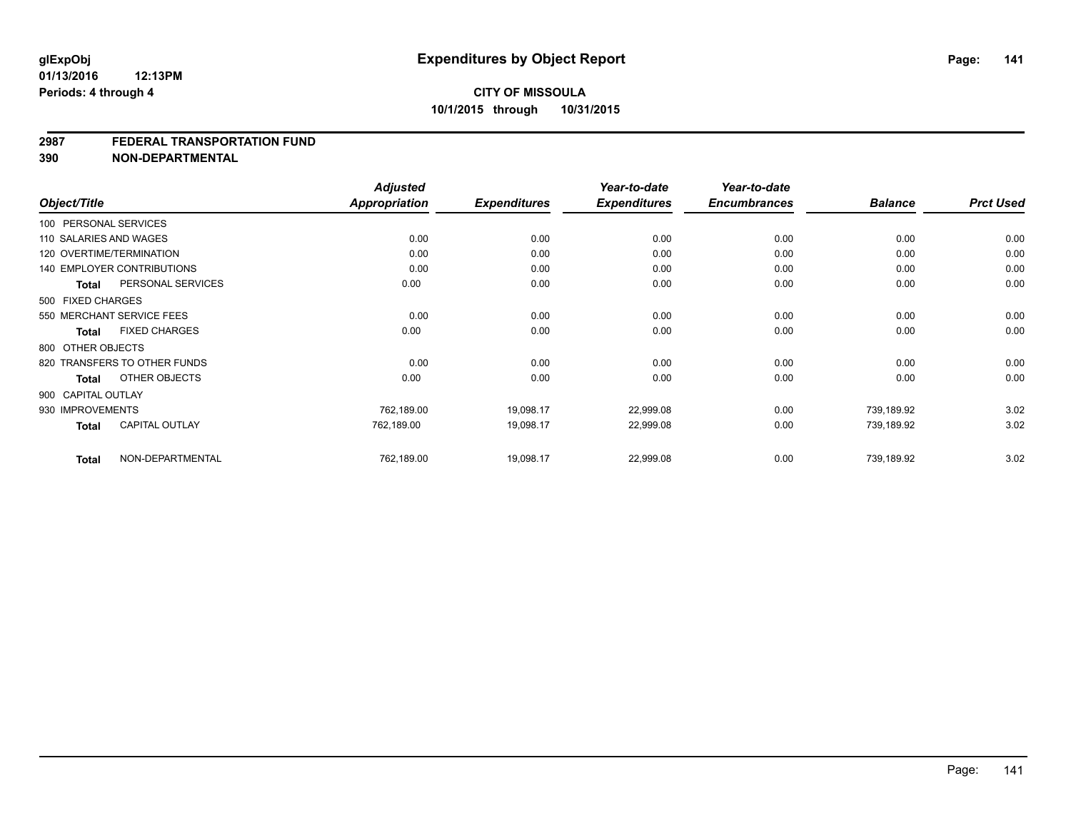### **2987 FEDERAL TRANSPORTATION FUND**

**390 NON-DEPARTMENTAL**

|                    |                                   | <b>Adjusted</b>      |                     | Year-to-date        | Year-to-date        |                |                  |
|--------------------|-----------------------------------|----------------------|---------------------|---------------------|---------------------|----------------|------------------|
| Object/Title       |                                   | <b>Appropriation</b> | <b>Expenditures</b> | <b>Expenditures</b> | <b>Encumbrances</b> | <b>Balance</b> | <b>Prct Used</b> |
|                    | 100 PERSONAL SERVICES             |                      |                     |                     |                     |                |                  |
|                    | 110 SALARIES AND WAGES            | 0.00                 | 0.00                | 0.00                | 0.00                | 0.00           | 0.00             |
|                    | 120 OVERTIME/TERMINATION          | 0.00                 | 0.00                | 0.00                | 0.00                | 0.00           | 0.00             |
|                    | <b>140 EMPLOYER CONTRIBUTIONS</b> | 0.00                 | 0.00                | 0.00                | 0.00                | 0.00           | 0.00             |
| <b>Total</b>       | PERSONAL SERVICES                 | 0.00                 | 0.00                | 0.00                | 0.00                | 0.00           | 0.00             |
| 500 FIXED CHARGES  |                                   |                      |                     |                     |                     |                |                  |
|                    | 550 MERCHANT SERVICE FEES         | 0.00                 | 0.00                | 0.00                | 0.00                | 0.00           | 0.00             |
| Total              | <b>FIXED CHARGES</b>              | 0.00                 | 0.00                | 0.00                | 0.00                | 0.00           | 0.00             |
| 800 OTHER OBJECTS  |                                   |                      |                     |                     |                     |                |                  |
|                    | 820 TRANSFERS TO OTHER FUNDS      | 0.00                 | 0.00                | 0.00                | 0.00                | 0.00           | 0.00             |
| Total              | OTHER OBJECTS                     | 0.00                 | 0.00                | 0.00                | 0.00                | 0.00           | 0.00             |
| 900 CAPITAL OUTLAY |                                   |                      |                     |                     |                     |                |                  |
| 930 IMPROVEMENTS   |                                   | 762,189.00           | 19,098.17           | 22,999.08           | 0.00                | 739.189.92     | 3.02             |
| <b>Total</b>       | <b>CAPITAL OUTLAY</b>             | 762,189.00           | 19,098.17           | 22,999.08           | 0.00                | 739,189.92     | 3.02             |
| <b>Total</b>       | NON-DEPARTMENTAL                  | 762,189.00           | 19,098.17           | 22,999.08           | 0.00                | 739,189.92     | 3.02             |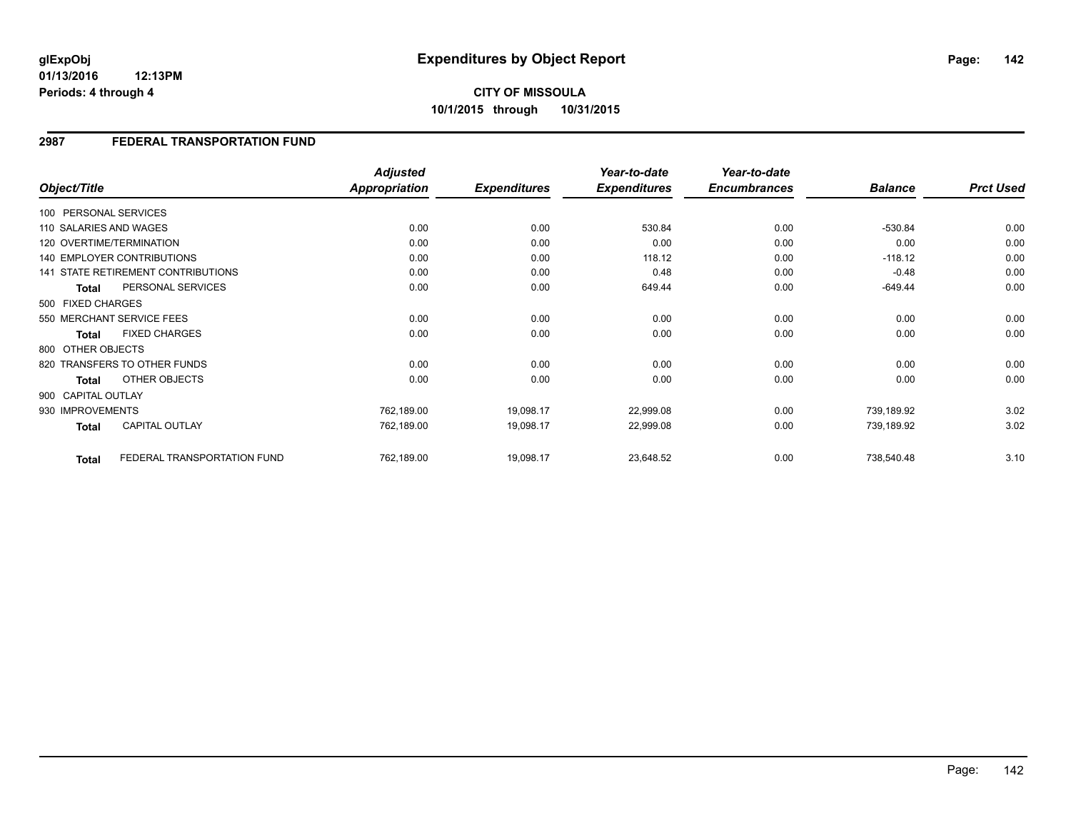**01/13/2016 12:13PM Periods: 4 through 4**

### **2987 FEDERAL TRANSPORTATION FUND**

| Object/Title           |                                    | <b>Adjusted</b><br><b>Appropriation</b> | <b>Expenditures</b> | Year-to-date<br><b>Expenditures</b> | Year-to-date<br><b>Encumbrances</b> | <b>Balance</b> | <b>Prct Used</b> |
|------------------------|------------------------------------|-----------------------------------------|---------------------|-------------------------------------|-------------------------------------|----------------|------------------|
| 100 PERSONAL SERVICES  |                                    |                                         |                     |                                     |                                     |                |                  |
| 110 SALARIES AND WAGES |                                    | 0.00                                    | 0.00                | 530.84                              | 0.00                                | $-530.84$      | 0.00             |
|                        | 120 OVERTIME/TERMINATION           | 0.00                                    | 0.00                | 0.00                                | 0.00                                | 0.00           | 0.00             |
|                        | 140 EMPLOYER CONTRIBUTIONS         | 0.00                                    | 0.00                | 118.12                              | 0.00                                | $-118.12$      | 0.00             |
|                        | 141 STATE RETIREMENT CONTRIBUTIONS | 0.00                                    | 0.00                | 0.48                                | 0.00                                | $-0.48$        | 0.00             |
| <b>Total</b>           | PERSONAL SERVICES                  | 0.00                                    | 0.00                | 649.44                              | 0.00                                | $-649.44$      | 0.00             |
| 500 FIXED CHARGES      |                                    |                                         |                     |                                     |                                     |                |                  |
|                        | 550 MERCHANT SERVICE FEES          | 0.00                                    | 0.00                | 0.00                                | 0.00                                | 0.00           | 0.00             |
| Total                  | <b>FIXED CHARGES</b>               | 0.00                                    | 0.00                | 0.00                                | 0.00                                | 0.00           | 0.00             |
| 800 OTHER OBJECTS      |                                    |                                         |                     |                                     |                                     |                |                  |
|                        | 820 TRANSFERS TO OTHER FUNDS       | 0.00                                    | 0.00                | 0.00                                | 0.00                                | 0.00           | 0.00             |
| Total                  | OTHER OBJECTS                      | 0.00                                    | 0.00                | 0.00                                | 0.00                                | 0.00           | 0.00             |
| 900 CAPITAL OUTLAY     |                                    |                                         |                     |                                     |                                     |                |                  |
| 930 IMPROVEMENTS       |                                    | 762,189.00                              | 19,098.17           | 22,999.08                           | 0.00                                | 739,189.92     | 3.02             |
| Total                  | <b>CAPITAL OUTLAY</b>              | 762,189.00                              | 19,098.17           | 22,999.08                           | 0.00                                | 739,189.92     | 3.02             |
| <b>Total</b>           | FEDERAL TRANSPORTATION FUND        | 762,189.00                              | 19,098.17           | 23,648.52                           | 0.00                                | 738,540.48     | 3.10             |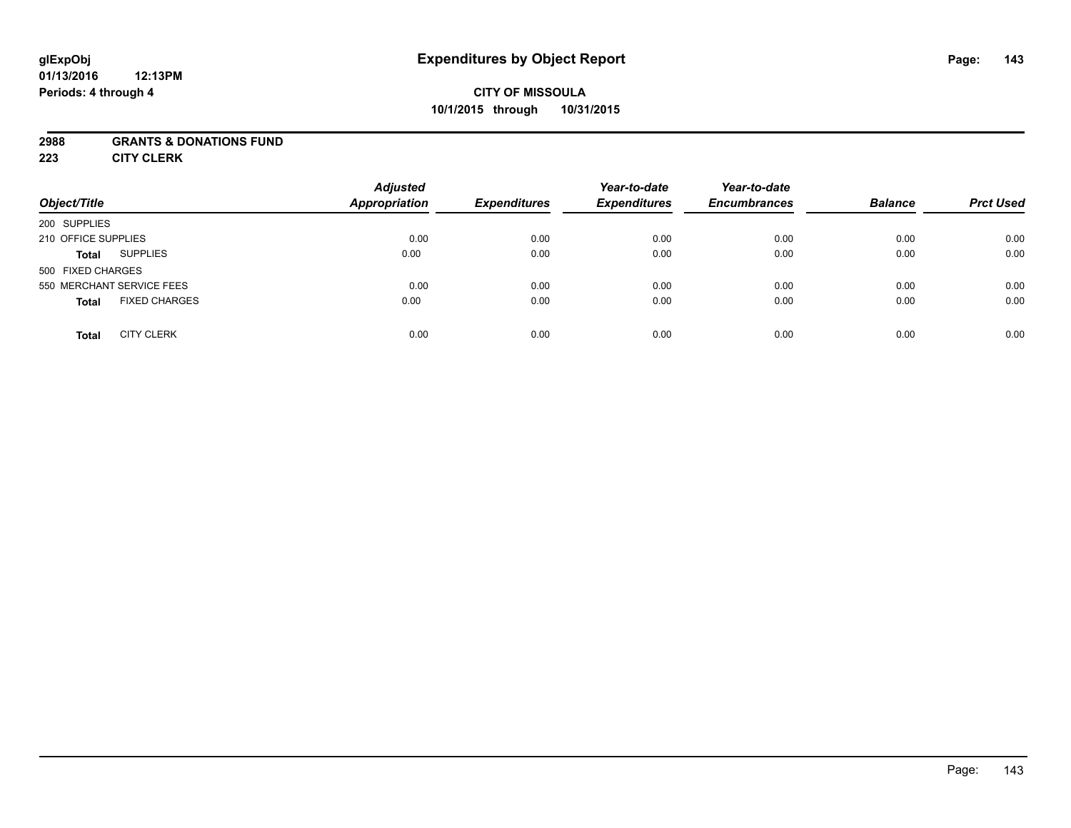### **01/13/2016 12:13PM Periods: 4 through 4**

# **CITY OF MISSOULA 10/1/2015 through 10/31/2015**

### **2988 GRANTS & DONATIONS FUND**

**223 CITY CLERK**

| Object/Title                         | <b>Adjusted</b><br><b>Appropriation</b> | <b>Expenditures</b> | Year-to-date<br><b>Expenditures</b> | Year-to-date<br><b>Encumbrances</b> | <b>Balance</b> | <b>Prct Used</b> |
|--------------------------------------|-----------------------------------------|---------------------|-------------------------------------|-------------------------------------|----------------|------------------|
| 200 SUPPLIES                         |                                         |                     |                                     |                                     |                |                  |
| 210 OFFICE SUPPLIES                  | 0.00                                    | 0.00                | 0.00                                | 0.00                                | 0.00           | 0.00             |
| <b>SUPPLIES</b><br><b>Total</b>      | 0.00                                    | 0.00                | 0.00                                | 0.00                                | 0.00           | 0.00             |
| 500 FIXED CHARGES                    |                                         |                     |                                     |                                     |                |                  |
| 550 MERCHANT SERVICE FEES            | 0.00                                    | 0.00                | 0.00                                | 0.00                                | 0.00           | 0.00             |
| <b>FIXED CHARGES</b><br><b>Total</b> | 0.00                                    | 0.00                | 0.00                                | 0.00                                | 0.00           | 0.00             |
| <b>CITY CLERK</b><br><b>Total</b>    | 0.00                                    | 0.00                | 0.00                                | 0.00                                | 0.00           | 0.00             |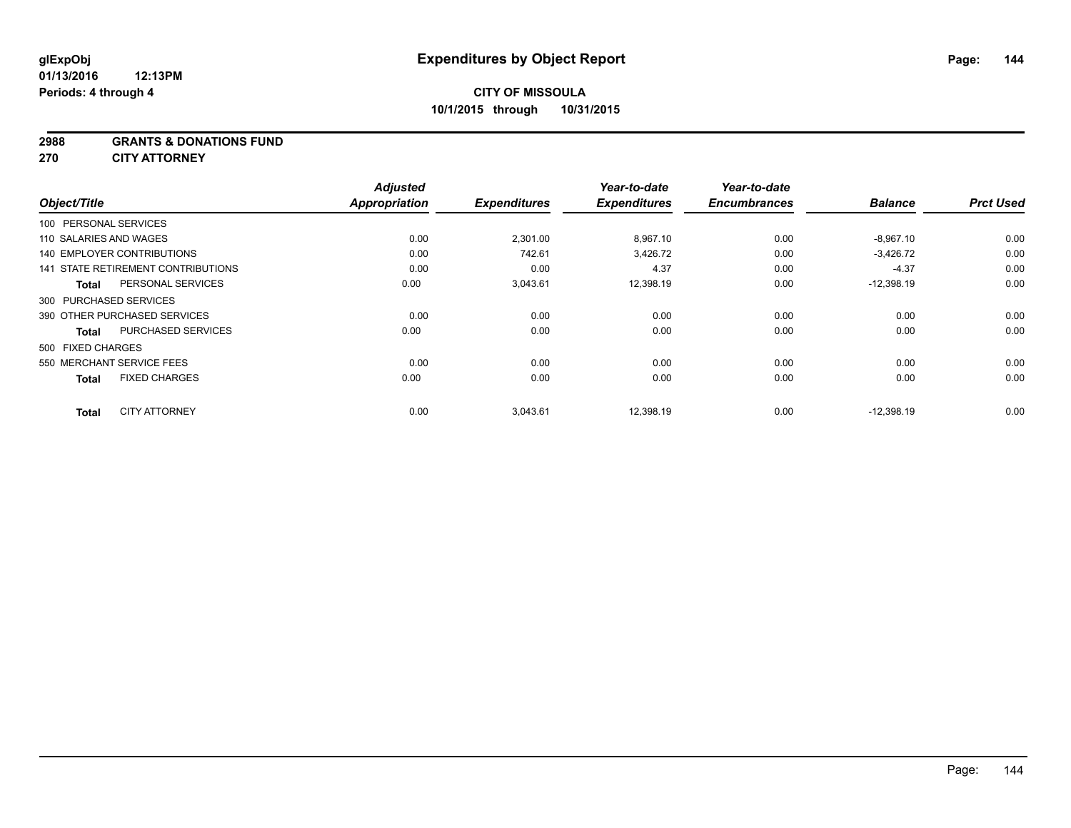**2988 GRANTS & DONATIONS FUND**

**270 CITY ATTORNEY**

|                                    | <b>Adjusted</b>                                 |                              | Year-to-date                    | Year-to-date                    |                             | <b>Prct Used</b>              |
|------------------------------------|-------------------------------------------------|------------------------------|---------------------------------|---------------------------------|-----------------------------|-------------------------------|
|                                    |                                                 |                              |                                 |                                 |                             |                               |
|                                    |                                                 |                              |                                 |                                 |                             |                               |
|                                    |                                                 |                              |                                 |                                 |                             | 0.00                          |
| <b>140 EMPLOYER CONTRIBUTIONS</b>  | 0.00                                            | 742.61                       | 3,426.72                        | 0.00                            | $-3,426.72$                 | 0.00                          |
| 141 STATE RETIREMENT CONTRIBUTIONS | 0.00                                            | 0.00                         | 4.37                            | 0.00                            | $-4.37$                     | 0.00                          |
| PERSONAL SERVICES                  | 0.00                                            | 3,043.61                     | 12,398.19                       | 0.00                            | $-12,398.19$                | 0.00                          |
| 300 PURCHASED SERVICES             |                                                 |                              |                                 |                                 |                             |                               |
| 390 OTHER PURCHASED SERVICES       | 0.00                                            | 0.00                         | 0.00                            | 0.00                            | 0.00                        | 0.00                          |
| <b>PURCHASED SERVICES</b>          | 0.00                                            | 0.00                         | 0.00                            | 0.00                            | 0.00                        | 0.00                          |
| 500 FIXED CHARGES                  |                                                 |                              |                                 |                                 |                             |                               |
| 550 MERCHANT SERVICE FEES          | 0.00                                            | 0.00                         | 0.00                            | 0.00                            | 0.00                        | 0.00                          |
| <b>FIXED CHARGES</b>               | 0.00                                            | 0.00                         | 0.00                            | 0.00                            | 0.00                        | 0.00                          |
| <b>CITY ATTORNEY</b>               | 0.00                                            | 3,043.61                     | 12,398.19                       | 0.00                            | $-12,398.19$                | 0.00                          |
| Object/Title                       | 100 PERSONAL SERVICES<br>110 SALARIES AND WAGES | <b>Appropriation</b><br>0.00 | <b>Expenditures</b><br>2,301.00 | <b>Expenditures</b><br>8,967.10 | <b>Encumbrances</b><br>0.00 | <b>Balance</b><br>$-8,967.10$ |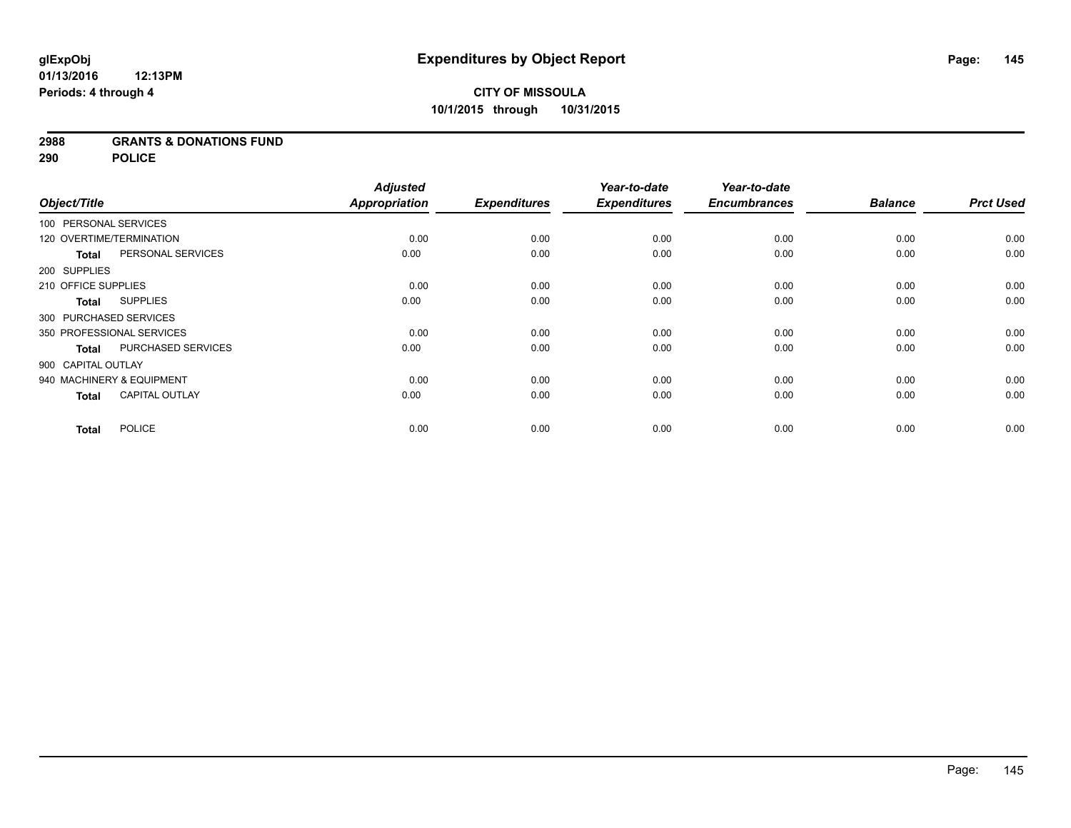### **2988 GRANTS & DONATIONS FUND**

**290 POLICE**

|                     |                           | <b>Adjusted</b>      |                     | Year-to-date        | Year-to-date        |                |                  |
|---------------------|---------------------------|----------------------|---------------------|---------------------|---------------------|----------------|------------------|
| Object/Title        |                           | <b>Appropriation</b> | <b>Expenditures</b> | <b>Expenditures</b> | <b>Encumbrances</b> | <b>Balance</b> | <b>Prct Used</b> |
|                     | 100 PERSONAL SERVICES     |                      |                     |                     |                     |                |                  |
|                     | 120 OVERTIME/TERMINATION  | 0.00                 | 0.00                | 0.00                | 0.00                | 0.00           | 0.00             |
| <b>Total</b>        | PERSONAL SERVICES         | 0.00                 | 0.00                | 0.00                | 0.00                | 0.00           | 0.00             |
| 200 SUPPLIES        |                           |                      |                     |                     |                     |                |                  |
| 210 OFFICE SUPPLIES |                           | 0.00                 | 0.00                | 0.00                | 0.00                | 0.00           | 0.00             |
| <b>Total</b>        | <b>SUPPLIES</b>           | 0.00                 | 0.00                | 0.00                | 0.00                | 0.00           | 0.00             |
|                     | 300 PURCHASED SERVICES    |                      |                     |                     |                     |                |                  |
|                     | 350 PROFESSIONAL SERVICES | 0.00                 | 0.00                | 0.00                | 0.00                | 0.00           | 0.00             |
| <b>Total</b>        | PURCHASED SERVICES        | 0.00                 | 0.00                | 0.00                | 0.00                | 0.00           | 0.00             |
| 900 CAPITAL OUTLAY  |                           |                      |                     |                     |                     |                |                  |
|                     | 940 MACHINERY & EQUIPMENT | 0.00                 | 0.00                | 0.00                | 0.00                | 0.00           | 0.00             |
| <b>Total</b>        | <b>CAPITAL OUTLAY</b>     | 0.00                 | 0.00                | 0.00                | 0.00                | 0.00           | 0.00             |
| <b>Total</b>        | <b>POLICE</b>             | 0.00                 | 0.00                | 0.00                | 0.00                | 0.00           | 0.00             |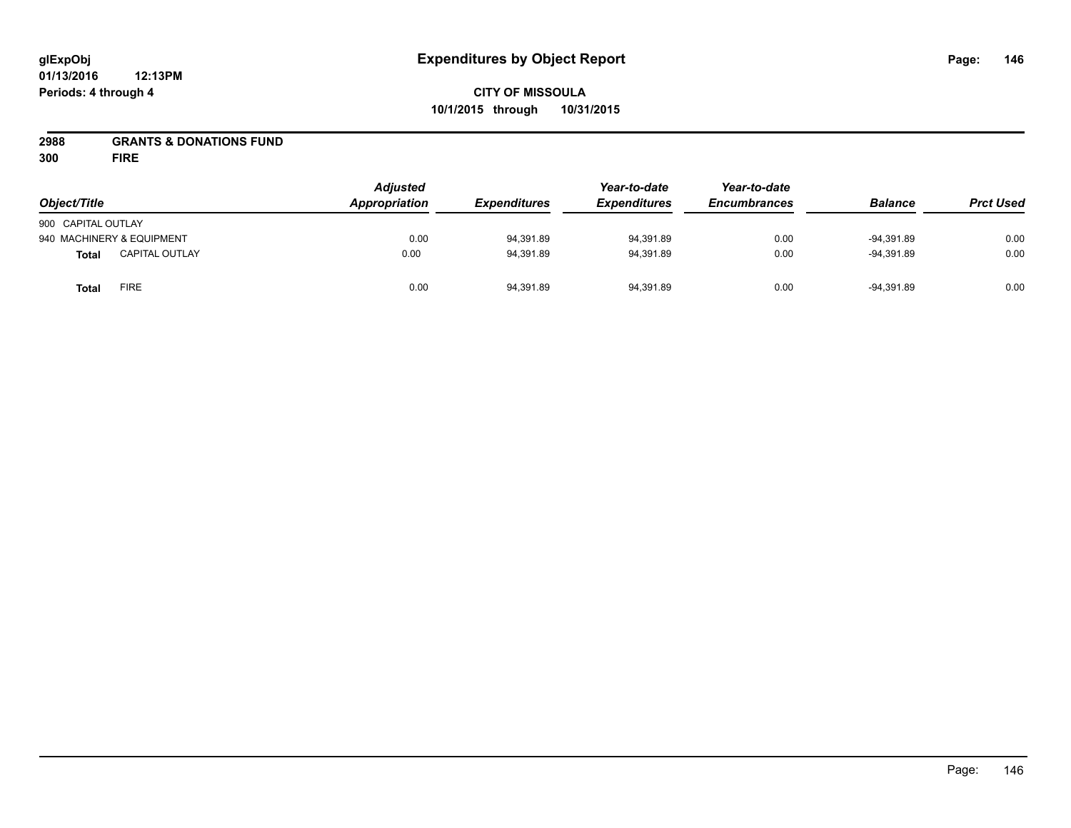# **CITY OF MISSOULA 10/1/2015 through 10/31/2015**

### **2988 GRANTS & DONATIONS FUND**

**300 FIRE**

| Object/Title       |                           | <b>Adjusted</b><br>Appropriation<br><b>Expenditures</b> | Year-to-date<br><b>Expenditures</b> | Year-to-date<br><b>Encumbrances</b> | <b>Balance</b> | <b>Prct Used</b> |      |
|--------------------|---------------------------|---------------------------------------------------------|-------------------------------------|-------------------------------------|----------------|------------------|------|
| 900 CAPITAL OUTLAY |                           |                                                         |                                     |                                     |                |                  |      |
|                    | 940 MACHINERY & EQUIPMENT | 0.00                                                    | 94,391.89                           | 94.391.89                           | 0.00           | $-94.391.89$     | 0.00 |
| <b>Total</b>       | <b>CAPITAL OUTLAY</b>     | 0.00                                                    | 94,391.89                           | 94,391.89                           | 0.00           | $-94.391.89$     | 0.00 |
| <b>Total</b>       | <b>FIRE</b>               | 0.00                                                    | 94,391.89                           | 94,391.89                           | 0.00           | $-94.391.89$     | 0.00 |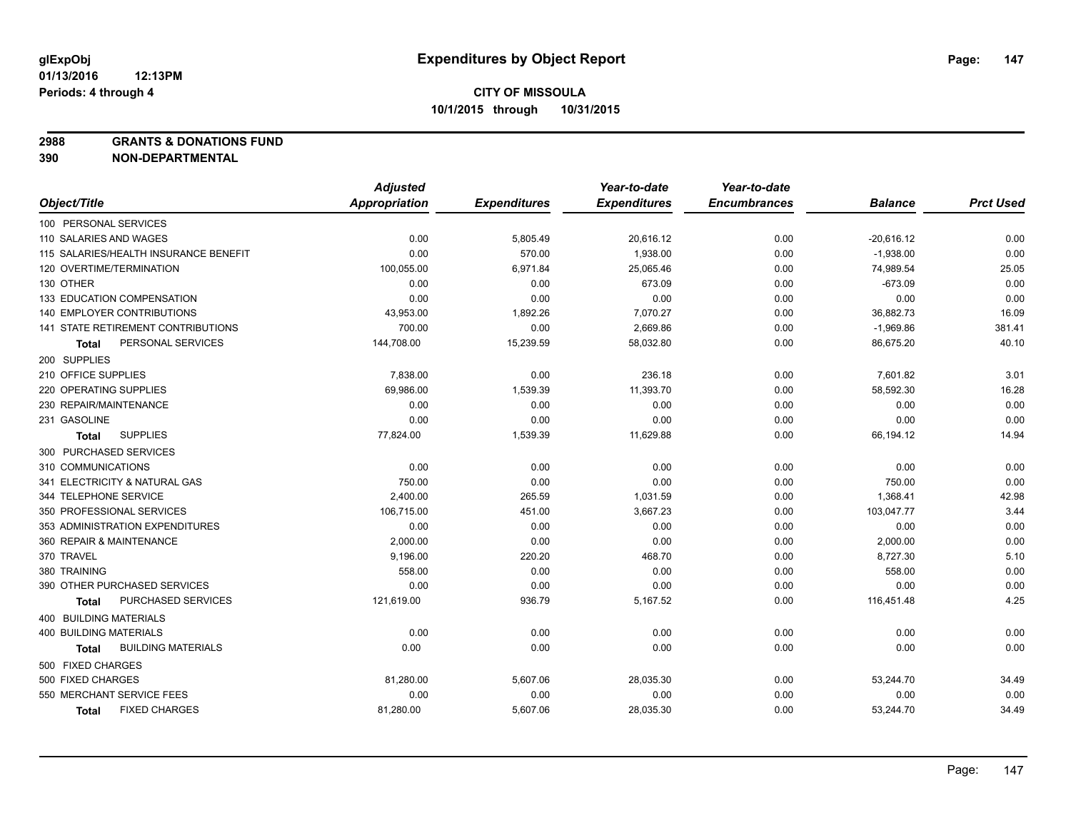**2988 GRANTS & DONATIONS FUND**

|                                       | <b>Adjusted</b> |                     | Year-to-date        | Year-to-date        |                |                  |
|---------------------------------------|-----------------|---------------------|---------------------|---------------------|----------------|------------------|
| Object/Title                          | Appropriation   | <b>Expenditures</b> | <b>Expenditures</b> | <b>Encumbrances</b> | <b>Balance</b> | <b>Prct Used</b> |
| 100 PERSONAL SERVICES                 |                 |                     |                     |                     |                |                  |
| 110 SALARIES AND WAGES                | 0.00            | 5,805.49            | 20,616.12           | 0.00                | $-20,616.12$   | 0.00             |
| 115 SALARIES/HEALTH INSURANCE BENEFIT | 0.00            | 570.00              | 1,938.00            | 0.00                | $-1,938.00$    | 0.00             |
| 120 OVERTIME/TERMINATION              | 100,055.00      | 6,971.84            | 25,065.46           | 0.00                | 74,989.54      | 25.05            |
| 130 OTHER                             | 0.00            | 0.00                | 673.09              | 0.00                | $-673.09$      | 0.00             |
| <b>133 EDUCATION COMPENSATION</b>     | 0.00            | 0.00                | 0.00                | 0.00                | 0.00           | 0.00             |
| <b>140 EMPLOYER CONTRIBUTIONS</b>     | 43,953.00       | 1,892.26            | 7,070.27            | 0.00                | 36,882.73      | 16.09            |
| 141 STATE RETIREMENT CONTRIBUTIONS    | 700.00          | 0.00                | 2,669.86            | 0.00                | $-1,969.86$    | 381.41           |
| PERSONAL SERVICES<br>Total            | 144,708.00      | 15,239.59           | 58,032.80           | 0.00                | 86,675.20      | 40.10            |
| 200 SUPPLIES                          |                 |                     |                     |                     |                |                  |
| 210 OFFICE SUPPLIES                   | 7,838.00        | 0.00                | 236.18              | 0.00                | 7,601.82       | 3.01             |
| 220 OPERATING SUPPLIES                | 69,986.00       | 1,539.39            | 11,393.70           | 0.00                | 58,592.30      | 16.28            |
| 230 REPAIR/MAINTENANCE                | 0.00            | 0.00                | 0.00                | 0.00                | 0.00           | 0.00             |
| 231 GASOLINE                          | 0.00            | 0.00                | 0.00                | 0.00                | 0.00           | 0.00             |
| <b>SUPPLIES</b><br>Total              | 77,824.00       | 1,539.39            | 11,629.88           | 0.00                | 66,194.12      | 14.94            |
| 300 PURCHASED SERVICES                |                 |                     |                     |                     |                |                  |
| 310 COMMUNICATIONS                    | 0.00            | 0.00                | 0.00                | 0.00                | 0.00           | 0.00             |
| 341 ELECTRICITY & NATURAL GAS         | 750.00          | 0.00                | 0.00                | 0.00                | 750.00         | 0.00             |
| 344 TELEPHONE SERVICE                 | 2,400.00        | 265.59              | 1,031.59            | 0.00                | 1,368.41       | 42.98            |
| 350 PROFESSIONAL SERVICES             | 106,715.00      | 451.00              | 3,667.23            | 0.00                | 103,047.77     | 3.44             |
| 353 ADMINISTRATION EXPENDITURES       | 0.00            | 0.00                | 0.00                | 0.00                | 0.00           | 0.00             |
| 360 REPAIR & MAINTENANCE              | 2,000.00        | 0.00                | 0.00                | 0.00                | 2,000.00       | 0.00             |
| 370 TRAVEL                            | 9,196.00        | 220.20              | 468.70              | 0.00                | 8,727.30       | 5.10             |
| 380 TRAINING                          | 558.00          | 0.00                | 0.00                | 0.00                | 558.00         | 0.00             |
| 390 OTHER PURCHASED SERVICES          | 0.00            | 0.00                | 0.00                | 0.00                | 0.00           | 0.00             |
| <b>PURCHASED SERVICES</b><br>Total    | 121,619.00      | 936.79              | 5,167.52            | 0.00                | 116,451.48     | 4.25             |
| <b>400 BUILDING MATERIALS</b>         |                 |                     |                     |                     |                |                  |
| 400 BUILDING MATERIALS                | 0.00            | 0.00                | 0.00                | 0.00                | 0.00           | 0.00             |
| <b>BUILDING MATERIALS</b><br>Total    | 0.00            | 0.00                | 0.00                | 0.00                | 0.00           | 0.00             |
| 500 FIXED CHARGES                     |                 |                     |                     |                     |                |                  |
| 500 FIXED CHARGES                     | 81,280.00       | 5,607.06            | 28,035.30           | 0.00                | 53,244.70      | 34.49            |
| 550 MERCHANT SERVICE FEES             | 0.00            | 0.00                | 0.00                | 0.00                | 0.00           | 0.00             |
| <b>FIXED CHARGES</b><br><b>Total</b>  | 81,280.00       | 5,607.06            | 28,035.30           | 0.00                | 53,244.70      | 34.49            |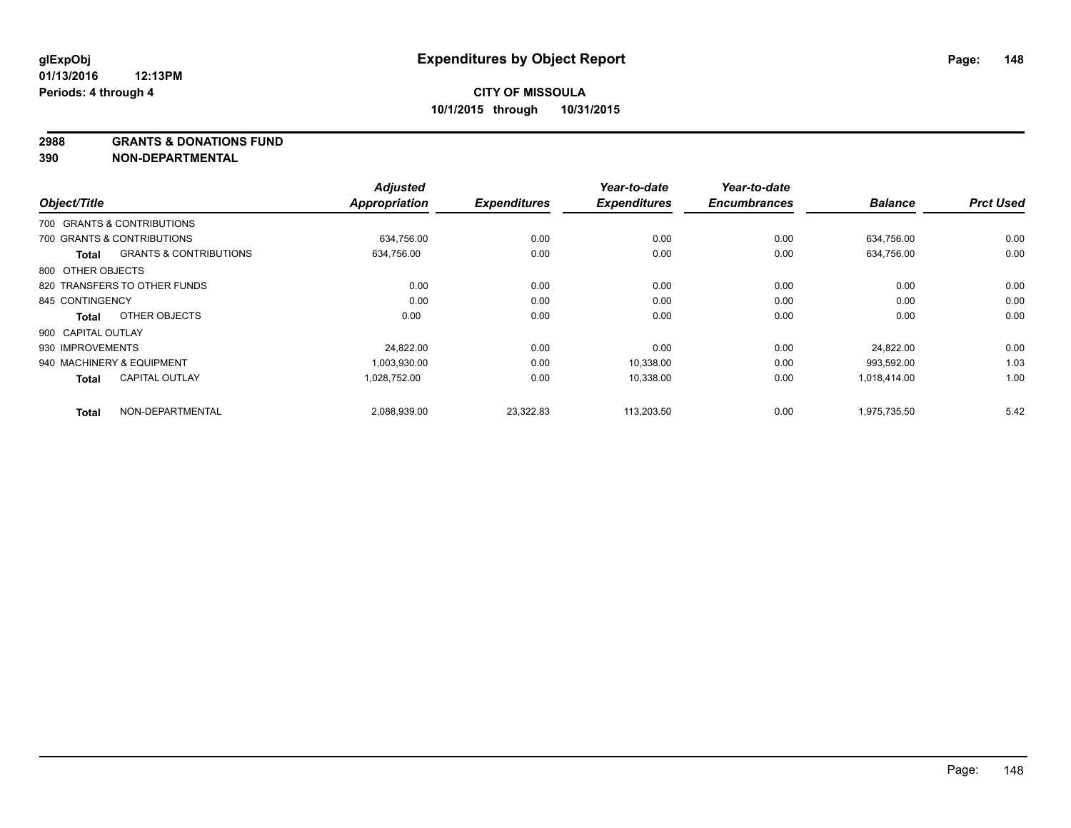**2988 GRANTS & DONATIONS FUND**

| Object/Title       |                                   | <b>Adjusted</b><br><b>Appropriation</b> | <b>Expenditures</b> | Year-to-date<br><b>Expenditures</b> | Year-to-date<br><b>Encumbrances</b> | <b>Balance</b> | <b>Prct Used</b> |
|--------------------|-----------------------------------|-----------------------------------------|---------------------|-------------------------------------|-------------------------------------|----------------|------------------|
|                    |                                   |                                         |                     |                                     |                                     |                |                  |
|                    | 700 GRANTS & CONTRIBUTIONS        |                                         |                     |                                     |                                     |                |                  |
|                    | 700 GRANTS & CONTRIBUTIONS        | 634,756.00                              | 0.00                | 0.00                                | 0.00                                | 634,756.00     | 0.00             |
| Total              | <b>GRANTS &amp; CONTRIBUTIONS</b> | 634,756.00                              | 0.00                | 0.00                                | 0.00                                | 634,756.00     | 0.00             |
| 800 OTHER OBJECTS  |                                   |                                         |                     |                                     |                                     |                |                  |
|                    | 820 TRANSFERS TO OTHER FUNDS      | 0.00                                    | 0.00                | 0.00                                | 0.00                                | 0.00           | 0.00             |
| 845 CONTINGENCY    |                                   | 0.00                                    | 0.00                | 0.00                                | 0.00                                | 0.00           | 0.00             |
| <b>Total</b>       | OTHER OBJECTS                     | 0.00                                    | 0.00                | 0.00                                | 0.00                                | 0.00           | 0.00             |
| 900 CAPITAL OUTLAY |                                   |                                         |                     |                                     |                                     |                |                  |
| 930 IMPROVEMENTS   |                                   | 24.822.00                               | 0.00                | 0.00                                | 0.00                                | 24.822.00      | 0.00             |
|                    | 940 MACHINERY & EQUIPMENT         | 1,003,930.00                            | 0.00                | 10,338.00                           | 0.00                                | 993,592.00     | 1.03             |
| <b>Total</b>       | <b>CAPITAL OUTLAY</b>             | 1,028,752.00                            | 0.00                | 10,338.00                           | 0.00                                | 1,018,414.00   | 1.00             |
| <b>Total</b>       | NON-DEPARTMENTAL                  | 2,088,939.00                            | 23,322.83           | 113,203.50                          | 0.00                                | 1,975,735.50   | 5.42             |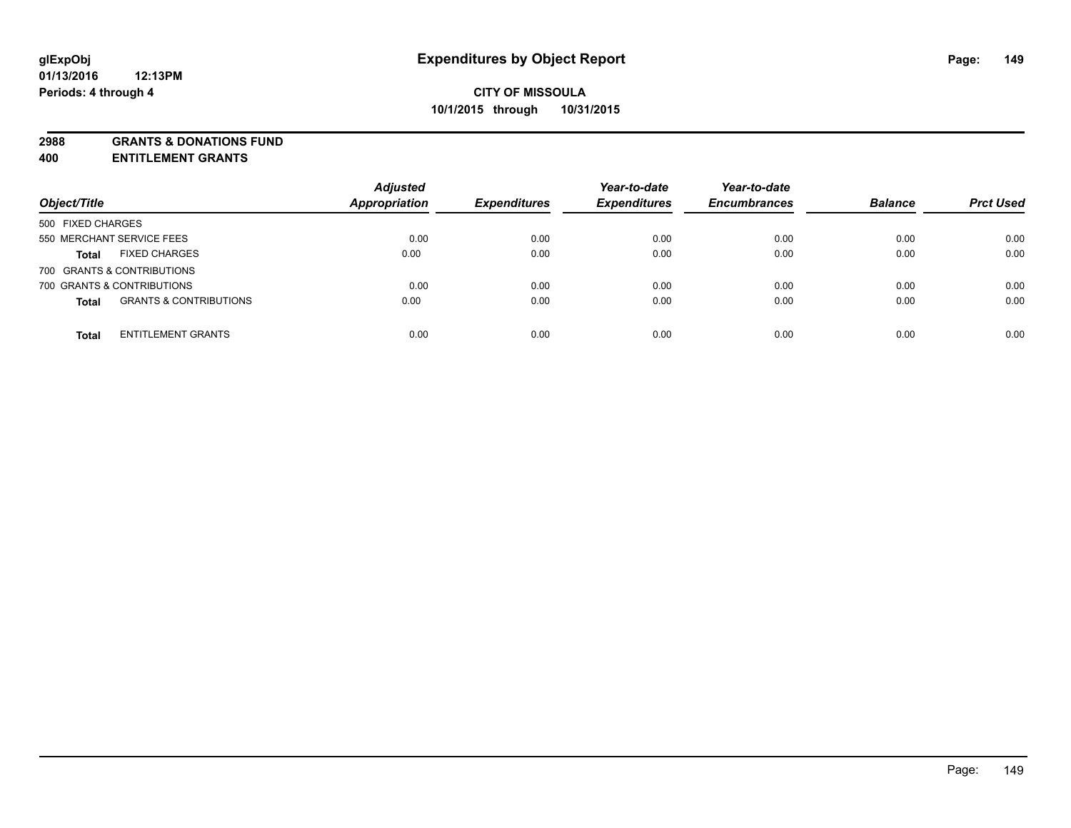**2988 GRANTS & DONATIONS FUND**

**400 ENTITLEMENT GRANTS**

| Object/Title                                      | <b>Adjusted</b><br><b>Appropriation</b> | <b>Expenditures</b> | Year-to-date<br><b>Expenditures</b> | Year-to-date<br><b>Encumbrances</b> | <b>Balance</b> | <b>Prct Used</b> |
|---------------------------------------------------|-----------------------------------------|---------------------|-------------------------------------|-------------------------------------|----------------|------------------|
| 500 FIXED CHARGES                                 |                                         |                     |                                     |                                     |                |                  |
| 550 MERCHANT SERVICE FEES                         | 0.00                                    | 0.00                | 0.00                                | 0.00                                | 0.00           | 0.00             |
| <b>FIXED CHARGES</b><br><b>Total</b>              | 0.00                                    | 0.00                | 0.00                                | 0.00                                | 0.00           | 0.00             |
| 700 GRANTS & CONTRIBUTIONS                        |                                         |                     |                                     |                                     |                |                  |
| 700 GRANTS & CONTRIBUTIONS                        | 0.00                                    | 0.00                | 0.00                                | 0.00                                | 0.00           | 0.00             |
| <b>GRANTS &amp; CONTRIBUTIONS</b><br><b>Total</b> | 0.00                                    | 0.00                | 0.00                                | 0.00                                | 0.00           | 0.00             |
| <b>ENTITLEMENT GRANTS</b><br><b>Total</b>         | 0.00                                    | 0.00                | 0.00                                | 0.00                                | 0.00           | 0.00             |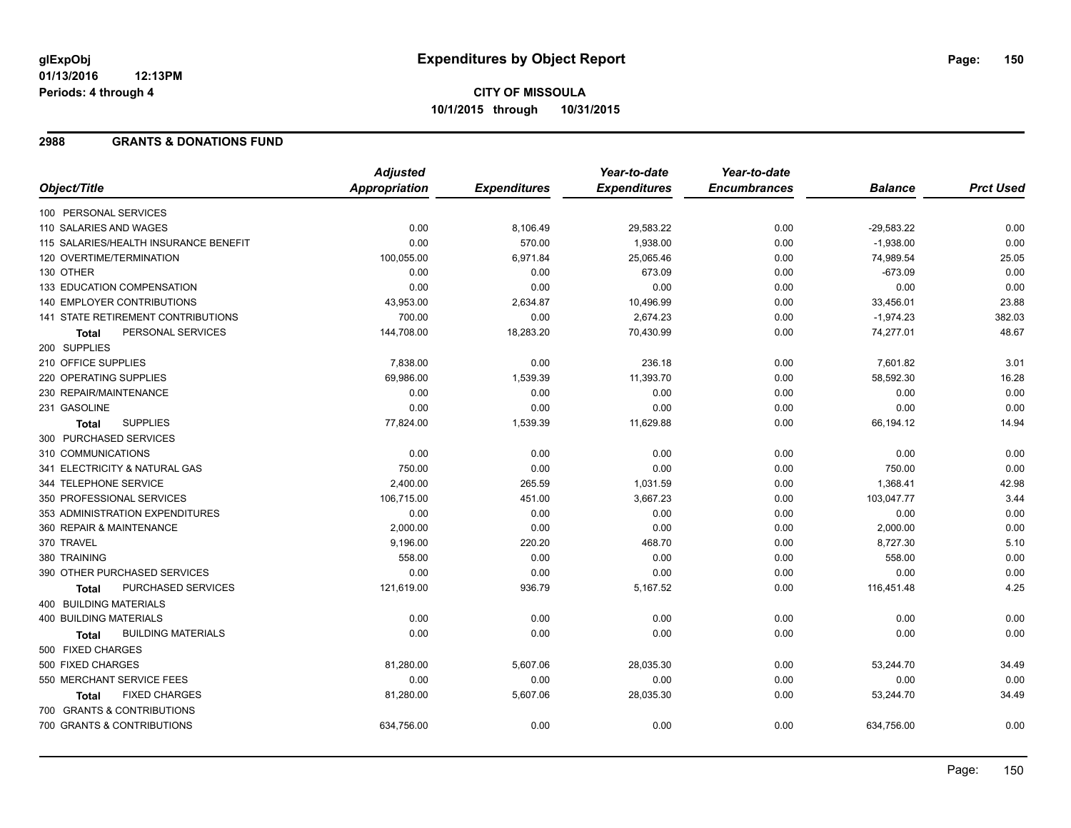# **CITY OF MISSOULA 10/1/2015 through 10/31/2015**

### **2988 GRANTS & DONATIONS FUND**

|                                           | <b>Adjusted</b>      |                     | Year-to-date        | Year-to-date        |                |                  |
|-------------------------------------------|----------------------|---------------------|---------------------|---------------------|----------------|------------------|
| Object/Title                              | <b>Appropriation</b> | <b>Expenditures</b> | <b>Expenditures</b> | <b>Encumbrances</b> | <b>Balance</b> | <b>Prct Used</b> |
| 100 PERSONAL SERVICES                     |                      |                     |                     |                     |                |                  |
| 110 SALARIES AND WAGES                    | 0.00                 | 8,106.49            | 29,583.22           | 0.00                | $-29,583.22$   | 0.00             |
| 115 SALARIES/HEALTH INSURANCE BENEFIT     | 0.00                 | 570.00              | 1,938.00            | 0.00                | $-1,938.00$    | 0.00             |
| 120 OVERTIME/TERMINATION                  | 100,055.00           | 6,971.84            | 25,065.46           | 0.00                | 74,989.54      | 25.05            |
| 130 OTHER                                 | 0.00                 | 0.00                | 673.09              | 0.00                | $-673.09$      | 0.00             |
| 133 EDUCATION COMPENSATION                | 0.00                 | 0.00                | 0.00                | 0.00                | 0.00           | 0.00             |
| 140 EMPLOYER CONTRIBUTIONS                | 43,953.00            | 2,634.87            | 10,496.99           | 0.00                | 33,456.01      | 23.88            |
| 141 STATE RETIREMENT CONTRIBUTIONS        | 700.00               | 0.00                | 2,674.23            | 0.00                | $-1,974.23$    | 382.03           |
| PERSONAL SERVICES<br>Total                | 144,708.00           | 18,283.20           | 70,430.99           | 0.00                | 74,277.01      | 48.67            |
| 200 SUPPLIES                              |                      |                     |                     |                     |                |                  |
| 210 OFFICE SUPPLIES                       | 7,838.00             | 0.00                | 236.18              | 0.00                | 7,601.82       | 3.01             |
| 220 OPERATING SUPPLIES                    | 69,986.00            | 1,539.39            | 11,393.70           | 0.00                | 58,592.30      | 16.28            |
| 230 REPAIR/MAINTENANCE                    | 0.00                 | 0.00                | 0.00                | 0.00                | 0.00           | 0.00             |
| 231 GASOLINE                              | 0.00                 | 0.00                | 0.00                | 0.00                | 0.00           | 0.00             |
| <b>SUPPLIES</b><br>Total                  | 77,824.00            | 1,539.39            | 11,629.88           | 0.00                | 66,194.12      | 14.94            |
| 300 PURCHASED SERVICES                    |                      |                     |                     |                     |                |                  |
| 310 COMMUNICATIONS                        | 0.00                 | 0.00                | 0.00                | 0.00                | 0.00           | 0.00             |
| 341 ELECTRICITY & NATURAL GAS             | 750.00               | 0.00                | 0.00                | 0.00                | 750.00         | 0.00             |
| 344 TELEPHONE SERVICE                     | 2,400.00             | 265.59              | 1,031.59            | 0.00                | 1,368.41       | 42.98            |
| 350 PROFESSIONAL SERVICES                 | 106,715.00           | 451.00              | 3,667.23            | 0.00                | 103,047.77     | 3.44             |
| 353 ADMINISTRATION EXPENDITURES           | 0.00                 | 0.00                | 0.00                | 0.00                | 0.00           | 0.00             |
| 360 REPAIR & MAINTENANCE                  | 2,000.00             | 0.00                | 0.00                | 0.00                | 2,000.00       | 0.00             |
| 370 TRAVEL                                | 9,196.00             | 220.20              | 468.70              | 0.00                | 8,727.30       | 5.10             |
| 380 TRAINING                              | 558.00               | 0.00                | 0.00                | 0.00                | 558.00         | 0.00             |
| 390 OTHER PURCHASED SERVICES              | 0.00                 | 0.00                | 0.00                | 0.00                | 0.00           | 0.00             |
| PURCHASED SERVICES<br><b>Total</b>        | 121,619.00           | 936.79              | 5,167.52            | 0.00                | 116,451.48     | 4.25             |
| 400 BUILDING MATERIALS                    |                      |                     |                     |                     |                |                  |
| 400 BUILDING MATERIALS                    | 0.00                 | 0.00                | 0.00                | 0.00                | 0.00           | 0.00             |
| <b>BUILDING MATERIALS</b><br><b>Total</b> | 0.00                 | 0.00                | 0.00                | 0.00                | 0.00           | 0.00             |
| 500 FIXED CHARGES                         |                      |                     |                     |                     |                |                  |
| 500 FIXED CHARGES                         | 81,280.00            | 5,607.06            | 28,035.30           | 0.00                | 53,244.70      | 34.49            |
| 550 MERCHANT SERVICE FEES                 | 0.00                 | 0.00                | 0.00                | 0.00                | 0.00           | 0.00             |
| <b>FIXED CHARGES</b><br><b>Total</b>      | 81,280.00            | 5,607.06            | 28,035.30           | 0.00                | 53,244.70      | 34.49            |
| 700 GRANTS & CONTRIBUTIONS                |                      |                     |                     |                     |                |                  |
| 700 GRANTS & CONTRIBUTIONS                | 634,756.00           | 0.00                | 0.00                | 0.00                | 634,756.00     | 0.00             |
|                                           |                      |                     |                     |                     |                |                  |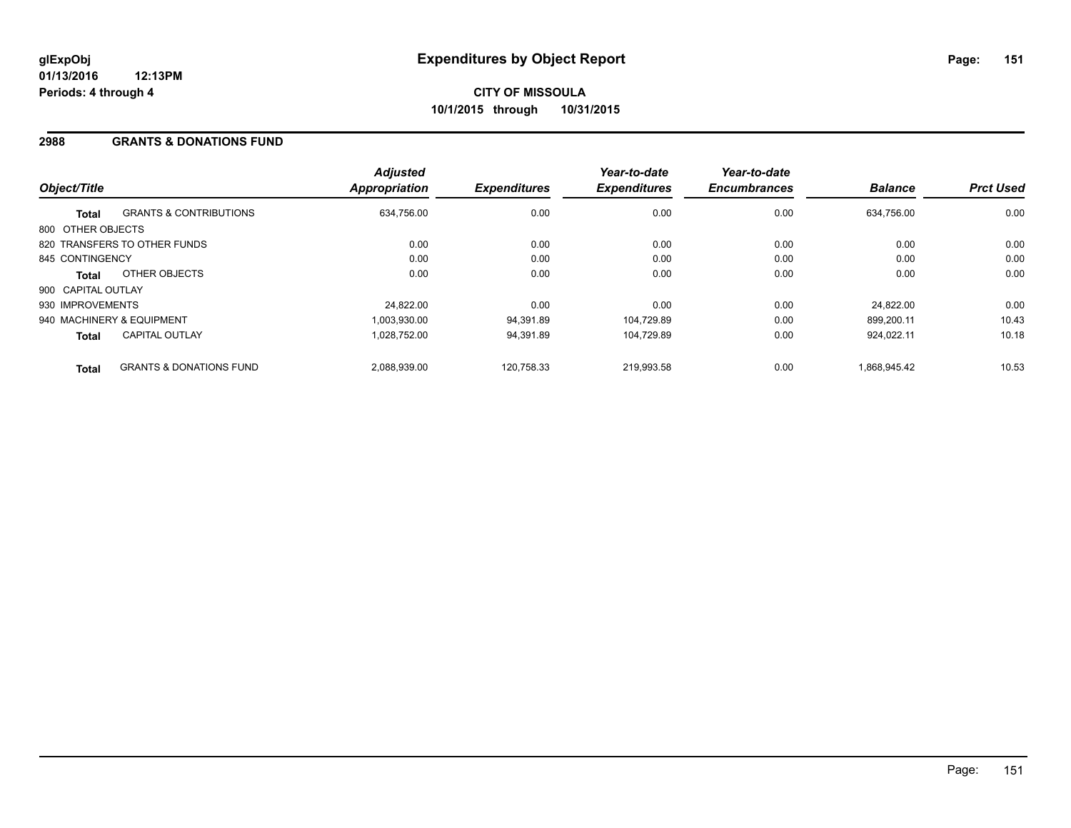### **2988 GRANTS & DONATIONS FUND**

| Object/Title       |                                    | <b>Adjusted</b><br><b>Appropriation</b> | <b>Expenditures</b> | Year-to-date<br><b>Expenditures</b> | Year-to-date<br><b>Encumbrances</b> | <b>Balance</b> | <b>Prct Used</b> |
|--------------------|------------------------------------|-----------------------------------------|---------------------|-------------------------------------|-------------------------------------|----------------|------------------|
| <b>Total</b>       | <b>GRANTS &amp; CONTRIBUTIONS</b>  | 634,756.00                              | 0.00                | 0.00                                | 0.00                                | 634.756.00     | 0.00             |
| 800 OTHER OBJECTS  |                                    |                                         |                     |                                     |                                     |                |                  |
|                    | 820 TRANSFERS TO OTHER FUNDS       | 0.00                                    | 0.00                | 0.00                                | 0.00                                | 0.00           | 0.00             |
| 845 CONTINGENCY    |                                    | 0.00                                    | 0.00                | 0.00                                | 0.00                                | 0.00           | 0.00             |
| <b>Total</b>       | OTHER OBJECTS                      | 0.00                                    | 0.00                | 0.00                                | 0.00                                | 0.00           | 0.00             |
| 900 CAPITAL OUTLAY |                                    |                                         |                     |                                     |                                     |                |                  |
| 930 IMPROVEMENTS   |                                    | 24.822.00                               | 0.00                | 0.00                                | 0.00                                | 24.822.00      | 0.00             |
|                    | 940 MACHINERY & EQUIPMENT          | 1.003.930.00                            | 94,391.89           | 104.729.89                          | 0.00                                | 899.200.11     | 10.43            |
| <b>Total</b>       | <b>CAPITAL OUTLAY</b>              | 1.028.752.00                            | 94,391.89           | 104.729.89                          | 0.00                                | 924.022.11     | 10.18            |
| <b>Total</b>       | <b>GRANTS &amp; DONATIONS FUND</b> | 2,088,939.00                            | 120,758.33          | 219.993.58                          | 0.00                                | 1.868.945.42   | 10.53            |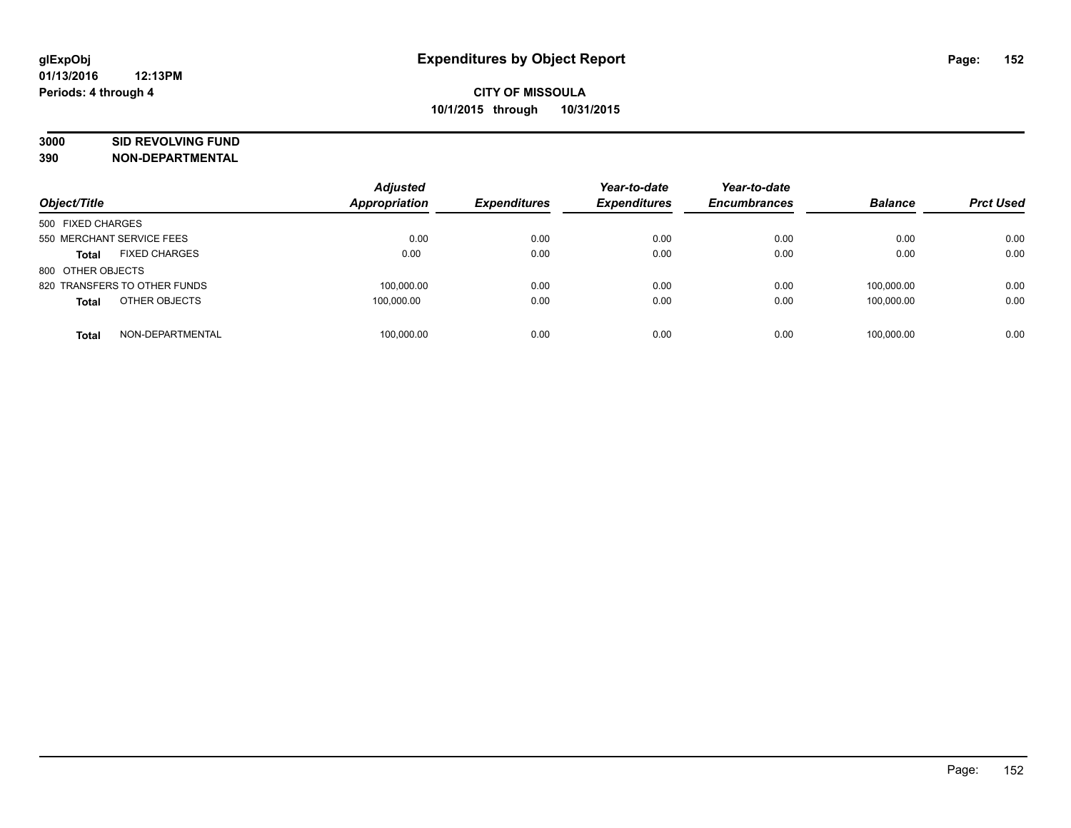# **3000 SID REVOLVING FUND**

|                                      | <b>Adjusted</b> |                     | Year-to-date        | Year-to-date        |                |                  |
|--------------------------------------|-----------------|---------------------|---------------------|---------------------|----------------|------------------|
| Object/Title                         | Appropriation   | <b>Expenditures</b> | <b>Expenditures</b> | <b>Encumbrances</b> | <b>Balance</b> | <b>Prct Used</b> |
| 500 FIXED CHARGES                    |                 |                     |                     |                     |                |                  |
| 550 MERCHANT SERVICE FEES            | 0.00            | 0.00                | 0.00                | 0.00                | 0.00           | 0.00             |
| <b>FIXED CHARGES</b><br><b>Total</b> | 0.00            | 0.00                | 0.00                | 0.00                | 0.00           | 0.00             |
| 800 OTHER OBJECTS                    |                 |                     |                     |                     |                |                  |
| 820 TRANSFERS TO OTHER FUNDS         | 100.000.00      | 0.00                | 0.00                | 0.00                | 100.000.00     | 0.00             |
| OTHER OBJECTS<br><b>Total</b>        | 100,000.00      | 0.00                | 0.00                | 0.00                | 100.000.00     | 0.00             |
| NON-DEPARTMENTAL<br><b>Total</b>     | 100.000.00      | 0.00                | 0.00                | 0.00                | 100.000.00     | 0.00             |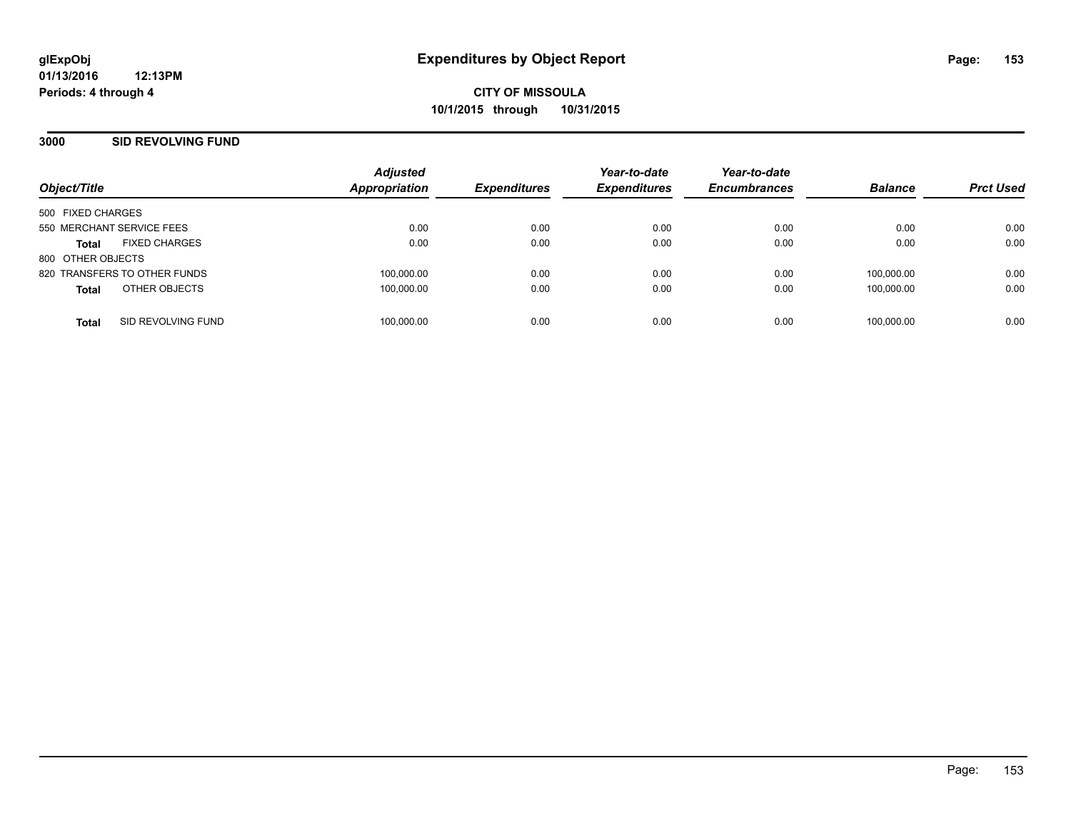### **3000 SID REVOLVING FUND**

| Object/Title                         | <b>Adjusted</b><br><b>Appropriation</b> | <b>Expenditures</b> | Year-to-date<br><b>Expenditures</b> | Year-to-date<br><b>Encumbrances</b> | <b>Balance</b> | <b>Prct Used</b> |
|--------------------------------------|-----------------------------------------|---------------------|-------------------------------------|-------------------------------------|----------------|------------------|
| 500 FIXED CHARGES                    |                                         |                     |                                     |                                     |                |                  |
| 550 MERCHANT SERVICE FEES            | 0.00                                    | 0.00                | 0.00                                | 0.00                                | 0.00           | 0.00             |
| <b>FIXED CHARGES</b><br><b>Total</b> | 0.00                                    | 0.00                | 0.00                                | 0.00                                | 0.00           | 0.00             |
| 800 OTHER OBJECTS                    |                                         |                     |                                     |                                     |                |                  |
| 820 TRANSFERS TO OTHER FUNDS         | 100,000.00                              | 0.00                | 0.00                                | 0.00                                | 100.000.00     | 0.00             |
| OTHER OBJECTS<br><b>Total</b>        | 100,000.00                              | 0.00                | 0.00                                | 0.00                                | 100,000.00     | 0.00             |
|                                      |                                         |                     |                                     |                                     |                |                  |
| SID REVOLVING FUND<br><b>Total</b>   | 100.000.00                              | 0.00                | 0.00                                | 0.00                                | 100.000.00     | 0.00             |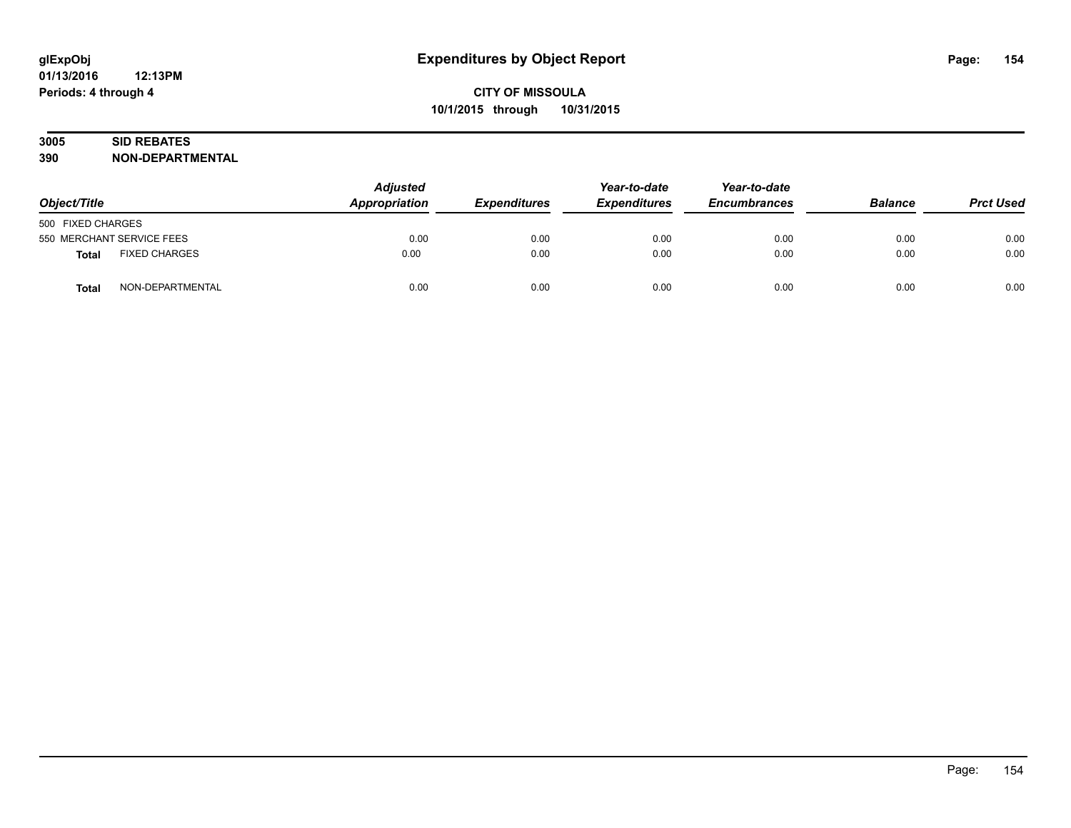# **3005 SID REBATES**

| Object/Title              |                      | <b>Adjusted</b><br>Appropriation<br><b>Expenditures</b> | Year-to-date<br><b>Expenditures</b> | Year-to-date<br><b>Encumbrances</b> | <b>Balance</b> | <b>Prct Used</b> |      |
|---------------------------|----------------------|---------------------------------------------------------|-------------------------------------|-------------------------------------|----------------|------------------|------|
| 500 FIXED CHARGES         |                      |                                                         |                                     |                                     |                |                  |      |
| 550 MERCHANT SERVICE FEES |                      | 0.00                                                    | 0.00                                | 0.00                                | 0.00           | 0.00             | 0.00 |
| <b>Total</b>              | <b>FIXED CHARGES</b> | 0.00                                                    | 0.00                                | 0.00                                | 0.00           | 0.00             | 0.00 |
| <b>Total</b>              | NON-DEPARTMENTAL     | 0.00                                                    | 0.00                                | 0.00                                | 0.00           | 0.00             | 0.00 |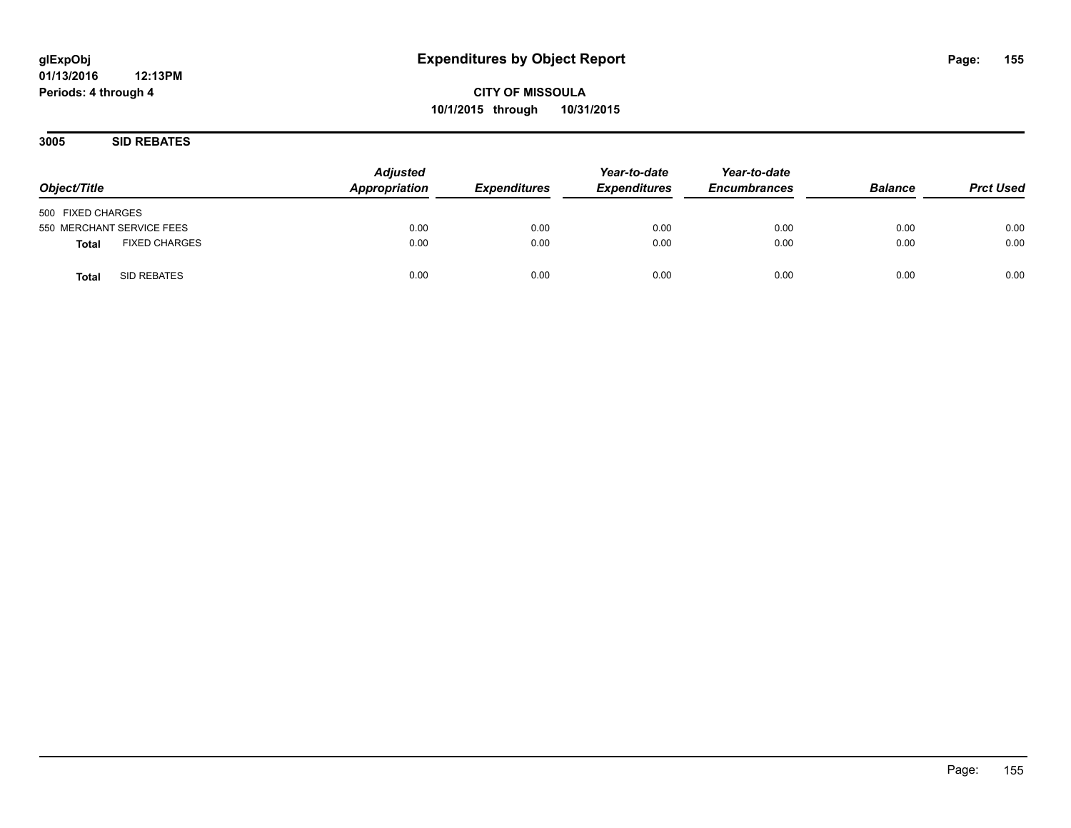**CITY OF MISSOULA 10/1/2015 through 10/31/2015**

**3005 SID REBATES**

| Object/Title                         | <b>Adjusted</b><br>Appropriation | <b>Expenditures</b> | Year-to-date<br><b>Expenditures</b> | Year-to-date<br><b>Encumbrances</b> | <b>Balance</b> | <b>Prct Used</b> |
|--------------------------------------|----------------------------------|---------------------|-------------------------------------|-------------------------------------|----------------|------------------|
| 500 FIXED CHARGES                    |                                  |                     |                                     |                                     |                |                  |
| 550 MERCHANT SERVICE FEES            | 0.00                             | 0.00                | 0.00                                | 0.00                                | 0.00           | 0.00             |
| <b>FIXED CHARGES</b><br><b>Total</b> | 0.00                             | 0.00                | 0.00                                | 0.00                                | 0.00           | 0.00             |
| SID REBATES<br><b>Total</b>          | 0.00                             | 0.00                | 0.00                                | 0.00                                | 0.00           | 0.00             |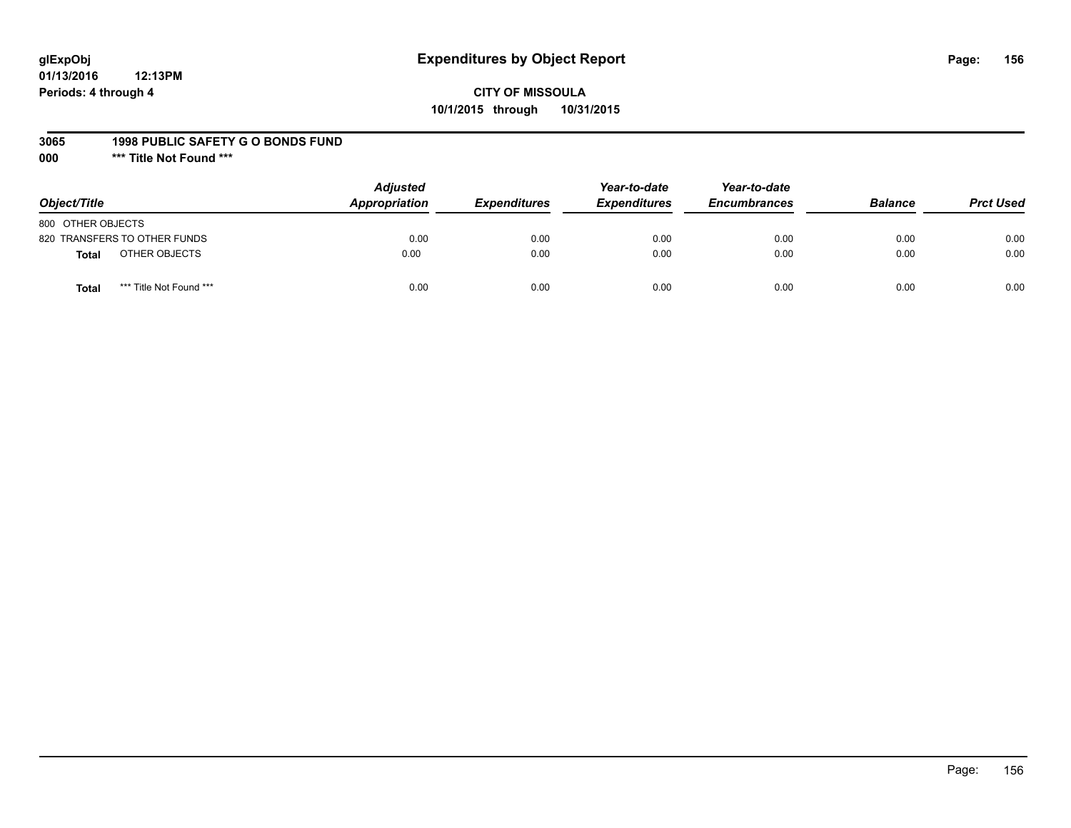# **glExpObj Expenditures by Object Report Page: 156**

# **CITY OF MISSOULA 10/1/2015 through 10/31/2015**

#### **3065 1998 PUBLIC SAFETY G O BONDS FUND**

**000 \*\*\* Title Not Found \*\*\***

| Object/Title                            | <b>Adjusted</b><br>Appropriation | <b>Expenditures</b> | Year-to-date<br><b>Expenditures</b> | Year-to-date<br><b>Encumbrances</b> | <b>Balance</b> | <b>Prct Used</b> |
|-----------------------------------------|----------------------------------|---------------------|-------------------------------------|-------------------------------------|----------------|------------------|
| 800 OTHER OBJECTS                       |                                  |                     |                                     |                                     |                |                  |
| 820 TRANSFERS TO OTHER FUNDS            | 0.00                             | 0.00                | 0.00                                | 0.00                                | 0.00           | 0.00             |
| OTHER OBJECTS<br>Total                  | 0.00                             | 0.00                | 0.00                                | 0.00                                | 0.00           | 0.00             |
| *** Title Not Found ***<br><b>Total</b> | 0.00                             | 0.00                | 0.00                                | 0.00                                | 0.00           | 0.00             |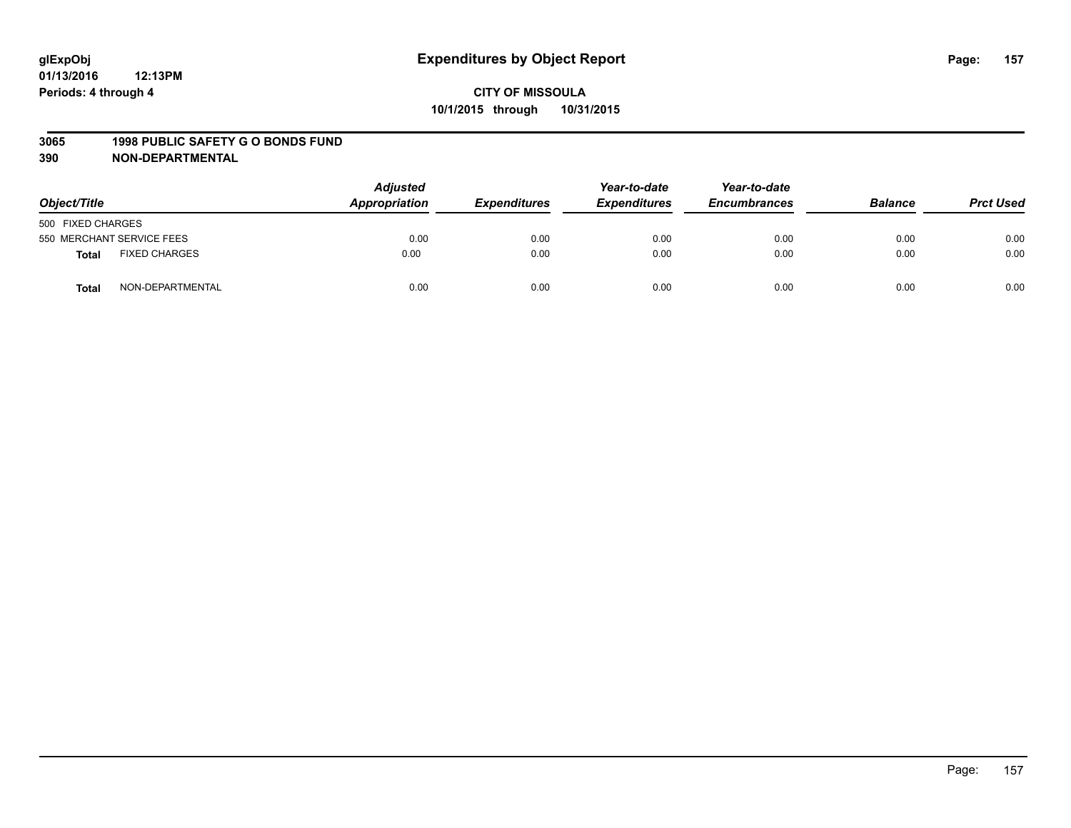#### **3065 1998 PUBLIC SAFETY G O BONDS FUND**

| Object/Title                  | <b>Adjusted</b><br>Appropriation | <b>Expenditures</b> | Year-to-date<br><b>Expenditures</b> | Year-to-date<br><b>Encumbrances</b> | <b>Balance</b> | <b>Prct Used</b> |
|-------------------------------|----------------------------------|---------------------|-------------------------------------|-------------------------------------|----------------|------------------|
| 500 FIXED CHARGES             |                                  |                     |                                     |                                     |                |                  |
| 550 MERCHANT SERVICE FEES     | 0.00                             | 0.00                | 0.00                                | 0.00                                | 0.00           | 0.00             |
| <b>FIXED CHARGES</b><br>Total | 0.00                             | 0.00                | 0.00                                | 0.00                                | 0.00           | 0.00             |
| NON-DEPARTMENTAL<br>Total     | 0.00                             | 0.00                | 0.00                                | 0.00                                | 0.00           | 0.00             |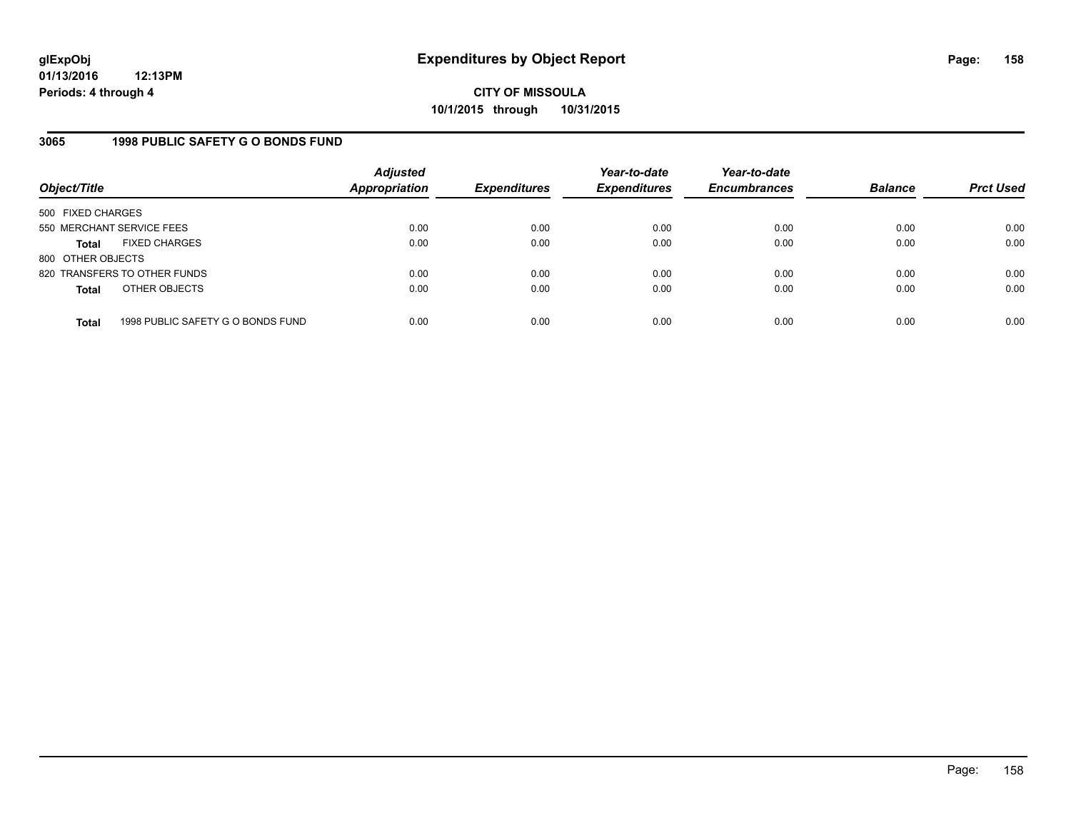### **3065 1998 PUBLIC SAFETY G O BONDS FUND**

| Object/Title              |                                   | <b>Adjusted</b><br><b>Appropriation</b> | <b>Expenditures</b> | Year-to-date<br><b>Expenditures</b> | Year-to-date<br><b>Encumbrances</b> | <b>Balance</b> | <b>Prct Used</b> |
|---------------------------|-----------------------------------|-----------------------------------------|---------------------|-------------------------------------|-------------------------------------|----------------|------------------|
| 500 FIXED CHARGES         |                                   |                                         |                     |                                     |                                     |                |                  |
| 550 MERCHANT SERVICE FEES |                                   | 0.00                                    | 0.00                | 0.00                                | 0.00                                | 0.00           | 0.00             |
| Total                     | <b>FIXED CHARGES</b>              | 0.00                                    | 0.00                | 0.00                                | 0.00                                | 0.00           | 0.00             |
| 800 OTHER OBJECTS         |                                   |                                         |                     |                                     |                                     |                |                  |
|                           | 820 TRANSFERS TO OTHER FUNDS      | 0.00                                    | 0.00                | 0.00                                | 0.00                                | 0.00           | 0.00             |
| <b>Total</b>              | OTHER OBJECTS                     | 0.00                                    | 0.00                | 0.00                                | 0.00                                | 0.00           | 0.00             |
| <b>Total</b>              | 1998 PUBLIC SAFETY G O BONDS FUND | 0.00                                    | 0.00                | 0.00                                | 0.00                                | 0.00           | 0.00             |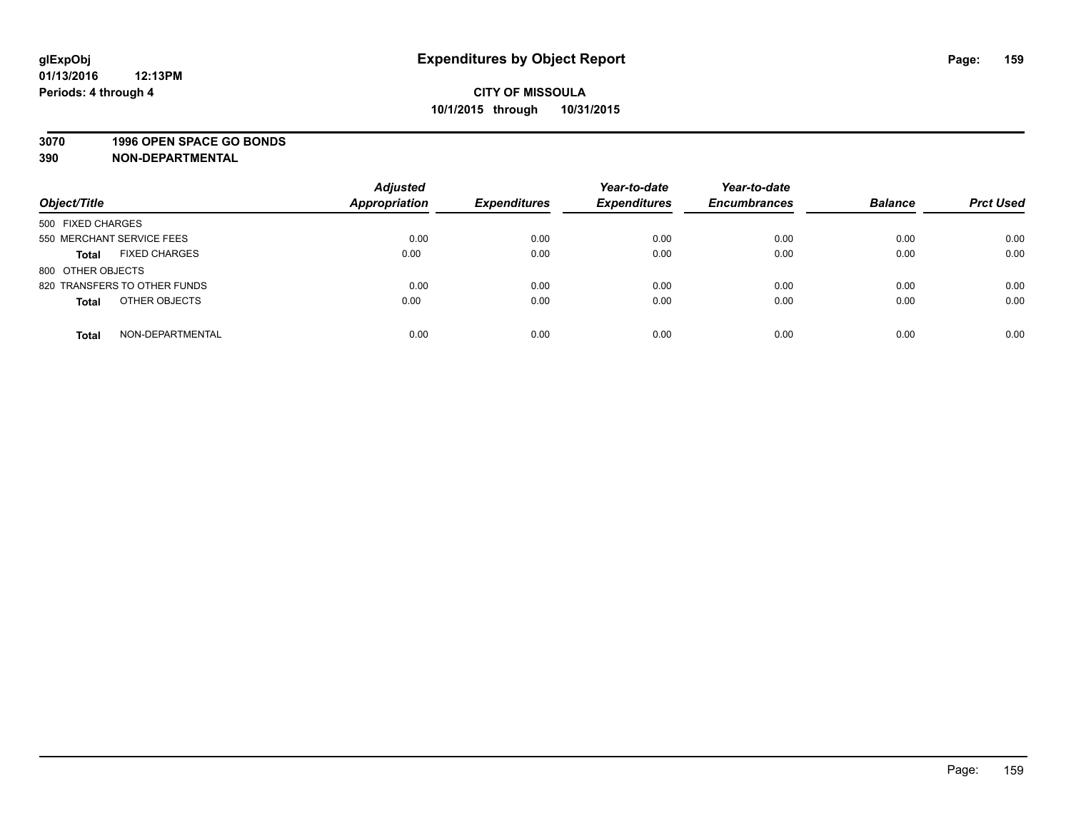#### **3070 1996 OPEN SPACE GO BONDS**

| Object/Title                     | <b>Adjusted</b><br><b>Appropriation</b> | <b>Expenditures</b> | Year-to-date<br><b>Expenditures</b> | Year-to-date<br><b>Encumbrances</b> | <b>Balance</b> | <b>Prct Used</b> |
|----------------------------------|-----------------------------------------|---------------------|-------------------------------------|-------------------------------------|----------------|------------------|
| 500 FIXED CHARGES                |                                         |                     |                                     |                                     |                |                  |
| 550 MERCHANT SERVICE FEES        | 0.00                                    | 0.00                | 0.00                                | 0.00                                | 0.00           | 0.00             |
| <b>FIXED CHARGES</b><br>Total    | 0.00                                    | 0.00                | 0.00                                | 0.00                                | 0.00           | 0.00             |
| 800 OTHER OBJECTS                |                                         |                     |                                     |                                     |                |                  |
| 820 TRANSFERS TO OTHER FUNDS     | 0.00                                    | 0.00                | 0.00                                | 0.00                                | 0.00           | 0.00             |
| OTHER OBJECTS<br><b>Total</b>    | 0.00                                    | 0.00                | 0.00                                | 0.00                                | 0.00           | 0.00             |
| NON-DEPARTMENTAL<br><b>Total</b> | 0.00                                    | 0.00                | 0.00                                | 0.00                                | 0.00           | 0.00             |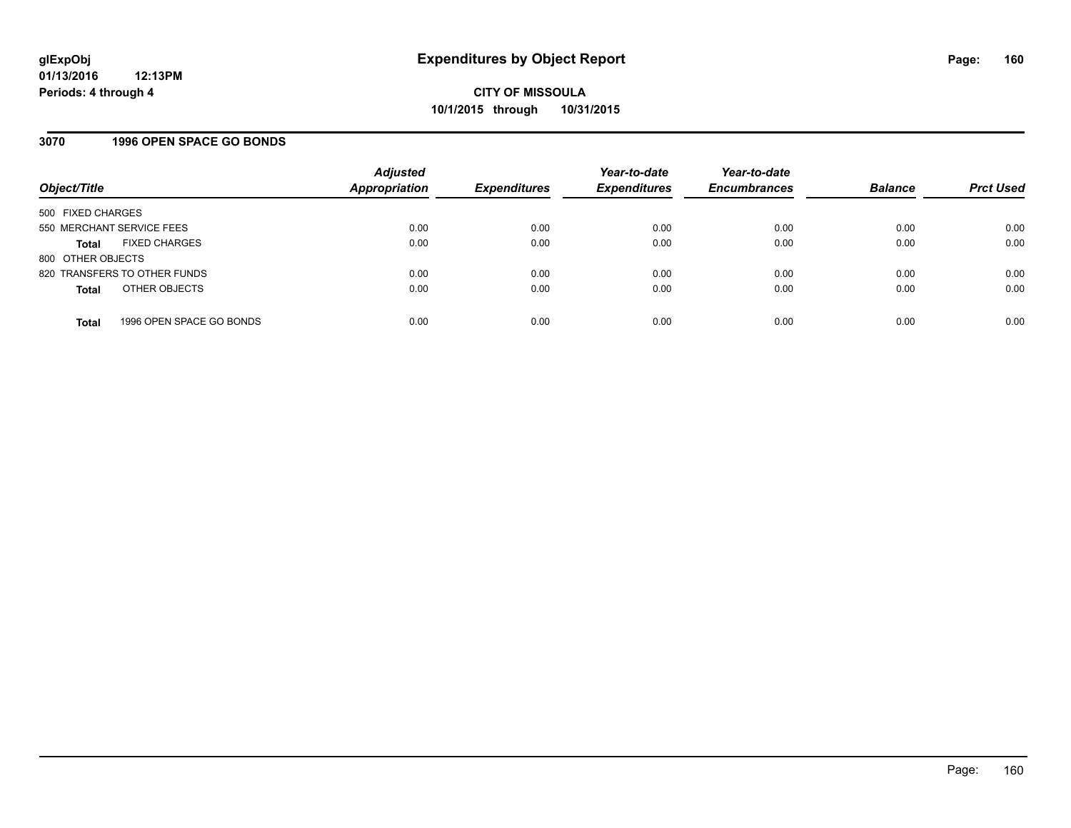### **3070 1996 OPEN SPACE GO BONDS**

| Object/Title              |                              | <b>Adjusted</b><br><b>Appropriation</b> | <b>Expenditures</b> | Year-to-date<br><b>Expenditures</b> | Year-to-date<br><b>Encumbrances</b> | <b>Balance</b> | <b>Prct Used</b> |
|---------------------------|------------------------------|-----------------------------------------|---------------------|-------------------------------------|-------------------------------------|----------------|------------------|
| 500 FIXED CHARGES         |                              |                                         |                     |                                     |                                     |                |                  |
| 550 MERCHANT SERVICE FEES |                              | 0.00                                    | 0.00                | 0.00                                | 0.00                                | 0.00           | 0.00             |
| <b>Total</b>              | <b>FIXED CHARGES</b>         | 0.00                                    | 0.00                | 0.00                                | 0.00                                | 0.00           | 0.00             |
| 800 OTHER OBJECTS         |                              |                                         |                     |                                     |                                     |                |                  |
|                           | 820 TRANSFERS TO OTHER FUNDS | 0.00                                    | 0.00                | 0.00                                | 0.00                                | 0.00           | 0.00             |
| <b>Total</b>              | OTHER OBJECTS                | 0.00                                    | 0.00                | 0.00                                | 0.00                                | 0.00           | 0.00             |
| <b>Total</b>              | 1996 OPEN SPACE GO BONDS     | 0.00                                    | 0.00                | 0.00                                | 0.00                                | 0.00           | 0.00             |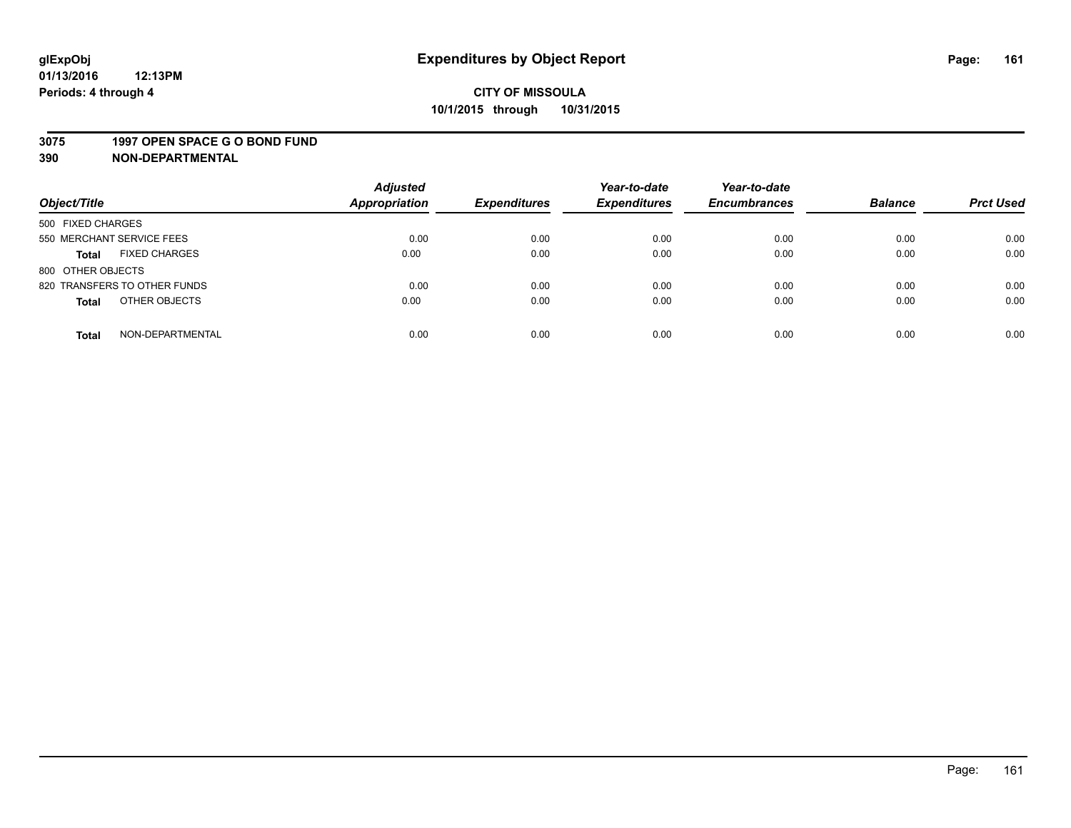#### **3075 1997 OPEN SPACE G O BOND FUND**

| Object/Title                         | <b>Adjusted</b><br>Appropriation | <b>Expenditures</b> | Year-to-date<br><b>Expenditures</b> | Year-to-date<br><b>Encumbrances</b> | <b>Balance</b> | <b>Prct Used</b> |
|--------------------------------------|----------------------------------|---------------------|-------------------------------------|-------------------------------------|----------------|------------------|
| 500 FIXED CHARGES                    |                                  |                     |                                     |                                     |                |                  |
| 550 MERCHANT SERVICE FEES            | 0.00                             | 0.00                | 0.00                                | 0.00                                | 0.00           | 0.00             |
| <b>FIXED CHARGES</b><br><b>Total</b> | 0.00                             | 0.00                | 0.00                                | 0.00                                | 0.00           | 0.00             |
| 800 OTHER OBJECTS                    |                                  |                     |                                     |                                     |                |                  |
| 820 TRANSFERS TO OTHER FUNDS         | 0.00                             | 0.00                | 0.00                                | 0.00                                | 0.00           | 0.00             |
| OTHER OBJECTS<br><b>Total</b>        | 0.00                             | 0.00                | 0.00                                | 0.00                                | 0.00           | 0.00             |
| NON-DEPARTMENTAL<br><b>Total</b>     | 0.00                             | 0.00                | 0.00                                | 0.00                                | 0.00           | 0.00             |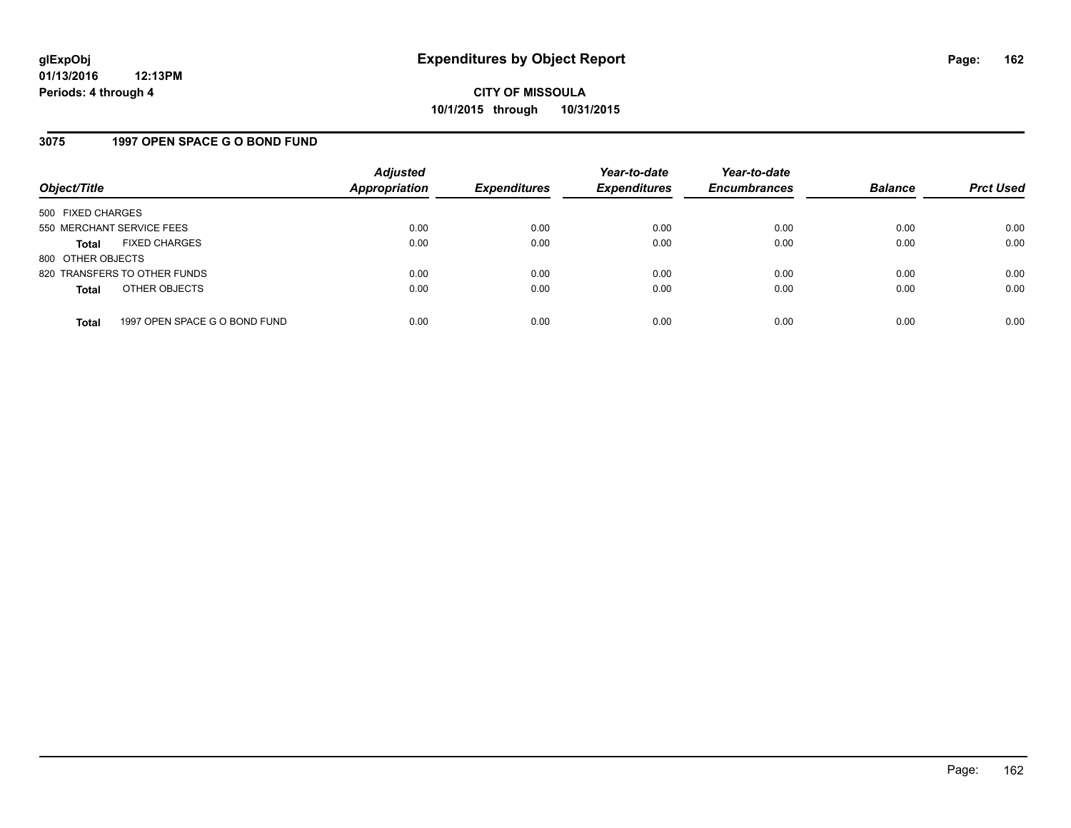### **3075 1997 OPEN SPACE G O BOND FUND**

| Object/Title              |                               | <b>Adjusted</b><br>Appropriation | <b>Expenditures</b> | Year-to-date<br><b>Expenditures</b> | Year-to-date<br><b>Encumbrances</b> | <b>Balance</b> | <b>Prct Used</b> |
|---------------------------|-------------------------------|----------------------------------|---------------------|-------------------------------------|-------------------------------------|----------------|------------------|
| 500 FIXED CHARGES         |                               |                                  |                     |                                     |                                     |                |                  |
| 550 MERCHANT SERVICE FEES |                               | 0.00                             | 0.00                | 0.00                                | 0.00                                | 0.00           | 0.00             |
| <b>Total</b>              | <b>FIXED CHARGES</b>          | 0.00                             | 0.00                | 0.00                                | 0.00                                | 0.00           | 0.00             |
| 800 OTHER OBJECTS         |                               |                                  |                     |                                     |                                     |                |                  |
|                           | 820 TRANSFERS TO OTHER FUNDS  | 0.00                             | 0.00                | 0.00                                | 0.00                                | 0.00           | 0.00             |
| <b>Total</b>              | OTHER OBJECTS                 | 0.00                             | 0.00                | 0.00                                | 0.00                                | 0.00           | 0.00             |
| <b>Total</b>              | 1997 OPEN SPACE G O BOND FUND | 0.00                             | 0.00                | 0.00                                | 0.00                                | 0.00           | 0.00             |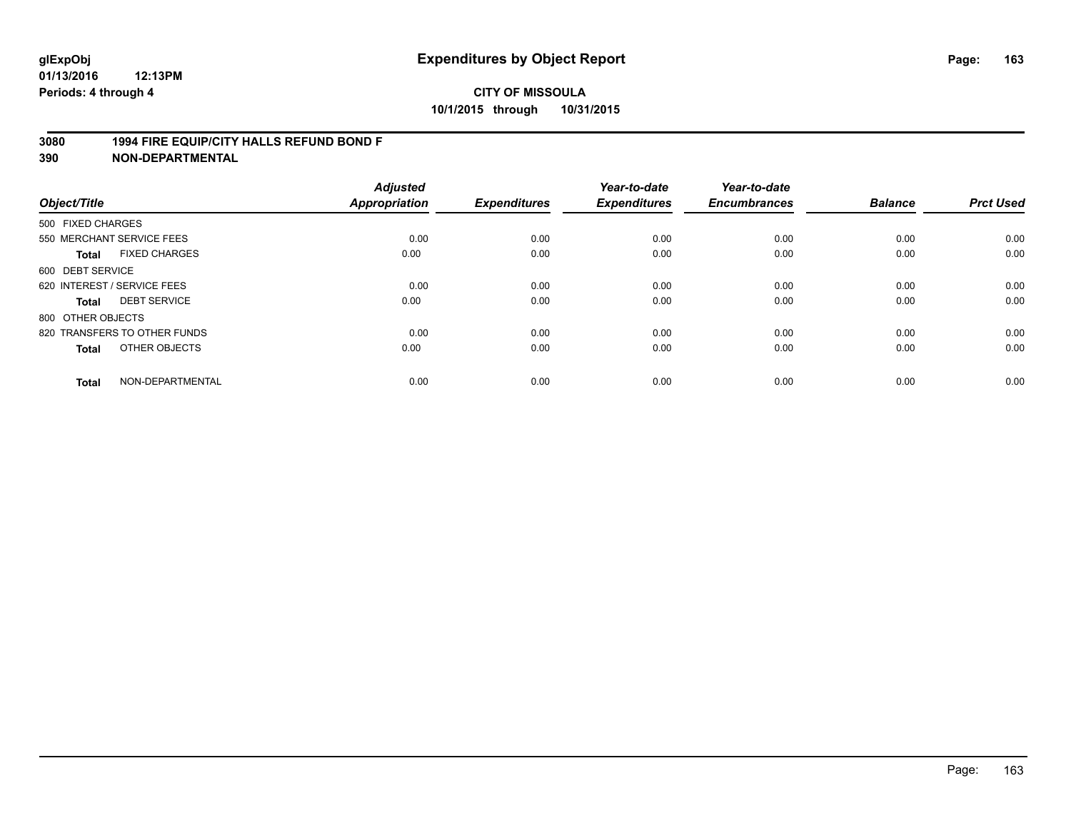### **3080 1994 FIRE EQUIP/CITY HALLS REFUND BOND F**

| Object/Title                 |                      | <b>Adjusted</b><br>Appropriation | <b>Expenditures</b> | Year-to-date<br><b>Expenditures</b> | Year-to-date<br><b>Encumbrances</b> | <b>Balance</b> | <b>Prct Used</b> |
|------------------------------|----------------------|----------------------------------|---------------------|-------------------------------------|-------------------------------------|----------------|------------------|
| 500 FIXED CHARGES            |                      |                                  |                     |                                     |                                     |                |                  |
| 550 MERCHANT SERVICE FEES    |                      | 0.00                             | 0.00                | 0.00                                | 0.00                                | 0.00           | 0.00             |
| <b>Total</b>                 | <b>FIXED CHARGES</b> | 0.00                             | 0.00                | 0.00                                | 0.00                                | 0.00           | 0.00             |
| 600 DEBT SERVICE             |                      |                                  |                     |                                     |                                     |                |                  |
| 620 INTEREST / SERVICE FEES  |                      | 0.00                             | 0.00                | 0.00                                | 0.00                                | 0.00           | 0.00             |
| <b>DEBT SERVICE</b><br>Total |                      | 0.00                             | 0.00                | 0.00                                | 0.00                                | 0.00           | 0.00             |
| 800 OTHER OBJECTS            |                      |                                  |                     |                                     |                                     |                |                  |
| 820 TRANSFERS TO OTHER FUNDS |                      | 0.00                             | 0.00                | 0.00                                | 0.00                                | 0.00           | 0.00             |
| <b>Total</b>                 | OTHER OBJECTS        | 0.00                             | 0.00                | 0.00                                | 0.00                                | 0.00           | 0.00             |
|                              |                      |                                  |                     |                                     |                                     |                |                  |
| <b>Total</b>                 | NON-DEPARTMENTAL     | 0.00                             | 0.00                | 0.00                                | 0.00                                | 0.00           | 0.00             |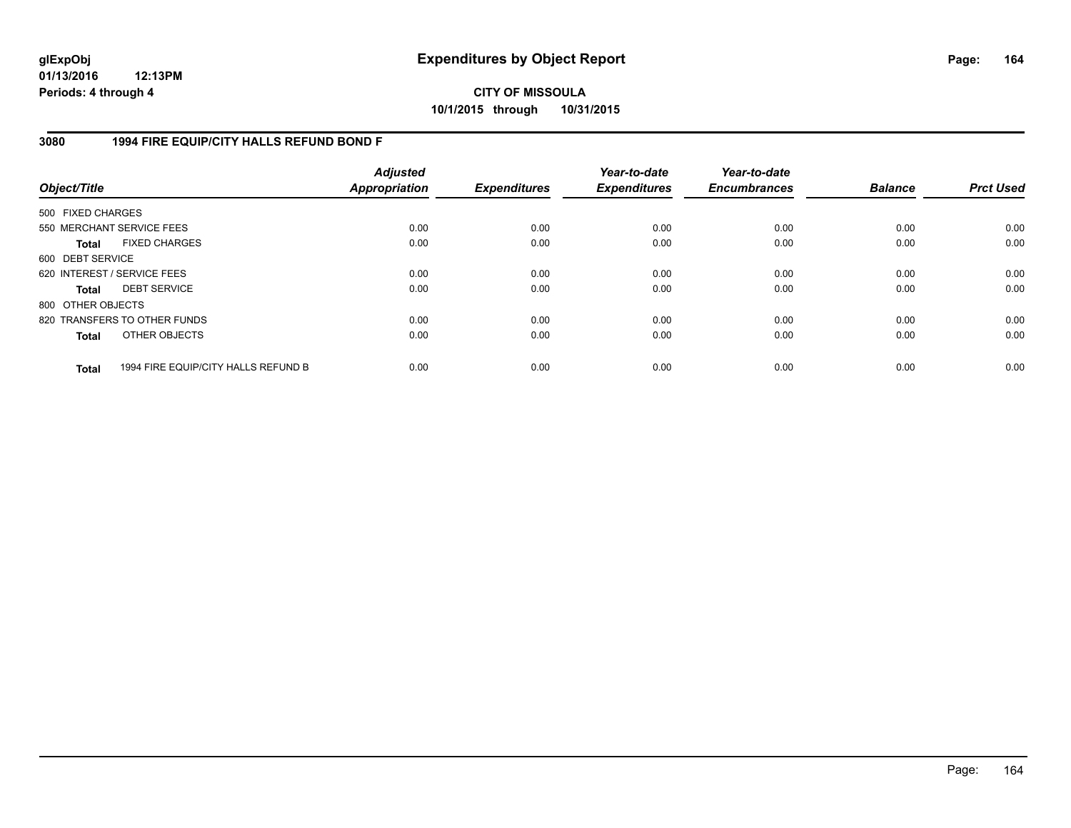**CITY OF MISSOULA 10/1/2015 through 10/31/2015**

### **3080 1994 FIRE EQUIP/CITY HALLS REFUND BOND F**

| Object/Title                |                                     | <b>Adjusted</b><br><b>Appropriation</b> | <b>Expenditures</b> | Year-to-date<br><b>Expenditures</b> | Year-to-date<br><b>Encumbrances</b> | <b>Balance</b> | <b>Prct Used</b> |
|-----------------------------|-------------------------------------|-----------------------------------------|---------------------|-------------------------------------|-------------------------------------|----------------|------------------|
| 500 FIXED CHARGES           |                                     |                                         |                     |                                     |                                     |                |                  |
| 550 MERCHANT SERVICE FEES   |                                     | 0.00                                    | 0.00                | 0.00                                | 0.00                                | 0.00           | 0.00             |
| Total                       | <b>FIXED CHARGES</b>                | 0.00                                    | 0.00                | 0.00                                | 0.00                                | 0.00           | 0.00             |
| 600 DEBT SERVICE            |                                     |                                         |                     |                                     |                                     |                |                  |
| 620 INTEREST / SERVICE FEES |                                     | 0.00                                    | 0.00                | 0.00                                | 0.00                                | 0.00           | 0.00             |
| Total                       | <b>DEBT SERVICE</b>                 | 0.00                                    | 0.00                | 0.00                                | 0.00                                | 0.00           | 0.00             |
| 800 OTHER OBJECTS           |                                     |                                         |                     |                                     |                                     |                |                  |
|                             | 820 TRANSFERS TO OTHER FUNDS        | 0.00                                    | 0.00                | 0.00                                | 0.00                                | 0.00           | 0.00             |
| Total                       | OTHER OBJECTS                       | 0.00                                    | 0.00                | 0.00                                | 0.00                                | 0.00           | 0.00             |
| <b>Total</b>                | 1994 FIRE EQUIP/CITY HALLS REFUND B | 0.00                                    | 0.00                | 0.00                                | 0.00                                | 0.00           | 0.00             |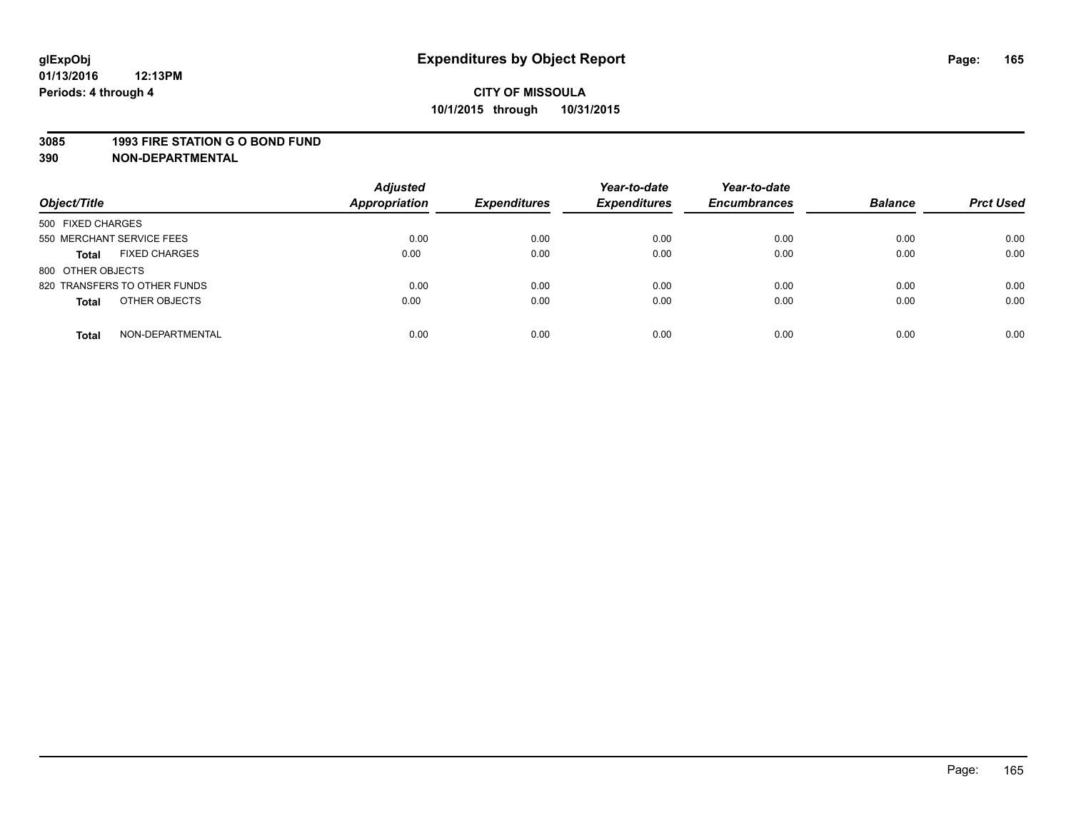#### **3085 1993 FIRE STATION G O BOND FUND**

| Object/Title                         | <b>Adjusted</b><br><b>Appropriation</b> | <b>Expenditures</b> | Year-to-date<br><b>Expenditures</b> | Year-to-date<br><b>Encumbrances</b> | <b>Balance</b> | <b>Prct Used</b> |
|--------------------------------------|-----------------------------------------|---------------------|-------------------------------------|-------------------------------------|----------------|------------------|
|                                      |                                         |                     |                                     |                                     |                |                  |
| 500 FIXED CHARGES                    |                                         |                     |                                     |                                     |                |                  |
| 550 MERCHANT SERVICE FEES            | 0.00                                    | 0.00                | 0.00                                | 0.00                                | 0.00           | 0.00             |
| <b>FIXED CHARGES</b><br><b>Total</b> | 0.00                                    | 0.00                | 0.00                                | 0.00                                | 0.00           | 0.00             |
| 800 OTHER OBJECTS                    |                                         |                     |                                     |                                     |                |                  |
| 820 TRANSFERS TO OTHER FUNDS         | 0.00                                    | 0.00                | 0.00                                | 0.00                                | 0.00           | 0.00             |
| OTHER OBJECTS<br><b>Total</b>        | 0.00                                    | 0.00                | 0.00                                | 0.00                                | 0.00           | 0.00             |
| NON-DEPARTMENTAL<br><b>Total</b>     | 0.00                                    | 0.00                | 0.00                                | 0.00                                | 0.00           | 0.00             |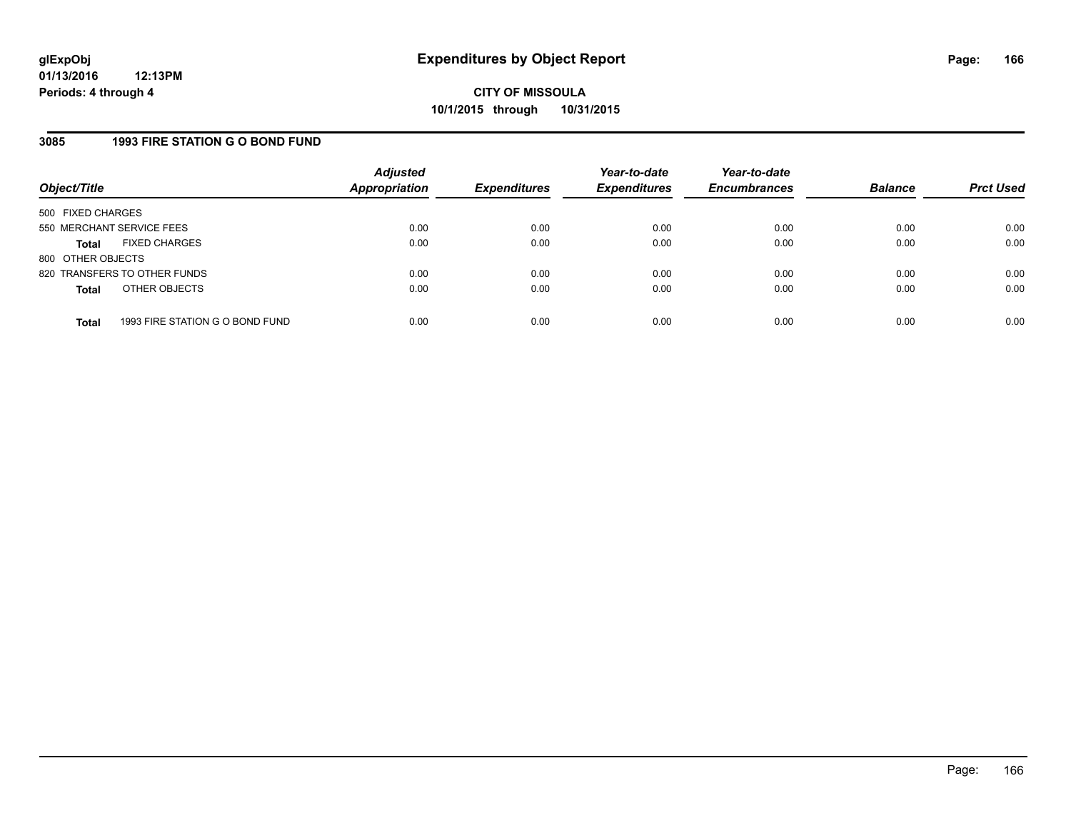### **3085 1993 FIRE STATION G O BOND FUND**

| Object/Title              |                                 | <b>Adjusted</b><br><b>Appropriation</b> | <b>Expenditures</b> | Year-to-date<br><b>Expenditures</b> | Year-to-date<br><b>Encumbrances</b> | <b>Balance</b> | <b>Prct Used</b> |
|---------------------------|---------------------------------|-----------------------------------------|---------------------|-------------------------------------|-------------------------------------|----------------|------------------|
| 500 FIXED CHARGES         |                                 |                                         |                     |                                     |                                     |                |                  |
| 550 MERCHANT SERVICE FEES |                                 | 0.00                                    | 0.00                | 0.00                                | 0.00                                | 0.00           | 0.00             |
| <b>Total</b>              | <b>FIXED CHARGES</b>            | 0.00                                    | 0.00                | 0.00                                | 0.00                                | 0.00           | 0.00             |
| 800 OTHER OBJECTS         |                                 |                                         |                     |                                     |                                     |                |                  |
|                           | 820 TRANSFERS TO OTHER FUNDS    | 0.00                                    | 0.00                | 0.00                                | 0.00                                | 0.00           | 0.00             |
| <b>Total</b>              | OTHER OBJECTS                   | 0.00                                    | 0.00                | 0.00                                | 0.00                                | 0.00           | 0.00             |
| <b>Total</b>              | 1993 FIRE STATION G O BOND FUND | 0.00                                    | 0.00                | 0.00                                | 0.00                                | 0.00           | 0.00             |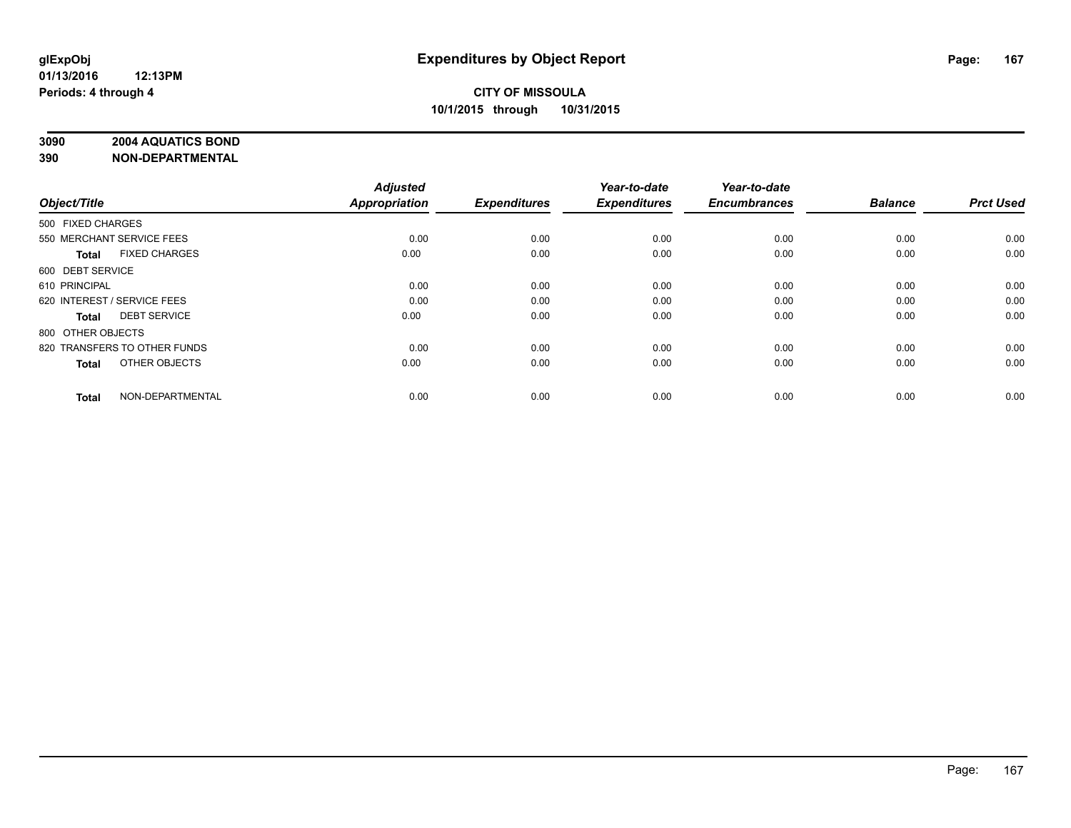# **3090 2004 AQUATICS BOND**

| Object/Title                |                              | <b>Adjusted</b><br><b>Appropriation</b> | <b>Expenditures</b> | Year-to-date<br><b>Expenditures</b> | Year-to-date<br><b>Encumbrances</b> | <b>Balance</b> | <b>Prct Used</b> |
|-----------------------------|------------------------------|-----------------------------------------|---------------------|-------------------------------------|-------------------------------------|----------------|------------------|
|                             |                              |                                         |                     |                                     |                                     |                |                  |
| 500 FIXED CHARGES           |                              |                                         |                     |                                     |                                     |                |                  |
| 550 MERCHANT SERVICE FEES   |                              | 0.00                                    | 0.00                | 0.00                                | 0.00                                | 0.00           | 0.00             |
| <b>Total</b>                | <b>FIXED CHARGES</b>         | 0.00                                    | 0.00                | 0.00                                | 0.00                                | 0.00           | 0.00             |
| 600 DEBT SERVICE            |                              |                                         |                     |                                     |                                     |                |                  |
| 610 PRINCIPAL               |                              | 0.00                                    | 0.00                | 0.00                                | 0.00                                | 0.00           | 0.00             |
| 620 INTEREST / SERVICE FEES |                              | 0.00                                    | 0.00                | 0.00                                | 0.00                                | 0.00           | 0.00             |
| <b>Total</b>                | <b>DEBT SERVICE</b>          | 0.00                                    | 0.00                | 0.00                                | 0.00                                | 0.00           | 0.00             |
| 800 OTHER OBJECTS           |                              |                                         |                     |                                     |                                     |                |                  |
|                             | 820 TRANSFERS TO OTHER FUNDS | 0.00                                    | 0.00                | 0.00                                | 0.00                                | 0.00           | 0.00             |
| <b>Total</b>                | OTHER OBJECTS                | 0.00                                    | 0.00                | 0.00                                | 0.00                                | 0.00           | 0.00             |
|                             |                              |                                         |                     |                                     |                                     |                |                  |
| <b>Total</b>                | NON-DEPARTMENTAL             | 0.00                                    | 0.00                | 0.00                                | 0.00                                | 0.00           | 0.00             |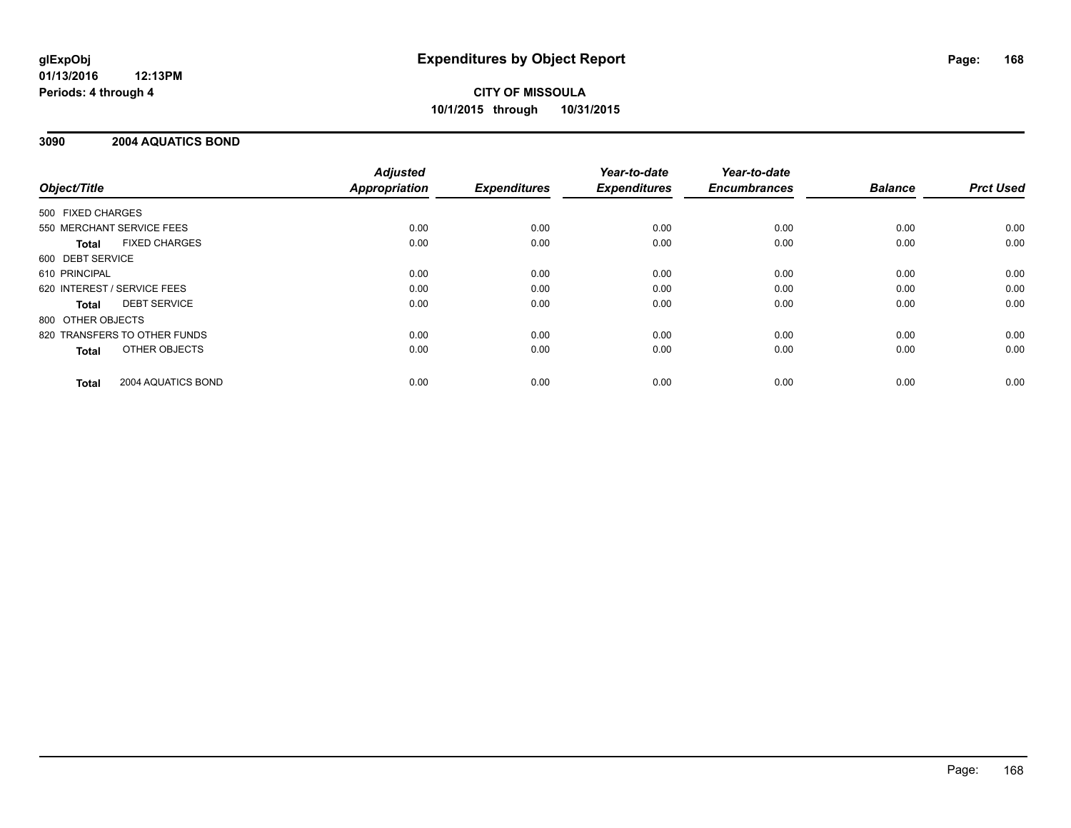# **CITY OF MISSOULA 10/1/2015 through 10/31/2015**

### **3090 2004 AQUATICS BOND**

|                   |                              | <b>Adjusted</b>      |                     | Year-to-date        | Year-to-date        |                |                  |
|-------------------|------------------------------|----------------------|---------------------|---------------------|---------------------|----------------|------------------|
| Object/Title      |                              | <b>Appropriation</b> | <b>Expenditures</b> | <b>Expenditures</b> | <b>Encumbrances</b> | <b>Balance</b> | <b>Prct Used</b> |
| 500 FIXED CHARGES |                              |                      |                     |                     |                     |                |                  |
|                   | 550 MERCHANT SERVICE FEES    | 0.00                 | 0.00                | 0.00                | 0.00                | 0.00           | 0.00             |
| <b>Total</b>      | <b>FIXED CHARGES</b>         | 0.00                 | 0.00                | 0.00                | 0.00                | 0.00           | 0.00             |
| 600 DEBT SERVICE  |                              |                      |                     |                     |                     |                |                  |
| 610 PRINCIPAL     |                              | 0.00                 | 0.00                | 0.00                | 0.00                | 0.00           | 0.00             |
|                   | 620 INTEREST / SERVICE FEES  | 0.00                 | 0.00                | 0.00                | 0.00                | 0.00           | 0.00             |
| <b>Total</b>      | <b>DEBT SERVICE</b>          | 0.00                 | 0.00                | 0.00                | 0.00                | 0.00           | 0.00             |
| 800 OTHER OBJECTS |                              |                      |                     |                     |                     |                |                  |
|                   | 820 TRANSFERS TO OTHER FUNDS | 0.00                 | 0.00                | 0.00                | 0.00                | 0.00           | 0.00             |
| <b>Total</b>      | OTHER OBJECTS                | 0.00                 | 0.00                | 0.00                | 0.00                | 0.00           | 0.00             |
| <b>Total</b>      | 2004 AQUATICS BOND           | 0.00                 | 0.00                | 0.00                | 0.00                | 0.00           | 0.00             |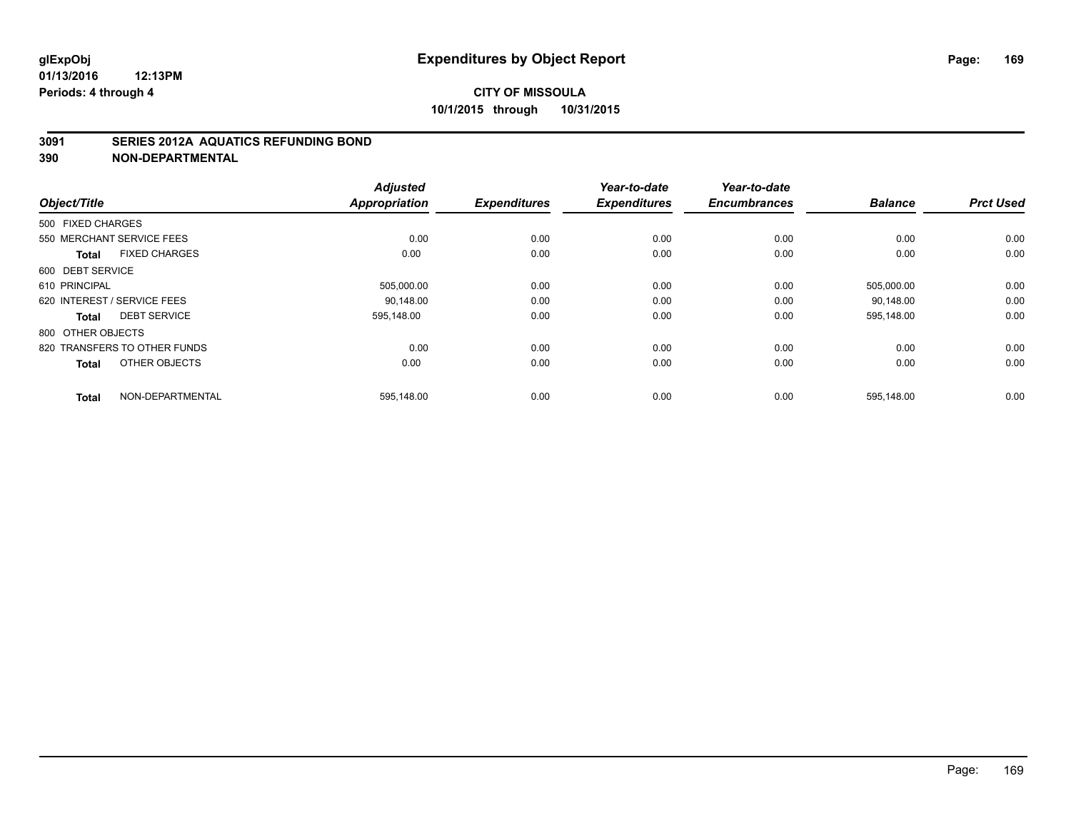### **3091 SERIES 2012A AQUATICS REFUNDING BOND**

| Object/Title                         | <b>Adjusted</b><br><b>Appropriation</b> | <b>Expenditures</b> | Year-to-date<br><b>Expenditures</b> | Year-to-date<br><b>Encumbrances</b> | <b>Balance</b> | <b>Prct Used</b> |
|--------------------------------------|-----------------------------------------|---------------------|-------------------------------------|-------------------------------------|----------------|------------------|
| 500 FIXED CHARGES                    |                                         |                     |                                     |                                     |                |                  |
| 550 MERCHANT SERVICE FEES            | 0.00                                    | 0.00                | 0.00                                | 0.00                                | 0.00           | 0.00             |
| <b>FIXED CHARGES</b><br><b>Total</b> | 0.00                                    | 0.00                | 0.00                                | 0.00                                | 0.00           | 0.00             |
| 600 DEBT SERVICE                     |                                         |                     |                                     |                                     |                |                  |
| 610 PRINCIPAL                        | 505,000.00                              | 0.00                | 0.00                                | 0.00                                | 505,000.00     | 0.00             |
| 620 INTEREST / SERVICE FEES          | 90.148.00                               | 0.00                | 0.00                                | 0.00                                | 90.148.00      | 0.00             |
| <b>DEBT SERVICE</b><br><b>Total</b>  | 595,148.00                              | 0.00                | 0.00                                | 0.00                                | 595,148.00     | 0.00             |
| 800 OTHER OBJECTS                    |                                         |                     |                                     |                                     |                |                  |
| 820 TRANSFERS TO OTHER FUNDS         | 0.00                                    | 0.00                | 0.00                                | 0.00                                | 0.00           | 0.00             |
| OTHER OBJECTS<br><b>Total</b>        | 0.00                                    | 0.00                | 0.00                                | 0.00                                | 0.00           | 0.00             |
| NON-DEPARTMENTAL<br><b>Total</b>     | 595,148.00                              | 0.00                | 0.00                                | 0.00                                | 595,148.00     | 0.00             |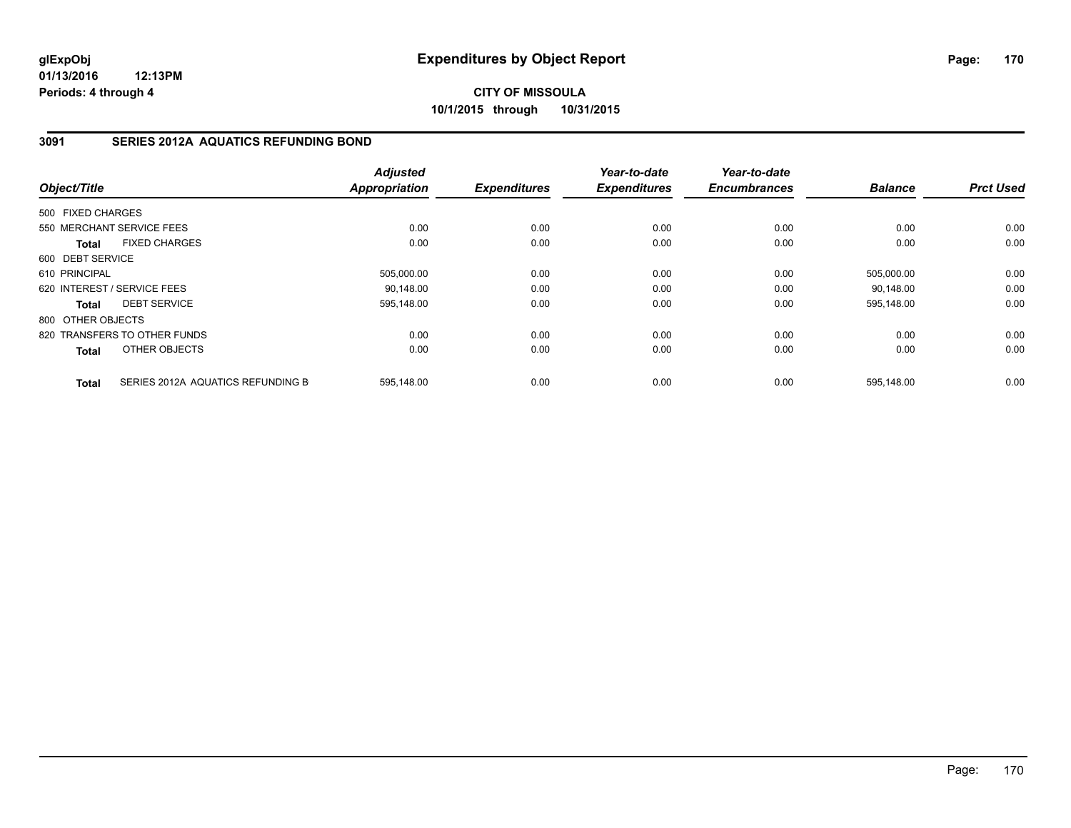**CITY OF MISSOULA 10/1/2015 through 10/31/2015**

### **3091 SERIES 2012A AQUATICS REFUNDING BOND**

| Object/Title      |                                   | <b>Adjusted</b><br><b>Appropriation</b> | <b>Expenditures</b> | Year-to-date<br><b>Expenditures</b> | Year-to-date<br><b>Encumbrances</b> | <b>Balance</b> | <b>Prct Used</b> |
|-------------------|-----------------------------------|-----------------------------------------|---------------------|-------------------------------------|-------------------------------------|----------------|------------------|
|                   |                                   |                                         |                     |                                     |                                     |                |                  |
| 500 FIXED CHARGES |                                   |                                         |                     |                                     |                                     |                |                  |
|                   | 550 MERCHANT SERVICE FEES         | 0.00                                    | 0.00                | 0.00                                | 0.00                                | 0.00           | 0.00             |
| <b>Total</b>      | <b>FIXED CHARGES</b>              | 0.00                                    | 0.00                | 0.00                                | 0.00                                | 0.00           | 0.00             |
| 600 DEBT SERVICE  |                                   |                                         |                     |                                     |                                     |                |                  |
| 610 PRINCIPAL     |                                   | 505,000.00                              | 0.00                | 0.00                                | 0.00                                | 505,000.00     | 0.00             |
|                   | 620 INTEREST / SERVICE FEES       | 90,148.00                               | 0.00                | 0.00                                | 0.00                                | 90,148.00      | 0.00             |
| <b>Total</b>      | <b>DEBT SERVICE</b>               | 595,148.00                              | 0.00                | 0.00                                | 0.00                                | 595,148.00     | 0.00             |
| 800 OTHER OBJECTS |                                   |                                         |                     |                                     |                                     |                |                  |
|                   | 820 TRANSFERS TO OTHER FUNDS      | 0.00                                    | 0.00                | 0.00                                | 0.00                                | 0.00           | 0.00             |
| Total             | OTHER OBJECTS                     | 0.00                                    | 0.00                | 0.00                                | 0.00                                | 0.00           | 0.00             |
| <b>Total</b>      | SERIES 2012A AQUATICS REFUNDING B | 595,148.00                              | 0.00                | 0.00                                | 0.00                                | 595,148.00     | 0.00             |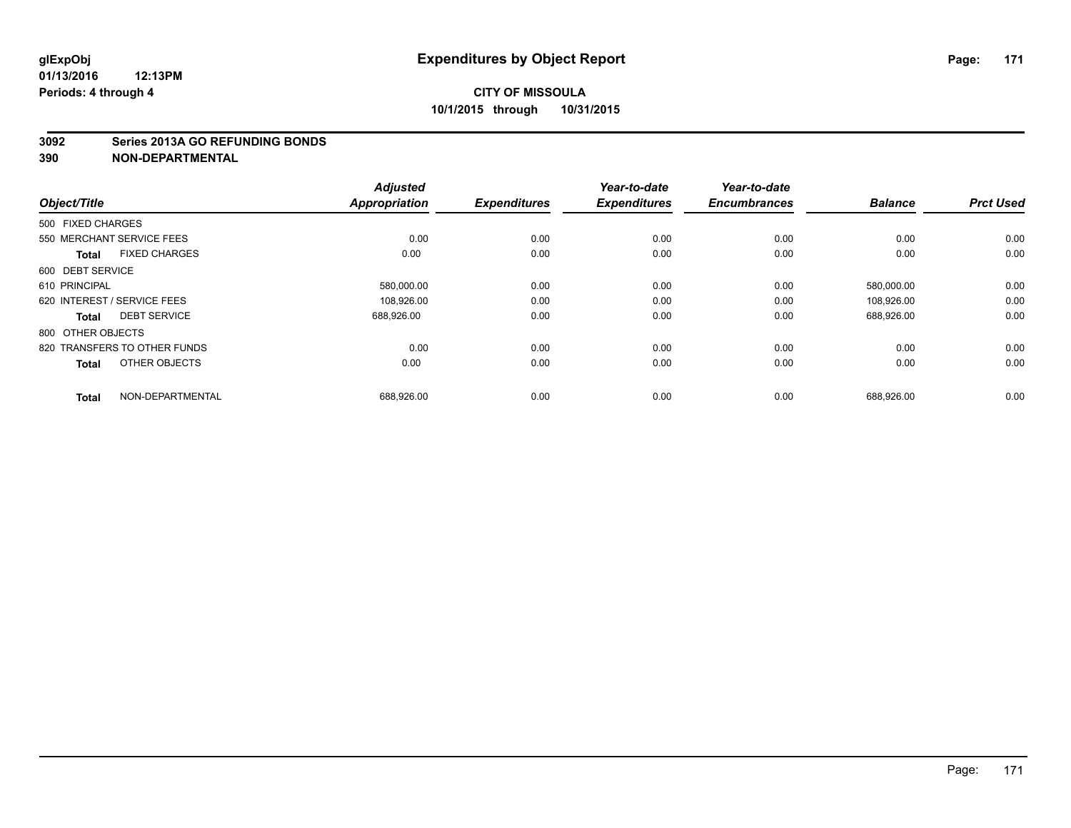#### **3092 Series 2013A GO REFUNDING BONDS**

| Object/Title                |                              | <b>Adjusted</b><br><b>Appropriation</b> | <b>Expenditures</b> | Year-to-date<br><b>Expenditures</b> | Year-to-date<br><b>Encumbrances</b> | <b>Balance</b> | <b>Prct Used</b> |
|-----------------------------|------------------------------|-----------------------------------------|---------------------|-------------------------------------|-------------------------------------|----------------|------------------|
| 500 FIXED CHARGES           |                              |                                         |                     |                                     |                                     |                |                  |
| 550 MERCHANT SERVICE FEES   |                              | 0.00                                    | 0.00                | 0.00                                | 0.00                                | 0.00           | 0.00             |
| <b>Total</b>                | <b>FIXED CHARGES</b>         | 0.00                                    | 0.00                | 0.00                                | 0.00                                | 0.00           | 0.00             |
| 600 DEBT SERVICE            |                              |                                         |                     |                                     |                                     |                |                  |
| 610 PRINCIPAL               |                              | 580,000.00                              | 0.00                | 0.00                                | 0.00                                | 580,000.00     | 0.00             |
| 620 INTEREST / SERVICE FEES |                              | 108,926.00                              | 0.00                | 0.00                                | 0.00                                | 108.926.00     | 0.00             |
| <b>Total</b>                | <b>DEBT SERVICE</b>          | 688,926.00                              | 0.00                | 0.00                                | 0.00                                | 688,926.00     | 0.00             |
| 800 OTHER OBJECTS           |                              |                                         |                     |                                     |                                     |                |                  |
|                             | 820 TRANSFERS TO OTHER FUNDS | 0.00                                    | 0.00                | 0.00                                | 0.00                                | 0.00           | 0.00             |
| <b>Total</b>                | OTHER OBJECTS                | 0.00                                    | 0.00                | 0.00                                | 0.00                                | 0.00           | 0.00             |
| <b>Total</b>                | NON-DEPARTMENTAL             | 688,926.00                              | 0.00                | 0.00                                | 0.00                                | 688,926.00     | 0.00             |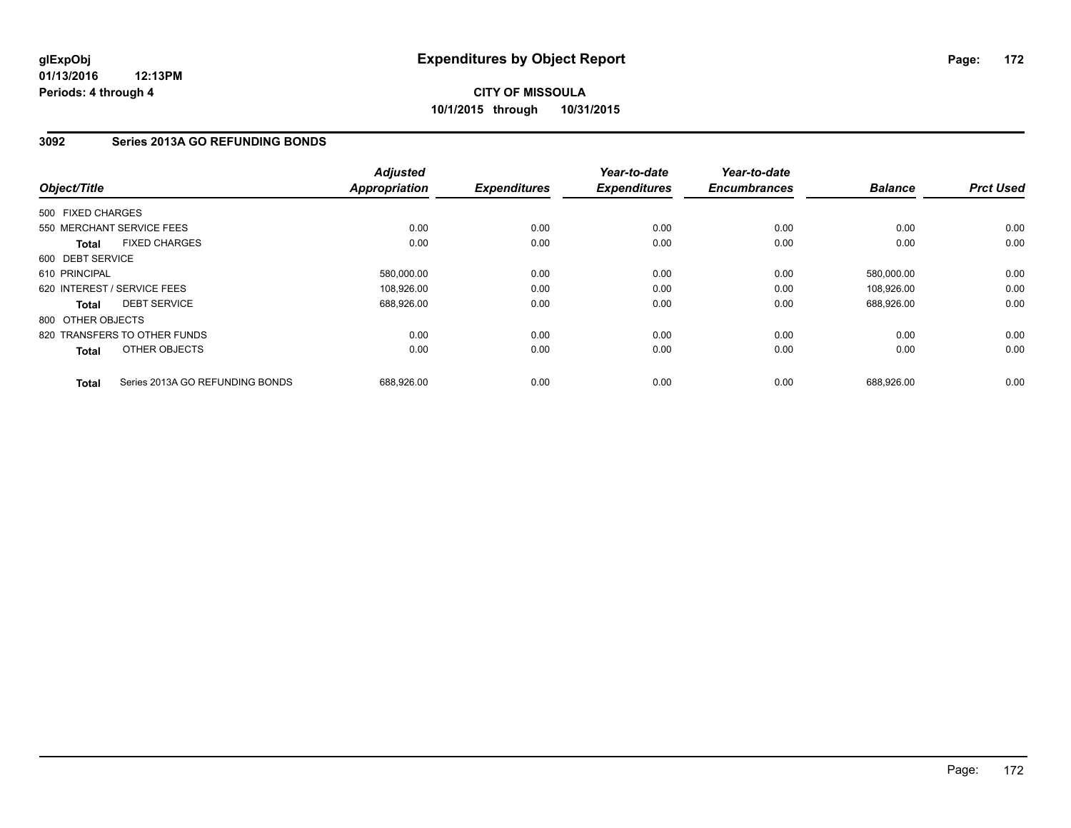# **3092 Series 2013A GO REFUNDING BONDS**

| Object/Title      |                                 | <b>Adjusted</b><br><b>Appropriation</b> | <b>Expenditures</b> | Year-to-date<br><b>Expenditures</b> | Year-to-date<br><b>Encumbrances</b> | <b>Balance</b> | <b>Prct Used</b> |
|-------------------|---------------------------------|-----------------------------------------|---------------------|-------------------------------------|-------------------------------------|----------------|------------------|
| 500 FIXED CHARGES |                                 |                                         |                     |                                     |                                     |                |                  |
|                   | 550 MERCHANT SERVICE FEES       | 0.00                                    | 0.00                | 0.00                                | 0.00                                | 0.00           | 0.00             |
| <b>Total</b>      | <b>FIXED CHARGES</b>            | 0.00                                    | 0.00                | 0.00                                | 0.00                                | 0.00           | 0.00             |
| 600 DEBT SERVICE  |                                 |                                         |                     |                                     |                                     |                |                  |
| 610 PRINCIPAL     |                                 | 580,000.00                              | 0.00                | 0.00                                | 0.00                                | 580,000.00     | 0.00             |
|                   | 620 INTEREST / SERVICE FEES     | 108.926.00                              | 0.00                | 0.00                                | 0.00                                | 108.926.00     | 0.00             |
| <b>Total</b>      | <b>DEBT SERVICE</b>             | 688,926.00                              | 0.00                | 0.00                                | 0.00                                | 688,926.00     | 0.00             |
| 800 OTHER OBJECTS |                                 |                                         |                     |                                     |                                     |                |                  |
|                   | 820 TRANSFERS TO OTHER FUNDS    | 0.00                                    | 0.00                | 0.00                                | 0.00                                | 0.00           | 0.00             |
| <b>Total</b>      | OTHER OBJECTS                   | 0.00                                    | 0.00                | 0.00                                | 0.00                                | 0.00           | 0.00             |
| <b>Total</b>      | Series 2013A GO REFUNDING BONDS | 688,926.00                              | 0.00                | 0.00                                | 0.00                                | 688,926.00     | 0.00             |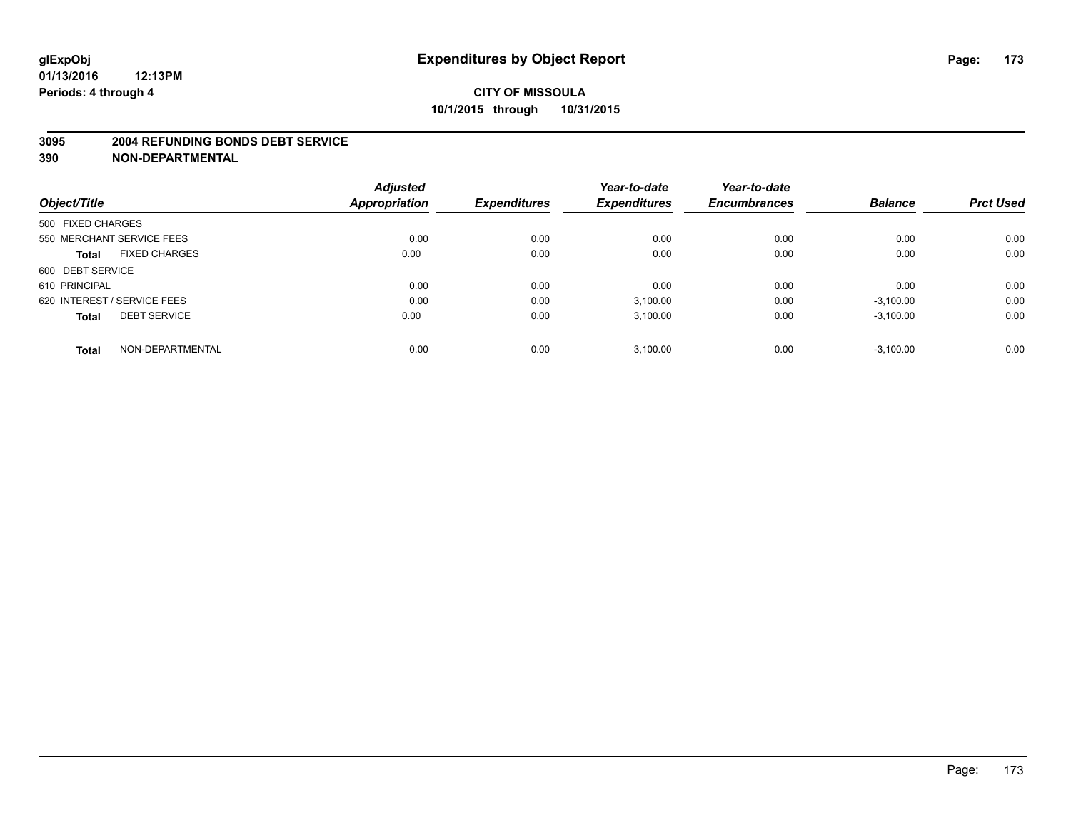#### **3095 2004 REFUNDING BONDS DEBT SERVICE**

|                                      | <b>Adjusted</b>      |                     | Year-to-date        | Year-to-date        |                |                  |
|--------------------------------------|----------------------|---------------------|---------------------|---------------------|----------------|------------------|
| Object/Title                         | <b>Appropriation</b> | <b>Expenditures</b> | <b>Expenditures</b> | <b>Encumbrances</b> | <b>Balance</b> | <b>Prct Used</b> |
| 500 FIXED CHARGES                    |                      |                     |                     |                     |                |                  |
| 550 MERCHANT SERVICE FEES            | 0.00                 | 0.00                | 0.00                | 0.00                | 0.00           | 0.00             |
| <b>FIXED CHARGES</b><br><b>Total</b> | 0.00                 | 0.00                | 0.00                | 0.00                | 0.00           | 0.00             |
| 600 DEBT SERVICE                     |                      |                     |                     |                     |                |                  |
| 610 PRINCIPAL                        | 0.00                 | 0.00                | 0.00                | 0.00                | 0.00           | 0.00             |
| 620 INTEREST / SERVICE FEES          | 0.00                 | 0.00                | 3,100.00            | 0.00                | $-3,100.00$    | 0.00             |
| <b>DEBT SERVICE</b><br><b>Total</b>  | 0.00                 | 0.00                | 3,100.00            | 0.00                | $-3,100.00$    | 0.00             |
| NON-DEPARTMENTAL<br><b>Total</b>     | 0.00                 | 0.00                | 3.100.00            | 0.00                | $-3.100.00$    | 0.00             |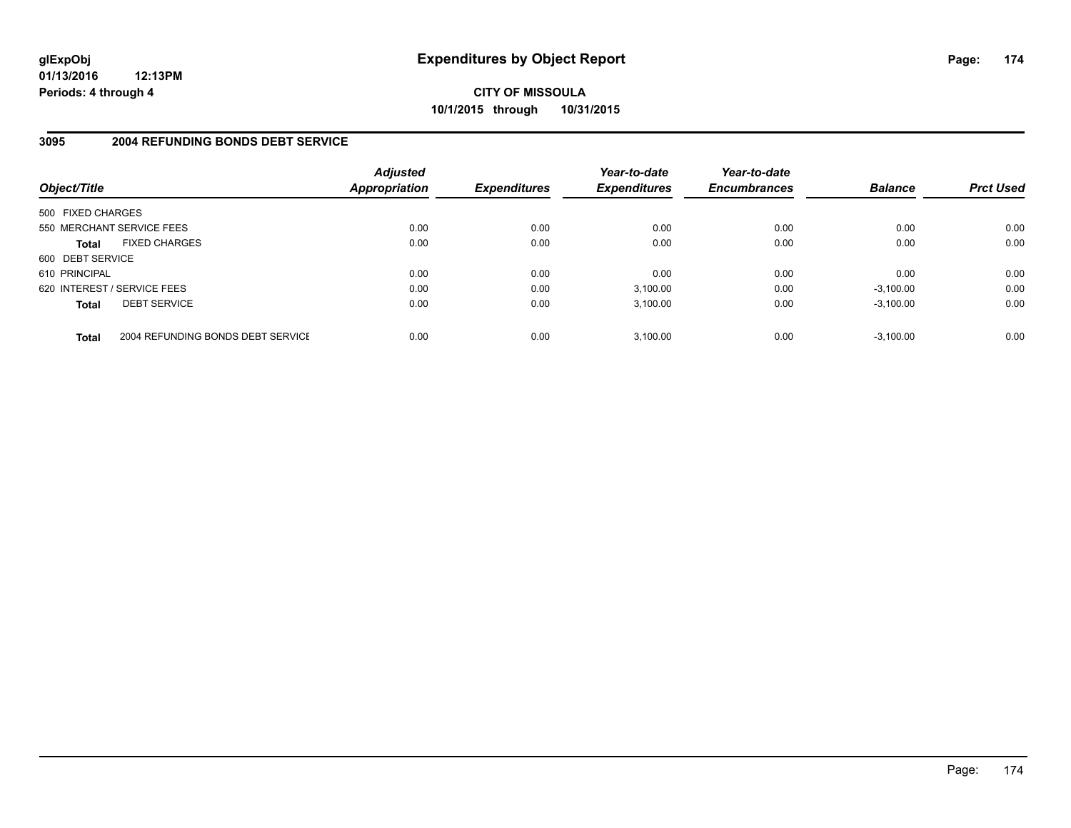**CITY OF MISSOULA 10/1/2015 through 10/31/2015**

### **3095 2004 REFUNDING BONDS DEBT SERVICE**

| Object/Title                |                                   | <b>Adjusted</b><br>Appropriation | <b>Expenditures</b> | Year-to-date<br><b>Expenditures</b> | Year-to-date<br><b>Encumbrances</b> | <b>Balance</b> | <b>Prct Used</b> |
|-----------------------------|-----------------------------------|----------------------------------|---------------------|-------------------------------------|-------------------------------------|----------------|------------------|
| 500 FIXED CHARGES           |                                   |                                  |                     |                                     |                                     |                |                  |
| 550 MERCHANT SERVICE FEES   |                                   | 0.00                             | 0.00                | 0.00                                | 0.00                                | 0.00           | 0.00             |
| <b>Total</b>                | <b>FIXED CHARGES</b>              | 0.00                             | 0.00                | 0.00                                | 0.00                                | 0.00           | 0.00             |
| 600 DEBT SERVICE            |                                   |                                  |                     |                                     |                                     |                |                  |
| 610 PRINCIPAL               |                                   | 0.00                             | 0.00                | 0.00                                | 0.00                                | 0.00           | 0.00             |
| 620 INTEREST / SERVICE FEES |                                   | 0.00                             | 0.00                | 3,100.00                            | 0.00                                | $-3,100.00$    | 0.00             |
| <b>Total</b>                | <b>DEBT SERVICE</b>               | 0.00                             | 0.00                | 3.100.00                            | 0.00                                | $-3.100.00$    | 0.00             |
| <b>Total</b>                | 2004 REFUNDING BONDS DEBT SERVICE | 0.00                             | 0.00                | 3.100.00                            | 0.00                                | $-3.100.00$    | 0.00             |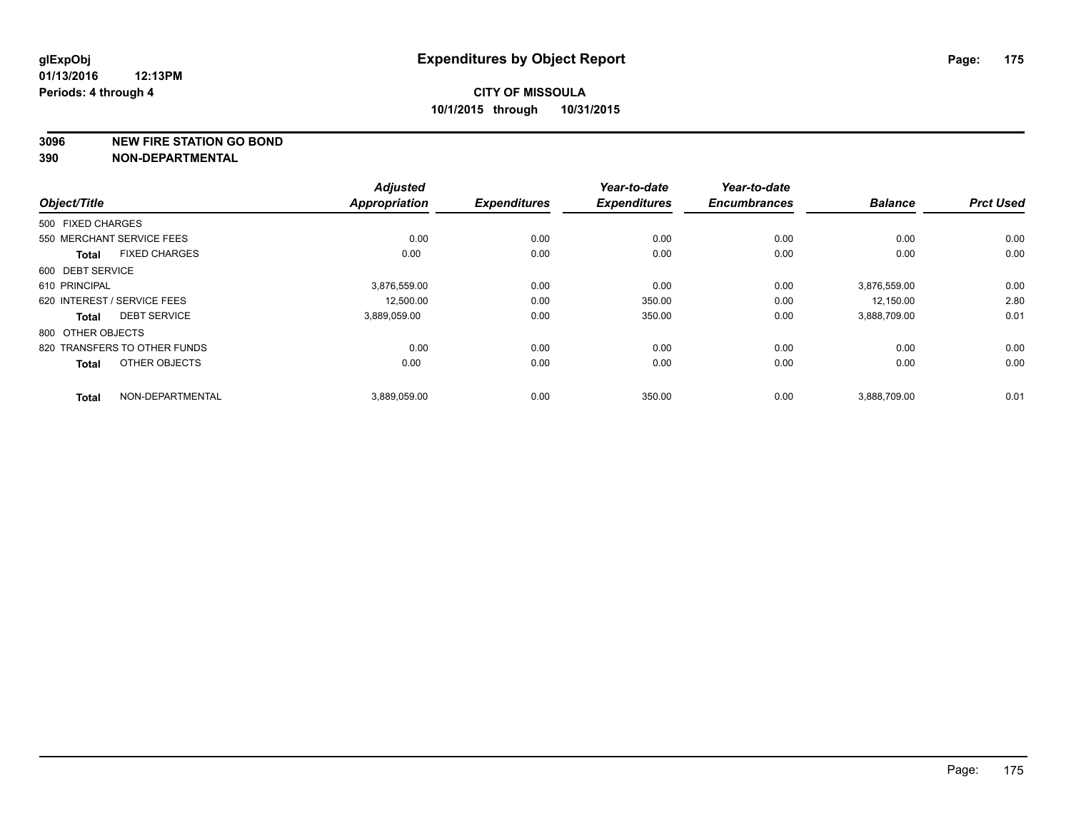**3096 NEW FIRE STATION GO BOND**

|                   |                              | <b>Adjusted</b>      |                     | Year-to-date        | Year-to-date        |                |                  |
|-------------------|------------------------------|----------------------|---------------------|---------------------|---------------------|----------------|------------------|
| Object/Title      |                              | <b>Appropriation</b> | <b>Expenditures</b> | <b>Expenditures</b> | <b>Encumbrances</b> | <b>Balance</b> | <b>Prct Used</b> |
| 500 FIXED CHARGES |                              |                      |                     |                     |                     |                |                  |
|                   | 550 MERCHANT SERVICE FEES    | 0.00                 | 0.00                | 0.00                | 0.00                | 0.00           | 0.00             |
| <b>Total</b>      | <b>FIXED CHARGES</b>         | 0.00                 | 0.00                | 0.00                | 0.00                | 0.00           | 0.00             |
| 600 DEBT SERVICE  |                              |                      |                     |                     |                     |                |                  |
| 610 PRINCIPAL     |                              | 3,876,559.00         | 0.00                | 0.00                | 0.00                | 3,876,559.00   | 0.00             |
|                   | 620 INTEREST / SERVICE FEES  | 12,500.00            | 0.00                | 350.00              | 0.00                | 12,150.00      | 2.80             |
| <b>Total</b>      | <b>DEBT SERVICE</b>          | 3,889,059.00         | 0.00                | 350.00              | 0.00                | 3,888,709.00   | 0.01             |
| 800 OTHER OBJECTS |                              |                      |                     |                     |                     |                |                  |
|                   | 820 TRANSFERS TO OTHER FUNDS | 0.00                 | 0.00                | 0.00                | 0.00                | 0.00           | 0.00             |
| <b>Total</b>      | OTHER OBJECTS                | 0.00                 | 0.00                | 0.00                | 0.00                | 0.00           | 0.00             |
| <b>Total</b>      | NON-DEPARTMENTAL             | 3,889,059.00         | 0.00                | 350.00              | 0.00                | 3,888,709.00   | 0.01             |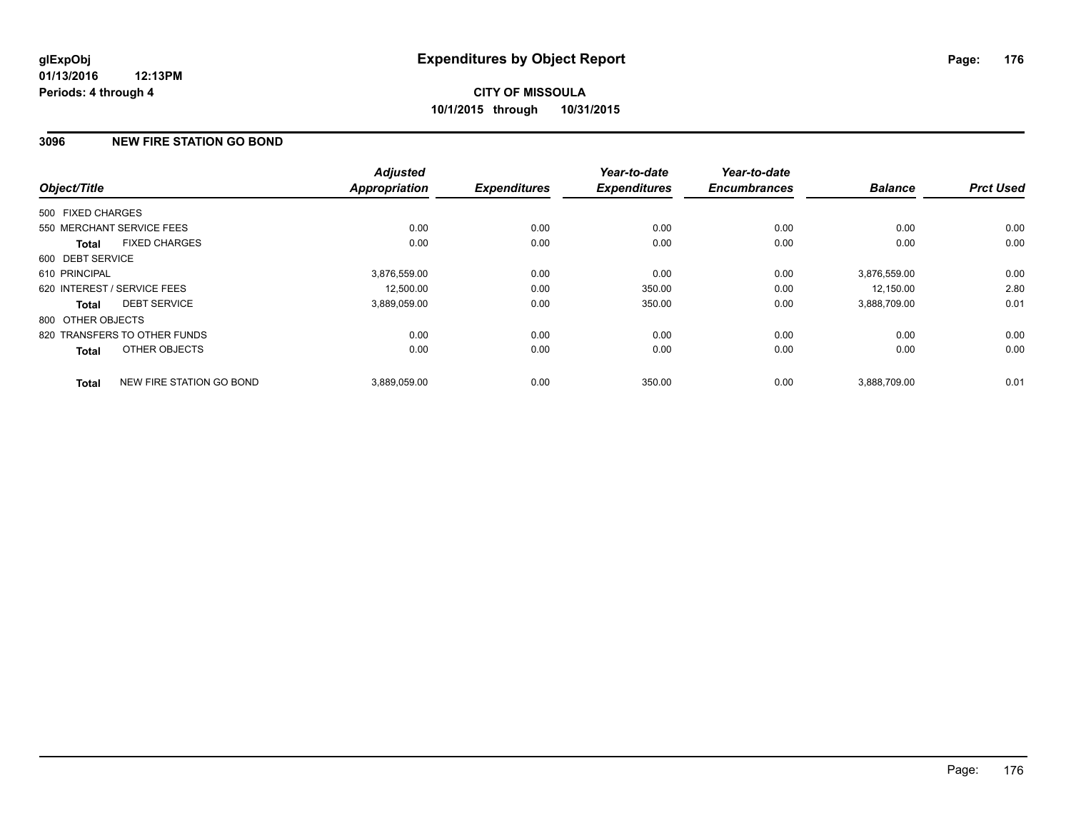# **CITY OF MISSOULA 10/1/2015 through 10/31/2015**

### **3096 NEW FIRE STATION GO BOND**

| Object/Title      |                              | <b>Adjusted</b><br><b>Appropriation</b> | <b>Expenditures</b> | Year-to-date<br><b>Expenditures</b> | Year-to-date<br><b>Encumbrances</b> | <b>Balance</b> | <b>Prct Used</b> |
|-------------------|------------------------------|-----------------------------------------|---------------------|-------------------------------------|-------------------------------------|----------------|------------------|
|                   |                              |                                         |                     |                                     |                                     |                |                  |
| 500 FIXED CHARGES |                              |                                         |                     |                                     |                                     |                |                  |
|                   | 550 MERCHANT SERVICE FEES    | 0.00                                    | 0.00                | 0.00                                | 0.00                                | 0.00           | 0.00             |
| <b>Total</b>      | <b>FIXED CHARGES</b>         | 0.00                                    | 0.00                | 0.00                                | 0.00                                | 0.00           | 0.00             |
| 600 DEBT SERVICE  |                              |                                         |                     |                                     |                                     |                |                  |
| 610 PRINCIPAL     |                              | 3.876.559.00                            | 0.00                | 0.00                                | 0.00                                | 3.876.559.00   | 0.00             |
|                   | 620 INTEREST / SERVICE FEES  | 12,500.00                               | 0.00                | 350.00                              | 0.00                                | 12,150.00      | 2.80             |
| Total             | <b>DEBT SERVICE</b>          | 3,889,059.00                            | 0.00                | 350.00                              | 0.00                                | 3,888,709.00   | 0.01             |
| 800 OTHER OBJECTS |                              |                                         |                     |                                     |                                     |                |                  |
|                   | 820 TRANSFERS TO OTHER FUNDS | 0.00                                    | 0.00                | 0.00                                | 0.00                                | 0.00           | 0.00             |
| <b>Total</b>      | OTHER OBJECTS                | 0.00                                    | 0.00                | 0.00                                | 0.00                                | 0.00           | 0.00             |
| <b>Total</b>      | NEW FIRE STATION GO BOND     | 3.889.059.00                            | 0.00                | 350.00                              | 0.00                                | 3.888.709.00   | 0.01             |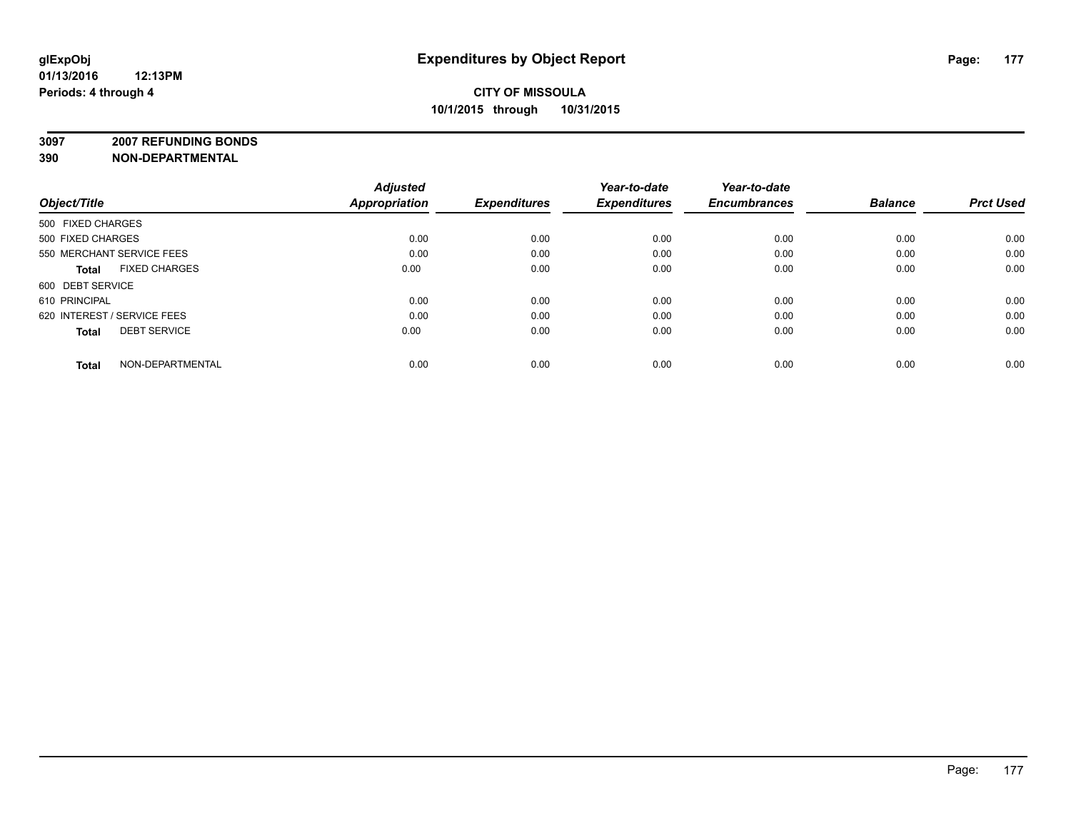**3097 2007 REFUNDING BONDS**

| Object/Title                         | <b>Adjusted</b><br>Appropriation | <b>Expenditures</b> | Year-to-date<br><b>Expenditures</b> | Year-to-date<br><b>Encumbrances</b> | <b>Balance</b> | <b>Prct Used</b> |
|--------------------------------------|----------------------------------|---------------------|-------------------------------------|-------------------------------------|----------------|------------------|
| 500 FIXED CHARGES                    |                                  |                     |                                     |                                     |                |                  |
| 500 FIXED CHARGES                    | 0.00                             | 0.00                | 0.00                                | 0.00                                | 0.00           | 0.00             |
| 550 MERCHANT SERVICE FEES            | 0.00                             | 0.00                | 0.00                                | 0.00                                | 0.00           | 0.00             |
| <b>FIXED CHARGES</b><br><b>Total</b> | 0.00                             | 0.00                | 0.00                                | 0.00                                | 0.00           | 0.00             |
| 600 DEBT SERVICE                     |                                  |                     |                                     |                                     |                |                  |
| 610 PRINCIPAL                        | 0.00                             | 0.00                | 0.00                                | 0.00                                | 0.00           | 0.00             |
| 620 INTEREST / SERVICE FEES          | 0.00                             | 0.00                | 0.00                                | 0.00                                | 0.00           | 0.00             |
| <b>DEBT SERVICE</b><br><b>Total</b>  | 0.00                             | 0.00                | 0.00                                | 0.00                                | 0.00           | 0.00             |
| NON-DEPARTMENTAL<br><b>Total</b>     | 0.00                             | 0.00                | 0.00                                | 0.00                                | 0.00           | 0.00             |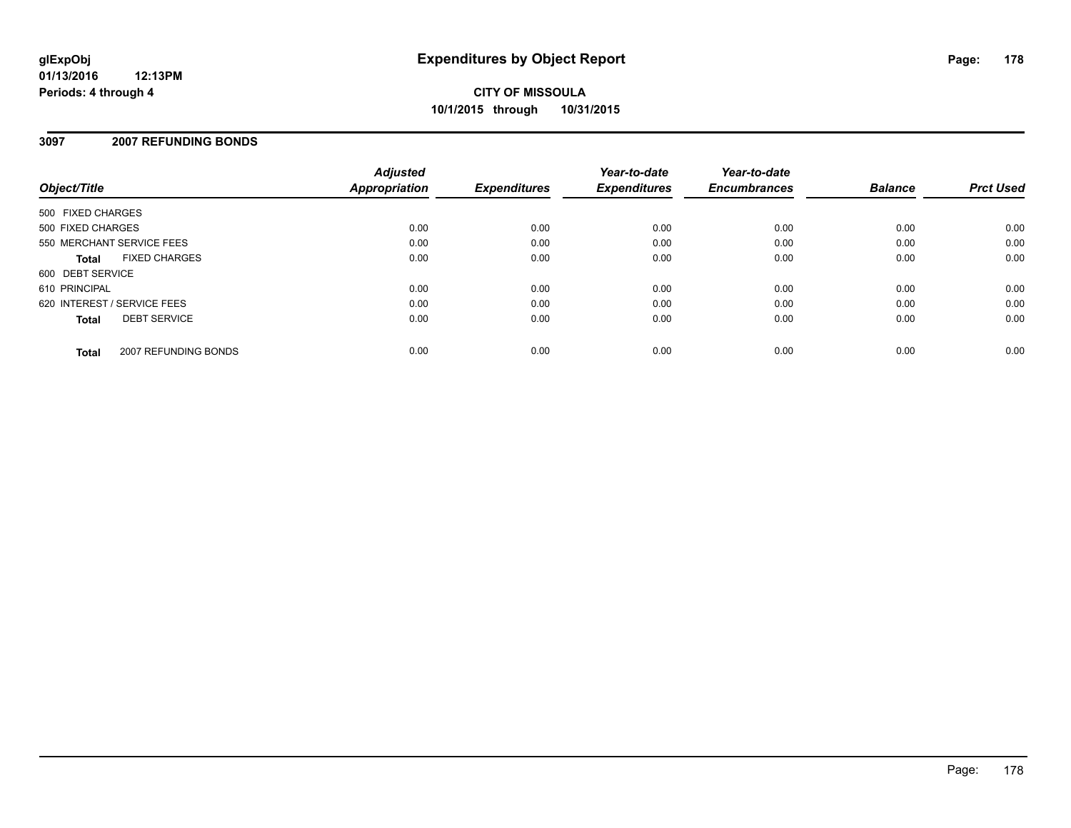### **3097 2007 REFUNDING BONDS**

| Object/Title                |                      | <b>Adjusted</b><br><b>Appropriation</b> | <b>Expenditures</b> | Year-to-date<br><b>Expenditures</b> | Year-to-date<br><b>Encumbrances</b> | <b>Balance</b> | <b>Prct Used</b> |
|-----------------------------|----------------------|-----------------------------------------|---------------------|-------------------------------------|-------------------------------------|----------------|------------------|
| 500 FIXED CHARGES           |                      |                                         |                     |                                     |                                     |                |                  |
| 500 FIXED CHARGES           |                      | 0.00                                    | 0.00                | 0.00                                | 0.00                                | 0.00           | 0.00             |
| 550 MERCHANT SERVICE FEES   |                      | 0.00                                    | 0.00                | 0.00                                | 0.00                                | 0.00           | 0.00             |
| <b>Total</b>                | <b>FIXED CHARGES</b> | 0.00                                    | 0.00                | 0.00                                | 0.00                                | 0.00           | 0.00             |
| 600 DEBT SERVICE            |                      |                                         |                     |                                     |                                     |                |                  |
| 610 PRINCIPAL               |                      | 0.00                                    | 0.00                | 0.00                                | 0.00                                | 0.00           | 0.00             |
| 620 INTEREST / SERVICE FEES |                      | 0.00                                    | 0.00                | 0.00                                | 0.00                                | 0.00           | 0.00             |
| <b>Total</b>                | <b>DEBT SERVICE</b>  | 0.00                                    | 0.00                | 0.00                                | 0.00                                | 0.00           | 0.00             |
| <b>Total</b>                | 2007 REFUNDING BONDS | 0.00                                    | 0.00                | 0.00                                | 0.00                                | 0.00           | 0.00             |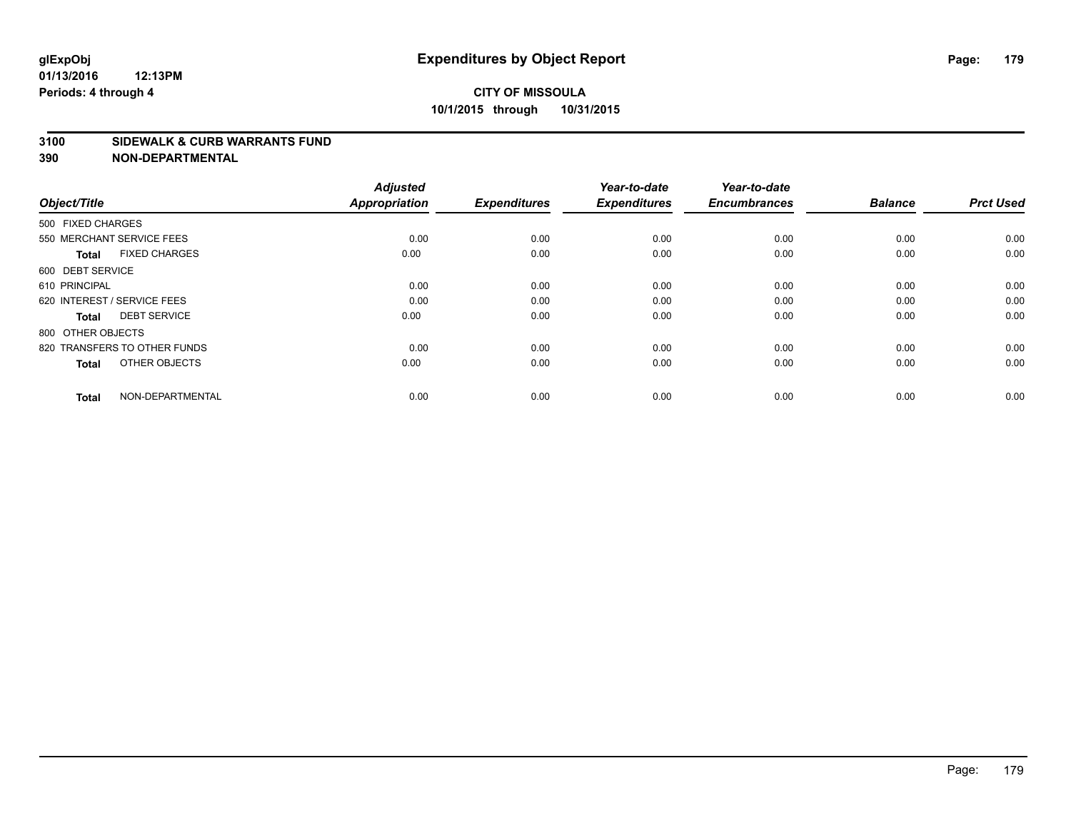# **CITY OF MISSOULA 10/1/2015 through 10/31/2015**

#### **3100 SIDEWALK & CURB WARRANTS FUND**

| Object/Title                         | <b>Adjusted</b><br><b>Appropriation</b> | <b>Expenditures</b> | Year-to-date<br><b>Expenditures</b> | Year-to-date<br><b>Encumbrances</b> | <b>Balance</b> | <b>Prct Used</b> |
|--------------------------------------|-----------------------------------------|---------------------|-------------------------------------|-------------------------------------|----------------|------------------|
| 500 FIXED CHARGES                    |                                         |                     |                                     |                                     |                |                  |
| 550 MERCHANT SERVICE FEES            | 0.00                                    | 0.00                | 0.00                                | 0.00                                | 0.00           | 0.00             |
| <b>FIXED CHARGES</b><br><b>Total</b> | 0.00                                    | 0.00                | 0.00                                | 0.00                                | 0.00           | 0.00             |
| 600 DEBT SERVICE                     |                                         |                     |                                     |                                     |                |                  |
| 610 PRINCIPAL                        | 0.00                                    | 0.00                | 0.00                                | 0.00                                | 0.00           | 0.00             |
| 620 INTEREST / SERVICE FEES          | 0.00                                    | 0.00                | 0.00                                | 0.00                                | 0.00           | 0.00             |
| <b>DEBT SERVICE</b><br><b>Total</b>  | 0.00                                    | 0.00                | 0.00                                | 0.00                                | 0.00           | 0.00             |
| 800 OTHER OBJECTS                    |                                         |                     |                                     |                                     |                |                  |
| 820 TRANSFERS TO OTHER FUNDS         | 0.00                                    | 0.00                | 0.00                                | 0.00                                | 0.00           | 0.00             |
| OTHER OBJECTS<br><b>Total</b>        | 0.00                                    | 0.00                | 0.00                                | 0.00                                | 0.00           | 0.00             |
|                                      |                                         |                     |                                     |                                     |                |                  |
| NON-DEPARTMENTAL<br><b>Total</b>     | 0.00                                    | 0.00                | 0.00                                | 0.00                                | 0.00           | 0.00             |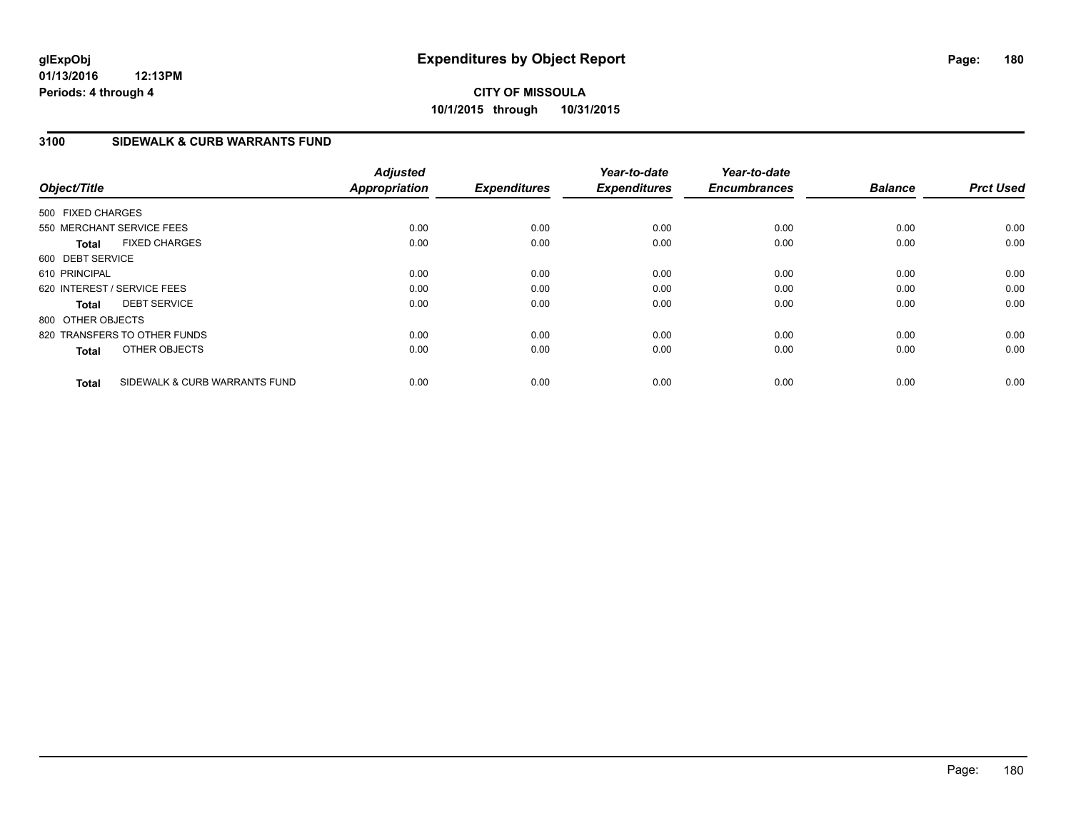# **CITY OF MISSOULA 10/1/2015 through 10/31/2015**

### **3100 SIDEWALK & CURB WARRANTS FUND**

| Object/Title      |                               | <b>Adjusted</b><br><b>Appropriation</b> | <b>Expenditures</b> | Year-to-date<br><b>Expenditures</b> | Year-to-date<br><b>Encumbrances</b> | <b>Balance</b> | <b>Prct Used</b> |
|-------------------|-------------------------------|-----------------------------------------|---------------------|-------------------------------------|-------------------------------------|----------------|------------------|
| 500 FIXED CHARGES |                               |                                         |                     |                                     |                                     |                |                  |
|                   | 550 MERCHANT SERVICE FEES     | 0.00                                    | 0.00                | 0.00                                | 0.00                                | 0.00           | 0.00             |
| <b>Total</b>      | <b>FIXED CHARGES</b>          | 0.00                                    | 0.00                | 0.00                                | 0.00                                | 0.00           | 0.00             |
| 600 DEBT SERVICE  |                               |                                         |                     |                                     |                                     |                |                  |
| 610 PRINCIPAL     |                               | 0.00                                    | 0.00                | 0.00                                | 0.00                                | 0.00           | 0.00             |
|                   | 620 INTEREST / SERVICE FEES   | 0.00                                    | 0.00                | 0.00                                | 0.00                                | 0.00           | 0.00             |
| Total             | <b>DEBT SERVICE</b>           | 0.00                                    | 0.00                | 0.00                                | 0.00                                | 0.00           | 0.00             |
| 800 OTHER OBJECTS |                               |                                         |                     |                                     |                                     |                |                  |
|                   | 820 TRANSFERS TO OTHER FUNDS  | 0.00                                    | 0.00                | 0.00                                | 0.00                                | 0.00           | 0.00             |
| <b>Total</b>      | OTHER OBJECTS                 | 0.00                                    | 0.00                | 0.00                                | 0.00                                | 0.00           | 0.00             |
| <b>Total</b>      | SIDEWALK & CURB WARRANTS FUND | 0.00                                    | 0.00                | 0.00                                | 0.00                                | 0.00           | 0.00             |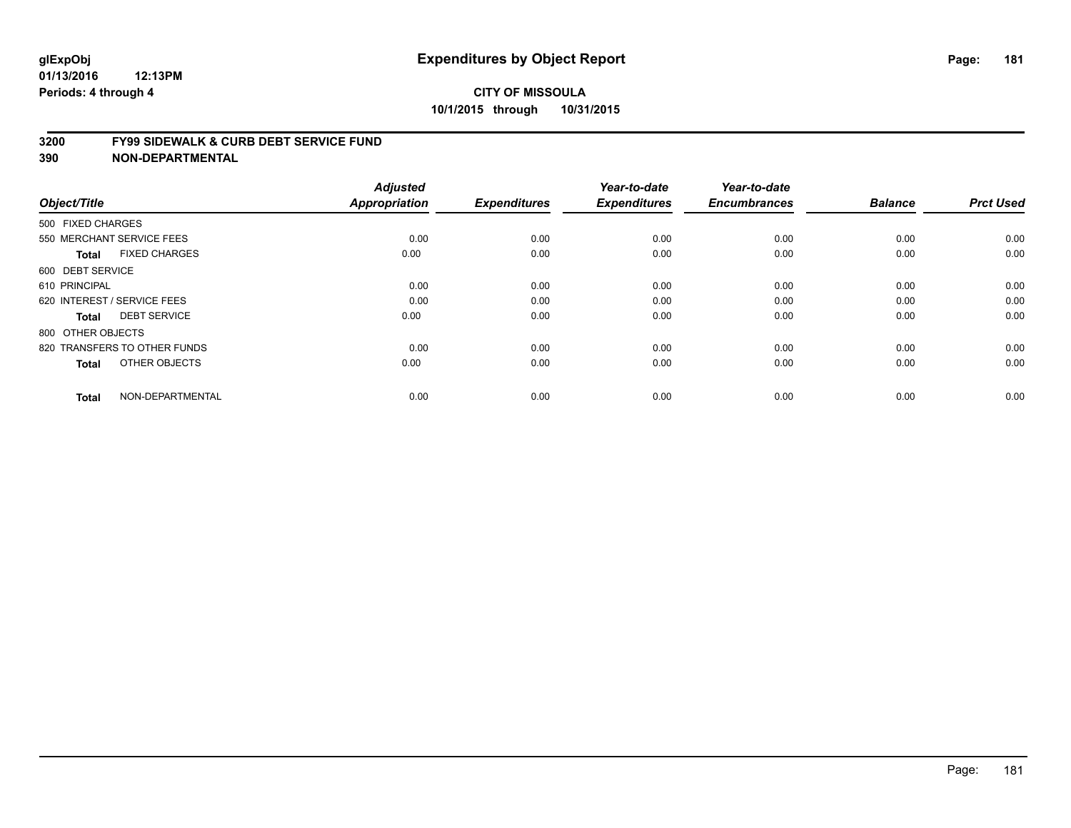#### **3200 FY99 SIDEWALK & CURB DEBT SERVICE FUND**

| Object/Title                         | <b>Adjusted</b><br><b>Appropriation</b> | <b>Expenditures</b> | Year-to-date<br><b>Expenditures</b> | Year-to-date<br><b>Encumbrances</b> | <b>Balance</b> | <b>Prct Used</b> |
|--------------------------------------|-----------------------------------------|---------------------|-------------------------------------|-------------------------------------|----------------|------------------|
| 500 FIXED CHARGES                    |                                         |                     |                                     |                                     |                |                  |
| 550 MERCHANT SERVICE FEES            | 0.00                                    | 0.00                | 0.00                                | 0.00                                | 0.00           | 0.00             |
| <b>FIXED CHARGES</b><br><b>Total</b> | 0.00                                    | 0.00                | 0.00                                | 0.00                                | 0.00           | 0.00             |
| 600 DEBT SERVICE                     |                                         |                     |                                     |                                     |                |                  |
| 610 PRINCIPAL                        | 0.00                                    | 0.00                | 0.00                                | 0.00                                | 0.00           | 0.00             |
| 620 INTEREST / SERVICE FEES          | 0.00                                    | 0.00                | 0.00                                | 0.00                                | 0.00           | 0.00             |
| <b>DEBT SERVICE</b><br><b>Total</b>  | 0.00                                    | 0.00                | 0.00                                | 0.00                                | 0.00           | 0.00             |
| 800 OTHER OBJECTS                    |                                         |                     |                                     |                                     |                |                  |
| 820 TRANSFERS TO OTHER FUNDS         | 0.00                                    | 0.00                | 0.00                                | 0.00                                | 0.00           | 0.00             |
| OTHER OBJECTS<br><b>Total</b>        | 0.00                                    | 0.00                | 0.00                                | 0.00                                | 0.00           | 0.00             |
|                                      |                                         |                     |                                     |                                     |                |                  |
| NON-DEPARTMENTAL<br><b>Total</b>     | 0.00                                    | 0.00                | 0.00                                | 0.00                                | 0.00           | 0.00             |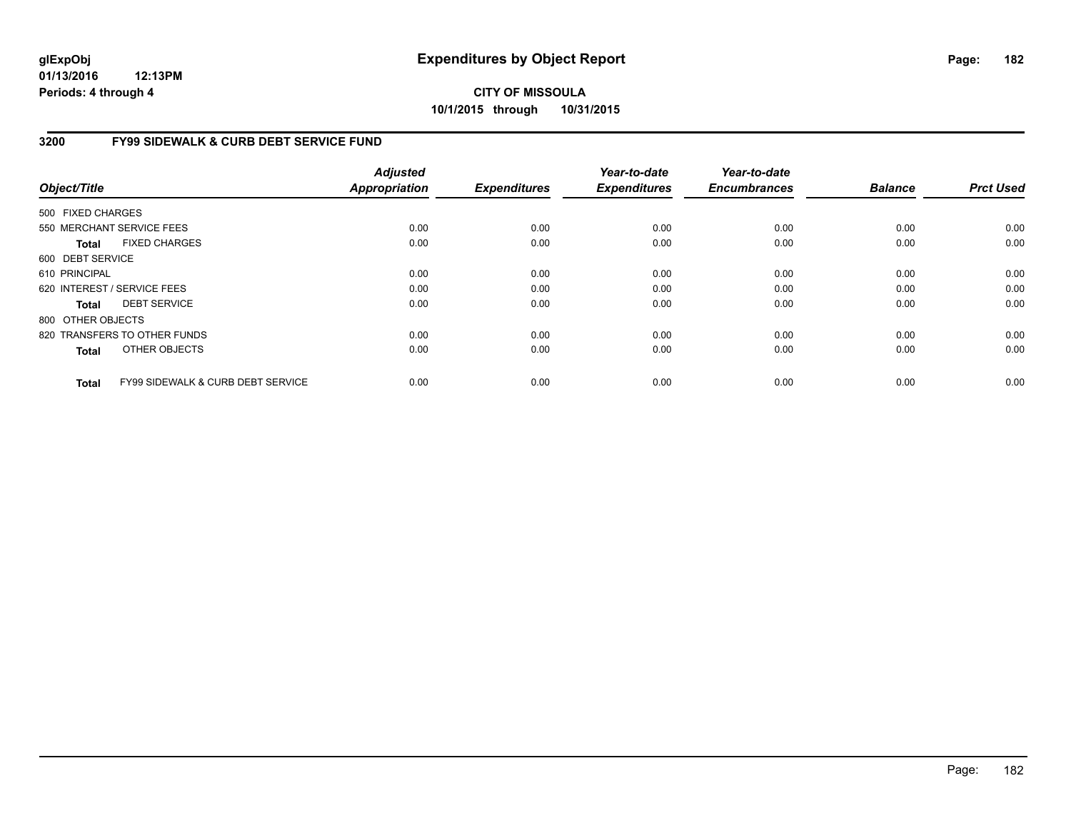**01/13/2016 12:13PM Periods: 4 through 4**

# **CITY OF MISSOULA 10/1/2015 through 10/31/2015**

### **3200 FY99 SIDEWALK & CURB DEBT SERVICE FUND**

| Object/Title      |                                              | <b>Adjusted</b><br><b>Appropriation</b> | <b>Expenditures</b> | Year-to-date<br><b>Expenditures</b> | Year-to-date<br><b>Encumbrances</b> | <b>Balance</b> | <b>Prct Used</b> |
|-------------------|----------------------------------------------|-----------------------------------------|---------------------|-------------------------------------|-------------------------------------|----------------|------------------|
| 500 FIXED CHARGES |                                              |                                         |                     |                                     |                                     |                |                  |
|                   | 550 MERCHANT SERVICE FEES                    | 0.00                                    | 0.00                | 0.00                                | 0.00                                | 0.00           | 0.00             |
| Total             | <b>FIXED CHARGES</b>                         | 0.00                                    | 0.00                | 0.00                                | 0.00                                | 0.00           | 0.00             |
| 600 DEBT SERVICE  |                                              |                                         |                     |                                     |                                     |                |                  |
| 610 PRINCIPAL     |                                              | 0.00                                    | 0.00                | 0.00                                | 0.00                                | 0.00           | 0.00             |
|                   | 620 INTEREST / SERVICE FEES                  | 0.00                                    | 0.00                | 0.00                                | 0.00                                | 0.00           | 0.00             |
| Total             | <b>DEBT SERVICE</b>                          | 0.00                                    | 0.00                | 0.00                                | 0.00                                | 0.00           | 0.00             |
| 800 OTHER OBJECTS |                                              |                                         |                     |                                     |                                     |                |                  |
|                   | 820 TRANSFERS TO OTHER FUNDS                 | 0.00                                    | 0.00                | 0.00                                | 0.00                                | 0.00           | 0.00             |
| <b>Total</b>      | OTHER OBJECTS                                | 0.00                                    | 0.00                | 0.00                                | 0.00                                | 0.00           | 0.00             |
| <b>Total</b>      | <b>FY99 SIDEWALK &amp; CURB DEBT SERVICE</b> | 0.00                                    | 0.00                | 0.00                                | 0.00                                | 0.00           | 0.00             |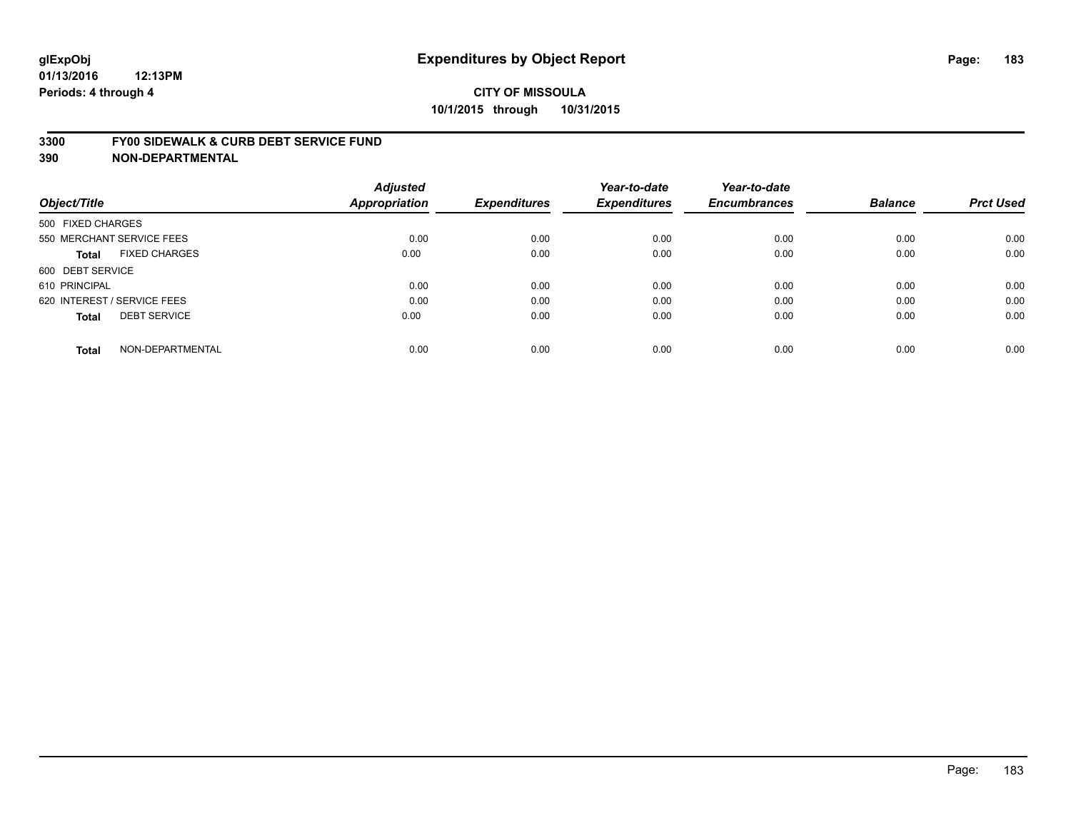#### **3300 FY00 SIDEWALK & CURB DEBT SERVICE FUND**

|                                      | <b>Adjusted</b>      |                     | Year-to-date        | Year-to-date        |                |                  |
|--------------------------------------|----------------------|---------------------|---------------------|---------------------|----------------|------------------|
| Object/Title                         | <b>Appropriation</b> | <b>Expenditures</b> | <b>Expenditures</b> | <b>Encumbrances</b> | <b>Balance</b> | <b>Prct Used</b> |
| 500 FIXED CHARGES                    |                      |                     |                     |                     |                |                  |
| 550 MERCHANT SERVICE FEES            | 0.00                 | 0.00                | 0.00                | 0.00                | 0.00           | 0.00             |
| <b>FIXED CHARGES</b><br><b>Total</b> | 0.00                 | 0.00                | 0.00                | 0.00                | 0.00           | 0.00             |
| 600 DEBT SERVICE                     |                      |                     |                     |                     |                |                  |
| 610 PRINCIPAL                        | 0.00                 | 0.00                | 0.00                | 0.00                | 0.00           | 0.00             |
| 620 INTEREST / SERVICE FEES          | 0.00                 | 0.00                | 0.00                | 0.00                | 0.00           | 0.00             |
| <b>DEBT SERVICE</b><br><b>Total</b>  | 0.00                 | 0.00                | 0.00                | 0.00                | 0.00           | 0.00             |
| NON-DEPARTMENTAL<br><b>Total</b>     | 0.00                 | 0.00                | 0.00                | 0.00                | 0.00           | 0.00             |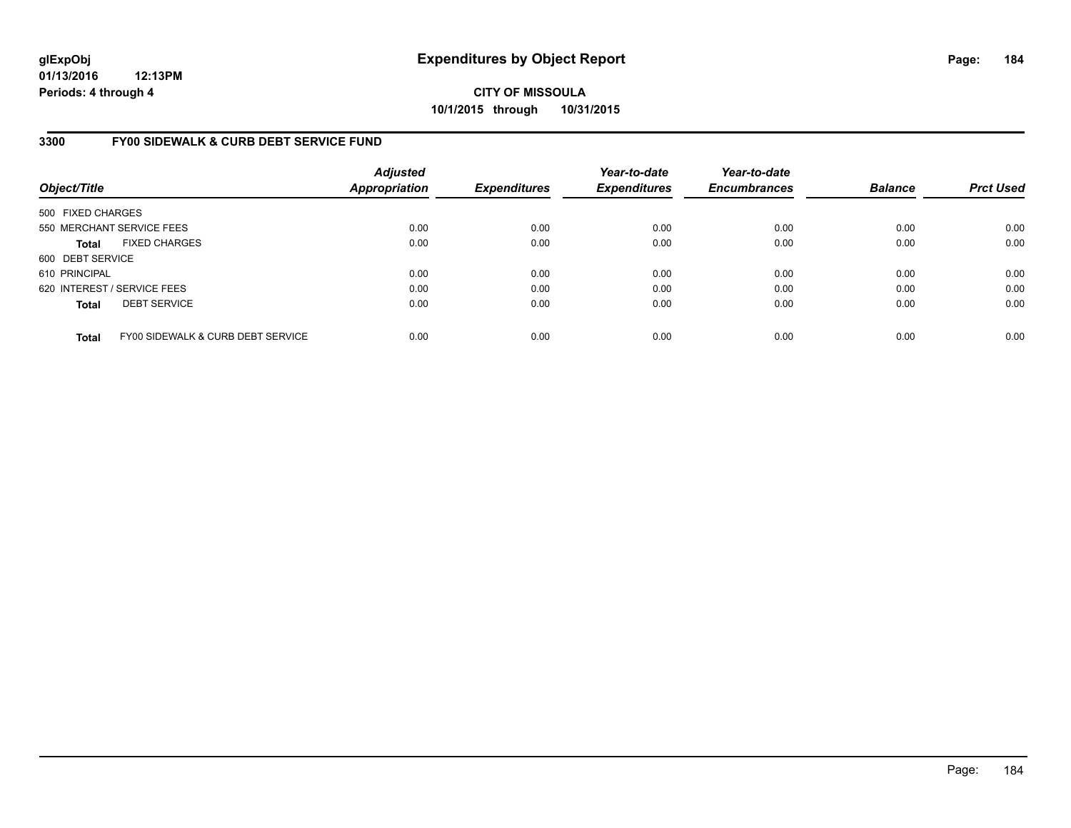**01/13/2016 12:13PM Periods: 4 through 4**

**CITY OF MISSOULA 10/1/2015 through 10/31/2015**

### **3300 FY00 SIDEWALK & CURB DEBT SERVICE FUND**

| Object/Title                |                                              | <b>Adjusted</b><br><b>Appropriation</b> | <b>Expenditures</b> | Year-to-date<br><b>Expenditures</b> | Year-to-date<br><b>Encumbrances</b> | <b>Balance</b> | <b>Prct Used</b> |
|-----------------------------|----------------------------------------------|-----------------------------------------|---------------------|-------------------------------------|-------------------------------------|----------------|------------------|
| 500 FIXED CHARGES           |                                              |                                         |                     |                                     |                                     |                |                  |
|                             | 550 MERCHANT SERVICE FEES                    | 0.00                                    | 0.00                | 0.00                                | 0.00                                | 0.00           | 0.00             |
| <b>Total</b>                | <b>FIXED CHARGES</b>                         | 0.00                                    | 0.00                | 0.00                                | 0.00                                | 0.00           | 0.00             |
| 600 DEBT SERVICE            |                                              |                                         |                     |                                     |                                     |                |                  |
| 610 PRINCIPAL               |                                              | 0.00                                    | 0.00                | 0.00                                | 0.00                                | 0.00           | 0.00             |
| 620 INTEREST / SERVICE FEES |                                              | 0.00                                    | 0.00                | 0.00                                | 0.00                                | 0.00           | 0.00             |
| <b>Total</b>                | <b>DEBT SERVICE</b>                          | 0.00                                    | 0.00                | 0.00                                | 0.00                                | 0.00           | 0.00             |
| <b>Total</b>                | <b>FY00 SIDEWALK &amp; CURB DEBT SERVICE</b> | 0.00                                    | 0.00                | 0.00                                | 0.00                                | 0.00           | 0.00             |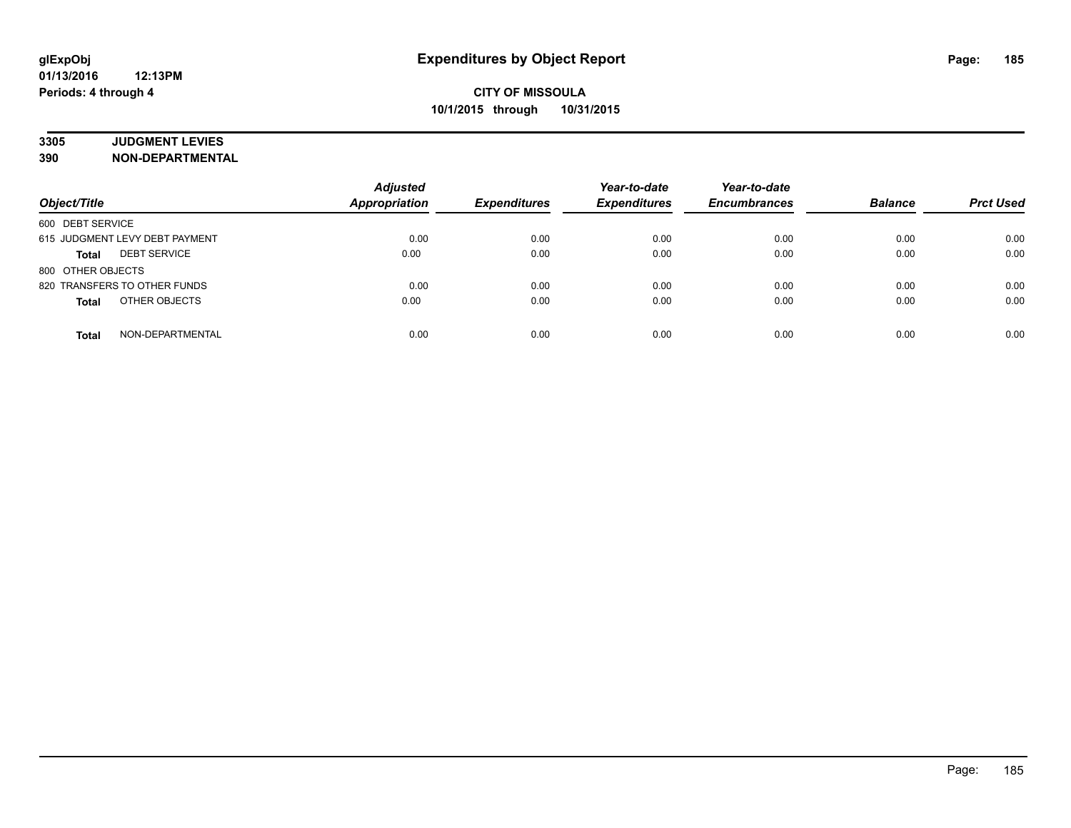# **3305 JUDGMENT LEVIES**

| Object/Title                        | <b>Adjusted</b><br><b>Appropriation</b> | <b>Expenditures</b> | Year-to-date<br><b>Expenditures</b> | Year-to-date<br><b>Encumbrances</b> | <b>Balance</b> | <b>Prct Used</b> |
|-------------------------------------|-----------------------------------------|---------------------|-------------------------------------|-------------------------------------|----------------|------------------|
| 600 DEBT SERVICE                    |                                         |                     |                                     |                                     |                |                  |
| 615 JUDGMENT LEVY DEBT PAYMENT      | 0.00                                    | 0.00                | 0.00                                | 0.00                                | 0.00           | 0.00             |
| <b>DEBT SERVICE</b><br><b>Total</b> | 0.00                                    | 0.00                | 0.00                                | 0.00                                | 0.00           | 0.00             |
| 800 OTHER OBJECTS                   |                                         |                     |                                     |                                     |                |                  |
| 820 TRANSFERS TO OTHER FUNDS        | 0.00                                    | 0.00                | 0.00                                | 0.00                                | 0.00           | 0.00             |
| OTHER OBJECTS<br><b>Total</b>       | 0.00                                    | 0.00                | 0.00                                | 0.00                                | 0.00           | 0.00             |
| NON-DEPARTMENTAL<br><b>Total</b>    | 0.00                                    | 0.00                | 0.00                                | 0.00                                | 0.00           | 0.00             |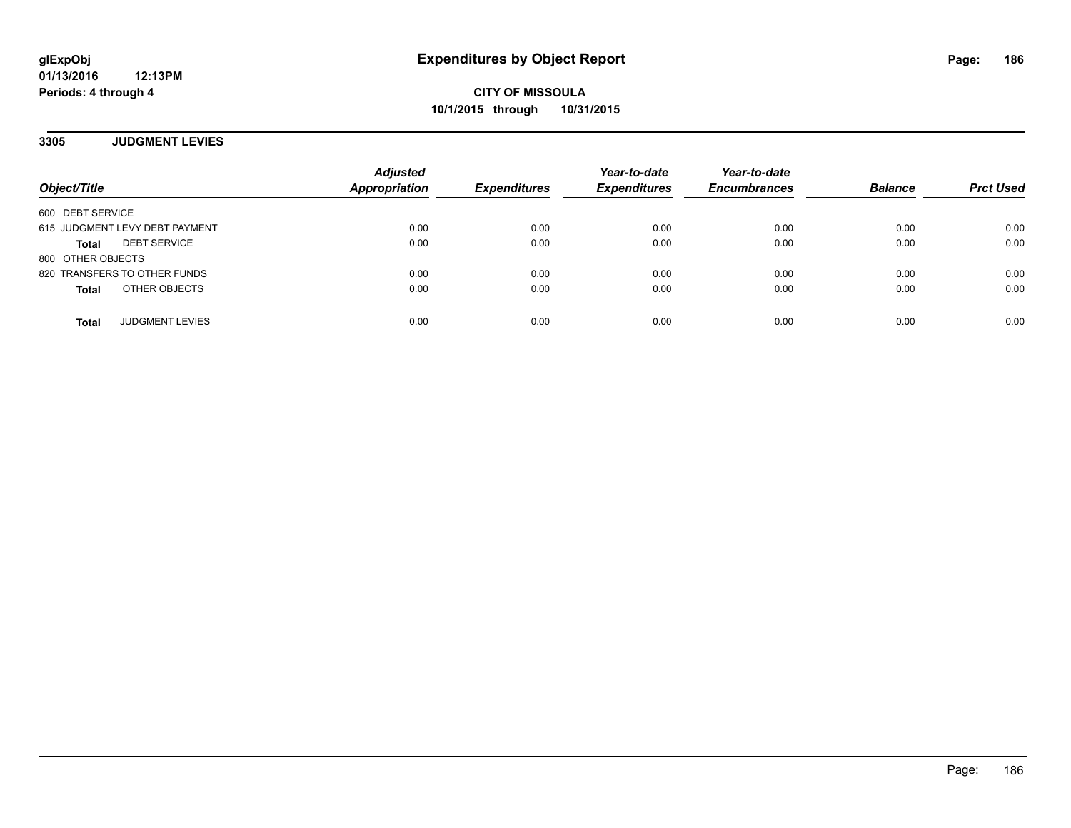### **3305 JUDGMENT LEVIES**

| Object/Title                        | <b>Adjusted</b><br><b>Appropriation</b> | <b>Expenditures</b> | Year-to-date<br><b>Expenditures</b> | Year-to-date<br><b>Encumbrances</b> | <b>Balance</b> | <b>Prct Used</b> |
|-------------------------------------|-----------------------------------------|---------------------|-------------------------------------|-------------------------------------|----------------|------------------|
| 600 DEBT SERVICE                    |                                         |                     |                                     |                                     |                |                  |
| 615 JUDGMENT LEVY DEBT PAYMENT      | 0.00                                    | 0.00                | 0.00                                | 0.00                                | 0.00           | 0.00             |
| <b>DEBT SERVICE</b><br><b>Total</b> | 0.00                                    | 0.00                | 0.00                                | 0.00                                | 0.00           | 0.00             |
| 800 OTHER OBJECTS                   |                                         |                     |                                     |                                     |                |                  |
| 820 TRANSFERS TO OTHER FUNDS        | 0.00                                    | 0.00                | 0.00                                | 0.00                                | 0.00           | 0.00             |
| OTHER OBJECTS<br><b>Total</b>       | 0.00                                    | 0.00                | 0.00                                | 0.00                                | 0.00           | 0.00             |
| <b>JUDGMENT LEVIES</b><br>Total     | 0.00                                    | 0.00                | 0.00                                | 0.00                                | 0.00           | 0.00             |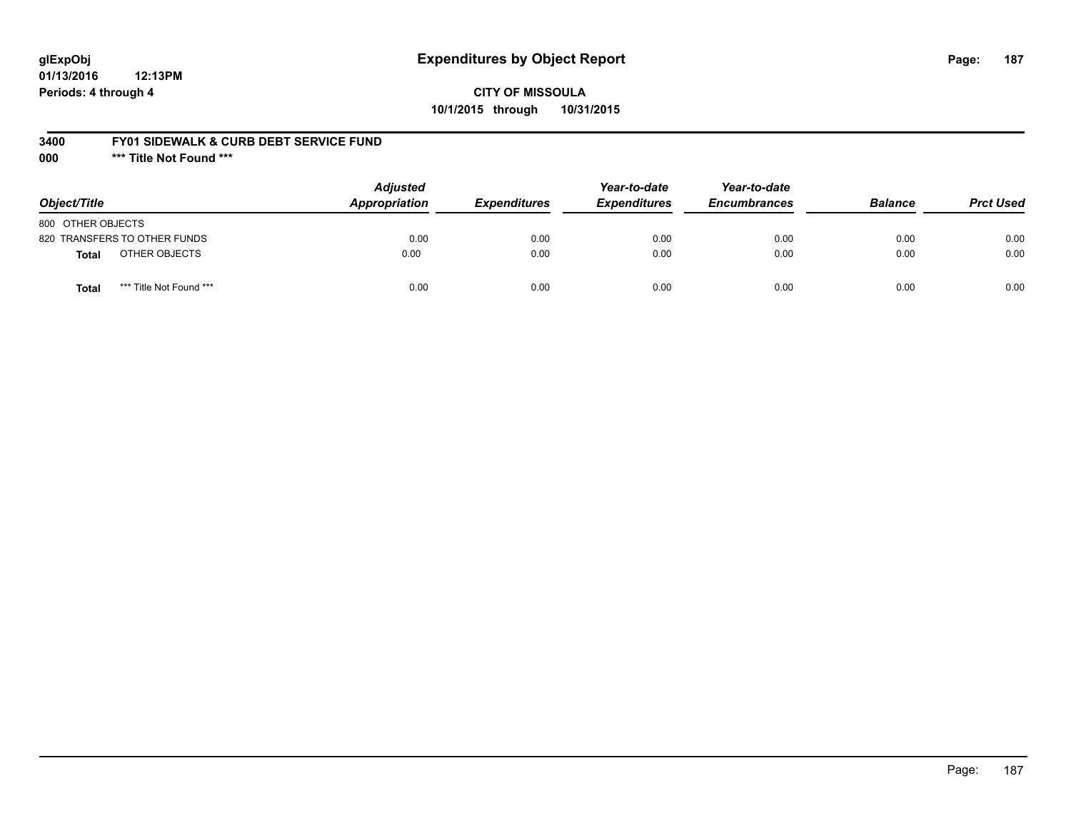# **glExpObj Expenditures by Object Report Page: 187**

**01/13/2016 12:13PM Periods: 4 through 4**

## **CITY OF MISSOULA 10/1/2015 through 10/31/2015**

### **3400 FY01 SIDEWALK & CURB DEBT SERVICE FUND**

**000 \*\*\* Title Not Found \*\*\***

| Object/Title                            | <b>Adjusted</b><br>Appropriation | <b>Expenditures</b> | Year-to-date<br><b>Expenditures</b> | Year-to-date<br><b>Encumbrances</b> | <b>Balance</b> | <b>Prct Used</b> |
|-----------------------------------------|----------------------------------|---------------------|-------------------------------------|-------------------------------------|----------------|------------------|
| 800 OTHER OBJECTS                       |                                  |                     |                                     |                                     |                |                  |
| 820 TRANSFERS TO OTHER FUNDS            | 0.00                             | 0.00                | 0.00                                | 0.00                                | 0.00           | 0.00             |
| OTHER OBJECTS<br>Total                  | 0.00                             | 0.00                | 0.00                                | 0.00                                | 0.00           | 0.00             |
| *** Title Not Found ***<br><b>Total</b> | 0.00                             | 0.00                | 0.00                                | 0.00                                | 0.00           | 0.00             |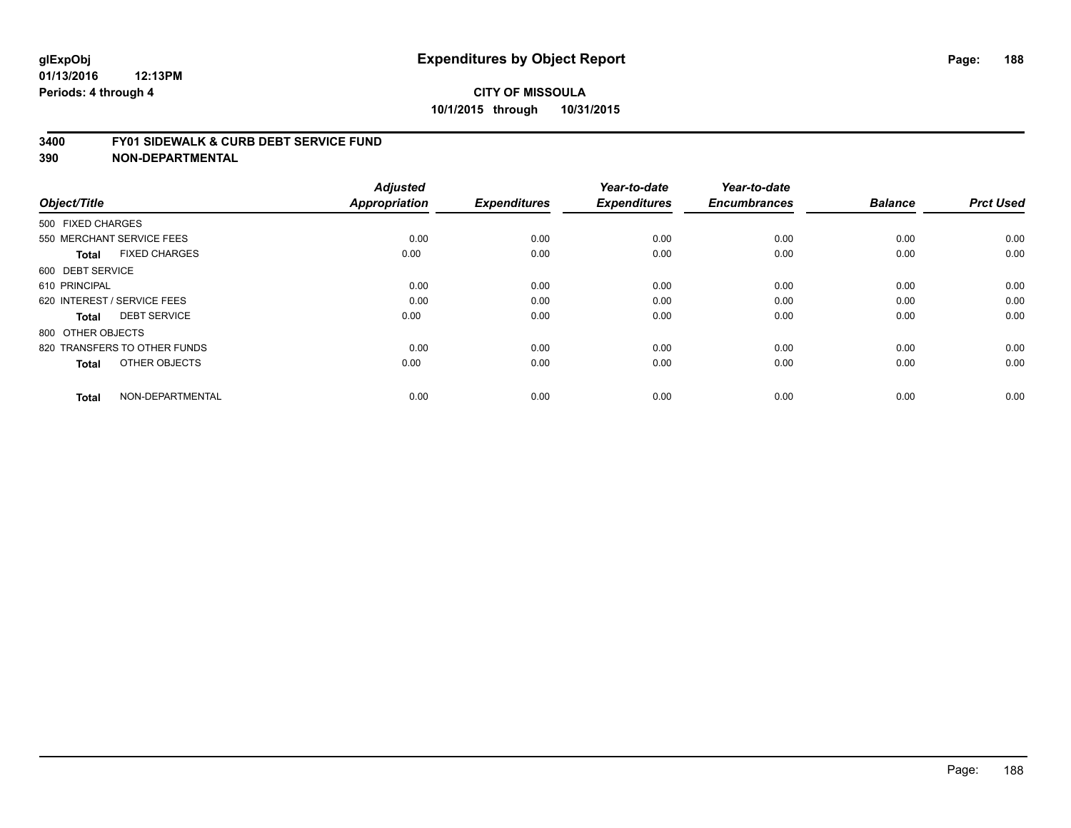#### **3400 FY01 SIDEWALK & CURB DEBT SERVICE FUND**

| Object/Title                         | <b>Adjusted</b><br>Appropriation | <b>Expenditures</b> | Year-to-date<br><b>Expenditures</b> | Year-to-date<br><b>Encumbrances</b> | <b>Balance</b> | <b>Prct Used</b> |
|--------------------------------------|----------------------------------|---------------------|-------------------------------------|-------------------------------------|----------------|------------------|
| 500 FIXED CHARGES                    |                                  |                     |                                     |                                     |                |                  |
|                                      |                                  |                     |                                     |                                     |                |                  |
| 550 MERCHANT SERVICE FEES            | 0.00                             | 0.00                | 0.00                                | 0.00                                | 0.00           | 0.00             |
| <b>FIXED CHARGES</b><br><b>Total</b> | 0.00                             | 0.00                | 0.00                                | 0.00                                | 0.00           | 0.00             |
| 600 DEBT SERVICE                     |                                  |                     |                                     |                                     |                |                  |
| 610 PRINCIPAL                        | 0.00                             | 0.00                | 0.00                                | 0.00                                | 0.00           | 0.00             |
| 620 INTEREST / SERVICE FEES          | 0.00                             | 0.00                | 0.00                                | 0.00                                | 0.00           | 0.00             |
| <b>DEBT SERVICE</b><br><b>Total</b>  | 0.00                             | 0.00                | 0.00                                | 0.00                                | 0.00           | 0.00             |
| 800 OTHER OBJECTS                    |                                  |                     |                                     |                                     |                |                  |
| 820 TRANSFERS TO OTHER FUNDS         | 0.00                             | 0.00                | 0.00                                | 0.00                                | 0.00           | 0.00             |
| OTHER OBJECTS<br><b>Total</b>        | 0.00                             | 0.00                | 0.00                                | 0.00                                | 0.00           | 0.00             |
|                                      |                                  |                     |                                     |                                     |                |                  |
| NON-DEPARTMENTAL<br><b>Total</b>     | 0.00                             | 0.00                | 0.00                                | 0.00                                | 0.00           | 0.00             |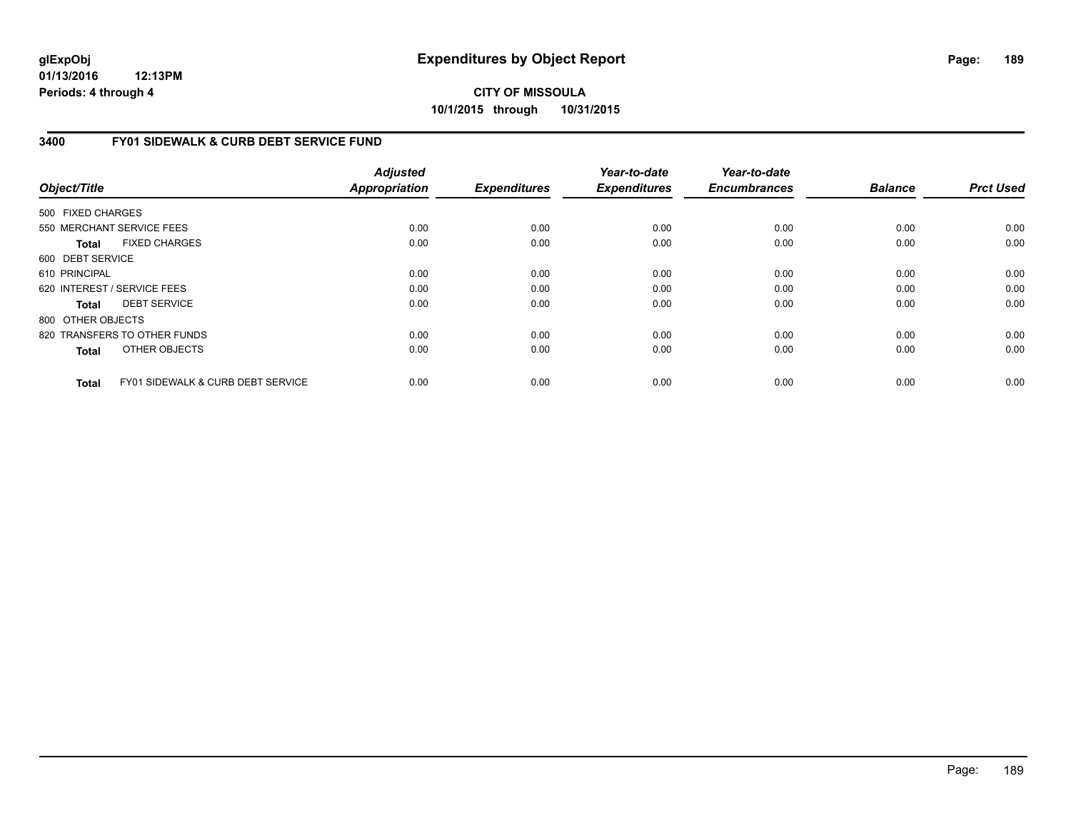**01/13/2016 12:13PM Periods: 4 through 4**

**CITY OF MISSOULA 10/1/2015 through 10/31/2015**

### **3400 FY01 SIDEWALK & CURB DEBT SERVICE FUND**

| Object/Title      |                                              | <b>Adjusted</b><br><b>Appropriation</b> | <b>Expenditures</b> | Year-to-date<br><b>Expenditures</b> | Year-to-date<br><b>Encumbrances</b> | <b>Balance</b> | <b>Prct Used</b> |
|-------------------|----------------------------------------------|-----------------------------------------|---------------------|-------------------------------------|-------------------------------------|----------------|------------------|
| 500 FIXED CHARGES |                                              |                                         |                     |                                     |                                     |                |                  |
|                   | 550 MERCHANT SERVICE FEES                    | 0.00                                    | 0.00                | 0.00                                | 0.00                                | 0.00           | 0.00             |
|                   |                                              |                                         |                     |                                     |                                     |                |                  |
| Total             | <b>FIXED CHARGES</b>                         | 0.00                                    | 0.00                | 0.00                                | 0.00                                | 0.00           | 0.00             |
| 600 DEBT SERVICE  |                                              |                                         |                     |                                     |                                     |                |                  |
| 610 PRINCIPAL     |                                              | 0.00                                    | 0.00                | 0.00                                | 0.00                                | 0.00           | 0.00             |
|                   | 620 INTEREST / SERVICE FEES                  | 0.00                                    | 0.00                | 0.00                                | 0.00                                | 0.00           | 0.00             |
| Total             | <b>DEBT SERVICE</b>                          | 0.00                                    | 0.00                | 0.00                                | 0.00                                | 0.00           | 0.00             |
| 800 OTHER OBJECTS |                                              |                                         |                     |                                     |                                     |                |                  |
|                   | 820 TRANSFERS TO OTHER FUNDS                 | 0.00                                    | 0.00                | 0.00                                | 0.00                                | 0.00           | 0.00             |
| <b>Total</b>      | OTHER OBJECTS                                | 0.00                                    | 0.00                | 0.00                                | 0.00                                | 0.00           | 0.00             |
| <b>Total</b>      | <b>FY01 SIDEWALK &amp; CURB DEBT SERVICE</b> | 0.00                                    | 0.00                | 0.00                                | 0.00                                | 0.00           | 0.00             |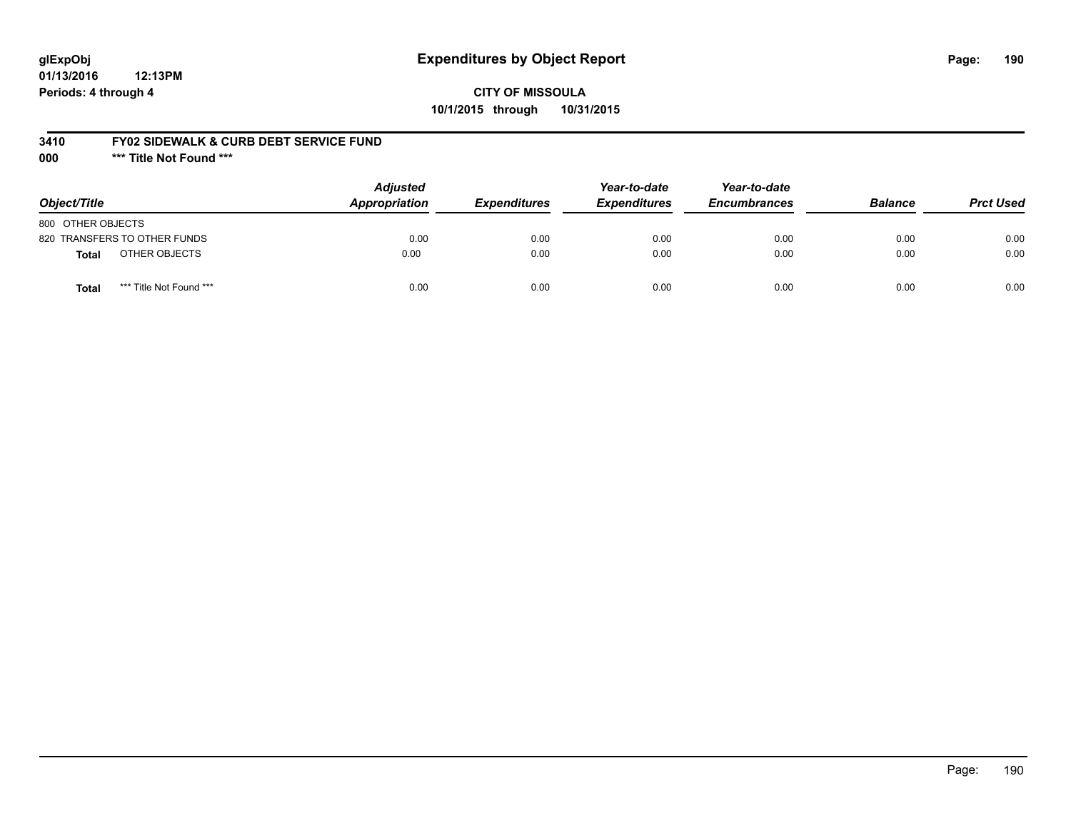# **glExpObj Expenditures by Object Report Page: 190**

### **CITY OF MISSOULA 10/1/2015 through 10/31/2015**

### **3410 FY02 SIDEWALK & CURB DEBT SERVICE FUND**

**000 \*\*\* Title Not Found \*\*\***

| Object/Title                            | <b>Adjusted</b><br>Appropriation | <b>Expenditures</b> | Year-to-date<br><b>Expenditures</b> | Year-to-date<br><b>Encumbrances</b> | <b>Balance</b> | <b>Prct Used</b> |
|-----------------------------------------|----------------------------------|---------------------|-------------------------------------|-------------------------------------|----------------|------------------|
| 800 OTHER OBJECTS                       |                                  |                     |                                     |                                     |                |                  |
| 820 TRANSFERS TO OTHER FUNDS            | 0.00                             | 0.00                | 0.00                                | 0.00                                | 0.00           | 0.00             |
| OTHER OBJECTS<br>Total                  | 0.00                             | 0.00                | 0.00                                | 0.00                                | 0.00           | 0.00             |
| *** Title Not Found ***<br><b>Total</b> | 0.00                             | 0.00                | 0.00                                | 0.00                                | 0.00           | 0.00             |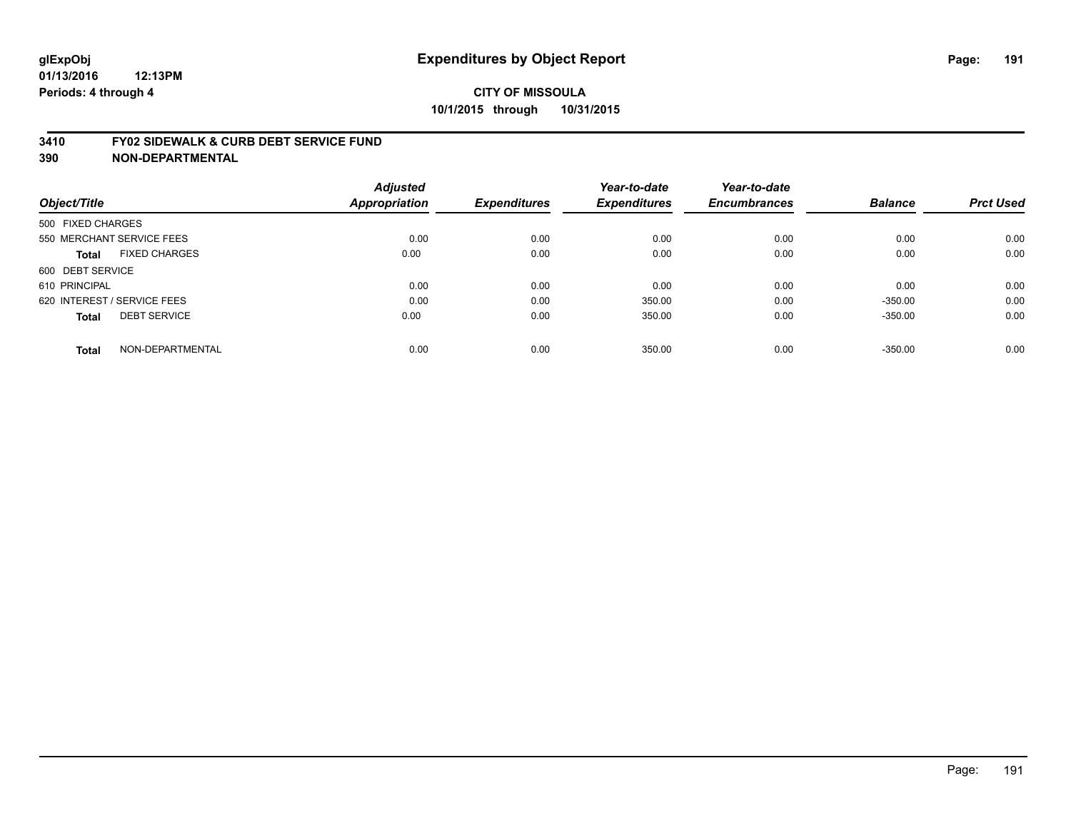#### **3410 FY02 SIDEWALK & CURB DEBT SERVICE FUND**

| Object/Title                         | <b>Adjusted</b><br>Appropriation | <b>Expenditures</b> | Year-to-date<br><b>Expenditures</b> | Year-to-date<br><b>Encumbrances</b> | <b>Balance</b> | <b>Prct Used</b> |
|--------------------------------------|----------------------------------|---------------------|-------------------------------------|-------------------------------------|----------------|------------------|
|                                      |                                  |                     |                                     |                                     |                |                  |
| 500 FIXED CHARGES                    |                                  |                     |                                     |                                     |                |                  |
| 550 MERCHANT SERVICE FEES            | 0.00                             | 0.00                | 0.00                                | 0.00                                | 0.00           | 0.00             |
| <b>FIXED CHARGES</b><br><b>Total</b> | 0.00                             | 0.00                | 0.00                                | 0.00                                | 0.00           | 0.00             |
| 600 DEBT SERVICE                     |                                  |                     |                                     |                                     |                |                  |
| 610 PRINCIPAL                        | 0.00                             | 0.00                | 0.00                                | 0.00                                | 0.00           | 0.00             |
| 620 INTEREST / SERVICE FEES          | 0.00                             | 0.00                | 350.00                              | 0.00                                | $-350.00$      | 0.00             |
| <b>DEBT SERVICE</b><br><b>Total</b>  | 0.00                             | 0.00                | 350.00                              | 0.00                                | $-350.00$      | 0.00             |
| NON-DEPARTMENTAL<br><b>Total</b>     | 0.00                             | 0.00                | 350.00                              | 0.00                                | $-350.00$      | 0.00             |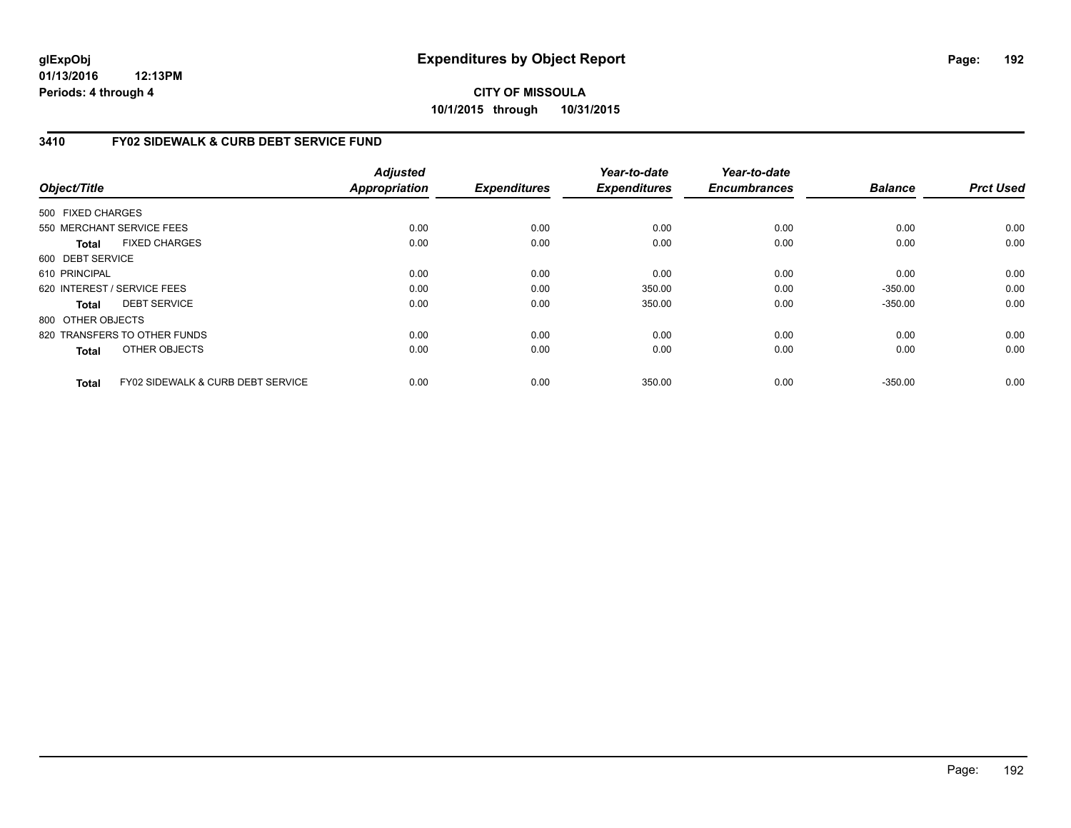**01/13/2016 12:13PM Periods: 4 through 4**

# **CITY OF MISSOULA 10/1/2015 through 10/31/2015**

### **3410 FY02 SIDEWALK & CURB DEBT SERVICE FUND**

| Object/Title      |                                              | <b>Adjusted</b><br><b>Appropriation</b> | <b>Expenditures</b> | Year-to-date<br><b>Expenditures</b> | Year-to-date<br><b>Encumbrances</b> | <b>Balance</b> | <b>Prct Used</b> |
|-------------------|----------------------------------------------|-----------------------------------------|---------------------|-------------------------------------|-------------------------------------|----------------|------------------|
| 500 FIXED CHARGES |                                              |                                         |                     |                                     |                                     |                |                  |
|                   | 550 MERCHANT SERVICE FEES                    | 0.00                                    | 0.00                | 0.00                                | 0.00                                | 0.00           | 0.00             |
| <b>Total</b>      | <b>FIXED CHARGES</b>                         | 0.00                                    | 0.00                | 0.00                                | 0.00                                | 0.00           | 0.00             |
| 600 DEBT SERVICE  |                                              |                                         |                     |                                     |                                     |                |                  |
| 610 PRINCIPAL     |                                              | 0.00                                    | 0.00                | 0.00                                | 0.00                                | 0.00           | 0.00             |
|                   | 620 INTEREST / SERVICE FEES                  | 0.00                                    | 0.00                | 350.00                              | 0.00                                | $-350.00$      | 0.00             |
| <b>Total</b>      | <b>DEBT SERVICE</b>                          | 0.00                                    | 0.00                | 350.00                              | 0.00                                | $-350.00$      | 0.00             |
| 800 OTHER OBJECTS |                                              |                                         |                     |                                     |                                     |                |                  |
|                   | 820 TRANSFERS TO OTHER FUNDS                 | 0.00                                    | 0.00                | 0.00                                | 0.00                                | 0.00           | 0.00             |
| <b>Total</b>      | OTHER OBJECTS                                | 0.00                                    | 0.00                | 0.00                                | 0.00                                | 0.00           | 0.00             |
| <b>Total</b>      | <b>FY02 SIDEWALK &amp; CURB DEBT SERVICE</b> | 0.00                                    | 0.00                | 350.00                              | 0.00                                | $-350.00$      | 0.00             |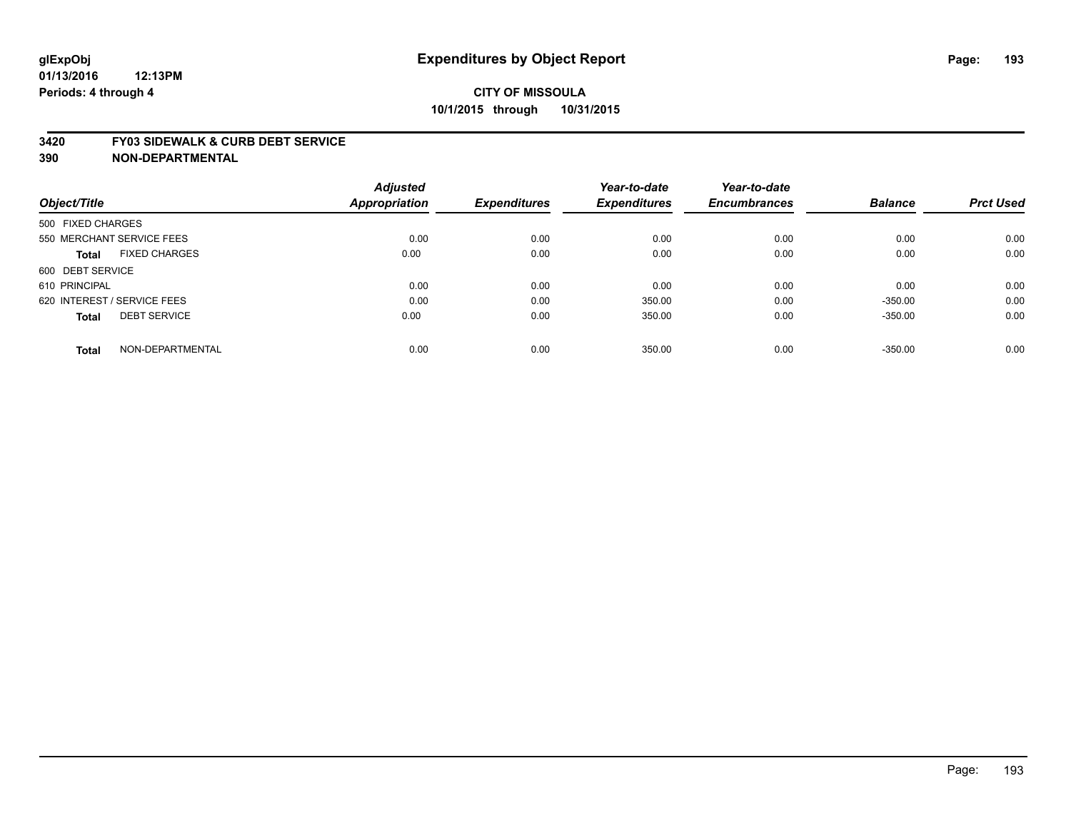#### **3420 FY03 SIDEWALK & CURB DEBT SERVICE**

|                                      | <b>Adjusted</b> |                     | Year-to-date        | Year-to-date        |                |                  |
|--------------------------------------|-----------------|---------------------|---------------------|---------------------|----------------|------------------|
| Object/Title                         | Appropriation   | <b>Expenditures</b> | <b>Expenditures</b> | <b>Encumbrances</b> | <b>Balance</b> | <b>Prct Used</b> |
| 500 FIXED CHARGES                    |                 |                     |                     |                     |                |                  |
| 550 MERCHANT SERVICE FEES            | 0.00            | 0.00                | 0.00                | 0.00                | 0.00           | 0.00             |
| <b>FIXED CHARGES</b><br><b>Total</b> | 0.00            | 0.00                | 0.00                | 0.00                | 0.00           | 0.00             |
| 600 DEBT SERVICE                     |                 |                     |                     |                     |                |                  |
| 610 PRINCIPAL                        | 0.00            | 0.00                | 0.00                | 0.00                | 0.00           | 0.00             |
| 620 INTEREST / SERVICE FEES          | 0.00            | 0.00                | 350.00              | 0.00                | $-350.00$      | 0.00             |
| <b>DEBT SERVICE</b><br><b>Total</b>  | 0.00            | 0.00                | 350.00              | 0.00                | $-350.00$      | 0.00             |
| NON-DEPARTMENTAL<br><b>Total</b>     | 0.00            | 0.00                | 350.00              | 0.00                | $-350.00$      | 0.00             |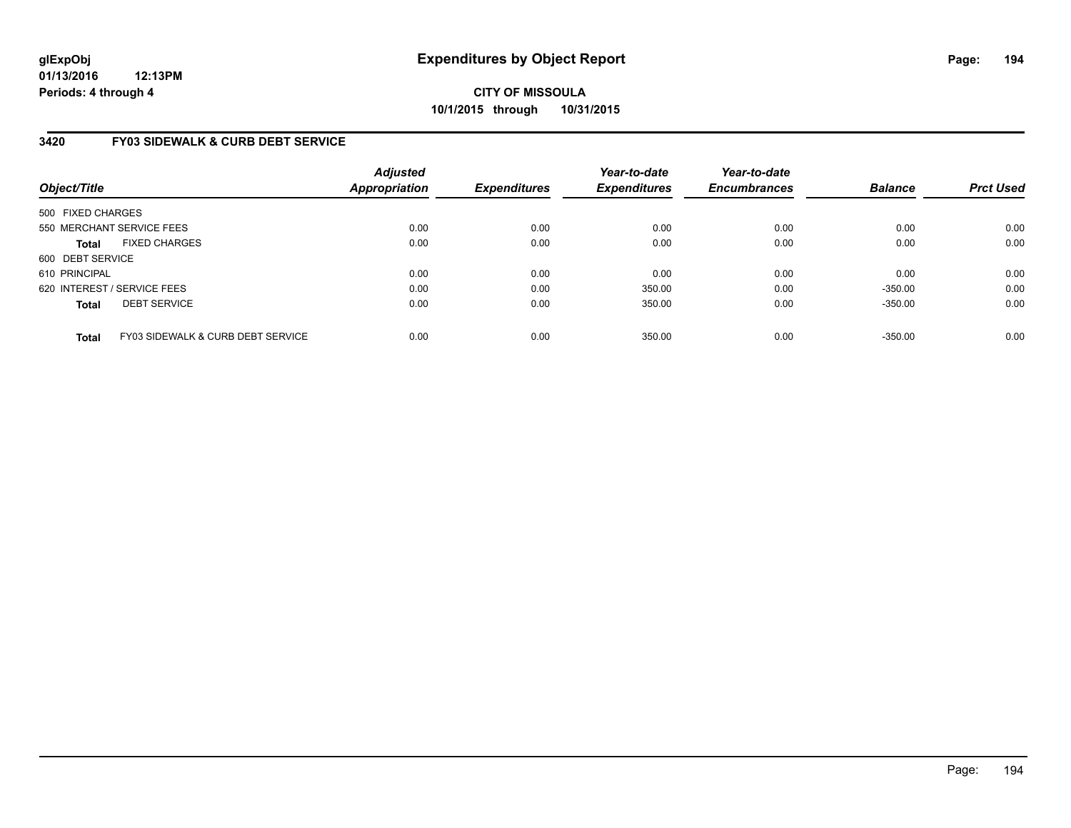**01/13/2016 12:13PM Periods: 4 through 4**

# **CITY OF MISSOULA 10/1/2015 through 10/31/2015**

### **3420 FY03 SIDEWALK & CURB DEBT SERVICE**

| Object/Title      |                                              | <b>Adjusted</b><br><b>Appropriation</b> | <b>Expenditures</b> | Year-to-date<br><b>Expenditures</b> | Year-to-date<br><b>Encumbrances</b> | <b>Balance</b> | <b>Prct Used</b> |
|-------------------|----------------------------------------------|-----------------------------------------|---------------------|-------------------------------------|-------------------------------------|----------------|------------------|
| 500 FIXED CHARGES |                                              |                                         |                     |                                     |                                     |                |                  |
|                   | 550 MERCHANT SERVICE FEES                    | 0.00                                    | 0.00                | 0.00                                | 0.00                                | 0.00           | 0.00             |
| <b>Total</b>      | <b>FIXED CHARGES</b>                         | 0.00                                    | 0.00                | 0.00                                | 0.00                                | 0.00           | 0.00             |
| 600 DEBT SERVICE  |                                              |                                         |                     |                                     |                                     |                |                  |
| 610 PRINCIPAL     |                                              | 0.00                                    | 0.00                | 0.00                                | 0.00                                | 0.00           | 0.00             |
|                   | 620 INTEREST / SERVICE FEES                  | 0.00                                    | 0.00                | 350.00                              | 0.00                                | $-350.00$      | 0.00             |
| <b>Total</b>      | <b>DEBT SERVICE</b>                          | 0.00                                    | 0.00                | 350.00                              | 0.00                                | $-350.00$      | 0.00             |
| <b>Total</b>      | <b>FY03 SIDEWALK &amp; CURB DEBT SERVICE</b> | 0.00                                    | 0.00                | 350.00                              | 0.00                                | $-350.00$      | 0.00             |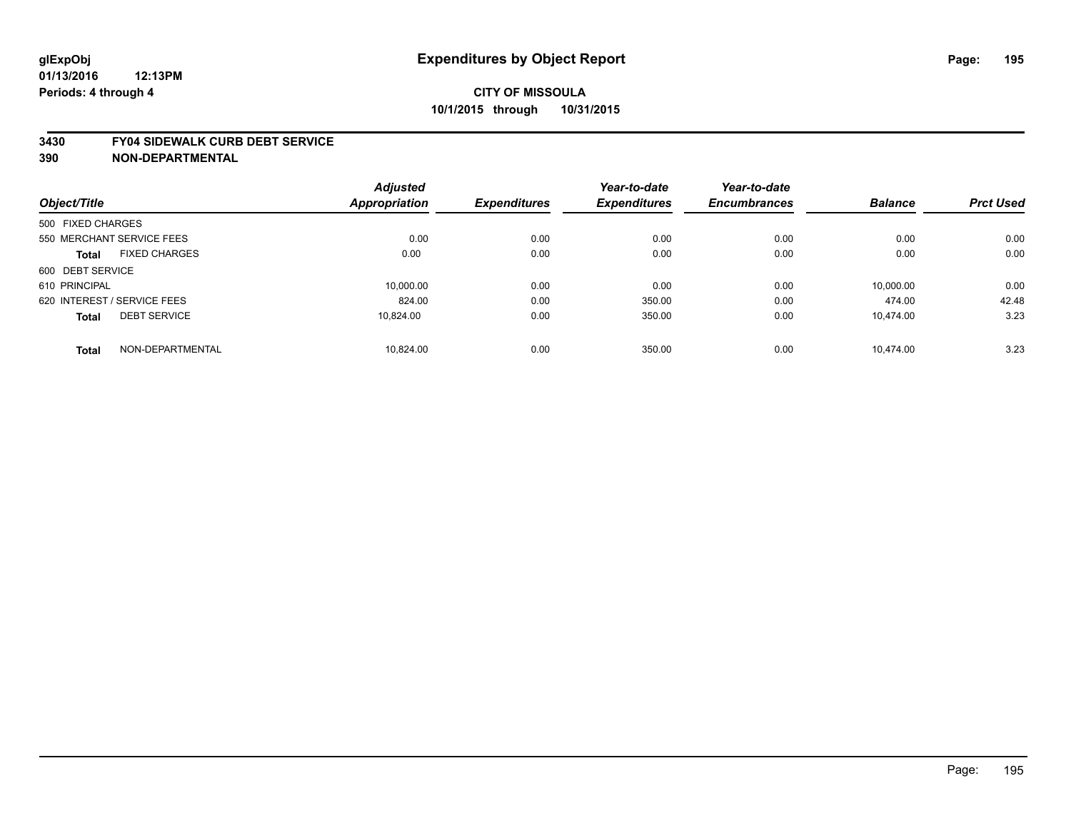#### **3430 FY04 SIDEWALK CURB DEBT SERVICE**

| Object/Title                |                      | <b>Adjusted</b> |                     | Year-to-date        | Year-to-date        | <b>Balance</b> | <b>Prct Used</b> |
|-----------------------------|----------------------|-----------------|---------------------|---------------------|---------------------|----------------|------------------|
|                             |                      | Appropriation   | <b>Expenditures</b> | <b>Expenditures</b> | <b>Encumbrances</b> |                |                  |
| 500 FIXED CHARGES           |                      |                 |                     |                     |                     |                |                  |
| 550 MERCHANT SERVICE FEES   |                      | 0.00            | 0.00                | 0.00                | 0.00                | 0.00           | 0.00             |
| <b>Total</b>                | <b>FIXED CHARGES</b> | 0.00            | 0.00                | 0.00                | 0.00                | 0.00           | 0.00             |
| 600 DEBT SERVICE            |                      |                 |                     |                     |                     |                |                  |
| 610 PRINCIPAL               |                      | 10,000.00       | 0.00                | 0.00                | 0.00                | 10,000.00      | 0.00             |
| 620 INTEREST / SERVICE FEES |                      | 824.00          | 0.00                | 350.00              | 0.00                | 474.00         | 42.48            |
| <b>Total</b>                | <b>DEBT SERVICE</b>  | 10.824.00       | 0.00                | 350.00              | 0.00                | 10.474.00      | 3.23             |
| <b>Total</b>                | NON-DEPARTMENTAL     | 10.824.00       | 0.00                | 350.00              | 0.00                | 10.474.00      | 3.23             |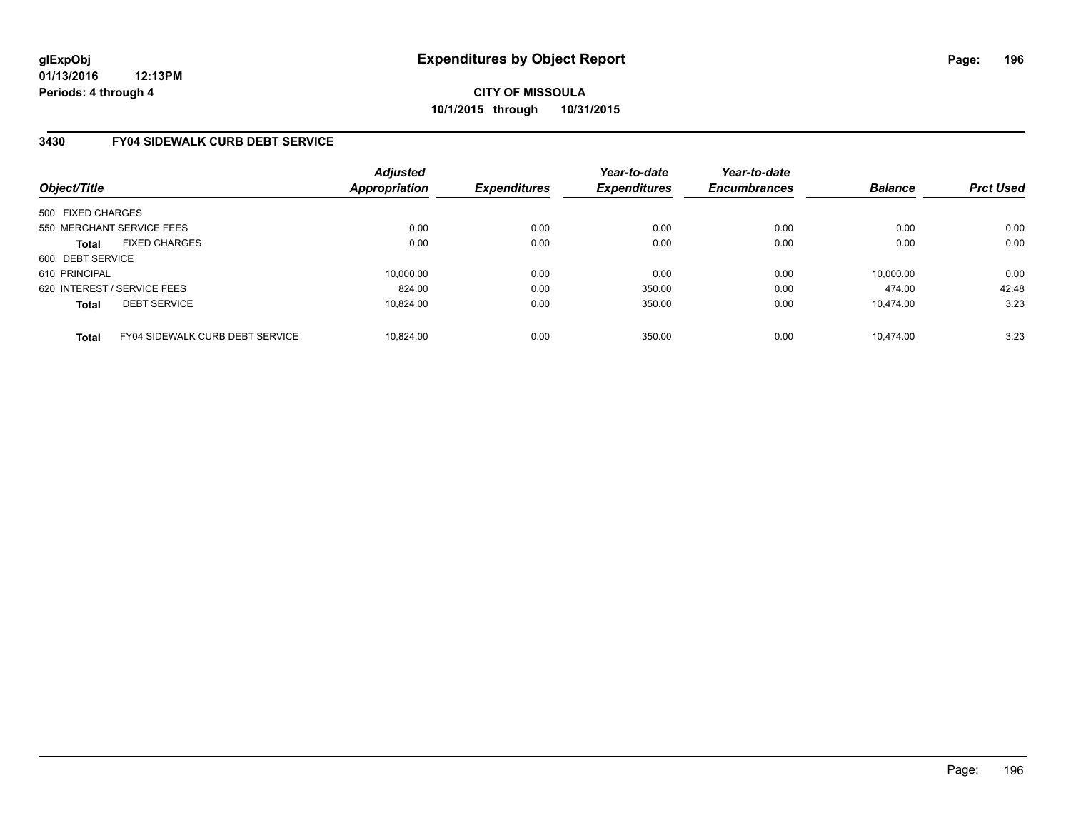### **3430 FY04 SIDEWALK CURB DEBT SERVICE**

| Object/Title      |                                        | Adjusted<br><b>Appropriation</b> | <b>Expenditures</b> | Year-to-date<br><b>Expenditures</b> | Year-to-date<br><b>Encumbrances</b> | <b>Balance</b> | <b>Prct Used</b> |
|-------------------|----------------------------------------|----------------------------------|---------------------|-------------------------------------|-------------------------------------|----------------|------------------|
| 500 FIXED CHARGES |                                        |                                  |                     |                                     |                                     |                |                  |
|                   | 550 MERCHANT SERVICE FEES              | 0.00                             | 0.00                | 0.00                                | 0.00                                | 0.00           | 0.00             |
| <b>Total</b>      | <b>FIXED CHARGES</b>                   | 0.00                             | 0.00                | 0.00                                | 0.00                                | 0.00           | 0.00             |
| 600 DEBT SERVICE  |                                        |                                  |                     |                                     |                                     |                |                  |
| 610 PRINCIPAL     |                                        | 10.000.00                        | 0.00                | 0.00                                | 0.00                                | 10,000.00      | 0.00             |
|                   | 620 INTEREST / SERVICE FEES            | 824.00                           | 0.00                | 350.00                              | 0.00                                | 474.00         | 42.48            |
| <b>Total</b>      | <b>DEBT SERVICE</b>                    | 10.824.00                        | 0.00                | 350.00                              | 0.00                                | 10.474.00      | 3.23             |
| <b>Total</b>      | <b>FY04 SIDEWALK CURB DEBT SERVICE</b> | 10.824.00                        | 0.00                | 350.00                              | 0.00                                | 10.474.00      | 3.23             |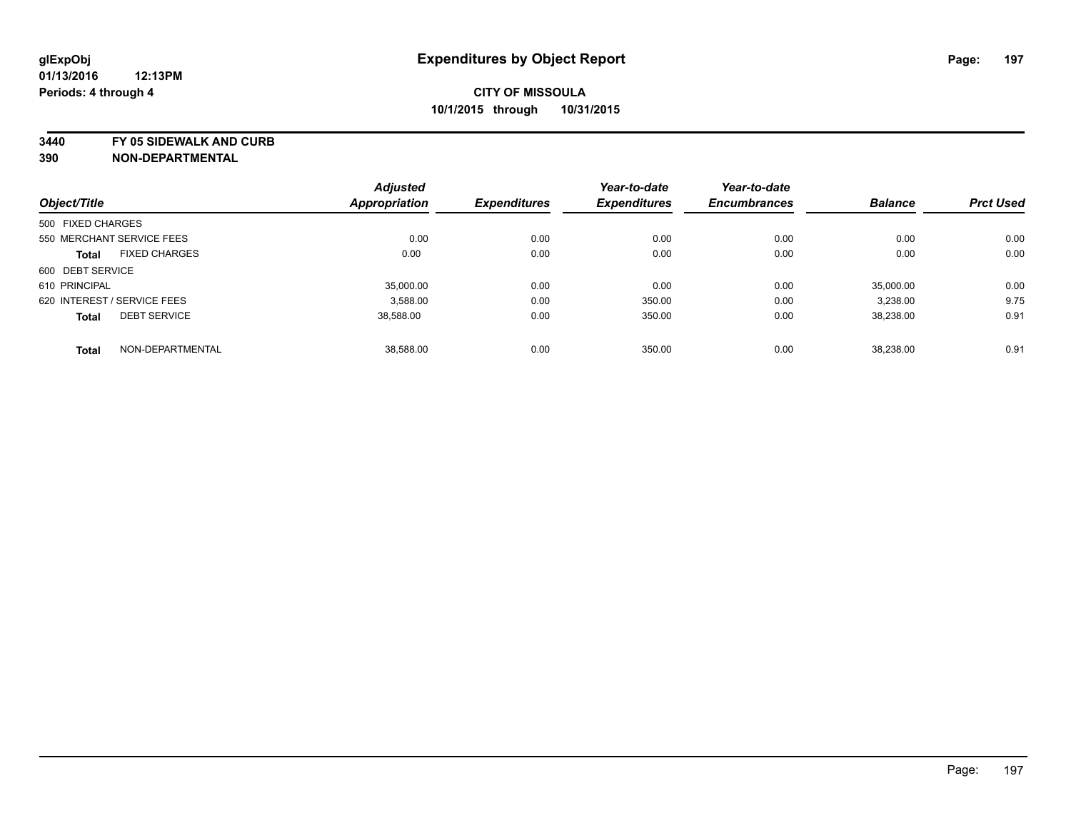**3440 FY 05 SIDEWALK AND CURB**

|                   |                             | <b>Adjusted</b>      |                     | Year-to-date        | Year-to-date        |                |                  |
|-------------------|-----------------------------|----------------------|---------------------|---------------------|---------------------|----------------|------------------|
| Object/Title      |                             | <b>Appropriation</b> | <b>Expenditures</b> | <b>Expenditures</b> | <b>Encumbrances</b> | <b>Balance</b> | <b>Prct Used</b> |
| 500 FIXED CHARGES |                             |                      |                     |                     |                     |                |                  |
|                   | 550 MERCHANT SERVICE FEES   | 0.00                 | 0.00                | 0.00                | 0.00                | 0.00           | 0.00             |
| <b>Total</b>      | <b>FIXED CHARGES</b>        | 0.00                 | 0.00                | 0.00                | 0.00                | 0.00           | 0.00             |
| 600 DEBT SERVICE  |                             |                      |                     |                     |                     |                |                  |
| 610 PRINCIPAL     |                             | 35,000.00            | 0.00                | 0.00                | 0.00                | 35.000.00      | 0.00             |
|                   | 620 INTEREST / SERVICE FEES | 3.588.00             | 0.00                | 350.00              | 0.00                | 3,238.00       | 9.75             |
| <b>Total</b>      | <b>DEBT SERVICE</b>         | 38,588.00            | 0.00                | 350.00              | 0.00                | 38,238.00      | 0.91             |
| <b>Total</b>      | NON-DEPARTMENTAL            | 38.588.00            | 0.00                | 350.00              | 0.00                | 38.238.00      | 0.91             |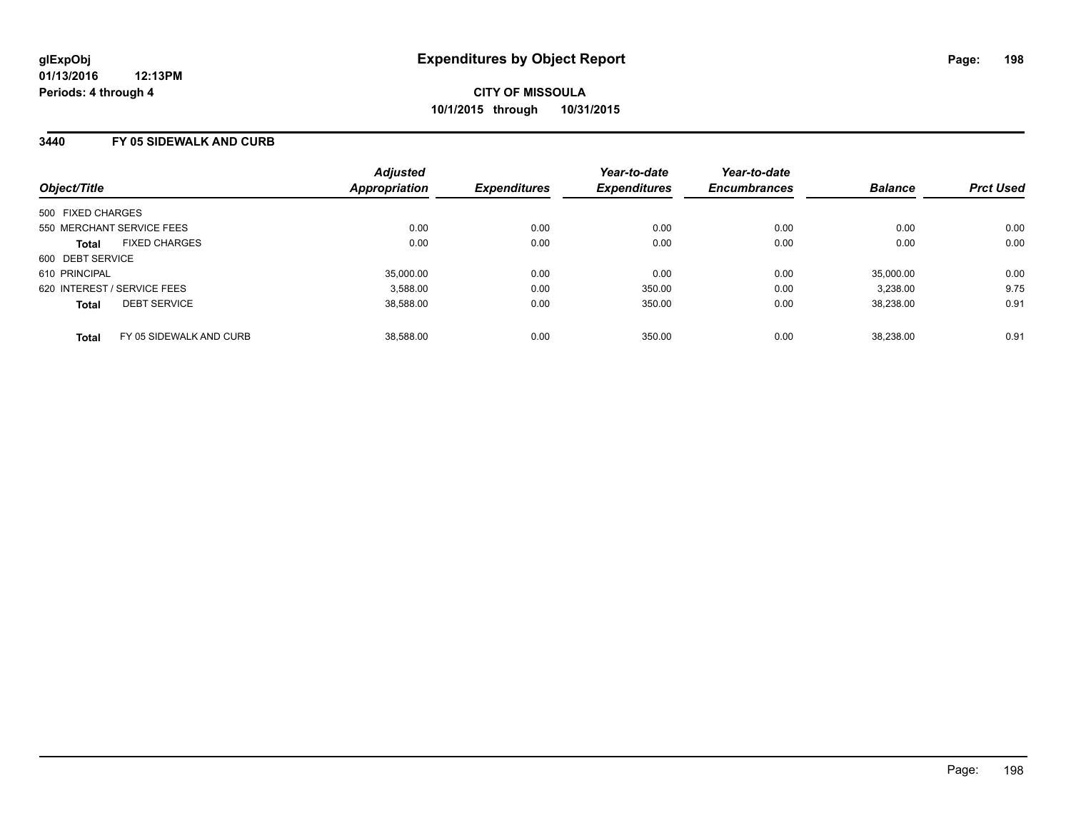### **3440 FY 05 SIDEWALK AND CURB**

| Object/Title      |                             | <b>Adjusted</b><br><b>Appropriation</b> | <b>Expenditures</b> | Year-to-date<br><b>Expenditures</b> | Year-to-date<br><b>Encumbrances</b> | <b>Balance</b> | <b>Prct Used</b> |
|-------------------|-----------------------------|-----------------------------------------|---------------------|-------------------------------------|-------------------------------------|----------------|------------------|
| 500 FIXED CHARGES |                             |                                         |                     |                                     |                                     |                |                  |
|                   | 550 MERCHANT SERVICE FEES   | 0.00                                    | 0.00                | 0.00                                | 0.00                                | 0.00           | 0.00             |
| <b>Total</b>      | <b>FIXED CHARGES</b>        | 0.00                                    | 0.00                | 0.00                                | 0.00                                | 0.00           | 0.00             |
| 600 DEBT SERVICE  |                             |                                         |                     |                                     |                                     |                |                  |
| 610 PRINCIPAL     |                             | 35,000.00                               | 0.00                | 0.00                                | 0.00                                | 35,000.00      | 0.00             |
|                   | 620 INTEREST / SERVICE FEES | 3,588.00                                | 0.00                | 350.00                              | 0.00                                | 3,238.00       | 9.75             |
| <b>Total</b>      | <b>DEBT SERVICE</b>         | 38.588.00                               | 0.00                | 350.00                              | 0.00                                | 38.238.00      | 0.91             |
| Total             | FY 05 SIDEWALK AND CURB     | 38.588.00                               | 0.00                | 350.00                              | 0.00                                | 38.238.00      | 0.91             |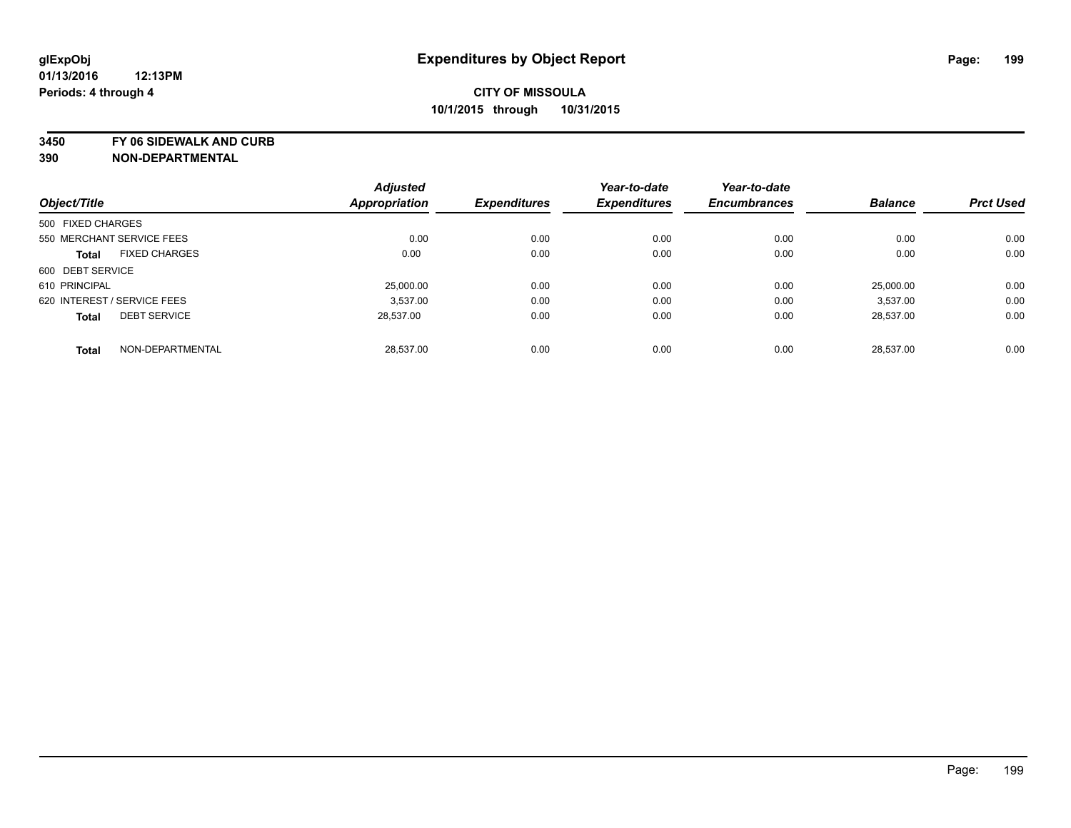**3450 FY 06 SIDEWALK AND CURB**

|                             |                      | <b>Adjusted</b>      |                     | Year-to-date        | Year-to-date        |                |                  |
|-----------------------------|----------------------|----------------------|---------------------|---------------------|---------------------|----------------|------------------|
| Object/Title                |                      | <b>Appropriation</b> | <b>Expenditures</b> | <b>Expenditures</b> | <b>Encumbrances</b> | <b>Balance</b> | <b>Prct Used</b> |
| 500 FIXED CHARGES           |                      |                      |                     |                     |                     |                |                  |
| 550 MERCHANT SERVICE FEES   |                      | 0.00                 | 0.00                | 0.00                | 0.00                | 0.00           | 0.00             |
| <b>Total</b>                | <b>FIXED CHARGES</b> | 0.00                 | 0.00                | 0.00                | 0.00                | 0.00           | 0.00             |
| 600 DEBT SERVICE            |                      |                      |                     |                     |                     |                |                  |
| 610 PRINCIPAL               |                      | 25,000.00            | 0.00                | 0.00                | 0.00                | 25.000.00      | 0.00             |
| 620 INTEREST / SERVICE FEES |                      | 3.537.00             | 0.00                | 0.00                | 0.00                | 3.537.00       | 0.00             |
| <b>Total</b>                | <b>DEBT SERVICE</b>  | 28,537.00            | 0.00                | 0.00                | 0.00                | 28,537.00      | 0.00             |
| <b>Total</b>                | NON-DEPARTMENTAL     | 28.537.00            | 0.00                | 0.00                | 0.00                | 28.537.00      | 0.00             |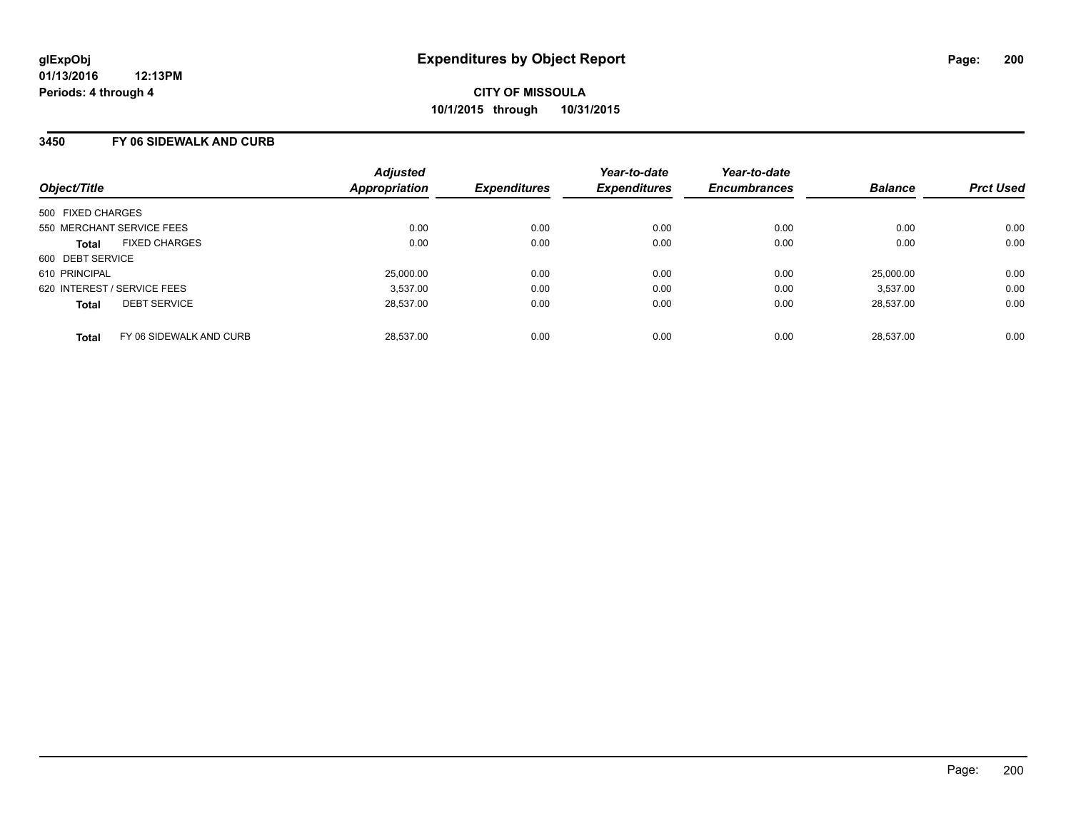### **3450 FY 06 SIDEWALK AND CURB**

| Object/Title                            | <b>Adjusted</b><br>Appropriation | <b>Expenditures</b> | Year-to-date<br><b>Expenditures</b> | Year-to-date<br><b>Encumbrances</b> | <b>Balance</b> | <b>Prct Used</b> |
|-----------------------------------------|----------------------------------|---------------------|-------------------------------------|-------------------------------------|----------------|------------------|
| 500 FIXED CHARGES                       |                                  |                     |                                     |                                     |                |                  |
| 550 MERCHANT SERVICE FEES               | 0.00                             | 0.00                | 0.00                                | 0.00                                | 0.00           | 0.00             |
| <b>FIXED CHARGES</b><br><b>Total</b>    | 0.00                             | 0.00                | 0.00                                | 0.00                                | 0.00           | 0.00             |
| 600 DEBT SERVICE                        |                                  |                     |                                     |                                     |                |                  |
| 610 PRINCIPAL                           | 25,000.00                        | 0.00                | 0.00                                | 0.00                                | 25.000.00      | 0.00             |
| 620 INTEREST / SERVICE FEES             | 3,537.00                         | 0.00                | 0.00                                | 0.00                                | 3,537.00       | 0.00             |
| <b>DEBT SERVICE</b><br><b>Total</b>     | 28.537.00                        | 0.00                | 0.00                                | 0.00                                | 28.537.00      | 0.00             |
| FY 06 SIDEWALK AND CURB<br><b>Total</b> | 28.537.00                        | 0.00                | 0.00                                | 0.00                                | 28.537.00      | 0.00             |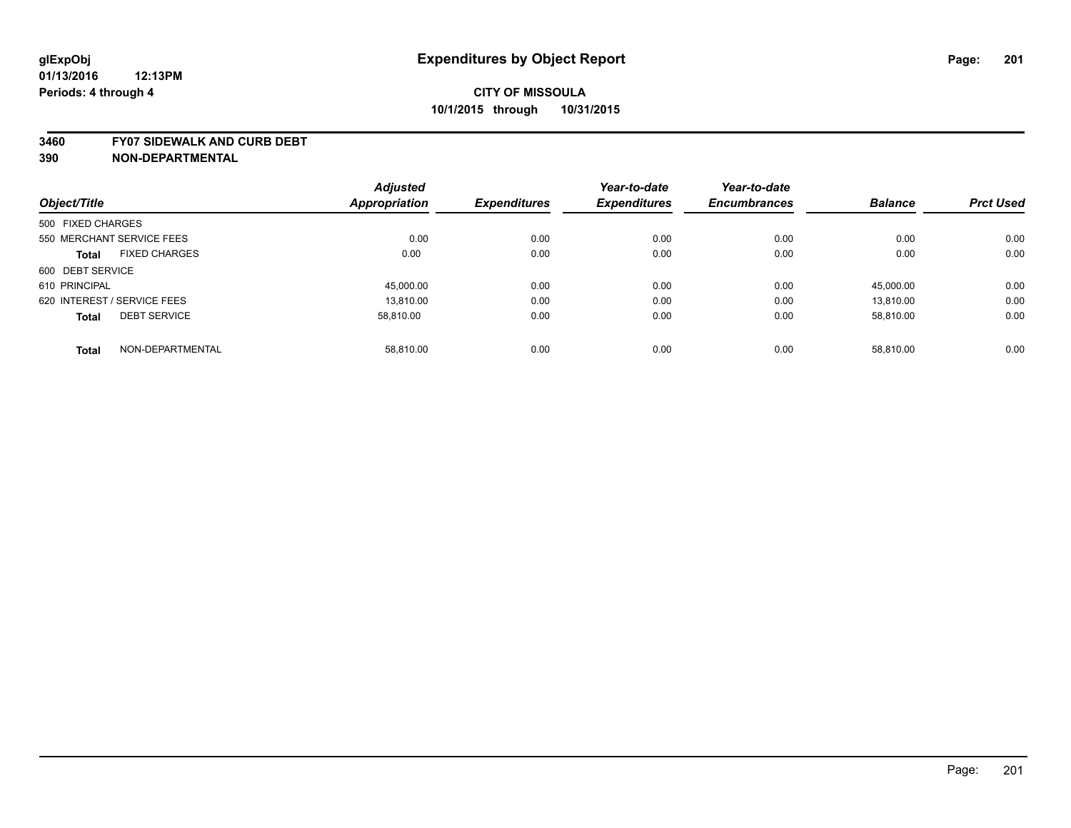#### **3460 FY07 SIDEWALK AND CURB DEBT**

|                                      | <b>Adjusted</b> |                     | Year-to-date        | Year-to-date        |                |                  |
|--------------------------------------|-----------------|---------------------|---------------------|---------------------|----------------|------------------|
| Object/Title                         | Appropriation   | <b>Expenditures</b> | <b>Expenditures</b> | <b>Encumbrances</b> | <b>Balance</b> | <b>Prct Used</b> |
| 500 FIXED CHARGES                    |                 |                     |                     |                     |                |                  |
| 550 MERCHANT SERVICE FEES            | 0.00            | 0.00                | 0.00                | 0.00                | 0.00           | 0.00             |
| <b>FIXED CHARGES</b><br><b>Total</b> | 0.00            | 0.00                | 0.00                | 0.00                | 0.00           | 0.00             |
| 600 DEBT SERVICE                     |                 |                     |                     |                     |                |                  |
| 610 PRINCIPAL                        | 45,000.00       | 0.00                | 0.00                | 0.00                | 45,000.00      | 0.00             |
| 620 INTEREST / SERVICE FEES          | 13.810.00       | 0.00                | 0.00                | 0.00                | 13.810.00      | 0.00             |
| <b>DEBT SERVICE</b><br><b>Total</b>  | 58.810.00       | 0.00                | 0.00                | 0.00                | 58.810.00      | 0.00             |
| NON-DEPARTMENTAL<br><b>Total</b>     | 58.810.00       | 0.00                | 0.00                | 0.00                | 58.810.00      | 0.00             |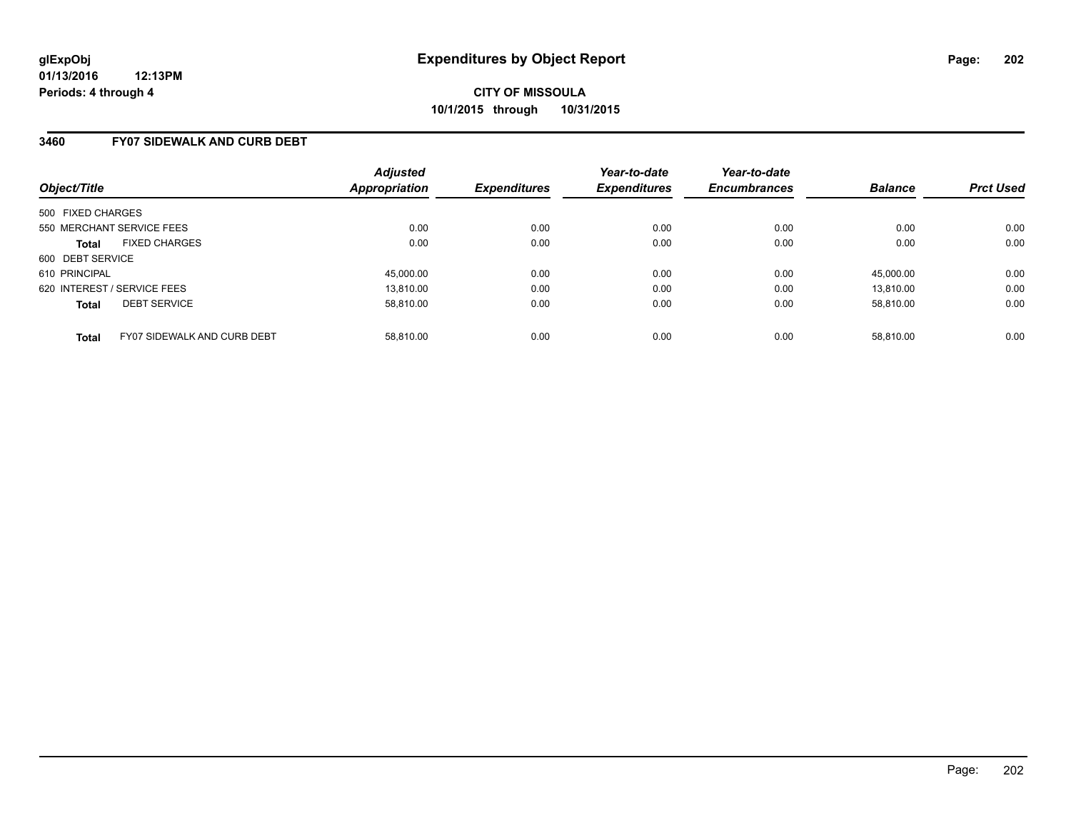### **3460 FY07 SIDEWALK AND CURB DEBT**

| Object/Title                                       | <b>Adjusted</b><br><b>Appropriation</b> | <b>Expenditures</b> | Year-to-date<br><b>Expenditures</b> | Year-to-date<br><b>Encumbrances</b> | <b>Balance</b> | <b>Prct Used</b> |
|----------------------------------------------------|-----------------------------------------|---------------------|-------------------------------------|-------------------------------------|----------------|------------------|
| 500 FIXED CHARGES                                  |                                         |                     |                                     |                                     |                |                  |
| 550 MERCHANT SERVICE FEES                          | 0.00                                    | 0.00                | 0.00                                | 0.00                                | 0.00           | 0.00             |
| <b>FIXED CHARGES</b><br><b>Total</b>               | 0.00                                    | 0.00                | 0.00                                | 0.00                                | 0.00           | 0.00             |
| 600 DEBT SERVICE                                   |                                         |                     |                                     |                                     |                |                  |
| 610 PRINCIPAL                                      | 45.000.00                               | 0.00                | 0.00                                | 0.00                                | 45.000.00      | 0.00             |
| 620 INTEREST / SERVICE FEES                        | 13.810.00                               | 0.00                | 0.00                                | 0.00                                | 13.810.00      | 0.00             |
| <b>DEBT SERVICE</b><br><b>Total</b>                | 58.810.00                               | 0.00                | 0.00                                | 0.00                                | 58.810.00      | 0.00             |
| <b>FY07 SIDEWALK AND CURB DEBT</b><br><b>Total</b> | 58.810.00                               | 0.00                | 0.00                                | 0.00                                | 58.810.00      | 0.00             |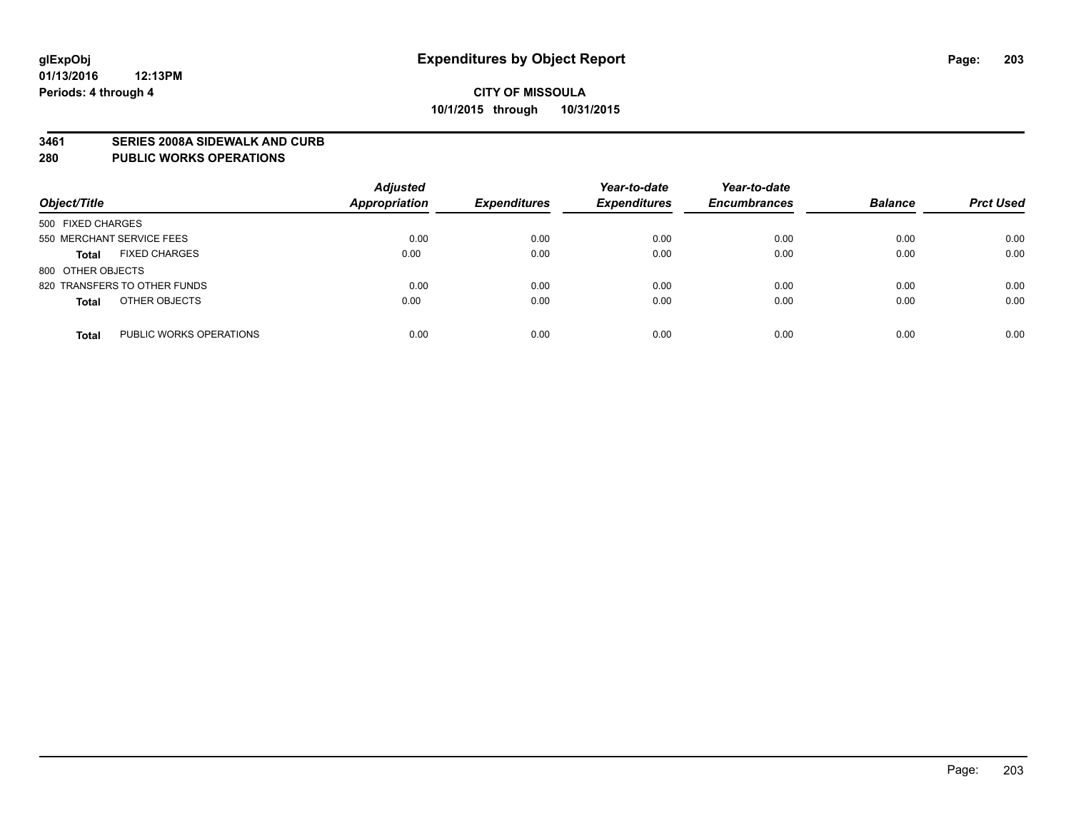#### **3461 SERIES 2008A SIDEWALK AND CURB**

#### **280 PUBLIC WORKS OPERATIONS**

| Object/Title                            | <b>Adjusted</b><br>Appropriation | <b>Expenditures</b> | Year-to-date<br><b>Expenditures</b> | Year-to-date<br><b>Encumbrances</b> | <b>Balance</b> | <b>Prct Used</b> |
|-----------------------------------------|----------------------------------|---------------------|-------------------------------------|-------------------------------------|----------------|------------------|
| 500 FIXED CHARGES                       |                                  |                     |                                     |                                     |                |                  |
| 550 MERCHANT SERVICE FEES               | 0.00                             | 0.00                | 0.00                                | 0.00                                | 0.00           | 0.00             |
| <b>FIXED CHARGES</b><br><b>Total</b>    | 0.00                             | 0.00                | 0.00                                | 0.00                                | 0.00           | 0.00             |
| 800 OTHER OBJECTS                       |                                  |                     |                                     |                                     |                |                  |
| 820 TRANSFERS TO OTHER FUNDS            | 0.00                             | 0.00                | 0.00                                | 0.00                                | 0.00           | 0.00             |
| OTHER OBJECTS<br><b>Total</b>           | 0.00                             | 0.00                | 0.00                                | 0.00                                | 0.00           | 0.00             |
| PUBLIC WORKS OPERATIONS<br><b>Total</b> | 0.00                             | 0.00                | 0.00                                | 0.00                                | 0.00           | 0.00             |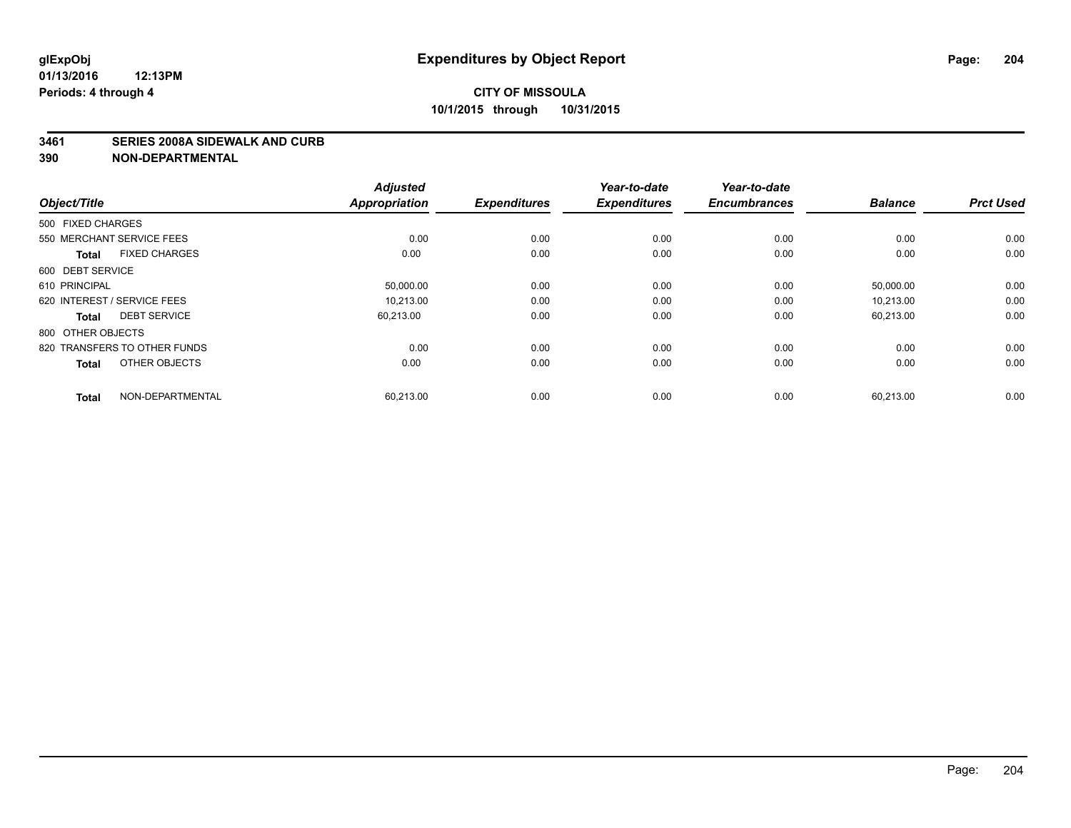#### **3461 SERIES 2008A SIDEWALK AND CURB**

| Object/Title                         | <b>Adjusted</b><br><b>Appropriation</b> | <b>Expenditures</b> | Year-to-date<br><b>Expenditures</b> | Year-to-date<br><b>Encumbrances</b> | <b>Balance</b> | <b>Prct Used</b> |
|--------------------------------------|-----------------------------------------|---------------------|-------------------------------------|-------------------------------------|----------------|------------------|
| 500 FIXED CHARGES                    |                                         |                     |                                     |                                     |                |                  |
| 550 MERCHANT SERVICE FEES            | 0.00                                    | 0.00                | 0.00                                | 0.00                                | 0.00           | 0.00             |
| <b>FIXED CHARGES</b><br><b>Total</b> | 0.00                                    | 0.00                | 0.00                                | 0.00                                | 0.00           | 0.00             |
| 600 DEBT SERVICE                     |                                         |                     |                                     |                                     |                |                  |
| 610 PRINCIPAL                        | 50,000.00                               | 0.00                | 0.00                                | 0.00                                | 50,000.00      | 0.00             |
| 620 INTEREST / SERVICE FEES          | 10.213.00                               | 0.00                | 0.00                                | 0.00                                | 10.213.00      | 0.00             |
| <b>DEBT SERVICE</b><br><b>Total</b>  | 60,213.00                               | 0.00                | 0.00                                | 0.00                                | 60,213.00      | 0.00             |
| 800 OTHER OBJECTS                    |                                         |                     |                                     |                                     |                |                  |
| 820 TRANSFERS TO OTHER FUNDS         | 0.00                                    | 0.00                | 0.00                                | 0.00                                | 0.00           | 0.00             |
| OTHER OBJECTS<br><b>Total</b>        | 0.00                                    | 0.00                | 0.00                                | 0.00                                | 0.00           | 0.00             |
|                                      |                                         |                     |                                     |                                     |                |                  |
| NON-DEPARTMENTAL<br><b>Total</b>     | 60,213.00                               | 0.00                | 0.00                                | 0.00                                | 60,213.00      | 0.00             |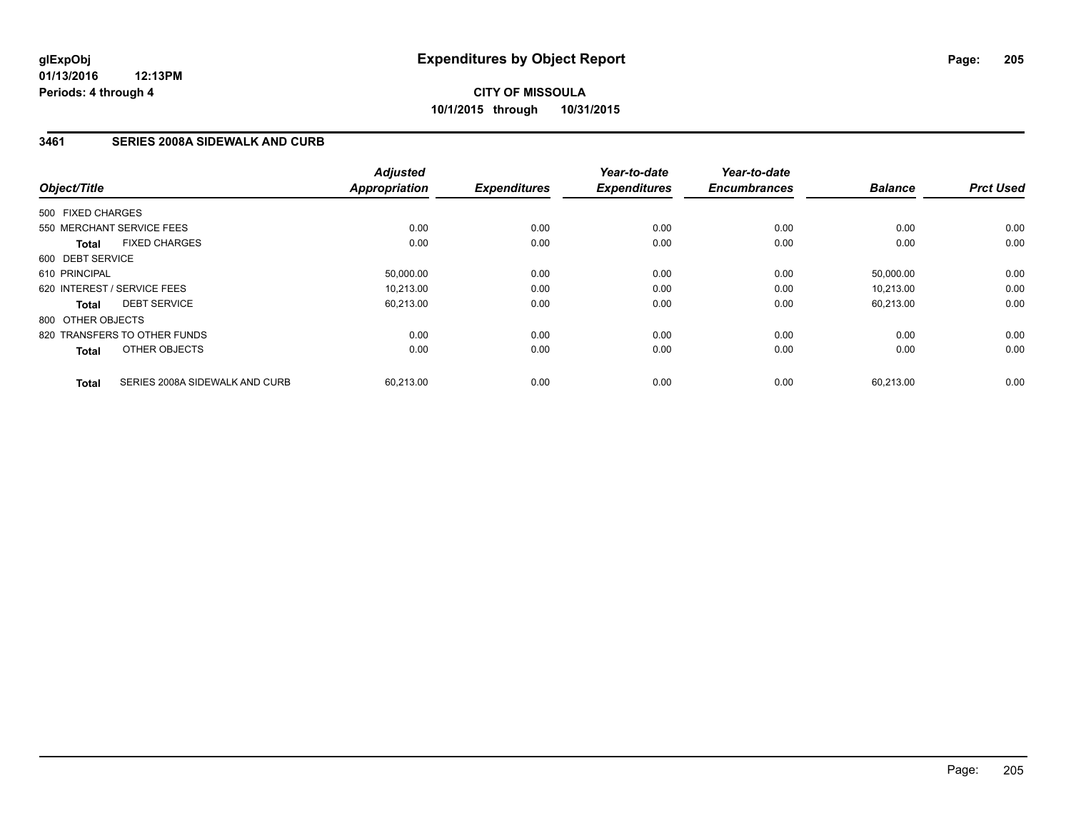### **3461 SERIES 2008A SIDEWALK AND CURB**

| Object/Title                                   | <b>Adjusted</b><br>Appropriation | <b>Expenditures</b> | Year-to-date<br><b>Expenditures</b> | Year-to-date<br><b>Encumbrances</b> | <b>Balance</b> | <b>Prct Used</b> |
|------------------------------------------------|----------------------------------|---------------------|-------------------------------------|-------------------------------------|----------------|------------------|
| 500 FIXED CHARGES                              |                                  |                     |                                     |                                     |                |                  |
| 550 MERCHANT SERVICE FEES                      | 0.00                             | 0.00                | 0.00                                | 0.00                                | 0.00           | 0.00             |
| <b>FIXED CHARGES</b><br><b>Total</b>           | 0.00                             | 0.00                | 0.00                                | 0.00                                | 0.00           | 0.00             |
| 600 DEBT SERVICE                               |                                  |                     |                                     |                                     |                |                  |
| 610 PRINCIPAL                                  | 50,000.00                        | 0.00                | 0.00                                | 0.00                                | 50,000.00      | 0.00             |
| 620 INTEREST / SERVICE FEES                    | 10.213.00                        | 0.00                | 0.00                                | 0.00                                | 10.213.00      | 0.00             |
| <b>DEBT SERVICE</b><br><b>Total</b>            | 60,213.00                        | 0.00                | 0.00                                | 0.00                                | 60,213.00      | 0.00             |
| 800 OTHER OBJECTS                              |                                  |                     |                                     |                                     |                |                  |
| 820 TRANSFERS TO OTHER FUNDS                   | 0.00                             | 0.00                | 0.00                                | 0.00                                | 0.00           | 0.00             |
| OTHER OBJECTS<br><b>Total</b>                  | 0.00                             | 0.00                | 0.00                                | 0.00                                | 0.00           | 0.00             |
| SERIES 2008A SIDEWALK AND CURB<br><b>Total</b> | 60,213.00                        | 0.00                | 0.00                                | 0.00                                | 60,213.00      | 0.00             |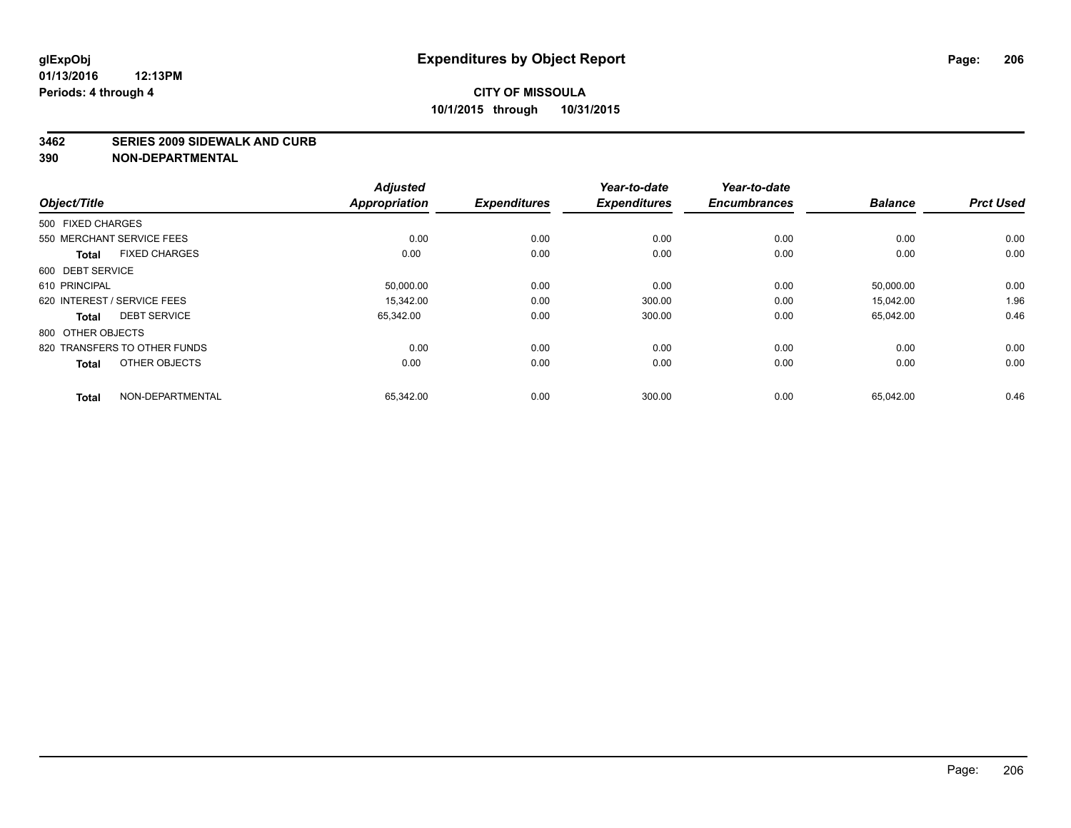#### **3462 SERIES 2009 SIDEWALK AND CURB**

|                                      | <b>Adjusted</b>      |                     | Year-to-date        | Year-to-date        |                |                  |
|--------------------------------------|----------------------|---------------------|---------------------|---------------------|----------------|------------------|
| Object/Title                         | <b>Appropriation</b> | <b>Expenditures</b> | <b>Expenditures</b> | <b>Encumbrances</b> | <b>Balance</b> | <b>Prct Used</b> |
| 500 FIXED CHARGES                    |                      |                     |                     |                     |                |                  |
| 550 MERCHANT SERVICE FEES            | 0.00                 | 0.00                | 0.00                | 0.00                | 0.00           | 0.00             |
| <b>FIXED CHARGES</b><br><b>Total</b> | 0.00                 | 0.00                | 0.00                | 0.00                | 0.00           | 0.00             |
| 600 DEBT SERVICE                     |                      |                     |                     |                     |                |                  |
| 610 PRINCIPAL                        | 50,000.00            | 0.00                | 0.00                | 0.00                | 50,000.00      | 0.00             |
| 620 INTEREST / SERVICE FEES          | 15.342.00            | 0.00                | 300.00              | 0.00                | 15.042.00      | 1.96             |
| <b>DEBT SERVICE</b><br><b>Total</b>  | 65,342.00            | 0.00                | 300.00              | 0.00                | 65,042.00      | 0.46             |
| 800 OTHER OBJECTS                    |                      |                     |                     |                     |                |                  |
| 820 TRANSFERS TO OTHER FUNDS         | 0.00                 | 0.00                | 0.00                | 0.00                | 0.00           | 0.00             |
| OTHER OBJECTS<br><b>Total</b>        | 0.00                 | 0.00                | 0.00                | 0.00                | 0.00           | 0.00             |
|                                      |                      |                     |                     |                     |                |                  |
| NON-DEPARTMENTAL<br><b>Total</b>     | 65,342.00            | 0.00                | 300.00              | 0.00                | 65,042.00      | 0.46             |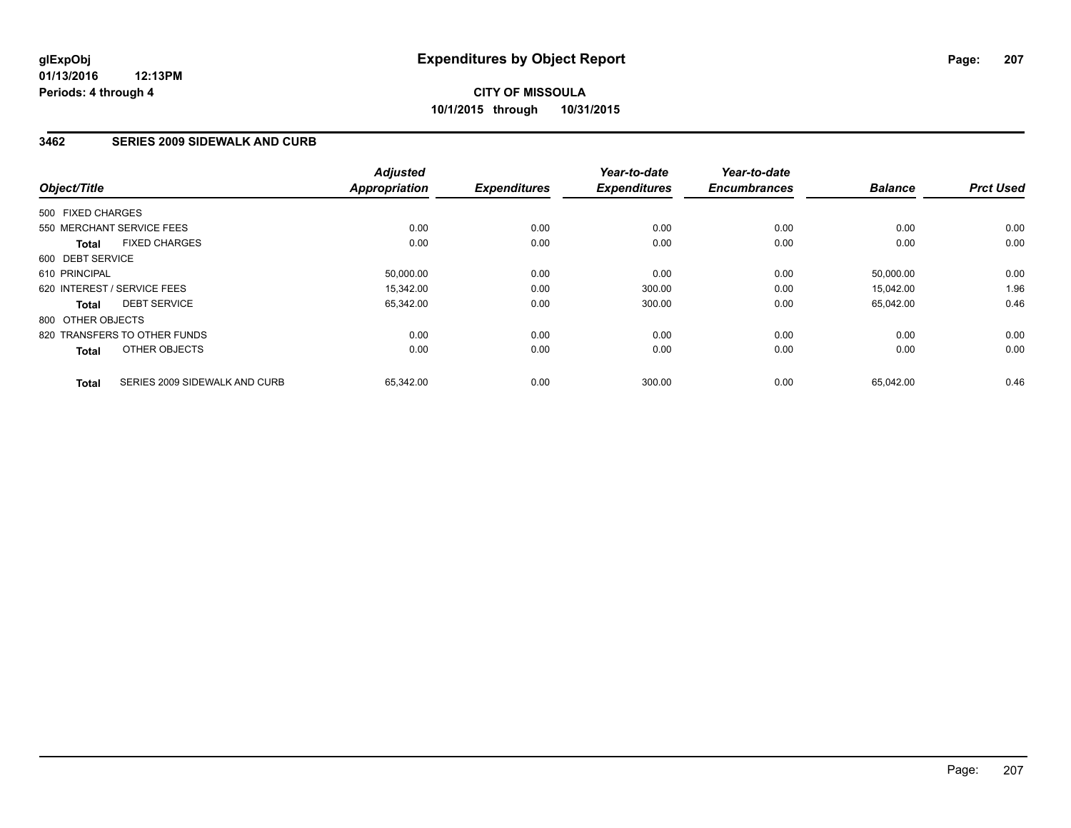### **3462 SERIES 2009 SIDEWALK AND CURB**

| Object/Title                                  | <b>Adjusted</b><br><b>Appropriation</b> | <b>Expenditures</b> | Year-to-date<br><b>Expenditures</b> | Year-to-date<br><b>Encumbrances</b> | <b>Balance</b> | <b>Prct Used</b> |
|-----------------------------------------------|-----------------------------------------|---------------------|-------------------------------------|-------------------------------------|----------------|------------------|
| 500 FIXED CHARGES                             |                                         |                     |                                     |                                     |                |                  |
| 550 MERCHANT SERVICE FEES                     | 0.00                                    | 0.00                | 0.00                                | 0.00                                | 0.00           | 0.00             |
| <b>FIXED CHARGES</b><br><b>Total</b>          | 0.00                                    | 0.00                | 0.00                                | 0.00                                | 0.00           | 0.00             |
| 600 DEBT SERVICE                              |                                         |                     |                                     |                                     |                |                  |
| 610 PRINCIPAL                                 | 50,000.00                               | 0.00                | 0.00                                | 0.00                                | 50,000.00      | 0.00             |
| 620 INTEREST / SERVICE FEES                   | 15.342.00                               | 0.00                | 300.00                              | 0.00                                | 15,042.00      | 1.96             |
| <b>DEBT SERVICE</b><br><b>Total</b>           | 65,342.00                               | 0.00                | 300.00                              | 0.00                                | 65,042.00      | 0.46             |
| 800 OTHER OBJECTS                             |                                         |                     |                                     |                                     |                |                  |
| 820 TRANSFERS TO OTHER FUNDS                  | 0.00                                    | 0.00                | 0.00                                | 0.00                                | 0.00           | 0.00             |
| OTHER OBJECTS<br><b>Total</b>                 | 0.00                                    | 0.00                | 0.00                                | 0.00                                | 0.00           | 0.00             |
| SERIES 2009 SIDEWALK AND CURB<br><b>Total</b> | 65,342.00                               | 0.00                | 300.00                              | 0.00                                | 65,042.00      | 0.46             |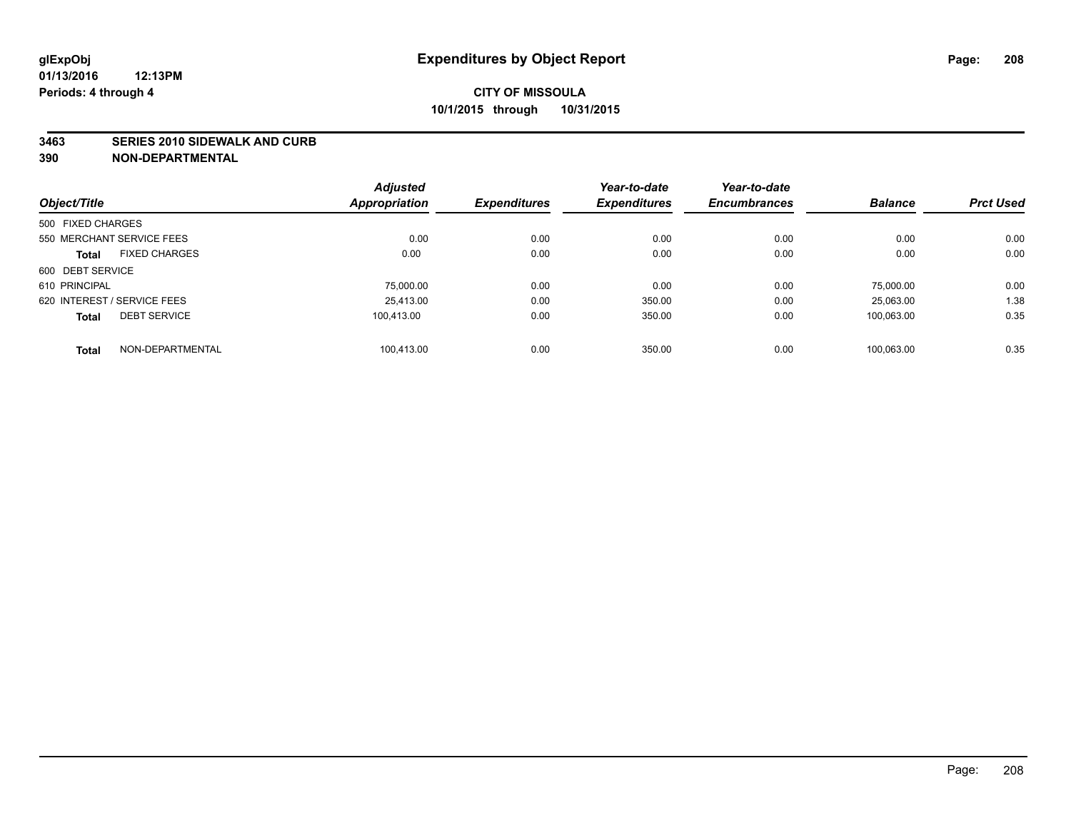#### **3463 SERIES 2010 SIDEWALK AND CURB**

|                             |                      | <b>Adjusted</b> |                     | Year-to-date        | Year-to-date        |                |                  |
|-----------------------------|----------------------|-----------------|---------------------|---------------------|---------------------|----------------|------------------|
| Object/Title                |                      | Appropriation   | <b>Expenditures</b> | <b>Expenditures</b> | <b>Encumbrances</b> | <b>Balance</b> | <b>Prct Used</b> |
| 500 FIXED CHARGES           |                      |                 |                     |                     |                     |                |                  |
| 550 MERCHANT SERVICE FEES   |                      | 0.00            | 0.00                | 0.00                | 0.00                | 0.00           | 0.00             |
| <b>Total</b>                | <b>FIXED CHARGES</b> | 0.00            | 0.00                | 0.00                | 0.00                | 0.00           | 0.00             |
| 600 DEBT SERVICE            |                      |                 |                     |                     |                     |                |                  |
| 610 PRINCIPAL               |                      | 75,000.00       | 0.00                | 0.00                | 0.00                | 75.000.00      | 0.00             |
| 620 INTEREST / SERVICE FEES |                      | 25,413.00       | 0.00                | 350.00              | 0.00                | 25,063.00      | 1.38             |
| <b>Total</b>                | <b>DEBT SERVICE</b>  | 100.413.00      | 0.00                | 350.00              | 0.00                | 100.063.00     | 0.35             |
| <b>Total</b>                | NON-DEPARTMENTAL     | 100.413.00      | 0.00                | 350.00              | 0.00                | 100.063.00     | 0.35             |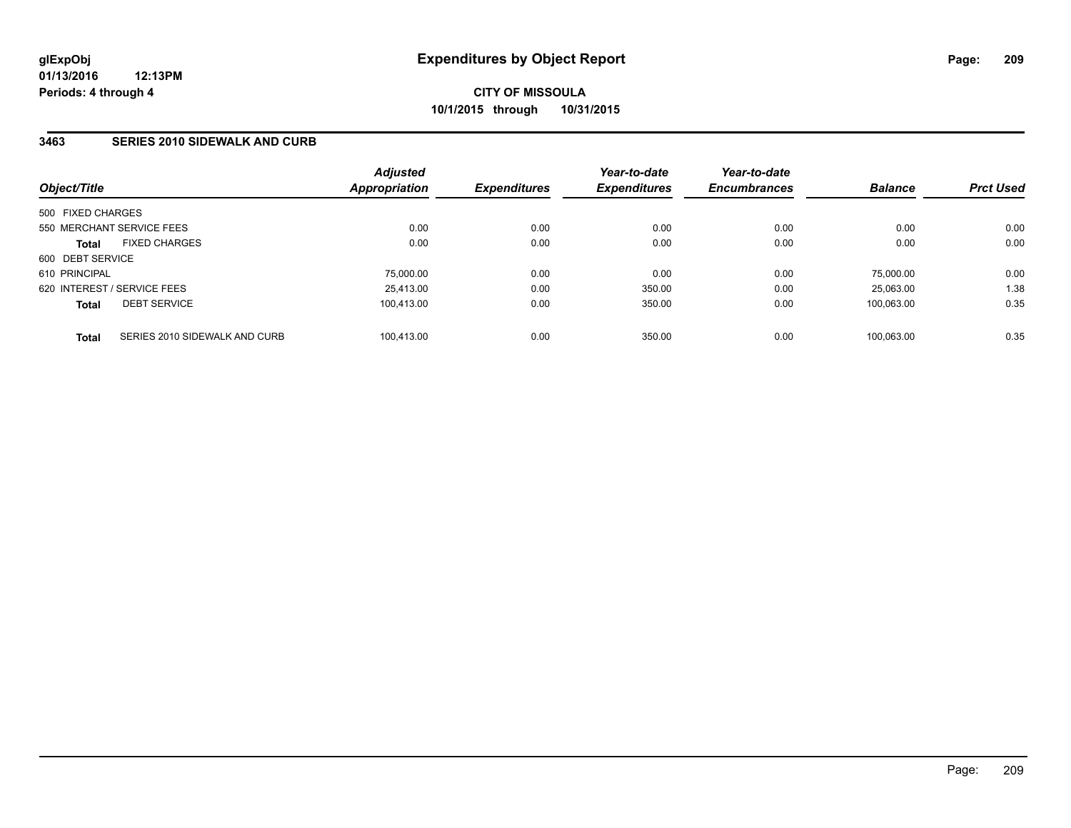### **3463 SERIES 2010 SIDEWALK AND CURB**

| Object/Title                                  | <b>Adjusted</b><br><b>Appropriation</b> | <b>Expenditures</b> | Year-to-date<br><b>Expenditures</b> | Year-to-date<br><b>Encumbrances</b> | <b>Balance</b> | <b>Prct Used</b> |
|-----------------------------------------------|-----------------------------------------|---------------------|-------------------------------------|-------------------------------------|----------------|------------------|
| 500 FIXED CHARGES                             |                                         |                     |                                     |                                     |                |                  |
| 550 MERCHANT SERVICE FEES                     | 0.00                                    | 0.00                | 0.00                                | 0.00                                | 0.00           | 0.00             |
| <b>FIXED CHARGES</b><br><b>Total</b>          | 0.00                                    | 0.00                | 0.00                                | 0.00                                | 0.00           | 0.00             |
| 600 DEBT SERVICE                              |                                         |                     |                                     |                                     |                |                  |
| 610 PRINCIPAL                                 | 75,000.00                               | 0.00                | 0.00                                | 0.00                                | 75.000.00      | 0.00             |
| 620 INTEREST / SERVICE FEES                   | 25,413.00                               | 0.00                | 350.00                              | 0.00                                | 25.063.00      | 1.38             |
| <b>DEBT SERVICE</b><br><b>Total</b>           | 100.413.00                              | 0.00                | 350.00                              | 0.00                                | 100.063.00     | 0.35             |
| SERIES 2010 SIDEWALK AND CURB<br><b>Total</b> | 100.413.00                              | 0.00                | 350.00                              | 0.00                                | 100.063.00     | 0.35             |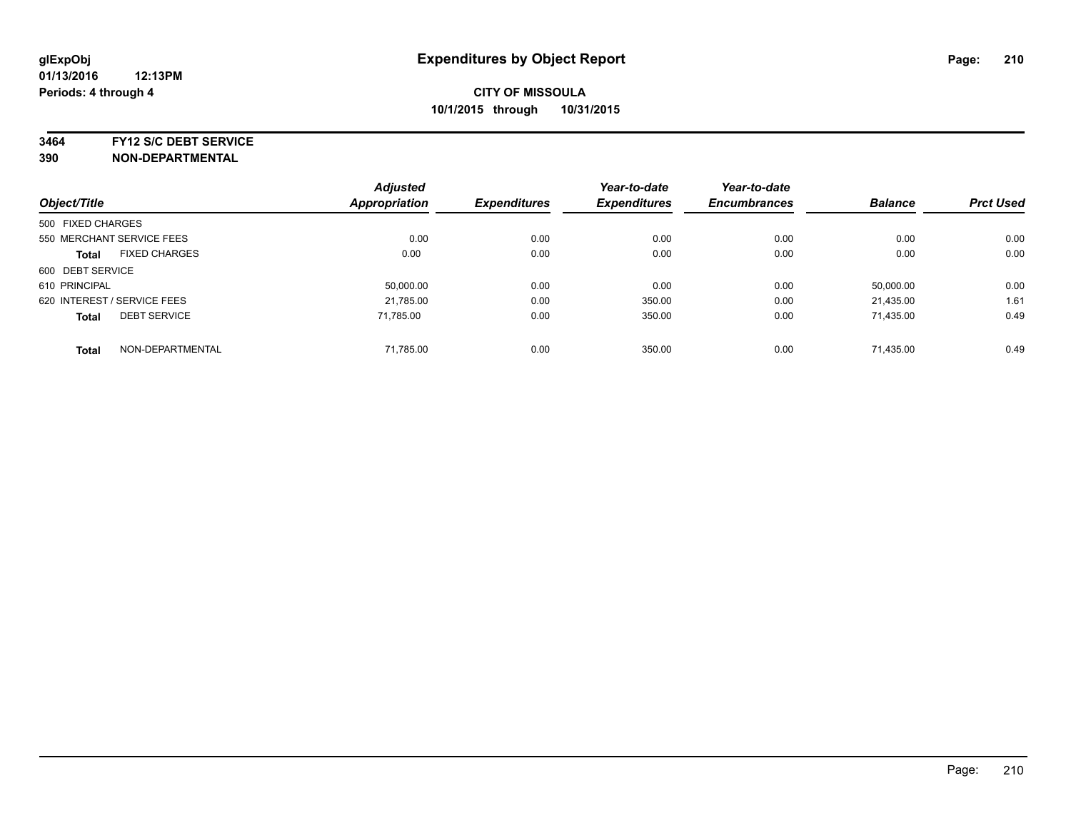**3464 FY12 S/C DEBT SERVICE**

|                                      | <b>Adjusted</b>      |                     | Year-to-date        | Year-to-date        | <b>Balance</b> | <b>Prct Used</b> |
|--------------------------------------|----------------------|---------------------|---------------------|---------------------|----------------|------------------|
| Object/Title                         | <b>Appropriation</b> | <b>Expenditures</b> | <b>Expenditures</b> | <b>Encumbrances</b> |                |                  |
| 500 FIXED CHARGES                    |                      |                     |                     |                     |                |                  |
| 550 MERCHANT SERVICE FEES            | 0.00                 | 0.00                | 0.00                | 0.00                | 0.00           | 0.00             |
| <b>FIXED CHARGES</b><br><b>Total</b> | 0.00                 | 0.00                | 0.00                | 0.00                | 0.00           | 0.00             |
| 600 DEBT SERVICE                     |                      |                     |                     |                     |                |                  |
| 610 PRINCIPAL                        | 50.000.00            | 0.00                | 0.00                | 0.00                | 50,000.00      | 0.00             |
| 620 INTEREST / SERVICE FEES          | 21,785.00            | 0.00                | 350.00              | 0.00                | 21,435.00      | 1.61             |
| <b>DEBT SERVICE</b><br><b>Total</b>  | 71.785.00            | 0.00                | 350.00              | 0.00                | 71,435.00      | 0.49             |
| NON-DEPARTMENTAL<br><b>Total</b>     | 71,785.00            | 0.00                | 350.00              | 0.00                | 71.435.00      | 0.49             |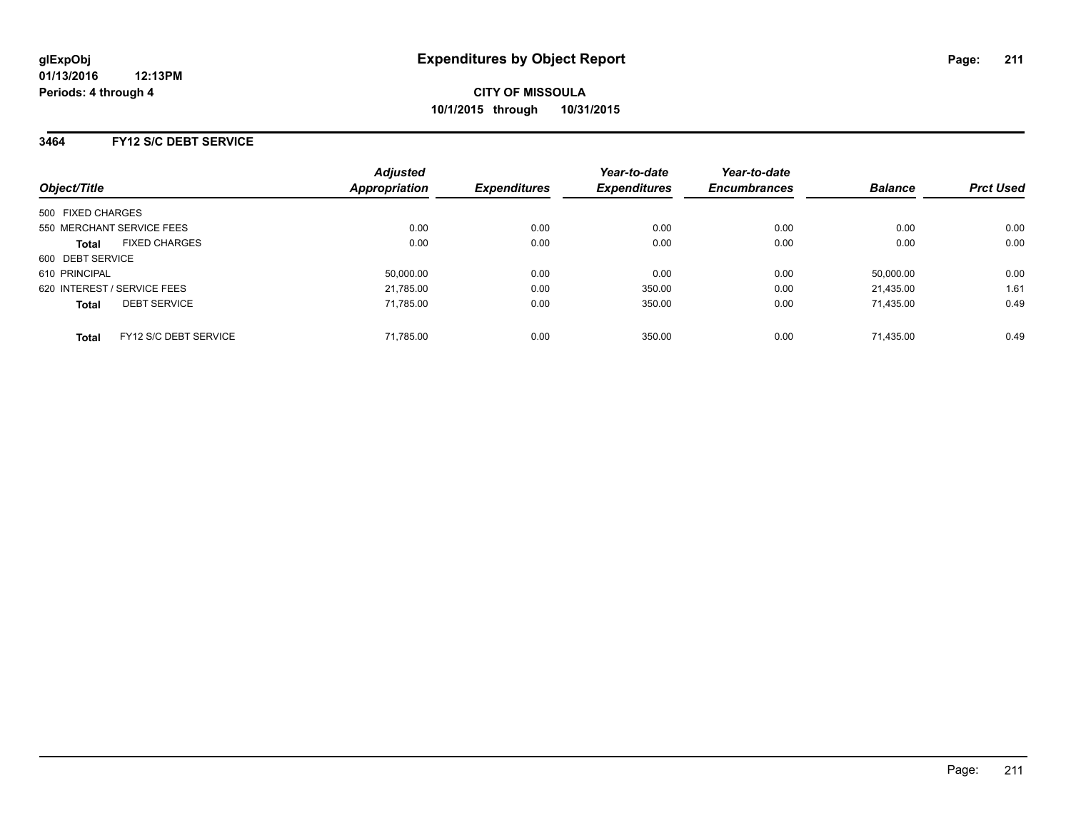### **3464 FY12 S/C DEBT SERVICE**

| Object/Title                |                       | <b>Adjusted</b><br><b>Appropriation</b> | <b>Expenditures</b> | Year-to-date<br><b>Expenditures</b> | Year-to-date<br><b>Encumbrances</b> | <b>Balance</b> | <b>Prct Used</b> |
|-----------------------------|-----------------------|-----------------------------------------|---------------------|-------------------------------------|-------------------------------------|----------------|------------------|
| 500 FIXED CHARGES           |                       |                                         |                     |                                     |                                     |                |                  |
| 550 MERCHANT SERVICE FEES   |                       | 0.00                                    | 0.00                | 0.00                                | 0.00                                | 0.00           | 0.00             |
| <b>Total</b>                | <b>FIXED CHARGES</b>  | 0.00                                    | 0.00                | 0.00                                | 0.00                                | 0.00           | 0.00             |
| 600 DEBT SERVICE            |                       |                                         |                     |                                     |                                     |                |                  |
| 610 PRINCIPAL               |                       | 50,000.00                               | 0.00                | 0.00                                | 0.00                                | 50.000.00      | 0.00             |
| 620 INTEREST / SERVICE FEES |                       | 21,785.00                               | 0.00                | 350.00                              | 0.00                                | 21.435.00      | 1.61             |
| <b>Total</b>                | <b>DEBT SERVICE</b>   | 71,785.00                               | 0.00                | 350.00                              | 0.00                                | 71.435.00      | 0.49             |
| <b>Total</b>                | FY12 S/C DEBT SERVICE | 71,785.00                               | 0.00                | 350.00                              | 0.00                                | 71.435.00      | 0.49             |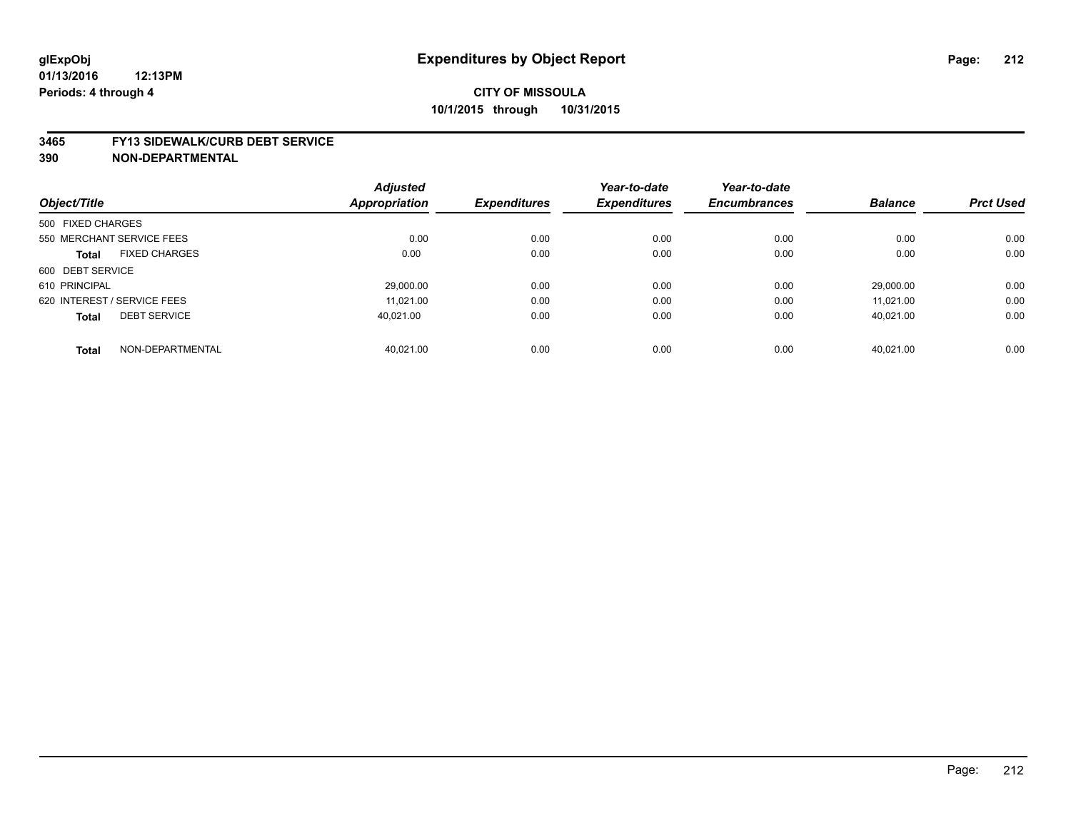#### **3465 FY13 SIDEWALK/CURB DEBT SERVICE**

|                                      | <b>Adjusted</b>      |                     | Year-to-date        | Year-to-date        |                |                  |
|--------------------------------------|----------------------|---------------------|---------------------|---------------------|----------------|------------------|
| Object/Title                         | <b>Appropriation</b> | <b>Expenditures</b> | <b>Expenditures</b> | <b>Encumbrances</b> | <b>Balance</b> | <b>Prct Used</b> |
| 500 FIXED CHARGES                    |                      |                     |                     |                     |                |                  |
| 550 MERCHANT SERVICE FEES            | 0.00                 | 0.00                | 0.00                | 0.00                | 0.00           | 0.00             |
| <b>FIXED CHARGES</b><br><b>Total</b> | 0.00                 | 0.00                | 0.00                | 0.00                | 0.00           | 0.00             |
| 600 DEBT SERVICE                     |                      |                     |                     |                     |                |                  |
| 610 PRINCIPAL                        | 29,000.00            | 0.00                | 0.00                | 0.00                | 29.000.00      | 0.00             |
| 620 INTEREST / SERVICE FEES          | 11.021.00            | 0.00                | 0.00                | 0.00                | 11.021.00      | 0.00             |
| <b>DEBT SERVICE</b><br><b>Total</b>  | 40.021.00            | 0.00                | 0.00                | 0.00                | 40.021.00      | 0.00             |
|                                      |                      |                     |                     |                     |                |                  |
| NON-DEPARTMENTAL<br><b>Total</b>     | 40.021.00            | 0.00                | 0.00                | 0.00                | 40.021.00      | 0.00             |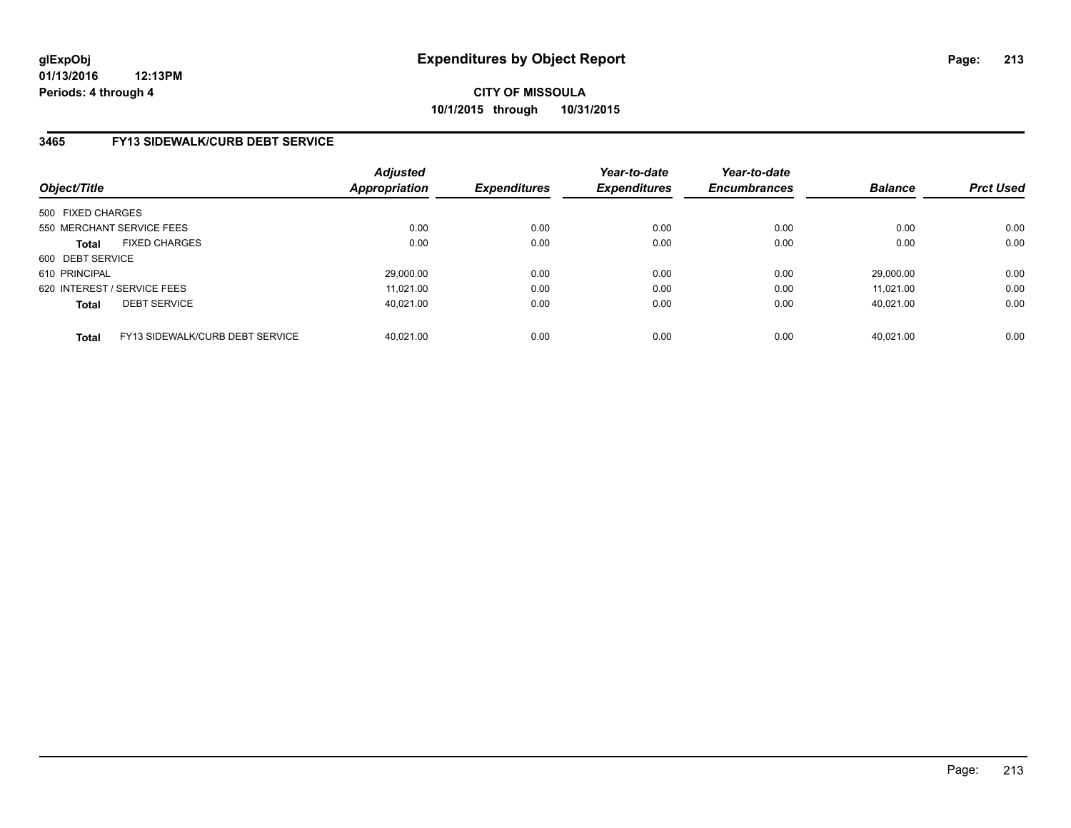### **3465 FY13 SIDEWALK/CURB DEBT SERVICE**

| Object/Title                |                                 | Adjusted<br><b>Appropriation</b> | <b>Expenditures</b> | Year-to-date<br><b>Expenditures</b> | Year-to-date<br><b>Encumbrances</b> | <b>Balance</b> | <b>Prct Used</b> |
|-----------------------------|---------------------------------|----------------------------------|---------------------|-------------------------------------|-------------------------------------|----------------|------------------|
| 500 FIXED CHARGES           |                                 |                                  |                     |                                     |                                     |                |                  |
|                             | 550 MERCHANT SERVICE FEES       | 0.00                             | 0.00                | 0.00                                | 0.00                                | 0.00           | 0.00             |
| <b>Total</b>                | <b>FIXED CHARGES</b>            | 0.00                             | 0.00                | 0.00                                | 0.00                                | 0.00           | 0.00             |
| 600 DEBT SERVICE            |                                 |                                  |                     |                                     |                                     |                |                  |
| 610 PRINCIPAL               |                                 | 29,000.00                        | 0.00                | 0.00                                | 0.00                                | 29.000.00      | 0.00             |
| 620 INTEREST / SERVICE FEES |                                 | 11.021.00                        | 0.00                | 0.00                                | 0.00                                | 11.021.00      | 0.00             |
| <b>Total</b>                | <b>DEBT SERVICE</b>             | 40.021.00                        | 0.00                | 0.00                                | 0.00                                | 40.021.00      | 0.00             |
| <b>Total</b>                | FY13 SIDEWALK/CURB DEBT SERVICE | 40.021.00                        | 0.00                | 0.00                                | 0.00                                | 40.021.00      | 0.00             |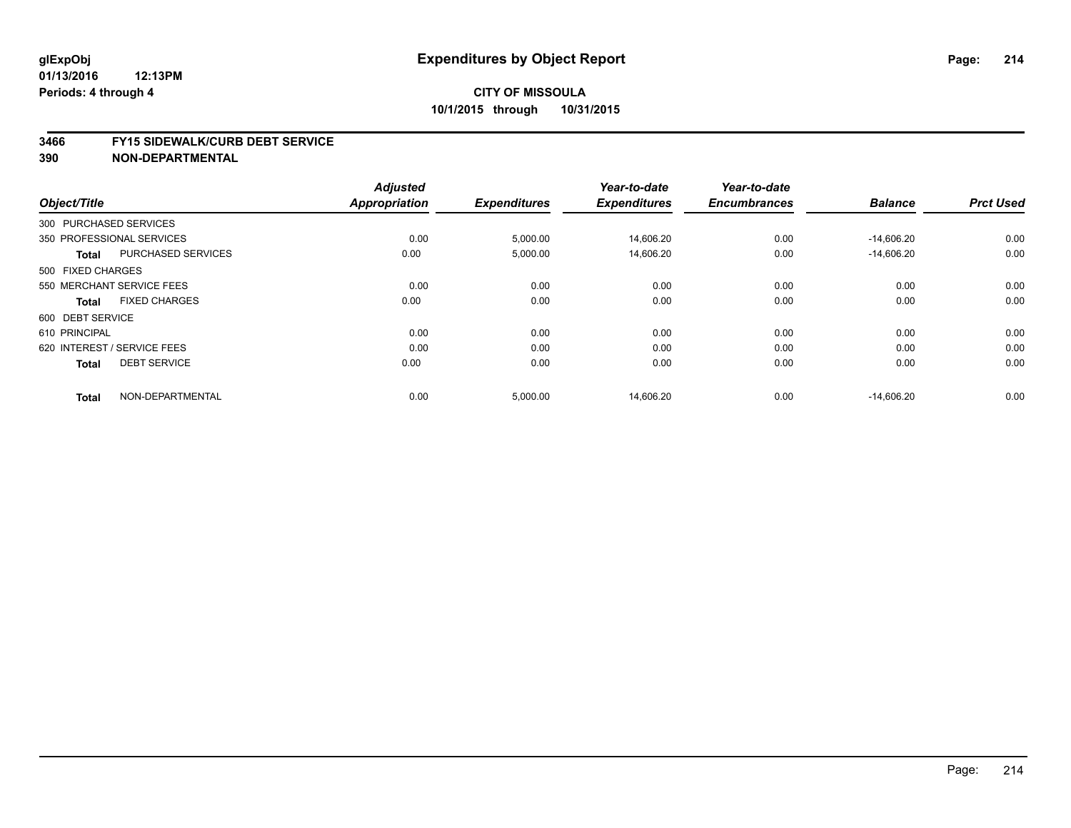#### **01/13/2016 12:13PM Periods: 4 through 4**

# **CITY OF MISSOULA 10/1/2015 through 10/31/2015**

#### **3466 FY15 SIDEWALK/CURB DEBT SERVICE**

|                        |                             | <b>Adjusted</b> |                     | Year-to-date        | Year-to-date        |                |                  |
|------------------------|-----------------------------|-----------------|---------------------|---------------------|---------------------|----------------|------------------|
| Object/Title           |                             | Appropriation   | <b>Expenditures</b> | <b>Expenditures</b> | <b>Encumbrances</b> | <b>Balance</b> | <b>Prct Used</b> |
| 300 PURCHASED SERVICES |                             |                 |                     |                     |                     |                |                  |
|                        | 350 PROFESSIONAL SERVICES   | 0.00            | 5,000.00            | 14,606.20           | 0.00                | $-14,606.20$   | 0.00             |
| <b>Total</b>           | <b>PURCHASED SERVICES</b>   | 0.00            | 5,000.00            | 14,606.20           | 0.00                | $-14,606.20$   | 0.00             |
| 500 FIXED CHARGES      |                             |                 |                     |                     |                     |                |                  |
|                        | 550 MERCHANT SERVICE FEES   | 0.00            | 0.00                | 0.00                | 0.00                | 0.00           | 0.00             |
| <b>Total</b>           | <b>FIXED CHARGES</b>        | 0.00            | 0.00                | 0.00                | 0.00                | 0.00           | 0.00             |
| 600 DEBT SERVICE       |                             |                 |                     |                     |                     |                |                  |
| 610 PRINCIPAL          |                             | 0.00            | 0.00                | 0.00                | 0.00                | 0.00           | 0.00             |
|                        | 620 INTEREST / SERVICE FEES | 0.00            | 0.00                | 0.00                | 0.00                | 0.00           | 0.00             |
| <b>Total</b>           | <b>DEBT SERVICE</b>         | 0.00            | 0.00                | 0.00                | 0.00                | 0.00           | 0.00             |
| <b>Total</b>           | NON-DEPARTMENTAL            | 0.00            | 5,000.00            | 14,606.20           | 0.00                | $-14,606.20$   | 0.00             |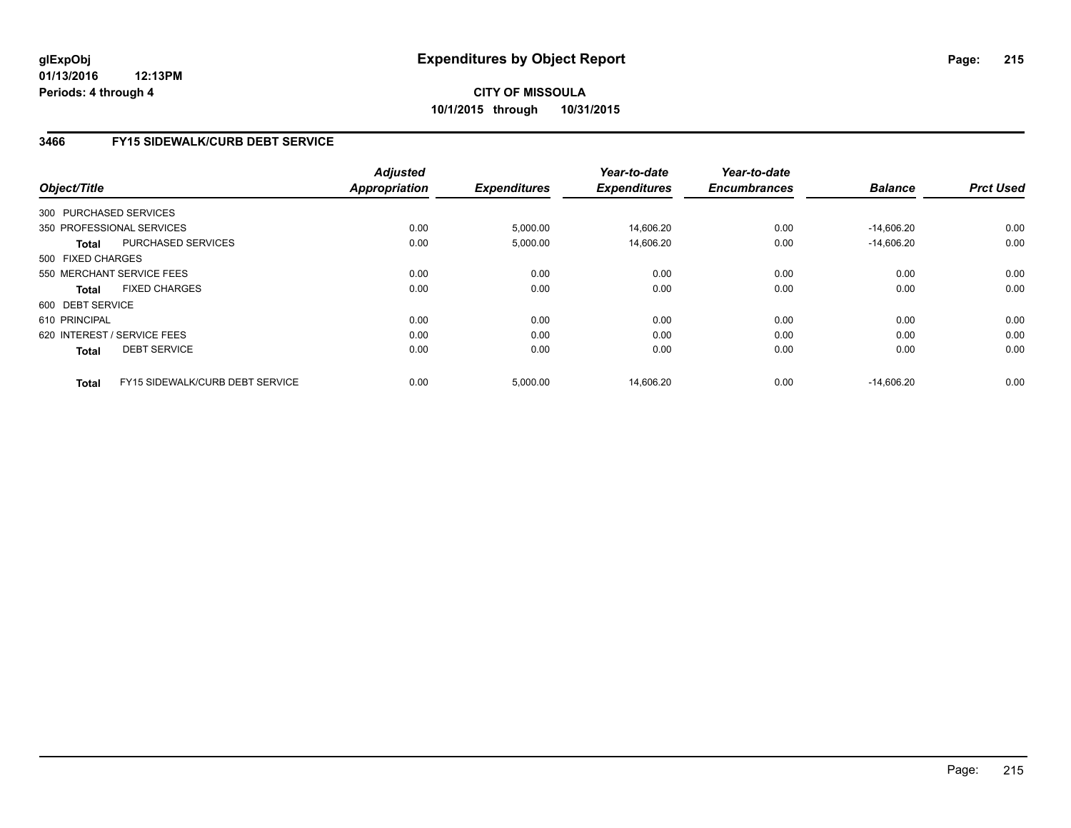# **3466 FY15 SIDEWALK/CURB DEBT SERVICE**

| Object/Title           |                                 | <b>Adjusted</b><br>Appropriation | <b>Expenditures</b> | Year-to-date<br><b>Expenditures</b> | Year-to-date<br><b>Encumbrances</b> | <b>Balance</b> | <b>Prct Used</b> |
|------------------------|---------------------------------|----------------------------------|---------------------|-------------------------------------|-------------------------------------|----------------|------------------|
| 300 PURCHASED SERVICES |                                 |                                  |                     |                                     |                                     |                |                  |
|                        | 350 PROFESSIONAL SERVICES       | 0.00                             | 5,000.00            | 14,606.20                           | 0.00                                | $-14,606.20$   | 0.00             |
| <b>Total</b>           | <b>PURCHASED SERVICES</b>       | 0.00                             | 5,000.00            | 14,606.20                           | 0.00                                | $-14.606.20$   | 0.00             |
| 500 FIXED CHARGES      |                                 |                                  |                     |                                     |                                     |                |                  |
|                        | 550 MERCHANT SERVICE FEES       | 0.00                             | 0.00                | 0.00                                | 0.00                                | 0.00           | 0.00             |
| Total                  | <b>FIXED CHARGES</b>            | 0.00                             | 0.00                | 0.00                                | 0.00                                | 0.00           | 0.00             |
| 600 DEBT SERVICE       |                                 |                                  |                     |                                     |                                     |                |                  |
| 610 PRINCIPAL          |                                 | 0.00                             | 0.00                | 0.00                                | 0.00                                | 0.00           | 0.00             |
|                        | 620 INTEREST / SERVICE FEES     | 0.00                             | 0.00                | 0.00                                | 0.00                                | 0.00           | 0.00             |
| <b>Total</b>           | <b>DEBT SERVICE</b>             | 0.00                             | 0.00                | 0.00                                | 0.00                                | 0.00           | 0.00             |
| <b>Total</b>           | FY15 SIDEWALK/CURB DEBT SERVICE | 0.00                             | 5,000.00            | 14.606.20                           | 0.00                                | $-14.606.20$   | 0.00             |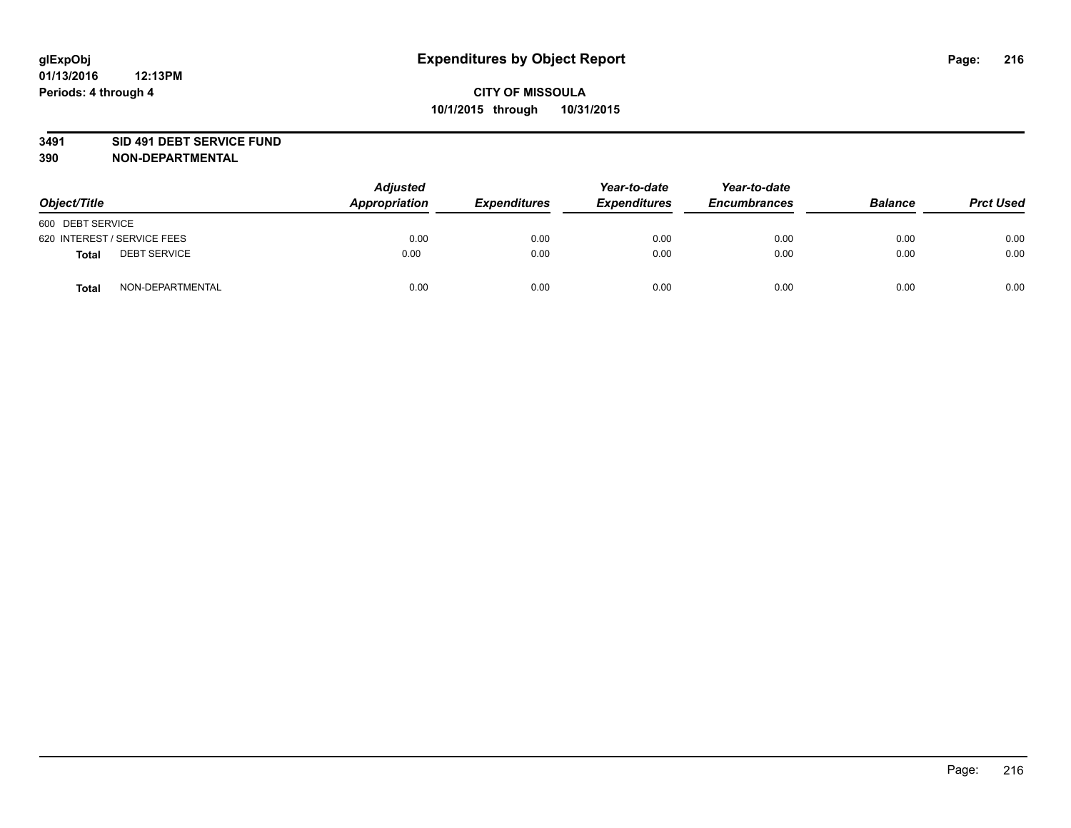### **3491 SID 491 DEBT SERVICE FUND**

| Object/Title                        | <b>Adjusted</b><br>Appropriation | <b>Expenditures</b> | Year-to-date<br><b>Expenditures</b> | Year-to-date<br><b>Encumbrances</b> | <b>Balance</b> | <b>Prct Used</b> |
|-------------------------------------|----------------------------------|---------------------|-------------------------------------|-------------------------------------|----------------|------------------|
| 600 DEBT SERVICE                    |                                  |                     |                                     |                                     |                |                  |
| 620 INTEREST / SERVICE FEES         | 0.00                             | 0.00                | 0.00                                | 0.00                                | 0.00           | 0.00             |
| <b>DEBT SERVICE</b><br><b>Total</b> | 0.00                             | 0.00                | 0.00                                | 0.00                                | 0.00           | 0.00             |
| NON-DEPARTMENTAL<br><b>Total</b>    | 0.00                             | 0.00                | 0.00                                | 0.00                                | 0.00           | 0.00             |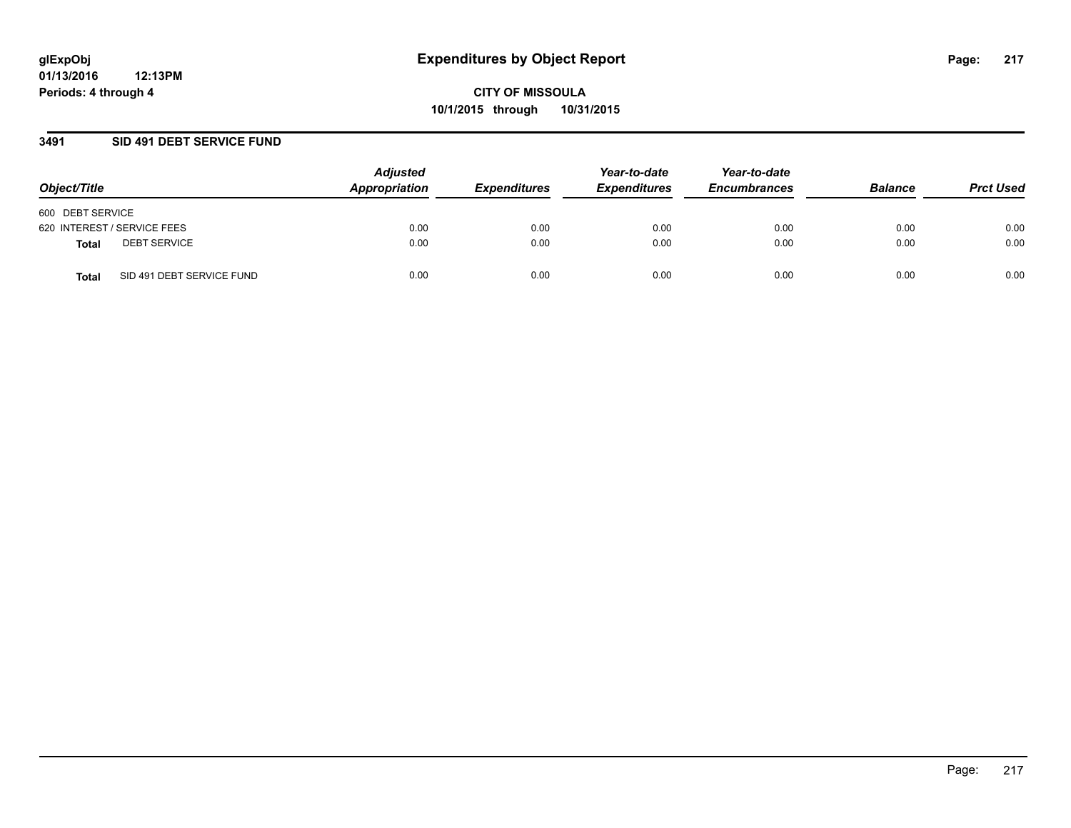### **3491 SID 491 DEBT SERVICE FUND**

| Object/Title                       | <b>Adjusted</b><br>Appropriation | <b>Expenditures</b> | Year-to-date<br><b>Expenditures</b> | Year-to-date<br><b>Encumbrances</b> | <b>Balance</b> | <b>Prct Used</b> |
|------------------------------------|----------------------------------|---------------------|-------------------------------------|-------------------------------------|----------------|------------------|
| 600 DEBT SERVICE                   |                                  |                     |                                     |                                     |                |                  |
| 620 INTEREST / SERVICE FEES        | 0.00                             | 0.00                | 0.00                                | 0.00                                | 0.00           | 0.00             |
| <b>DEBT SERVICE</b><br>Total       | 0.00                             | 0.00                | 0.00                                | 0.00                                | 0.00           | 0.00             |
| SID 491 DEBT SERVICE FUND<br>Total | 0.00                             | 0.00                | 0.00                                | 0.00                                | 0.00           | 0.00             |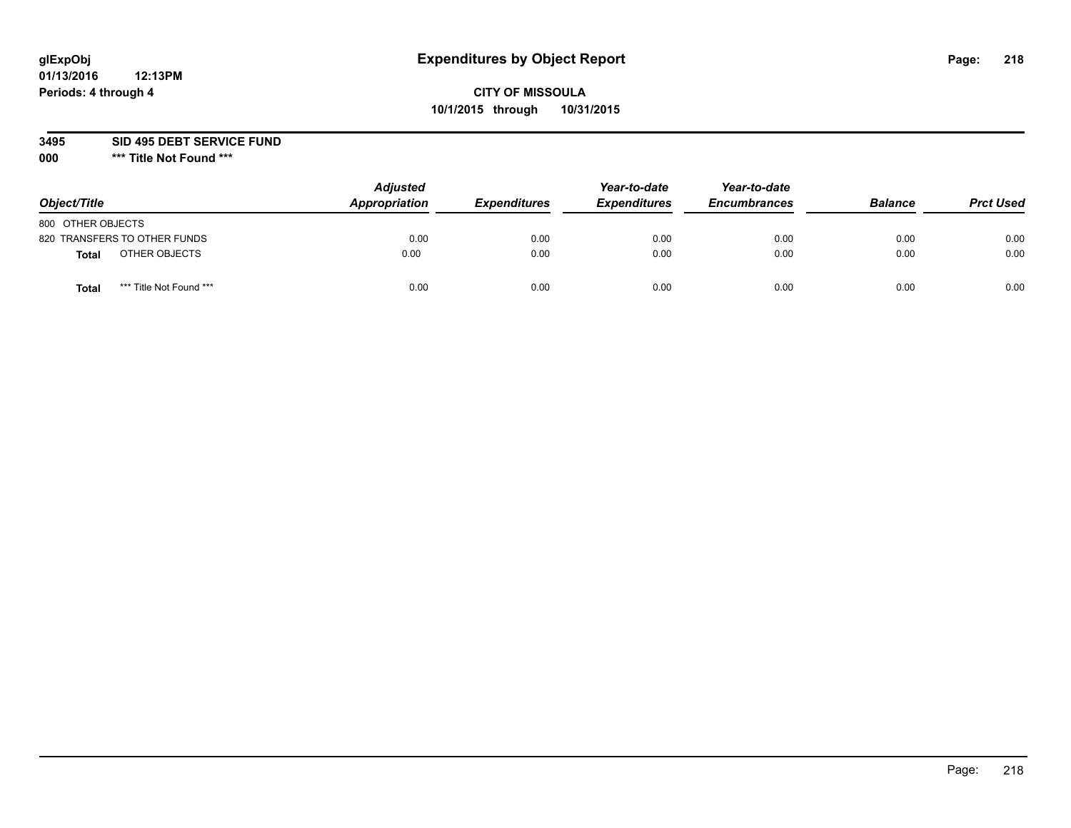## **CITY OF MISSOULA 10/1/2015 through 10/31/2015**

**3495 SID 495 DEBT SERVICE FUND**

| Object/Title                            | <b>Adjusted</b><br>Appropriation | <b>Expenditures</b> | Year-to-date<br><b>Expenditures</b> | Year-to-date<br><b>Encumbrances</b> | <b>Balance</b> | <b>Prct Used</b> |
|-----------------------------------------|----------------------------------|---------------------|-------------------------------------|-------------------------------------|----------------|------------------|
| 800 OTHER OBJECTS                       |                                  |                     |                                     |                                     |                |                  |
| 820 TRANSFERS TO OTHER FUNDS            | 0.00                             | 0.00                | 0.00                                | 0.00                                | 0.00           | 0.00             |
| OTHER OBJECTS<br><b>Total</b>           | 0.00                             | 0.00                | 0.00                                | 0.00                                | 0.00           | 0.00             |
| *** Title Not Found ***<br><b>Total</b> | 0.00                             | 0.00                | 0.00                                | 0.00                                | 0.00           | 0.00             |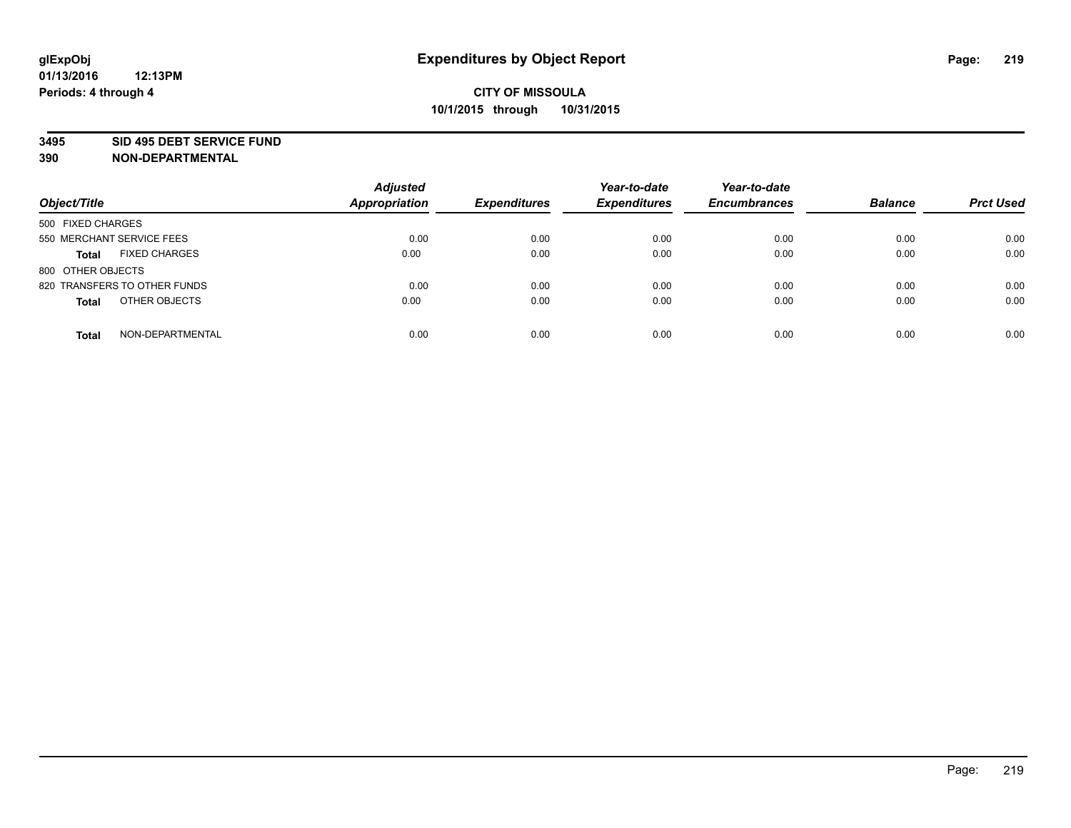#### **3495 SID 495 DEBT SERVICE FUND**

| Object/Title                         | <b>Adjusted</b><br><b>Appropriation</b> | <b>Expenditures</b> | Year-to-date<br><b>Expenditures</b> | Year-to-date<br><b>Encumbrances</b> | <b>Balance</b> | <b>Prct Used</b> |
|--------------------------------------|-----------------------------------------|---------------------|-------------------------------------|-------------------------------------|----------------|------------------|
| 500 FIXED CHARGES                    |                                         |                     |                                     |                                     |                |                  |
| 550 MERCHANT SERVICE FEES            | 0.00                                    | 0.00                | 0.00                                | 0.00                                | 0.00           | 0.00             |
| <b>FIXED CHARGES</b><br><b>Total</b> | 0.00                                    | 0.00                | 0.00                                | 0.00                                | 0.00           | 0.00             |
| 800 OTHER OBJECTS                    |                                         |                     |                                     |                                     |                |                  |
| 820 TRANSFERS TO OTHER FUNDS         | 0.00                                    | 0.00                | 0.00                                | 0.00                                | 0.00           | 0.00             |
| OTHER OBJECTS<br><b>Total</b>        | 0.00                                    | 0.00                | 0.00                                | 0.00                                | 0.00           | 0.00             |
| NON-DEPARTMENTAL<br><b>Total</b>     | 0.00                                    | 0.00                | 0.00                                | 0.00                                | 0.00           | 0.00             |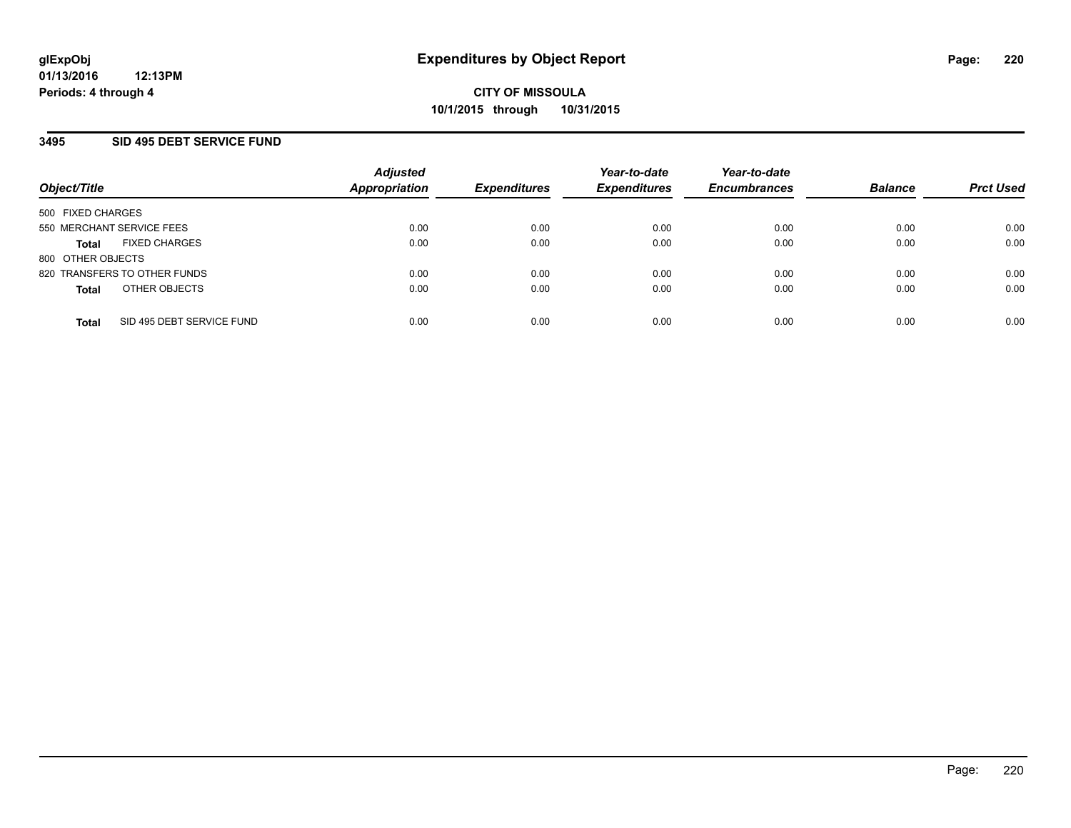### **3495 SID 495 DEBT SERVICE FUND**

| Object/Title                              | <b>Adjusted</b><br><b>Appropriation</b> | <b>Expenditures</b> | Year-to-date<br><b>Expenditures</b> | Year-to-date<br><b>Encumbrances</b> | <b>Balance</b> | <b>Prct Used</b> |
|-------------------------------------------|-----------------------------------------|---------------------|-------------------------------------|-------------------------------------|----------------|------------------|
| 500 FIXED CHARGES                         |                                         |                     |                                     |                                     |                |                  |
| 550 MERCHANT SERVICE FEES                 | 0.00                                    | 0.00                | 0.00                                | 0.00                                | 0.00           | 0.00             |
| <b>FIXED CHARGES</b><br><b>Total</b>      | 0.00                                    | 0.00                | 0.00                                | 0.00                                | 0.00           | 0.00             |
| 800 OTHER OBJECTS                         |                                         |                     |                                     |                                     |                |                  |
| 820 TRANSFERS TO OTHER FUNDS              | 0.00                                    | 0.00                | 0.00                                | 0.00                                | 0.00           | 0.00             |
| OTHER OBJECTS<br><b>Total</b>             | 0.00                                    | 0.00                | 0.00                                | 0.00                                | 0.00           | 0.00             |
| SID 495 DEBT SERVICE FUND<br><b>Total</b> | 0.00                                    | 0.00                | 0.00                                | 0.00                                | 0.00           | 0.00             |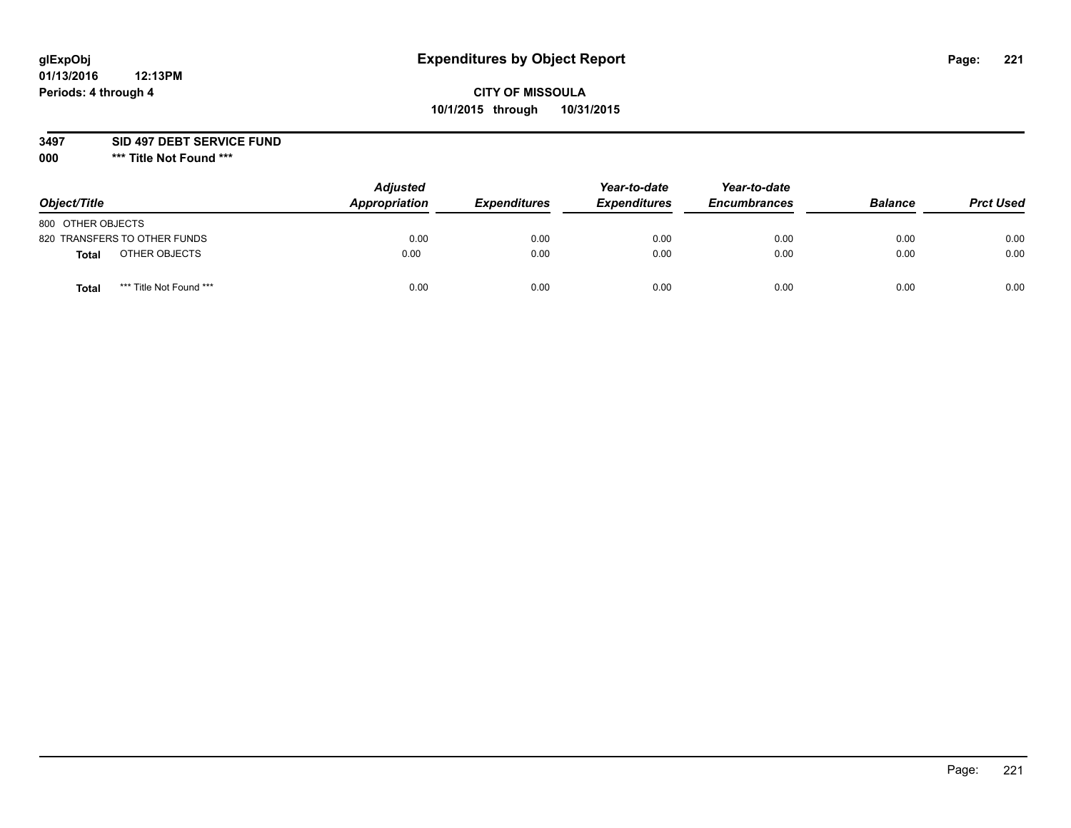## **CITY OF MISSOULA 10/1/2015 through 10/31/2015**

### **3497 SID 497 DEBT SERVICE FUND**

| Object/Title                            | <b>Adjusted</b><br>Appropriation | <b>Expenditures</b> | Year-to-date<br><b>Expenditures</b> | Year-to-date<br><b>Encumbrances</b> | <b>Balance</b> | <b>Prct Used</b> |
|-----------------------------------------|----------------------------------|---------------------|-------------------------------------|-------------------------------------|----------------|------------------|
| 800 OTHER OBJECTS                       |                                  |                     |                                     |                                     |                |                  |
| 820 TRANSFERS TO OTHER FUNDS            | 0.00                             | 0.00                | 0.00                                | 0.00                                | 0.00           | 0.00             |
| OTHER OBJECTS<br>Total                  | 0.00                             | 0.00                | 0.00                                | 0.00                                | 0.00           | 0.00             |
| *** Title Not Found ***<br><b>Total</b> | 0.00                             | 0.00                | 0.00                                | 0.00                                | 0.00           | 0.00             |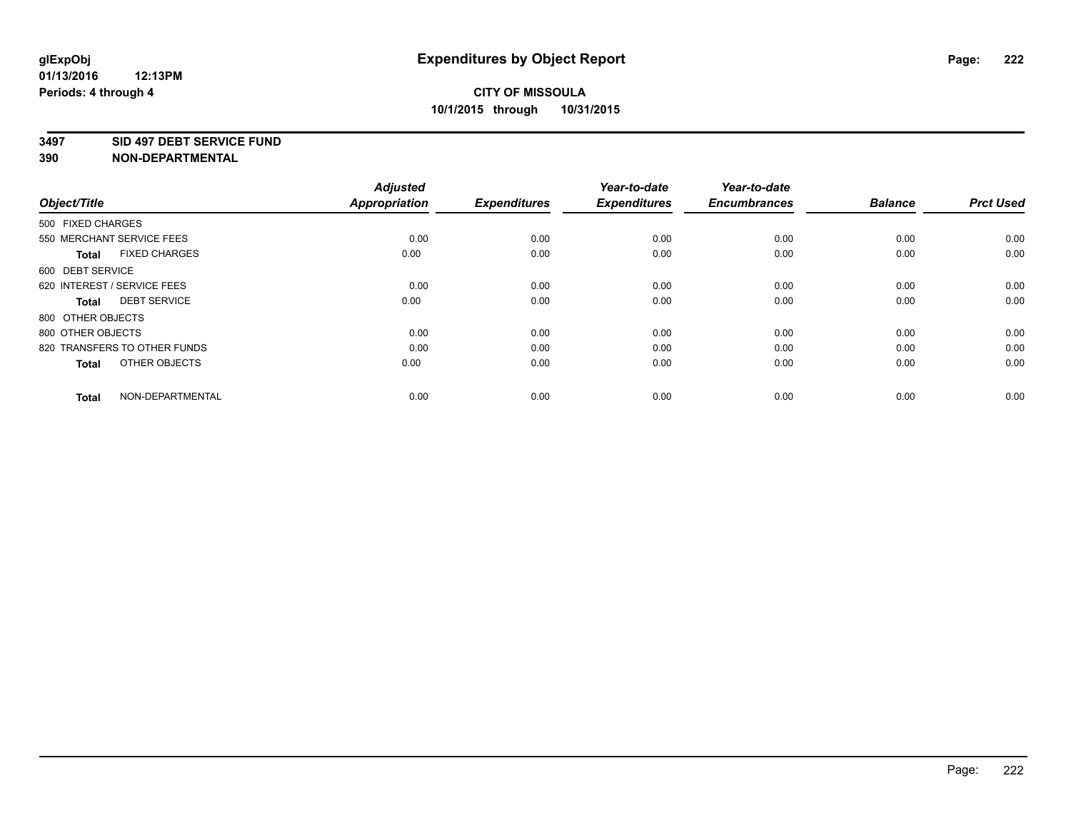#### **3497 SID 497 DEBT SERVICE FUND**

| Object/Title                         | <b>Adjusted</b><br><b>Appropriation</b> | <b>Expenditures</b> | Year-to-date<br><b>Expenditures</b> | Year-to-date<br><b>Encumbrances</b> | <b>Balance</b> | <b>Prct Used</b> |
|--------------------------------------|-----------------------------------------|---------------------|-------------------------------------|-------------------------------------|----------------|------------------|
| 500 FIXED CHARGES                    |                                         |                     |                                     |                                     |                |                  |
| 550 MERCHANT SERVICE FEES            | 0.00                                    | 0.00                | 0.00                                | 0.00                                | 0.00           | 0.00             |
| <b>FIXED CHARGES</b><br><b>Total</b> | 0.00                                    | 0.00                | 0.00                                | 0.00                                | 0.00           | 0.00             |
| 600 DEBT SERVICE                     |                                         |                     |                                     |                                     |                |                  |
| 620 INTEREST / SERVICE FEES          | 0.00                                    | 0.00                | 0.00                                | 0.00                                | 0.00           | 0.00             |
| <b>DEBT SERVICE</b><br><b>Total</b>  | 0.00                                    | 0.00                | 0.00                                | 0.00                                | 0.00           | 0.00             |
| 800 OTHER OBJECTS                    |                                         |                     |                                     |                                     |                |                  |
| 800 OTHER OBJECTS                    | 0.00                                    | 0.00                | 0.00                                | 0.00                                | 0.00           | 0.00             |
| 820 TRANSFERS TO OTHER FUNDS         | 0.00                                    | 0.00                | 0.00                                | 0.00                                | 0.00           | 0.00             |
| OTHER OBJECTS<br><b>Total</b>        | 0.00                                    | 0.00                | 0.00                                | 0.00                                | 0.00           | 0.00             |
|                                      |                                         |                     |                                     |                                     |                |                  |
| NON-DEPARTMENTAL<br><b>Total</b>     | 0.00                                    | 0.00                | 0.00                                | 0.00                                | 0.00           | 0.00             |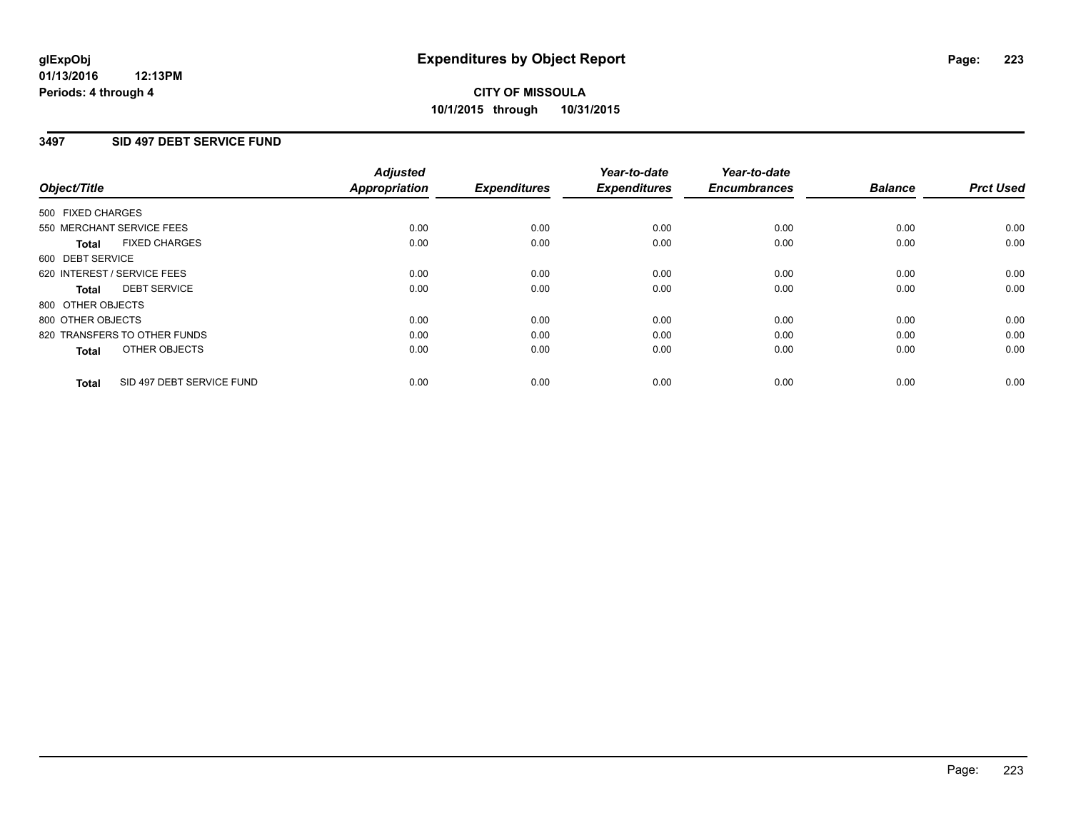### **3497 SID 497 DEBT SERVICE FUND**

|                                           | <b>Adjusted</b>      | <b>Expenditures</b> | Year-to-date<br><b>Expenditures</b> | Year-to-date<br><b>Encumbrances</b> | <b>Balance</b> | <b>Prct Used</b> |
|-------------------------------------------|----------------------|---------------------|-------------------------------------|-------------------------------------|----------------|------------------|
| Object/Title                              | <b>Appropriation</b> |                     |                                     |                                     |                |                  |
| 500 FIXED CHARGES                         |                      |                     |                                     |                                     |                |                  |
| 550 MERCHANT SERVICE FEES                 | 0.00                 | 0.00                | 0.00                                | 0.00                                | 0.00           | 0.00             |
| <b>FIXED CHARGES</b><br>Total             | 0.00                 | 0.00                | 0.00                                | 0.00                                | 0.00           | 0.00             |
| 600 DEBT SERVICE                          |                      |                     |                                     |                                     |                |                  |
| 620 INTEREST / SERVICE FEES               | 0.00                 | 0.00                | 0.00                                | 0.00                                | 0.00           | 0.00             |
| <b>DEBT SERVICE</b><br>Total              | 0.00                 | 0.00                | 0.00                                | 0.00                                | 0.00           | 0.00             |
| 800 OTHER OBJECTS                         |                      |                     |                                     |                                     |                |                  |
| 800 OTHER OBJECTS                         | 0.00                 | 0.00                | 0.00                                | 0.00                                | 0.00           | 0.00             |
| 820 TRANSFERS TO OTHER FUNDS              | 0.00                 | 0.00                | 0.00                                | 0.00                                | 0.00           | 0.00             |
| OTHER OBJECTS<br><b>Total</b>             | 0.00                 | 0.00                | 0.00                                | 0.00                                | 0.00           | 0.00             |
|                                           |                      |                     |                                     |                                     |                |                  |
| SID 497 DEBT SERVICE FUND<br><b>Total</b> | 0.00                 | 0.00                | 0.00                                | 0.00                                | 0.00           | 0.00             |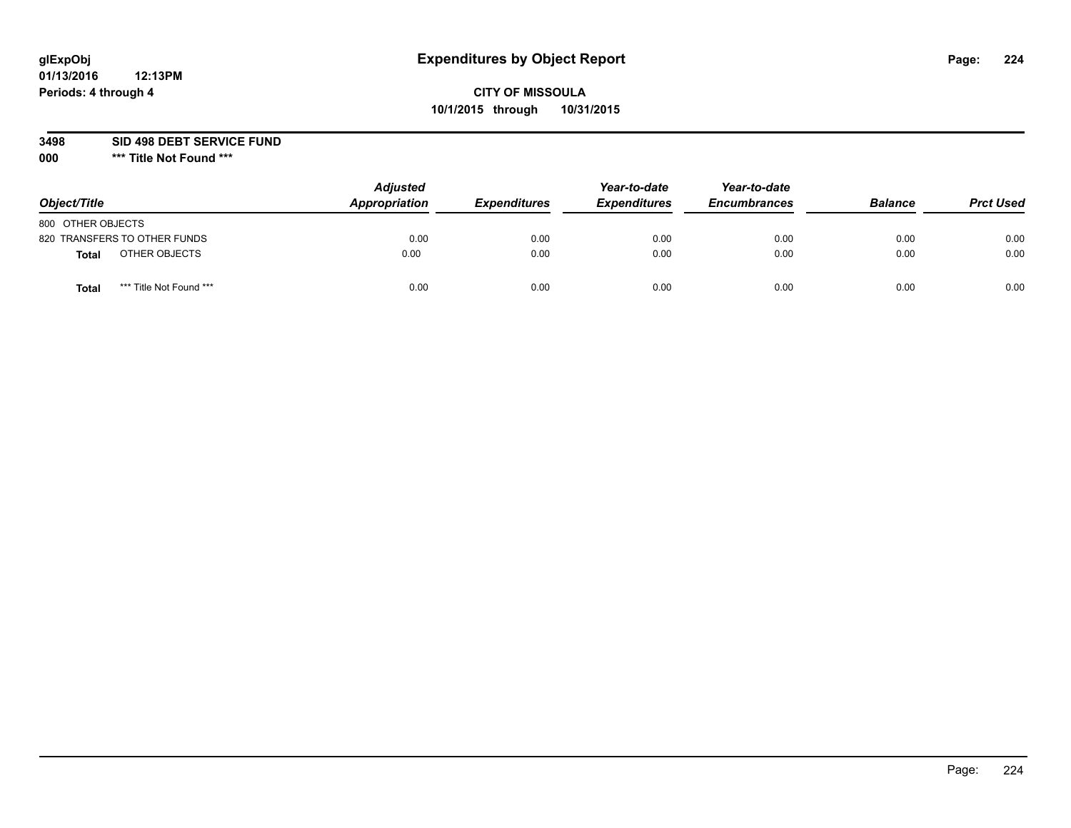## **CITY OF MISSOULA 10/1/2015 through 10/31/2015**

**3498 SID 498 DEBT SERVICE FUND**

| Object/Title      |                              | <b>Adjusted</b><br>Appropriation | <b>Expenditures</b> | Year-to-date<br><b>Expenditures</b> | Year-to-date<br><b>Encumbrances</b> | <b>Balance</b> | <b>Prct Used</b> |
|-------------------|------------------------------|----------------------------------|---------------------|-------------------------------------|-------------------------------------|----------------|------------------|
| 800 OTHER OBJECTS |                              |                                  |                     |                                     |                                     |                |                  |
|                   | 820 TRANSFERS TO OTHER FUNDS | 0.00                             | 0.00                | 0.00                                | 0.00                                | 0.00           | 0.00             |
| Total             | OTHER OBJECTS                | 0.00                             | 0.00                | 0.00                                | 0.00                                | 0.00           | 0.00             |
| Tota              | *** Title Not Found ***      | 0.00                             | 0.00                | 0.00                                | 0.00                                | 0.00           | 0.00             |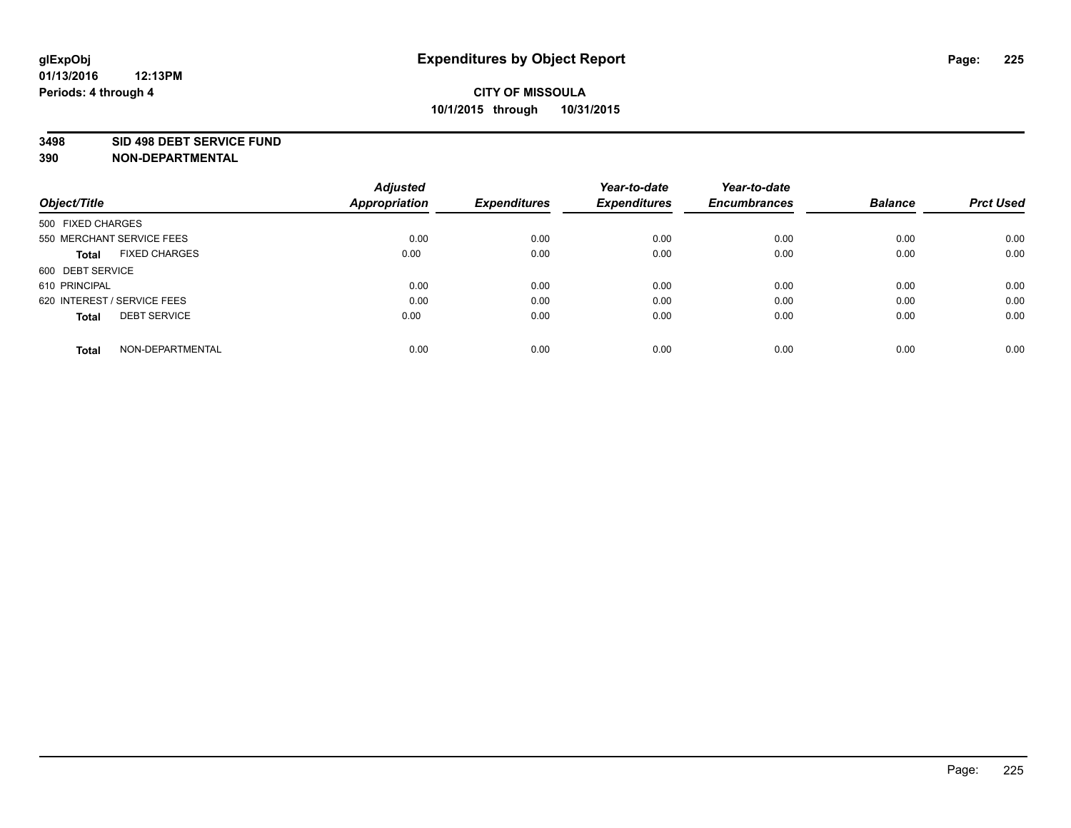#### **3498 SID 498 DEBT SERVICE FUND**

| Object/Title                         | <b>Adjusted</b><br><b>Appropriation</b> | <b>Expenditures</b> | Year-to-date<br><b>Expenditures</b> | Year-to-date<br><b>Encumbrances</b> | <b>Balance</b> | <b>Prct Used</b> |
|--------------------------------------|-----------------------------------------|---------------------|-------------------------------------|-------------------------------------|----------------|------------------|
|                                      |                                         |                     |                                     |                                     |                |                  |
| 500 FIXED CHARGES                    |                                         |                     |                                     |                                     |                |                  |
| 550 MERCHANT SERVICE FEES            | 0.00                                    | 0.00                | 0.00                                | 0.00                                | 0.00           | 0.00             |
| <b>FIXED CHARGES</b><br><b>Total</b> | 0.00                                    | 0.00                | 0.00                                | 0.00                                | 0.00           | 0.00             |
| 600 DEBT SERVICE                     |                                         |                     |                                     |                                     |                |                  |
| 610 PRINCIPAL                        | 0.00                                    | 0.00                | 0.00                                | 0.00                                | 0.00           | 0.00             |
| 620 INTEREST / SERVICE FEES          | 0.00                                    | 0.00                | 0.00                                | 0.00                                | 0.00           | 0.00             |
| <b>DEBT SERVICE</b><br>Total         | 0.00                                    | 0.00                | 0.00                                | 0.00                                | 0.00           | 0.00             |
|                                      |                                         |                     |                                     |                                     |                |                  |
| NON-DEPARTMENTAL<br><b>Total</b>     | 0.00                                    | 0.00                | 0.00                                | 0.00                                | 0.00           | 0.00             |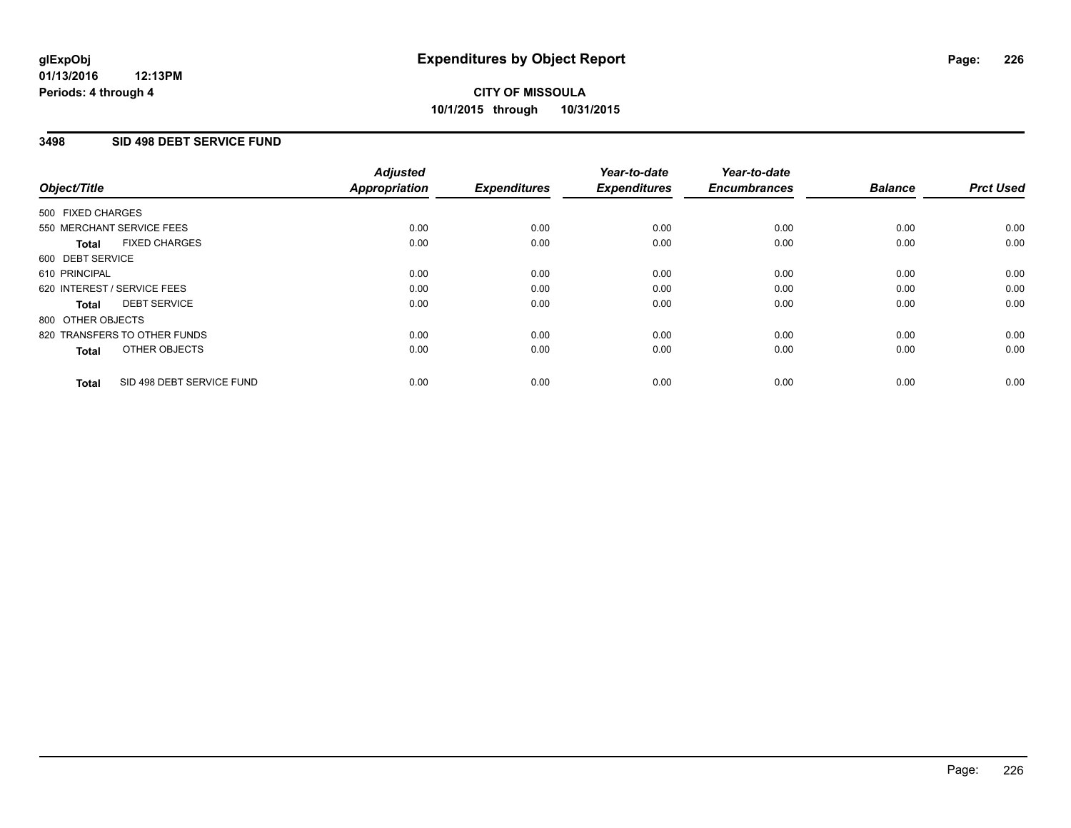### **3498 SID 498 DEBT SERVICE FUND**

| Object/Title      |                              | <b>Adjusted</b><br>Appropriation | <b>Expenditures</b> | Year-to-date<br><b>Expenditures</b> | Year-to-date<br><b>Encumbrances</b> | <b>Balance</b> | <b>Prct Used</b> |
|-------------------|------------------------------|----------------------------------|---------------------|-------------------------------------|-------------------------------------|----------------|------------------|
| 500 FIXED CHARGES |                              |                                  |                     |                                     |                                     |                |                  |
|                   | 550 MERCHANT SERVICE FEES    | 0.00                             | 0.00                | 0.00                                | 0.00                                | 0.00           | 0.00             |
| <b>Total</b>      | <b>FIXED CHARGES</b>         | 0.00                             | 0.00                | 0.00                                | 0.00                                | 0.00           | 0.00             |
| 600 DEBT SERVICE  |                              |                                  |                     |                                     |                                     |                |                  |
| 610 PRINCIPAL     |                              | 0.00                             | 0.00                | 0.00                                | 0.00                                | 0.00           | 0.00             |
|                   | 620 INTEREST / SERVICE FEES  | 0.00                             | 0.00                | 0.00                                | 0.00                                | 0.00           | 0.00             |
| Total             | <b>DEBT SERVICE</b>          | 0.00                             | 0.00                | 0.00                                | 0.00                                | 0.00           | 0.00             |
| 800 OTHER OBJECTS |                              |                                  |                     |                                     |                                     |                |                  |
|                   | 820 TRANSFERS TO OTHER FUNDS | 0.00                             | 0.00                | 0.00                                | 0.00                                | 0.00           | 0.00             |
| <b>Total</b>      | OTHER OBJECTS                | 0.00                             | 0.00                | 0.00                                | 0.00                                | 0.00           | 0.00             |
| <b>Total</b>      | SID 498 DEBT SERVICE FUND    | 0.00                             | 0.00                | 0.00                                | 0.00                                | 0.00           | 0.00             |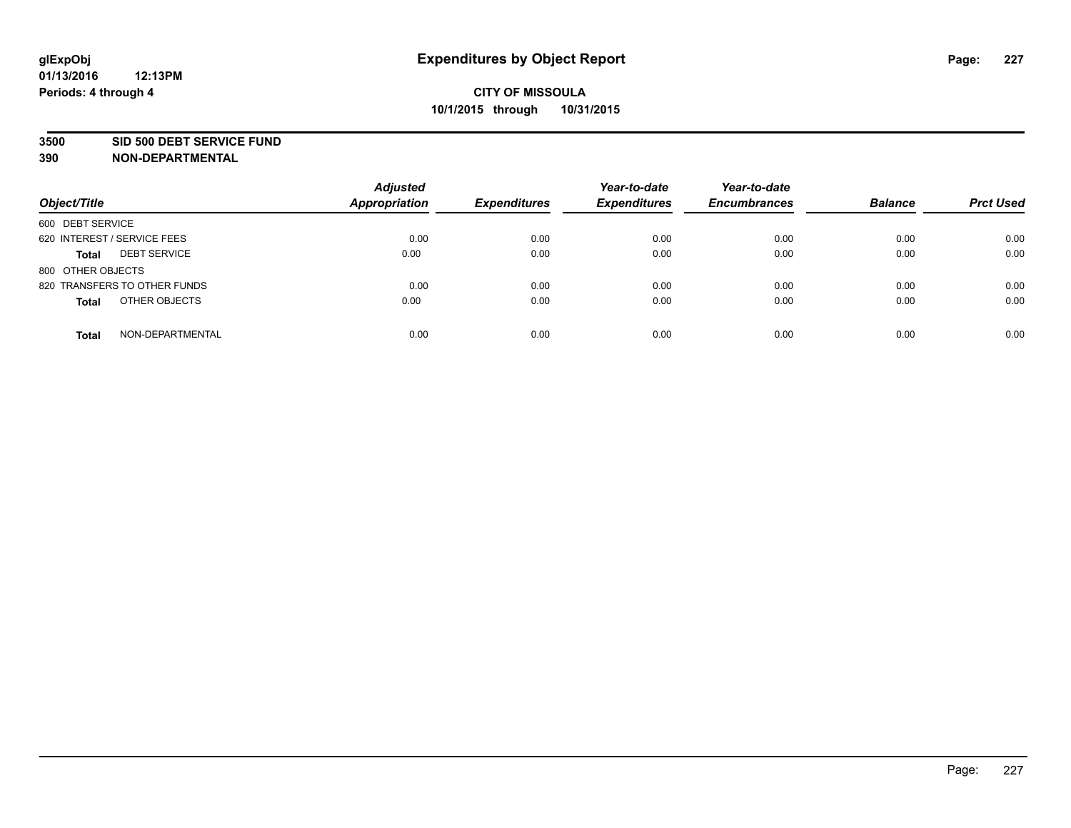#### **3500 SID 500 DEBT SERVICE FUND**

| Object/Title                        | <b>Adjusted</b><br><b>Appropriation</b> | <b>Expenditures</b> | Year-to-date<br><b>Expenditures</b> | Year-to-date<br><b>Encumbrances</b> | <b>Balance</b> | <b>Prct Used</b> |
|-------------------------------------|-----------------------------------------|---------------------|-------------------------------------|-------------------------------------|----------------|------------------|
| 600 DEBT SERVICE                    |                                         |                     |                                     |                                     |                |                  |
| 620 INTEREST / SERVICE FEES         | 0.00                                    | 0.00                | 0.00                                | 0.00                                | 0.00           | 0.00             |
| <b>DEBT SERVICE</b><br><b>Total</b> | 0.00                                    | 0.00                | 0.00                                | 0.00                                | 0.00           | 0.00             |
| 800 OTHER OBJECTS                   |                                         |                     |                                     |                                     |                |                  |
| 820 TRANSFERS TO OTHER FUNDS        | 0.00                                    | 0.00                | 0.00                                | 0.00                                | 0.00           | 0.00             |
| OTHER OBJECTS<br><b>Total</b>       | 0.00                                    | 0.00                | 0.00                                | 0.00                                | 0.00           | 0.00             |
| NON-DEPARTMENTAL<br><b>Total</b>    | 0.00                                    | 0.00                | 0.00                                | 0.00                                | 0.00           | 0.00             |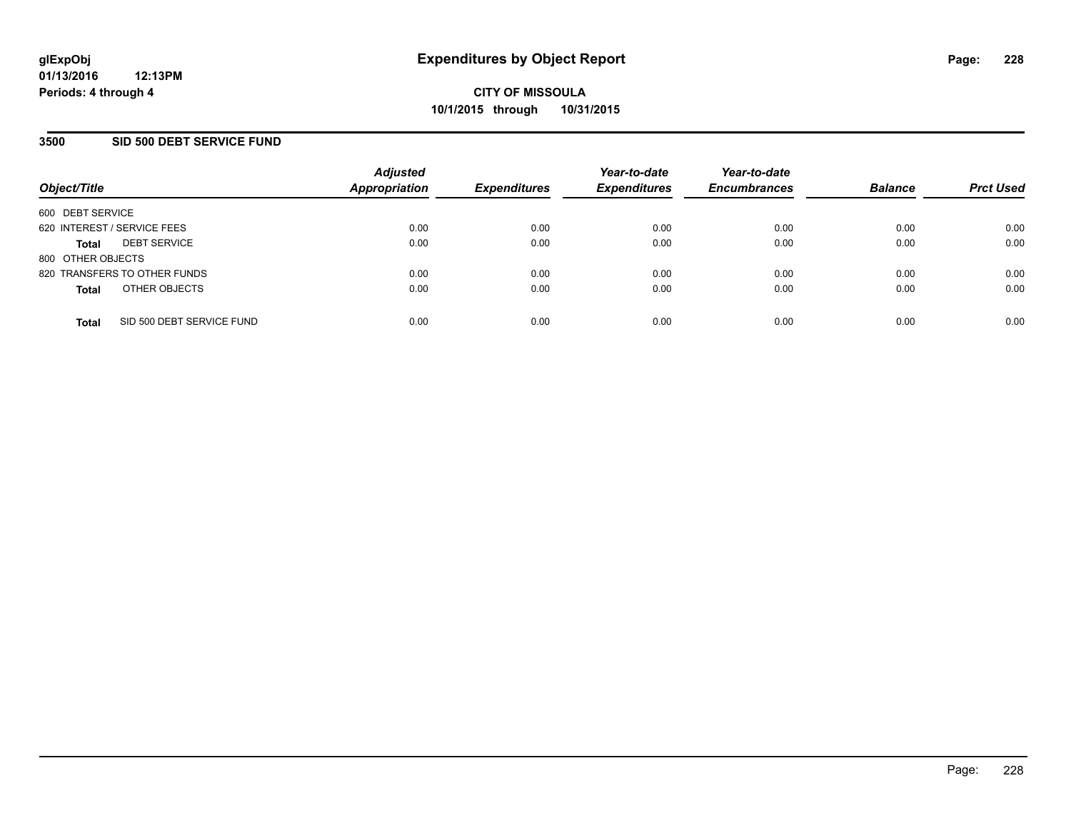### **3500 SID 500 DEBT SERVICE FUND**

| Object/Title                |                              | <b>Adjusted</b><br><b>Appropriation</b> | <b>Expenditures</b> | Year-to-date<br><b>Expenditures</b> | Year-to-date<br><b>Encumbrances</b> | <b>Balance</b> | <b>Prct Used</b> |
|-----------------------------|------------------------------|-----------------------------------------|---------------------|-------------------------------------|-------------------------------------|----------------|------------------|
| 600 DEBT SERVICE            |                              |                                         |                     |                                     |                                     |                |                  |
| 620 INTEREST / SERVICE FEES |                              | 0.00                                    | 0.00                | 0.00                                | 0.00                                | 0.00           | 0.00             |
| <b>Total</b>                | <b>DEBT SERVICE</b>          | 0.00                                    | 0.00                | 0.00                                | 0.00                                | 0.00           | 0.00             |
| 800 OTHER OBJECTS           |                              |                                         |                     |                                     |                                     |                |                  |
|                             | 820 TRANSFERS TO OTHER FUNDS | 0.00                                    | 0.00                | 0.00                                | 0.00                                | 0.00           | 0.00             |
| <b>Total</b>                | OTHER OBJECTS                | 0.00                                    | 0.00                | 0.00                                | 0.00                                | 0.00           | 0.00             |
| <b>Total</b>                | SID 500 DEBT SERVICE FUND    | 0.00                                    | 0.00                | 0.00                                | 0.00                                | 0.00           | 0.00             |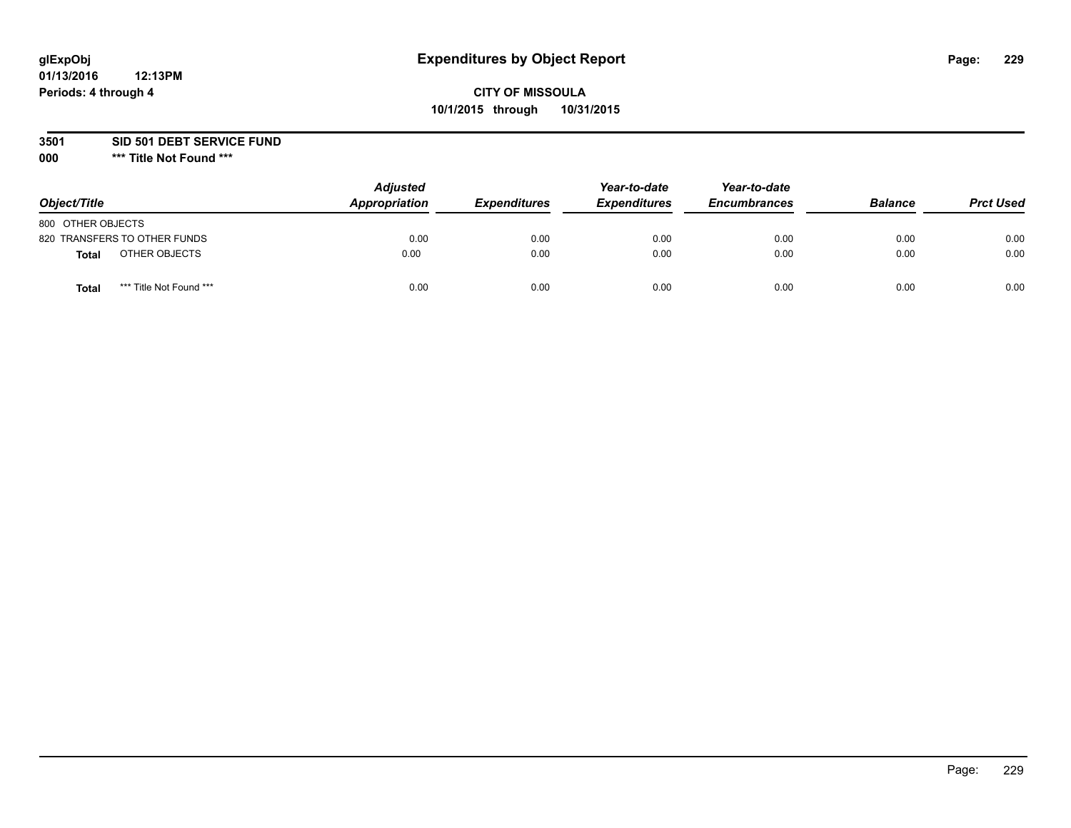## **CITY OF MISSOULA 10/1/2015 through 10/31/2015**

**3501 SID 501 DEBT SERVICE FUND**

| Object/Title                            | <b>Adjusted</b><br>Appropriation | <b>Expenditures</b> | Year-to-date<br><b>Expenditures</b> | Year-to-date<br><b>Encumbrances</b> | <b>Balance</b> | <b>Prct Used</b> |
|-----------------------------------------|----------------------------------|---------------------|-------------------------------------|-------------------------------------|----------------|------------------|
| 800 OTHER OBJECTS                       |                                  |                     |                                     |                                     |                |                  |
| 820 TRANSFERS TO OTHER FUNDS            | 0.00                             | 0.00                | 0.00                                | 0.00                                | 0.00           | 0.00             |
| OTHER OBJECTS<br><b>Total</b>           | 0.00                             | 0.00                | 0.00                                | 0.00                                | 0.00           | 0.00             |
| *** Title Not Found ***<br><b>Total</b> | 0.00                             | 0.00                | 0.00                                | 0.00                                | 0.00           | 0.00             |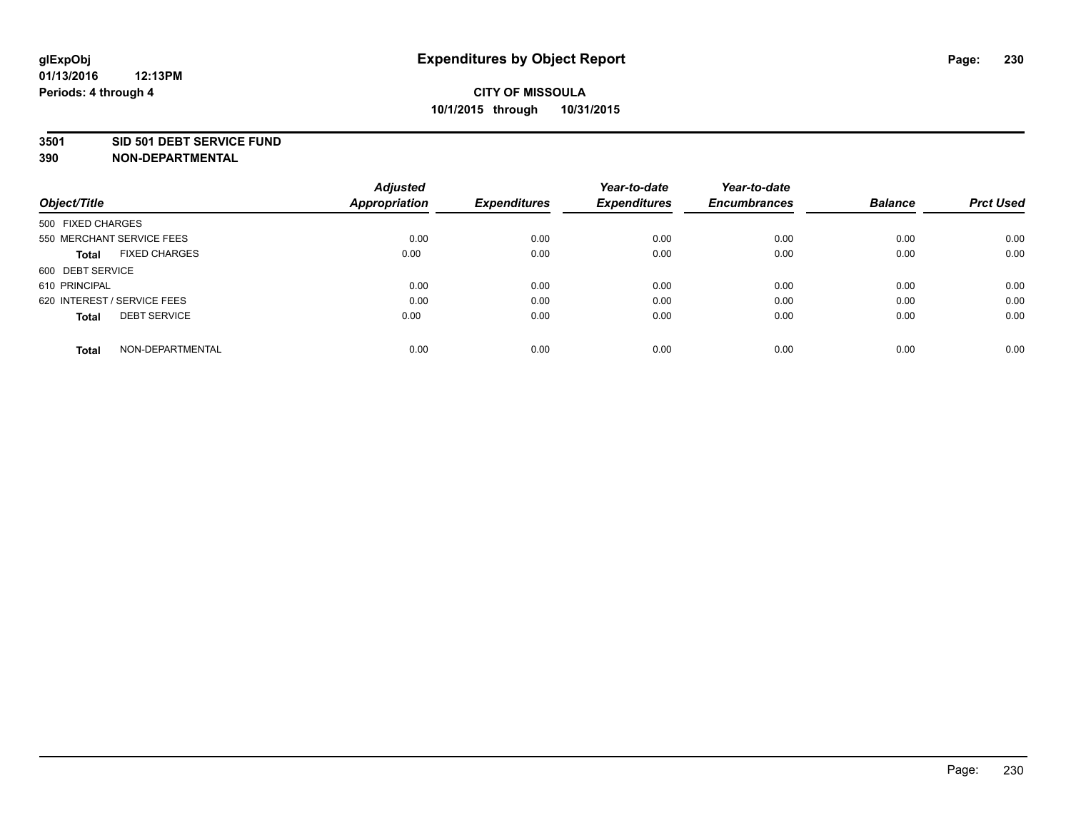#### **3501 SID 501 DEBT SERVICE FUND**

| Object/Title                         | <b>Adjusted</b><br><b>Appropriation</b> | <b>Expenditures</b> | Year-to-date<br><b>Expenditures</b> | Year-to-date<br><b>Encumbrances</b> | <b>Balance</b> | <b>Prct Used</b> |
|--------------------------------------|-----------------------------------------|---------------------|-------------------------------------|-------------------------------------|----------------|------------------|
|                                      |                                         |                     |                                     |                                     |                |                  |
| 500 FIXED CHARGES                    |                                         |                     |                                     |                                     |                |                  |
| 550 MERCHANT SERVICE FEES            | 0.00                                    | 0.00                | 0.00                                | 0.00                                | 0.00           | 0.00             |
| <b>FIXED CHARGES</b><br><b>Total</b> | 0.00                                    | 0.00                | 0.00                                | 0.00                                | 0.00           | 0.00             |
| 600 DEBT SERVICE                     |                                         |                     |                                     |                                     |                |                  |
| 610 PRINCIPAL                        | 0.00                                    | 0.00                | 0.00                                | 0.00                                | 0.00           | 0.00             |
| 620 INTEREST / SERVICE FEES          | 0.00                                    | 0.00                | 0.00                                | 0.00                                | 0.00           | 0.00             |
| <b>DEBT SERVICE</b><br>Total         | 0.00                                    | 0.00                | 0.00                                | 0.00                                | 0.00           | 0.00             |
|                                      |                                         |                     |                                     |                                     |                |                  |
| NON-DEPARTMENTAL<br><b>Total</b>     | 0.00                                    | 0.00                | 0.00                                | 0.00                                | 0.00           | 0.00             |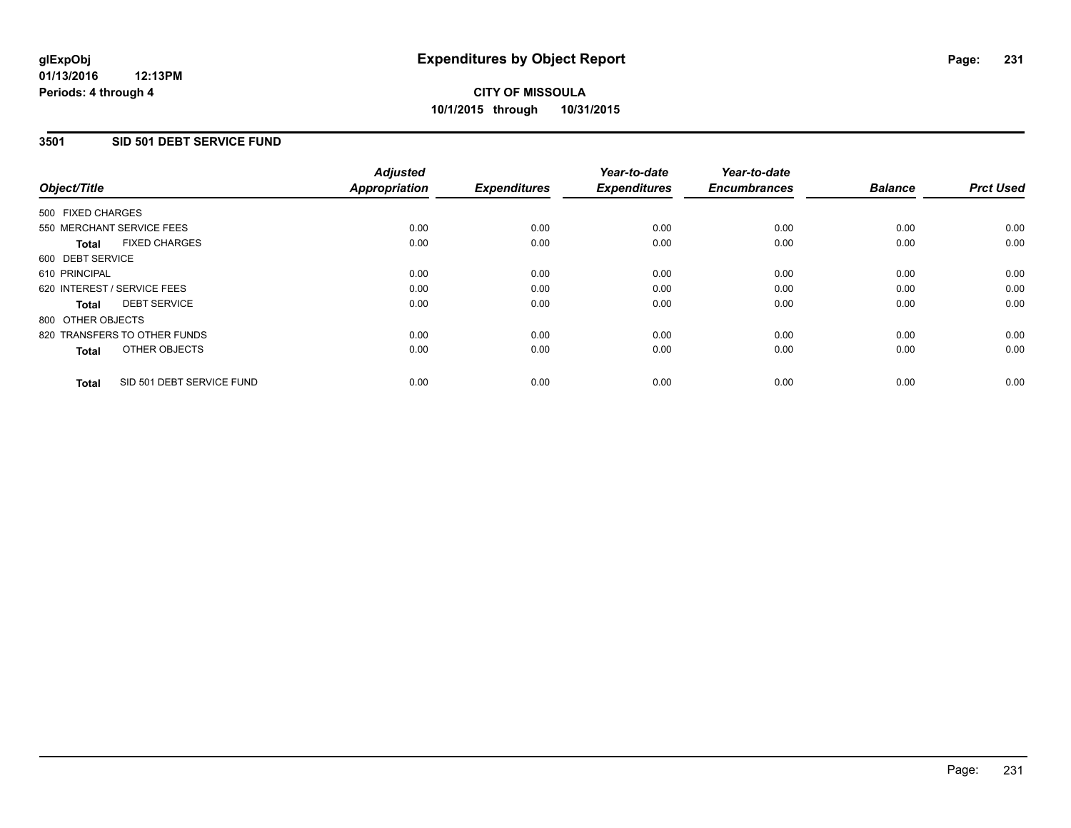### **3501 SID 501 DEBT SERVICE FUND**

| Object/Title                              | <b>Adjusted</b><br><b>Appropriation</b> | <b>Expenditures</b> | Year-to-date<br><b>Expenditures</b> | Year-to-date<br><b>Encumbrances</b> | <b>Balance</b> | <b>Prct Used</b> |
|-------------------------------------------|-----------------------------------------|---------------------|-------------------------------------|-------------------------------------|----------------|------------------|
| 500 FIXED CHARGES                         |                                         |                     |                                     |                                     |                |                  |
| 550 MERCHANT SERVICE FEES                 | 0.00                                    | 0.00                | 0.00                                | 0.00                                | 0.00           | 0.00             |
| <b>FIXED CHARGES</b><br>Total             | 0.00                                    | 0.00                | 0.00                                | 0.00                                | 0.00           | 0.00             |
| 600 DEBT SERVICE                          |                                         |                     |                                     |                                     |                |                  |
| 610 PRINCIPAL                             | 0.00                                    | 0.00                | 0.00                                | 0.00                                | 0.00           | 0.00             |
| 620 INTEREST / SERVICE FEES               | 0.00                                    | 0.00                | 0.00                                | 0.00                                | 0.00           | 0.00             |
| <b>DEBT SERVICE</b><br>Total              | 0.00                                    | 0.00                | 0.00                                | 0.00                                | 0.00           | 0.00             |
| 800 OTHER OBJECTS                         |                                         |                     |                                     |                                     |                |                  |
| 820 TRANSFERS TO OTHER FUNDS              | 0.00                                    | 0.00                | 0.00                                | 0.00                                | 0.00           | 0.00             |
| OTHER OBJECTS<br><b>Total</b>             | 0.00                                    | 0.00                | 0.00                                | 0.00                                | 0.00           | 0.00             |
| SID 501 DEBT SERVICE FUND<br><b>Total</b> | 0.00                                    | 0.00                | 0.00                                | 0.00                                | 0.00           | 0.00             |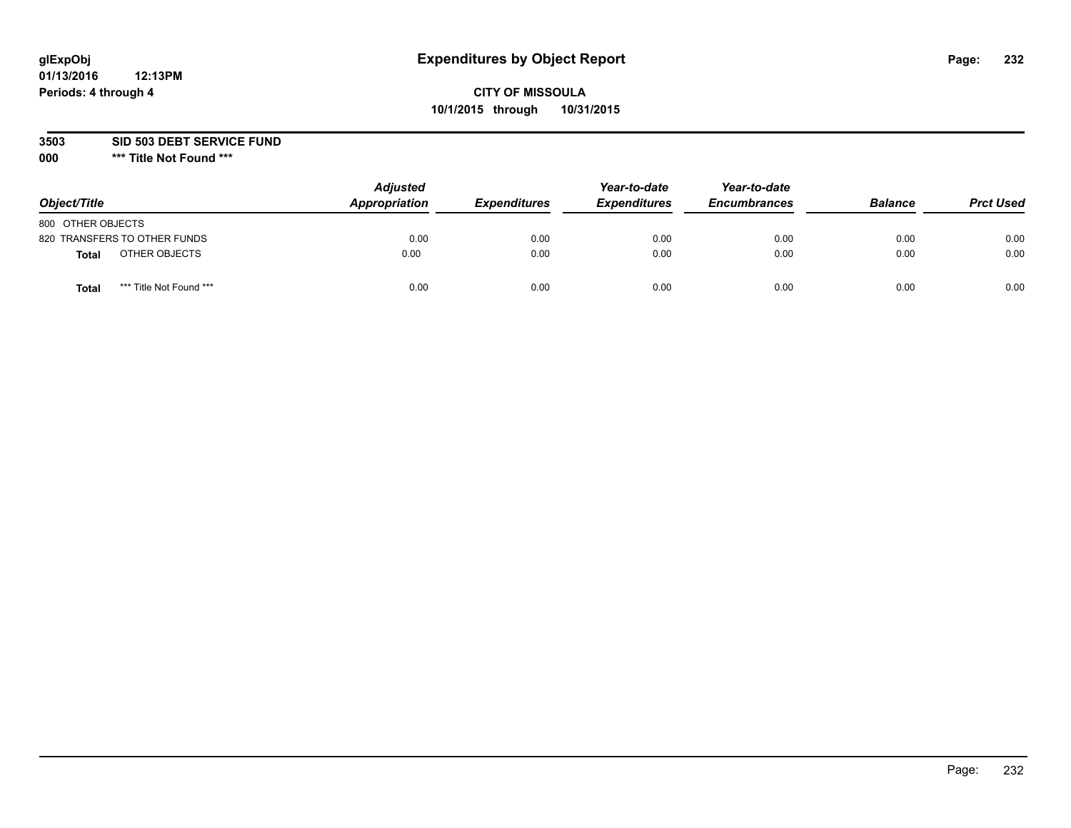## **CITY OF MISSOULA 10/1/2015 through 10/31/2015**

**3503 SID 503 DEBT SERVICE FUND**

| Object/Title                            | <b>Adjusted</b><br>Appropriation | <b>Expenditures</b> | Year-to-date<br><b>Expenditures</b> | Year-to-date<br><b>Encumbrances</b> | <b>Balance</b> | <b>Prct Used</b> |
|-----------------------------------------|----------------------------------|---------------------|-------------------------------------|-------------------------------------|----------------|------------------|
| 800 OTHER OBJECTS                       |                                  |                     |                                     |                                     |                |                  |
| 820 TRANSFERS TO OTHER FUNDS            | 0.00                             | 0.00                | 0.00                                | 0.00                                | 0.00           | 0.00             |
| OTHER OBJECTS<br><b>Total</b>           | 0.00                             | 0.00                | 0.00                                | 0.00                                | 0.00           | 0.00             |
| *** Title Not Found ***<br><b>Total</b> | 0.00                             | 0.00                | 0.00                                | 0.00                                | 0.00           | 0.00             |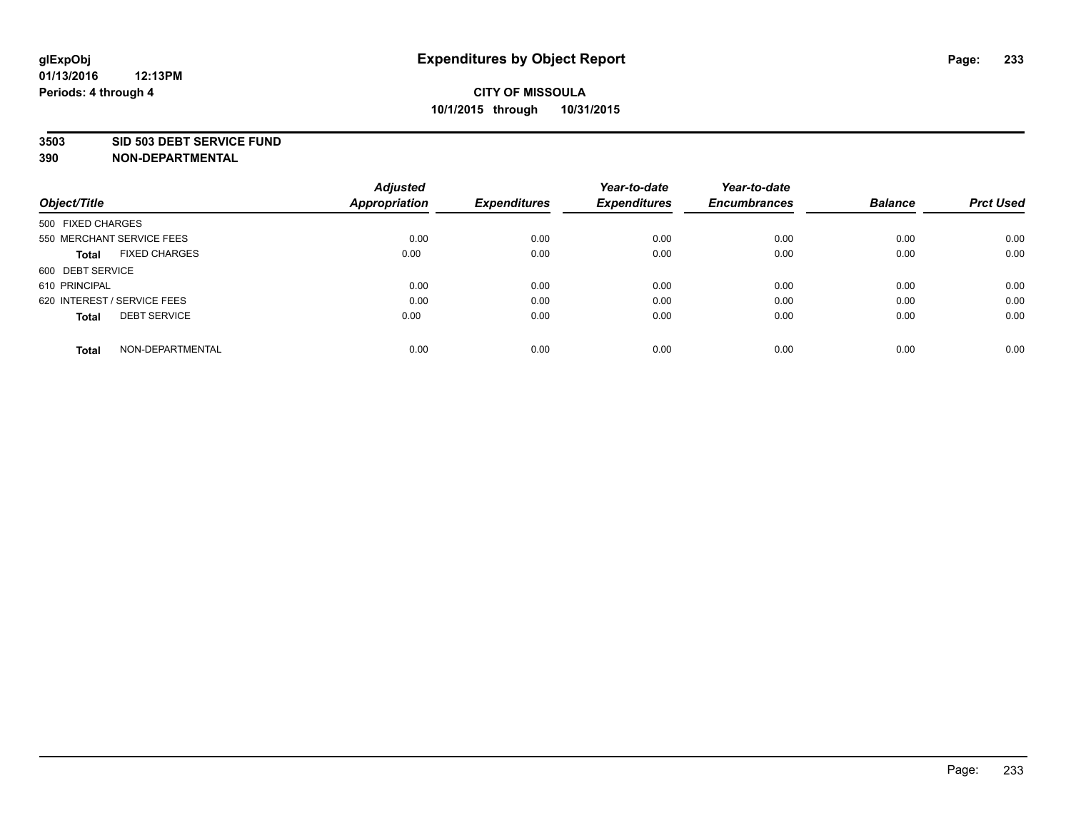#### **3503 SID 503 DEBT SERVICE FUND**

| Object/Title                         | <b>Adjusted</b><br><b>Appropriation</b> | <b>Expenditures</b> | Year-to-date<br><b>Expenditures</b> | Year-to-date<br><b>Encumbrances</b> | <b>Balance</b> | <b>Prct Used</b> |
|--------------------------------------|-----------------------------------------|---------------------|-------------------------------------|-------------------------------------|----------------|------------------|
|                                      |                                         |                     |                                     |                                     |                |                  |
| 500 FIXED CHARGES                    |                                         |                     |                                     |                                     |                |                  |
| 550 MERCHANT SERVICE FEES            | 0.00                                    | 0.00                | 0.00                                | 0.00                                | 0.00           | 0.00             |
| <b>FIXED CHARGES</b><br><b>Total</b> | 0.00                                    | 0.00                | 0.00                                | 0.00                                | 0.00           | 0.00             |
| 600 DEBT SERVICE                     |                                         |                     |                                     |                                     |                |                  |
| 610 PRINCIPAL                        | 0.00                                    | 0.00                | 0.00                                | 0.00                                | 0.00           | 0.00             |
| 620 INTEREST / SERVICE FEES          | 0.00                                    | 0.00                | 0.00                                | 0.00                                | 0.00           | 0.00             |
| <b>DEBT SERVICE</b><br>Total         | 0.00                                    | 0.00                | 0.00                                | 0.00                                | 0.00           | 0.00             |
|                                      |                                         |                     |                                     |                                     |                |                  |
| NON-DEPARTMENTAL<br><b>Total</b>     | 0.00                                    | 0.00                | 0.00                                | 0.00                                | 0.00           | 0.00             |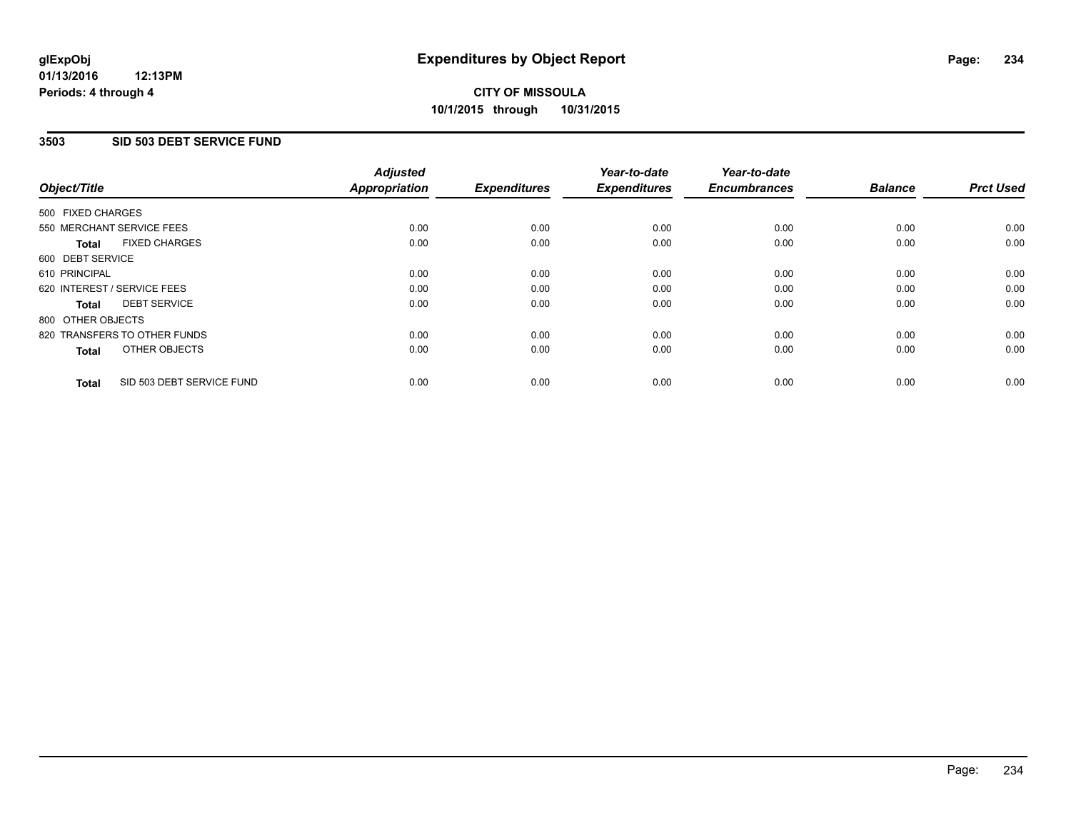### **3503 SID 503 DEBT SERVICE FUND**

| Object/Title                              | <b>Adjusted</b><br><b>Appropriation</b> | <b>Expenditures</b> | Year-to-date<br><b>Expenditures</b> | Year-to-date<br><b>Encumbrances</b> | <b>Balance</b> | <b>Prct Used</b> |
|-------------------------------------------|-----------------------------------------|---------------------|-------------------------------------|-------------------------------------|----------------|------------------|
|                                           |                                         |                     |                                     |                                     |                |                  |
| 500 FIXED CHARGES                         |                                         |                     |                                     |                                     |                |                  |
| 550 MERCHANT SERVICE FEES                 | 0.00                                    | 0.00                | 0.00                                | 0.00                                | 0.00           | 0.00             |
| <b>FIXED CHARGES</b><br>Total             | 0.00                                    | 0.00                | 0.00                                | 0.00                                | 0.00           | 0.00             |
| 600 DEBT SERVICE                          |                                         |                     |                                     |                                     |                |                  |
| 610 PRINCIPAL                             | 0.00                                    | 0.00                | 0.00                                | 0.00                                | 0.00           | 0.00             |
| 620 INTEREST / SERVICE FEES               | 0.00                                    | 0.00                | 0.00                                | 0.00                                | 0.00           | 0.00             |
| <b>DEBT SERVICE</b><br><b>Total</b>       | 0.00                                    | 0.00                | 0.00                                | 0.00                                | 0.00           | 0.00             |
| 800 OTHER OBJECTS                         |                                         |                     |                                     |                                     |                |                  |
| 820 TRANSFERS TO OTHER FUNDS              | 0.00                                    | 0.00                | 0.00                                | 0.00                                | 0.00           | 0.00             |
| OTHER OBJECTS<br><b>Total</b>             | 0.00                                    | 0.00                | 0.00                                | 0.00                                | 0.00           | 0.00             |
|                                           |                                         |                     |                                     |                                     |                |                  |
| SID 503 DEBT SERVICE FUND<br><b>Total</b> | 0.00                                    | 0.00                | 0.00                                | 0.00                                | 0.00           | 0.00             |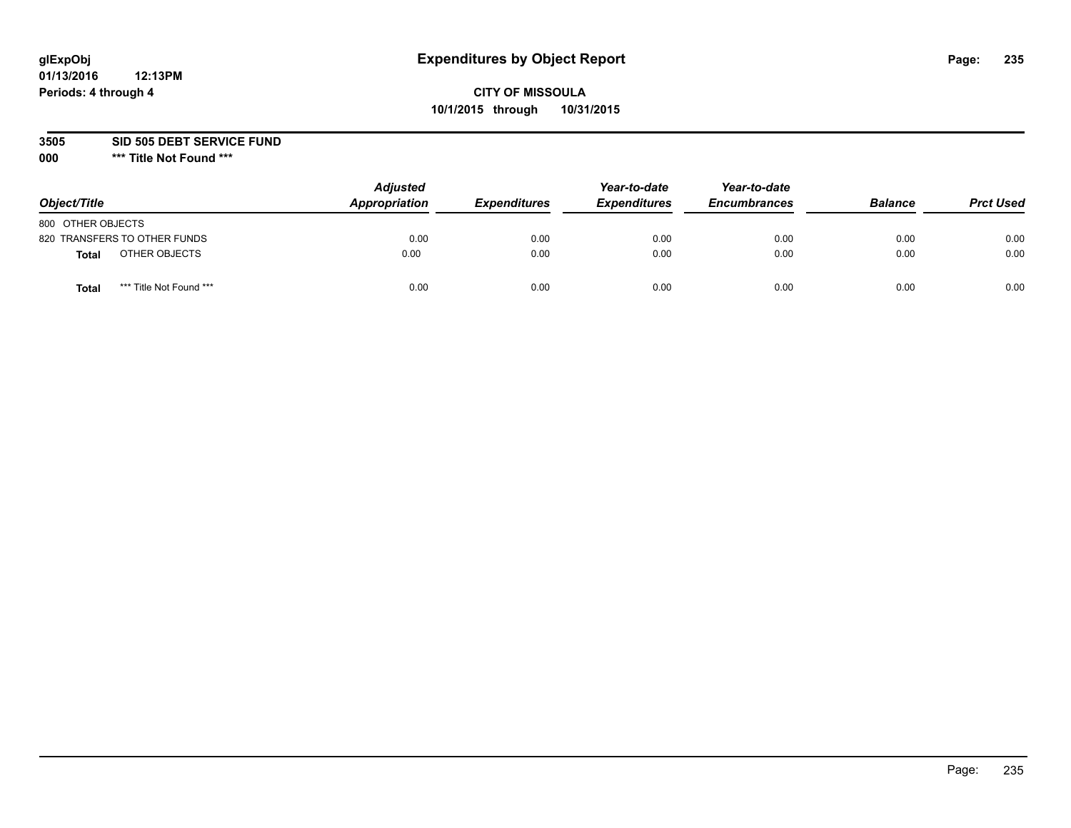## **CITY OF MISSOULA 10/1/2015 through 10/31/2015**

**3505 SID 505 DEBT SERVICE FUND**

| Object/Title                     | <b>Adjusted</b><br>Appropriation | <b>Expenditures</b> | Year-to-date<br><b>Expenditures</b> | Year-to-date<br><b>Encumbrances</b> | <b>Balance</b> | <b>Prct Used</b> |
|----------------------------------|----------------------------------|---------------------|-------------------------------------|-------------------------------------|----------------|------------------|
| 800 OTHER OBJECTS                |                                  |                     |                                     |                                     |                |                  |
| 820 TRANSFERS TO OTHER FUNDS     | 0.00                             | 0.00                | 0.00                                | 0.00                                | 0.00           | 0.00             |
| OTHER OBJECTS<br><b>Total</b>    | 0.00                             | 0.00                | 0.00                                | 0.00                                | 0.00           | 0.00             |
| *** Title Not Found ***<br>Total | 0.00                             | 0.00                | 0.00                                | 0.00                                | 0.00           | 0.00             |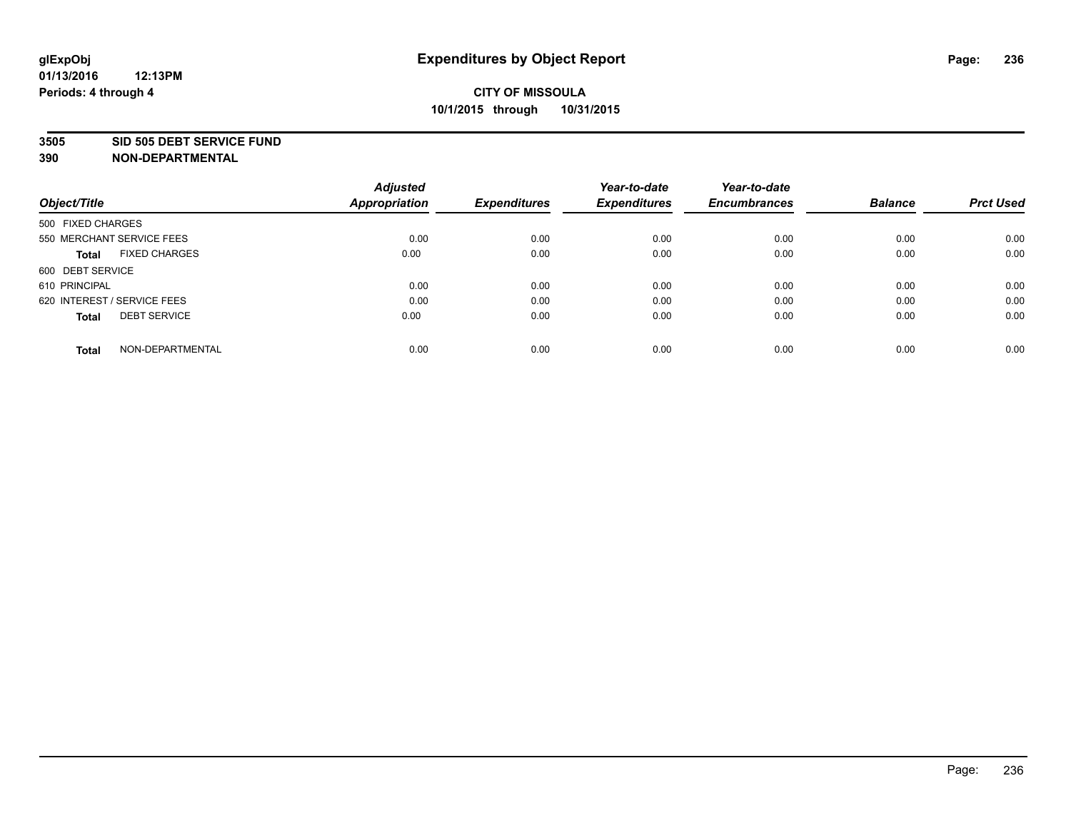#### **3505 SID 505 DEBT SERVICE FUND**

| Object/Title                         | <b>Adjusted</b><br><b>Appropriation</b> | <b>Expenditures</b> | Year-to-date<br><b>Expenditures</b> | Year-to-date<br><b>Encumbrances</b> | <b>Balance</b> | <b>Prct Used</b> |
|--------------------------------------|-----------------------------------------|---------------------|-------------------------------------|-------------------------------------|----------------|------------------|
|                                      |                                         |                     |                                     |                                     |                |                  |
| 500 FIXED CHARGES                    |                                         |                     |                                     |                                     |                |                  |
| 550 MERCHANT SERVICE FEES            | 0.00                                    | 0.00                | 0.00                                | 0.00                                | 0.00           | 0.00             |
| <b>FIXED CHARGES</b><br><b>Total</b> | 0.00                                    | 0.00                | 0.00                                | 0.00                                | 0.00           | 0.00             |
| 600 DEBT SERVICE                     |                                         |                     |                                     |                                     |                |                  |
| 610 PRINCIPAL                        | 0.00                                    | 0.00                | 0.00                                | 0.00                                | 0.00           | 0.00             |
| 620 INTEREST / SERVICE FEES          | 0.00                                    | 0.00                | 0.00                                | 0.00                                | 0.00           | 0.00             |
| <b>DEBT SERVICE</b><br>Total         | 0.00                                    | 0.00                | 0.00                                | 0.00                                | 0.00           | 0.00             |
|                                      |                                         |                     |                                     |                                     |                |                  |
| NON-DEPARTMENTAL<br><b>Total</b>     | 0.00                                    | 0.00                | 0.00                                | 0.00                                | 0.00           | 0.00             |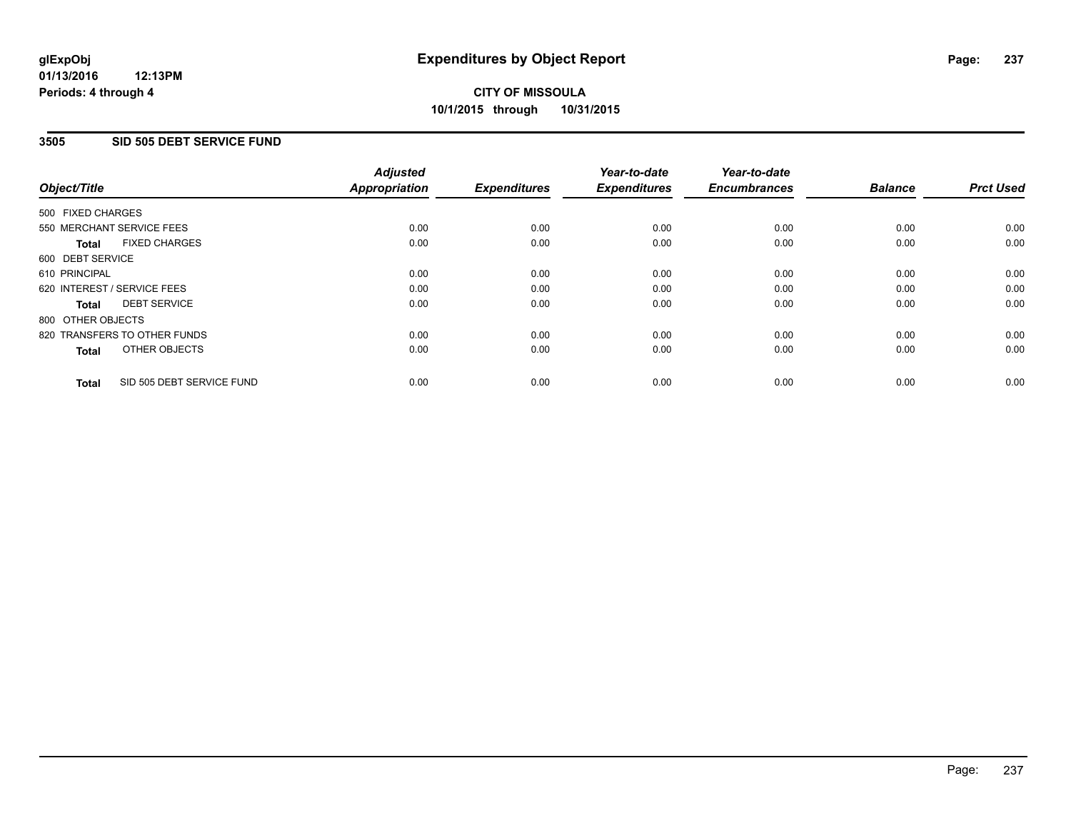### **3505 SID 505 DEBT SERVICE FUND**

| Object/Title                              | <b>Adjusted</b><br><b>Appropriation</b> | <b>Expenditures</b> | Year-to-date<br><b>Expenditures</b> | Year-to-date<br><b>Encumbrances</b> | <b>Balance</b> | <b>Prct Used</b> |
|-------------------------------------------|-----------------------------------------|---------------------|-------------------------------------|-------------------------------------|----------------|------------------|
|                                           |                                         |                     |                                     |                                     |                |                  |
| 500 FIXED CHARGES                         |                                         |                     |                                     |                                     |                |                  |
| 550 MERCHANT SERVICE FEES                 | 0.00                                    | 0.00                | 0.00                                | 0.00                                | 0.00           | 0.00             |
| <b>FIXED CHARGES</b><br>Total             | 0.00                                    | 0.00                | 0.00                                | 0.00                                | 0.00           | 0.00             |
| 600 DEBT SERVICE                          |                                         |                     |                                     |                                     |                |                  |
| 610 PRINCIPAL                             | 0.00                                    | 0.00                | 0.00                                | 0.00                                | 0.00           | 0.00             |
| 620 INTEREST / SERVICE FEES               | 0.00                                    | 0.00                | 0.00                                | 0.00                                | 0.00           | 0.00             |
| <b>DEBT SERVICE</b><br>Total              | 0.00                                    | 0.00                | 0.00                                | 0.00                                | 0.00           | 0.00             |
| 800 OTHER OBJECTS                         |                                         |                     |                                     |                                     |                |                  |
| 820 TRANSFERS TO OTHER FUNDS              | 0.00                                    | 0.00                | 0.00                                | 0.00                                | 0.00           | 0.00             |
| OTHER OBJECTS<br><b>Total</b>             | 0.00                                    | 0.00                | 0.00                                | 0.00                                | 0.00           | 0.00             |
| SID 505 DEBT SERVICE FUND<br><b>Total</b> | 0.00                                    | 0.00                | 0.00                                | 0.00                                | 0.00           | 0.00             |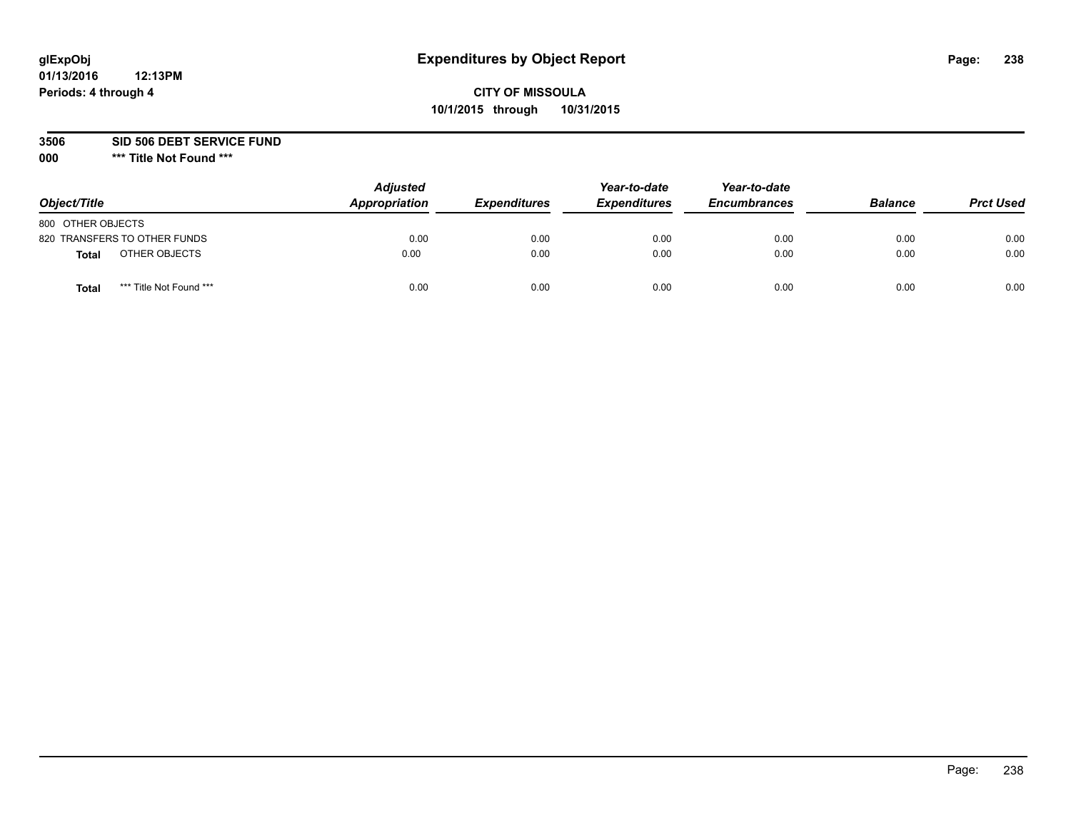## **CITY OF MISSOULA 10/1/2015 through 10/31/2015**

**3506 SID 506 DEBT SERVICE FUND**

| Object/Title                            | <b>Adjusted</b><br><b>Appropriation</b> | <b>Expenditures</b> | Year-to-date<br><b>Expenditures</b> | Year-to-date<br><b>Encumbrances</b> | <b>Balance</b> | <b>Prct Used</b> |
|-----------------------------------------|-----------------------------------------|---------------------|-------------------------------------|-------------------------------------|----------------|------------------|
| 800 OTHER OBJECTS                       |                                         |                     |                                     |                                     |                |                  |
| 820 TRANSFERS TO OTHER FUNDS            | 0.00                                    | 0.00                | 0.00                                | 0.00                                | 0.00           | 0.00             |
| OTHER OBJECTS<br>Total                  | 0.00                                    | 0.00                | 0.00                                | 0.00                                | 0.00           | 0.00             |
| *** Title Not Found ***<br><b>Total</b> | 0.00                                    | 0.00                | 0.00                                | 0.00                                | 0.00           | 0.00             |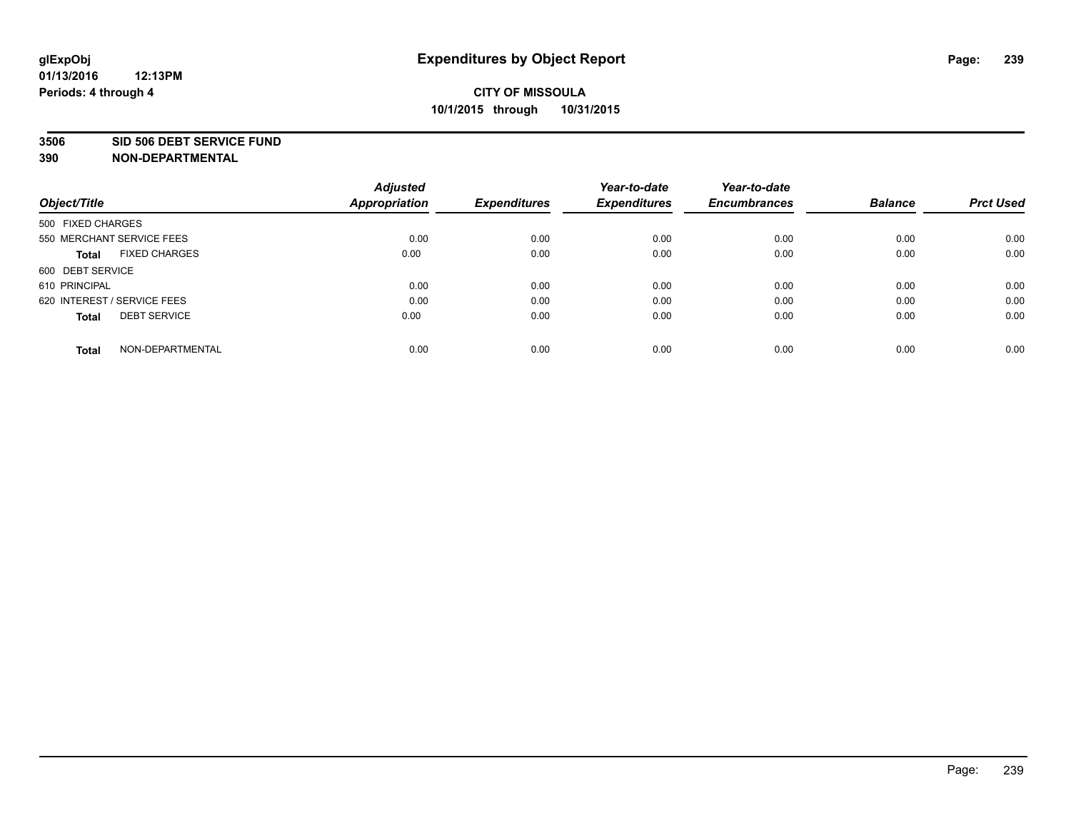#### **3506 SID 506 DEBT SERVICE FUND**

| Object/Title                         | <b>Adjusted</b><br><b>Appropriation</b> | <b>Expenditures</b> | Year-to-date<br><b>Expenditures</b> | Year-to-date<br><b>Encumbrances</b> | <b>Balance</b> | <b>Prct Used</b> |
|--------------------------------------|-----------------------------------------|---------------------|-------------------------------------|-------------------------------------|----------------|------------------|
| 500 FIXED CHARGES                    |                                         |                     |                                     |                                     |                |                  |
| 550 MERCHANT SERVICE FEES            | 0.00                                    | 0.00                | 0.00                                | 0.00                                | 0.00           | 0.00             |
| <b>FIXED CHARGES</b><br><b>Total</b> | 0.00                                    | 0.00                | 0.00                                | 0.00                                | 0.00           | 0.00             |
| 600 DEBT SERVICE                     |                                         |                     |                                     |                                     |                |                  |
| 610 PRINCIPAL                        | 0.00                                    | 0.00                | 0.00                                | 0.00                                | 0.00           | 0.00             |
| 620 INTEREST / SERVICE FEES          | 0.00                                    | 0.00                | 0.00                                | 0.00                                | 0.00           | 0.00             |
| <b>DEBT SERVICE</b><br><b>Total</b>  | 0.00                                    | 0.00                | 0.00                                | 0.00                                | 0.00           | 0.00             |
| NON-DEPARTMENTAL<br><b>Total</b>     | 0.00                                    | 0.00                | 0.00                                | 0.00                                | 0.00           | 0.00             |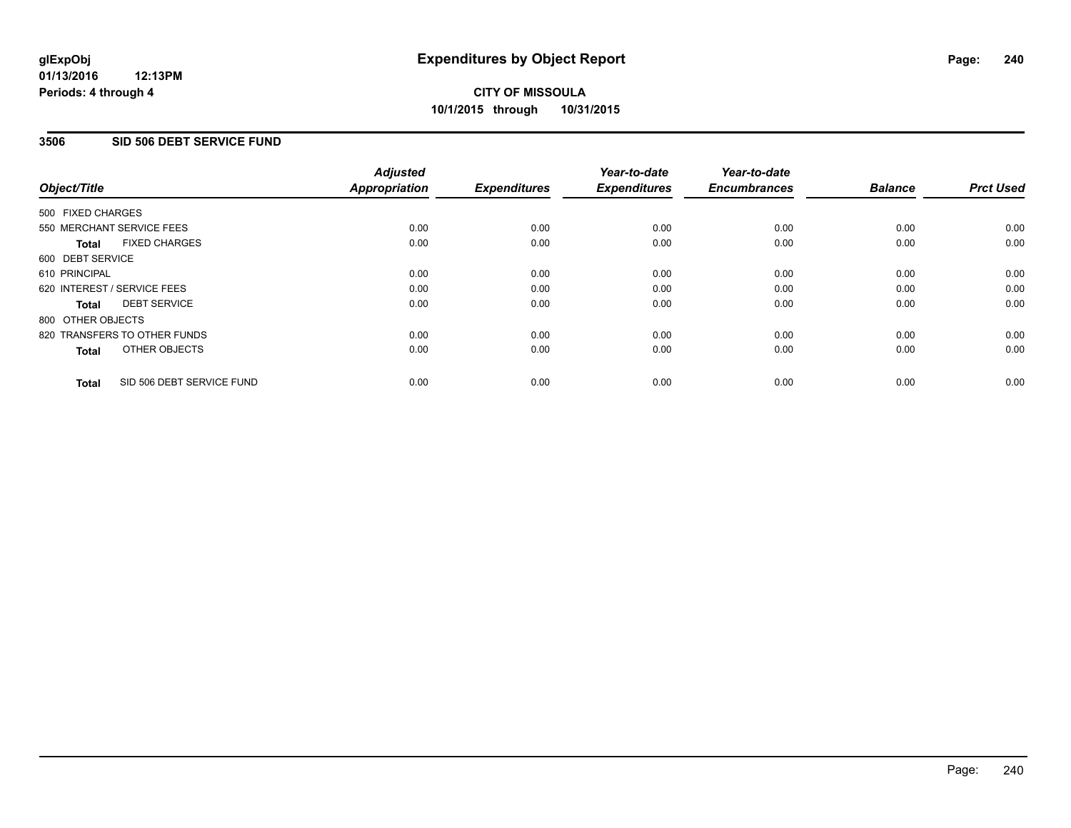### **3506 SID 506 DEBT SERVICE FUND**

| Object/Title                              | <b>Adjusted</b><br><b>Appropriation</b> | <b>Expenditures</b> | Year-to-date<br><b>Expenditures</b> | Year-to-date<br><b>Encumbrances</b> | <b>Balance</b> | <b>Prct Used</b> |
|-------------------------------------------|-----------------------------------------|---------------------|-------------------------------------|-------------------------------------|----------------|------------------|
| 500 FIXED CHARGES                         |                                         |                     |                                     |                                     |                |                  |
| 550 MERCHANT SERVICE FEES                 | 0.00                                    | 0.00                | 0.00                                | 0.00                                | 0.00           | 0.00             |
| <b>FIXED CHARGES</b><br>Total             | 0.00                                    | 0.00                | 0.00                                | 0.00                                | 0.00           | 0.00             |
| 600 DEBT SERVICE                          |                                         |                     |                                     |                                     |                |                  |
| 610 PRINCIPAL                             | 0.00                                    | 0.00                | 0.00                                | 0.00                                | 0.00           | 0.00             |
| 620 INTEREST / SERVICE FEES               | 0.00                                    | 0.00                | 0.00                                | 0.00                                | 0.00           | 0.00             |
| <b>DEBT SERVICE</b><br>Total              | 0.00                                    | 0.00                | 0.00                                | 0.00                                | 0.00           | 0.00             |
| 800 OTHER OBJECTS                         |                                         |                     |                                     |                                     |                |                  |
| 820 TRANSFERS TO OTHER FUNDS              | 0.00                                    | 0.00                | 0.00                                | 0.00                                | 0.00           | 0.00             |
| OTHER OBJECTS<br><b>Total</b>             | 0.00                                    | 0.00                | 0.00                                | 0.00                                | 0.00           | 0.00             |
| SID 506 DEBT SERVICE FUND<br><b>Total</b> | 0.00                                    | 0.00                | 0.00                                | 0.00                                | 0.00           | 0.00             |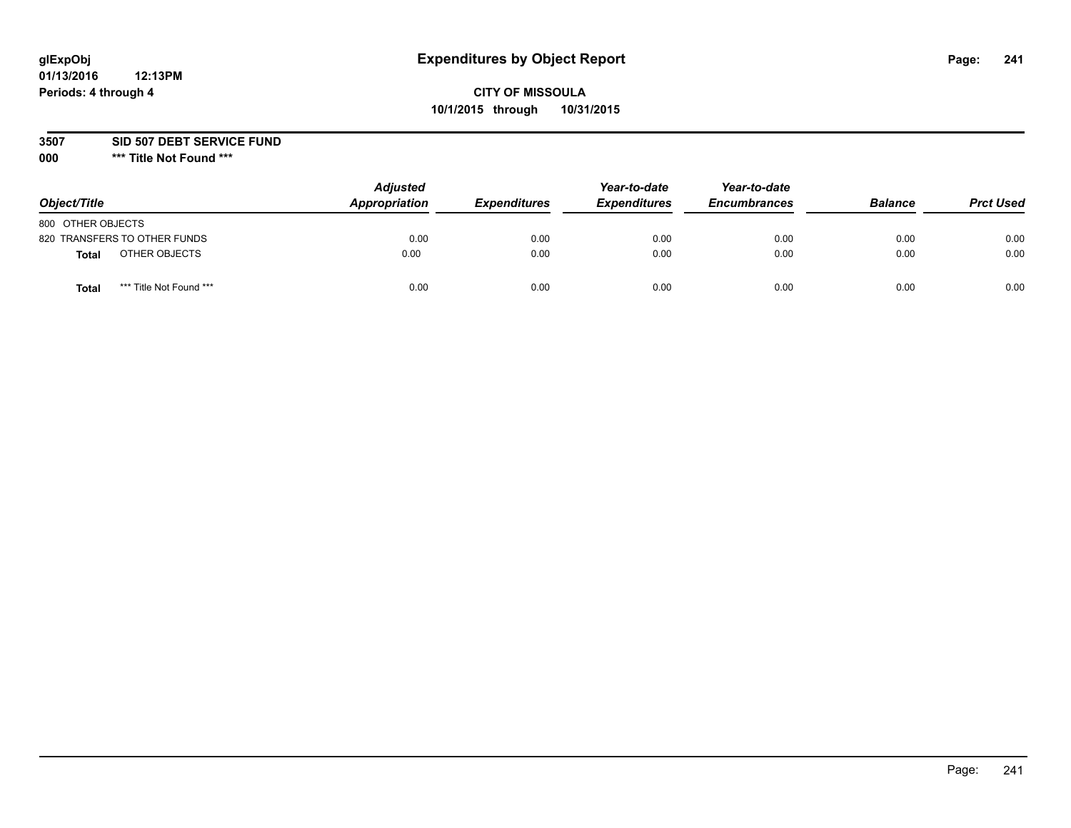## **CITY OF MISSOULA 10/1/2015 through 10/31/2015**

**3507 SID 507 DEBT SERVICE FUND**

| Object/Title                    | <b>Adjusted</b><br>Appropriation | <b>Expenditures</b> | Year-to-date<br><b>Expenditures</b> | Year-to-date<br><b>Encumbrances</b> | <b>Balance</b> | <b>Prct Used</b> |
|---------------------------------|----------------------------------|---------------------|-------------------------------------|-------------------------------------|----------------|------------------|
| 800 OTHER OBJECTS               |                                  |                     |                                     |                                     |                |                  |
| 820 TRANSFERS TO OTHER FUNDS    | 0.00                             | 0.00                | 0.00                                | 0.00                                | 0.00           | 0.00             |
| OTHER OBJECTS<br>Total          | 0.00                             | 0.00                | 0.00                                | 0.00                                | 0.00           | 0.00             |
| *** Title Not Found ***<br>Tota | 0.00                             | 0.00                | 0.00                                | 0.00                                | 0.00           | 0.00             |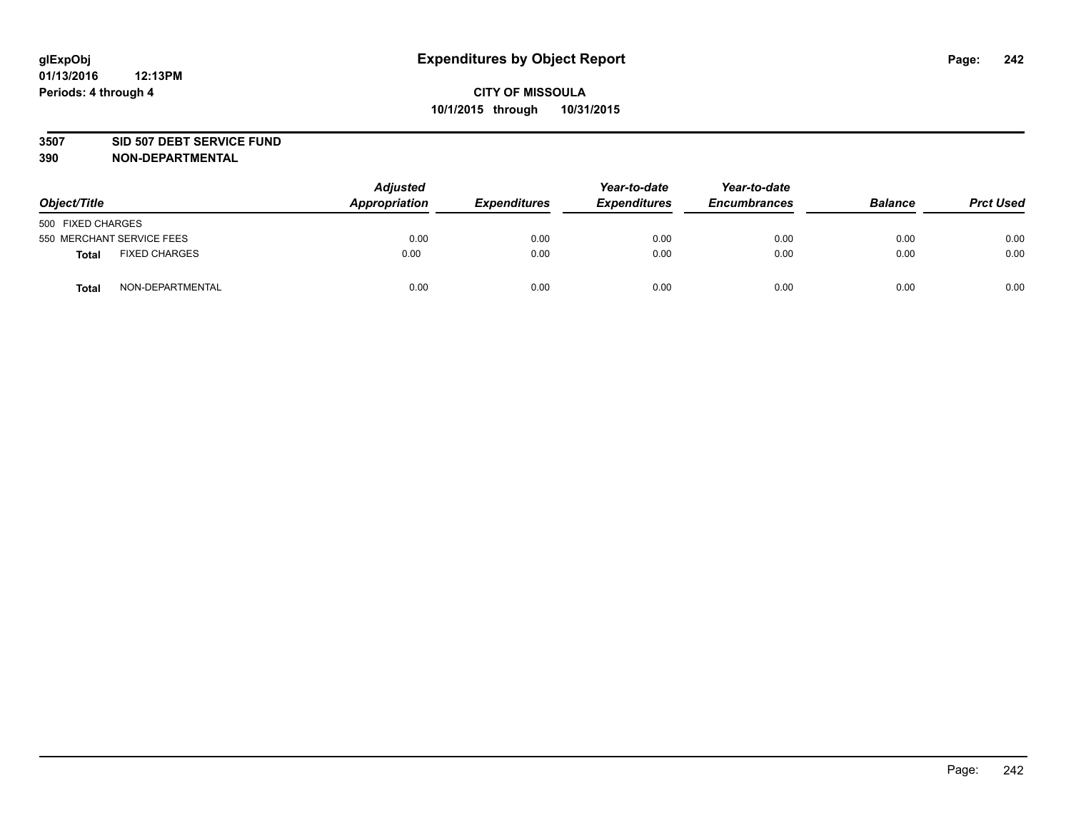### **3507 SID 507 DEBT SERVICE FUND**

| Object/Title                         | <b>Adjusted</b><br>Appropriation | <b>Expenditures</b> | Year-to-date<br><b>Expenditures</b> | Year-to-date<br><b>Encumbrances</b> | <b>Balance</b> | <b>Prct Used</b> |
|--------------------------------------|----------------------------------|---------------------|-------------------------------------|-------------------------------------|----------------|------------------|
| 500 FIXED CHARGES                    |                                  |                     |                                     |                                     |                |                  |
| 550 MERCHANT SERVICE FEES            | 0.00                             | 0.00                | 0.00                                | 0.00                                | 0.00           | 0.00             |
| <b>FIXED CHARGES</b><br><b>Total</b> | 0.00                             | 0.00                | 0.00                                | 0.00                                | 0.00           | 0.00             |
| NON-DEPARTMENTAL<br><b>Total</b>     | 0.00                             | 0.00                | 0.00                                | 0.00                                | 0.00           | 0.00             |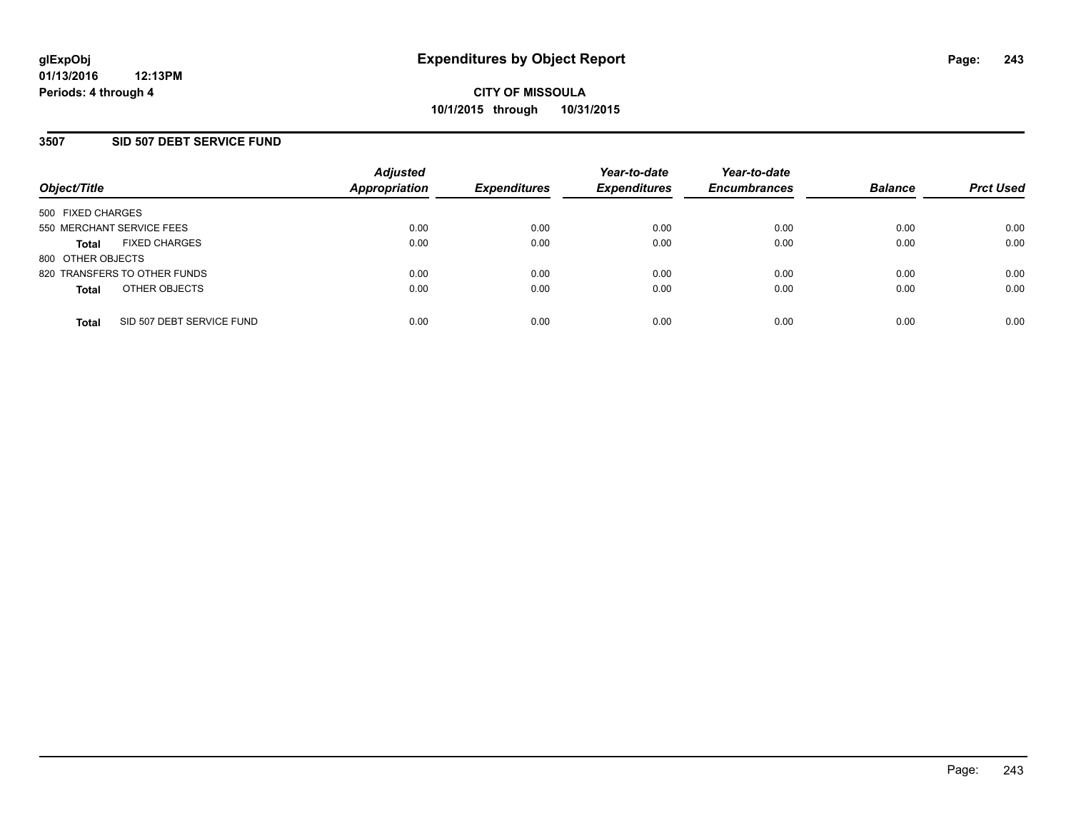### **3507 SID 507 DEBT SERVICE FUND**

| Object/Title              |                              | <b>Adjusted</b><br>Appropriation | <b>Expenditures</b> | Year-to-date<br><b>Expenditures</b> | Year-to-date<br><b>Encumbrances</b> | <b>Balance</b> | <b>Prct Used</b> |
|---------------------------|------------------------------|----------------------------------|---------------------|-------------------------------------|-------------------------------------|----------------|------------------|
| 500 FIXED CHARGES         |                              |                                  |                     |                                     |                                     |                |                  |
| 550 MERCHANT SERVICE FEES |                              | 0.00                             | 0.00                | 0.00                                | 0.00                                | 0.00           | 0.00             |
| <b>Total</b>              | <b>FIXED CHARGES</b>         | 0.00                             | 0.00                | 0.00                                | 0.00                                | 0.00           | 0.00             |
| 800 OTHER OBJECTS         |                              |                                  |                     |                                     |                                     |                |                  |
|                           | 820 TRANSFERS TO OTHER FUNDS | 0.00                             | 0.00                | 0.00                                | 0.00                                | 0.00           | 0.00             |
| <b>Total</b>              | OTHER OBJECTS                | 0.00                             | 0.00                | 0.00                                | 0.00                                | 0.00           | 0.00             |
| <b>Total</b>              | SID 507 DEBT SERVICE FUND    | 0.00                             | 0.00                | 0.00                                | 0.00                                | 0.00           | 0.00             |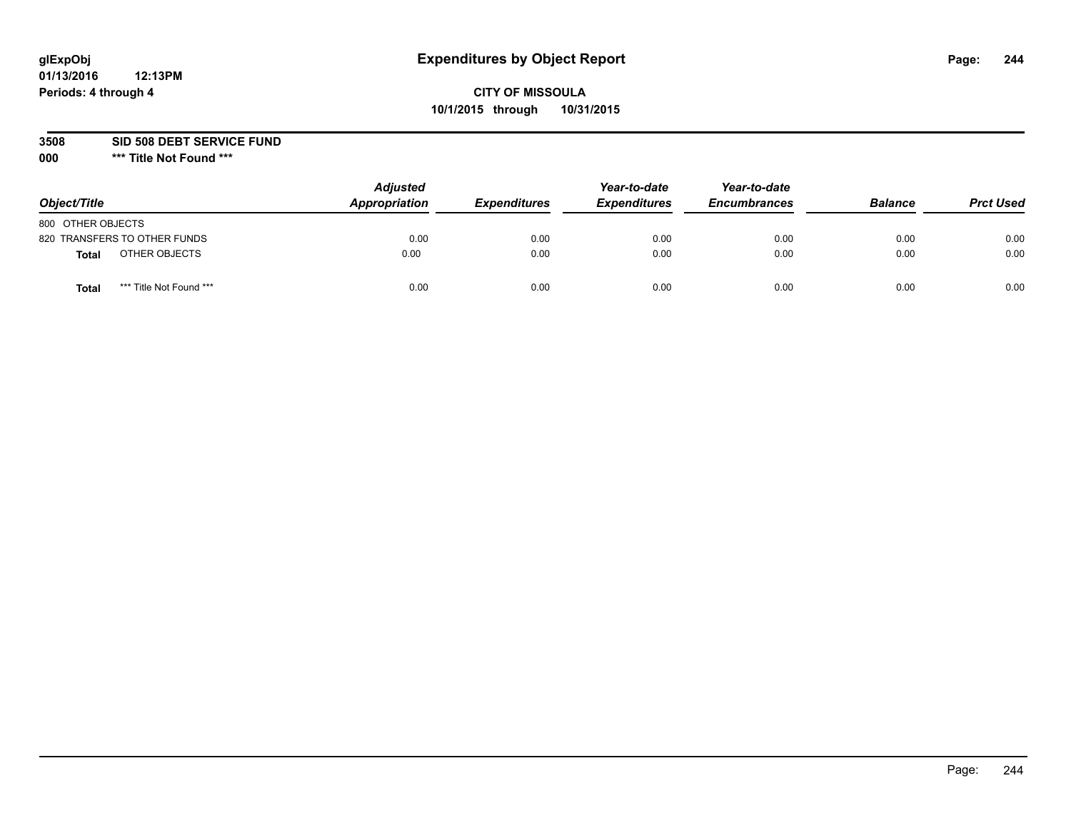## **CITY OF MISSOULA 10/1/2015 through 10/31/2015**

**3508 SID 508 DEBT SERVICE FUND**

| Object/Title                            | <b>Adjusted</b><br>Appropriation | <b>Expenditures</b> | Year-to-date<br><b>Expenditures</b> | Year-to-date<br><b>Encumbrances</b> | <b>Balance</b> | <b>Prct Used</b> |
|-----------------------------------------|----------------------------------|---------------------|-------------------------------------|-------------------------------------|----------------|------------------|
| 800 OTHER OBJECTS                       |                                  |                     |                                     |                                     |                |                  |
| 820 TRANSFERS TO OTHER FUNDS            | 0.00                             | 0.00                | 0.00                                | 0.00                                | 0.00           | 0.00             |
| OTHER OBJECTS<br><b>Total</b>           | 0.00                             | 0.00                | 0.00                                | 0.00                                | 0.00           | 0.00             |
| *** Title Not Found ***<br><b>Total</b> | 0.00                             | 0.00                | 0.00                                | 0.00                                | 0.00           | 0.00             |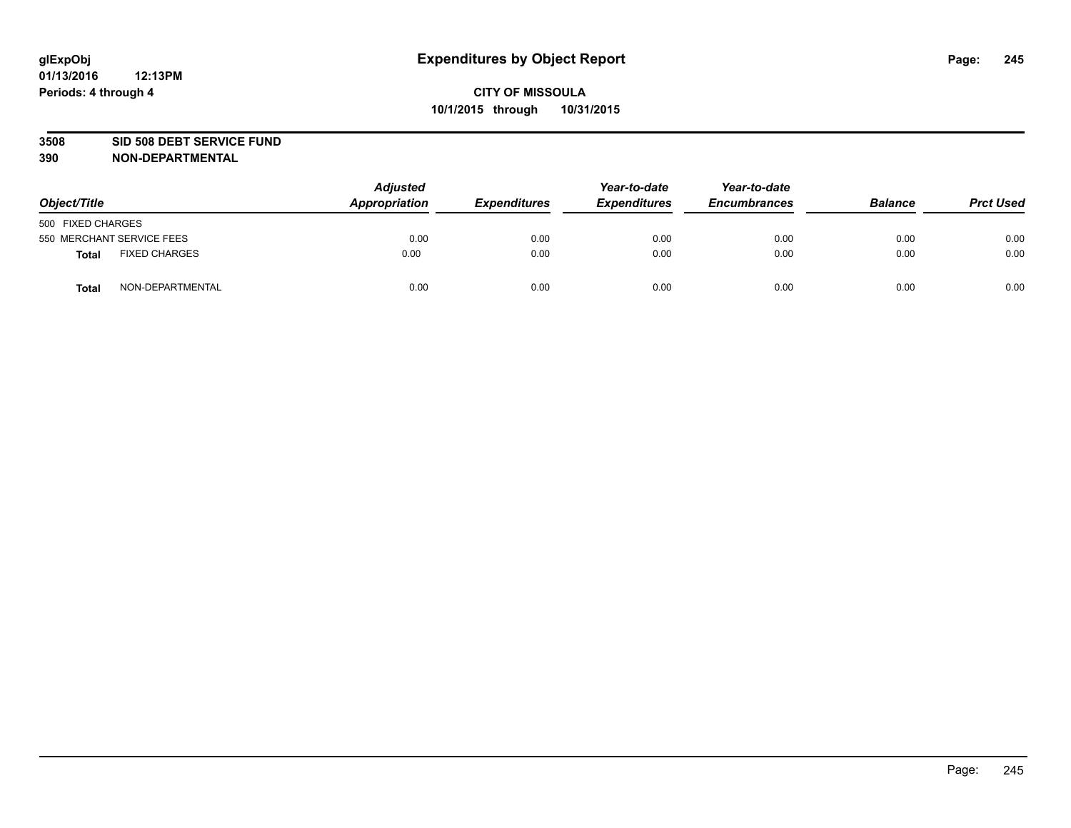### **3508 SID 508 DEBT SERVICE FUND**

| Object/Title                         | <b>Adjusted</b><br>Appropriation | <b>Expenditures</b> | Year-to-date<br><b>Expenditures</b> | Year-to-date<br><b>Encumbrances</b> | <b>Balance</b> | <b>Prct Used</b> |
|--------------------------------------|----------------------------------|---------------------|-------------------------------------|-------------------------------------|----------------|------------------|
| 500 FIXED CHARGES                    |                                  |                     |                                     |                                     |                |                  |
| 550 MERCHANT SERVICE FEES            | 0.00                             | 0.00                | 0.00                                | 0.00                                | 0.00           | 0.00             |
| <b>FIXED CHARGES</b><br><b>Total</b> | 0.00                             | 0.00                | 0.00                                | 0.00                                | 0.00           | 0.00             |
| NON-DEPARTMENTAL<br>Total            | 0.00                             | 0.00                | 0.00                                | 0.00                                | 0.00           | 0.00             |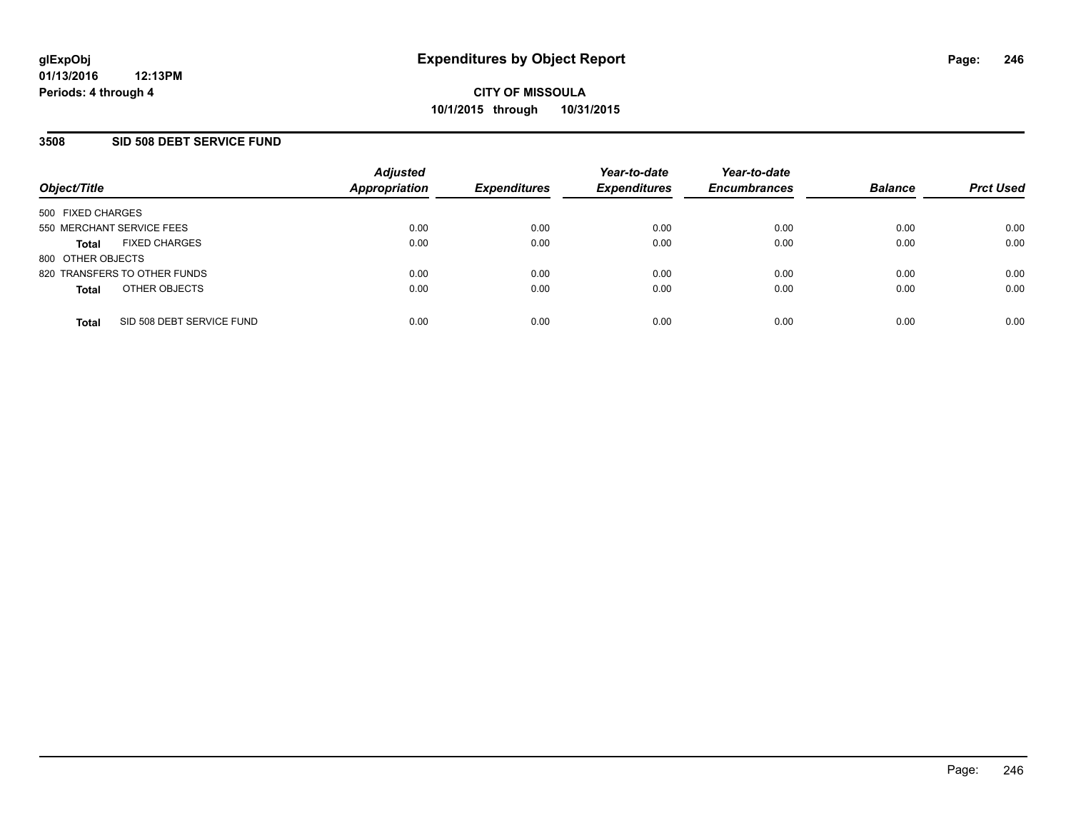### **3508 SID 508 DEBT SERVICE FUND**

| Object/Title                 |                           | <b>Adjusted</b><br><b>Appropriation</b> | <b>Expenditures</b> | Year-to-date<br><b>Expenditures</b> | Year-to-date<br><b>Encumbrances</b> | <b>Balance</b> | <b>Prct Used</b> |
|------------------------------|---------------------------|-----------------------------------------|---------------------|-------------------------------------|-------------------------------------|----------------|------------------|
| 500 FIXED CHARGES            |                           |                                         |                     |                                     |                                     |                |                  |
| 550 MERCHANT SERVICE FEES    |                           | 0.00                                    | 0.00                | 0.00                                | 0.00                                | 0.00           | 0.00             |
| <b>Total</b>                 | <b>FIXED CHARGES</b>      | 0.00                                    | 0.00                | 0.00                                | 0.00                                | 0.00           | 0.00             |
| 800 OTHER OBJECTS            |                           |                                         |                     |                                     |                                     |                |                  |
| 820 TRANSFERS TO OTHER FUNDS |                           | 0.00                                    | 0.00                | 0.00                                | 0.00                                | 0.00           | 0.00             |
| <b>Total</b>                 | OTHER OBJECTS             | 0.00                                    | 0.00                | 0.00                                | 0.00                                | 0.00           | 0.00             |
|                              |                           |                                         |                     |                                     |                                     |                |                  |
| <b>Total</b>                 | SID 508 DEBT SERVICE FUND | 0.00                                    | 0.00                | 0.00                                | 0.00                                | 0.00           | 0.00             |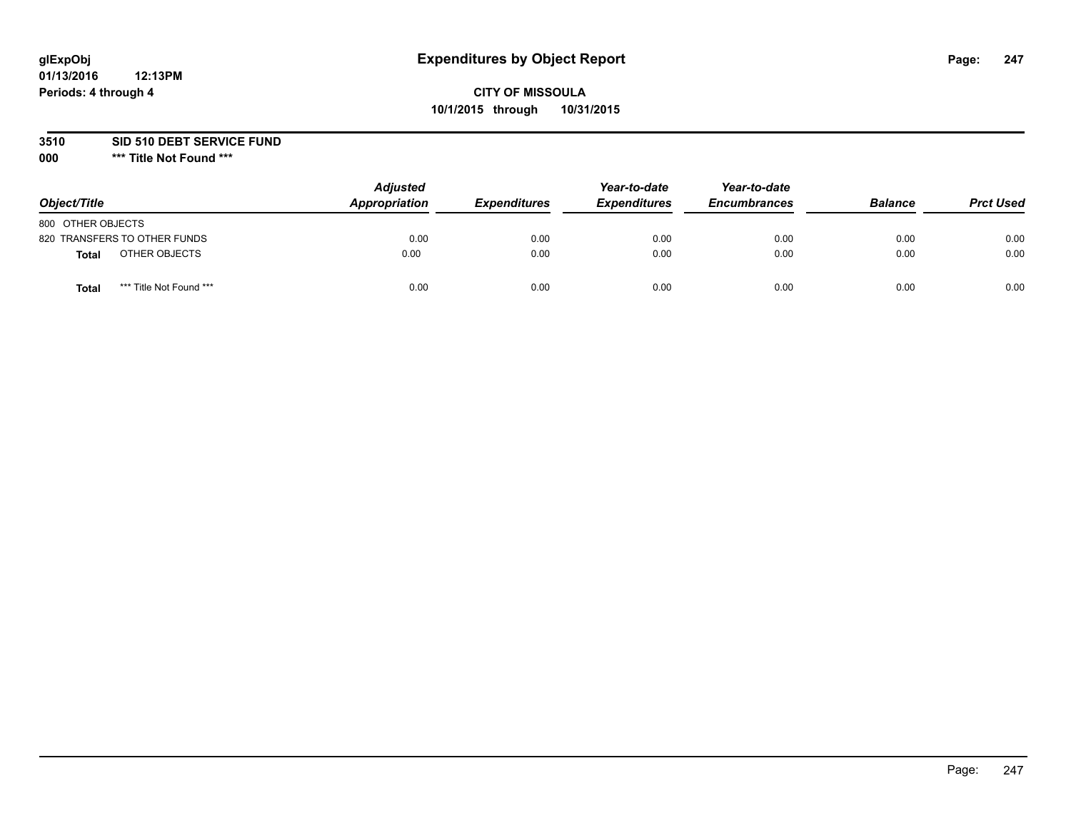## **CITY OF MISSOULA 10/1/2015 through 10/31/2015**

### **3510 SID 510 DEBT SERVICE FUND**

| Object/Title                            | <b>Adjusted</b><br>Appropriation | <b>Expenditures</b> | Year-to-date<br><b>Expenditures</b> | Year-to-date<br><b>Encumbrances</b> | <b>Balance</b> | <b>Prct Used</b> |
|-----------------------------------------|----------------------------------|---------------------|-------------------------------------|-------------------------------------|----------------|------------------|
| 800 OTHER OBJECTS                       |                                  |                     |                                     |                                     |                |                  |
| 820 TRANSFERS TO OTHER FUNDS            | 0.00                             | 0.00                | 0.00                                | 0.00                                | 0.00           | 0.00             |
| OTHER OBJECTS<br><b>Total</b>           | 0.00                             | 0.00                | 0.00                                | 0.00                                | 0.00           | 0.00             |
| *** Title Not Found ***<br><b>Total</b> | 0.00                             | 0.00                | 0.00                                | 0.00                                | 0.00           | 0.00             |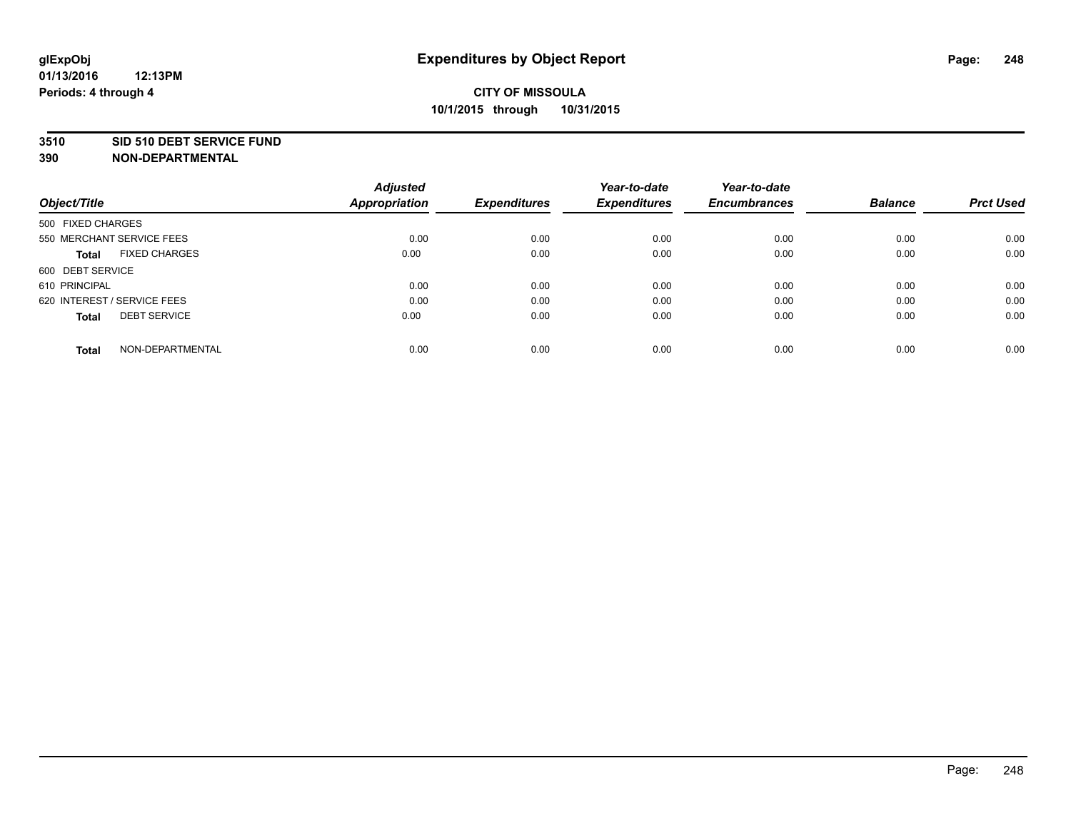#### **3510 SID 510 DEBT SERVICE FUND**

| Object/Title                         | <b>Adjusted</b><br><b>Appropriation</b> | <b>Expenditures</b> | Year-to-date<br><b>Expenditures</b> | Year-to-date<br><b>Encumbrances</b> | <b>Balance</b> | <b>Prct Used</b> |
|--------------------------------------|-----------------------------------------|---------------------|-------------------------------------|-------------------------------------|----------------|------------------|
|                                      |                                         |                     |                                     |                                     |                |                  |
| 500 FIXED CHARGES                    |                                         |                     |                                     |                                     |                |                  |
| 550 MERCHANT SERVICE FEES            | 0.00                                    | 0.00                | 0.00                                | 0.00                                | 0.00           | 0.00             |
| <b>FIXED CHARGES</b><br><b>Total</b> | 0.00                                    | 0.00                | 0.00                                | 0.00                                | 0.00           | 0.00             |
| 600 DEBT SERVICE                     |                                         |                     |                                     |                                     |                |                  |
| 610 PRINCIPAL                        | 0.00                                    | 0.00                | 0.00                                | 0.00                                | 0.00           | 0.00             |
| 620 INTEREST / SERVICE FEES          | 0.00                                    | 0.00                | 0.00                                | 0.00                                | 0.00           | 0.00             |
| <b>DEBT SERVICE</b><br><b>Total</b>  | 0.00                                    | 0.00                | 0.00                                | 0.00                                | 0.00           | 0.00             |
| NON-DEPARTMENTAL<br><b>Total</b>     | 0.00                                    | 0.00                | 0.00                                | 0.00                                | 0.00           | 0.00             |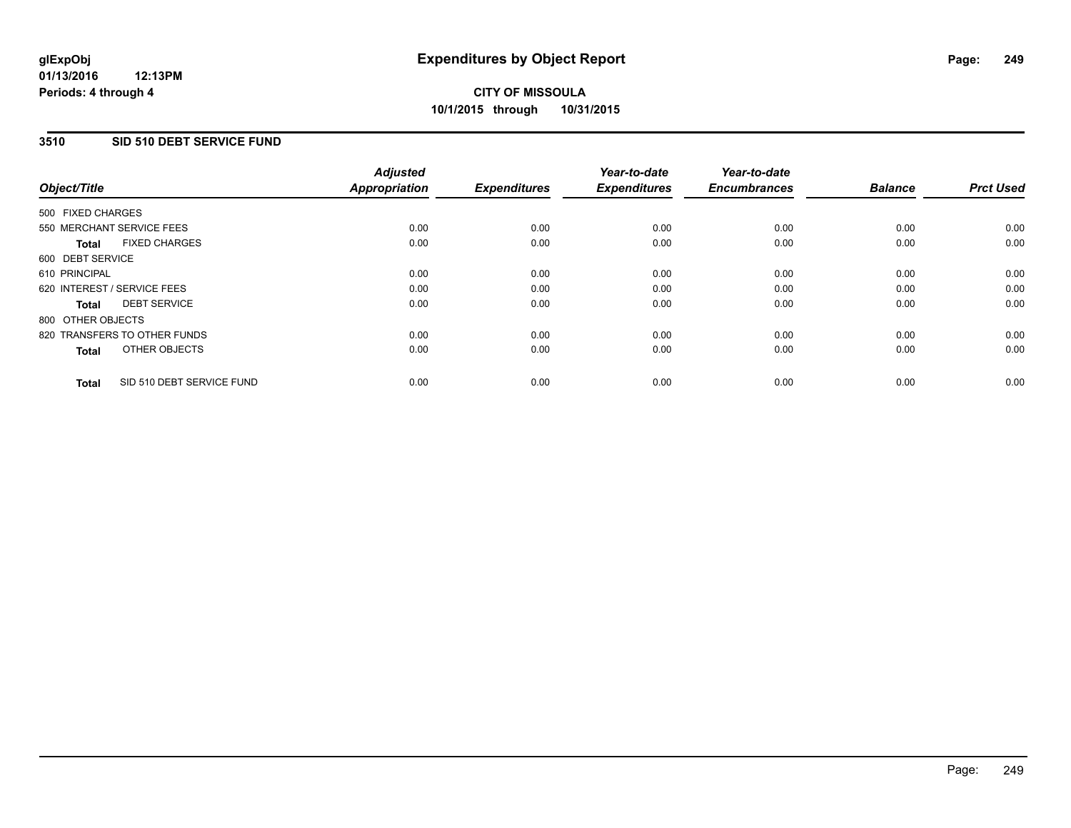### **3510 SID 510 DEBT SERVICE FUND**

| Object/Title      |                              | <b>Adjusted</b><br>Appropriation | <b>Expenditures</b> | Year-to-date<br><b>Expenditures</b> | Year-to-date<br><b>Encumbrances</b> | <b>Balance</b> | <b>Prct Used</b> |
|-------------------|------------------------------|----------------------------------|---------------------|-------------------------------------|-------------------------------------|----------------|------------------|
| 500 FIXED CHARGES |                              |                                  |                     |                                     |                                     |                |                  |
|                   | 550 MERCHANT SERVICE FEES    | 0.00                             | 0.00                | 0.00                                | 0.00                                | 0.00           | 0.00             |
| <b>Total</b>      | <b>FIXED CHARGES</b>         | 0.00                             | 0.00                | 0.00                                | 0.00                                | 0.00           | 0.00             |
| 600 DEBT SERVICE  |                              |                                  |                     |                                     |                                     |                |                  |
| 610 PRINCIPAL     |                              | 0.00                             | 0.00                | 0.00                                | 0.00                                | 0.00           | 0.00             |
|                   | 620 INTEREST / SERVICE FEES  | 0.00                             | 0.00                | 0.00                                | 0.00                                | 0.00           | 0.00             |
| Total             | <b>DEBT SERVICE</b>          | 0.00                             | 0.00                | 0.00                                | 0.00                                | 0.00           | 0.00             |
| 800 OTHER OBJECTS |                              |                                  |                     |                                     |                                     |                |                  |
|                   | 820 TRANSFERS TO OTHER FUNDS | 0.00                             | 0.00                | 0.00                                | 0.00                                | 0.00           | 0.00             |
| <b>Total</b>      | OTHER OBJECTS                | 0.00                             | 0.00                | 0.00                                | 0.00                                | 0.00           | 0.00             |
| <b>Total</b>      | SID 510 DEBT SERVICE FUND    | 0.00                             | 0.00                | 0.00                                | 0.00                                | 0.00           | 0.00             |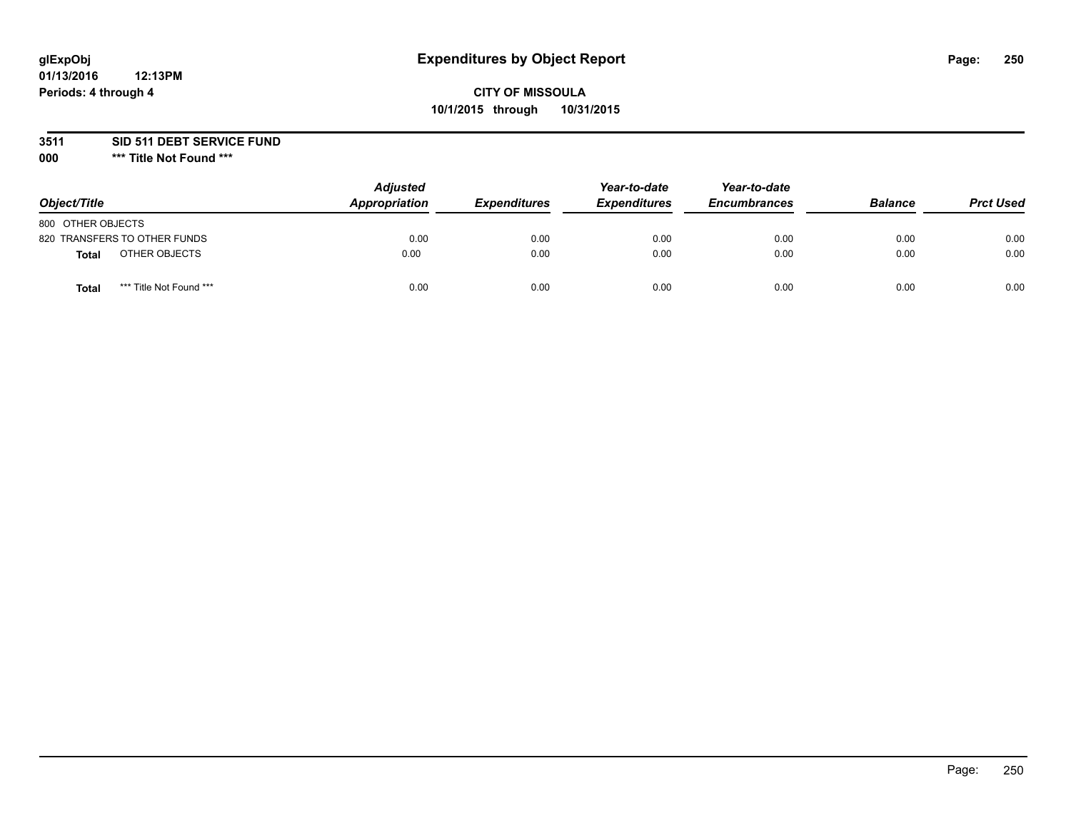## **CITY OF MISSOULA 10/1/2015 through 10/31/2015**

**3511 SID 511 DEBT SERVICE FUND**

| Object/Title                     | <b>Adjusted</b><br>Appropriation | <b>Expenditures</b> | Year-to-date<br><b>Expenditures</b> | Year-to-date<br><b>Encumbrances</b> | <b>Balance</b> | <b>Prct Used</b> |
|----------------------------------|----------------------------------|---------------------|-------------------------------------|-------------------------------------|----------------|------------------|
| 800 OTHER OBJECTS                |                                  |                     |                                     |                                     |                |                  |
| 820 TRANSFERS TO OTHER FUNDS     | 0.00                             | 0.00                | 0.00                                | 0.00                                | 0.00           | 0.00             |
| OTHER OBJECTS<br><b>Total</b>    | 0.00                             | 0.00                | 0.00                                | 0.00                                | 0.00           | 0.00             |
| *** Title Not Found ***<br>Total | 0.00                             | 0.00                | 0.00                                | 0.00                                | 0.00           | 0.00             |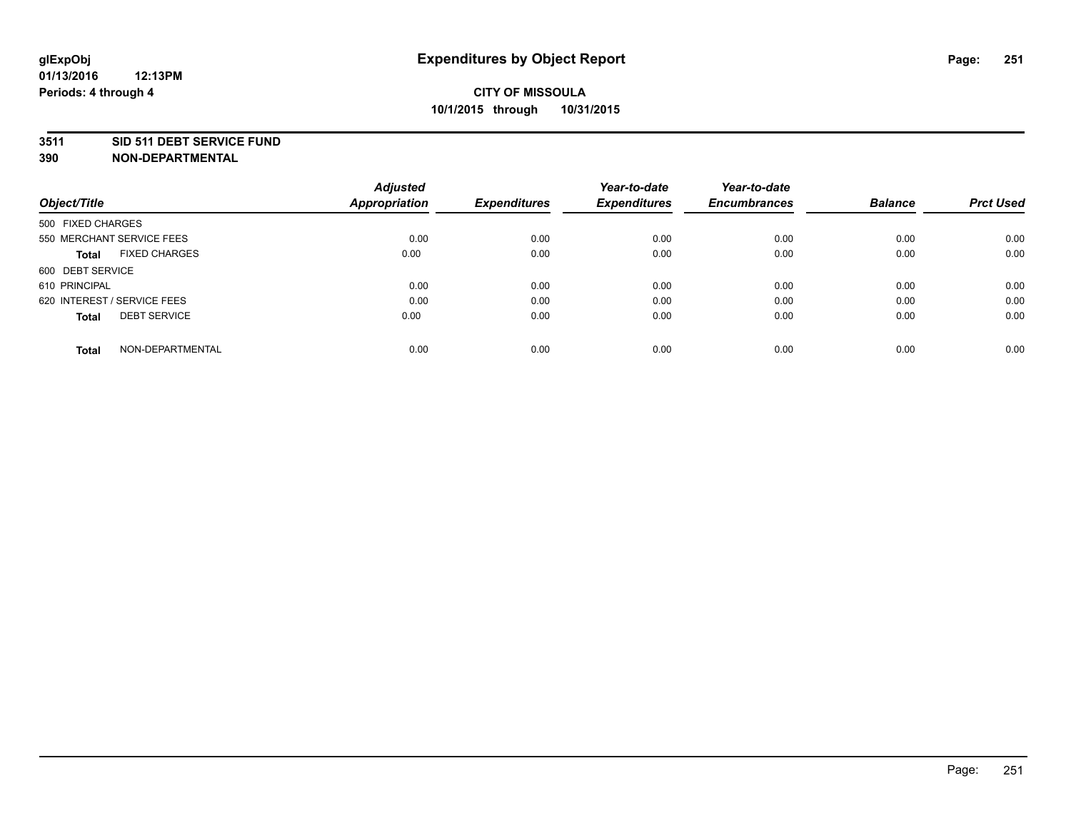#### **3511 SID 511 DEBT SERVICE FUND**

| Object/Title                         | <b>Adjusted</b><br><b>Appropriation</b> | <b>Expenditures</b> | Year-to-date<br><b>Expenditures</b> | Year-to-date<br><b>Encumbrances</b> | <b>Balance</b> | <b>Prct Used</b> |
|--------------------------------------|-----------------------------------------|---------------------|-------------------------------------|-------------------------------------|----------------|------------------|
|                                      |                                         |                     |                                     |                                     |                |                  |
| 500 FIXED CHARGES                    |                                         |                     |                                     |                                     |                |                  |
| 550 MERCHANT SERVICE FEES            | 0.00                                    | 0.00                | 0.00                                | 0.00                                | 0.00           | 0.00             |
| <b>FIXED CHARGES</b><br><b>Total</b> | 0.00                                    | 0.00                | 0.00                                | 0.00                                | 0.00           | 0.00             |
| 600 DEBT SERVICE                     |                                         |                     |                                     |                                     |                |                  |
| 610 PRINCIPAL                        | 0.00                                    | 0.00                | 0.00                                | 0.00                                | 0.00           | 0.00             |
| 620 INTEREST / SERVICE FEES          | 0.00                                    | 0.00                | 0.00                                | 0.00                                | 0.00           | 0.00             |
| <b>DEBT SERVICE</b><br><b>Total</b>  | 0.00                                    | 0.00                | 0.00                                | 0.00                                | 0.00           | 0.00             |
|                                      |                                         |                     |                                     |                                     |                |                  |
| NON-DEPARTMENTAL<br><b>Total</b>     | 0.00                                    | 0.00                | 0.00                                | 0.00                                | 0.00           | 0.00             |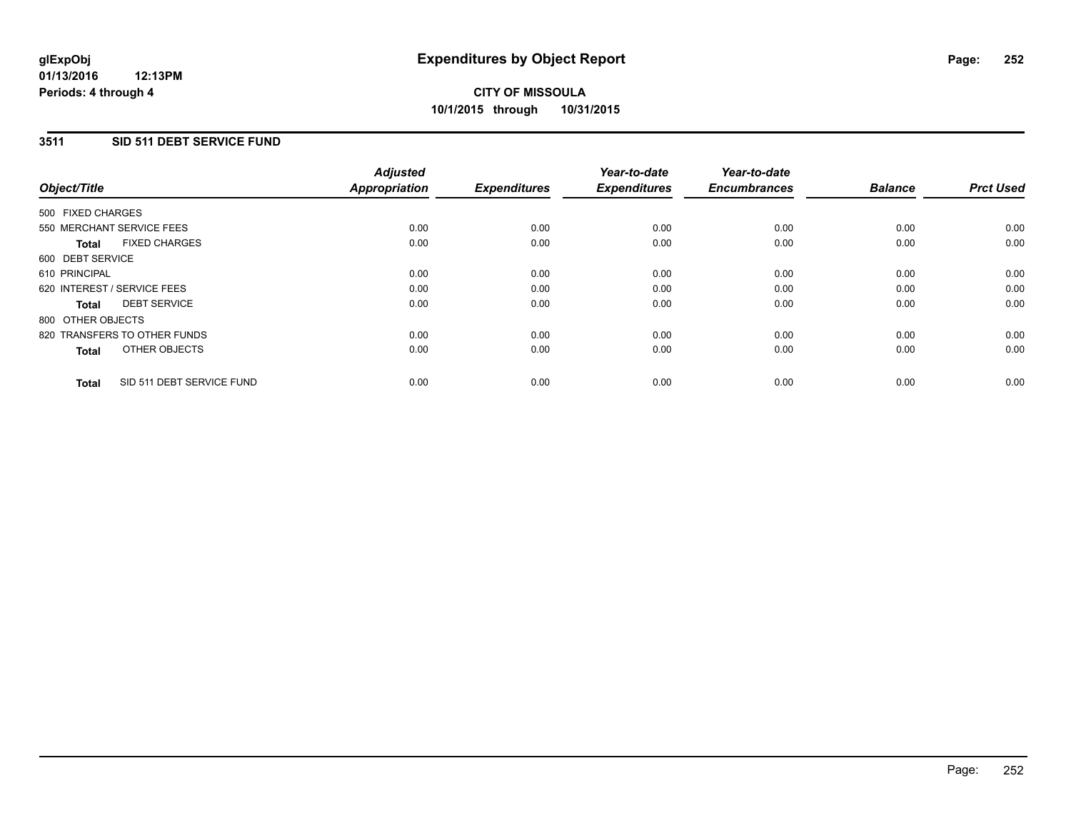### **3511 SID 511 DEBT SERVICE FUND**

| Object/Title                              | <b>Adjusted</b><br><b>Appropriation</b> | <b>Expenditures</b> | Year-to-date<br><b>Expenditures</b> | Year-to-date<br><b>Encumbrances</b> | <b>Balance</b> | <b>Prct Used</b> |
|-------------------------------------------|-----------------------------------------|---------------------|-------------------------------------|-------------------------------------|----------------|------------------|
|                                           |                                         |                     |                                     |                                     |                |                  |
| 500 FIXED CHARGES                         |                                         |                     |                                     |                                     |                |                  |
| 550 MERCHANT SERVICE FEES                 | 0.00                                    | 0.00                | 0.00                                | 0.00                                | 0.00           | 0.00             |
| <b>FIXED CHARGES</b><br>Total             | 0.00                                    | 0.00                | 0.00                                | 0.00                                | 0.00           | 0.00             |
| 600 DEBT SERVICE                          |                                         |                     |                                     |                                     |                |                  |
| 610 PRINCIPAL                             | 0.00                                    | 0.00                | 0.00                                | 0.00                                | 0.00           | 0.00             |
| 620 INTEREST / SERVICE FEES               | 0.00                                    | 0.00                | 0.00                                | 0.00                                | 0.00           | 0.00             |
| <b>DEBT SERVICE</b><br><b>Total</b>       | 0.00                                    | 0.00                | 0.00                                | 0.00                                | 0.00           | 0.00             |
| 800 OTHER OBJECTS                         |                                         |                     |                                     |                                     |                |                  |
| 820 TRANSFERS TO OTHER FUNDS              | 0.00                                    | 0.00                | 0.00                                | 0.00                                | 0.00           | 0.00             |
| OTHER OBJECTS<br><b>Total</b>             | 0.00                                    | 0.00                | 0.00                                | 0.00                                | 0.00           | 0.00             |
|                                           |                                         |                     |                                     |                                     |                |                  |
| SID 511 DEBT SERVICE FUND<br><b>Total</b> | 0.00                                    | 0.00                | 0.00                                | 0.00                                | 0.00           | 0.00             |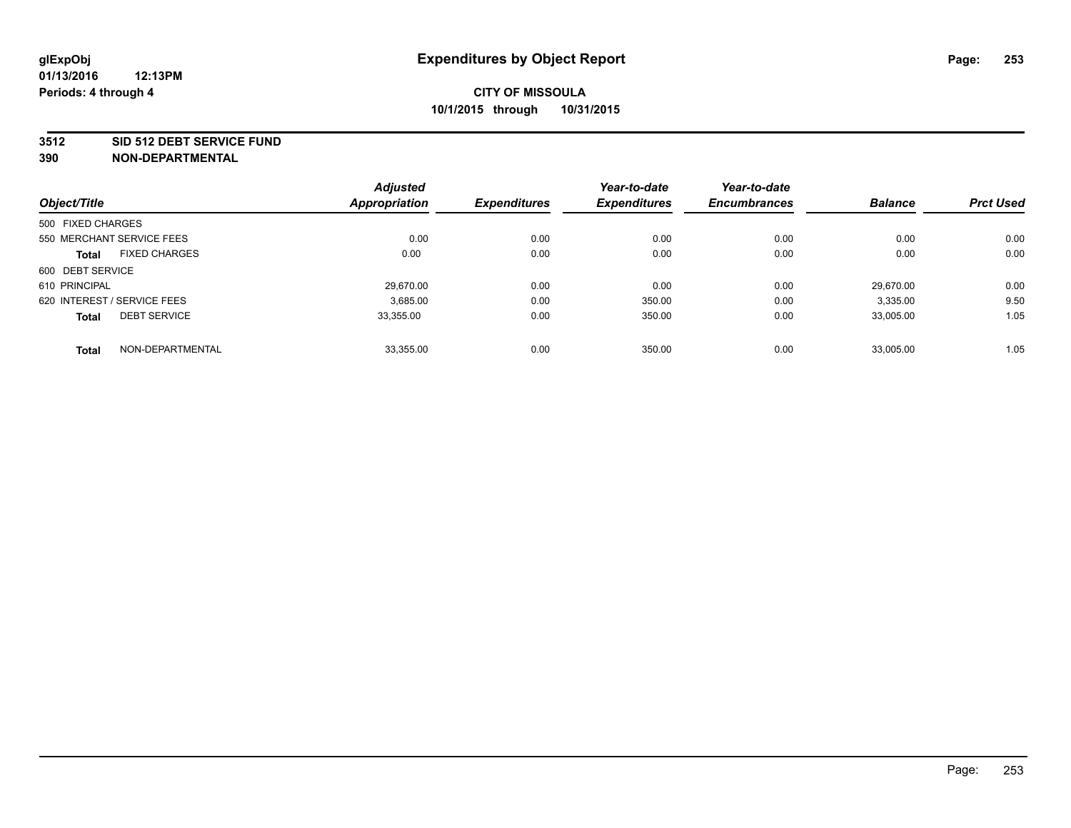#### **3512 SID 512 DEBT SERVICE FUND**

|                                      | <b>Adjusted</b> |                     | Year-to-date        | Year-to-date        |                |                  |
|--------------------------------------|-----------------|---------------------|---------------------|---------------------|----------------|------------------|
| Object/Title                         | Appropriation   | <b>Expenditures</b> | <b>Expenditures</b> | <b>Encumbrances</b> | <b>Balance</b> | <b>Prct Used</b> |
| 500 FIXED CHARGES                    |                 |                     |                     |                     |                |                  |
| 550 MERCHANT SERVICE FEES            | 0.00            | 0.00                | 0.00                | 0.00                | 0.00           | 0.00             |
| <b>FIXED CHARGES</b><br><b>Total</b> | 0.00            | 0.00                | 0.00                | 0.00                | 0.00           | 0.00             |
| 600 DEBT SERVICE                     |                 |                     |                     |                     |                |                  |
| 610 PRINCIPAL                        | 29,670.00       | 0.00                | 0.00                | 0.00                | 29.670.00      | 0.00             |
| 620 INTEREST / SERVICE FEES          | 3.685.00        | 0.00                | 350.00              | 0.00                | 3,335.00       | 9.50             |
| <b>DEBT SERVICE</b><br><b>Total</b>  | 33.355.00       | 0.00                | 350.00              | 0.00                | 33,005.00      | 1.05             |
| NON-DEPARTMENTAL<br><b>Total</b>     | 33,355.00       | 0.00                | 350.00              | 0.00                | 33,005.00      | 1.05             |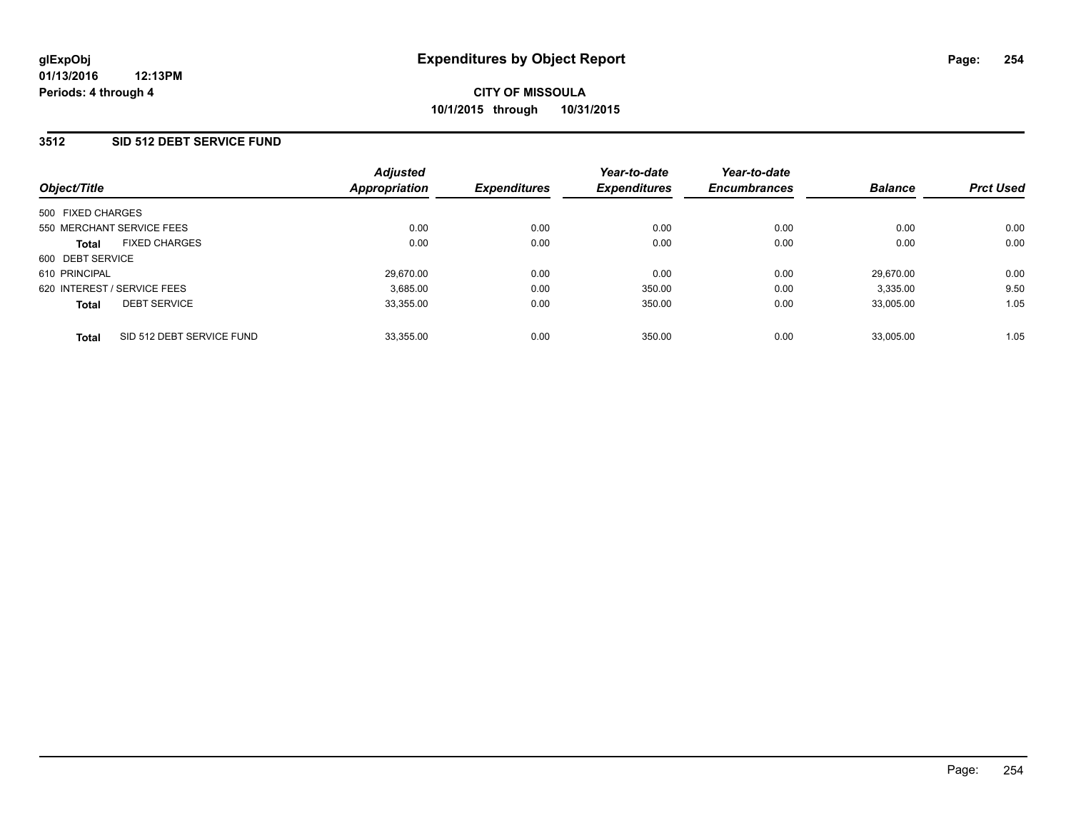#### **3512 SID 512 DEBT SERVICE FUND**

| Object/Title                              | <b>Adjusted</b><br><b>Appropriation</b> | <b>Expenditures</b> | Year-to-date<br><b>Expenditures</b> | Year-to-date<br><b>Encumbrances</b> | <b>Balance</b> | <b>Prct Used</b> |
|-------------------------------------------|-----------------------------------------|---------------------|-------------------------------------|-------------------------------------|----------------|------------------|
| 500 FIXED CHARGES                         |                                         |                     |                                     |                                     |                |                  |
| 550 MERCHANT SERVICE FEES                 | 0.00                                    | 0.00                | 0.00                                | 0.00                                | 0.00           | 0.00             |
| <b>FIXED CHARGES</b><br><b>Total</b>      | 0.00                                    | 0.00                | 0.00                                | 0.00                                | 0.00           | 0.00             |
| 600 DEBT SERVICE                          |                                         |                     |                                     |                                     |                |                  |
| 610 PRINCIPAL                             | 29,670.00                               | 0.00                | 0.00                                | 0.00                                | 29.670.00      | 0.00             |
| 620 INTEREST / SERVICE FEES               | 3,685.00                                | 0.00                | 350.00                              | 0.00                                | 3,335.00       | 9.50             |
| <b>DEBT SERVICE</b><br><b>Total</b>       | 33,355.00                               | 0.00                | 350.00                              | 0.00                                | 33.005.00      | 1.05             |
| SID 512 DEBT SERVICE FUND<br><b>Total</b> | 33,355.00                               | 0.00                | 350.00                              | 0.00                                | 33.005.00      | 1.05             |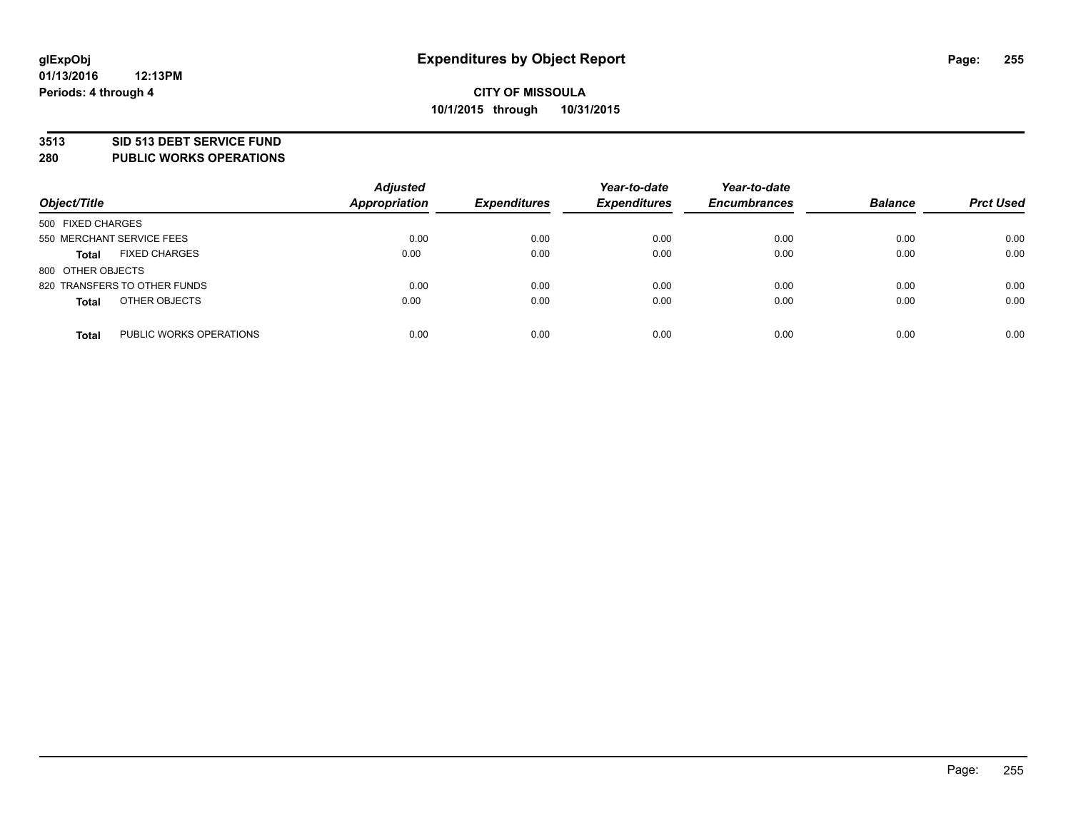#### **3513 SID 513 DEBT SERVICE FUND**

**280 PUBLIC WORKS OPERATIONS**

| Object/Title                            | <b>Adjusted</b><br><b>Appropriation</b> | <b>Expenditures</b> | Year-to-date<br><b>Expenditures</b> | Year-to-date<br><b>Encumbrances</b> | <b>Balance</b> | <b>Prct Used</b> |
|-----------------------------------------|-----------------------------------------|---------------------|-------------------------------------|-------------------------------------|----------------|------------------|
| 500 FIXED CHARGES                       |                                         |                     |                                     |                                     |                |                  |
| 550 MERCHANT SERVICE FEES               | 0.00                                    | 0.00                | 0.00                                | 0.00                                | 0.00           | 0.00             |
| <b>FIXED CHARGES</b><br><b>Total</b>    | 0.00                                    | 0.00                | 0.00                                | 0.00                                | 0.00           | 0.00             |
| 800 OTHER OBJECTS                       |                                         |                     |                                     |                                     |                |                  |
| 820 TRANSFERS TO OTHER FUNDS            | 0.00                                    | 0.00                | 0.00                                | 0.00                                | 0.00           | 0.00             |
| OTHER OBJECTS<br><b>Total</b>           | 0.00                                    | 0.00                | 0.00                                | 0.00                                | 0.00           | 0.00             |
| PUBLIC WORKS OPERATIONS<br><b>Total</b> | 0.00                                    | 0.00                | 0.00                                | 0.00                                | 0.00           | 0.00             |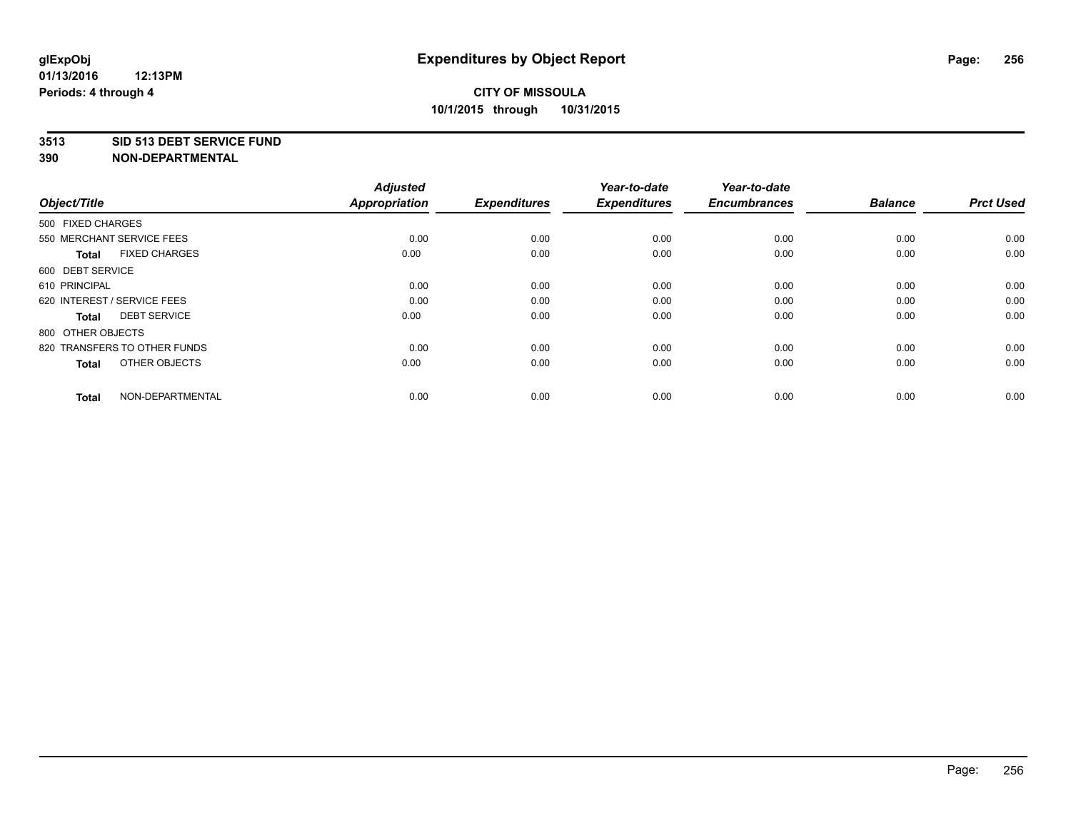#### **3513 SID 513 DEBT SERVICE FUND**

| Object/Title                         | <b>Adjusted</b><br><b>Appropriation</b> | <b>Expenditures</b> | Year-to-date<br><b>Expenditures</b> | Year-to-date<br><b>Encumbrances</b> | <b>Balance</b> | <b>Prct Used</b> |
|--------------------------------------|-----------------------------------------|---------------------|-------------------------------------|-------------------------------------|----------------|------------------|
| 500 FIXED CHARGES                    |                                         |                     |                                     |                                     |                |                  |
| 550 MERCHANT SERVICE FEES            | 0.00                                    | 0.00                | 0.00                                | 0.00                                | 0.00           | 0.00             |
| <b>FIXED CHARGES</b><br><b>Total</b> | 0.00                                    | 0.00                | 0.00                                | 0.00                                | 0.00           | 0.00             |
| 600 DEBT SERVICE                     |                                         |                     |                                     |                                     |                |                  |
| 610 PRINCIPAL                        | 0.00                                    | 0.00                | 0.00                                | 0.00                                | 0.00           | 0.00             |
| 620 INTEREST / SERVICE FEES          | 0.00                                    | 0.00                | 0.00                                | 0.00                                | 0.00           | 0.00             |
| <b>DEBT SERVICE</b><br><b>Total</b>  | 0.00                                    | 0.00                | 0.00                                | 0.00                                | 0.00           | 0.00             |
| 800 OTHER OBJECTS                    |                                         |                     |                                     |                                     |                |                  |
| 820 TRANSFERS TO OTHER FUNDS         | 0.00                                    | 0.00                | 0.00                                | 0.00                                | 0.00           | 0.00             |
| OTHER OBJECTS<br><b>Total</b>        | 0.00                                    | 0.00                | 0.00                                | 0.00                                | 0.00           | 0.00             |
|                                      |                                         |                     |                                     |                                     |                |                  |
| NON-DEPARTMENTAL<br><b>Total</b>     | 0.00                                    | 0.00                | 0.00                                | 0.00                                | 0.00           | 0.00             |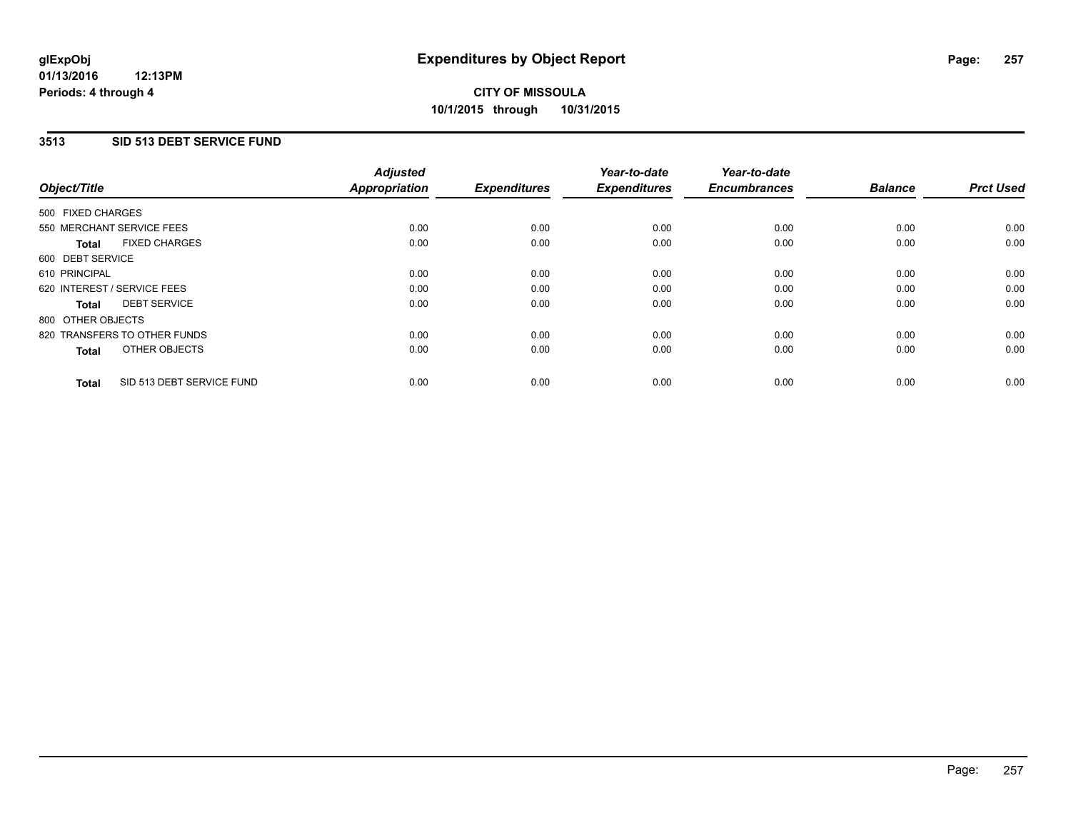#### **3513 SID 513 DEBT SERVICE FUND**

| Object/Title                              | <b>Adjusted</b><br><b>Appropriation</b> | <b>Expenditures</b> | Year-to-date<br><b>Expenditures</b> | Year-to-date<br><b>Encumbrances</b> | <b>Balance</b> | <b>Prct Used</b> |
|-------------------------------------------|-----------------------------------------|---------------------|-------------------------------------|-------------------------------------|----------------|------------------|
| 500 FIXED CHARGES                         |                                         |                     |                                     |                                     |                |                  |
| 550 MERCHANT SERVICE FEES                 | 0.00                                    | 0.00                | 0.00                                | 0.00                                | 0.00           | 0.00             |
| <b>FIXED CHARGES</b><br>Total             | 0.00                                    | 0.00                | 0.00                                | 0.00                                | 0.00           | 0.00             |
| 600 DEBT SERVICE                          |                                         |                     |                                     |                                     |                |                  |
| 610 PRINCIPAL                             | 0.00                                    | 0.00                | 0.00                                | 0.00                                | 0.00           | 0.00             |
| 620 INTEREST / SERVICE FEES               | 0.00                                    | 0.00                | 0.00                                | 0.00                                | 0.00           | 0.00             |
| <b>DEBT SERVICE</b><br>Total              | 0.00                                    | 0.00                | 0.00                                | 0.00                                | 0.00           | 0.00             |
| 800 OTHER OBJECTS                         |                                         |                     |                                     |                                     |                |                  |
| 820 TRANSFERS TO OTHER FUNDS              | 0.00                                    | 0.00                | 0.00                                | 0.00                                | 0.00           | 0.00             |
| OTHER OBJECTS<br><b>Total</b>             | 0.00                                    | 0.00                | 0.00                                | 0.00                                | 0.00           | 0.00             |
| SID 513 DEBT SERVICE FUND<br><b>Total</b> | 0.00                                    | 0.00                | 0.00                                | 0.00                                | 0.00           | 0.00             |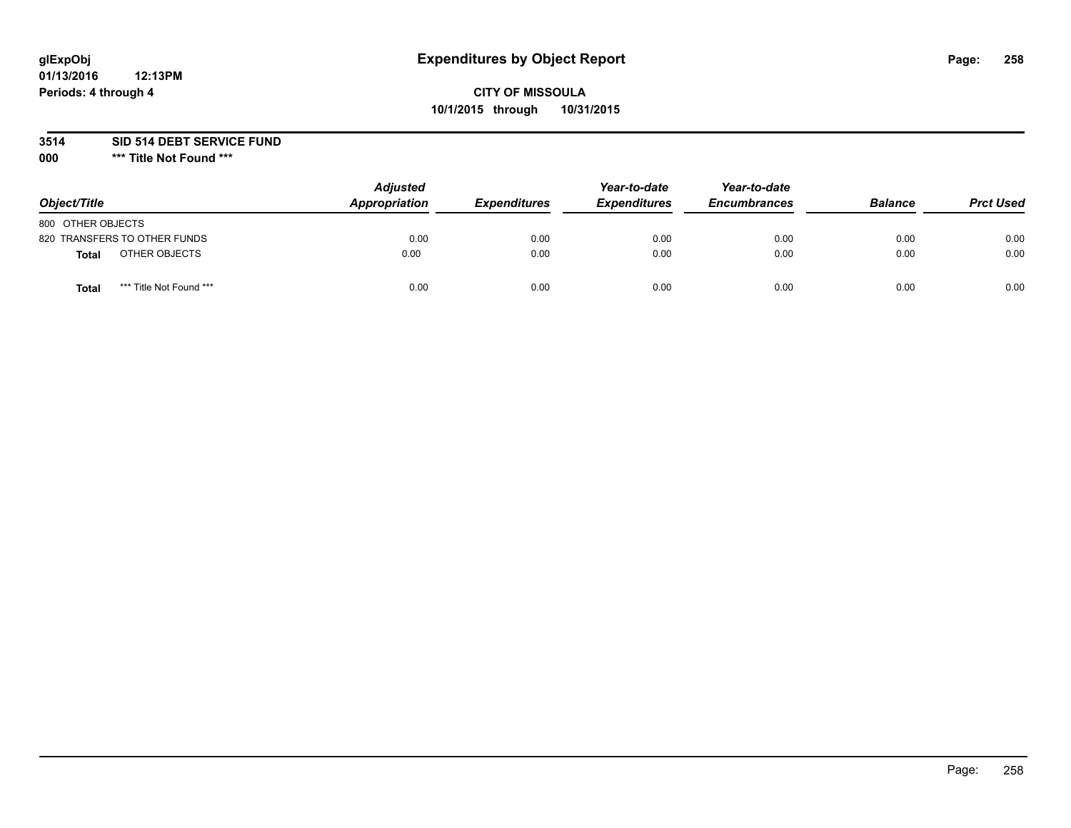# **glExpObj Expenditures by Object Report Page: 258**

## **CITY OF MISSOULA 10/1/2015 through 10/31/2015**

**3514 SID 514 DEBT SERVICE FUND**

**000 \*\*\* Title Not Found \*\*\***

| Object/Title                     | <b>Adjusted</b><br><b>Appropriation</b> | <i><b>Expenditures</b></i> | Year-to-date<br><b>Expenditures</b> | Year-to-date<br><b>Encumbrances</b> | <b>Balance</b> | <b>Prct Used</b> |
|----------------------------------|-----------------------------------------|----------------------------|-------------------------------------|-------------------------------------|----------------|------------------|
| 800 OTHER OBJECTS                |                                         |                            |                                     |                                     |                |                  |
| 820 TRANSFERS TO OTHER FUNDS     | 0.00                                    | 0.00                       | 0.00                                | 0.00                                | 0.00           | 0.00             |
| OTHER OBJECTS<br><b>Total</b>    | 0.00                                    | 0.00                       | 0.00                                | 0.00                                | 0.00           | 0.00             |
| *** Title Not Found ***<br>Total | 0.00                                    | 0.00                       | 0.00                                | 0.00                                | 0.00           | 0.00             |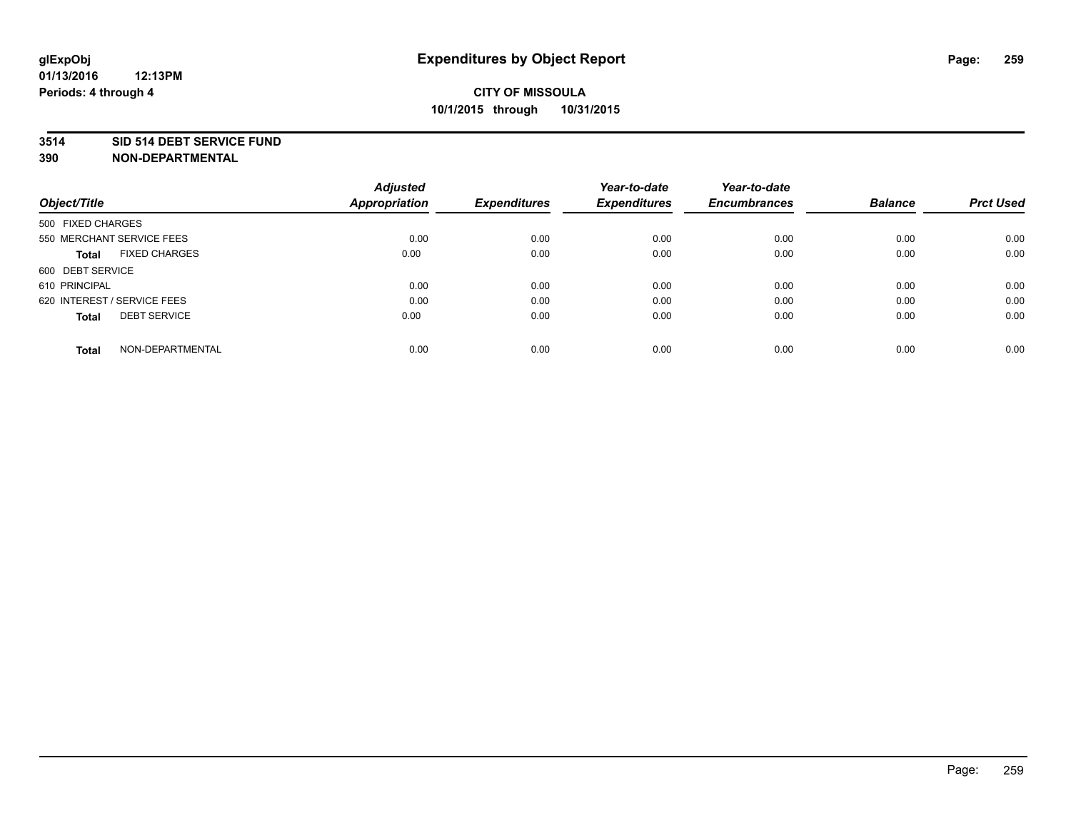#### **3514 SID 514 DEBT SERVICE FUND**

| Object/Title                         | <b>Adjusted</b><br><b>Appropriation</b> | <b>Expenditures</b> | Year-to-date<br><b>Expenditures</b> | Year-to-date<br><b>Encumbrances</b> | <b>Balance</b> | <b>Prct Used</b> |
|--------------------------------------|-----------------------------------------|---------------------|-------------------------------------|-------------------------------------|----------------|------------------|
|                                      |                                         |                     |                                     |                                     |                |                  |
| 500 FIXED CHARGES                    |                                         |                     |                                     |                                     |                |                  |
| 550 MERCHANT SERVICE FEES            | 0.00                                    | 0.00                | 0.00                                | 0.00                                | 0.00           | 0.00             |
| <b>FIXED CHARGES</b><br><b>Total</b> | 0.00                                    | 0.00                | 0.00                                | 0.00                                | 0.00           | 0.00             |
| 600 DEBT SERVICE                     |                                         |                     |                                     |                                     |                |                  |
| 610 PRINCIPAL                        | 0.00                                    | 0.00                | 0.00                                | 0.00                                | 0.00           | 0.00             |
| 620 INTEREST / SERVICE FEES          | 0.00                                    | 0.00                | 0.00                                | 0.00                                | 0.00           | 0.00             |
| <b>DEBT SERVICE</b><br>Total         | 0.00                                    | 0.00                | 0.00                                | 0.00                                | 0.00           | 0.00             |
|                                      |                                         |                     |                                     |                                     |                |                  |
| NON-DEPARTMENTAL<br><b>Total</b>     | 0.00                                    | 0.00                | 0.00                                | 0.00                                | 0.00           | 0.00             |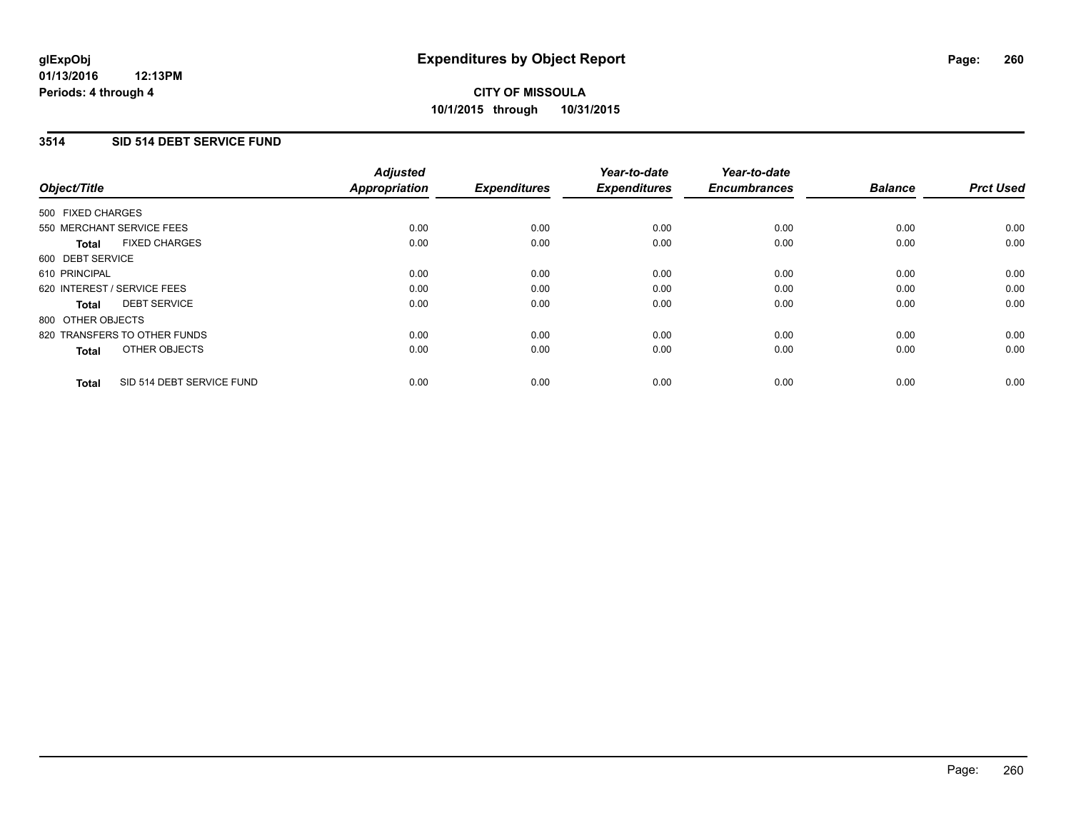#### **3514 SID 514 DEBT SERVICE FUND**

| Object/Title      |                              | <b>Adjusted</b><br>Appropriation | <b>Expenditures</b> | Year-to-date<br><b>Expenditures</b> | Year-to-date<br><b>Encumbrances</b> | <b>Balance</b> | <b>Prct Used</b> |
|-------------------|------------------------------|----------------------------------|---------------------|-------------------------------------|-------------------------------------|----------------|------------------|
| 500 FIXED CHARGES |                              |                                  |                     |                                     |                                     |                |                  |
|                   | 550 MERCHANT SERVICE FEES    | 0.00                             | 0.00                | 0.00                                | 0.00                                | 0.00           | 0.00             |
| <b>Total</b>      | <b>FIXED CHARGES</b>         | 0.00                             | 0.00                | 0.00                                | 0.00                                | 0.00           | 0.00             |
| 600 DEBT SERVICE  |                              |                                  |                     |                                     |                                     |                |                  |
| 610 PRINCIPAL     |                              | 0.00                             | 0.00                | 0.00                                | 0.00                                | 0.00           | 0.00             |
|                   | 620 INTEREST / SERVICE FEES  | 0.00                             | 0.00                | 0.00                                | 0.00                                | 0.00           | 0.00             |
| Total             | <b>DEBT SERVICE</b>          | 0.00                             | 0.00                | 0.00                                | 0.00                                | 0.00           | 0.00             |
| 800 OTHER OBJECTS |                              |                                  |                     |                                     |                                     |                |                  |
|                   | 820 TRANSFERS TO OTHER FUNDS | 0.00                             | 0.00                | 0.00                                | 0.00                                | 0.00           | 0.00             |
| <b>Total</b>      | OTHER OBJECTS                | 0.00                             | 0.00                | 0.00                                | 0.00                                | 0.00           | 0.00             |
| <b>Total</b>      | SID 514 DEBT SERVICE FUND    | 0.00                             | 0.00                | 0.00                                | 0.00                                | 0.00           | 0.00             |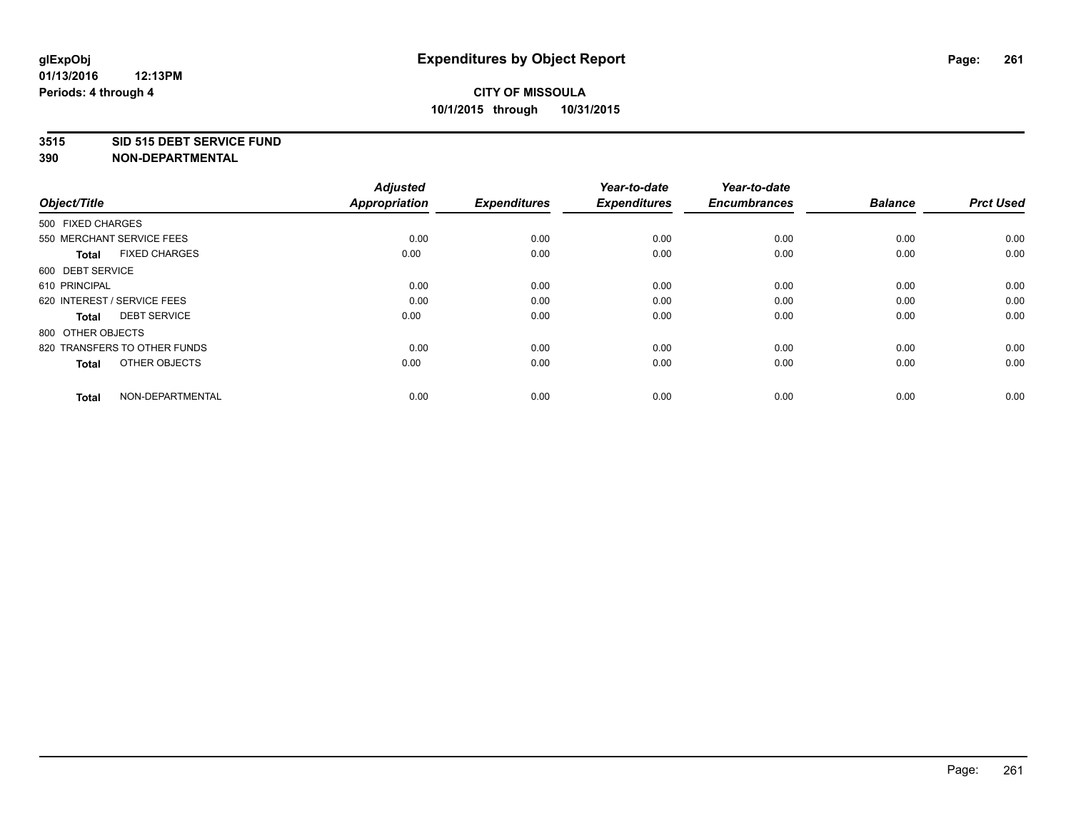#### **3515 SID 515 DEBT SERVICE FUND**

| Object/Title                         | <b>Adjusted</b><br><b>Appropriation</b> | <b>Expenditures</b> | Year-to-date<br><b>Expenditures</b> | Year-to-date<br><b>Encumbrances</b> | <b>Balance</b> | <b>Prct Used</b> |
|--------------------------------------|-----------------------------------------|---------------------|-------------------------------------|-------------------------------------|----------------|------------------|
| 500 FIXED CHARGES                    |                                         |                     |                                     |                                     |                |                  |
| 550 MERCHANT SERVICE FEES            | 0.00                                    | 0.00                | 0.00                                | 0.00                                | 0.00           | 0.00             |
| <b>FIXED CHARGES</b><br><b>Total</b> | 0.00                                    | 0.00                | 0.00                                | 0.00                                | 0.00           | 0.00             |
| 600 DEBT SERVICE                     |                                         |                     |                                     |                                     |                |                  |
| 610 PRINCIPAL                        | 0.00                                    | 0.00                | 0.00                                | 0.00                                | 0.00           | 0.00             |
| 620 INTEREST / SERVICE FEES          | 0.00                                    | 0.00                | 0.00                                | 0.00                                | 0.00           | 0.00             |
| <b>DEBT SERVICE</b><br><b>Total</b>  | 0.00                                    | 0.00                | 0.00                                | 0.00                                | 0.00           | 0.00             |
| 800 OTHER OBJECTS                    |                                         |                     |                                     |                                     |                |                  |
| 820 TRANSFERS TO OTHER FUNDS         | 0.00                                    | 0.00                | 0.00                                | 0.00                                | 0.00           | 0.00             |
| OTHER OBJECTS<br><b>Total</b>        | 0.00                                    | 0.00                | 0.00                                | 0.00                                | 0.00           | 0.00             |
|                                      |                                         |                     |                                     |                                     |                |                  |
| NON-DEPARTMENTAL<br><b>Total</b>     | 0.00                                    | 0.00                | 0.00                                | 0.00                                | 0.00           | 0.00             |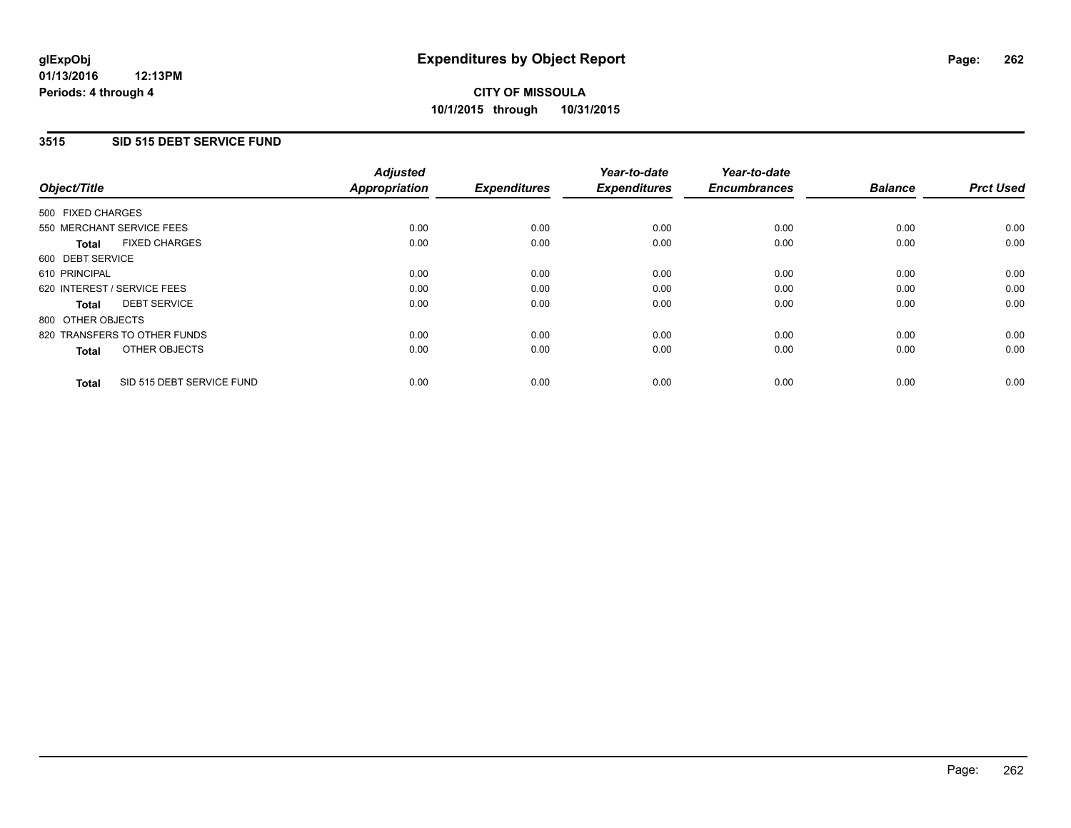#### **3515 SID 515 DEBT SERVICE FUND**

| Object/Title      |                              | <b>Adjusted</b><br>Appropriation | <b>Expenditures</b> | Year-to-date<br><b>Expenditures</b> | Year-to-date<br><b>Encumbrances</b> | <b>Balance</b> | <b>Prct Used</b> |
|-------------------|------------------------------|----------------------------------|---------------------|-------------------------------------|-------------------------------------|----------------|------------------|
| 500 FIXED CHARGES |                              |                                  |                     |                                     |                                     |                |                  |
|                   | 550 MERCHANT SERVICE FEES    | 0.00                             | 0.00                | 0.00                                | 0.00                                | 0.00           | 0.00             |
| <b>Total</b>      | <b>FIXED CHARGES</b>         | 0.00                             | 0.00                | 0.00                                | 0.00                                | 0.00           | 0.00             |
| 600 DEBT SERVICE  |                              |                                  |                     |                                     |                                     |                |                  |
| 610 PRINCIPAL     |                              | 0.00                             | 0.00                | 0.00                                | 0.00                                | 0.00           | 0.00             |
|                   | 620 INTEREST / SERVICE FEES  | 0.00                             | 0.00                | 0.00                                | 0.00                                | 0.00           | 0.00             |
| Total             | <b>DEBT SERVICE</b>          | 0.00                             | 0.00                | 0.00                                | 0.00                                | 0.00           | 0.00             |
| 800 OTHER OBJECTS |                              |                                  |                     |                                     |                                     |                |                  |
|                   | 820 TRANSFERS TO OTHER FUNDS | 0.00                             | 0.00                | 0.00                                | 0.00                                | 0.00           | 0.00             |
| <b>Total</b>      | OTHER OBJECTS                | 0.00                             | 0.00                | 0.00                                | 0.00                                | 0.00           | 0.00             |
| <b>Total</b>      | SID 515 DEBT SERVICE FUND    | 0.00                             | 0.00                | 0.00                                | 0.00                                | 0.00           | 0.00             |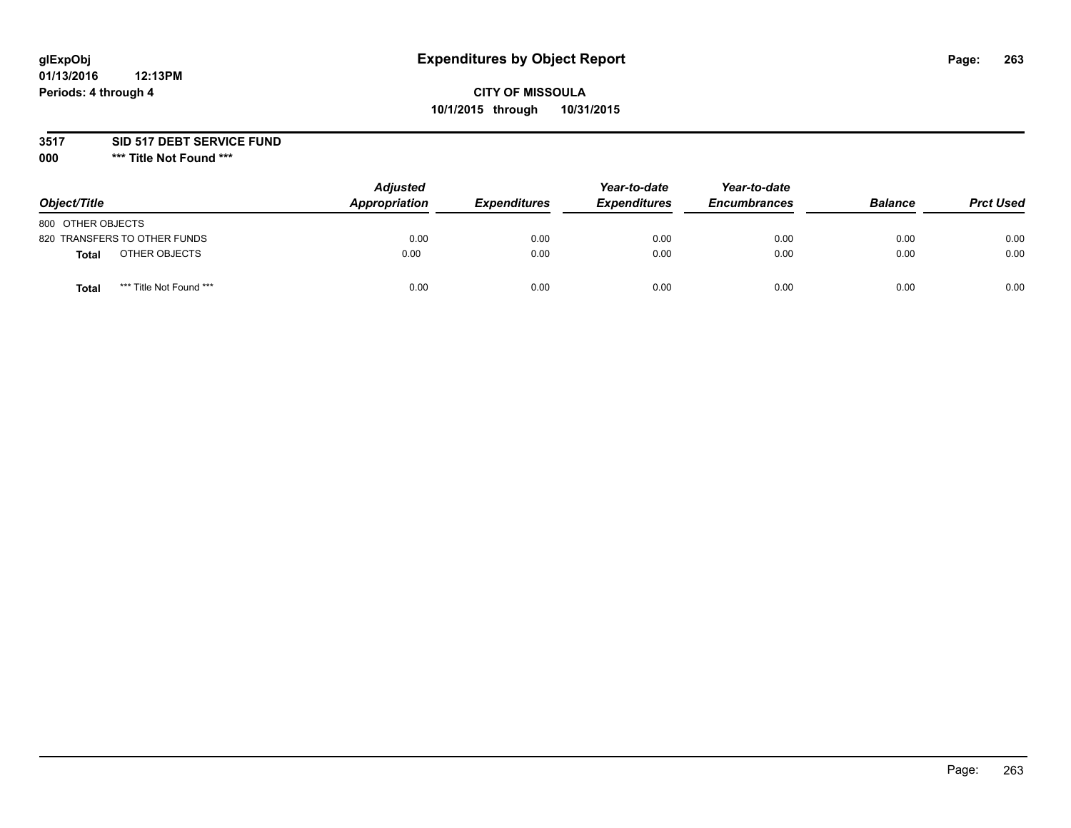# **glExpObj Expenditures by Object Report Page: 263**

### **CITY OF MISSOULA 10/1/2015 through 10/31/2015**

**3517 SID 517 DEBT SERVICE FUND**

**000 \*\*\* Title Not Found \*\*\***

| Object/Title                            | <b>Adjusted</b><br>Appropriation | <b>Expenditures</b> | Year-to-date<br><b>Expenditures</b> | Year-to-date<br><b>Encumbrances</b> | <b>Balance</b> | <b>Prct Used</b> |
|-----------------------------------------|----------------------------------|---------------------|-------------------------------------|-------------------------------------|----------------|------------------|
| 800 OTHER OBJECTS                       |                                  |                     |                                     |                                     |                |                  |
| 820 TRANSFERS TO OTHER FUNDS            | 0.00                             | 0.00                | 0.00                                | 0.00                                | 0.00           | 0.00             |
| OTHER OBJECTS<br><b>Total</b>           | 0.00                             | 0.00                | 0.00                                | 0.00                                | 0.00           | 0.00             |
| *** Title Not Found ***<br><b>Total</b> | 0.00                             | 0.00                | 0.00                                | 0.00                                | 0.00           | 0.00             |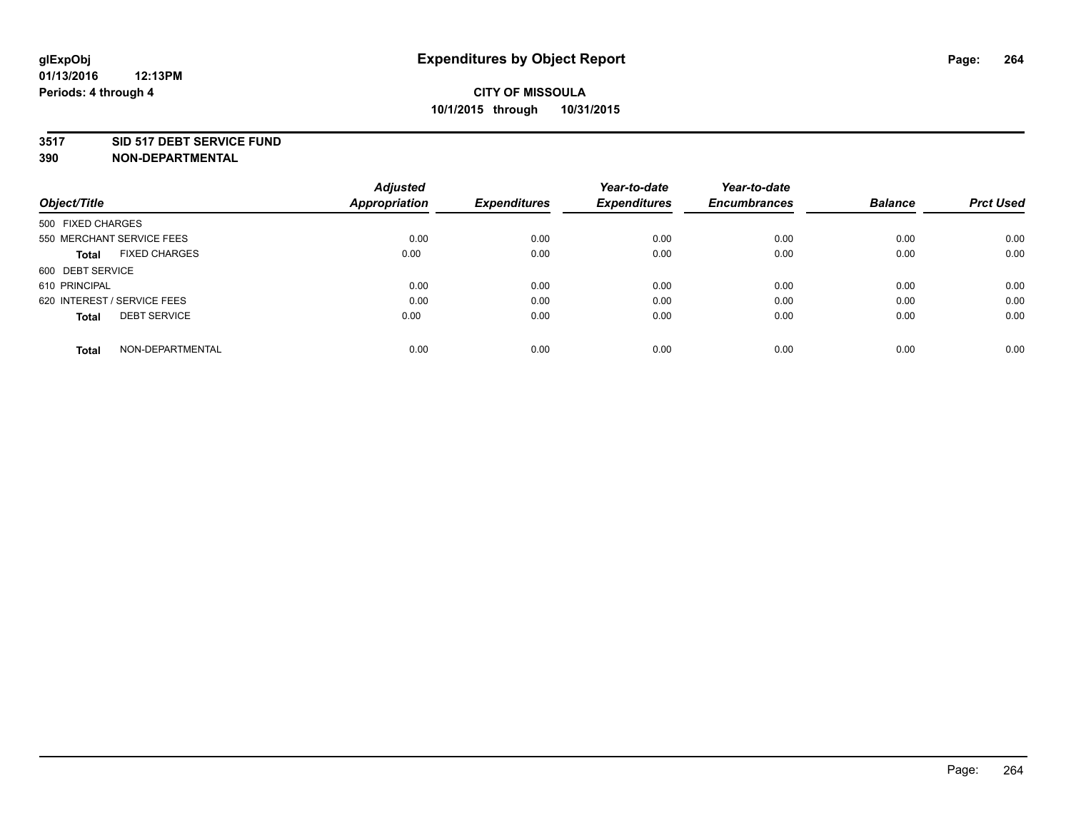#### **3517 SID 517 DEBT SERVICE FUND**

|                                      | <b>Adjusted</b>      |                     | Year-to-date        | Year-to-date        |                |                  |
|--------------------------------------|----------------------|---------------------|---------------------|---------------------|----------------|------------------|
| Object/Title                         | <b>Appropriation</b> | <b>Expenditures</b> | <b>Expenditures</b> | <b>Encumbrances</b> | <b>Balance</b> | <b>Prct Used</b> |
| 500 FIXED CHARGES                    |                      |                     |                     |                     |                |                  |
| 550 MERCHANT SERVICE FEES            | 0.00                 | 0.00                | 0.00                | 0.00                | 0.00           | 0.00             |
| <b>FIXED CHARGES</b><br><b>Total</b> | 0.00                 | 0.00                | 0.00                | 0.00                | 0.00           | 0.00             |
| 600 DEBT SERVICE                     |                      |                     |                     |                     |                |                  |
| 610 PRINCIPAL                        | 0.00                 | 0.00                | 0.00                | 0.00                | 0.00           | 0.00             |
| 620 INTEREST / SERVICE FEES          | 0.00                 | 0.00                | 0.00                | 0.00                | 0.00           | 0.00             |
| <b>DEBT SERVICE</b><br><b>Total</b>  | 0.00                 | 0.00                | 0.00                | 0.00                | 0.00           | 0.00             |
| NON-DEPARTMENTAL<br><b>Total</b>     | 0.00                 | 0.00                | 0.00                | 0.00                | 0.00           | 0.00             |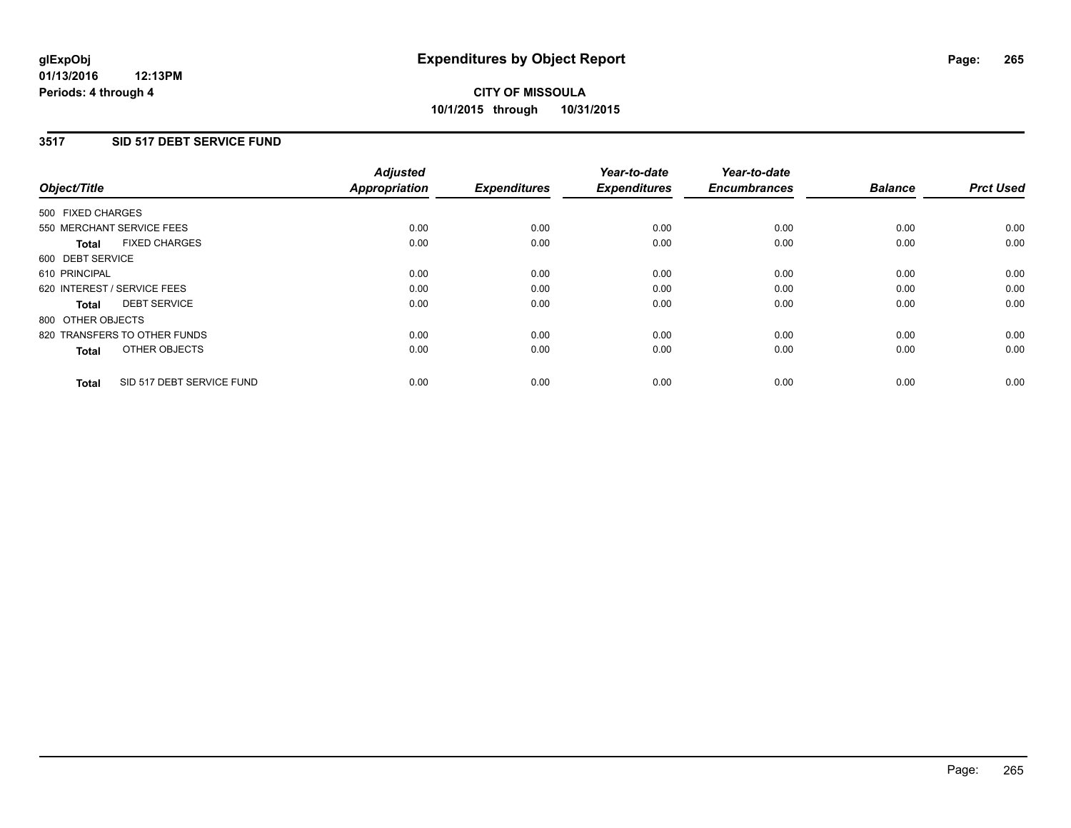### **3517 SID 517 DEBT SERVICE FUND**

|                                           | <b>Adjusted</b>      | <b>Expenditures</b> | Year-to-date<br><b>Expenditures</b> | Year-to-date<br><b>Encumbrances</b> | <b>Balance</b> | <b>Prct Used</b> |
|-------------------------------------------|----------------------|---------------------|-------------------------------------|-------------------------------------|----------------|------------------|
| Object/Title                              | <b>Appropriation</b> |                     |                                     |                                     |                |                  |
| 500 FIXED CHARGES                         |                      |                     |                                     |                                     |                |                  |
| 550 MERCHANT SERVICE FEES                 | 0.00                 | 0.00                | 0.00                                | 0.00                                | 0.00           | 0.00             |
| <b>FIXED CHARGES</b><br>Total             | 0.00                 | 0.00                | 0.00                                | 0.00                                | 0.00           | 0.00             |
| 600 DEBT SERVICE                          |                      |                     |                                     |                                     |                |                  |
| 610 PRINCIPAL                             | 0.00                 | 0.00                | 0.00                                | 0.00                                | 0.00           | 0.00             |
| 620 INTEREST / SERVICE FEES               | 0.00                 | 0.00                | 0.00                                | 0.00                                | 0.00           | 0.00             |
| <b>DEBT SERVICE</b><br>Total              | 0.00                 | 0.00                | 0.00                                | 0.00                                | 0.00           | 0.00             |
| 800 OTHER OBJECTS                         |                      |                     |                                     |                                     |                |                  |
| 820 TRANSFERS TO OTHER FUNDS              | 0.00                 | 0.00                | 0.00                                | 0.00                                | 0.00           | 0.00             |
| OTHER OBJECTS<br><b>Total</b>             | 0.00                 | 0.00                | 0.00                                | 0.00                                | 0.00           | 0.00             |
| SID 517 DEBT SERVICE FUND<br><b>Total</b> | 0.00                 | 0.00                | 0.00                                | 0.00                                | 0.00           | 0.00             |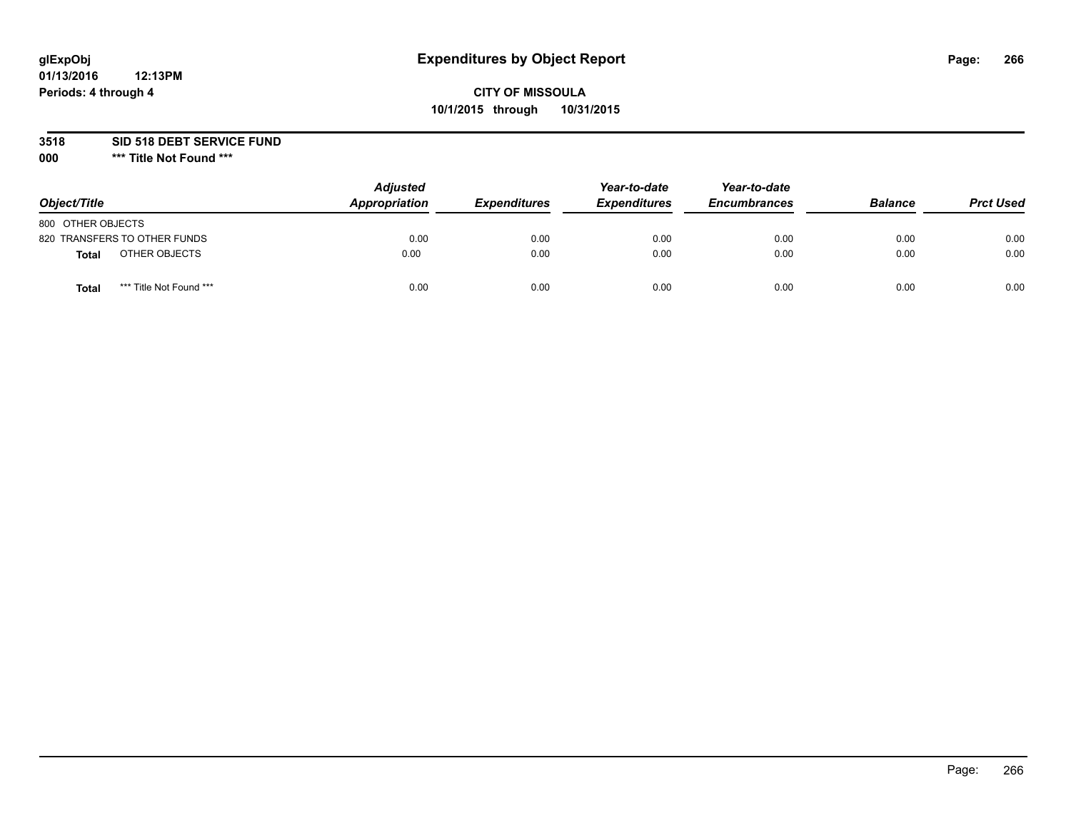# **glExpObj Expenditures by Object Report Page: 266**

## **CITY OF MISSOULA 10/1/2015 through 10/31/2015**

**3518 SID 518 DEBT SERVICE FUND**

**000 \*\*\* Title Not Found \*\*\***

| Object/Title                     | <b>Adjusted</b><br>Appropriation | <b>Expenditures</b> | Year-to-date<br><b>Expenditures</b> | Year-to-date<br><b>Encumbrances</b> | <b>Balance</b> | <b>Prct Used</b> |
|----------------------------------|----------------------------------|---------------------|-------------------------------------|-------------------------------------|----------------|------------------|
| 800 OTHER OBJECTS                |                                  |                     |                                     |                                     |                |                  |
| 820 TRANSFERS TO OTHER FUNDS     | 0.00                             | 0.00                | 0.00                                | 0.00                                | 0.00           | 0.00             |
| OTHER OBJECTS<br><b>Total</b>    | 0.00                             | 0.00                | 0.00                                | 0.00                                | 0.00           | 0.00             |
| *** Title Not Found ***<br>Total | 0.00                             | 0.00                | 0.00                                | 0.00                                | 0.00           | 0.00             |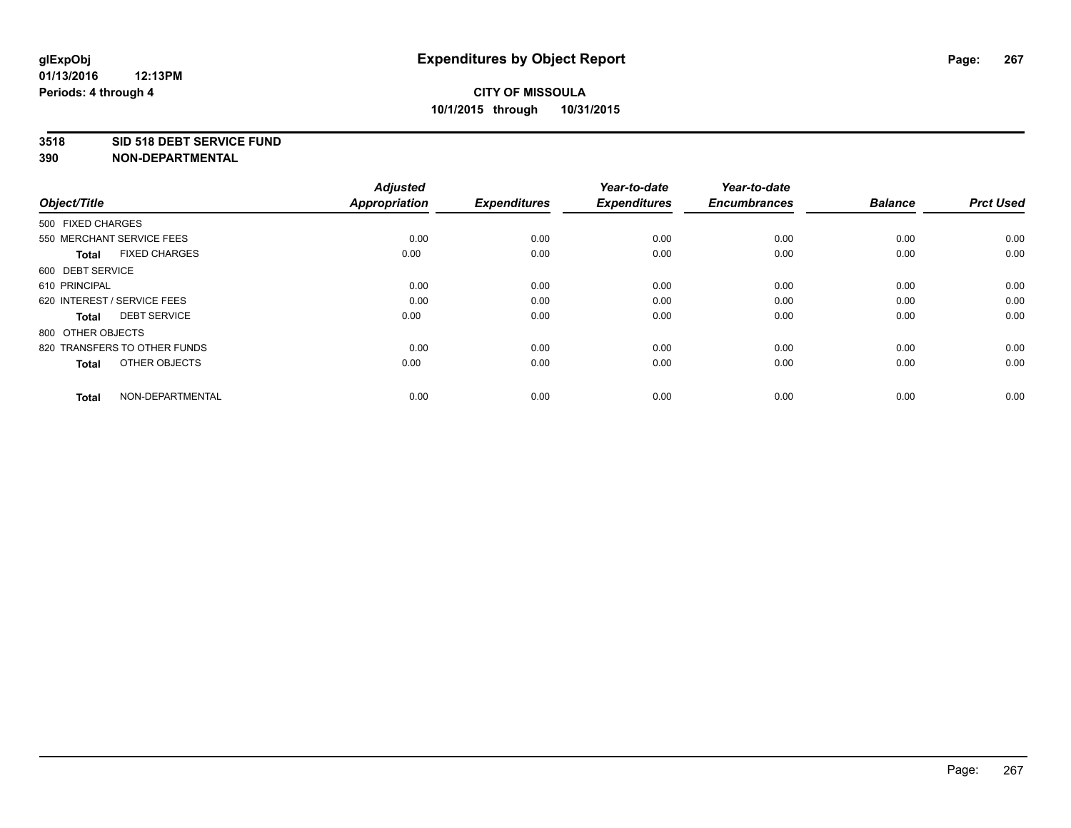#### **3518 SID 518 DEBT SERVICE FUND**

| Object/Title                         | <b>Adjusted</b><br><b>Appropriation</b> | <b>Expenditures</b> | Year-to-date<br><b>Expenditures</b> | Year-to-date<br><b>Encumbrances</b> | <b>Balance</b> | <b>Prct Used</b> |
|--------------------------------------|-----------------------------------------|---------------------|-------------------------------------|-------------------------------------|----------------|------------------|
| 500 FIXED CHARGES                    |                                         |                     |                                     |                                     |                |                  |
| 550 MERCHANT SERVICE FEES            | 0.00                                    | 0.00                | 0.00                                | 0.00                                | 0.00           | 0.00             |
| <b>FIXED CHARGES</b><br><b>Total</b> | 0.00                                    | 0.00                | 0.00                                | 0.00                                | 0.00           | 0.00             |
| 600 DEBT SERVICE                     |                                         |                     |                                     |                                     |                |                  |
| 610 PRINCIPAL                        | 0.00                                    | 0.00                | 0.00                                | 0.00                                | 0.00           | 0.00             |
| 620 INTEREST / SERVICE FEES          | 0.00                                    | 0.00                | 0.00                                | 0.00                                | 0.00           | 0.00             |
| <b>DEBT SERVICE</b><br><b>Total</b>  | 0.00                                    | 0.00                | 0.00                                | 0.00                                | 0.00           | 0.00             |
| 800 OTHER OBJECTS                    |                                         |                     |                                     |                                     |                |                  |
| 820 TRANSFERS TO OTHER FUNDS         | 0.00                                    | 0.00                | 0.00                                | 0.00                                | 0.00           | 0.00             |
| OTHER OBJECTS<br><b>Total</b>        | 0.00                                    | 0.00                | 0.00                                | 0.00                                | 0.00           | 0.00             |
|                                      |                                         |                     |                                     |                                     |                |                  |
| NON-DEPARTMENTAL<br><b>Total</b>     | 0.00                                    | 0.00                | 0.00                                | 0.00                                | 0.00           | 0.00             |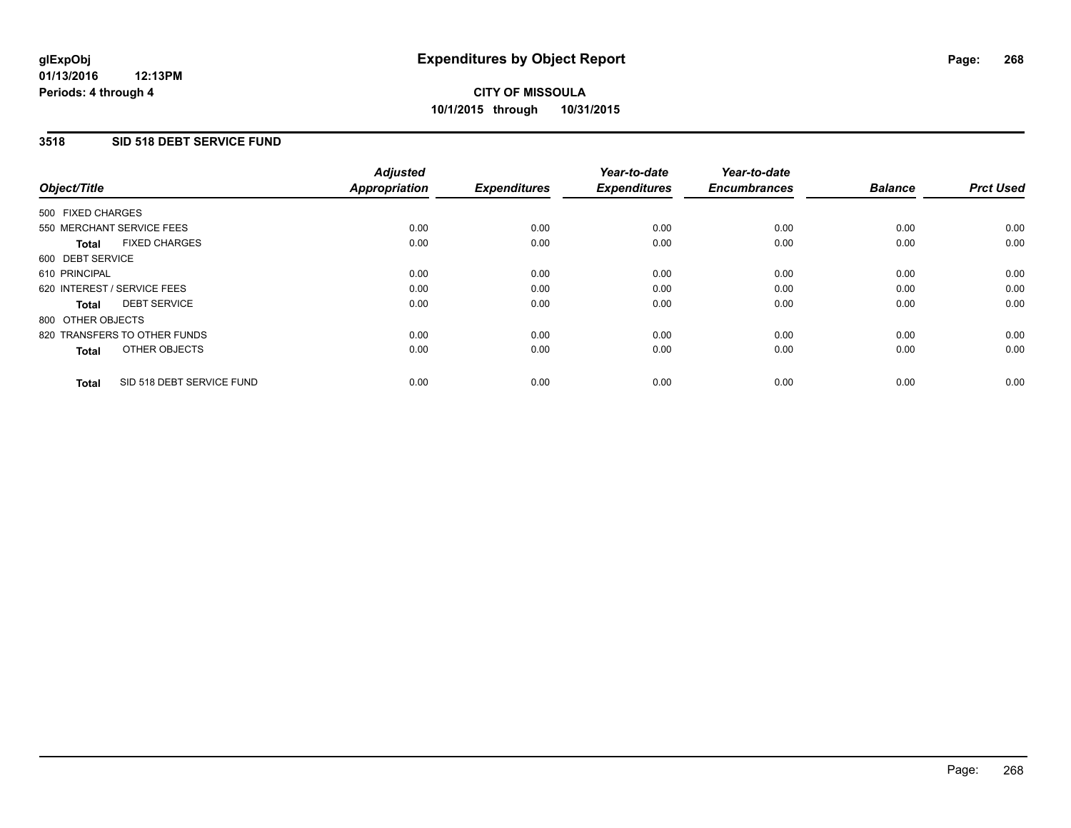### **3518 SID 518 DEBT SERVICE FUND**

| Object/Title                              | <b>Adjusted</b><br><b>Appropriation</b> | <b>Expenditures</b> | Year-to-date<br><b>Expenditures</b> | Year-to-date<br><b>Encumbrances</b> | <b>Balance</b> | <b>Prct Used</b> |
|-------------------------------------------|-----------------------------------------|---------------------|-------------------------------------|-------------------------------------|----------------|------------------|
|                                           |                                         |                     |                                     |                                     |                |                  |
| 500 FIXED CHARGES                         |                                         |                     |                                     |                                     |                |                  |
| 550 MERCHANT SERVICE FEES                 | 0.00                                    | 0.00                | 0.00                                | 0.00                                | 0.00           | 0.00             |
| <b>FIXED CHARGES</b><br>Total             | 0.00                                    | 0.00                | 0.00                                | 0.00                                | 0.00           | 0.00             |
| 600 DEBT SERVICE                          |                                         |                     |                                     |                                     |                |                  |
| 610 PRINCIPAL                             | 0.00                                    | 0.00                | 0.00                                | 0.00                                | 0.00           | 0.00             |
| 620 INTEREST / SERVICE FEES               | 0.00                                    | 0.00                | 0.00                                | 0.00                                | 0.00           | 0.00             |
| <b>DEBT SERVICE</b><br><b>Total</b>       | 0.00                                    | 0.00                | 0.00                                | 0.00                                | 0.00           | 0.00             |
| 800 OTHER OBJECTS                         |                                         |                     |                                     |                                     |                |                  |
| 820 TRANSFERS TO OTHER FUNDS              | 0.00                                    | 0.00                | 0.00                                | 0.00                                | 0.00           | 0.00             |
| OTHER OBJECTS<br><b>Total</b>             | 0.00                                    | 0.00                | 0.00                                | 0.00                                | 0.00           | 0.00             |
|                                           |                                         |                     |                                     |                                     |                |                  |
| SID 518 DEBT SERVICE FUND<br><b>Total</b> | 0.00                                    | 0.00                | 0.00                                | 0.00                                | 0.00           | 0.00             |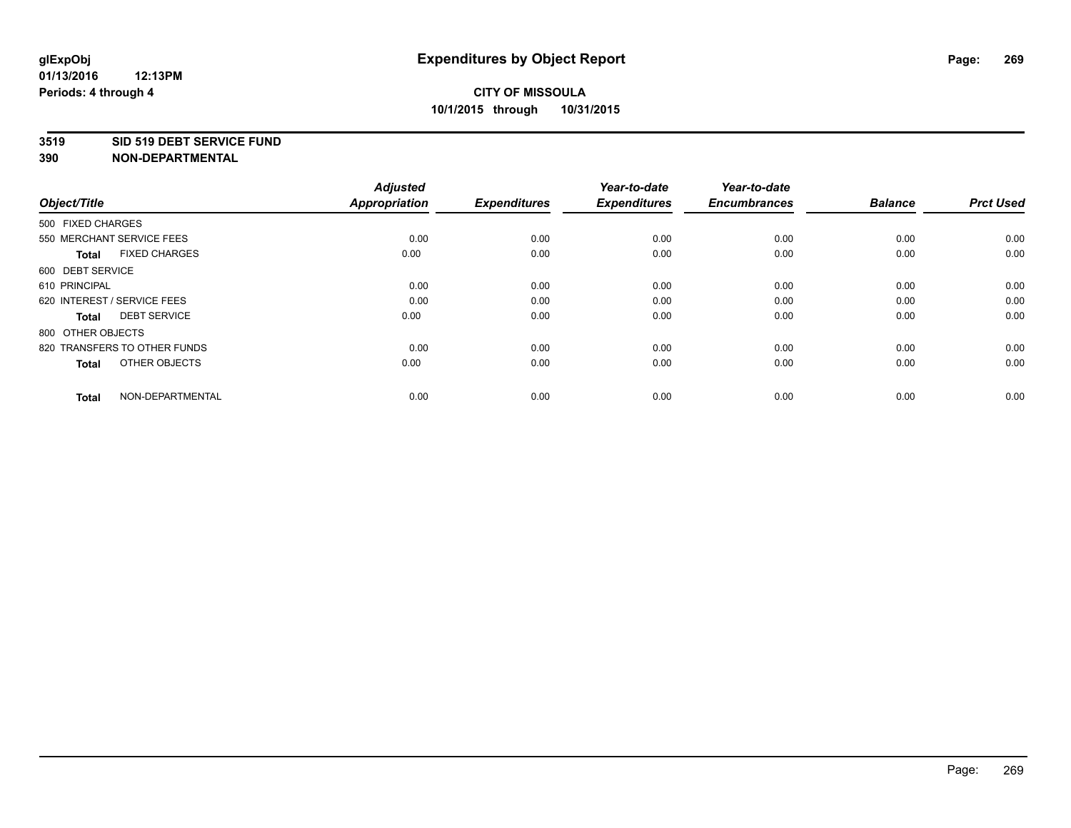#### **3519 SID 519 DEBT SERVICE FUND**

| Object/Title                         | <b>Adjusted</b><br><b>Appropriation</b> | <b>Expenditures</b> | Year-to-date<br><b>Expenditures</b> | Year-to-date<br><b>Encumbrances</b> | <b>Balance</b> | <b>Prct Used</b> |
|--------------------------------------|-----------------------------------------|---------------------|-------------------------------------|-------------------------------------|----------------|------------------|
| 500 FIXED CHARGES                    |                                         |                     |                                     |                                     |                |                  |
| 550 MERCHANT SERVICE FEES            | 0.00                                    | 0.00                | 0.00                                | 0.00                                | 0.00           | 0.00             |
| <b>FIXED CHARGES</b><br><b>Total</b> | 0.00                                    | 0.00                | 0.00                                | 0.00                                | 0.00           | 0.00             |
| 600 DEBT SERVICE                     |                                         |                     |                                     |                                     |                |                  |
| 610 PRINCIPAL                        | 0.00                                    | 0.00                | 0.00                                | 0.00                                | 0.00           | 0.00             |
| 620 INTEREST / SERVICE FEES          | 0.00                                    | 0.00                | 0.00                                | 0.00                                | 0.00           | 0.00             |
| <b>DEBT SERVICE</b><br><b>Total</b>  | 0.00                                    | 0.00                | 0.00                                | 0.00                                | 0.00           | 0.00             |
| 800 OTHER OBJECTS                    |                                         |                     |                                     |                                     |                |                  |
| 820 TRANSFERS TO OTHER FUNDS         | 0.00                                    | 0.00                | 0.00                                | 0.00                                | 0.00           | 0.00             |
| OTHER OBJECTS<br><b>Total</b>        | 0.00                                    | 0.00                | 0.00                                | 0.00                                | 0.00           | 0.00             |
|                                      |                                         |                     |                                     |                                     |                |                  |
| NON-DEPARTMENTAL<br><b>Total</b>     | 0.00                                    | 0.00                | 0.00                                | 0.00                                | 0.00           | 0.00             |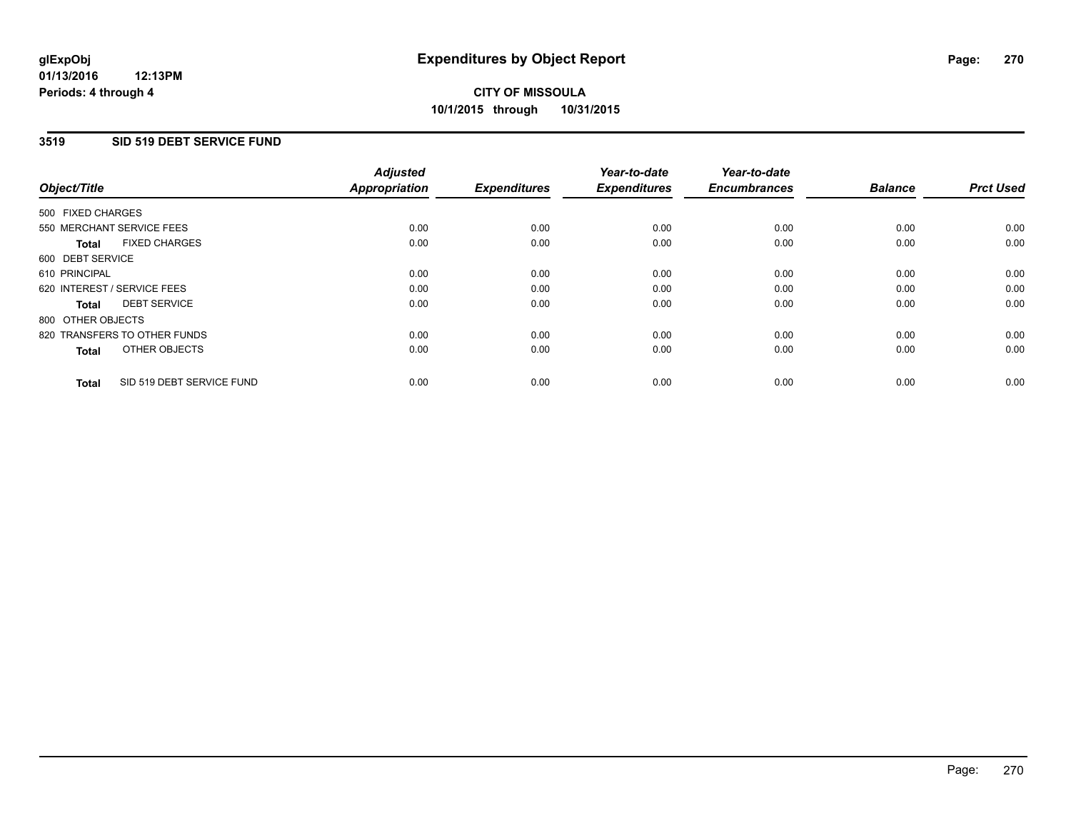### **3519 SID 519 DEBT SERVICE FUND**

| Object/Title                              | <b>Adjusted</b><br><b>Appropriation</b> | <b>Expenditures</b> | Year-to-date<br><b>Expenditures</b> | Year-to-date<br><b>Encumbrances</b> | <b>Balance</b> | <b>Prct Used</b> |
|-------------------------------------------|-----------------------------------------|---------------------|-------------------------------------|-------------------------------------|----------------|------------------|
|                                           |                                         |                     |                                     |                                     |                |                  |
| 500 FIXED CHARGES                         |                                         |                     |                                     |                                     |                |                  |
| 550 MERCHANT SERVICE FEES                 | 0.00                                    | 0.00                | 0.00                                | 0.00                                | 0.00           | 0.00             |
| <b>FIXED CHARGES</b><br>Total             | 0.00                                    | 0.00                | 0.00                                | 0.00                                | 0.00           | 0.00             |
| 600 DEBT SERVICE                          |                                         |                     |                                     |                                     |                |                  |
| 610 PRINCIPAL                             | 0.00                                    | 0.00                | 0.00                                | 0.00                                | 0.00           | 0.00             |
| 620 INTEREST / SERVICE FEES               | 0.00                                    | 0.00                | 0.00                                | 0.00                                | 0.00           | 0.00             |
| <b>DEBT SERVICE</b><br><b>Total</b>       | 0.00                                    | 0.00                | 0.00                                | 0.00                                | 0.00           | 0.00             |
| 800 OTHER OBJECTS                         |                                         |                     |                                     |                                     |                |                  |
| 820 TRANSFERS TO OTHER FUNDS              | 0.00                                    | 0.00                | 0.00                                | 0.00                                | 0.00           | 0.00             |
| OTHER OBJECTS<br><b>Total</b>             | 0.00                                    | 0.00                | 0.00                                | 0.00                                | 0.00           | 0.00             |
|                                           |                                         |                     |                                     |                                     |                |                  |
| SID 519 DEBT SERVICE FUND<br><b>Total</b> | 0.00                                    | 0.00                | 0.00                                | 0.00                                | 0.00           | 0.00             |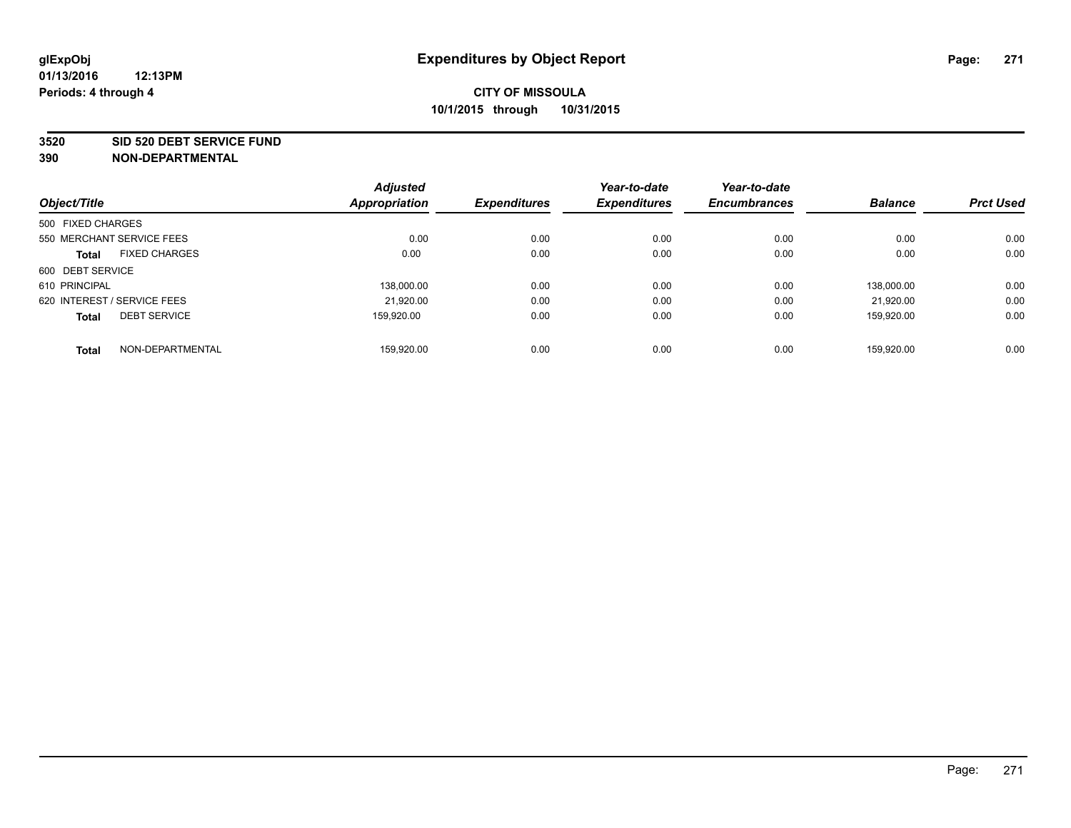#### **3520 SID 520 DEBT SERVICE FUND**

|                             |                           | <b>Adjusted</b> |                     | Year-to-date        | Year-to-date        |                |                  |
|-----------------------------|---------------------------|-----------------|---------------------|---------------------|---------------------|----------------|------------------|
| Object/Title                |                           | Appropriation   | <b>Expenditures</b> | <b>Expenditures</b> | <b>Encumbrances</b> | <b>Balance</b> | <b>Prct Used</b> |
| 500 FIXED CHARGES           |                           |                 |                     |                     |                     |                |                  |
|                             | 550 MERCHANT SERVICE FEES | 0.00            | 0.00                | 0.00                | 0.00                | 0.00           | 0.00             |
| <b>Total</b>                | <b>FIXED CHARGES</b>      | 0.00            | 0.00                | 0.00                | 0.00                | 0.00           | 0.00             |
| 600 DEBT SERVICE            |                           |                 |                     |                     |                     |                |                  |
| 610 PRINCIPAL               |                           | 138.000.00      | 0.00                | 0.00                | 0.00                | 138.000.00     | 0.00             |
| 620 INTEREST / SERVICE FEES |                           | 21,920.00       | 0.00                | 0.00                | 0.00                | 21.920.00      | 0.00             |
| <b>Total</b>                | <b>DEBT SERVICE</b>       | 159,920.00      | 0.00                | 0.00                | 0.00                | 159,920.00     | 0.00             |
| <b>Total</b>                | NON-DEPARTMENTAL          | 159.920.00      | 0.00                | 0.00                | 0.00                | 159.920.00     | 0.00             |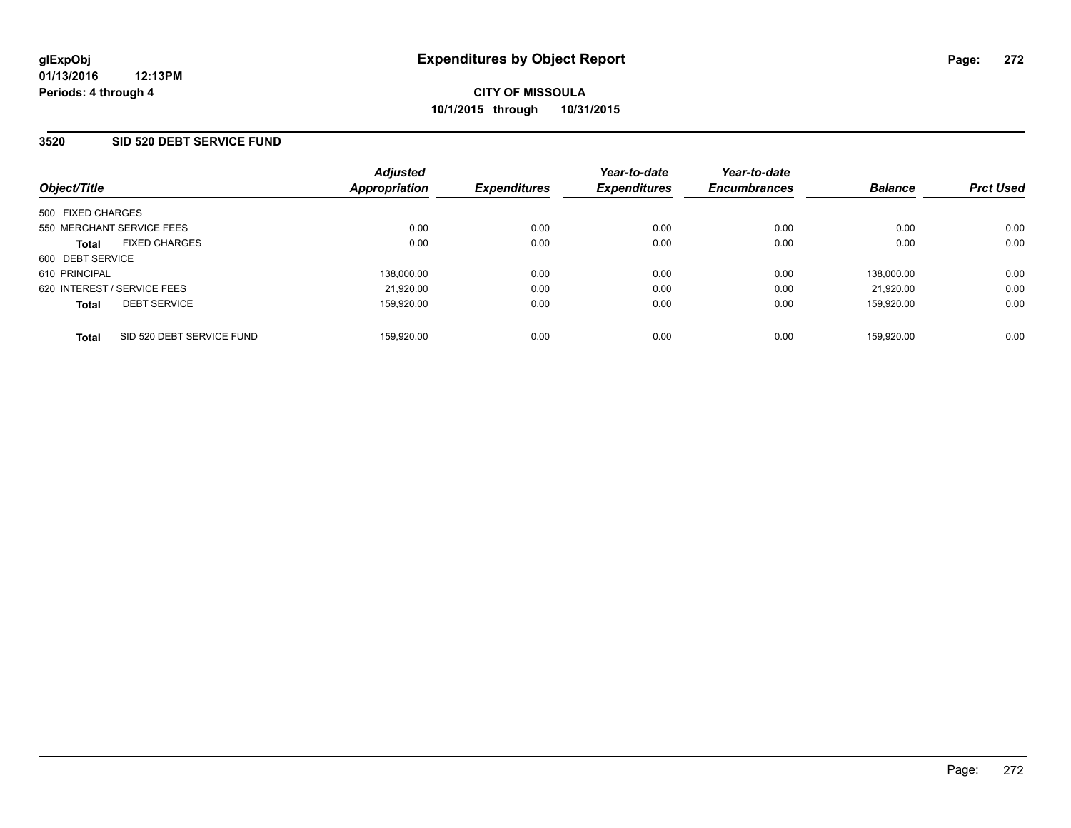#### **3520 SID 520 DEBT SERVICE FUND**

| Object/Title                              | <b>Adjusted</b><br>Appropriation | <b>Expenditures</b> | Year-to-date<br><b>Expenditures</b> | Year-to-date<br><b>Encumbrances</b> | <b>Balance</b> | <b>Prct Used</b> |
|-------------------------------------------|----------------------------------|---------------------|-------------------------------------|-------------------------------------|----------------|------------------|
| 500 FIXED CHARGES                         |                                  |                     |                                     |                                     |                |                  |
| 550 MERCHANT SERVICE FEES                 | 0.00                             | 0.00                | 0.00                                | 0.00                                | 0.00           | 0.00             |
| <b>FIXED CHARGES</b><br><b>Total</b>      | 0.00                             | 0.00                | 0.00                                | 0.00                                | 0.00           | 0.00             |
| 600 DEBT SERVICE                          |                                  |                     |                                     |                                     |                |                  |
| 610 PRINCIPAL                             | 138,000.00                       | 0.00                | 0.00                                | 0.00                                | 138.000.00     | 0.00             |
| 620 INTEREST / SERVICE FEES               | 21,920.00                        | 0.00                | 0.00                                | 0.00                                | 21.920.00      | 0.00             |
| <b>DEBT SERVICE</b><br><b>Total</b>       | 159.920.00                       | 0.00                | 0.00                                | 0.00                                | 159.920.00     | 0.00             |
| SID 520 DEBT SERVICE FUND<br><b>Total</b> | 159,920.00                       | 0.00                | 0.00                                | 0.00                                | 159.920.00     | 0.00             |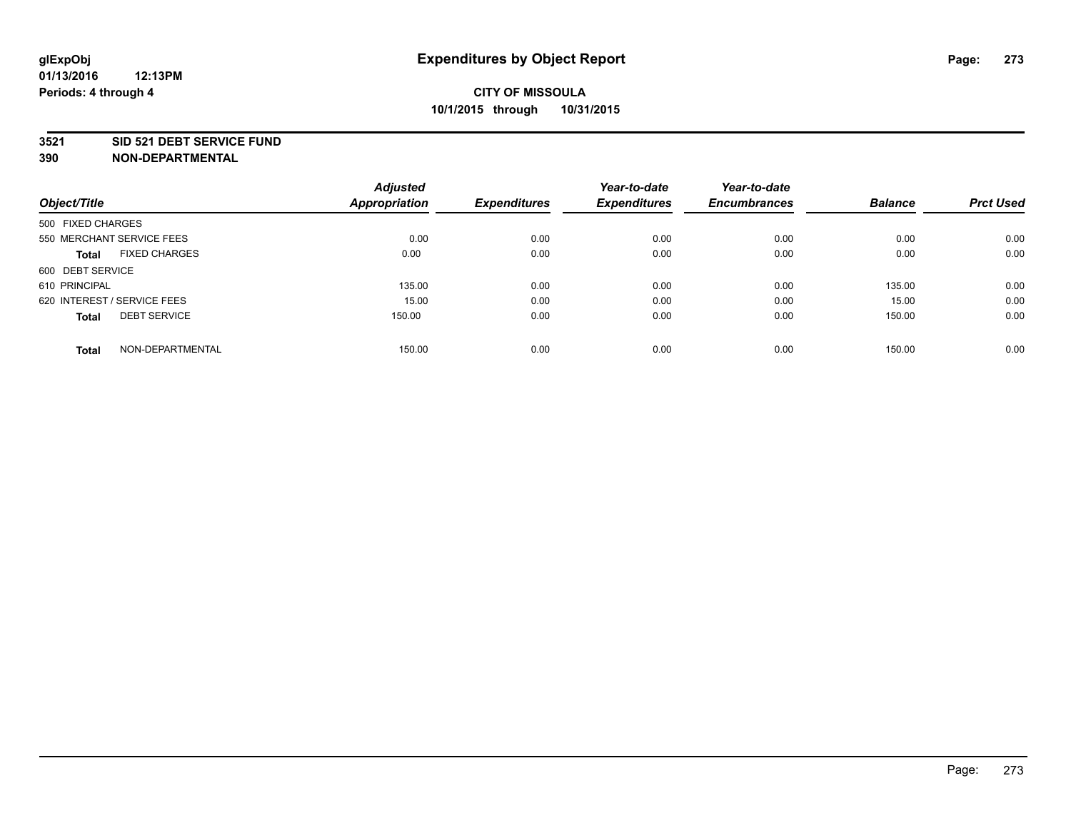#### **3521 SID 521 DEBT SERVICE FUND**

| Object/Title                         | <b>Adjusted</b><br><b>Appropriation</b> | <b>Expenditures</b> | Year-to-date<br><b>Expenditures</b> | Year-to-date<br><b>Encumbrances</b> | <b>Balance</b> | <b>Prct Used</b> |
|--------------------------------------|-----------------------------------------|---------------------|-------------------------------------|-------------------------------------|----------------|------------------|
| 500 FIXED CHARGES                    |                                         |                     |                                     |                                     |                |                  |
| 550 MERCHANT SERVICE FEES            | 0.00                                    | 0.00                | 0.00                                | 0.00                                | 0.00           | 0.00             |
| <b>FIXED CHARGES</b><br><b>Total</b> | 0.00                                    | 0.00                | 0.00                                | 0.00                                | 0.00           | 0.00             |
| 600 DEBT SERVICE                     |                                         |                     |                                     |                                     |                |                  |
| 610 PRINCIPAL                        | 135.00                                  | 0.00                | 0.00                                | 0.00                                | 135.00         | 0.00             |
| 620 INTEREST / SERVICE FEES          | 15.00                                   | 0.00                | 0.00                                | 0.00                                | 15.00          | 0.00             |
| <b>DEBT SERVICE</b><br><b>Total</b>  | 150.00                                  | 0.00                | 0.00                                | 0.00                                | 150.00         | 0.00             |
| NON-DEPARTMENTAL<br><b>Total</b>     | 150.00                                  | 0.00                | 0.00                                | 0.00                                | 150.00         | 0.00             |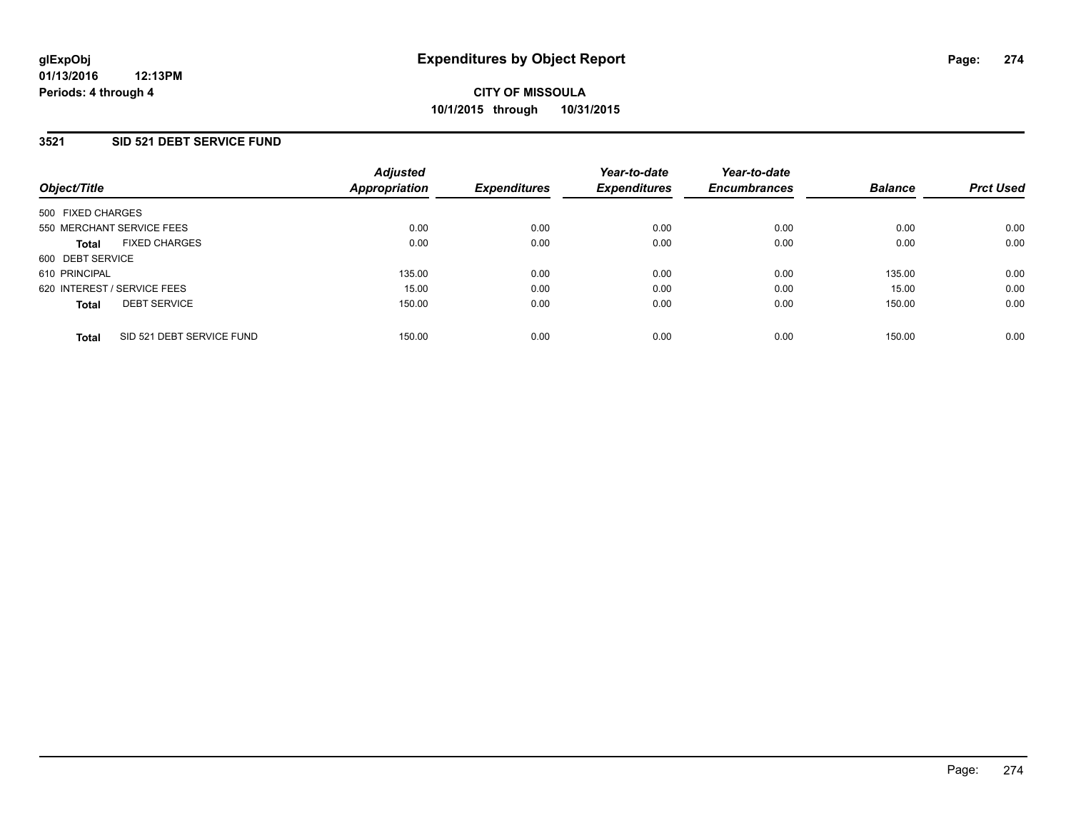#### **3521 SID 521 DEBT SERVICE FUND**

| Object/Title                              | <b>Adjusted</b><br><b>Appropriation</b> | <b>Expenditures</b> | Year-to-date<br><b>Expenditures</b> | Year-to-date<br><b>Encumbrances</b> | <b>Balance</b> | <b>Prct Used</b> |
|-------------------------------------------|-----------------------------------------|---------------------|-------------------------------------|-------------------------------------|----------------|------------------|
| 500 FIXED CHARGES                         |                                         |                     |                                     |                                     |                |                  |
| 550 MERCHANT SERVICE FEES                 | 0.00                                    | 0.00                | 0.00                                | 0.00                                | 0.00           | 0.00             |
| <b>FIXED CHARGES</b><br><b>Total</b>      | 0.00                                    | 0.00                | 0.00                                | 0.00                                | 0.00           | 0.00             |
| 600 DEBT SERVICE                          |                                         |                     |                                     |                                     |                |                  |
| 610 PRINCIPAL                             | 135.00                                  | 0.00                | 0.00                                | 0.00                                | 135.00         | 0.00             |
| 620 INTEREST / SERVICE FEES               | 15.00                                   | 0.00                | 0.00                                | 0.00                                | 15.00          | 0.00             |
| <b>DEBT SERVICE</b><br><b>Total</b>       | 150.00                                  | 0.00                | 0.00                                | 0.00                                | 150.00         | 0.00             |
| SID 521 DEBT SERVICE FUND<br><b>Total</b> | 150.00                                  | 0.00                | 0.00                                | 0.00                                | 150.00         | 0.00             |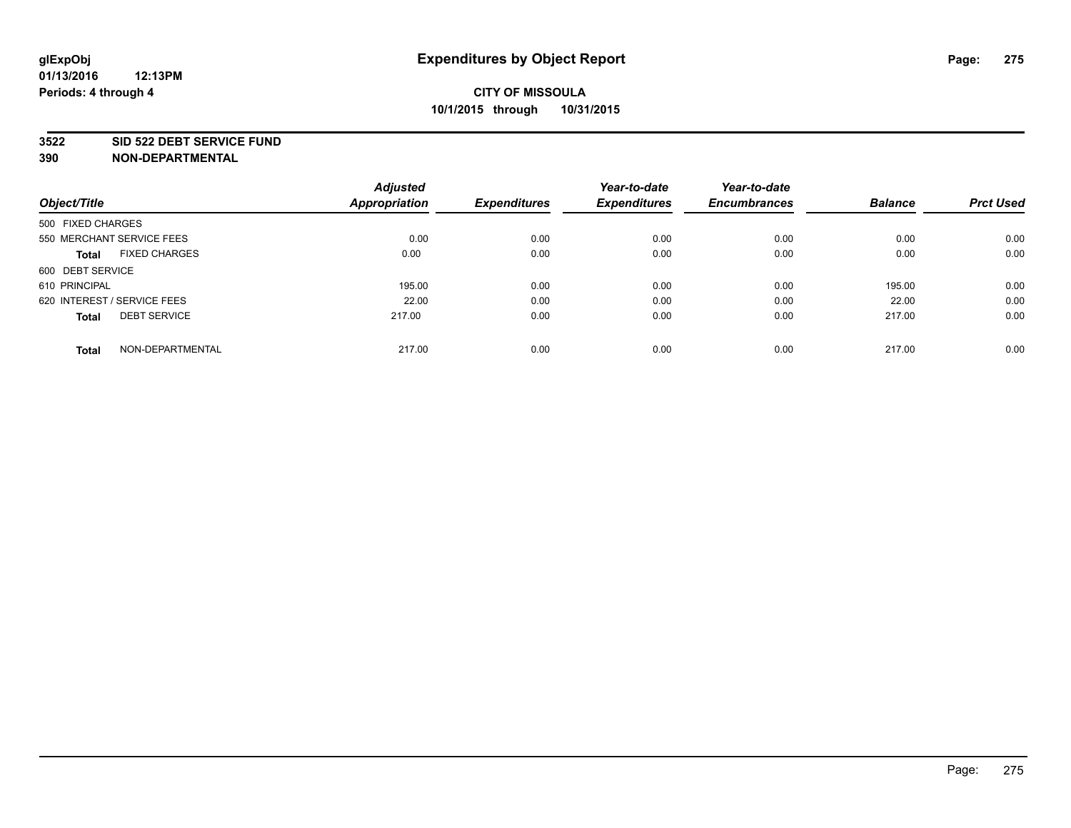#### **3522 SID 522 DEBT SERVICE FUND**

|                                      | <b>Adjusted</b>      |                     | Year-to-date        | Year-to-date        |                |                  |
|--------------------------------------|----------------------|---------------------|---------------------|---------------------|----------------|------------------|
| Object/Title                         | <b>Appropriation</b> | <b>Expenditures</b> | <b>Expenditures</b> | <b>Encumbrances</b> | <b>Balance</b> | <b>Prct Used</b> |
| 500 FIXED CHARGES                    |                      |                     |                     |                     |                |                  |
| 550 MERCHANT SERVICE FEES            | 0.00                 | 0.00                | 0.00                | 0.00                | 0.00           | 0.00             |
| <b>FIXED CHARGES</b><br><b>Total</b> | 0.00                 | 0.00                | 0.00                | 0.00                | 0.00           | 0.00             |
| 600 DEBT SERVICE                     |                      |                     |                     |                     |                |                  |
| 610 PRINCIPAL                        | 195.00               | 0.00                | 0.00                | 0.00                | 195.00         | 0.00             |
| 620 INTEREST / SERVICE FEES          | 22.00                | 0.00                | 0.00                | 0.00                | 22.00          | 0.00             |
| <b>DEBT SERVICE</b><br><b>Total</b>  | 217.00               | 0.00                | 0.00                | 0.00                | 217.00         | 0.00             |
| NON-DEPARTMENTAL<br><b>Total</b>     | 217.00               | 0.00                | 0.00                | 0.00                | 217.00         | 0.00             |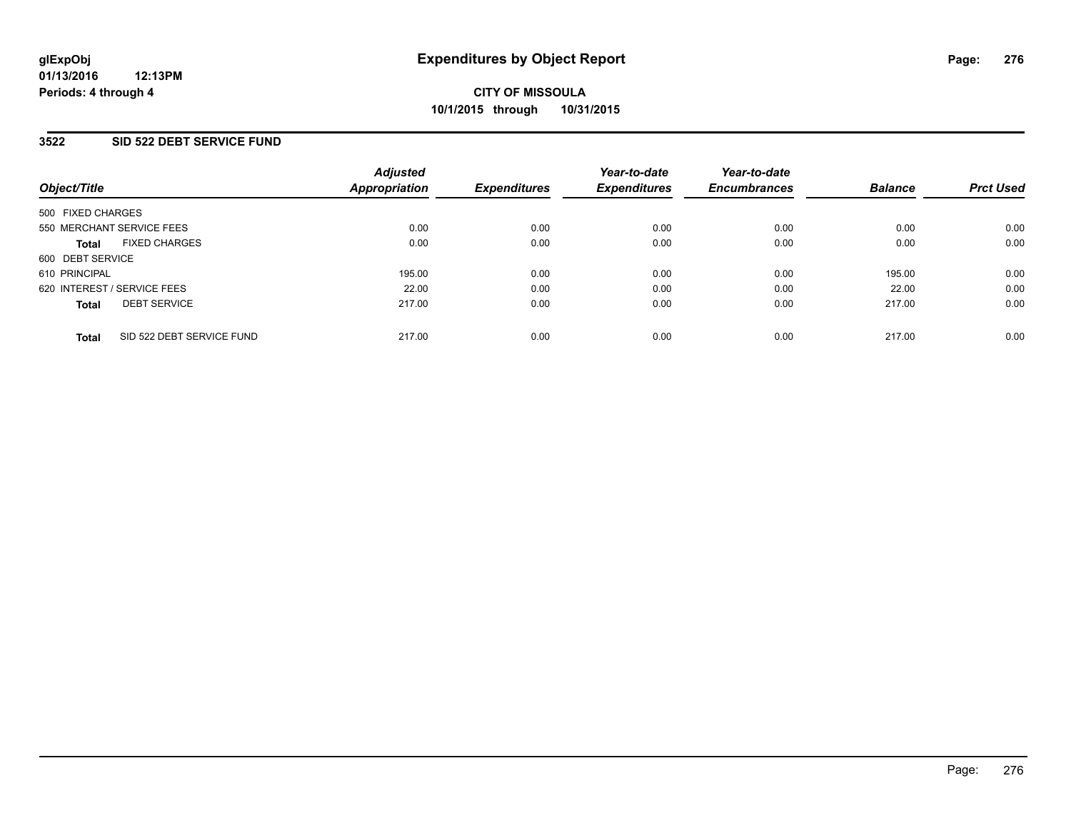#### **3522 SID 522 DEBT SERVICE FUND**

| Object/Title                              | <b>Adjusted</b><br>Appropriation | <b>Expenditures</b> | Year-to-date<br><b>Expenditures</b> | Year-to-date<br><b>Encumbrances</b> | <b>Balance</b> | <b>Prct Used</b> |
|-------------------------------------------|----------------------------------|---------------------|-------------------------------------|-------------------------------------|----------------|------------------|
| 500 FIXED CHARGES                         |                                  |                     |                                     |                                     |                |                  |
| 550 MERCHANT SERVICE FEES                 | 0.00                             | 0.00                | 0.00                                | 0.00                                | 0.00           | 0.00             |
| <b>FIXED CHARGES</b><br><b>Total</b>      | 0.00                             | 0.00                | 0.00                                | 0.00                                | 0.00           | 0.00             |
| 600 DEBT SERVICE                          |                                  |                     |                                     |                                     |                |                  |
| 610 PRINCIPAL                             | 195.00                           | 0.00                | 0.00                                | 0.00                                | 195.00         | 0.00             |
| 620 INTEREST / SERVICE FEES               | 22.00                            | 0.00                | 0.00                                | 0.00                                | 22.00          | 0.00             |
| <b>DEBT SERVICE</b><br><b>Total</b>       | 217.00                           | 0.00                | 0.00                                | 0.00                                | 217.00         | 0.00             |
| SID 522 DEBT SERVICE FUND<br><b>Total</b> | 217.00                           | 0.00                | 0.00                                | 0.00                                | 217.00         | 0.00             |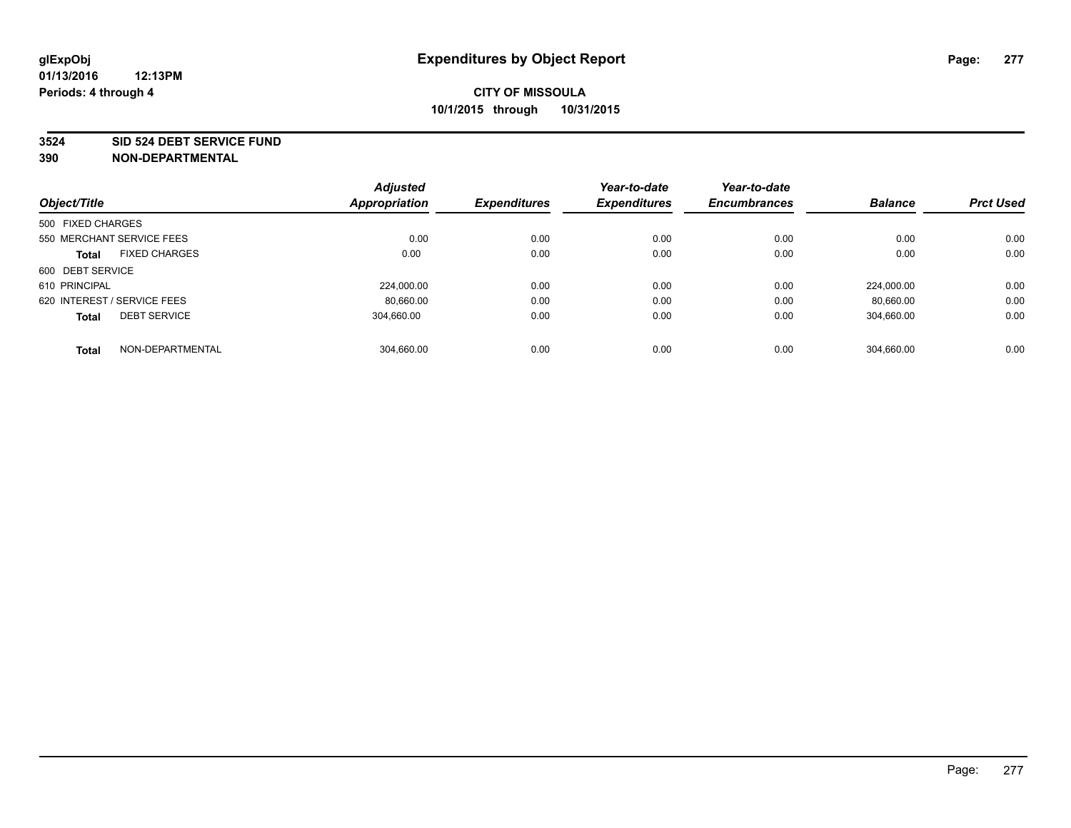#### **3524 SID 524 DEBT SERVICE FUND**

|                             |                      | <b>Adjusted</b> |                     | Year-to-date        | Year-to-date        |                |                  |
|-----------------------------|----------------------|-----------------|---------------------|---------------------|---------------------|----------------|------------------|
| Object/Title                |                      | Appropriation   | <b>Expenditures</b> | <b>Expenditures</b> | <b>Encumbrances</b> | <b>Balance</b> | <b>Prct Used</b> |
| 500 FIXED CHARGES           |                      |                 |                     |                     |                     |                |                  |
| 550 MERCHANT SERVICE FEES   |                      | 0.00            | 0.00                | 0.00                | 0.00                | 0.00           | 0.00             |
| <b>Total</b>                | <b>FIXED CHARGES</b> | 0.00            | 0.00                | 0.00                | 0.00                | 0.00           | 0.00             |
| 600 DEBT SERVICE            |                      |                 |                     |                     |                     |                |                  |
| 610 PRINCIPAL               |                      | 224.000.00      | 0.00                | 0.00                | 0.00                | 224.000.00     | 0.00             |
| 620 INTEREST / SERVICE FEES |                      | 80,660.00       | 0.00                | 0.00                | 0.00                | 80,660.00      | 0.00             |
| <b>Total</b>                | <b>DEBT SERVICE</b>  | 304,660.00      | 0.00                | 0.00                | 0.00                | 304,660.00     | 0.00             |
| <b>Total</b>                | NON-DEPARTMENTAL     | 304.660.00      | 0.00                | 0.00                | 0.00                | 304.660.00     | 0.00             |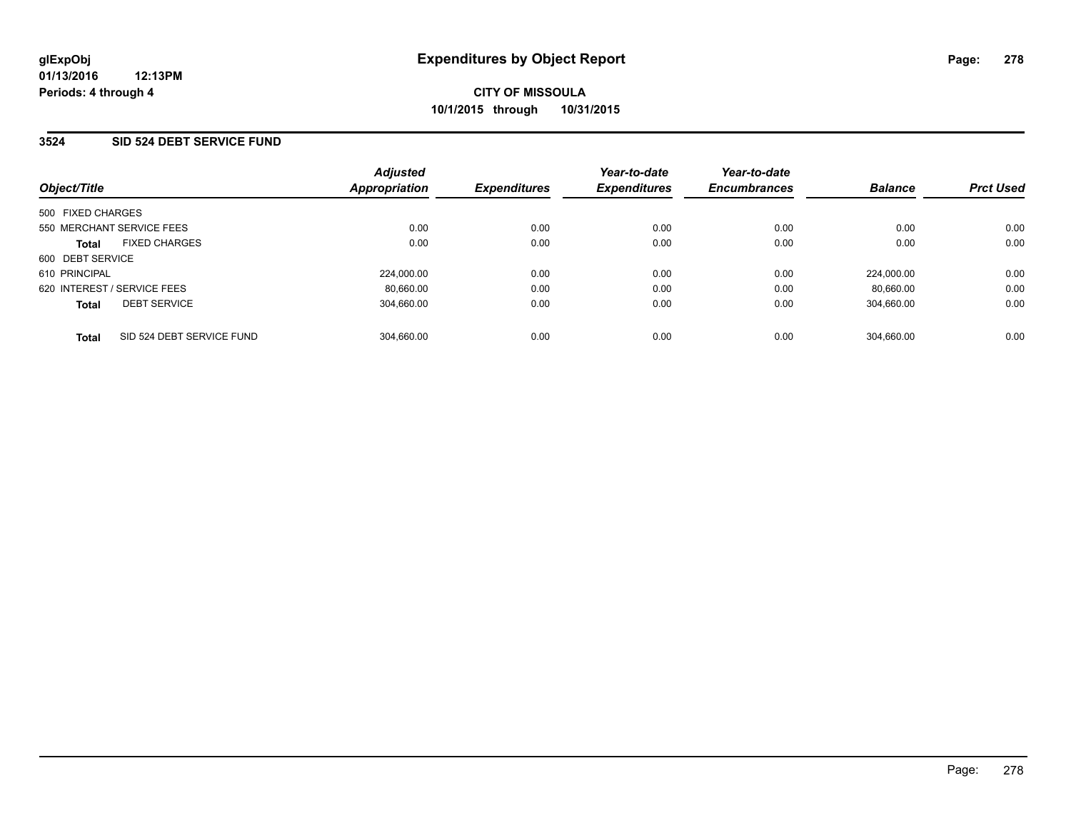#### **3524 SID 524 DEBT SERVICE FUND**

| Object/Title                              | <b>Adjusted</b><br>Appropriation | <b>Expenditures</b> | Year-to-date<br><b>Expenditures</b> | Year-to-date<br><b>Encumbrances</b> | <b>Balance</b> | <b>Prct Used</b> |
|-------------------------------------------|----------------------------------|---------------------|-------------------------------------|-------------------------------------|----------------|------------------|
| 500 FIXED CHARGES                         |                                  |                     |                                     |                                     |                |                  |
| 550 MERCHANT SERVICE FEES                 | 0.00                             | 0.00                | 0.00                                | 0.00                                | 0.00           | 0.00             |
| <b>FIXED CHARGES</b><br><b>Total</b>      | 0.00                             | 0.00                | 0.00                                | 0.00                                | 0.00           | 0.00             |
| 600 DEBT SERVICE                          |                                  |                     |                                     |                                     |                |                  |
| 610 PRINCIPAL                             | 224,000.00                       | 0.00                | 0.00                                | 0.00                                | 224.000.00     | 0.00             |
| 620 INTEREST / SERVICE FEES               | 80,660.00                        | 0.00                | 0.00                                | 0.00                                | 80.660.00      | 0.00             |
| <b>DEBT SERVICE</b><br><b>Total</b>       | 304.660.00                       | 0.00                | 0.00                                | 0.00                                | 304,660.00     | 0.00             |
| SID 524 DEBT SERVICE FUND<br><b>Total</b> | 304.660.00                       | 0.00                | 0.00                                | 0.00                                | 304.660.00     | 0.00             |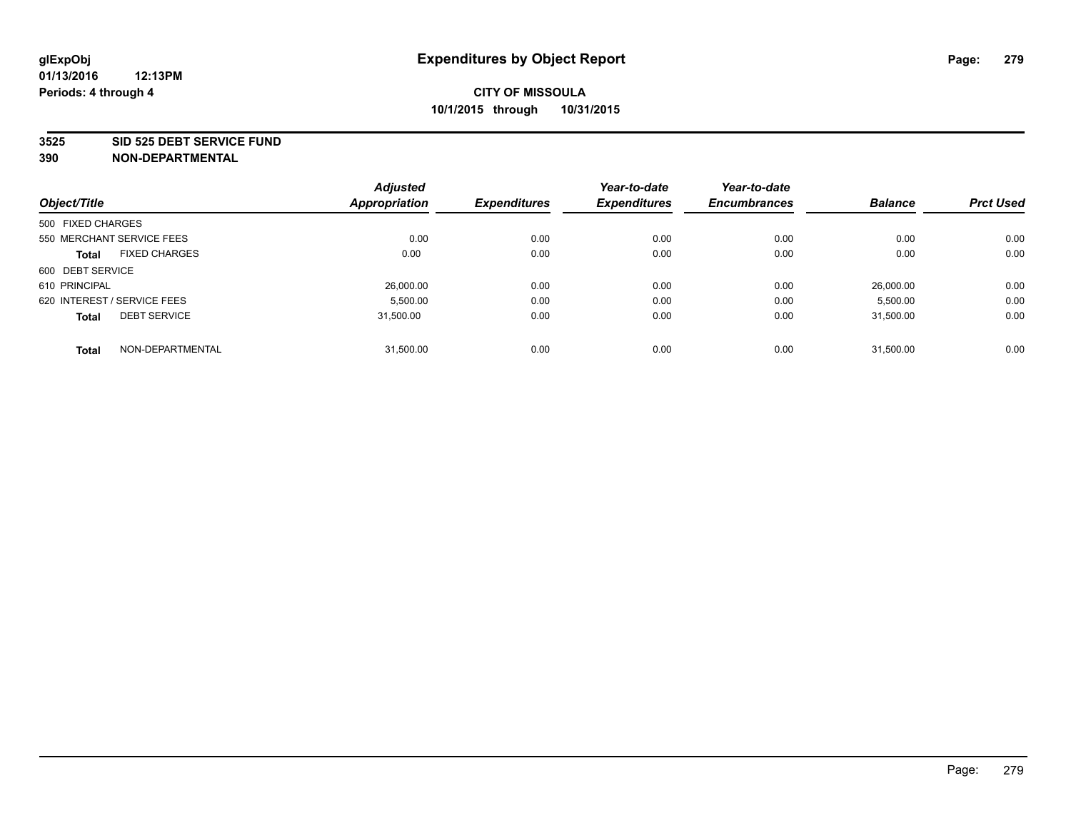#### **3525 SID 525 DEBT SERVICE FUND**

|                                      | <b>Adjusted</b><br><b>Appropriation</b> | <b>Expenditures</b> | Year-to-date<br><b>Expenditures</b> | Year-to-date<br><b>Encumbrances</b> | <b>Balance</b> | <b>Prct Used</b> |
|--------------------------------------|-----------------------------------------|---------------------|-------------------------------------|-------------------------------------|----------------|------------------|
| Object/Title                         |                                         |                     |                                     |                                     |                |                  |
| 500 FIXED CHARGES                    |                                         |                     |                                     |                                     |                |                  |
| 550 MERCHANT SERVICE FEES            | 0.00                                    | 0.00                | 0.00                                | 0.00                                | 0.00           | 0.00             |
| <b>FIXED CHARGES</b><br><b>Total</b> | 0.00                                    | 0.00                | 0.00                                | 0.00                                | 0.00           | 0.00             |
| 600 DEBT SERVICE                     |                                         |                     |                                     |                                     |                |                  |
| 610 PRINCIPAL                        | 26,000.00                               | 0.00                | 0.00                                | 0.00                                | 26.000.00      | 0.00             |
| 620 INTEREST / SERVICE FEES          | 5,500.00                                | 0.00                | 0.00                                | 0.00                                | 5,500.00       | 0.00             |
| <b>DEBT SERVICE</b><br><b>Total</b>  | 31.500.00                               | 0.00                | 0.00                                | 0.00                                | 31.500.00      | 0.00             |
| NON-DEPARTMENTAL<br><b>Total</b>     | 31,500.00                               | 0.00                | 0.00                                | 0.00                                | 31.500.00      | 0.00             |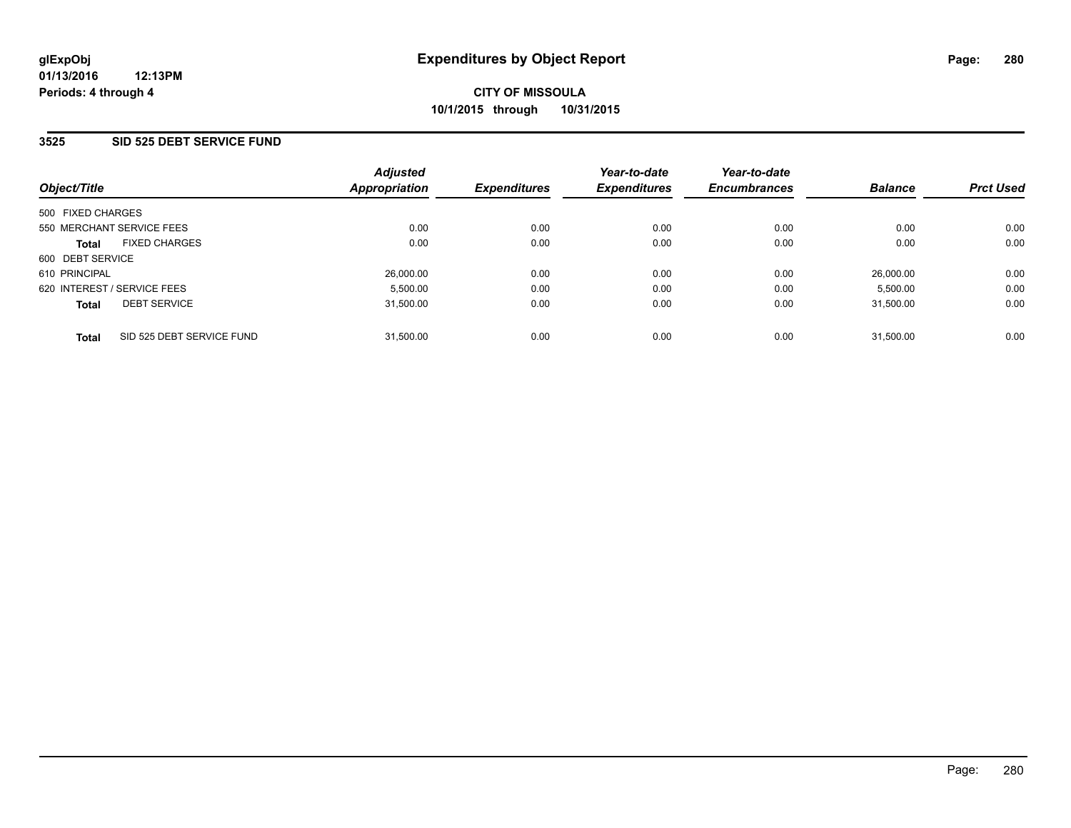#### **3525 SID 525 DEBT SERVICE FUND**

| Object/Title                              | <b>Adjusted</b><br>Appropriation | <b>Expenditures</b> | Year-to-date<br><b>Expenditures</b> | Year-to-date<br><b>Encumbrances</b> | <b>Balance</b> | <b>Prct Used</b> |
|-------------------------------------------|----------------------------------|---------------------|-------------------------------------|-------------------------------------|----------------|------------------|
| 500 FIXED CHARGES                         |                                  |                     |                                     |                                     |                |                  |
| 550 MERCHANT SERVICE FEES                 | 0.00                             | 0.00                | 0.00                                | 0.00                                | 0.00           | 0.00             |
| <b>FIXED CHARGES</b><br><b>Total</b>      | 0.00                             | 0.00                | 0.00                                | 0.00                                | 0.00           | 0.00             |
| 600 DEBT SERVICE                          |                                  |                     |                                     |                                     |                |                  |
| 610 PRINCIPAL                             | 26,000.00                        | 0.00                | 0.00                                | 0.00                                | 26.000.00      | 0.00             |
| 620 INTEREST / SERVICE FEES               | 5.500.00                         | 0.00                | 0.00                                | 0.00                                | 5.500.00       | 0.00             |
| <b>DEBT SERVICE</b><br><b>Total</b>       | 31.500.00                        | 0.00                | 0.00                                | 0.00                                | 31.500.00      | 0.00             |
| SID 525 DEBT SERVICE FUND<br><b>Total</b> | 31.500.00                        | 0.00                | 0.00                                | 0.00                                | 31.500.00      | 0.00             |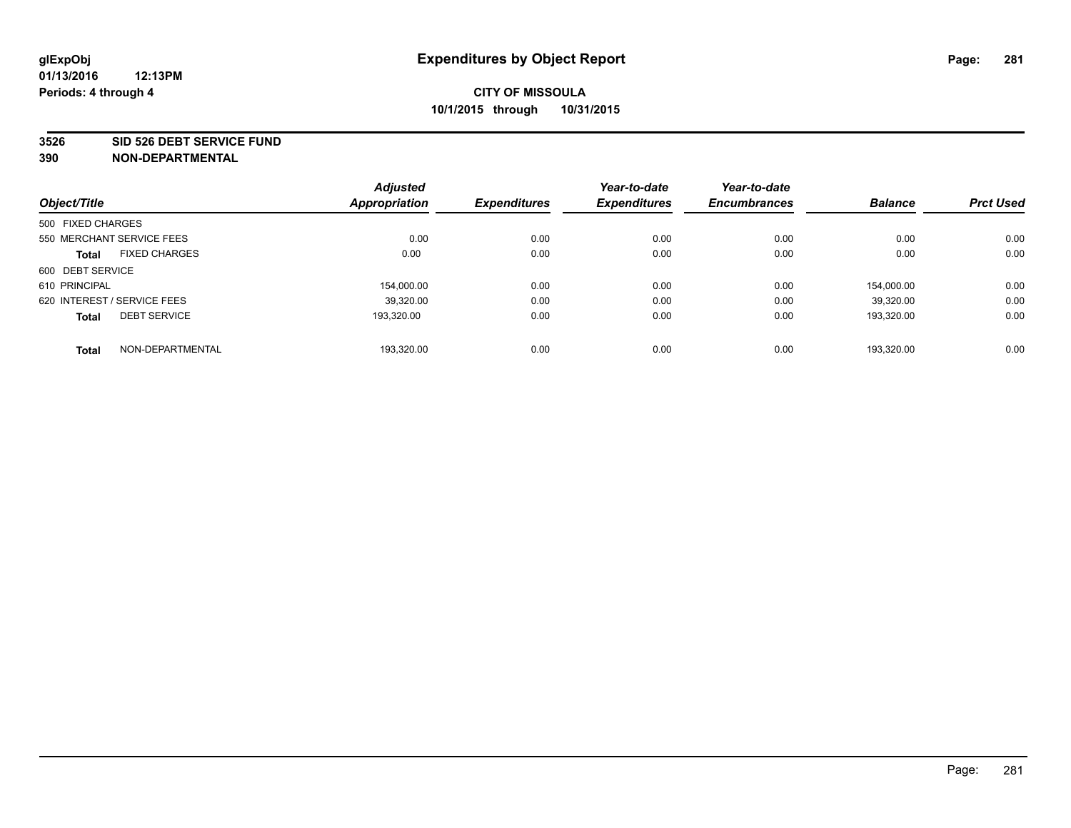#### **3526 SID 526 DEBT SERVICE FUND**

|                             |                           | <b>Adjusted</b> |                     | Year-to-date        | Year-to-date        |                |                  |
|-----------------------------|---------------------------|-----------------|---------------------|---------------------|---------------------|----------------|------------------|
| Object/Title                |                           | Appropriation   | <b>Expenditures</b> | <b>Expenditures</b> | <b>Encumbrances</b> | <b>Balance</b> | <b>Prct Used</b> |
| 500 FIXED CHARGES           |                           |                 |                     |                     |                     |                |                  |
|                             | 550 MERCHANT SERVICE FEES | 0.00            | 0.00                | 0.00                | 0.00                | 0.00           | 0.00             |
| <b>Total</b>                | <b>FIXED CHARGES</b>      | 0.00            | 0.00                | 0.00                | 0.00                | 0.00           | 0.00             |
| 600 DEBT SERVICE            |                           |                 |                     |                     |                     |                |                  |
| 610 PRINCIPAL               |                           | 154.000.00      | 0.00                | 0.00                | 0.00                | 154.000.00     | 0.00             |
| 620 INTEREST / SERVICE FEES |                           | 39,320.00       | 0.00                | 0.00                | 0.00                | 39,320.00      | 0.00             |
| <b>Total</b>                | <b>DEBT SERVICE</b>       | 193,320.00      | 0.00                | 0.00                | 0.00                | 193,320.00     | 0.00             |
| <b>Total</b>                | NON-DEPARTMENTAL          | 193.320.00      | 0.00                | 0.00                | 0.00                | 193.320.00     | 0.00             |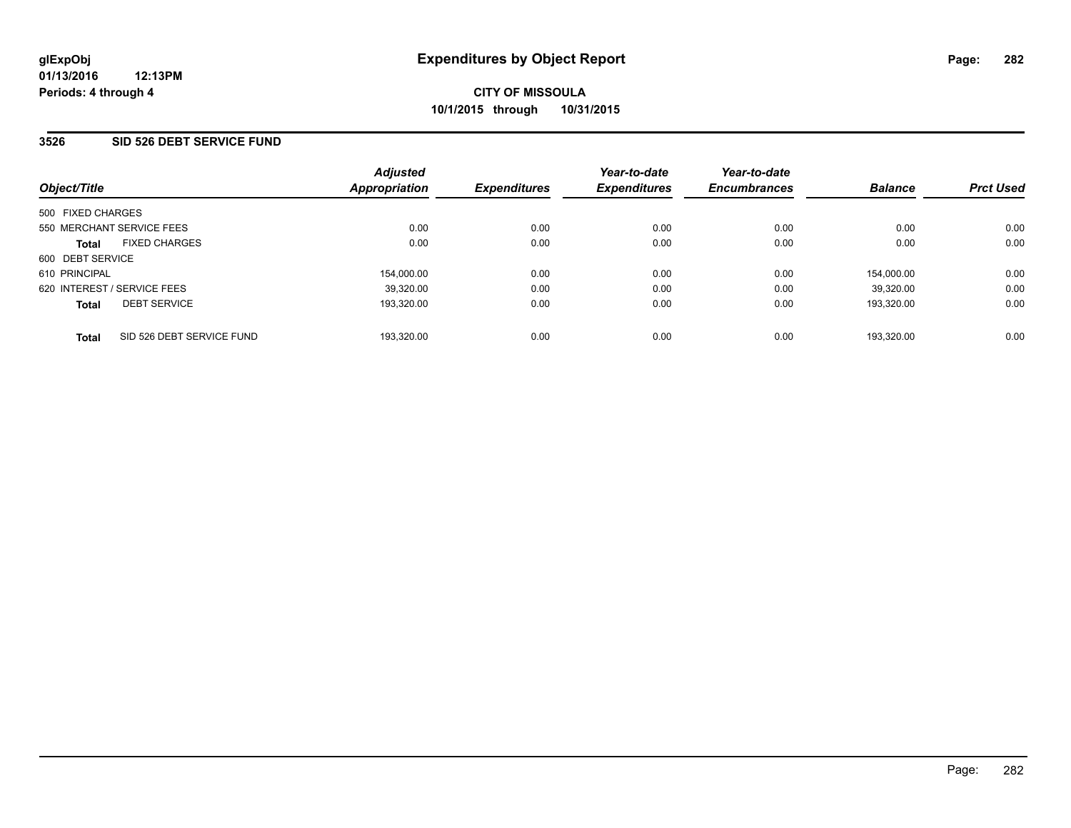#### **3526 SID 526 DEBT SERVICE FUND**

| Object/Title                              | <b>Adjusted</b><br>Appropriation | <b>Expenditures</b> | Year-to-date<br><b>Expenditures</b> | Year-to-date<br><b>Encumbrances</b> | <b>Balance</b> | <b>Prct Used</b> |
|-------------------------------------------|----------------------------------|---------------------|-------------------------------------|-------------------------------------|----------------|------------------|
| 500 FIXED CHARGES                         |                                  |                     |                                     |                                     |                |                  |
| 550 MERCHANT SERVICE FEES                 | 0.00                             | 0.00                | 0.00                                | 0.00                                | 0.00           | 0.00             |
| <b>FIXED CHARGES</b><br><b>Total</b>      | 0.00                             | 0.00                | 0.00                                | 0.00                                | 0.00           | 0.00             |
| 600 DEBT SERVICE                          |                                  |                     |                                     |                                     |                |                  |
| 610 PRINCIPAL                             | 154,000.00                       | 0.00                | 0.00                                | 0.00                                | 154.000.00     | 0.00             |
| 620 INTEREST / SERVICE FEES               | 39,320.00                        | 0.00                | 0.00                                | 0.00                                | 39.320.00      | 0.00             |
| <b>DEBT SERVICE</b><br><b>Total</b>       | 193,320.00                       | 0.00                | 0.00                                | 0.00                                | 193.320.00     | 0.00             |
| SID 526 DEBT SERVICE FUND<br><b>Total</b> | 193,320.00                       | 0.00                | 0.00                                | 0.00                                | 193.320.00     | 0.00             |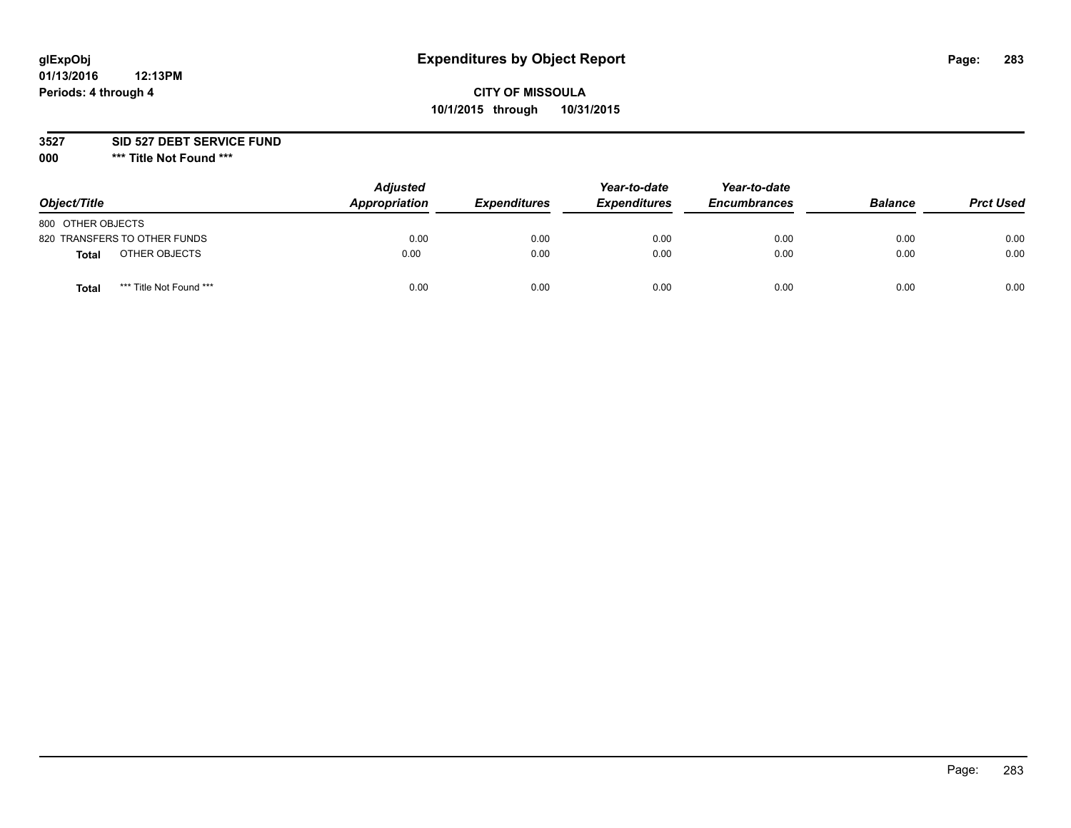# **glExpObj Expenditures by Object Report Page: 283**

## **CITY OF MISSOULA 10/1/2015 through 10/31/2015**

**3527 SID 527 DEBT SERVICE FUND**

**000 \*\*\* Title Not Found \*\*\***

| Object/Title                    | <b>Adjusted</b><br>Appropriation | <b>Expenditures</b> | Year-to-date<br><b>Expenditures</b> | Year-to-date<br><b>Encumbrances</b> | <b>Balance</b> | <b>Prct Used</b> |
|---------------------------------|----------------------------------|---------------------|-------------------------------------|-------------------------------------|----------------|------------------|
| 800 OTHER OBJECTS               |                                  |                     |                                     |                                     |                |                  |
| 820 TRANSFERS TO OTHER FUNDS    | 0.00                             | 0.00                | 0.00                                | 0.00                                | 0.00           | 0.00             |
| OTHER OBJECTS<br>Total          | 0.00                             | 0.00                | 0.00                                | 0.00                                | 0.00           | 0.00             |
| *** Title Not Found ***<br>Tota | 0.00                             | 0.00                | 0.00                                | 0.00                                | 0.00           | 0.00             |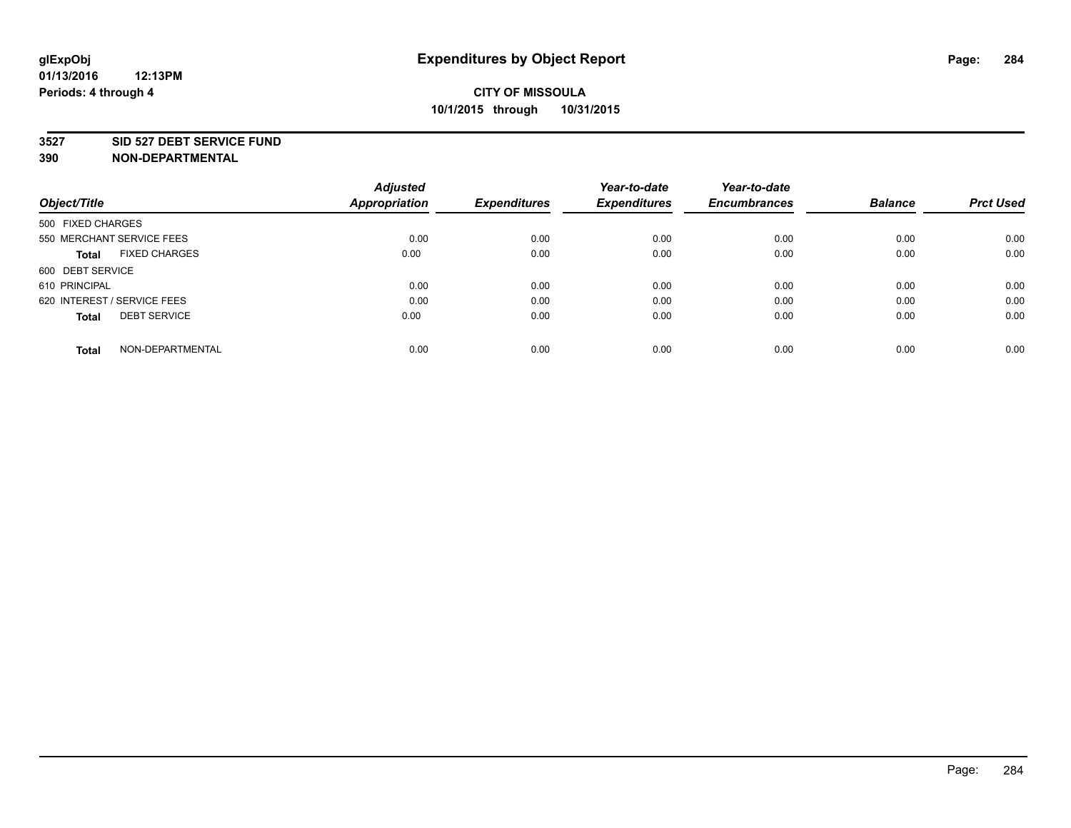#### **3527 SID 527 DEBT SERVICE FUND**

| Object/Title                         | <b>Adjusted</b><br><b>Appropriation</b> | <b>Expenditures</b> | Year-to-date<br><b>Expenditures</b> | Year-to-date<br><b>Encumbrances</b> | <b>Balance</b> | <b>Prct Used</b> |
|--------------------------------------|-----------------------------------------|---------------------|-------------------------------------|-------------------------------------|----------------|------------------|
|                                      |                                         |                     |                                     |                                     |                |                  |
| 500 FIXED CHARGES                    |                                         |                     |                                     |                                     |                |                  |
| 550 MERCHANT SERVICE FEES            | 0.00                                    | 0.00                | 0.00                                | 0.00                                | 0.00           | 0.00             |
| <b>FIXED CHARGES</b><br><b>Total</b> | 0.00                                    | 0.00                | 0.00                                | 0.00                                | 0.00           | 0.00             |
| 600 DEBT SERVICE                     |                                         |                     |                                     |                                     |                |                  |
| 610 PRINCIPAL                        | 0.00                                    | 0.00                | 0.00                                | 0.00                                | 0.00           | 0.00             |
| 620 INTEREST / SERVICE FEES          | 0.00                                    | 0.00                | 0.00                                | 0.00                                | 0.00           | 0.00             |
| <b>DEBT SERVICE</b><br><b>Total</b>  | 0.00                                    | 0.00                | 0.00                                | 0.00                                | 0.00           | 0.00             |
|                                      |                                         |                     |                                     |                                     |                |                  |
| NON-DEPARTMENTAL<br><b>Total</b>     | 0.00                                    | 0.00                | 0.00                                | 0.00                                | 0.00           | 0.00             |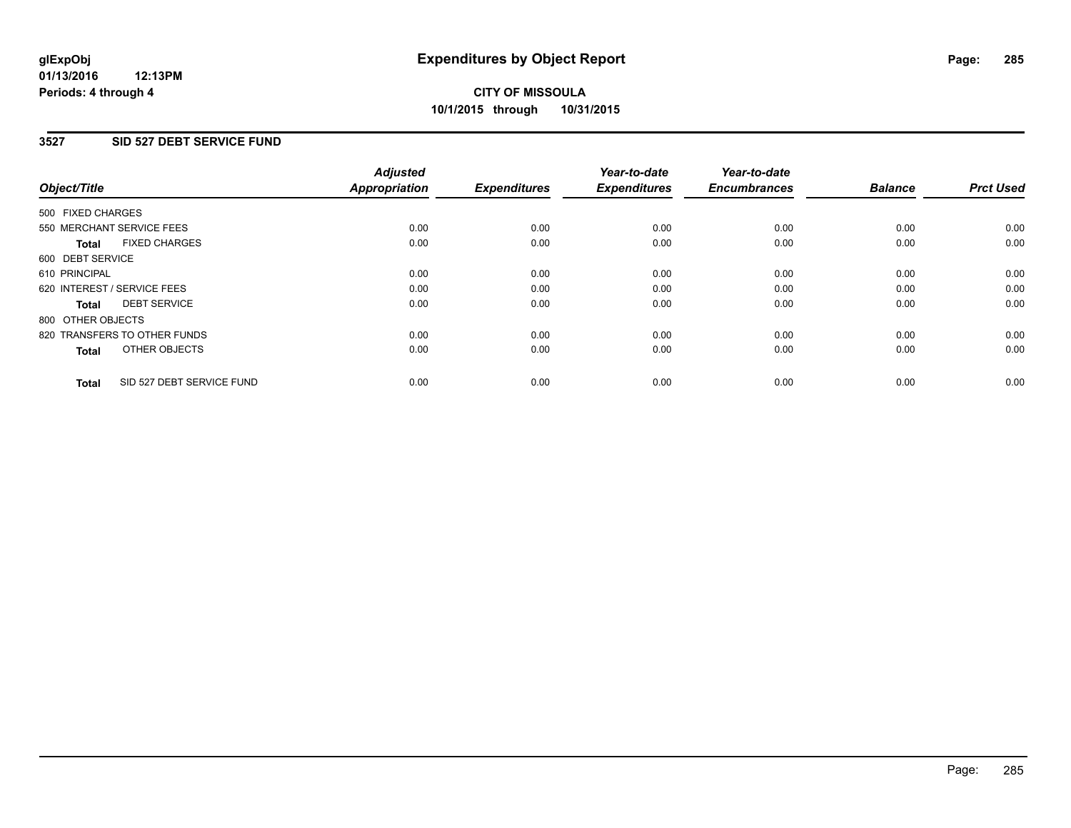### **3527 SID 527 DEBT SERVICE FUND**

| Object/Title      |                              | <b>Adjusted</b><br>Appropriation | <b>Expenditures</b> | Year-to-date<br><b>Expenditures</b> | Year-to-date<br><b>Encumbrances</b> | <b>Balance</b> | <b>Prct Used</b> |
|-------------------|------------------------------|----------------------------------|---------------------|-------------------------------------|-------------------------------------|----------------|------------------|
| 500 FIXED CHARGES |                              |                                  |                     |                                     |                                     |                |                  |
|                   | 550 MERCHANT SERVICE FEES    | 0.00                             | 0.00                | 0.00                                | 0.00                                | 0.00           | 0.00             |
| <b>Total</b>      | <b>FIXED CHARGES</b>         | 0.00                             | 0.00                | 0.00                                | 0.00                                | 0.00           | 0.00             |
| 600 DEBT SERVICE  |                              |                                  |                     |                                     |                                     |                |                  |
| 610 PRINCIPAL     |                              | 0.00                             | 0.00                | 0.00                                | 0.00                                | 0.00           | 0.00             |
|                   | 620 INTEREST / SERVICE FEES  | 0.00                             | 0.00                | 0.00                                | 0.00                                | 0.00           | 0.00             |
| Total             | <b>DEBT SERVICE</b>          | 0.00                             | 0.00                | 0.00                                | 0.00                                | 0.00           | 0.00             |
| 800 OTHER OBJECTS |                              |                                  |                     |                                     |                                     |                |                  |
|                   | 820 TRANSFERS TO OTHER FUNDS | 0.00                             | 0.00                | 0.00                                | 0.00                                | 0.00           | 0.00             |
| <b>Total</b>      | OTHER OBJECTS                | 0.00                             | 0.00                | 0.00                                | 0.00                                | 0.00           | 0.00             |
| <b>Total</b>      | SID 527 DEBT SERVICE FUND    | 0.00                             | 0.00                | 0.00                                | 0.00                                | 0.00           | 0.00             |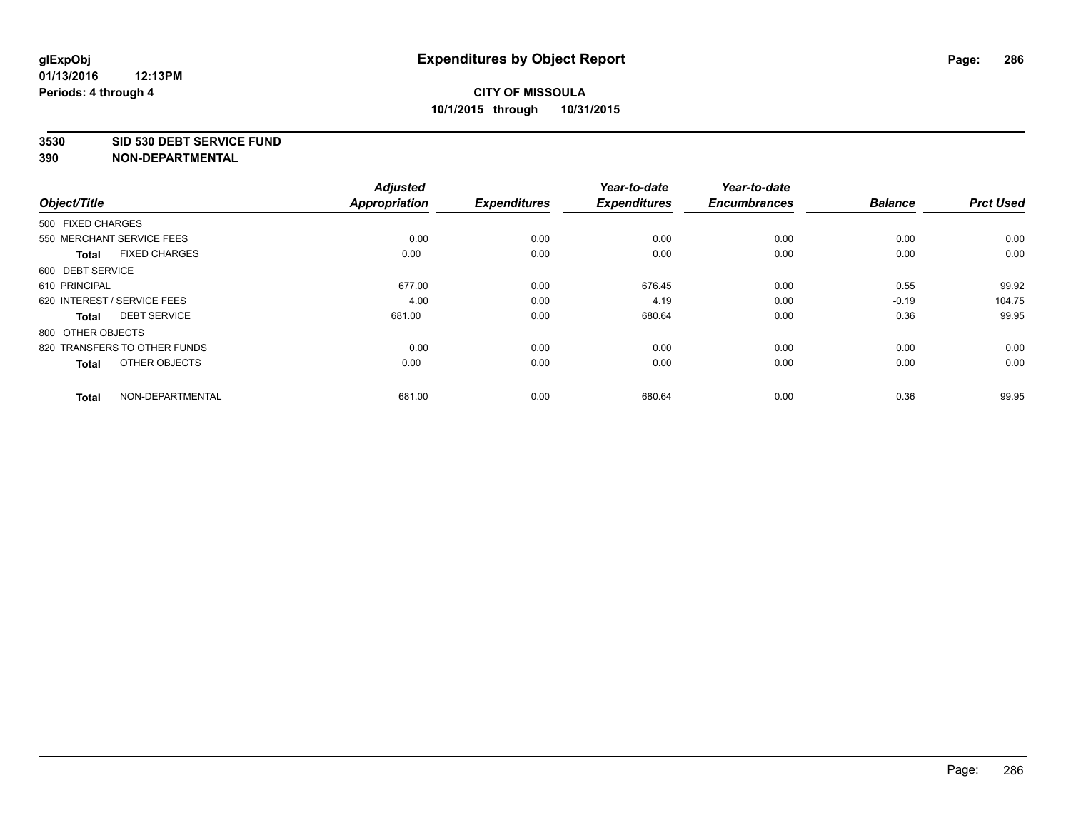#### **3530 SID 530 DEBT SERVICE FUND**

|                                      | <b>Adjusted</b> |                     | Year-to-date        | Year-to-date        |                |                  |
|--------------------------------------|-----------------|---------------------|---------------------|---------------------|----------------|------------------|
| Object/Title                         | Appropriation   | <b>Expenditures</b> | <b>Expenditures</b> | <b>Encumbrances</b> | <b>Balance</b> | <b>Prct Used</b> |
| 500 FIXED CHARGES                    |                 |                     |                     |                     |                |                  |
| 550 MERCHANT SERVICE FEES            | 0.00            | 0.00                | 0.00                | 0.00                | 0.00           | 0.00             |
| <b>FIXED CHARGES</b><br><b>Total</b> | 0.00            | 0.00                | 0.00                | 0.00                | 0.00           | 0.00             |
| 600 DEBT SERVICE                     |                 |                     |                     |                     |                |                  |
| 610 PRINCIPAL                        | 677.00          | 0.00                | 676.45              | 0.00                | 0.55           | 99.92            |
| 620 INTEREST / SERVICE FEES          | 4.00            | 0.00                | 4.19                | 0.00                | $-0.19$        | 104.75           |
| <b>DEBT SERVICE</b><br><b>Total</b>  | 681.00          | 0.00                | 680.64              | 0.00                | 0.36           | 99.95            |
| 800 OTHER OBJECTS                    |                 |                     |                     |                     |                |                  |
| 820 TRANSFERS TO OTHER FUNDS         | 0.00            | 0.00                | 0.00                | 0.00                | 0.00           | 0.00             |
| OTHER OBJECTS<br><b>Total</b>        | 0.00            | 0.00                | 0.00                | 0.00                | 0.00           | 0.00             |
|                                      |                 |                     |                     |                     |                |                  |
| NON-DEPARTMENTAL<br><b>Total</b>     | 681.00          | 0.00                | 680.64              | 0.00                | 0.36           | 99.95            |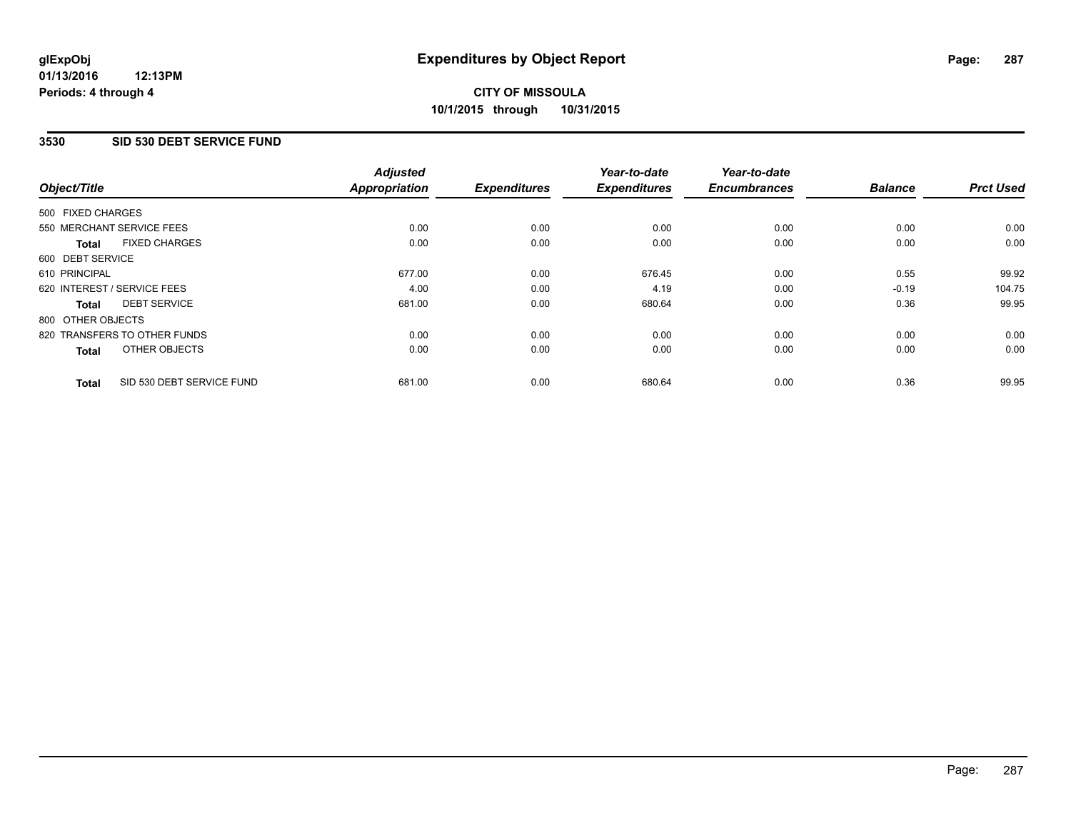#### **01/13/2016 12:13PM Periods: 4 through 4**

## **CITY OF MISSOULA 10/1/2015 through 10/31/2015**

#### **3530 SID 530 DEBT SERVICE FUND**

| Object/Title      |                              | <b>Adjusted</b><br><b>Appropriation</b> | <b>Expenditures</b> | Year-to-date<br><b>Expenditures</b> | Year-to-date<br><b>Encumbrances</b> | <b>Balance</b> | <b>Prct Used</b> |
|-------------------|------------------------------|-----------------------------------------|---------------------|-------------------------------------|-------------------------------------|----------------|------------------|
|                   |                              |                                         |                     |                                     |                                     |                |                  |
| 500 FIXED CHARGES |                              |                                         |                     |                                     |                                     |                |                  |
|                   | 550 MERCHANT SERVICE FEES    | 0.00                                    | 0.00                | 0.00                                | 0.00                                | 0.00           | 0.00             |
| <b>Total</b>      | <b>FIXED CHARGES</b>         | 0.00                                    | 0.00                | 0.00                                | 0.00                                | 0.00           | 0.00             |
| 600 DEBT SERVICE  |                              |                                         |                     |                                     |                                     |                |                  |
| 610 PRINCIPAL     |                              | 677.00                                  | 0.00                | 676.45                              | 0.00                                | 0.55           | 99.92            |
|                   | 620 INTEREST / SERVICE FEES  | 4.00                                    | 0.00                | 4.19                                | 0.00                                | $-0.19$        | 104.75           |
| <b>Total</b>      | <b>DEBT SERVICE</b>          | 681.00                                  | 0.00                | 680.64                              | 0.00                                | 0.36           | 99.95            |
| 800 OTHER OBJECTS |                              |                                         |                     |                                     |                                     |                |                  |
|                   | 820 TRANSFERS TO OTHER FUNDS | 0.00                                    | 0.00                | 0.00                                | 0.00                                | 0.00           | 0.00             |
| <b>Total</b>      | OTHER OBJECTS                | 0.00                                    | 0.00                | 0.00                                | 0.00                                | 0.00           | 0.00             |
| <b>Total</b>      | SID 530 DEBT SERVICE FUND    | 681.00                                  | 0.00                | 680.64                              | 0.00                                | 0.36           | 99.95            |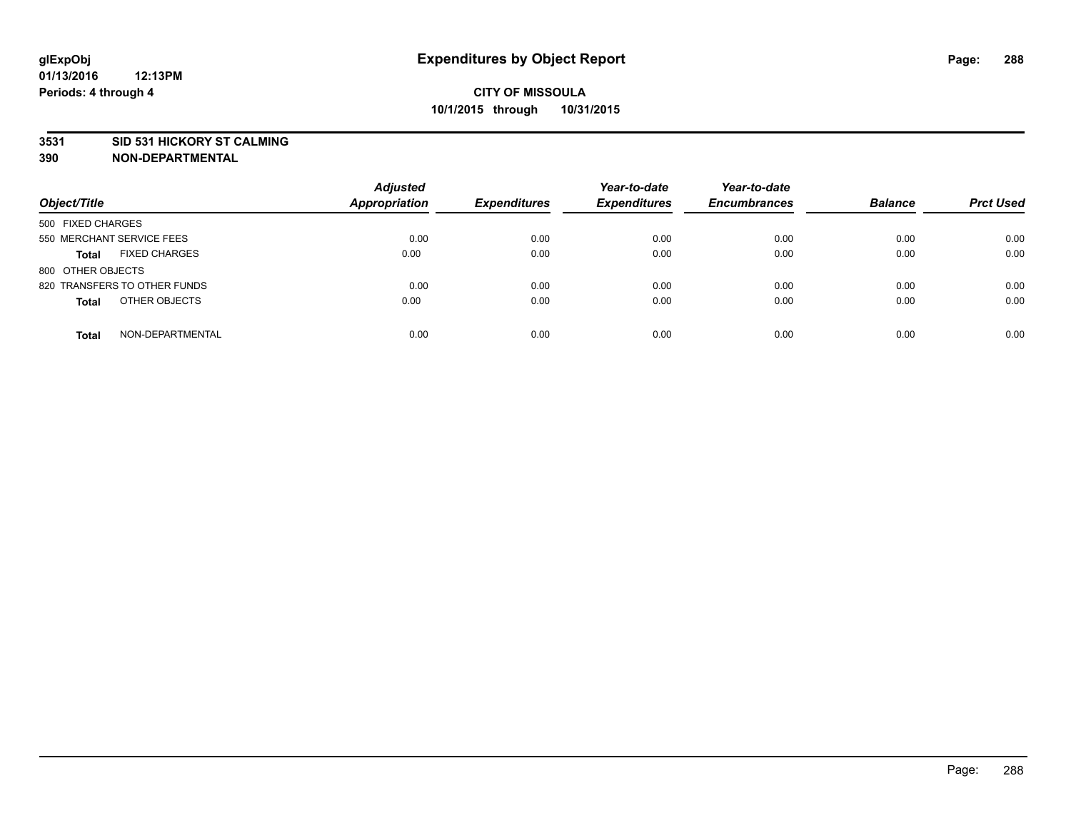#### **3531 SID 531 HICKORY ST CALMING**

| Object/Title                         | <b>Adjusted</b><br><b>Appropriation</b> | <b>Expenditures</b> | Year-to-date<br><b>Expenditures</b> | Year-to-date<br><b>Encumbrances</b> | <b>Balance</b> | <b>Prct Used</b> |
|--------------------------------------|-----------------------------------------|---------------------|-------------------------------------|-------------------------------------|----------------|------------------|
| 500 FIXED CHARGES                    |                                         |                     |                                     |                                     |                |                  |
| 550 MERCHANT SERVICE FEES            | 0.00                                    | 0.00                | 0.00                                | 0.00                                | 0.00           | 0.00             |
| <b>FIXED CHARGES</b><br><b>Total</b> | 0.00                                    | 0.00                | 0.00                                | 0.00                                | 0.00           | 0.00             |
| 800 OTHER OBJECTS                    |                                         |                     |                                     |                                     |                |                  |
| 820 TRANSFERS TO OTHER FUNDS         | 0.00                                    | 0.00                | 0.00                                | 0.00                                | 0.00           | 0.00             |
| OTHER OBJECTS<br><b>Total</b>        | 0.00                                    | 0.00                | 0.00                                | 0.00                                | 0.00           | 0.00             |
| NON-DEPARTMENTAL<br><b>Total</b>     | 0.00                                    | 0.00                | 0.00                                | 0.00                                | 0.00           | 0.00             |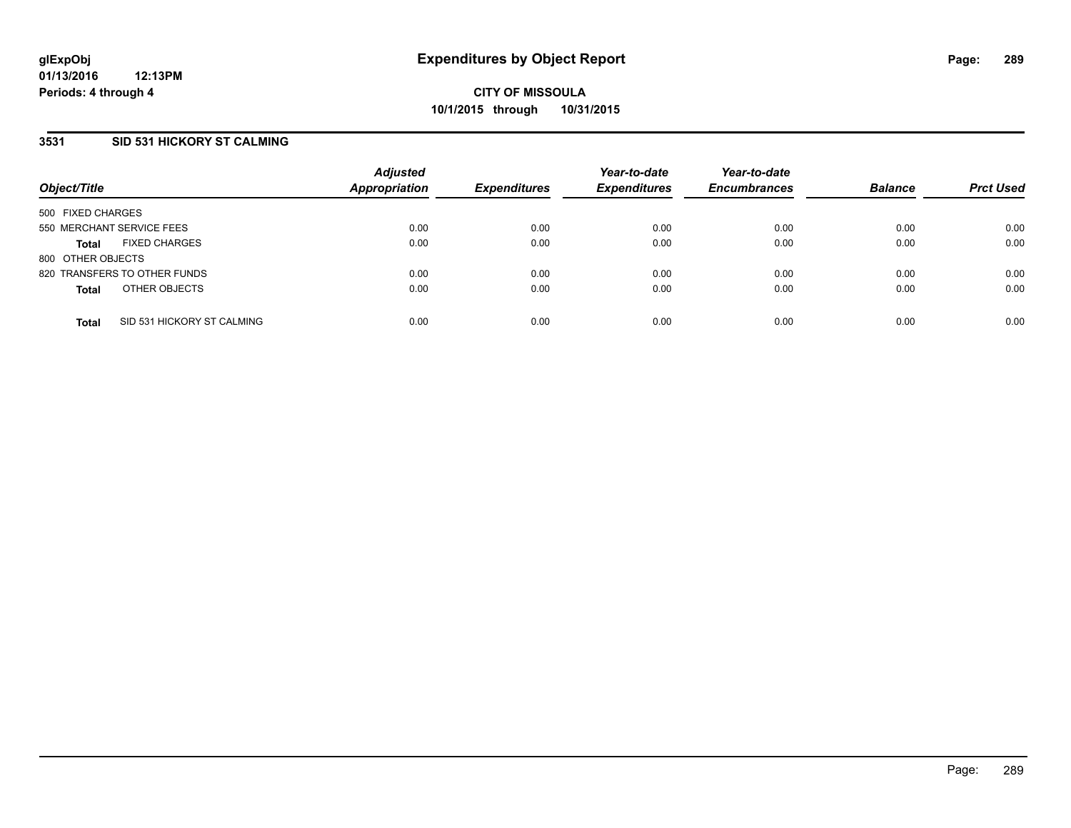### **3531 SID 531 HICKORY ST CALMING**

| Object/Title                         |                            | <b>Adjusted</b><br><b>Appropriation</b> | <b>Expenditures</b> | Year-to-date<br><b>Expenditures</b> | Year-to-date<br><b>Encumbrances</b> | <b>Balance</b> | <b>Prct Used</b> |
|--------------------------------------|----------------------------|-----------------------------------------|---------------------|-------------------------------------|-------------------------------------|----------------|------------------|
| 500 FIXED CHARGES                    |                            |                                         |                     |                                     |                                     |                |                  |
| 550 MERCHANT SERVICE FEES            |                            | 0.00                                    | 0.00                | 0.00                                | 0.00                                | 0.00           | 0.00             |
| <b>FIXED CHARGES</b><br><b>Total</b> |                            | 0.00                                    | 0.00                | 0.00                                | 0.00                                | 0.00           | 0.00             |
| 800 OTHER OBJECTS                    |                            |                                         |                     |                                     |                                     |                |                  |
| 820 TRANSFERS TO OTHER FUNDS         |                            | 0.00                                    | 0.00                | 0.00                                | 0.00                                | 0.00           | 0.00             |
| OTHER OBJECTS<br><b>Total</b>        |                            | 0.00                                    | 0.00                | 0.00                                | 0.00                                | 0.00           | 0.00             |
| <b>Total</b>                         | SID 531 HICKORY ST CALMING | 0.00                                    | 0.00                | 0.00                                | 0.00                                | 0.00           | 0.00             |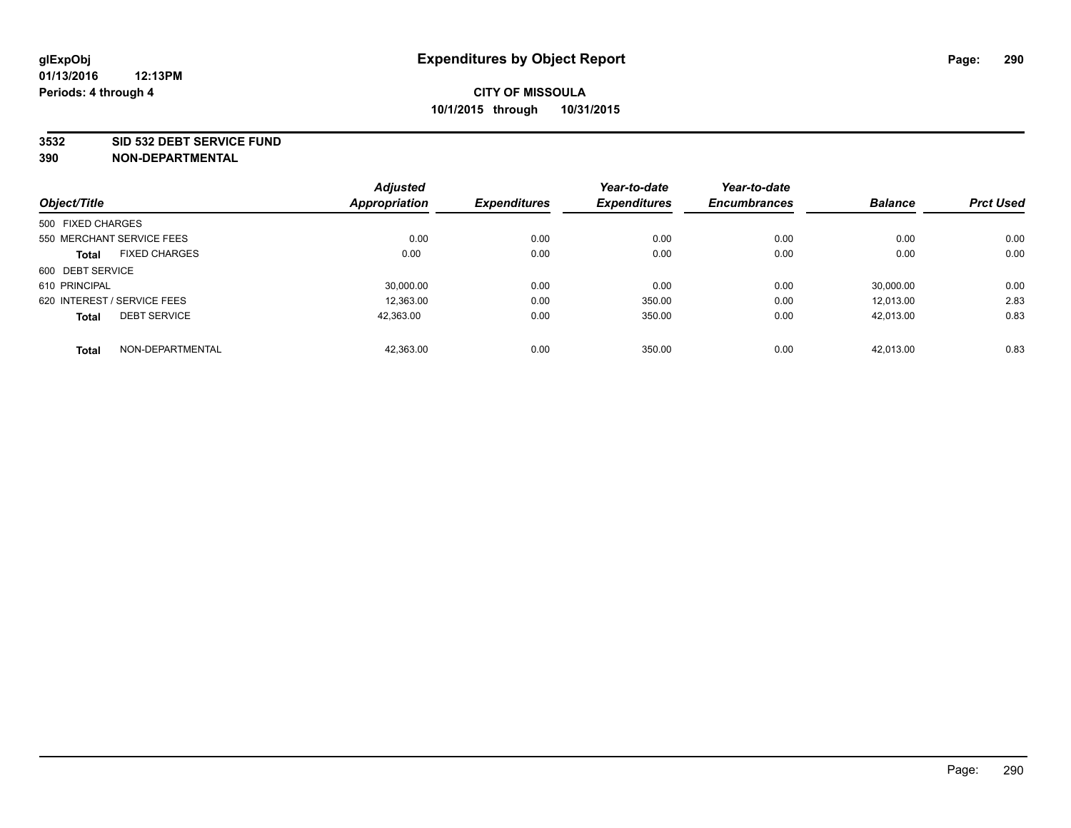#### **3532 SID 532 DEBT SERVICE FUND**

|                                      | <b>Adjusted</b>      |                     | Year-to-date        | Year-to-date        |                |                  |
|--------------------------------------|----------------------|---------------------|---------------------|---------------------|----------------|------------------|
| Object/Title                         | <b>Appropriation</b> | <b>Expenditures</b> | <b>Expenditures</b> | <b>Encumbrances</b> | <b>Balance</b> | <b>Prct Used</b> |
| 500 FIXED CHARGES                    |                      |                     |                     |                     |                |                  |
| 550 MERCHANT SERVICE FEES            | 0.00                 | 0.00                | 0.00                | 0.00                | 0.00           | 0.00             |
| <b>FIXED CHARGES</b><br><b>Total</b> | 0.00                 | 0.00                | 0.00                | 0.00                | 0.00           | 0.00             |
| 600 DEBT SERVICE                     |                      |                     |                     |                     |                |                  |
| 610 PRINCIPAL                        | 30.000.00            | 0.00                | 0.00                | 0.00                | 30.000.00      | 0.00             |
| 620 INTEREST / SERVICE FEES          | 12,363.00            | 0.00                | 350.00              | 0.00                | 12.013.00      | 2.83             |
| <b>DEBT SERVICE</b><br><b>Total</b>  | 42.363.00            | 0.00                | 350.00              | 0.00                | 42.013.00      | 0.83             |
| NON-DEPARTMENTAL<br><b>Total</b>     | 42,363.00            | 0.00                | 350.00              | 0.00                | 42.013.00      | 0.83             |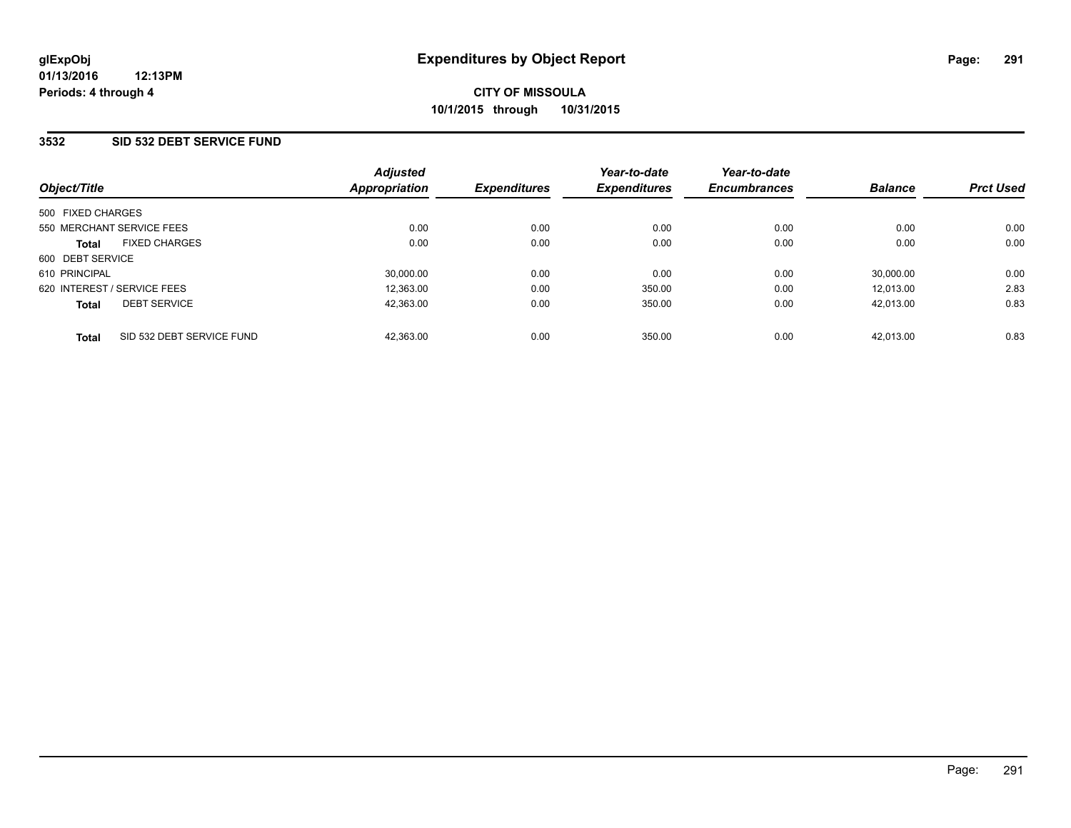### **3532 SID 532 DEBT SERVICE FUND**

| Object/Title                              | <b>Adjusted</b><br>Appropriation | <b>Expenditures</b> | Year-to-date<br><b>Expenditures</b> | Year-to-date<br><b>Encumbrances</b> | <b>Balance</b> | <b>Prct Used</b> |
|-------------------------------------------|----------------------------------|---------------------|-------------------------------------|-------------------------------------|----------------|------------------|
| 500 FIXED CHARGES                         |                                  |                     |                                     |                                     |                |                  |
| 550 MERCHANT SERVICE FEES                 | 0.00                             | 0.00                | 0.00                                | 0.00                                | 0.00           | 0.00             |
| <b>FIXED CHARGES</b><br><b>Total</b>      | 0.00                             | 0.00                | 0.00                                | 0.00                                | 0.00           | 0.00             |
| 600 DEBT SERVICE                          |                                  |                     |                                     |                                     |                |                  |
| 610 PRINCIPAL                             | 30,000.00                        | 0.00                | 0.00                                | 0.00                                | 30.000.00      | 0.00             |
| 620 INTEREST / SERVICE FEES               | 12.363.00                        | 0.00                | 350.00                              | 0.00                                | 12.013.00      | 2.83             |
| <b>DEBT SERVICE</b><br><b>Total</b>       | 42.363.00                        | 0.00                | 350.00                              | 0.00                                | 42.013.00      | 0.83             |
| SID 532 DEBT SERVICE FUND<br><b>Total</b> | 42.363.00                        | 0.00                | 350.00                              | 0.00                                | 42.013.00      | 0.83             |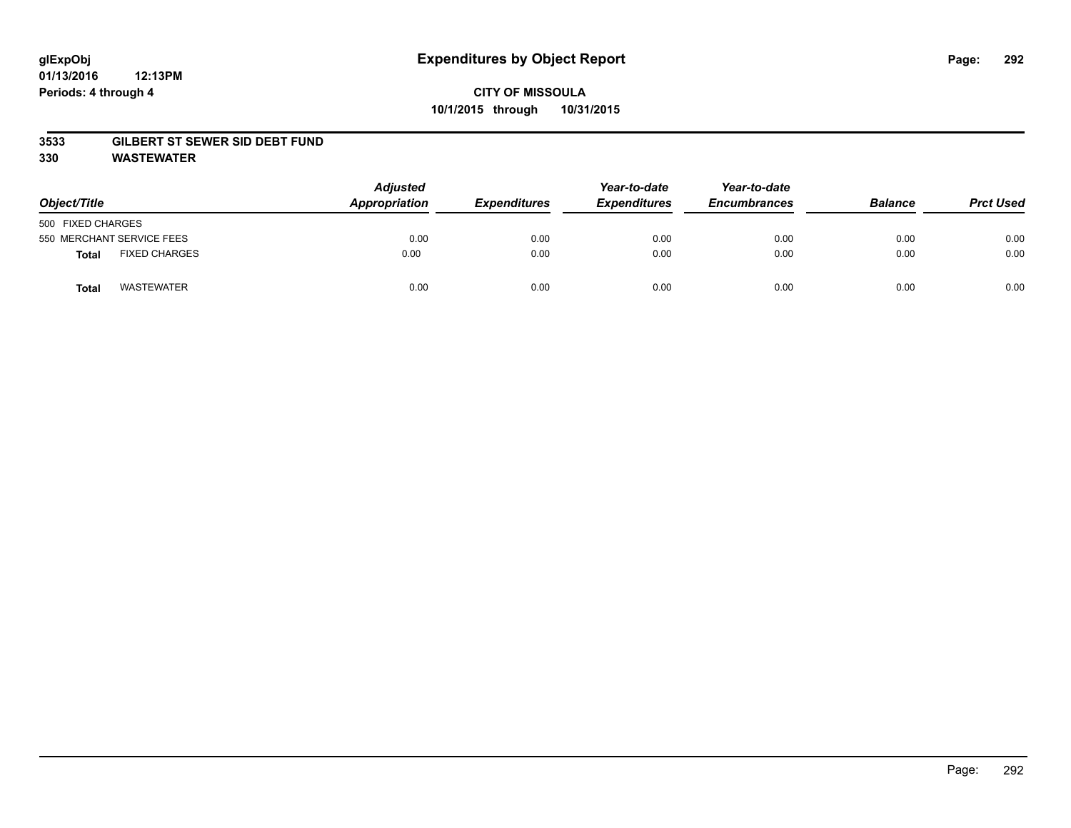### **3533 GILBERT ST SEWER SID DEBT FUND**

**330 WASTEWATER**

| Object/Title      |                           | Adjusted<br>Appropriation | <b>Expenditures</b> | Year-to-date<br><b>Expenditures</b> | Year-to-date<br><b>Encumbrances</b> | <b>Balance</b> | <b>Prct Used</b> |
|-------------------|---------------------------|---------------------------|---------------------|-------------------------------------|-------------------------------------|----------------|------------------|
| 500 FIXED CHARGES |                           |                           |                     |                                     |                                     |                |                  |
|                   | 550 MERCHANT SERVICE FEES | 0.00                      | 0.00                | 0.00                                | 0.00                                | 0.00           | 0.00             |
| <b>Total</b>      | <b>FIXED CHARGES</b>      | 0.00                      | 0.00                | 0.00                                | 0.00                                | 0.00           | 0.00             |
| <b>Total</b>      | <b>WASTEWATER</b>         | 0.00                      | 0.00                | 0.00                                | 0.00                                | 0.00           | 0.00             |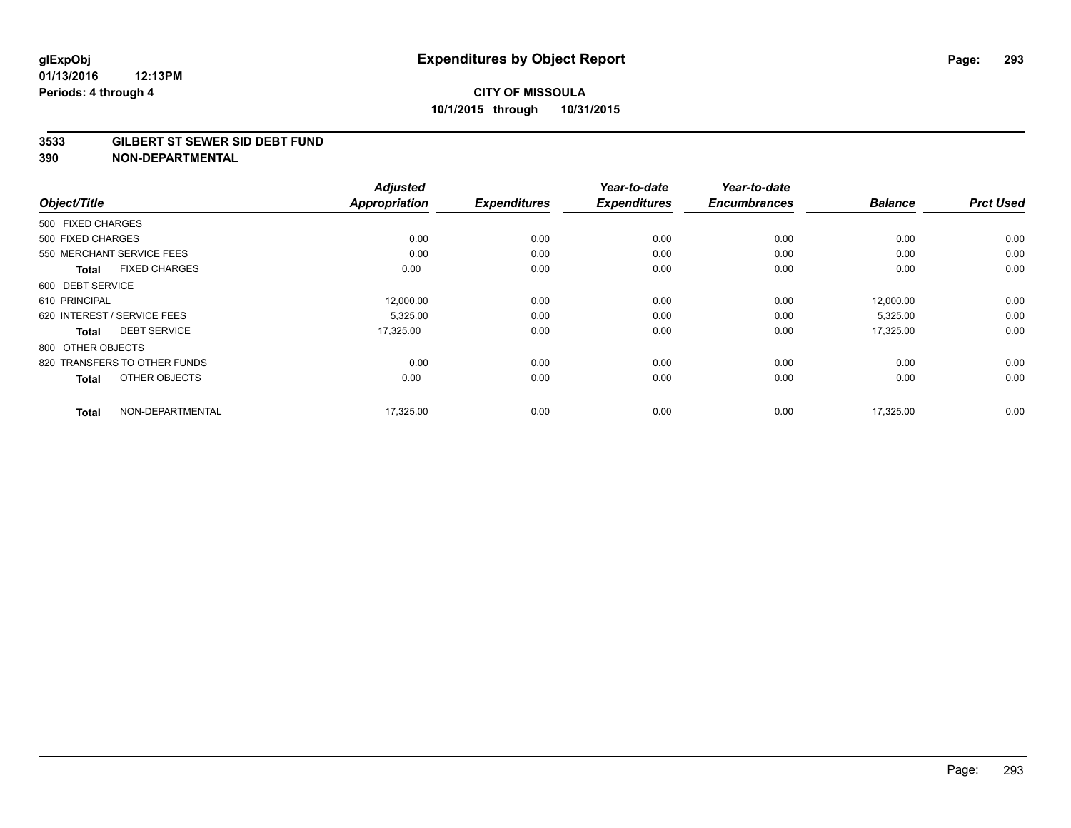#### **3533 GILBERT ST SEWER SID DEBT FUND**

| Object/Title                         | <b>Adjusted</b><br><b>Appropriation</b> | <b>Expenditures</b> | Year-to-date<br><b>Expenditures</b> | Year-to-date<br><b>Encumbrances</b> | <b>Balance</b> | <b>Prct Used</b> |
|--------------------------------------|-----------------------------------------|---------------------|-------------------------------------|-------------------------------------|----------------|------------------|
|                                      |                                         |                     |                                     |                                     |                |                  |
| 500 FIXED CHARGES                    |                                         |                     |                                     |                                     |                |                  |
| 500 FIXED CHARGES                    | 0.00                                    | 0.00                | 0.00                                | 0.00                                | 0.00           | 0.00             |
| 550 MERCHANT SERVICE FEES            | 0.00                                    | 0.00                | 0.00                                | 0.00                                | 0.00           | 0.00             |
| <b>FIXED CHARGES</b><br><b>Total</b> | 0.00                                    | 0.00                | 0.00                                | 0.00                                | 0.00           | 0.00             |
| 600 DEBT SERVICE                     |                                         |                     |                                     |                                     |                |                  |
| 610 PRINCIPAL                        | 12,000.00                               | 0.00                | 0.00                                | 0.00                                | 12,000.00      | 0.00             |
| 620 INTEREST / SERVICE FEES          | 5,325.00                                | 0.00                | 0.00                                | 0.00                                | 5,325.00       | 0.00             |
| <b>DEBT SERVICE</b><br>Total         | 17,325.00                               | 0.00                | 0.00                                | 0.00                                | 17,325.00      | 0.00             |
| 800 OTHER OBJECTS                    |                                         |                     |                                     |                                     |                |                  |
| 820 TRANSFERS TO OTHER FUNDS         | 0.00                                    | 0.00                | 0.00                                | 0.00                                | 0.00           | 0.00             |
| OTHER OBJECTS<br><b>Total</b>        | 0.00                                    | 0.00                | 0.00                                | 0.00                                | 0.00           | 0.00             |
| NON-DEPARTMENTAL<br><b>Total</b>     | 17,325.00                               | 0.00                | 0.00                                | 0.00                                | 17,325.00      | 0.00             |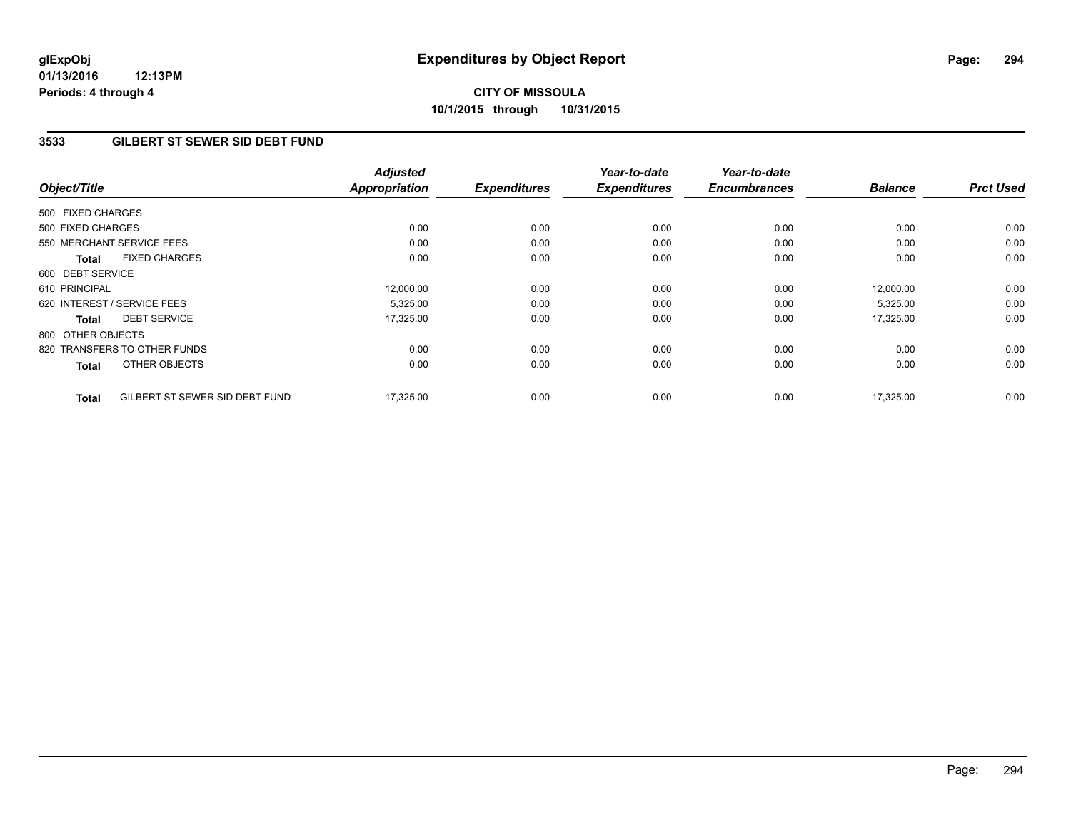## **3533 GILBERT ST SEWER SID DEBT FUND**

| Object/Title      |                                | <b>Adjusted</b><br><b>Appropriation</b> | <b>Expenditures</b> | Year-to-date<br><b>Expenditures</b> | Year-to-date<br><b>Encumbrances</b> | <b>Balance</b> | <b>Prct Used</b> |
|-------------------|--------------------------------|-----------------------------------------|---------------------|-------------------------------------|-------------------------------------|----------------|------------------|
| 500 FIXED CHARGES |                                |                                         |                     |                                     |                                     |                |                  |
| 500 FIXED CHARGES |                                | 0.00                                    | 0.00                | 0.00                                | 0.00                                | 0.00           | 0.00             |
|                   | 550 MERCHANT SERVICE FEES      | 0.00                                    | 0.00                | 0.00                                | 0.00                                | 0.00           | 0.00             |
| <b>Total</b>      | <b>FIXED CHARGES</b>           | 0.00                                    | 0.00                | 0.00                                | 0.00                                | 0.00           | 0.00             |
| 600 DEBT SERVICE  |                                |                                         |                     |                                     |                                     |                |                  |
| 610 PRINCIPAL     |                                | 12,000.00                               | 0.00                | 0.00                                | 0.00                                | 12,000.00      | 0.00             |
|                   | 620 INTEREST / SERVICE FEES    | 5,325.00                                | 0.00                | 0.00                                | 0.00                                | 5,325.00       | 0.00             |
| <b>Total</b>      | <b>DEBT SERVICE</b>            | 17,325.00                               | 0.00                | 0.00                                | 0.00                                | 17,325.00      | 0.00             |
| 800 OTHER OBJECTS |                                |                                         |                     |                                     |                                     |                |                  |
|                   | 820 TRANSFERS TO OTHER FUNDS   | 0.00                                    | 0.00                | 0.00                                | 0.00                                | 0.00           | 0.00             |
| <b>Total</b>      | OTHER OBJECTS                  | 0.00                                    | 0.00                | 0.00                                | 0.00                                | 0.00           | 0.00             |
| <b>Total</b>      | GILBERT ST SEWER SID DEBT FUND | 17,325.00                               | 0.00                | 0.00                                | 0.00                                | 17,325.00      | 0.00             |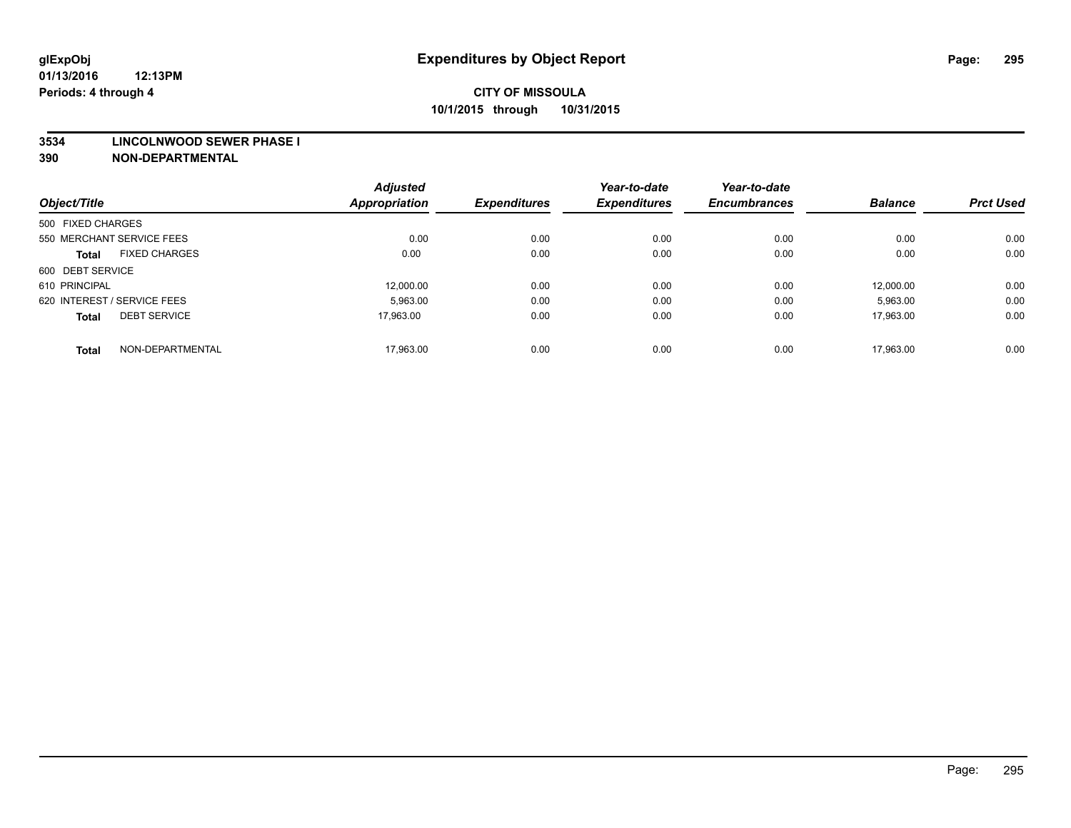#### **3534 LINCOLNWOOD SEWER PHASE I**

| Object/Title                |                      | <b>Adjusted</b><br><b>Appropriation</b> | <b>Expenditures</b> | Year-to-date<br><b>Expenditures</b> | Year-to-date<br><b>Encumbrances</b> | <b>Balance</b> | <b>Prct Used</b> |
|-----------------------------|----------------------|-----------------------------------------|---------------------|-------------------------------------|-------------------------------------|----------------|------------------|
| 500 FIXED CHARGES           |                      |                                         |                     |                                     |                                     |                |                  |
|                             |                      |                                         |                     |                                     |                                     |                |                  |
| 550 MERCHANT SERVICE FEES   |                      | 0.00                                    | 0.00                | 0.00                                | 0.00                                | 0.00           | 0.00             |
| <b>Total</b>                | <b>FIXED CHARGES</b> | 0.00                                    | 0.00                | 0.00                                | 0.00                                | 0.00           | 0.00             |
| 600 DEBT SERVICE            |                      |                                         |                     |                                     |                                     |                |                  |
| 610 PRINCIPAL               |                      | 12.000.00                               | 0.00                | 0.00                                | 0.00                                | 12.000.00      | 0.00             |
| 620 INTEREST / SERVICE FEES |                      | 5,963.00                                | 0.00                | 0.00                                | 0.00                                | 5,963.00       | 0.00             |
| <b>Total</b>                | <b>DEBT SERVICE</b>  | 17.963.00                               | 0.00                | 0.00                                | 0.00                                | 17.963.00      | 0.00             |
|                             |                      |                                         |                     |                                     |                                     |                |                  |
| <b>Total</b>                | NON-DEPARTMENTAL     | 17,963.00                               | 0.00                | 0.00                                | 0.00                                | 17.963.00      | 0.00             |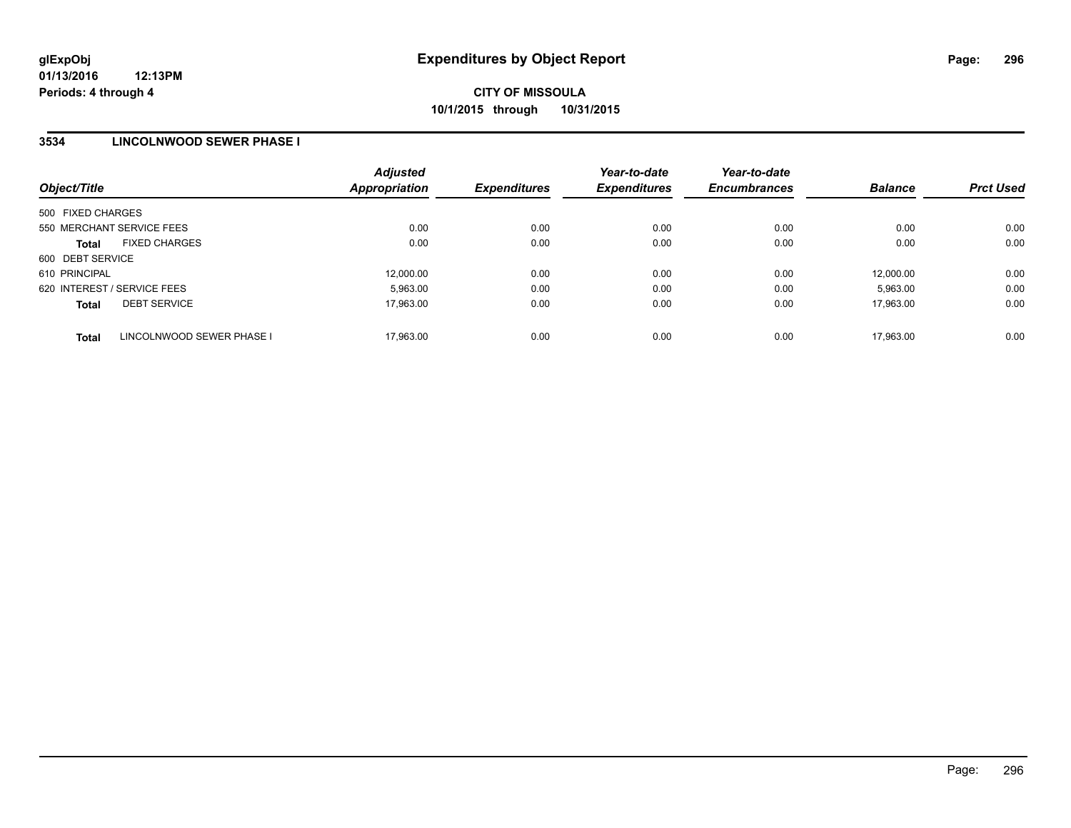### **3534 LINCOLNWOOD SEWER PHASE I**

| Object/Title                              | <b>Adjusted</b><br>Appropriation | <b>Expenditures</b> | Year-to-date<br><b>Expenditures</b> | Year-to-date<br><b>Encumbrances</b> | <b>Balance</b> | <b>Prct Used</b> |
|-------------------------------------------|----------------------------------|---------------------|-------------------------------------|-------------------------------------|----------------|------------------|
| 500 FIXED CHARGES                         |                                  |                     |                                     |                                     |                |                  |
| 550 MERCHANT SERVICE FEES                 | 0.00                             | 0.00                | 0.00                                | 0.00                                | 0.00           | 0.00             |
| <b>FIXED CHARGES</b><br><b>Total</b>      | 0.00                             | 0.00                | 0.00                                | 0.00                                | 0.00           | 0.00             |
| 600 DEBT SERVICE                          |                                  |                     |                                     |                                     |                |                  |
| 610 PRINCIPAL                             | 12,000.00                        | 0.00                | 0.00                                | 0.00                                | 12.000.00      | 0.00             |
| 620 INTEREST / SERVICE FEES               | 5,963.00                         | 0.00                | 0.00                                | 0.00                                | 5,963.00       | 0.00             |
| <b>DEBT SERVICE</b><br><b>Total</b>       | 17.963.00                        | 0.00                | 0.00                                | 0.00                                | 17.963.00      | 0.00             |
| LINCOLNWOOD SEWER PHASE I<br><b>Total</b> | 17.963.00                        | 0.00                | 0.00                                | 0.00                                | 17.963.00      | 0.00             |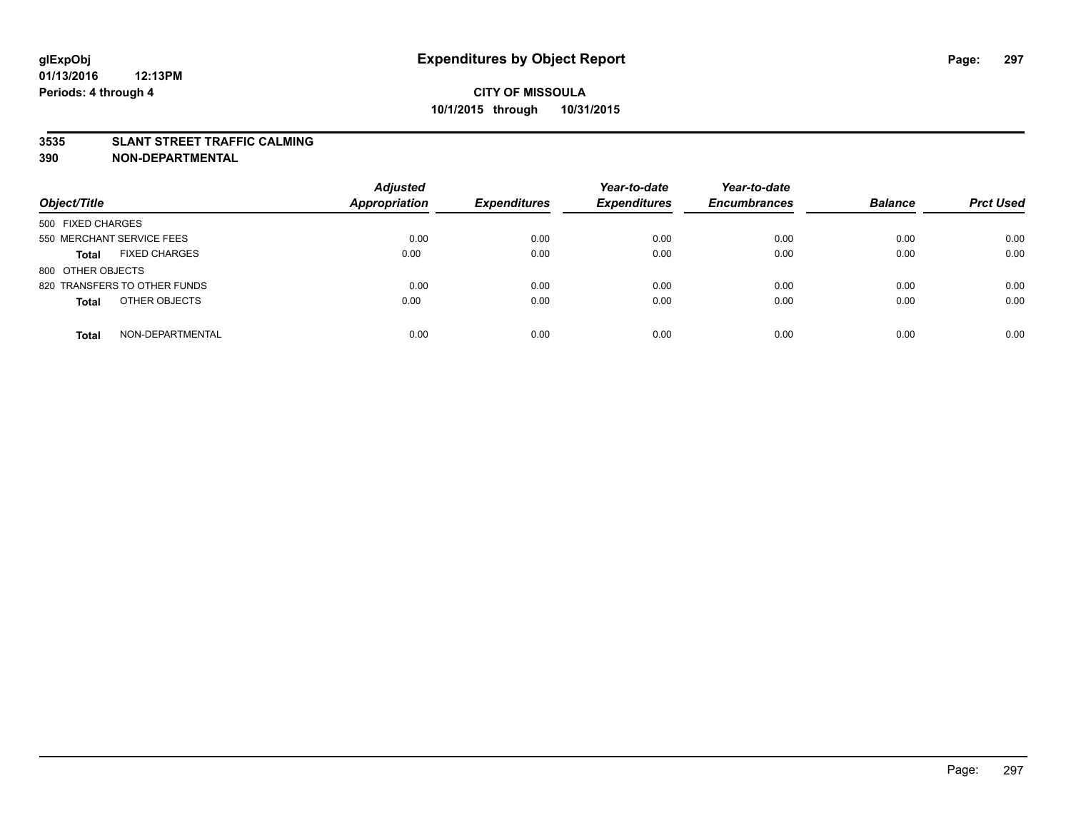### **3535 SLANT STREET TRAFFIC CALMING**

| Object/Title                         | <b>Adjusted</b><br><b>Appropriation</b> | <b>Expenditures</b> | Year-to-date<br><b>Expenditures</b> | Year-to-date<br><b>Encumbrances</b> | <b>Balance</b> | <b>Prct Used</b> |
|--------------------------------------|-----------------------------------------|---------------------|-------------------------------------|-------------------------------------|----------------|------------------|
|                                      |                                         |                     |                                     |                                     |                |                  |
| 500 FIXED CHARGES                    |                                         |                     |                                     |                                     |                |                  |
| 550 MERCHANT SERVICE FEES            | 0.00                                    | 0.00                | 0.00                                | 0.00                                | 0.00           | 0.00             |
| <b>FIXED CHARGES</b><br><b>Total</b> | 0.00                                    | 0.00                | 0.00                                | 0.00                                | 0.00           | 0.00             |
| 800 OTHER OBJECTS                    |                                         |                     |                                     |                                     |                |                  |
| 820 TRANSFERS TO OTHER FUNDS         | 0.00                                    | 0.00                | 0.00                                | 0.00                                | 0.00           | 0.00             |
| OTHER OBJECTS<br><b>Total</b>        | 0.00                                    | 0.00                | 0.00                                | 0.00                                | 0.00           | 0.00             |
|                                      |                                         |                     |                                     |                                     |                |                  |
| NON-DEPARTMENTAL<br><b>Total</b>     | 0.00                                    | 0.00                | 0.00                                | 0.00                                | 0.00           | 0.00             |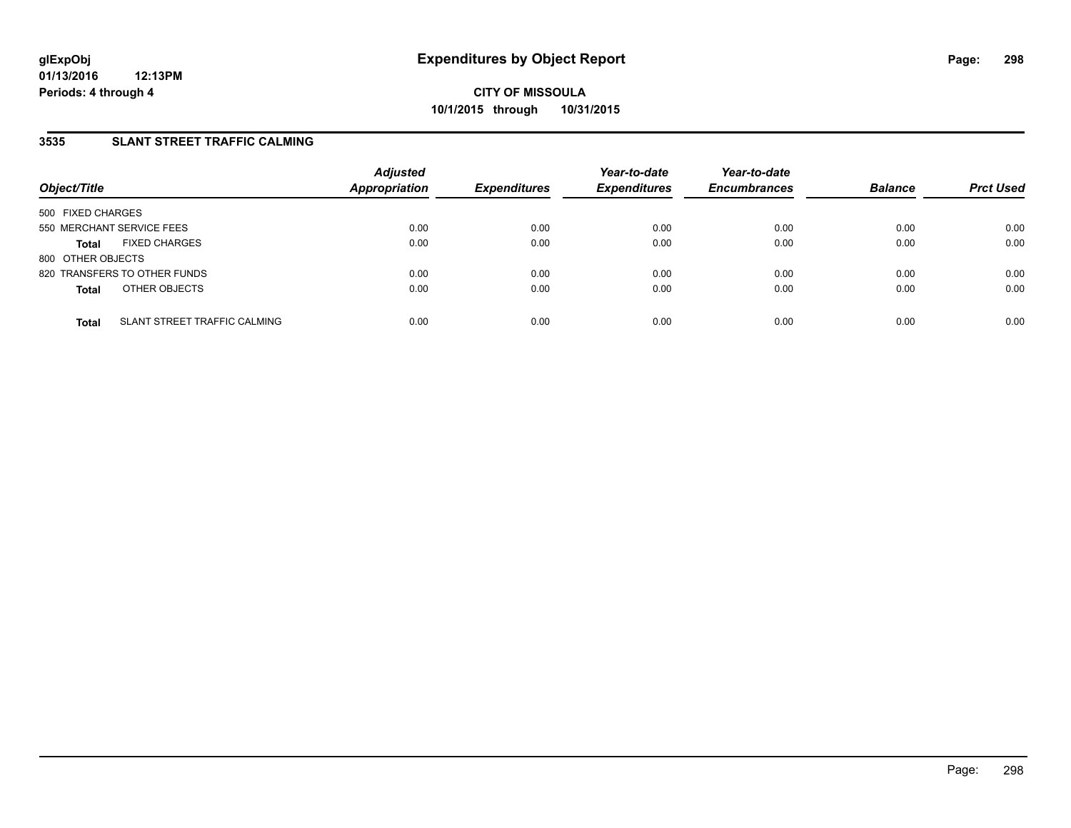## **3535 SLANT STREET TRAFFIC CALMING**

| Object/Title              |                              | <b>Adjusted</b><br>Appropriation | <b>Expenditures</b> | Year-to-date<br><b>Expenditures</b> | Year-to-date<br><b>Encumbrances</b> | <b>Balance</b> | <b>Prct Used</b> |
|---------------------------|------------------------------|----------------------------------|---------------------|-------------------------------------|-------------------------------------|----------------|------------------|
| 500 FIXED CHARGES         |                              |                                  |                     |                                     |                                     |                |                  |
| 550 MERCHANT SERVICE FEES |                              | 0.00                             | 0.00                | 0.00                                | 0.00                                | 0.00           | 0.00             |
| <b>Total</b>              | <b>FIXED CHARGES</b>         | 0.00                             | 0.00                | 0.00                                | 0.00                                | 0.00           | 0.00             |
| 800 OTHER OBJECTS         |                              |                                  |                     |                                     |                                     |                |                  |
|                           | 820 TRANSFERS TO OTHER FUNDS | 0.00                             | 0.00                | 0.00                                | 0.00                                | 0.00           | 0.00             |
| <b>Total</b>              | OTHER OBJECTS                | 0.00                             | 0.00                | 0.00                                | 0.00                                | 0.00           | 0.00             |
| <b>Total</b>              | SLANT STREET TRAFFIC CALMING | 0.00                             | 0.00                | 0.00                                | 0.00                                | 0.00           | 0.00             |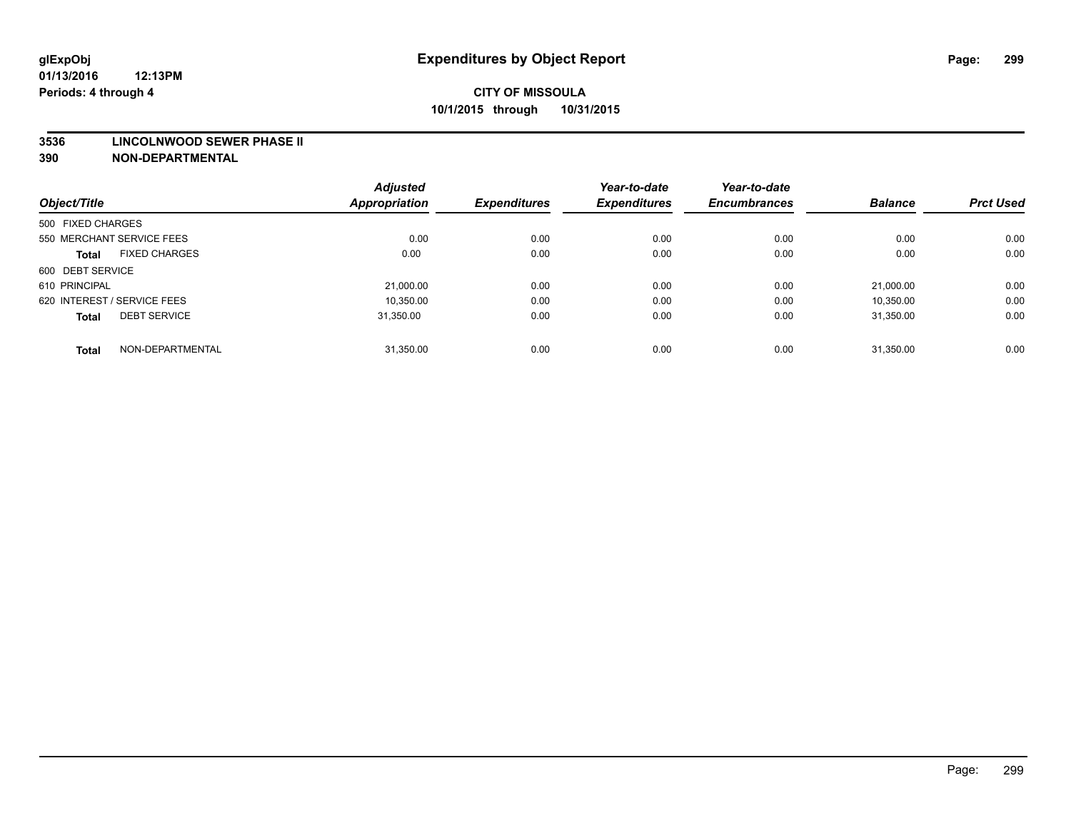#### **3536 LINCOLNWOOD SEWER PHASE II**

|                                      |                  | <b>Adjusted</b> |                     | Year-to-date        | Year-to-date        |                |                  |
|--------------------------------------|------------------|-----------------|---------------------|---------------------|---------------------|----------------|------------------|
| Object/Title                         |                  | Appropriation   | <b>Expenditures</b> | <b>Expenditures</b> | <b>Encumbrances</b> | <b>Balance</b> | <b>Prct Used</b> |
| 500 FIXED CHARGES                    |                  |                 |                     |                     |                     |                |                  |
| 550 MERCHANT SERVICE FEES            |                  | 0.00            | 0.00                | 0.00                | 0.00                | 0.00           | 0.00             |
| <b>FIXED CHARGES</b><br><b>Total</b> |                  | 0.00            | 0.00                | 0.00                | 0.00                | 0.00           | 0.00             |
| 600 DEBT SERVICE                     |                  |                 |                     |                     |                     |                |                  |
| 610 PRINCIPAL                        |                  | 21,000.00       | 0.00                | 0.00                | 0.00                | 21.000.00      | 0.00             |
| 620 INTEREST / SERVICE FEES          |                  | 10.350.00       | 0.00                | 0.00                | 0.00                | 10.350.00      | 0.00             |
| <b>DEBT SERVICE</b><br><b>Total</b>  |                  | 31.350.00       | 0.00                | 0.00                | 0.00                | 31.350.00      | 0.00             |
| <b>Total</b>                         | NON-DEPARTMENTAL | 31.350.00       | 0.00                | 0.00                | 0.00                | 31.350.00      | 0.00             |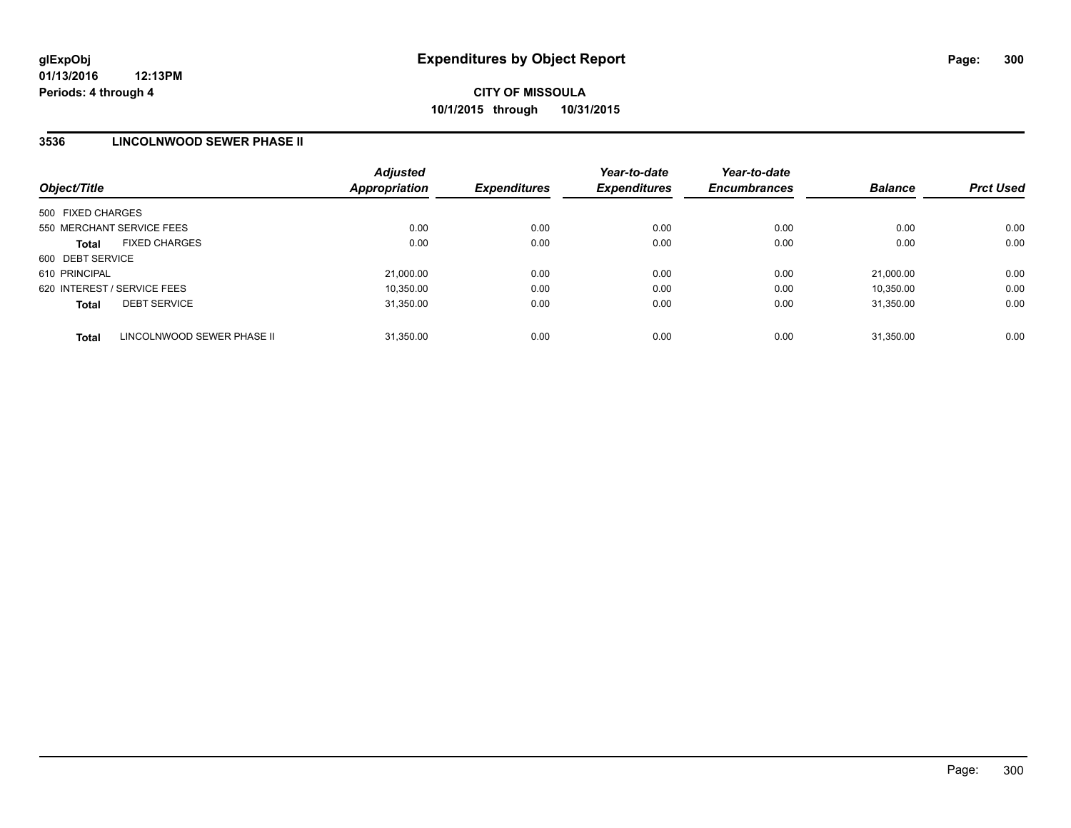### **3536 LINCOLNWOOD SEWER PHASE II**

| Object/Title                               | <b>Adjusted</b><br>Appropriation | <b>Expenditures</b> | Year-to-date<br><b>Expenditures</b> | Year-to-date<br><b>Encumbrances</b> | <b>Balance</b> | <b>Prct Used</b> |
|--------------------------------------------|----------------------------------|---------------------|-------------------------------------|-------------------------------------|----------------|------------------|
| 500 FIXED CHARGES                          |                                  |                     |                                     |                                     |                |                  |
| 550 MERCHANT SERVICE FEES                  | 0.00                             | 0.00                | 0.00                                | 0.00                                | 0.00           | 0.00             |
| <b>FIXED CHARGES</b><br><b>Total</b>       | 0.00                             | 0.00                | 0.00                                | 0.00                                | 0.00           | 0.00             |
| 600 DEBT SERVICE                           |                                  |                     |                                     |                                     |                |                  |
| 610 PRINCIPAL                              | 21,000.00                        | 0.00                | 0.00                                | 0.00                                | 21.000.00      | 0.00             |
| 620 INTEREST / SERVICE FEES                | 10,350.00                        | 0.00                | 0.00                                | 0.00                                | 10,350.00      | 0.00             |
| <b>DEBT SERVICE</b><br><b>Total</b>        | 31,350.00                        | 0.00                | 0.00                                | 0.00                                | 31.350.00      | 0.00             |
| LINCOLNWOOD SEWER PHASE II<br><b>Total</b> | 31.350.00                        | 0.00                | 0.00                                | 0.00                                | 31.350.00      | 0.00             |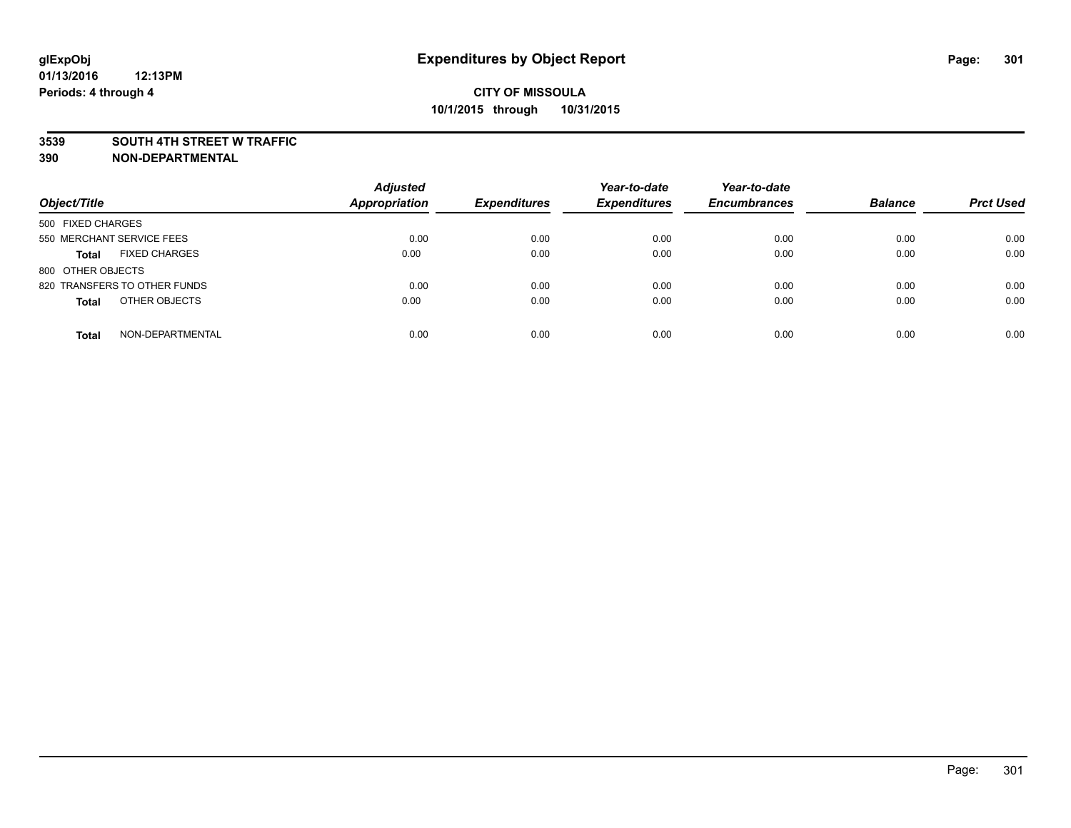#### **3539 SOUTH 4TH STREET W TRAFFIC**

| Object/Title                         | <b>Adjusted</b><br><b>Appropriation</b> | <b>Expenditures</b> | Year-to-date<br><b>Expenditures</b> | Year-to-date<br><b>Encumbrances</b> | <b>Balance</b> | <b>Prct Used</b> |
|--------------------------------------|-----------------------------------------|---------------------|-------------------------------------|-------------------------------------|----------------|------------------|
|                                      |                                         |                     |                                     |                                     |                |                  |
| 500 FIXED CHARGES                    |                                         |                     |                                     |                                     |                |                  |
| 550 MERCHANT SERVICE FEES            | 0.00                                    | 0.00                | 0.00                                | 0.00                                | 0.00           | 0.00             |
| <b>FIXED CHARGES</b><br><b>Total</b> | 0.00                                    | 0.00                | 0.00                                | 0.00                                | 0.00           | 0.00             |
| 800 OTHER OBJECTS                    |                                         |                     |                                     |                                     |                |                  |
| 820 TRANSFERS TO OTHER FUNDS         | 0.00                                    | 0.00                | 0.00                                | 0.00                                | 0.00           | 0.00             |
| OTHER OBJECTS<br><b>Total</b>        | 0.00                                    | 0.00                | 0.00                                | 0.00                                | 0.00           | 0.00             |
|                                      |                                         |                     |                                     |                                     |                |                  |
| NON-DEPARTMENTAL<br><b>Total</b>     | 0.00                                    | 0.00                | 0.00                                | 0.00                                | 0.00           | 0.00             |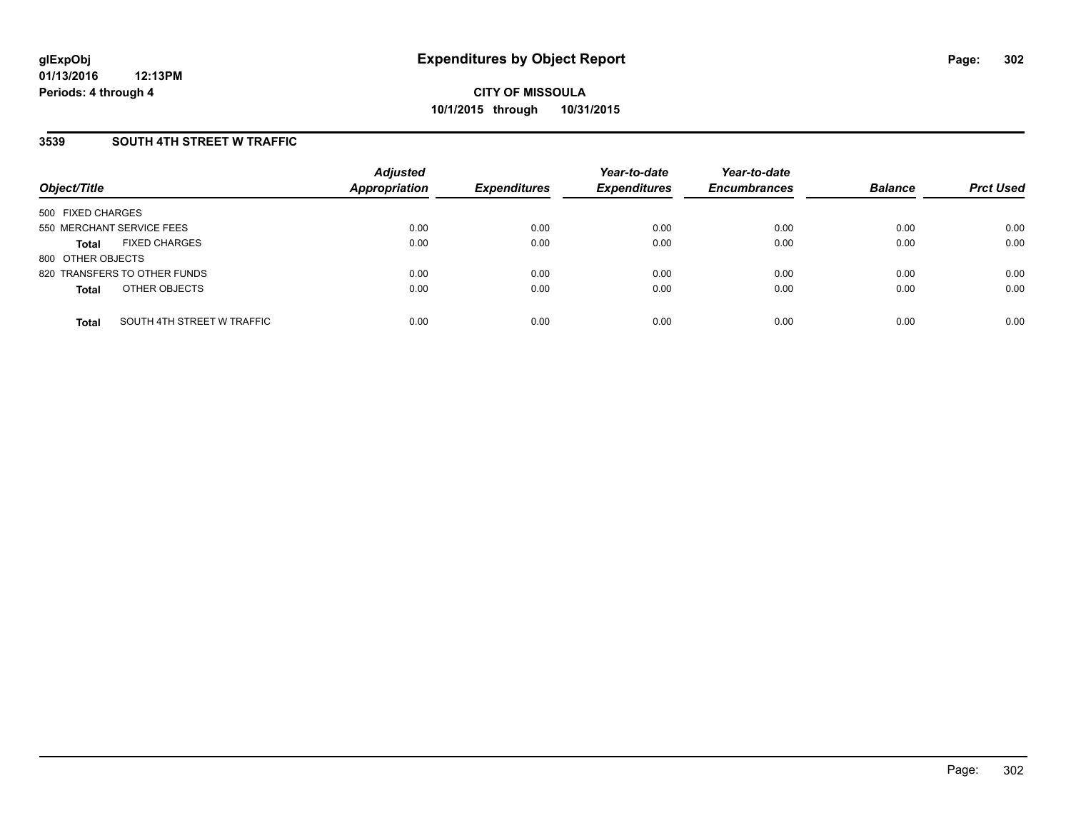### **3539 SOUTH 4TH STREET W TRAFFIC**

| Object/Title              |                              | <b>Adjusted</b><br><b>Appropriation</b> | <b>Expenditures</b> | Year-to-date<br><b>Expenditures</b> | Year-to-date<br><b>Encumbrances</b> | <b>Balance</b> | <b>Prct Used</b> |
|---------------------------|------------------------------|-----------------------------------------|---------------------|-------------------------------------|-------------------------------------|----------------|------------------|
| 500 FIXED CHARGES         |                              |                                         |                     |                                     |                                     |                |                  |
| 550 MERCHANT SERVICE FEES |                              | 0.00                                    | 0.00                | 0.00                                | 0.00                                | 0.00           | 0.00             |
| Total                     | <b>FIXED CHARGES</b>         | 0.00                                    | 0.00                | 0.00                                | 0.00                                | 0.00           | 0.00             |
| 800 OTHER OBJECTS         |                              |                                         |                     |                                     |                                     |                |                  |
|                           | 820 TRANSFERS TO OTHER FUNDS | 0.00                                    | 0.00                | 0.00                                | 0.00                                | 0.00           | 0.00             |
| <b>Total</b>              | OTHER OBJECTS                | 0.00                                    | 0.00                | 0.00                                | 0.00                                | 0.00           | 0.00             |
| <b>Total</b>              | SOUTH 4TH STREET W TRAFFIC   | 0.00                                    | 0.00                | 0.00                                | 0.00                                | 0.00           | 0.00             |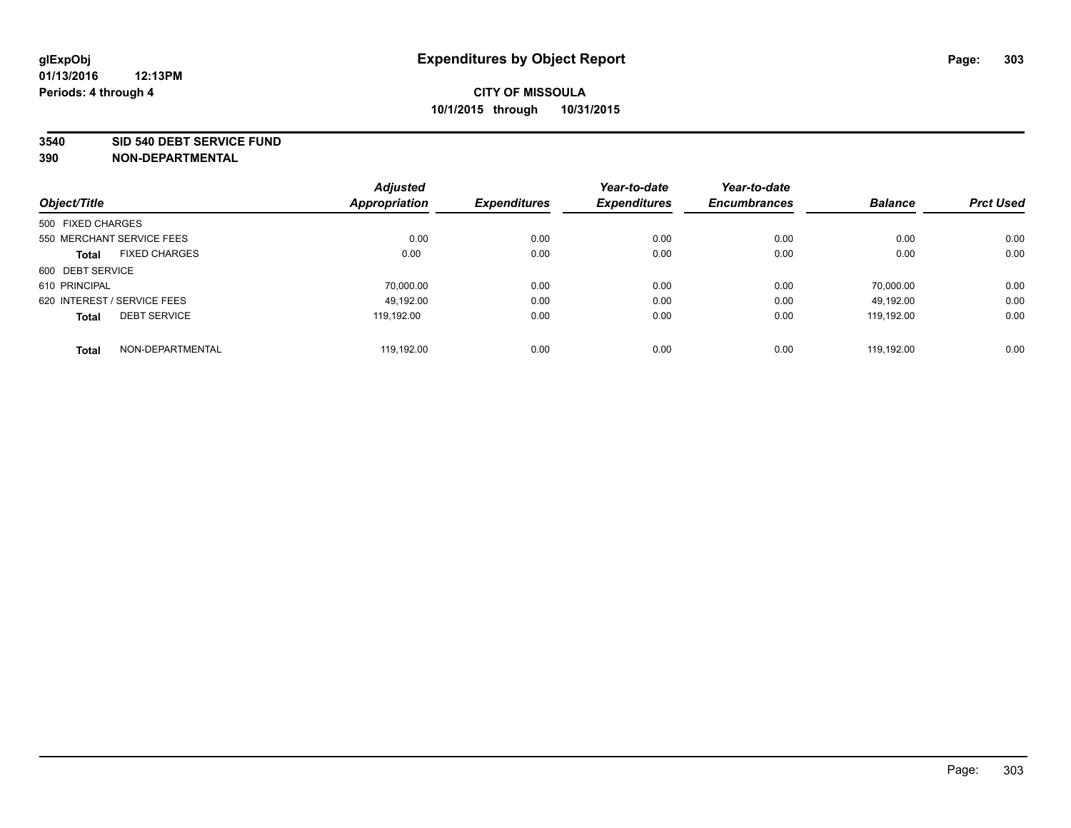#### **3540 SID 540 DEBT SERVICE FUND**

|                             |                      | <b>Adjusted</b>      |                     | Year-to-date        | Year-to-date        |                |                  |
|-----------------------------|----------------------|----------------------|---------------------|---------------------|---------------------|----------------|------------------|
| Object/Title                |                      | <b>Appropriation</b> | <b>Expenditures</b> | <b>Expenditures</b> | <b>Encumbrances</b> | <b>Balance</b> | <b>Prct Used</b> |
| 500 FIXED CHARGES           |                      |                      |                     |                     |                     |                |                  |
| 550 MERCHANT SERVICE FEES   |                      | 0.00                 | 0.00                | 0.00                | 0.00                | 0.00           | 0.00             |
| <b>Total</b>                | <b>FIXED CHARGES</b> | 0.00                 | 0.00                | 0.00                | 0.00                | 0.00           | 0.00             |
| 600 DEBT SERVICE            |                      |                      |                     |                     |                     |                |                  |
| 610 PRINCIPAL               |                      | 70.000.00            | 0.00                | 0.00                | 0.00                | 70.000.00      | 0.00             |
| 620 INTEREST / SERVICE FEES |                      | 49.192.00            | 0.00                | 0.00                | 0.00                | 49,192.00      | 0.00             |
| <b>Total</b>                | <b>DEBT SERVICE</b>  | 119.192.00           | 0.00                | 0.00                | 0.00                | 119.192.00     | 0.00             |
| <b>Total</b>                | NON-DEPARTMENTAL     | 119.192.00           | 0.00                | 0.00                | 0.00                | 119.192.00     | 0.00             |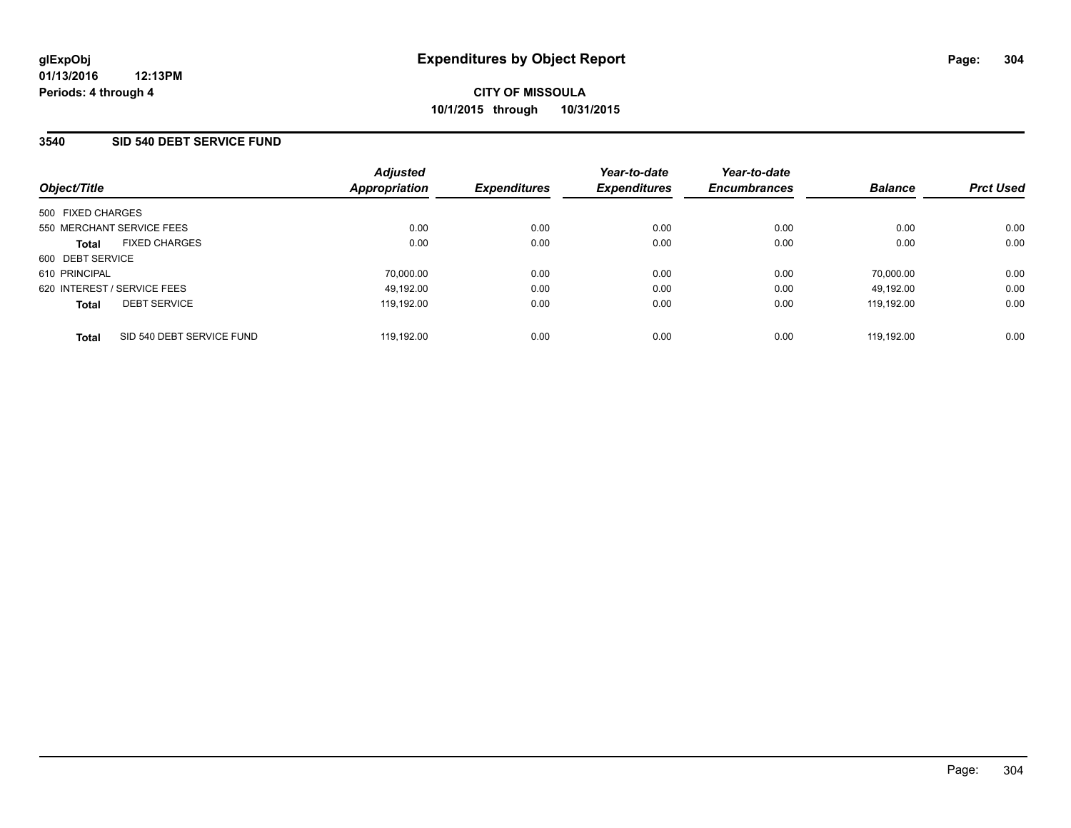### **3540 SID 540 DEBT SERVICE FUND**

| Object/Title                              | <b>Adjusted</b><br>Appropriation | <b>Expenditures</b> | Year-to-date<br><b>Expenditures</b> | Year-to-date<br><b>Encumbrances</b> | <b>Balance</b> | <b>Prct Used</b> |
|-------------------------------------------|----------------------------------|---------------------|-------------------------------------|-------------------------------------|----------------|------------------|
| 500 FIXED CHARGES                         |                                  |                     |                                     |                                     |                |                  |
| 550 MERCHANT SERVICE FEES                 | 0.00                             | 0.00                | 0.00                                | 0.00                                | 0.00           | 0.00             |
| <b>FIXED CHARGES</b><br><b>Total</b>      | 0.00                             | 0.00                | 0.00                                | 0.00                                | 0.00           | 0.00             |
| 600 DEBT SERVICE                          |                                  |                     |                                     |                                     |                |                  |
| 610 PRINCIPAL                             | 70,000.00                        | 0.00                | 0.00                                | 0.00                                | 70,000.00      | 0.00             |
| 620 INTEREST / SERVICE FEES               | 49,192.00                        | 0.00                | 0.00                                | 0.00                                | 49.192.00      | 0.00             |
| <b>DEBT SERVICE</b><br><b>Total</b>       | 119.192.00                       | 0.00                | 0.00                                | 0.00                                | 119.192.00     | 0.00             |
| SID 540 DEBT SERVICE FUND<br><b>Total</b> | 119.192.00                       | 0.00                | 0.00                                | 0.00                                | 119.192.00     | 0.00             |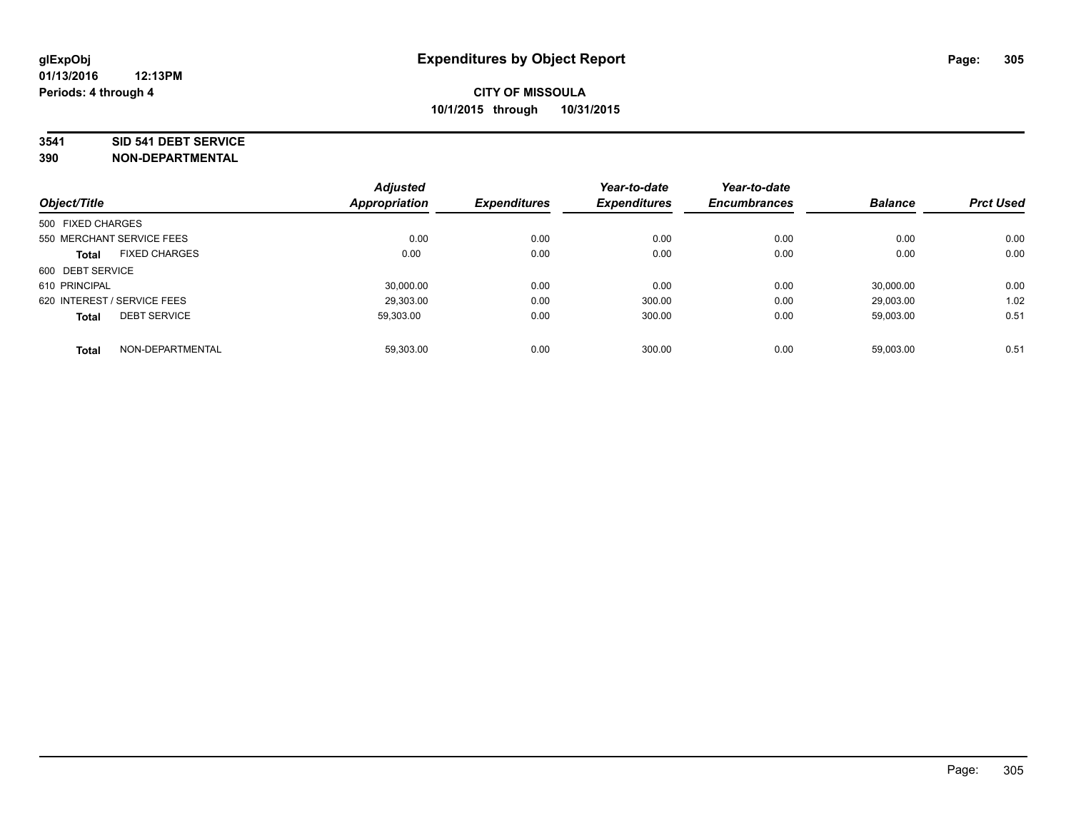#### **3541 SID 541 DEBT SERVICE**

| Object/Title                |                      | <b>Adjusted</b><br><b>Appropriation</b> | <b>Expenditures</b> | Year-to-date<br><b>Expenditures</b> | Year-to-date<br><b>Encumbrances</b> | <b>Balance</b> | <b>Prct Used</b> |
|-----------------------------|----------------------|-----------------------------------------|---------------------|-------------------------------------|-------------------------------------|----------------|------------------|
|                             |                      |                                         |                     |                                     |                                     |                |                  |
| 500 FIXED CHARGES           |                      |                                         |                     |                                     |                                     |                |                  |
| 550 MERCHANT SERVICE FEES   |                      | 0.00                                    | 0.00                | 0.00                                | 0.00                                | 0.00           | 0.00             |
| <b>Total</b>                | <b>FIXED CHARGES</b> | 0.00                                    | 0.00                | 0.00                                | 0.00                                | 0.00           | 0.00             |
| 600 DEBT SERVICE            |                      |                                         |                     |                                     |                                     |                |                  |
| 610 PRINCIPAL               |                      | 30.000.00                               | 0.00                | 0.00                                | 0.00                                | 30.000.00      | 0.00             |
| 620 INTEREST / SERVICE FEES |                      | 29,303.00                               | 0.00                | 300.00                              | 0.00                                | 29,003.00      | 1.02             |
| <b>Total</b>                | <b>DEBT SERVICE</b>  | 59.303.00                               | 0.00                | 300.00                              | 0.00                                | 59.003.00      | 0.51             |
| <b>Total</b>                | NON-DEPARTMENTAL     | 59,303.00                               | 0.00                | 300.00                              | 0.00                                | 59,003.00      | 0.51             |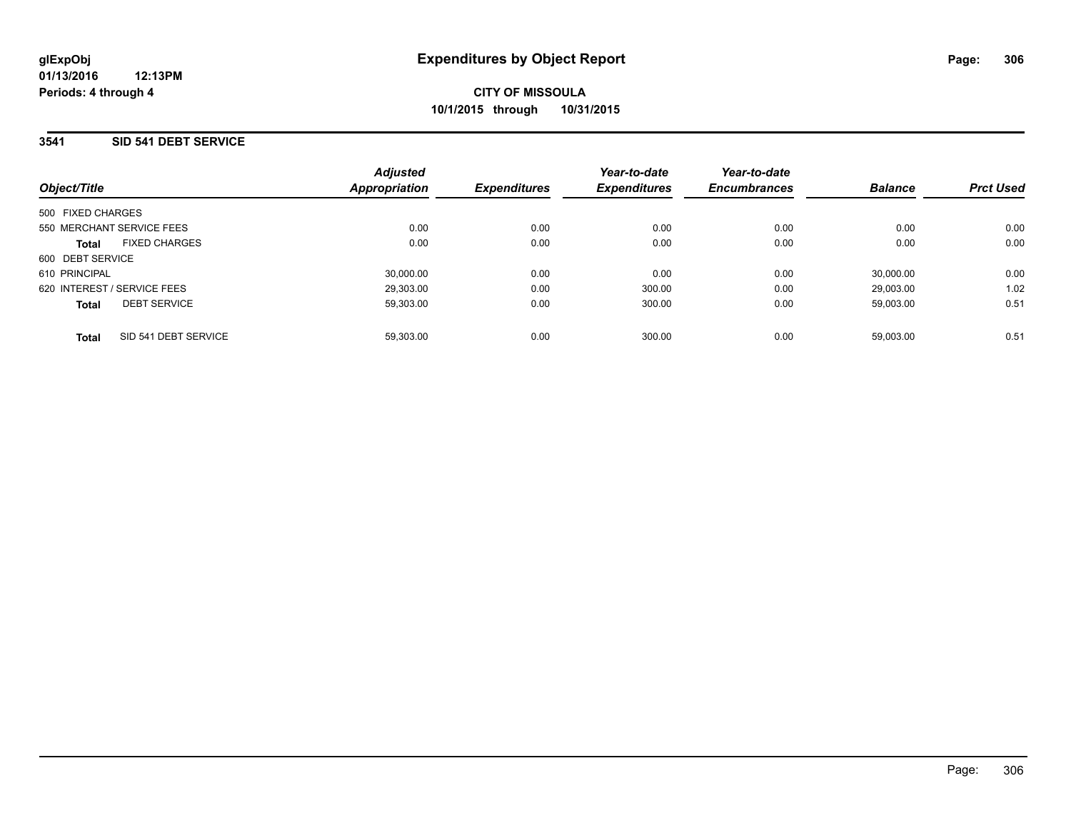### **3541 SID 541 DEBT SERVICE**

| Object/Title                         | <b>Adjusted</b><br>Appropriation | <b>Expenditures</b> | Year-to-date<br><b>Expenditures</b> | Year-to-date<br><b>Encumbrances</b> | <b>Balance</b> | <b>Prct Used</b> |
|--------------------------------------|----------------------------------|---------------------|-------------------------------------|-------------------------------------|----------------|------------------|
| 500 FIXED CHARGES                    |                                  |                     |                                     |                                     |                |                  |
| 550 MERCHANT SERVICE FEES            | 0.00                             | 0.00                | 0.00                                | 0.00                                | 0.00           | 0.00             |
| <b>FIXED CHARGES</b><br><b>Total</b> | 0.00                             | 0.00                | 0.00                                | 0.00                                | 0.00           | 0.00             |
| 600 DEBT SERVICE                     |                                  |                     |                                     |                                     |                |                  |
| 610 PRINCIPAL                        | 30.000.00                        | 0.00                | 0.00                                | 0.00                                | 30.000.00      | 0.00             |
| 620 INTEREST / SERVICE FEES          | 29.303.00                        | 0.00                | 300.00                              | 0.00                                | 29.003.00      | 1.02             |
| <b>DEBT SERVICE</b><br><b>Total</b>  | 59.303.00                        | 0.00                | 300.00                              | 0.00                                | 59.003.00      | 0.51             |
| SID 541 DEBT SERVICE<br><b>Total</b> | 59.303.00                        | 0.00                | 300.00                              | 0.00                                | 59.003.00      | 0.51             |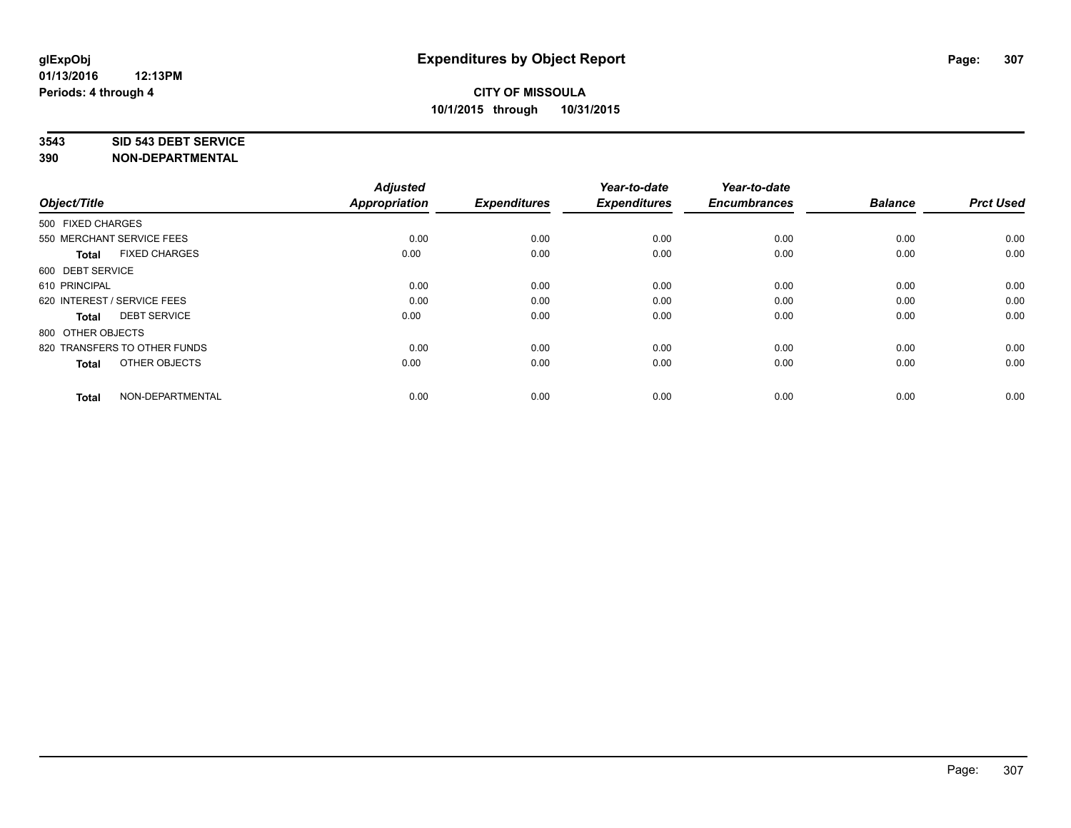#### **3543 SID 543 DEBT SERVICE**

| Object/Title                         | <b>Adjusted</b><br><b>Appropriation</b> | <b>Expenditures</b> | Year-to-date<br><b>Expenditures</b> | Year-to-date<br><b>Encumbrances</b> | <b>Balance</b> | <b>Prct Used</b> |
|--------------------------------------|-----------------------------------------|---------------------|-------------------------------------|-------------------------------------|----------------|------------------|
|                                      |                                         |                     |                                     |                                     |                |                  |
| 500 FIXED CHARGES                    |                                         |                     |                                     |                                     |                |                  |
| 550 MERCHANT SERVICE FEES            | 0.00                                    | 0.00                | 0.00                                | 0.00                                | 0.00           | 0.00             |
| <b>FIXED CHARGES</b><br><b>Total</b> | 0.00                                    | 0.00                | 0.00                                | 0.00                                | 0.00           | 0.00             |
| 600 DEBT SERVICE                     |                                         |                     |                                     |                                     |                |                  |
| 610 PRINCIPAL                        | 0.00                                    | 0.00                | 0.00                                | 0.00                                | 0.00           | 0.00             |
| 620 INTEREST / SERVICE FEES          | 0.00                                    | 0.00                | 0.00                                | 0.00                                | 0.00           | 0.00             |
| <b>DEBT SERVICE</b><br><b>Total</b>  | 0.00                                    | 0.00                | 0.00                                | 0.00                                | 0.00           | 0.00             |
| 800 OTHER OBJECTS                    |                                         |                     |                                     |                                     |                |                  |
| 820 TRANSFERS TO OTHER FUNDS         | 0.00                                    | 0.00                | 0.00                                | 0.00                                | 0.00           | 0.00             |
| OTHER OBJECTS<br><b>Total</b>        | 0.00                                    | 0.00                | 0.00                                | 0.00                                | 0.00           | 0.00             |
|                                      |                                         |                     |                                     |                                     |                |                  |
| NON-DEPARTMENTAL<br><b>Total</b>     | 0.00                                    | 0.00                | 0.00                                | 0.00                                | 0.00           | 0.00             |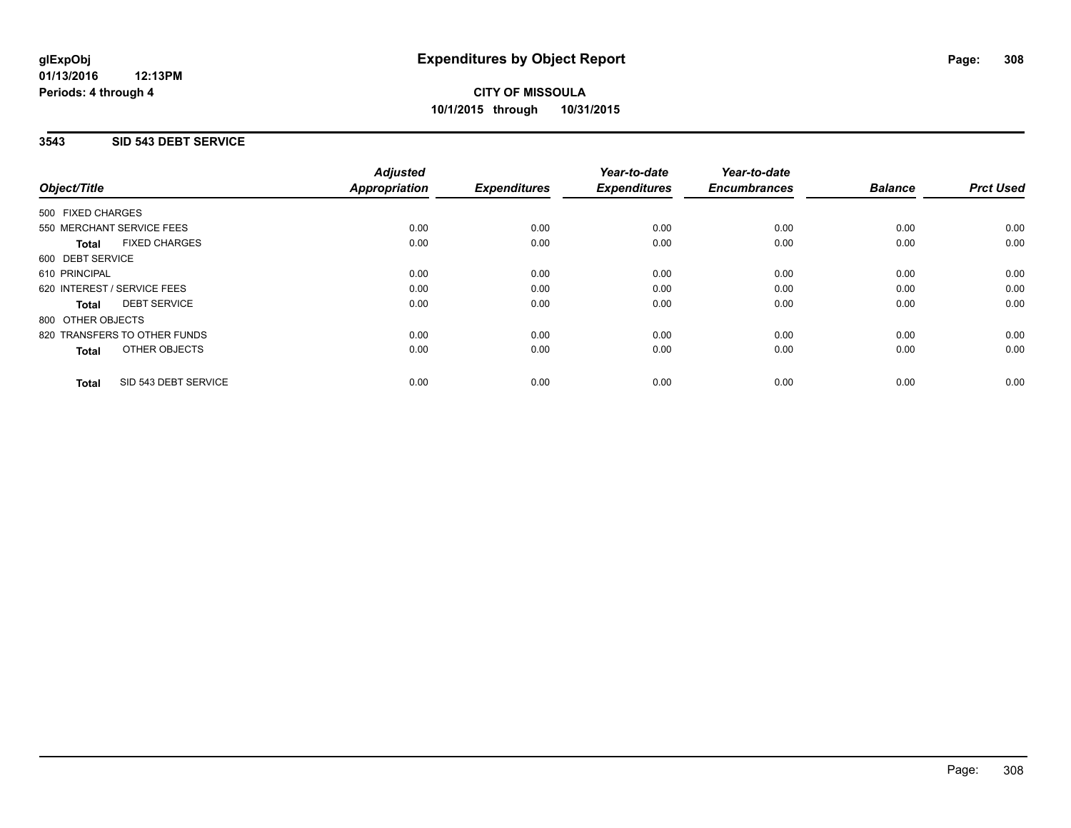### **01/13/2016 12:13PM Periods: 4 through 4**

## **CITY OF MISSOULA 10/1/2015 through 10/31/2015**

## **3543 SID 543 DEBT SERVICE**

| Object/Title      |                              | <b>Adjusted</b><br>Appropriation | <b>Expenditures</b> | Year-to-date<br><b>Expenditures</b> | Year-to-date<br><b>Encumbrances</b> | <b>Balance</b> | <b>Prct Used</b> |
|-------------------|------------------------------|----------------------------------|---------------------|-------------------------------------|-------------------------------------|----------------|------------------|
| 500 FIXED CHARGES |                              |                                  |                     |                                     |                                     |                |                  |
|                   | 550 MERCHANT SERVICE FEES    | 0.00                             | 0.00                | 0.00                                | 0.00                                | 0.00           | 0.00             |
| <b>Total</b>      | <b>FIXED CHARGES</b>         | 0.00                             | 0.00                | 0.00                                | 0.00                                | 0.00           | 0.00             |
| 600 DEBT SERVICE  |                              |                                  |                     |                                     |                                     |                |                  |
| 610 PRINCIPAL     |                              | 0.00                             | 0.00                | 0.00                                | 0.00                                | 0.00           | 0.00             |
|                   | 620 INTEREST / SERVICE FEES  | 0.00                             | 0.00                | 0.00                                | 0.00                                | 0.00           | 0.00             |
| Total             | <b>DEBT SERVICE</b>          | 0.00                             | 0.00                | 0.00                                | 0.00                                | 0.00           | 0.00             |
| 800 OTHER OBJECTS |                              |                                  |                     |                                     |                                     |                |                  |
|                   | 820 TRANSFERS TO OTHER FUNDS | 0.00                             | 0.00                | 0.00                                | 0.00                                | 0.00           | 0.00             |
| <b>Total</b>      | <b>OTHER OBJECTS</b>         | 0.00                             | 0.00                | 0.00                                | 0.00                                | 0.00           | 0.00             |
| <b>Total</b>      | SID 543 DEBT SERVICE         | 0.00                             | 0.00                | 0.00                                | 0.00                                | 0.00           | 0.00             |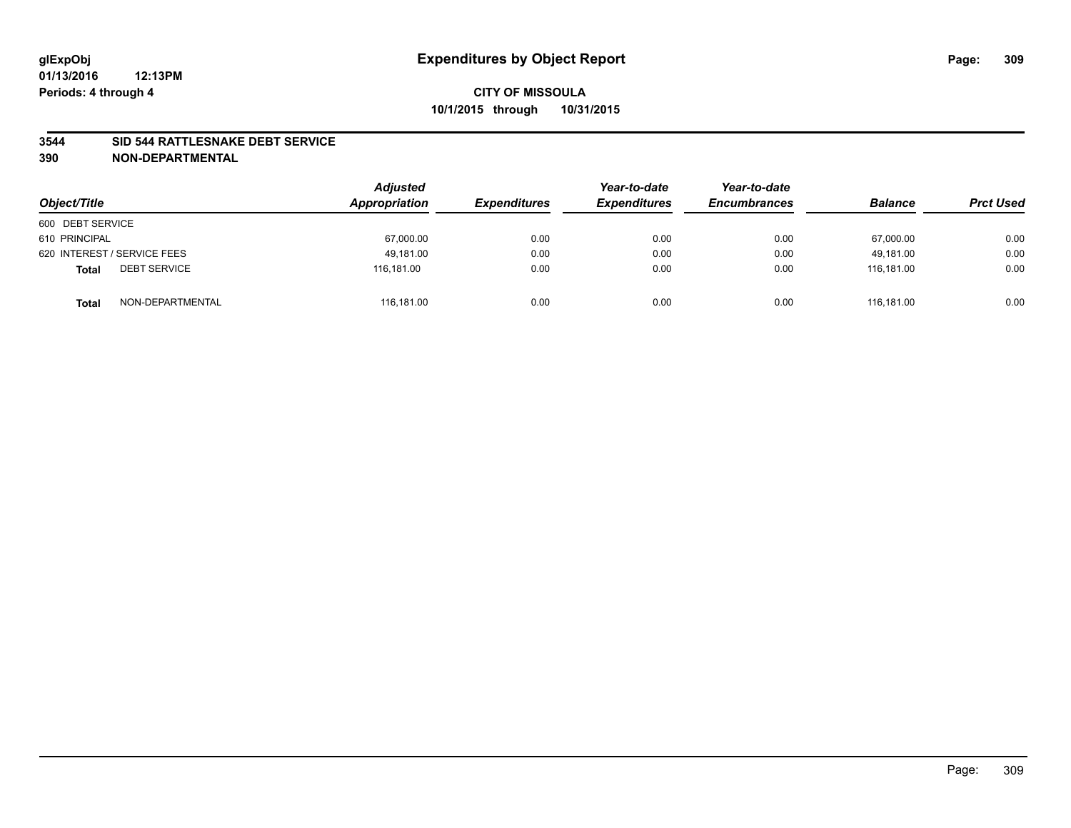### **3544 SID 544 RATTLESNAKE DEBT SERVICE**

| Object/Title                        | <b>Adjusted</b><br>Appropriation | <b>Expenditures</b> | Year-to-date<br><b>Expenditures</b> | Year-to-date<br><b>Encumbrances</b> | <b>Balance</b> | <b>Prct Used</b> |
|-------------------------------------|----------------------------------|---------------------|-------------------------------------|-------------------------------------|----------------|------------------|
| 600 DEBT SERVICE                    |                                  |                     |                                     |                                     |                |                  |
| 610 PRINCIPAL                       | 67,000.00                        | 0.00                | 0.00                                | 0.00                                | 67,000.00      | 0.00             |
| 620 INTEREST / SERVICE FEES         | 49.181.00                        | 0.00                | 0.00                                | 0.00                                | 49.181.00      | 0.00             |
| <b>DEBT SERVICE</b><br><b>Total</b> | 116.181.00                       | 0.00                | 0.00                                | 0.00                                | 116.181.00     | 0.00             |
| NON-DEPARTMENTAL<br><b>Total</b>    | 116,181.00                       | 0.00                | 0.00                                | 0.00                                | 116.181.00     | 0.00             |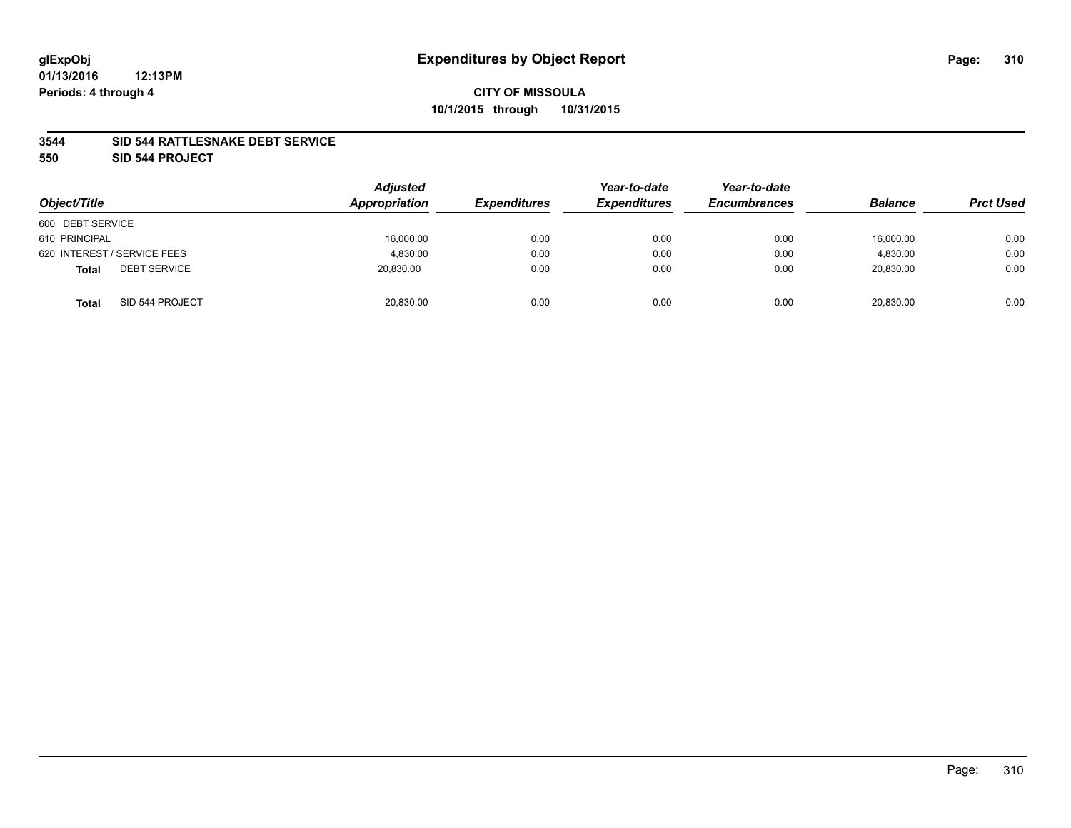### **3544 SID 544 RATTLESNAKE DEBT SERVICE**

**550 SID 544 PROJECT**

|                                     | <b>Adjusted</b><br>Appropriation |                     | Year-to-date        | Year-to-date        | <b>Balance</b> |                  |
|-------------------------------------|----------------------------------|---------------------|---------------------|---------------------|----------------|------------------|
| Object/Title                        |                                  | <b>Expenditures</b> | <b>Expenditures</b> | <b>Encumbrances</b> |                | <b>Prct Used</b> |
| 600 DEBT SERVICE                    |                                  |                     |                     |                     |                |                  |
| 610 PRINCIPAL                       | 16,000.00                        | 0.00                | 0.00                | 0.00                | 16,000.00      | 0.00             |
| 620 INTEREST / SERVICE FEES         | 4,830.00                         | 0.00                | 0.00                | 0.00                | 4,830.00       | 0.00             |
| <b>DEBT SERVICE</b><br><b>Total</b> | 20,830.00                        | 0.00                | 0.00                | 0.00                | 20,830.00      | 0.00             |
| SID 544 PROJECT<br><b>Total</b>     | 20,830.00                        | 0.00                | 0.00                | 0.00                | 20,830.00      | 0.00             |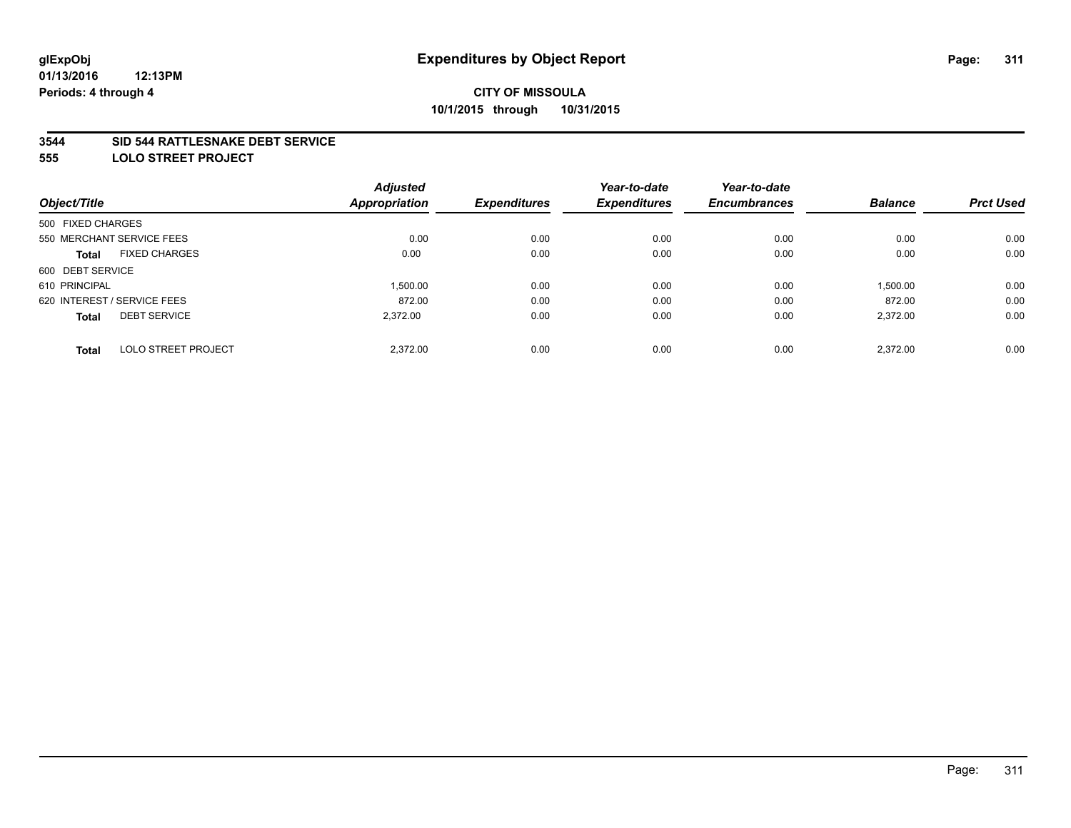### **3544 SID 544 RATTLESNAKE DEBT SERVICE**

**555 LOLO STREET PROJECT**

|                             | <b>Adjusted</b> |                      | Year-to-date        | Year-to-date        |                |                  |
|-----------------------------|-----------------|----------------------|---------------------|---------------------|----------------|------------------|
|                             |                 | <b>Expenditures</b>  | <b>Expenditures</b> | <b>Encumbrances</b> | <b>Balance</b> | <b>Prct Used</b> |
| 500 FIXED CHARGES           |                 |                      |                     |                     |                |                  |
| 550 MERCHANT SERVICE FEES   | 0.00            | 0.00                 | 0.00                | 0.00                | 0.00           | 0.00             |
| <b>FIXED CHARGES</b>        | 0.00            | 0.00                 | 0.00                | 0.00                | 0.00           | 0.00             |
| 600 DEBT SERVICE            |                 |                      |                     |                     |                |                  |
|                             | 1.500.00        | 0.00                 | 0.00                | 0.00                | 1,500.00       | 0.00             |
| 620 INTEREST / SERVICE FEES | 872.00          | 0.00                 | 0.00                | 0.00                | 872.00         | 0.00             |
| <b>DEBT SERVICE</b>         | 2.372.00        | 0.00                 | 0.00                | 0.00                | 2,372.00       | 0.00             |
| <b>LOLO STREET PROJECT</b>  | 2.372.00        | 0.00                 | 0.00                | 0.00                | 2.372.00       | 0.00             |
|                             |                 | <b>Appropriation</b> |                     |                     |                |                  |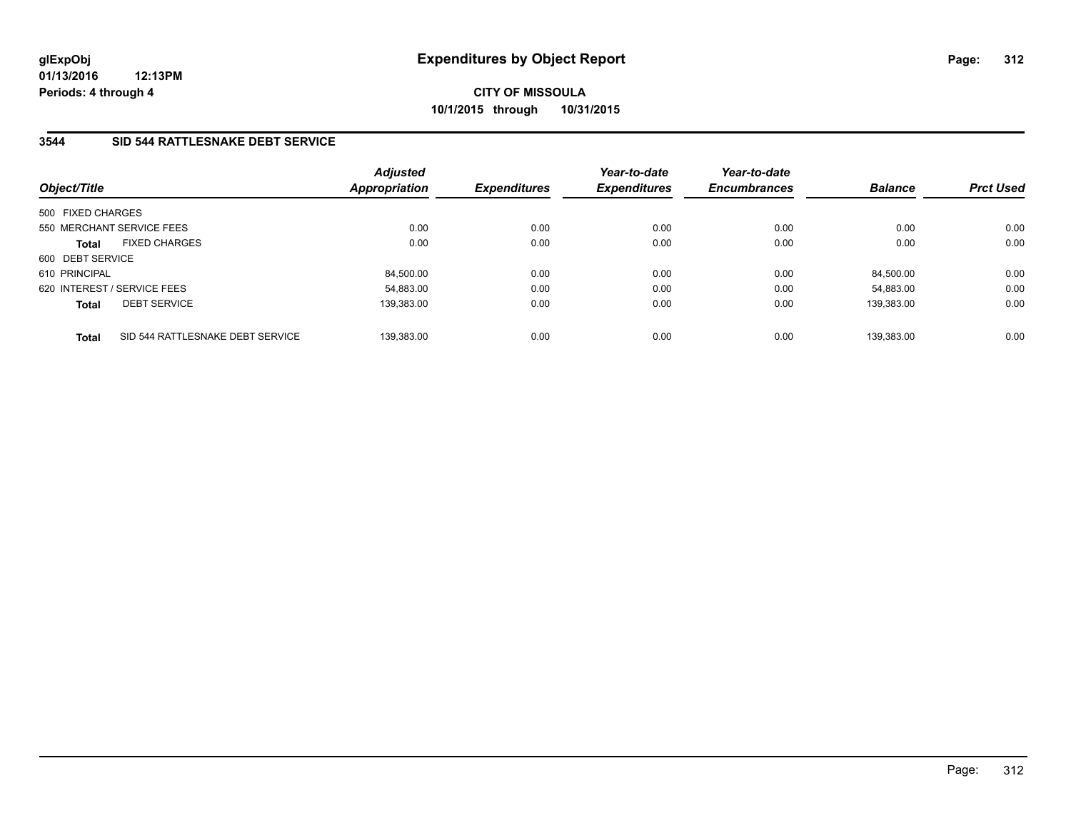## **3544 SID 544 RATTLESNAKE DEBT SERVICE**

| Object/Title      |                                  | <b>Adjusted</b><br>Appropriation | <b>Expenditures</b> | Year-to-date<br><b>Expenditures</b> | Year-to-date<br><b>Encumbrances</b> | <b>Balance</b> | <b>Prct Used</b> |
|-------------------|----------------------------------|----------------------------------|---------------------|-------------------------------------|-------------------------------------|----------------|------------------|
| 500 FIXED CHARGES |                                  |                                  |                     |                                     |                                     |                |                  |
|                   | 550 MERCHANT SERVICE FEES        | 0.00                             | 0.00                | 0.00                                | 0.00                                | 0.00           | 0.00             |
| <b>Total</b>      | <b>FIXED CHARGES</b>             | 0.00                             | 0.00                | 0.00                                | 0.00                                | 0.00           | 0.00             |
| 600 DEBT SERVICE  |                                  |                                  |                     |                                     |                                     |                |                  |
| 610 PRINCIPAL     |                                  | 84.500.00                        | 0.00                | 0.00                                | 0.00                                | 84.500.00      | 0.00             |
|                   | 620 INTEREST / SERVICE FEES      | 54.883.00                        | 0.00                | 0.00                                | 0.00                                | 54.883.00      | 0.00             |
| <b>Total</b>      | <b>DEBT SERVICE</b>              | 139.383.00                       | 0.00                | 0.00                                | 0.00                                | 139.383.00     | 0.00             |
| <b>Total</b>      | SID 544 RATTLESNAKE DEBT SERVICE | 139.383.00                       | 0.00                | 0.00                                | 0.00                                | 139.383.00     | 0.00             |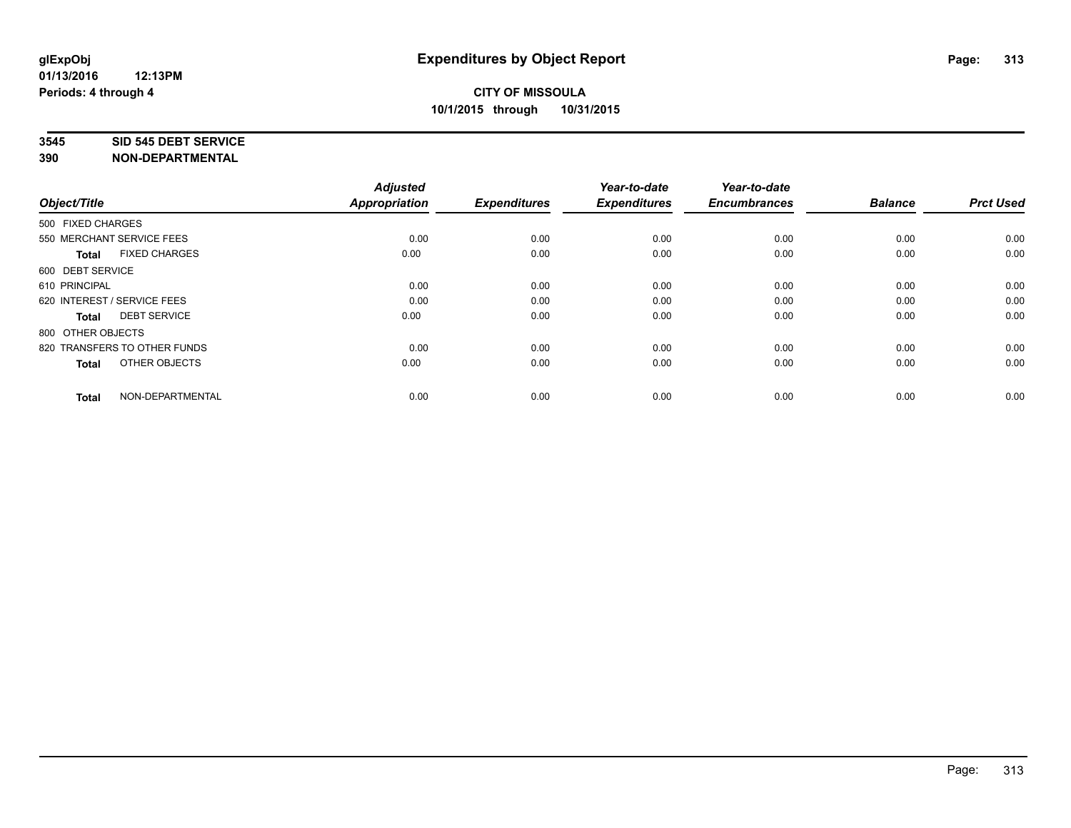#### **3545 SID 545 DEBT SERVICE**

| Object/Title                         | <b>Adjusted</b><br><b>Appropriation</b> | <b>Expenditures</b> | Year-to-date<br><b>Expenditures</b> | Year-to-date<br><b>Encumbrances</b> | <b>Balance</b> | <b>Prct Used</b> |
|--------------------------------------|-----------------------------------------|---------------------|-------------------------------------|-------------------------------------|----------------|------------------|
| 500 FIXED CHARGES                    |                                         |                     |                                     |                                     |                |                  |
| 550 MERCHANT SERVICE FEES            | 0.00                                    | 0.00                | 0.00                                | 0.00                                | 0.00           | 0.00             |
| <b>FIXED CHARGES</b><br><b>Total</b> | 0.00                                    | 0.00                | 0.00                                | 0.00                                | 0.00           | 0.00             |
| 600 DEBT SERVICE                     |                                         |                     |                                     |                                     |                |                  |
| 610 PRINCIPAL                        | 0.00                                    | 0.00                | 0.00                                | 0.00                                | 0.00           | 0.00             |
| 620 INTEREST / SERVICE FEES          | 0.00                                    | 0.00                | 0.00                                | 0.00                                | 0.00           | 0.00             |
| <b>DEBT SERVICE</b><br><b>Total</b>  | 0.00                                    | 0.00                | 0.00                                | 0.00                                | 0.00           | 0.00             |
| 800 OTHER OBJECTS                    |                                         |                     |                                     |                                     |                |                  |
| 820 TRANSFERS TO OTHER FUNDS         | 0.00                                    | 0.00                | 0.00                                | 0.00                                | 0.00           | 0.00             |
| OTHER OBJECTS<br><b>Total</b>        | 0.00                                    | 0.00                | 0.00                                | 0.00                                | 0.00           | 0.00             |
|                                      |                                         |                     |                                     |                                     |                |                  |
| NON-DEPARTMENTAL<br><b>Total</b>     | 0.00                                    | 0.00                | 0.00                                | 0.00                                | 0.00           | 0.00             |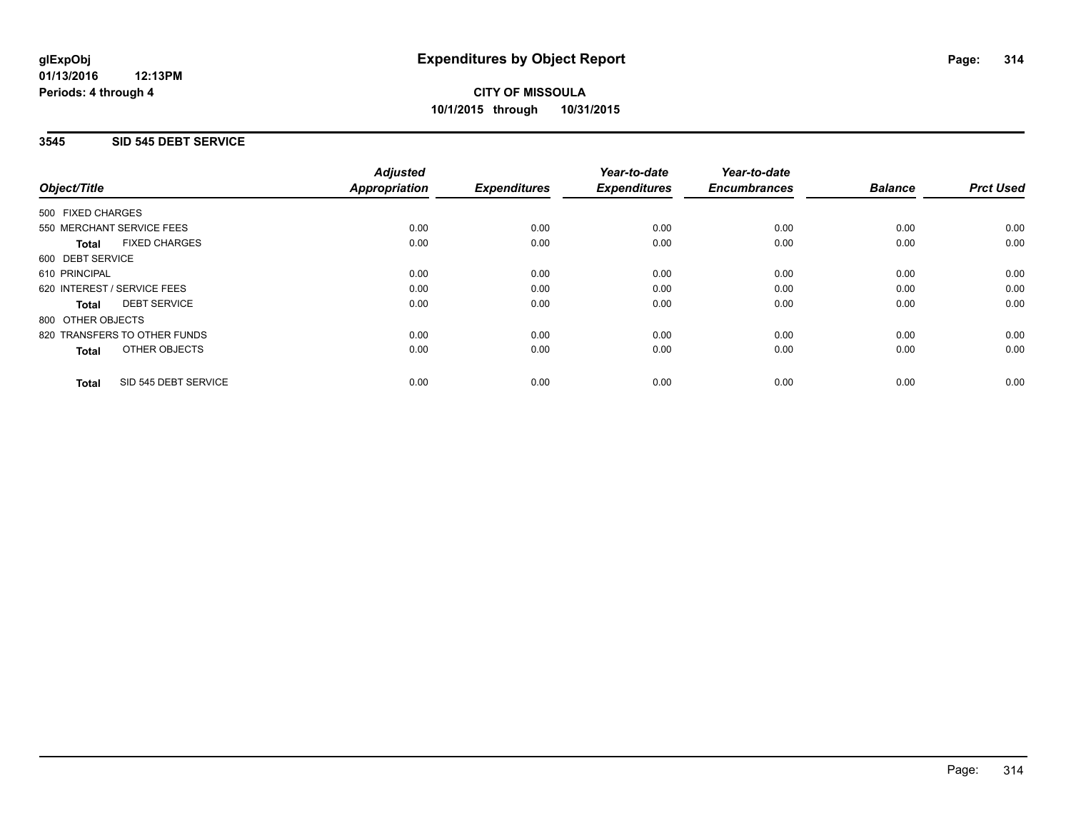## **3545 SID 545 DEBT SERVICE**

|                                      | <b>Adjusted</b>      |                     | Year-to-date        | Year-to-date<br><b>Encumbrances</b> | <b>Balance</b> | <b>Prct Used</b> |
|--------------------------------------|----------------------|---------------------|---------------------|-------------------------------------|----------------|------------------|
| Object/Title                         | <b>Appropriation</b> | <b>Expenditures</b> | <b>Expenditures</b> |                                     |                |                  |
| 500 FIXED CHARGES                    |                      |                     |                     |                                     |                |                  |
| 550 MERCHANT SERVICE FEES            | 0.00                 | 0.00                | 0.00                | 0.00                                | 0.00           | 0.00             |
| <b>FIXED CHARGES</b><br>Total        | 0.00                 | 0.00                | 0.00                | 0.00                                | 0.00           | 0.00             |
| 600 DEBT SERVICE                     |                      |                     |                     |                                     |                |                  |
| 610 PRINCIPAL                        | 0.00                 | 0.00                | 0.00                | 0.00                                | 0.00           | 0.00             |
| 620 INTEREST / SERVICE FEES          | 0.00                 | 0.00                | 0.00                | 0.00                                | 0.00           | 0.00             |
| <b>DEBT SERVICE</b><br>Total         | 0.00                 | 0.00                | 0.00                | 0.00                                | 0.00           | 0.00             |
| 800 OTHER OBJECTS                    |                      |                     |                     |                                     |                |                  |
| 820 TRANSFERS TO OTHER FUNDS         | 0.00                 | 0.00                | 0.00                | 0.00                                | 0.00           | 0.00             |
| <b>OTHER OBJECTS</b><br><b>Total</b> | 0.00                 | 0.00                | 0.00                | 0.00                                | 0.00           | 0.00             |
| SID 545 DEBT SERVICE<br><b>Total</b> | 0.00                 | 0.00                | 0.00                | 0.00                                | 0.00           | 0.00             |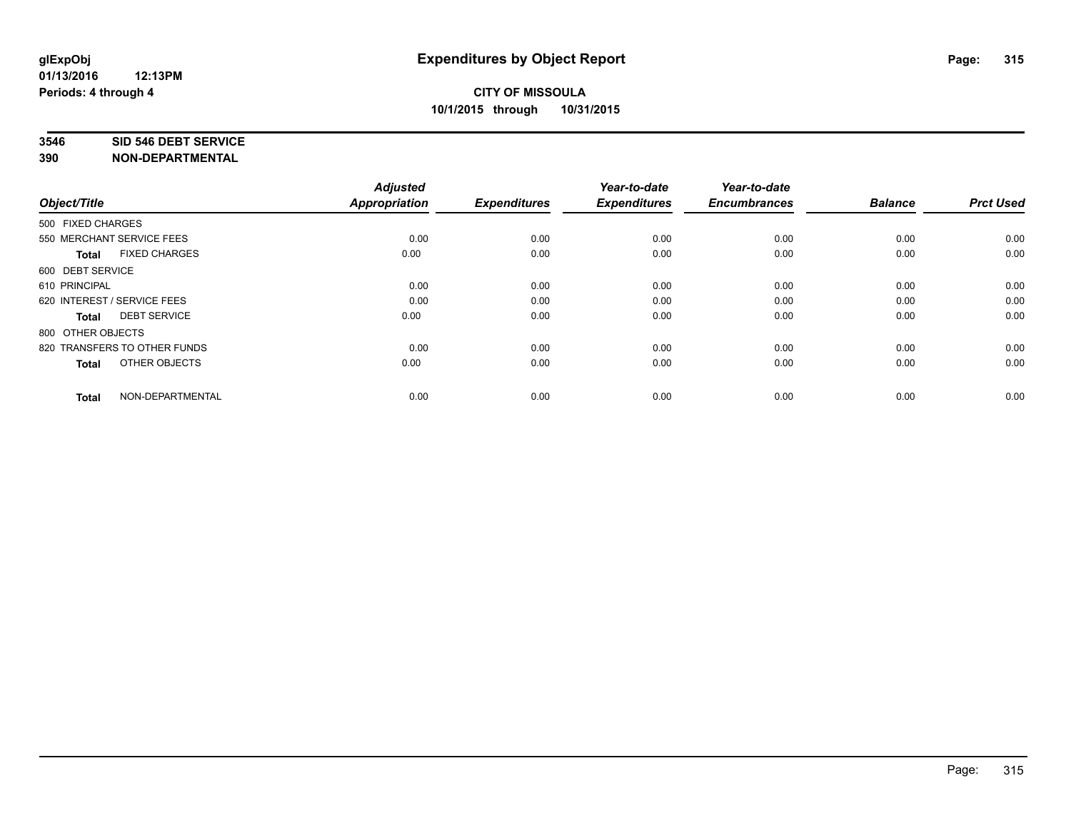#### **3546 SID 546 DEBT SERVICE**

| Object/Title                         | <b>Adjusted</b><br><b>Appropriation</b> | <b>Expenditures</b> | Year-to-date<br><b>Expenditures</b> | Year-to-date<br><b>Encumbrances</b> | <b>Balance</b> | <b>Prct Used</b> |
|--------------------------------------|-----------------------------------------|---------------------|-------------------------------------|-------------------------------------|----------------|------------------|
| 500 FIXED CHARGES                    |                                         |                     |                                     |                                     |                |                  |
| 550 MERCHANT SERVICE FEES            | 0.00                                    | 0.00                | 0.00                                | 0.00                                | 0.00           | 0.00             |
| <b>FIXED CHARGES</b><br><b>Total</b> | 0.00                                    | 0.00                | 0.00                                | 0.00                                | 0.00           | 0.00             |
| 600 DEBT SERVICE                     |                                         |                     |                                     |                                     |                |                  |
| 610 PRINCIPAL                        | 0.00                                    | 0.00                | 0.00                                | 0.00                                | 0.00           | 0.00             |
| 620 INTEREST / SERVICE FEES          | 0.00                                    | 0.00                | 0.00                                | 0.00                                | 0.00           | 0.00             |
| <b>DEBT SERVICE</b><br><b>Total</b>  | 0.00                                    | 0.00                | 0.00                                | 0.00                                | 0.00           | 0.00             |
| 800 OTHER OBJECTS                    |                                         |                     |                                     |                                     |                |                  |
| 820 TRANSFERS TO OTHER FUNDS         | 0.00                                    | 0.00                | 0.00                                | 0.00                                | 0.00           | 0.00             |
| OTHER OBJECTS<br><b>Total</b>        | 0.00                                    | 0.00                | 0.00                                | 0.00                                | 0.00           | 0.00             |
|                                      |                                         |                     |                                     |                                     |                |                  |
| NON-DEPARTMENTAL<br><b>Total</b>     | 0.00                                    | 0.00                | 0.00                                | 0.00                                | 0.00           | 0.00             |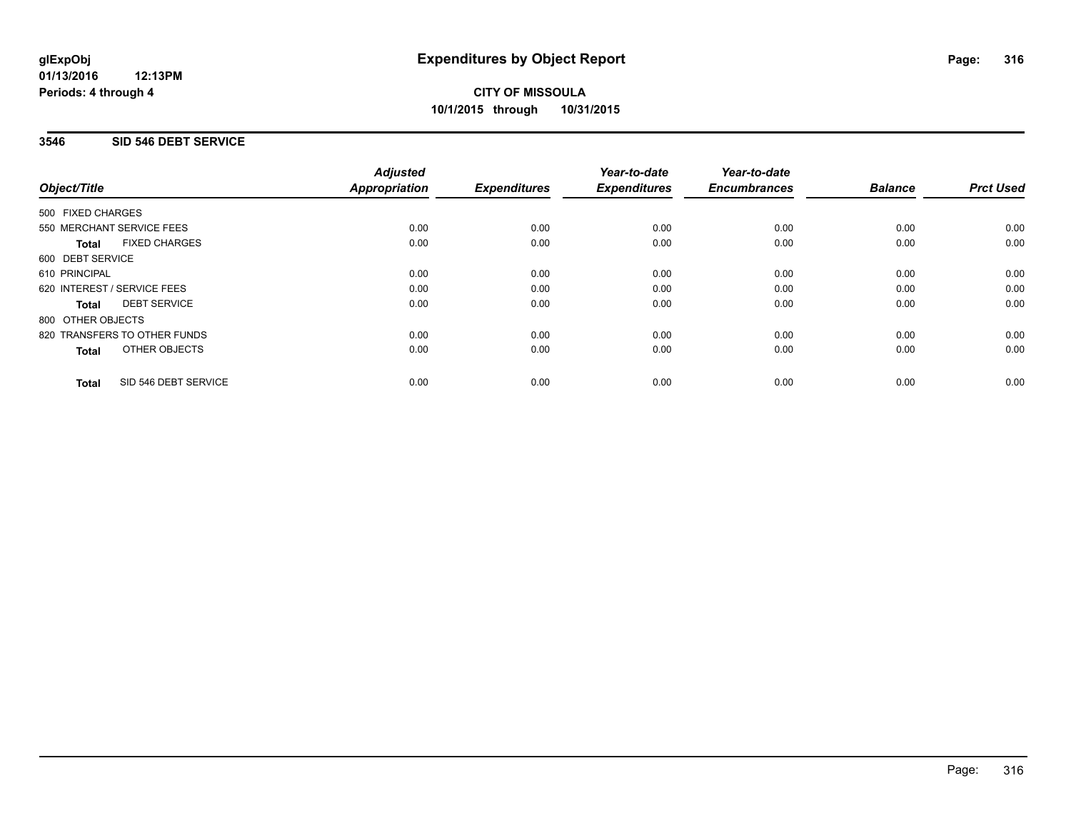### **01/13/2016 12:13PM Periods: 4 through 4**

## **CITY OF MISSOULA 10/1/2015 through 10/31/2015**

## **3546 SID 546 DEBT SERVICE**

|                             |                              | <b>Adjusted</b>      |                     | Year-to-date        | Year-to-date<br><b>Encumbrances</b> | <b>Balance</b> | <b>Prct Used</b> |
|-----------------------------|------------------------------|----------------------|---------------------|---------------------|-------------------------------------|----------------|------------------|
| Object/Title                |                              | <b>Appropriation</b> | <b>Expenditures</b> | <b>Expenditures</b> |                                     |                |                  |
| 500 FIXED CHARGES           |                              |                      |                     |                     |                                     |                |                  |
| 550 MERCHANT SERVICE FEES   |                              | 0.00                 | 0.00                | 0.00                | 0.00                                | 0.00           | 0.00             |
| Total                       | <b>FIXED CHARGES</b>         | 0.00                 | 0.00                | 0.00                | 0.00                                | 0.00           | 0.00             |
| 600 DEBT SERVICE            |                              |                      |                     |                     |                                     |                |                  |
| 610 PRINCIPAL               |                              | 0.00                 | 0.00                | 0.00                | 0.00                                | 0.00           | 0.00             |
| 620 INTEREST / SERVICE FEES |                              | 0.00                 | 0.00                | 0.00                | 0.00                                | 0.00           | 0.00             |
| Total                       | <b>DEBT SERVICE</b>          | 0.00                 | 0.00                | 0.00                | 0.00                                | 0.00           | 0.00             |
| 800 OTHER OBJECTS           |                              |                      |                     |                     |                                     |                |                  |
|                             | 820 TRANSFERS TO OTHER FUNDS | 0.00                 | 0.00                | 0.00                | 0.00                                | 0.00           | 0.00             |
| <b>Total</b>                | OTHER OBJECTS                | 0.00                 | 0.00                | 0.00                | 0.00                                | 0.00           | 0.00             |
| <b>Total</b>                | SID 546 DEBT SERVICE         | 0.00                 | 0.00                | 0.00                | 0.00                                | 0.00           | 0.00             |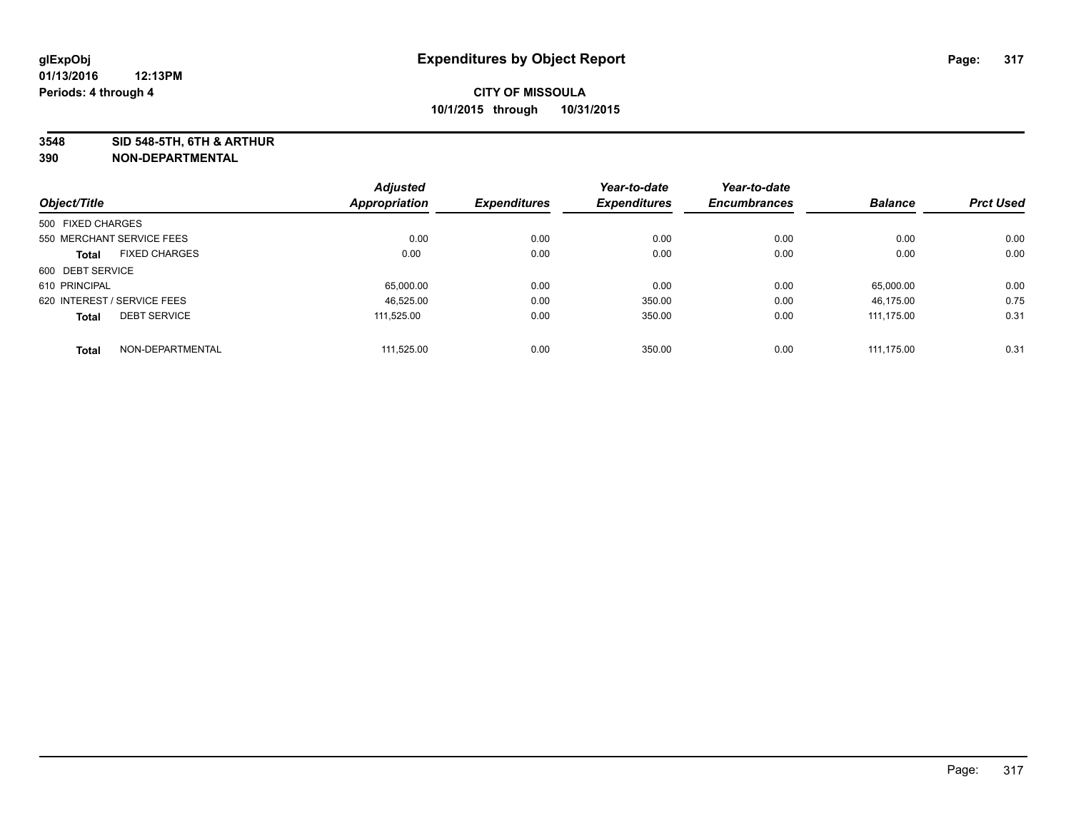**3548 SID 548-5TH, 6TH & ARTHUR**

|                             |                      | <b>Adjusted</b> |                     | Year-to-date        | Year-to-date        |                |                  |
|-----------------------------|----------------------|-----------------|---------------------|---------------------|---------------------|----------------|------------------|
| Object/Title                |                      | Appropriation   | <b>Expenditures</b> | <b>Expenditures</b> | <b>Encumbrances</b> | <b>Balance</b> | <b>Prct Used</b> |
| 500 FIXED CHARGES           |                      |                 |                     |                     |                     |                |                  |
| 550 MERCHANT SERVICE FEES   |                      | 0.00            | 0.00                | 0.00                | 0.00                | 0.00           | 0.00             |
| <b>Total</b>                | <b>FIXED CHARGES</b> | 0.00            | 0.00                | 0.00                | 0.00                | 0.00           | 0.00             |
| 600 DEBT SERVICE            |                      |                 |                     |                     |                     |                |                  |
| 610 PRINCIPAL               |                      | 65,000.00       | 0.00                | 0.00                | 0.00                | 65,000.00      | 0.00             |
| 620 INTEREST / SERVICE FEES |                      | 46.525.00       | 0.00                | 350.00              | 0.00                | 46.175.00      | 0.75             |
| <b>Total</b>                | <b>DEBT SERVICE</b>  | 111.525.00      | 0.00                | 350.00              | 0.00                | 111,175.00     | 0.31             |
| <b>Total</b>                | NON-DEPARTMENTAL     | 111.525.00      | 0.00                | 350.00              | 0.00                | 111.175.00     | 0.31             |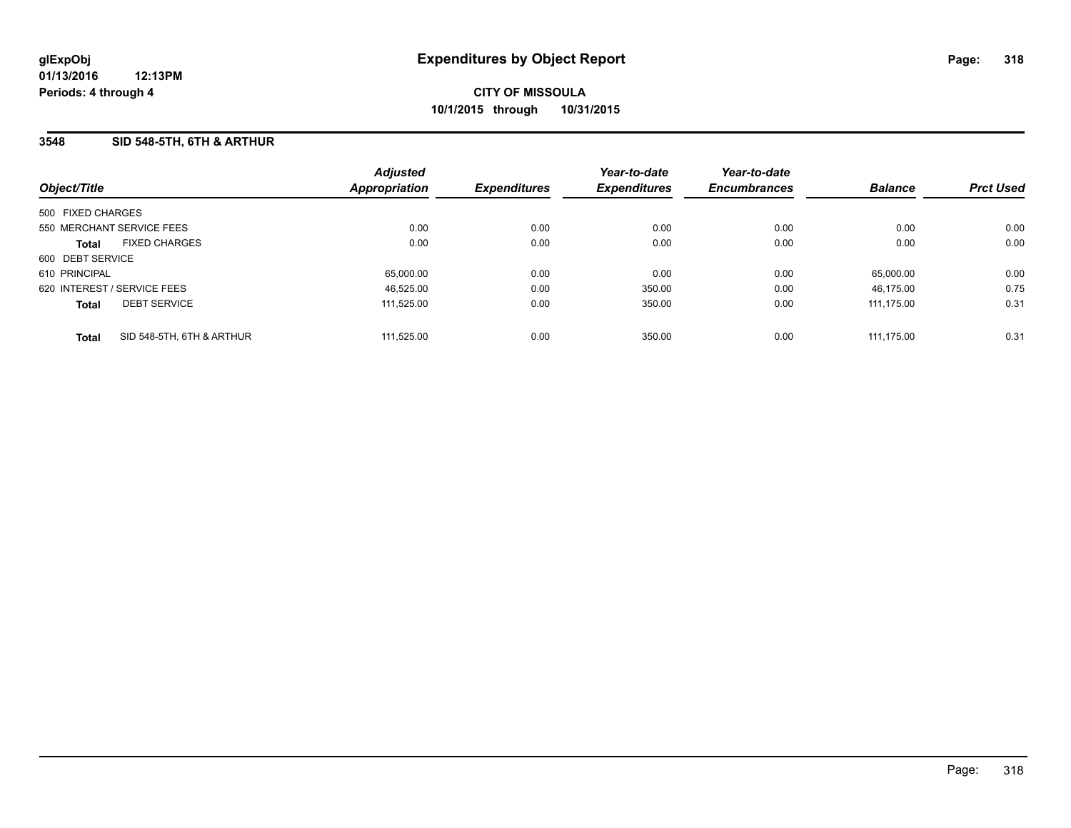### **3548 SID 548-5TH, 6TH & ARTHUR**

| Object/Title                |                           | <b>Adjusted</b><br><b>Appropriation</b> | <b>Expenditures</b> | Year-to-date<br><b>Expenditures</b> | Year-to-date<br><b>Encumbrances</b> | <b>Balance</b> | <b>Prct Used</b> |
|-----------------------------|---------------------------|-----------------------------------------|---------------------|-------------------------------------|-------------------------------------|----------------|------------------|
| 500 FIXED CHARGES           |                           |                                         |                     |                                     |                                     |                |                  |
| 550 MERCHANT SERVICE FEES   |                           | 0.00                                    | 0.00                | 0.00                                | 0.00                                | 0.00           | 0.00             |
| <b>Total</b>                | <b>FIXED CHARGES</b>      | 0.00                                    | 0.00                | 0.00                                | 0.00                                | 0.00           | 0.00             |
| 600 DEBT SERVICE            |                           |                                         |                     |                                     |                                     |                |                  |
| 610 PRINCIPAL               |                           | 65,000.00                               | 0.00                | 0.00                                | 0.00                                | 65.000.00      | 0.00             |
| 620 INTEREST / SERVICE FEES |                           | 46.525.00                               | 0.00                | 350.00                              | 0.00                                | 46.175.00      | 0.75             |
| <b>Total</b>                | <b>DEBT SERVICE</b>       | 111.525.00                              | 0.00                | 350.00                              | 0.00                                | 111.175.00     | 0.31             |
| <b>Total</b>                | SID 548-5TH, 6TH & ARTHUR | 111.525.00                              | 0.00                | 350.00                              | 0.00                                | 111.175.00     | 0.31             |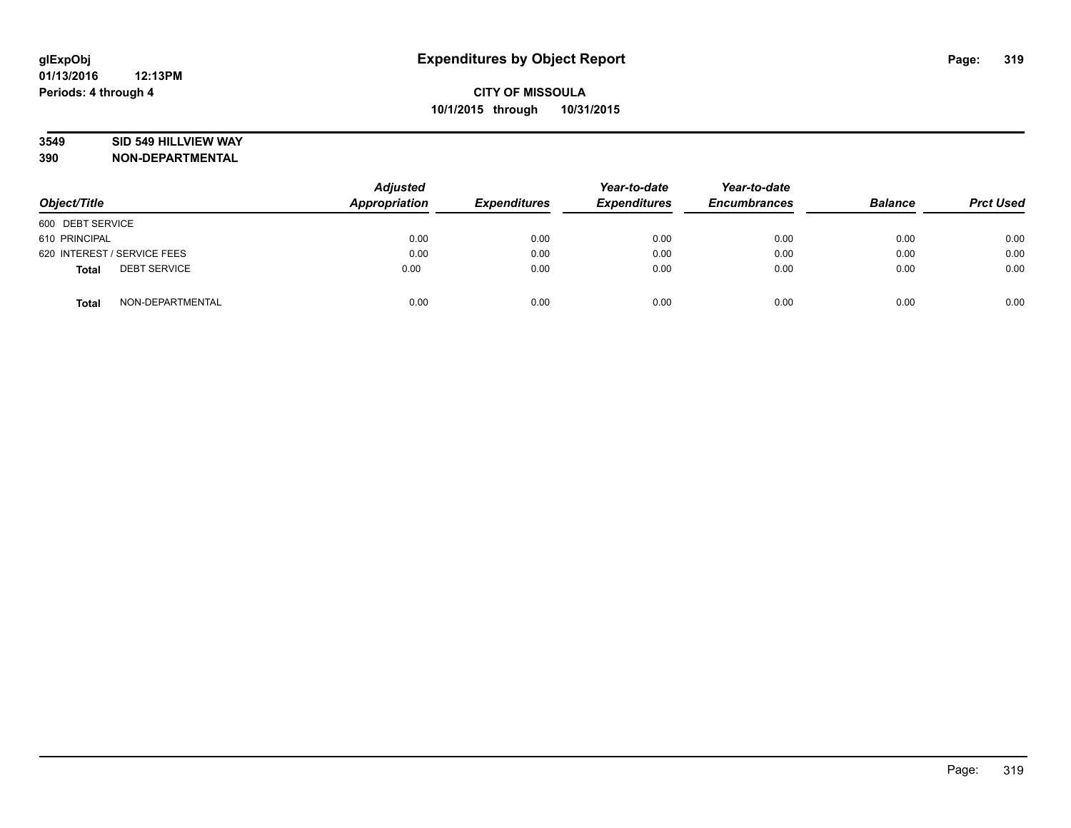### **3549 SID 549 HILLVIEW WAY**

| Object/Title                        | <b>Adjusted</b><br>Appropriation | <b>Expenditures</b> | Year-to-date<br><b>Expenditures</b> | Year-to-date<br><b>Encumbrances</b> | <b>Balance</b> | <b>Prct Used</b> |
|-------------------------------------|----------------------------------|---------------------|-------------------------------------|-------------------------------------|----------------|------------------|
| 600 DEBT SERVICE                    |                                  |                     |                                     |                                     |                |                  |
| 610 PRINCIPAL                       | 0.00                             | 0.00                | 0.00                                | 0.00                                | 0.00           | 0.00             |
| 620 INTEREST / SERVICE FEES         | 0.00                             | 0.00                | 0.00                                | 0.00                                | 0.00           | 0.00             |
| <b>DEBT SERVICE</b><br><b>Total</b> | 0.00                             | 0.00                | 0.00                                | 0.00                                | 0.00           | 0.00             |
| NON-DEPARTMENTAL<br><b>Total</b>    | 0.00                             | 0.00                | 0.00                                | 0.00                                | 0.00           | 0.00             |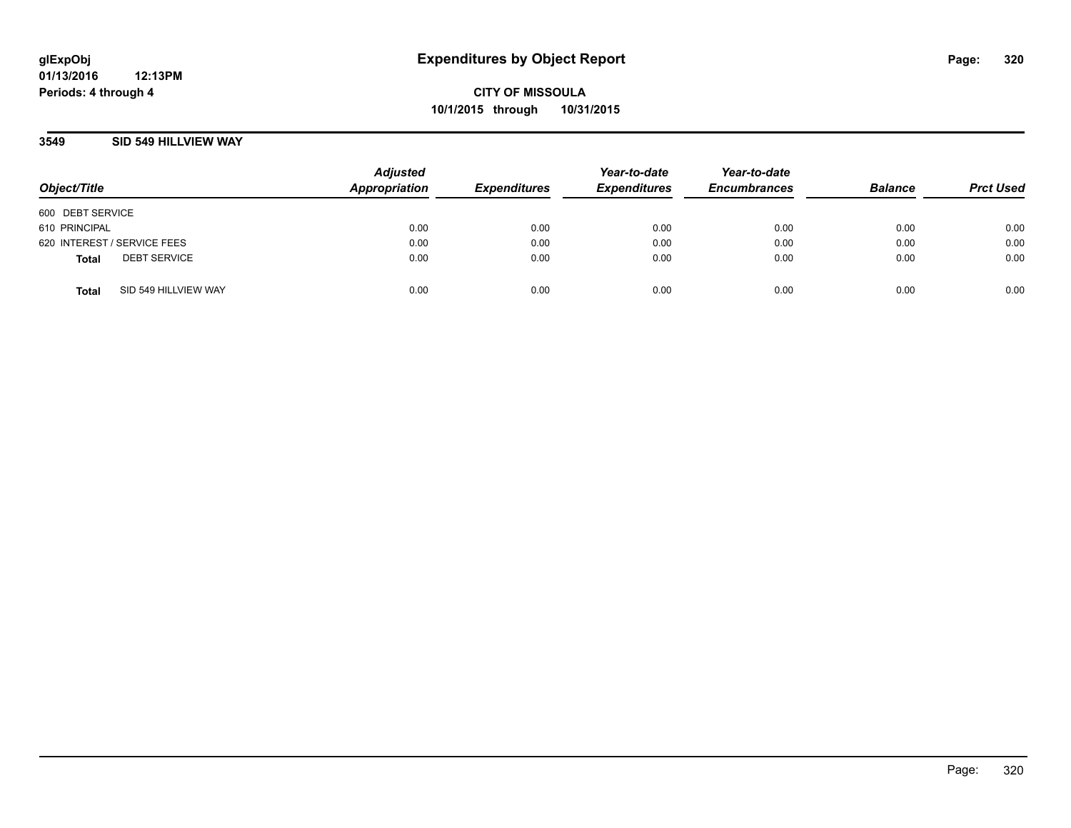### **3549 SID 549 HILLVIEW WAY**

| Object/Title                |                      | <b>Adjusted</b><br>Appropriation | <b>Expenditures</b> | Year-to-date<br><b>Expenditures</b> | Year-to-date<br><b>Encumbrances</b> | <b>Balance</b> | <b>Prct Used</b> |
|-----------------------------|----------------------|----------------------------------|---------------------|-------------------------------------|-------------------------------------|----------------|------------------|
| 600 DEBT SERVICE            |                      |                                  |                     |                                     |                                     |                |                  |
| 610 PRINCIPAL               |                      | 0.00                             | 0.00                | 0.00                                | 0.00                                | 0.00           | 0.00             |
| 620 INTEREST / SERVICE FEES |                      | 0.00                             | 0.00                | 0.00                                | 0.00                                | 0.00           | 0.00             |
| <b>Total</b>                | <b>DEBT SERVICE</b>  | 0.00                             | 0.00                | 0.00                                | 0.00                                | 0.00           | 0.00             |
| <b>Total</b>                | SID 549 HILLVIEW WAY | 0.00                             | 0.00                | 0.00                                | 0.00                                | 0.00           | 0.00             |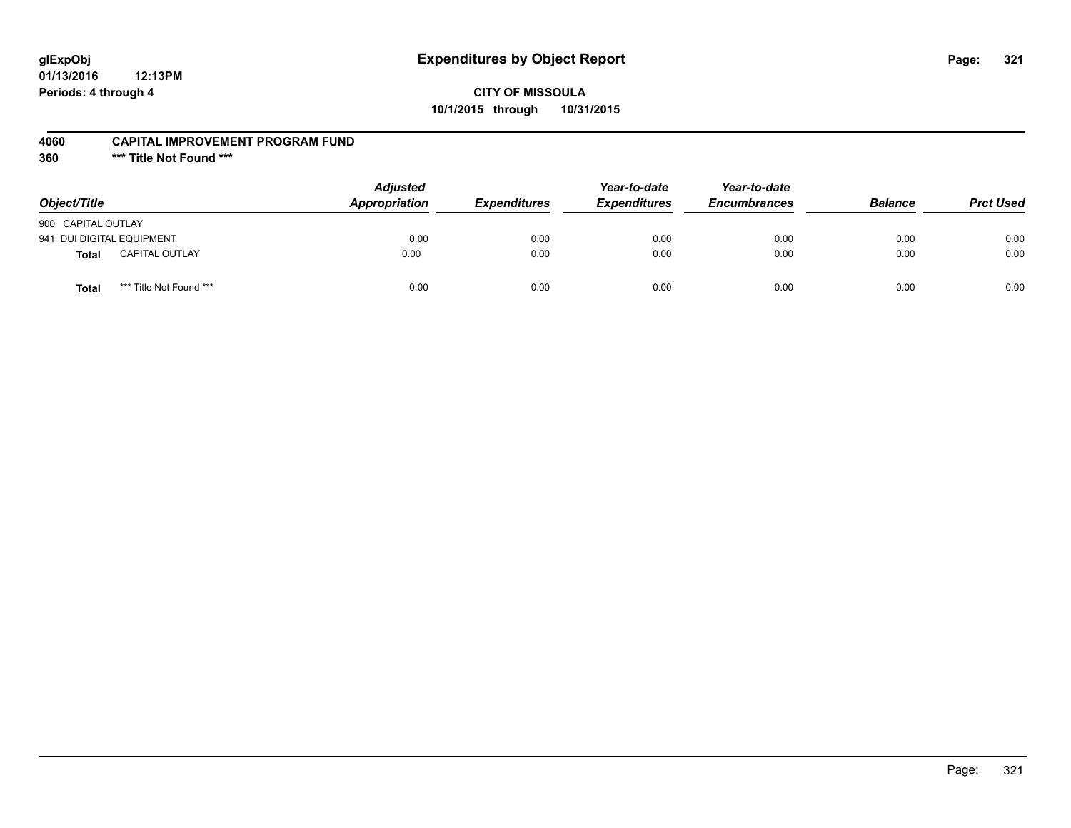# **glExpObj Expenditures by Object Report Page: 321**

## **CITY OF MISSOULA 10/1/2015 through 10/31/2015**

### **4060 CAPITAL IMPROVEMENT PROGRAM FUND**

**360 \*\*\* Title Not Found \*\*\***

| Object/Title              |                         | <b>Adjusted</b><br><b>Appropriation</b> | <i><b>Expenditures</b></i> | Year-to-date<br><b>Expenditures</b> | Year-to-date<br><b>Encumbrances</b> | <b>Balance</b> | <b>Prct Used</b> |
|---------------------------|-------------------------|-----------------------------------------|----------------------------|-------------------------------------|-------------------------------------|----------------|------------------|
| 900 CAPITAL OUTLAY        |                         |                                         |                            |                                     |                                     |                |                  |
| 941 DUI DIGITAL EQUIPMENT |                         | 0.00                                    | 0.00                       | 0.00                                | 0.00                                | 0.00           | 0.00             |
| <b>Total</b>              | <b>CAPITAL OUTLAY</b>   | 0.00                                    | 0.00                       | 0.00                                | 0.00                                | 0.00           | 0.00             |
| Total                     | *** Title Not Found *** | 0.00                                    | 0.00                       | 0.00                                | 0.00                                | 0.00           | 0.00             |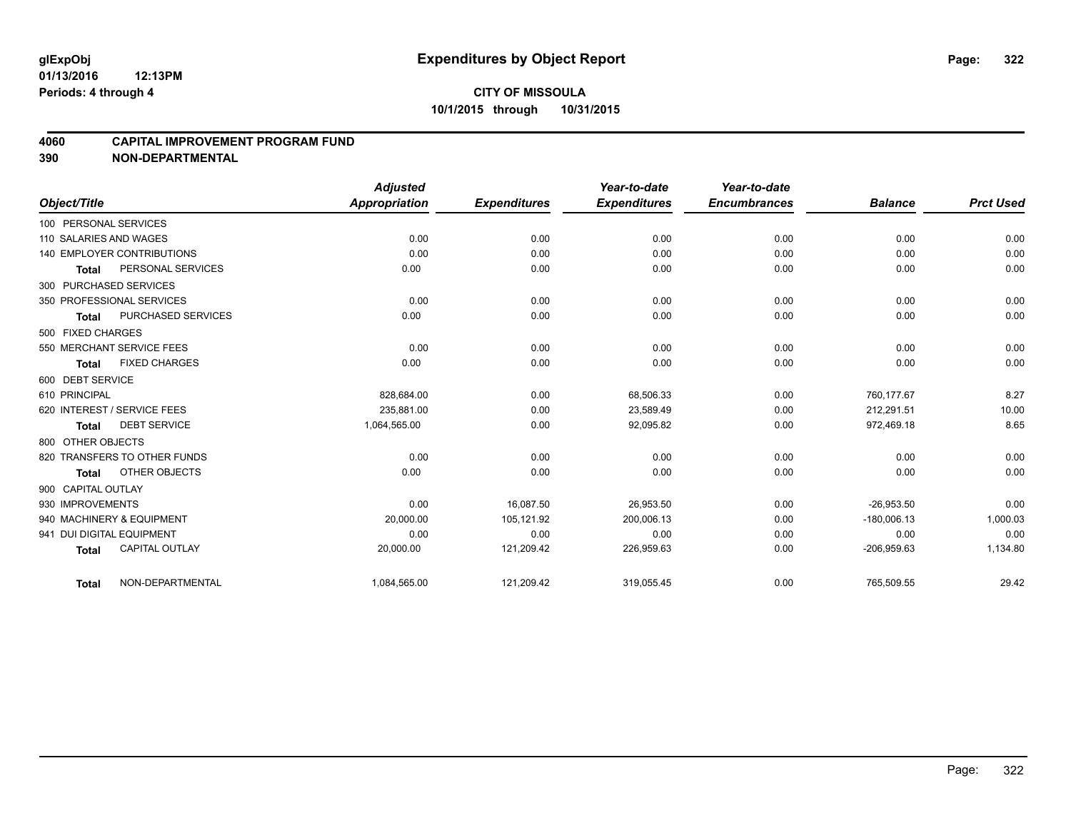#### **4060 CAPITAL IMPROVEMENT PROGRAM FUND**

|                             |                              | <b>Adjusted</b>      |                     | Year-to-date        | Year-to-date        |                |                  |
|-----------------------------|------------------------------|----------------------|---------------------|---------------------|---------------------|----------------|------------------|
| Object/Title                |                              | <b>Appropriation</b> | <b>Expenditures</b> | <b>Expenditures</b> | <b>Encumbrances</b> | <b>Balance</b> | <b>Prct Used</b> |
| 100 PERSONAL SERVICES       |                              |                      |                     |                     |                     |                |                  |
| 110 SALARIES AND WAGES      |                              | 0.00                 | 0.00                | 0.00                | 0.00                | 0.00           | 0.00             |
| 140 EMPLOYER CONTRIBUTIONS  |                              | 0.00                 | 0.00                | 0.00                | 0.00                | 0.00           | 0.00             |
| Total                       | PERSONAL SERVICES            | 0.00                 | 0.00                | 0.00                | 0.00                | 0.00           | 0.00             |
| 300 PURCHASED SERVICES      |                              |                      |                     |                     |                     |                |                  |
| 350 PROFESSIONAL SERVICES   |                              | 0.00                 | 0.00                | 0.00                | 0.00                | 0.00           | 0.00             |
| Total                       | <b>PURCHASED SERVICES</b>    | 0.00                 | 0.00                | 0.00                | 0.00                | 0.00           | 0.00             |
| 500 FIXED CHARGES           |                              |                      |                     |                     |                     |                |                  |
| 550 MERCHANT SERVICE FEES   |                              | 0.00                 | 0.00                | 0.00                | 0.00                | 0.00           | 0.00             |
| Total                       | <b>FIXED CHARGES</b>         | 0.00                 | 0.00                | 0.00                | 0.00                | 0.00           | 0.00             |
| 600 DEBT SERVICE            |                              |                      |                     |                     |                     |                |                  |
| 610 PRINCIPAL               |                              | 828,684.00           | 0.00                | 68,506.33           | 0.00                | 760.177.67     | 8.27             |
| 620 INTEREST / SERVICE FEES |                              | 235.881.00           | 0.00                | 23,589.49           | 0.00                | 212.291.51     | 10.00            |
| Total                       | <b>DEBT SERVICE</b>          | 1,064,565.00         | 0.00                | 92,095.82           | 0.00                | 972,469.18     | 8.65             |
| 800 OTHER OBJECTS           |                              |                      |                     |                     |                     |                |                  |
|                             | 820 TRANSFERS TO OTHER FUNDS | 0.00                 | 0.00                | 0.00                | 0.00                | 0.00           | 0.00             |
| <b>Total</b>                | OTHER OBJECTS                | 0.00                 | 0.00                | 0.00                | 0.00                | 0.00           | 0.00             |
| 900 CAPITAL OUTLAY          |                              |                      |                     |                     |                     |                |                  |
| 930 IMPROVEMENTS            |                              | 0.00                 | 16,087.50           | 26,953.50           | 0.00                | $-26,953.50$   | 0.00             |
| 940 MACHINERY & EQUIPMENT   |                              | 20,000.00            | 105,121.92          | 200,006.13          | 0.00                | $-180,006.13$  | 1,000.03         |
| 941 DUI DIGITAL EQUIPMENT   |                              | 0.00                 | 0.00                | 0.00                | 0.00                | 0.00           | 0.00             |
| <b>Total</b>                | <b>CAPITAL OUTLAY</b>        | 20,000.00            | 121,209.42          | 226,959.63          | 0.00                | $-206,959.63$  | 1,134.80         |
| Total                       | NON-DEPARTMENTAL             | 1,084,565.00         | 121,209.42          | 319,055.45          | 0.00                | 765,509.55     | 29.42            |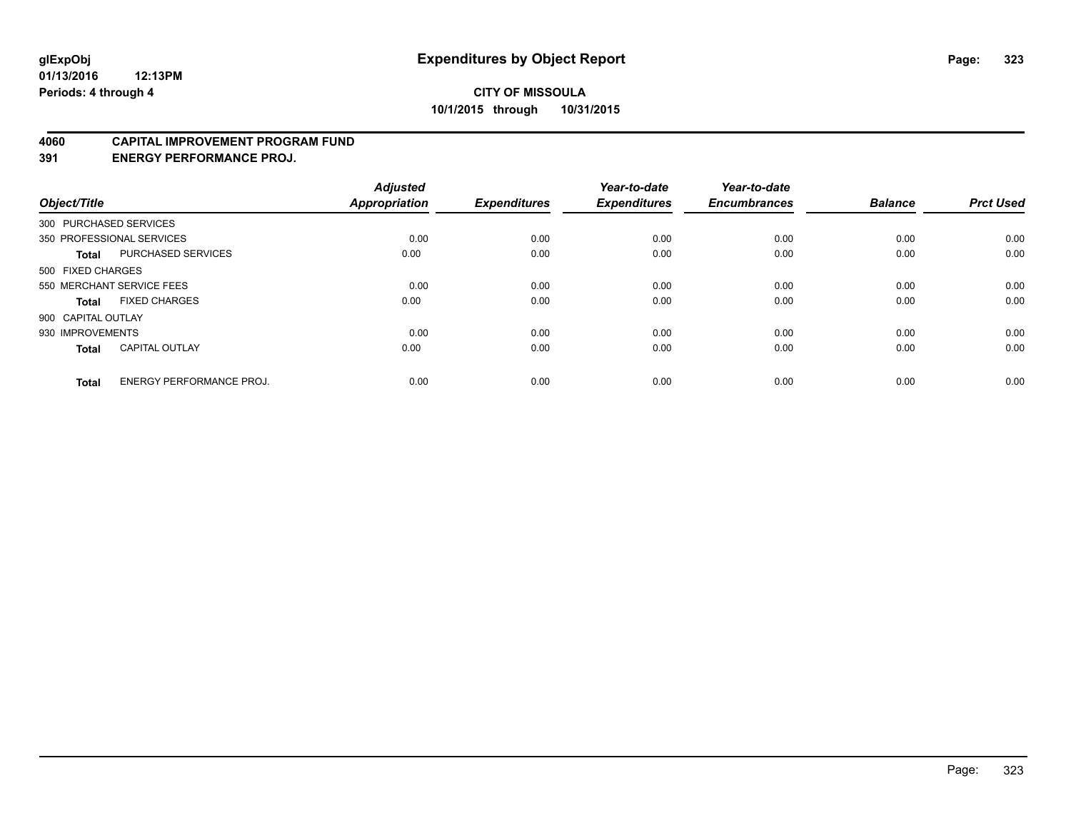#### **4060 CAPITAL IMPROVEMENT PROGRAM FUND**

**391 ENERGY PERFORMANCE PROJ.**

| Object/Title       |                                 | <b>Adjusted</b><br><b>Appropriation</b> | <b>Expenditures</b> | Year-to-date<br><b>Expenditures</b> | Year-to-date<br><b>Encumbrances</b> | <b>Balance</b> | <b>Prct Used</b> |
|--------------------|---------------------------------|-----------------------------------------|---------------------|-------------------------------------|-------------------------------------|----------------|------------------|
|                    | 300 PURCHASED SERVICES          |                                         |                     |                                     |                                     |                |                  |
|                    | 350 PROFESSIONAL SERVICES       | 0.00                                    | 0.00                | 0.00                                | 0.00                                | 0.00           | 0.00             |
| <b>Total</b>       | <b>PURCHASED SERVICES</b>       | 0.00                                    | 0.00                | 0.00                                | 0.00                                | 0.00           | 0.00             |
| 500 FIXED CHARGES  |                                 |                                         |                     |                                     |                                     |                |                  |
|                    | 550 MERCHANT SERVICE FEES       | 0.00                                    | 0.00                | 0.00                                | 0.00                                | 0.00           | 0.00             |
| Total              | <b>FIXED CHARGES</b>            | 0.00                                    | 0.00                | 0.00                                | 0.00                                | 0.00           | 0.00             |
| 900 CAPITAL OUTLAY |                                 |                                         |                     |                                     |                                     |                |                  |
| 930 IMPROVEMENTS   |                                 | 0.00                                    | 0.00                | 0.00                                | 0.00                                | 0.00           | 0.00             |
| Total              | <b>CAPITAL OUTLAY</b>           | 0.00                                    | 0.00                | 0.00                                | 0.00                                | 0.00           | 0.00             |
| <b>Total</b>       | <b>ENERGY PERFORMANCE PROJ.</b> | 0.00                                    | 0.00                | 0.00                                | 0.00                                | 0.00           | 0.00             |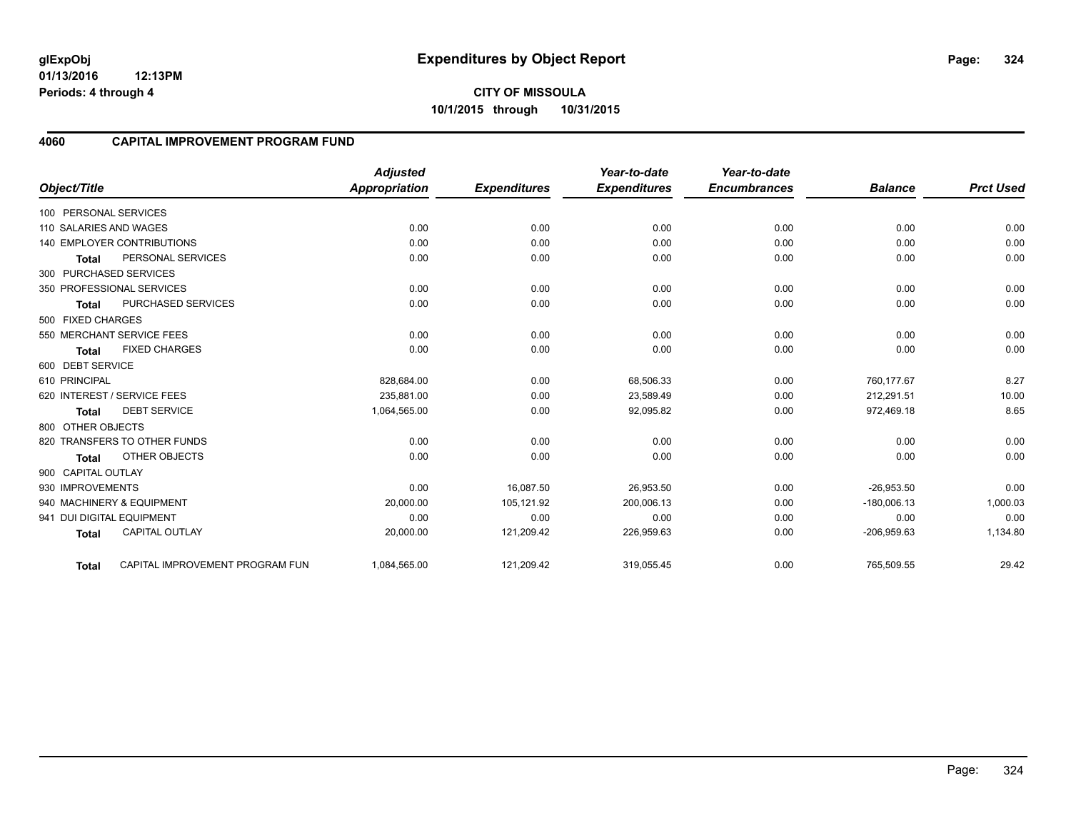**01/13/2016 12:13PM Periods: 4 through 4**

### **4060 CAPITAL IMPROVEMENT PROGRAM FUND**

|                           |                                 | <b>Adjusted</b>      |                     | Year-to-date        | Year-to-date        |                |                  |
|---------------------------|---------------------------------|----------------------|---------------------|---------------------|---------------------|----------------|------------------|
| Object/Title              |                                 | <b>Appropriation</b> | <b>Expenditures</b> | <b>Expenditures</b> | <b>Encumbrances</b> | <b>Balance</b> | <b>Prct Used</b> |
| 100 PERSONAL SERVICES     |                                 |                      |                     |                     |                     |                |                  |
| 110 SALARIES AND WAGES    |                                 | 0.00                 | 0.00                | 0.00                | 0.00                | 0.00           | 0.00             |
|                           | 140 EMPLOYER CONTRIBUTIONS      | 0.00                 | 0.00                | 0.00                | 0.00                | 0.00           | 0.00             |
| <b>Total</b>              | PERSONAL SERVICES               | 0.00                 | 0.00                | 0.00                | 0.00                | 0.00           | 0.00             |
| 300 PURCHASED SERVICES    |                                 |                      |                     |                     |                     |                |                  |
|                           | 350 PROFESSIONAL SERVICES       | 0.00                 | 0.00                | 0.00                | 0.00                | 0.00           | 0.00             |
| <b>Total</b>              | <b>PURCHASED SERVICES</b>       | 0.00                 | 0.00                | 0.00                | 0.00                | 0.00           | 0.00             |
| 500 FIXED CHARGES         |                                 |                      |                     |                     |                     |                |                  |
|                           | 550 MERCHANT SERVICE FEES       | 0.00                 | 0.00                | 0.00                | 0.00                | 0.00           | 0.00             |
| <b>Total</b>              | <b>FIXED CHARGES</b>            | 0.00                 | 0.00                | 0.00                | 0.00                | 0.00           | 0.00             |
| 600 DEBT SERVICE          |                                 |                      |                     |                     |                     |                |                  |
| 610 PRINCIPAL             |                                 | 828,684.00           | 0.00                | 68,506.33           | 0.00                | 760,177.67     | 8.27             |
|                           | 620 INTEREST / SERVICE FEES     | 235,881.00           | 0.00                | 23,589.49           | 0.00                | 212,291.51     | 10.00            |
| <b>Total</b>              | <b>DEBT SERVICE</b>             | 1,064,565.00         | 0.00                | 92,095.82           | 0.00                | 972,469.18     | 8.65             |
| 800 OTHER OBJECTS         |                                 |                      |                     |                     |                     |                |                  |
|                           | 820 TRANSFERS TO OTHER FUNDS    | 0.00                 | 0.00                | 0.00                | 0.00                | 0.00           | 0.00             |
| <b>Total</b>              | OTHER OBJECTS                   | 0.00                 | 0.00                | 0.00                | 0.00                | 0.00           | 0.00             |
| 900 CAPITAL OUTLAY        |                                 |                      |                     |                     |                     |                |                  |
| 930 IMPROVEMENTS          |                                 | 0.00                 | 16,087.50           | 26,953.50           | 0.00                | $-26,953.50$   | 0.00             |
|                           | 940 MACHINERY & EQUIPMENT       | 20,000.00            | 105,121.92          | 200,006.13          | 0.00                | $-180,006.13$  | 1,000.03         |
| 941 DUI DIGITAL EQUIPMENT |                                 | 0.00                 | 0.00                | 0.00                | 0.00                | 0.00           | 0.00             |
| <b>Total</b>              | CAPITAL OUTLAY                  | 20,000.00            | 121,209.42          | 226,959.63          | 0.00                | $-206,959.63$  | 1,134.80         |
| Total                     | CAPITAL IMPROVEMENT PROGRAM FUN | 1,084,565.00         | 121,209.42          | 319,055.45          | 0.00                | 765,509.55     | 29.42            |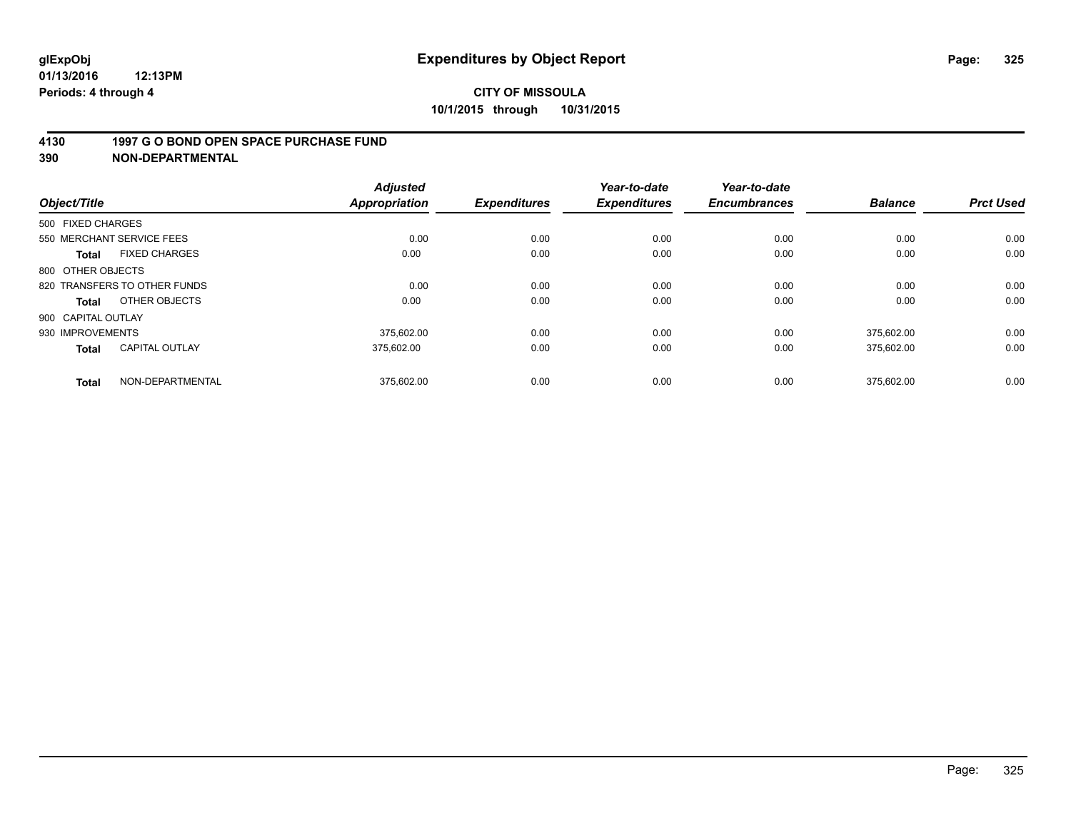#### **4130 1997 G O BOND OPEN SPACE PURCHASE FUND**

**390 NON-DEPARTMENTAL**

| Object/Title              |                              | <b>Adjusted</b><br><b>Appropriation</b> | <b>Expenditures</b> | Year-to-date<br><b>Expenditures</b> | Year-to-date<br><b>Encumbrances</b> | <b>Balance</b> | <b>Prct Used</b> |
|---------------------------|------------------------------|-----------------------------------------|---------------------|-------------------------------------|-------------------------------------|----------------|------------------|
| 500 FIXED CHARGES         |                              |                                         |                     |                                     |                                     |                |                  |
| 550 MERCHANT SERVICE FEES |                              | 0.00                                    | 0.00                | 0.00                                | 0.00                                | 0.00           | 0.00             |
| <b>Total</b>              | <b>FIXED CHARGES</b>         | 0.00                                    | 0.00                | 0.00                                | 0.00                                | 0.00           | 0.00             |
| 800 OTHER OBJECTS         |                              |                                         |                     |                                     |                                     |                |                  |
|                           | 820 TRANSFERS TO OTHER FUNDS | 0.00                                    | 0.00                | 0.00                                | 0.00                                | 0.00           | 0.00             |
| Total                     | OTHER OBJECTS                | 0.00                                    | 0.00                | 0.00                                | 0.00                                | 0.00           | 0.00             |
| 900 CAPITAL OUTLAY        |                              |                                         |                     |                                     |                                     |                |                  |
| 930 IMPROVEMENTS          |                              | 375.602.00                              | 0.00                | 0.00                                | 0.00                                | 375.602.00     | 0.00             |
| <b>Total</b>              | <b>CAPITAL OUTLAY</b>        | 375,602.00                              | 0.00                | 0.00                                | 0.00                                | 375,602.00     | 0.00             |
| <b>Total</b>              | NON-DEPARTMENTAL             | 375.602.00                              | 0.00                | 0.00                                | 0.00                                | 375.602.00     | 0.00             |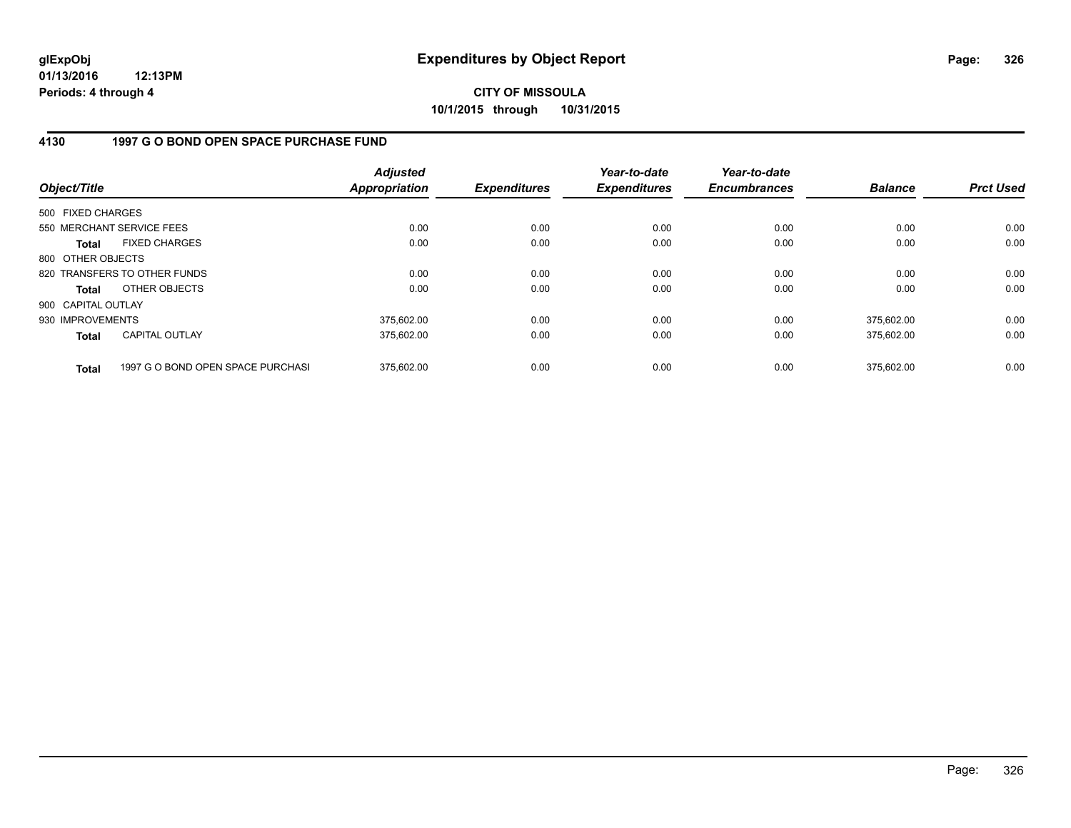**01/13/2016 12:13PM Periods: 4 through 4**

**CITY OF MISSOULA 10/1/2015 through 10/31/2015**

### **4130 1997 G O BOND OPEN SPACE PURCHASE FUND**

| Object/Title       |                                   | <b>Adjusted</b><br><b>Appropriation</b> | <b>Expenditures</b> | Year-to-date<br><b>Expenditures</b> | Year-to-date<br><b>Encumbrances</b> | <b>Balance</b> | <b>Prct Used</b> |
|--------------------|-----------------------------------|-----------------------------------------|---------------------|-------------------------------------|-------------------------------------|----------------|------------------|
| 500 FIXED CHARGES  |                                   |                                         |                     |                                     |                                     |                |                  |
|                    | 550 MERCHANT SERVICE FEES         | 0.00                                    | 0.00                | 0.00                                | 0.00                                | 0.00           | 0.00             |
| Total              | <b>FIXED CHARGES</b>              | 0.00                                    | 0.00                | 0.00                                | 0.00                                | 0.00           | 0.00             |
| 800 OTHER OBJECTS  |                                   |                                         |                     |                                     |                                     |                |                  |
|                    | 820 TRANSFERS TO OTHER FUNDS      | 0.00                                    | 0.00                | 0.00                                | 0.00                                | 0.00           | 0.00             |
| Total              | OTHER OBJECTS                     | 0.00                                    | 0.00                | 0.00                                | 0.00                                | 0.00           | 0.00             |
| 900 CAPITAL OUTLAY |                                   |                                         |                     |                                     |                                     |                |                  |
| 930 IMPROVEMENTS   |                                   | 375,602.00                              | 0.00                | 0.00                                | 0.00                                | 375,602.00     | 0.00             |
| <b>Total</b>       | CAPITAL OUTLAY                    | 375,602.00                              | 0.00                | 0.00                                | 0.00                                | 375,602.00     | 0.00             |
| <b>Total</b>       | 1997 G O BOND OPEN SPACE PURCHASI | 375.602.00                              | 0.00                | 0.00                                | 0.00                                | 375.602.00     | 0.00             |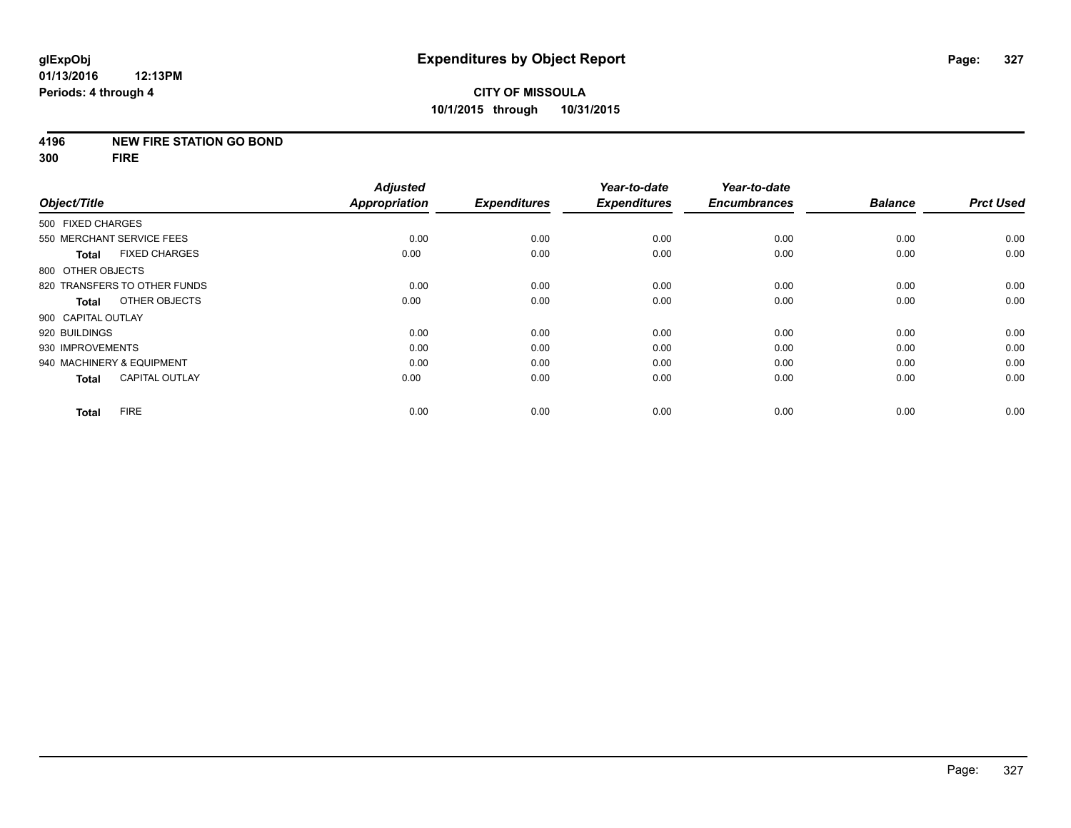#### **4196 NEW FIRE STATION GO BOND**

**300 FIRE**

| Object/Title       |                              | <b>Adjusted</b><br><b>Appropriation</b> | <b>Expenditures</b> | Year-to-date        | Year-to-date<br><b>Encumbrances</b> | <b>Balance</b> | <b>Prct Used</b> |
|--------------------|------------------------------|-----------------------------------------|---------------------|---------------------|-------------------------------------|----------------|------------------|
|                    |                              |                                         |                     | <b>Expenditures</b> |                                     |                |                  |
| 500 FIXED CHARGES  |                              |                                         |                     |                     |                                     |                |                  |
|                    | 550 MERCHANT SERVICE FEES    | 0.00                                    | 0.00                | 0.00                | 0.00                                | 0.00           | 0.00             |
| <b>Total</b>       | <b>FIXED CHARGES</b>         | 0.00                                    | 0.00                | 0.00                | 0.00                                | 0.00           | 0.00             |
| 800 OTHER OBJECTS  |                              |                                         |                     |                     |                                     |                |                  |
|                    | 820 TRANSFERS TO OTHER FUNDS | 0.00                                    | 0.00                | 0.00                | 0.00                                | 0.00           | 0.00             |
| <b>Total</b>       | OTHER OBJECTS                | 0.00                                    | 0.00                | 0.00                | 0.00                                | 0.00           | 0.00             |
| 900 CAPITAL OUTLAY |                              |                                         |                     |                     |                                     |                |                  |
| 920 BUILDINGS      |                              | 0.00                                    | 0.00                | 0.00                | 0.00                                | 0.00           | 0.00             |
| 930 IMPROVEMENTS   |                              | 0.00                                    | 0.00                | 0.00                | 0.00                                | 0.00           | 0.00             |
|                    | 940 MACHINERY & EQUIPMENT    | 0.00                                    | 0.00                | 0.00                | 0.00                                | 0.00           | 0.00             |
| <b>Total</b>       | <b>CAPITAL OUTLAY</b>        | 0.00                                    | 0.00                | 0.00                | 0.00                                | 0.00           | 0.00             |
| <b>Total</b>       | <b>FIRE</b>                  | 0.00                                    | 0.00                | 0.00                | 0.00                                | 0.00           | 0.00             |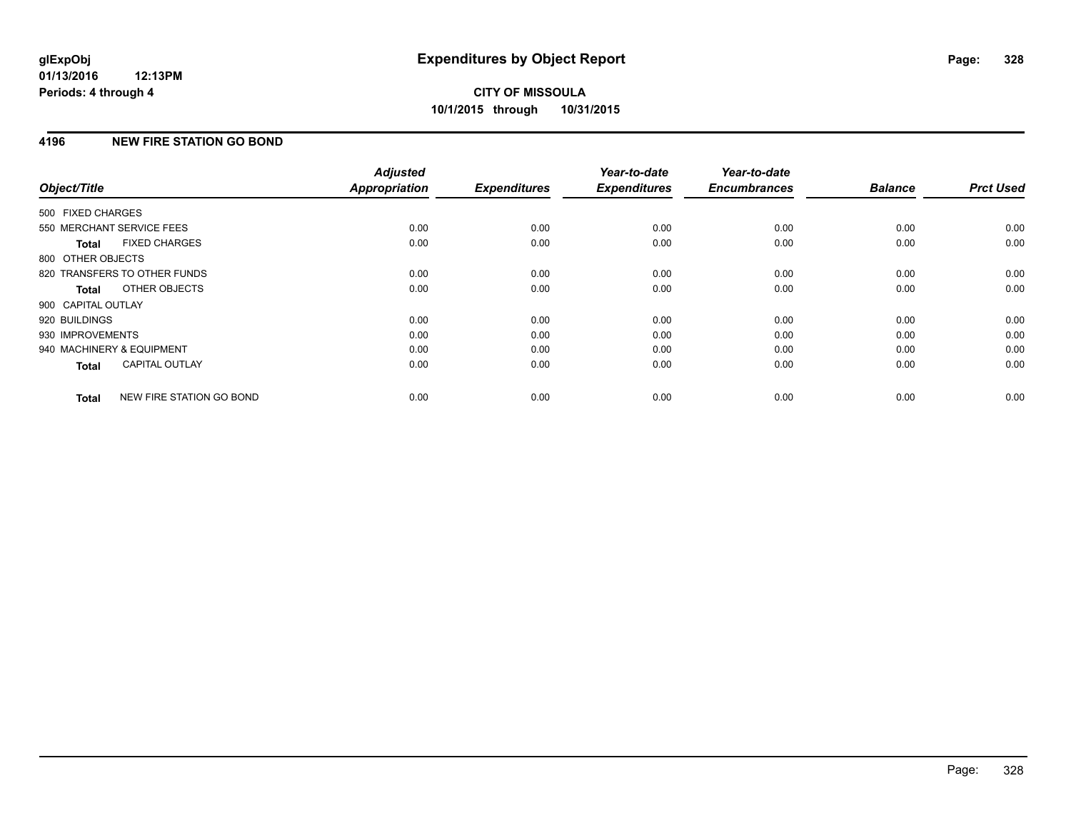## **4196 NEW FIRE STATION GO BOND**

| Object/Title                 |                          | <b>Adjusted</b><br><b>Appropriation</b> | <b>Expenditures</b> | Year-to-date<br><b>Expenditures</b> | Year-to-date<br><b>Encumbrances</b> | <b>Balance</b> | <b>Prct Used</b> |
|------------------------------|--------------------------|-----------------------------------------|---------------------|-------------------------------------|-------------------------------------|----------------|------------------|
| 500 FIXED CHARGES            |                          |                                         |                     |                                     |                                     |                |                  |
| 550 MERCHANT SERVICE FEES    |                          | 0.00                                    | 0.00                | 0.00                                | 0.00                                | 0.00           | 0.00             |
| <b>Total</b>                 | <b>FIXED CHARGES</b>     | 0.00                                    | 0.00                | 0.00                                | 0.00                                | 0.00           | 0.00             |
| 800 OTHER OBJECTS            |                          |                                         |                     |                                     |                                     |                |                  |
| 820 TRANSFERS TO OTHER FUNDS |                          | 0.00                                    | 0.00                | 0.00                                | 0.00                                | 0.00           | 0.00             |
| <b>Total</b>                 | OTHER OBJECTS            | 0.00                                    | 0.00                | 0.00                                | 0.00                                | 0.00           | 0.00             |
| 900 CAPITAL OUTLAY           |                          |                                         |                     |                                     |                                     |                |                  |
| 920 BUILDINGS                |                          | 0.00                                    | 0.00                | 0.00                                | 0.00                                | 0.00           | 0.00             |
| 930 IMPROVEMENTS             |                          | 0.00                                    | 0.00                | 0.00                                | 0.00                                | 0.00           | 0.00             |
| 940 MACHINERY & EQUIPMENT    |                          | 0.00                                    | 0.00                | 0.00                                | 0.00                                | 0.00           | 0.00             |
| Total                        | <b>CAPITAL OUTLAY</b>    | 0.00                                    | 0.00                | 0.00                                | 0.00                                | 0.00           | 0.00             |
| <b>Total</b>                 | NEW FIRE STATION GO BOND | 0.00                                    | 0.00                | 0.00                                | 0.00                                | 0.00           | 0.00             |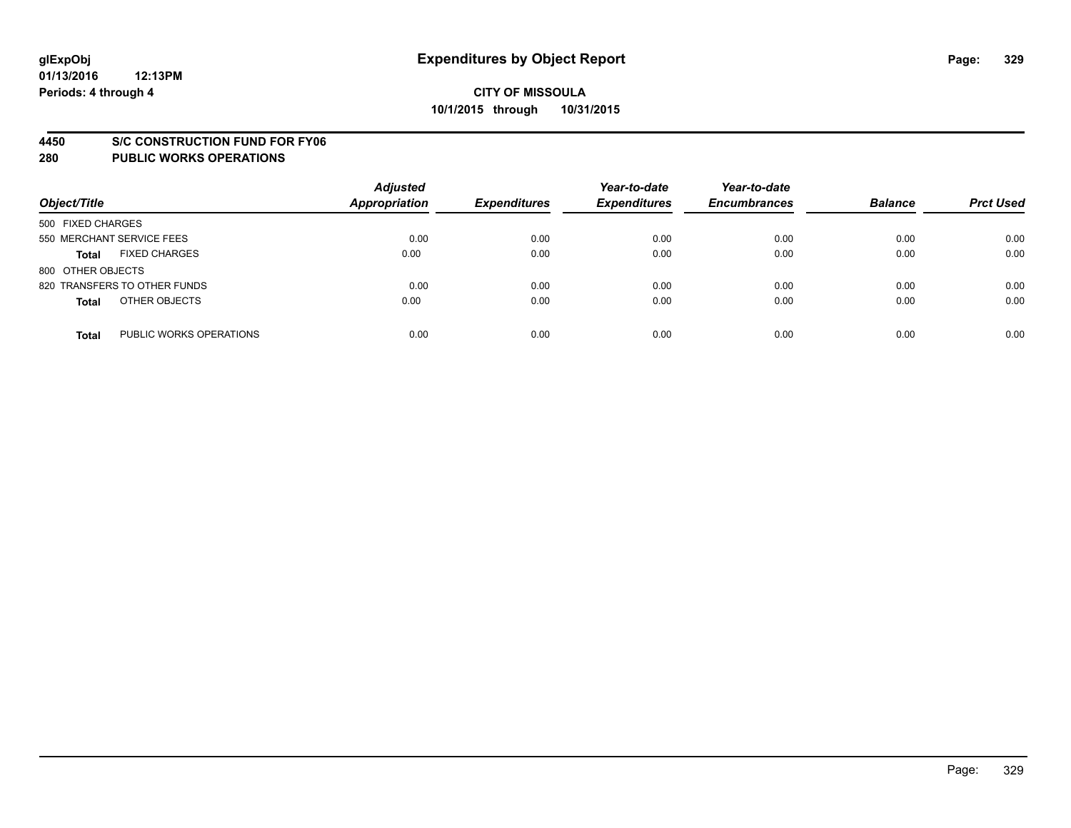#### **4450 S/C CONSTRUCTION FUND FOR FY06**

| Object/Title                            | <b>Adjusted</b><br><b>Appropriation</b> | <b>Expenditures</b> | Year-to-date<br><b>Expenditures</b> | Year-to-date<br><b>Encumbrances</b> | <b>Balance</b> | <b>Prct Used</b> |
|-----------------------------------------|-----------------------------------------|---------------------|-------------------------------------|-------------------------------------|----------------|------------------|
| 500 FIXED CHARGES                       |                                         |                     |                                     |                                     |                |                  |
| 550 MERCHANT SERVICE FEES               | 0.00                                    | 0.00                | 0.00                                | 0.00                                | 0.00           | 0.00             |
| <b>FIXED CHARGES</b><br><b>Total</b>    | 0.00                                    | 0.00                | 0.00                                | 0.00                                | 0.00           | 0.00             |
| 800 OTHER OBJECTS                       |                                         |                     |                                     |                                     |                |                  |
| 820 TRANSFERS TO OTHER FUNDS            | 0.00                                    | 0.00                | 0.00                                | 0.00                                | 0.00           | 0.00             |
| OTHER OBJECTS<br><b>Total</b>           | 0.00                                    | 0.00                | 0.00                                | 0.00                                | 0.00           | 0.00             |
| PUBLIC WORKS OPERATIONS<br><b>Total</b> | 0.00                                    | 0.00                | 0.00                                | 0.00                                | 0.00           | 0.00             |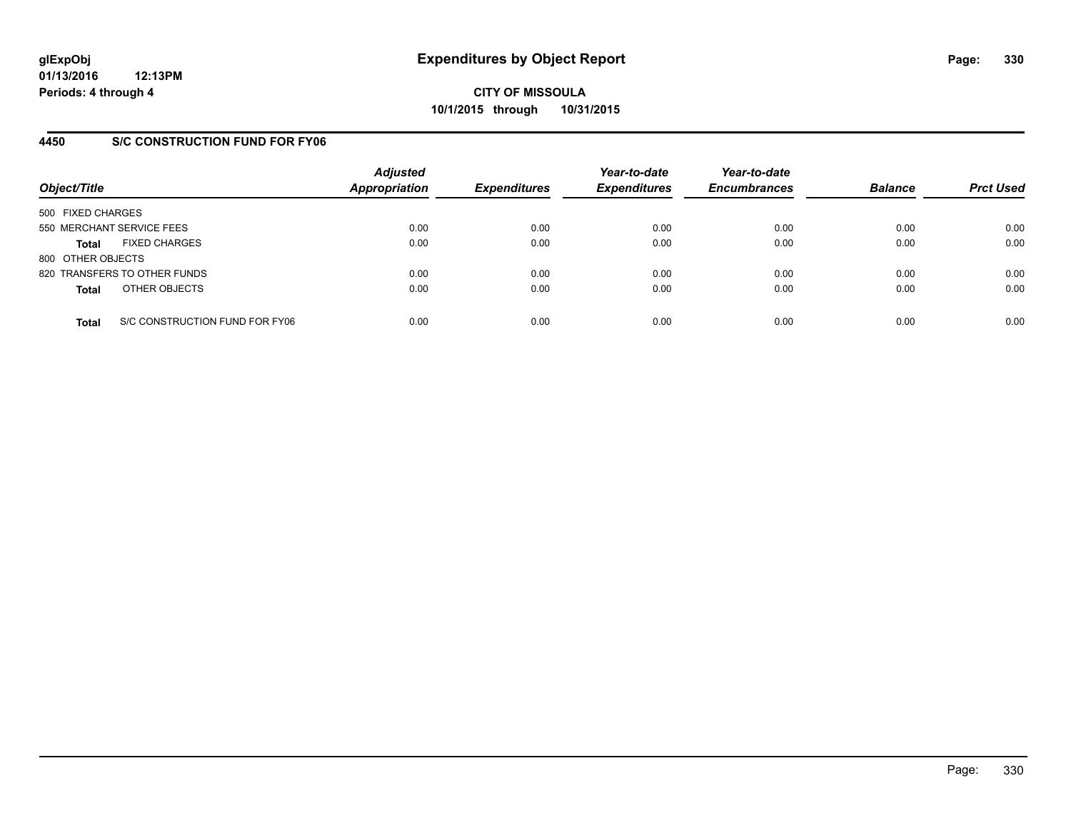## **4450 S/C CONSTRUCTION FUND FOR FY06**

| Object/Title              |                                | <b>Adjusted</b><br>Appropriation | <b>Expenditures</b> | Year-to-date<br><b>Expenditures</b> | Year-to-date<br><b>Encumbrances</b> | <b>Balance</b> | <b>Prct Used</b> |
|---------------------------|--------------------------------|----------------------------------|---------------------|-------------------------------------|-------------------------------------|----------------|------------------|
| 500 FIXED CHARGES         |                                |                                  |                     |                                     |                                     |                |                  |
| 550 MERCHANT SERVICE FEES |                                | 0.00                             | 0.00                | 0.00                                | 0.00                                | 0.00           | 0.00             |
| <b>Total</b>              | <b>FIXED CHARGES</b>           | 0.00                             | 0.00                | 0.00                                | 0.00                                | 0.00           | 0.00             |
| 800 OTHER OBJECTS         |                                |                                  |                     |                                     |                                     |                |                  |
|                           | 820 TRANSFERS TO OTHER FUNDS   | 0.00                             | 0.00                | 0.00                                | 0.00                                | 0.00           | 0.00             |
| <b>Total</b>              | OTHER OBJECTS                  | 0.00                             | 0.00                | 0.00                                | 0.00                                | 0.00           | 0.00             |
| <b>Total</b>              | S/C CONSTRUCTION FUND FOR FY06 | 0.00                             | 0.00                | 0.00                                | 0.00                                | 0.00           | 0.00             |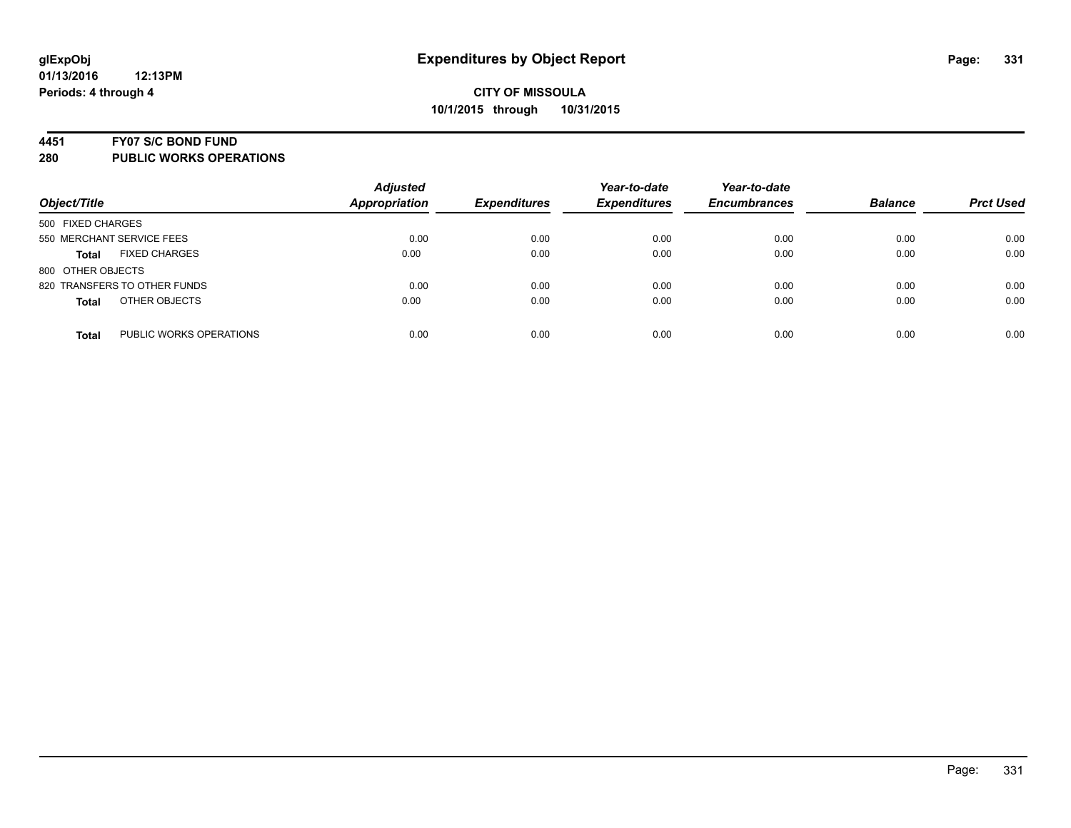#### **4451 FY07 S/C BOND FUND**

| Object/Title                            | <b>Adjusted</b><br><b>Appropriation</b> | <b>Expenditures</b> | Year-to-date<br><b>Expenditures</b> | Year-to-date<br><b>Encumbrances</b> | <b>Balance</b> | <b>Prct Used</b> |
|-----------------------------------------|-----------------------------------------|---------------------|-------------------------------------|-------------------------------------|----------------|------------------|
| 500 FIXED CHARGES                       |                                         |                     |                                     |                                     |                |                  |
| 550 MERCHANT SERVICE FEES               | 0.00                                    | 0.00                | 0.00                                | 0.00                                | 0.00           | 0.00             |
| <b>FIXED CHARGES</b><br><b>Total</b>    | 0.00                                    | 0.00                | 0.00                                | 0.00                                | 0.00           | 0.00             |
| 800 OTHER OBJECTS                       |                                         |                     |                                     |                                     |                |                  |
| 820 TRANSFERS TO OTHER FUNDS            | 0.00                                    | 0.00                | 0.00                                | 0.00                                | 0.00           | 0.00             |
| OTHER OBJECTS<br><b>Total</b>           | 0.00                                    | 0.00                | 0.00                                | 0.00                                | 0.00           | 0.00             |
| PUBLIC WORKS OPERATIONS<br><b>Total</b> | 0.00                                    | 0.00                | 0.00                                | 0.00                                | 0.00           | 0.00             |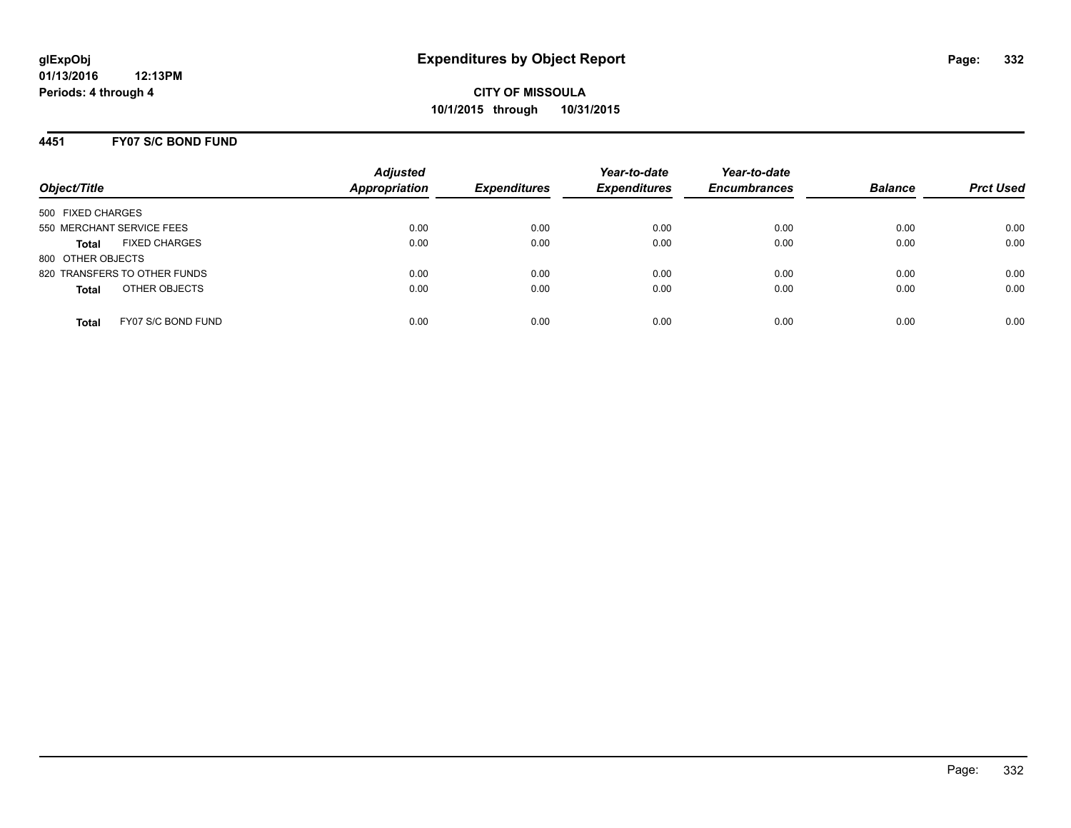### **4451 FY07 S/C BOND FUND**

| Object/Title                         | <b>Adjusted</b><br><b>Appropriation</b> | <b>Expenditures</b> | Year-to-date<br><b>Expenditures</b> | Year-to-date<br><b>Encumbrances</b> | <b>Balance</b> | <b>Prct Used</b> |
|--------------------------------------|-----------------------------------------|---------------------|-------------------------------------|-------------------------------------|----------------|------------------|
| 500 FIXED CHARGES                    |                                         |                     |                                     |                                     |                |                  |
| 550 MERCHANT SERVICE FEES            | 0.00                                    | 0.00                | 0.00                                | 0.00                                | 0.00           | 0.00             |
| <b>FIXED CHARGES</b><br><b>Total</b> | 0.00                                    | 0.00                | 0.00                                | 0.00                                | 0.00           | 0.00             |
| 800 OTHER OBJECTS                    |                                         |                     |                                     |                                     |                |                  |
| 820 TRANSFERS TO OTHER FUNDS         | 0.00                                    | 0.00                | 0.00                                | 0.00                                | 0.00           | 0.00             |
| OTHER OBJECTS<br><b>Total</b>        | 0.00                                    | 0.00                | 0.00                                | 0.00                                | 0.00           | 0.00             |
|                                      |                                         |                     |                                     |                                     |                |                  |
| FY07 S/C BOND FUND<br><b>Total</b>   | 0.00                                    | 0.00                | 0.00                                | 0.00                                | 0.00           | 0.00             |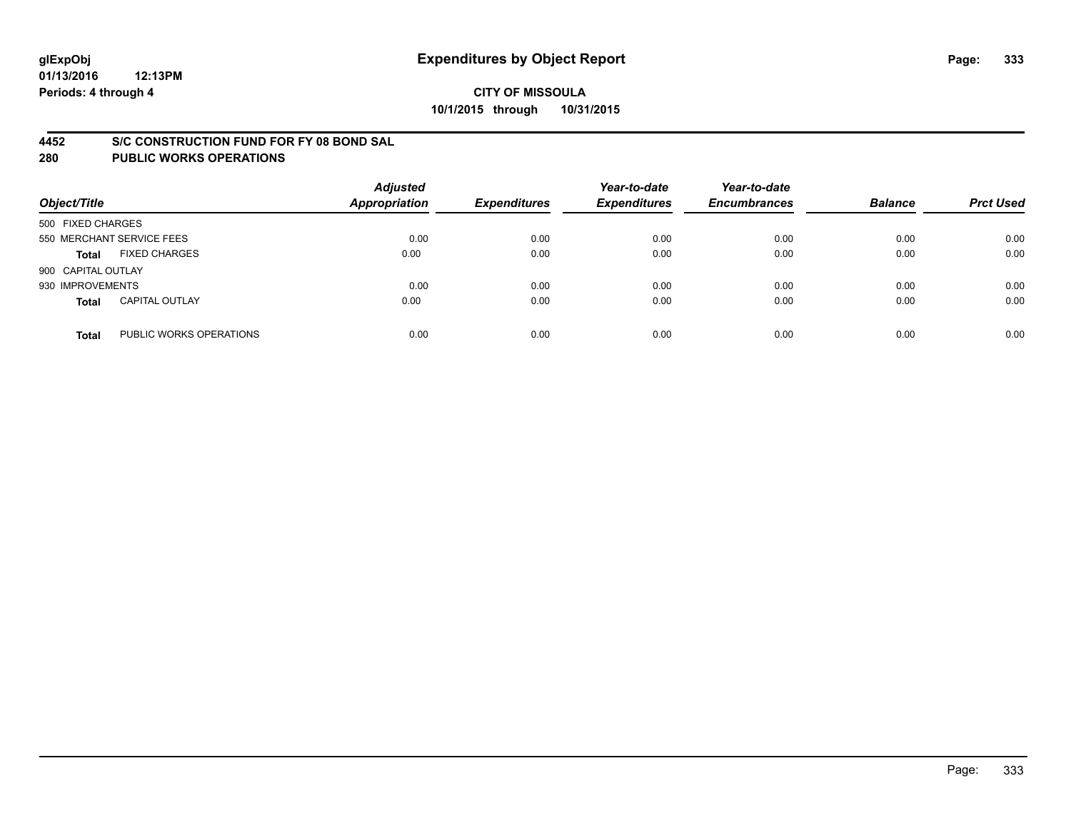### **4452 S/C CONSTRUCTION FUND FOR FY 08 BOND SAL**

| Object/Title       |                           | <b>Adjusted</b><br><b>Appropriation</b> | <b>Expenditures</b> | Year-to-date<br><b>Expenditures</b> | Year-to-date<br><b>Encumbrances</b> | <b>Balance</b> | <b>Prct Used</b> |
|--------------------|---------------------------|-----------------------------------------|---------------------|-------------------------------------|-------------------------------------|----------------|------------------|
| 500 FIXED CHARGES  |                           |                                         |                     |                                     |                                     |                |                  |
|                    | 550 MERCHANT SERVICE FEES | 0.00                                    | 0.00                | 0.00                                | 0.00                                | 0.00           | 0.00             |
| <b>Total</b>       | <b>FIXED CHARGES</b>      | 0.00                                    | 0.00                | 0.00                                | 0.00                                | 0.00           | 0.00             |
| 900 CAPITAL OUTLAY |                           |                                         |                     |                                     |                                     |                |                  |
| 930 IMPROVEMENTS   |                           | 0.00                                    | 0.00                | 0.00                                | 0.00                                | 0.00           | 0.00             |
| <b>Total</b>       | <b>CAPITAL OUTLAY</b>     | 0.00                                    | 0.00                | 0.00                                | 0.00                                | 0.00           | 0.00             |
| <b>Total</b>       | PUBLIC WORKS OPERATIONS   | 0.00                                    | 0.00                | 0.00                                | 0.00                                | 0.00           | 0.00             |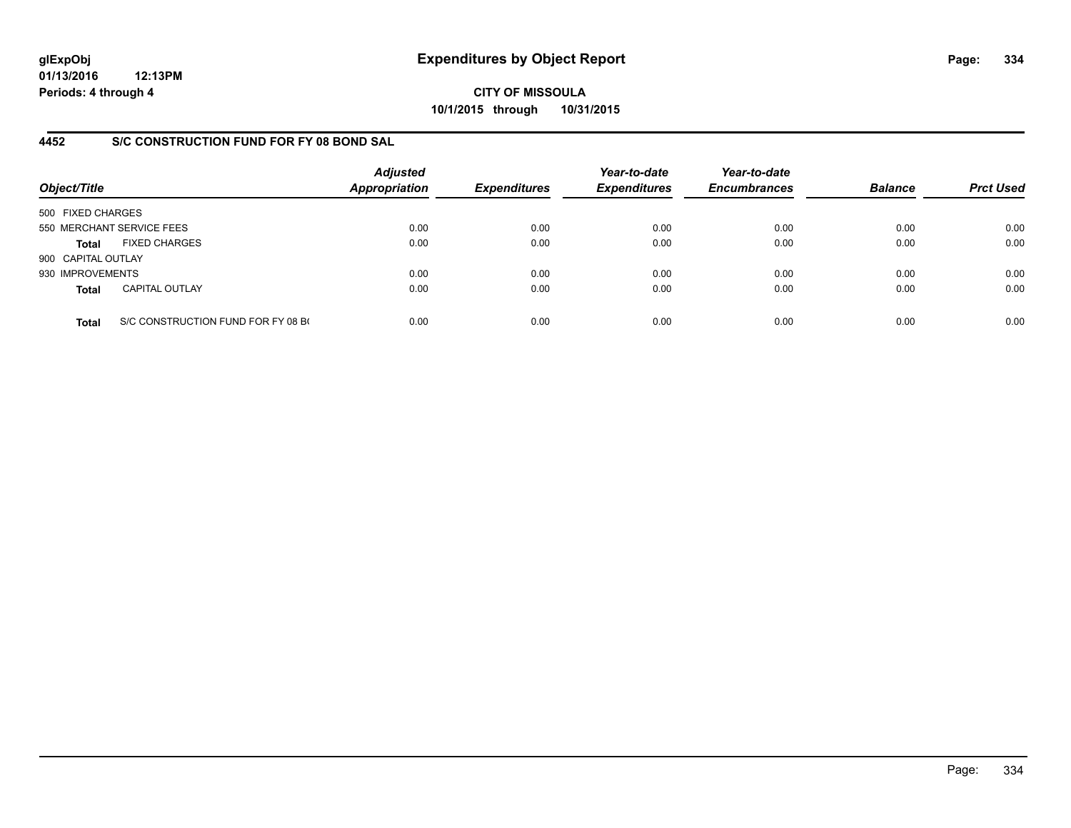**01/13/2016 12:13PM Periods: 4 through 4**

**CITY OF MISSOULA 10/1/2015 through 10/31/2015**

## **4452 S/C CONSTRUCTION FUND FOR FY 08 BOND SAL**

| Object/Title       |                                    | <b>Adjusted</b><br><b>Appropriation</b> | <b>Expenditures</b> | Year-to-date<br><b>Expenditures</b> | Year-to-date<br><b>Encumbrances</b> | <b>Balance</b> | <b>Prct Used</b> |
|--------------------|------------------------------------|-----------------------------------------|---------------------|-------------------------------------|-------------------------------------|----------------|------------------|
| 500 FIXED CHARGES  |                                    |                                         |                     |                                     |                                     |                |                  |
|                    | 550 MERCHANT SERVICE FEES          | 0.00                                    | 0.00                | 0.00                                | 0.00                                | 0.00           | 0.00             |
| Total              | <b>FIXED CHARGES</b>               | 0.00                                    | 0.00                | 0.00                                | 0.00                                | 0.00           | 0.00             |
| 900 CAPITAL OUTLAY |                                    |                                         |                     |                                     |                                     |                |                  |
| 930 IMPROVEMENTS   |                                    | 0.00                                    | 0.00                | 0.00                                | 0.00                                | 0.00           | 0.00             |
| <b>Total</b>       | <b>CAPITAL OUTLAY</b>              | 0.00                                    | 0.00                | 0.00                                | 0.00                                | 0.00           | 0.00             |
| <b>Total</b>       | S/C CONSTRUCTION FUND FOR FY 08 BO | 0.00                                    | 0.00                | 0.00                                | 0.00                                | 0.00           | 0.00             |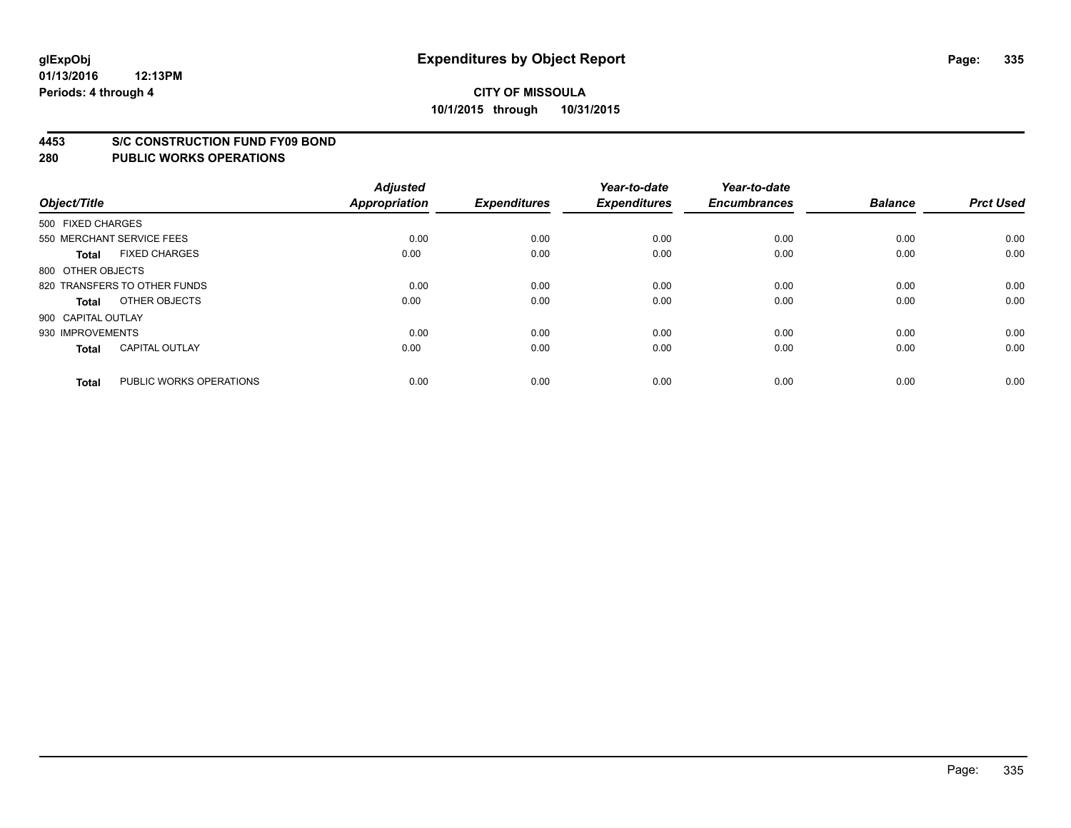#### **4453 S/C CONSTRUCTION FUND FY09 BOND**

| Object/Title       |                              | <b>Adjusted</b><br>Appropriation | <b>Expenditures</b> | Year-to-date<br><b>Expenditures</b> | Year-to-date<br><b>Encumbrances</b> | <b>Balance</b> | <b>Prct Used</b> |
|--------------------|------------------------------|----------------------------------|---------------------|-------------------------------------|-------------------------------------|----------------|------------------|
| 500 FIXED CHARGES  |                              |                                  |                     |                                     |                                     |                |                  |
|                    | 550 MERCHANT SERVICE FEES    | 0.00                             | 0.00                | 0.00                                | 0.00                                | 0.00           | 0.00             |
| <b>Total</b>       | <b>FIXED CHARGES</b>         | 0.00                             | 0.00                | 0.00                                | 0.00                                | 0.00           | 0.00             |
| 800 OTHER OBJECTS  |                              |                                  |                     |                                     |                                     |                |                  |
|                    | 820 TRANSFERS TO OTHER FUNDS | 0.00                             | 0.00                | 0.00                                | 0.00                                | 0.00           | 0.00             |
| Total              | OTHER OBJECTS                | 0.00                             | 0.00                | 0.00                                | 0.00                                | 0.00           | 0.00             |
| 900 CAPITAL OUTLAY |                              |                                  |                     |                                     |                                     |                |                  |
| 930 IMPROVEMENTS   |                              | 0.00                             | 0.00                | 0.00                                | 0.00                                | 0.00           | 0.00             |
| Total              | <b>CAPITAL OUTLAY</b>        | 0.00                             | 0.00                | 0.00                                | 0.00                                | 0.00           | 0.00             |
|                    |                              |                                  |                     |                                     |                                     |                |                  |
| <b>Total</b>       | PUBLIC WORKS OPERATIONS      | 0.00                             | 0.00                | 0.00                                | 0.00                                | 0.00           | 0.00             |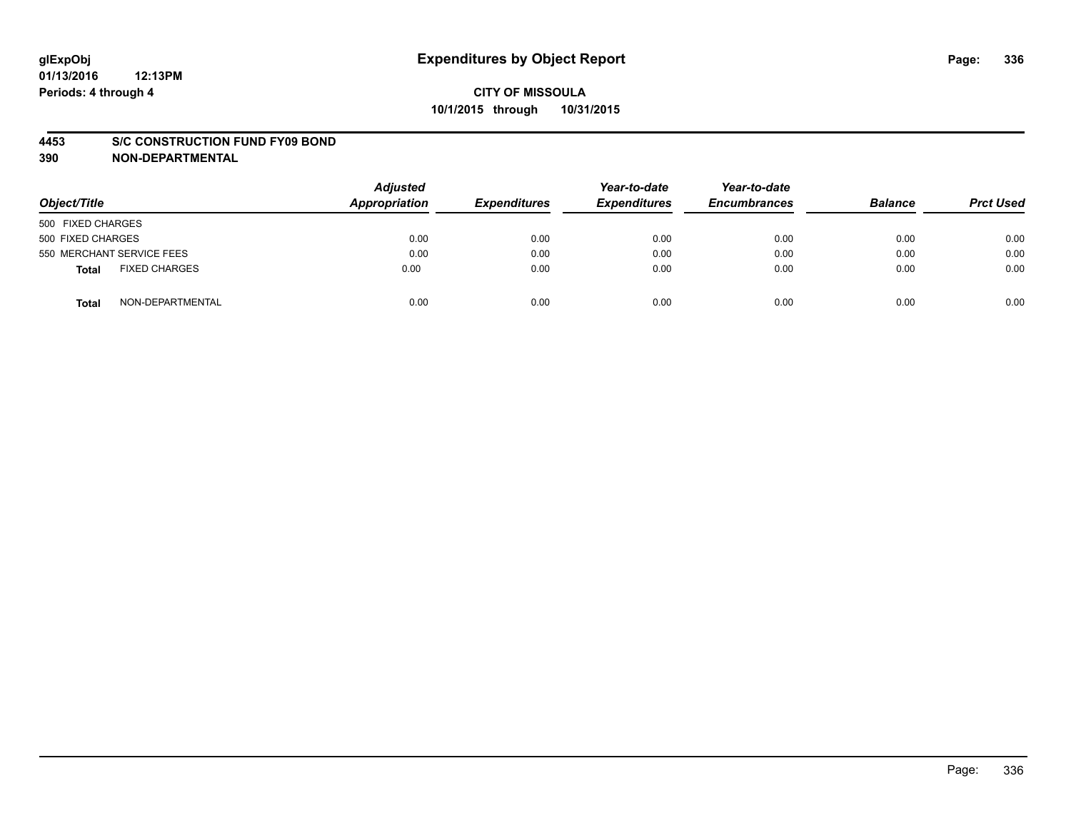#### **4453 S/C CONSTRUCTION FUND FY09 BOND**

**390 NON-DEPARTMENTAL**

| Object/Title                  | <b>Adjusted</b><br>Appropriation | <b>Expenditures</b> | Year-to-date<br><b>Expenditures</b> | Year-to-date<br><b>Encumbrances</b> | <b>Balance</b> | <b>Prct Used</b> |
|-------------------------------|----------------------------------|---------------------|-------------------------------------|-------------------------------------|----------------|------------------|
| 500 FIXED CHARGES             |                                  |                     |                                     |                                     |                |                  |
| 500 FIXED CHARGES             | 0.00                             | 0.00                | 0.00                                | 0.00                                | 0.00           | 0.00             |
| 550 MERCHANT SERVICE FEES     | 0.00                             | 0.00                | 0.00                                | 0.00                                | 0.00           | 0.00             |
| <b>FIXED CHARGES</b><br>Total | 0.00                             | 0.00                | 0.00                                | 0.00                                | 0.00           | 0.00             |
| NON-DEPARTMENTAL<br>Total     | 0.00                             | 0.00                | 0.00                                | 0.00                                | 0.00           | 0.00             |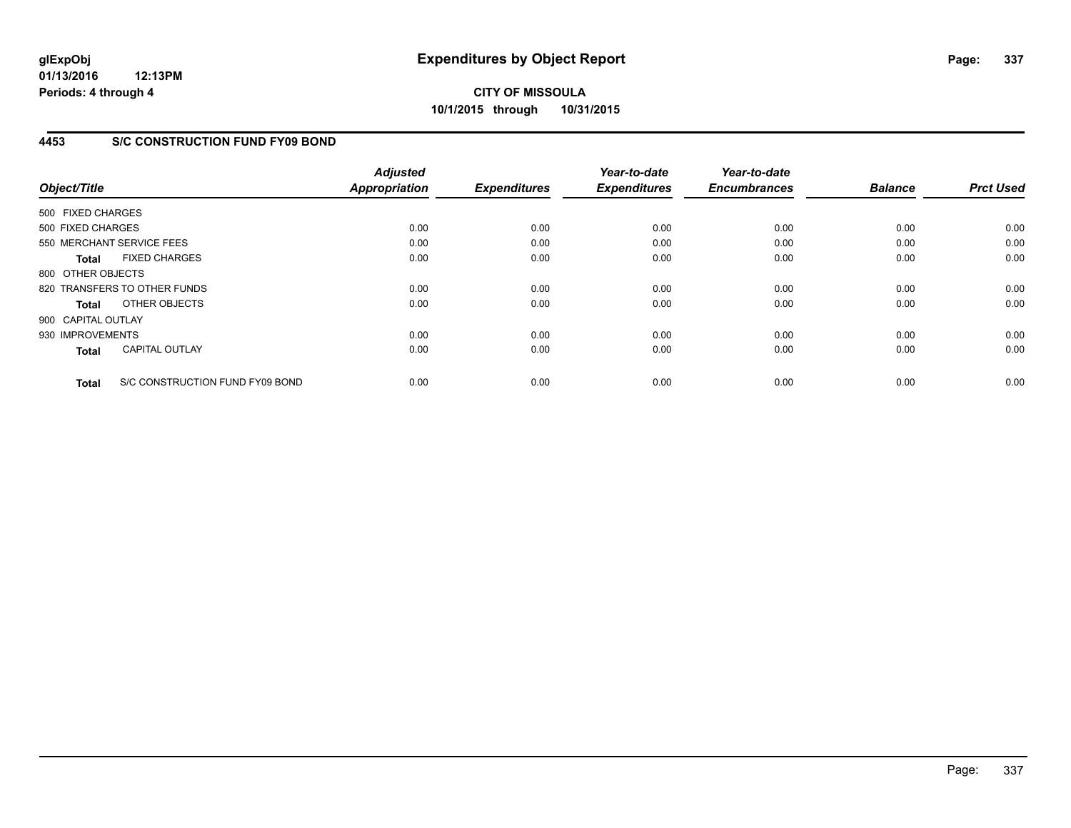**01/13/2016 12:13PM Periods: 4 through 4**

**CITY OF MISSOULA 10/1/2015 through 10/31/2015**

## **4453 S/C CONSTRUCTION FUND FY09 BOND**

| Object/Title                 |                                 | <b>Adjusted</b><br><b>Appropriation</b> | <b>Expenditures</b> | Year-to-date<br><b>Expenditures</b> | Year-to-date<br><b>Encumbrances</b> | <b>Balance</b> | <b>Prct Used</b> |
|------------------------------|---------------------------------|-----------------------------------------|---------------------|-------------------------------------|-------------------------------------|----------------|------------------|
| 500 FIXED CHARGES            |                                 |                                         |                     |                                     |                                     |                |                  |
| 500 FIXED CHARGES            |                                 | 0.00                                    | 0.00                | 0.00                                | 0.00                                | 0.00           | 0.00             |
| 550 MERCHANT SERVICE FEES    |                                 | 0.00                                    | 0.00                | 0.00                                | 0.00                                | 0.00           | 0.00             |
| <b>Total</b>                 | <b>FIXED CHARGES</b>            | 0.00                                    | 0.00                | 0.00                                | 0.00                                | 0.00           | 0.00             |
| 800 OTHER OBJECTS            |                                 |                                         |                     |                                     |                                     |                |                  |
| 820 TRANSFERS TO OTHER FUNDS |                                 | 0.00                                    | 0.00                | 0.00                                | 0.00                                | 0.00           | 0.00             |
| <b>Total</b>                 | OTHER OBJECTS                   | 0.00                                    | 0.00                | 0.00                                | 0.00                                | 0.00           | 0.00             |
| 900 CAPITAL OUTLAY           |                                 |                                         |                     |                                     |                                     |                |                  |
| 930 IMPROVEMENTS             |                                 | 0.00                                    | 0.00                | 0.00                                | 0.00                                | 0.00           | 0.00             |
| <b>Total</b>                 | <b>CAPITAL OUTLAY</b>           | 0.00                                    | 0.00                | 0.00                                | 0.00                                | 0.00           | 0.00             |
| <b>Total</b>                 | S/C CONSTRUCTION FUND FY09 BOND | 0.00                                    | 0.00                | 0.00                                | 0.00                                | 0.00           | 0.00             |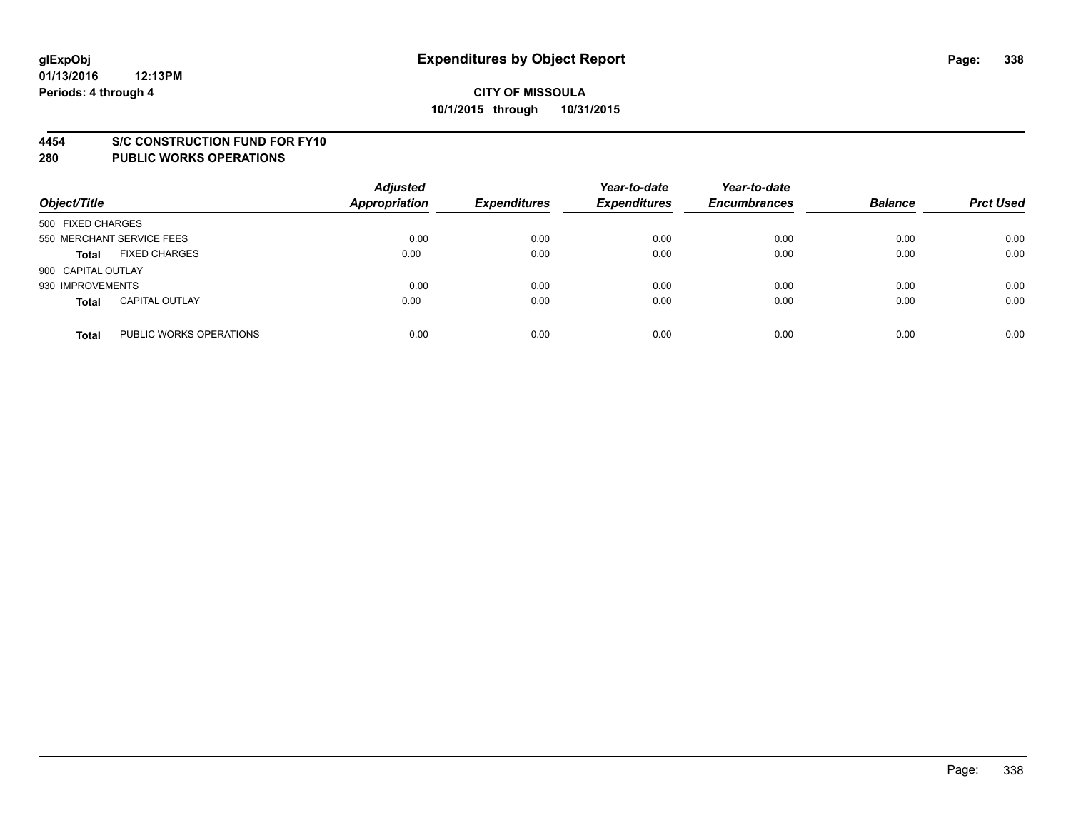#### **4454 S/C CONSTRUCTION FUND FOR FY10**

| Object/Title       |                           | <b>Adjusted</b><br><b>Appropriation</b> | <b>Expenditures</b> | Year-to-date<br><b>Expenditures</b> | Year-to-date<br><b>Encumbrances</b> | <b>Balance</b> | <b>Prct Used</b> |
|--------------------|---------------------------|-----------------------------------------|---------------------|-------------------------------------|-------------------------------------|----------------|------------------|
| 500 FIXED CHARGES  |                           |                                         |                     |                                     |                                     |                |                  |
|                    | 550 MERCHANT SERVICE FEES | 0.00                                    | 0.00                | 0.00                                | 0.00                                | 0.00           | 0.00             |
| <b>Total</b>       | <b>FIXED CHARGES</b>      | 0.00                                    | 0.00                | 0.00                                | 0.00                                | 0.00           | 0.00             |
| 900 CAPITAL OUTLAY |                           |                                         |                     |                                     |                                     |                |                  |
| 930 IMPROVEMENTS   |                           | 0.00                                    | 0.00                | 0.00                                | 0.00                                | 0.00           | 0.00             |
| <b>Total</b>       | <b>CAPITAL OUTLAY</b>     | 0.00                                    | 0.00                | 0.00                                | 0.00                                | 0.00           | 0.00             |
| <b>Total</b>       | PUBLIC WORKS OPERATIONS   | 0.00                                    | 0.00                | 0.00                                | 0.00                                | 0.00           | 0.00             |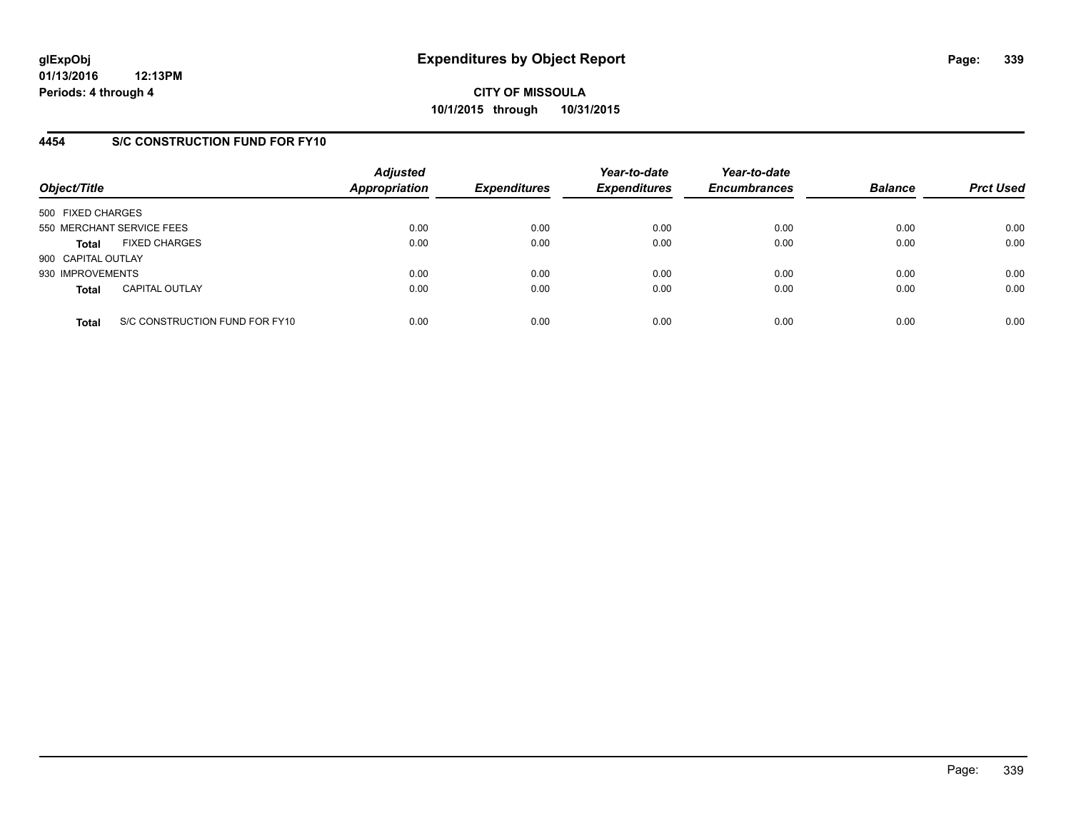## **4454 S/C CONSTRUCTION FUND FOR FY10**

| Object/Title       |                                | <b>Adjusted</b><br><b>Appropriation</b> | <b>Expenditures</b> | Year-to-date<br><b>Expenditures</b> | Year-to-date<br><b>Encumbrances</b> | <b>Balance</b> | <b>Prct Used</b> |
|--------------------|--------------------------------|-----------------------------------------|---------------------|-------------------------------------|-------------------------------------|----------------|------------------|
| 500 FIXED CHARGES  |                                |                                         |                     |                                     |                                     |                |                  |
|                    | 550 MERCHANT SERVICE FEES      | 0.00                                    | 0.00                | 0.00                                | 0.00                                | 0.00           | 0.00             |
| <b>Total</b>       | <b>FIXED CHARGES</b>           | 0.00                                    | 0.00                | 0.00                                | 0.00                                | 0.00           | 0.00             |
| 900 CAPITAL OUTLAY |                                |                                         |                     |                                     |                                     |                |                  |
| 930 IMPROVEMENTS   |                                | 0.00                                    | 0.00                | 0.00                                | 0.00                                | 0.00           | 0.00             |
| <b>Total</b>       | <b>CAPITAL OUTLAY</b>          | 0.00                                    | 0.00                | 0.00                                | 0.00                                | 0.00           | 0.00             |
| <b>Total</b>       | S/C CONSTRUCTION FUND FOR FY10 | 0.00                                    | 0.00                | 0.00                                | 0.00                                | 0.00           | 0.00             |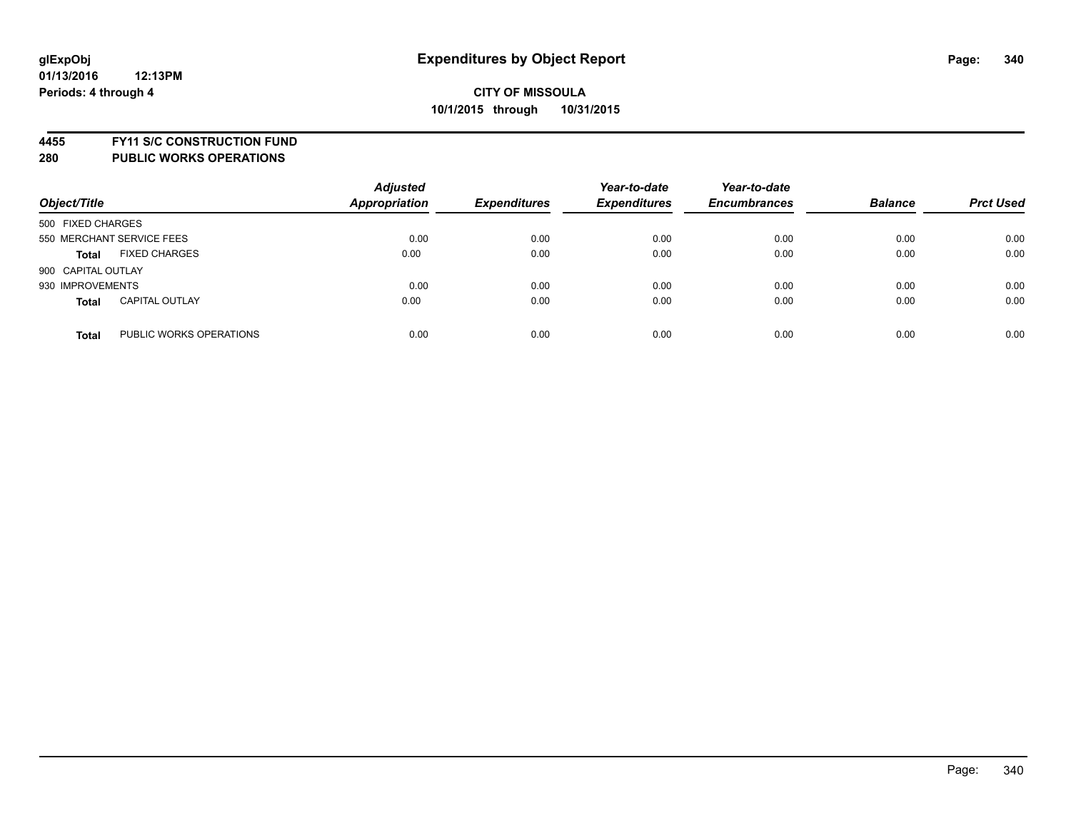**4455 FY11 S/C CONSTRUCTION FUND**

| Object/Title       |                           | <b>Adjusted</b><br><b>Appropriation</b> | <b>Expenditures</b> | Year-to-date<br><b>Expenditures</b> | Year-to-date<br><b>Encumbrances</b> | <b>Balance</b> | <b>Prct Used</b> |
|--------------------|---------------------------|-----------------------------------------|---------------------|-------------------------------------|-------------------------------------|----------------|------------------|
| 500 FIXED CHARGES  |                           |                                         |                     |                                     |                                     |                |                  |
|                    | 550 MERCHANT SERVICE FEES | 0.00                                    | 0.00                | 0.00                                | 0.00                                | 0.00           | 0.00             |
| <b>Total</b>       | <b>FIXED CHARGES</b>      | 0.00                                    | 0.00                | 0.00                                | 0.00                                | 0.00           | 0.00             |
| 900 CAPITAL OUTLAY |                           |                                         |                     |                                     |                                     |                |                  |
| 930 IMPROVEMENTS   |                           | 0.00                                    | 0.00                | 0.00                                | 0.00                                | 0.00           | 0.00             |
| <b>Total</b>       | <b>CAPITAL OUTLAY</b>     | 0.00                                    | 0.00                | 0.00                                | 0.00                                | 0.00           | 0.00             |
| <b>Total</b>       | PUBLIC WORKS OPERATIONS   | 0.00                                    | 0.00                | 0.00                                | 0.00                                | 0.00           | 0.00             |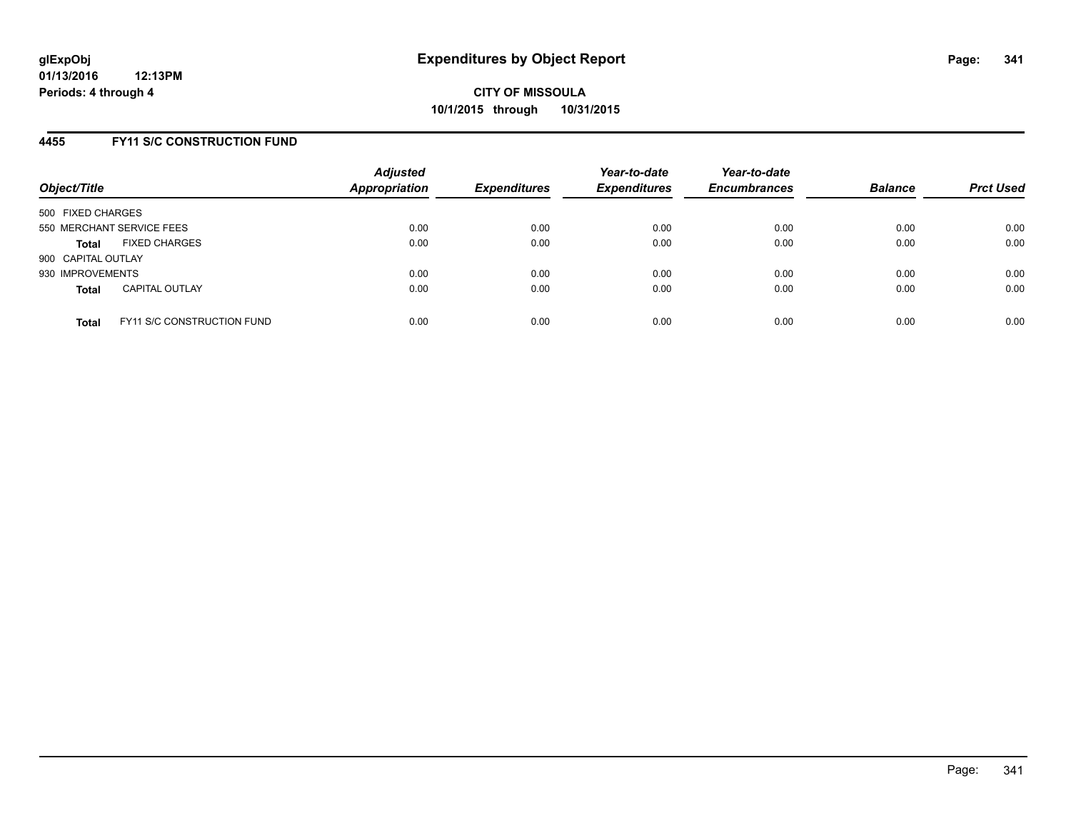### **4455 FY11 S/C CONSTRUCTION FUND**

| Object/Title       |                                   | <b>Adjusted</b><br><b>Appropriation</b> | <b>Expenditures</b> | Year-to-date<br><b>Expenditures</b> | Year-to-date<br><b>Encumbrances</b> | <b>Balance</b> | <b>Prct Used</b> |
|--------------------|-----------------------------------|-----------------------------------------|---------------------|-------------------------------------|-------------------------------------|----------------|------------------|
| 500 FIXED CHARGES  |                                   |                                         |                     |                                     |                                     |                |                  |
|                    | 550 MERCHANT SERVICE FEES         | 0.00                                    | 0.00                | 0.00                                | 0.00                                | 0.00           | 0.00             |
| <b>Total</b>       | <b>FIXED CHARGES</b>              | 0.00                                    | 0.00                | 0.00                                | 0.00                                | 0.00           | 0.00             |
| 900 CAPITAL OUTLAY |                                   |                                         |                     |                                     |                                     |                |                  |
| 930 IMPROVEMENTS   |                                   | 0.00                                    | 0.00                | 0.00                                | 0.00                                | 0.00           | 0.00             |
| <b>Total</b>       | <b>CAPITAL OUTLAY</b>             | 0.00                                    | 0.00                | 0.00                                | 0.00                                | 0.00           | 0.00             |
| <b>Total</b>       | <b>FY11 S/C CONSTRUCTION FUND</b> | 0.00                                    | 0.00                | 0.00                                | 0.00                                | 0.00           | 0.00             |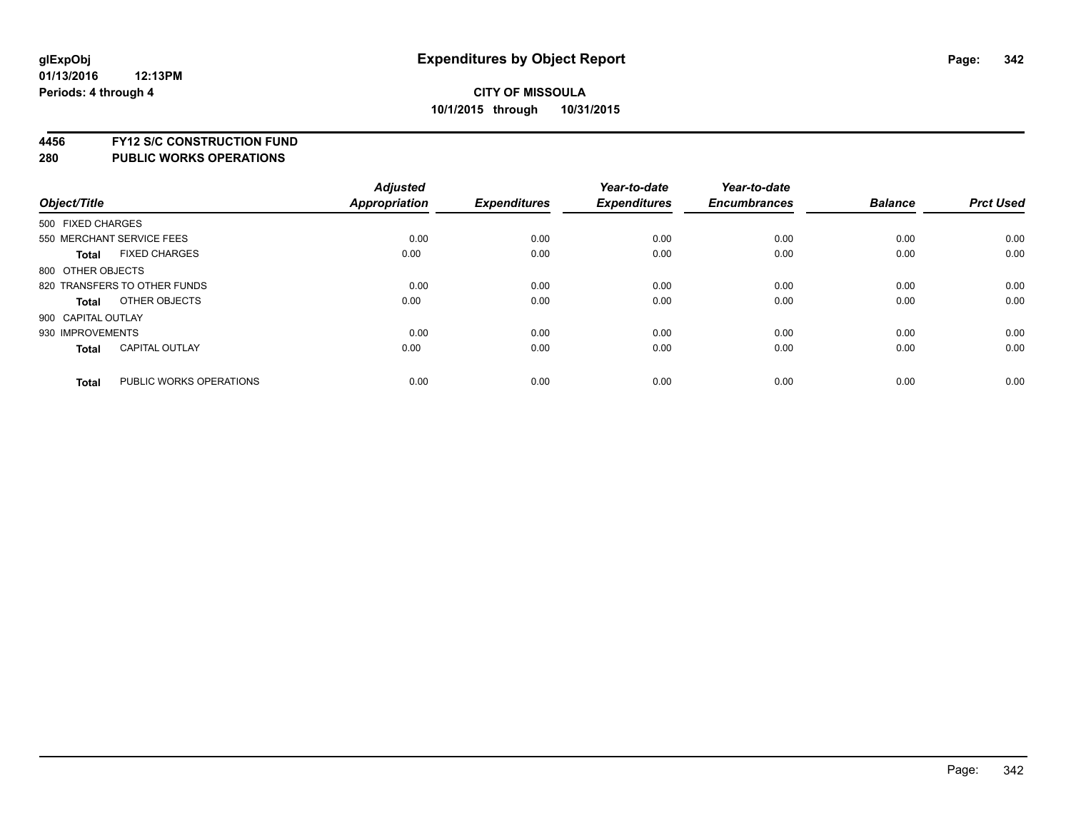**4456 FY12 S/C CONSTRUCTION FUND**

|                    |                              | <b>Adjusted</b> |                     | Year-to-date        | Year-to-date        |                |                  |
|--------------------|------------------------------|-----------------|---------------------|---------------------|---------------------|----------------|------------------|
| Object/Title       |                              | Appropriation   | <b>Expenditures</b> | <b>Expenditures</b> | <b>Encumbrances</b> | <b>Balance</b> | <b>Prct Used</b> |
| 500 FIXED CHARGES  |                              |                 |                     |                     |                     |                |                  |
|                    | 550 MERCHANT SERVICE FEES    | 0.00            | 0.00                | 0.00                | 0.00                | 0.00           | 0.00             |
| <b>Total</b>       | <b>FIXED CHARGES</b>         | 0.00            | 0.00                | 0.00                | 0.00                | 0.00           | 0.00             |
| 800 OTHER OBJECTS  |                              |                 |                     |                     |                     |                |                  |
|                    | 820 TRANSFERS TO OTHER FUNDS | 0.00            | 0.00                | 0.00                | 0.00                | 0.00           | 0.00             |
| Total              | OTHER OBJECTS                | 0.00            | 0.00                | 0.00                | 0.00                | 0.00           | 0.00             |
| 900 CAPITAL OUTLAY |                              |                 |                     |                     |                     |                |                  |
| 930 IMPROVEMENTS   |                              | 0.00            | 0.00                | 0.00                | 0.00                | 0.00           | 0.00             |
| Total              | <b>CAPITAL OUTLAY</b>        | 0.00            | 0.00                | 0.00                | 0.00                | 0.00           | 0.00             |
| <b>Total</b>       | PUBLIC WORKS OPERATIONS      | 0.00            | 0.00                | 0.00                | 0.00                | 0.00           | 0.00             |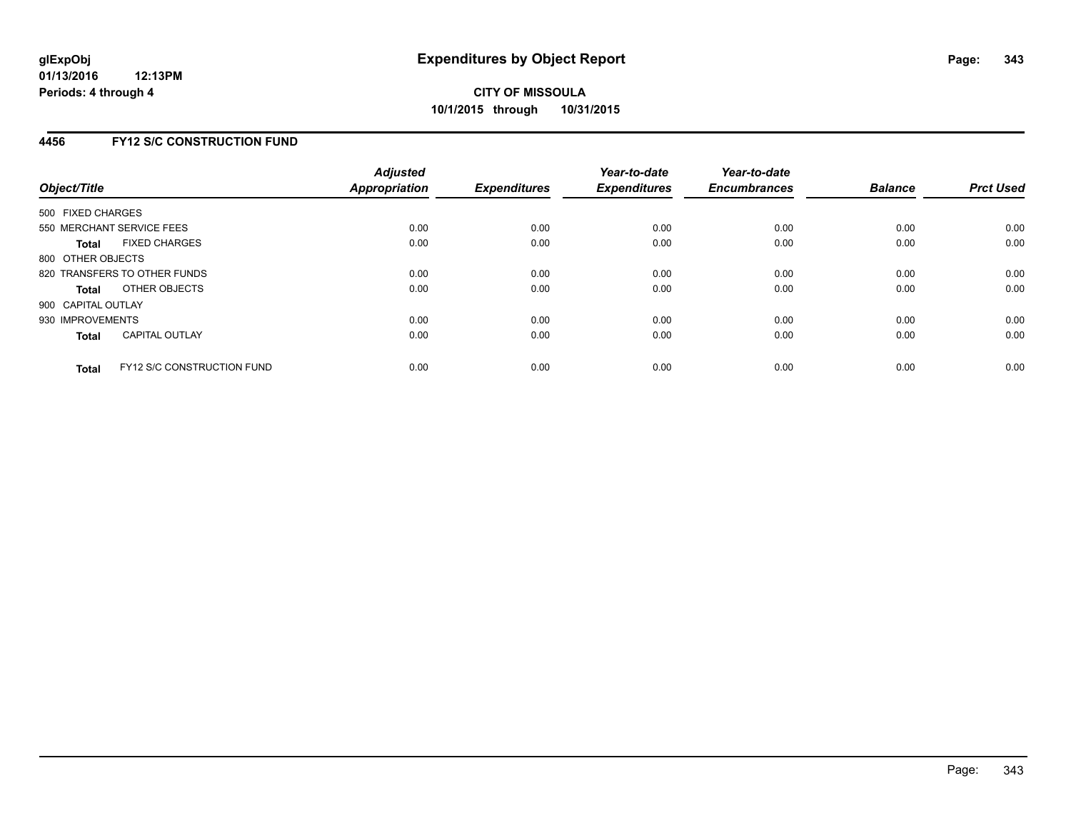## **4456 FY12 S/C CONSTRUCTION FUND**

| Object/Title       |                                   | <b>Adjusted</b><br><b>Appropriation</b> | <b>Expenditures</b> | Year-to-date<br><b>Expenditures</b> | Year-to-date<br><b>Encumbrances</b> | <b>Balance</b> | <b>Prct Used</b> |
|--------------------|-----------------------------------|-----------------------------------------|---------------------|-------------------------------------|-------------------------------------|----------------|------------------|
| 500 FIXED CHARGES  |                                   |                                         |                     |                                     |                                     |                |                  |
|                    | 550 MERCHANT SERVICE FEES         | 0.00                                    | 0.00                | 0.00                                | 0.00                                | 0.00           | 0.00             |
| <b>Total</b>       | <b>FIXED CHARGES</b>              | 0.00                                    | 0.00                | 0.00                                | 0.00                                | 0.00           | 0.00             |
| 800 OTHER OBJECTS  |                                   |                                         |                     |                                     |                                     |                |                  |
|                    | 820 TRANSFERS TO OTHER FUNDS      | 0.00                                    | 0.00                | 0.00                                | 0.00                                | 0.00           | 0.00             |
| <b>Total</b>       | OTHER OBJECTS                     | 0.00                                    | 0.00                | 0.00                                | 0.00                                | 0.00           | 0.00             |
| 900 CAPITAL OUTLAY |                                   |                                         |                     |                                     |                                     |                |                  |
| 930 IMPROVEMENTS   |                                   | 0.00                                    | 0.00                | 0.00                                | 0.00                                | 0.00           | 0.00             |
| Total              | <b>CAPITAL OUTLAY</b>             | 0.00                                    | 0.00                | 0.00                                | 0.00                                | 0.00           | 0.00             |
| <b>Total</b>       | <b>FY12 S/C CONSTRUCTION FUND</b> | 0.00                                    | 0.00                | 0.00                                | 0.00                                | 0.00           | 0.00             |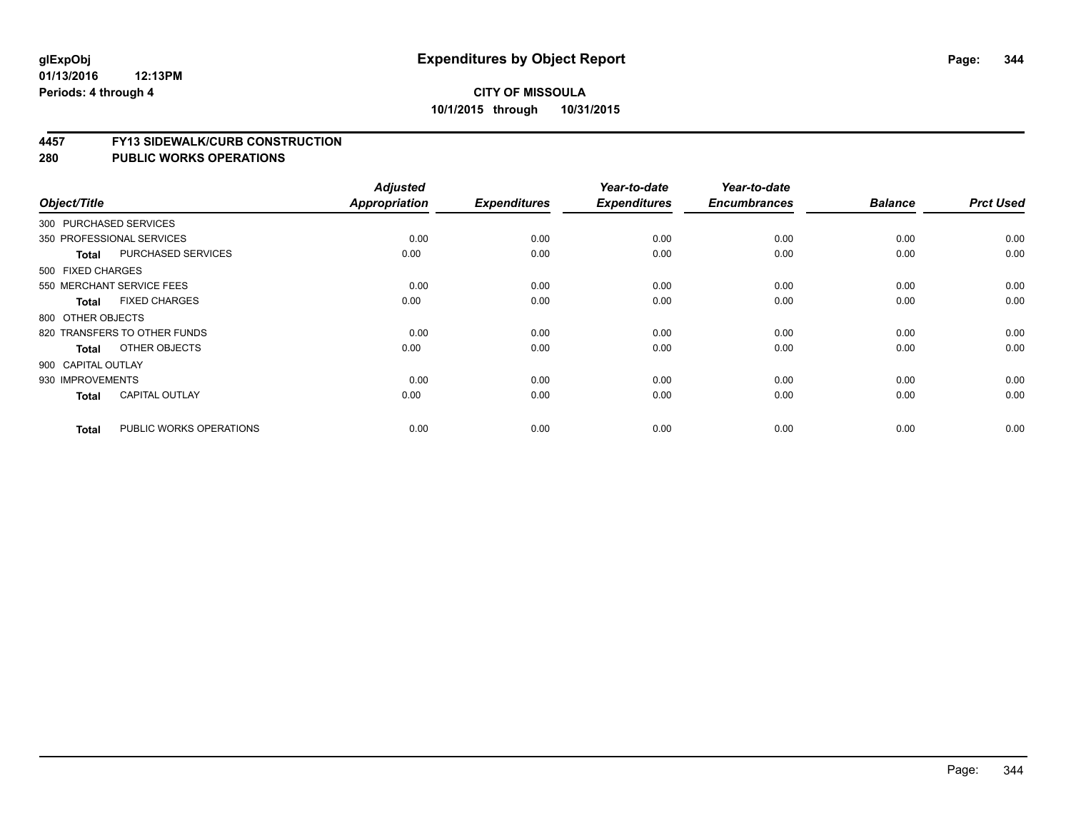#### **01/13/2016 12:13PM Periods: 4 through 4**

## **CITY OF MISSOULA 10/1/2015 through 10/31/2015**

#### **4457 FY13 SIDEWALK/CURB CONSTRUCTION**

|                    |                              | <b>Adjusted</b> |                     | Year-to-date        | Year-to-date        |                |                  |
|--------------------|------------------------------|-----------------|---------------------|---------------------|---------------------|----------------|------------------|
| Object/Title       |                              | Appropriation   | <b>Expenditures</b> | <b>Expenditures</b> | <b>Encumbrances</b> | <b>Balance</b> | <b>Prct Used</b> |
|                    | 300 PURCHASED SERVICES       |                 |                     |                     |                     |                |                  |
|                    | 350 PROFESSIONAL SERVICES    | 0.00            | 0.00                | 0.00                | 0.00                | 0.00           | 0.00             |
| <b>Total</b>       | PURCHASED SERVICES           | 0.00            | 0.00                | 0.00                | 0.00                | 0.00           | 0.00             |
| 500 FIXED CHARGES  |                              |                 |                     |                     |                     |                |                  |
|                    | 550 MERCHANT SERVICE FEES    | 0.00            | 0.00                | 0.00                | 0.00                | 0.00           | 0.00             |
| <b>Total</b>       | <b>FIXED CHARGES</b>         | 0.00            | 0.00                | 0.00                | 0.00                | 0.00           | 0.00             |
| 800 OTHER OBJECTS  |                              |                 |                     |                     |                     |                |                  |
|                    | 820 TRANSFERS TO OTHER FUNDS | 0.00            | 0.00                | 0.00                | 0.00                | 0.00           | 0.00             |
| <b>Total</b>       | OTHER OBJECTS                | 0.00            | 0.00                | 0.00                | 0.00                | 0.00           | 0.00             |
| 900 CAPITAL OUTLAY |                              |                 |                     |                     |                     |                |                  |
| 930 IMPROVEMENTS   |                              | 0.00            | 0.00                | 0.00                | 0.00                | 0.00           | 0.00             |
| <b>Total</b>       | <b>CAPITAL OUTLAY</b>        | 0.00            | 0.00                | 0.00                | 0.00                | 0.00           | 0.00             |
| <b>Total</b>       | PUBLIC WORKS OPERATIONS      | 0.00            | 0.00                | 0.00                | 0.00                | 0.00           | 0.00             |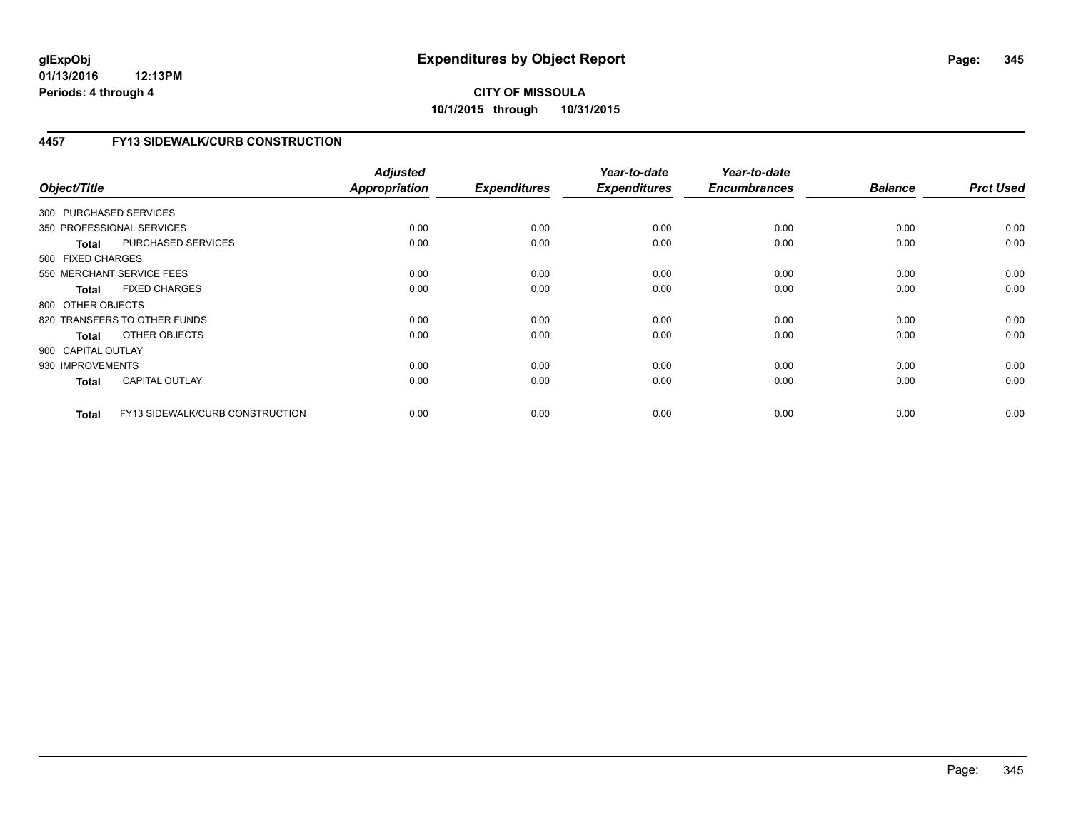# **4457 FY13 SIDEWALK/CURB CONSTRUCTION**

| Object/Title              |                                 | <b>Adjusted</b><br><b>Appropriation</b> | <b>Expenditures</b> | Year-to-date<br><b>Expenditures</b> | Year-to-date<br><b>Encumbrances</b> | <b>Balance</b> | <b>Prct Used</b> |
|---------------------------|---------------------------------|-----------------------------------------|---------------------|-------------------------------------|-------------------------------------|----------------|------------------|
| 300 PURCHASED SERVICES    |                                 |                                         |                     |                                     |                                     |                |                  |
| 350 PROFESSIONAL SERVICES |                                 | 0.00                                    | 0.00                | 0.00                                | 0.00                                | 0.00           | 0.00             |
| <b>Total</b>              | PURCHASED SERVICES              | 0.00                                    | 0.00                | 0.00                                | 0.00                                | 0.00           | 0.00             |
| 500 FIXED CHARGES         |                                 |                                         |                     |                                     |                                     |                |                  |
| 550 MERCHANT SERVICE FEES |                                 | 0.00                                    | 0.00                | 0.00                                | 0.00                                | 0.00           | 0.00             |
| <b>Total</b>              | <b>FIXED CHARGES</b>            | 0.00                                    | 0.00                | 0.00                                | 0.00                                | 0.00           | 0.00             |
| 800 OTHER OBJECTS         |                                 |                                         |                     |                                     |                                     |                |                  |
|                           | 820 TRANSFERS TO OTHER FUNDS    | 0.00                                    | 0.00                | 0.00                                | 0.00                                | 0.00           | 0.00             |
| Total                     | OTHER OBJECTS                   | 0.00                                    | 0.00                | 0.00                                | 0.00                                | 0.00           | 0.00             |
| 900 CAPITAL OUTLAY        |                                 |                                         |                     |                                     |                                     |                |                  |
| 930 IMPROVEMENTS          |                                 | 0.00                                    | 0.00                | 0.00                                | 0.00                                | 0.00           | 0.00             |
| <b>Total</b>              | <b>CAPITAL OUTLAY</b>           | 0.00                                    | 0.00                | 0.00                                | 0.00                                | 0.00           | 0.00             |
| <b>Total</b>              | FY13 SIDEWALK/CURB CONSTRUCTION | 0.00                                    | 0.00                | 0.00                                | 0.00                                | 0.00           | 0.00             |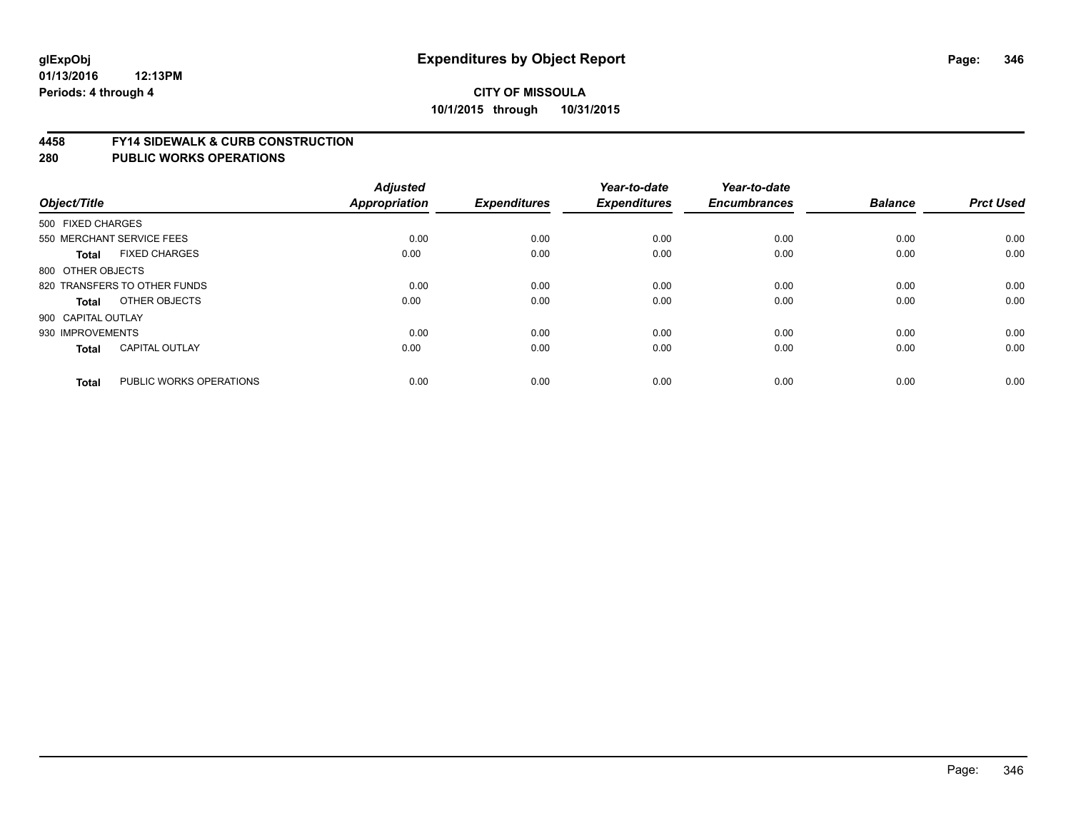#### **4458 FY14 SIDEWALK & CURB CONSTRUCTION**

| Object/Title              |                              | <b>Adjusted</b><br>Appropriation | <b>Expenditures</b> | Year-to-date<br><b>Expenditures</b> | Year-to-date<br><b>Encumbrances</b> | <b>Balance</b> | <b>Prct Used</b> |
|---------------------------|------------------------------|----------------------------------|---------------------|-------------------------------------|-------------------------------------|----------------|------------------|
| 500 FIXED CHARGES         |                              |                                  |                     |                                     |                                     |                |                  |
| 550 MERCHANT SERVICE FEES |                              | 0.00                             | 0.00                | 0.00                                | 0.00                                | 0.00           | 0.00             |
| <b>Total</b>              | <b>FIXED CHARGES</b>         | 0.00                             | 0.00                | 0.00                                | 0.00                                | 0.00           | 0.00             |
| 800 OTHER OBJECTS         |                              |                                  |                     |                                     |                                     |                |                  |
|                           | 820 TRANSFERS TO OTHER FUNDS | 0.00                             | 0.00                | 0.00                                | 0.00                                | 0.00           | 0.00             |
| Total                     | OTHER OBJECTS                | 0.00                             | 0.00                | 0.00                                | 0.00                                | 0.00           | 0.00             |
| 900 CAPITAL OUTLAY        |                              |                                  |                     |                                     |                                     |                |                  |
| 930 IMPROVEMENTS          |                              | 0.00                             | 0.00                | 0.00                                | 0.00                                | 0.00           | 0.00             |
| Total                     | <b>CAPITAL OUTLAY</b>        | 0.00                             | 0.00                | 0.00                                | 0.00                                | 0.00           | 0.00             |
|                           |                              |                                  |                     |                                     |                                     |                |                  |
| <b>Total</b>              | PUBLIC WORKS OPERATIONS      | 0.00                             | 0.00                | 0.00                                | 0.00                                | 0.00           | 0.00             |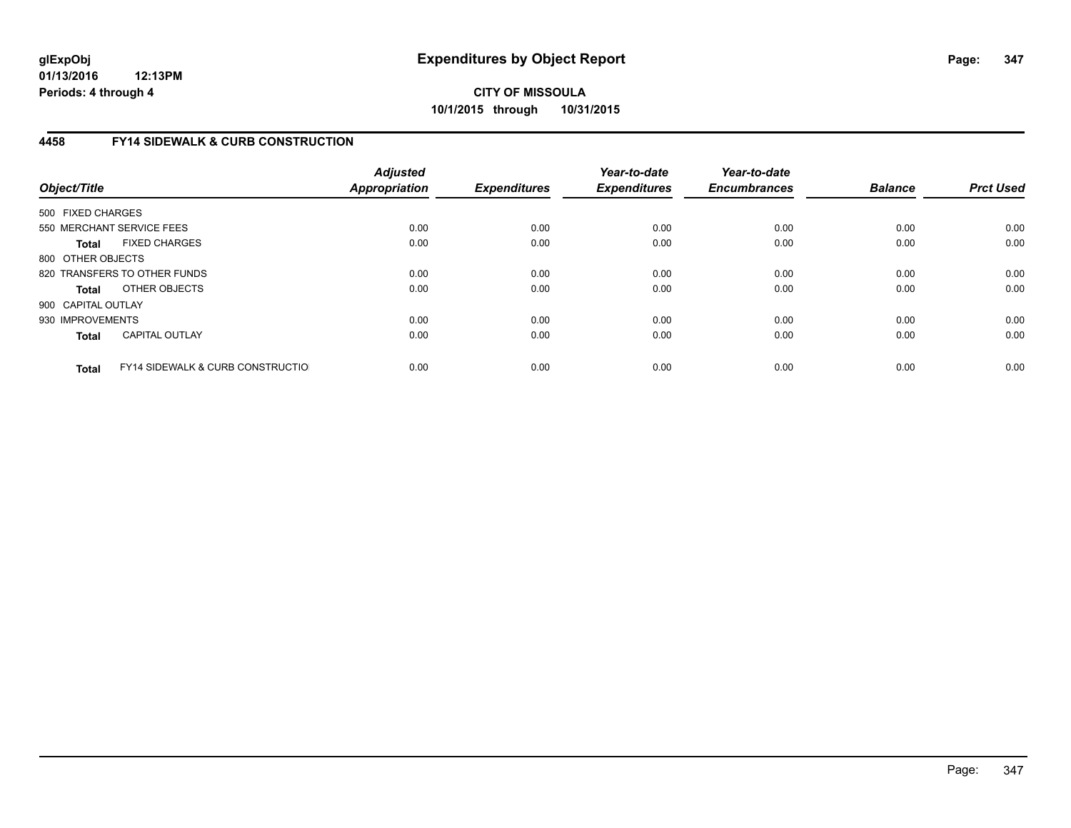# **4458 FY14 SIDEWALK & CURB CONSTRUCTION**

| Object/Title       |                                              | <b>Adjusted</b><br>Appropriation | <b>Expenditures</b> | Year-to-date<br><b>Expenditures</b> | Year-to-date<br><b>Encumbrances</b> | <b>Balance</b> | <b>Prct Used</b> |
|--------------------|----------------------------------------------|----------------------------------|---------------------|-------------------------------------|-------------------------------------|----------------|------------------|
| 500 FIXED CHARGES  |                                              |                                  |                     |                                     |                                     |                |                  |
|                    | 550 MERCHANT SERVICE FEES                    | 0.00                             | 0.00                | 0.00                                | 0.00                                | 0.00           | 0.00             |
| <b>Total</b>       | <b>FIXED CHARGES</b>                         | 0.00                             | 0.00                | 0.00                                | 0.00                                | 0.00           | 0.00             |
| 800 OTHER OBJECTS  |                                              |                                  |                     |                                     |                                     |                |                  |
|                    | 820 TRANSFERS TO OTHER FUNDS                 | 0.00                             | 0.00                | 0.00                                | 0.00                                | 0.00           | 0.00             |
| <b>Total</b>       | OTHER OBJECTS                                | 0.00                             | 0.00                | 0.00                                | 0.00                                | 0.00           | 0.00             |
| 900 CAPITAL OUTLAY |                                              |                                  |                     |                                     |                                     |                |                  |
| 930 IMPROVEMENTS   |                                              | 0.00                             | 0.00                | 0.00                                | 0.00                                | 0.00           | 0.00             |
| Total              | <b>CAPITAL OUTLAY</b>                        | 0.00                             | 0.00                | 0.00                                | 0.00                                | 0.00           | 0.00             |
| <b>Total</b>       | <b>FY14 SIDEWALK &amp; CURB CONSTRUCTIOL</b> | 0.00                             | 0.00                | 0.00                                | 0.00                                | 0.00           | 0.00             |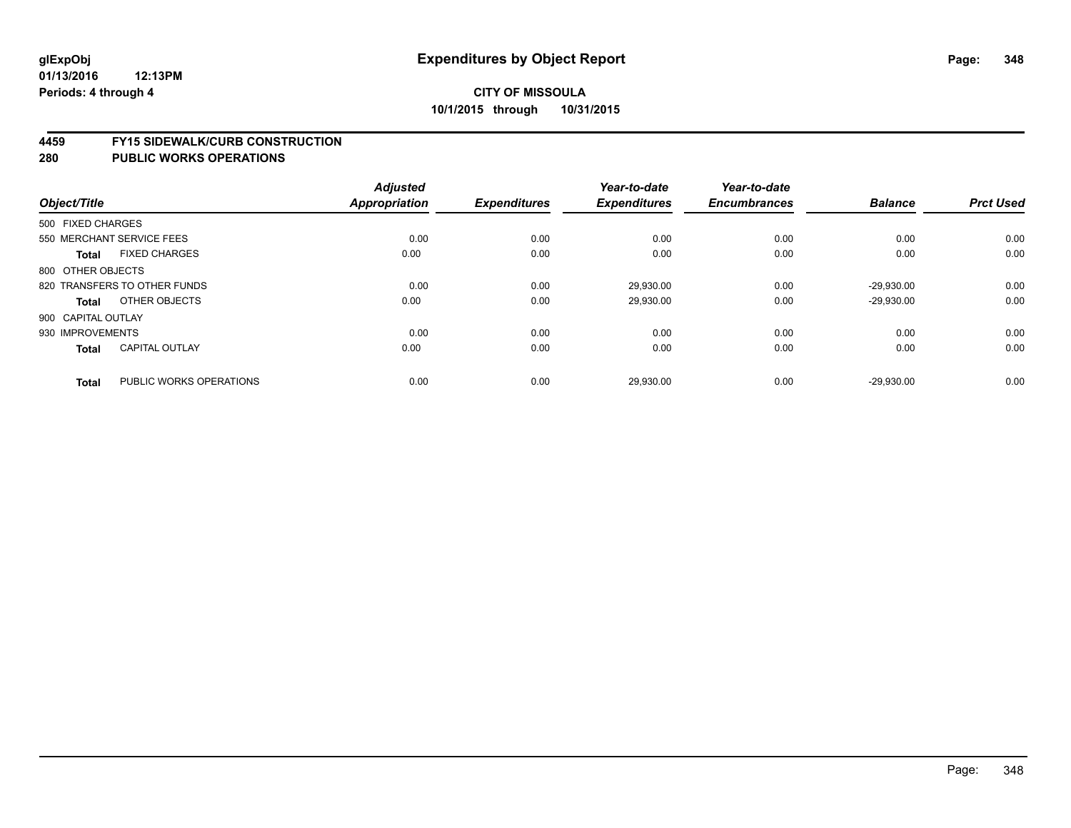#### **4459 FY15 SIDEWALK/CURB CONSTRUCTION**

|              |                                         | <b>Adjusted</b> |                     | Year-to-date        | Year-to-date        |                |                  |
|--------------|-----------------------------------------|-----------------|---------------------|---------------------|---------------------|----------------|------------------|
| Object/Title |                                         | Appropriation   | <b>Expenditures</b> | <b>Expenditures</b> | <b>Encumbrances</b> | <b>Balance</b> | <b>Prct Used</b> |
|              | 500 FIXED CHARGES                       |                 |                     |                     |                     |                |                  |
|              | 550 MERCHANT SERVICE FEES               | 0.00            | 0.00                | 0.00                | 0.00                | 0.00           | 0.00             |
|              | <b>FIXED CHARGES</b><br><b>Total</b>    | 0.00            | 0.00                | 0.00                | 0.00                | 0.00           | 0.00             |
|              | 800 OTHER OBJECTS                       |                 |                     |                     |                     |                |                  |
|              | 820 TRANSFERS TO OTHER FUNDS            | 0.00            | 0.00                | 29,930.00           | 0.00                | $-29,930.00$   | 0.00             |
|              | OTHER OBJECTS<br>Total                  | 0.00            | 0.00                | 29,930.00           | 0.00                | $-29,930.00$   | 0.00             |
|              | 900 CAPITAL OUTLAY                      |                 |                     |                     |                     |                |                  |
|              | 930 IMPROVEMENTS                        | 0.00            | 0.00                | 0.00                | 0.00                | 0.00           | 0.00             |
|              | <b>CAPITAL OUTLAY</b><br>Total          | 0.00            | 0.00                | 0.00                | 0.00                | 0.00           | 0.00             |
|              | PUBLIC WORKS OPERATIONS<br><b>Total</b> | 0.00            | 0.00                | 29,930.00           | 0.00                | $-29.930.00$   | 0.00             |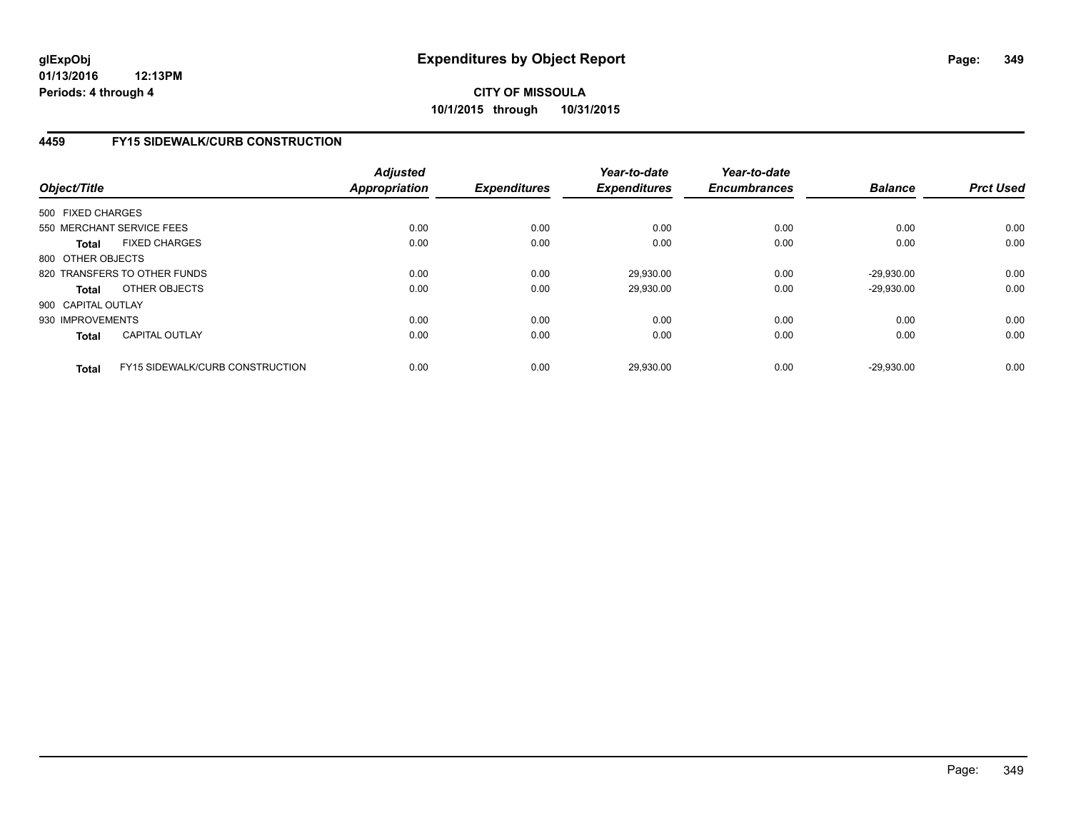## **4459 FY15 SIDEWALK/CURB CONSTRUCTION**

| Object/Title       |                                        | <b>Adjusted</b><br><b>Appropriation</b> | <b>Expenditures</b> | Year-to-date<br><b>Expenditures</b> | Year-to-date<br><b>Encumbrances</b> | <b>Balance</b> | <b>Prct Used</b> |
|--------------------|----------------------------------------|-----------------------------------------|---------------------|-------------------------------------|-------------------------------------|----------------|------------------|
| 500 FIXED CHARGES  |                                        |                                         |                     |                                     |                                     |                |                  |
|                    | 550 MERCHANT SERVICE FEES              | 0.00                                    | 0.00                | 0.00                                | 0.00                                | 0.00           | 0.00             |
| Total              | <b>FIXED CHARGES</b>                   | 0.00                                    | 0.00                | 0.00                                | 0.00                                | 0.00           | 0.00             |
| 800 OTHER OBJECTS  |                                        |                                         |                     |                                     |                                     |                |                  |
|                    | 820 TRANSFERS TO OTHER FUNDS           | 0.00                                    | 0.00                | 29.930.00                           | 0.00                                | $-29.930.00$   | 0.00             |
| Total              | OTHER OBJECTS                          | 0.00                                    | 0.00                | 29.930.00                           | 0.00                                | $-29.930.00$   | 0.00             |
| 900 CAPITAL OUTLAY |                                        |                                         |                     |                                     |                                     |                |                  |
| 930 IMPROVEMENTS   |                                        | 0.00                                    | 0.00                | 0.00                                | 0.00                                | 0.00           | 0.00             |
| <b>Total</b>       | <b>CAPITAL OUTLAY</b>                  | 0.00                                    | 0.00                | 0.00                                | 0.00                                | 0.00           | 0.00             |
| <b>Total</b>       | <b>FY15 SIDEWALK/CURB CONSTRUCTION</b> | 0.00                                    | 0.00                | 29.930.00                           | 0.00                                | $-29.930.00$   | 0.00             |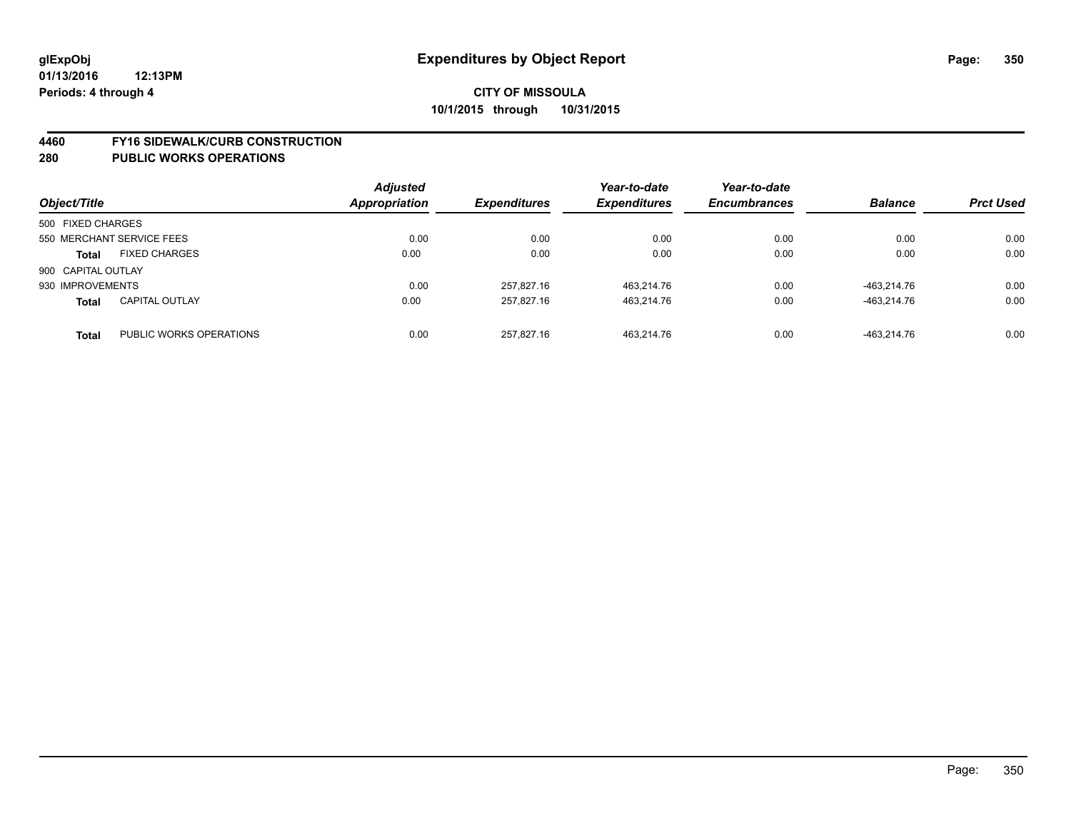#### **4460 FY16 SIDEWALK/CURB CONSTRUCTION**

| Object/Title       |                           | <b>Adjusted</b><br>Appropriation | <b>Expenditures</b> | Year-to-date<br><b>Expenditures</b> | Year-to-date<br><b>Encumbrances</b> | <b>Balance</b> | <b>Prct Used</b> |
|--------------------|---------------------------|----------------------------------|---------------------|-------------------------------------|-------------------------------------|----------------|------------------|
| 500 FIXED CHARGES  |                           |                                  |                     |                                     |                                     |                |                  |
|                    | 550 MERCHANT SERVICE FEES | 0.00                             | 0.00                | 0.00                                | 0.00                                | 0.00           | 0.00             |
| <b>Total</b>       | <b>FIXED CHARGES</b>      | 0.00                             | 0.00                | 0.00                                | 0.00                                | 0.00           | 0.00             |
| 900 CAPITAL OUTLAY |                           |                                  |                     |                                     |                                     |                |                  |
| 930 IMPROVEMENTS   |                           | 0.00                             | 257.827.16          | 463.214.76                          | 0.00                                | -463.214.76    | 0.00             |
| <b>Total</b>       | <b>CAPITAL OUTLAY</b>     | 0.00                             | 257.827.16          | 463,214.76                          | 0.00                                | -463.214.76    | 0.00             |
| <b>Total</b>       | PUBLIC WORKS OPERATIONS   | 0.00                             | 257.827.16          | 463.214.76                          | 0.00                                | -463.214.76    | 0.00             |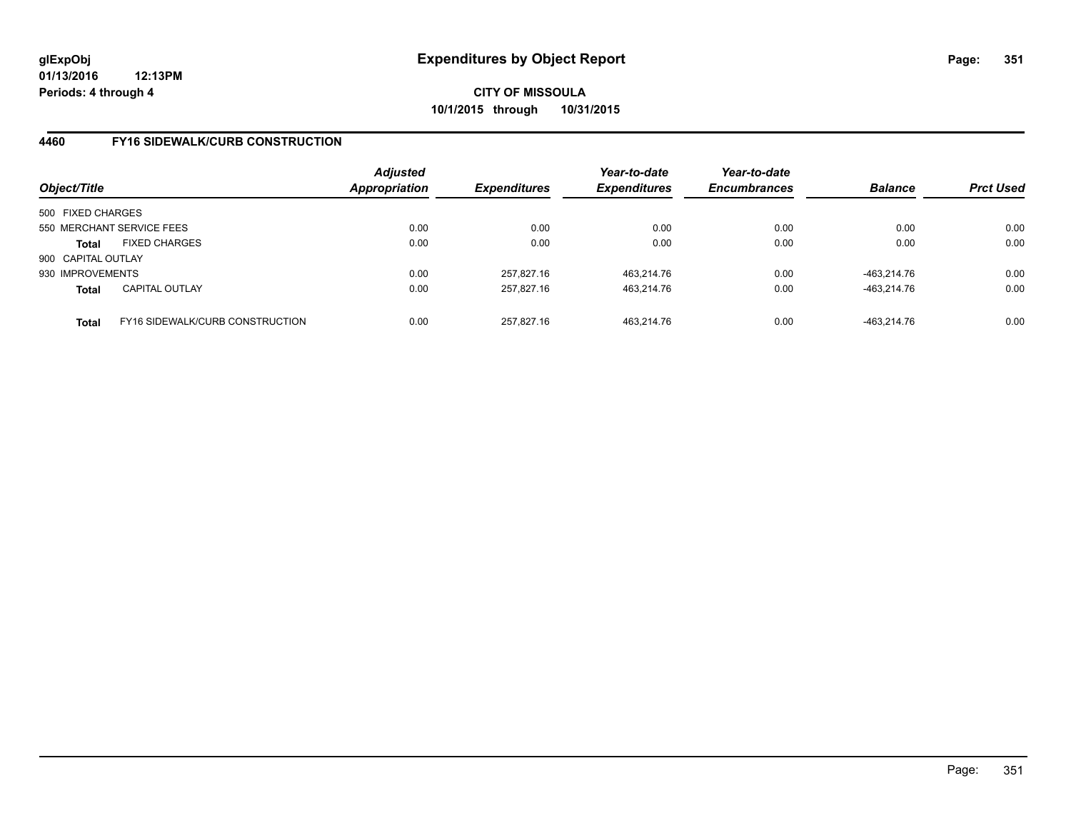## **4460 FY16 SIDEWALK/CURB CONSTRUCTION**

| Object/Title       |                                        | <b>Adjusted</b><br>Appropriation | <b>Expenditures</b> | Year-to-date<br><b>Expenditures</b> | Year-to-date<br><b>Encumbrances</b> | <b>Balance</b> | <b>Prct Used</b> |
|--------------------|----------------------------------------|----------------------------------|---------------------|-------------------------------------|-------------------------------------|----------------|------------------|
| 500 FIXED CHARGES  |                                        |                                  |                     |                                     |                                     |                |                  |
|                    | 550 MERCHANT SERVICE FEES              | 0.00                             | 0.00                | 0.00                                | 0.00                                | 0.00           | 0.00             |
| Total              | <b>FIXED CHARGES</b>                   | 0.00                             | 0.00                | 0.00                                | 0.00                                | 0.00           | 0.00             |
| 900 CAPITAL OUTLAY |                                        |                                  |                     |                                     |                                     |                |                  |
| 930 IMPROVEMENTS   |                                        | 0.00                             | 257.827.16          | 463.214.76                          | 0.00                                | -463.214.76    | 0.00             |
| <b>Total</b>       | <b>CAPITAL OUTLAY</b>                  | 0.00                             | 257.827.16          | 463,214.76                          | 0.00                                | -463,214.76    | 0.00             |
| <b>Total</b>       | <b>FY16 SIDEWALK/CURB CONSTRUCTION</b> | 0.00                             | 257.827.16          | 463.214.76                          | 0.00                                | -463.214.76    | 0.00             |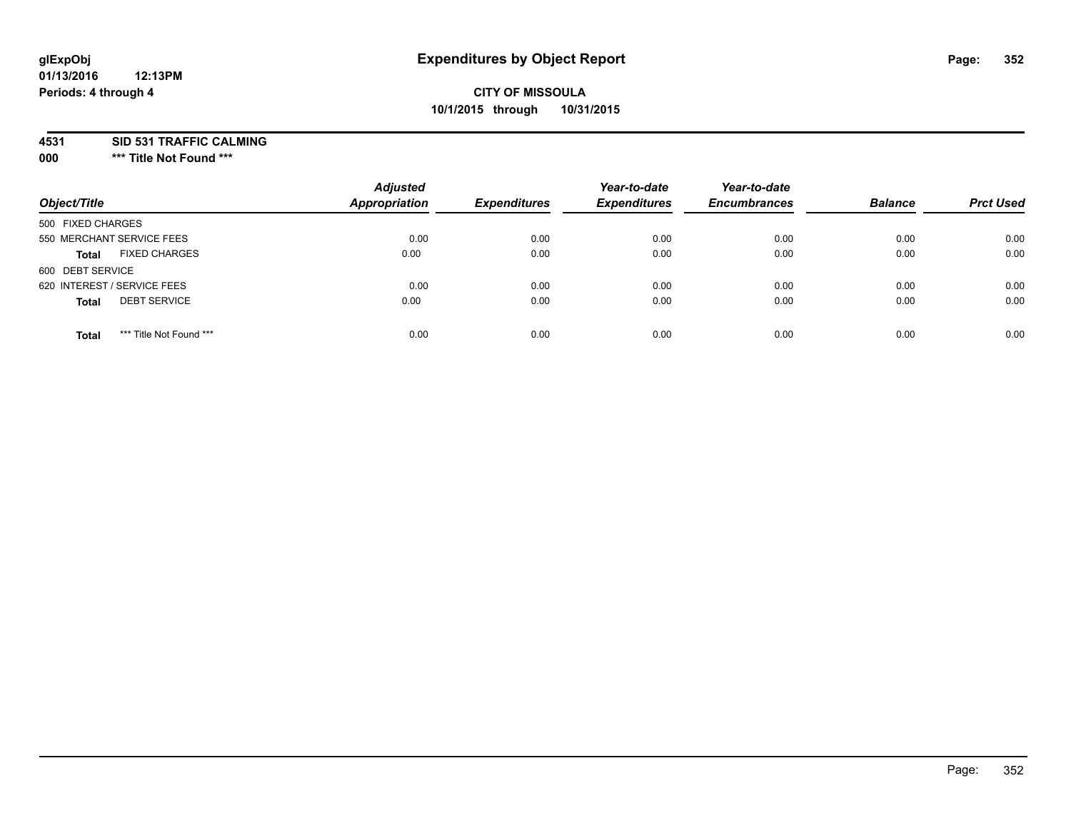#### **01/13/2016 12:13PM Periods: 4 through 4**

## **CITY OF MISSOULA 10/1/2015 through 10/31/2015**

**4531 SID 531 TRAFFIC CALMING**

**000 \*\*\* Title Not Found \*\*\***

| Object/Title                            | <b>Adjusted</b><br><b>Appropriation</b> | <b>Expenditures</b> | Year-to-date<br><b>Expenditures</b> | Year-to-date<br><b>Encumbrances</b> | <b>Balance</b> | <b>Prct Used</b> |
|-----------------------------------------|-----------------------------------------|---------------------|-------------------------------------|-------------------------------------|----------------|------------------|
| 500 FIXED CHARGES                       |                                         |                     |                                     |                                     |                |                  |
| 550 MERCHANT SERVICE FEES               | 0.00                                    | 0.00                | 0.00                                | 0.00                                | 0.00           | 0.00             |
| <b>FIXED CHARGES</b><br><b>Total</b>    | 0.00                                    | 0.00                | 0.00                                | 0.00                                | 0.00           | 0.00             |
| 600 DEBT SERVICE                        |                                         |                     |                                     |                                     |                |                  |
| 620 INTEREST / SERVICE FEES             | 0.00                                    | 0.00                | 0.00                                | 0.00                                | 0.00           | 0.00             |
| <b>DEBT SERVICE</b><br><b>Total</b>     | 0.00                                    | 0.00                | 0.00                                | 0.00                                | 0.00           | 0.00             |
| *** Title Not Found ***<br><b>Total</b> | 0.00                                    | 0.00                | 0.00                                | 0.00                                | 0.00           | 0.00             |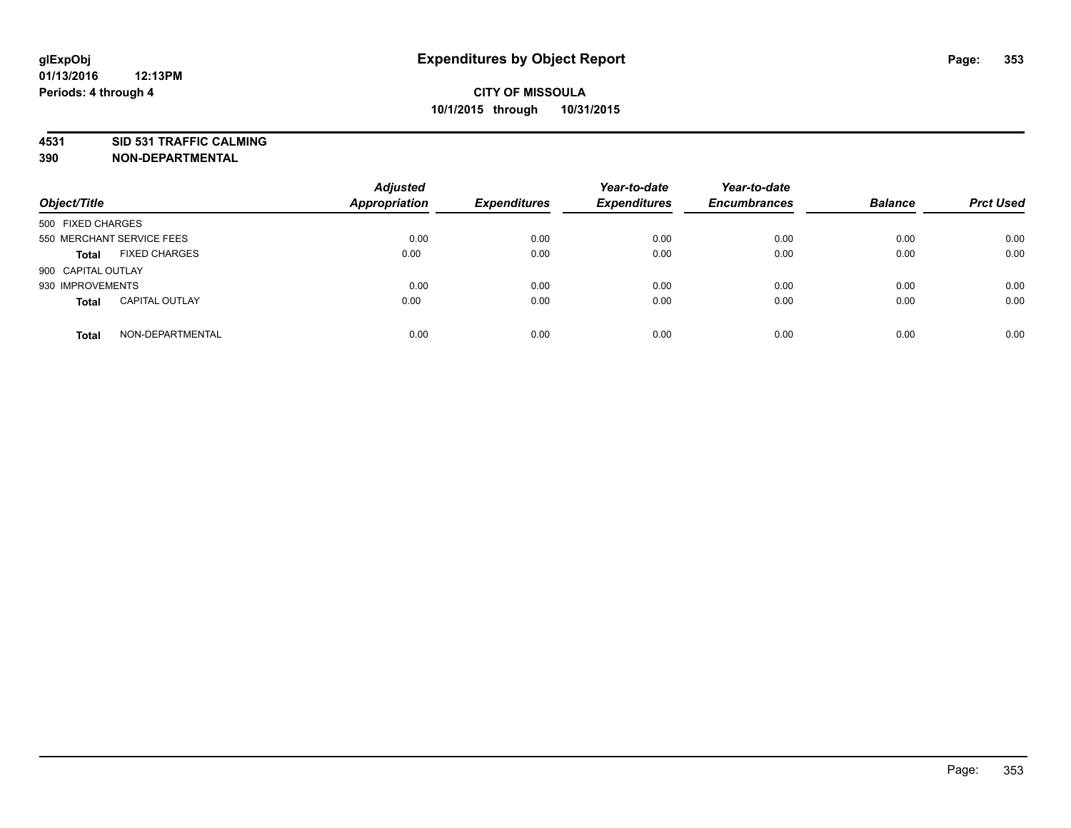**4531 SID 531 TRAFFIC CALMING**

**390 NON-DEPARTMENTAL**

| Object/Title              |                       | <b>Adjusted</b><br><b>Appropriation</b> | <b>Expenditures</b> | Year-to-date<br><b>Expenditures</b> | Year-to-date<br><b>Encumbrances</b> | <b>Balance</b> | <b>Prct Used</b> |
|---------------------------|-----------------------|-----------------------------------------|---------------------|-------------------------------------|-------------------------------------|----------------|------------------|
| 500 FIXED CHARGES         |                       |                                         |                     |                                     |                                     |                |                  |
| 550 MERCHANT SERVICE FEES |                       | 0.00                                    | 0.00                | 0.00                                | 0.00                                | 0.00           | 0.00             |
| <b>Total</b>              | <b>FIXED CHARGES</b>  | 0.00                                    | 0.00                | 0.00                                | 0.00                                | 0.00           | 0.00             |
| 900 CAPITAL OUTLAY        |                       |                                         |                     |                                     |                                     |                |                  |
| 930 IMPROVEMENTS          |                       | 0.00                                    | 0.00                | 0.00                                | 0.00                                | 0.00           | 0.00             |
| <b>Total</b>              | <b>CAPITAL OUTLAY</b> | 0.00                                    | 0.00                | 0.00                                | 0.00                                | 0.00           | 0.00             |
| <b>Total</b>              | NON-DEPARTMENTAL      | 0.00                                    | 0.00                | 0.00                                | 0.00                                | 0.00           | 0.00             |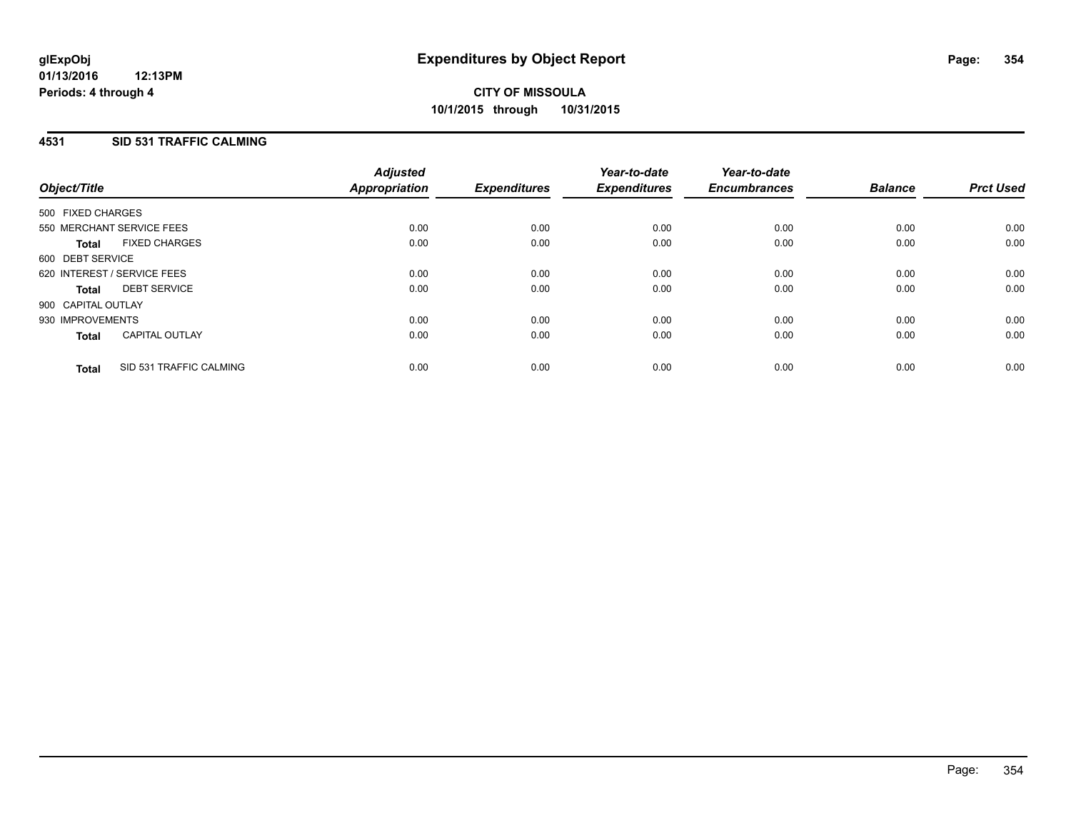## **4531 SID 531 TRAFFIC CALMING**

| Object/Title       |                             | <b>Adjusted</b><br>Appropriation | <b>Expenditures</b> | Year-to-date<br><b>Expenditures</b> | Year-to-date<br><b>Encumbrances</b> | <b>Balance</b> | <b>Prct Used</b> |
|--------------------|-----------------------------|----------------------------------|---------------------|-------------------------------------|-------------------------------------|----------------|------------------|
| 500 FIXED CHARGES  |                             |                                  |                     |                                     |                                     |                |                  |
|                    | 550 MERCHANT SERVICE FEES   | 0.00                             | 0.00                | 0.00                                | 0.00                                | 0.00           | 0.00             |
| <b>Total</b>       | <b>FIXED CHARGES</b>        | 0.00                             | 0.00                | 0.00                                | 0.00                                | 0.00           | 0.00             |
| 600 DEBT SERVICE   |                             |                                  |                     |                                     |                                     |                |                  |
|                    | 620 INTEREST / SERVICE FEES | 0.00                             | 0.00                | 0.00                                | 0.00                                | 0.00           | 0.00             |
| Total              | <b>DEBT SERVICE</b>         | 0.00                             | 0.00                | 0.00                                | 0.00                                | 0.00           | 0.00             |
| 900 CAPITAL OUTLAY |                             |                                  |                     |                                     |                                     |                |                  |
| 930 IMPROVEMENTS   |                             | 0.00                             | 0.00                | 0.00                                | 0.00                                | 0.00           | 0.00             |
| <b>Total</b>       | <b>CAPITAL OUTLAY</b>       | 0.00                             | 0.00                | 0.00                                | 0.00                                | 0.00           | 0.00             |
| <b>Total</b>       | SID 531 TRAFFIC CALMING     | 0.00                             | 0.00                | 0.00                                | 0.00                                | 0.00           | 0.00             |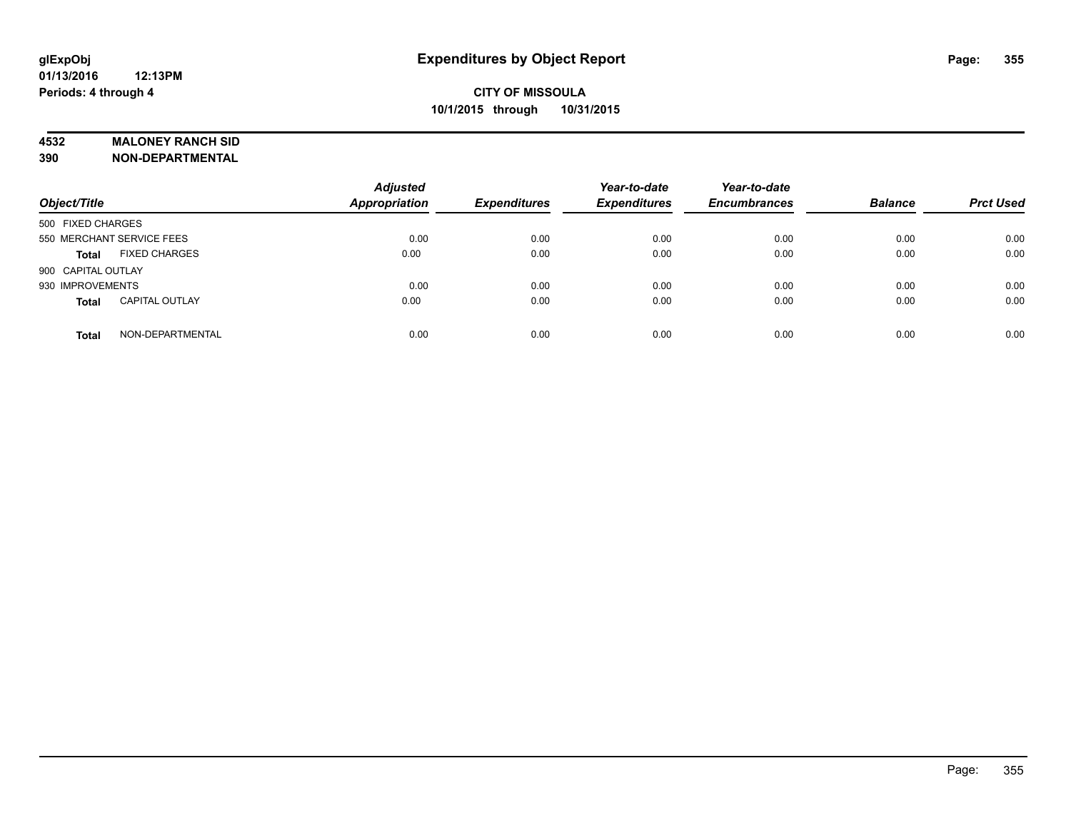### **4532 MALONEY RANCH SID**

**390 NON-DEPARTMENTAL**

| Object/Title                          | <b>Adjusted</b><br><b>Appropriation</b> | <b>Expenditures</b> | Year-to-date<br><b>Expenditures</b> | Year-to-date<br><b>Encumbrances</b> | <b>Balance</b> | <b>Prct Used</b> |
|---------------------------------------|-----------------------------------------|---------------------|-------------------------------------|-------------------------------------|----------------|------------------|
| 500 FIXED CHARGES                     |                                         |                     |                                     |                                     |                |                  |
| 550 MERCHANT SERVICE FEES             | 0.00                                    | 0.00                | 0.00                                | 0.00                                | 0.00           | 0.00             |
| <b>FIXED CHARGES</b><br><b>Total</b>  | 0.00                                    | 0.00                | 0.00                                | 0.00                                | 0.00           | 0.00             |
| 900 CAPITAL OUTLAY                    |                                         |                     |                                     |                                     |                |                  |
| 930 IMPROVEMENTS                      | 0.00                                    | 0.00                | 0.00                                | 0.00                                | 0.00           | 0.00             |
| <b>CAPITAL OUTLAY</b><br><b>Total</b> | 0.00                                    | 0.00                | 0.00                                | 0.00                                | 0.00           | 0.00             |
| NON-DEPARTMENTAL<br><b>Total</b>      | 0.00                                    | 0.00                | 0.00                                | 0.00                                | 0.00           | 0.00             |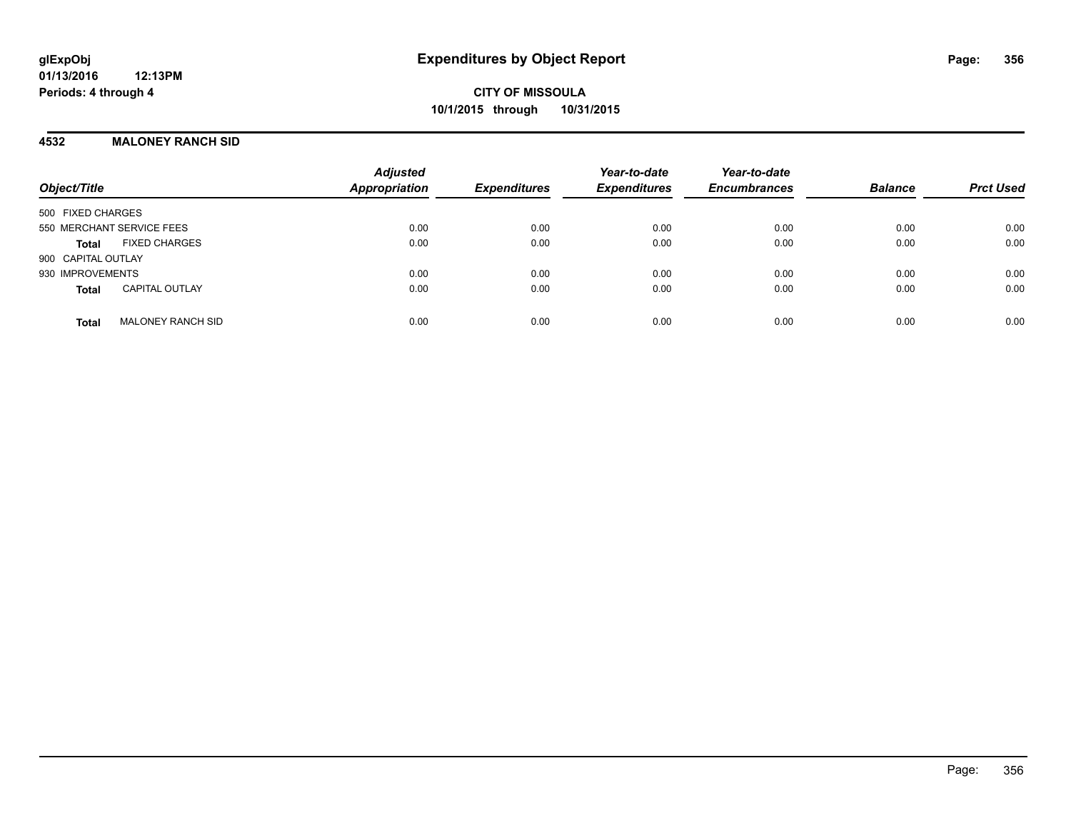### **4532 MALONEY RANCH SID**

| Object/Title                             | <b>Adjusted</b><br>Appropriation | <b>Expenditures</b> | Year-to-date<br><b>Expenditures</b> | Year-to-date<br><b>Encumbrances</b> | <b>Balance</b> | <b>Prct Used</b> |
|------------------------------------------|----------------------------------|---------------------|-------------------------------------|-------------------------------------|----------------|------------------|
| 500 FIXED CHARGES                        |                                  |                     |                                     |                                     |                |                  |
| 550 MERCHANT SERVICE FEES                | 0.00                             | 0.00                | 0.00                                | 0.00                                | 0.00           | 0.00             |
| <b>FIXED CHARGES</b><br>Total            | 0.00                             | 0.00                | 0.00                                | 0.00                                | 0.00           | 0.00             |
| 900 CAPITAL OUTLAY                       |                                  |                     |                                     |                                     |                |                  |
| 930 IMPROVEMENTS                         | 0.00                             | 0.00                | 0.00                                | 0.00                                | 0.00           | 0.00             |
| <b>CAPITAL OUTLAY</b><br><b>Total</b>    | 0.00                             | 0.00                | 0.00                                | 0.00                                | 0.00           | 0.00             |
| <b>MALONEY RANCH SID</b><br><b>Total</b> | 0.00                             | 0.00                | 0.00                                | 0.00                                | 0.00           | 0.00             |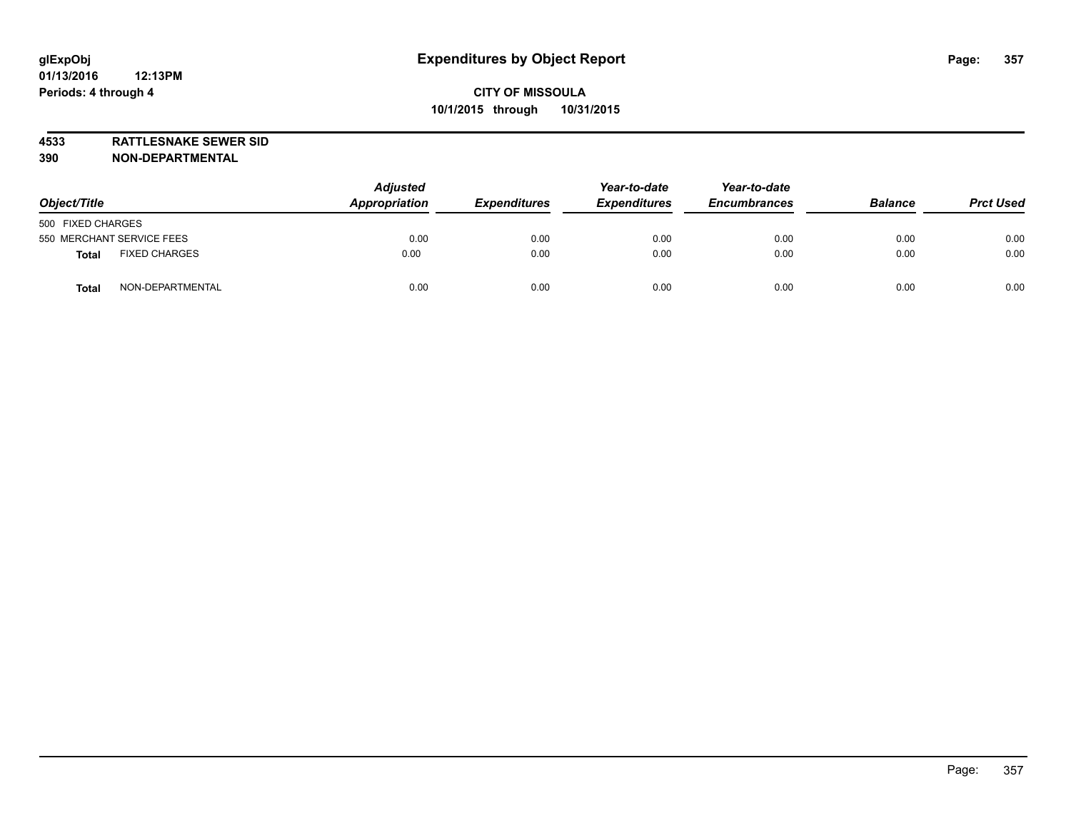**4533 RATTLESNAKE SEWER SID**

**390 NON-DEPARTMENTAL**

| Object/Title                  | <b>Adjusted</b><br>Appropriation<br><b>Expenditures</b> |      | Year-to-date<br><b>Expenditures</b> | Year-to-date<br><b>Encumbrances</b> | <b>Balance</b> | <b>Prct Used</b> |
|-------------------------------|---------------------------------------------------------|------|-------------------------------------|-------------------------------------|----------------|------------------|
| 500 FIXED CHARGES             |                                                         |      |                                     |                                     |                |                  |
| 550 MERCHANT SERVICE FEES     | 0.00                                                    | 0.00 | 0.00                                | 0.00                                | 0.00           | 0.00             |
| <b>FIXED CHARGES</b><br>Total | 0.00                                                    | 0.00 | 0.00                                | 0.00                                | 0.00           | 0.00             |
| NON-DEPARTMENTAL<br>Tota      | 0.00                                                    | 0.00 | 0.00                                | 0.00                                | 0.00           | 0.00             |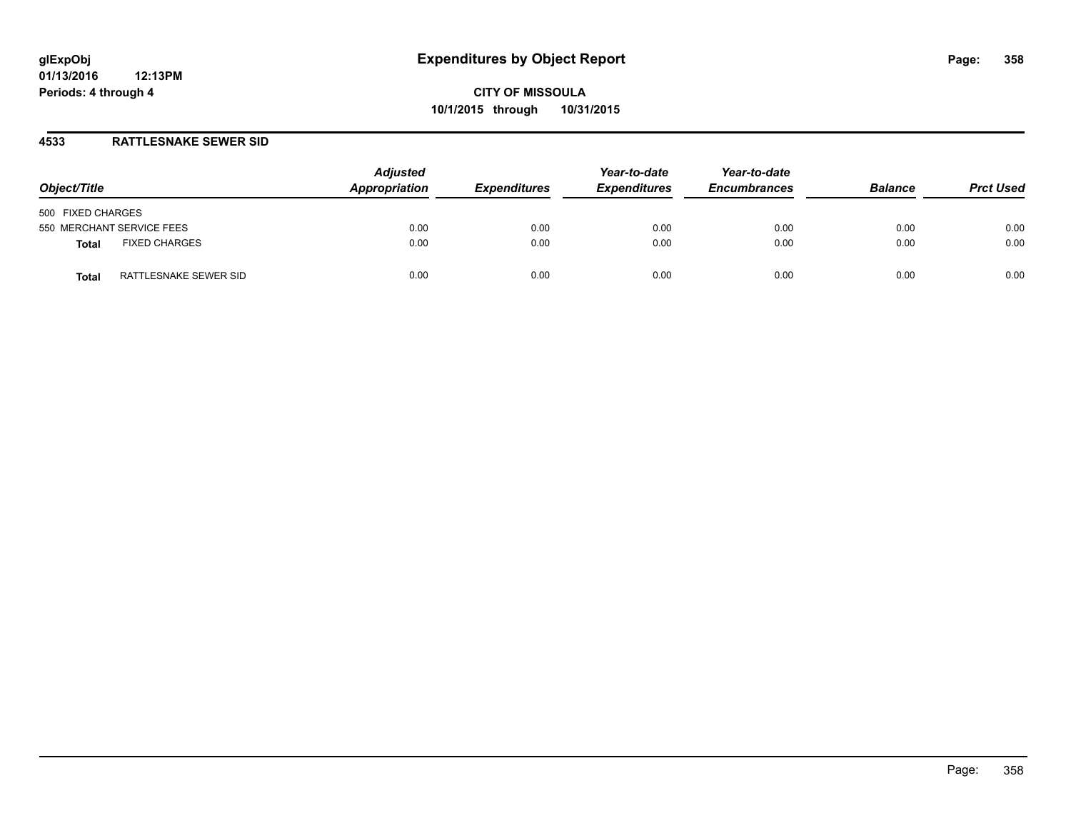### **4533 RATTLESNAKE SEWER SID**

| Object/Title                         | <b>Adjusted</b><br>Appropriation | <b>Expenditures</b> | Year-to-date<br><b>Expenditures</b> | Year-to-date<br><b>Encumbrances</b> | <b>Balance</b> | <b>Prct Used</b> |
|--------------------------------------|----------------------------------|---------------------|-------------------------------------|-------------------------------------|----------------|------------------|
| 500 FIXED CHARGES                    |                                  |                     |                                     |                                     |                |                  |
| 550 MERCHANT SERVICE FEES            | 0.00                             | 0.00                | 0.00                                | 0.00                                | 0.00           | 0.00             |
| <b>FIXED CHARGES</b><br><b>Total</b> | 0.00                             | 0.00                | 0.00                                | 0.00                                | 0.00           | 0.00             |
| RATTLESNAKE SEWER SID<br>Total       | 0.00                             | 0.00                | 0.00                                | 0.00                                | 0.00           | 0.00             |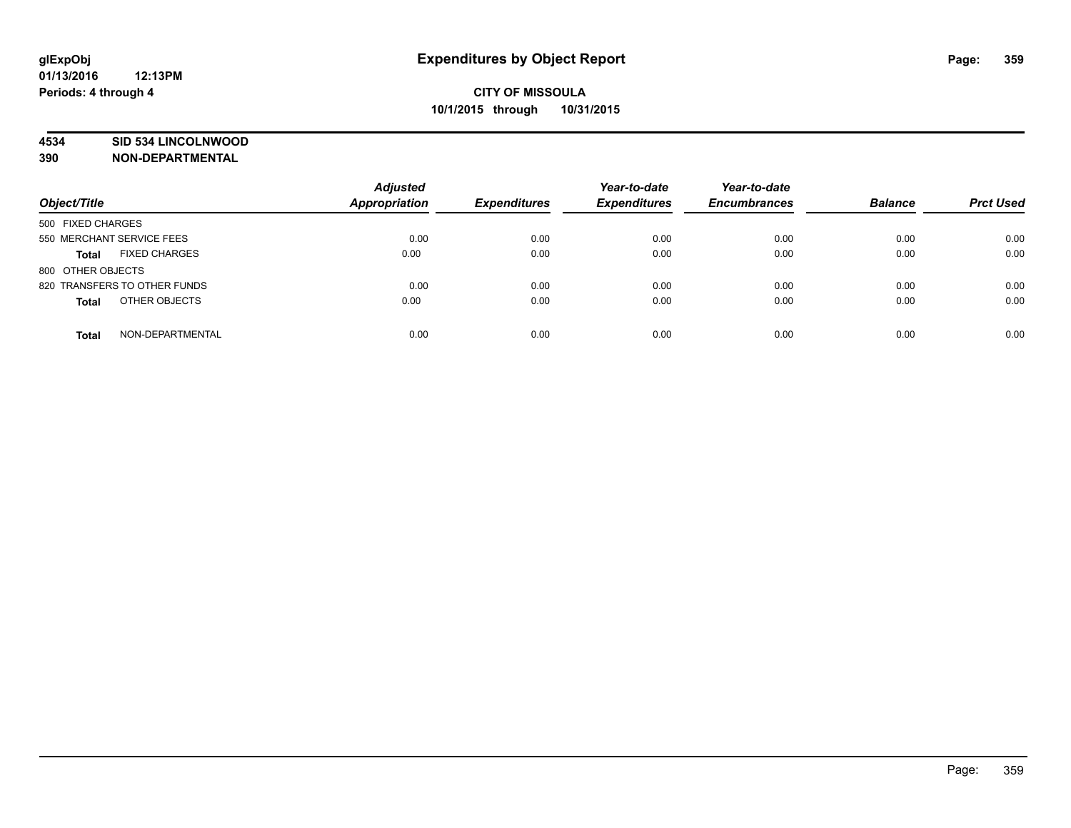### **4534 SID 534 LINCOLNWOOD**

**390 NON-DEPARTMENTAL**

| Object/Title                         | <b>Adjusted</b><br><b>Appropriation</b> | <b>Expenditures</b> | Year-to-date<br><b>Expenditures</b> | Year-to-date<br><b>Encumbrances</b> | <b>Balance</b> | <b>Prct Used</b> |
|--------------------------------------|-----------------------------------------|---------------------|-------------------------------------|-------------------------------------|----------------|------------------|
|                                      |                                         |                     |                                     |                                     |                |                  |
| 500 FIXED CHARGES                    |                                         |                     |                                     |                                     |                |                  |
| 550 MERCHANT SERVICE FEES            | 0.00                                    | 0.00                | 0.00                                | 0.00                                | 0.00           | 0.00             |
| <b>FIXED CHARGES</b><br><b>Total</b> | 0.00                                    | 0.00                | 0.00                                | 0.00                                | 0.00           | 0.00             |
| 800 OTHER OBJECTS                    |                                         |                     |                                     |                                     |                |                  |
| 820 TRANSFERS TO OTHER FUNDS         | 0.00                                    | 0.00                | 0.00                                | 0.00                                | 0.00           | 0.00             |
| OTHER OBJECTS<br><b>Total</b>        | 0.00                                    | 0.00                | 0.00                                | 0.00                                | 0.00           | 0.00             |
| NON-DEPARTMENTAL<br><b>Total</b>     | 0.00                                    | 0.00                | 0.00                                | 0.00                                | 0.00           | 0.00             |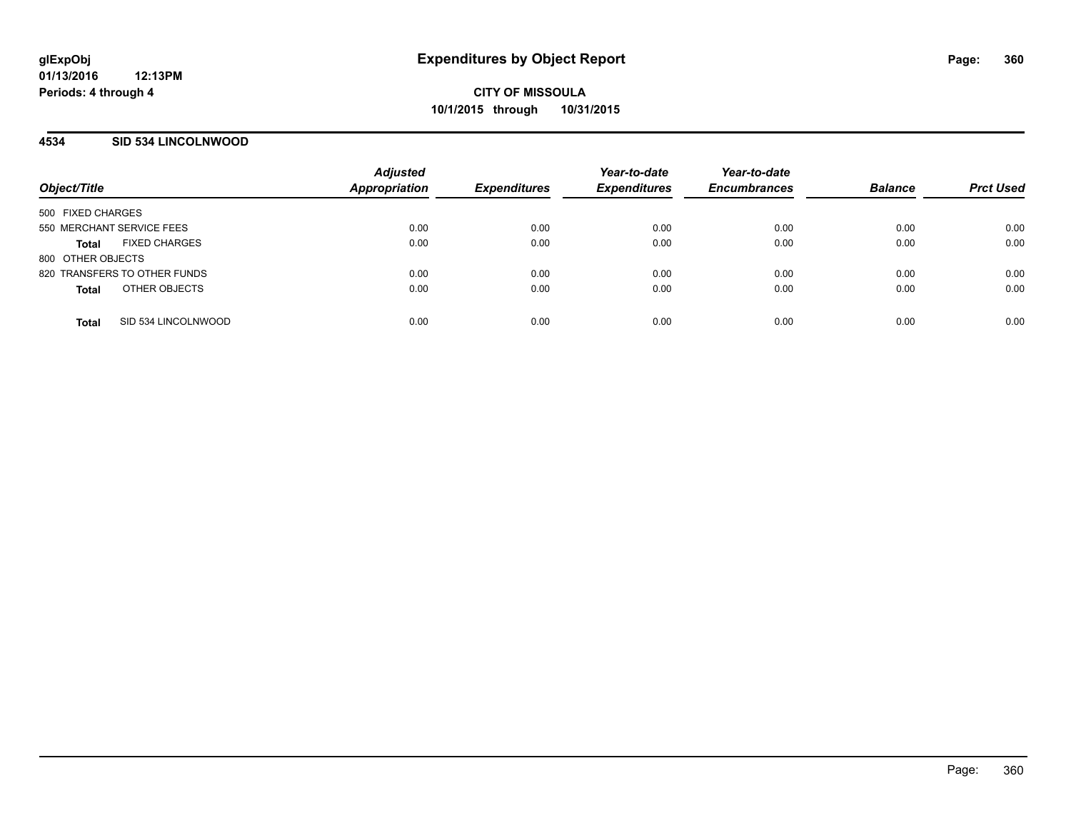### **4534 SID 534 LINCOLNWOOD**

| Object/Title                         | <b>Adjusted</b><br>Appropriation | <b>Expenditures</b> | Year-to-date<br><b>Expenditures</b> | Year-to-date<br><b>Encumbrances</b> | <b>Balance</b> | <b>Prct Used</b> |
|--------------------------------------|----------------------------------|---------------------|-------------------------------------|-------------------------------------|----------------|------------------|
| 500 FIXED CHARGES                    |                                  |                     |                                     |                                     |                |                  |
| 550 MERCHANT SERVICE FEES            | 0.00                             | 0.00                | 0.00                                | 0.00                                | 0.00           | 0.00             |
| <b>FIXED CHARGES</b><br><b>Total</b> | 0.00                             | 0.00                | 0.00                                | 0.00                                | 0.00           | 0.00             |
| 800 OTHER OBJECTS                    |                                  |                     |                                     |                                     |                |                  |
| 820 TRANSFERS TO OTHER FUNDS         | 0.00                             | 0.00                | 0.00                                | 0.00                                | 0.00           | 0.00             |
| OTHER OBJECTS<br><b>Total</b>        | 0.00                             | 0.00                | 0.00                                | 0.00                                | 0.00           | 0.00             |
| SID 534 LINCOLNWOOD<br><b>Total</b>  | 0.00                             | 0.00                | 0.00                                | 0.00                                | 0.00           | 0.00             |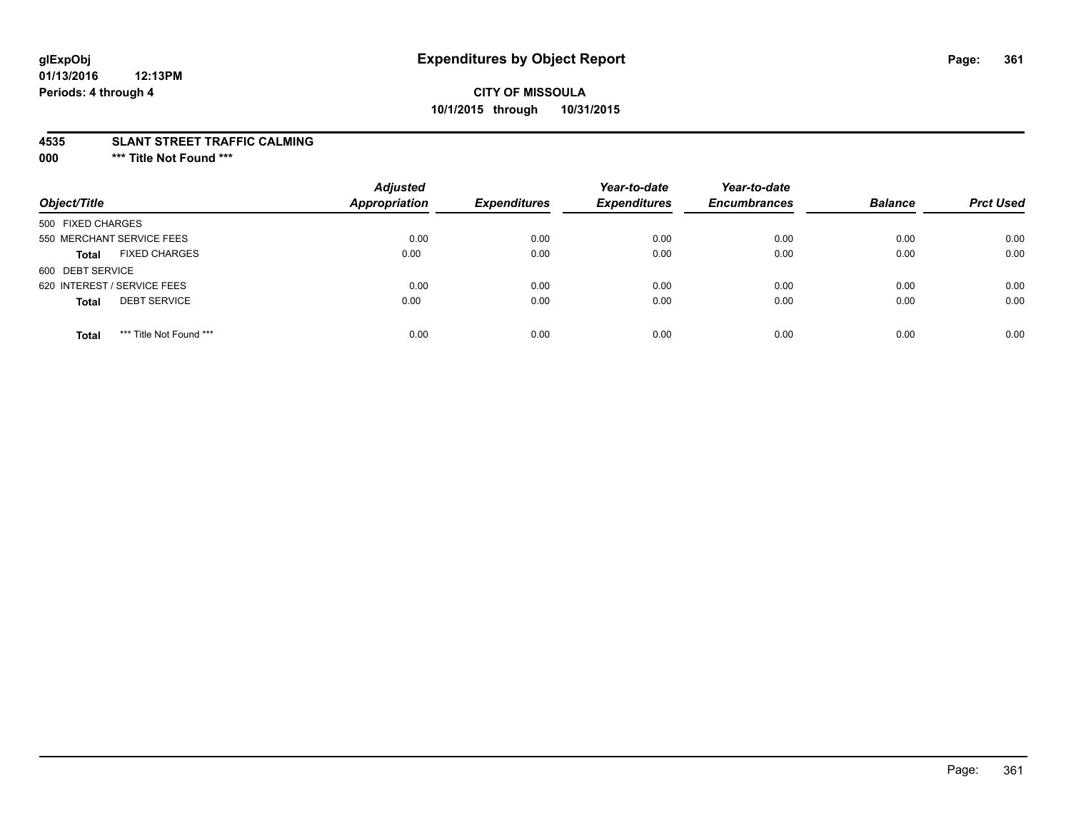# **CITY OF MISSOULA 10/1/2015 through 10/31/2015**

#### **4535 SLANT STREET TRAFFIC CALMING**

**000 \*\*\* Title Not Found \*\*\***

| Object/Title                            | <b>Adjusted</b><br><b>Appropriation</b> | <b>Expenditures</b> | Year-to-date<br><b>Expenditures</b> | Year-to-date<br><b>Encumbrances</b> | <b>Balance</b> | <b>Prct Used</b> |
|-----------------------------------------|-----------------------------------------|---------------------|-------------------------------------|-------------------------------------|----------------|------------------|
| 500 FIXED CHARGES                       |                                         |                     |                                     |                                     |                |                  |
| 550 MERCHANT SERVICE FEES               | 0.00                                    | 0.00                | 0.00                                | 0.00                                | 0.00           | 0.00             |
| <b>FIXED CHARGES</b><br><b>Total</b>    | 0.00                                    | 0.00                | 0.00                                | 0.00                                | 0.00           | 0.00             |
| 600 DEBT SERVICE                        |                                         |                     |                                     |                                     |                |                  |
| 620 INTEREST / SERVICE FEES             | 0.00                                    | 0.00                | 0.00                                | 0.00                                | 0.00           | 0.00             |
| <b>DEBT SERVICE</b><br><b>Total</b>     | 0.00                                    | 0.00                | 0.00                                | 0.00                                | 0.00           | 0.00             |
| *** Title Not Found ***<br><b>Total</b> | 0.00                                    | 0.00                | 0.00                                | 0.00                                | 0.00           | 0.00             |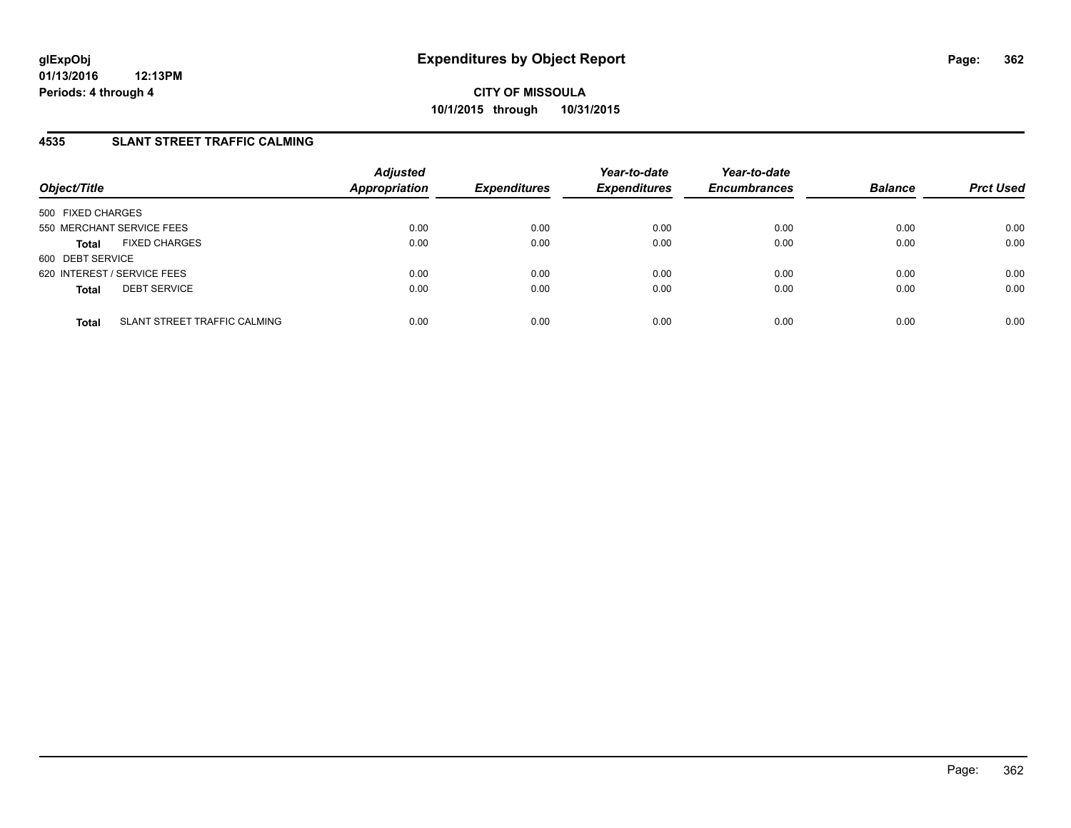## **4535 SLANT STREET TRAFFIC CALMING**

| Object/Title                                 | <b>Adjusted</b><br><b>Appropriation</b> | <b>Expenditures</b> | Year-to-date<br><b>Expenditures</b> | Year-to-date<br><b>Encumbrances</b> | <b>Balance</b> | <b>Prct Used</b> |
|----------------------------------------------|-----------------------------------------|---------------------|-------------------------------------|-------------------------------------|----------------|------------------|
| 500 FIXED CHARGES                            |                                         |                     |                                     |                                     |                |                  |
| 550 MERCHANT SERVICE FEES                    | 0.00                                    | 0.00                | 0.00                                | 0.00                                | 0.00           | 0.00             |
| <b>FIXED CHARGES</b><br><b>Total</b>         | 0.00                                    | 0.00                | 0.00                                | 0.00                                | 0.00           | 0.00             |
| 600 DEBT SERVICE                             |                                         |                     |                                     |                                     |                |                  |
| 620 INTEREST / SERVICE FEES                  | 0.00                                    | 0.00                | 0.00                                | 0.00                                | 0.00           | 0.00             |
| <b>DEBT SERVICE</b><br><b>Total</b>          | 0.00                                    | 0.00                | 0.00                                | 0.00                                | 0.00           | 0.00             |
|                                              |                                         |                     |                                     |                                     |                |                  |
| SLANT STREET TRAFFIC CALMING<br><b>Total</b> | 0.00                                    | 0.00                | 0.00                                | 0.00                                | 0.00           | 0.00             |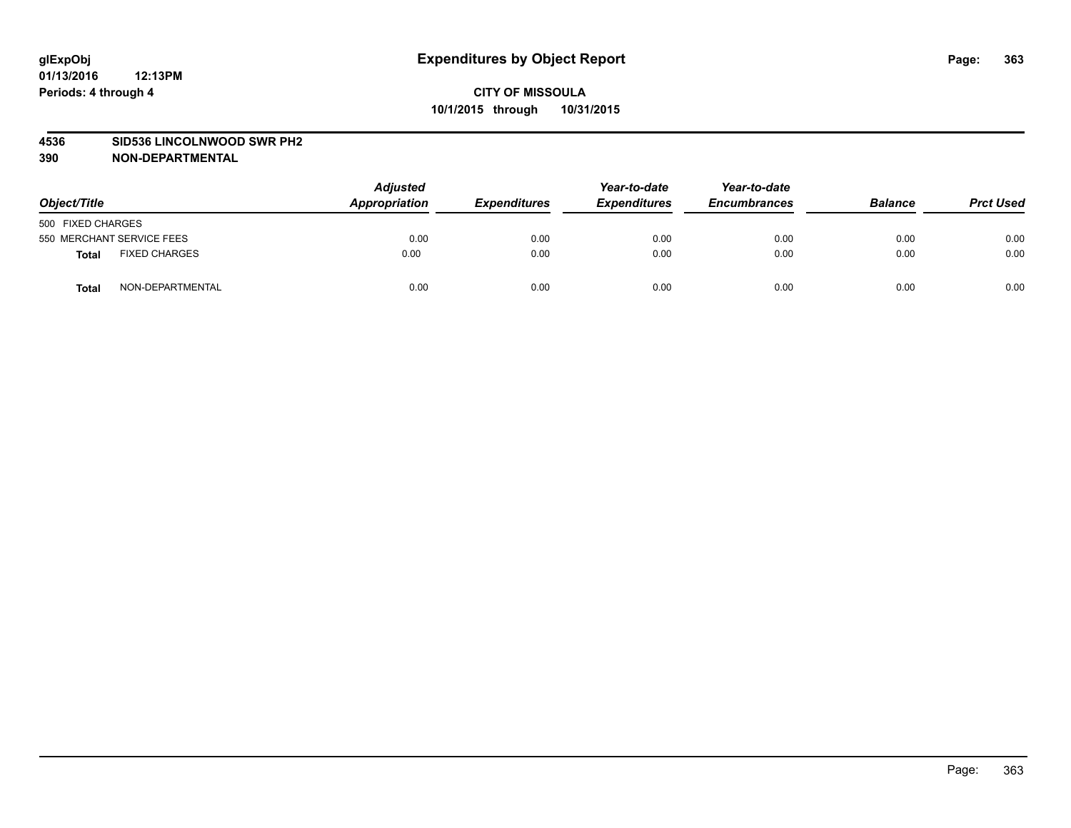#### **4536 SID536 LINCOLNWOOD SWR PH2**

| Object/Title      |                           | <b>Adjusted</b><br>Appropriation | <b>Expenditures</b> | Year-to-date<br><b>Expenditures</b> | Year-to-date<br><b>Encumbrances</b> | <b>Balance</b> | <b>Prct Used</b> |
|-------------------|---------------------------|----------------------------------|---------------------|-------------------------------------|-------------------------------------|----------------|------------------|
| 500 FIXED CHARGES |                           |                                  |                     |                                     |                                     |                |                  |
|                   | 550 MERCHANT SERVICE FEES | 0.00                             | 0.00                | 0.00                                | 0.00                                | 0.00           | 0.00             |
| <b>Total</b>      | <b>FIXED CHARGES</b>      | 0.00                             | 0.00                | 0.00                                | 0.00                                | 0.00           | 0.00             |
| Total             | NON-DEPARTMENTAL          | 0.00                             | 0.00                | 0.00                                | 0.00                                | 0.00           | 0.00             |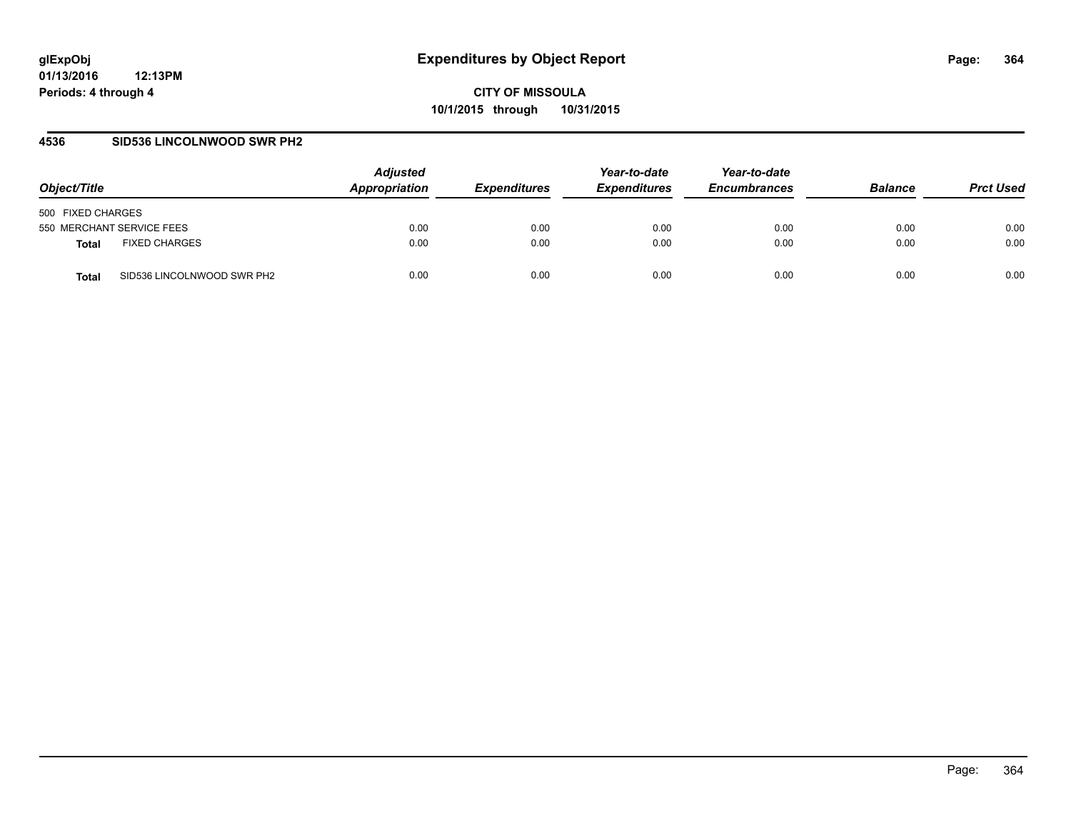### **4536 SID536 LINCOLNWOOD SWR PH2**

| Object/Title                               | <b>Adjusted</b><br>Appropriation | <i><b>Expenditures</b></i> | Year-to-date<br><b>Expenditures</b> | Year-to-date<br><b>Encumbrances</b> | <b>Balance</b> | <b>Prct Used</b> |
|--------------------------------------------|----------------------------------|----------------------------|-------------------------------------|-------------------------------------|----------------|------------------|
| 500 FIXED CHARGES                          |                                  |                            |                                     |                                     |                |                  |
| 550 MERCHANT SERVICE FEES                  | 0.00                             | 0.00                       | 0.00                                | 0.00                                | 0.00           | 0.00             |
| <b>FIXED CHARGES</b><br>Total              | 0.00                             | 0.00                       | 0.00                                | 0.00                                | 0.00           | 0.00             |
| SID536 LINCOLNWOOD SWR PH2<br><b>Total</b> | 0.00                             | 0.00                       | 0.00                                | 0.00                                | 0.00           | 0.00             |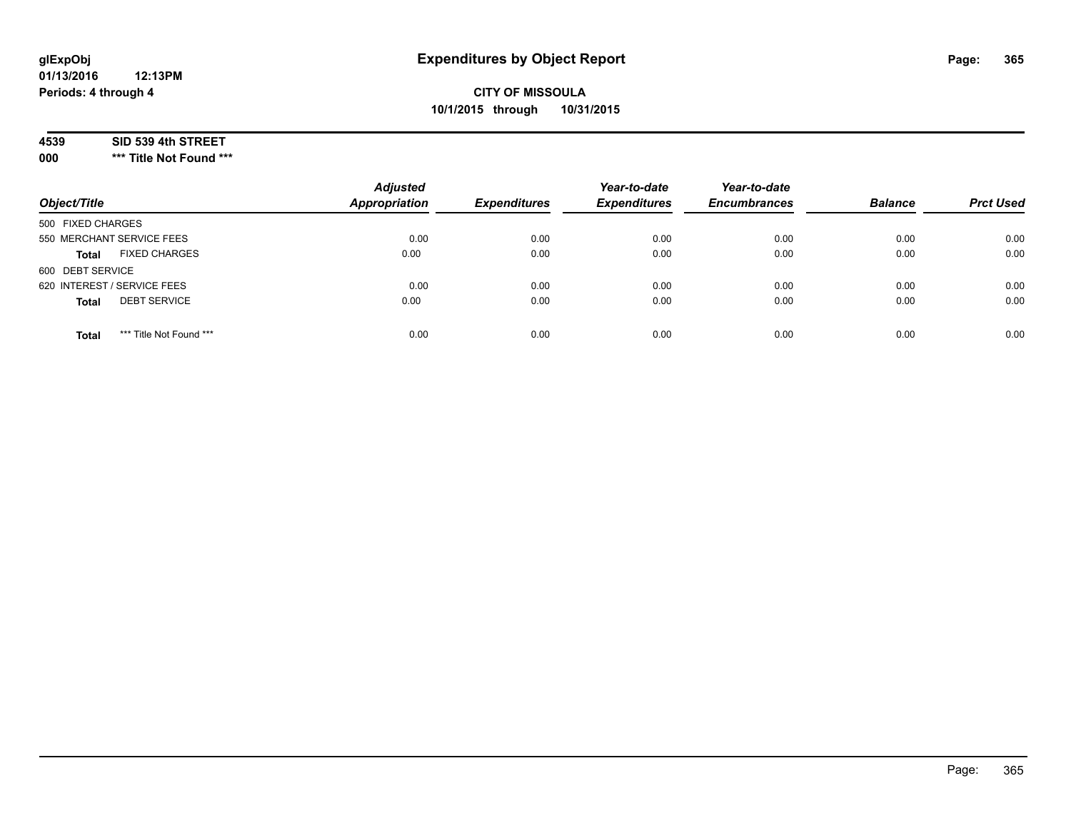# **CITY OF MISSOULA 10/1/2015 through 10/31/2015**

### **4539 SID 539 4th STREET**

**000 \*\*\* Title Not Found \*\*\***

| Object/Title                            | <b>Adjusted</b><br><b>Appropriation</b> | <b>Expenditures</b> | Year-to-date<br><b>Expenditures</b> | Year-to-date<br><b>Encumbrances</b> | <b>Balance</b> | <b>Prct Used</b> |
|-----------------------------------------|-----------------------------------------|---------------------|-------------------------------------|-------------------------------------|----------------|------------------|
| 500 FIXED CHARGES                       |                                         |                     |                                     |                                     |                |                  |
| 550 MERCHANT SERVICE FEES               | 0.00                                    | 0.00                | 0.00                                | 0.00                                | 0.00           | 0.00             |
| <b>FIXED CHARGES</b><br><b>Total</b>    | 0.00                                    | 0.00                | 0.00                                | 0.00                                | 0.00           | 0.00             |
| 600 DEBT SERVICE                        |                                         |                     |                                     |                                     |                |                  |
| 620 INTEREST / SERVICE FEES             | 0.00                                    | 0.00                | 0.00                                | 0.00                                | 0.00           | 0.00             |
| <b>DEBT SERVICE</b><br><b>Total</b>     | 0.00                                    | 0.00                | 0.00                                | 0.00                                | 0.00           | 0.00             |
| *** Title Not Found ***<br><b>Total</b> | 0.00                                    | 0.00                | 0.00                                | 0.00                                | 0.00           | 0.00             |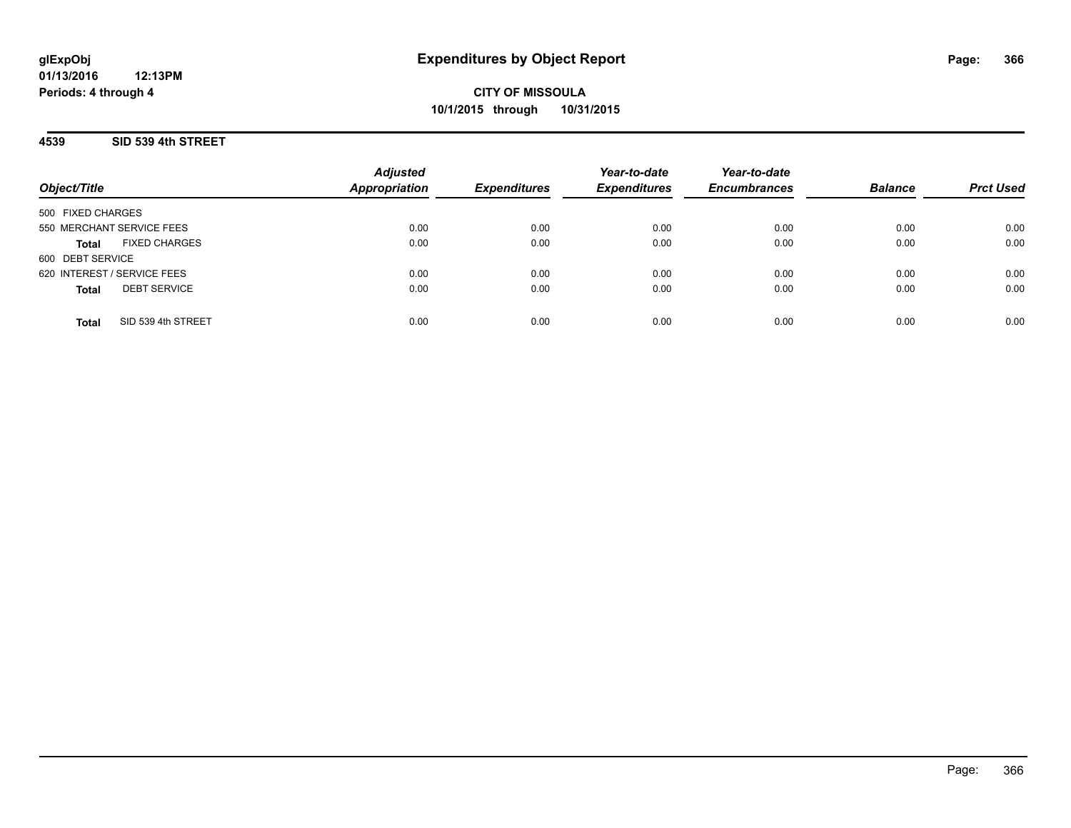**CITY OF MISSOULA 10/1/2015 through 10/31/2015**

**4539 SID 539 4th STREET**

|                                      | <b>Adjusted</b><br><b>Appropriation</b> |                     | Year-to-date        | Year-to-date        | <b>Balance</b> |                  |
|--------------------------------------|-----------------------------------------|---------------------|---------------------|---------------------|----------------|------------------|
| Object/Title                         |                                         | <b>Expenditures</b> | <b>Expenditures</b> | <b>Encumbrances</b> |                | <b>Prct Used</b> |
| 500 FIXED CHARGES                    |                                         |                     |                     |                     |                |                  |
| 550 MERCHANT SERVICE FEES            | 0.00                                    | 0.00                | 0.00                | 0.00                | 0.00           | 0.00             |
| <b>FIXED CHARGES</b><br><b>Total</b> | 0.00                                    | 0.00                | 0.00                | 0.00                | 0.00           | 0.00             |
| 600 DEBT SERVICE                     |                                         |                     |                     |                     |                |                  |
| 620 INTEREST / SERVICE FEES          | 0.00                                    | 0.00                | 0.00                | 0.00                | 0.00           | 0.00             |
| <b>DEBT SERVICE</b><br><b>Total</b>  | 0.00                                    | 0.00                | 0.00                | 0.00                | 0.00           | 0.00             |
|                                      |                                         |                     |                     |                     |                |                  |
| SID 539 4th STREET<br><b>Total</b>   | 0.00                                    | 0.00                | 0.00                | 0.00                | 0.00           | 0.00             |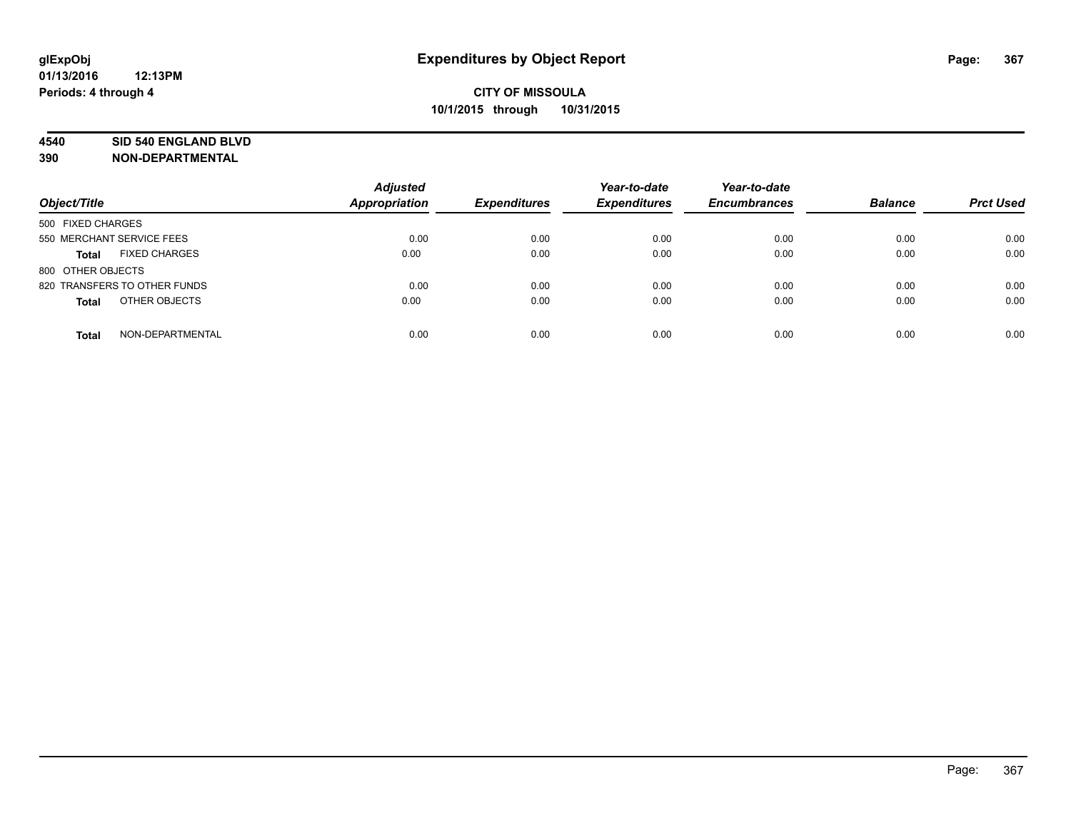#### **4540 SID 540 ENGLAND BLVD**

| Object/Title                         | <b>Adjusted</b><br><b>Appropriation</b> | <b>Expenditures</b> | Year-to-date<br><b>Expenditures</b> | Year-to-date<br><b>Encumbrances</b> | <b>Balance</b> | <b>Prct Used</b> |
|--------------------------------------|-----------------------------------------|---------------------|-------------------------------------|-------------------------------------|----------------|------------------|
| 500 FIXED CHARGES                    |                                         |                     |                                     |                                     |                |                  |
| 550 MERCHANT SERVICE FEES            | 0.00                                    | 0.00                | 0.00                                | 0.00                                | 0.00           | 0.00             |
| <b>FIXED CHARGES</b><br><b>Total</b> | 0.00                                    | 0.00                | 0.00                                | 0.00                                | 0.00           | 0.00             |
| 800 OTHER OBJECTS                    |                                         |                     |                                     |                                     |                |                  |
| 820 TRANSFERS TO OTHER FUNDS         | 0.00                                    | 0.00                | 0.00                                | 0.00                                | 0.00           | 0.00             |
| OTHER OBJECTS<br><b>Total</b>        | 0.00                                    | 0.00                | 0.00                                | 0.00                                | 0.00           | 0.00             |
| NON-DEPARTMENTAL<br><b>Total</b>     | 0.00                                    | 0.00                | 0.00                                | 0.00                                | 0.00           | 0.00             |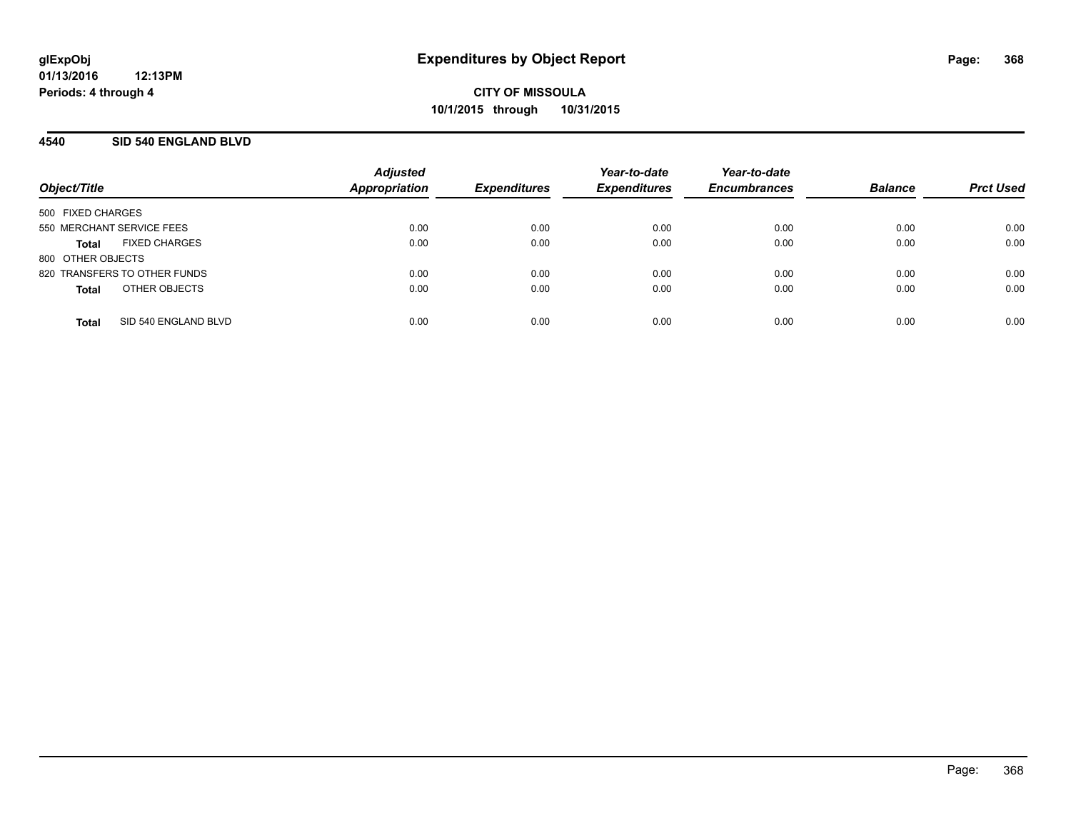### **4540 SID 540 ENGLAND BLVD**

| Object/Title              |                              | <b>Adjusted</b><br><b>Appropriation</b> | <b>Expenditures</b> | Year-to-date<br><b>Expenditures</b> | Year-to-date<br><b>Encumbrances</b> | <b>Balance</b> | <b>Prct Used</b> |
|---------------------------|------------------------------|-----------------------------------------|---------------------|-------------------------------------|-------------------------------------|----------------|------------------|
| 500 FIXED CHARGES         |                              |                                         |                     |                                     |                                     |                |                  |
| 550 MERCHANT SERVICE FEES |                              | 0.00                                    | 0.00                | 0.00                                | 0.00                                | 0.00           | 0.00             |
| Total                     | <b>FIXED CHARGES</b>         | 0.00                                    | 0.00                | 0.00                                | 0.00                                | 0.00           | 0.00             |
| 800 OTHER OBJECTS         |                              |                                         |                     |                                     |                                     |                |                  |
|                           | 820 TRANSFERS TO OTHER FUNDS | 0.00                                    | 0.00                | 0.00                                | 0.00                                | 0.00           | 0.00             |
| <b>Total</b>              | OTHER OBJECTS                | 0.00                                    | 0.00                | 0.00                                | 0.00                                | 0.00           | 0.00             |
| <b>Total</b>              | SID 540 ENGLAND BLVD         | 0.00                                    | 0.00                | 0.00                                | 0.00                                | 0.00           | 0.00             |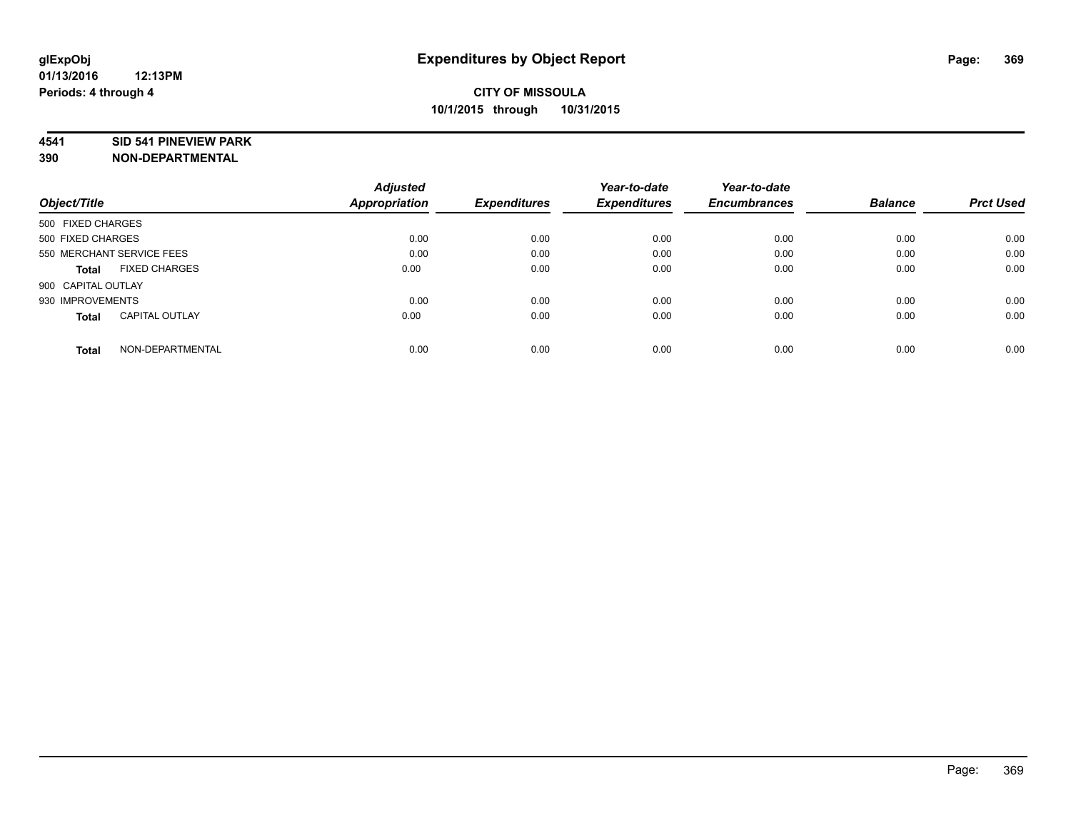#### **4541 SID 541 PINEVIEW PARK**

|                                       | <b>Adjusted</b>      |                     | Year-to-date        | Year-to-date        |                |                  |
|---------------------------------------|----------------------|---------------------|---------------------|---------------------|----------------|------------------|
| Object/Title                          | <b>Appropriation</b> | <b>Expenditures</b> | <b>Expenditures</b> | <b>Encumbrances</b> | <b>Balance</b> | <b>Prct Used</b> |
| 500 FIXED CHARGES                     |                      |                     |                     |                     |                |                  |
| 500 FIXED CHARGES                     | 0.00                 | 0.00                | 0.00                | 0.00                | 0.00           | 0.00             |
| 550 MERCHANT SERVICE FEES             | 0.00                 | 0.00                | 0.00                | 0.00                | 0.00           | 0.00             |
| <b>FIXED CHARGES</b><br>Total         | 0.00                 | 0.00                | 0.00                | 0.00                | 0.00           | 0.00             |
| 900 CAPITAL OUTLAY                    |                      |                     |                     |                     |                |                  |
| 930 IMPROVEMENTS                      | 0.00                 | 0.00                | 0.00                | 0.00                | 0.00           | 0.00             |
| <b>CAPITAL OUTLAY</b><br><b>Total</b> | 0.00                 | 0.00                | 0.00                | 0.00                | 0.00           | 0.00             |
| NON-DEPARTMENTAL<br><b>Total</b>      | 0.00                 | 0.00                | 0.00                | 0.00                | 0.00           | 0.00             |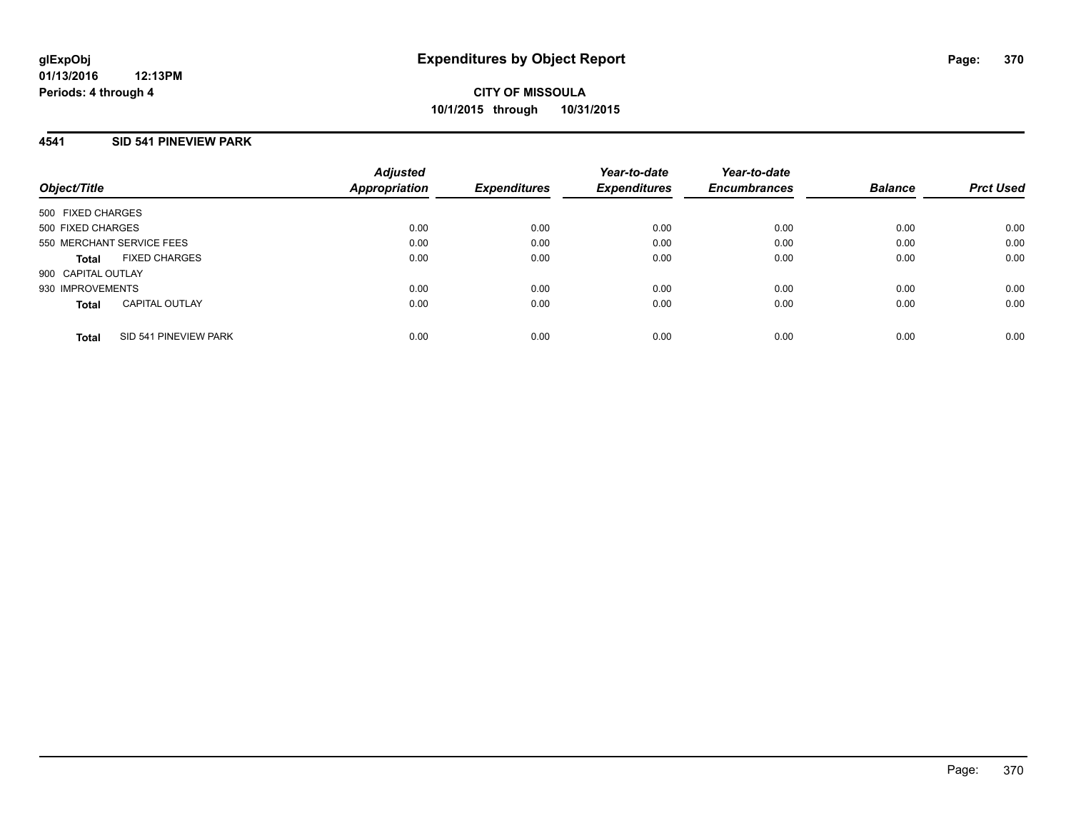### **4541 SID 541 PINEVIEW PARK**

| Object/Title              |                       | <b>Adjusted</b><br><b>Appropriation</b> | <b>Expenditures</b> | Year-to-date<br><b>Expenditures</b> | Year-to-date<br><b>Encumbrances</b> | <b>Balance</b> | <b>Prct Used</b> |
|---------------------------|-----------------------|-----------------------------------------|---------------------|-------------------------------------|-------------------------------------|----------------|------------------|
| 500 FIXED CHARGES         |                       |                                         |                     |                                     |                                     |                |                  |
| 500 FIXED CHARGES         |                       | 0.00                                    | 0.00                | 0.00                                | 0.00                                | 0.00           | 0.00             |
| 550 MERCHANT SERVICE FEES |                       | 0.00                                    | 0.00                | 0.00                                | 0.00                                | 0.00           | 0.00             |
| Total                     | <b>FIXED CHARGES</b>  | 0.00                                    | 0.00                | 0.00                                | 0.00                                | 0.00           | 0.00             |
| 900 CAPITAL OUTLAY        |                       |                                         |                     |                                     |                                     |                |                  |
| 930 IMPROVEMENTS          |                       | 0.00                                    | 0.00                | 0.00                                | 0.00                                | 0.00           | 0.00             |
| <b>Total</b>              | <b>CAPITAL OUTLAY</b> | 0.00                                    | 0.00                | 0.00                                | 0.00                                | 0.00           | 0.00             |
| <b>Total</b>              | SID 541 PINEVIEW PARK | 0.00                                    | 0.00                | 0.00                                | 0.00                                | 0.00           | 0.00             |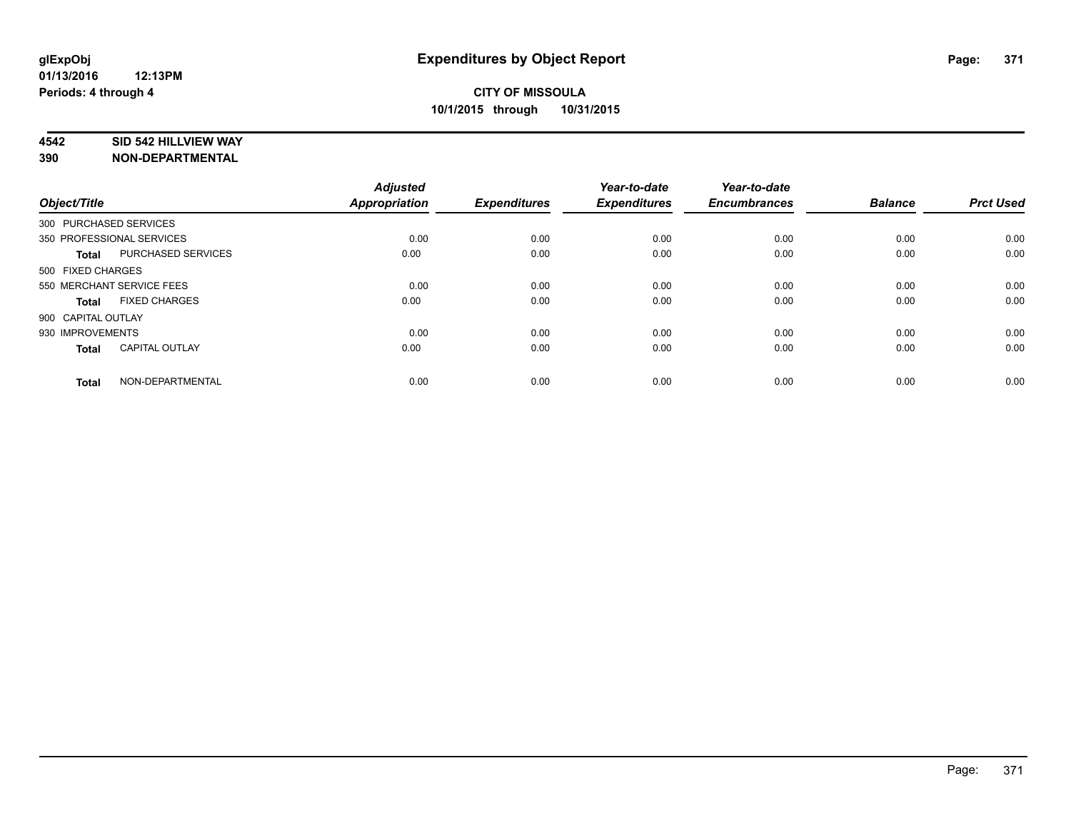### **4542 SID 542 HILLVIEW WAY**

| Object/Title           |                           | <b>Adjusted</b><br>Appropriation | <b>Expenditures</b> | Year-to-date<br><b>Expenditures</b> | Year-to-date<br><b>Encumbrances</b> | <b>Balance</b> | <b>Prct Used</b> |
|------------------------|---------------------------|----------------------------------|---------------------|-------------------------------------|-------------------------------------|----------------|------------------|
| 300 PURCHASED SERVICES |                           |                                  |                     |                                     |                                     |                |                  |
|                        | 350 PROFESSIONAL SERVICES | 0.00                             | 0.00                | 0.00                                | 0.00                                | 0.00           | 0.00             |
| <b>Total</b>           | PURCHASED SERVICES        | 0.00                             | 0.00                | 0.00                                | 0.00                                | 0.00           | 0.00             |
| 500 FIXED CHARGES      |                           |                                  |                     |                                     |                                     |                |                  |
|                        | 550 MERCHANT SERVICE FEES | 0.00                             | 0.00                | 0.00                                | 0.00                                | 0.00           | 0.00             |
| <b>Total</b>           | <b>FIXED CHARGES</b>      | 0.00                             | 0.00                | 0.00                                | 0.00                                | 0.00           | 0.00             |
| 900 CAPITAL OUTLAY     |                           |                                  |                     |                                     |                                     |                |                  |
| 930 IMPROVEMENTS       |                           | 0.00                             | 0.00                | 0.00                                | 0.00                                | 0.00           | 0.00             |
| <b>Total</b>           | <b>CAPITAL OUTLAY</b>     | 0.00                             | 0.00                | 0.00                                | 0.00                                | 0.00           | 0.00             |
| <b>Total</b>           | NON-DEPARTMENTAL          | 0.00                             | 0.00                | 0.00                                | 0.00                                | 0.00           | 0.00             |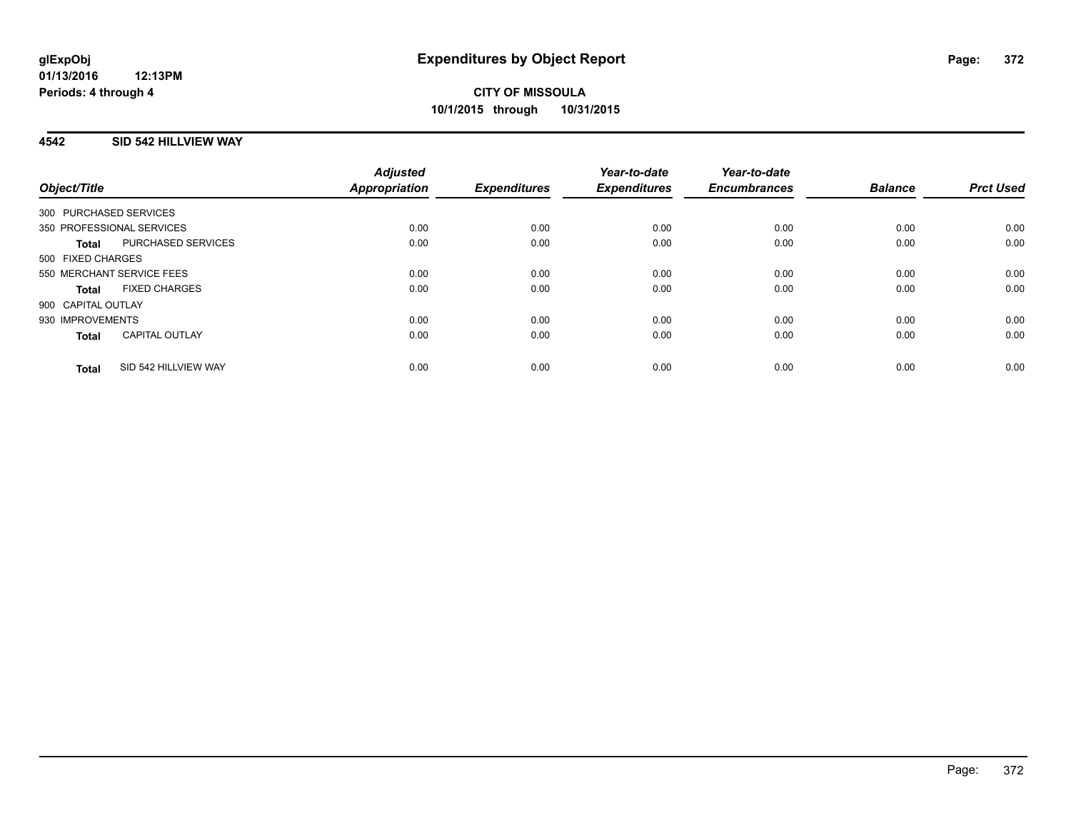## **4542 SID 542 HILLVIEW WAY**

| Object/Title                          | <b>Adjusted</b><br><b>Appropriation</b> | <b>Expenditures</b> | Year-to-date<br><b>Expenditures</b> | Year-to-date<br><b>Encumbrances</b> | <b>Balance</b> | <b>Prct Used</b> |
|---------------------------------------|-----------------------------------------|---------------------|-------------------------------------|-------------------------------------|----------------|------------------|
| 300 PURCHASED SERVICES                |                                         |                     |                                     |                                     |                |                  |
| 350 PROFESSIONAL SERVICES             | 0.00                                    | 0.00                | 0.00                                | 0.00                                | 0.00           | 0.00             |
| PURCHASED SERVICES<br><b>Total</b>    | 0.00                                    | 0.00                | 0.00                                | 0.00                                | 0.00           | 0.00             |
| 500 FIXED CHARGES                     |                                         |                     |                                     |                                     |                |                  |
| 550 MERCHANT SERVICE FEES             | 0.00                                    | 0.00                | 0.00                                | 0.00                                | 0.00           | 0.00             |
| <b>FIXED CHARGES</b><br><b>Total</b>  | 0.00                                    | 0.00                | 0.00                                | 0.00                                | 0.00           | 0.00             |
| 900 CAPITAL OUTLAY                    |                                         |                     |                                     |                                     |                |                  |
| 930 IMPROVEMENTS                      | 0.00                                    | 0.00                | 0.00                                | 0.00                                | 0.00           | 0.00             |
| <b>CAPITAL OUTLAY</b><br><b>Total</b> | 0.00                                    | 0.00                | 0.00                                | 0.00                                | 0.00           | 0.00             |
| SID 542 HILLVIEW WAY<br><b>Total</b>  | 0.00                                    | 0.00                | 0.00                                | 0.00                                | 0.00           | 0.00             |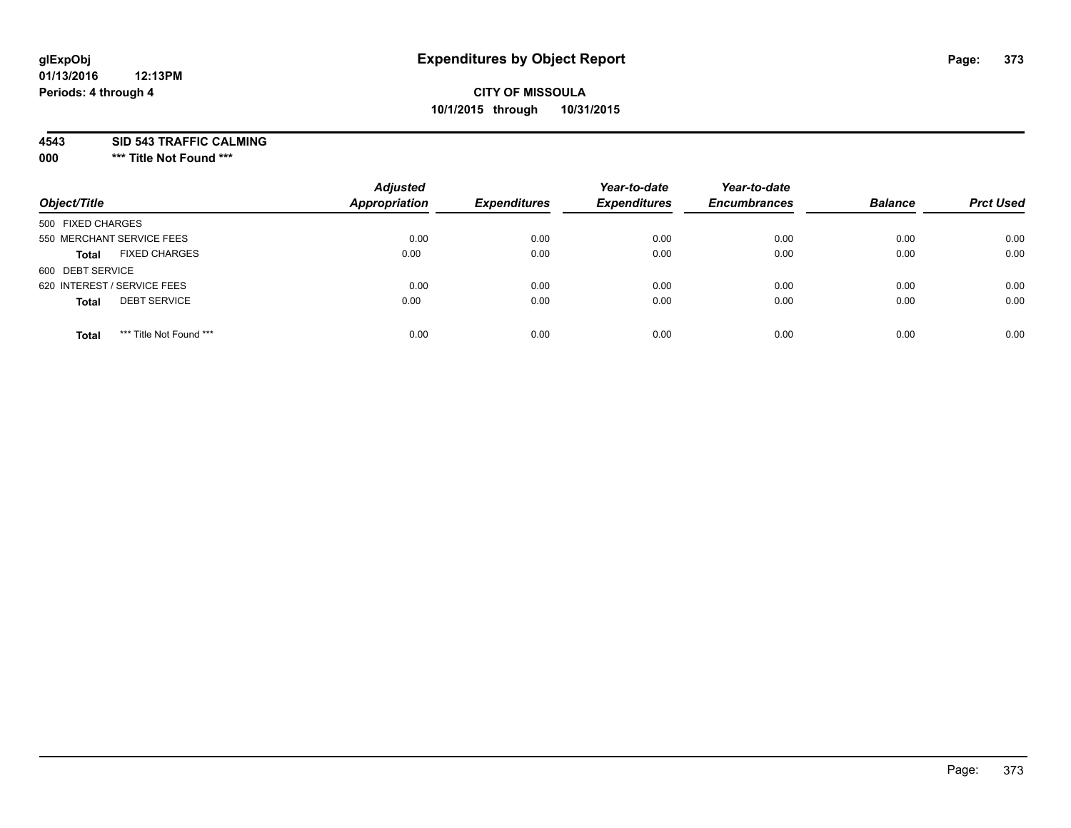# **CITY OF MISSOULA 10/1/2015 through 10/31/2015**

**4543 SID 543 TRAFFIC CALMING**

**000 \*\*\* Title Not Found \*\*\***

| Object/Title                            | <b>Adjusted</b><br>Appropriation | <b>Expenditures</b> | Year-to-date<br><b>Expenditures</b> | Year-to-date<br><b>Encumbrances</b> | <b>Balance</b> | <b>Prct Used</b> |
|-----------------------------------------|----------------------------------|---------------------|-------------------------------------|-------------------------------------|----------------|------------------|
| 500 FIXED CHARGES                       |                                  |                     |                                     |                                     |                |                  |
| 550 MERCHANT SERVICE FEES               | 0.00                             | 0.00                | 0.00                                | 0.00                                | 0.00           | 0.00             |
| <b>FIXED CHARGES</b><br><b>Total</b>    | 0.00                             | 0.00                | 0.00                                | 0.00                                | 0.00           | 0.00             |
| 600 DEBT SERVICE                        |                                  |                     |                                     |                                     |                |                  |
| 620 INTEREST / SERVICE FEES             | 0.00                             | 0.00                | 0.00                                | 0.00                                | 0.00           | 0.00             |
| <b>DEBT SERVICE</b><br><b>Total</b>     | 0.00                             | 0.00                | 0.00                                | 0.00                                | 0.00           | 0.00             |
| *** Title Not Found ***<br><b>Total</b> | 0.00                             | 0.00                | 0.00                                | 0.00                                | 0.00           | 0.00             |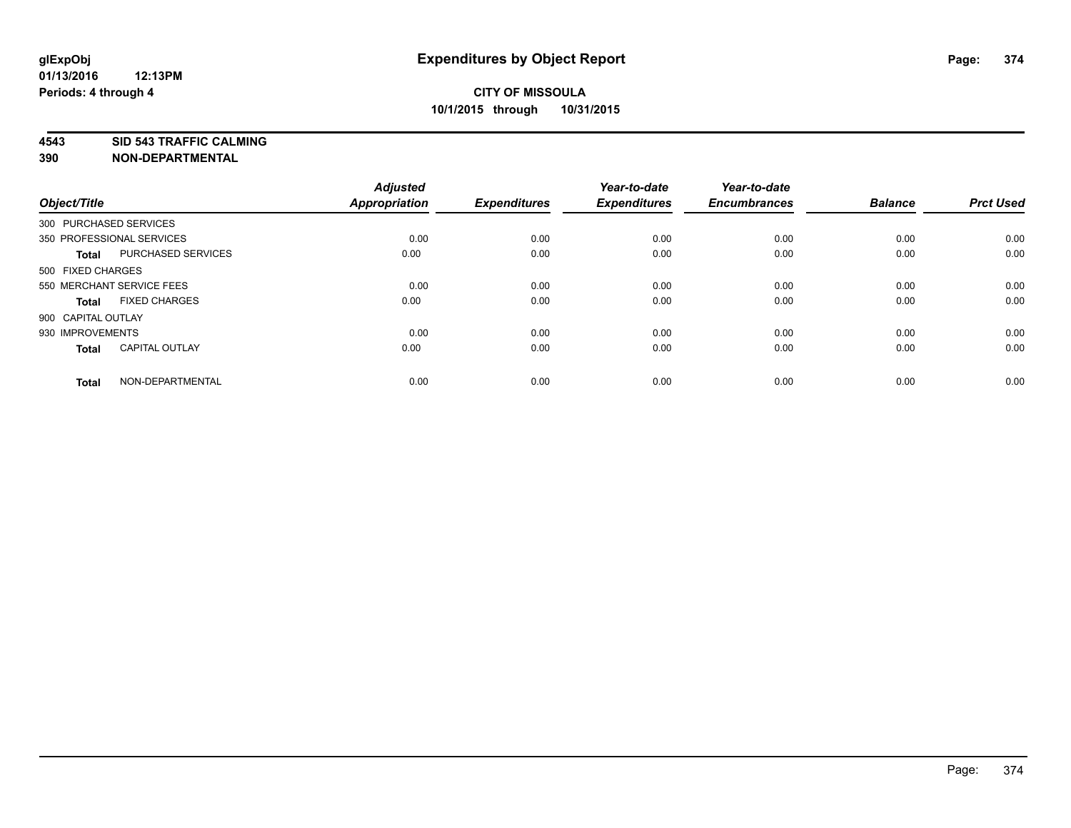**4543 SID 543 TRAFFIC CALMING**

| Object/Title           |                           | <b>Adjusted</b><br><b>Appropriation</b> | <b>Expenditures</b> | Year-to-date<br><b>Expenditures</b> | Year-to-date<br><b>Encumbrances</b> | <b>Balance</b> | <b>Prct Used</b> |
|------------------------|---------------------------|-----------------------------------------|---------------------|-------------------------------------|-------------------------------------|----------------|------------------|
| 300 PURCHASED SERVICES |                           |                                         |                     |                                     |                                     |                |                  |
|                        | 350 PROFESSIONAL SERVICES | 0.00                                    | 0.00                | 0.00                                | 0.00                                | 0.00           | 0.00             |
| <b>Total</b>           | PURCHASED SERVICES        | 0.00                                    | 0.00                | 0.00                                | 0.00                                | 0.00           | 0.00             |
| 500 FIXED CHARGES      |                           |                                         |                     |                                     |                                     |                |                  |
|                        | 550 MERCHANT SERVICE FEES | 0.00                                    | 0.00                | 0.00                                | 0.00                                | 0.00           | 0.00             |
| <b>Total</b>           | <b>FIXED CHARGES</b>      | 0.00                                    | 0.00                | 0.00                                | 0.00                                | 0.00           | 0.00             |
| 900 CAPITAL OUTLAY     |                           |                                         |                     |                                     |                                     |                |                  |
| 930 IMPROVEMENTS       |                           | 0.00                                    | 0.00                | 0.00                                | 0.00                                | 0.00           | 0.00             |
| <b>Total</b>           | <b>CAPITAL OUTLAY</b>     | 0.00                                    | 0.00                | 0.00                                | 0.00                                | 0.00           | 0.00             |
| <b>Total</b>           | NON-DEPARTMENTAL          | 0.00                                    | 0.00                | 0.00                                | 0.00                                | 0.00           | 0.00             |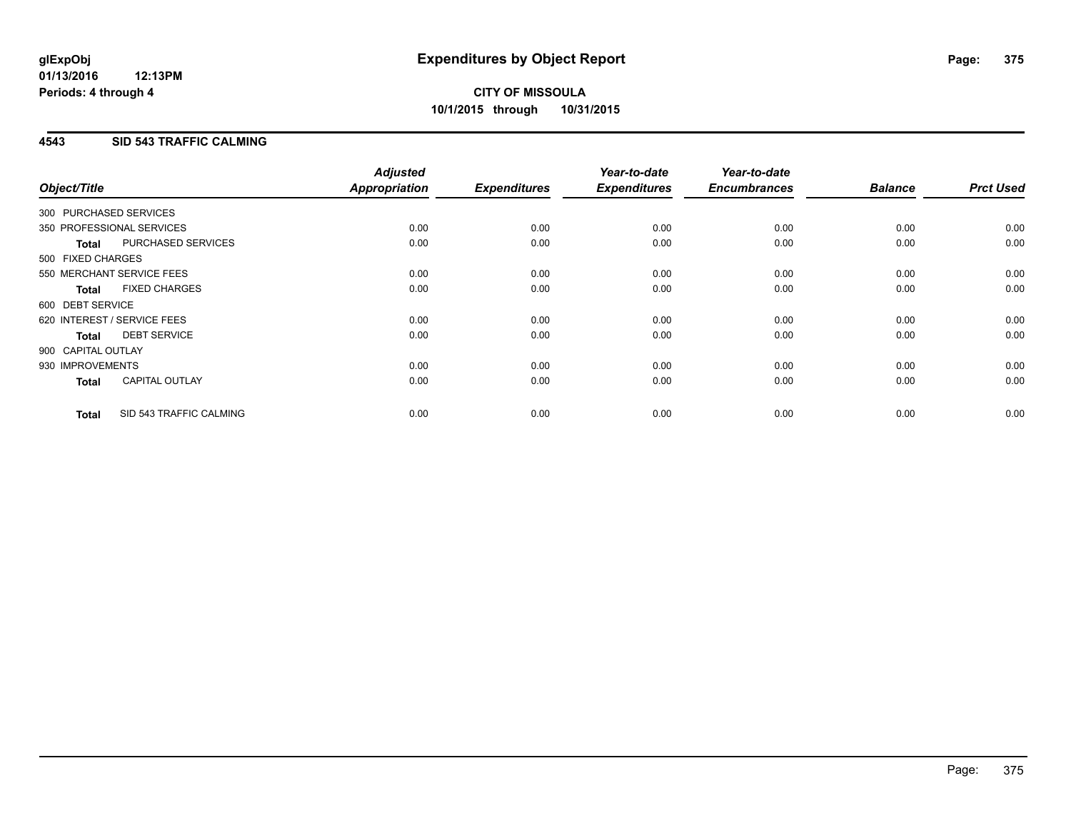# **CITY OF MISSOULA 10/1/2015 through 10/31/2015**

### **4543 SID 543 TRAFFIC CALMING**

| Object/Title           |                             | <b>Adjusted</b><br>Appropriation | <b>Expenditures</b> | Year-to-date<br><b>Expenditures</b> | Year-to-date<br><b>Encumbrances</b> | <b>Balance</b> | <b>Prct Used</b> |
|------------------------|-----------------------------|----------------------------------|---------------------|-------------------------------------|-------------------------------------|----------------|------------------|
| 300 PURCHASED SERVICES |                             |                                  |                     |                                     |                                     |                |                  |
|                        | 350 PROFESSIONAL SERVICES   | 0.00                             | 0.00                | 0.00                                | 0.00                                | 0.00           | 0.00             |
| <b>Total</b>           | PURCHASED SERVICES          | 0.00                             | 0.00                | 0.00                                | 0.00                                | 0.00           | 0.00             |
| 500 FIXED CHARGES      |                             |                                  |                     |                                     |                                     |                |                  |
|                        | 550 MERCHANT SERVICE FEES   | 0.00                             | 0.00                | 0.00                                | 0.00                                | 0.00           | 0.00             |
| <b>Total</b>           | <b>FIXED CHARGES</b>        | 0.00                             | 0.00                | 0.00                                | 0.00                                | 0.00           | 0.00             |
| 600 DEBT SERVICE       |                             |                                  |                     |                                     |                                     |                |                  |
|                        | 620 INTEREST / SERVICE FEES | 0.00                             | 0.00                | 0.00                                | 0.00                                | 0.00           | 0.00             |
| Total                  | <b>DEBT SERVICE</b>         | 0.00                             | 0.00                | 0.00                                | 0.00                                | 0.00           | 0.00             |
| 900 CAPITAL OUTLAY     |                             |                                  |                     |                                     |                                     |                |                  |
| 930 IMPROVEMENTS       |                             | 0.00                             | 0.00                | 0.00                                | 0.00                                | 0.00           | 0.00             |
| <b>Total</b>           | <b>CAPITAL OUTLAY</b>       | 0.00                             | 0.00                | 0.00                                | 0.00                                | 0.00           | 0.00             |
| <b>Total</b>           | SID 543 TRAFFIC CALMING     | 0.00                             | 0.00                | 0.00                                | 0.00                                | 0.00           | 0.00             |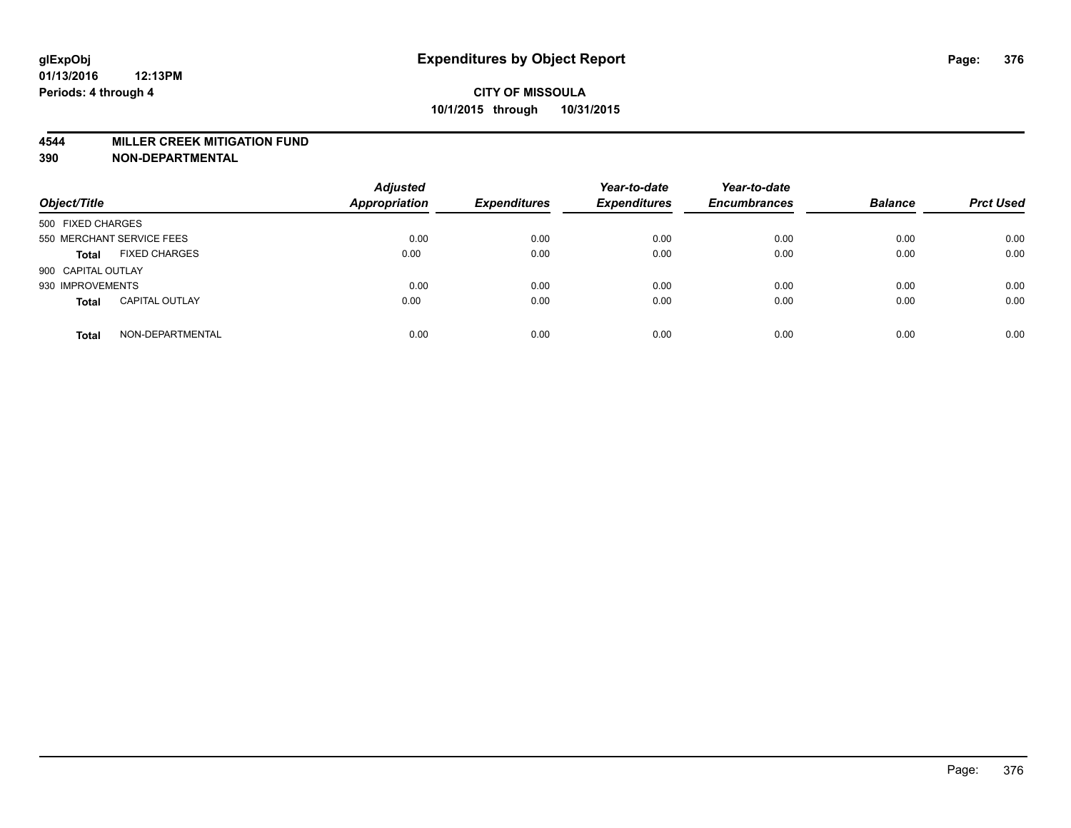#### **4544 MILLER CREEK MITIGATION FUND**

| Object/Title                          | <b>Adjusted</b><br><b>Appropriation</b> | <b>Expenditures</b> | Year-to-date<br><b>Expenditures</b> | Year-to-date<br><b>Encumbrances</b> | <b>Balance</b> | <b>Prct Used</b> |
|---------------------------------------|-----------------------------------------|---------------------|-------------------------------------|-------------------------------------|----------------|------------------|
| 500 FIXED CHARGES                     |                                         |                     |                                     |                                     |                |                  |
| 550 MERCHANT SERVICE FEES             | 0.00                                    | 0.00                | 0.00                                | 0.00                                | 0.00           | 0.00             |
| <b>FIXED CHARGES</b><br><b>Total</b>  | 0.00                                    | 0.00                | 0.00                                | 0.00                                | 0.00           | 0.00             |
| 900 CAPITAL OUTLAY                    |                                         |                     |                                     |                                     |                |                  |
| 930 IMPROVEMENTS                      | 0.00                                    | 0.00                | 0.00                                | 0.00                                | 0.00           | 0.00             |
| <b>CAPITAL OUTLAY</b><br><b>Total</b> | 0.00                                    | 0.00                | 0.00                                | 0.00                                | 0.00           | 0.00             |
| NON-DEPARTMENTAL<br><b>Total</b>      | 0.00                                    | 0.00                | 0.00                                | 0.00                                | 0.00           | 0.00             |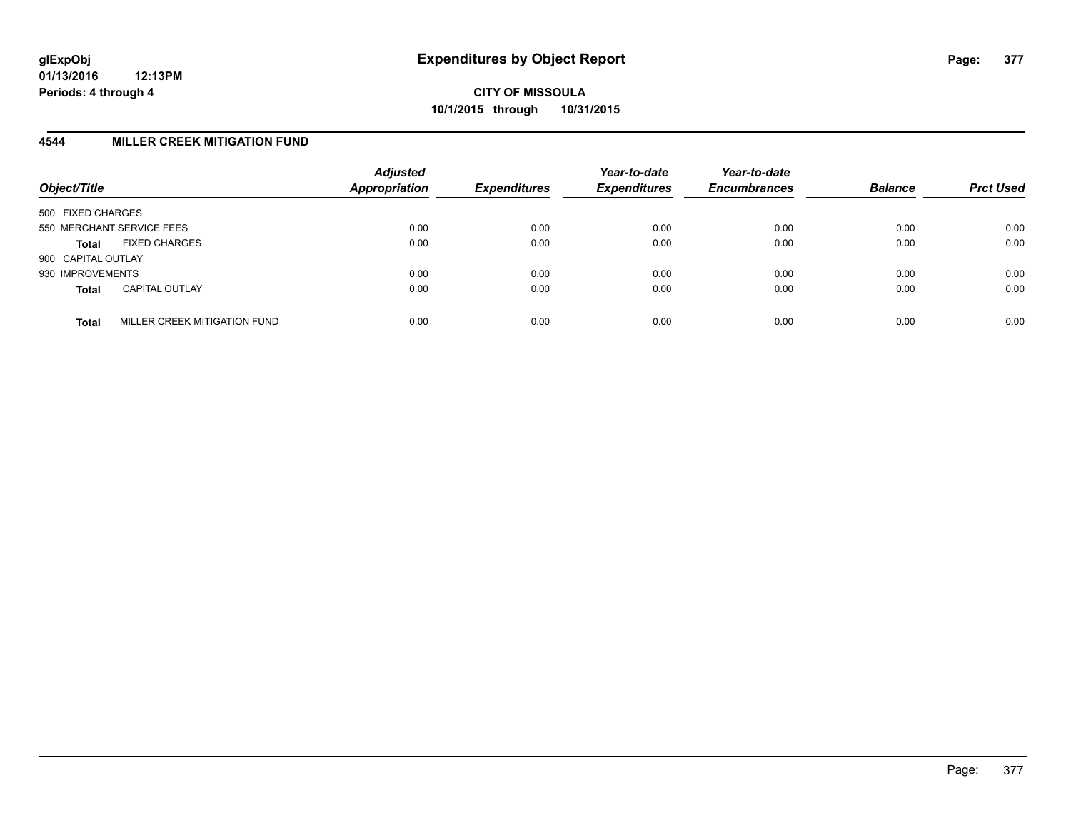### **4544 MILLER CREEK MITIGATION FUND**

| Object/Title       |                              | <b>Adjusted</b><br><b>Appropriation</b> | <b>Expenditures</b> | Year-to-date<br><b>Expenditures</b> | Year-to-date<br><b>Encumbrances</b> | <b>Balance</b> | <b>Prct Used</b> |
|--------------------|------------------------------|-----------------------------------------|---------------------|-------------------------------------|-------------------------------------|----------------|------------------|
| 500 FIXED CHARGES  |                              |                                         |                     |                                     |                                     |                |                  |
|                    | 550 MERCHANT SERVICE FEES    | 0.00                                    | 0.00                | 0.00                                | 0.00                                | 0.00           | 0.00             |
| <b>Total</b>       | <b>FIXED CHARGES</b>         | 0.00                                    | 0.00                | 0.00                                | 0.00                                | 0.00           | 0.00             |
| 900 CAPITAL OUTLAY |                              |                                         |                     |                                     |                                     |                |                  |
| 930 IMPROVEMENTS   |                              | 0.00                                    | 0.00                | 0.00                                | 0.00                                | 0.00           | 0.00             |
| <b>Total</b>       | <b>CAPITAL OUTLAY</b>        | 0.00                                    | 0.00                | 0.00                                | 0.00                                | 0.00           | 0.00             |
| <b>Total</b>       | MILLER CREEK MITIGATION FUND | 0.00                                    | 0.00                | 0.00                                | 0.00                                | 0.00           | 0.00             |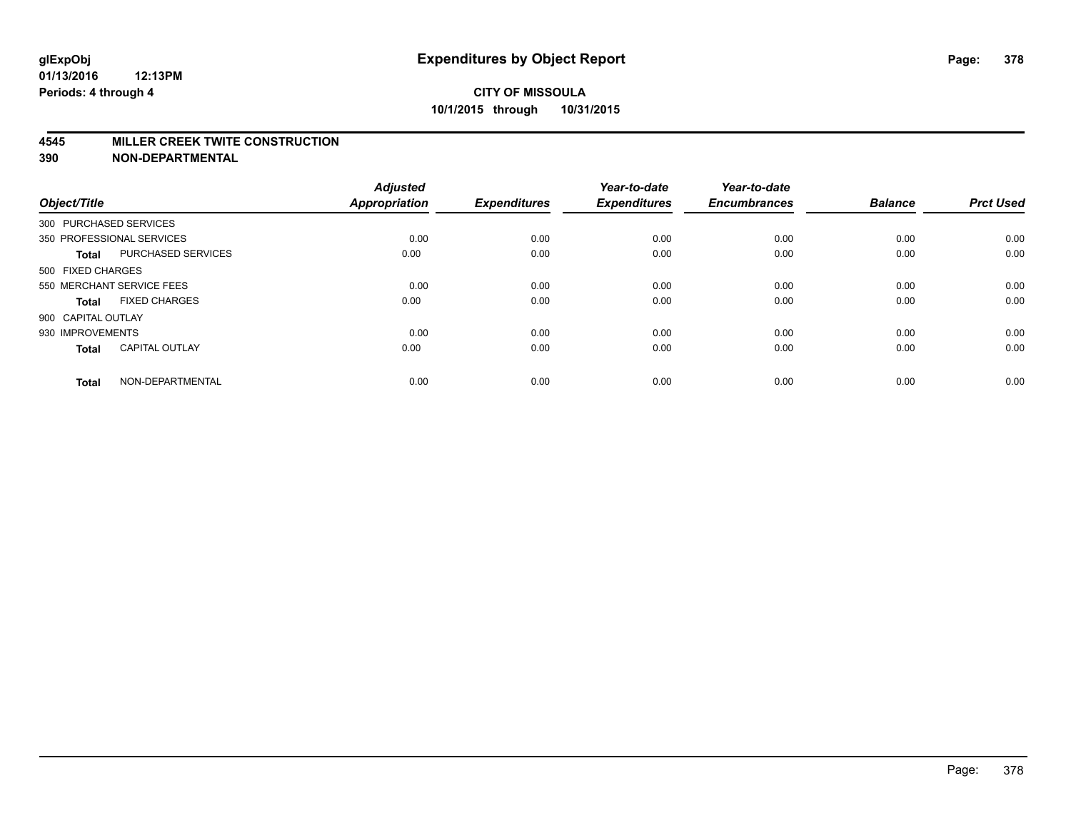#### **4545 MILLER CREEK TWITE CONSTRUCTION**

| Object/Title           |                           | <b>Adjusted</b><br><b>Appropriation</b> | <b>Expenditures</b> | Year-to-date<br><b>Expenditures</b> | Year-to-date<br><b>Encumbrances</b> | <b>Balance</b> | <b>Prct Used</b> |
|------------------------|---------------------------|-----------------------------------------|---------------------|-------------------------------------|-------------------------------------|----------------|------------------|
| 300 PURCHASED SERVICES |                           |                                         |                     |                                     |                                     |                |                  |
|                        | 350 PROFESSIONAL SERVICES | 0.00                                    | 0.00                | 0.00                                | 0.00                                | 0.00           | 0.00             |
| <b>Total</b>           | <b>PURCHASED SERVICES</b> | 0.00                                    | 0.00                | 0.00                                | 0.00                                | 0.00           | 0.00             |
| 500 FIXED CHARGES      |                           |                                         |                     |                                     |                                     |                |                  |
|                        | 550 MERCHANT SERVICE FEES | 0.00                                    | 0.00                | 0.00                                | 0.00                                | 0.00           | 0.00             |
| Total                  | <b>FIXED CHARGES</b>      | 0.00                                    | 0.00                | 0.00                                | 0.00                                | 0.00           | 0.00             |
| 900 CAPITAL OUTLAY     |                           |                                         |                     |                                     |                                     |                |                  |
| 930 IMPROVEMENTS       |                           | 0.00                                    | 0.00                | 0.00                                | 0.00                                | 0.00           | 0.00             |
| Total                  | <b>CAPITAL OUTLAY</b>     | 0.00                                    | 0.00                | 0.00                                | 0.00                                | 0.00           | 0.00             |
| <b>Total</b>           | NON-DEPARTMENTAL          | 0.00                                    | 0.00                | 0.00                                | 0.00                                | 0.00           | 0.00             |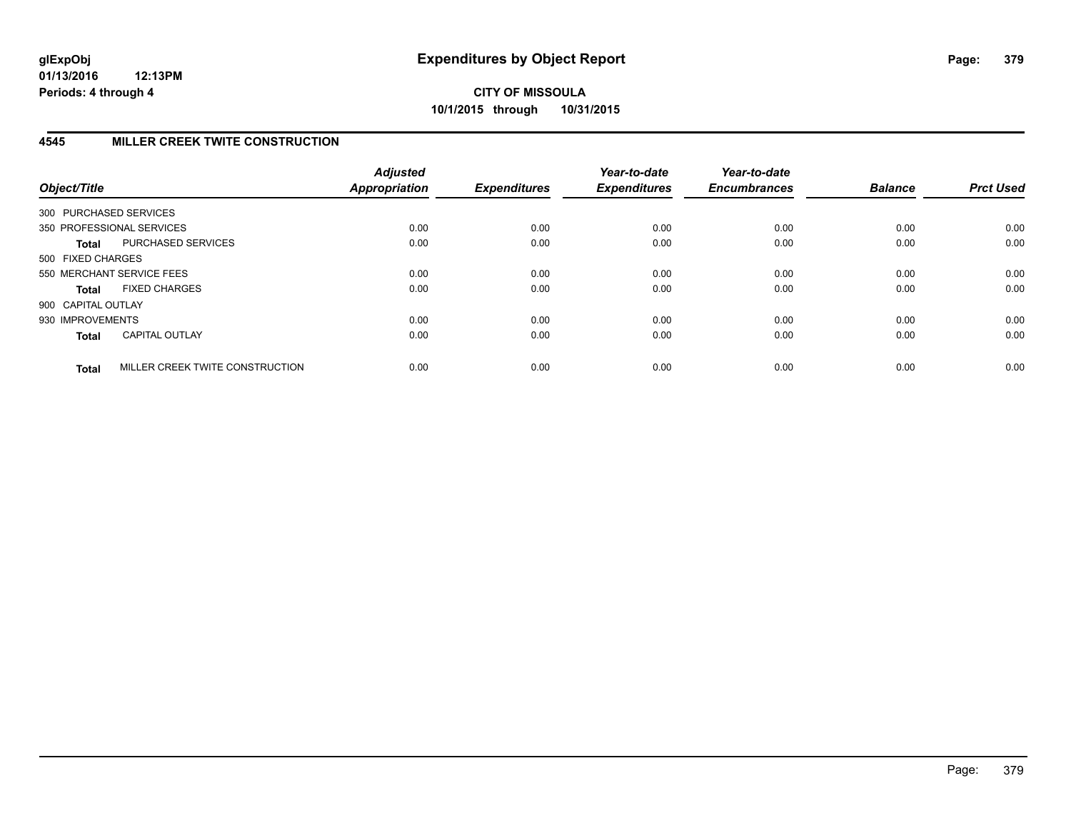## **4545 MILLER CREEK TWITE CONSTRUCTION**

| Object/Title           |                                 | <b>Adjusted</b><br>Appropriation | <b>Expenditures</b> | Year-to-date<br><b>Expenditures</b> | Year-to-date<br><b>Encumbrances</b> | <b>Balance</b> | <b>Prct Used</b> |
|------------------------|---------------------------------|----------------------------------|---------------------|-------------------------------------|-------------------------------------|----------------|------------------|
| 300 PURCHASED SERVICES |                                 |                                  |                     |                                     |                                     |                |                  |
|                        | 350 PROFESSIONAL SERVICES       | 0.00                             | 0.00                | 0.00                                | 0.00                                | 0.00           | 0.00             |
| <b>Total</b>           | PURCHASED SERVICES              | 0.00                             | 0.00                | 0.00                                | 0.00                                | 0.00           | 0.00             |
| 500 FIXED CHARGES      |                                 |                                  |                     |                                     |                                     |                |                  |
|                        | 550 MERCHANT SERVICE FEES       | 0.00                             | 0.00                | 0.00                                | 0.00                                | 0.00           | 0.00             |
| <b>Total</b>           | <b>FIXED CHARGES</b>            | 0.00                             | 0.00                | 0.00                                | 0.00                                | 0.00           | 0.00             |
| 900 CAPITAL OUTLAY     |                                 |                                  |                     |                                     |                                     |                |                  |
| 930 IMPROVEMENTS       |                                 | 0.00                             | 0.00                | 0.00                                | 0.00                                | 0.00           | 0.00             |
| <b>Total</b>           | <b>CAPITAL OUTLAY</b>           | 0.00                             | 0.00                | 0.00                                | 0.00                                | 0.00           | 0.00             |
| <b>Total</b>           | MILLER CREEK TWITE CONSTRUCTION | 0.00                             | 0.00                | 0.00                                | 0.00                                | 0.00           | 0.00             |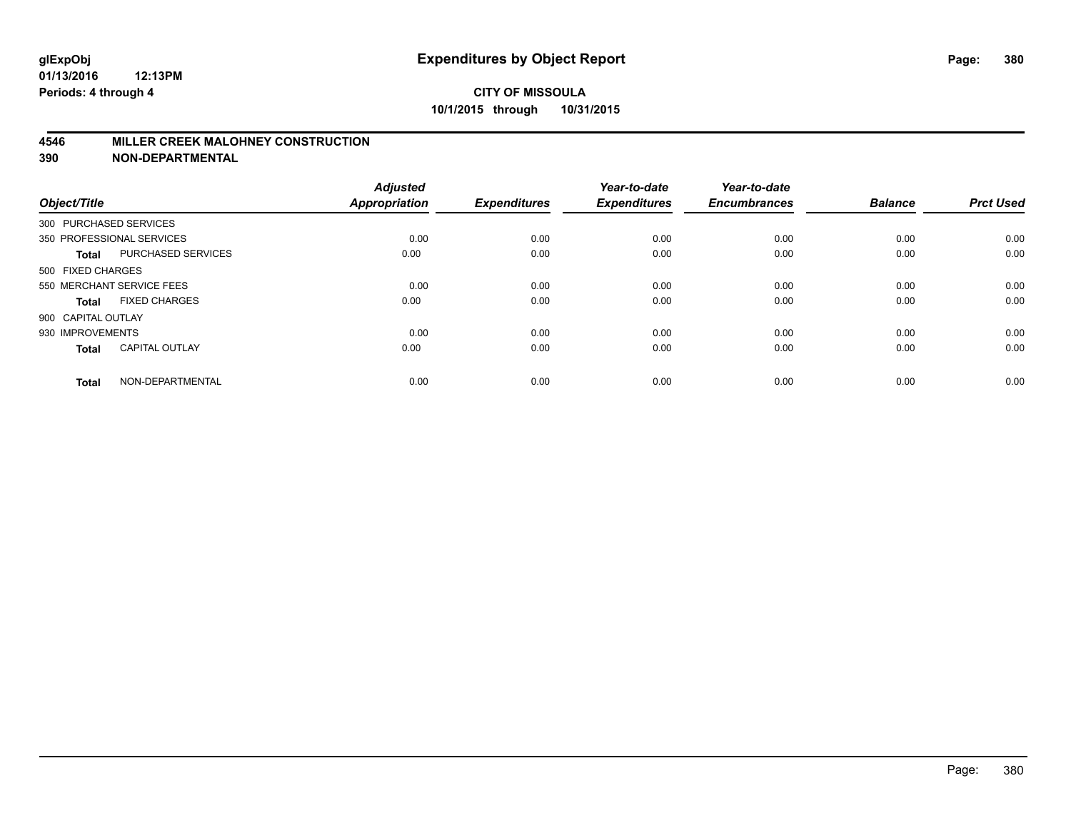#### **4546 MILLER CREEK MALOHNEY CONSTRUCTION**

| Object/Title       |                           | <b>Adjusted</b><br><b>Appropriation</b> | <b>Expenditures</b> | Year-to-date<br><b>Expenditures</b> | Year-to-date<br><b>Encumbrances</b> | <b>Balance</b> | <b>Prct Used</b> |
|--------------------|---------------------------|-----------------------------------------|---------------------|-------------------------------------|-------------------------------------|----------------|------------------|
|                    | 300 PURCHASED SERVICES    |                                         |                     |                                     |                                     |                |                  |
|                    | 350 PROFESSIONAL SERVICES | 0.00                                    | 0.00                | 0.00                                | 0.00                                | 0.00           | 0.00             |
| <b>Total</b>       | <b>PURCHASED SERVICES</b> | 0.00                                    | 0.00                | 0.00                                | 0.00                                | 0.00           | 0.00             |
| 500 FIXED CHARGES  |                           |                                         |                     |                                     |                                     |                |                  |
|                    | 550 MERCHANT SERVICE FEES | 0.00                                    | 0.00                | 0.00                                | 0.00                                | 0.00           | 0.00             |
| Total              | <b>FIXED CHARGES</b>      | 0.00                                    | 0.00                | 0.00                                | 0.00                                | 0.00           | 0.00             |
| 900 CAPITAL OUTLAY |                           |                                         |                     |                                     |                                     |                |                  |
| 930 IMPROVEMENTS   |                           | 0.00                                    | 0.00                | 0.00                                | 0.00                                | 0.00           | 0.00             |
| Total              | <b>CAPITAL OUTLAY</b>     | 0.00                                    | 0.00                | 0.00                                | 0.00                                | 0.00           | 0.00             |
| <b>Total</b>       | NON-DEPARTMENTAL          | 0.00                                    | 0.00                | 0.00                                | 0.00                                | 0.00           | 0.00             |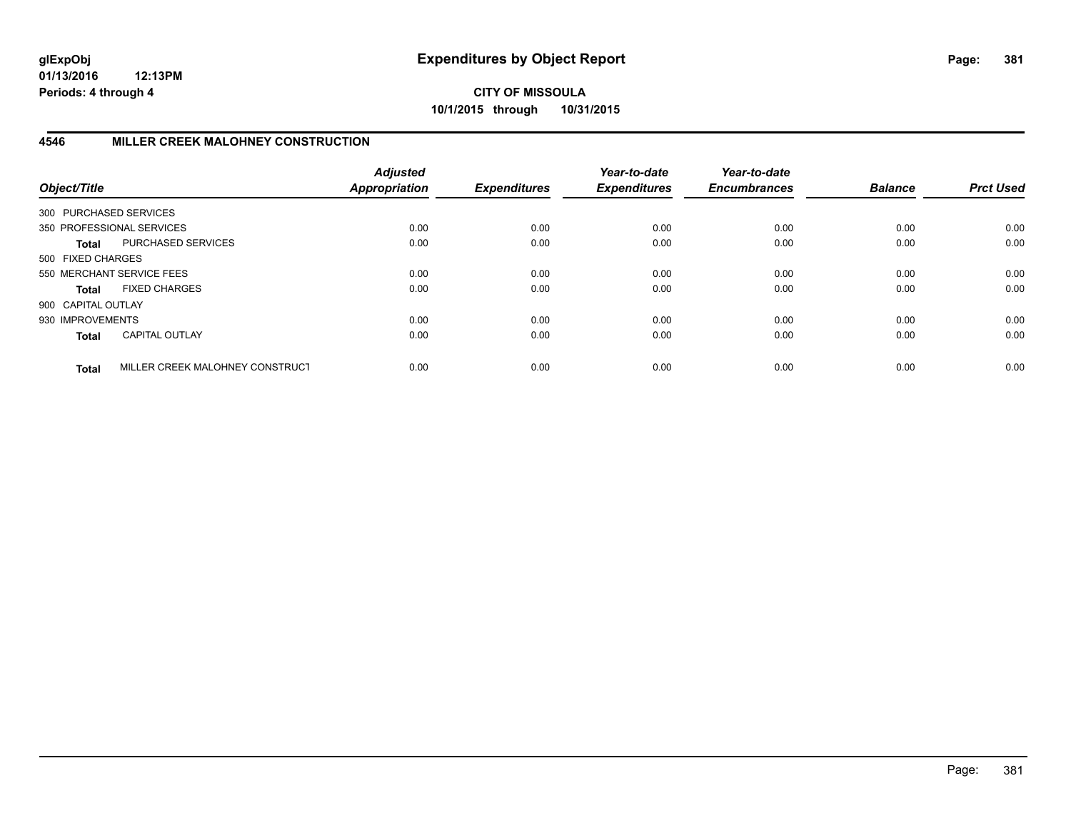## **CITY OF MISSOULA 10/1/2015 through 10/31/2015**

# **4546 MILLER CREEK MALOHNEY CONSTRUCTION**

| Object/Title           |                                 | <b>Adjusted</b><br><b>Appropriation</b> | <b>Expenditures</b> | Year-to-date<br><b>Expenditures</b> | Year-to-date<br><b>Encumbrances</b> | <b>Balance</b> | <b>Prct Used</b> |
|------------------------|---------------------------------|-----------------------------------------|---------------------|-------------------------------------|-------------------------------------|----------------|------------------|
| 300 PURCHASED SERVICES |                                 |                                         |                     |                                     |                                     |                |                  |
|                        | 350 PROFESSIONAL SERVICES       | 0.00                                    | 0.00                | 0.00                                | 0.00                                | 0.00           | 0.00             |
| <b>Total</b>           | PURCHASED SERVICES              | 0.00                                    | 0.00                | 0.00                                | 0.00                                | 0.00           | 0.00             |
| 500 FIXED CHARGES      |                                 |                                         |                     |                                     |                                     |                |                  |
|                        | 550 MERCHANT SERVICE FEES       | 0.00                                    | 0.00                | 0.00                                | 0.00                                | 0.00           | 0.00             |
| <b>Total</b>           | <b>FIXED CHARGES</b>            | 0.00                                    | 0.00                | 0.00                                | 0.00                                | 0.00           | 0.00             |
| 900 CAPITAL OUTLAY     |                                 |                                         |                     |                                     |                                     |                |                  |
| 930 IMPROVEMENTS       |                                 | 0.00                                    | 0.00                | 0.00                                | 0.00                                | 0.00           | 0.00             |
| <b>Total</b>           | CAPITAL OUTLAY                  | 0.00                                    | 0.00                | 0.00                                | 0.00                                | 0.00           | 0.00             |
| <b>Total</b>           | MILLER CREEK MALOHNEY CONSTRUCT | 0.00                                    | 0.00                | 0.00                                | 0.00                                | 0.00           | 0.00             |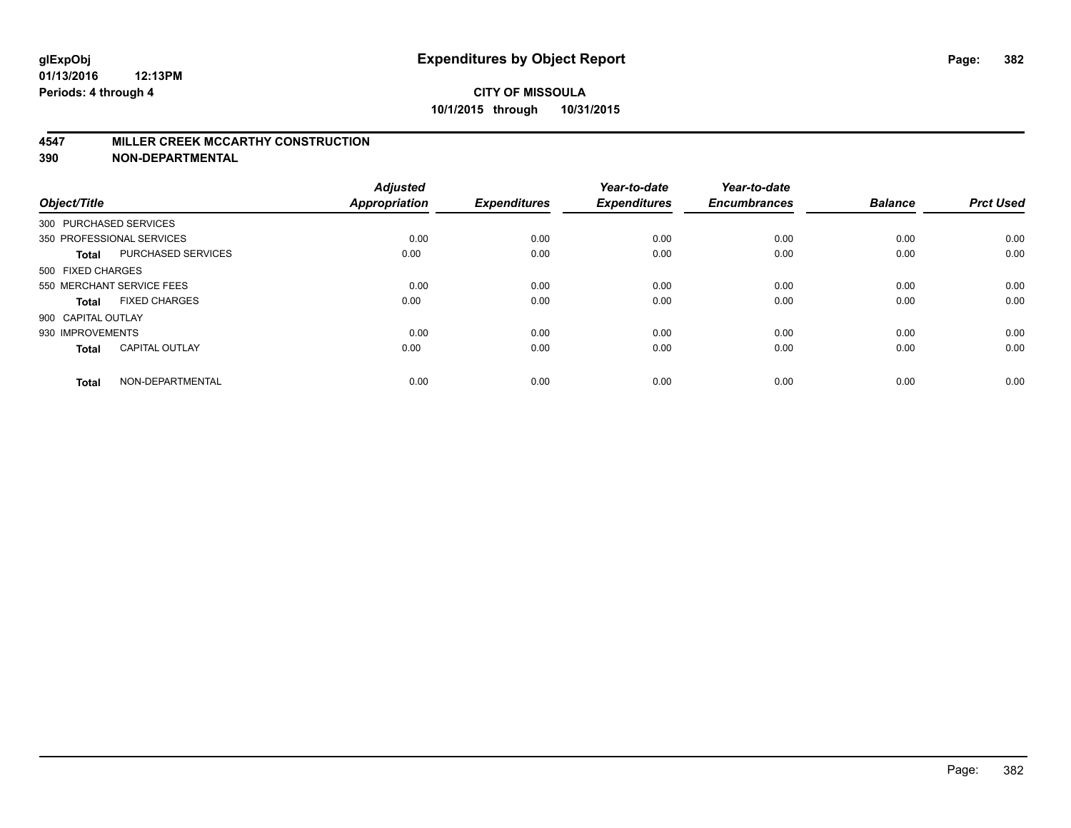#### **4547 MILLER CREEK MCCARTHY CONSTRUCTION**

| Object/Title       |                           | <b>Adjusted</b><br><b>Appropriation</b> | <b>Expenditures</b> | Year-to-date<br><b>Expenditures</b> | Year-to-date<br><b>Encumbrances</b> | <b>Balance</b> | <b>Prct Used</b> |
|--------------------|---------------------------|-----------------------------------------|---------------------|-------------------------------------|-------------------------------------|----------------|------------------|
|                    | 300 PURCHASED SERVICES    |                                         |                     |                                     |                                     |                |                  |
|                    | 350 PROFESSIONAL SERVICES | 0.00                                    | 0.00                | 0.00                                | 0.00                                | 0.00           | 0.00             |
| <b>Total</b>       | <b>PURCHASED SERVICES</b> | 0.00                                    | 0.00                | 0.00                                | 0.00                                | 0.00           | 0.00             |
| 500 FIXED CHARGES  |                           |                                         |                     |                                     |                                     |                |                  |
|                    | 550 MERCHANT SERVICE FEES | 0.00                                    | 0.00                | 0.00                                | 0.00                                | 0.00           | 0.00             |
| Total              | <b>FIXED CHARGES</b>      | 0.00                                    | 0.00                | 0.00                                | 0.00                                | 0.00           | 0.00             |
| 900 CAPITAL OUTLAY |                           |                                         |                     |                                     |                                     |                |                  |
| 930 IMPROVEMENTS   |                           | 0.00                                    | 0.00                | 0.00                                | 0.00                                | 0.00           | 0.00             |
| Total              | <b>CAPITAL OUTLAY</b>     | 0.00                                    | 0.00                | 0.00                                | 0.00                                | 0.00           | 0.00             |
| <b>Total</b>       | NON-DEPARTMENTAL          | 0.00                                    | 0.00                | 0.00                                | 0.00                                | 0.00           | 0.00             |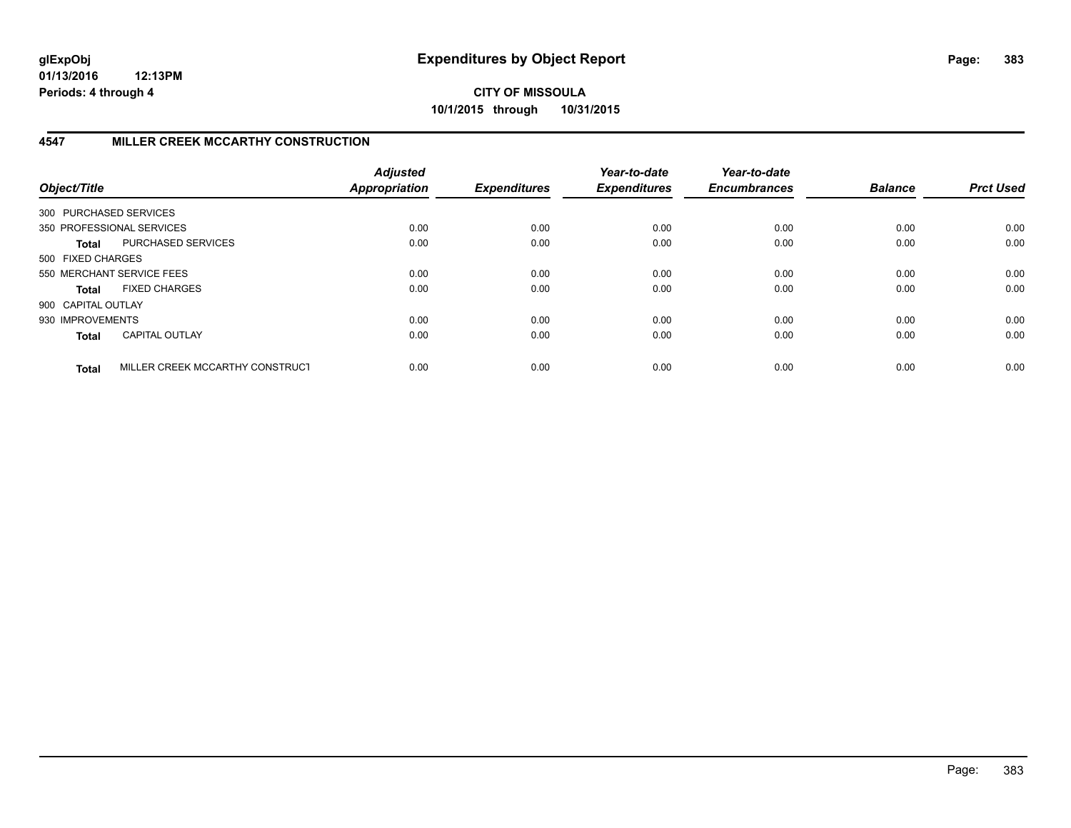**CITY OF MISSOULA 10/1/2015 through 10/31/2015**

## **4547 MILLER CREEK MCCARTHY CONSTRUCTION**

| Object/Title           |                                 | <b>Adjusted</b><br><b>Appropriation</b> | <b>Expenditures</b> | Year-to-date<br><b>Expenditures</b> | Year-to-date<br><b>Encumbrances</b> | <b>Balance</b> | <b>Prct Used</b> |
|------------------------|---------------------------------|-----------------------------------------|---------------------|-------------------------------------|-------------------------------------|----------------|------------------|
| 300 PURCHASED SERVICES |                                 |                                         |                     |                                     |                                     |                |                  |
|                        | 350 PROFESSIONAL SERVICES       | 0.00                                    | 0.00                | 0.00                                | 0.00                                | 0.00           | 0.00             |
| <b>Total</b>           | PURCHASED SERVICES              | 0.00                                    | 0.00                | 0.00                                | 0.00                                | 0.00           | 0.00             |
| 500 FIXED CHARGES      |                                 |                                         |                     |                                     |                                     |                |                  |
|                        | 550 MERCHANT SERVICE FEES       | 0.00                                    | 0.00                | 0.00                                | 0.00                                | 0.00           | 0.00             |
| <b>Total</b>           | <b>FIXED CHARGES</b>            | 0.00                                    | 0.00                | 0.00                                | 0.00                                | 0.00           | 0.00             |
| 900 CAPITAL OUTLAY     |                                 |                                         |                     |                                     |                                     |                |                  |
| 930 IMPROVEMENTS       |                                 | 0.00                                    | 0.00                | 0.00                                | 0.00                                | 0.00           | 0.00             |
| <b>Total</b>           | <b>CAPITAL OUTLAY</b>           | 0.00                                    | 0.00                | 0.00                                | 0.00                                | 0.00           | 0.00             |
| <b>Total</b>           | MILLER CREEK MCCARTHY CONSTRUCT | 0.00                                    | 0.00                | 0.00                                | 0.00                                | 0.00           | 0.00             |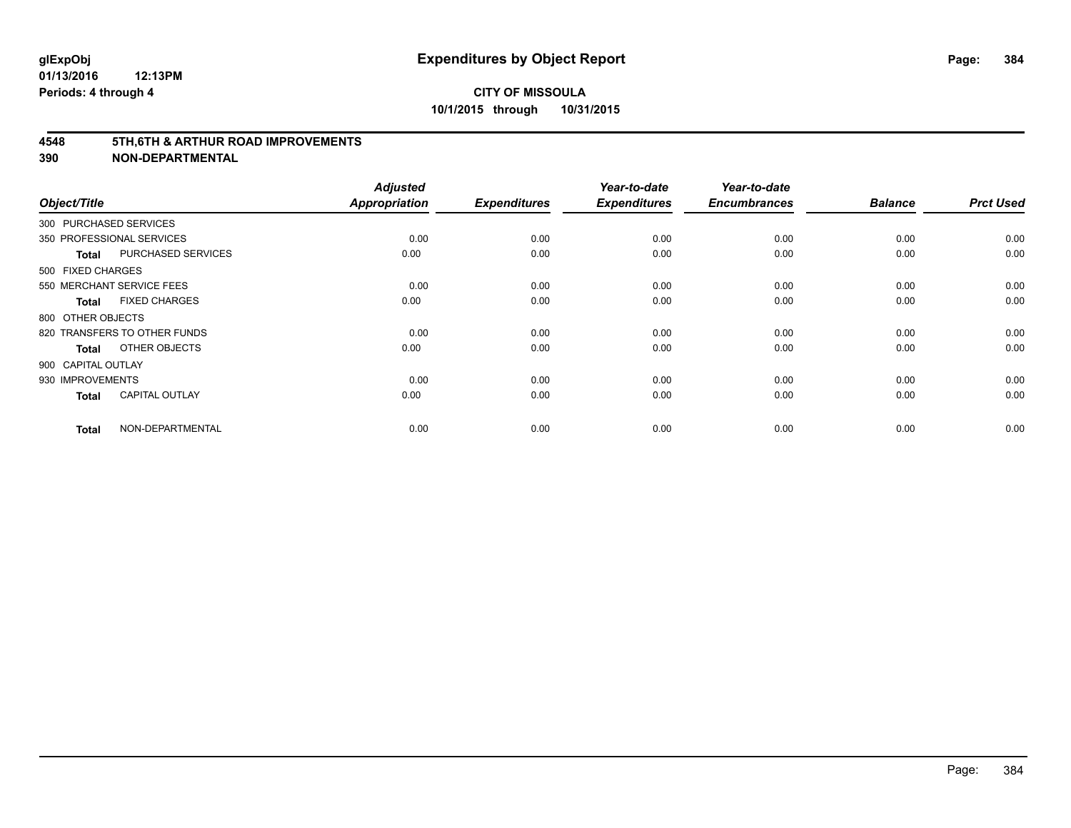#### **4548 5TH,6TH & ARTHUR ROAD IMPROVEMENTS**

| Object/Title           |                              | <b>Adjusted</b><br><b>Appropriation</b> | <b>Expenditures</b> | Year-to-date<br><b>Expenditures</b> | Year-to-date<br><b>Encumbrances</b> | <b>Balance</b> | <b>Prct Used</b> |
|------------------------|------------------------------|-----------------------------------------|---------------------|-------------------------------------|-------------------------------------|----------------|------------------|
| 300 PURCHASED SERVICES |                              |                                         |                     |                                     |                                     |                |                  |
|                        | 350 PROFESSIONAL SERVICES    | 0.00                                    | 0.00                | 0.00                                | 0.00                                | 0.00           | 0.00             |
| <b>Total</b>           | PURCHASED SERVICES           | 0.00                                    | 0.00                | 0.00                                | 0.00                                | 0.00           | 0.00             |
| 500 FIXED CHARGES      |                              |                                         |                     |                                     |                                     |                |                  |
|                        | 550 MERCHANT SERVICE FEES    | 0.00                                    | 0.00                | 0.00                                | 0.00                                | 0.00           | 0.00             |
| <b>Total</b>           | <b>FIXED CHARGES</b>         | 0.00                                    | 0.00                | 0.00                                | 0.00                                | 0.00           | 0.00             |
| 800 OTHER OBJECTS      |                              |                                         |                     |                                     |                                     |                |                  |
|                        | 820 TRANSFERS TO OTHER FUNDS | 0.00                                    | 0.00                | 0.00                                | 0.00                                | 0.00           | 0.00             |
| <b>Total</b>           | OTHER OBJECTS                | 0.00                                    | 0.00                | 0.00                                | 0.00                                | 0.00           | 0.00             |
| 900 CAPITAL OUTLAY     |                              |                                         |                     |                                     |                                     |                |                  |
| 930 IMPROVEMENTS       |                              | 0.00                                    | 0.00                | 0.00                                | 0.00                                | 0.00           | 0.00             |
| <b>Total</b>           | <b>CAPITAL OUTLAY</b>        | 0.00                                    | 0.00                | 0.00                                | 0.00                                | 0.00           | 0.00             |
| <b>Total</b>           | NON-DEPARTMENTAL             | 0.00                                    | 0.00                | 0.00                                | 0.00                                | 0.00           | 0.00             |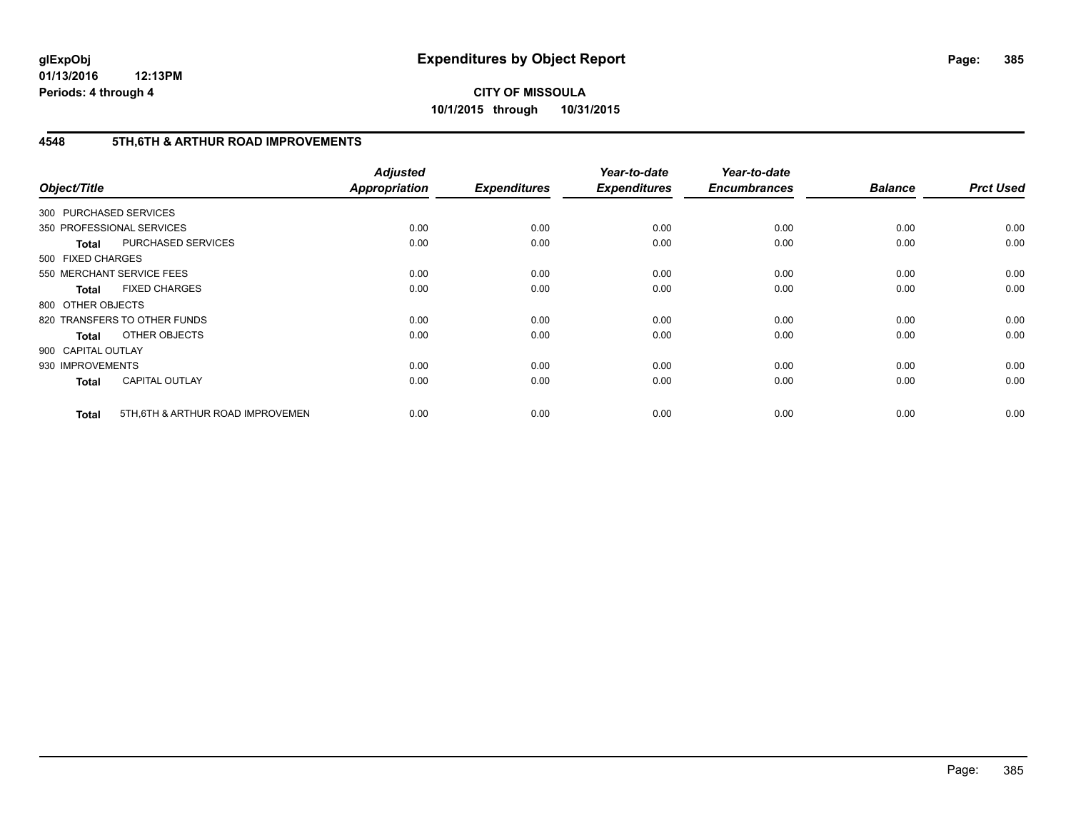## **CITY OF MISSOULA 10/1/2015 through 10/31/2015**

## **4548 5TH,6TH & ARTHUR ROAD IMPROVEMENTS**

| Object/Title           |                                   | <b>Adjusted</b><br><b>Appropriation</b> | <b>Expenditures</b> | Year-to-date<br><b>Expenditures</b> | Year-to-date<br><b>Encumbrances</b> | <b>Balance</b> | <b>Prct Used</b> |
|------------------------|-----------------------------------|-----------------------------------------|---------------------|-------------------------------------|-------------------------------------|----------------|------------------|
| 300 PURCHASED SERVICES |                                   |                                         |                     |                                     |                                     |                |                  |
|                        | 350 PROFESSIONAL SERVICES         | 0.00                                    | 0.00                | 0.00                                | 0.00                                | 0.00           | 0.00             |
| <b>Total</b>           | PURCHASED SERVICES                | 0.00                                    | 0.00                | 0.00                                | 0.00                                | 0.00           | 0.00             |
| 500 FIXED CHARGES      |                                   |                                         |                     |                                     |                                     |                |                  |
|                        | 550 MERCHANT SERVICE FEES         | 0.00                                    | 0.00                | 0.00                                | 0.00                                | 0.00           | 0.00             |
| <b>Total</b>           | <b>FIXED CHARGES</b>              | 0.00                                    | 0.00                | 0.00                                | 0.00                                | 0.00           | 0.00             |
| 800 OTHER OBJECTS      |                                   |                                         |                     |                                     |                                     |                |                  |
|                        | 820 TRANSFERS TO OTHER FUNDS      | 0.00                                    | 0.00                | 0.00                                | 0.00                                | 0.00           | 0.00             |
| <b>Total</b>           | OTHER OBJECTS                     | 0.00                                    | 0.00                | 0.00                                | 0.00                                | 0.00           | 0.00             |
| 900 CAPITAL OUTLAY     |                                   |                                         |                     |                                     |                                     |                |                  |
| 930 IMPROVEMENTS       |                                   | 0.00                                    | 0.00                | 0.00                                | 0.00                                | 0.00           | 0.00             |
| <b>Total</b>           | <b>CAPITAL OUTLAY</b>             | 0.00                                    | 0.00                | 0.00                                | 0.00                                | 0.00           | 0.00             |
| <b>Total</b>           | 5TH, 6TH & ARTHUR ROAD IMPROVEMEN | 0.00                                    | 0.00                | 0.00                                | 0.00                                | 0.00           | 0.00             |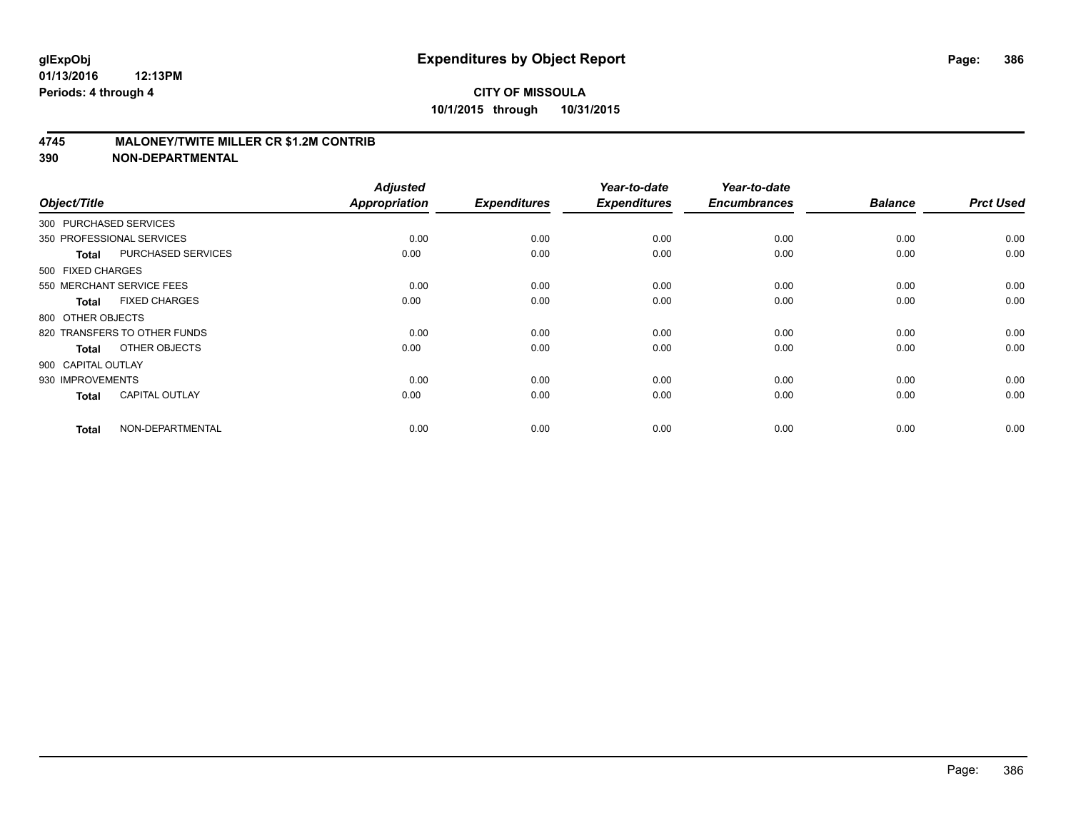### **4745 MALONEY/TWITE MILLER CR \$1.2M CONTRIB**

| Object/Title           |                              | <b>Adjusted</b><br><b>Appropriation</b> | <b>Expenditures</b> | Year-to-date<br><b>Expenditures</b> | Year-to-date<br><b>Encumbrances</b> | <b>Balance</b> | <b>Prct Used</b> |
|------------------------|------------------------------|-----------------------------------------|---------------------|-------------------------------------|-------------------------------------|----------------|------------------|
| 300 PURCHASED SERVICES |                              |                                         |                     |                                     |                                     |                |                  |
|                        | 350 PROFESSIONAL SERVICES    | 0.00                                    | 0.00                | 0.00                                | 0.00                                | 0.00           | 0.00             |
| <b>Total</b>           | PURCHASED SERVICES           | 0.00                                    | 0.00                | 0.00                                | 0.00                                | 0.00           | 0.00             |
| 500 FIXED CHARGES      |                              |                                         |                     |                                     |                                     |                |                  |
|                        | 550 MERCHANT SERVICE FEES    | 0.00                                    | 0.00                | 0.00                                | 0.00                                | 0.00           | 0.00             |
| <b>Total</b>           | <b>FIXED CHARGES</b>         | 0.00                                    | 0.00                | 0.00                                | 0.00                                | 0.00           | 0.00             |
| 800 OTHER OBJECTS      |                              |                                         |                     |                                     |                                     |                |                  |
|                        | 820 TRANSFERS TO OTHER FUNDS | 0.00                                    | 0.00                | 0.00                                | 0.00                                | 0.00           | 0.00             |
| <b>Total</b>           | OTHER OBJECTS                | 0.00                                    | 0.00                | 0.00                                | 0.00                                | 0.00           | 0.00             |
| 900 CAPITAL OUTLAY     |                              |                                         |                     |                                     |                                     |                |                  |
| 930 IMPROVEMENTS       |                              | 0.00                                    | 0.00                | 0.00                                | 0.00                                | 0.00           | 0.00             |
| <b>Total</b>           | <b>CAPITAL OUTLAY</b>        | 0.00                                    | 0.00                | 0.00                                | 0.00                                | 0.00           | 0.00             |
| <b>Total</b>           | NON-DEPARTMENTAL             | 0.00                                    | 0.00                | 0.00                                | 0.00                                | 0.00           | 0.00             |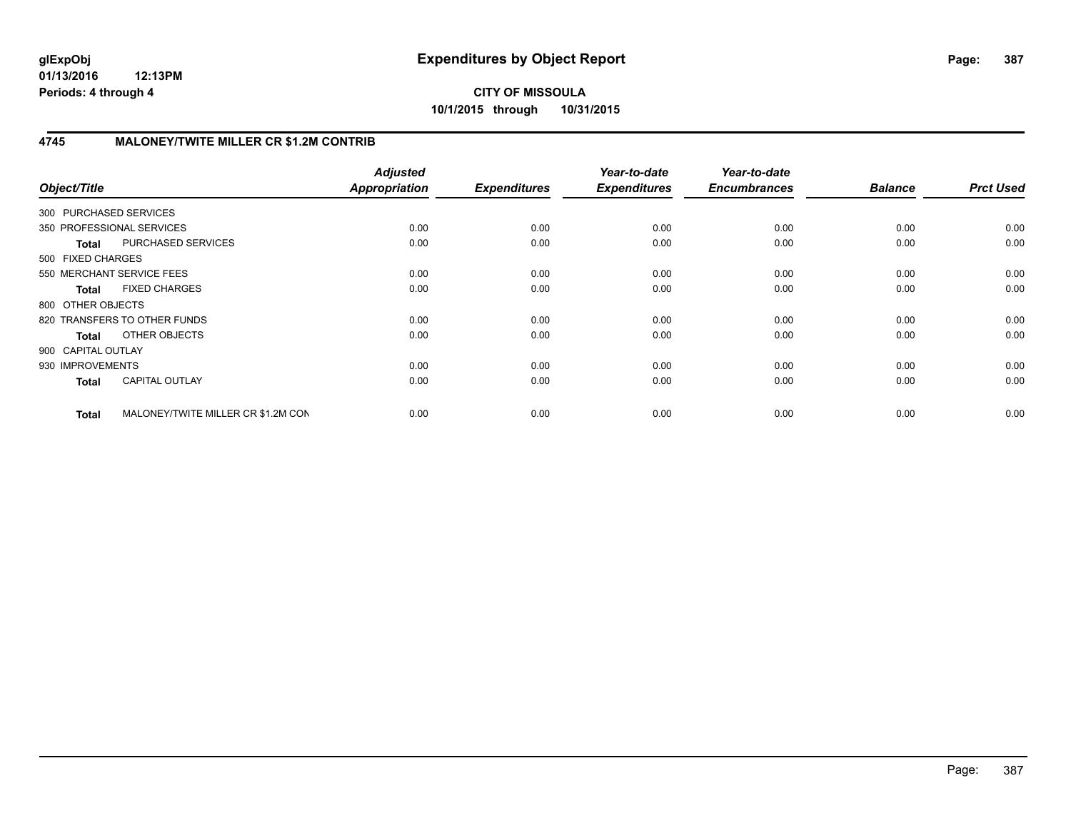**CITY OF MISSOULA 10/1/2015 through 10/31/2015**

## **4745 MALONEY/TWITE MILLER CR \$1.2M CONTRIB**

| Object/Title              |                                    | <b>Adjusted</b><br><b>Appropriation</b> | <b>Expenditures</b> | Year-to-date<br><b>Expenditures</b> | Year-to-date<br><b>Encumbrances</b> | <b>Balance</b> | <b>Prct Used</b> |
|---------------------------|------------------------------------|-----------------------------------------|---------------------|-------------------------------------|-------------------------------------|----------------|------------------|
| 300 PURCHASED SERVICES    |                                    |                                         |                     |                                     |                                     |                |                  |
| 350 PROFESSIONAL SERVICES |                                    | 0.00                                    | 0.00                | 0.00                                | 0.00                                | 0.00           | 0.00             |
| <b>Total</b>              | PURCHASED SERVICES                 | 0.00                                    | 0.00                | 0.00                                | 0.00                                | 0.00           | 0.00             |
| 500 FIXED CHARGES         |                                    |                                         |                     |                                     |                                     |                |                  |
| 550 MERCHANT SERVICE FEES |                                    | 0.00                                    | 0.00                | 0.00                                | 0.00                                | 0.00           | 0.00             |
| <b>Total</b>              | <b>FIXED CHARGES</b>               | 0.00                                    | 0.00                | 0.00                                | 0.00                                | 0.00           | 0.00             |
| 800 OTHER OBJECTS         |                                    |                                         |                     |                                     |                                     |                |                  |
|                           | 820 TRANSFERS TO OTHER FUNDS       | 0.00                                    | 0.00                | 0.00                                | 0.00                                | 0.00           | 0.00             |
| Total                     | OTHER OBJECTS                      | 0.00                                    | 0.00                | 0.00                                | 0.00                                | 0.00           | 0.00             |
| 900 CAPITAL OUTLAY        |                                    |                                         |                     |                                     |                                     |                |                  |
| 930 IMPROVEMENTS          |                                    | 0.00                                    | 0.00                | 0.00                                | 0.00                                | 0.00           | 0.00             |
| <b>Total</b>              | <b>CAPITAL OUTLAY</b>              | 0.00                                    | 0.00                | 0.00                                | 0.00                                | 0.00           | 0.00             |
| <b>Total</b>              | MALONEY/TWITE MILLER CR \$1.2M CON | 0.00                                    | 0.00                | 0.00                                | 0.00                                | 0.00           | 0.00             |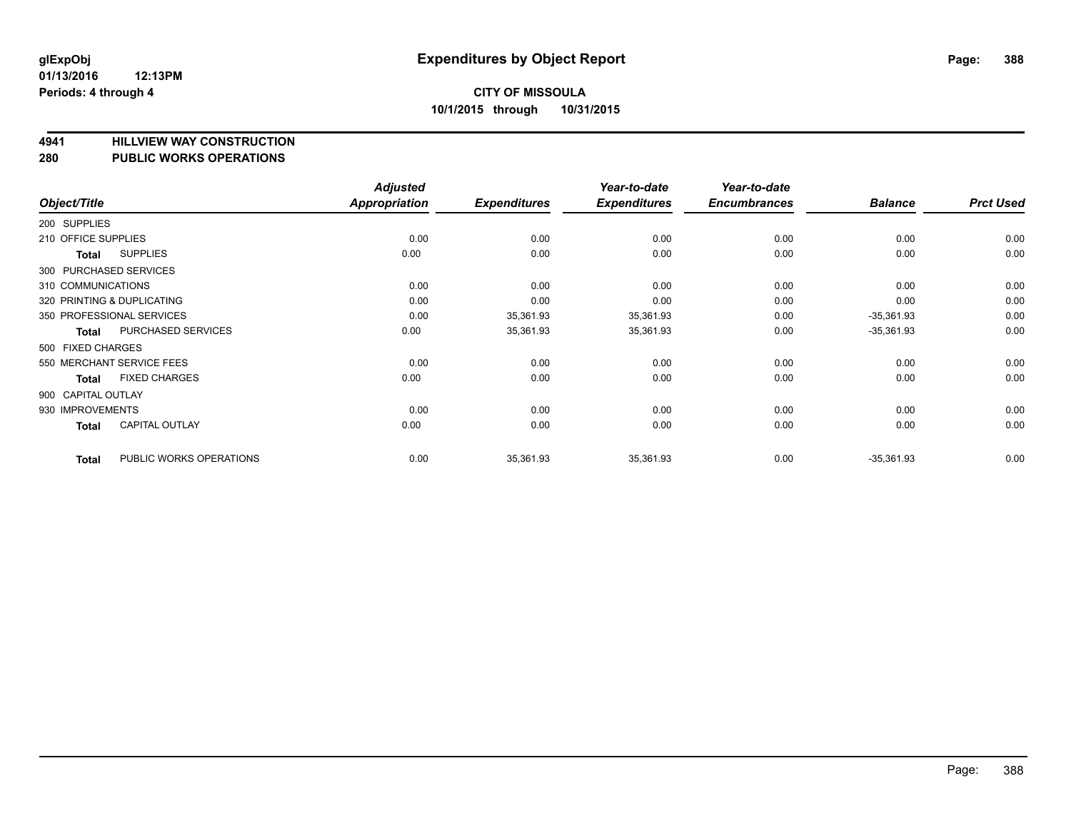# **4941 HILLVIEW WAY CONSTRUCTION**

#### **280 PUBLIC WORKS OPERATIONS**

| Object/Title        |                            | <b>Adjusted</b><br><b>Appropriation</b> | <b>Expenditures</b> | Year-to-date<br><b>Expenditures</b> | Year-to-date<br><b>Encumbrances</b> | <b>Balance</b> | <b>Prct Used</b> |
|---------------------|----------------------------|-----------------------------------------|---------------------|-------------------------------------|-------------------------------------|----------------|------------------|
| 200 SUPPLIES        |                            |                                         |                     |                                     |                                     |                |                  |
| 210 OFFICE SUPPLIES |                            | 0.00                                    | 0.00                | 0.00                                | 0.00                                | 0.00           | 0.00             |
| Total               | <b>SUPPLIES</b>            | 0.00                                    | 0.00                | 0.00                                | 0.00                                | 0.00           | 0.00             |
|                     | 300 PURCHASED SERVICES     |                                         |                     |                                     |                                     |                |                  |
| 310 COMMUNICATIONS  |                            | 0.00                                    | 0.00                | 0.00                                | 0.00                                | 0.00           | 0.00             |
|                     | 320 PRINTING & DUPLICATING | 0.00                                    | 0.00                | 0.00                                | 0.00                                | 0.00           | 0.00             |
|                     | 350 PROFESSIONAL SERVICES  | 0.00                                    | 35,361.93           | 35,361.93                           | 0.00                                | $-35,361.93$   | 0.00             |
| Total               | <b>PURCHASED SERVICES</b>  | 0.00                                    | 35,361.93           | 35,361.93                           | 0.00                                | $-35,361.93$   | 0.00             |
| 500 FIXED CHARGES   |                            |                                         |                     |                                     |                                     |                |                  |
|                     | 550 MERCHANT SERVICE FEES  | 0.00                                    | 0.00                | 0.00                                | 0.00                                | 0.00           | 0.00             |
| Total               | <b>FIXED CHARGES</b>       | 0.00                                    | 0.00                | 0.00                                | 0.00                                | 0.00           | 0.00             |
| 900 CAPITAL OUTLAY  |                            |                                         |                     |                                     |                                     |                |                  |
| 930 IMPROVEMENTS    |                            | 0.00                                    | 0.00                | 0.00                                | 0.00                                | 0.00           | 0.00             |
| <b>Total</b>        | <b>CAPITAL OUTLAY</b>      | 0.00                                    | 0.00                | 0.00                                | 0.00                                | 0.00           | 0.00             |
| <b>Total</b>        | PUBLIC WORKS OPERATIONS    | 0.00                                    | 35,361.93           | 35,361.93                           | 0.00                                | $-35,361.93$   | 0.00             |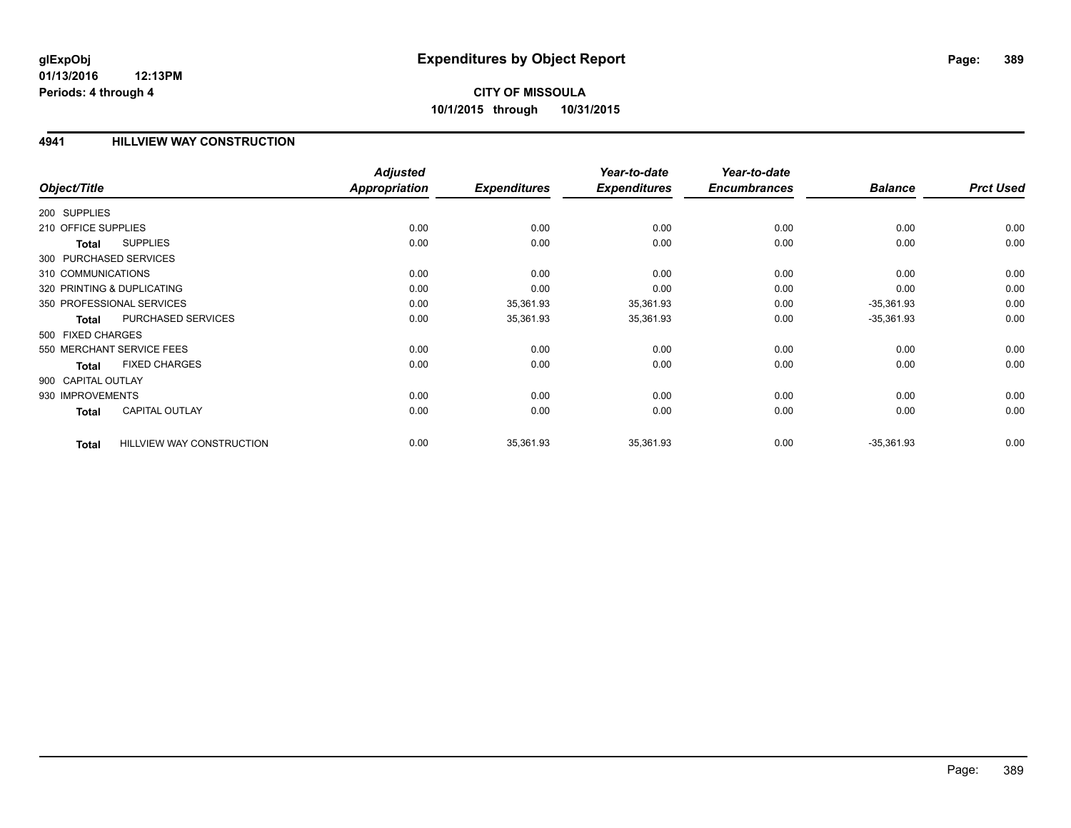# **CITY OF MISSOULA 10/1/2015 through 10/31/2015**

### **4941 HILLVIEW WAY CONSTRUCTION**

|                     |                                  | <b>Adjusted</b> |                     | Year-to-date        | Year-to-date        |                |                  |
|---------------------|----------------------------------|-----------------|---------------------|---------------------|---------------------|----------------|------------------|
| Object/Title        |                                  | Appropriation   | <b>Expenditures</b> | <b>Expenditures</b> | <b>Encumbrances</b> | <b>Balance</b> | <b>Prct Used</b> |
| 200 SUPPLIES        |                                  |                 |                     |                     |                     |                |                  |
| 210 OFFICE SUPPLIES |                                  | 0.00            | 0.00                | 0.00                | 0.00                | 0.00           | 0.00             |
| <b>Total</b>        | <b>SUPPLIES</b>                  | 0.00            | 0.00                | 0.00                | 0.00                | 0.00           | 0.00             |
|                     | 300 PURCHASED SERVICES           |                 |                     |                     |                     |                |                  |
| 310 COMMUNICATIONS  |                                  | 0.00            | 0.00                | 0.00                | 0.00                | 0.00           | 0.00             |
|                     | 320 PRINTING & DUPLICATING       | 0.00            | 0.00                | 0.00                | 0.00                | 0.00           | 0.00             |
|                     | 350 PROFESSIONAL SERVICES        | 0.00            | 35,361.93           | 35,361.93           | 0.00                | $-35,361.93$   | 0.00             |
| <b>Total</b>        | PURCHASED SERVICES               | 0.00            | 35,361.93           | 35,361.93           | 0.00                | $-35,361.93$   | 0.00             |
| 500 FIXED CHARGES   |                                  |                 |                     |                     |                     |                |                  |
|                     | 550 MERCHANT SERVICE FEES        | 0.00            | 0.00                | 0.00                | 0.00                | 0.00           | 0.00             |
| <b>Total</b>        | <b>FIXED CHARGES</b>             | 0.00            | 0.00                | 0.00                | 0.00                | 0.00           | 0.00             |
| 900 CAPITAL OUTLAY  |                                  |                 |                     |                     |                     |                |                  |
| 930 IMPROVEMENTS    |                                  | 0.00            | 0.00                | 0.00                | 0.00                | 0.00           | 0.00             |
| <b>Total</b>        | <b>CAPITAL OUTLAY</b>            | 0.00            | 0.00                | 0.00                | 0.00                | 0.00           | 0.00             |
| <b>Total</b>        | <b>HILLVIEW WAY CONSTRUCTION</b> | 0.00            | 35,361.93           | 35,361.93           | 0.00                | $-35,361.93$   | 0.00             |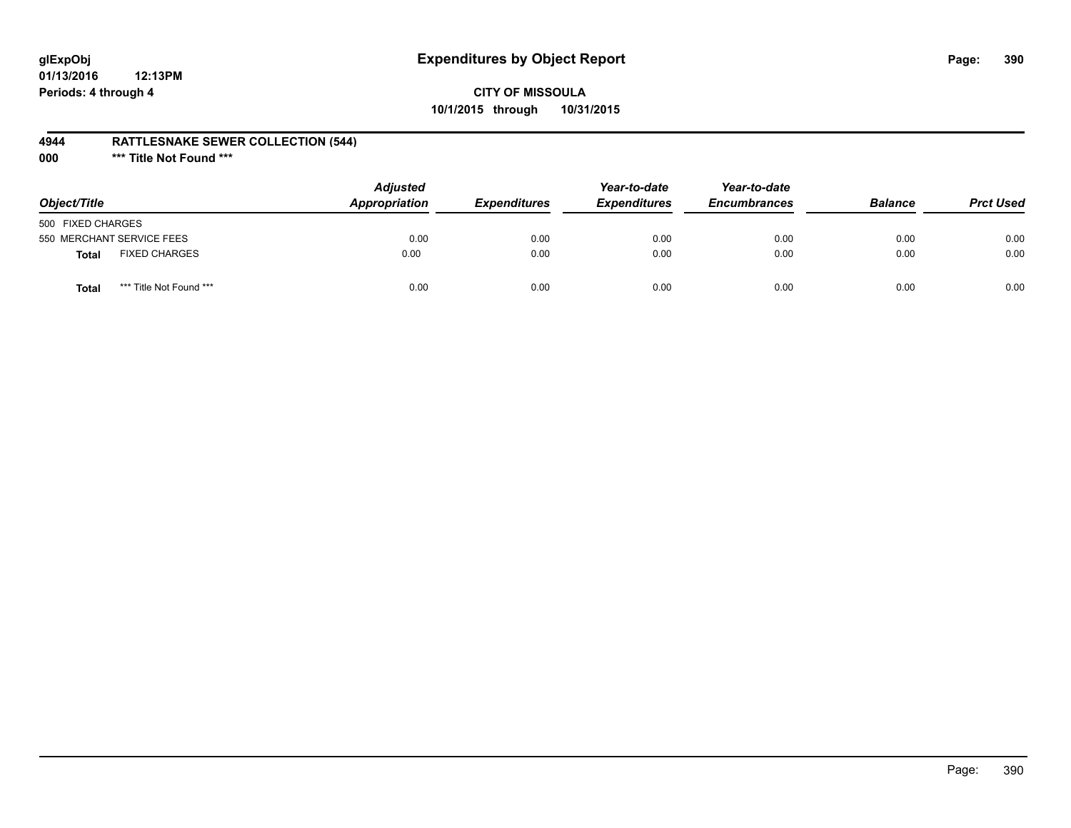# **glExpObj Expenditures by Object Report Page: 390**

## **CITY OF MISSOULA 10/1/2015 through 10/31/2015**

### **4944 RATTLESNAKE SEWER COLLECTION (544)**

**000 \*\*\* Title Not Found \*\*\***

| Object/Title                            | <b>Adjusted</b><br>Appropriation | <b>Expenditures</b> | Year-to-date<br><b>Expenditures</b> | Year-to-date<br><b>Encumbrances</b> | <b>Balance</b> | <b>Prct Used</b> |
|-----------------------------------------|----------------------------------|---------------------|-------------------------------------|-------------------------------------|----------------|------------------|
| 500 FIXED CHARGES                       |                                  |                     |                                     |                                     |                |                  |
| 550 MERCHANT SERVICE FEES               | 0.00                             | 0.00                | 0.00                                | 0.00                                | 0.00           | 0.00             |
| <b>FIXED CHARGES</b><br><b>Total</b>    | 0.00                             | 0.00                | 0.00                                | 0.00                                | 0.00           | 0.00             |
| *** Title Not Found ***<br><b>Total</b> | 0.00                             | 0.00                | 0.00                                | 0.00                                | 0.00           | 0.00             |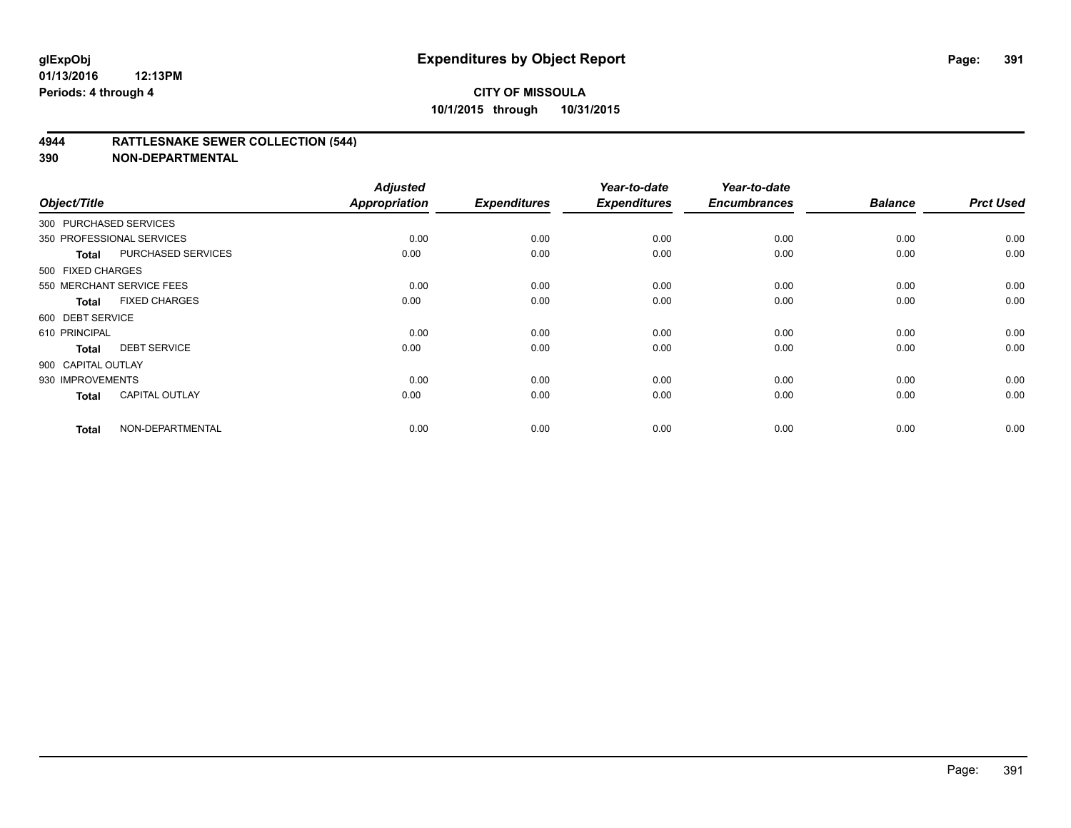### **4944 RATTLESNAKE SEWER COLLECTION (544)**

| Object/Title           |                           | <b>Adjusted</b><br><b>Appropriation</b> | <b>Expenditures</b> | Year-to-date<br><b>Expenditures</b> | Year-to-date<br><b>Encumbrances</b> | <b>Balance</b> | <b>Prct Used</b> |
|------------------------|---------------------------|-----------------------------------------|---------------------|-------------------------------------|-------------------------------------|----------------|------------------|
| 300 PURCHASED SERVICES |                           |                                         |                     |                                     |                                     |                |                  |
|                        | 350 PROFESSIONAL SERVICES | 0.00                                    | 0.00                | 0.00                                | 0.00                                | 0.00           | 0.00             |
| <b>Total</b>           | <b>PURCHASED SERVICES</b> | 0.00                                    | 0.00                | 0.00                                | 0.00                                | 0.00           | 0.00             |
| 500 FIXED CHARGES      |                           |                                         |                     |                                     |                                     |                |                  |
|                        | 550 MERCHANT SERVICE FEES | 0.00                                    | 0.00                | 0.00                                | 0.00                                | 0.00           | 0.00             |
| <b>Total</b>           | <b>FIXED CHARGES</b>      | 0.00                                    | 0.00                | 0.00                                | 0.00                                | 0.00           | 0.00             |
| 600 DEBT SERVICE       |                           |                                         |                     |                                     |                                     |                |                  |
| 610 PRINCIPAL          |                           | 0.00                                    | 0.00                | 0.00                                | 0.00                                | 0.00           | 0.00             |
| <b>Total</b>           | <b>DEBT SERVICE</b>       | 0.00                                    | 0.00                | 0.00                                | 0.00                                | 0.00           | 0.00             |
| 900 CAPITAL OUTLAY     |                           |                                         |                     |                                     |                                     |                |                  |
| 930 IMPROVEMENTS       |                           | 0.00                                    | 0.00                | 0.00                                | 0.00                                | 0.00           | 0.00             |
| <b>Total</b>           | <b>CAPITAL OUTLAY</b>     | 0.00                                    | 0.00                | 0.00                                | 0.00                                | 0.00           | 0.00             |
| <b>Total</b>           | NON-DEPARTMENTAL          | 0.00                                    | 0.00                | 0.00                                | 0.00                                | 0.00           | 0.00             |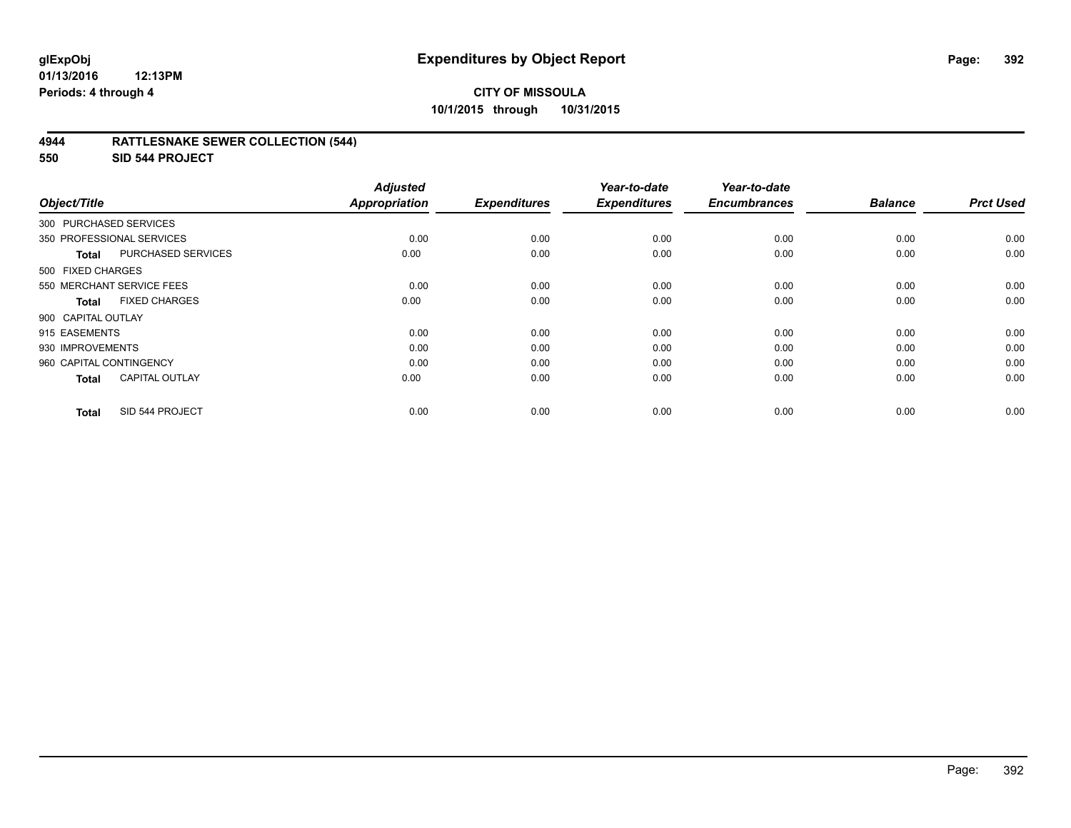## **CITY OF MISSOULA 10/1/2015 through 10/31/2015**

### **4944 RATTLESNAKE SEWER COLLECTION (544)**

**550 SID 544 PROJECT**

| Object/Title            |                           | <b>Adjusted</b><br><b>Appropriation</b> | <b>Expenditures</b> | Year-to-date<br><b>Expenditures</b> | Year-to-date<br><b>Encumbrances</b> | <b>Balance</b> | <b>Prct Used</b> |
|-------------------------|---------------------------|-----------------------------------------|---------------------|-------------------------------------|-------------------------------------|----------------|------------------|
| 300 PURCHASED SERVICES  |                           |                                         |                     |                                     |                                     |                |                  |
|                         | 350 PROFESSIONAL SERVICES | 0.00                                    | 0.00                | 0.00                                | 0.00                                | 0.00           | 0.00             |
| Total                   | PURCHASED SERVICES        | 0.00                                    | 0.00                | 0.00                                | 0.00                                | 0.00           | 0.00             |
| 500 FIXED CHARGES       |                           |                                         |                     |                                     |                                     |                |                  |
|                         | 550 MERCHANT SERVICE FEES | 0.00                                    | 0.00                | 0.00                                | 0.00                                | 0.00           | 0.00             |
| Total                   | <b>FIXED CHARGES</b>      | 0.00                                    | 0.00                | 0.00                                | 0.00                                | 0.00           | 0.00             |
| 900 CAPITAL OUTLAY      |                           |                                         |                     |                                     |                                     |                |                  |
| 915 EASEMENTS           |                           | 0.00                                    | 0.00                | 0.00                                | 0.00                                | 0.00           | 0.00             |
| 930 IMPROVEMENTS        |                           | 0.00                                    | 0.00                | 0.00                                | 0.00                                | 0.00           | 0.00             |
| 960 CAPITAL CONTINGENCY |                           | 0.00                                    | 0.00                | 0.00                                | 0.00                                | 0.00           | 0.00             |
| Total                   | <b>CAPITAL OUTLAY</b>     | 0.00                                    | 0.00                | 0.00                                | 0.00                                | 0.00           | 0.00             |
| <b>Total</b>            | SID 544 PROJECT           | 0.00                                    | 0.00                | 0.00                                | 0.00                                | 0.00           | 0.00             |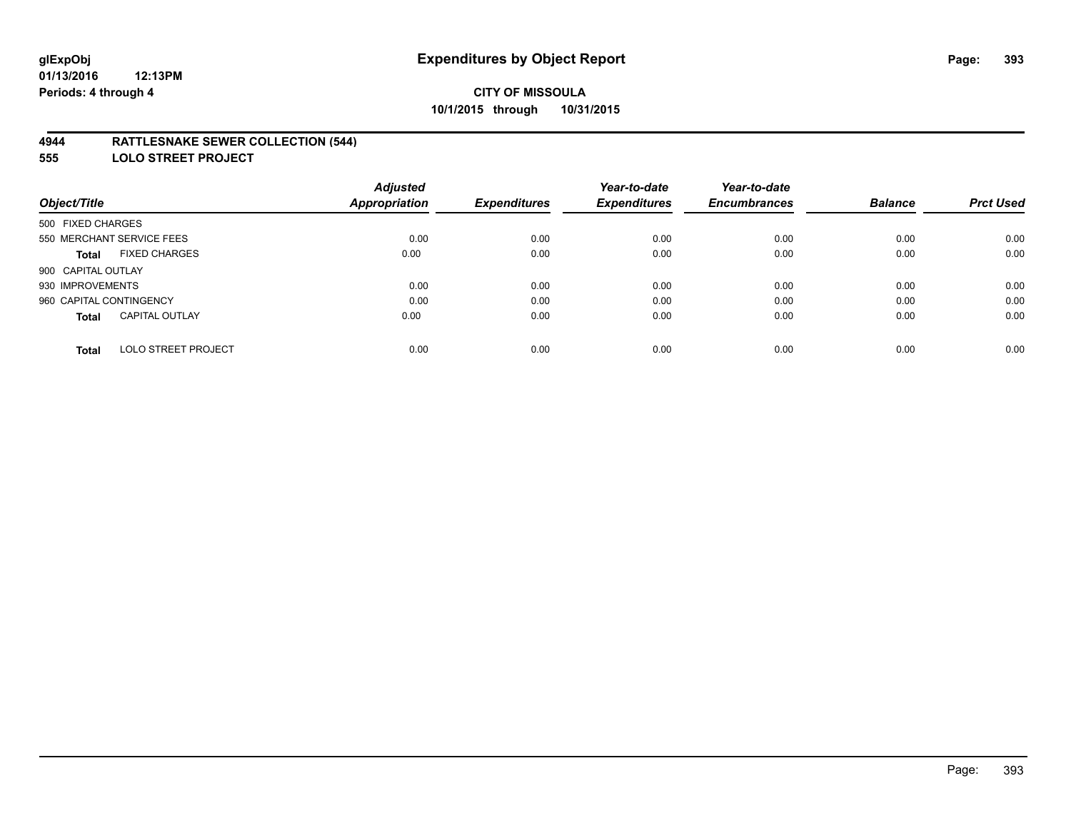### **4944 RATTLESNAKE SEWER COLLECTION (544)**

**555 LOLO STREET PROJECT**

|                                            | <b>Adjusted</b>      |                     | Year-to-date        | Year-to-date        |                |                  |
|--------------------------------------------|----------------------|---------------------|---------------------|---------------------|----------------|------------------|
| Object/Title                               | <b>Appropriation</b> | <b>Expenditures</b> | <b>Expenditures</b> | <b>Encumbrances</b> | <b>Balance</b> | <b>Prct Used</b> |
| 500 FIXED CHARGES                          |                      |                     |                     |                     |                |                  |
| 550 MERCHANT SERVICE FEES                  | 0.00                 | 0.00                | 0.00                | 0.00                | 0.00           | 0.00             |
| <b>FIXED CHARGES</b><br><b>Total</b>       | 0.00                 | 0.00                | 0.00                | 0.00                | 0.00           | 0.00             |
| 900 CAPITAL OUTLAY                         |                      |                     |                     |                     |                |                  |
| 930 IMPROVEMENTS                           | 0.00                 | 0.00                | 0.00                | 0.00                | 0.00           | 0.00             |
| 960 CAPITAL CONTINGENCY                    | 0.00                 | 0.00                | 0.00                | 0.00                | 0.00           | 0.00             |
| <b>CAPITAL OUTLAY</b><br><b>Total</b>      | 0.00                 | 0.00                | 0.00                | 0.00                | 0.00           | 0.00             |
| <b>LOLO STREET PROJECT</b><br><b>Total</b> | 0.00                 | 0.00                | 0.00                | 0.00                | 0.00           | 0.00             |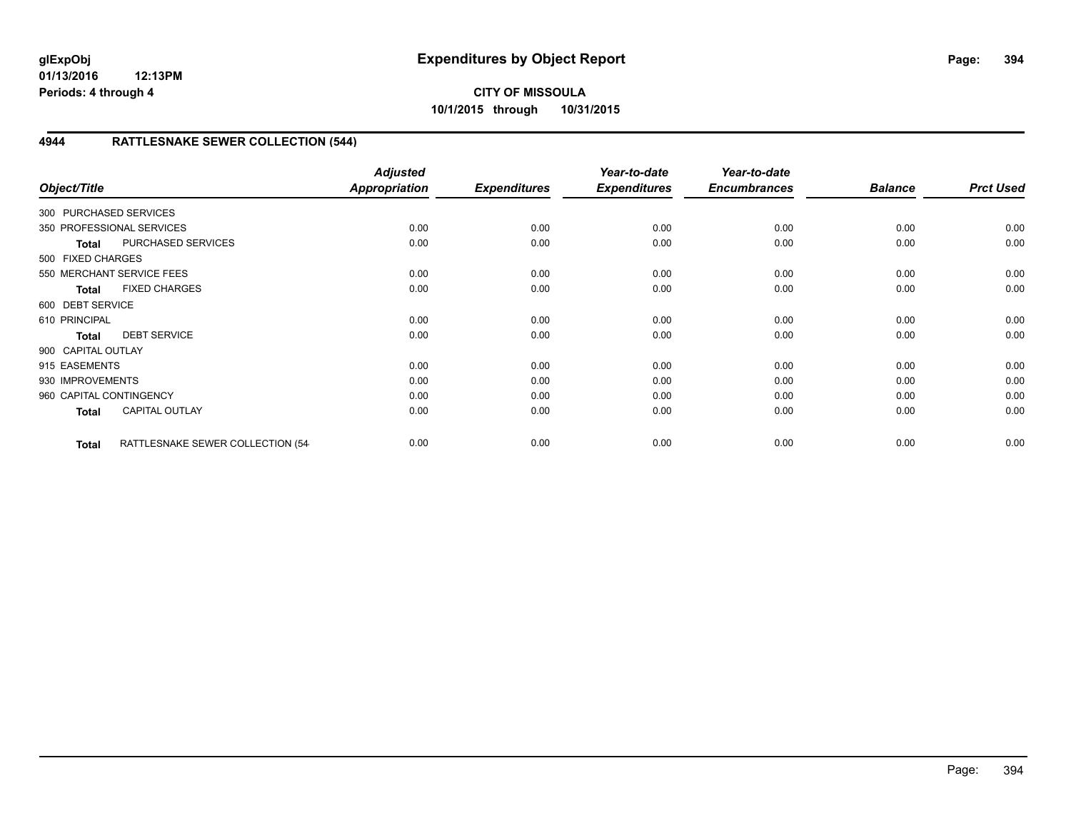# **4944 RATTLESNAKE SEWER COLLECTION (544)**

| Object/Title            |                                   | <b>Adjusted</b><br>Appropriation | <b>Expenditures</b> | Year-to-date<br><b>Expenditures</b> | Year-to-date<br><b>Encumbrances</b> | <b>Balance</b> | <b>Prct Used</b> |
|-------------------------|-----------------------------------|----------------------------------|---------------------|-------------------------------------|-------------------------------------|----------------|------------------|
| 300 PURCHASED SERVICES  |                                   |                                  |                     |                                     |                                     |                |                  |
|                         | 350 PROFESSIONAL SERVICES         | 0.00                             | 0.00                | 0.00                                | 0.00                                | 0.00           | 0.00             |
| <b>Total</b>            | PURCHASED SERVICES                | 0.00                             | 0.00                | 0.00                                | 0.00                                | 0.00           | 0.00             |
| 500 FIXED CHARGES       |                                   |                                  |                     |                                     |                                     |                |                  |
|                         | 550 MERCHANT SERVICE FEES         | 0.00                             | 0.00                | 0.00                                | 0.00                                | 0.00           | 0.00             |
| <b>Total</b>            | <b>FIXED CHARGES</b>              | 0.00                             | 0.00                | 0.00                                | 0.00                                | 0.00           | 0.00             |
| 600 DEBT SERVICE        |                                   |                                  |                     |                                     |                                     |                |                  |
| 610 PRINCIPAL           |                                   | 0.00                             | 0.00                | 0.00                                | 0.00                                | 0.00           | 0.00             |
| <b>Total</b>            | <b>DEBT SERVICE</b>               | 0.00                             | 0.00                | 0.00                                | 0.00                                | 0.00           | 0.00             |
| 900 CAPITAL OUTLAY      |                                   |                                  |                     |                                     |                                     |                |                  |
| 915 EASEMENTS           |                                   | 0.00                             | 0.00                | 0.00                                | 0.00                                | 0.00           | 0.00             |
| 930 IMPROVEMENTS        |                                   | 0.00                             | 0.00                | 0.00                                | 0.00                                | 0.00           | 0.00             |
| 960 CAPITAL CONTINGENCY |                                   | 0.00                             | 0.00                | 0.00                                | 0.00                                | 0.00           | 0.00             |
| <b>Total</b>            | <b>CAPITAL OUTLAY</b>             | 0.00                             | 0.00                | 0.00                                | 0.00                                | 0.00           | 0.00             |
| <b>Total</b>            | RATTLESNAKE SEWER COLLECTION (54- | 0.00                             | 0.00                | 0.00                                | 0.00                                | 0.00           | 0.00             |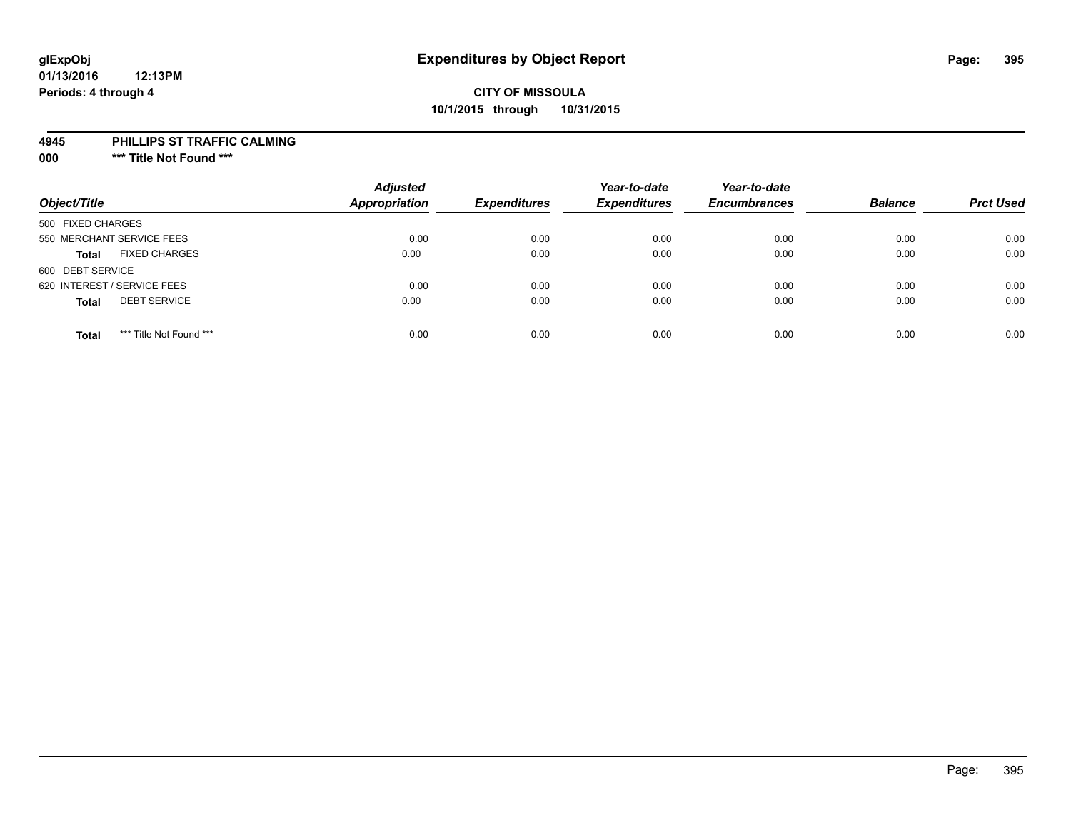## **CITY OF MISSOULA 10/1/2015 through 10/31/2015**

#### **4945 PHILLIPS ST TRAFFIC CALMING**

**000 \*\*\* Title Not Found \*\*\***

| Object/Title                            | <b>Adjusted</b><br><b>Appropriation</b> | <b>Expenditures</b> | Year-to-date<br><b>Expenditures</b> | Year-to-date<br><b>Encumbrances</b> | <b>Balance</b> | <b>Prct Used</b> |
|-----------------------------------------|-----------------------------------------|---------------------|-------------------------------------|-------------------------------------|----------------|------------------|
| 500 FIXED CHARGES                       |                                         |                     |                                     |                                     |                |                  |
| 550 MERCHANT SERVICE FEES               | 0.00                                    | 0.00                | 0.00                                | 0.00                                | 0.00           | 0.00             |
| <b>FIXED CHARGES</b><br><b>Total</b>    | 0.00                                    | 0.00                | 0.00                                | 0.00                                | 0.00           | 0.00             |
| 600 DEBT SERVICE                        |                                         |                     |                                     |                                     |                |                  |
| 620 INTEREST / SERVICE FEES             | 0.00                                    | 0.00                | 0.00                                | 0.00                                | 0.00           | 0.00             |
| <b>DEBT SERVICE</b><br><b>Total</b>     | 0.00                                    | 0.00                | 0.00                                | 0.00                                | 0.00           | 0.00             |
| *** Title Not Found ***<br><b>Total</b> | 0.00                                    | 0.00                | 0.00                                | 0.00                                | 0.00           | 0.00             |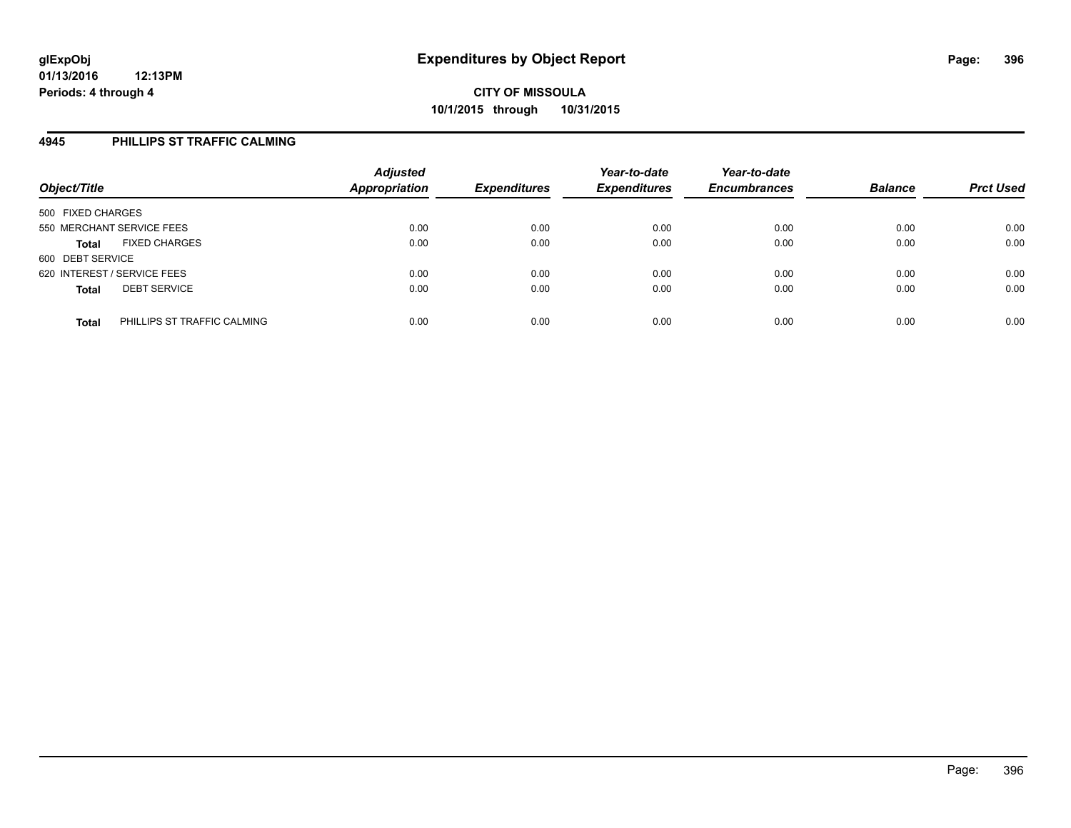### **4945 PHILLIPS ST TRAFFIC CALMING**

| Object/Title                                | <b>Adjusted</b><br><b>Appropriation</b> | <b>Expenditures</b> | Year-to-date<br><b>Expenditures</b> | Year-to-date<br><b>Encumbrances</b> | <b>Balance</b> | <b>Prct Used</b> |
|---------------------------------------------|-----------------------------------------|---------------------|-------------------------------------|-------------------------------------|----------------|------------------|
| 500 FIXED CHARGES                           |                                         |                     |                                     |                                     |                |                  |
| 550 MERCHANT SERVICE FEES                   | 0.00                                    | 0.00                | 0.00                                | 0.00                                | 0.00           | 0.00             |
| <b>FIXED CHARGES</b><br><b>Total</b>        | 0.00                                    | 0.00                | 0.00                                | 0.00                                | 0.00           | 0.00             |
| 600 DEBT SERVICE                            |                                         |                     |                                     |                                     |                |                  |
| 620 INTEREST / SERVICE FEES                 | 0.00                                    | 0.00                | 0.00                                | 0.00                                | 0.00           | 0.00             |
| <b>DEBT SERVICE</b><br><b>Total</b>         | 0.00                                    | 0.00                | 0.00                                | 0.00                                | 0.00           | 0.00             |
| PHILLIPS ST TRAFFIC CALMING<br><b>Total</b> | 0.00                                    | 0.00                | 0.00                                | 0.00                                | 0.00           | 0.00             |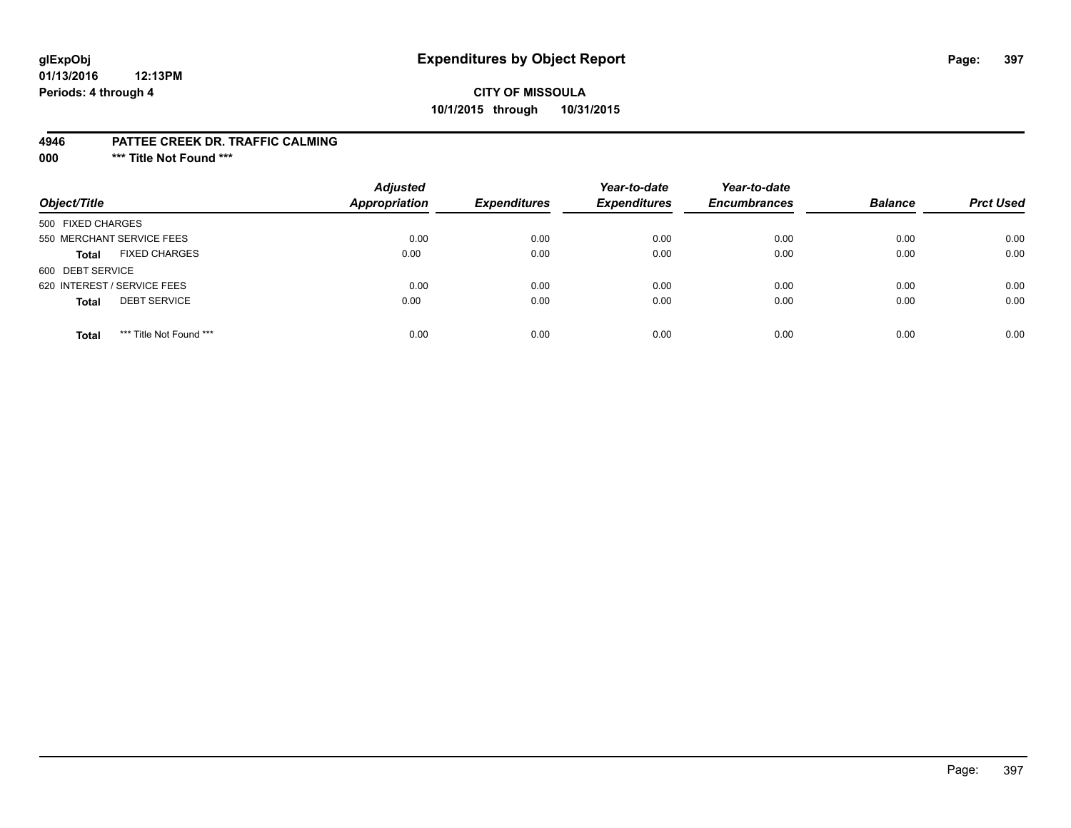### **glExpObj Expenditures by Object Report Page: 397**

### **CITY OF MISSOULA 10/1/2015 through 10/31/2015**

#### **4946 PATTEE CREEK DR. TRAFFIC CALMING**

**000 \*\*\* Title Not Found \*\*\***

| Object/Title                            | <b>Adjusted</b><br><b>Appropriation</b> | <b>Expenditures</b> | Year-to-date<br><b>Expenditures</b> | Year-to-date<br><b>Encumbrances</b> | <b>Balance</b> | <b>Prct Used</b> |
|-----------------------------------------|-----------------------------------------|---------------------|-------------------------------------|-------------------------------------|----------------|------------------|
| 500 FIXED CHARGES                       |                                         |                     |                                     |                                     |                |                  |
| 550 MERCHANT SERVICE FEES               | 0.00                                    | 0.00                | 0.00                                | 0.00                                | 0.00           | 0.00             |
| <b>FIXED CHARGES</b><br><b>Total</b>    | 0.00                                    | 0.00                | 0.00                                | 0.00                                | 0.00           | 0.00             |
| 600 DEBT SERVICE                        |                                         |                     |                                     |                                     |                |                  |
| 620 INTEREST / SERVICE FEES             | 0.00                                    | 0.00                | 0.00                                | 0.00                                | 0.00           | 0.00             |
| <b>DEBT SERVICE</b><br><b>Total</b>     | 0.00                                    | 0.00                | 0.00                                | 0.00                                | 0.00           | 0.00             |
| *** Title Not Found ***<br><b>Total</b> | 0.00                                    | 0.00                | 0.00                                | 0.00                                | 0.00           | 0.00             |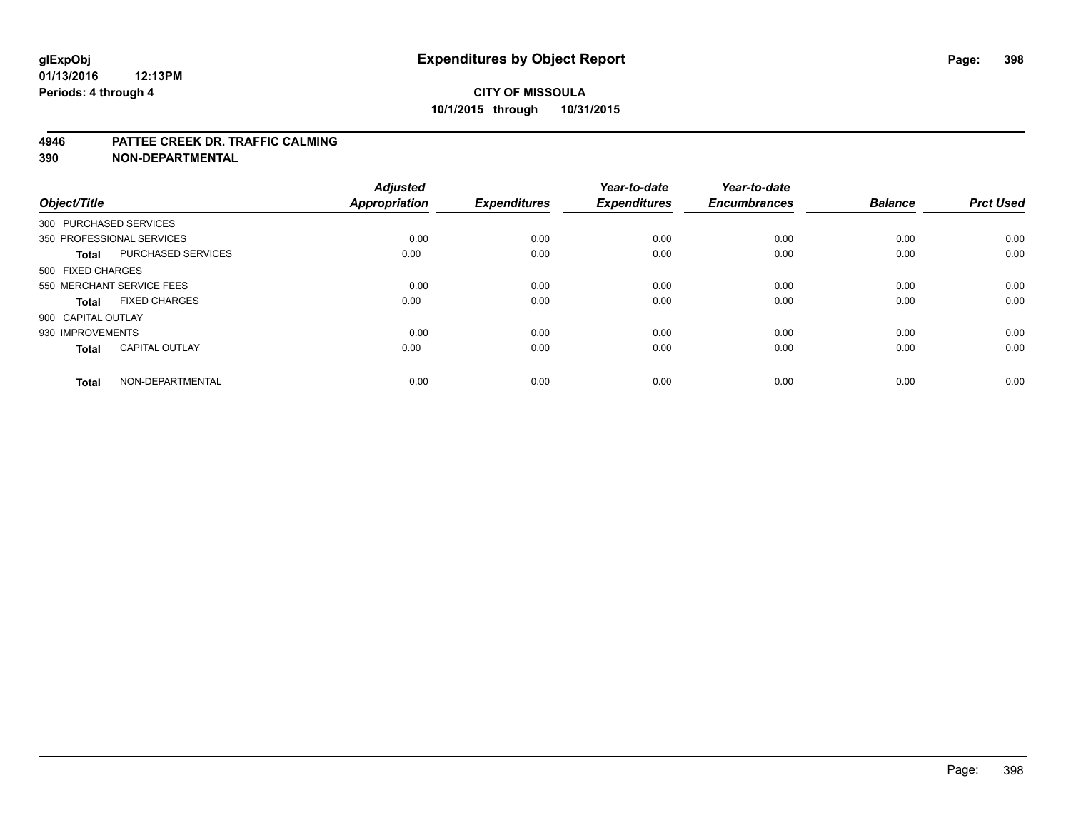### **CITY OF MISSOULA 10/1/2015 through 10/31/2015**

#### **4946 PATTEE CREEK DR. TRAFFIC CALMING**

**390 NON-DEPARTMENTAL**

| Object/Title           |                           | <b>Adjusted</b><br><b>Appropriation</b> | <b>Expenditures</b> | Year-to-date<br><b>Expenditures</b> | Year-to-date<br><b>Encumbrances</b> | <b>Balance</b> | <b>Prct Used</b> |
|------------------------|---------------------------|-----------------------------------------|---------------------|-------------------------------------|-------------------------------------|----------------|------------------|
| 300 PURCHASED SERVICES |                           |                                         |                     |                                     |                                     |                |                  |
|                        | 350 PROFESSIONAL SERVICES | 0.00                                    | 0.00                | 0.00                                | 0.00                                | 0.00           | 0.00             |
| <b>Total</b>           | PURCHASED SERVICES        | 0.00                                    | 0.00                | 0.00                                | 0.00                                | 0.00           | 0.00             |
| 500 FIXED CHARGES      |                           |                                         |                     |                                     |                                     |                |                  |
|                        | 550 MERCHANT SERVICE FEES | 0.00                                    | 0.00                | 0.00                                | 0.00                                | 0.00           | 0.00             |
| <b>Total</b>           | <b>FIXED CHARGES</b>      | 0.00                                    | 0.00                | 0.00                                | 0.00                                | 0.00           | 0.00             |
| 900 CAPITAL OUTLAY     |                           |                                         |                     |                                     |                                     |                |                  |
| 930 IMPROVEMENTS       |                           | 0.00                                    | 0.00                | 0.00                                | 0.00                                | 0.00           | 0.00             |
| Total                  | <b>CAPITAL OUTLAY</b>     | 0.00                                    | 0.00                | 0.00                                | 0.00                                | 0.00           | 0.00             |
| <b>Total</b>           | NON-DEPARTMENTAL          | 0.00                                    | 0.00                | 0.00                                | 0.00                                | 0.00           | 0.00             |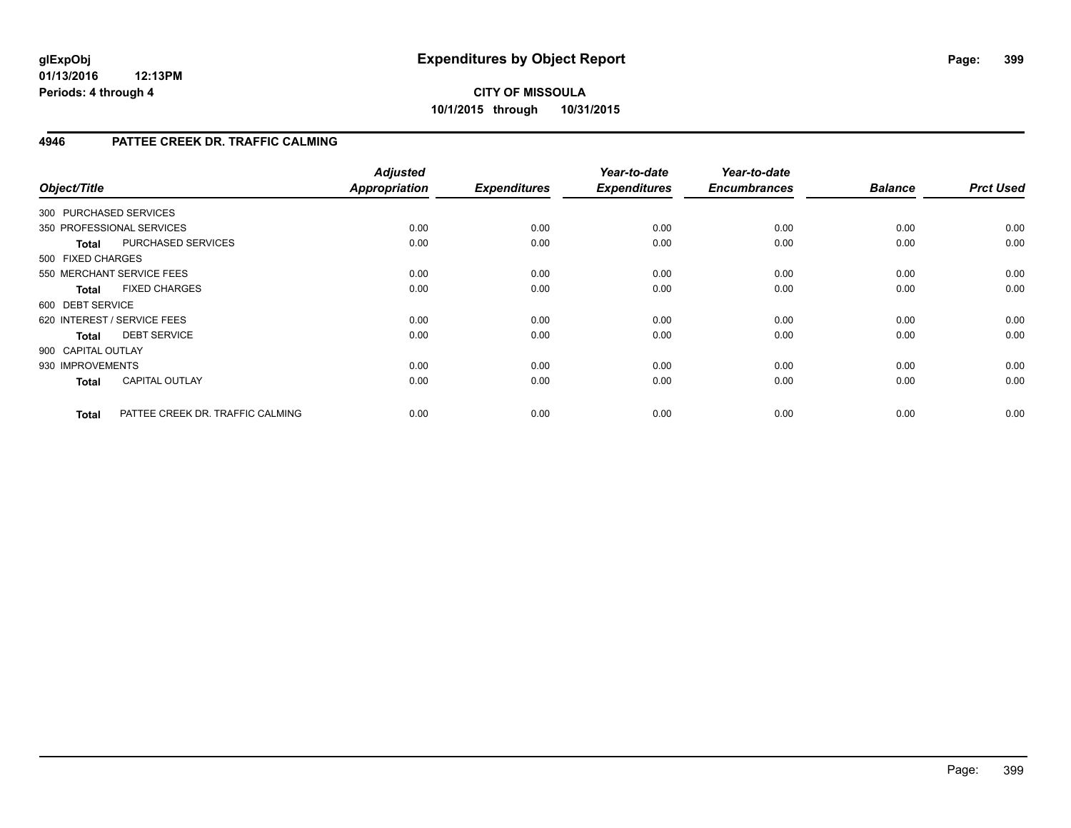### **4946 PATTEE CREEK DR. TRAFFIC CALMING**

| Object/Title       |                                  | <b>Adjusted</b><br><b>Appropriation</b> | <b>Expenditures</b> | Year-to-date<br><b>Expenditures</b> | Year-to-date<br><b>Encumbrances</b> | <b>Balance</b> | <b>Prct Used</b> |
|--------------------|----------------------------------|-----------------------------------------|---------------------|-------------------------------------|-------------------------------------|----------------|------------------|
|                    | 300 PURCHASED SERVICES           |                                         |                     |                                     |                                     |                |                  |
|                    | 350 PROFESSIONAL SERVICES        | 0.00                                    | 0.00                | 0.00                                | 0.00                                | 0.00           | 0.00             |
| <b>Total</b>       | PURCHASED SERVICES               | 0.00                                    | 0.00                | 0.00                                | 0.00                                | 0.00           | 0.00             |
| 500 FIXED CHARGES  |                                  |                                         |                     |                                     |                                     |                |                  |
|                    | 550 MERCHANT SERVICE FEES        | 0.00                                    | 0.00                | 0.00                                | 0.00                                | 0.00           | 0.00             |
| <b>Total</b>       | <b>FIXED CHARGES</b>             | 0.00                                    | 0.00                | 0.00                                | 0.00                                | 0.00           | 0.00             |
| 600 DEBT SERVICE   |                                  |                                         |                     |                                     |                                     |                |                  |
|                    | 620 INTEREST / SERVICE FEES      | 0.00                                    | 0.00                | 0.00                                | 0.00                                | 0.00           | 0.00             |
| <b>Total</b>       | <b>DEBT SERVICE</b>              | 0.00                                    | 0.00                | 0.00                                | 0.00                                | 0.00           | 0.00             |
| 900 CAPITAL OUTLAY |                                  |                                         |                     |                                     |                                     |                |                  |
| 930 IMPROVEMENTS   |                                  | 0.00                                    | 0.00                | 0.00                                | 0.00                                | 0.00           | 0.00             |
| <b>Total</b>       | <b>CAPITAL OUTLAY</b>            | 0.00                                    | 0.00                | 0.00                                | 0.00                                | 0.00           | 0.00             |
| <b>Total</b>       | PATTEE CREEK DR. TRAFFIC CALMING | 0.00                                    | 0.00                | 0.00                                | 0.00                                | 0.00           | 0.00             |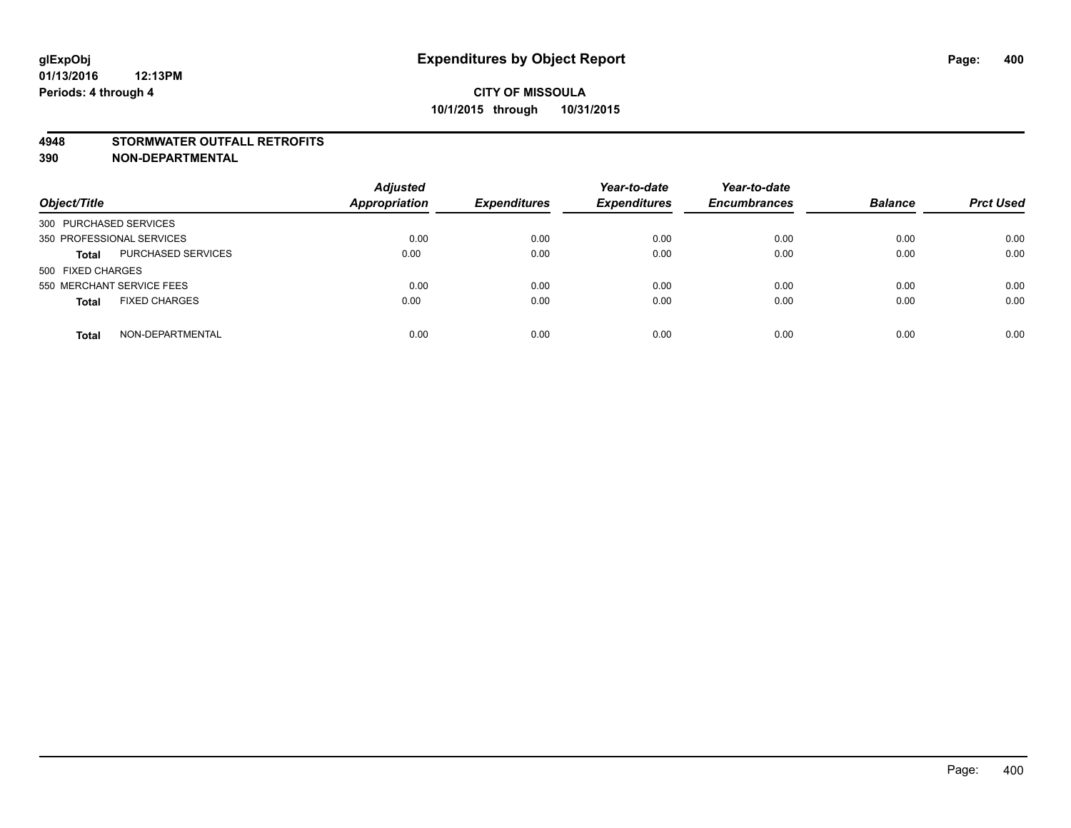#### **4948 STORMWATER OUTFALL RETROFITS**

**390 NON-DEPARTMENTAL**

| Object/Title                              | <b>Adjusted</b><br><b>Appropriation</b> | <b>Expenditures</b> | Year-to-date<br><b>Expenditures</b> | Year-to-date<br><b>Encumbrances</b> | <b>Balance</b> | <b>Prct Used</b> |
|-------------------------------------------|-----------------------------------------|---------------------|-------------------------------------|-------------------------------------|----------------|------------------|
| 300 PURCHASED SERVICES                    |                                         |                     |                                     |                                     |                |                  |
| 350 PROFESSIONAL SERVICES                 | 0.00                                    | 0.00                | 0.00                                | 0.00                                | 0.00           | 0.00             |
| <b>PURCHASED SERVICES</b><br><b>Total</b> | 0.00                                    | 0.00                | 0.00                                | 0.00                                | 0.00           | 0.00             |
| 500 FIXED CHARGES                         |                                         |                     |                                     |                                     |                |                  |
| 550 MERCHANT SERVICE FEES                 | 0.00                                    | 0.00                | 0.00                                | 0.00                                | 0.00           | 0.00             |
| <b>FIXED CHARGES</b><br><b>Total</b>      | 0.00                                    | 0.00                | 0.00                                | 0.00                                | 0.00           | 0.00             |
| NON-DEPARTMENTAL<br><b>Total</b>          | 0.00                                    | 0.00                | 0.00                                | 0.00                                | 0.00           | 0.00             |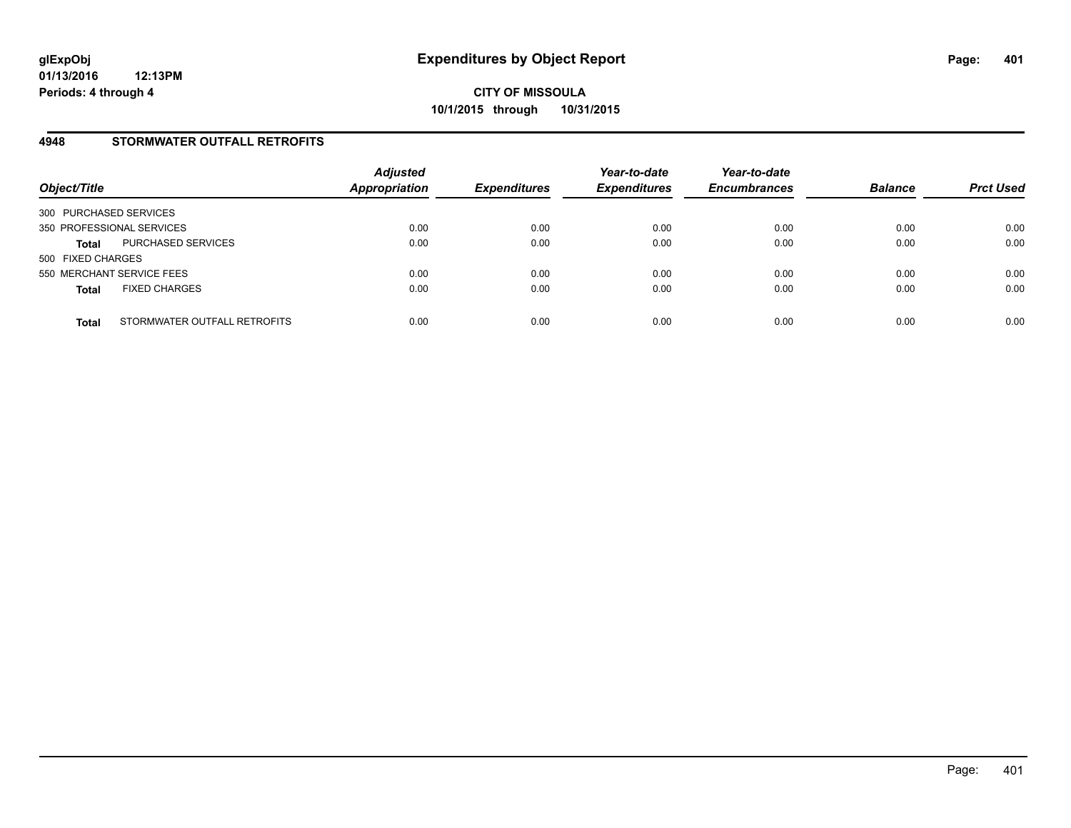#### **4948 STORMWATER OUTFALL RETROFITS**

| Object/Title                                 | <b>Adjusted</b><br><b>Appropriation</b> | <b>Expenditures</b> | Year-to-date<br><b>Expenditures</b> | Year-to-date<br><b>Encumbrances</b> | <b>Balance</b> | <b>Prct Used</b> |
|----------------------------------------------|-----------------------------------------|---------------------|-------------------------------------|-------------------------------------|----------------|------------------|
| 300 PURCHASED SERVICES                       |                                         |                     |                                     |                                     |                |                  |
| 350 PROFESSIONAL SERVICES                    | 0.00                                    | 0.00                | 0.00                                | 0.00                                | 0.00           | 0.00             |
| PURCHASED SERVICES<br><b>Total</b>           | 0.00                                    | 0.00                | 0.00                                | 0.00                                | 0.00           | 0.00             |
| 500 FIXED CHARGES                            |                                         |                     |                                     |                                     |                |                  |
| 550 MERCHANT SERVICE FEES                    | 0.00                                    | 0.00                | 0.00                                | 0.00                                | 0.00           | 0.00             |
| <b>FIXED CHARGES</b><br><b>Total</b>         | 0.00                                    | 0.00                | 0.00                                | 0.00                                | 0.00           | 0.00             |
| STORMWATER OUTFALL RETROFITS<br><b>Total</b> | 0.00                                    | 0.00                | 0.00                                | 0.00                                | 0.00           | 0.00             |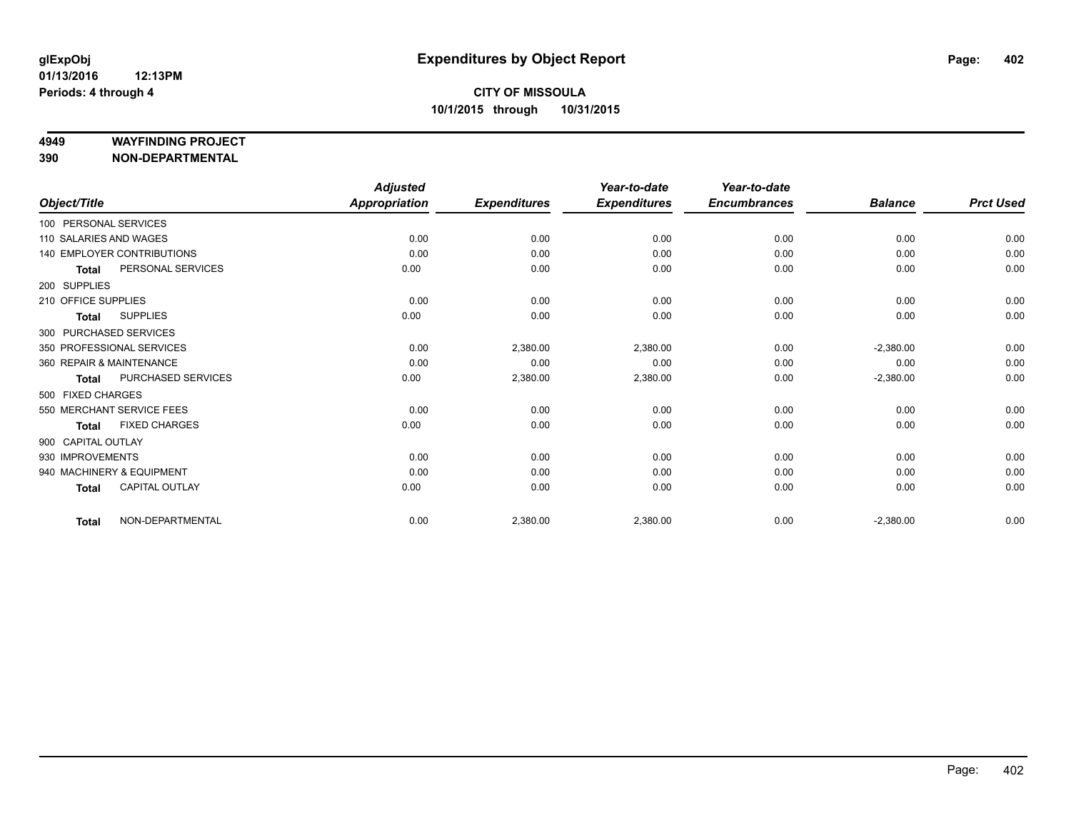#### **4949 WAYFINDING PROJECT**

**390 NON-DEPARTMENTAL**

| Object/Title             |                            | <b>Adjusted</b><br><b>Appropriation</b> | <b>Expenditures</b> | Year-to-date<br><b>Expenditures</b> | Year-to-date<br><b>Encumbrances</b> | <b>Balance</b> | <b>Prct Used</b> |
|--------------------------|----------------------------|-----------------------------------------|---------------------|-------------------------------------|-------------------------------------|----------------|------------------|
| 100 PERSONAL SERVICES    |                            |                                         |                     |                                     |                                     |                |                  |
|                          |                            |                                         |                     |                                     |                                     |                |                  |
| 110 SALARIES AND WAGES   |                            | 0.00                                    | 0.00                | 0.00                                | 0.00                                | 0.00           | 0.00             |
|                          | 140 EMPLOYER CONTRIBUTIONS | 0.00                                    | 0.00                | 0.00                                | 0.00                                | 0.00           | 0.00             |
| <b>Total</b>             | PERSONAL SERVICES          | 0.00                                    | 0.00                | 0.00                                | 0.00                                | 0.00           | 0.00             |
| 200 SUPPLIES             |                            |                                         |                     |                                     |                                     |                |                  |
| 210 OFFICE SUPPLIES      |                            | 0.00                                    | 0.00                | 0.00                                | 0.00                                | 0.00           | 0.00             |
| <b>Total</b>             | <b>SUPPLIES</b>            | 0.00                                    | 0.00                | 0.00                                | 0.00                                | 0.00           | 0.00             |
| 300 PURCHASED SERVICES   |                            |                                         |                     |                                     |                                     |                |                  |
|                          | 350 PROFESSIONAL SERVICES  | 0.00                                    | 2,380.00            | 2,380.00                            | 0.00                                | $-2,380.00$    | 0.00             |
| 360 REPAIR & MAINTENANCE |                            | 0.00                                    | 0.00                | 0.00                                | 0.00                                | 0.00           | 0.00             |
| <b>Total</b>             | PURCHASED SERVICES         | 0.00                                    | 2,380.00            | 2,380.00                            | 0.00                                | $-2,380.00$    | 0.00             |
| 500 FIXED CHARGES        |                            |                                         |                     |                                     |                                     |                |                  |
|                          | 550 MERCHANT SERVICE FEES  | 0.00                                    | 0.00                | 0.00                                | 0.00                                | 0.00           | 0.00             |
| <b>Total</b>             | <b>FIXED CHARGES</b>       | 0.00                                    | 0.00                | 0.00                                | 0.00                                | 0.00           | 0.00             |
| 900 CAPITAL OUTLAY       |                            |                                         |                     |                                     |                                     |                |                  |
| 930 IMPROVEMENTS         |                            | 0.00                                    | 0.00                | 0.00                                | 0.00                                | 0.00           | 0.00             |
|                          | 940 MACHINERY & EQUIPMENT  | 0.00                                    | 0.00                | 0.00                                | 0.00                                | 0.00           | 0.00             |
| <b>Total</b>             | <b>CAPITAL OUTLAY</b>      | 0.00                                    | 0.00                | 0.00                                | 0.00                                | 0.00           | 0.00             |
| <b>Total</b>             | NON-DEPARTMENTAL           | 0.00                                    | 2,380.00            | 2,380.00                            | 0.00                                | $-2,380.00$    | 0.00             |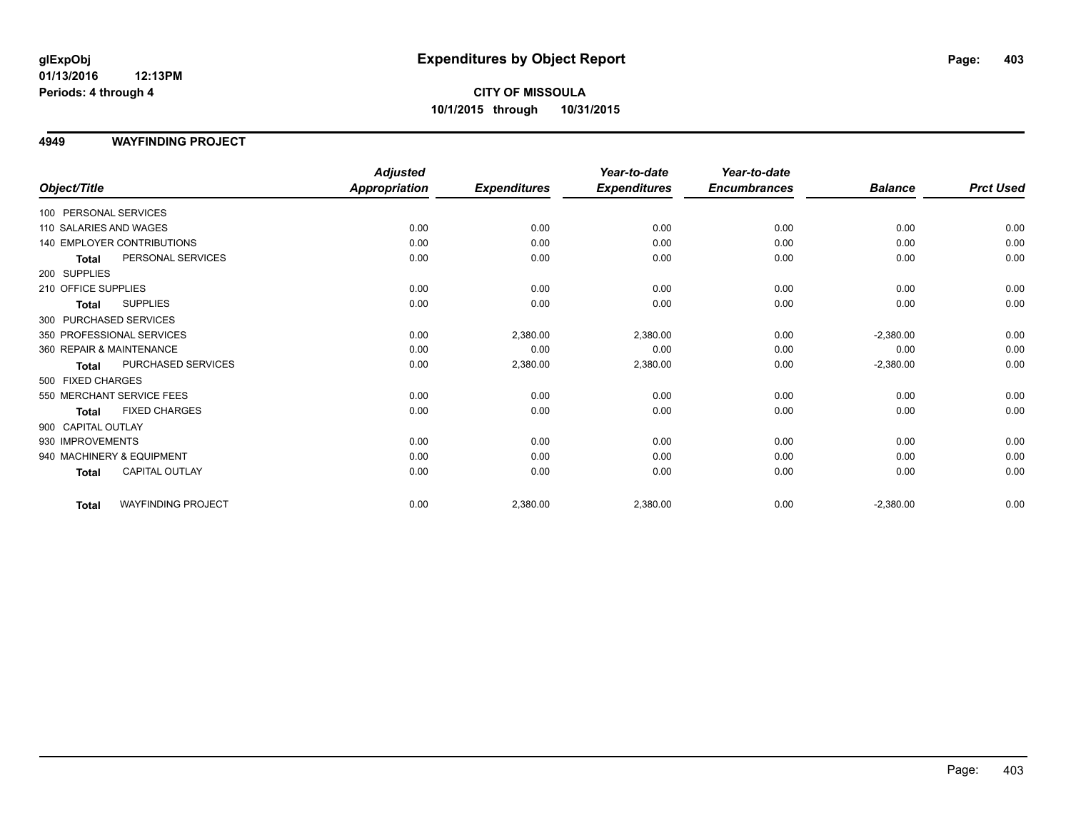### **CITY OF MISSOULA 10/1/2015 through 10/31/2015**

#### **4949 WAYFINDING PROJECT**

|                          |                            | <b>Adjusted</b>      |                     | Year-to-date        | Year-to-date        |                |                  |
|--------------------------|----------------------------|----------------------|---------------------|---------------------|---------------------|----------------|------------------|
| Object/Title             |                            | <b>Appropriation</b> | <b>Expenditures</b> | <b>Expenditures</b> | <b>Encumbrances</b> | <b>Balance</b> | <b>Prct Used</b> |
| 100 PERSONAL SERVICES    |                            |                      |                     |                     |                     |                |                  |
| 110 SALARIES AND WAGES   |                            | 0.00                 | 0.00                | 0.00                | 0.00                | 0.00           | 0.00             |
|                          | 140 EMPLOYER CONTRIBUTIONS | 0.00                 | 0.00                | 0.00                | 0.00                | 0.00           | 0.00             |
| <b>Total</b>             | PERSONAL SERVICES          | 0.00                 | 0.00                | 0.00                | 0.00                | 0.00           | 0.00             |
| 200 SUPPLIES             |                            |                      |                     |                     |                     |                |                  |
| 210 OFFICE SUPPLIES      |                            | 0.00                 | 0.00                | 0.00                | 0.00                | 0.00           | 0.00             |
| <b>Total</b>             | <b>SUPPLIES</b>            | 0.00                 | 0.00                | 0.00                | 0.00                | 0.00           | 0.00             |
| 300 PURCHASED SERVICES   |                            |                      |                     |                     |                     |                |                  |
|                          | 350 PROFESSIONAL SERVICES  | 0.00                 | 2,380.00            | 2,380.00            | 0.00                | $-2,380.00$    | 0.00             |
| 360 REPAIR & MAINTENANCE |                            | 0.00                 | 0.00                | 0.00                | 0.00                | 0.00           | 0.00             |
| Total                    | PURCHASED SERVICES         | 0.00                 | 2,380.00            | 2,380.00            | 0.00                | $-2,380.00$    | 0.00             |
| 500 FIXED CHARGES        |                            |                      |                     |                     |                     |                |                  |
|                          | 550 MERCHANT SERVICE FEES  | 0.00                 | 0.00                | 0.00                | 0.00                | 0.00           | 0.00             |
| <b>Total</b>             | <b>FIXED CHARGES</b>       | 0.00                 | 0.00                | 0.00                | 0.00                | 0.00           | 0.00             |
| 900 CAPITAL OUTLAY       |                            |                      |                     |                     |                     |                |                  |
| 930 IMPROVEMENTS         |                            | 0.00                 | 0.00                | 0.00                | 0.00                | 0.00           | 0.00             |
|                          | 940 MACHINERY & EQUIPMENT  | 0.00                 | 0.00                | 0.00                | 0.00                | 0.00           | 0.00             |
| <b>Total</b>             | <b>CAPITAL OUTLAY</b>      | 0.00                 | 0.00                | 0.00                | 0.00                | 0.00           | 0.00             |
| <b>Total</b>             | <b>WAYFINDING PROJECT</b>  | 0.00                 | 2,380.00            | 2,380.00            | 0.00                | $-2,380.00$    | 0.00             |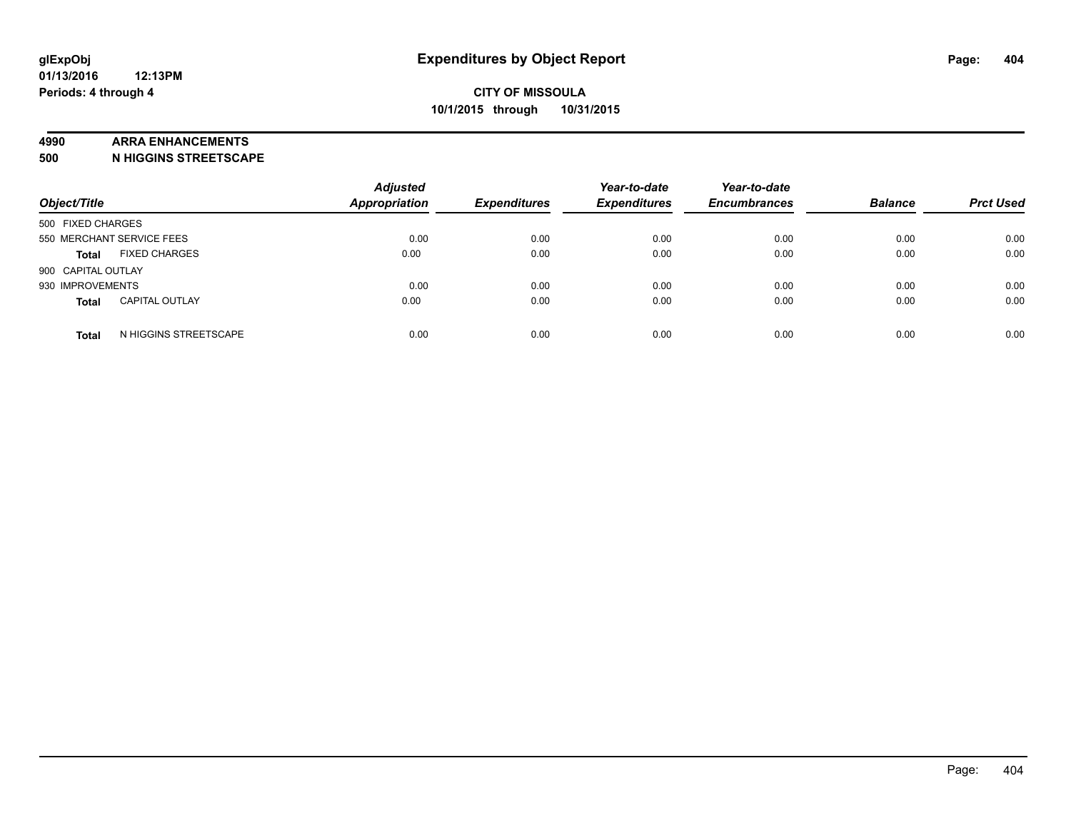#### **4990 ARRA ENHANCEMENTS**

**500 N HIGGINS STREETSCAPE**

| Object/Title              |                       | <b>Adjusted</b><br><b>Appropriation</b> | <b>Expenditures</b> | Year-to-date<br><b>Expenditures</b> | Year-to-date<br><b>Encumbrances</b> | <b>Balance</b> | <b>Prct Used</b> |
|---------------------------|-----------------------|-----------------------------------------|---------------------|-------------------------------------|-------------------------------------|----------------|------------------|
| 500 FIXED CHARGES         |                       |                                         |                     |                                     |                                     |                |                  |
| 550 MERCHANT SERVICE FEES |                       | 0.00                                    | 0.00                | 0.00                                | 0.00                                | 0.00           | 0.00             |
| <b>Total</b>              | <b>FIXED CHARGES</b>  | 0.00                                    | 0.00                | 0.00                                | 0.00                                | 0.00           | 0.00             |
| 900 CAPITAL OUTLAY        |                       |                                         |                     |                                     |                                     |                |                  |
| 930 IMPROVEMENTS          |                       | 0.00                                    | 0.00                | 0.00                                | 0.00                                | 0.00           | 0.00             |
| <b>Total</b>              | <b>CAPITAL OUTLAY</b> | 0.00                                    | 0.00                | 0.00                                | 0.00                                | 0.00           | 0.00             |
| <b>Total</b>              | N HIGGINS STREETSCAPE | 0.00                                    | 0.00                | 0.00                                | 0.00                                | 0.00           | 0.00             |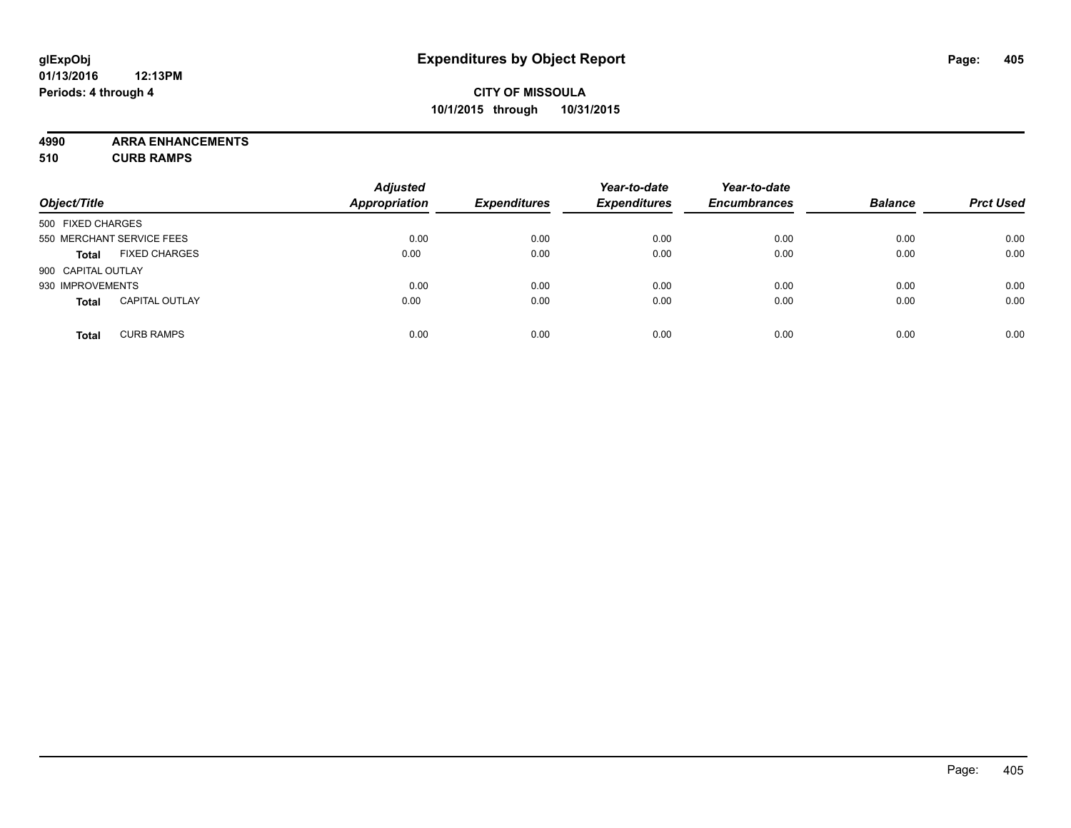### **CITY OF MISSOULA 10/1/2015 through 10/31/2015**

**4990 ARRA ENHANCEMENTS 510 CURB RAMPS**

| Object/Title       |                           | <b>Adjusted</b><br><b>Appropriation</b> | <b>Expenditures</b> | Year-to-date<br><b>Expenditures</b> | Year-to-date<br><b>Encumbrances</b> | <b>Balance</b> | <b>Prct Used</b> |
|--------------------|---------------------------|-----------------------------------------|---------------------|-------------------------------------|-------------------------------------|----------------|------------------|
| 500 FIXED CHARGES  |                           |                                         |                     |                                     |                                     |                |                  |
|                    | 550 MERCHANT SERVICE FEES | 0.00                                    | 0.00                | 0.00                                | 0.00                                | 0.00           | 0.00             |
| <b>Total</b>       | <b>FIXED CHARGES</b>      | 0.00                                    | 0.00                | 0.00                                | 0.00                                | 0.00           | 0.00             |
| 900 CAPITAL OUTLAY |                           |                                         |                     |                                     |                                     |                |                  |
| 930 IMPROVEMENTS   |                           | 0.00                                    | 0.00                | 0.00                                | 0.00                                | 0.00           | 0.00             |
| <b>Total</b>       | <b>CAPITAL OUTLAY</b>     | 0.00                                    | 0.00                | 0.00                                | 0.00                                | 0.00           | 0.00             |
| <b>Total</b>       | <b>CURB RAMPS</b>         | 0.00                                    | 0.00                | 0.00                                | 0.00                                | 0.00           | 0.00             |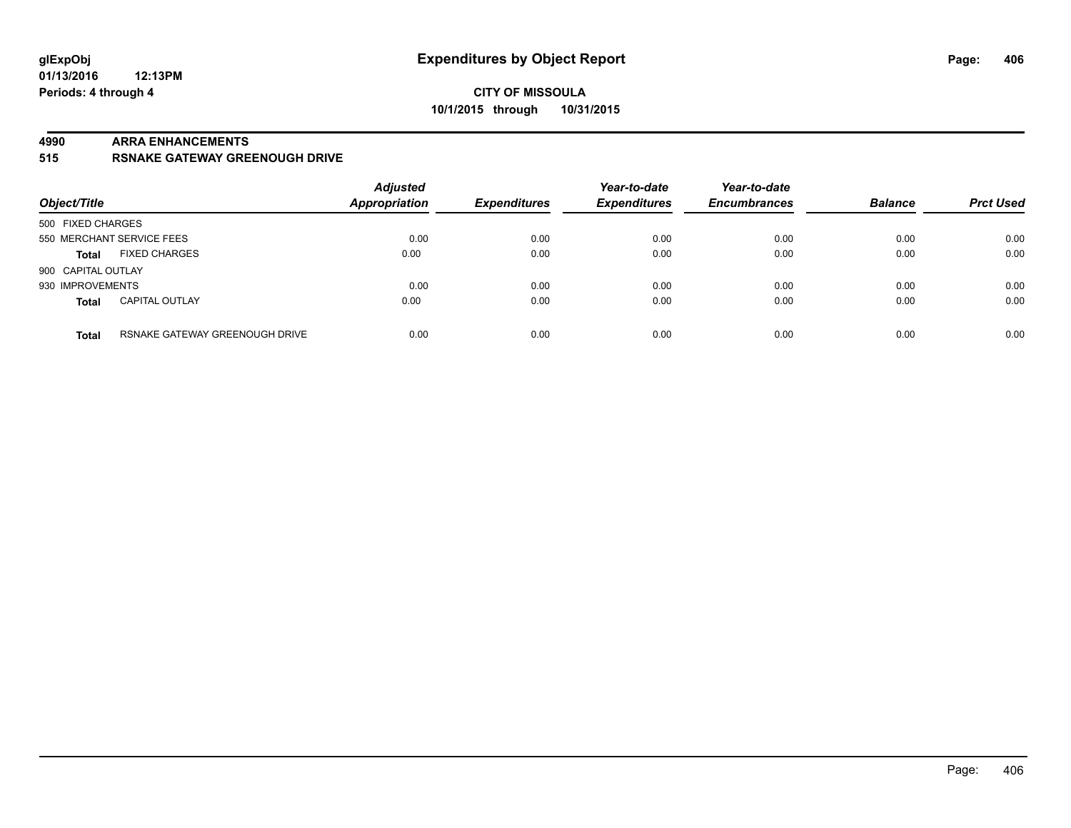#### **4990 ARRA ENHANCEMENTS**

**515 RSNAKE GATEWAY GREENOUGH DRIVE**

| Object/Title       |                                | <b>Adjusted</b><br><b>Appropriation</b> | <b>Expenditures</b> | Year-to-date<br><b>Expenditures</b> | Year-to-date<br><b>Encumbrances</b> | <b>Balance</b> | <b>Prct Used</b> |
|--------------------|--------------------------------|-----------------------------------------|---------------------|-------------------------------------|-------------------------------------|----------------|------------------|
| 500 FIXED CHARGES  |                                |                                         |                     |                                     |                                     |                |                  |
|                    | 550 MERCHANT SERVICE FEES      | 0.00                                    | 0.00                | 0.00                                | 0.00                                | 0.00           | 0.00             |
| <b>Total</b>       | <b>FIXED CHARGES</b>           | 0.00                                    | 0.00                | 0.00                                | 0.00                                | 0.00           | 0.00             |
| 900 CAPITAL OUTLAY |                                |                                         |                     |                                     |                                     |                |                  |
| 930 IMPROVEMENTS   |                                | 0.00                                    | 0.00                | 0.00                                | 0.00                                | 0.00           | 0.00             |
| <b>Total</b>       | <b>CAPITAL OUTLAY</b>          | 0.00                                    | 0.00                | 0.00                                | 0.00                                | 0.00           | 0.00             |
| <b>Total</b>       | RSNAKE GATEWAY GREENOUGH DRIVE | 0.00                                    | 0.00                | 0.00                                | 0.00                                | 0.00           | 0.00             |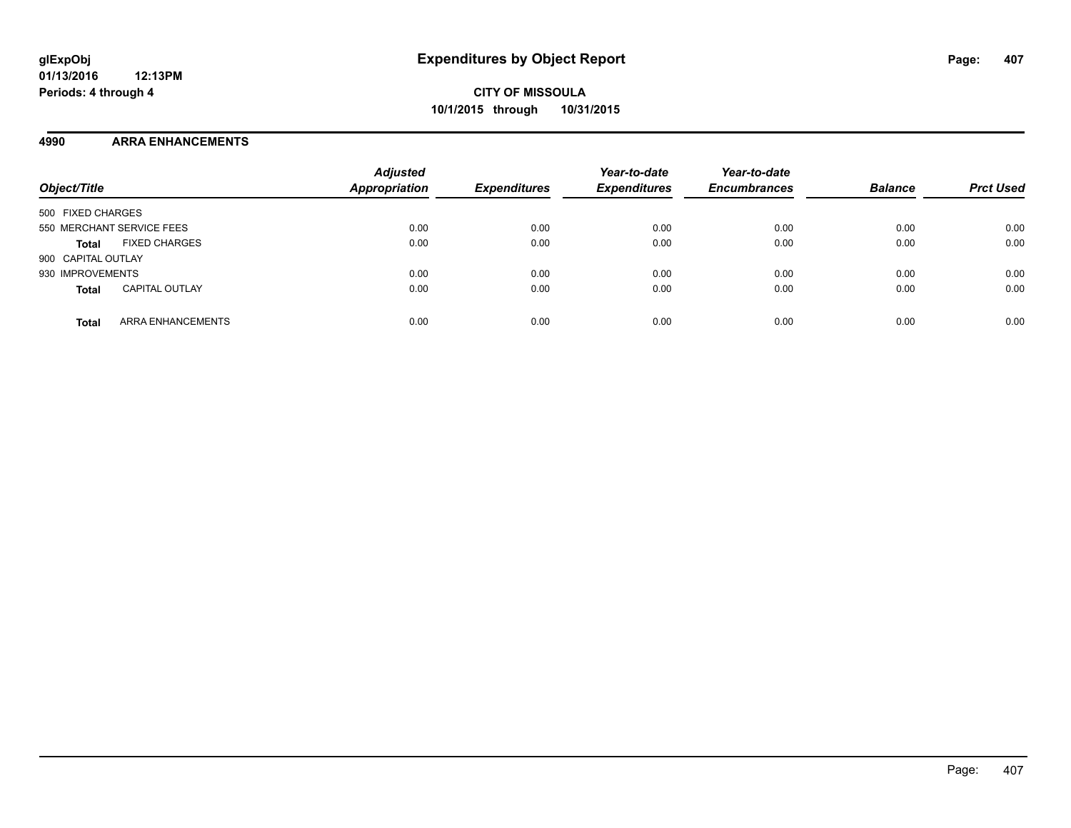#### **4990 ARRA ENHANCEMENTS**

| Object/Title                          | <b>Adjusted</b><br><b>Appropriation</b> | <b>Expenditures</b> | Year-to-date<br><b>Expenditures</b> | Year-to-date<br><b>Encumbrances</b> | <b>Balance</b> | <b>Prct Used</b> |
|---------------------------------------|-----------------------------------------|---------------------|-------------------------------------|-------------------------------------|----------------|------------------|
| 500 FIXED CHARGES                     |                                         |                     |                                     |                                     |                |                  |
| 550 MERCHANT SERVICE FEES             | 0.00                                    | 0.00                | 0.00                                | 0.00                                | 0.00           | 0.00             |
| <b>FIXED CHARGES</b><br><b>Total</b>  | 0.00                                    | 0.00                | 0.00                                | 0.00                                | 0.00           | 0.00             |
| 900 CAPITAL OUTLAY                    |                                         |                     |                                     |                                     |                |                  |
| 930 IMPROVEMENTS                      | 0.00                                    | 0.00                | 0.00                                | 0.00                                | 0.00           | 0.00             |
| <b>CAPITAL OUTLAY</b><br><b>Total</b> | 0.00                                    | 0.00                | 0.00                                | 0.00                                | 0.00           | 0.00             |
| ARRA ENHANCEMENTS<br><b>Total</b>     | 0.00                                    | 0.00                | 0.00                                | 0.00                                | 0.00           | 0.00             |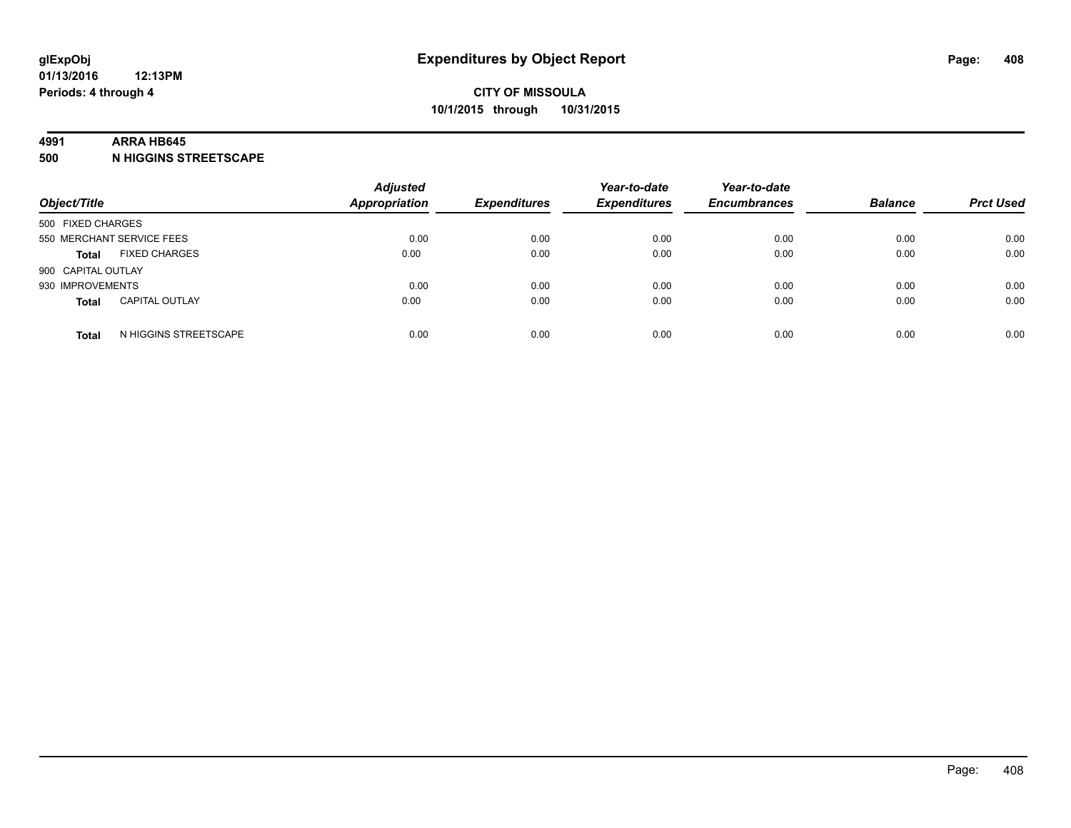#### **4991 ARRA HB645**

**500 N HIGGINS STREETSCAPE**

| Object/Title                          |                       | <b>Adjusted</b><br><b>Appropriation</b> | <b>Expenditures</b> | Year-to-date<br><b>Expenditures</b> | Year-to-date<br><b>Encumbrances</b> | <b>Balance</b> | <b>Prct Used</b> |
|---------------------------------------|-----------------------|-----------------------------------------|---------------------|-------------------------------------|-------------------------------------|----------------|------------------|
| 500 FIXED CHARGES                     |                       |                                         |                     |                                     |                                     |                |                  |
| 550 MERCHANT SERVICE FEES             |                       | 0.00                                    | 0.00                | 0.00                                | 0.00                                | 0.00           | 0.00             |
| <b>FIXED CHARGES</b><br><b>Total</b>  |                       | 0.00                                    | 0.00                | 0.00                                | 0.00                                | 0.00           | 0.00             |
| 900 CAPITAL OUTLAY                    |                       |                                         |                     |                                     |                                     |                |                  |
| 930 IMPROVEMENTS                      |                       | 0.00                                    | 0.00                | 0.00                                | 0.00                                | 0.00           | 0.00             |
| <b>CAPITAL OUTLAY</b><br><b>Total</b> |                       | 0.00                                    | 0.00                | 0.00                                | 0.00                                | 0.00           | 0.00             |
| <b>Total</b>                          | N HIGGINS STREETSCAPE | 0.00                                    | 0.00                | 0.00                                | 0.00                                | 0.00           | 0.00             |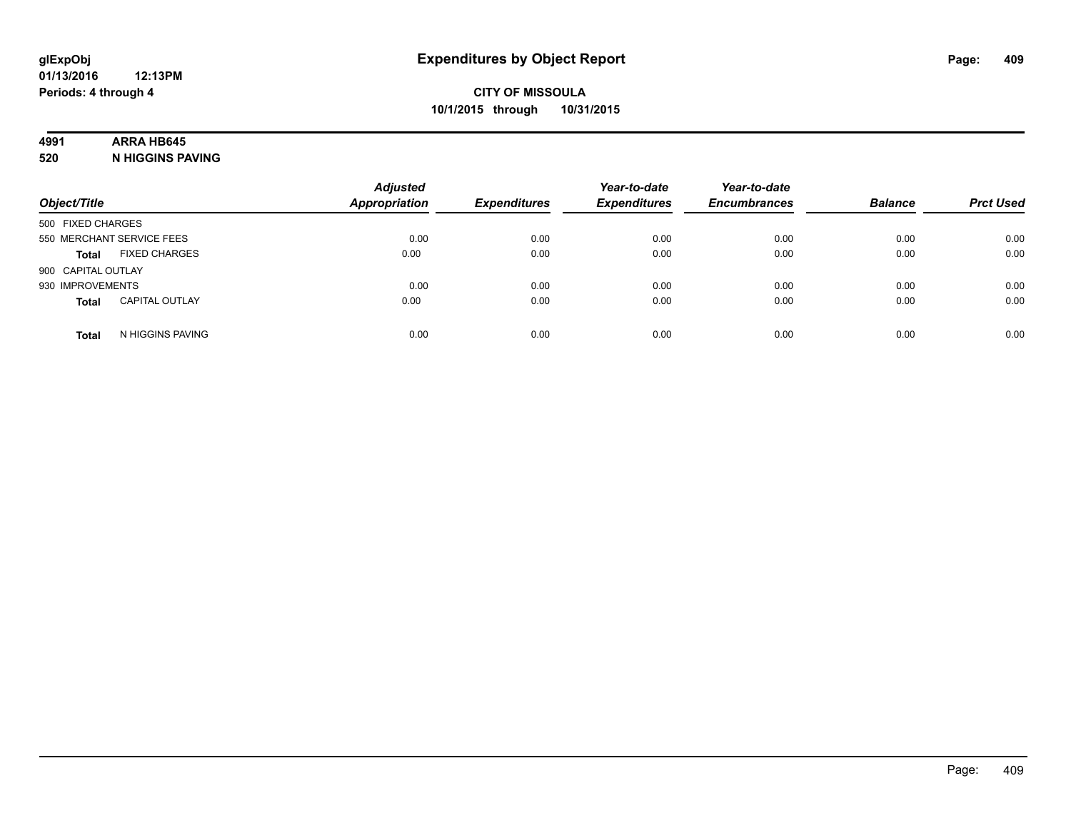## **4991 ARRA HB645**

**520 N HIGGINS PAVING**

| Object/Title       |                           | <b>Adjusted</b><br><b>Appropriation</b> | <b>Expenditures</b> | Year-to-date<br><b>Expenditures</b> | Year-to-date<br><b>Encumbrances</b> | <b>Balance</b> | <b>Prct Used</b> |
|--------------------|---------------------------|-----------------------------------------|---------------------|-------------------------------------|-------------------------------------|----------------|------------------|
| 500 FIXED CHARGES  |                           |                                         |                     |                                     |                                     |                |                  |
|                    | 550 MERCHANT SERVICE FEES | 0.00                                    | 0.00                | 0.00                                | 0.00                                | 0.00           | 0.00             |
| <b>Total</b>       | <b>FIXED CHARGES</b>      | 0.00                                    | 0.00                | 0.00                                | 0.00                                | 0.00           | 0.00             |
| 900 CAPITAL OUTLAY |                           |                                         |                     |                                     |                                     |                |                  |
| 930 IMPROVEMENTS   |                           | 0.00                                    | 0.00                | 0.00                                | 0.00                                | 0.00           | 0.00             |
| <b>Total</b>       | <b>CAPITAL OUTLAY</b>     | 0.00                                    | 0.00                | 0.00                                | 0.00                                | 0.00           | 0.00             |
| <b>Total</b>       | N HIGGINS PAVING          | 0.00                                    | 0.00                | 0.00                                | 0.00                                | 0.00           | 0.00             |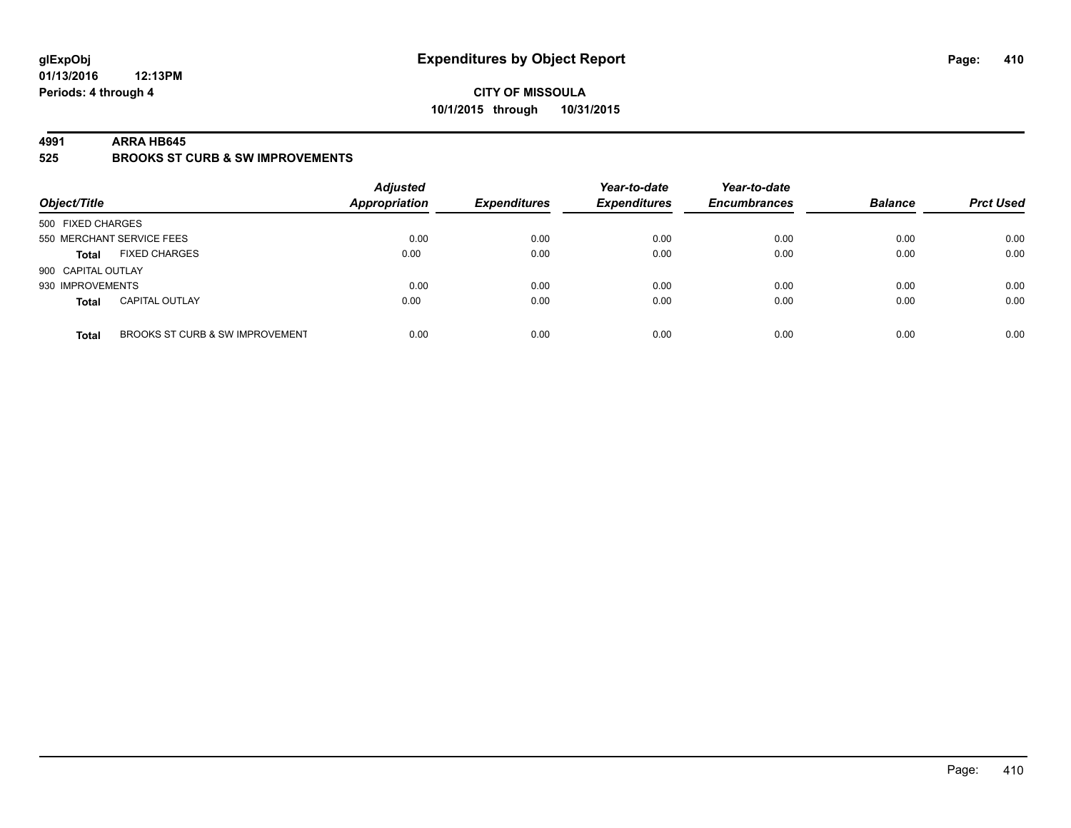#### **CITY OF MISSOULA 10/1/2015 through 10/31/2015**

#### **4991 ARRA HB645**

**525 BROOKS ST CURB & SW IMPROVEMENTS**

| Object/Title              |                                 | <b>Adjusted</b><br><b>Appropriation</b> | <b>Expenditures</b> | Year-to-date<br><b>Expenditures</b> | Year-to-date<br><b>Encumbrances</b> | <b>Balance</b> | <b>Prct Used</b> |
|---------------------------|---------------------------------|-----------------------------------------|---------------------|-------------------------------------|-------------------------------------|----------------|------------------|
| 500 FIXED CHARGES         |                                 |                                         |                     |                                     |                                     |                |                  |
| 550 MERCHANT SERVICE FEES |                                 | 0.00                                    | 0.00                | 0.00                                | 0.00                                | 0.00           | 0.00             |
| <b>Total</b>              | <b>FIXED CHARGES</b>            | 0.00                                    | 0.00                | 0.00                                | 0.00                                | 0.00           | 0.00             |
| 900 CAPITAL OUTLAY        |                                 |                                         |                     |                                     |                                     |                |                  |
| 930 IMPROVEMENTS          |                                 | 0.00                                    | 0.00                | 0.00                                | 0.00                                | 0.00           | 0.00             |
| <b>Total</b>              | <b>CAPITAL OUTLAY</b>           | 0.00                                    | 0.00                | 0.00                                | 0.00                                | 0.00           | 0.00             |
| <b>Total</b>              | BROOKS ST CURB & SW IMPROVEMENT | 0.00                                    | 0.00                | 0.00                                | 0.00                                | 0.00           | 0.00             |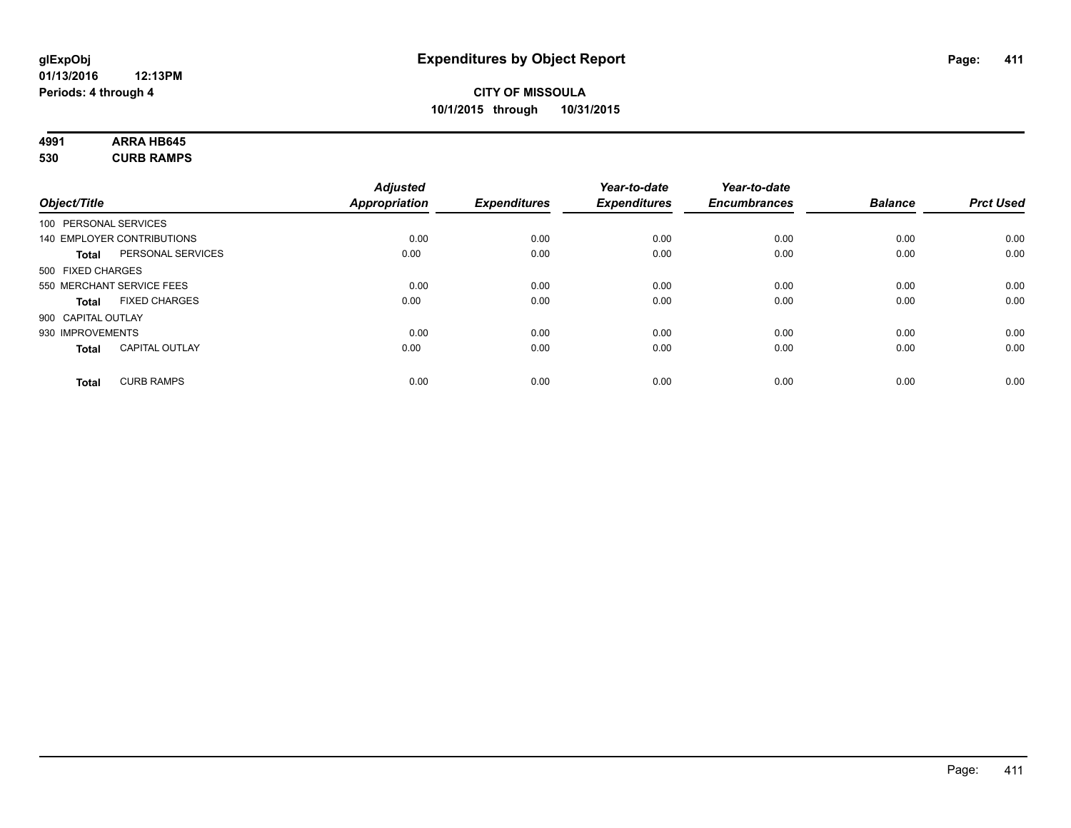#### **4991 ARRA HB645 530 CURB RAMPS**

| 530 | <b>CURB RAMPS</b> |
|-----|-------------------|
|     |                   |

|                       |                                   | <b>Adjusted</b> |                     | Year-to-date        | Year-to-date        |                |                  |
|-----------------------|-----------------------------------|-----------------|---------------------|---------------------|---------------------|----------------|------------------|
| Object/Title          |                                   | Appropriation   | <b>Expenditures</b> | <b>Expenditures</b> | <b>Encumbrances</b> | <b>Balance</b> | <b>Prct Used</b> |
| 100 PERSONAL SERVICES |                                   |                 |                     |                     |                     |                |                  |
|                       | <b>140 EMPLOYER CONTRIBUTIONS</b> | 0.00            | 0.00                | 0.00                | 0.00                | 0.00           | 0.00             |
| <b>Total</b>          | PERSONAL SERVICES                 | 0.00            | 0.00                | 0.00                | 0.00                | 0.00           | 0.00             |
| 500 FIXED CHARGES     |                                   |                 |                     |                     |                     |                |                  |
|                       | 550 MERCHANT SERVICE FEES         | 0.00            | 0.00                | 0.00                | 0.00                | 0.00           | 0.00             |
| <b>Total</b>          | <b>FIXED CHARGES</b>              | 0.00            | 0.00                | 0.00                | 0.00                | 0.00           | 0.00             |
| 900 CAPITAL OUTLAY    |                                   |                 |                     |                     |                     |                |                  |
| 930 IMPROVEMENTS      |                                   | 0.00            | 0.00                | 0.00                | 0.00                | 0.00           | 0.00             |
| <b>Total</b>          | <b>CAPITAL OUTLAY</b>             | 0.00            | 0.00                | 0.00                | 0.00                | 0.00           | 0.00             |
| <b>Total</b>          | <b>CURB RAMPS</b>                 | 0.00            | 0.00                | 0.00                | 0.00                | 0.00           | 0.00             |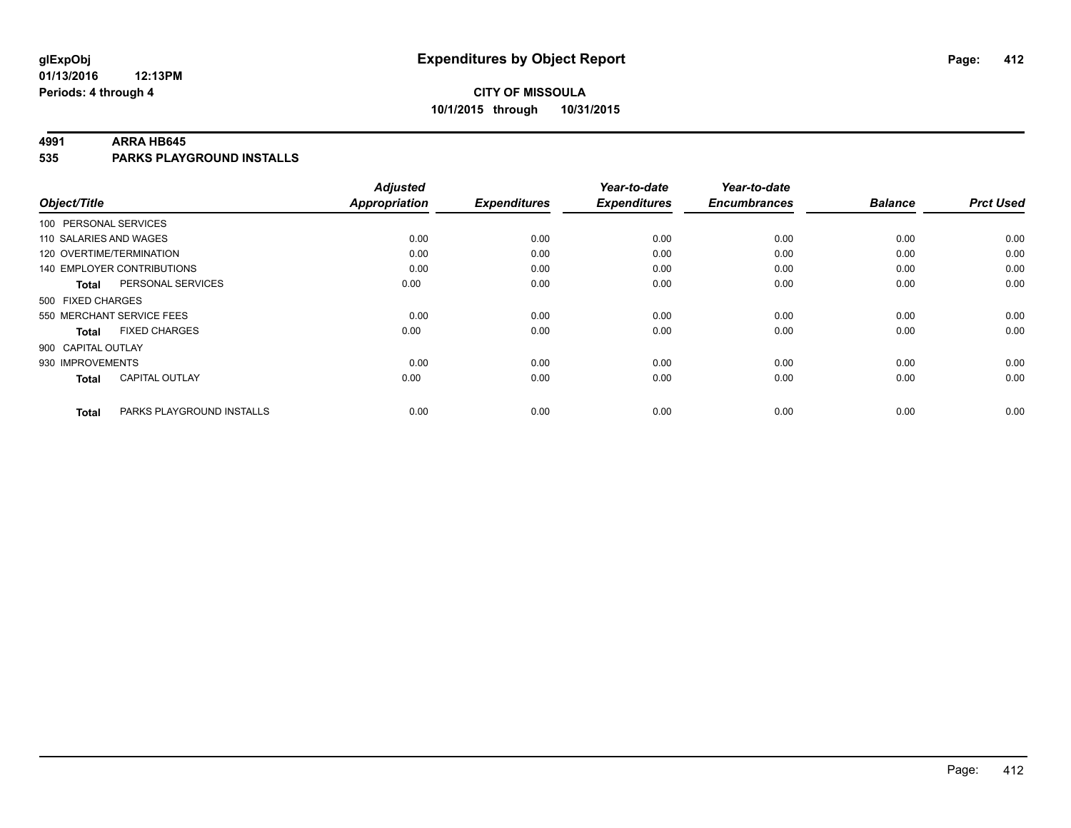#### **4991 ARRA HB645**

**535 PARKS PLAYGROUND INSTALLS**

|                          |                                   | <b>Adjusted</b>      |                     | Year-to-date        | Year-to-date        |                |                  |
|--------------------------|-----------------------------------|----------------------|---------------------|---------------------|---------------------|----------------|------------------|
| Object/Title             |                                   | <b>Appropriation</b> | <b>Expenditures</b> | <b>Expenditures</b> | <b>Encumbrances</b> | <b>Balance</b> | <b>Prct Used</b> |
| 100 PERSONAL SERVICES    |                                   |                      |                     |                     |                     |                |                  |
| 110 SALARIES AND WAGES   |                                   | 0.00                 | 0.00                | 0.00                | 0.00                | 0.00           | 0.00             |
| 120 OVERTIME/TERMINATION |                                   | 0.00                 | 0.00                | 0.00                | 0.00                | 0.00           | 0.00             |
|                          | <b>140 EMPLOYER CONTRIBUTIONS</b> | 0.00                 | 0.00                | 0.00                | 0.00                | 0.00           | 0.00             |
| <b>Total</b>             | PERSONAL SERVICES                 | 0.00                 | 0.00                | 0.00                | 0.00                | 0.00           | 0.00             |
| 500 FIXED CHARGES        |                                   |                      |                     |                     |                     |                |                  |
|                          | 550 MERCHANT SERVICE FEES         | 0.00                 | 0.00                | 0.00                | 0.00                | 0.00           | 0.00             |
| <b>Total</b>             | <b>FIXED CHARGES</b>              | 0.00                 | 0.00                | 0.00                | 0.00                | 0.00           | 0.00             |
| 900 CAPITAL OUTLAY       |                                   |                      |                     |                     |                     |                |                  |
| 930 IMPROVEMENTS         |                                   | 0.00                 | 0.00                | 0.00                | 0.00                | 0.00           | 0.00             |
| <b>Total</b>             | <b>CAPITAL OUTLAY</b>             | 0.00                 | 0.00                | 0.00                | 0.00                | 0.00           | 0.00             |
| <b>Total</b>             | PARKS PLAYGROUND INSTALLS         | 0.00                 | 0.00                | 0.00                | 0.00                | 0.00           | 0.00             |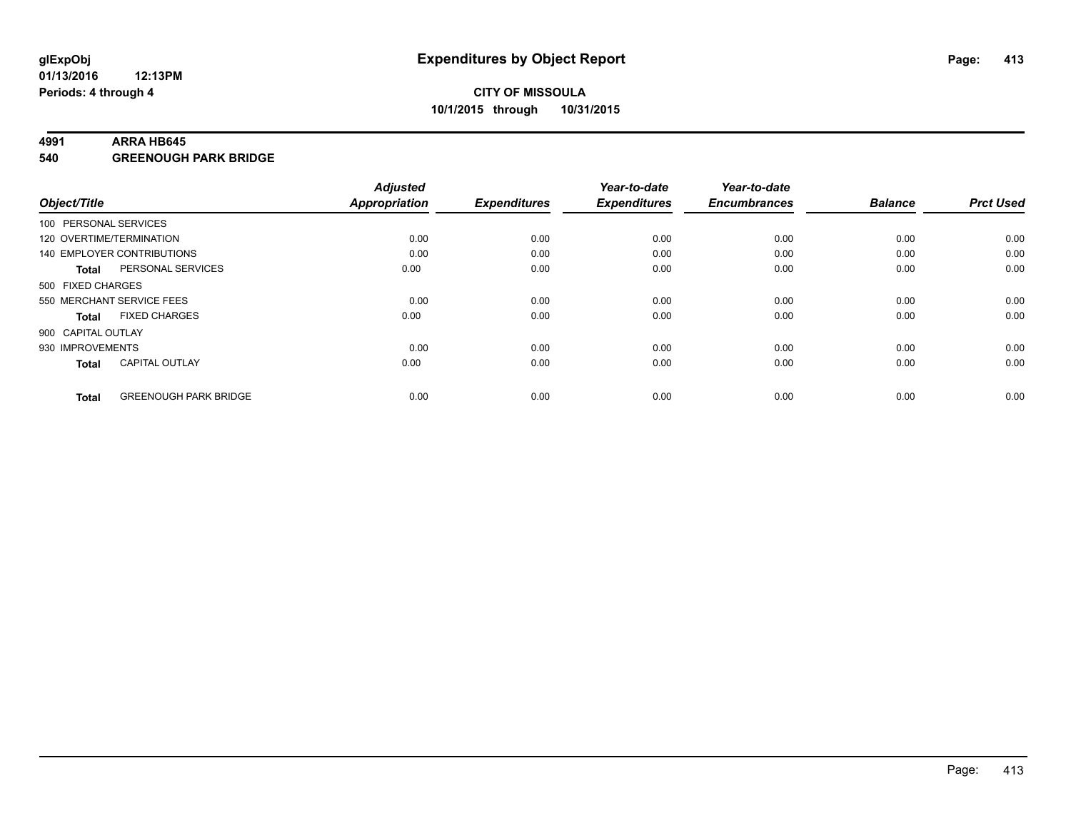#### **4991 ARRA HB645**

**540 GREENOUGH PARK BRIDGE**

| Object/Title       |                              | <b>Adjusted</b><br><b>Appropriation</b> | <b>Expenditures</b> | Year-to-date<br><b>Expenditures</b> | Year-to-date<br><b>Encumbrances</b> | <b>Balance</b> | <b>Prct Used</b> |
|--------------------|------------------------------|-----------------------------------------|---------------------|-------------------------------------|-------------------------------------|----------------|------------------|
|                    | 100 PERSONAL SERVICES        |                                         |                     |                                     |                                     |                |                  |
|                    | 120 OVERTIME/TERMINATION     | 0.00                                    | 0.00                | 0.00                                | 0.00                                | 0.00           | 0.00             |
|                    | 140 EMPLOYER CONTRIBUTIONS   | 0.00                                    | 0.00                | 0.00                                | 0.00                                | 0.00           | 0.00             |
| Total              | PERSONAL SERVICES            | 0.00                                    | 0.00                | 0.00                                | 0.00                                | 0.00           | 0.00             |
| 500 FIXED CHARGES  |                              |                                         |                     |                                     |                                     |                |                  |
|                    | 550 MERCHANT SERVICE FEES    | 0.00                                    | 0.00                | 0.00                                | 0.00                                | 0.00           | 0.00             |
| <b>Total</b>       | <b>FIXED CHARGES</b>         | 0.00                                    | 0.00                | 0.00                                | 0.00                                | 0.00           | 0.00             |
| 900 CAPITAL OUTLAY |                              |                                         |                     |                                     |                                     |                |                  |
| 930 IMPROVEMENTS   |                              | 0.00                                    | 0.00                | 0.00                                | 0.00                                | 0.00           | 0.00             |
| <b>Total</b>       | <b>CAPITAL OUTLAY</b>        | 0.00                                    | 0.00                | 0.00                                | 0.00                                | 0.00           | 0.00             |
| <b>Total</b>       | <b>GREENOUGH PARK BRIDGE</b> | 0.00                                    | 0.00                | 0.00                                | 0.00                                | 0.00           | 0.00             |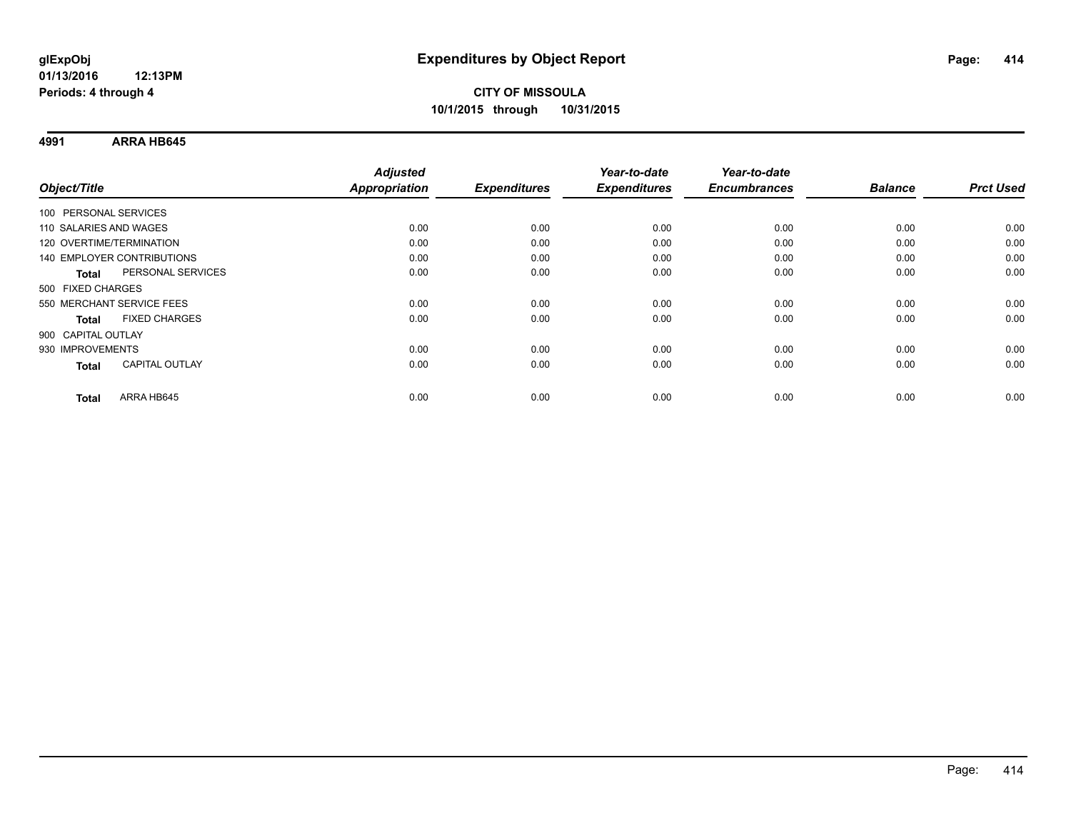**4991 ARRA HB645**

| Object/Title                      | <b>Adjusted</b><br><b>Appropriation</b> | <b>Expenditures</b> | Year-to-date<br><b>Expenditures</b> | Year-to-date<br><b>Encumbrances</b> | <b>Balance</b> | <b>Prct Used</b> |
|-----------------------------------|-----------------------------------------|---------------------|-------------------------------------|-------------------------------------|----------------|------------------|
|                                   |                                         |                     |                                     |                                     |                |                  |
| 100 PERSONAL SERVICES             |                                         |                     |                                     |                                     |                |                  |
| 110 SALARIES AND WAGES            | 0.00                                    | 0.00                | 0.00                                | 0.00                                | 0.00           | 0.00             |
| 120 OVERTIME/TERMINATION          | 0.00                                    | 0.00                | 0.00                                | 0.00                                | 0.00           | 0.00             |
| 140 EMPLOYER CONTRIBUTIONS        | 0.00                                    | 0.00                | 0.00                                | 0.00                                | 0.00           | 0.00             |
| PERSONAL SERVICES<br><b>Total</b> | 0.00                                    | 0.00                | 0.00                                | 0.00                                | 0.00           | 0.00             |
| 500 FIXED CHARGES                 |                                         |                     |                                     |                                     |                |                  |
| 550 MERCHANT SERVICE FEES         | 0.00                                    | 0.00                | 0.00                                | 0.00                                | 0.00           | 0.00             |
| <b>FIXED CHARGES</b><br>Total     | 0.00                                    | 0.00                | 0.00                                | 0.00                                | 0.00           | 0.00             |
| 900 CAPITAL OUTLAY                |                                         |                     |                                     |                                     |                |                  |
| 930 IMPROVEMENTS                  | 0.00                                    | 0.00                | 0.00                                | 0.00                                | 0.00           | 0.00             |
| <b>CAPITAL OUTLAY</b><br>Total    | 0.00                                    | 0.00                | 0.00                                | 0.00                                | 0.00           | 0.00             |
|                                   |                                         |                     |                                     |                                     |                |                  |
| ARRA HB645<br><b>Total</b>        | 0.00                                    | 0.00                | 0.00                                | 0.00                                | 0.00           | 0.00             |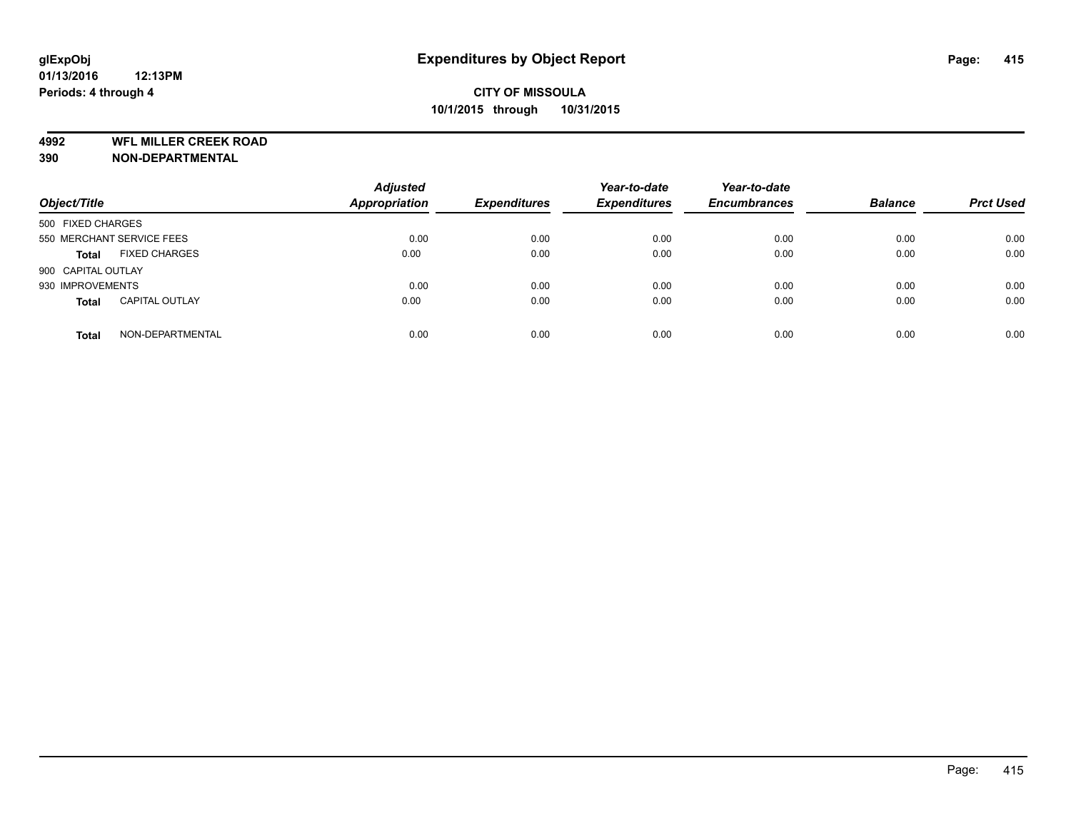**4992 WFL MILLER CREEK ROAD**

**390 NON-DEPARTMENTAL**

| Object/Title              |                       | <b>Adjusted</b><br><b>Appropriation</b> | <b>Expenditures</b> | Year-to-date<br><b>Expenditures</b> | Year-to-date<br><b>Encumbrances</b> | <b>Balance</b> | <b>Prct Used</b> |
|---------------------------|-----------------------|-----------------------------------------|---------------------|-------------------------------------|-------------------------------------|----------------|------------------|
| 500 FIXED CHARGES         |                       |                                         |                     |                                     |                                     |                |                  |
| 550 MERCHANT SERVICE FEES |                       | 0.00                                    | 0.00                | 0.00                                | 0.00                                | 0.00           | 0.00             |
| <b>Total</b>              | <b>FIXED CHARGES</b>  | 0.00                                    | 0.00                | 0.00                                | 0.00                                | 0.00           | 0.00             |
| 900 CAPITAL OUTLAY        |                       |                                         |                     |                                     |                                     |                |                  |
| 930 IMPROVEMENTS          |                       | 0.00                                    | 0.00                | 0.00                                | 0.00                                | 0.00           | 0.00             |
| <b>Total</b>              | <b>CAPITAL OUTLAY</b> | 0.00                                    | 0.00                | 0.00                                | 0.00                                | 0.00           | 0.00             |
| <b>Total</b>              | NON-DEPARTMENTAL      | 0.00                                    | 0.00                | 0.00                                | 0.00                                | 0.00           | 0.00             |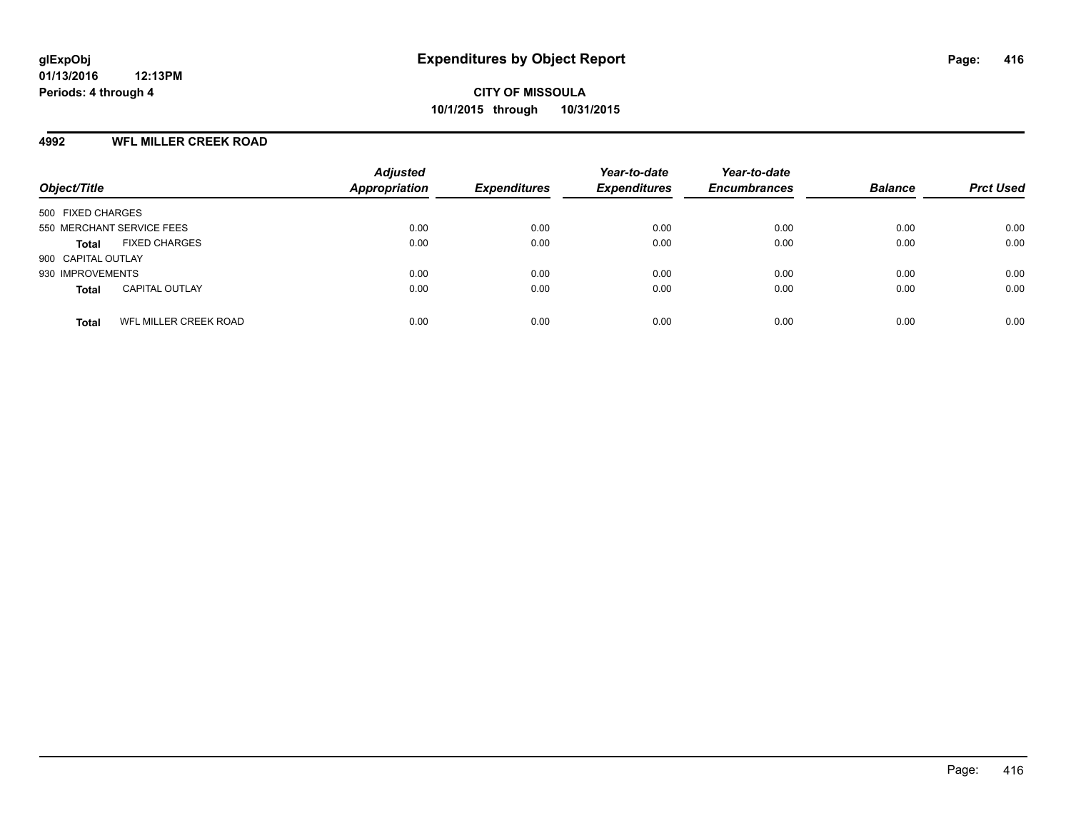#### **4992 WFL MILLER CREEK ROAD**

| Object/Title                                 | <b>Adjusted</b><br><b>Appropriation</b> | <b>Expenditures</b> | Year-to-date<br><b>Expenditures</b> | Year-to-date<br><b>Encumbrances</b> | <b>Balance</b> | <b>Prct Used</b> |
|----------------------------------------------|-----------------------------------------|---------------------|-------------------------------------|-------------------------------------|----------------|------------------|
| 500 FIXED CHARGES                            |                                         |                     |                                     |                                     |                |                  |
| 550 MERCHANT SERVICE FEES                    | 0.00                                    | 0.00                | 0.00                                | 0.00                                | 0.00           | 0.00             |
| <b>FIXED CHARGES</b><br><b>Total</b>         | 0.00                                    | 0.00                | 0.00                                | 0.00                                | 0.00           | 0.00             |
| 900 CAPITAL OUTLAY                           |                                         |                     |                                     |                                     |                |                  |
| 930 IMPROVEMENTS                             | 0.00                                    | 0.00                | 0.00                                | 0.00                                | 0.00           | 0.00             |
| <b>CAPITAL OUTLAY</b><br><b>Total</b>        | 0.00                                    | 0.00                | 0.00                                | 0.00                                | 0.00           | 0.00             |
| <b>WFL MILLER CREEK ROAD</b><br><b>Total</b> | 0.00                                    | 0.00                | 0.00                                | 0.00                                | 0.00           | 0.00             |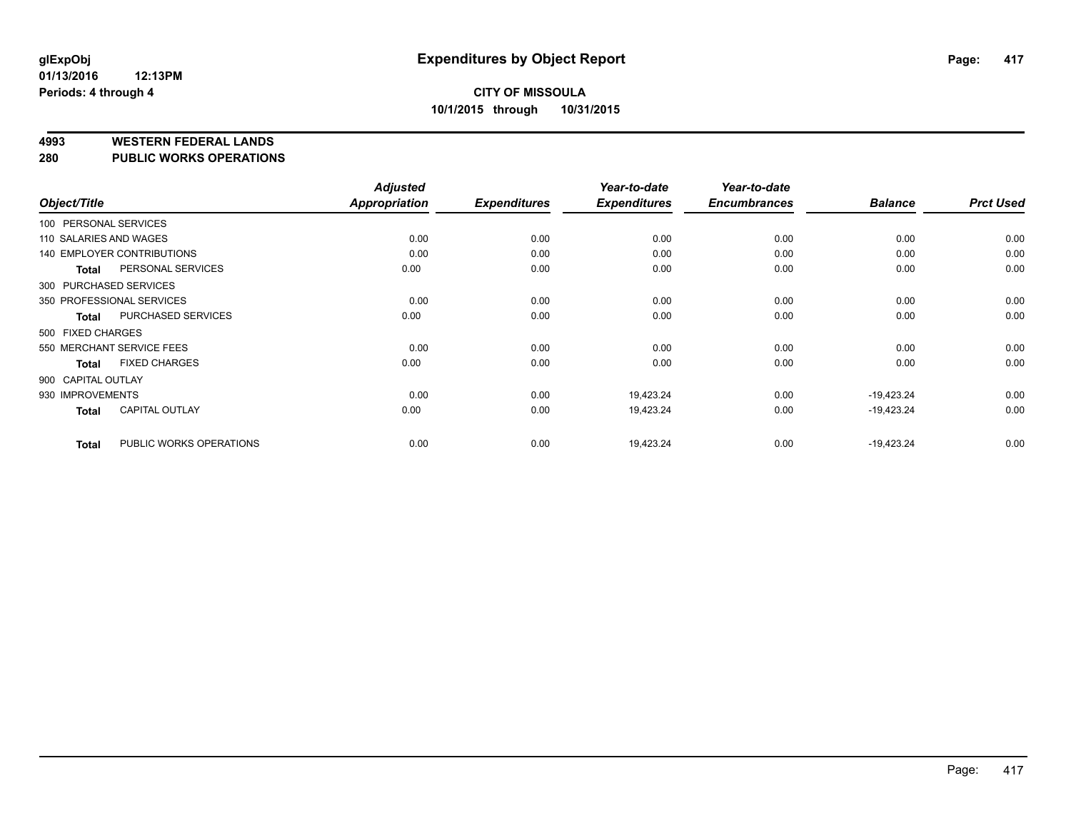**4993 WESTERN FEDERAL LANDS**

**280 PUBLIC WORKS OPERATIONS**

|                        |                            | <b>Adjusted</b> |                     | Year-to-date        | Year-to-date        |                |                  |
|------------------------|----------------------------|-----------------|---------------------|---------------------|---------------------|----------------|------------------|
| Object/Title           |                            | Appropriation   | <b>Expenditures</b> | <b>Expenditures</b> | <b>Encumbrances</b> | <b>Balance</b> | <b>Prct Used</b> |
| 100 PERSONAL SERVICES  |                            |                 |                     |                     |                     |                |                  |
| 110 SALARIES AND WAGES |                            | 0.00            | 0.00                | 0.00                | 0.00                | 0.00           | 0.00             |
|                        | 140 EMPLOYER CONTRIBUTIONS | 0.00            | 0.00                | 0.00                | 0.00                | 0.00           | 0.00             |
| <b>Total</b>           | PERSONAL SERVICES          | 0.00            | 0.00                | 0.00                | 0.00                | 0.00           | 0.00             |
| 300 PURCHASED SERVICES |                            |                 |                     |                     |                     |                |                  |
|                        | 350 PROFESSIONAL SERVICES  | 0.00            | 0.00                | 0.00                | 0.00                | 0.00           | 0.00             |
| <b>Total</b>           | PURCHASED SERVICES         | 0.00            | 0.00                | 0.00                | 0.00                | 0.00           | 0.00             |
| 500 FIXED CHARGES      |                            |                 |                     |                     |                     |                |                  |
|                        | 550 MERCHANT SERVICE FEES  | 0.00            | 0.00                | 0.00                | 0.00                | 0.00           | 0.00             |
| <b>Total</b>           | <b>FIXED CHARGES</b>       | 0.00            | 0.00                | 0.00                | 0.00                | 0.00           | 0.00             |
| 900 CAPITAL OUTLAY     |                            |                 |                     |                     |                     |                |                  |
| 930 IMPROVEMENTS       |                            | 0.00            | 0.00                | 19,423.24           | 0.00                | $-19,423.24$   | 0.00             |
| <b>Total</b>           | <b>CAPITAL OUTLAY</b>      | 0.00            | 0.00                | 19,423.24           | 0.00                | $-19,423.24$   | 0.00             |
| <b>Total</b>           | PUBLIC WORKS OPERATIONS    | 0.00            | 0.00                | 19,423.24           | 0.00                | $-19,423.24$   | 0.00             |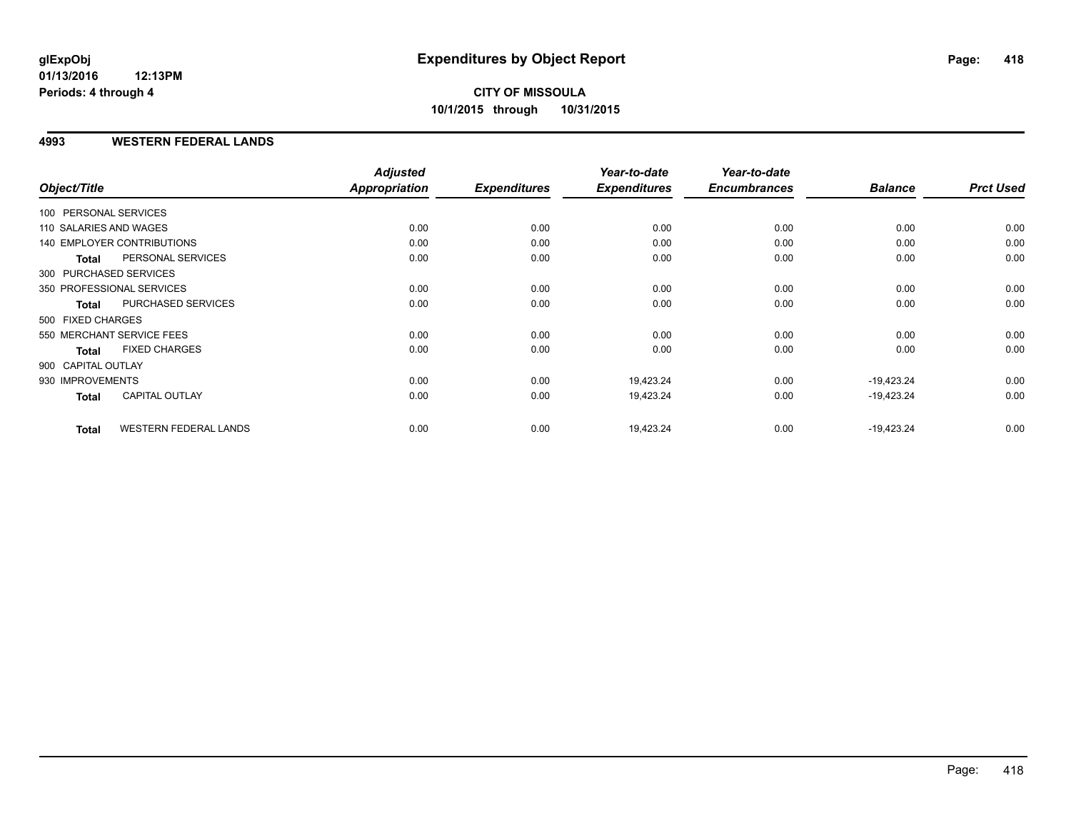#### **4993 WESTERN FEDERAL LANDS**

| Object/Title           |                              | <b>Adjusted</b><br>Appropriation | <b>Expenditures</b> | Year-to-date<br><b>Expenditures</b> | Year-to-date<br><b>Encumbrances</b> | <b>Balance</b> | <b>Prct Used</b> |
|------------------------|------------------------------|----------------------------------|---------------------|-------------------------------------|-------------------------------------|----------------|------------------|
|                        |                              |                                  |                     |                                     |                                     |                |                  |
| 100 PERSONAL SERVICES  |                              |                                  |                     |                                     |                                     |                |                  |
| 110 SALARIES AND WAGES |                              | 0.00                             | 0.00                | 0.00                                | 0.00                                | 0.00           | 0.00             |
|                        | 140 EMPLOYER CONTRIBUTIONS   | 0.00                             | 0.00                | 0.00                                | 0.00                                | 0.00           | 0.00             |
| <b>Total</b>           | PERSONAL SERVICES            | 0.00                             | 0.00                | 0.00                                | 0.00                                | 0.00           | 0.00             |
|                        | 300 PURCHASED SERVICES       |                                  |                     |                                     |                                     |                |                  |
|                        | 350 PROFESSIONAL SERVICES    | 0.00                             | 0.00                | 0.00                                | 0.00                                | 0.00           | 0.00             |
| <b>Total</b>           | PURCHASED SERVICES           | 0.00                             | 0.00                | 0.00                                | 0.00                                | 0.00           | 0.00             |
| 500 FIXED CHARGES      |                              |                                  |                     |                                     |                                     |                |                  |
|                        | 550 MERCHANT SERVICE FEES    | 0.00                             | 0.00                | 0.00                                | 0.00                                | 0.00           | 0.00             |
| <b>Total</b>           | <b>FIXED CHARGES</b>         | 0.00                             | 0.00                | 0.00                                | 0.00                                | 0.00           | 0.00             |
| 900 CAPITAL OUTLAY     |                              |                                  |                     |                                     |                                     |                |                  |
| 930 IMPROVEMENTS       |                              | 0.00                             | 0.00                | 19,423.24                           | 0.00                                | $-19,423.24$   | 0.00             |
| <b>Total</b>           | CAPITAL OUTLAY               | 0.00                             | 0.00                | 19,423.24                           | 0.00                                | $-19,423.24$   | 0.00             |
| <b>Total</b>           | <b>WESTERN FEDERAL LANDS</b> | 0.00                             | 0.00                | 19,423.24                           | 0.00                                | $-19,423.24$   | 0.00             |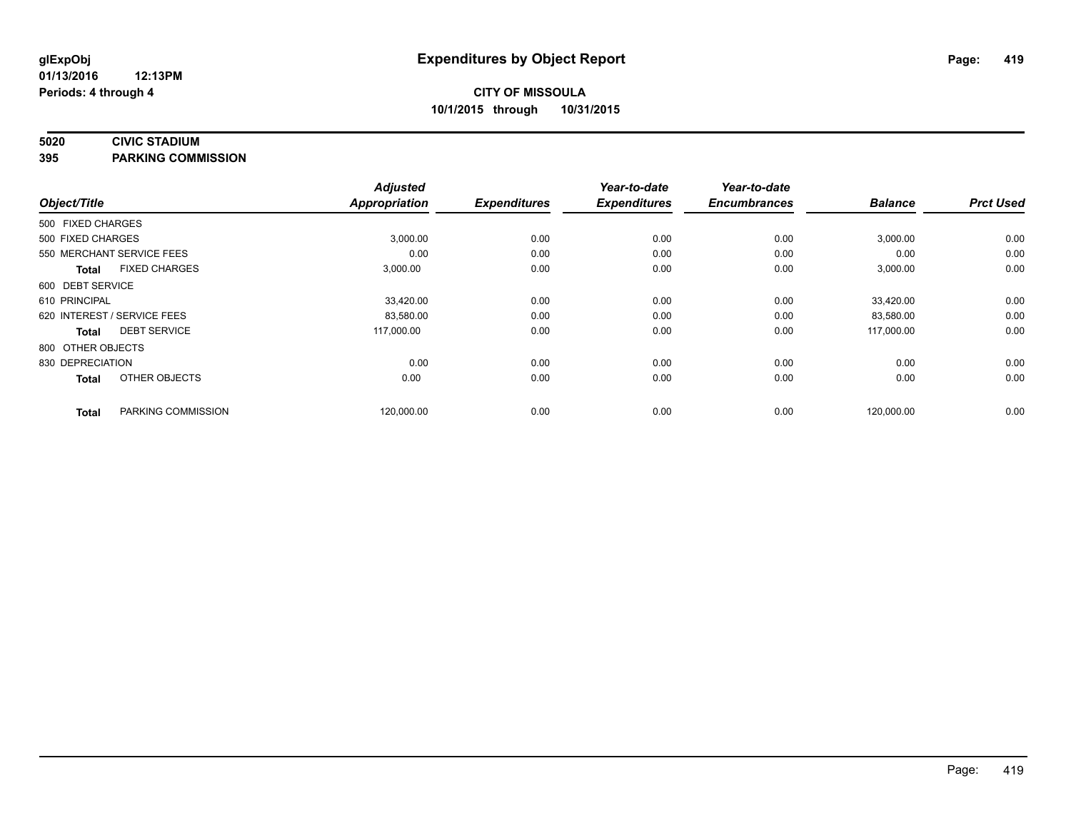#### **5020 CIVIC STADIUM**

**395 PARKING COMMISSION**

| Object/Title                |                      | <b>Adjusted</b><br><b>Appropriation</b> | <b>Expenditures</b> | Year-to-date<br><b>Expenditures</b> | Year-to-date<br><b>Encumbrances</b> | <b>Balance</b> | <b>Prct Used</b> |
|-----------------------------|----------------------|-----------------------------------------|---------------------|-------------------------------------|-------------------------------------|----------------|------------------|
| 500 FIXED CHARGES           |                      |                                         |                     |                                     |                                     |                |                  |
| 500 FIXED CHARGES           |                      | 3,000.00                                | 0.00                | 0.00                                | 0.00                                | 3,000.00       | 0.00             |
| 550 MERCHANT SERVICE FEES   |                      | 0.00                                    | 0.00                | 0.00                                | 0.00                                | 0.00           | 0.00             |
| <b>Total</b>                | <b>FIXED CHARGES</b> | 3,000.00                                | 0.00                | 0.00                                | 0.00                                | 3,000.00       | 0.00             |
| 600 DEBT SERVICE            |                      |                                         |                     |                                     |                                     |                |                  |
| 610 PRINCIPAL               |                      | 33,420.00                               | 0.00                | 0.00                                | 0.00                                | 33,420.00      | 0.00             |
| 620 INTEREST / SERVICE FEES |                      | 83,580.00                               | 0.00                | 0.00                                | 0.00                                | 83,580.00      | 0.00             |
| <b>Total</b>                | <b>DEBT SERVICE</b>  | 117,000.00                              | 0.00                | 0.00                                | 0.00                                | 117,000.00     | 0.00             |
| 800 OTHER OBJECTS           |                      |                                         |                     |                                     |                                     |                |                  |
| 830 DEPRECIATION            |                      | 0.00                                    | 0.00                | 0.00                                | 0.00                                | 0.00           | 0.00             |
| <b>Total</b>                | OTHER OBJECTS        | 0.00                                    | 0.00                | 0.00                                | 0.00                                | 0.00           | 0.00             |
| <b>Total</b>                | PARKING COMMISSION   | 120,000.00                              | 0.00                | 0.00                                | 0.00                                | 120,000.00     | 0.00             |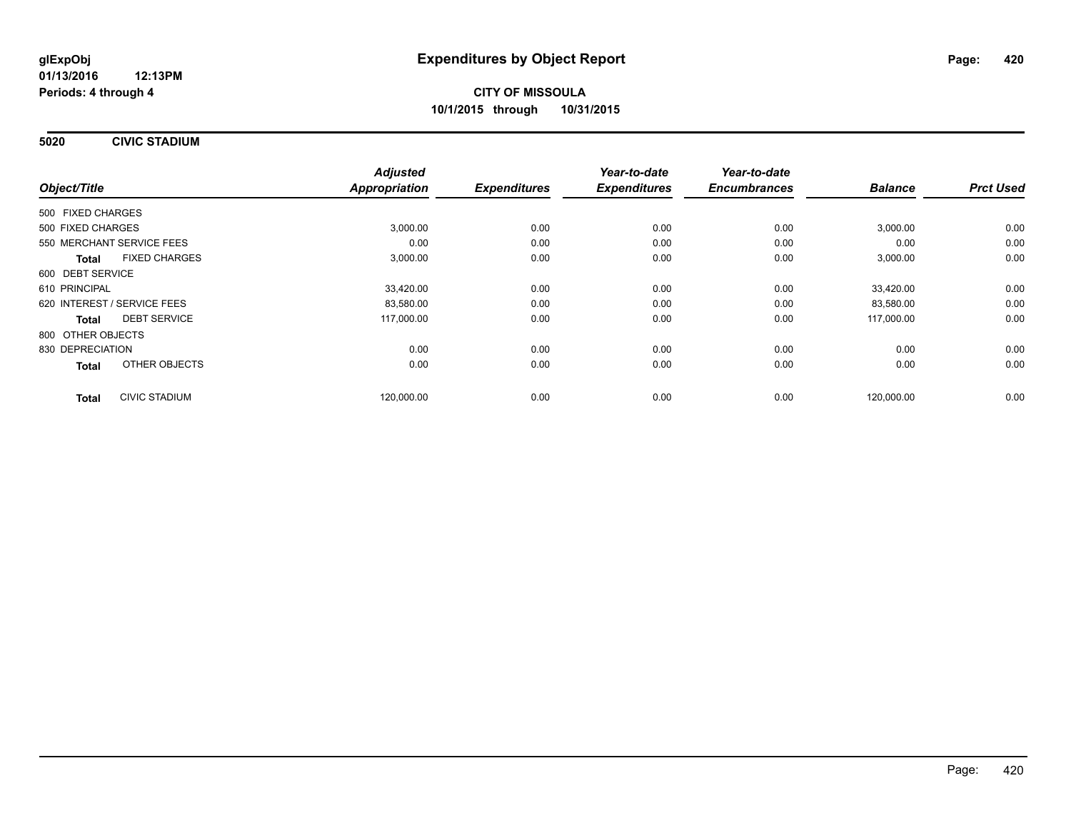**5020 CIVIC STADIUM**

|                                      | <b>Adjusted</b> |                     | Year-to-date        | Year-to-date        |                |                  |
|--------------------------------------|-----------------|---------------------|---------------------|---------------------|----------------|------------------|
| Object/Title                         | Appropriation   | <b>Expenditures</b> | <b>Expenditures</b> | <b>Encumbrances</b> | <b>Balance</b> | <b>Prct Used</b> |
| 500 FIXED CHARGES                    |                 |                     |                     |                     |                |                  |
| 500 FIXED CHARGES                    | 3,000.00        | 0.00                | 0.00                | 0.00                | 3,000.00       | 0.00             |
| 550 MERCHANT SERVICE FEES            | 0.00            | 0.00                | 0.00                | 0.00                | 0.00           | 0.00             |
| <b>FIXED CHARGES</b><br><b>Total</b> | 3,000.00        | 0.00                | 0.00                | 0.00                | 3,000.00       | 0.00             |
| 600 DEBT SERVICE                     |                 |                     |                     |                     |                |                  |
| 610 PRINCIPAL                        | 33,420.00       | 0.00                | 0.00                | 0.00                | 33.420.00      | 0.00             |
| 620 INTEREST / SERVICE FEES          | 83,580.00       | 0.00                | 0.00                | 0.00                | 83,580.00      | 0.00             |
| <b>DEBT SERVICE</b><br><b>Total</b>  | 117,000.00      | 0.00                | 0.00                | 0.00                | 117,000.00     | 0.00             |
| 800 OTHER OBJECTS                    |                 |                     |                     |                     |                |                  |
| 830 DEPRECIATION                     | 0.00            | 0.00                | 0.00                | 0.00                | 0.00           | 0.00             |
| OTHER OBJECTS<br><b>Total</b>        | 0.00            | 0.00                | 0.00                | 0.00                | 0.00           | 0.00             |
| <b>CIVIC STADIUM</b><br><b>Total</b> | 120,000.00      | 0.00                | 0.00                | 0.00                | 120,000.00     | 0.00             |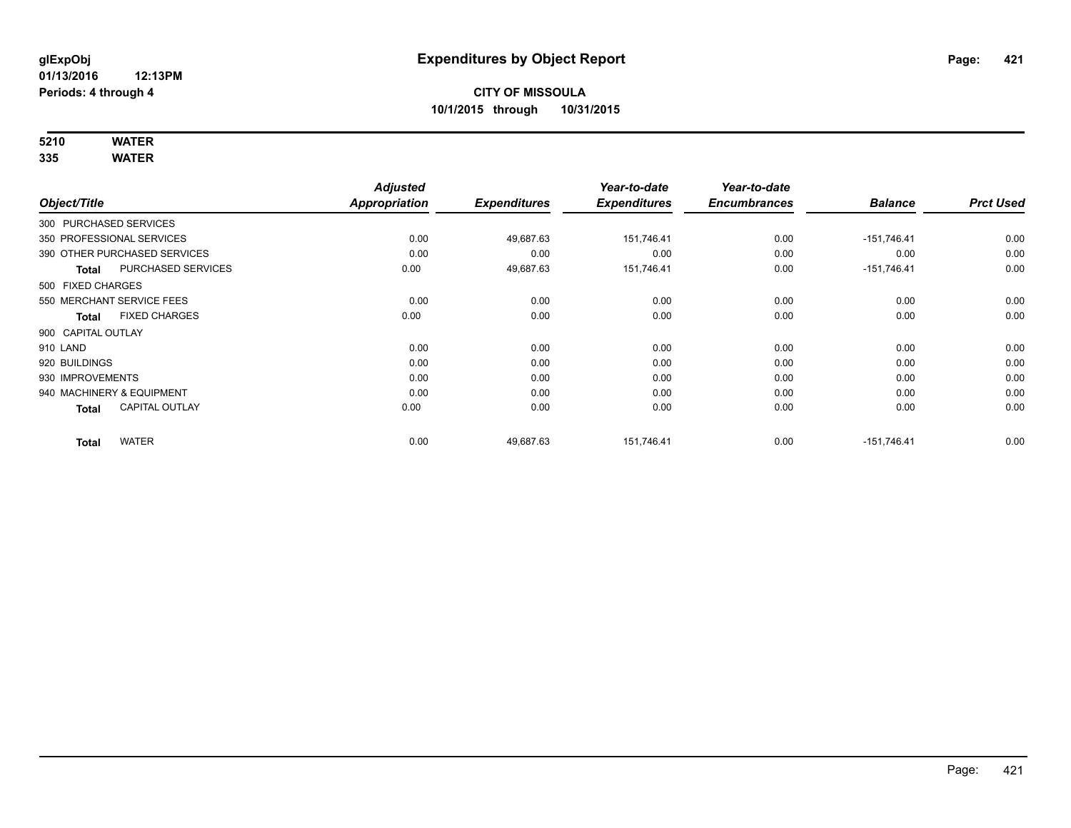# **5210 WATER**

|                        |                              | <b>Adjusted</b> |                     | Year-to-date        | Year-to-date        |                |                  |
|------------------------|------------------------------|-----------------|---------------------|---------------------|---------------------|----------------|------------------|
| Object/Title           |                              | Appropriation   | <b>Expenditures</b> | <b>Expenditures</b> | <b>Encumbrances</b> | <b>Balance</b> | <b>Prct Used</b> |
| 300 PURCHASED SERVICES |                              |                 |                     |                     |                     |                |                  |
|                        | 350 PROFESSIONAL SERVICES    | 0.00            | 49,687.63           | 151,746.41          | 0.00                | $-151,746.41$  | 0.00             |
|                        | 390 OTHER PURCHASED SERVICES | 0.00            | 0.00                | 0.00                | 0.00                | 0.00           | 0.00             |
| <b>Total</b>           | <b>PURCHASED SERVICES</b>    | 0.00            | 49,687.63           | 151,746.41          | 0.00                | $-151,746.41$  | 0.00             |
| 500 FIXED CHARGES      |                              |                 |                     |                     |                     |                |                  |
|                        | 550 MERCHANT SERVICE FEES    | 0.00            | 0.00                | 0.00                | 0.00                | 0.00           | 0.00             |
| Total                  | <b>FIXED CHARGES</b>         | 0.00            | 0.00                | 0.00                | 0.00                | 0.00           | 0.00             |
| 900 CAPITAL OUTLAY     |                              |                 |                     |                     |                     |                |                  |
| 910 LAND               |                              | 0.00            | 0.00                | 0.00                | 0.00                | 0.00           | 0.00             |
| 920 BUILDINGS          |                              | 0.00            | 0.00                | 0.00                | 0.00                | 0.00           | 0.00             |
| 930 IMPROVEMENTS       |                              | 0.00            | 0.00                | 0.00                | 0.00                | 0.00           | 0.00             |
|                        | 940 MACHINERY & EQUIPMENT    | 0.00            | 0.00                | 0.00                | 0.00                | 0.00           | 0.00             |
| <b>Total</b>           | <b>CAPITAL OUTLAY</b>        | 0.00            | 0.00                | 0.00                | 0.00                | 0.00           | 0.00             |
| <b>Total</b>           | <b>WATER</b>                 | 0.00            | 49,687.63           | 151.746.41          | 0.00                | $-151.746.41$  | 0.00             |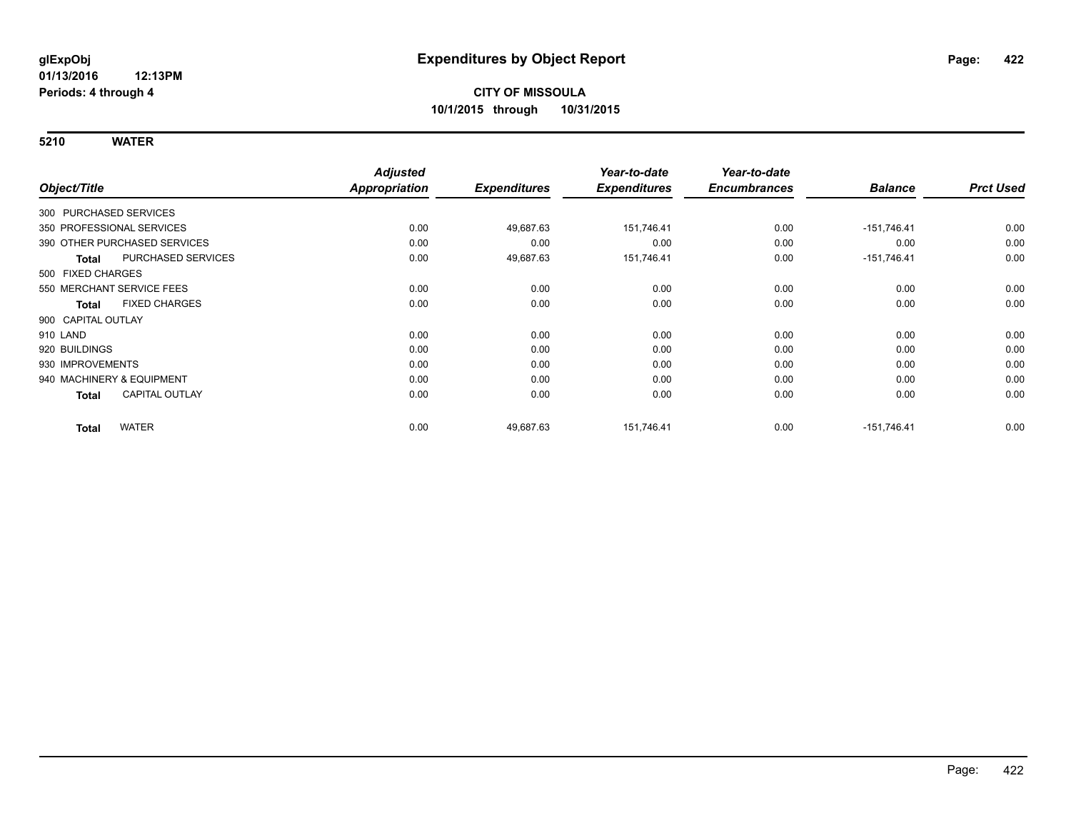| Object/Title                          | <b>Adjusted</b><br>Appropriation | <b>Expenditures</b> | Year-to-date<br><b>Expenditures</b> | Year-to-date<br><b>Encumbrances</b> | <b>Balance</b> | <b>Prct Used</b> |
|---------------------------------------|----------------------------------|---------------------|-------------------------------------|-------------------------------------|----------------|------------------|
| 300 PURCHASED SERVICES                |                                  |                     |                                     |                                     |                |                  |
| 350 PROFESSIONAL SERVICES             | 0.00                             | 49,687.63           | 151,746.41                          | 0.00                                | $-151,746.41$  | 0.00             |
| 390 OTHER PURCHASED SERVICES          | 0.00                             | 0.00                | 0.00                                | 0.00                                | 0.00           | 0.00             |
| PURCHASED SERVICES<br><b>Total</b>    | 0.00                             | 49,687.63           | 151,746.41                          | 0.00                                | $-151,746.41$  | 0.00             |
| 500 FIXED CHARGES                     |                                  |                     |                                     |                                     |                |                  |
| 550 MERCHANT SERVICE FEES             | 0.00                             | 0.00                | 0.00                                | 0.00                                | 0.00           | 0.00             |
| <b>FIXED CHARGES</b><br><b>Total</b>  | 0.00                             | 0.00                | 0.00                                | 0.00                                | 0.00           | 0.00             |
| 900 CAPITAL OUTLAY                    |                                  |                     |                                     |                                     |                |                  |
| 910 LAND                              | 0.00                             | 0.00                | 0.00                                | 0.00                                | 0.00           | 0.00             |
| 920 BUILDINGS                         | 0.00                             | 0.00                | 0.00                                | 0.00                                | 0.00           | 0.00             |
| 930 IMPROVEMENTS                      | 0.00                             | 0.00                | 0.00                                | 0.00                                | 0.00           | 0.00             |
| 940 MACHINERY & EQUIPMENT             | 0.00                             | 0.00                | 0.00                                | 0.00                                | 0.00           | 0.00             |
| <b>CAPITAL OUTLAY</b><br><b>Total</b> | 0.00                             | 0.00                | 0.00                                | 0.00                                | 0.00           | 0.00             |
| <b>WATER</b><br><b>Total</b>          | 0.00                             | 49,687.63           | 151,746.41                          | 0.00                                | $-151,746.41$  | 0.00             |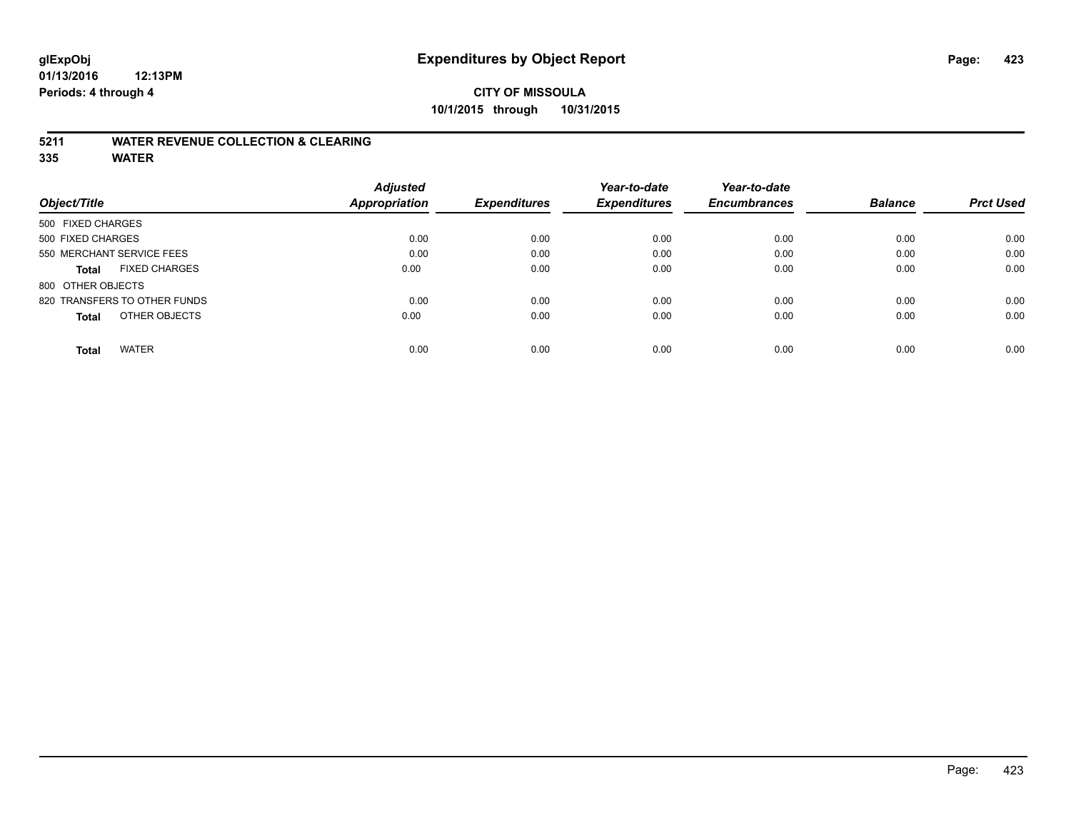#### **5211 WATER REVENUE COLLECTION & CLEARING**

|                                      | <b>Adjusted</b> |                     | Year-to-date        | Year-to-date        |                |                  |
|--------------------------------------|-----------------|---------------------|---------------------|---------------------|----------------|------------------|
| Object/Title                         | Appropriation   | <b>Expenditures</b> | <b>Expenditures</b> | <b>Encumbrances</b> | <b>Balance</b> | <b>Prct Used</b> |
| 500 FIXED CHARGES                    |                 |                     |                     |                     |                |                  |
| 500 FIXED CHARGES                    | 0.00            | 0.00                | 0.00                | 0.00                | 0.00           | 0.00             |
| 550 MERCHANT SERVICE FEES            | 0.00            | 0.00                | 0.00                | 0.00                | 0.00           | 0.00             |
| <b>FIXED CHARGES</b><br><b>Total</b> | 0.00            | 0.00                | 0.00                | 0.00                | 0.00           | 0.00             |
| 800 OTHER OBJECTS                    |                 |                     |                     |                     |                |                  |
| 820 TRANSFERS TO OTHER FUNDS         | 0.00            | 0.00                | 0.00                | 0.00                | 0.00           | 0.00             |
| OTHER OBJECTS<br><b>Total</b>        | 0.00            | 0.00                | 0.00                | 0.00                | 0.00           | 0.00             |
| <b>WATER</b><br>Total                | 0.00            | 0.00                | 0.00                | 0.00                | 0.00           | 0.00             |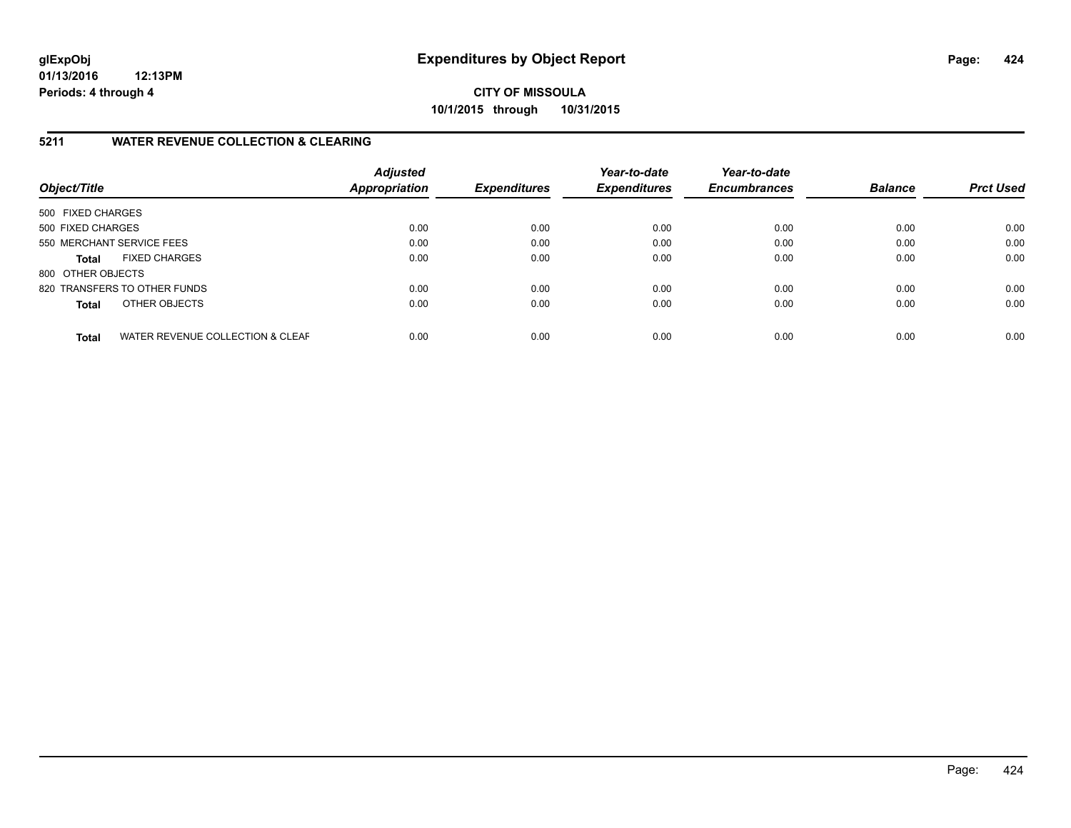**CITY OF MISSOULA 10/1/2015 through 10/31/2015**

#### **5211 WATER REVENUE COLLECTION & CLEARING**

| Object/Title              |                                  | <b>Adjusted</b><br><b>Appropriation</b> | <b>Expenditures</b> | Year-to-date<br><b>Expenditures</b> | Year-to-date<br><b>Encumbrances</b> | <b>Balance</b> | <b>Prct Used</b> |
|---------------------------|----------------------------------|-----------------------------------------|---------------------|-------------------------------------|-------------------------------------|----------------|------------------|
| 500 FIXED CHARGES         |                                  |                                         |                     |                                     |                                     |                |                  |
| 500 FIXED CHARGES         |                                  | 0.00                                    | 0.00                | 0.00                                | 0.00                                | 0.00           | 0.00             |
| 550 MERCHANT SERVICE FEES |                                  | 0.00                                    | 0.00                | 0.00                                | 0.00                                | 0.00           | 0.00             |
| <b>Total</b>              | <b>FIXED CHARGES</b>             | 0.00                                    | 0.00                | 0.00                                | 0.00                                | 0.00           | 0.00             |
| 800 OTHER OBJECTS         |                                  |                                         |                     |                                     |                                     |                |                  |
|                           | 820 TRANSFERS TO OTHER FUNDS     | 0.00                                    | 0.00                | 0.00                                | 0.00                                | 0.00           | 0.00             |
| <b>Total</b>              | OTHER OBJECTS                    | 0.00                                    | 0.00                | 0.00                                | 0.00                                | 0.00           | 0.00             |
| <b>Total</b>              | WATER REVENUE COLLECTION & CLEAF | 0.00                                    | 0.00                | 0.00                                | 0.00                                | 0.00           | 0.00             |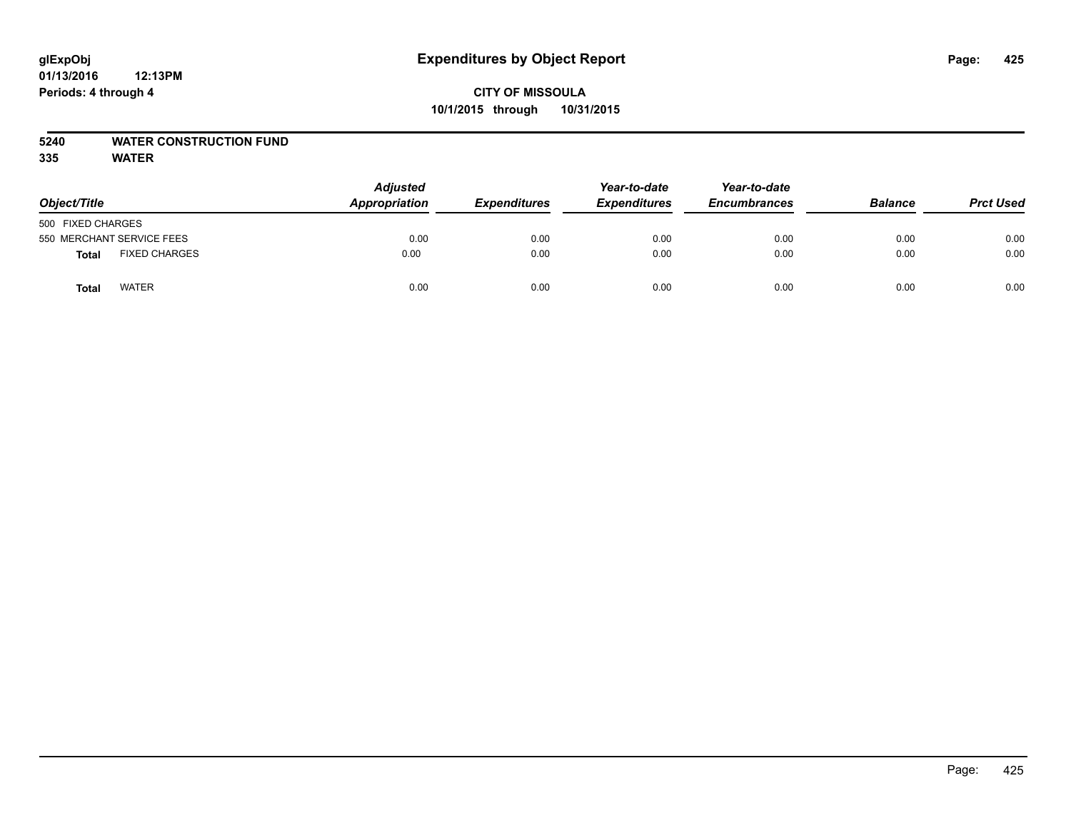### **5240 WATER CONSTRUCTION FUND**

| Object/Title              |                      | <b>Adjusted</b><br>Appropriation | <b>Expenditures</b> | Year-to-date<br><b>Expenditures</b> | Year-to-date<br><b>Encumbrances</b> | <b>Balance</b> | <b>Prct Used</b> |
|---------------------------|----------------------|----------------------------------|---------------------|-------------------------------------|-------------------------------------|----------------|------------------|
| 500 FIXED CHARGES         |                      |                                  |                     |                                     |                                     |                |                  |
| 550 MERCHANT SERVICE FEES |                      | 0.00                             | 0.00                | 0.00                                | 0.00                                | 0.00           | 0.00             |
| <b>Total</b>              | <b>FIXED CHARGES</b> | 0.00                             | 0.00                | 0.00                                | 0.00                                | 0.00           | 0.00             |
| Total                     | <b>WATER</b>         | 0.00                             | 0.00                | 0.00                                | 0.00                                | 0.00           | 0.00             |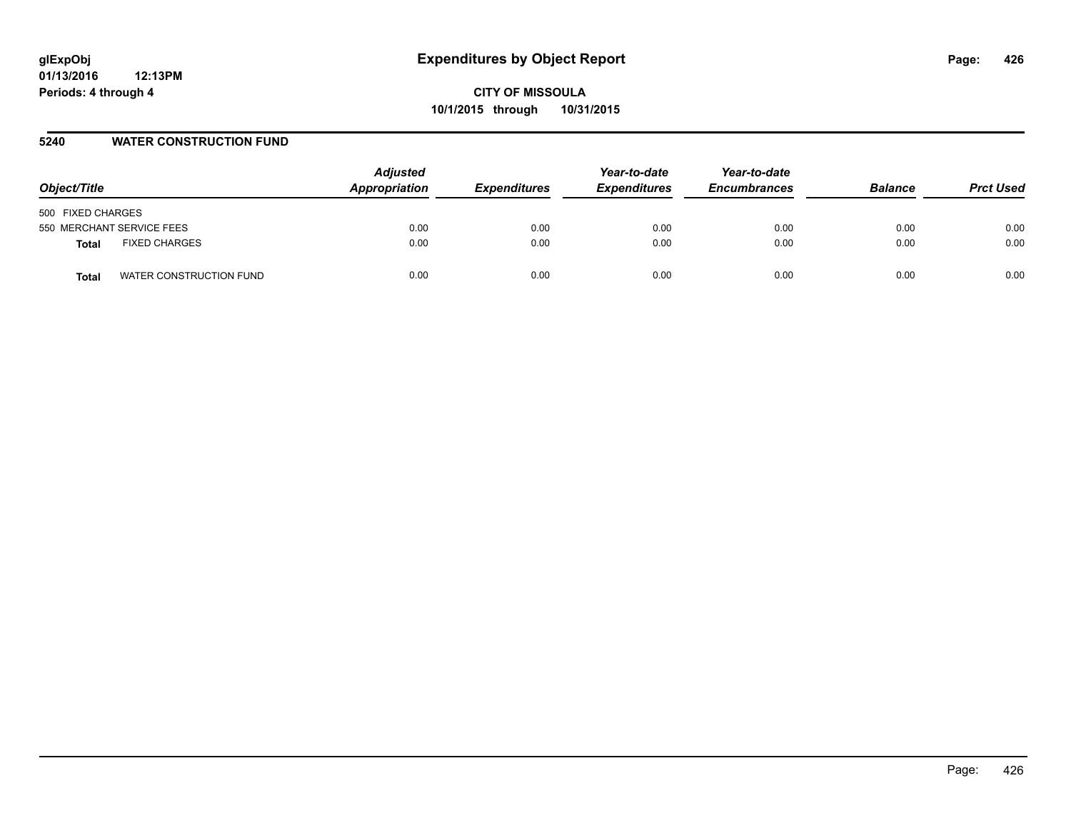#### **5240 WATER CONSTRUCTION FUND**

| Object/Title                     | <b>Adjusted</b><br>Appropriation | <b>Expenditures</b> | Year-to-date<br><b>Expenditures</b> | Year-to-date<br><b>Encumbrances</b> | <b>Balance</b> | <b>Prct Used</b> |
|----------------------------------|----------------------------------|---------------------|-------------------------------------|-------------------------------------|----------------|------------------|
| 500 FIXED CHARGES                |                                  |                     |                                     |                                     |                |                  |
| 550 MERCHANT SERVICE FEES        | 0.00                             | 0.00                | 0.00                                | 0.00                                | 0.00           | 0.00             |
| <b>FIXED CHARGES</b><br>Total    | 0.00                             | 0.00                | 0.00                                | 0.00                                | 0.00           | 0.00             |
| WATER CONSTRUCTION FUND<br>Total | 0.00                             | 0.00                | 0.00                                | 0.00                                | 0.00           | 0.00             |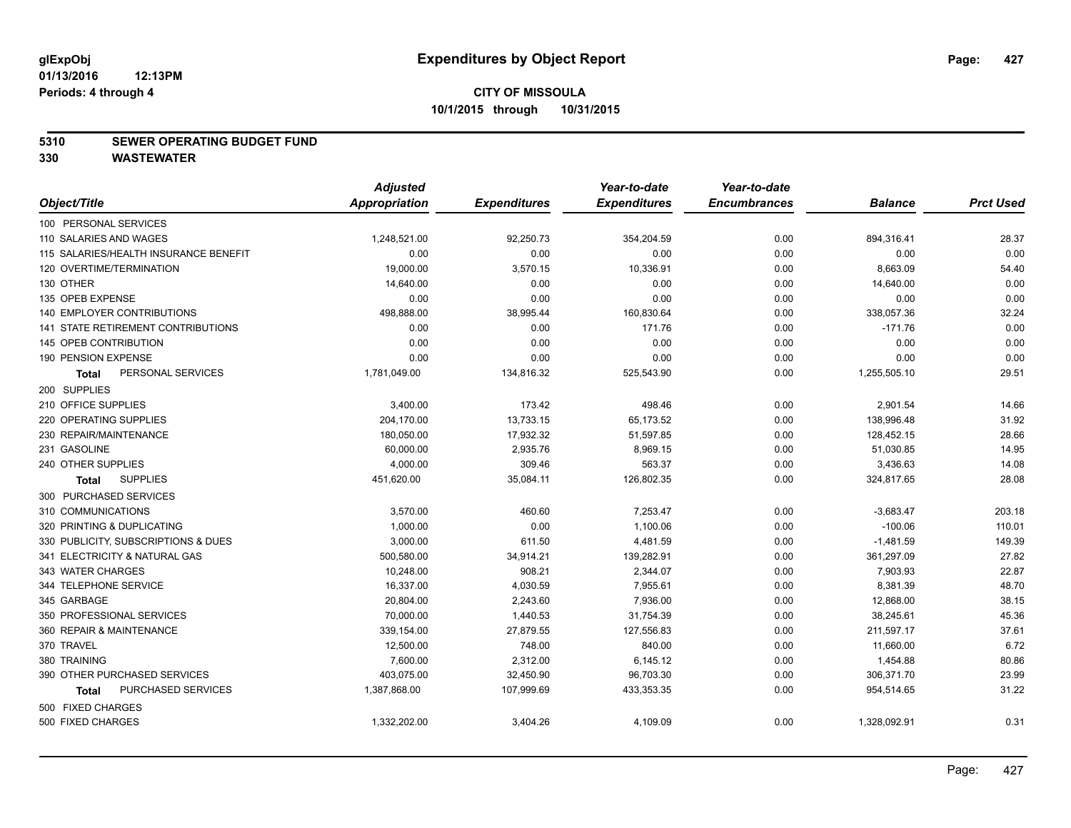#### **5310 SEWER OPERATING BUDGET FUND**

**330 WASTEWATER**

|                                       | <b>Adjusted</b> |                     | Year-to-date        | Year-to-date        |                |                  |
|---------------------------------------|-----------------|---------------------|---------------------|---------------------|----------------|------------------|
| Object/Title                          | Appropriation   | <b>Expenditures</b> | <b>Expenditures</b> | <b>Encumbrances</b> | <b>Balance</b> | <b>Prct Used</b> |
| 100 PERSONAL SERVICES                 |                 |                     |                     |                     |                |                  |
| 110 SALARIES AND WAGES                | 1,248,521.00    | 92,250.73           | 354,204.59          | 0.00                | 894,316.41     | 28.37            |
| 115 SALARIES/HEALTH INSURANCE BENEFIT | 0.00            | 0.00                | 0.00                | 0.00                | 0.00           | 0.00             |
| 120 OVERTIME/TERMINATION              | 19,000.00       | 3,570.15            | 10,336.91           | 0.00                | 8,663.09       | 54.40            |
| 130 OTHER                             | 14,640.00       | 0.00                | 0.00                | 0.00                | 14,640.00      | 0.00             |
| 135 OPEB EXPENSE                      | 0.00            | 0.00                | 0.00                | 0.00                | 0.00           | 0.00             |
| <b>140 EMPLOYER CONTRIBUTIONS</b>     | 498,888.00      | 38,995.44           | 160,830.64          | 0.00                | 338,057.36     | 32.24            |
| 141 STATE RETIREMENT CONTRIBUTIONS    | 0.00            | 0.00                | 171.76              | 0.00                | $-171.76$      | 0.00             |
| 145 OPEB CONTRIBUTION                 | 0.00            | 0.00                | 0.00                | 0.00                | 0.00           | 0.00             |
| 190 PENSION EXPENSE                   | 0.00            | 0.00                | 0.00                | 0.00                | 0.00           | 0.00             |
| PERSONAL SERVICES<br><b>Total</b>     | 1,781,049.00    | 134,816.32          | 525,543.90          | 0.00                | 1,255,505.10   | 29.51            |
| 200 SUPPLIES                          |                 |                     |                     |                     |                |                  |
| 210 OFFICE SUPPLIES                   | 3,400.00        | 173.42              | 498.46              | 0.00                | 2,901.54       | 14.66            |
| 220 OPERATING SUPPLIES                | 204,170.00      | 13,733.15           | 65,173.52           | 0.00                | 138,996.48     | 31.92            |
| 230 REPAIR/MAINTENANCE                | 180,050.00      | 17,932.32           | 51,597.85           | 0.00                | 128,452.15     | 28.66            |
| 231 GASOLINE                          | 60,000.00       | 2,935.76            | 8,969.15            | 0.00                | 51,030.85      | 14.95            |
| 240 OTHER SUPPLIES                    | 4,000.00        | 309.46              | 563.37              | 0.00                | 3,436.63       | 14.08            |
| <b>SUPPLIES</b><br>Total              | 451,620.00      | 35,084.11           | 126,802.35          | 0.00                | 324,817.65     | 28.08            |
| 300 PURCHASED SERVICES                |                 |                     |                     |                     |                |                  |
| 310 COMMUNICATIONS                    | 3,570.00        | 460.60              | 7,253.47            | 0.00                | $-3,683.47$    | 203.18           |
| 320 PRINTING & DUPLICATING            | 1.000.00        | 0.00                | 1,100.06            | 0.00                | $-100.06$      | 110.01           |
| 330 PUBLICITY, SUBSCRIPTIONS & DUES   | 3,000.00        | 611.50              | 4,481.59            | 0.00                | $-1,481.59$    | 149.39           |
| 341 ELECTRICITY & NATURAL GAS         | 500,580.00      | 34,914.21           | 139,282.91          | 0.00                | 361,297.09     | 27.82            |
| 343 WATER CHARGES                     | 10,248.00       | 908.21              | 2,344.07            | 0.00                | 7,903.93       | 22.87            |
| 344 TELEPHONE SERVICE                 | 16,337.00       | 4,030.59            | 7,955.61            | 0.00                | 8,381.39       | 48.70            |
| 345 GARBAGE                           | 20,804.00       | 2,243.60            | 7,936.00            | 0.00                | 12,868.00      | 38.15            |
| 350 PROFESSIONAL SERVICES             | 70,000.00       | 1,440.53            | 31,754.39           | 0.00                | 38,245.61      | 45.36            |
| 360 REPAIR & MAINTENANCE              | 339,154.00      | 27,879.55           | 127,556.83          | 0.00                | 211,597.17     | 37.61            |
| 370 TRAVEL                            | 12,500.00       | 748.00              | 840.00              | 0.00                | 11,660.00      | 6.72             |
| 380 TRAINING                          | 7,600.00        | 2,312.00            | 6,145.12            | 0.00                | 1,454.88       | 80.86            |
| 390 OTHER PURCHASED SERVICES          | 403,075.00      | 32,450.90           | 96,703.30           | 0.00                | 306,371.70     | 23.99            |
| PURCHASED SERVICES<br><b>Total</b>    | 1,387,868.00    | 107,999.69          | 433,353.35          | 0.00                | 954,514.65     | 31.22            |
| 500 FIXED CHARGES                     |                 |                     |                     |                     |                |                  |
| 500 FIXED CHARGES                     | 1,332,202.00    | 3,404.26            | 4,109.09            | 0.00                | 1,328,092.91   | 0.31             |
|                                       |                 |                     |                     |                     |                |                  |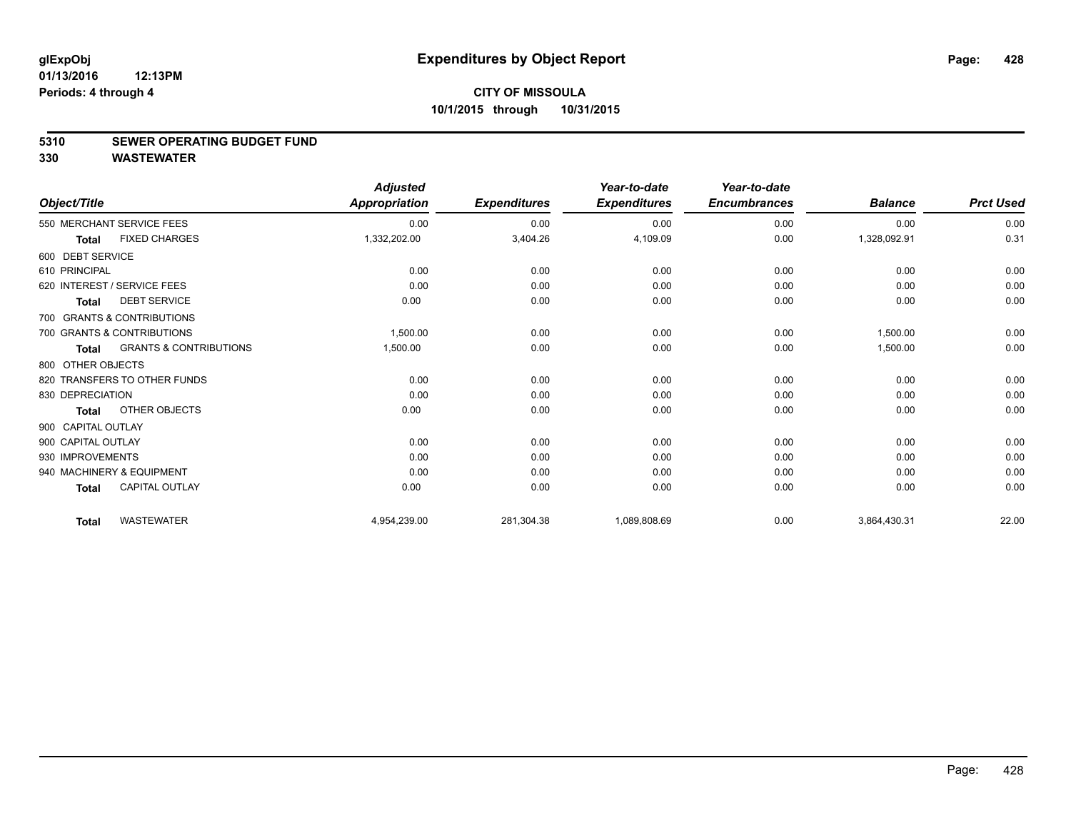#### **5310 SEWER OPERATING BUDGET FUND**

**330 WASTEWATER**

|                    |                                   | <b>Adjusted</b>      |                     | Year-to-date        | Year-to-date        |                |                  |
|--------------------|-----------------------------------|----------------------|---------------------|---------------------|---------------------|----------------|------------------|
| Object/Title       |                                   | <b>Appropriation</b> | <b>Expenditures</b> | <b>Expenditures</b> | <b>Encumbrances</b> | <b>Balance</b> | <b>Prct Used</b> |
|                    | 550 MERCHANT SERVICE FEES         | 0.00                 | 0.00                | 0.00                | 0.00                | 0.00           | 0.00             |
| <b>Total</b>       | <b>FIXED CHARGES</b>              | 1,332,202.00         | 3,404.26            | 4,109.09            | 0.00                | 1,328,092.91   | 0.31             |
| 600 DEBT SERVICE   |                                   |                      |                     |                     |                     |                |                  |
| 610 PRINCIPAL      |                                   | 0.00                 | 0.00                | 0.00                | 0.00                | 0.00           | 0.00             |
|                    | 620 INTEREST / SERVICE FEES       | 0.00                 | 0.00                | 0.00                | 0.00                | 0.00           | 0.00             |
| <b>Total</b>       | <b>DEBT SERVICE</b>               | 0.00                 | 0.00                | 0.00                | 0.00                | 0.00           | 0.00             |
|                    | 700 GRANTS & CONTRIBUTIONS        |                      |                     |                     |                     |                |                  |
|                    | 700 GRANTS & CONTRIBUTIONS        | 1,500.00             | 0.00                | 0.00                | 0.00                | 1,500.00       | 0.00             |
| <b>Total</b>       | <b>GRANTS &amp; CONTRIBUTIONS</b> | 1,500.00             | 0.00                | 0.00                | 0.00                | 1,500.00       | 0.00             |
| 800 OTHER OBJECTS  |                                   |                      |                     |                     |                     |                |                  |
|                    | 820 TRANSFERS TO OTHER FUNDS      | 0.00                 | 0.00                | 0.00                | 0.00                | 0.00           | 0.00             |
| 830 DEPRECIATION   |                                   | 0.00                 | 0.00                | 0.00                | 0.00                | 0.00           | 0.00             |
| <b>Total</b>       | OTHER OBJECTS                     | 0.00                 | 0.00                | 0.00                | 0.00                | 0.00           | 0.00             |
| 900 CAPITAL OUTLAY |                                   |                      |                     |                     |                     |                |                  |
| 900 CAPITAL OUTLAY |                                   | 0.00                 | 0.00                | 0.00                | 0.00                | 0.00           | 0.00             |
| 930 IMPROVEMENTS   |                                   | 0.00                 | 0.00                | 0.00                | 0.00                | 0.00           | 0.00             |
|                    | 940 MACHINERY & EQUIPMENT         | 0.00                 | 0.00                | 0.00                | 0.00                | 0.00           | 0.00             |
| <b>Total</b>       | <b>CAPITAL OUTLAY</b>             | 0.00                 | 0.00                | 0.00                | 0.00                | 0.00           | 0.00             |
| <b>Total</b>       | <b>WASTEWATER</b>                 | 4,954,239.00         | 281,304.38          | 1,089,808.69        | 0.00                | 3,864,430.31   | 22.00            |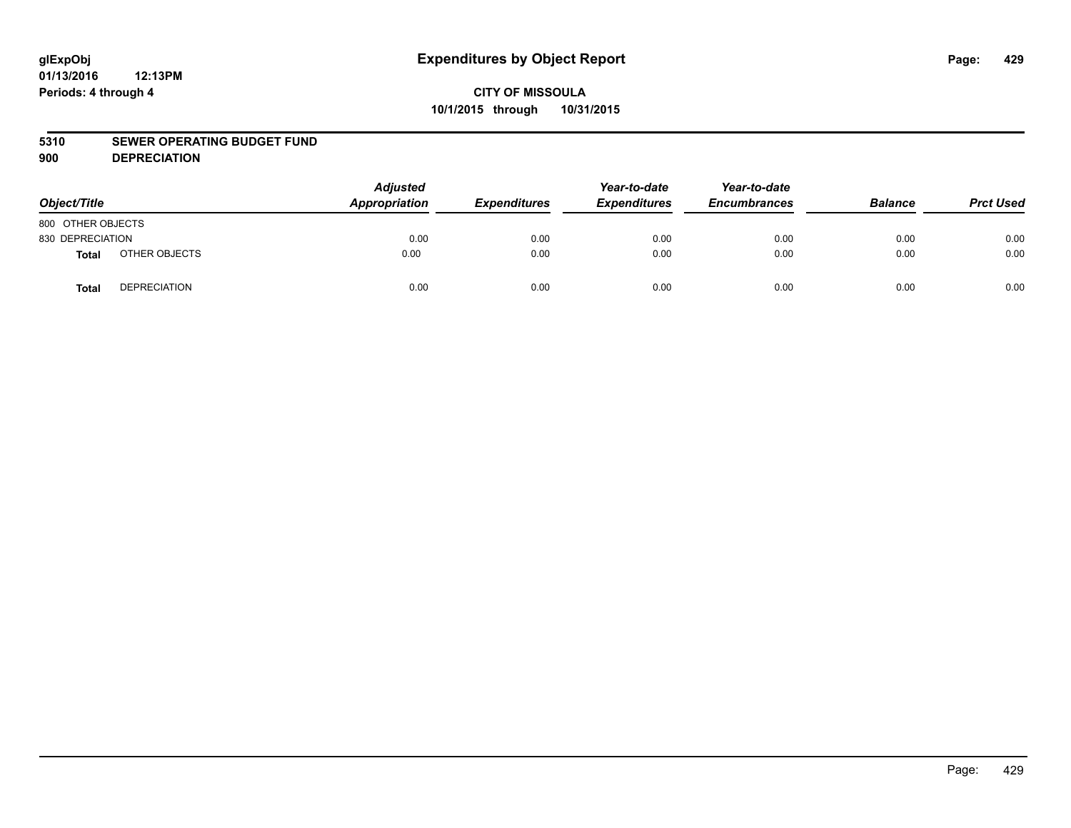#### **5310 SEWER OPERATING BUDGET FUND**

**900 DEPRECIATION**

| Object/Title      |                     | <b>Adjusted</b><br>Appropriation | <b>Expenditures</b> | Year-to-date<br><b>Expenditures</b> | Year-to-date<br><b>Encumbrances</b> | <b>Balance</b> | <b>Prct Used</b> |
|-------------------|---------------------|----------------------------------|---------------------|-------------------------------------|-------------------------------------|----------------|------------------|
| 800 OTHER OBJECTS |                     |                                  |                     |                                     |                                     |                |                  |
| 830 DEPRECIATION  |                     | 0.00                             | 0.00                | 0.00                                | 0.00                                | 0.00           | 0.00             |
| <b>Total</b>      | OTHER OBJECTS       | 0.00                             | 0.00                | 0.00                                | 0.00                                | 0.00           | 0.00             |
| <b>Total</b>      | <b>DEPRECIATION</b> | 0.00                             | 0.00                | 0.00                                | 0.00                                | 0.00           | 0.00             |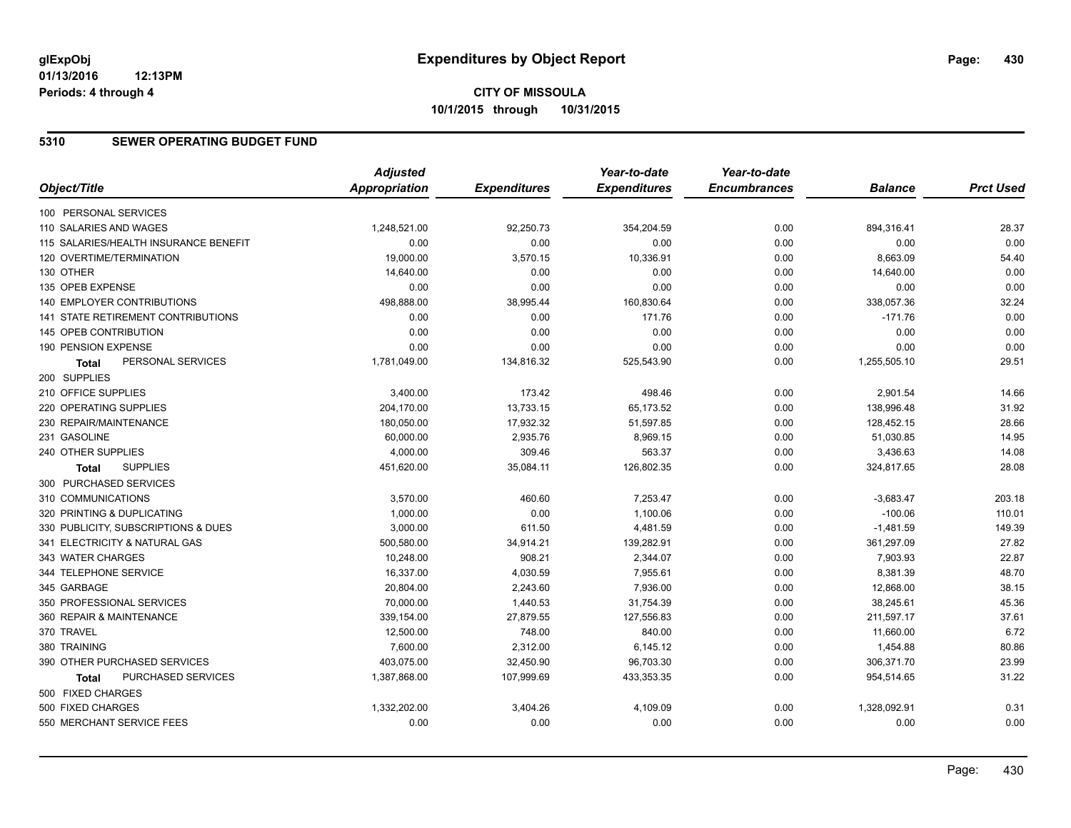#### **5310 SEWER OPERATING BUDGET FUND**

|                                           | <b>Adjusted</b>      |                     | Year-to-date        | Year-to-date        |                |                  |
|-------------------------------------------|----------------------|---------------------|---------------------|---------------------|----------------|------------------|
| Object/Title                              | <b>Appropriation</b> | <b>Expenditures</b> | <b>Expenditures</b> | <b>Encumbrances</b> | <b>Balance</b> | <b>Prct Used</b> |
| 100 PERSONAL SERVICES                     |                      |                     |                     |                     |                |                  |
| 110 SALARIES AND WAGES                    | 1,248,521.00         | 92,250.73           | 354,204.59          | 0.00                | 894,316.41     | 28.37            |
| 115 SALARIES/HEALTH INSURANCE BENEFIT     | 0.00                 | 0.00                | 0.00                | 0.00                | 0.00           | 0.00             |
| 120 OVERTIME/TERMINATION                  | 19,000.00            | 3,570.15            | 10,336.91           | 0.00                | 8,663.09       | 54.40            |
| 130 OTHER                                 | 14,640.00            | 0.00                | 0.00                | 0.00                | 14,640.00      | 0.00             |
| 135 OPEB EXPENSE                          | 0.00                 | 0.00                | 0.00                | 0.00                | 0.00           | 0.00             |
| 140 EMPLOYER CONTRIBUTIONS                | 498,888.00           | 38,995.44           | 160,830.64          | 0.00                | 338,057.36     | 32.24            |
| <b>141 STATE RETIREMENT CONTRIBUTIONS</b> | 0.00                 | 0.00                | 171.76              | 0.00                | $-171.76$      | 0.00             |
| 145 OPEB CONTRIBUTION                     | 0.00                 | 0.00                | 0.00                | 0.00                | 0.00           | 0.00             |
| 190 PENSION EXPENSE                       | 0.00                 | 0.00                | 0.00                | 0.00                | 0.00           | 0.00             |
| PERSONAL SERVICES<br>Total                | 1,781,049.00         | 134,816.32          | 525,543.90          | 0.00                | 1,255,505.10   | 29.51            |
| 200 SUPPLIES                              |                      |                     |                     |                     |                |                  |
| 210 OFFICE SUPPLIES                       | 3,400.00             | 173.42              | 498.46              | 0.00                | 2,901.54       | 14.66            |
| 220 OPERATING SUPPLIES                    | 204,170.00           | 13,733.15           | 65,173.52           | 0.00                | 138,996.48     | 31.92            |
| 230 REPAIR/MAINTENANCE                    | 180,050.00           | 17,932.32           | 51,597.85           | 0.00                | 128,452.15     | 28.66            |
| 231 GASOLINE                              | 60,000.00            | 2,935.76            | 8,969.15            | 0.00                | 51,030.85      | 14.95            |
| 240 OTHER SUPPLIES                        | 4,000.00             | 309.46              | 563.37              | 0.00                | 3,436.63       | 14.08            |
| <b>SUPPLIES</b><br>Total                  | 451,620.00           | 35,084.11           | 126,802.35          | 0.00                | 324,817.65     | 28.08            |
| 300 PURCHASED SERVICES                    |                      |                     |                     |                     |                |                  |
| 310 COMMUNICATIONS                        | 3,570.00             | 460.60              | 7,253.47            | 0.00                | $-3,683.47$    | 203.18           |
| 320 PRINTING & DUPLICATING                | 1,000.00             | 0.00                | 1.100.06            | 0.00                | $-100.06$      | 110.01           |
| 330 PUBLICITY, SUBSCRIPTIONS & DUES       | 3,000.00             | 611.50              | 4,481.59            | 0.00                | $-1,481.59$    | 149.39           |
| 341 ELECTRICITY & NATURAL GAS             | 500,580.00           | 34,914.21           | 139,282.91          | 0.00                | 361,297.09     | 27.82            |
| 343 WATER CHARGES                         | 10,248.00            | 908.21              | 2,344.07            | 0.00                | 7,903.93       | 22.87            |
| 344 TELEPHONE SERVICE                     | 16,337.00            | 4,030.59            | 7,955.61            | 0.00                | 8,381.39       | 48.70            |
| 345 GARBAGE                               | 20,804.00            | 2,243.60            | 7,936.00            | 0.00                | 12,868.00      | 38.15            |
| 350 PROFESSIONAL SERVICES                 | 70,000.00            | 1,440.53            | 31,754.39           | 0.00                | 38,245.61      | 45.36            |
| 360 REPAIR & MAINTENANCE                  | 339,154.00           | 27,879.55           | 127,556.83          | 0.00                | 211,597.17     | 37.61            |
| 370 TRAVEL                                | 12,500.00            | 748.00              | 840.00              | 0.00                | 11,660.00      | 6.72             |
| 380 TRAINING                              | 7,600.00             | 2,312.00            | 6,145.12            | 0.00                | 1,454.88       | 80.86            |
| 390 OTHER PURCHASED SERVICES              | 403,075.00           | 32,450.90           | 96,703.30           | 0.00                | 306,371.70     | 23.99            |
| PURCHASED SERVICES<br>Total               | 1,387,868.00         | 107,999.69          | 433,353.35          | 0.00                | 954,514.65     | 31.22            |
| 500 FIXED CHARGES                         |                      |                     |                     |                     |                |                  |
| 500 FIXED CHARGES                         | 1,332,202.00         | 3,404.26            | 4,109.09            | 0.00                | 1,328,092.91   | 0.31             |
| 550 MERCHANT SERVICE FEES                 | 0.00                 | 0.00                | 0.00                | 0.00                | 0.00           | 0.00             |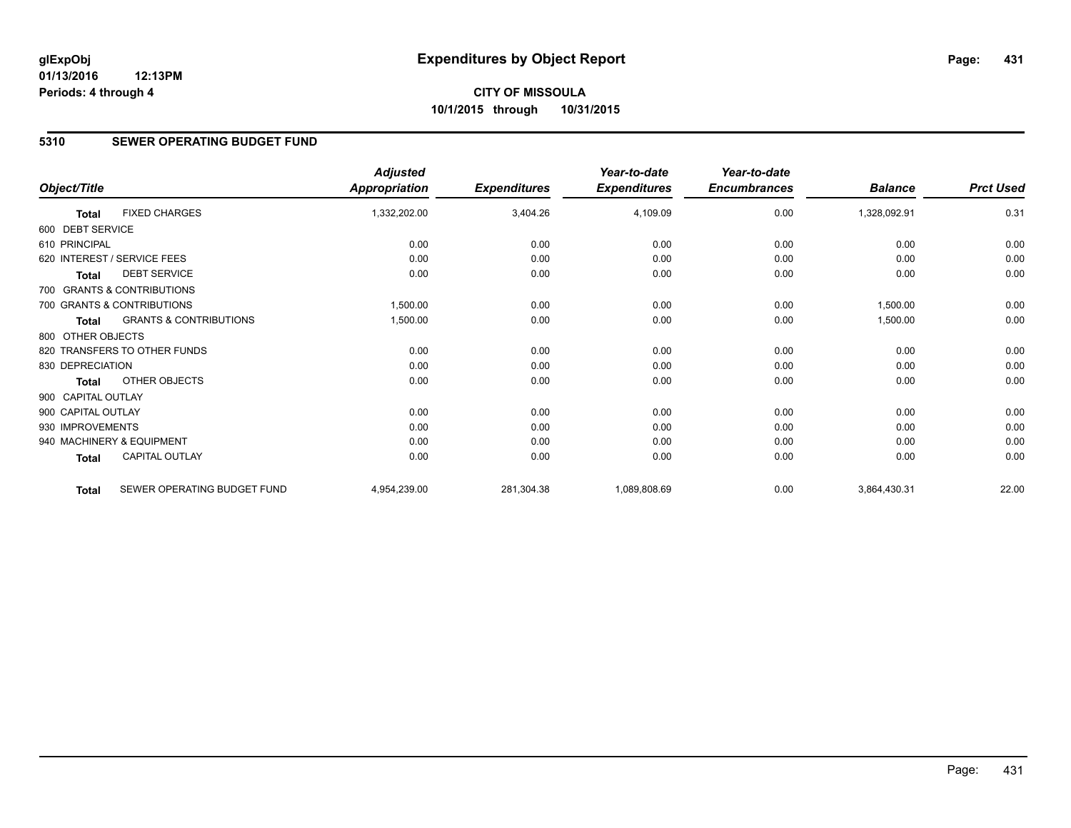### **CITY OF MISSOULA 10/1/2015 through 10/31/2015**

#### **5310 SEWER OPERATING BUDGET FUND**

|                    |                                   | <b>Adjusted</b>      |                     | Year-to-date        | Year-to-date        |                |                  |
|--------------------|-----------------------------------|----------------------|---------------------|---------------------|---------------------|----------------|------------------|
| Object/Title       |                                   | <b>Appropriation</b> | <b>Expenditures</b> | <b>Expenditures</b> | <b>Encumbrances</b> | <b>Balance</b> | <b>Prct Used</b> |
| <b>Total</b>       | <b>FIXED CHARGES</b>              | 1,332,202.00         | 3,404.26            | 4,109.09            | 0.00                | 1,328,092.91   | 0.31             |
| 600 DEBT SERVICE   |                                   |                      |                     |                     |                     |                |                  |
| 610 PRINCIPAL      |                                   | 0.00                 | 0.00                | 0.00                | 0.00                | 0.00           | 0.00             |
|                    | 620 INTEREST / SERVICE FEES       | 0.00                 | 0.00                | 0.00                | 0.00                | 0.00           | 0.00             |
| <b>Total</b>       | <b>DEBT SERVICE</b>               | 0.00                 | 0.00                | 0.00                | 0.00                | 0.00           | 0.00             |
|                    | 700 GRANTS & CONTRIBUTIONS        |                      |                     |                     |                     |                |                  |
|                    | 700 GRANTS & CONTRIBUTIONS        | 1,500.00             | 0.00                | 0.00                | 0.00                | 1,500.00       | 0.00             |
| <b>Total</b>       | <b>GRANTS &amp; CONTRIBUTIONS</b> | 1,500.00             | 0.00                | 0.00                | 0.00                | 1,500.00       | 0.00             |
| 800 OTHER OBJECTS  |                                   |                      |                     |                     |                     |                |                  |
|                    | 820 TRANSFERS TO OTHER FUNDS      | 0.00                 | 0.00                | 0.00                | 0.00                | 0.00           | 0.00             |
| 830 DEPRECIATION   |                                   | 0.00                 | 0.00                | 0.00                | 0.00                | 0.00           | 0.00             |
| <b>Total</b>       | OTHER OBJECTS                     | 0.00                 | 0.00                | 0.00                | 0.00                | 0.00           | 0.00             |
| 900 CAPITAL OUTLAY |                                   |                      |                     |                     |                     |                |                  |
| 900 CAPITAL OUTLAY |                                   | 0.00                 | 0.00                | 0.00                | 0.00                | 0.00           | 0.00             |
| 930 IMPROVEMENTS   |                                   | 0.00                 | 0.00                | 0.00                | 0.00                | 0.00           | 0.00             |
|                    | 940 MACHINERY & EQUIPMENT         | 0.00                 | 0.00                | 0.00                | 0.00                | 0.00           | 0.00             |
| Total              | <b>CAPITAL OUTLAY</b>             | 0.00                 | 0.00                | 0.00                | 0.00                | 0.00           | 0.00             |
| <b>Total</b>       | SEWER OPERATING BUDGET FUND       | 4,954,239.00         | 281,304.38          | 1,089,808.69        | 0.00                | 3,864,430.31   | 22.00            |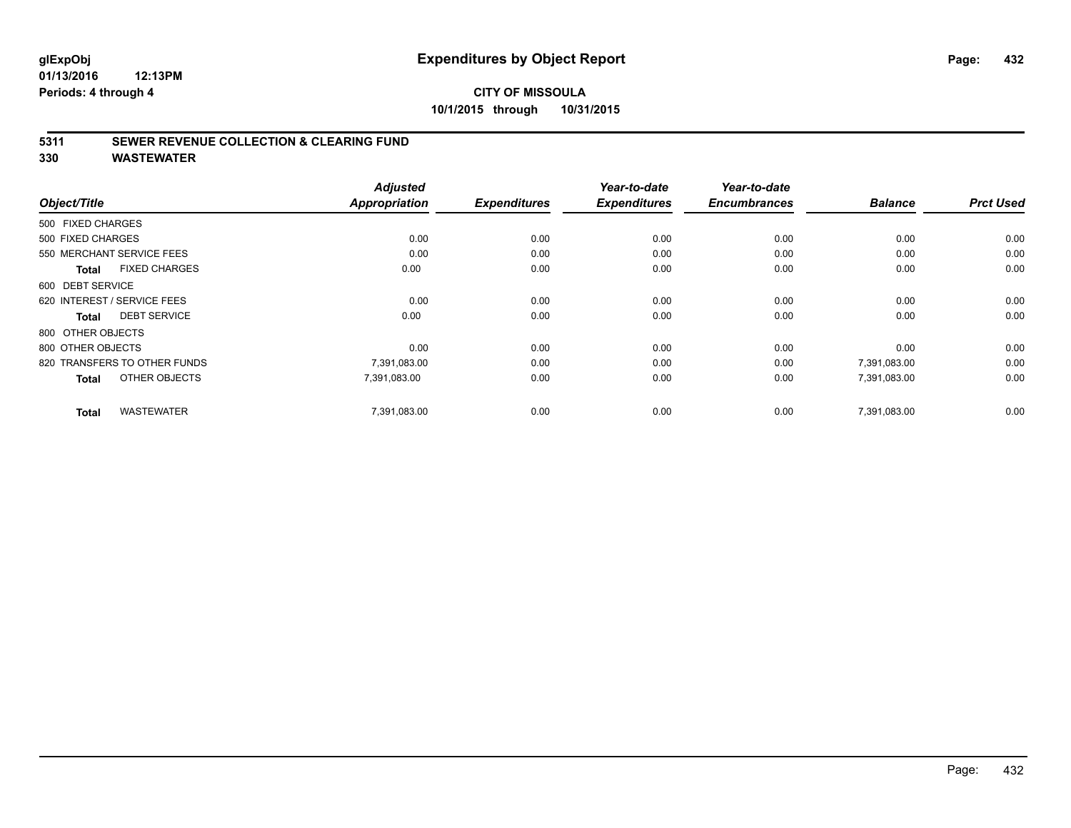### **CITY OF MISSOULA 10/1/2015 through 10/31/2015**

#### **5311 SEWER REVENUE COLLECTION & CLEARING FUND**

**330 WASTEWATER**

|                                      | <b>Adjusted</b>      |                     | Year-to-date        | Year-to-date<br><b>Encumbrances</b> | <b>Balance</b> | <b>Prct Used</b> |
|--------------------------------------|----------------------|---------------------|---------------------|-------------------------------------|----------------|------------------|
| Object/Title                         | <b>Appropriation</b> | <b>Expenditures</b> | <b>Expenditures</b> |                                     |                |                  |
| 500 FIXED CHARGES                    |                      |                     |                     |                                     |                |                  |
| 500 FIXED CHARGES                    | 0.00                 | 0.00                | 0.00                | 0.00                                | 0.00           | 0.00             |
| 550 MERCHANT SERVICE FEES            | 0.00                 | 0.00                | 0.00                | 0.00                                | 0.00           | 0.00             |
| <b>FIXED CHARGES</b><br><b>Total</b> | 0.00                 | 0.00                | 0.00                | 0.00                                | 0.00           | 0.00             |
| 600 DEBT SERVICE                     |                      |                     |                     |                                     |                |                  |
| 620 INTEREST / SERVICE FEES          | 0.00                 | 0.00                | 0.00                | 0.00                                | 0.00           | 0.00             |
| <b>DEBT SERVICE</b><br><b>Total</b>  | 0.00                 | 0.00                | 0.00                | 0.00                                | 0.00           | 0.00             |
| 800 OTHER OBJECTS                    |                      |                     |                     |                                     |                |                  |
| 800 OTHER OBJECTS                    | 0.00                 | 0.00                | 0.00                | 0.00                                | 0.00           | 0.00             |
| 820 TRANSFERS TO OTHER FUNDS         | 7,391,083.00         | 0.00                | 0.00                | 0.00                                | 7,391,083.00   | 0.00             |
| OTHER OBJECTS<br><b>Total</b>        | 7,391,083.00         | 0.00                | 0.00                | 0.00                                | 7,391,083.00   | 0.00             |
| <b>WASTEWATER</b><br><b>Total</b>    | 7,391,083.00         | 0.00                | 0.00                | 0.00                                | 7.391.083.00   | 0.00             |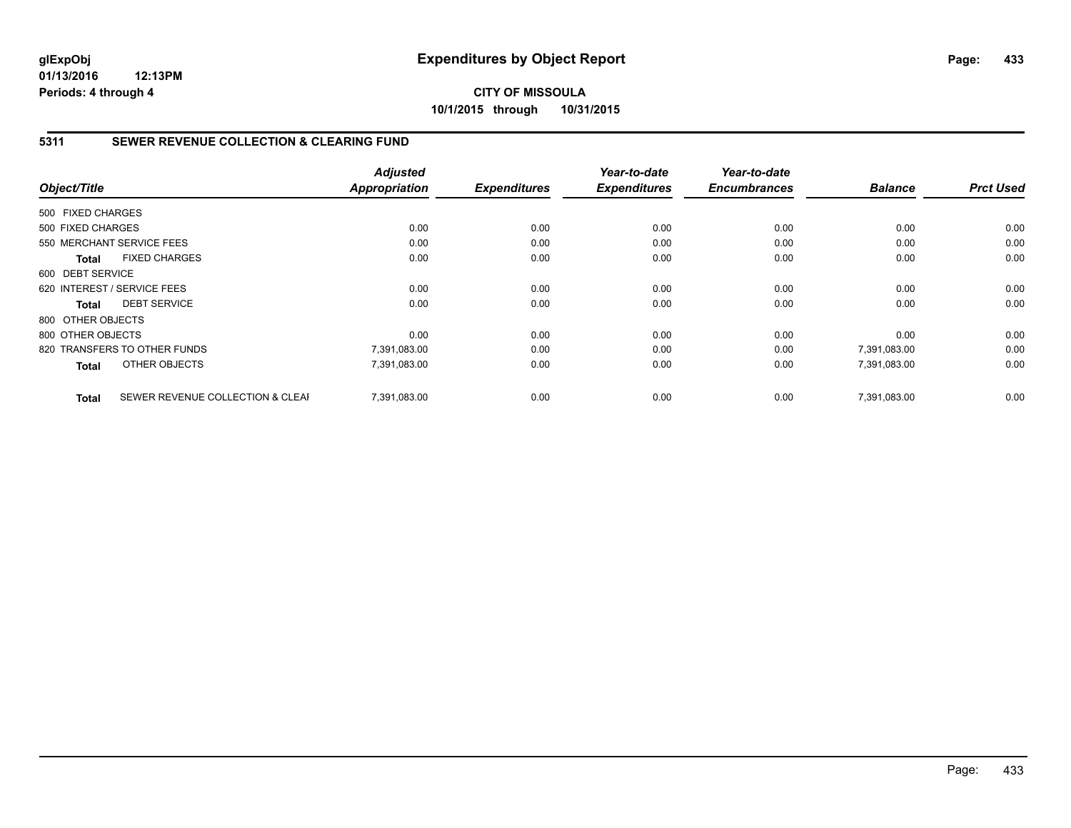# **5311 SEWER REVENUE COLLECTION & CLEARING FUND**

|                   |                                  | <b>Adjusted</b> |                     | Year-to-date        | Year-to-date        |                |                  |
|-------------------|----------------------------------|-----------------|---------------------|---------------------|---------------------|----------------|------------------|
| Object/Title      |                                  | Appropriation   | <b>Expenditures</b> | <b>Expenditures</b> | <b>Encumbrances</b> | <b>Balance</b> | <b>Prct Used</b> |
| 500 FIXED CHARGES |                                  |                 |                     |                     |                     |                |                  |
| 500 FIXED CHARGES |                                  | 0.00            | 0.00                | 0.00                | 0.00                | 0.00           | 0.00             |
|                   | 550 MERCHANT SERVICE FEES        | 0.00            | 0.00                | 0.00                | 0.00                | 0.00           | 0.00             |
| <b>Total</b>      | <b>FIXED CHARGES</b>             | 0.00            | 0.00                | 0.00                | 0.00                | 0.00           | 0.00             |
| 600 DEBT SERVICE  |                                  |                 |                     |                     |                     |                |                  |
|                   | 620 INTEREST / SERVICE FEES      | 0.00            | 0.00                | 0.00                | 0.00                | 0.00           | 0.00             |
| <b>Total</b>      | <b>DEBT SERVICE</b>              | 0.00            | 0.00                | 0.00                | 0.00                | 0.00           | 0.00             |
| 800 OTHER OBJECTS |                                  |                 |                     |                     |                     |                |                  |
| 800 OTHER OBJECTS |                                  | 0.00            | 0.00                | 0.00                | 0.00                | 0.00           | 0.00             |
|                   | 820 TRANSFERS TO OTHER FUNDS     | 7,391,083.00    | 0.00                | 0.00                | 0.00                | 7,391,083.00   | 0.00             |
| <b>Total</b>      | OTHER OBJECTS                    | 7,391,083.00    | 0.00                | 0.00                | 0.00                | 7,391,083.00   | 0.00             |
| <b>Total</b>      | SEWER REVENUE COLLECTION & CLEAF | 7.391.083.00    | 0.00                | 0.00                | 0.00                | 7.391.083.00   | 0.00             |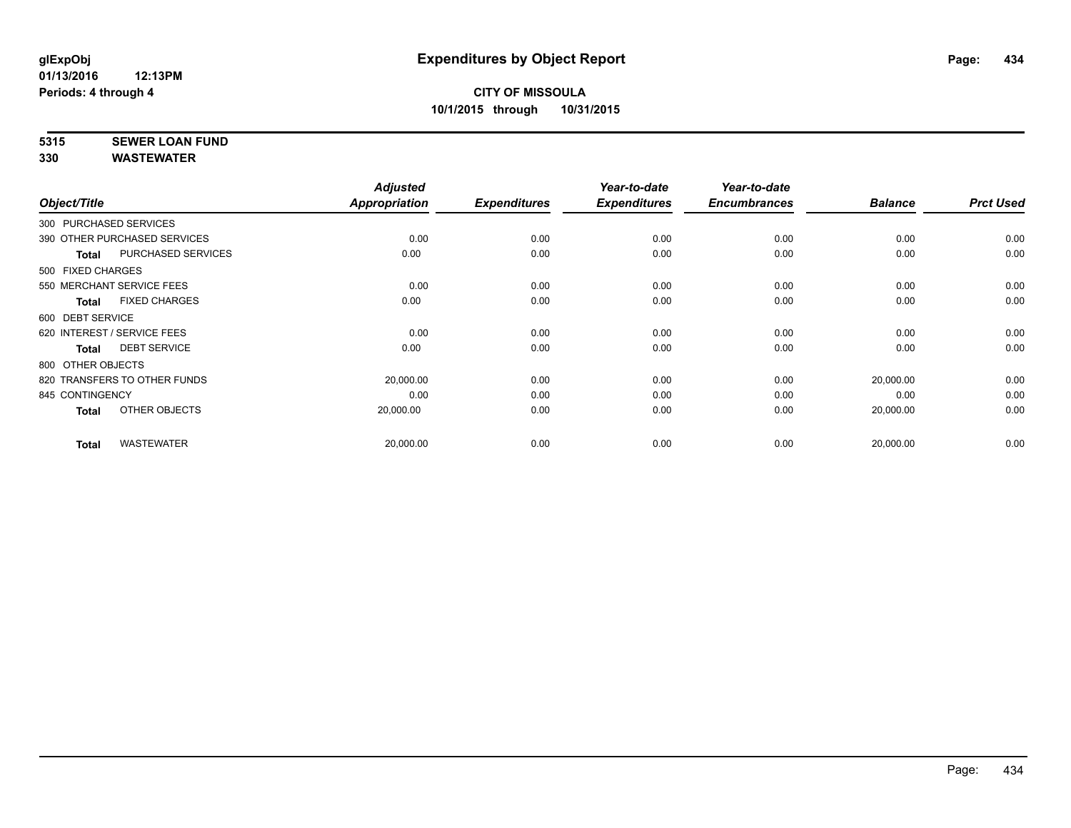# **5315 SEWER LOAN FUND**

|                        |                              | <b>Adjusted</b> |                     | Year-to-date        | Year-to-date        |                |                  |
|------------------------|------------------------------|-----------------|---------------------|---------------------|---------------------|----------------|------------------|
| Object/Title           |                              | Appropriation   | <b>Expenditures</b> | <b>Expenditures</b> | <b>Encumbrances</b> | <b>Balance</b> | <b>Prct Used</b> |
| 300 PURCHASED SERVICES |                              |                 |                     |                     |                     |                |                  |
|                        | 390 OTHER PURCHASED SERVICES | 0.00            | 0.00                | 0.00                | 0.00                | 0.00           | 0.00             |
| Total                  | PURCHASED SERVICES           | 0.00            | 0.00                | 0.00                | 0.00                | 0.00           | 0.00             |
| 500 FIXED CHARGES      |                              |                 |                     |                     |                     |                |                  |
|                        | 550 MERCHANT SERVICE FEES    | 0.00            | 0.00                | 0.00                | 0.00                | 0.00           | 0.00             |
| Total                  | <b>FIXED CHARGES</b>         | 0.00            | 0.00                | 0.00                | 0.00                | 0.00           | 0.00             |
| 600 DEBT SERVICE       |                              |                 |                     |                     |                     |                |                  |
|                        | 620 INTEREST / SERVICE FEES  | 0.00            | 0.00                | 0.00                | 0.00                | 0.00           | 0.00             |
| <b>Total</b>           | <b>DEBT SERVICE</b>          | 0.00            | 0.00                | 0.00                | 0.00                | 0.00           | 0.00             |
| 800 OTHER OBJECTS      |                              |                 |                     |                     |                     |                |                  |
|                        | 820 TRANSFERS TO OTHER FUNDS | 20,000.00       | 0.00                | 0.00                | 0.00                | 20,000.00      | 0.00             |
| 845 CONTINGENCY        |                              | 0.00            | 0.00                | 0.00                | 0.00                | 0.00           | 0.00             |
| <b>Total</b>           | OTHER OBJECTS                | 20,000.00       | 0.00                | 0.00                | 0.00                | 20,000.00      | 0.00             |
| <b>Total</b>           | <b>WASTEWATER</b>            | 20,000.00       | 0.00                | 0.00                | 0.00                | 20,000.00      | 0.00             |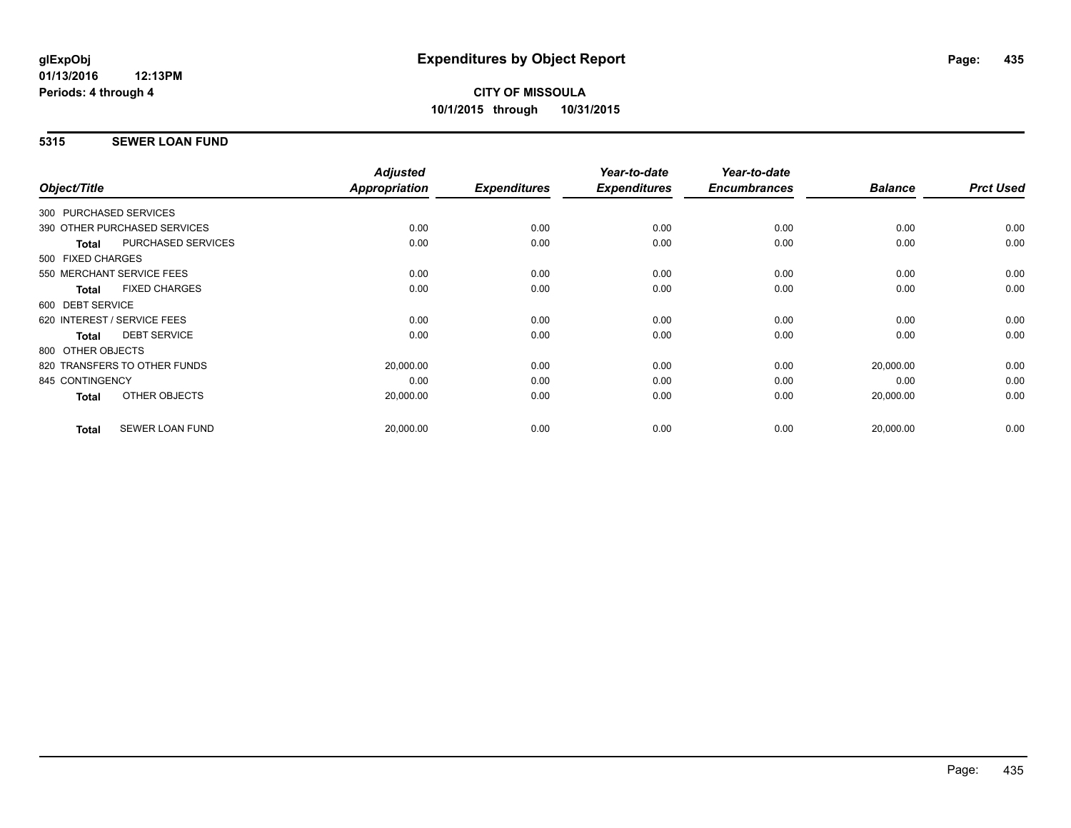### **5315 SEWER LOAN FUND**

|                                           | <b>Adjusted</b> |                     | Year-to-date        | Year-to-date        |                |                  |
|-------------------------------------------|-----------------|---------------------|---------------------|---------------------|----------------|------------------|
| Object/Title                              | Appropriation   | <b>Expenditures</b> | <b>Expenditures</b> | <b>Encumbrances</b> | <b>Balance</b> | <b>Prct Used</b> |
| 300 PURCHASED SERVICES                    |                 |                     |                     |                     |                |                  |
| 390 OTHER PURCHASED SERVICES              | 0.00            | 0.00                | 0.00                | 0.00                | 0.00           | 0.00             |
| <b>PURCHASED SERVICES</b><br><b>Total</b> | 0.00            | 0.00                | 0.00                | 0.00                | 0.00           | 0.00             |
| 500 FIXED CHARGES                         |                 |                     |                     |                     |                |                  |
| 550 MERCHANT SERVICE FEES                 | 0.00            | 0.00                | 0.00                | 0.00                | 0.00           | 0.00             |
| <b>FIXED CHARGES</b><br><b>Total</b>      | 0.00            | 0.00                | 0.00                | 0.00                | 0.00           | 0.00             |
| 600 DEBT SERVICE                          |                 |                     |                     |                     |                |                  |
| 620 INTEREST / SERVICE FEES               | 0.00            | 0.00                | 0.00                | 0.00                | 0.00           | 0.00             |
| <b>DEBT SERVICE</b><br><b>Total</b>       | 0.00            | 0.00                | 0.00                | 0.00                | 0.00           | 0.00             |
| 800 OTHER OBJECTS                         |                 |                     |                     |                     |                |                  |
| 820 TRANSFERS TO OTHER FUNDS              | 20,000.00       | 0.00                | 0.00                | 0.00                | 20,000.00      | 0.00             |
| 845 CONTINGENCY                           | 0.00            | 0.00                | 0.00                | 0.00                | 0.00           | 0.00             |
| OTHER OBJECTS<br>Total                    | 20,000.00       | 0.00                | 0.00                | 0.00                | 20,000.00      | 0.00             |
| <b>SEWER LOAN FUND</b><br><b>Total</b>    | 20,000.00       | 0.00                | 0.00                | 0.00                | 20,000.00      | 0.00             |
|                                           |                 |                     |                     |                     |                |                  |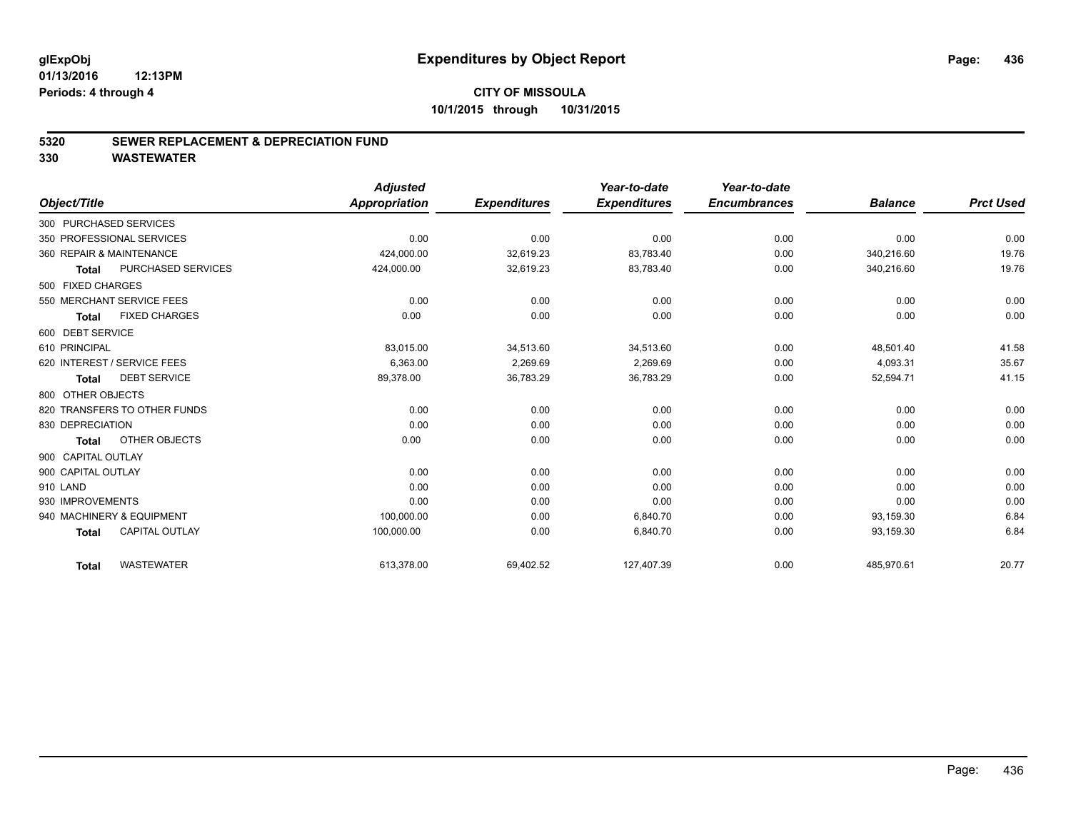#### **5320 SEWER REPLACEMENT & DEPRECIATION FUND**

|                                       |                    | <b>Adjusted</b>      |                     | Year-to-date        | Year-to-date        |                |                  |
|---------------------------------------|--------------------|----------------------|---------------------|---------------------|---------------------|----------------|------------------|
| Object/Title                          |                    | <b>Appropriation</b> | <b>Expenditures</b> | <b>Expenditures</b> | <b>Encumbrances</b> | <b>Balance</b> | <b>Prct Used</b> |
| 300 PURCHASED SERVICES                |                    |                      |                     |                     |                     |                |                  |
| 350 PROFESSIONAL SERVICES             |                    | 0.00                 | 0.00                | 0.00                | 0.00                | 0.00           | 0.00             |
| 360 REPAIR & MAINTENANCE              |                    | 424,000.00           | 32,619.23           | 83,783.40           | 0.00                | 340,216.60     | 19.76            |
| <b>Total</b>                          | PURCHASED SERVICES | 424,000.00           | 32,619.23           | 83,783.40           | 0.00                | 340,216.60     | 19.76            |
| 500 FIXED CHARGES                     |                    |                      |                     |                     |                     |                |                  |
| 550 MERCHANT SERVICE FEES             |                    | 0.00                 | 0.00                | 0.00                | 0.00                | 0.00           | 0.00             |
| <b>FIXED CHARGES</b><br><b>Total</b>  |                    | 0.00                 | 0.00                | 0.00                | 0.00                | 0.00           | 0.00             |
| 600 DEBT SERVICE                      |                    |                      |                     |                     |                     |                |                  |
| 610 PRINCIPAL                         |                    | 83,015.00            | 34,513.60           | 34,513.60           | 0.00                | 48,501.40      | 41.58            |
| 620 INTEREST / SERVICE FEES           |                    | 6,363.00             | 2,269.69            | 2,269.69            | 0.00                | 4,093.31       | 35.67            |
| <b>DEBT SERVICE</b><br><b>Total</b>   |                    | 89,378.00            | 36,783.29           | 36,783.29           | 0.00                | 52,594.71      | 41.15            |
| 800 OTHER OBJECTS                     |                    |                      |                     |                     |                     |                |                  |
| 820 TRANSFERS TO OTHER FUNDS          |                    | 0.00                 | 0.00                | 0.00                | 0.00                | 0.00           | 0.00             |
| 830 DEPRECIATION                      |                    | 0.00                 | 0.00                | 0.00                | 0.00                | 0.00           | 0.00             |
| OTHER OBJECTS<br><b>Total</b>         |                    | 0.00                 | 0.00                | 0.00                | 0.00                | 0.00           | 0.00             |
| 900 CAPITAL OUTLAY                    |                    |                      |                     |                     |                     |                |                  |
| 900 CAPITAL OUTLAY                    |                    | 0.00                 | 0.00                | 0.00                | 0.00                | 0.00           | 0.00             |
| 910 LAND                              |                    | 0.00                 | 0.00                | 0.00                | 0.00                | 0.00           | 0.00             |
| 930 IMPROVEMENTS                      |                    | 0.00                 | 0.00                | 0.00                | 0.00                | 0.00           | 0.00             |
| 940 MACHINERY & EQUIPMENT             |                    | 100,000.00           | 0.00                | 6,840.70            | 0.00                | 93,159.30      | 6.84             |
| <b>CAPITAL OUTLAY</b><br><b>Total</b> |                    | 100,000.00           | 0.00                | 6,840.70            | 0.00                | 93,159.30      | 6.84             |
| <b>WASTEWATER</b><br><b>Total</b>     |                    | 613.378.00           | 69,402.52           | 127,407.39          | 0.00                | 485.970.61     | 20.77            |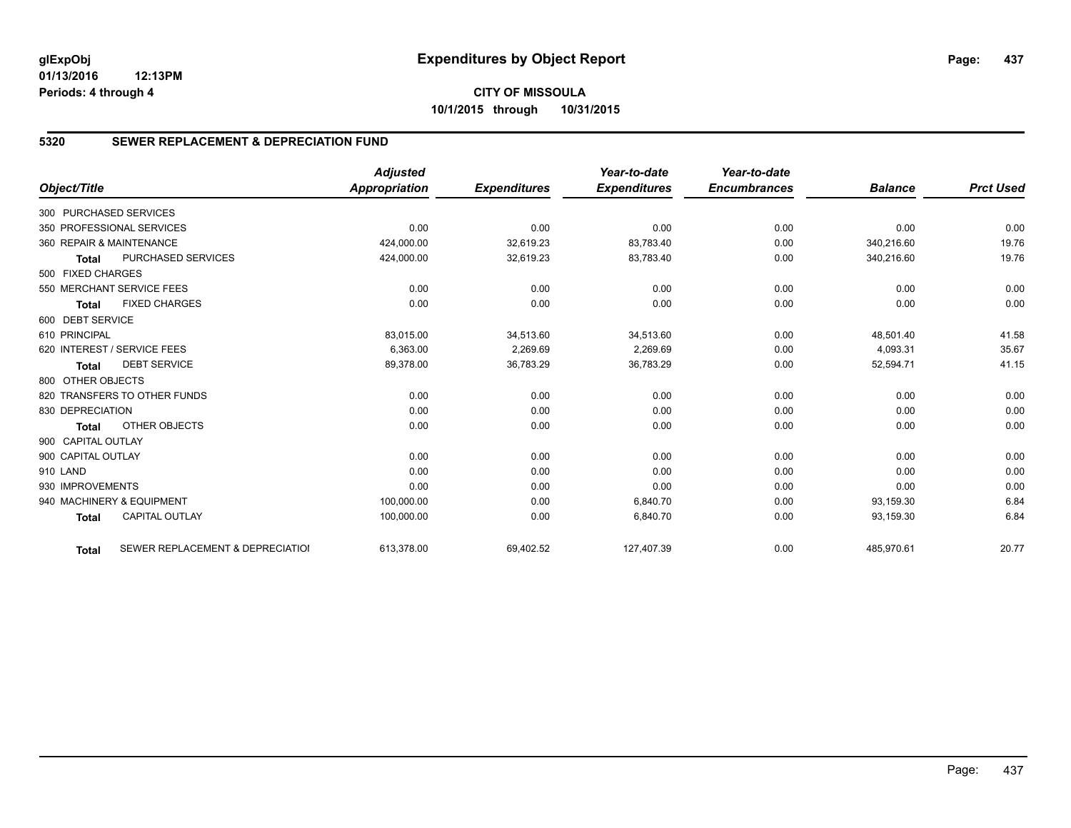# **CITY OF MISSOULA 10/1/2015 through 10/31/2015**

# **5320 SEWER REPLACEMENT & DEPRECIATION FUND**

|                        |                                  | <b>Adjusted</b>      |                     | Year-to-date        | Year-to-date        |                |                  |
|------------------------|----------------------------------|----------------------|---------------------|---------------------|---------------------|----------------|------------------|
| Object/Title           |                                  | <b>Appropriation</b> | <b>Expenditures</b> | <b>Expenditures</b> | <b>Encumbrances</b> | <b>Balance</b> | <b>Prct Used</b> |
| 300 PURCHASED SERVICES |                                  |                      |                     |                     |                     |                |                  |
|                        | 350 PROFESSIONAL SERVICES        | 0.00                 | 0.00                | 0.00                | 0.00                | 0.00           | 0.00             |
|                        | 360 REPAIR & MAINTENANCE         | 424,000.00           | 32,619.23           | 83,783.40           | 0.00                | 340,216.60     | 19.76            |
| <b>Total</b>           | <b>PURCHASED SERVICES</b>        | 424,000.00           | 32,619.23           | 83,783.40           | 0.00                | 340,216.60     | 19.76            |
| 500 FIXED CHARGES      |                                  |                      |                     |                     |                     |                |                  |
|                        | 550 MERCHANT SERVICE FEES        | 0.00                 | 0.00                | 0.00                | 0.00                | 0.00           | 0.00             |
| <b>Total</b>           | <b>FIXED CHARGES</b>             | 0.00                 | 0.00                | 0.00                | 0.00                | 0.00           | 0.00             |
| 600 DEBT SERVICE       |                                  |                      |                     |                     |                     |                |                  |
| 610 PRINCIPAL          |                                  | 83,015.00            | 34,513.60           | 34,513.60           | 0.00                | 48,501.40      | 41.58            |
|                        | 620 INTEREST / SERVICE FEES      | 6,363.00             | 2,269.69            | 2,269.69            | 0.00                | 4,093.31       | 35.67            |
| <b>Total</b>           | <b>DEBT SERVICE</b>              | 89,378.00            | 36,783.29           | 36,783.29           | 0.00                | 52,594.71      | 41.15            |
| 800 OTHER OBJECTS      |                                  |                      |                     |                     |                     |                |                  |
|                        | 820 TRANSFERS TO OTHER FUNDS     | 0.00                 | 0.00                | 0.00                | 0.00                | 0.00           | 0.00             |
| 830 DEPRECIATION       |                                  | 0.00                 | 0.00                | 0.00                | 0.00                | 0.00           | 0.00             |
| <b>Total</b>           | <b>OTHER OBJECTS</b>             | 0.00                 | 0.00                | 0.00                | 0.00                | 0.00           | 0.00             |
| 900 CAPITAL OUTLAY     |                                  |                      |                     |                     |                     |                |                  |
| 900 CAPITAL OUTLAY     |                                  | 0.00                 | 0.00                | 0.00                | 0.00                | 0.00           | 0.00             |
| 910 LAND               |                                  | 0.00                 | 0.00                | 0.00                | 0.00                | 0.00           | 0.00             |
| 930 IMPROVEMENTS       |                                  | 0.00                 | 0.00                | 0.00                | 0.00                | 0.00           | 0.00             |
|                        | 940 MACHINERY & EQUIPMENT        | 100,000.00           | 0.00                | 6.840.70            | 0.00                | 93,159.30      | 6.84             |
| <b>Total</b>           | <b>CAPITAL OUTLAY</b>            | 100,000.00           | 0.00                | 6,840.70            | 0.00                | 93,159.30      | 6.84             |
| <b>Total</b>           | SEWER REPLACEMENT & DEPRECIATION | 613,378.00           | 69,402.52           | 127,407.39          | 0.00                | 485,970.61     | 20.77            |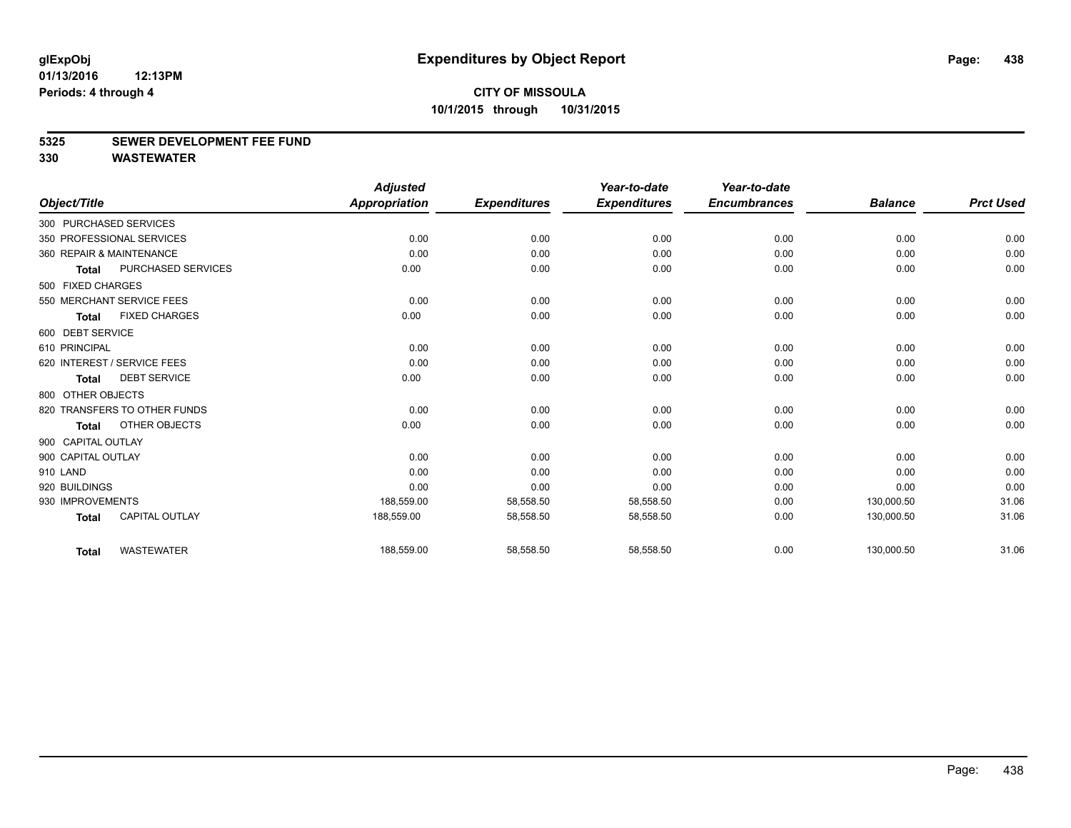#### **5325 SEWER DEVELOPMENT FEE FUND**

|                    |                              | <b>Adjusted</b> |                     | Year-to-date        | Year-to-date        |                |                  |
|--------------------|------------------------------|-----------------|---------------------|---------------------|---------------------|----------------|------------------|
| Object/Title       |                              | Appropriation   | <b>Expenditures</b> | <b>Expenditures</b> | <b>Encumbrances</b> | <b>Balance</b> | <b>Prct Used</b> |
|                    | 300 PURCHASED SERVICES       |                 |                     |                     |                     |                |                  |
|                    | 350 PROFESSIONAL SERVICES    | 0.00            | 0.00                | 0.00                | 0.00                | 0.00           | 0.00             |
|                    | 360 REPAIR & MAINTENANCE     | 0.00            | 0.00                | 0.00                | 0.00                | 0.00           | 0.00             |
| <b>Total</b>       | PURCHASED SERVICES           | 0.00            | 0.00                | 0.00                | 0.00                | 0.00           | 0.00             |
| 500 FIXED CHARGES  |                              |                 |                     |                     |                     |                |                  |
|                    | 550 MERCHANT SERVICE FEES    | 0.00            | 0.00                | 0.00                | 0.00                | 0.00           | 0.00             |
| <b>Total</b>       | <b>FIXED CHARGES</b>         | 0.00            | 0.00                | 0.00                | 0.00                | 0.00           | 0.00             |
| 600 DEBT SERVICE   |                              |                 |                     |                     |                     |                |                  |
| 610 PRINCIPAL      |                              | 0.00            | 0.00                | 0.00                | 0.00                | 0.00           | 0.00             |
|                    | 620 INTEREST / SERVICE FEES  | 0.00            | 0.00                | 0.00                | 0.00                | 0.00           | 0.00             |
| <b>Total</b>       | <b>DEBT SERVICE</b>          | 0.00            | 0.00                | 0.00                | 0.00                | 0.00           | 0.00             |
| 800 OTHER OBJECTS  |                              |                 |                     |                     |                     |                |                  |
|                    | 820 TRANSFERS TO OTHER FUNDS | 0.00            | 0.00                | 0.00                | 0.00                | 0.00           | 0.00             |
| <b>Total</b>       | OTHER OBJECTS                | 0.00            | 0.00                | 0.00                | 0.00                | 0.00           | 0.00             |
| 900 CAPITAL OUTLAY |                              |                 |                     |                     |                     |                |                  |
| 900 CAPITAL OUTLAY |                              | 0.00            | 0.00                | 0.00                | 0.00                | 0.00           | 0.00             |
| 910 LAND           |                              | 0.00            | 0.00                | 0.00                | 0.00                | 0.00           | 0.00             |
| 920 BUILDINGS      |                              | 0.00            | 0.00                | 0.00                | 0.00                | 0.00           | 0.00             |
| 930 IMPROVEMENTS   |                              | 188,559.00      | 58,558.50           | 58,558.50           | 0.00                | 130,000.50     | 31.06            |
| <b>Total</b>       | <b>CAPITAL OUTLAY</b>        | 188,559.00      | 58,558.50           | 58,558.50           | 0.00                | 130,000.50     | 31.06            |
| <b>Total</b>       | <b>WASTEWATER</b>            | 188,559.00      | 58,558.50           | 58,558.50           | 0.00                | 130,000.50     | 31.06            |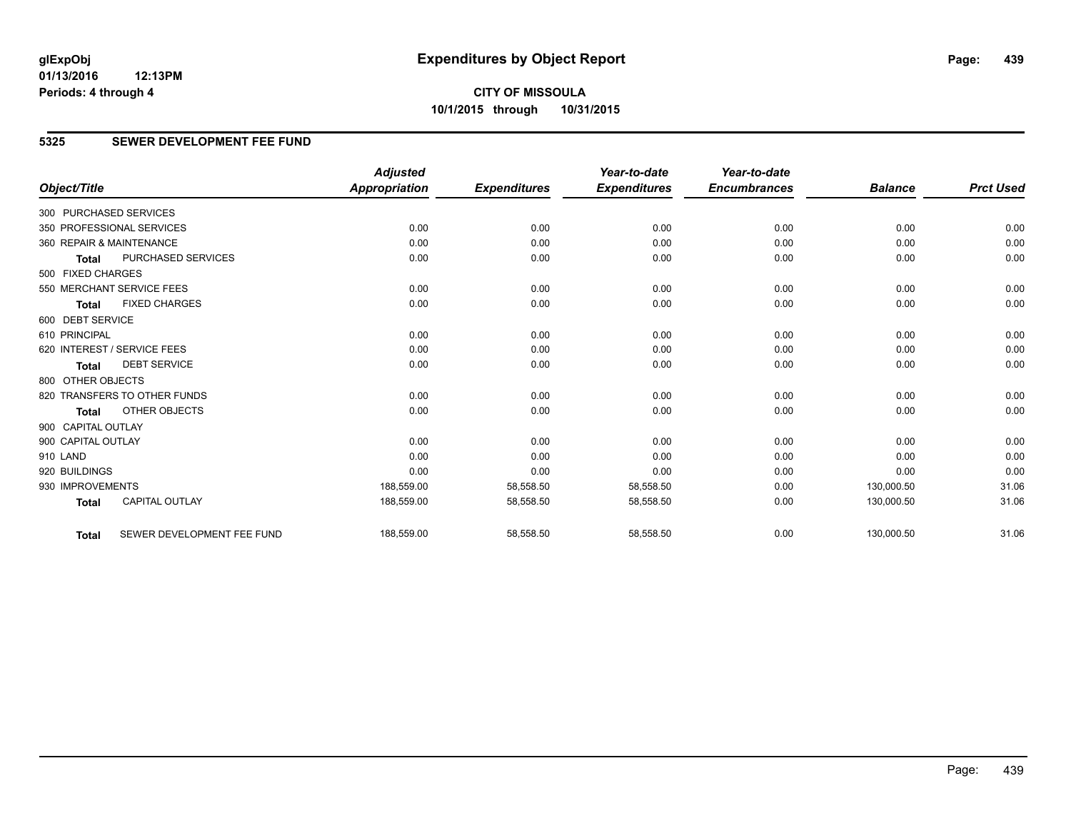# **CITY OF MISSOULA 10/1/2015 through 10/31/2015**

# **5325 SEWER DEVELOPMENT FEE FUND**

|                        |                              | <b>Adjusted</b>      |                     | Year-to-date        | Year-to-date        |                |                  |
|------------------------|------------------------------|----------------------|---------------------|---------------------|---------------------|----------------|------------------|
| Object/Title           |                              | <b>Appropriation</b> | <b>Expenditures</b> | <b>Expenditures</b> | <b>Encumbrances</b> | <b>Balance</b> | <b>Prct Used</b> |
| 300 PURCHASED SERVICES |                              |                      |                     |                     |                     |                |                  |
|                        | 350 PROFESSIONAL SERVICES    | 0.00                 | 0.00                | 0.00                | 0.00                | 0.00           | 0.00             |
|                        | 360 REPAIR & MAINTENANCE     | 0.00                 | 0.00                | 0.00                | 0.00                | 0.00           | 0.00             |
| <b>Total</b>           | PURCHASED SERVICES           | 0.00                 | 0.00                | 0.00                | 0.00                | 0.00           | 0.00             |
| 500 FIXED CHARGES      |                              |                      |                     |                     |                     |                |                  |
|                        | 550 MERCHANT SERVICE FEES    | 0.00                 | 0.00                | 0.00                | 0.00                | 0.00           | 0.00             |
| <b>Total</b>           | <b>FIXED CHARGES</b>         | 0.00                 | 0.00                | 0.00                | 0.00                | 0.00           | 0.00             |
| 600 DEBT SERVICE       |                              |                      |                     |                     |                     |                |                  |
| 610 PRINCIPAL          |                              | 0.00                 | 0.00                | 0.00                | 0.00                | 0.00           | 0.00             |
|                        | 620 INTEREST / SERVICE FEES  | 0.00                 | 0.00                | 0.00                | 0.00                | 0.00           | 0.00             |
| <b>Total</b>           | <b>DEBT SERVICE</b>          | 0.00                 | 0.00                | 0.00                | 0.00                | 0.00           | 0.00             |
| 800 OTHER OBJECTS      |                              |                      |                     |                     |                     |                |                  |
|                        | 820 TRANSFERS TO OTHER FUNDS | 0.00                 | 0.00                | 0.00                | 0.00                | 0.00           | 0.00             |
| <b>Total</b>           | <b>OTHER OBJECTS</b>         | 0.00                 | 0.00                | 0.00                | 0.00                | 0.00           | 0.00             |
| 900 CAPITAL OUTLAY     |                              |                      |                     |                     |                     |                |                  |
| 900 CAPITAL OUTLAY     |                              | 0.00                 | 0.00                | 0.00                | 0.00                | 0.00           | 0.00             |
| 910 LAND               |                              | 0.00                 | 0.00                | 0.00                | 0.00                | 0.00           | 0.00             |
| 920 BUILDINGS          |                              | 0.00                 | 0.00                | 0.00                | 0.00                | 0.00           | 0.00             |
| 930 IMPROVEMENTS       |                              | 188,559.00           | 58,558.50           | 58,558.50           | 0.00                | 130,000.50     | 31.06            |
| <b>Total</b>           | <b>CAPITAL OUTLAY</b>        | 188,559.00           | 58,558.50           | 58,558.50           | 0.00                | 130,000.50     | 31.06            |
| <b>Total</b>           | SEWER DEVELOPMENT FEE FUND   | 188,559.00           | 58,558.50           | 58,558.50           | 0.00                | 130,000.50     | 31.06            |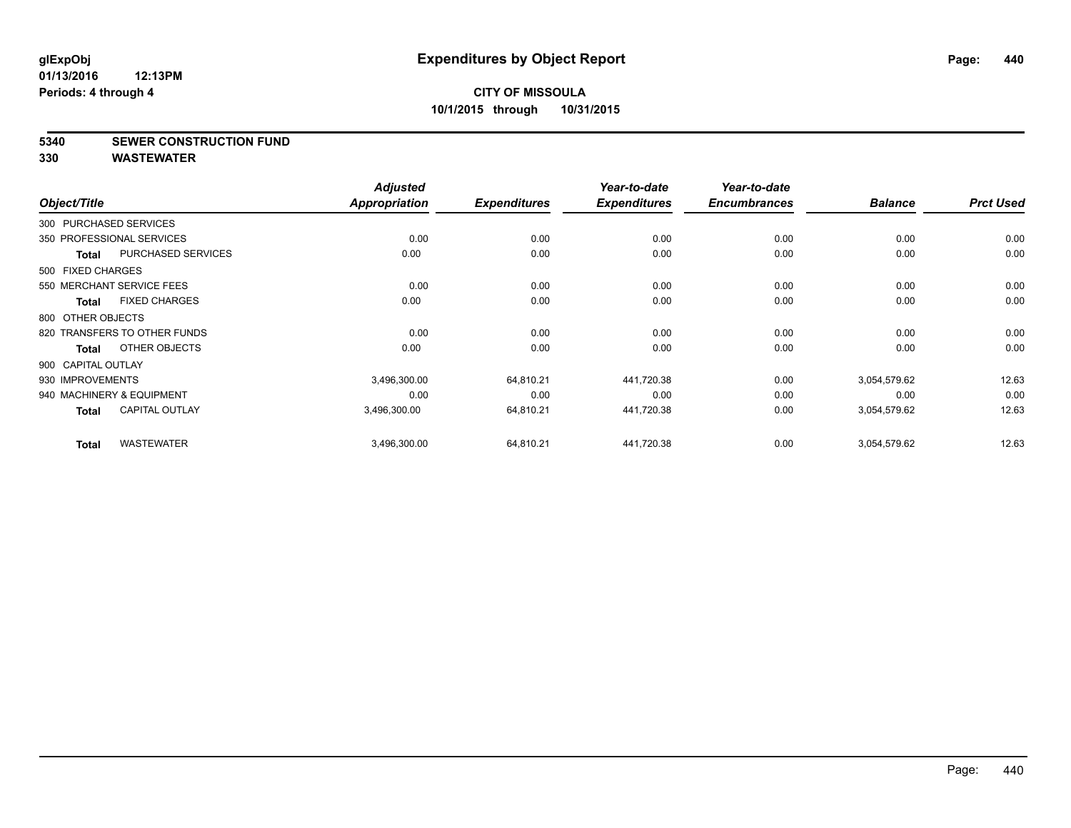**5340 SEWER CONSTRUCTION FUND**

|                        |                              | <b>Adjusted</b> |                     | Year-to-date        | Year-to-date        |                |                  |
|------------------------|------------------------------|-----------------|---------------------|---------------------|---------------------|----------------|------------------|
| Object/Title           |                              | Appropriation   | <b>Expenditures</b> | <b>Expenditures</b> | <b>Encumbrances</b> | <b>Balance</b> | <b>Prct Used</b> |
| 300 PURCHASED SERVICES |                              |                 |                     |                     |                     |                |                  |
|                        | 350 PROFESSIONAL SERVICES    | 0.00            | 0.00                | 0.00                | 0.00                | 0.00           | 0.00             |
| <b>Total</b>           | <b>PURCHASED SERVICES</b>    | 0.00            | 0.00                | 0.00                | 0.00                | 0.00           | 0.00             |
| 500 FIXED CHARGES      |                              |                 |                     |                     |                     |                |                  |
|                        | 550 MERCHANT SERVICE FEES    | 0.00            | 0.00                | 0.00                | 0.00                | 0.00           | 0.00             |
| <b>Total</b>           | <b>FIXED CHARGES</b>         | 0.00            | 0.00                | 0.00                | 0.00                | 0.00           | 0.00             |
| 800 OTHER OBJECTS      |                              |                 |                     |                     |                     |                |                  |
|                        | 820 TRANSFERS TO OTHER FUNDS | 0.00            | 0.00                | 0.00                | 0.00                | 0.00           | 0.00             |
| <b>Total</b>           | OTHER OBJECTS                | 0.00            | 0.00                | 0.00                | 0.00                | 0.00           | 0.00             |
| 900 CAPITAL OUTLAY     |                              |                 |                     |                     |                     |                |                  |
| 930 IMPROVEMENTS       |                              | 3,496,300.00    | 64,810.21           | 441,720.38          | 0.00                | 3,054,579.62   | 12.63            |
|                        | 940 MACHINERY & EQUIPMENT    | 0.00            | 0.00                | 0.00                | 0.00                | 0.00           | 0.00             |
| Total                  | <b>CAPITAL OUTLAY</b>        | 3,496,300.00    | 64,810.21           | 441,720.38          | 0.00                | 3,054,579.62   | 12.63            |
| <b>Total</b>           | <b>WASTEWATER</b>            | 3,496,300.00    | 64,810.21           | 441,720.38          | 0.00                | 3,054,579.62   | 12.63            |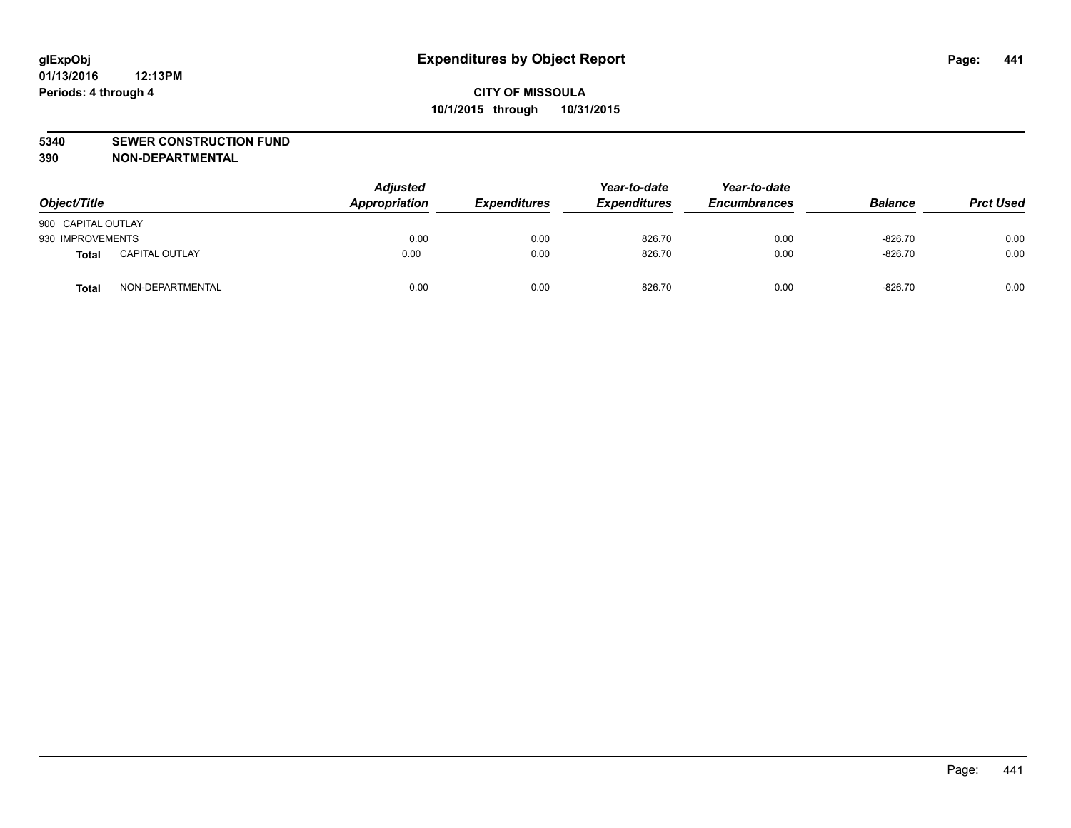#### **5340 SEWER CONSTRUCTION FUND**

**390 NON-DEPARTMENTAL**

| Object/Title       |                       | <b>Adjusted</b><br>Appropriation | <b>Expenditures</b> | Year-to-date<br><b>Expenditures</b> | Year-to-date<br><b>Encumbrances</b> | <b>Balance</b> | <b>Prct Used</b> |
|--------------------|-----------------------|----------------------------------|---------------------|-------------------------------------|-------------------------------------|----------------|------------------|
| 900 CAPITAL OUTLAY |                       |                                  |                     |                                     |                                     |                |                  |
| 930 IMPROVEMENTS   |                       | 0.00                             | 0.00                | 826.70                              | 0.00                                | $-826.70$      | 0.00             |
| Total              | <b>CAPITAL OUTLAY</b> | 0.00                             | 0.00                | 826.70                              | 0.00                                | $-826.70$      | 0.00             |
| <b>Total</b>       | NON-DEPARTMENTAL      | 0.00                             | 0.00                | 826.70                              | 0.00                                | $-826.70$      | 0.00             |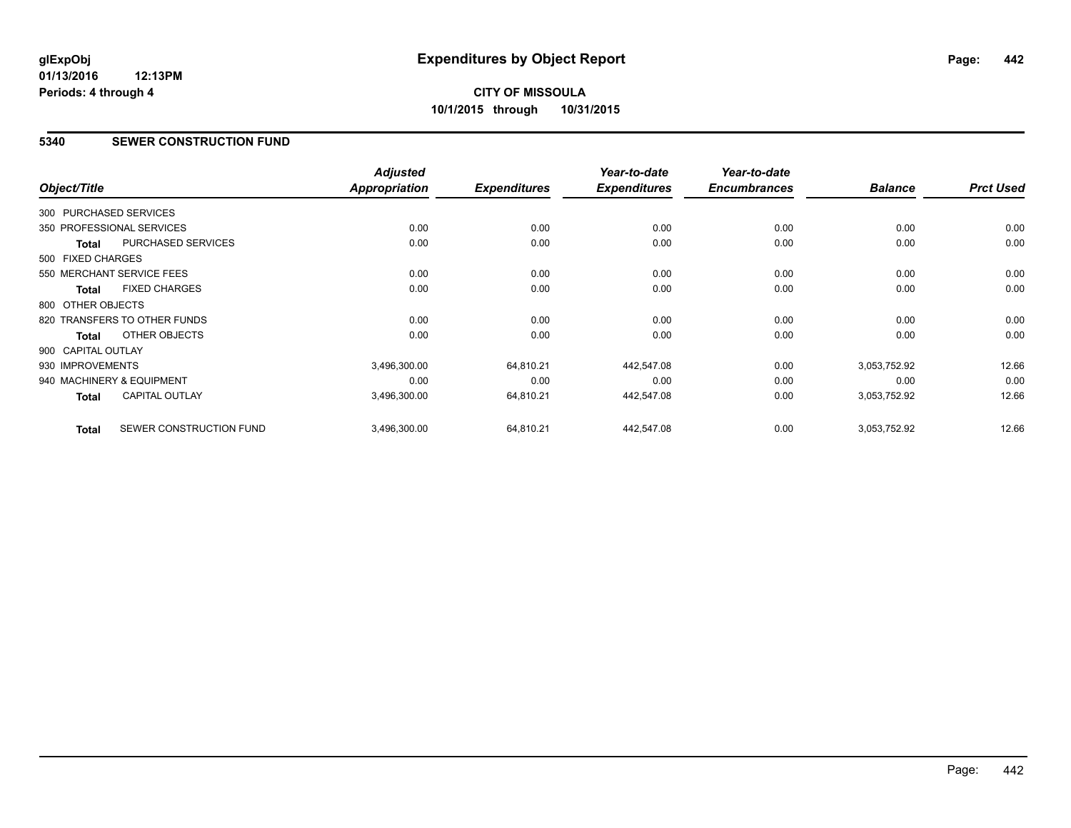#### **5340 SEWER CONSTRUCTION FUND**

| Object/Title       |                              | <b>Adjusted</b><br>Appropriation | <b>Expenditures</b> | Year-to-date<br><b>Expenditures</b> | Year-to-date<br><b>Encumbrances</b> | <b>Balance</b> | <b>Prct Used</b> |
|--------------------|------------------------------|----------------------------------|---------------------|-------------------------------------|-------------------------------------|----------------|------------------|
|                    |                              |                                  |                     |                                     |                                     |                |                  |
|                    | 300 PURCHASED SERVICES       |                                  |                     |                                     |                                     |                |                  |
|                    | 350 PROFESSIONAL SERVICES    | 0.00                             | 0.00                | 0.00                                | 0.00                                | 0.00           | 0.00             |
| <b>Total</b>       | <b>PURCHASED SERVICES</b>    | 0.00                             | 0.00                | 0.00                                | 0.00                                | 0.00           | 0.00             |
| 500 FIXED CHARGES  |                              |                                  |                     |                                     |                                     |                |                  |
|                    | 550 MERCHANT SERVICE FEES    | 0.00                             | 0.00                | 0.00                                | 0.00                                | 0.00           | 0.00             |
| <b>Total</b>       | <b>FIXED CHARGES</b>         | 0.00                             | 0.00                | 0.00                                | 0.00                                | 0.00           | 0.00             |
| 800 OTHER OBJECTS  |                              |                                  |                     |                                     |                                     |                |                  |
|                    | 820 TRANSFERS TO OTHER FUNDS | 0.00                             | 0.00                | 0.00                                | 0.00                                | 0.00           | 0.00             |
| Total              | OTHER OBJECTS                | 0.00                             | 0.00                | 0.00                                | 0.00                                | 0.00           | 0.00             |
| 900 CAPITAL OUTLAY |                              |                                  |                     |                                     |                                     |                |                  |
| 930 IMPROVEMENTS   |                              | 3,496,300.00                     | 64,810.21           | 442,547.08                          | 0.00                                | 3,053,752.92   | 12.66            |
|                    | 940 MACHINERY & EQUIPMENT    | 0.00                             | 0.00                | 0.00                                | 0.00                                | 0.00           | 0.00             |
| <b>Total</b>       | <b>CAPITAL OUTLAY</b>        | 3,496,300.00                     | 64,810.21           | 442,547.08                          | 0.00                                | 3,053,752.92   | 12.66            |
| <b>Total</b>       | SEWER CONSTRUCTION FUND      | 3,496,300.00                     | 64,810.21           | 442,547.08                          | 0.00                                | 3,053,752.92   | 12.66            |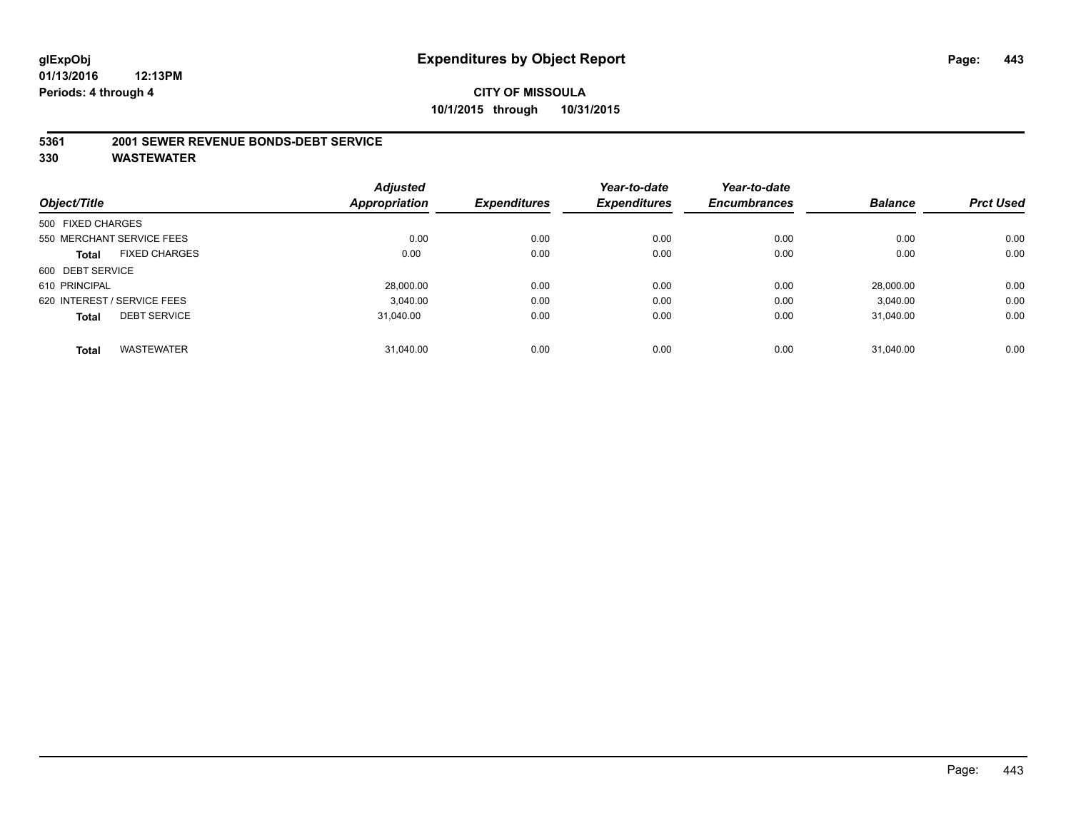#### **5361 2001 SEWER REVENUE BONDS-DEBT SERVICE**

|                   |                             | <b>Adjusted</b> |                     | Year-to-date        | Year-to-date        |                |                  |
|-------------------|-----------------------------|-----------------|---------------------|---------------------|---------------------|----------------|------------------|
| Object/Title      |                             | Appropriation   | <b>Expenditures</b> | <b>Expenditures</b> | <b>Encumbrances</b> | <b>Balance</b> | <b>Prct Used</b> |
| 500 FIXED CHARGES |                             |                 |                     |                     |                     |                |                  |
|                   | 550 MERCHANT SERVICE FEES   | 0.00            | 0.00                | 0.00                | 0.00                | 0.00           | 0.00             |
| Total             | <b>FIXED CHARGES</b>        | 0.00            | 0.00                | 0.00                | 0.00                | 0.00           | 0.00             |
| 600 DEBT SERVICE  |                             |                 |                     |                     |                     |                |                  |
| 610 PRINCIPAL     |                             | 28.000.00       | 0.00                | 0.00                | 0.00                | 28.000.00      | 0.00             |
|                   | 620 INTEREST / SERVICE FEES | 3.040.00        | 0.00                | 0.00                | 0.00                | 3.040.00       | 0.00             |
| <b>Total</b>      | <b>DEBT SERVICE</b>         | 31.040.00       | 0.00                | 0.00                | 0.00                | 31.040.00      | 0.00             |
|                   |                             |                 |                     |                     |                     |                |                  |
| <b>Total</b>      | <b>WASTEWATER</b>           | 31.040.00       | 0.00                | 0.00                | 0.00                | 31.040.00      | 0.00             |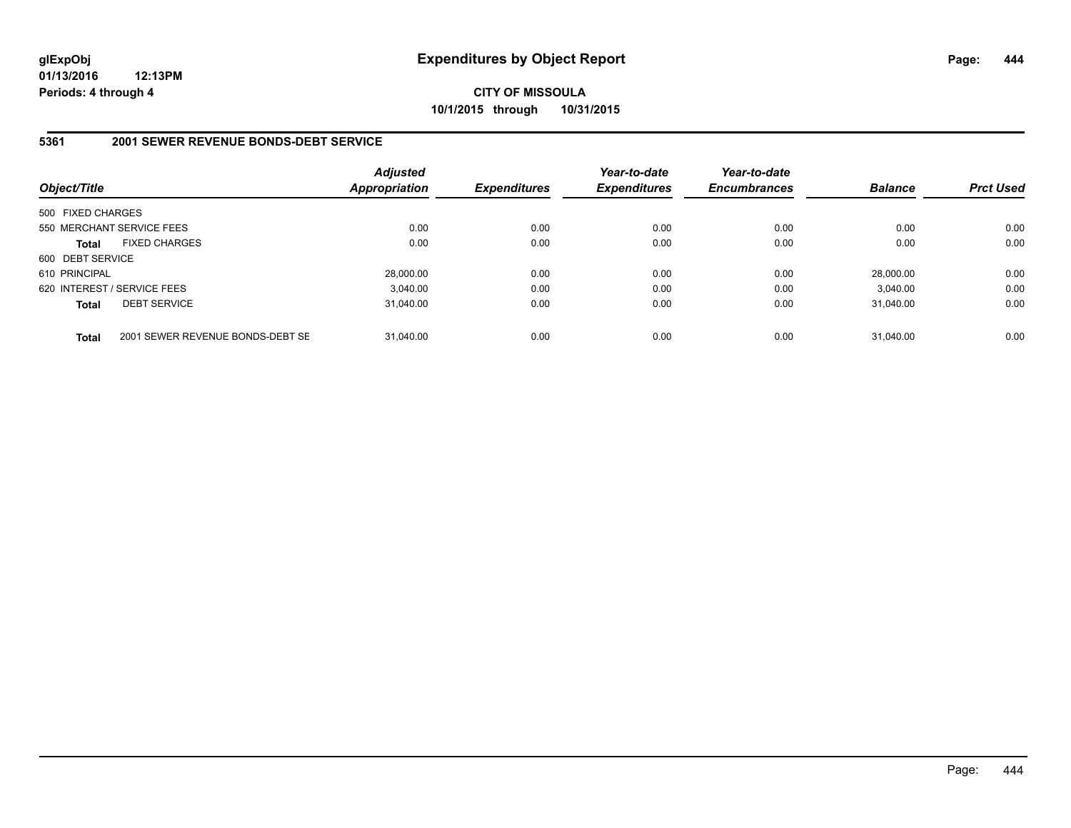# **CITY OF MISSOULA 10/1/2015 through 10/31/2015**

#### **5361 2001 SEWER REVENUE BONDS-DEBT SERVICE**

| Object/Title      |                                  | <b>Adjusted</b><br><b>Appropriation</b> | <b>Expenditures</b> | Year-to-date<br><b>Expenditures</b> | Year-to-date<br><b>Encumbrances</b> | <b>Balance</b> | <b>Prct Used</b> |
|-------------------|----------------------------------|-----------------------------------------|---------------------|-------------------------------------|-------------------------------------|----------------|------------------|
| 500 FIXED CHARGES |                                  |                                         |                     |                                     |                                     |                |                  |
|                   | 550 MERCHANT SERVICE FEES        | 0.00                                    | 0.00                | 0.00                                | 0.00                                | 0.00           | 0.00             |
| <b>Total</b>      | <b>FIXED CHARGES</b>             | 0.00                                    | 0.00                | 0.00                                | 0.00                                | 0.00           | 0.00             |
| 600 DEBT SERVICE  |                                  |                                         |                     |                                     |                                     |                |                  |
| 610 PRINCIPAL     |                                  | 28.000.00                               | 0.00                | 0.00                                | 0.00                                | 28.000.00      | 0.00             |
|                   | 620 INTEREST / SERVICE FEES      | 3.040.00                                | 0.00                | 0.00                                | 0.00                                | 3.040.00       | 0.00             |
| <b>Total</b>      | <b>DEBT SERVICE</b>              | 31.040.00                               | 0.00                | 0.00                                | 0.00                                | 31.040.00      | 0.00             |
| <b>Total</b>      | 2001 SEWER REVENUE BONDS-DEBT SE | 31.040.00                               | 0.00                | 0.00                                | 0.00                                | 31.040.00      | 0.00             |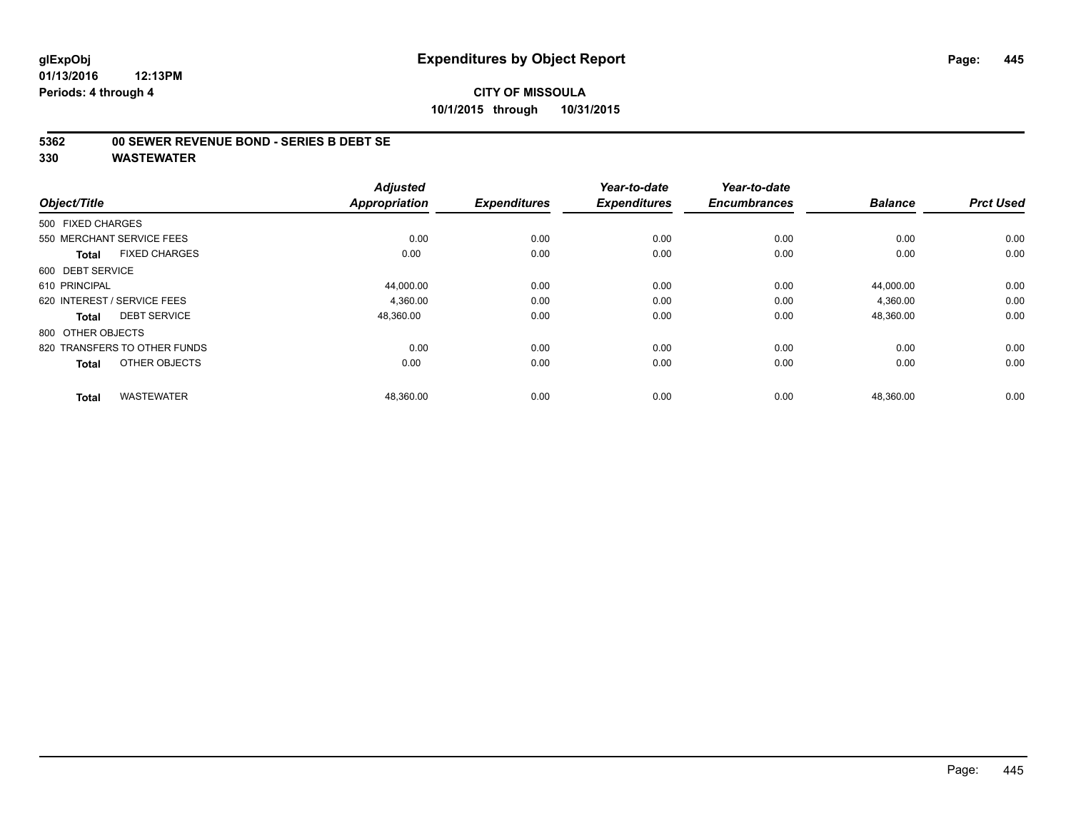#### **5362 00 SEWER REVENUE BOND - SERIES B DEBT SE**

| Object/Title                         | <b>Adjusted</b><br><b>Appropriation</b> | <b>Expenditures</b> | Year-to-date<br><b>Expenditures</b> | Year-to-date<br><b>Encumbrances</b> | <b>Balance</b> | <b>Prct Used</b> |
|--------------------------------------|-----------------------------------------|---------------------|-------------------------------------|-------------------------------------|----------------|------------------|
| 500 FIXED CHARGES                    |                                         |                     |                                     |                                     |                |                  |
| 550 MERCHANT SERVICE FEES            | 0.00                                    | 0.00                | 0.00                                | 0.00                                | 0.00           | 0.00             |
| <b>FIXED CHARGES</b><br><b>Total</b> | 0.00                                    | 0.00                | 0.00                                | 0.00                                | 0.00           | 0.00             |
| 600 DEBT SERVICE                     |                                         |                     |                                     |                                     |                |                  |
| 610 PRINCIPAL                        | 44,000.00                               | 0.00                | 0.00                                | 0.00                                | 44,000.00      | 0.00             |
| 620 INTEREST / SERVICE FEES          | 4,360.00                                | 0.00                | 0.00                                | 0.00                                | 4,360.00       | 0.00             |
| <b>DEBT SERVICE</b><br><b>Total</b>  | 48,360.00                               | 0.00                | 0.00                                | 0.00                                | 48,360.00      | 0.00             |
| 800 OTHER OBJECTS                    |                                         |                     |                                     |                                     |                |                  |
| 820 TRANSFERS TO OTHER FUNDS         | 0.00                                    | 0.00                | 0.00                                | 0.00                                | 0.00           | 0.00             |
| OTHER OBJECTS<br><b>Total</b>        | 0.00                                    | 0.00                | 0.00                                | 0.00                                | 0.00           | 0.00             |
| <b>WASTEWATER</b><br><b>Total</b>    | 48,360.00                               | 0.00                | 0.00                                | 0.00                                | 48,360.00      | 0.00             |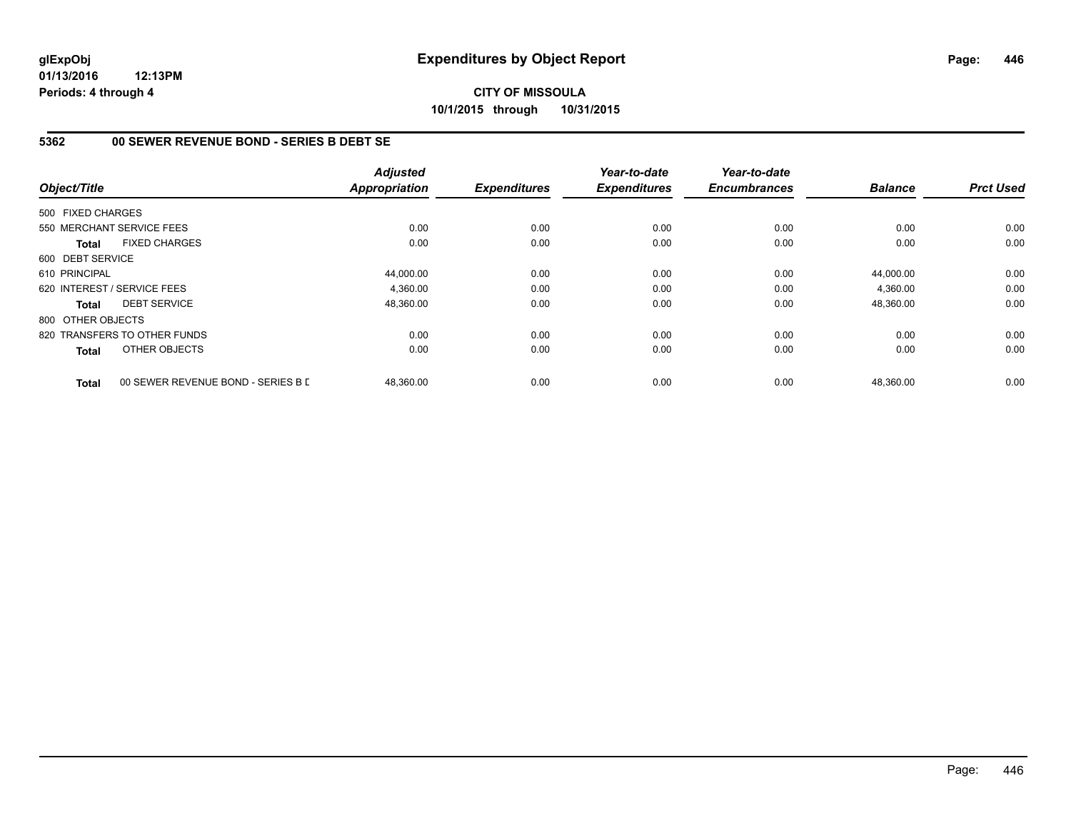**CITY OF MISSOULA 10/1/2015 through 10/31/2015**

### **5362 00 SEWER REVENUE BOND - SERIES B DEBT SE**

| Object/Title      |                                    | <b>Adjusted</b><br>Appropriation | <b>Expenditures</b> | Year-to-date<br><b>Expenditures</b> | Year-to-date<br><b>Encumbrances</b> | <b>Balance</b> | <b>Prct Used</b> |
|-------------------|------------------------------------|----------------------------------|---------------------|-------------------------------------|-------------------------------------|----------------|------------------|
| 500 FIXED CHARGES |                                    |                                  |                     |                                     |                                     |                |                  |
|                   | 550 MERCHANT SERVICE FEES          | 0.00                             | 0.00                | 0.00                                | 0.00                                | 0.00           | 0.00             |
| <b>Total</b>      | <b>FIXED CHARGES</b>               | 0.00                             | 0.00                | 0.00                                | 0.00                                | 0.00           | 0.00             |
| 600 DEBT SERVICE  |                                    |                                  |                     |                                     |                                     |                |                  |
| 610 PRINCIPAL     |                                    | 44,000.00                        | 0.00                | 0.00                                | 0.00                                | 44,000.00      | 0.00             |
|                   | 620 INTEREST / SERVICE FEES        | 4,360.00                         | 0.00                | 0.00                                | 0.00                                | 4,360.00       | 0.00             |
| <b>Total</b>      | <b>DEBT SERVICE</b>                | 48,360.00                        | 0.00                | 0.00                                | 0.00                                | 48,360.00      | 0.00             |
| 800 OTHER OBJECTS |                                    |                                  |                     |                                     |                                     |                |                  |
|                   | 820 TRANSFERS TO OTHER FUNDS       | 0.00                             | 0.00                | 0.00                                | 0.00                                | 0.00           | 0.00             |
| <b>Total</b>      | OTHER OBJECTS                      | 0.00                             | 0.00                | 0.00                                | 0.00                                | 0.00           | 0.00             |
| <b>Total</b>      | 00 SEWER REVENUE BOND - SERIES B D | 48,360.00                        | 0.00                | 0.00                                | 0.00                                | 48,360.00      | 0.00             |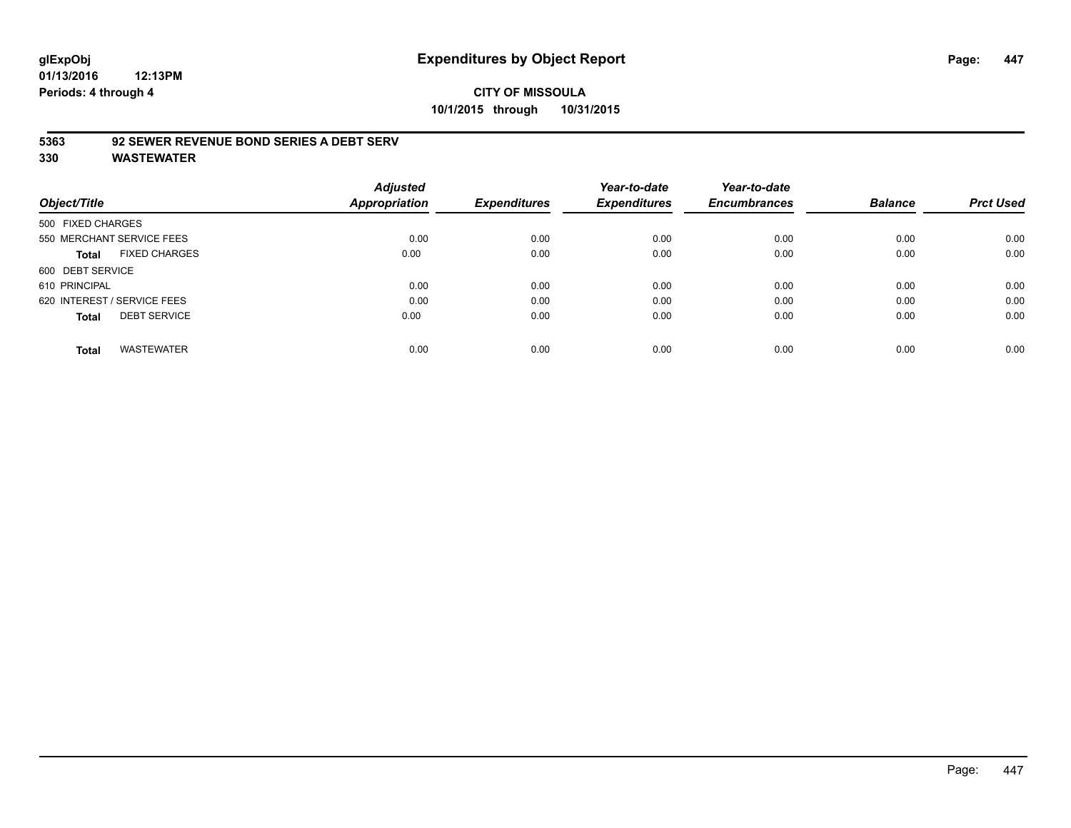# **CITY OF MISSOULA 10/1/2015 through 10/31/2015**

### **5363 92 SEWER REVENUE BOND SERIES A DEBT SERV**

| Object/Title                |                           | <b>Adjusted</b><br>Appropriation | <b>Expenditures</b> | Year-to-date<br><b>Expenditures</b> | Year-to-date<br><b>Encumbrances</b> | <b>Balance</b> | <b>Prct Used</b> |
|-----------------------------|---------------------------|----------------------------------|---------------------|-------------------------------------|-------------------------------------|----------------|------------------|
| 500 FIXED CHARGES           |                           |                                  |                     |                                     |                                     |                |                  |
|                             | 550 MERCHANT SERVICE FEES | 0.00                             | 0.00                | 0.00                                | 0.00                                | 0.00           | 0.00             |
| Total                       | <b>FIXED CHARGES</b>      | 0.00                             | 0.00                | 0.00                                | 0.00                                | 0.00           | 0.00             |
| 600 DEBT SERVICE            |                           |                                  |                     |                                     |                                     |                |                  |
| 610 PRINCIPAL               |                           | 0.00                             | 0.00                | 0.00                                | 0.00                                | 0.00           | 0.00             |
| 620 INTEREST / SERVICE FEES |                           | 0.00                             | 0.00                | 0.00                                | 0.00                                | 0.00           | 0.00             |
| <b>Total</b>                | <b>DEBT SERVICE</b>       | 0.00                             | 0.00                | 0.00                                | 0.00                                | 0.00           | 0.00             |
| <b>Total</b>                | <b>WASTEWATER</b>         | 0.00                             | 0.00                | 0.00                                | 0.00                                | 0.00           | 0.00             |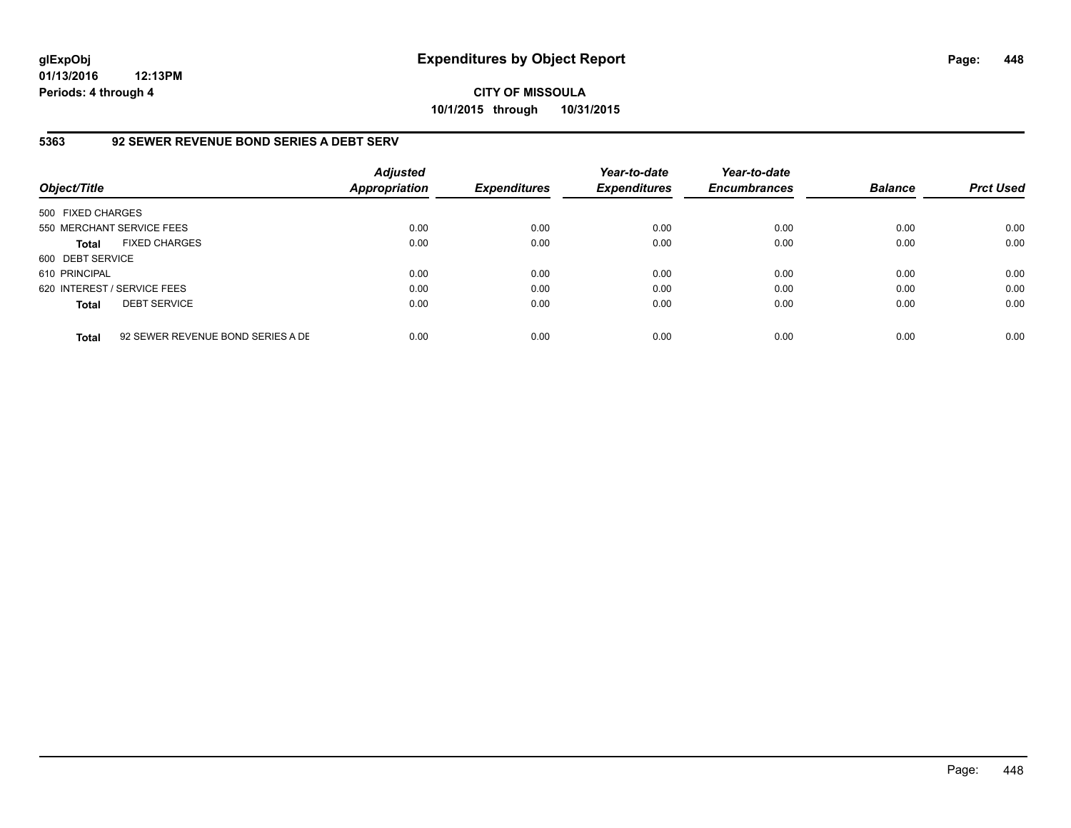**CITY OF MISSOULA 10/1/2015 through 10/31/2015**

### **5363 92 SEWER REVENUE BOND SERIES A DEBT SERV**

| Object/Title                |                                   | <b>Adjusted</b><br><b>Appropriation</b> | <b>Expenditures</b> | Year-to-date<br><b>Expenditures</b> | Year-to-date<br><b>Encumbrances</b> | <b>Balance</b> | <b>Prct Used</b> |
|-----------------------------|-----------------------------------|-----------------------------------------|---------------------|-------------------------------------|-------------------------------------|----------------|------------------|
| 500 FIXED CHARGES           |                                   |                                         |                     |                                     |                                     |                |                  |
|                             | 550 MERCHANT SERVICE FEES         | 0.00                                    | 0.00                | 0.00                                | 0.00                                | 0.00           | 0.00             |
| <b>Total</b>                | <b>FIXED CHARGES</b>              | 0.00                                    | 0.00                | 0.00                                | 0.00                                | 0.00           | 0.00             |
| 600 DEBT SERVICE            |                                   |                                         |                     |                                     |                                     |                |                  |
| 610 PRINCIPAL               |                                   | 0.00                                    | 0.00                | 0.00                                | 0.00                                | 0.00           | 0.00             |
| 620 INTEREST / SERVICE FEES |                                   | 0.00                                    | 0.00                | 0.00                                | 0.00                                | 0.00           | 0.00             |
| <b>Total</b>                | <b>DEBT SERVICE</b>               | 0.00                                    | 0.00                | 0.00                                | 0.00                                | 0.00           | 0.00             |
| <b>Total</b>                | 92 SEWER REVENUE BOND SERIES A DE | 0.00                                    | 0.00                | 0.00                                | 0.00                                | 0.00           | 0.00             |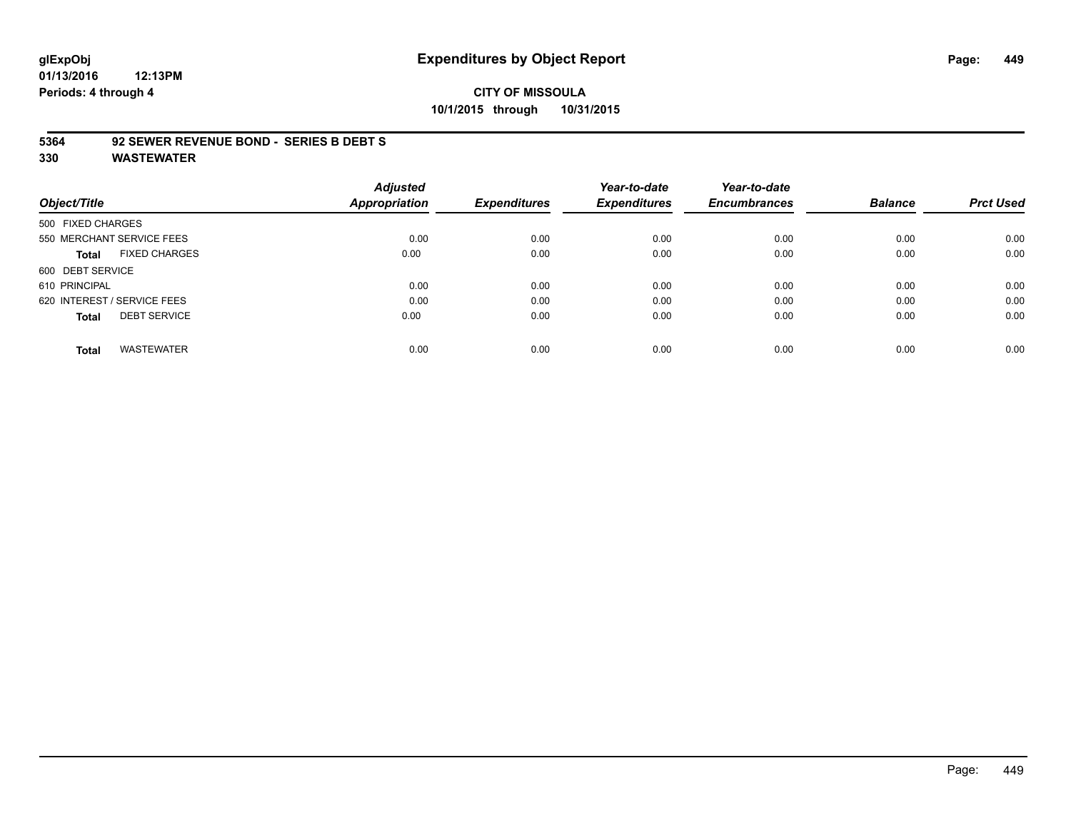# **glExpObj Expenditures by Object Report Page: 449**

**01/13/2016 12:13PM Periods: 4 through 4**

# **CITY OF MISSOULA 10/1/2015 through 10/31/2015**

#### **5364 92 SEWER REVENUE BOND - SERIES B DEBT S**

|                   |                             | <b>Adjusted</b>      |                     | Year-to-date        | Year-to-date        |                |                  |
|-------------------|-----------------------------|----------------------|---------------------|---------------------|---------------------|----------------|------------------|
| Object/Title      |                             | <b>Appropriation</b> | <b>Expenditures</b> | <b>Expenditures</b> | <b>Encumbrances</b> | <b>Balance</b> | <b>Prct Used</b> |
| 500 FIXED CHARGES |                             |                      |                     |                     |                     |                |                  |
|                   | 550 MERCHANT SERVICE FEES   | 0.00                 | 0.00                | 0.00                | 0.00                | 0.00           | 0.00             |
| Total             | <b>FIXED CHARGES</b>        | 0.00                 | 0.00                | 0.00                | 0.00                | 0.00           | 0.00             |
| 600 DEBT SERVICE  |                             |                      |                     |                     |                     |                |                  |
| 610 PRINCIPAL     |                             | 0.00                 | 0.00                | 0.00                | 0.00                | 0.00           | 0.00             |
|                   | 620 INTEREST / SERVICE FEES | 0.00                 | 0.00                | 0.00                | 0.00                | 0.00           | 0.00             |
| <b>Total</b>      | <b>DEBT SERVICE</b>         | 0.00                 | 0.00                | 0.00                | 0.00                | 0.00           | 0.00             |
| <b>Total</b>      | <b>WASTEWATER</b>           | 0.00                 | 0.00                | 0.00                | 0.00                | 0.00           | 0.00             |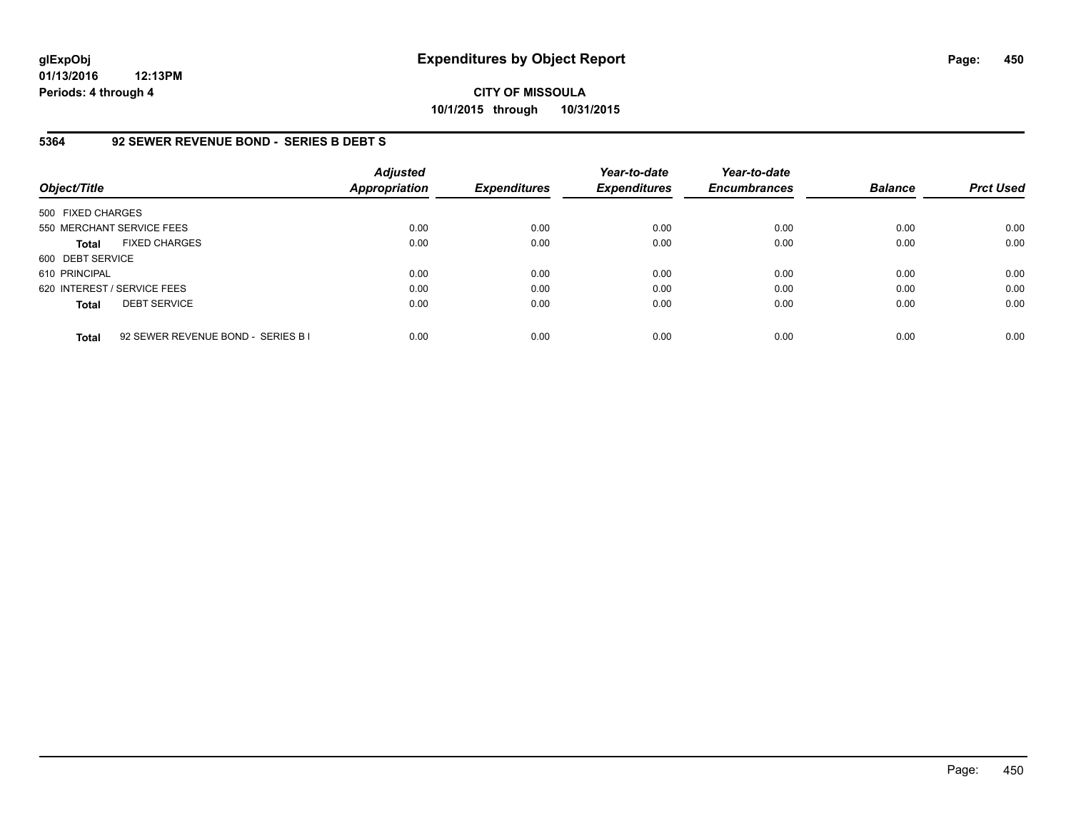**CITY OF MISSOULA 10/1/2015 through 10/31/2015**

#### **5364 92 SEWER REVENUE BOND - SERIES B DEBT S**

| Object/Title                |                                    | <b>Adjusted</b><br><b>Appropriation</b> | <b>Expenditures</b> | Year-to-date<br><b>Expenditures</b> | Year-to-date<br><b>Encumbrances</b> | <b>Balance</b> | <b>Prct Used</b> |
|-----------------------------|------------------------------------|-----------------------------------------|---------------------|-------------------------------------|-------------------------------------|----------------|------------------|
| 500 FIXED CHARGES           |                                    |                                         |                     |                                     |                                     |                |                  |
|                             | 550 MERCHANT SERVICE FEES          | 0.00                                    | 0.00                | 0.00                                | 0.00                                | 0.00           | 0.00             |
| <b>Total</b>                | <b>FIXED CHARGES</b>               | 0.00                                    | 0.00                | 0.00                                | 0.00                                | 0.00           | 0.00             |
| 600 DEBT SERVICE            |                                    |                                         |                     |                                     |                                     |                |                  |
| 610 PRINCIPAL               |                                    | 0.00                                    | 0.00                | 0.00                                | 0.00                                | 0.00           | 0.00             |
| 620 INTEREST / SERVICE FEES |                                    | 0.00                                    | 0.00                | 0.00                                | 0.00                                | 0.00           | 0.00             |
| <b>Total</b>                | <b>DEBT SERVICE</b>                | 0.00                                    | 0.00                | 0.00                                | 0.00                                | 0.00           | 0.00             |
| <b>Total</b>                | 92 SEWER REVENUE BOND - SERIES B I | 0.00                                    | 0.00                | 0.00                                | 0.00                                | 0.00           | 0.00             |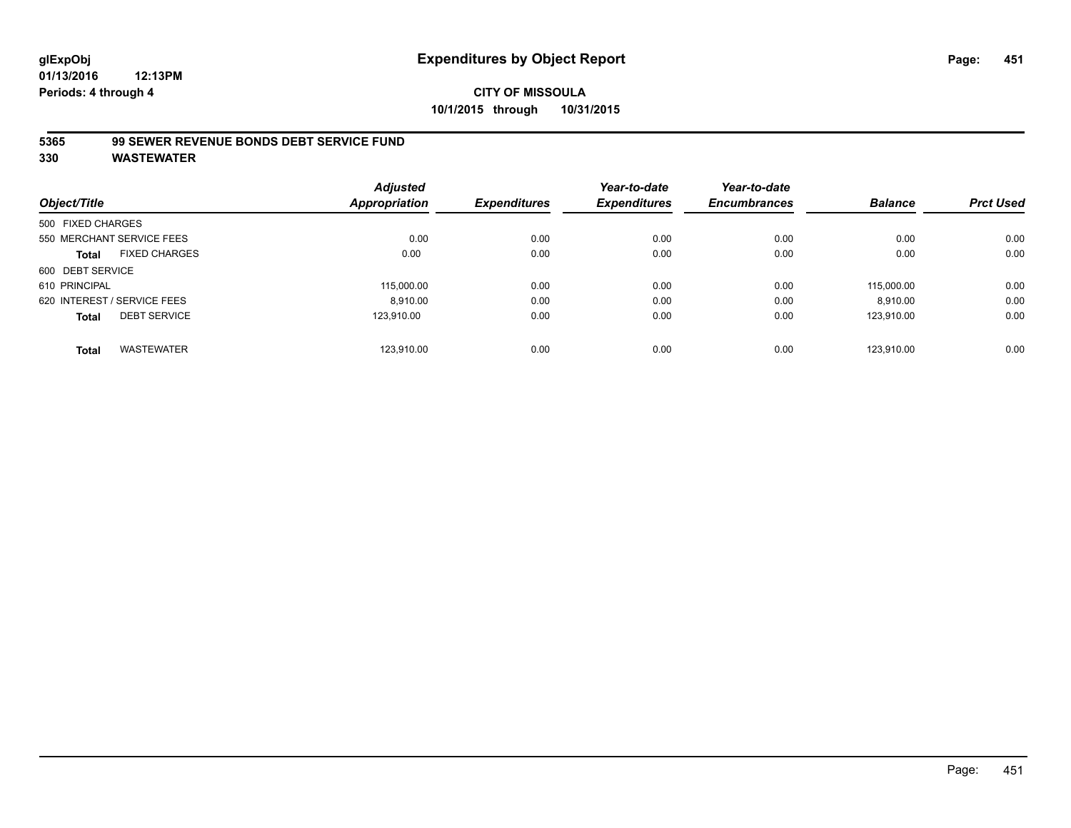# **CITY OF MISSOULA 10/1/2015 through 10/31/2015**

### **5365 99 SEWER REVENUE BONDS DEBT SERVICE FUND**

| Object/Title      |                             | <b>Adjusted</b><br><b>Appropriation</b> | <b>Expenditures</b> | Year-to-date<br><b>Expenditures</b> | Year-to-date<br><b>Encumbrances</b> | <b>Balance</b> | <b>Prct Used</b> |
|-------------------|-----------------------------|-----------------------------------------|---------------------|-------------------------------------|-------------------------------------|----------------|------------------|
| 500 FIXED CHARGES |                             |                                         |                     |                                     |                                     |                |                  |
|                   |                             |                                         |                     |                                     |                                     |                |                  |
|                   | 550 MERCHANT SERVICE FEES   | 0.00                                    | 0.00                | 0.00                                | 0.00                                | 0.00           | 0.00             |
| <b>Total</b>      | <b>FIXED CHARGES</b>        | 0.00                                    | 0.00                | 0.00                                | 0.00                                | 0.00           | 0.00             |
| 600 DEBT SERVICE  |                             |                                         |                     |                                     |                                     |                |                  |
| 610 PRINCIPAL     |                             | 115.000.00                              | 0.00                | 0.00                                | 0.00                                | 115,000.00     | 0.00             |
|                   | 620 INTEREST / SERVICE FEES | 8,910.00                                | 0.00                | 0.00                                | 0.00                                | 8,910.00       | 0.00             |
| <b>Total</b>      | <b>DEBT SERVICE</b>         | 123.910.00                              | 0.00                | 0.00                                | 0.00                                | 123.910.00     | 0.00             |
|                   |                             |                                         |                     |                                     |                                     |                |                  |
| <b>Total</b>      | <b>WASTEWATER</b>           | 123.910.00                              | 0.00                | 0.00                                | 0.00                                | 123.910.00     | 0.00             |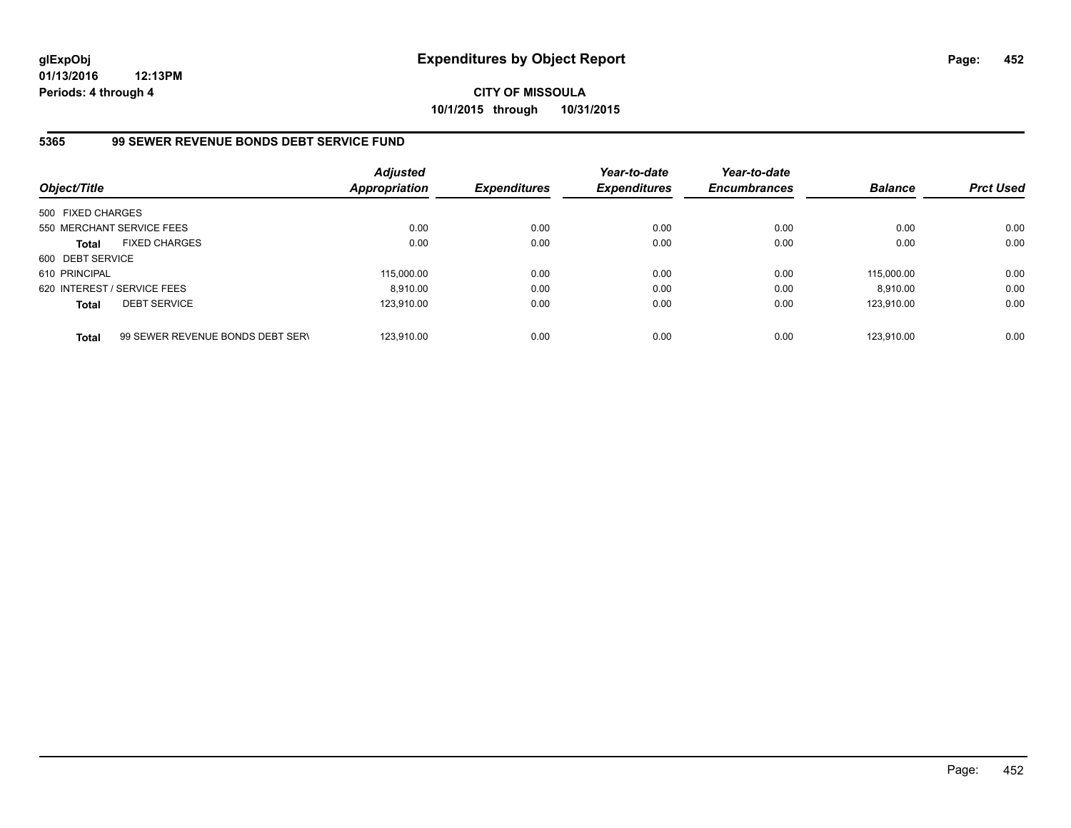**CITY OF MISSOULA 10/1/2015 through 10/31/2015**

### **5365 99 SEWER REVENUE BONDS DEBT SERVICE FUND**

| Object/Title      |                                  | <b>Adjusted</b><br><b>Appropriation</b> | <b>Expenditures</b> | Year-to-date<br><b>Expenditures</b> | Year-to-date<br><b>Encumbrances</b> | <b>Balance</b> | <b>Prct Used</b> |
|-------------------|----------------------------------|-----------------------------------------|---------------------|-------------------------------------|-------------------------------------|----------------|------------------|
| 500 FIXED CHARGES |                                  |                                         |                     |                                     |                                     |                |                  |
|                   | 550 MERCHANT SERVICE FEES        | 0.00                                    | 0.00                | 0.00                                | 0.00                                | 0.00           | 0.00             |
| <b>Total</b>      | <b>FIXED CHARGES</b>             | 0.00                                    | 0.00                | 0.00                                | 0.00                                | 0.00           | 0.00             |
| 600 DEBT SERVICE  |                                  |                                         |                     |                                     |                                     |                |                  |
| 610 PRINCIPAL     |                                  | 115,000.00                              | 0.00                | 0.00                                | 0.00                                | 115.000.00     | 0.00             |
|                   | 620 INTEREST / SERVICE FEES      | 8.910.00                                | 0.00                | 0.00                                | 0.00                                | 8.910.00       | 0.00             |
| <b>Total</b>      | <b>DEBT SERVICE</b>              | 123.910.00                              | 0.00                | 0.00                                | 0.00                                | 123.910.00     | 0.00             |
| <b>Total</b>      | 99 SEWER REVENUE BONDS DEBT SERV | 123.910.00                              | 0.00                | 0.00                                | 0.00                                | 123.910.00     | 0.00             |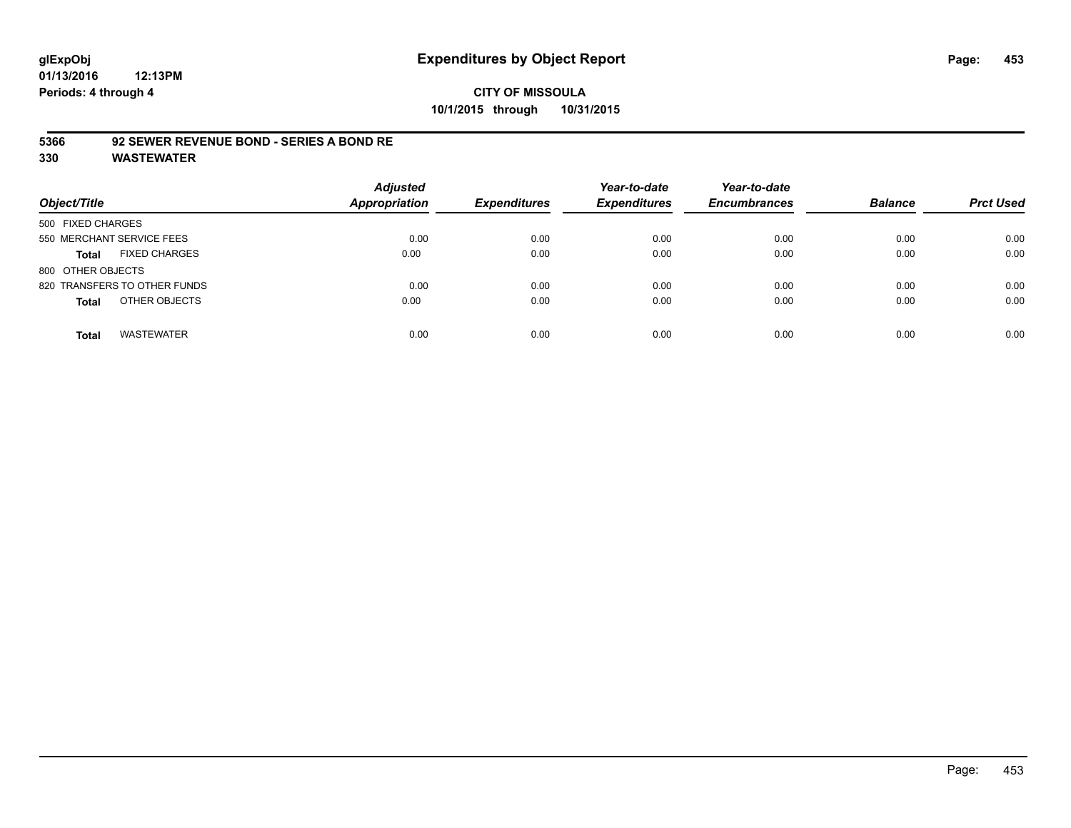### **CITY OF MISSOULA 10/1/2015 through 10/31/2015**

#### **5366 92 SEWER REVENUE BOND - SERIES A BOND RE**

| Object/Title                         | <b>Adjusted</b><br><b>Appropriation</b> | <b>Expenditures</b> | Year-to-date<br><b>Expenditures</b> | Year-to-date<br><b>Encumbrances</b> | <b>Balance</b> | <b>Prct Used</b> |
|--------------------------------------|-----------------------------------------|---------------------|-------------------------------------|-------------------------------------|----------------|------------------|
| 500 FIXED CHARGES                    |                                         |                     |                                     |                                     |                |                  |
| 550 MERCHANT SERVICE FEES            | 0.00                                    | 0.00                | 0.00                                | 0.00                                | 0.00           | 0.00             |
| <b>FIXED CHARGES</b><br><b>Total</b> | 0.00                                    | 0.00                | 0.00                                | 0.00                                | 0.00           | 0.00             |
| 800 OTHER OBJECTS                    |                                         |                     |                                     |                                     |                |                  |
| 820 TRANSFERS TO OTHER FUNDS         | 0.00                                    | 0.00                | 0.00                                | 0.00                                | 0.00           | 0.00             |
| OTHER OBJECTS<br><b>Total</b>        | 0.00                                    | 0.00                | 0.00                                | 0.00                                | 0.00           | 0.00             |
| <b>WASTEWATER</b><br><b>Total</b>    | 0.00                                    | 0.00                | 0.00                                | 0.00                                | 0.00           | 0.00             |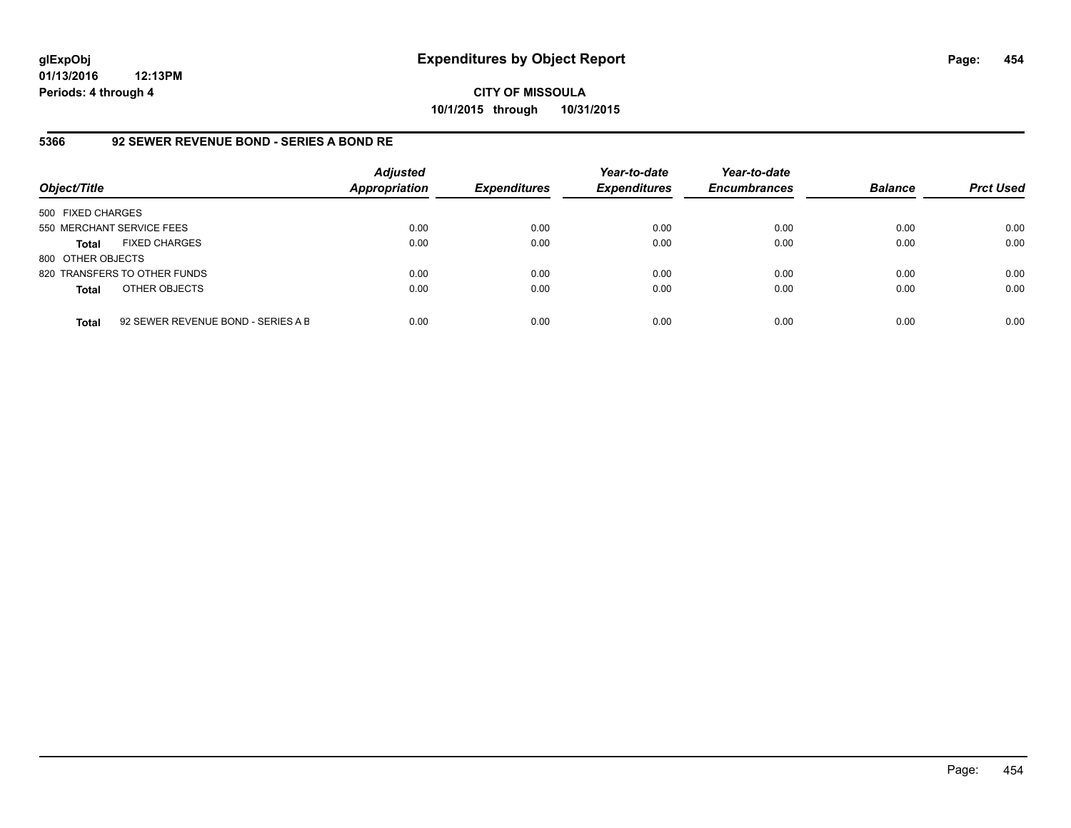**CITY OF MISSOULA 10/1/2015 through 10/31/2015**

### **5366 92 SEWER REVENUE BOND - SERIES A BOND RE**

| Object/Title              |                                    | <b>Adjusted</b><br>Appropriation | <b>Expenditures</b> | Year-to-date<br><b>Expenditures</b> | Year-to-date<br><b>Encumbrances</b> | <b>Balance</b> | <b>Prct Used</b> |
|---------------------------|------------------------------------|----------------------------------|---------------------|-------------------------------------|-------------------------------------|----------------|------------------|
| 500 FIXED CHARGES         |                                    |                                  |                     |                                     |                                     |                |                  |
| 550 MERCHANT SERVICE FEES |                                    | 0.00                             | 0.00                | 0.00                                | 0.00                                | 0.00           | 0.00             |
| Total                     | <b>FIXED CHARGES</b>               | 0.00                             | 0.00                | 0.00                                | 0.00                                | 0.00           | 0.00             |
| 800 OTHER OBJECTS         |                                    |                                  |                     |                                     |                                     |                |                  |
|                           | 820 TRANSFERS TO OTHER FUNDS       | 0.00                             | 0.00                | 0.00                                | 0.00                                | 0.00           | 0.00             |
| <b>Total</b>              | OTHER OBJECTS                      | 0.00                             | 0.00                | 0.00                                | 0.00                                | 0.00           | 0.00             |
| <b>Total</b>              | 92 SEWER REVENUE BOND - SERIES A B | 0.00                             | 0.00                | 0.00                                | 0.00                                | 0.00           | 0.00             |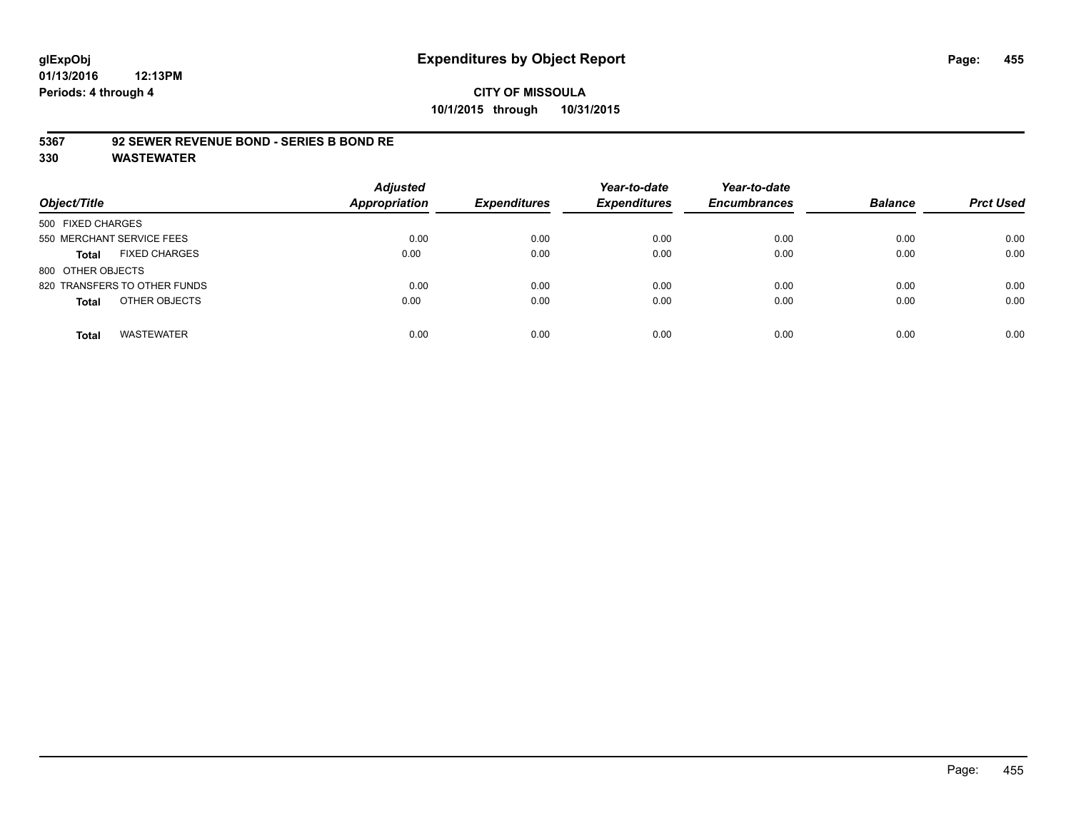#### **5367 92 SEWER REVENUE BOND - SERIES B BOND RE**

| Object/Title                         | <b>Adjusted</b><br><b>Appropriation</b> | <b>Expenditures</b> | Year-to-date<br><b>Expenditures</b> | Year-to-date<br><b>Encumbrances</b> | <b>Balance</b> | <b>Prct Used</b> |
|--------------------------------------|-----------------------------------------|---------------------|-------------------------------------|-------------------------------------|----------------|------------------|
| 500 FIXED CHARGES                    |                                         |                     |                                     |                                     |                |                  |
| 550 MERCHANT SERVICE FEES            | 0.00                                    | 0.00                | 0.00                                | 0.00                                | 0.00           | 0.00             |
| <b>FIXED CHARGES</b><br><b>Total</b> | 0.00                                    | 0.00                | 0.00                                | 0.00                                | 0.00           | 0.00             |
| 800 OTHER OBJECTS                    |                                         |                     |                                     |                                     |                |                  |
| 820 TRANSFERS TO OTHER FUNDS         | 0.00                                    | 0.00                | 0.00                                | 0.00                                | 0.00           | 0.00             |
| OTHER OBJECTS<br><b>Total</b>        | 0.00                                    | 0.00                | 0.00                                | 0.00                                | 0.00           | 0.00             |
| <b>WASTEWATER</b><br><b>Total</b>    | 0.00                                    | 0.00                | 0.00                                | 0.00                                | 0.00           | 0.00             |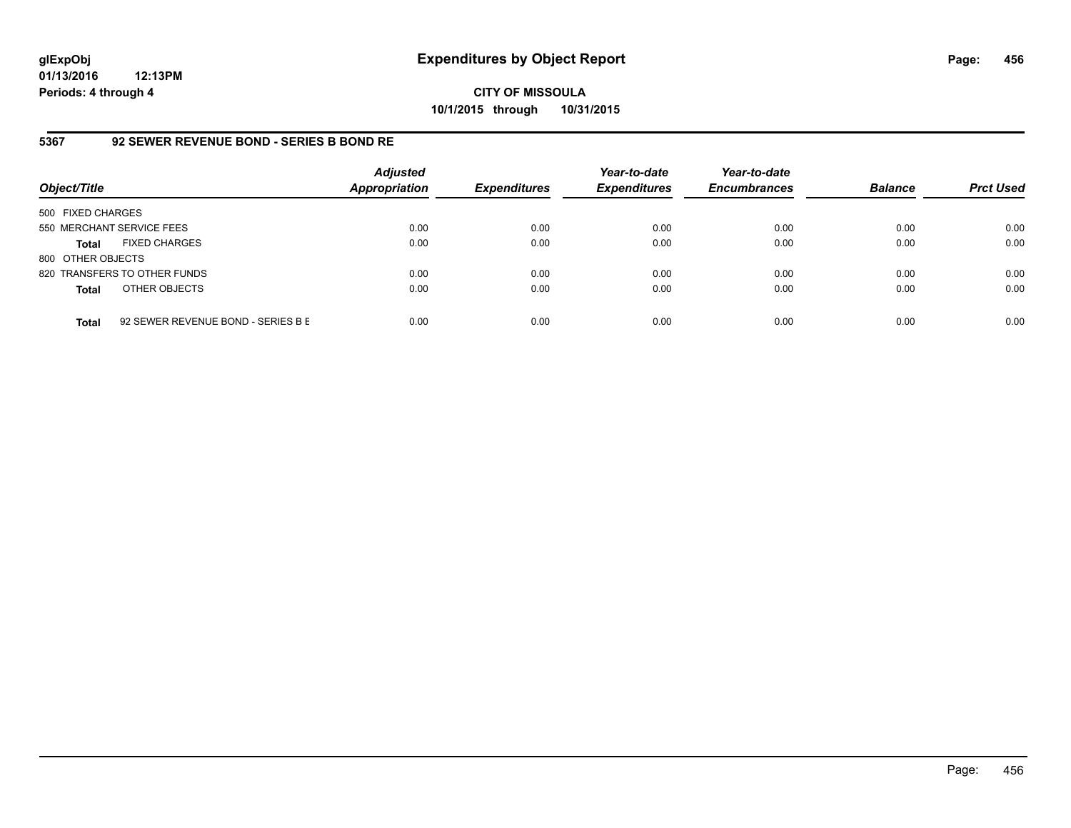**CITY OF MISSOULA 10/1/2015 through 10/31/2015**

### **5367 92 SEWER REVENUE BOND - SERIES B BOND RE**

| Object/Title              |                                    | <b>Adjusted</b><br><b>Appropriation</b> | <b>Expenditures</b> | Year-to-date<br><b>Expenditures</b> | Year-to-date<br><b>Encumbrances</b> | <b>Balance</b> | <b>Prct Used</b> |
|---------------------------|------------------------------------|-----------------------------------------|---------------------|-------------------------------------|-------------------------------------|----------------|------------------|
| 500 FIXED CHARGES         |                                    |                                         |                     |                                     |                                     |                |                  |
| 550 MERCHANT SERVICE FEES |                                    | 0.00                                    | 0.00                | 0.00                                | 0.00                                | 0.00           | 0.00             |
| <b>Total</b>              | <b>FIXED CHARGES</b>               | 0.00                                    | 0.00                | 0.00                                | 0.00                                | 0.00           | 0.00             |
| 800 OTHER OBJECTS         |                                    |                                         |                     |                                     |                                     |                |                  |
|                           | 820 TRANSFERS TO OTHER FUNDS       | 0.00                                    | 0.00                | 0.00                                | 0.00                                | 0.00           | 0.00             |
| <b>Total</b>              | OTHER OBJECTS                      | 0.00                                    | 0.00                | 0.00                                | 0.00                                | 0.00           | 0.00             |
| <b>Total</b>              | 92 SEWER REVENUE BOND - SERIES B E | 0.00                                    | 0.00                | 0.00                                | 0.00                                | 0.00           | 0.00             |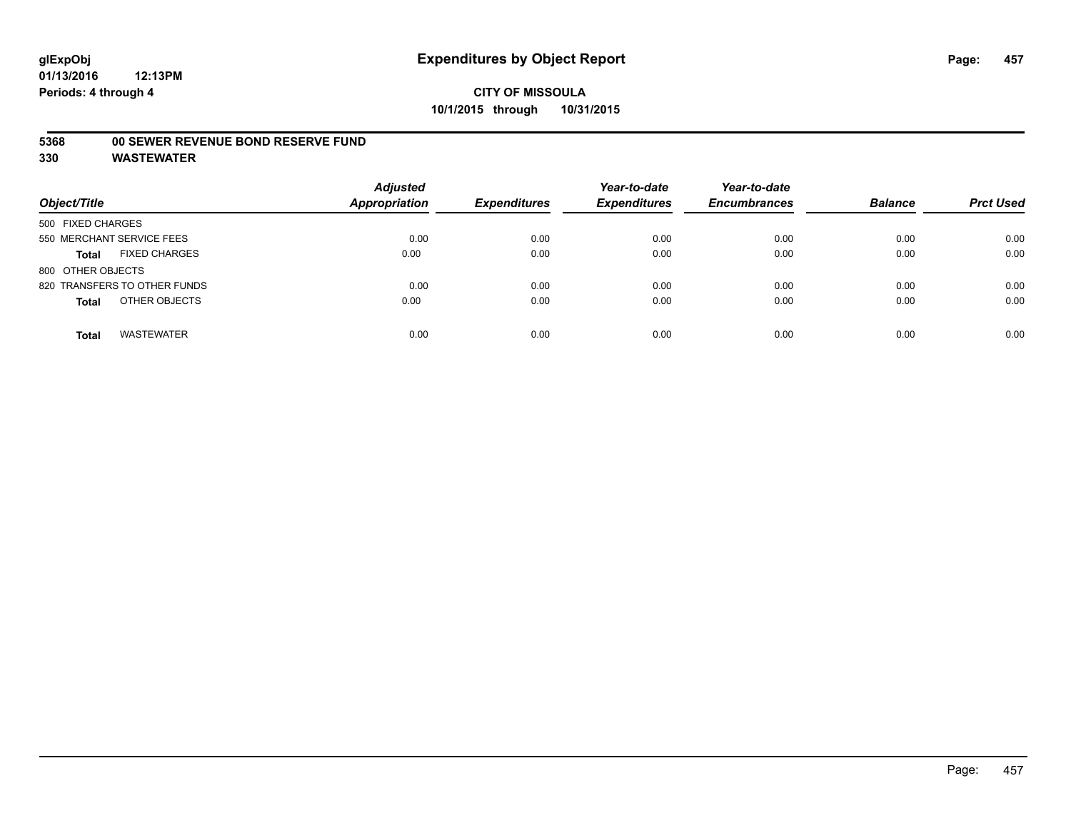#### **5368 00 SEWER REVENUE BOND RESERVE FUND**

| Object/Title                         | <b>Adjusted</b><br><b>Appropriation</b> | <b>Expenditures</b> | Year-to-date<br><b>Expenditures</b> | Year-to-date<br><b>Encumbrances</b> | <b>Balance</b> | <b>Prct Used</b> |
|--------------------------------------|-----------------------------------------|---------------------|-------------------------------------|-------------------------------------|----------------|------------------|
| 500 FIXED CHARGES                    |                                         |                     |                                     |                                     |                |                  |
| 550 MERCHANT SERVICE FEES            | 0.00                                    | 0.00                | 0.00                                | 0.00                                | 0.00           | 0.00             |
| <b>FIXED CHARGES</b><br><b>Total</b> | 0.00                                    | 0.00                | 0.00                                | 0.00                                | 0.00           | 0.00             |
| 800 OTHER OBJECTS                    |                                         |                     |                                     |                                     |                |                  |
| 820 TRANSFERS TO OTHER FUNDS         | 0.00                                    | 0.00                | 0.00                                | 0.00                                | 0.00           | 0.00             |
| OTHER OBJECTS<br><b>Total</b>        | 0.00                                    | 0.00                | 0.00                                | 0.00                                | 0.00           | 0.00             |
| <b>WASTEWATER</b><br><b>Total</b>    | 0.00                                    | 0.00                | 0.00                                | 0.00                                | 0.00           | 0.00             |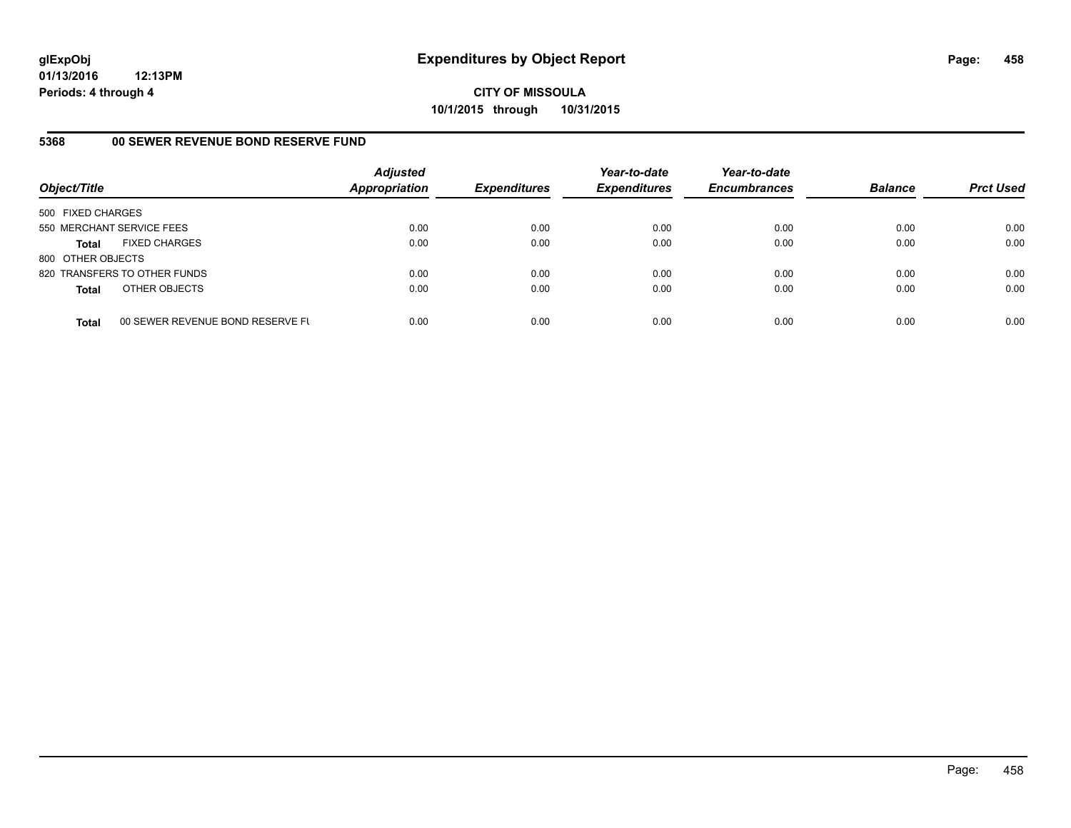**CITY OF MISSOULA 10/1/2015 through 10/31/2015**

### **5368 00 SEWER REVENUE BOND RESERVE FUND**

| Object/Title              |                                  | <b>Adjusted</b><br>Appropriation | <b>Expenditures</b> | Year-to-date<br><b>Expenditures</b> | Year-to-date<br><b>Encumbrances</b> | <b>Balance</b> | <b>Prct Used</b> |
|---------------------------|----------------------------------|----------------------------------|---------------------|-------------------------------------|-------------------------------------|----------------|------------------|
| 500 FIXED CHARGES         |                                  |                                  |                     |                                     |                                     |                |                  |
| 550 MERCHANT SERVICE FEES |                                  | 0.00                             | 0.00                | 0.00                                | 0.00                                | 0.00           | 0.00             |
| <b>Total</b>              | <b>FIXED CHARGES</b>             | 0.00                             | 0.00                | 0.00                                | 0.00                                | 0.00           | 0.00             |
| 800 OTHER OBJECTS         |                                  |                                  |                     |                                     |                                     |                |                  |
|                           | 820 TRANSFERS TO OTHER FUNDS     | 0.00                             | 0.00                | 0.00                                | 0.00                                | 0.00           | 0.00             |
| <b>Total</b>              | OTHER OBJECTS                    | 0.00                             | 0.00                | 0.00                                | 0.00                                | 0.00           | 0.00             |
| <b>Total</b>              | 00 SEWER REVENUE BOND RESERVE FL | 0.00                             | 0.00                | 0.00                                | 0.00                                | 0.00           | 0.00             |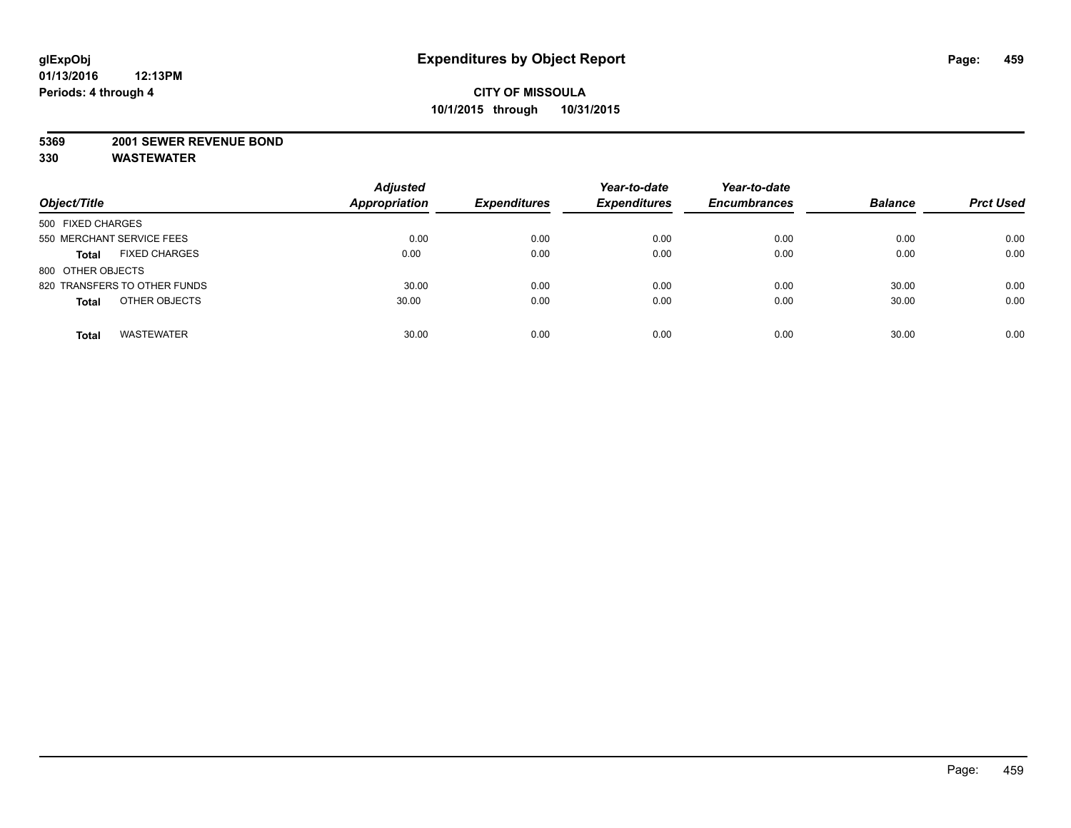#### **5369 2001 SEWER REVENUE BOND**

| Object/Title                         | <b>Adjusted</b><br><b>Appropriation</b> | <b>Expenditures</b> | Year-to-date<br><b>Expenditures</b> | Year-to-date<br><b>Encumbrances</b> | <b>Balance</b> | <b>Prct Used</b> |
|--------------------------------------|-----------------------------------------|---------------------|-------------------------------------|-------------------------------------|----------------|------------------|
| 500 FIXED CHARGES                    |                                         |                     |                                     |                                     |                |                  |
| 550 MERCHANT SERVICE FEES            | 0.00                                    | 0.00                | 0.00                                | 0.00                                | 0.00           | 0.00             |
| <b>FIXED CHARGES</b><br><b>Total</b> | 0.00                                    | 0.00                | 0.00                                | 0.00                                | 0.00           | 0.00             |
| 800 OTHER OBJECTS                    |                                         |                     |                                     |                                     |                |                  |
| 820 TRANSFERS TO OTHER FUNDS         | 30.00                                   | 0.00                | 0.00                                | 0.00                                | 30.00          | 0.00             |
| OTHER OBJECTS<br><b>Total</b>        | 30.00                                   | 0.00                | 0.00                                | 0.00                                | 30.00          | 0.00             |
| <b>WASTEWATER</b><br><b>Total</b>    | 30.00                                   | 0.00                | 0.00                                | 0.00                                | 30.00          | 0.00             |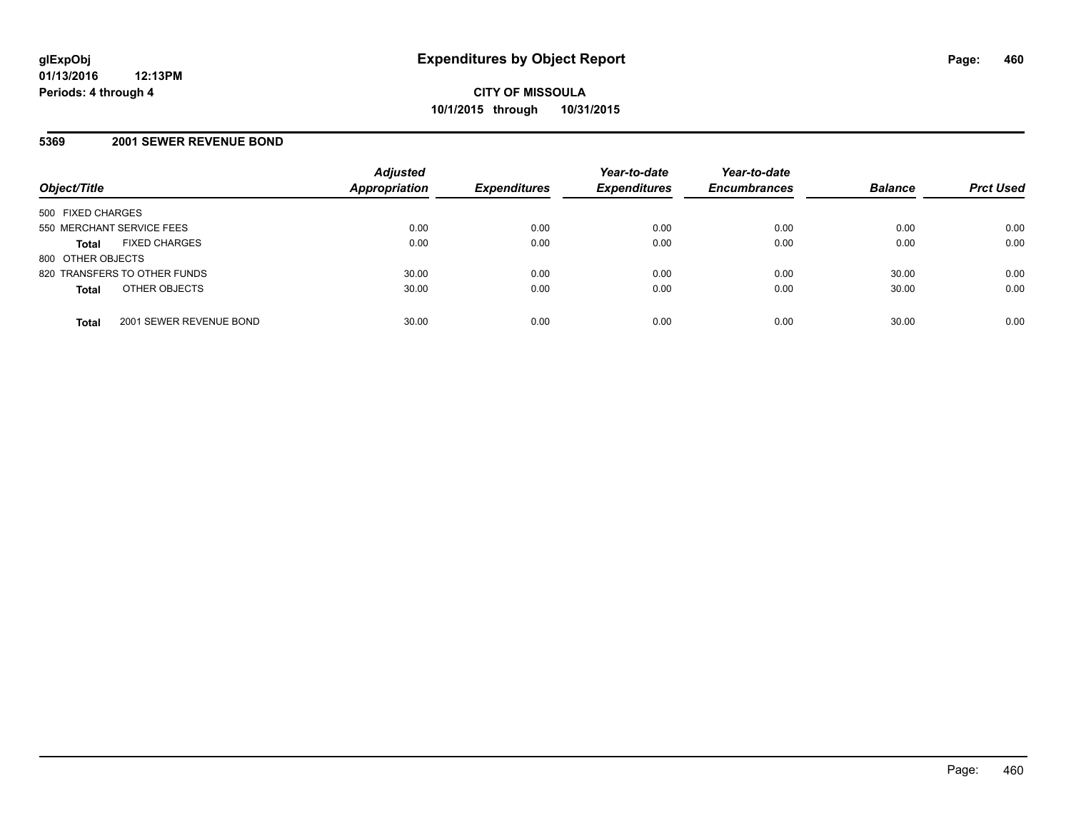#### **5369 2001 SEWER REVENUE BOND**

| Object/Title                            | <b>Adjusted</b><br>Appropriation | <b>Expenditures</b> | Year-to-date<br><b>Expenditures</b> | Year-to-date<br><b>Encumbrances</b> | <b>Balance</b> | <b>Prct Used</b> |
|-----------------------------------------|----------------------------------|---------------------|-------------------------------------|-------------------------------------|----------------|------------------|
| 500 FIXED CHARGES                       |                                  |                     |                                     |                                     |                |                  |
| 550 MERCHANT SERVICE FEES               | 0.00                             | 0.00                | 0.00                                | 0.00                                | 0.00           | 0.00             |
| <b>FIXED CHARGES</b><br><b>Total</b>    | 0.00                             | 0.00                | 0.00                                | 0.00                                | 0.00           | 0.00             |
| 800 OTHER OBJECTS                       |                                  |                     |                                     |                                     |                |                  |
| 820 TRANSFERS TO OTHER FUNDS            | 30.00                            | 0.00                | 0.00                                | 0.00                                | 30.00          | 0.00             |
| OTHER OBJECTS<br><b>Total</b>           | 30.00                            | 0.00                | 0.00                                | 0.00                                | 30.00          | 0.00             |
| 2001 SEWER REVENUE BOND<br><b>Total</b> | 30.00                            | 0.00                | 0.00                                | 0.00                                | 30.00          | 0.00             |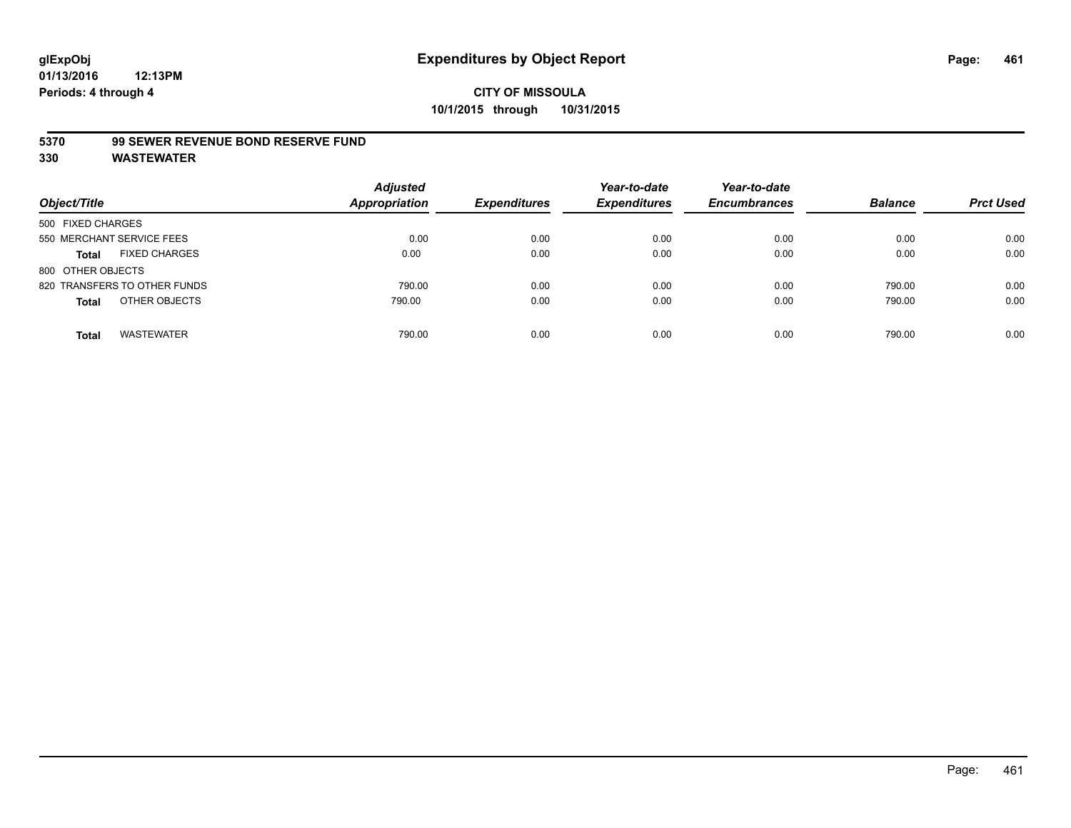#### **5370 99 SEWER REVENUE BOND RESERVE FUND**

| Object/Title                         | <b>Adjusted</b><br><b>Appropriation</b> | <b>Expenditures</b> | Year-to-date<br><b>Expenditures</b> | Year-to-date<br><b>Encumbrances</b> | <b>Balance</b> | <b>Prct Used</b> |
|--------------------------------------|-----------------------------------------|---------------------|-------------------------------------|-------------------------------------|----------------|------------------|
| 500 FIXED CHARGES                    |                                         |                     |                                     |                                     |                |                  |
| 550 MERCHANT SERVICE FEES            | 0.00                                    | 0.00                | 0.00                                | 0.00                                | 0.00           | 0.00             |
| <b>FIXED CHARGES</b><br><b>Total</b> | 0.00                                    | 0.00                | 0.00                                | 0.00                                | 0.00           | 0.00             |
| 800 OTHER OBJECTS                    |                                         |                     |                                     |                                     |                |                  |
| 820 TRANSFERS TO OTHER FUNDS         | 790.00                                  | 0.00                | 0.00                                | 0.00                                | 790.00         | 0.00             |
| OTHER OBJECTS<br><b>Total</b>        | 790.00                                  | 0.00                | 0.00                                | 0.00                                | 790.00         | 0.00             |
| <b>WASTEWATER</b><br>Total           | 790.00                                  | 0.00                | 0.00                                | 0.00                                | 790.00         | 0.00             |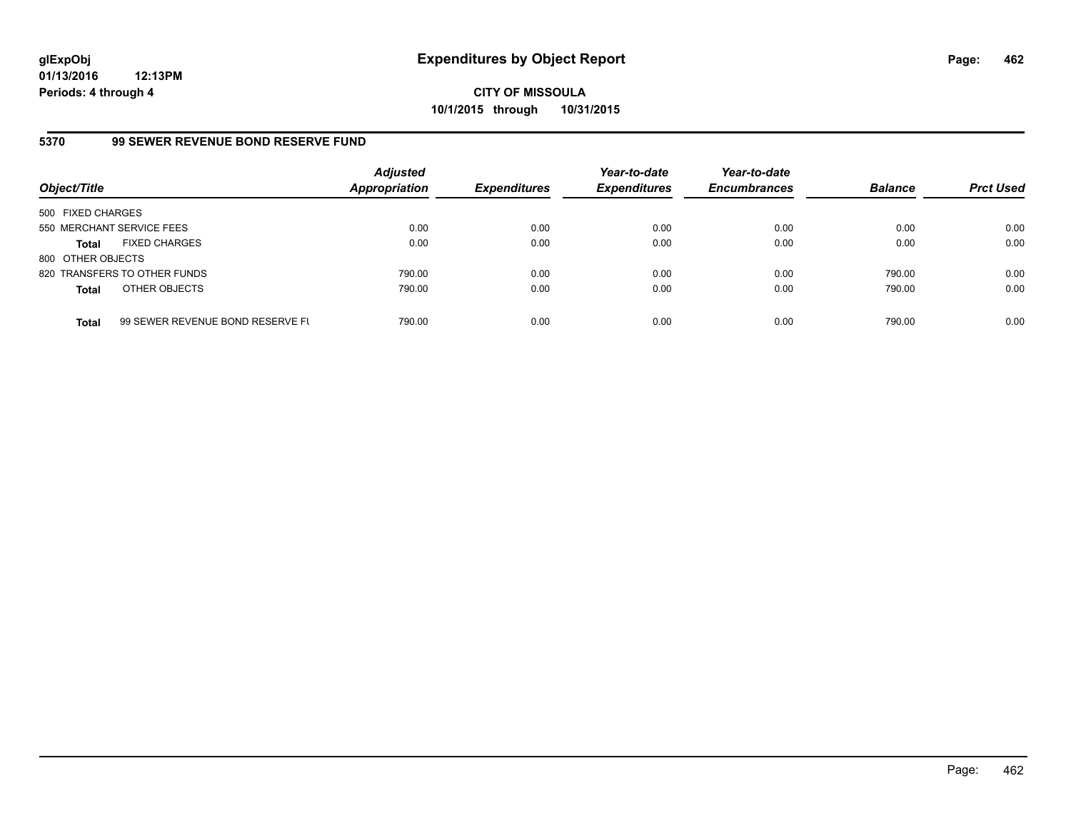**CITY OF MISSOULA 10/1/2015 through 10/31/2015**

### **5370 99 SEWER REVENUE BOND RESERVE FUND**

| Object/Title              |                                  | <b>Adjusted</b><br>Appropriation | <b>Expenditures</b> | Year-to-date<br><b>Expenditures</b> | Year-to-date<br><b>Encumbrances</b> | <b>Balance</b> | <b>Prct Used</b> |
|---------------------------|----------------------------------|----------------------------------|---------------------|-------------------------------------|-------------------------------------|----------------|------------------|
| 500 FIXED CHARGES         |                                  |                                  |                     |                                     |                                     |                |                  |
| 550 MERCHANT SERVICE FEES |                                  | 0.00                             | 0.00                | 0.00                                | 0.00                                | 0.00           | 0.00             |
| <b>Total</b>              | <b>FIXED CHARGES</b>             | 0.00                             | 0.00                | 0.00                                | 0.00                                | 0.00           | 0.00             |
| 800 OTHER OBJECTS         |                                  |                                  |                     |                                     |                                     |                |                  |
|                           | 820 TRANSFERS TO OTHER FUNDS     | 790.00                           | 0.00                | 0.00                                | 0.00                                | 790.00         | 0.00             |
| <b>Total</b>              | OTHER OBJECTS                    | 790.00                           | 0.00                | 0.00                                | 0.00                                | 790.00         | 0.00             |
| <b>Total</b>              | 99 SEWER REVENUE BOND RESERVE FL | 790.00                           | 0.00                | 0.00                                | 0.00                                | 790.00         | 0.00             |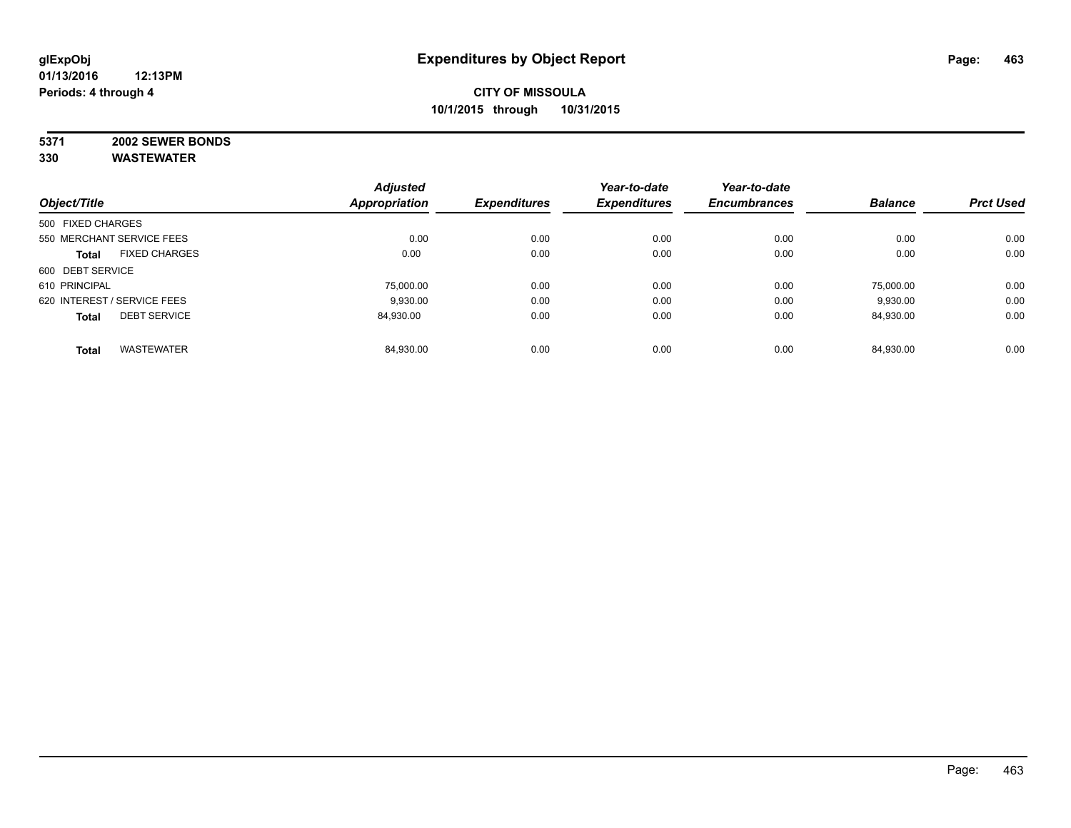# **5371 2002 SEWER BONDS**

|                   |                             | <b>Adjusted</b>      |                     | Year-to-date        | Year-to-date        |                |                  |
|-------------------|-----------------------------|----------------------|---------------------|---------------------|---------------------|----------------|------------------|
| Object/Title      |                             | <b>Appropriation</b> | <b>Expenditures</b> | <b>Expenditures</b> | <b>Encumbrances</b> | <b>Balance</b> | <b>Prct Used</b> |
| 500 FIXED CHARGES |                             |                      |                     |                     |                     |                |                  |
|                   | 550 MERCHANT SERVICE FEES   | 0.00                 | 0.00                | 0.00                | 0.00                | 0.00           | 0.00             |
| <b>Total</b>      | <b>FIXED CHARGES</b>        | 0.00                 | 0.00                | 0.00                | 0.00                | 0.00           | 0.00             |
| 600 DEBT SERVICE  |                             |                      |                     |                     |                     |                |                  |
| 610 PRINCIPAL     |                             | 75,000.00            | 0.00                | 0.00                | 0.00                | 75.000.00      | 0.00             |
|                   | 620 INTEREST / SERVICE FEES | 9,930.00             | 0.00                | 0.00                | 0.00                | 9,930.00       | 0.00             |
| <b>Total</b>      | <b>DEBT SERVICE</b>         | 84.930.00            | 0.00                | 0.00                | 0.00                | 84,930.00      | 0.00             |
| <b>Total</b>      | <b>WASTEWATER</b>           | 84.930.00            | 0.00                | 0.00                | 0.00                | 84.930.00      | 0.00             |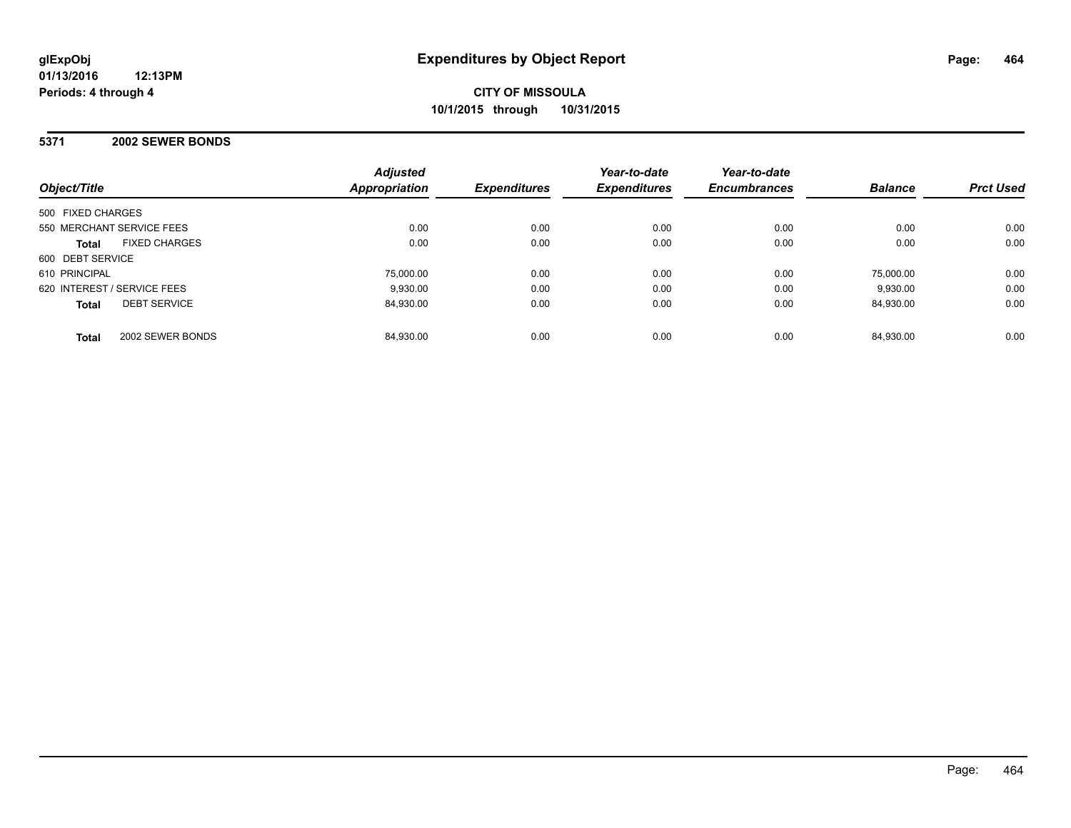#### **5371 2002 SEWER BONDS**

| Object/Title                         | <b>Adjusted</b><br>Appropriation | <b>Expenditures</b> | Year-to-date<br><b>Expenditures</b> | Year-to-date<br><b>Encumbrances</b> | <b>Balance</b> | <b>Prct Used</b> |
|--------------------------------------|----------------------------------|---------------------|-------------------------------------|-------------------------------------|----------------|------------------|
| 500 FIXED CHARGES                    |                                  |                     |                                     |                                     |                |                  |
| 550 MERCHANT SERVICE FEES            | 0.00                             | 0.00                | 0.00                                | 0.00                                | 0.00           | 0.00             |
| <b>FIXED CHARGES</b><br><b>Total</b> | 0.00                             | 0.00                | 0.00                                | 0.00                                | 0.00           | 0.00             |
| 600 DEBT SERVICE                     |                                  |                     |                                     |                                     |                |                  |
| 610 PRINCIPAL                        | 75.000.00                        | 0.00                | 0.00                                | 0.00                                | 75.000.00      | 0.00             |
| 620 INTEREST / SERVICE FEES          | 9.930.00                         | 0.00                | 0.00                                | 0.00                                | 9.930.00       | 0.00             |
| <b>DEBT SERVICE</b><br><b>Total</b>  | 84,930.00                        | 0.00                | 0.00                                | 0.00                                | 84.930.00      | 0.00             |
| 2002 SEWER BONDS<br><b>Total</b>     | 84,930.00                        | 0.00                | 0.00                                | 0.00                                | 84.930.00      | 0.00             |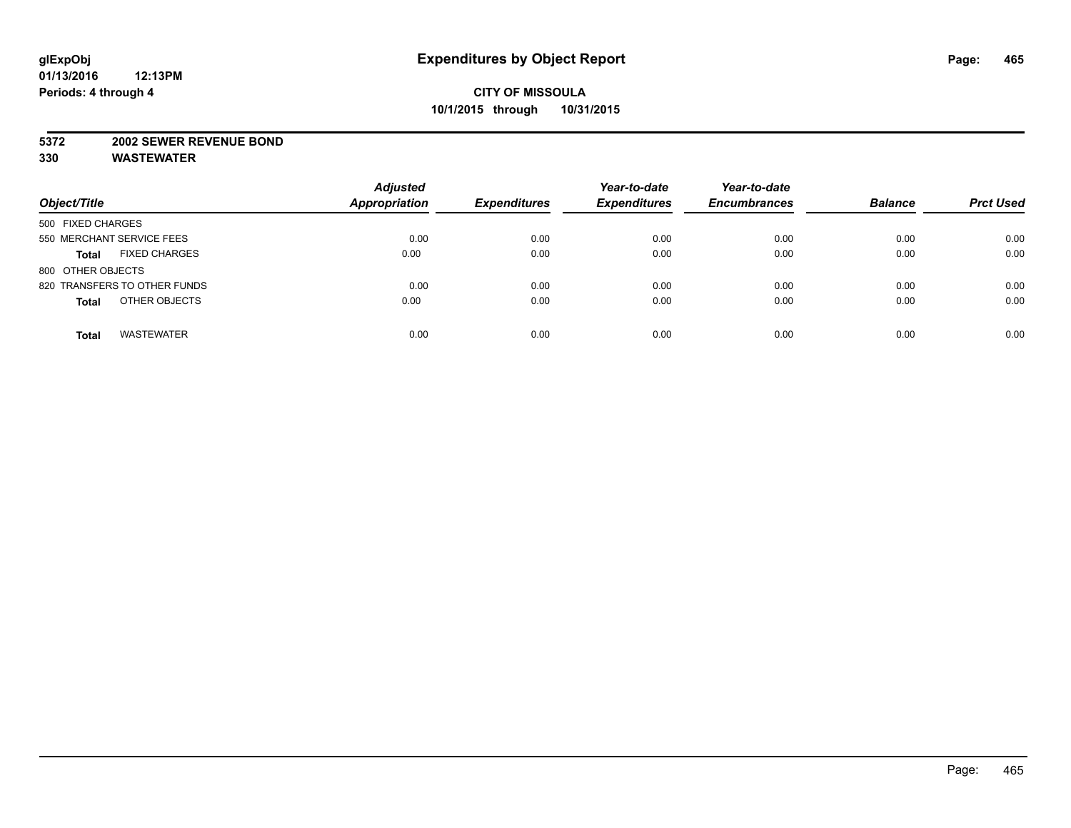#### **5372 2002 SEWER REVENUE BOND**

| Object/Title                         | <b>Adjusted</b><br><b>Appropriation</b> | <b>Expenditures</b> | Year-to-date<br><b>Expenditures</b> | Year-to-date<br><b>Encumbrances</b> | <b>Balance</b> | <b>Prct Used</b> |
|--------------------------------------|-----------------------------------------|---------------------|-------------------------------------|-------------------------------------|----------------|------------------|
| 500 FIXED CHARGES                    |                                         |                     |                                     |                                     |                |                  |
| 550 MERCHANT SERVICE FEES            | 0.00                                    | 0.00                | 0.00                                | 0.00                                | 0.00           | 0.00             |
| <b>FIXED CHARGES</b><br><b>Total</b> | 0.00                                    | 0.00                | 0.00                                | 0.00                                | 0.00           | 0.00             |
| 800 OTHER OBJECTS                    |                                         |                     |                                     |                                     |                |                  |
| 820 TRANSFERS TO OTHER FUNDS         | 0.00                                    | 0.00                | 0.00                                | 0.00                                | 0.00           | 0.00             |
| OTHER OBJECTS<br><b>Total</b>        | 0.00                                    | 0.00                | 0.00                                | 0.00                                | 0.00           | 0.00             |
| <b>WASTEWATER</b><br><b>Total</b>    | 0.00                                    | 0.00                | 0.00                                | 0.00                                | 0.00           | 0.00             |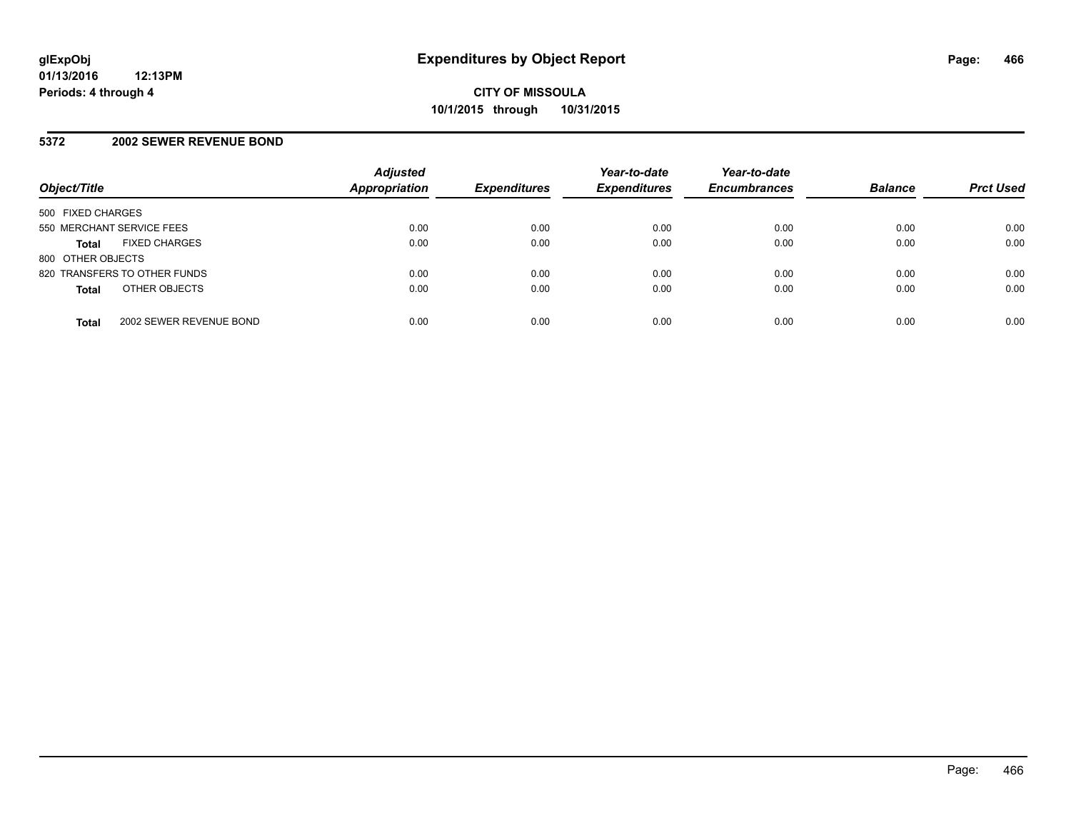#### **5372 2002 SEWER REVENUE BOND**

| Object/Title              |                              | <b>Adjusted</b><br><b>Appropriation</b> | <b>Expenditures</b> | Year-to-date<br><b>Expenditures</b> | Year-to-date<br><b>Encumbrances</b> | <b>Balance</b> | <b>Prct Used</b> |
|---------------------------|------------------------------|-----------------------------------------|---------------------|-------------------------------------|-------------------------------------|----------------|------------------|
| 500 FIXED CHARGES         |                              |                                         |                     |                                     |                                     |                |                  |
| 550 MERCHANT SERVICE FEES |                              | 0.00                                    | 0.00                | 0.00                                | 0.00                                | 0.00           | 0.00             |
| <b>Total</b>              | <b>FIXED CHARGES</b>         | 0.00                                    | 0.00                | 0.00                                | 0.00                                | 0.00           | 0.00             |
| 800 OTHER OBJECTS         |                              |                                         |                     |                                     |                                     |                |                  |
|                           | 820 TRANSFERS TO OTHER FUNDS | 0.00                                    | 0.00                | 0.00                                | 0.00                                | 0.00           | 0.00             |
| <b>Total</b>              | OTHER OBJECTS                | 0.00                                    | 0.00                | 0.00                                | 0.00                                | 0.00           | 0.00             |
| <b>Total</b>              | 2002 SEWER REVENUE BOND      | 0.00                                    | 0.00                | 0.00                                | 0.00                                | 0.00           | 0.00             |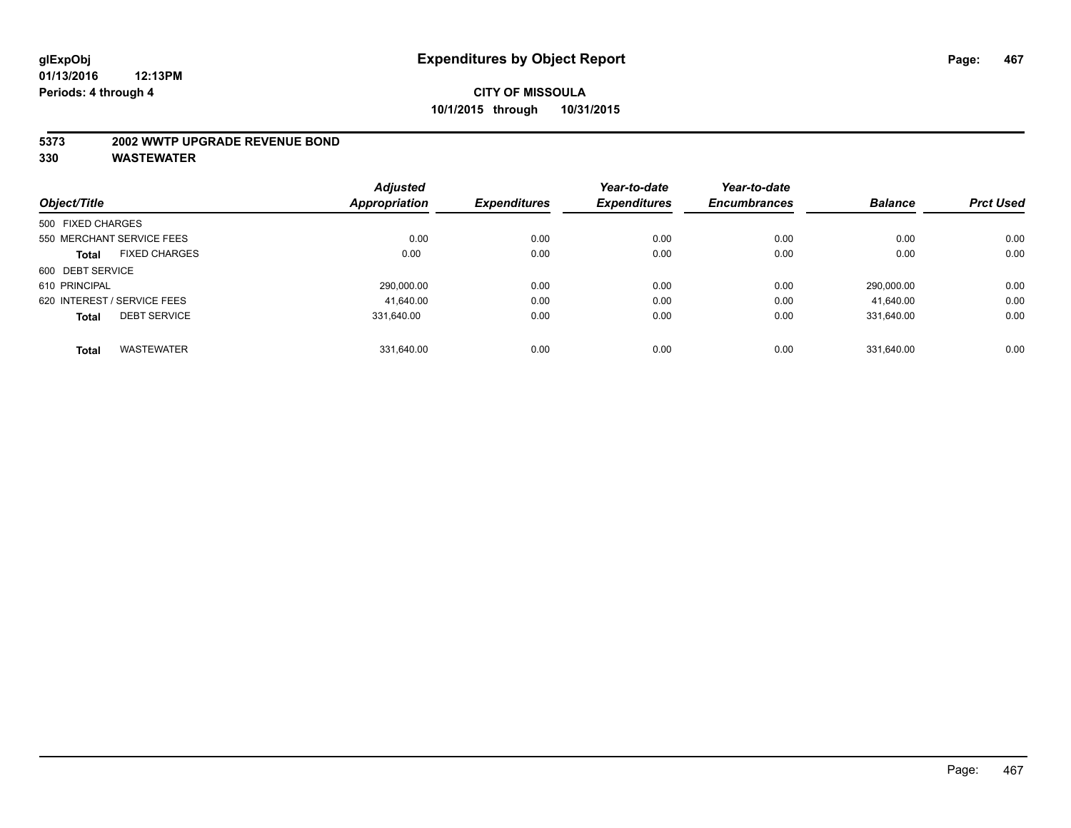#### **5373 2002 WWTP UPGRADE REVENUE BOND**

|                   |                             | <b>Adjusted</b> |                     | Year-to-date        | Year-to-date        |                |                  |
|-------------------|-----------------------------|-----------------|---------------------|---------------------|---------------------|----------------|------------------|
| Object/Title      |                             | Appropriation   | <b>Expenditures</b> | <b>Expenditures</b> | <b>Encumbrances</b> | <b>Balance</b> | <b>Prct Used</b> |
| 500 FIXED CHARGES |                             |                 |                     |                     |                     |                |                  |
|                   | 550 MERCHANT SERVICE FEES   | 0.00            | 0.00                | 0.00                | 0.00                | 0.00           | 0.00             |
| <b>Total</b>      | <b>FIXED CHARGES</b>        | 0.00            | 0.00                | 0.00                | 0.00                | 0.00           | 0.00             |
| 600 DEBT SERVICE  |                             |                 |                     |                     |                     |                |                  |
| 610 PRINCIPAL     |                             | 290,000.00      | 0.00                | 0.00                | 0.00                | 290.000.00     | 0.00             |
|                   | 620 INTEREST / SERVICE FEES | 41.640.00       | 0.00                | 0.00                | 0.00                | 41,640.00      | 0.00             |
| <b>Total</b>      | <b>DEBT SERVICE</b>         | 331.640.00      | 0.00                | 0.00                | 0.00                | 331.640.00     | 0.00             |
| <b>Total</b>      | <b>WASTEWATER</b>           | 331.640.00      | 0.00                | 0.00                | 0.00                | 331.640.00     | 0.00             |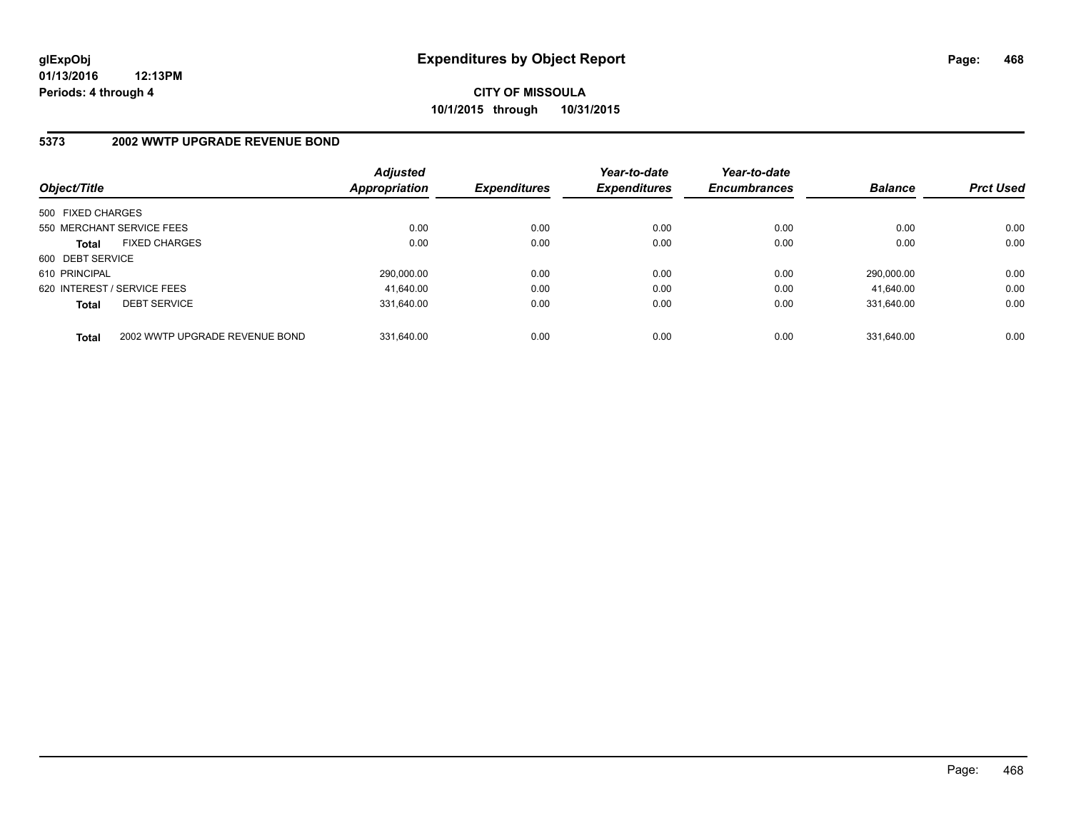# **CITY OF MISSOULA 10/1/2015 through 10/31/2015**

# **5373 2002 WWTP UPGRADE REVENUE BOND**

| Object/Title      |                                | <b>Adjusted</b><br>Appropriation | <b>Expenditures</b> | Year-to-date<br><b>Expenditures</b> | Year-to-date<br><b>Encumbrances</b> | <b>Balance</b> | <b>Prct Used</b> |
|-------------------|--------------------------------|----------------------------------|---------------------|-------------------------------------|-------------------------------------|----------------|------------------|
| 500 FIXED CHARGES |                                |                                  |                     |                                     |                                     |                |                  |
|                   | 550 MERCHANT SERVICE FEES      | 0.00                             | 0.00                | 0.00                                | 0.00                                | 0.00           | 0.00             |
| <b>Total</b>      | <b>FIXED CHARGES</b>           | 0.00                             | 0.00                | 0.00                                | 0.00                                | 0.00           | 0.00             |
| 600 DEBT SERVICE  |                                |                                  |                     |                                     |                                     |                |                  |
| 610 PRINCIPAL     |                                | 290.000.00                       | 0.00                | 0.00                                | 0.00                                | 290.000.00     | 0.00             |
|                   | 620 INTEREST / SERVICE FEES    | 41.640.00                        | 0.00                | 0.00                                | 0.00                                | 41.640.00      | 0.00             |
| <b>Total</b>      | <b>DEBT SERVICE</b>            | 331.640.00                       | 0.00                | 0.00                                | 0.00                                | 331.640.00     | 0.00             |
| <b>Total</b>      | 2002 WWTP UPGRADE REVENUE BOND | 331.640.00                       | 0.00                | 0.00                                | 0.00                                | 331.640.00     | 0.00             |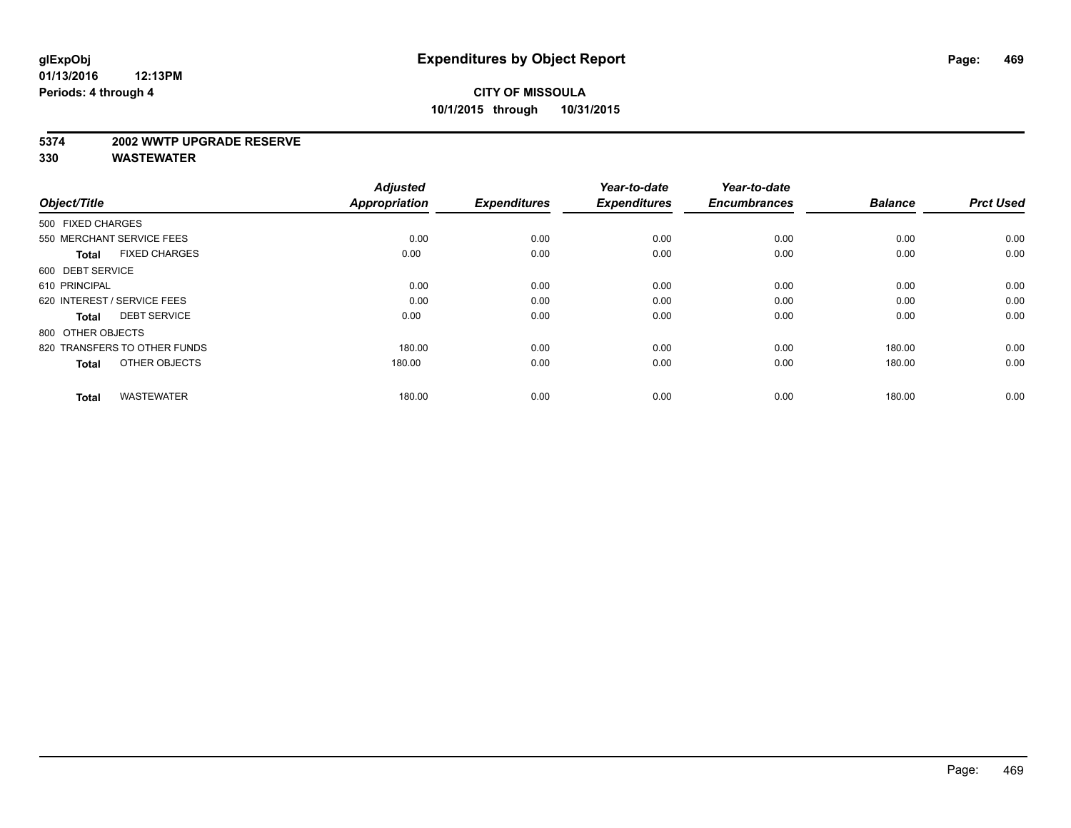#### **5374 2002 WWTP UPGRADE RESERVE**

| Object/Title                         | <b>Adjusted</b><br><b>Appropriation</b> | <b>Expenditures</b> | Year-to-date<br><b>Expenditures</b> | Year-to-date<br><b>Encumbrances</b> | <b>Balance</b> | <b>Prct Used</b> |
|--------------------------------------|-----------------------------------------|---------------------|-------------------------------------|-------------------------------------|----------------|------------------|
| 500 FIXED CHARGES                    |                                         |                     |                                     |                                     |                |                  |
| 550 MERCHANT SERVICE FEES            | 0.00                                    | 0.00                | 0.00                                | 0.00                                | 0.00           | 0.00             |
| <b>FIXED CHARGES</b><br><b>Total</b> | 0.00                                    | 0.00                | 0.00                                | 0.00                                | 0.00           | 0.00             |
| 600 DEBT SERVICE                     |                                         |                     |                                     |                                     |                |                  |
| 610 PRINCIPAL                        | 0.00                                    | 0.00                | 0.00                                | 0.00                                | 0.00           | 0.00             |
| 620 INTEREST / SERVICE FEES          | 0.00                                    | 0.00                | 0.00                                | 0.00                                | 0.00           | 0.00             |
| <b>DEBT SERVICE</b><br><b>Total</b>  | 0.00                                    | 0.00                | 0.00                                | 0.00                                | 0.00           | 0.00             |
| 800 OTHER OBJECTS                    |                                         |                     |                                     |                                     |                |                  |
| 820 TRANSFERS TO OTHER FUNDS         | 180.00                                  | 0.00                | 0.00                                | 0.00                                | 180.00         | 0.00             |
| OTHER OBJECTS<br><b>Total</b>        | 180.00                                  | 0.00                | 0.00                                | 0.00                                | 180.00         | 0.00             |
|                                      |                                         |                     |                                     |                                     |                |                  |
| <b>WASTEWATER</b><br><b>Total</b>    | 180.00                                  | 0.00                | 0.00                                | 0.00                                | 180.00         | 0.00             |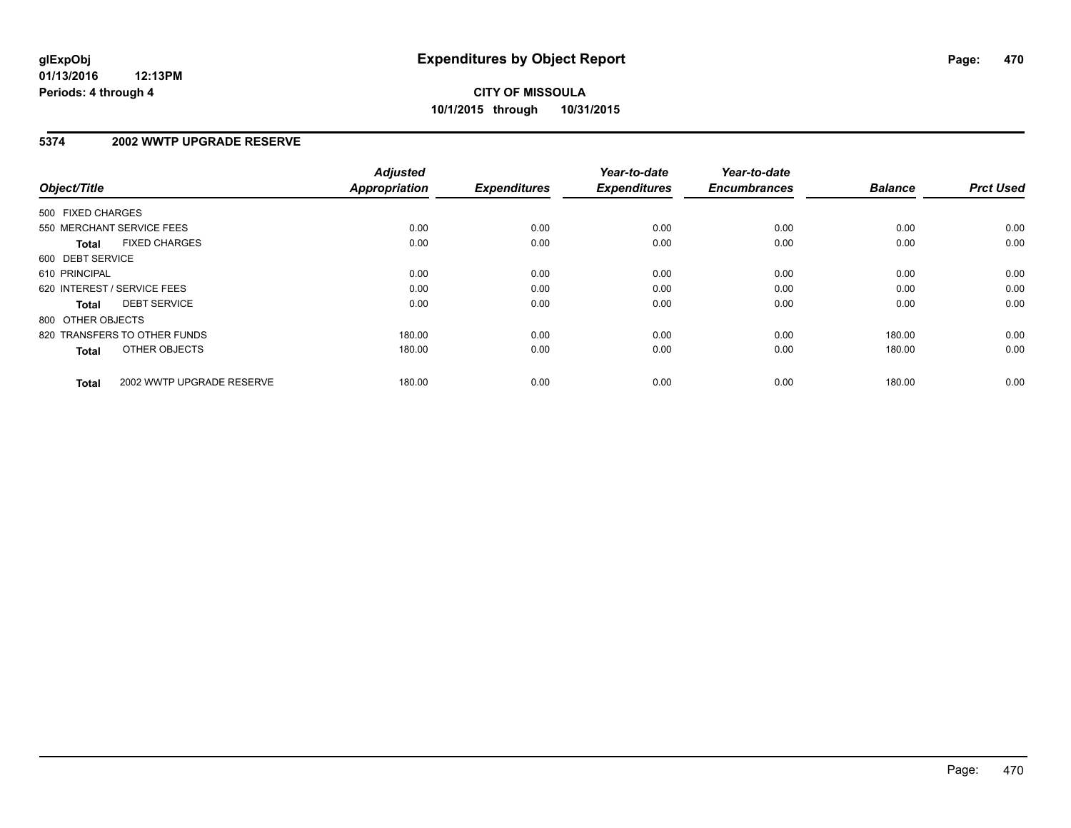### **5374 2002 WWTP UPGRADE RESERVE**

| Object/Title      |                              | <b>Adjusted</b><br><b>Appropriation</b> | <b>Expenditures</b> | Year-to-date<br><b>Expenditures</b> | Year-to-date<br><b>Encumbrances</b> | <b>Balance</b> | <b>Prct Used</b> |
|-------------------|------------------------------|-----------------------------------------|---------------------|-------------------------------------|-------------------------------------|----------------|------------------|
| 500 FIXED CHARGES |                              |                                         |                     |                                     |                                     |                |                  |
|                   | 550 MERCHANT SERVICE FEES    | 0.00                                    | 0.00                | 0.00                                | 0.00                                | 0.00           | 0.00             |
| <b>Total</b>      | <b>FIXED CHARGES</b>         | 0.00                                    | 0.00                | 0.00                                | 0.00                                | 0.00           | 0.00             |
| 600 DEBT SERVICE  |                              |                                         |                     |                                     |                                     |                |                  |
| 610 PRINCIPAL     |                              | 0.00                                    | 0.00                | 0.00                                | 0.00                                | 0.00           | 0.00             |
|                   | 620 INTEREST / SERVICE FEES  | 0.00                                    | 0.00                | 0.00                                | 0.00                                | 0.00           | 0.00             |
| Total             | <b>DEBT SERVICE</b>          | 0.00                                    | 0.00                | 0.00                                | 0.00                                | 0.00           | 0.00             |
| 800 OTHER OBJECTS |                              |                                         |                     |                                     |                                     |                |                  |
|                   | 820 TRANSFERS TO OTHER FUNDS | 180.00                                  | 0.00                | 0.00                                | 0.00                                | 180.00         | 0.00             |
| <b>Total</b>      | OTHER OBJECTS                | 180.00                                  | 0.00                | 0.00                                | 0.00                                | 180.00         | 0.00             |
| <b>Total</b>      | 2002 WWTP UPGRADE RESERVE    | 180.00                                  | 0.00                | 0.00                                | 0.00                                | 180.00         | 0.00             |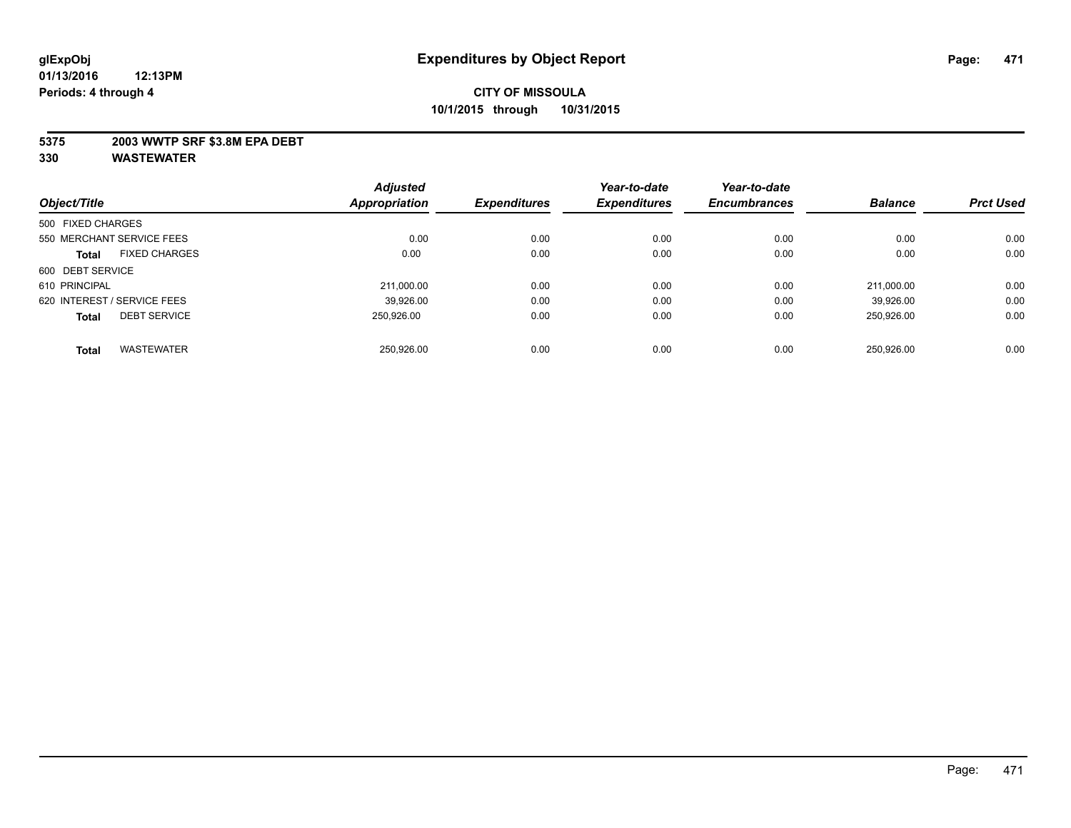#### **5375 2003 WWTP SRF \$3.8M EPA DEBT**

|                                      | <b>Adjusted</b> |                     | Year-to-date        | Year-to-date        |                |                  |
|--------------------------------------|-----------------|---------------------|---------------------|---------------------|----------------|------------------|
| Object/Title                         | Appropriation   | <b>Expenditures</b> | <b>Expenditures</b> | <b>Encumbrances</b> | <b>Balance</b> | <b>Prct Used</b> |
| 500 FIXED CHARGES                    |                 |                     |                     |                     |                |                  |
| 550 MERCHANT SERVICE FEES            | 0.00            | 0.00                | 0.00                | 0.00                | 0.00           | 0.00             |
| <b>FIXED CHARGES</b><br><b>Total</b> | 0.00            | 0.00                | 0.00                | 0.00                | 0.00           | 0.00             |
| 600 DEBT SERVICE                     |                 |                     |                     |                     |                |                  |
| 610 PRINCIPAL                        | 211.000.00      | 0.00                | 0.00                | 0.00                | 211.000.00     | 0.00             |
| 620 INTEREST / SERVICE FEES          | 39.926.00       | 0.00                | 0.00                | 0.00                | 39.926.00      | 0.00             |
| <b>DEBT SERVICE</b><br><b>Total</b>  | 250.926.00      | 0.00                | 0.00                | 0.00                | 250.926.00     | 0.00             |
|                                      |                 |                     |                     |                     |                |                  |
| <b>WASTEWATER</b><br><b>Total</b>    | 250.926.00      | 0.00                | 0.00                | 0.00                | 250.926.00     | 0.00             |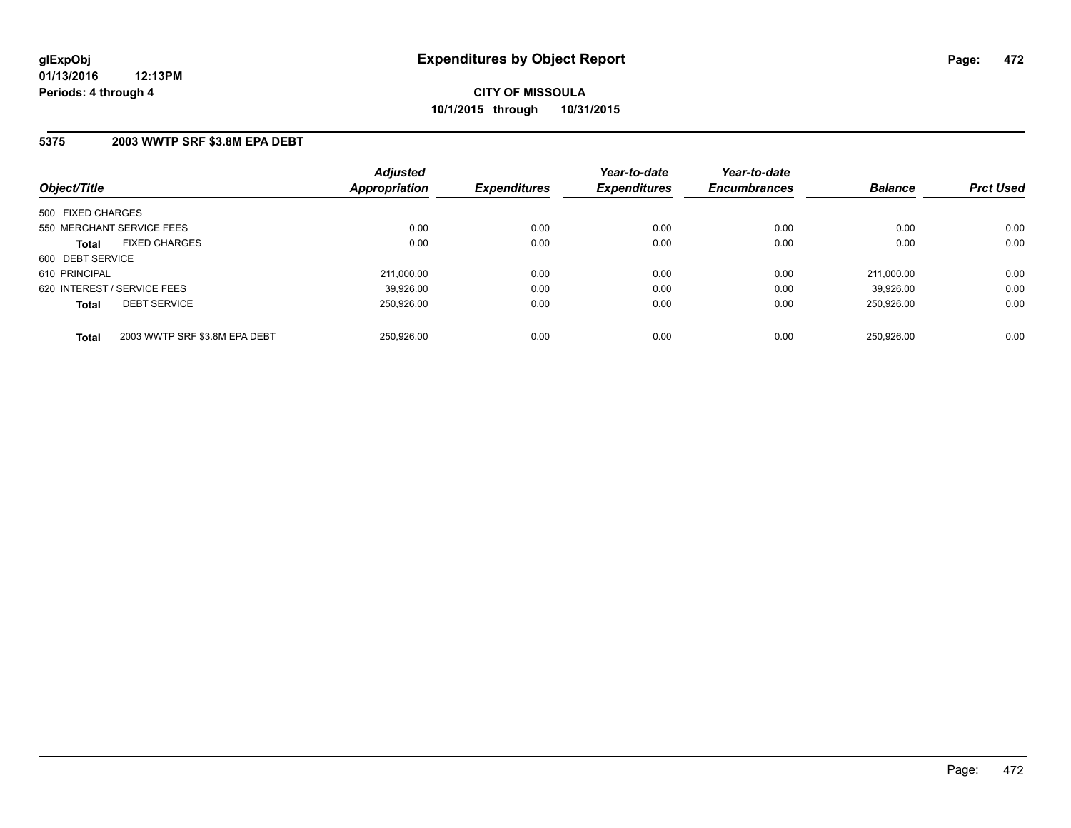#### **5375 2003 WWTP SRF \$3.8M EPA DEBT**

| Object/Title                                  | <b>Adjusted</b><br><b>Appropriation</b> | <b>Expenditures</b> | Year-to-date<br><b>Expenditures</b> | Year-to-date<br><b>Encumbrances</b> | <b>Balance</b> | <b>Prct Used</b> |
|-----------------------------------------------|-----------------------------------------|---------------------|-------------------------------------|-------------------------------------|----------------|------------------|
| 500 FIXED CHARGES                             |                                         |                     |                                     |                                     |                |                  |
| 550 MERCHANT SERVICE FEES                     | 0.00                                    | 0.00                | 0.00                                | 0.00                                | 0.00           | 0.00             |
| <b>FIXED CHARGES</b><br><b>Total</b>          | 0.00                                    | 0.00                | 0.00                                | 0.00                                | 0.00           | 0.00             |
| 600 DEBT SERVICE                              |                                         |                     |                                     |                                     |                |                  |
| 610 PRINCIPAL                                 | 211.000.00                              | 0.00                | 0.00                                | 0.00                                | 211.000.00     | 0.00             |
| 620 INTEREST / SERVICE FEES                   | 39,926.00                               | 0.00                | 0.00                                | 0.00                                | 39.926.00      | 0.00             |
| <b>DEBT SERVICE</b><br><b>Total</b>           | 250.926.00                              | 0.00                | 0.00                                | 0.00                                | 250.926.00     | 0.00             |
|                                               |                                         |                     |                                     |                                     |                |                  |
| 2003 WWTP SRF \$3.8M EPA DEBT<br><b>Total</b> | 250.926.00                              | 0.00                | 0.00                                | 0.00                                | 250.926.00     | 0.00             |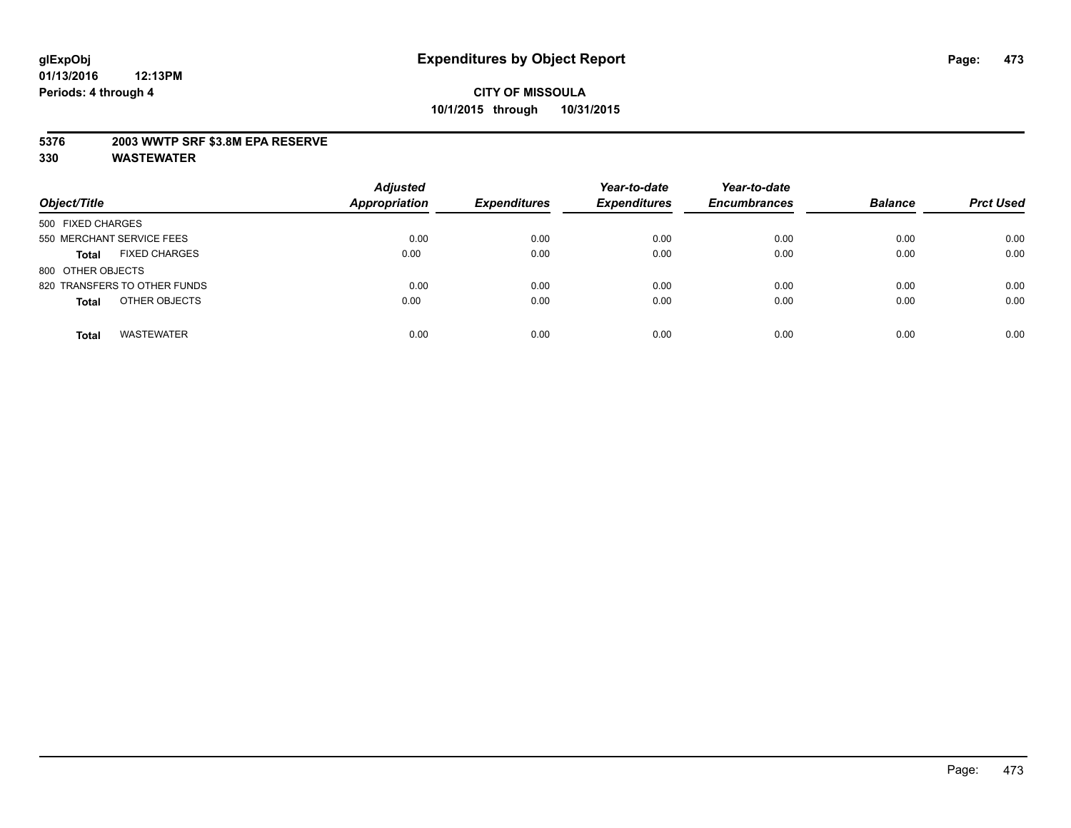#### **5376 2003 WWTP SRF \$3.8M EPA RESERVE**

| Object/Title                         | <b>Adjusted</b><br><b>Appropriation</b> | <b>Expenditures</b> | Year-to-date<br><b>Expenditures</b> | Year-to-date<br><b>Encumbrances</b> | <b>Balance</b> | <b>Prct Used</b> |
|--------------------------------------|-----------------------------------------|---------------------|-------------------------------------|-------------------------------------|----------------|------------------|
| 500 FIXED CHARGES                    |                                         |                     |                                     |                                     |                |                  |
| 550 MERCHANT SERVICE FEES            | 0.00                                    | 0.00                | 0.00                                | 0.00                                | 0.00           | 0.00             |
| <b>FIXED CHARGES</b><br><b>Total</b> | 0.00                                    | 0.00                | 0.00                                | 0.00                                | 0.00           | 0.00             |
| 800 OTHER OBJECTS                    |                                         |                     |                                     |                                     |                |                  |
| 820 TRANSFERS TO OTHER FUNDS         | 0.00                                    | 0.00                | 0.00                                | 0.00                                | 0.00           | 0.00             |
| OTHER OBJECTS<br><b>Total</b>        | 0.00                                    | 0.00                | 0.00                                | 0.00                                | 0.00           | 0.00             |
| <b>WASTEWATER</b><br><b>Total</b>    | 0.00                                    | 0.00                | 0.00                                | 0.00                                | 0.00           | 0.00             |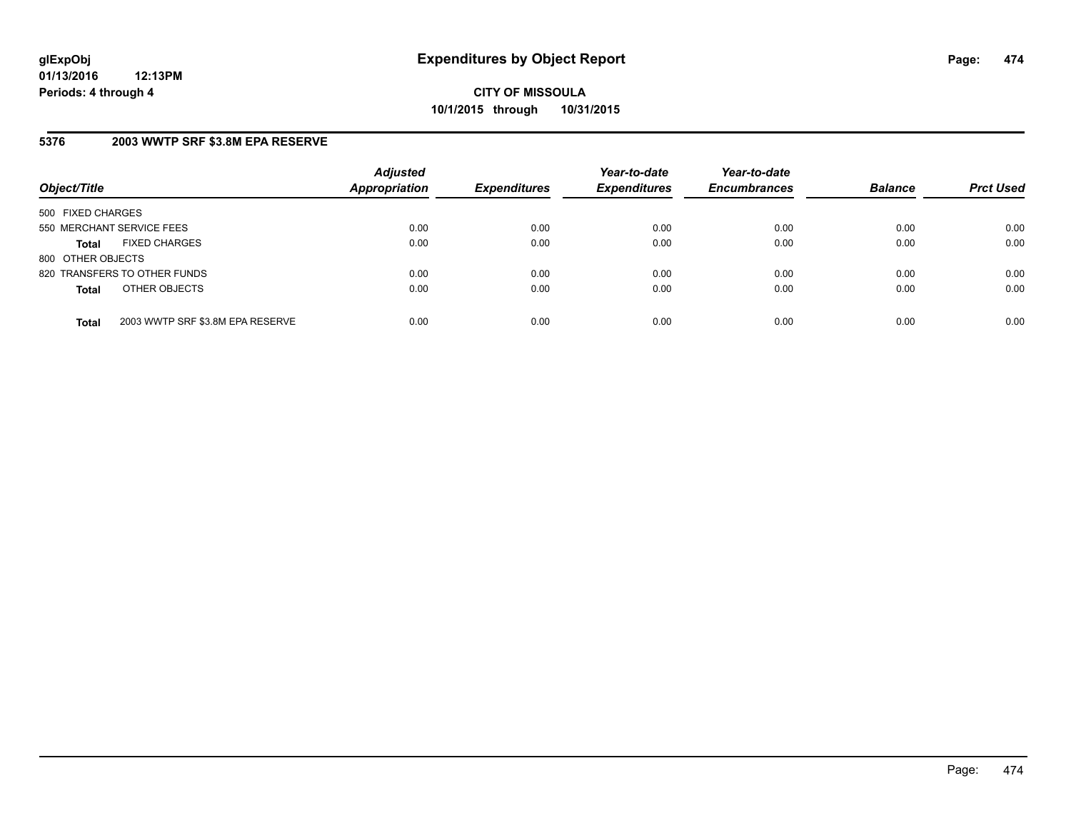### **5376 2003 WWTP SRF \$3.8M EPA RESERVE**

| Object/Title              |                                  | <b>Adjusted</b><br><b>Appropriation</b> | <b>Expenditures</b> | Year-to-date<br><b>Expenditures</b> | Year-to-date<br><b>Encumbrances</b> | <b>Balance</b> | <b>Prct Used</b> |
|---------------------------|----------------------------------|-----------------------------------------|---------------------|-------------------------------------|-------------------------------------|----------------|------------------|
| 500 FIXED CHARGES         |                                  |                                         |                     |                                     |                                     |                |                  |
| 550 MERCHANT SERVICE FEES |                                  | 0.00                                    | 0.00                | 0.00                                | 0.00                                | 0.00           | 0.00             |
| <b>Total</b>              | <b>FIXED CHARGES</b>             | 0.00                                    | 0.00                | 0.00                                | 0.00                                | 0.00           | 0.00             |
| 800 OTHER OBJECTS         |                                  |                                         |                     |                                     |                                     |                |                  |
|                           | 820 TRANSFERS TO OTHER FUNDS     | 0.00                                    | 0.00                | 0.00                                | 0.00                                | 0.00           | 0.00             |
| <b>Total</b>              | OTHER OBJECTS                    | 0.00                                    | 0.00                | 0.00                                | 0.00                                | 0.00           | 0.00             |
| <b>Total</b>              | 2003 WWTP SRF \$3.8M EPA RESERVE | 0.00                                    | 0.00                | 0.00                                | 0.00                                | 0.00           | 0.00             |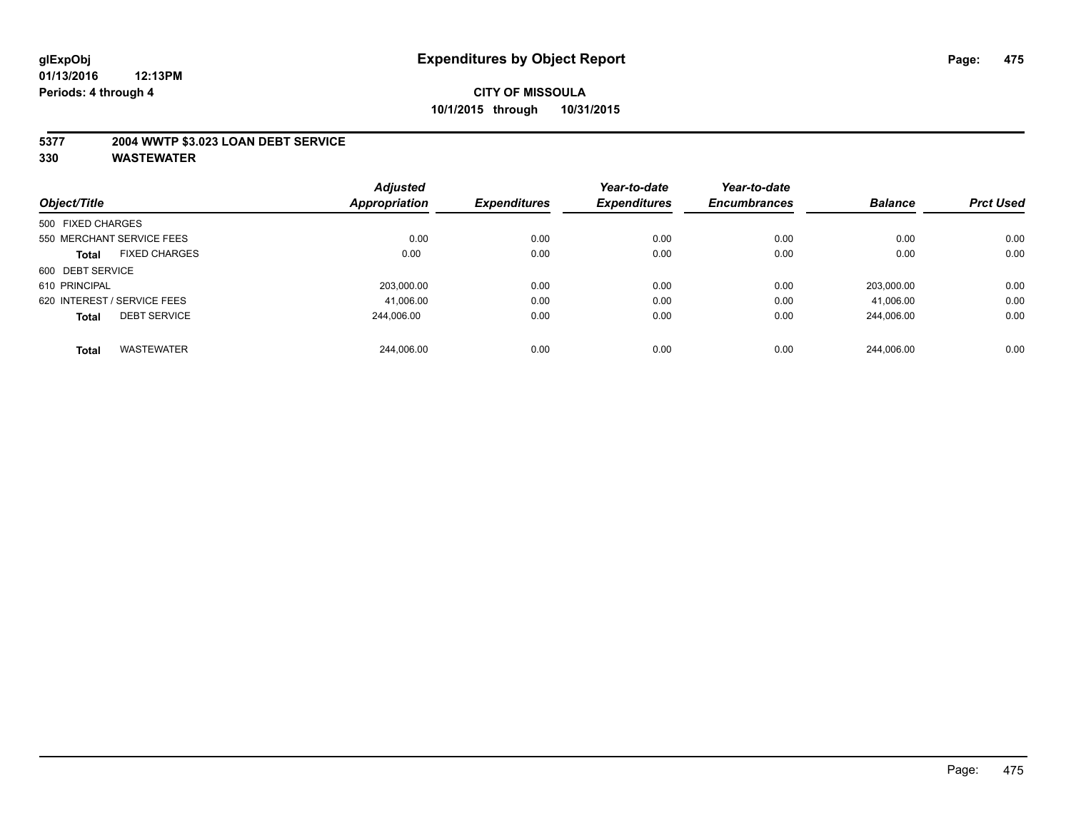#### **5377 2004 WWTP \$3.023 LOAN DEBT SERVICE**

| Object/Title      |                             | <b>Adjusted</b> | <b>Expenditures</b> | Year-to-date        | Year-to-date        | <b>Balance</b> | <b>Prct Used</b> |
|-------------------|-----------------------------|-----------------|---------------------|---------------------|---------------------|----------------|------------------|
|                   |                             | Appropriation   |                     | <b>Expenditures</b> | <b>Encumbrances</b> |                |                  |
| 500 FIXED CHARGES |                             |                 |                     |                     |                     |                |                  |
|                   | 550 MERCHANT SERVICE FEES   | 0.00            | 0.00                | 0.00                | 0.00                | 0.00           | 0.00             |
| <b>Total</b>      | <b>FIXED CHARGES</b>        | 0.00            | 0.00                | 0.00                | 0.00                | 0.00           | 0.00             |
| 600 DEBT SERVICE  |                             |                 |                     |                     |                     |                |                  |
| 610 PRINCIPAL     |                             | 203,000.00      | 0.00                | 0.00                | 0.00                | 203.000.00     | 0.00             |
|                   | 620 INTEREST / SERVICE FEES | 41,006.00       | 0.00                | 0.00                | 0.00                | 41,006.00      | 0.00             |
| <b>Total</b>      | <b>DEBT SERVICE</b>         | 244.006.00      | 0.00                | 0.00                | 0.00                | 244.006.00     | 0.00             |
| <b>Total</b>      | <b>WASTEWATER</b>           | 244.006.00      | 0.00                | 0.00                | 0.00                | 244.006.00     | 0.00             |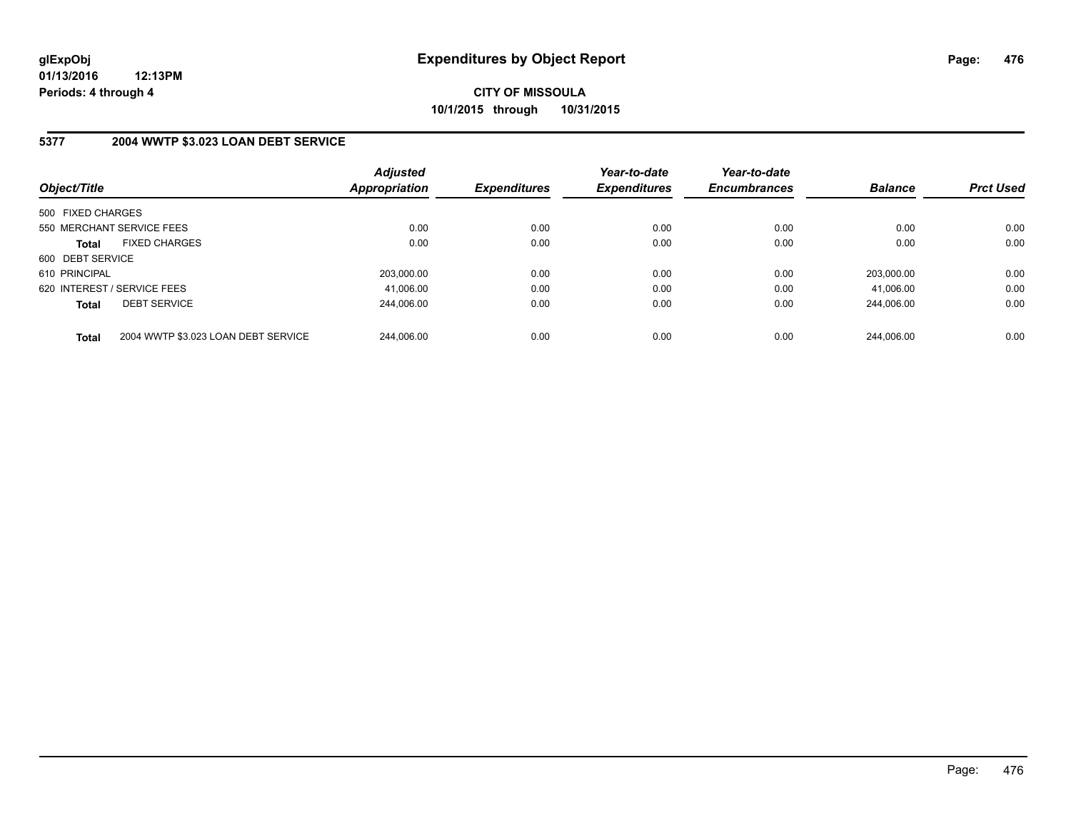### **5377 2004 WWTP \$3.023 LOAN DEBT SERVICE**

| Object/Title                                        | <b>Adjusted</b><br><b>Appropriation</b> | <b>Expenditures</b> | Year-to-date<br><b>Expenditures</b> | Year-to-date<br><b>Encumbrances</b> | <b>Balance</b> | <b>Prct Used</b> |
|-----------------------------------------------------|-----------------------------------------|---------------------|-------------------------------------|-------------------------------------|----------------|------------------|
| 500 FIXED CHARGES                                   |                                         |                     |                                     |                                     |                |                  |
| 550 MERCHANT SERVICE FEES                           | 0.00                                    | 0.00                | 0.00                                | 0.00                                | 0.00           | 0.00             |
| <b>FIXED CHARGES</b><br><b>Total</b>                | 0.00                                    | 0.00                | 0.00                                | 0.00                                | 0.00           | 0.00             |
| 600 DEBT SERVICE                                    |                                         |                     |                                     |                                     |                |                  |
| 610 PRINCIPAL                                       | 203.000.00                              | 0.00                | 0.00                                | 0.00                                | 203.000.00     | 0.00             |
| 620 INTEREST / SERVICE FEES                         | 41,006.00                               | 0.00                | 0.00                                | 0.00                                | 41.006.00      | 0.00             |
| <b>DEBT SERVICE</b><br><b>Total</b>                 | 244.006.00                              | 0.00                | 0.00                                | 0.00                                | 244.006.00     | 0.00             |
| 2004 WWTP \$3.023 LOAN DEBT SERVICE<br><b>Total</b> | 244.006.00                              | 0.00                | 0.00                                | 0.00                                | 244.006.00     | 0.00             |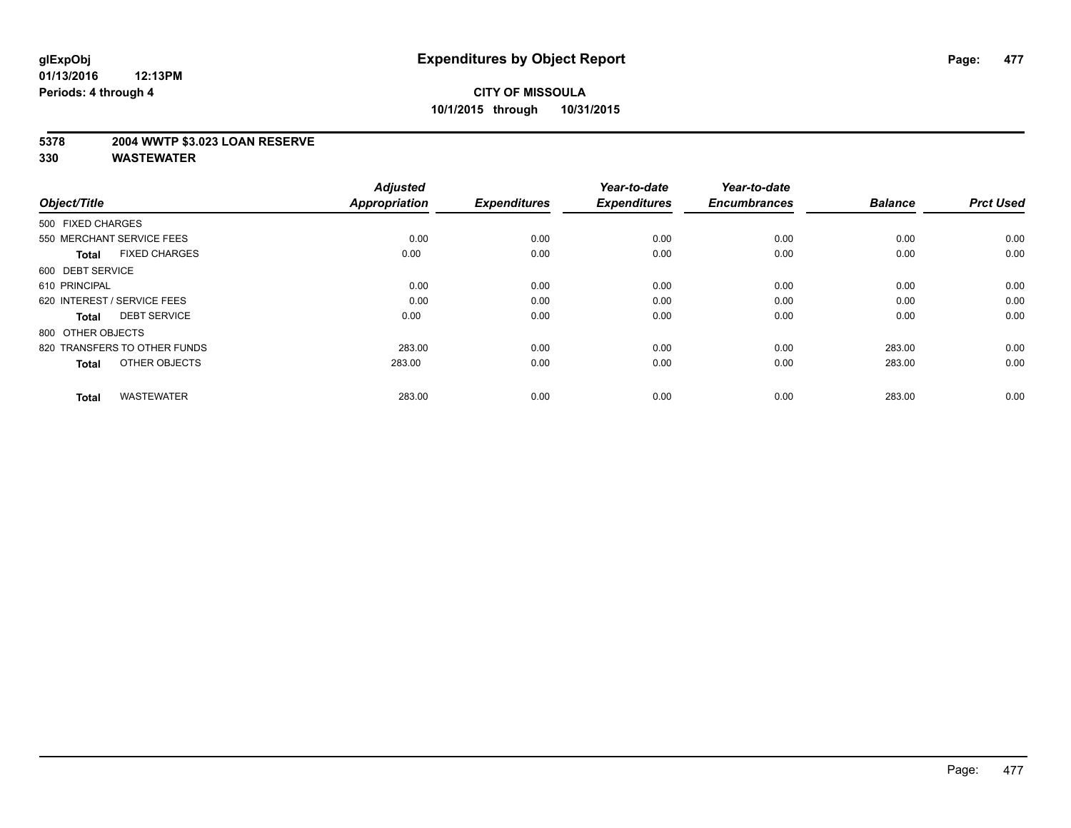#### **5378 2004 WWTP \$3.023 LOAN RESERVE**

| Object/Title                         | <b>Adjusted</b><br><b>Appropriation</b> | <b>Expenditures</b> | Year-to-date<br><b>Expenditures</b> | Year-to-date<br><b>Encumbrances</b> | <b>Balance</b> | <b>Prct Used</b> |
|--------------------------------------|-----------------------------------------|---------------------|-------------------------------------|-------------------------------------|----------------|------------------|
| 500 FIXED CHARGES                    |                                         |                     |                                     |                                     |                |                  |
| 550 MERCHANT SERVICE FEES            | 0.00                                    | 0.00                | 0.00                                | 0.00                                | 0.00           | 0.00             |
| <b>FIXED CHARGES</b><br><b>Total</b> | 0.00                                    | 0.00                | 0.00                                | 0.00                                | 0.00           | 0.00             |
| 600 DEBT SERVICE                     |                                         |                     |                                     |                                     |                |                  |
| 610 PRINCIPAL                        | 0.00                                    | 0.00                | 0.00                                | 0.00                                | 0.00           | 0.00             |
| 620 INTEREST / SERVICE FEES          | 0.00                                    | 0.00                | 0.00                                | 0.00                                | 0.00           | 0.00             |
| <b>DEBT SERVICE</b><br><b>Total</b>  | 0.00                                    | 0.00                | 0.00                                | 0.00                                | 0.00           | 0.00             |
| 800 OTHER OBJECTS                    |                                         |                     |                                     |                                     |                |                  |
| 820 TRANSFERS TO OTHER FUNDS         | 283.00                                  | 0.00                | 0.00                                | 0.00                                | 283.00         | 0.00             |
| OTHER OBJECTS<br><b>Total</b>        | 283.00                                  | 0.00                | 0.00                                | 0.00                                | 283.00         | 0.00             |
|                                      |                                         |                     |                                     |                                     |                |                  |
| <b>WASTEWATER</b><br><b>Total</b>    | 283.00                                  | 0.00                | 0.00                                | 0.00                                | 283.00         | 0.00             |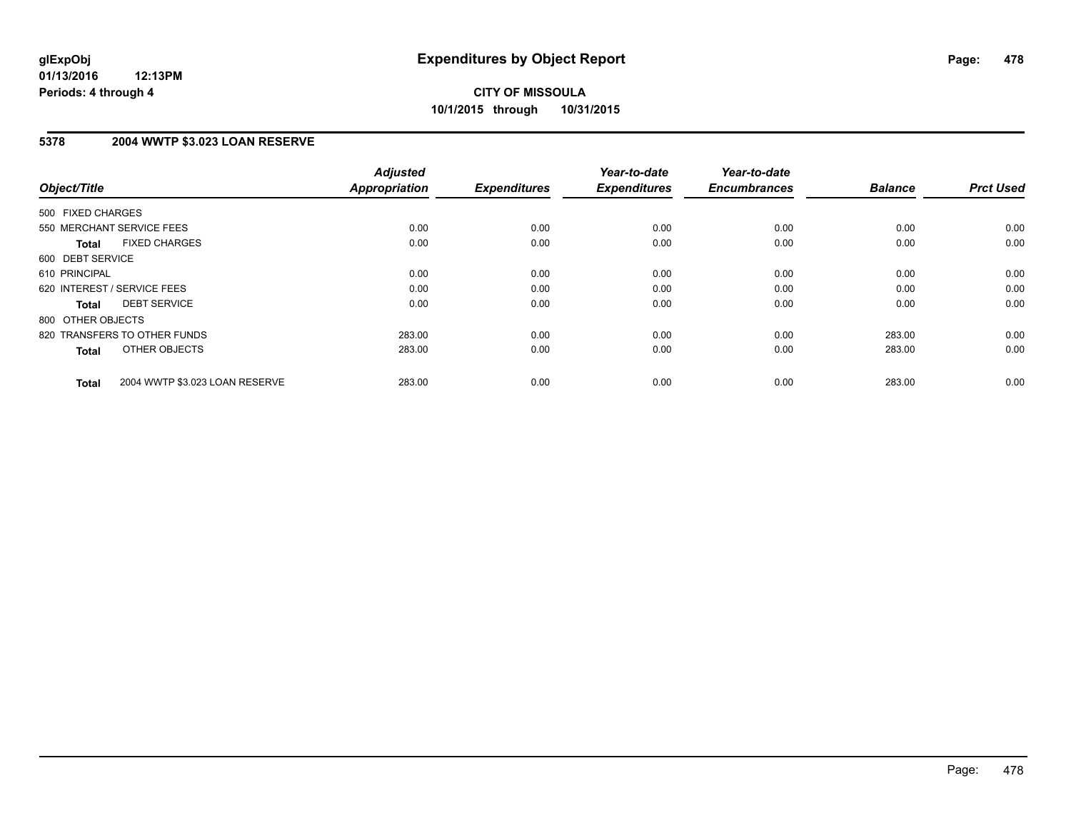### **5378 2004 WWTP \$3.023 LOAN RESERVE**

| Object/Title                 |                                | <b>Adjusted</b><br><b>Appropriation</b> | <b>Expenditures</b> | Year-to-date<br><b>Expenditures</b> | Year-to-date<br><b>Encumbrances</b> | <b>Balance</b> | <b>Prct Used</b> |
|------------------------------|--------------------------------|-----------------------------------------|---------------------|-------------------------------------|-------------------------------------|----------------|------------------|
| 500 FIXED CHARGES            |                                |                                         |                     |                                     |                                     |                |                  |
| 550 MERCHANT SERVICE FEES    |                                | 0.00                                    | 0.00                | 0.00                                | 0.00                                | 0.00           | 0.00             |
| <b>Total</b>                 | <b>FIXED CHARGES</b>           | 0.00                                    | 0.00                | 0.00                                | 0.00                                | 0.00           | 0.00             |
| 600 DEBT SERVICE             |                                |                                         |                     |                                     |                                     |                |                  |
| 610 PRINCIPAL                |                                | 0.00                                    | 0.00                | 0.00                                | 0.00                                | 0.00           | 0.00             |
| 620 INTEREST / SERVICE FEES  |                                | 0.00                                    | 0.00                | 0.00                                | 0.00                                | 0.00           | 0.00             |
| Total                        | <b>DEBT SERVICE</b>            | 0.00                                    | 0.00                | 0.00                                | 0.00                                | 0.00           | 0.00             |
| 800 OTHER OBJECTS            |                                |                                         |                     |                                     |                                     |                |                  |
| 820 TRANSFERS TO OTHER FUNDS |                                | 283.00                                  | 0.00                | 0.00                                | 0.00                                | 283.00         | 0.00             |
| <b>Total</b>                 | OTHER OBJECTS                  | 283.00                                  | 0.00                | 0.00                                | 0.00                                | 283.00         | 0.00             |
| <b>Total</b>                 | 2004 WWTP \$3.023 LOAN RESERVE | 283.00                                  | 0.00                | 0.00                                | 0.00                                | 283.00         | 0.00             |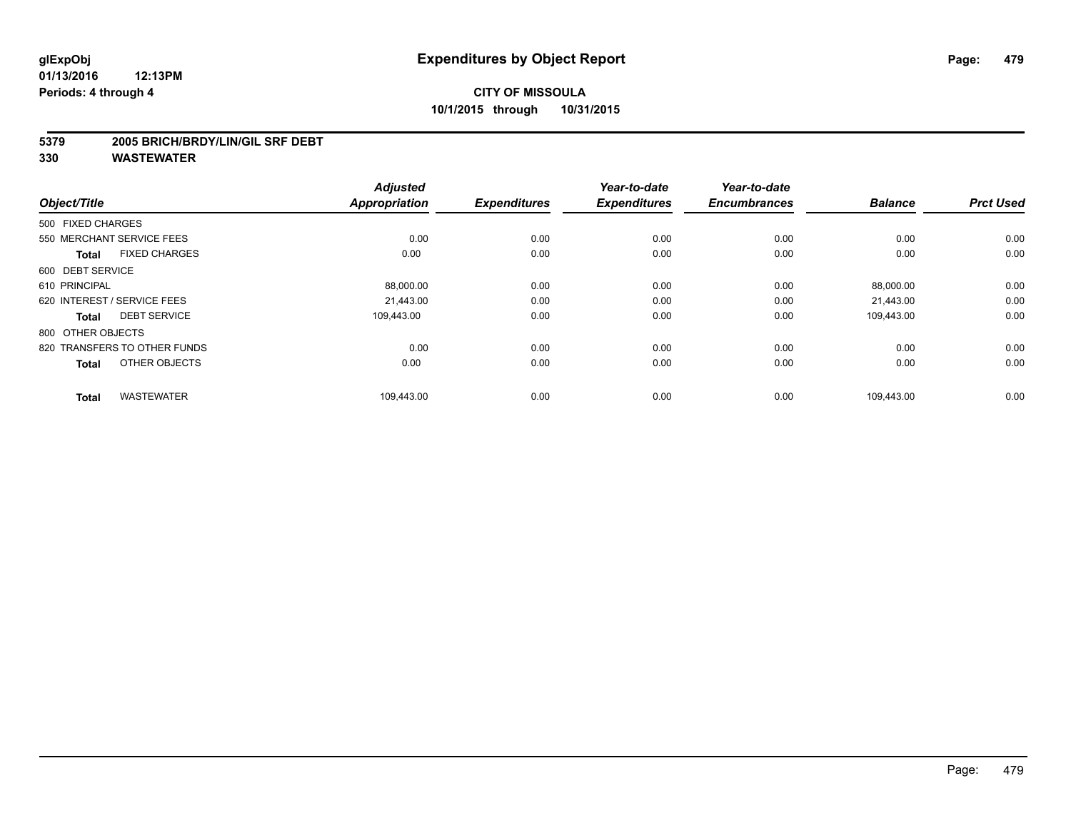#### **5379 2005 BRICH/BRDY/LIN/GIL SRF DEBT**

| Object/Title                         | <b>Adjusted</b><br><b>Appropriation</b> | <b>Expenditures</b> | Year-to-date<br><b>Expenditures</b> | Year-to-date<br><b>Encumbrances</b> | <b>Balance</b> | <b>Prct Used</b> |
|--------------------------------------|-----------------------------------------|---------------------|-------------------------------------|-------------------------------------|----------------|------------------|
| 500 FIXED CHARGES                    |                                         |                     |                                     |                                     |                |                  |
| 550 MERCHANT SERVICE FEES            | 0.00                                    | 0.00                | 0.00                                | 0.00                                | 0.00           | 0.00             |
| <b>FIXED CHARGES</b><br><b>Total</b> | 0.00                                    | 0.00                | 0.00                                | 0.00                                | 0.00           | 0.00             |
| 600 DEBT SERVICE                     |                                         |                     |                                     |                                     |                |                  |
| 610 PRINCIPAL                        | 88,000.00                               | 0.00                | 0.00                                | 0.00                                | 88,000.00      | 0.00             |
| 620 INTEREST / SERVICE FEES          | 21.443.00                               | 0.00                | 0.00                                | 0.00                                | 21,443.00      | 0.00             |
| <b>DEBT SERVICE</b><br><b>Total</b>  | 109,443.00                              | 0.00                | 0.00                                | 0.00                                | 109,443.00     | 0.00             |
| 800 OTHER OBJECTS                    |                                         |                     |                                     |                                     |                |                  |
| 820 TRANSFERS TO OTHER FUNDS         | 0.00                                    | 0.00                | 0.00                                | 0.00                                | 0.00           | 0.00             |
| OTHER OBJECTS<br><b>Total</b>        | 0.00                                    | 0.00                | 0.00                                | 0.00                                | 0.00           | 0.00             |
| <b>WASTEWATER</b><br><b>Total</b>    | 109,443.00                              | 0.00                | 0.00                                | 0.00                                | 109,443.00     | 0.00             |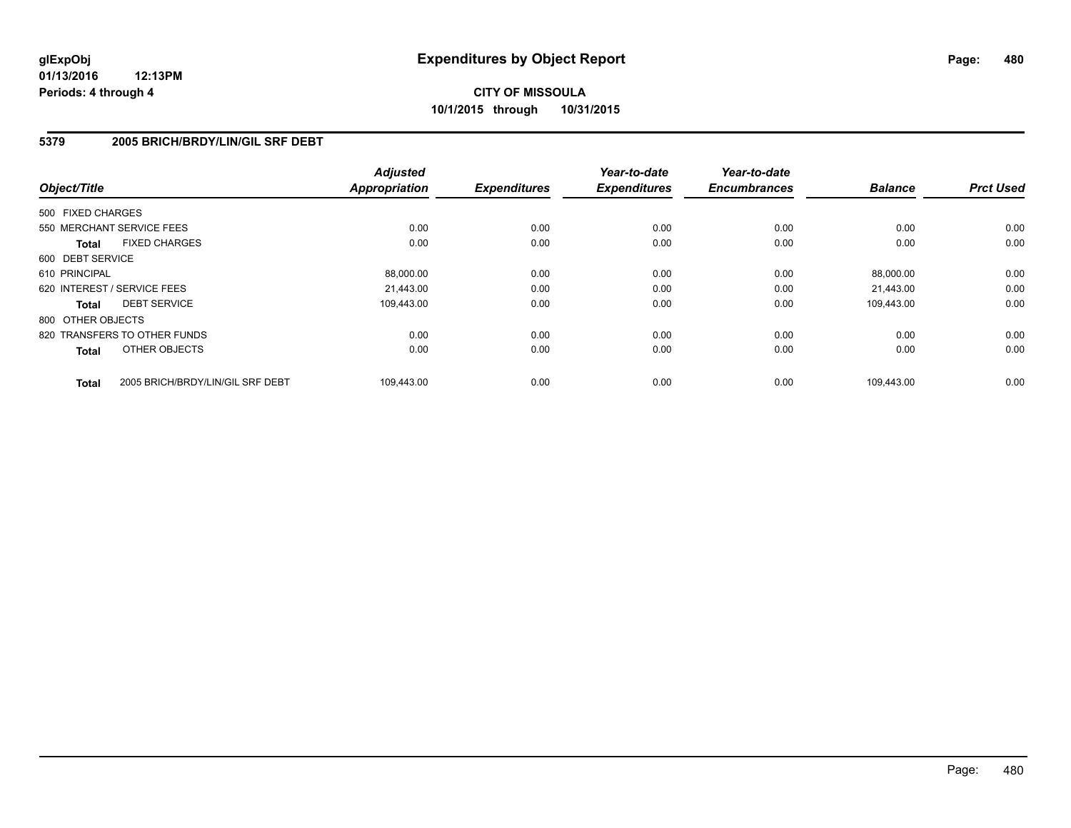### **5379 2005 BRICH/BRDY/LIN/GIL SRF DEBT**

| Object/Title                 |                                  | <b>Adjusted</b><br><b>Appropriation</b> | <b>Expenditures</b> | Year-to-date<br><b>Expenditures</b> | Year-to-date<br><b>Encumbrances</b> | <b>Balance</b> | <b>Prct Used</b> |
|------------------------------|----------------------------------|-----------------------------------------|---------------------|-------------------------------------|-------------------------------------|----------------|------------------|
| 500 FIXED CHARGES            |                                  |                                         |                     |                                     |                                     |                |                  |
| 550 MERCHANT SERVICE FEES    |                                  | 0.00                                    | 0.00                | 0.00                                | 0.00                                | 0.00           | 0.00             |
| Total                        | <b>FIXED CHARGES</b>             | 0.00                                    | 0.00                | 0.00                                | 0.00                                | 0.00           | 0.00             |
| 600 DEBT SERVICE             |                                  |                                         |                     |                                     |                                     |                |                  |
| 610 PRINCIPAL                |                                  | 88,000.00                               | 0.00                | 0.00                                | 0.00                                | 88,000.00      | 0.00             |
| 620 INTEREST / SERVICE FEES  |                                  | 21.443.00                               | 0.00                | 0.00                                | 0.00                                | 21,443.00      | 0.00             |
| Total                        | <b>DEBT SERVICE</b>              | 109.443.00                              | 0.00                | 0.00                                | 0.00                                | 109,443.00     | 0.00             |
| 800 OTHER OBJECTS            |                                  |                                         |                     |                                     |                                     |                |                  |
| 820 TRANSFERS TO OTHER FUNDS |                                  | 0.00                                    | 0.00                | 0.00                                | 0.00                                | 0.00           | 0.00             |
| <b>Total</b>                 | OTHER OBJECTS                    | 0.00                                    | 0.00                | 0.00                                | 0.00                                | 0.00           | 0.00             |
| <b>Total</b>                 | 2005 BRICH/BRDY/LIN/GIL SRF DEBT | 109,443.00                              | 0.00                | 0.00                                | 0.00                                | 109.443.00     | 0.00             |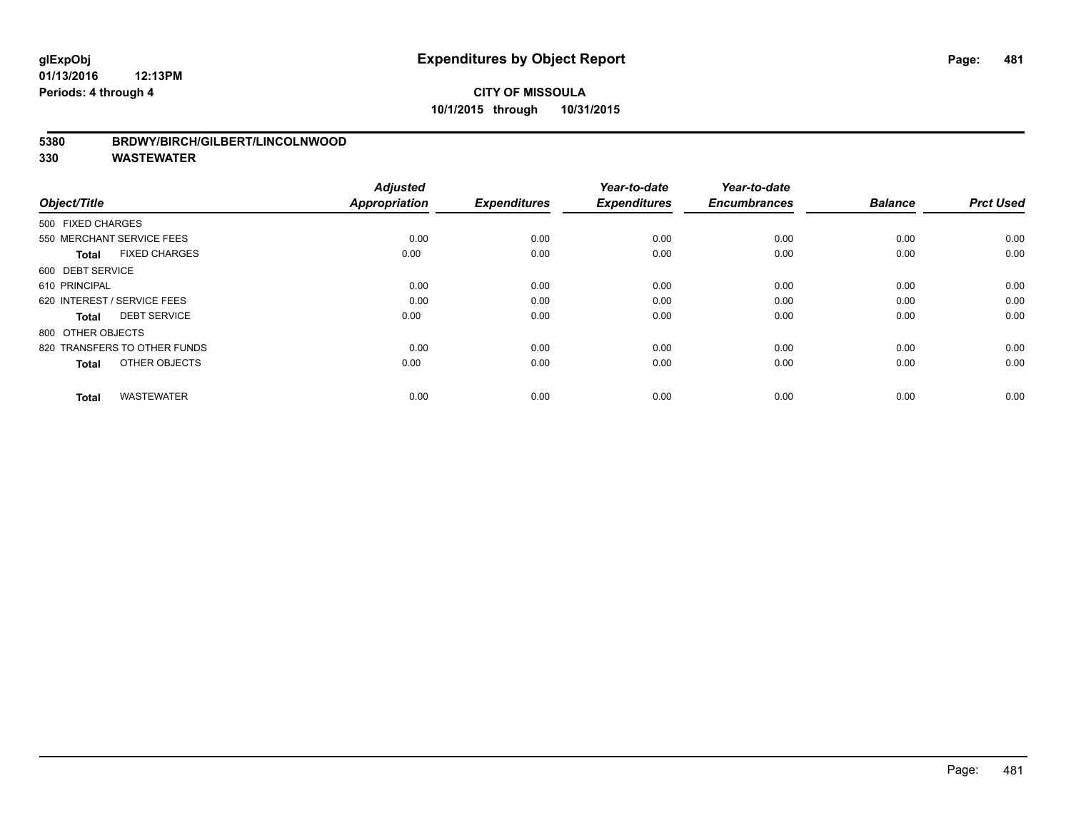#### **5380 BRDWY/BIRCH/GILBERT/LINCOLNWOOD**

| Object/Title                         | <b>Adjusted</b><br><b>Appropriation</b> | <b>Expenditures</b> | Year-to-date<br><b>Expenditures</b> | Year-to-date<br><b>Encumbrances</b> | <b>Balance</b> | <b>Prct Used</b> |
|--------------------------------------|-----------------------------------------|---------------------|-------------------------------------|-------------------------------------|----------------|------------------|
| 500 FIXED CHARGES                    |                                         |                     |                                     |                                     |                |                  |
| 550 MERCHANT SERVICE FEES            | 0.00                                    | 0.00                | 0.00                                | 0.00                                | 0.00           | 0.00             |
| <b>FIXED CHARGES</b><br><b>Total</b> | 0.00                                    | 0.00                | 0.00                                | 0.00                                | 0.00           | 0.00             |
| 600 DEBT SERVICE                     |                                         |                     |                                     |                                     |                |                  |
| 610 PRINCIPAL                        | 0.00                                    | 0.00                | 0.00                                | 0.00                                | 0.00           | 0.00             |
| 620 INTEREST / SERVICE FEES          | 0.00                                    | 0.00                | 0.00                                | 0.00                                | 0.00           | 0.00             |
| <b>DEBT SERVICE</b><br><b>Total</b>  | 0.00                                    | 0.00                | 0.00                                | 0.00                                | 0.00           | 0.00             |
| 800 OTHER OBJECTS                    |                                         |                     |                                     |                                     |                |                  |
| 820 TRANSFERS TO OTHER FUNDS         | 0.00                                    | 0.00                | 0.00                                | 0.00                                | 0.00           | 0.00             |
| OTHER OBJECTS<br><b>Total</b>        | 0.00                                    | 0.00                | 0.00                                | 0.00                                | 0.00           | 0.00             |
|                                      |                                         |                     |                                     |                                     |                |                  |
| <b>WASTEWATER</b><br><b>Total</b>    | 0.00                                    | 0.00                | 0.00                                | 0.00                                | 0.00           | 0.00             |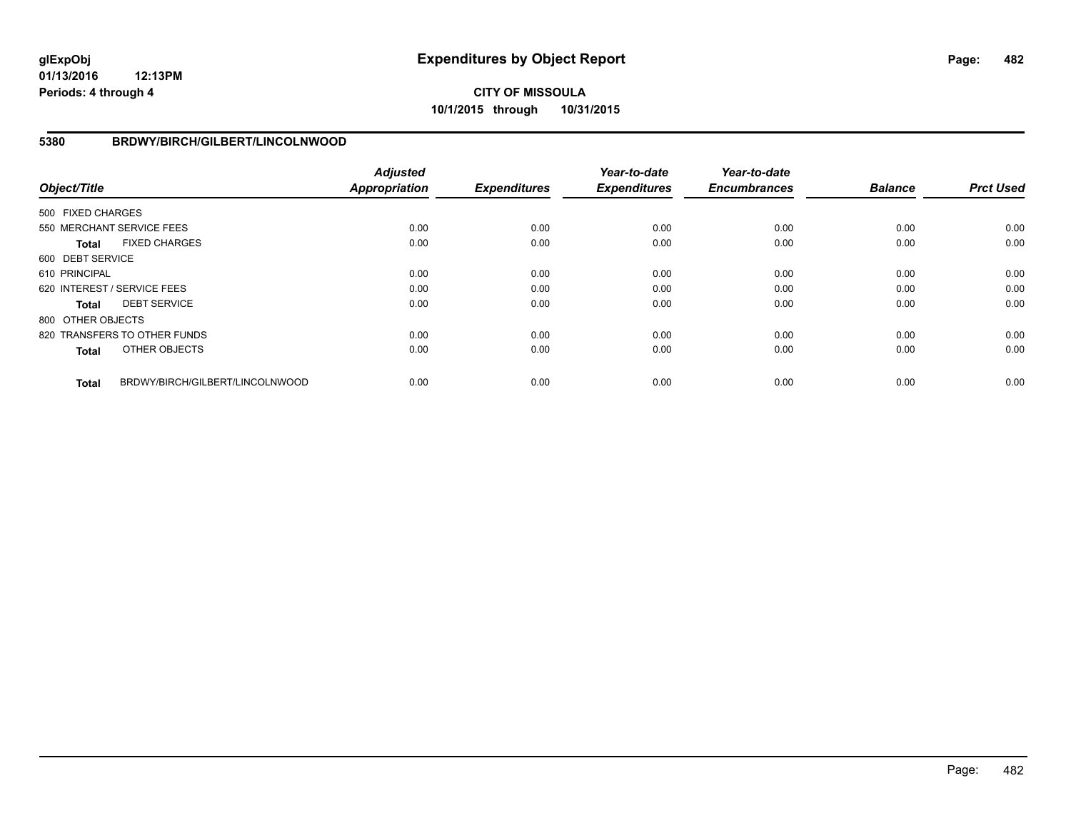**01/13/2016 12:13PM Periods: 4 through 4**

# **CITY OF MISSOULA 10/1/2015 through 10/31/2015**

### **5380 BRDWY/BIRCH/GILBERT/LINCOLNWOOD**

| Object/Title      |                                 | <b>Adjusted</b><br><b>Appropriation</b> | <b>Expenditures</b> | Year-to-date<br><b>Expenditures</b> | Year-to-date<br><b>Encumbrances</b> | <b>Balance</b> | <b>Prct Used</b> |
|-------------------|---------------------------------|-----------------------------------------|---------------------|-------------------------------------|-------------------------------------|----------------|------------------|
| 500 FIXED CHARGES |                                 |                                         |                     |                                     |                                     |                |                  |
|                   | 550 MERCHANT SERVICE FEES       | 0.00                                    | 0.00                | 0.00                                | 0.00                                | 0.00           | 0.00             |
| Total             | <b>FIXED CHARGES</b>            | 0.00                                    | 0.00                | 0.00                                | 0.00                                | 0.00           | 0.00             |
| 600 DEBT SERVICE  |                                 |                                         |                     |                                     |                                     |                |                  |
| 610 PRINCIPAL     |                                 | 0.00                                    | 0.00                | 0.00                                | 0.00                                | 0.00           | 0.00             |
|                   | 620 INTEREST / SERVICE FEES     | 0.00                                    | 0.00                | 0.00                                | 0.00                                | 0.00           | 0.00             |
| Total             | <b>DEBT SERVICE</b>             | 0.00                                    | 0.00                | 0.00                                | 0.00                                | 0.00           | 0.00             |
| 800 OTHER OBJECTS |                                 |                                         |                     |                                     |                                     |                |                  |
|                   | 820 TRANSFERS TO OTHER FUNDS    | 0.00                                    | 0.00                | 0.00                                | 0.00                                | 0.00           | 0.00             |
| <b>Total</b>      | OTHER OBJECTS                   | 0.00                                    | 0.00                | 0.00                                | 0.00                                | 0.00           | 0.00             |
| <b>Total</b>      | BRDWY/BIRCH/GILBERT/LINCOLNWOOD | 0.00                                    | 0.00                | 0.00                                | 0.00                                | 0.00           | 0.00             |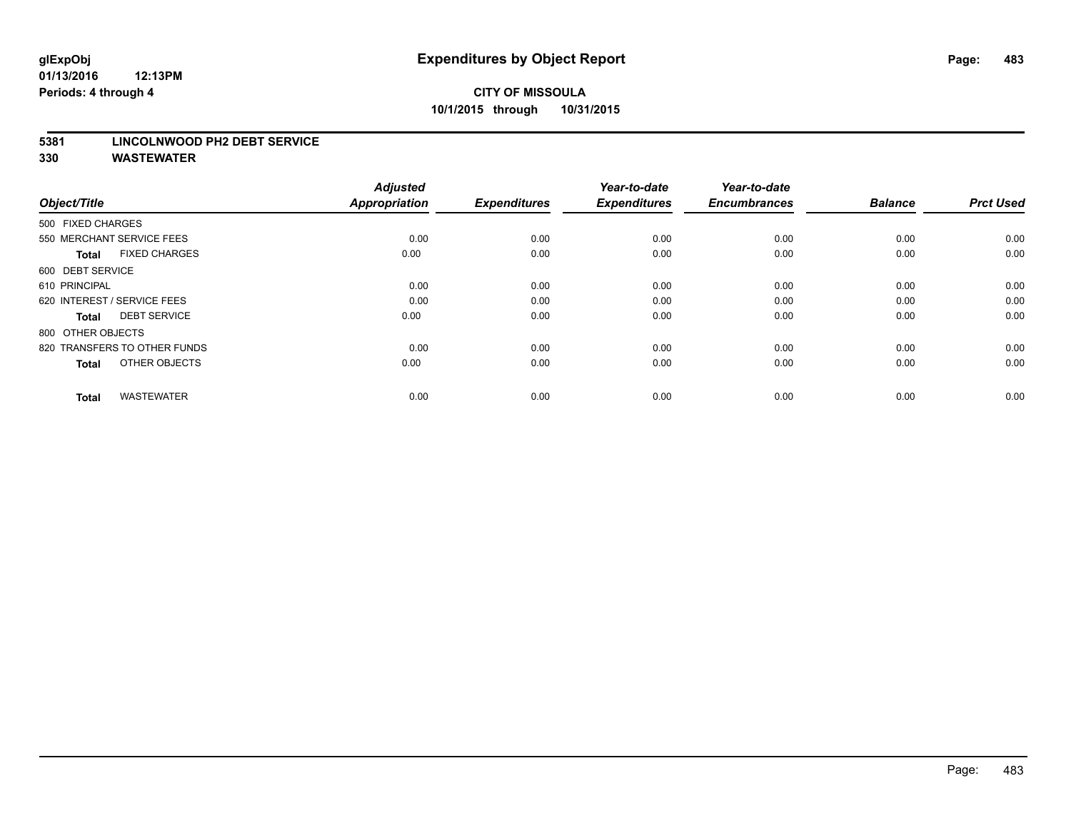#### **5381 LINCOLNWOOD PH2 DEBT SERVICE**

| Object/Title                         | <b>Adjusted</b><br><b>Appropriation</b> | <b>Expenditures</b> | Year-to-date<br><b>Expenditures</b> | Year-to-date<br><b>Encumbrances</b> | <b>Balance</b> | <b>Prct Used</b> |
|--------------------------------------|-----------------------------------------|---------------------|-------------------------------------|-------------------------------------|----------------|------------------|
| 500 FIXED CHARGES                    |                                         |                     |                                     |                                     |                |                  |
| 550 MERCHANT SERVICE FEES            | 0.00                                    | 0.00                | 0.00                                | 0.00                                | 0.00           | 0.00             |
| <b>FIXED CHARGES</b><br><b>Total</b> | 0.00                                    | 0.00                | 0.00                                | 0.00                                | 0.00           | 0.00             |
| 600 DEBT SERVICE                     |                                         |                     |                                     |                                     |                |                  |
| 610 PRINCIPAL                        | 0.00                                    | 0.00                | 0.00                                | 0.00                                | 0.00           | 0.00             |
| 620 INTEREST / SERVICE FEES          | 0.00                                    | 0.00                | 0.00                                | 0.00                                | 0.00           | 0.00             |
| <b>DEBT SERVICE</b><br><b>Total</b>  | 0.00                                    | 0.00                | 0.00                                | 0.00                                | 0.00           | 0.00             |
| 800 OTHER OBJECTS                    |                                         |                     |                                     |                                     |                |                  |
| 820 TRANSFERS TO OTHER FUNDS         | 0.00                                    | 0.00                | 0.00                                | 0.00                                | 0.00           | 0.00             |
| OTHER OBJECTS<br><b>Total</b>        | 0.00                                    | 0.00                | 0.00                                | 0.00                                | 0.00           | 0.00             |
|                                      |                                         |                     |                                     |                                     |                |                  |
| <b>WASTEWATER</b><br><b>Total</b>    | 0.00                                    | 0.00                | 0.00                                | 0.00                                | 0.00           | 0.00             |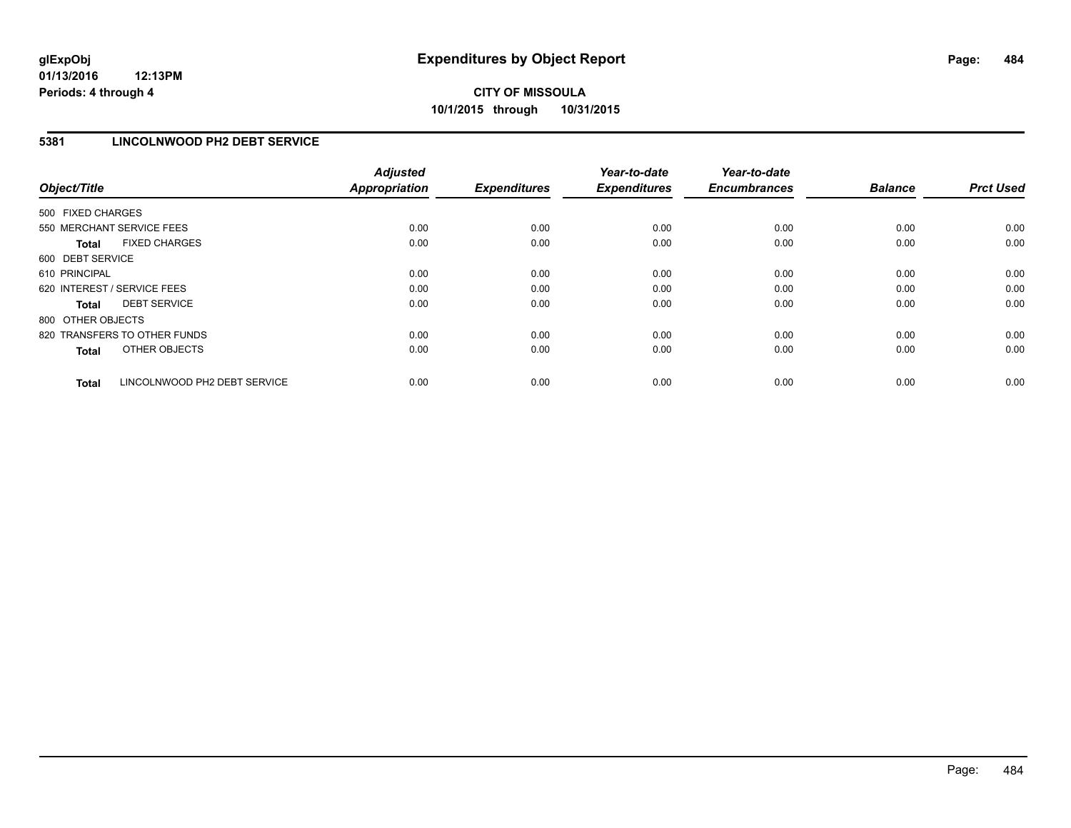## **5381 LINCOLNWOOD PH2 DEBT SERVICE**

| Object/Title      |                              | <b>Adjusted</b><br><b>Appropriation</b> | <b>Expenditures</b> | Year-to-date<br><b>Expenditures</b> | Year-to-date<br><b>Encumbrances</b> | <b>Balance</b> | <b>Prct Used</b> |
|-------------------|------------------------------|-----------------------------------------|---------------------|-------------------------------------|-------------------------------------|----------------|------------------|
| 500 FIXED CHARGES |                              |                                         |                     |                                     |                                     |                |                  |
|                   | 550 MERCHANT SERVICE FEES    | 0.00                                    | 0.00                | 0.00                                | 0.00                                | 0.00           | 0.00             |
| <b>Total</b>      | <b>FIXED CHARGES</b>         | 0.00                                    | 0.00                | 0.00                                | 0.00                                | 0.00           | 0.00             |
| 600 DEBT SERVICE  |                              |                                         |                     |                                     |                                     |                |                  |
| 610 PRINCIPAL     |                              | 0.00                                    | 0.00                | 0.00                                | 0.00                                | 0.00           | 0.00             |
|                   | 620 INTEREST / SERVICE FEES  | 0.00                                    | 0.00                | 0.00                                | 0.00                                | 0.00           | 0.00             |
| Total             | <b>DEBT SERVICE</b>          | 0.00                                    | 0.00                | 0.00                                | 0.00                                | 0.00           | 0.00             |
| 800 OTHER OBJECTS |                              |                                         |                     |                                     |                                     |                |                  |
|                   | 820 TRANSFERS TO OTHER FUNDS | 0.00                                    | 0.00                | 0.00                                | 0.00                                | 0.00           | 0.00             |
| <b>Total</b>      | OTHER OBJECTS                | 0.00                                    | 0.00                | 0.00                                | 0.00                                | 0.00           | 0.00             |
| <b>Total</b>      | LINCOLNWOOD PH2 DEBT SERVICE | 0.00                                    | 0.00                | 0.00                                | 0.00                                | 0.00           | 0.00             |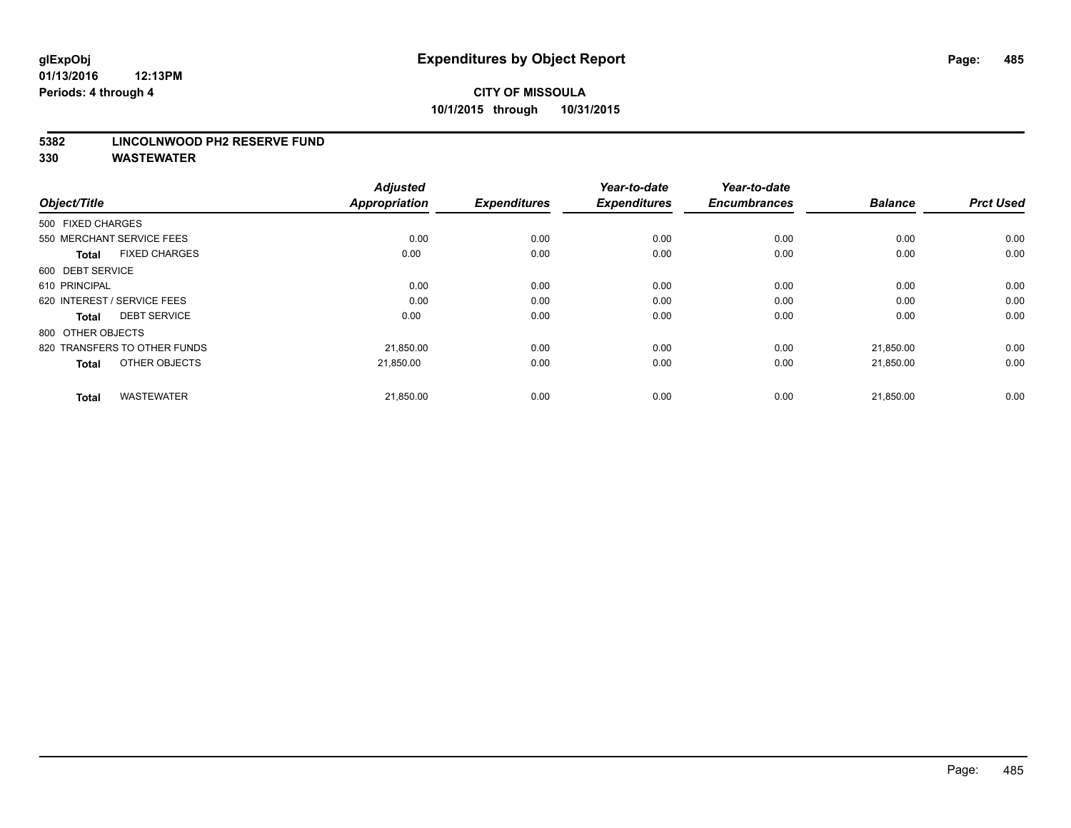#### **5382 LINCOLNWOOD PH2 RESERVE FUND**

| Object/Title                         | <b>Adjusted</b><br><b>Appropriation</b> | <b>Expenditures</b> | Year-to-date<br><b>Expenditures</b> | Year-to-date<br><b>Encumbrances</b> | <b>Balance</b> | <b>Prct Used</b> |
|--------------------------------------|-----------------------------------------|---------------------|-------------------------------------|-------------------------------------|----------------|------------------|
| 500 FIXED CHARGES                    |                                         |                     |                                     |                                     |                |                  |
| 550 MERCHANT SERVICE FEES            | 0.00                                    | 0.00                | 0.00                                | 0.00                                | 0.00           | 0.00             |
| <b>FIXED CHARGES</b><br><b>Total</b> | 0.00                                    | 0.00                | 0.00                                | 0.00                                | 0.00           | 0.00             |
| 600 DEBT SERVICE                     |                                         |                     |                                     |                                     |                |                  |
| 610 PRINCIPAL                        | 0.00                                    | 0.00                | 0.00                                | 0.00                                | 0.00           | 0.00             |
| 620 INTEREST / SERVICE FEES          | 0.00                                    | 0.00                | 0.00                                | 0.00                                | 0.00           | 0.00             |
| <b>DEBT SERVICE</b><br><b>Total</b>  | 0.00                                    | 0.00                | 0.00                                | 0.00                                | 0.00           | 0.00             |
| 800 OTHER OBJECTS                    |                                         |                     |                                     |                                     |                |                  |
| 820 TRANSFERS TO OTHER FUNDS         | 21,850.00                               | 0.00                | 0.00                                | 0.00                                | 21,850.00      | 0.00             |
| OTHER OBJECTS<br><b>Total</b>        | 21,850.00                               | 0.00                | 0.00                                | 0.00                                | 21,850.00      | 0.00             |
|                                      |                                         |                     |                                     |                                     |                |                  |
| <b>WASTEWATER</b><br><b>Total</b>    | 21,850.00                               | 0.00                | 0.00                                | 0.00                                | 21,850.00      | 0.00             |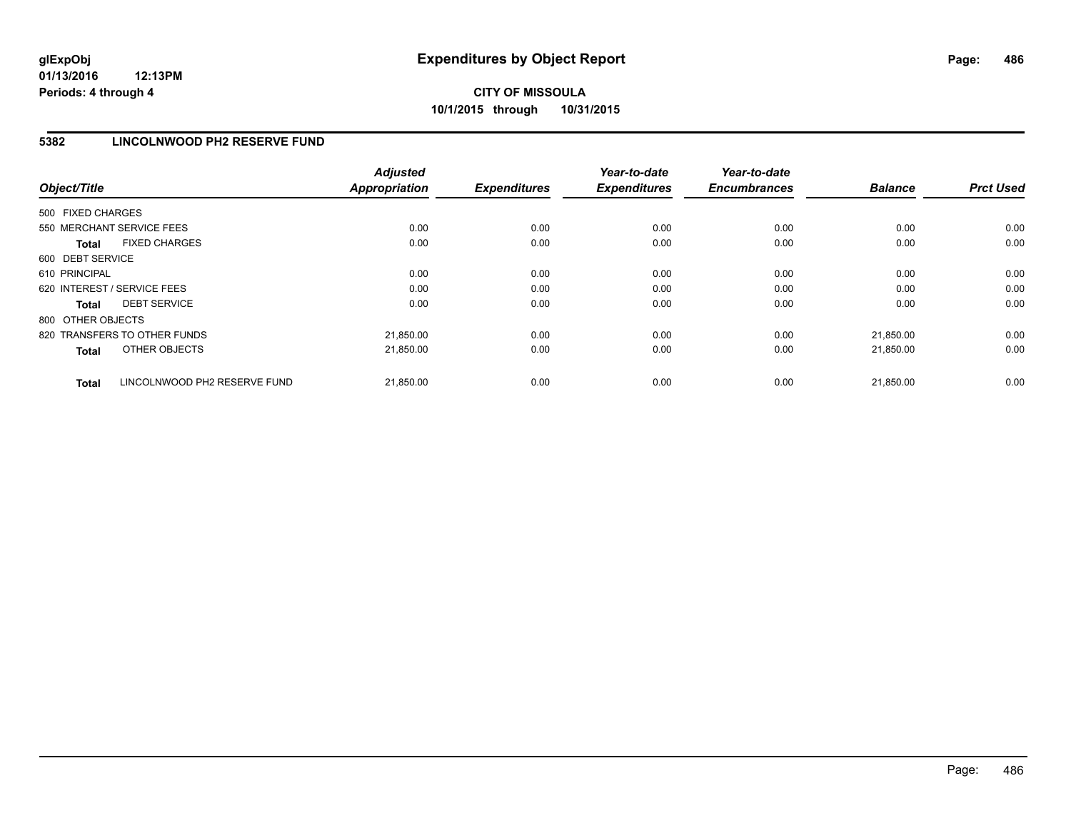## **5382 LINCOLNWOOD PH2 RESERVE FUND**

| Object/Title                                 | <b>Adjusted</b><br>Appropriation | <b>Expenditures</b> | Year-to-date<br><b>Expenditures</b> | Year-to-date<br><b>Encumbrances</b> | <b>Balance</b> | <b>Prct Used</b> |
|----------------------------------------------|----------------------------------|---------------------|-------------------------------------|-------------------------------------|----------------|------------------|
| 500 FIXED CHARGES                            |                                  |                     |                                     |                                     |                |                  |
| 550 MERCHANT SERVICE FEES                    | 0.00                             | 0.00                | 0.00                                | 0.00                                | 0.00           | 0.00             |
| <b>FIXED CHARGES</b><br>Total                | 0.00                             | 0.00                | 0.00                                | 0.00                                | 0.00           | 0.00             |
| 600 DEBT SERVICE                             |                                  |                     |                                     |                                     |                |                  |
| 610 PRINCIPAL                                | 0.00                             | 0.00                | 0.00                                | 0.00                                | 0.00           | 0.00             |
| 620 INTEREST / SERVICE FEES                  | 0.00                             | 0.00                | 0.00                                | 0.00                                | 0.00           | 0.00             |
| <b>DEBT SERVICE</b><br>Total                 | 0.00                             | 0.00                | 0.00                                | 0.00                                | 0.00           | 0.00             |
| 800 OTHER OBJECTS                            |                                  |                     |                                     |                                     |                |                  |
| 820 TRANSFERS TO OTHER FUNDS                 | 21,850.00                        | 0.00                | 0.00                                | 0.00                                | 21.850.00      | 0.00             |
| OTHER OBJECTS<br><b>Total</b>                | 21,850.00                        | 0.00                | 0.00                                | 0.00                                | 21,850.00      | 0.00             |
| LINCOLNWOOD PH2 RESERVE FUND<br><b>Total</b> | 21,850.00                        | 0.00                | 0.00                                | 0.00                                | 21,850.00      | 0.00             |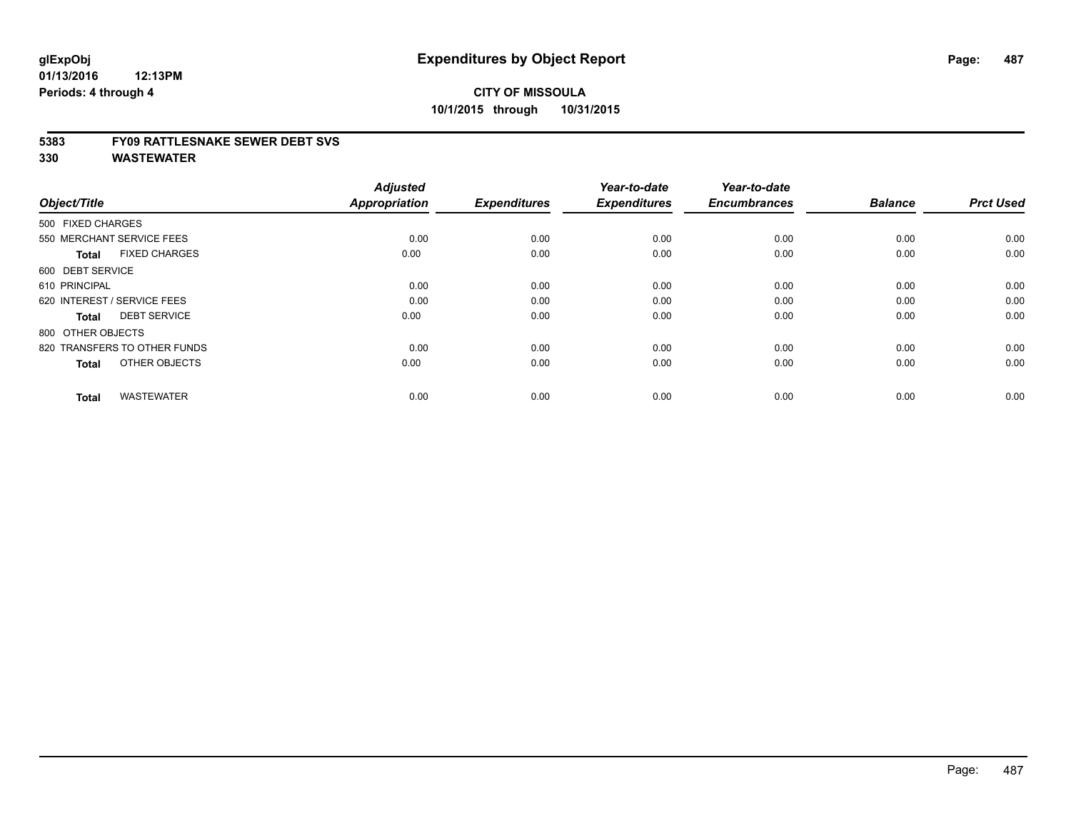#### **5383 FY09 RATTLESNAKE SEWER DEBT SVS**

| Object/Title                         | <b>Adjusted</b><br>Appropriation | <b>Expenditures</b> | Year-to-date<br><b>Expenditures</b> | Year-to-date<br><b>Encumbrances</b> | <b>Balance</b> | <b>Prct Used</b> |
|--------------------------------------|----------------------------------|---------------------|-------------------------------------|-------------------------------------|----------------|------------------|
| 500 FIXED CHARGES                    |                                  |                     |                                     |                                     |                |                  |
|                                      |                                  |                     |                                     |                                     |                |                  |
| 550 MERCHANT SERVICE FEES            | 0.00                             | 0.00                | 0.00                                | 0.00                                | 0.00           | 0.00             |
| <b>FIXED CHARGES</b><br><b>Total</b> | 0.00                             | 0.00                | 0.00                                | 0.00                                | 0.00           | 0.00             |
| 600 DEBT SERVICE                     |                                  |                     |                                     |                                     |                |                  |
| 610 PRINCIPAL                        | 0.00                             | 0.00                | 0.00                                | 0.00                                | 0.00           | 0.00             |
| 620 INTEREST / SERVICE FEES          | 0.00                             | 0.00                | 0.00                                | 0.00                                | 0.00           | 0.00             |
| <b>DEBT SERVICE</b><br><b>Total</b>  | 0.00                             | 0.00                | 0.00                                | 0.00                                | 0.00           | 0.00             |
| 800 OTHER OBJECTS                    |                                  |                     |                                     |                                     |                |                  |
| 820 TRANSFERS TO OTHER FUNDS         | 0.00                             | 0.00                | 0.00                                | 0.00                                | 0.00           | 0.00             |
| OTHER OBJECTS<br><b>Total</b>        | 0.00                             | 0.00                | 0.00                                | 0.00                                | 0.00           | 0.00             |
|                                      |                                  |                     |                                     |                                     |                |                  |
| <b>WASTEWATER</b><br><b>Total</b>    | 0.00                             | 0.00                | 0.00                                | 0.00                                | 0.00           | 0.00             |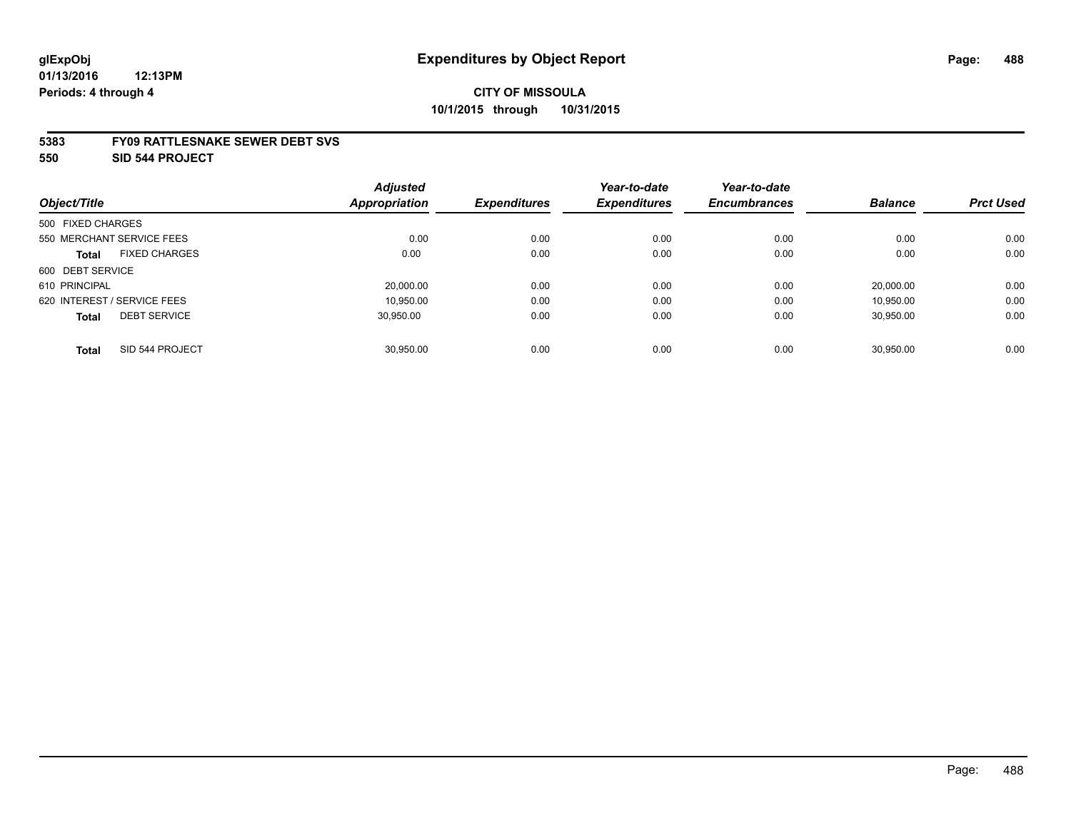#### **5383 FY09 RATTLESNAKE SEWER DEBT SVS**

**550 SID 544 PROJECT**

|                                     | <b>Adjusted</b>      |                     | Year-to-date        | Year-to-date        |                |                  |
|-------------------------------------|----------------------|---------------------|---------------------|---------------------|----------------|------------------|
| Object/Title                        | <b>Appropriation</b> | <b>Expenditures</b> | <b>Expenditures</b> | <b>Encumbrances</b> | <b>Balance</b> | <b>Prct Used</b> |
| 500 FIXED CHARGES                   |                      |                     |                     |                     |                |                  |
| 550 MERCHANT SERVICE FEES           | 0.00                 | 0.00                | 0.00                | 0.00                | 0.00           | 0.00             |
| <b>FIXED CHARGES</b><br>Total       | 0.00                 | 0.00                | 0.00                | 0.00                | 0.00           | 0.00             |
| 600 DEBT SERVICE                    |                      |                     |                     |                     |                |                  |
| 610 PRINCIPAL                       | 20,000.00            | 0.00                | 0.00                | 0.00                | 20.000.00      | 0.00             |
| 620 INTEREST / SERVICE FEES         | 10.950.00            | 0.00                | 0.00                | 0.00                | 10.950.00      | 0.00             |
| <b>DEBT SERVICE</b><br><b>Total</b> | 30.950.00            | 0.00                | 0.00                | 0.00                | 30.950.00      | 0.00             |
|                                     |                      |                     |                     |                     |                |                  |
| SID 544 PROJECT<br><b>Total</b>     | 30.950.00            | 0.00                | 0.00                | 0.00                | 30.950.00      | 0.00             |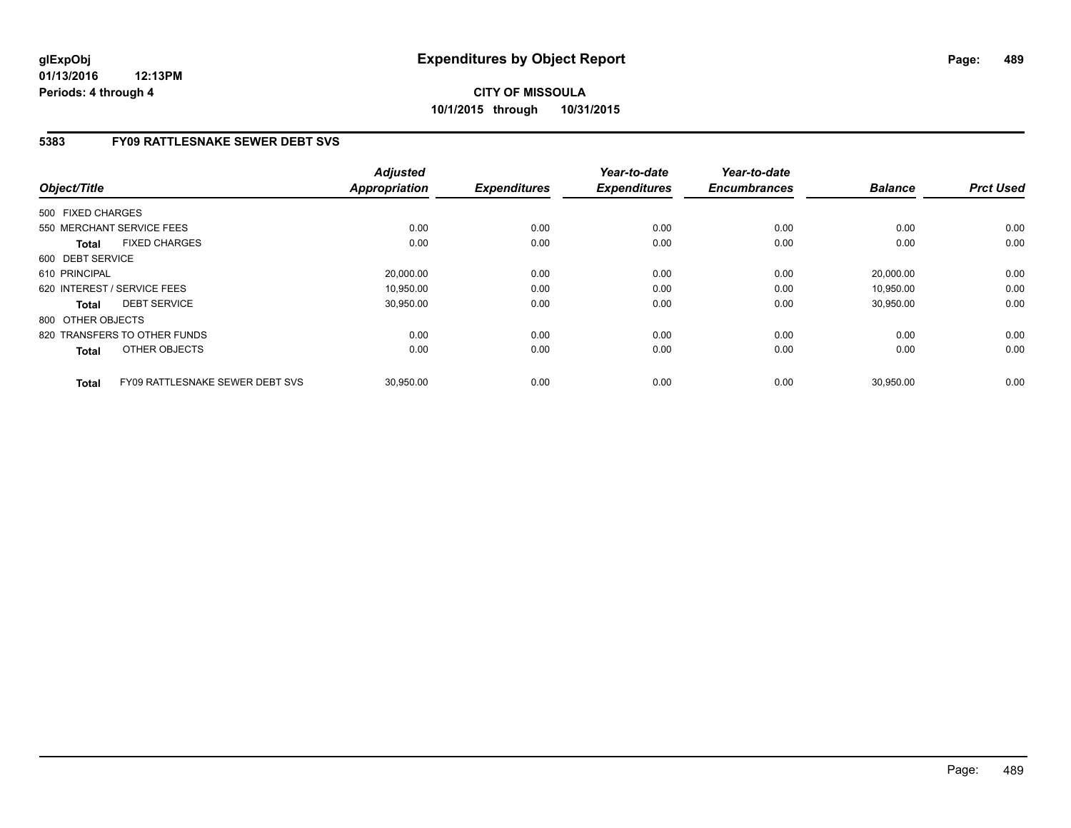# **5383 FY09 RATTLESNAKE SEWER DEBT SVS**

| Object/Title      |                                 | <b>Adjusted</b><br>Appropriation | <b>Expenditures</b> | Year-to-date<br><b>Expenditures</b> | Year-to-date<br><b>Encumbrances</b> | <b>Balance</b> | <b>Prct Used</b> |
|-------------------|---------------------------------|----------------------------------|---------------------|-------------------------------------|-------------------------------------|----------------|------------------|
| 500 FIXED CHARGES |                                 |                                  |                     |                                     |                                     |                |                  |
|                   | 550 MERCHANT SERVICE FEES       | 0.00                             | 0.00                | 0.00                                | 0.00                                | 0.00           | 0.00             |
| <b>Total</b>      | <b>FIXED CHARGES</b>            | 0.00                             | 0.00                | 0.00                                | 0.00                                | 0.00           | 0.00             |
| 600 DEBT SERVICE  |                                 |                                  |                     |                                     |                                     |                |                  |
| 610 PRINCIPAL     |                                 | 20,000.00                        | 0.00                | 0.00                                | 0.00                                | 20,000.00      | 0.00             |
|                   | 620 INTEREST / SERVICE FEES     | 10.950.00                        | 0.00                | 0.00                                | 0.00                                | 10.950.00      | 0.00             |
| <b>Total</b>      | <b>DEBT SERVICE</b>             | 30,950.00                        | 0.00                | 0.00                                | 0.00                                | 30,950.00      | 0.00             |
| 800 OTHER OBJECTS |                                 |                                  |                     |                                     |                                     |                |                  |
|                   | 820 TRANSFERS TO OTHER FUNDS    | 0.00                             | 0.00                | 0.00                                | 0.00                                | 0.00           | 0.00             |
| <b>Total</b>      | OTHER OBJECTS                   | 0.00                             | 0.00                | 0.00                                | 0.00                                | 0.00           | 0.00             |
| <b>Total</b>      | FY09 RATTLESNAKE SEWER DEBT SVS | 30.950.00                        | 0.00                | 0.00                                | 0.00                                | 30,950.00      | 0.00             |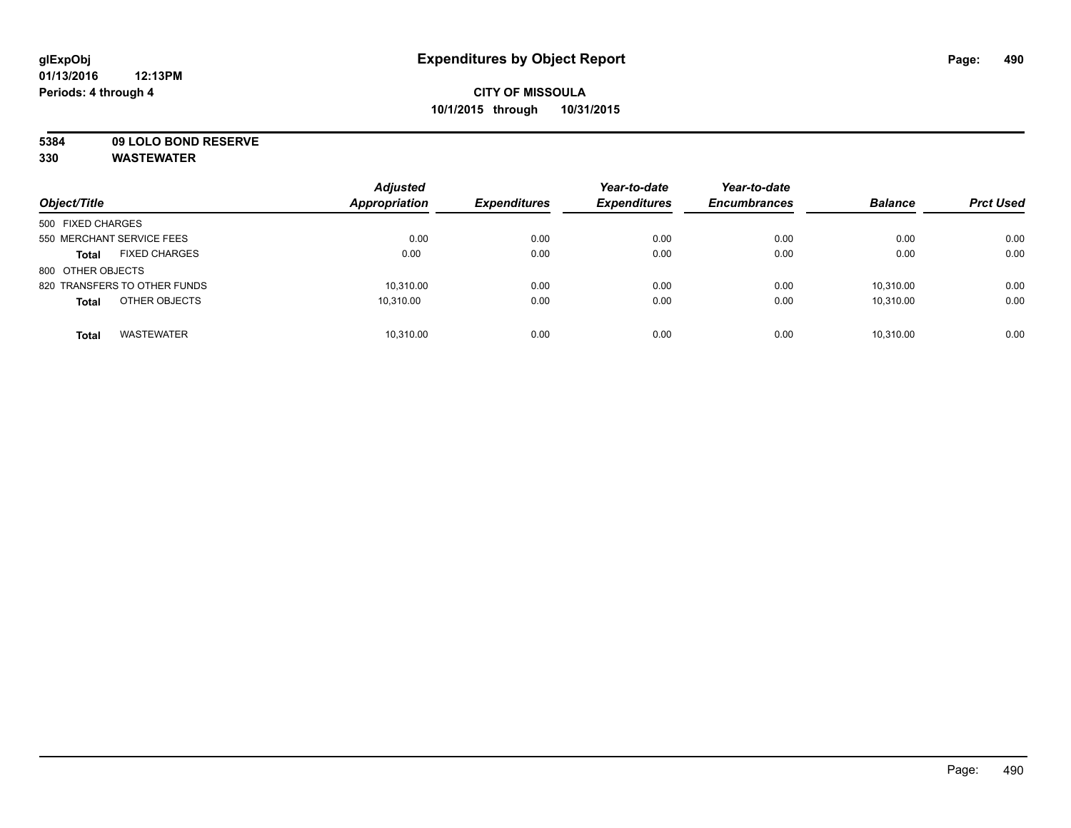**5384 09 LOLO BOND RESERVE**

| Object/Title                         | <b>Adjusted</b><br>Appropriation | <b>Expenditures</b> | Year-to-date<br><b>Expenditures</b> | Year-to-date<br><b>Encumbrances</b> | <b>Balance</b> | <b>Prct Used</b> |
|--------------------------------------|----------------------------------|---------------------|-------------------------------------|-------------------------------------|----------------|------------------|
| 500 FIXED CHARGES                    |                                  |                     |                                     |                                     |                |                  |
| 550 MERCHANT SERVICE FEES            | 0.00                             | 0.00                | 0.00                                | 0.00                                | 0.00           | 0.00             |
| <b>FIXED CHARGES</b><br><b>Total</b> | 0.00                             | 0.00                | 0.00                                | 0.00                                | 0.00           | 0.00             |
| 800 OTHER OBJECTS                    |                                  |                     |                                     |                                     |                |                  |
| 820 TRANSFERS TO OTHER FUNDS         | 10,310.00                        | 0.00                | 0.00                                | 0.00                                | 10,310.00      | 0.00             |
| OTHER OBJECTS<br><b>Total</b>        | 10.310.00                        | 0.00                | 0.00                                | 0.00                                | 10.310.00      | 0.00             |
| <b>WASTEWATER</b><br><b>Total</b>    | 10,310.00                        | 0.00                | 0.00                                | 0.00                                | 10.310.00      | 0.00             |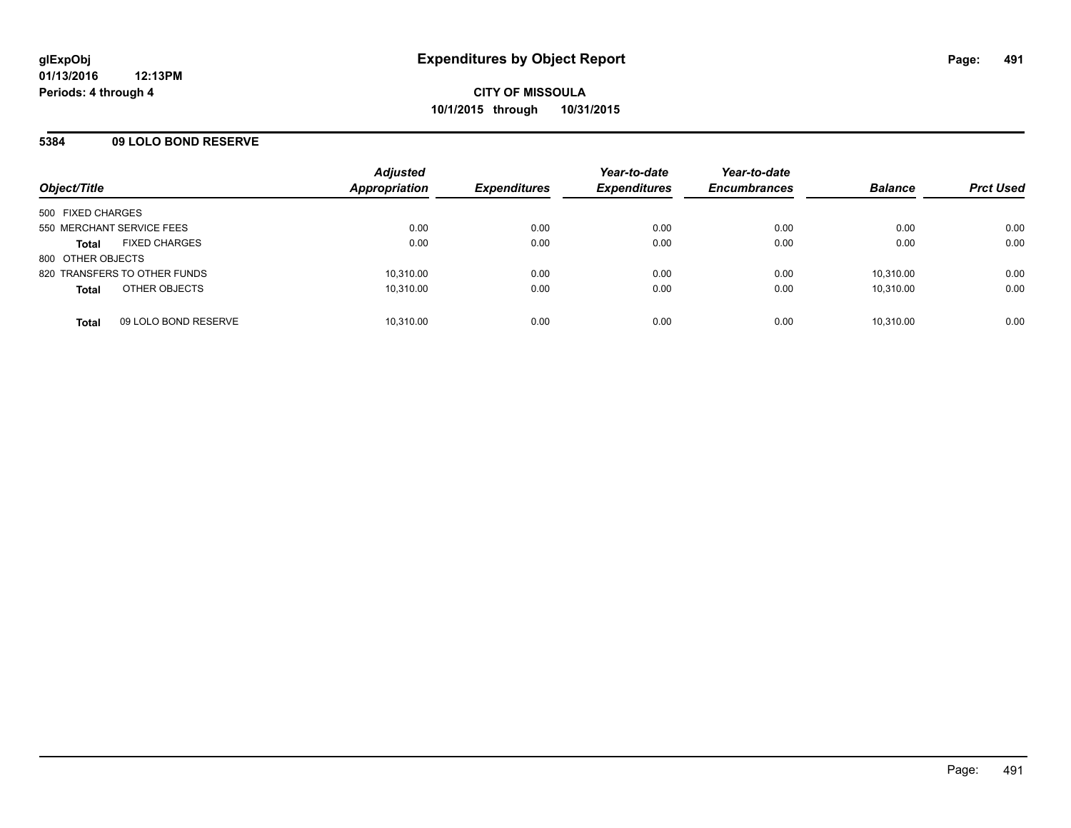### **5384 09 LOLO BOND RESERVE**

| Object/Title              |                              | <b>Adjusted</b><br>Appropriation | <b>Expenditures</b> | Year-to-date<br><b>Expenditures</b> | Year-to-date<br><b>Encumbrances</b> | <b>Balance</b> | <b>Prct Used</b> |
|---------------------------|------------------------------|----------------------------------|---------------------|-------------------------------------|-------------------------------------|----------------|------------------|
| 500 FIXED CHARGES         |                              |                                  |                     |                                     |                                     |                |                  |
| 550 MERCHANT SERVICE FEES |                              | 0.00                             | 0.00                | 0.00                                | 0.00                                | 0.00           | 0.00             |
| <b>Total</b>              | <b>FIXED CHARGES</b>         | 0.00                             | 0.00                | 0.00                                | 0.00                                | 0.00           | 0.00             |
| 800 OTHER OBJECTS         |                              |                                  |                     |                                     |                                     |                |                  |
|                           | 820 TRANSFERS TO OTHER FUNDS | 10,310.00                        | 0.00                | 0.00                                | 0.00                                | 10.310.00      | 0.00             |
| <b>Total</b>              | OTHER OBJECTS                | 10,310.00                        | 0.00                | 0.00                                | 0.00                                | 10,310.00      | 0.00             |
| <b>Total</b>              | 09 LOLO BOND RESERVE         | 10.310.00                        | 0.00                | 0.00                                | 0.00                                | 10.310.00      | 0.00             |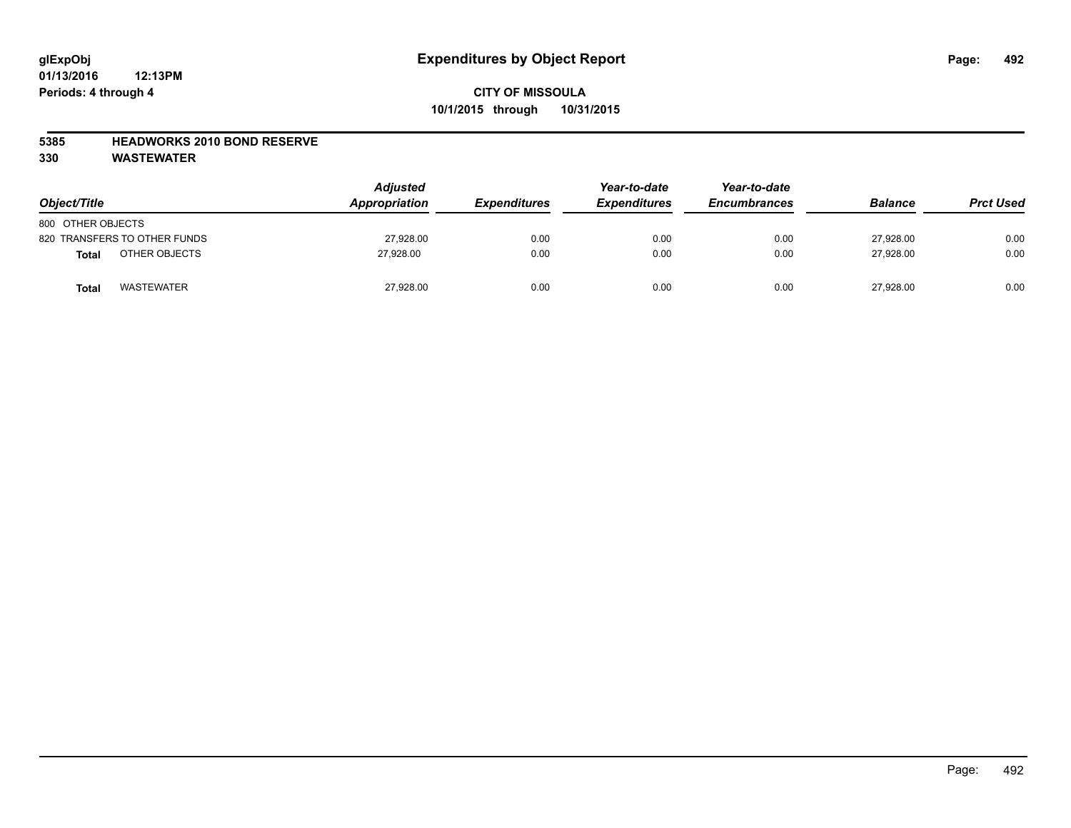#### **5385 HEADWORKS 2010 BOND RESERVE**

| Object/Title                 | <b>Adjusted</b><br>Appropriation | <b>Expenditures</b> | Year-to-date<br><b>Expenditures</b> | Year-to-date<br><b>Encumbrances</b> | <b>Balance</b> | <b>Prct Used</b> |
|------------------------------|----------------------------------|---------------------|-------------------------------------|-------------------------------------|----------------|------------------|
| 800 OTHER OBJECTS            |                                  |                     |                                     |                                     |                |                  |
| 820 TRANSFERS TO OTHER FUNDS | 27,928.00                        | 0.00                | 0.00                                | 0.00                                | 27.928.00      | 0.00             |
| OTHER OBJECTS<br>Total       | 27,928.00                        | 0.00                | 0.00                                | 0.00                                | 27,928.00      | 0.00             |
| <b>WASTEWATER</b><br>Total   | 27,928.00                        | 0.00                | 0.00                                | 0.00                                | 27.928.00      | 0.00             |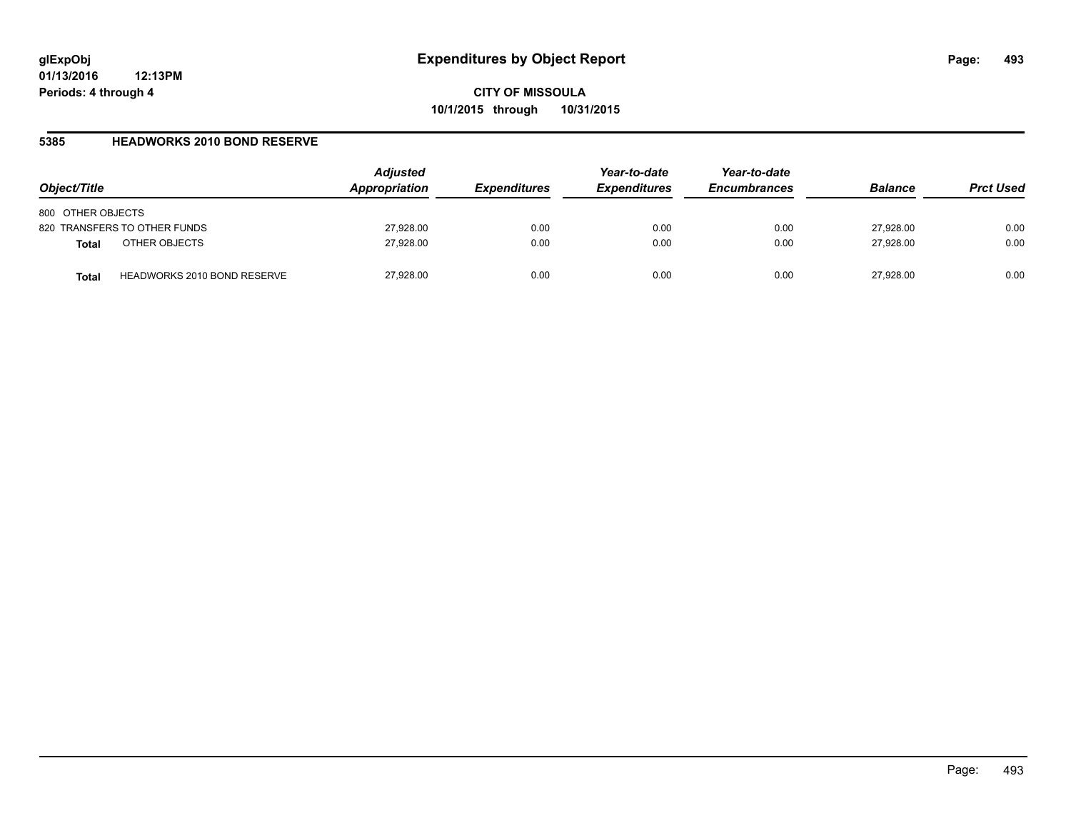#### **5385 HEADWORKS 2010 BOND RESERVE**

| Object/Title                                       | <b>Adjusted</b><br>Appropriation | <b>Expenditures</b> | Year-to-date<br><b>Expenditures</b> | Year-to-date<br><b>Encumbrances</b> | <b>Balance</b> | <b>Prct Used</b> |
|----------------------------------------------------|----------------------------------|---------------------|-------------------------------------|-------------------------------------|----------------|------------------|
| 800 OTHER OBJECTS                                  |                                  |                     |                                     |                                     |                |                  |
| 820 TRANSFERS TO OTHER FUNDS                       | 27,928.00                        | 0.00                | 0.00                                | 0.00                                | 27,928.00      | 0.00             |
| OTHER OBJECTS<br><b>Total</b>                      | 27,928.00                        | 0.00                | 0.00                                | 0.00                                | 27.928.00      | 0.00             |
| <b>HEADWORKS 2010 BOND RESERVE</b><br><b>Total</b> | 27,928.00                        | 0.00                | 0.00                                | 0.00                                | 27.928.00      | 0.00             |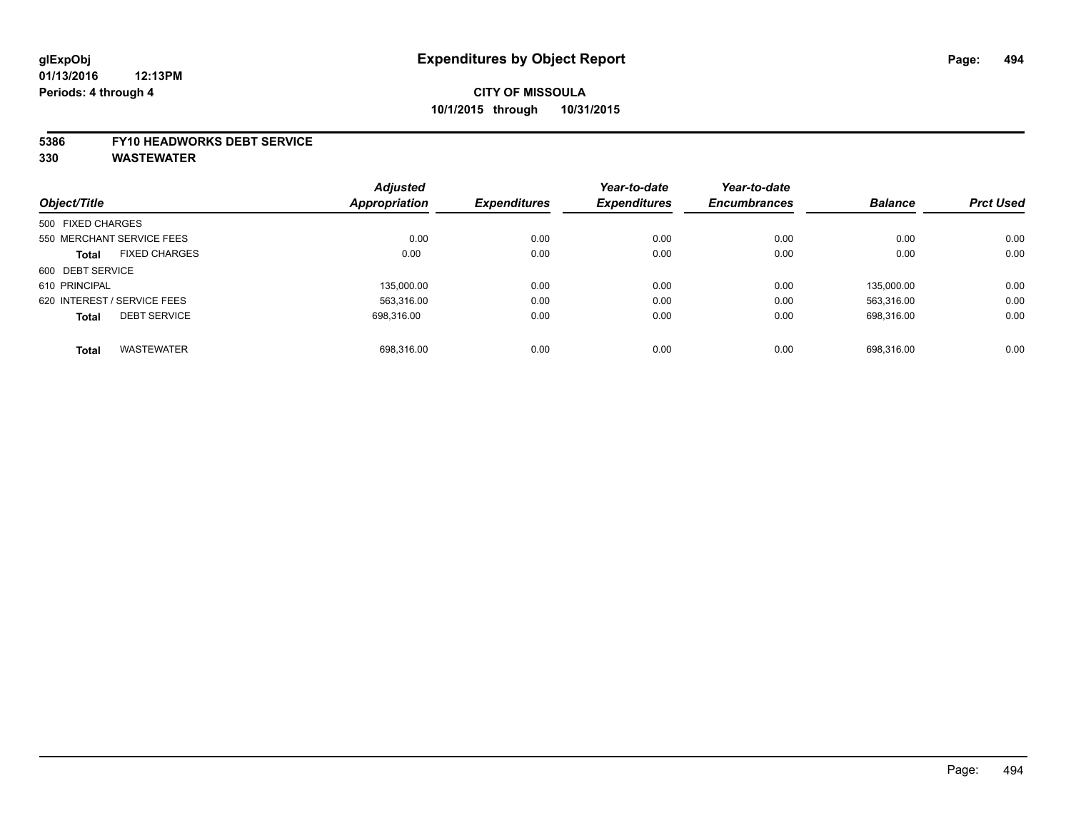#### **5386 FY10 HEADWORKS DEBT SERVICE**

|                   |                             | <b>Adjusted</b> |                     | Year-to-date        | Year-to-date        |                |                  |
|-------------------|-----------------------------|-----------------|---------------------|---------------------|---------------------|----------------|------------------|
| Object/Title      |                             | Appropriation   | <b>Expenditures</b> | <b>Expenditures</b> | <b>Encumbrances</b> | <b>Balance</b> | <b>Prct Used</b> |
| 500 FIXED CHARGES |                             |                 |                     |                     |                     |                |                  |
|                   | 550 MERCHANT SERVICE FEES   | 0.00            | 0.00                | 0.00                | 0.00                | 0.00           | 0.00             |
| <b>Total</b>      | <b>FIXED CHARGES</b>        | 0.00            | 0.00                | 0.00                | 0.00                | 0.00           | 0.00             |
| 600 DEBT SERVICE  |                             |                 |                     |                     |                     |                |                  |
| 610 PRINCIPAL     |                             | 135.000.00      | 0.00                | 0.00                | 0.00                | 135.000.00     | 0.00             |
|                   | 620 INTEREST / SERVICE FEES | 563.316.00      | 0.00                | 0.00                | 0.00                | 563.316.00     | 0.00             |
| <b>Total</b>      | <b>DEBT SERVICE</b>         | 698.316.00      | 0.00                | 0.00                | 0.00                | 698.316.00     | 0.00             |
| <b>Total</b>      | <b>WASTEWATER</b>           | 698.316.00      | 0.00                | 0.00                | 0.00                | 698.316.00     | 0.00             |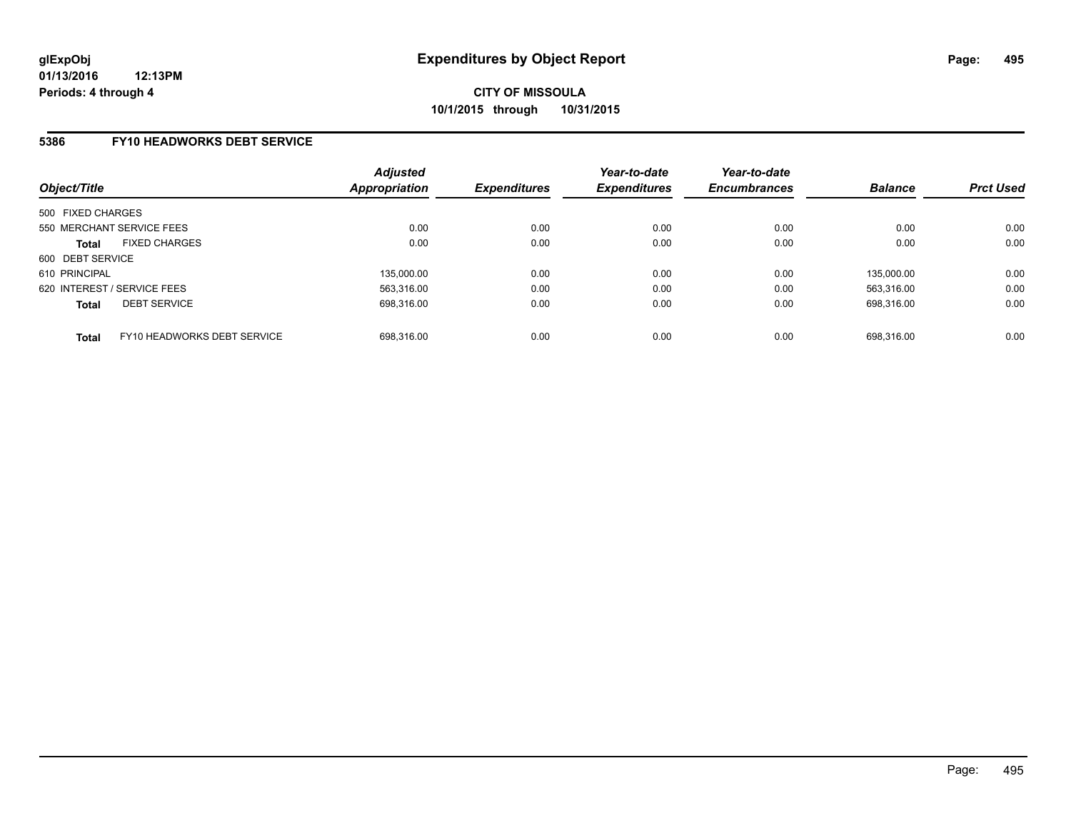### **5386 FY10 HEADWORKS DEBT SERVICE**

| Object/Title                                | <b>Adjusted</b><br>Appropriation | <b>Expenditures</b> | Year-to-date<br><b>Expenditures</b> | Year-to-date<br><b>Encumbrances</b> | <b>Balance</b> | <b>Prct Used</b> |
|---------------------------------------------|----------------------------------|---------------------|-------------------------------------|-------------------------------------|----------------|------------------|
| 500 FIXED CHARGES                           |                                  |                     |                                     |                                     |                |                  |
| 550 MERCHANT SERVICE FEES                   | 0.00                             | 0.00                | 0.00                                | 0.00                                | 0.00           | 0.00             |
| <b>FIXED CHARGES</b><br><b>Total</b>        | 0.00                             | 0.00                | 0.00                                | 0.00                                | 0.00           | 0.00             |
| 600 DEBT SERVICE                            |                                  |                     |                                     |                                     |                |                  |
| 610 PRINCIPAL                               | 135,000.00                       | 0.00                | 0.00                                | 0.00                                | 135.000.00     | 0.00             |
| 620 INTEREST / SERVICE FEES                 | 563.316.00                       | 0.00                | 0.00                                | 0.00                                | 563.316.00     | 0.00             |
| <b>DEBT SERVICE</b><br><b>Total</b>         | 698.316.00                       | 0.00                | 0.00                                | 0.00                                | 698.316.00     | 0.00             |
| FY10 HEADWORKS DEBT SERVICE<br><b>Total</b> | 698.316.00                       | 0.00                | 0.00                                | 0.00                                | 698.316.00     | 0.00             |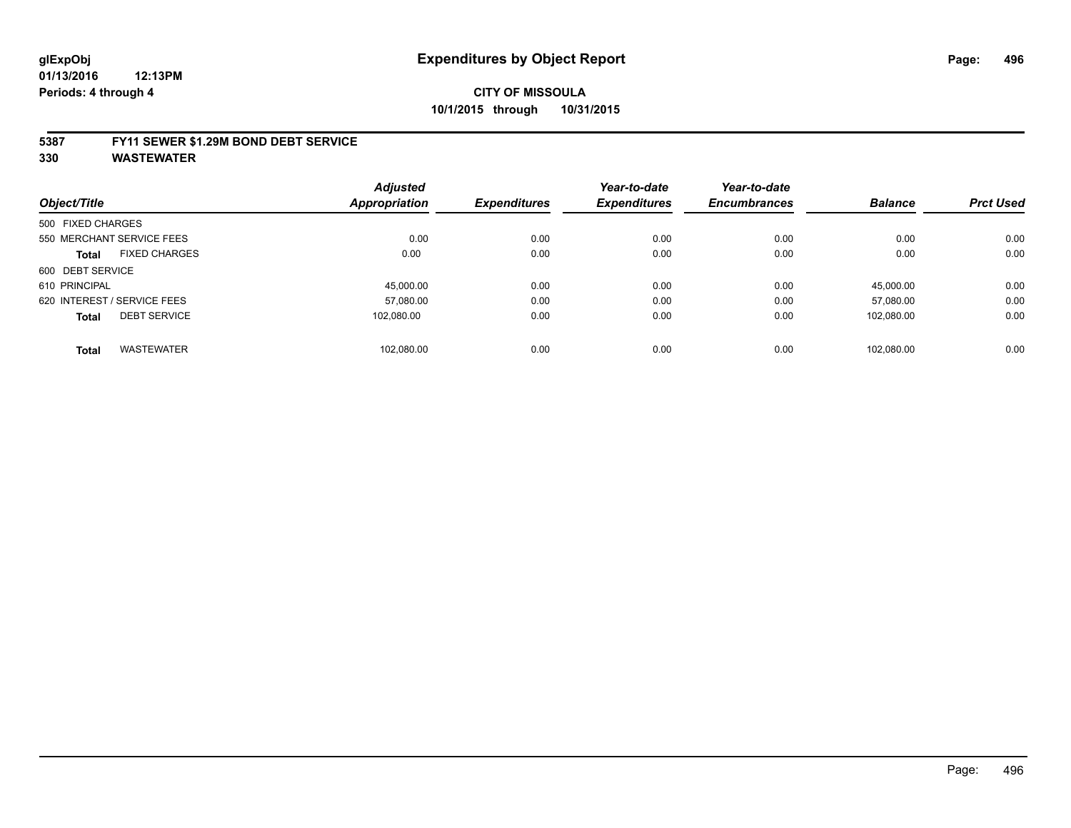#### **5387 FY11 SEWER \$1.29M BOND DEBT SERVICE**

|                   |                             | <b>Adjusted</b>      |                     | Year-to-date        | Year-to-date        |                |                  |
|-------------------|-----------------------------|----------------------|---------------------|---------------------|---------------------|----------------|------------------|
| Object/Title      |                             | <b>Appropriation</b> | <b>Expenditures</b> | <b>Expenditures</b> | <b>Encumbrances</b> | <b>Balance</b> | <b>Prct Used</b> |
| 500 FIXED CHARGES |                             |                      |                     |                     |                     |                |                  |
|                   | 550 MERCHANT SERVICE FEES   | 0.00                 | 0.00                | 0.00                | 0.00                | 0.00           | 0.00             |
| <b>Total</b>      | <b>FIXED CHARGES</b>        | 0.00                 | 0.00                | 0.00                | 0.00                | 0.00           | 0.00             |
| 600 DEBT SERVICE  |                             |                      |                     |                     |                     |                |                  |
| 610 PRINCIPAL     |                             | 45.000.00            | 0.00                | 0.00                | 0.00                | 45.000.00      | 0.00             |
|                   | 620 INTEREST / SERVICE FEES | 57,080.00            | 0.00                | 0.00                | 0.00                | 57.080.00      | 0.00             |
| <b>Total</b>      | <b>DEBT SERVICE</b>         | 102.080.00           | 0.00                | 0.00                | 0.00                | 102.080.00     | 0.00             |
| <b>Total</b>      | <b>WASTEWATER</b>           | 102.080.00           | 0.00                | 0.00                | 0.00                | 102.080.00     | 0.00             |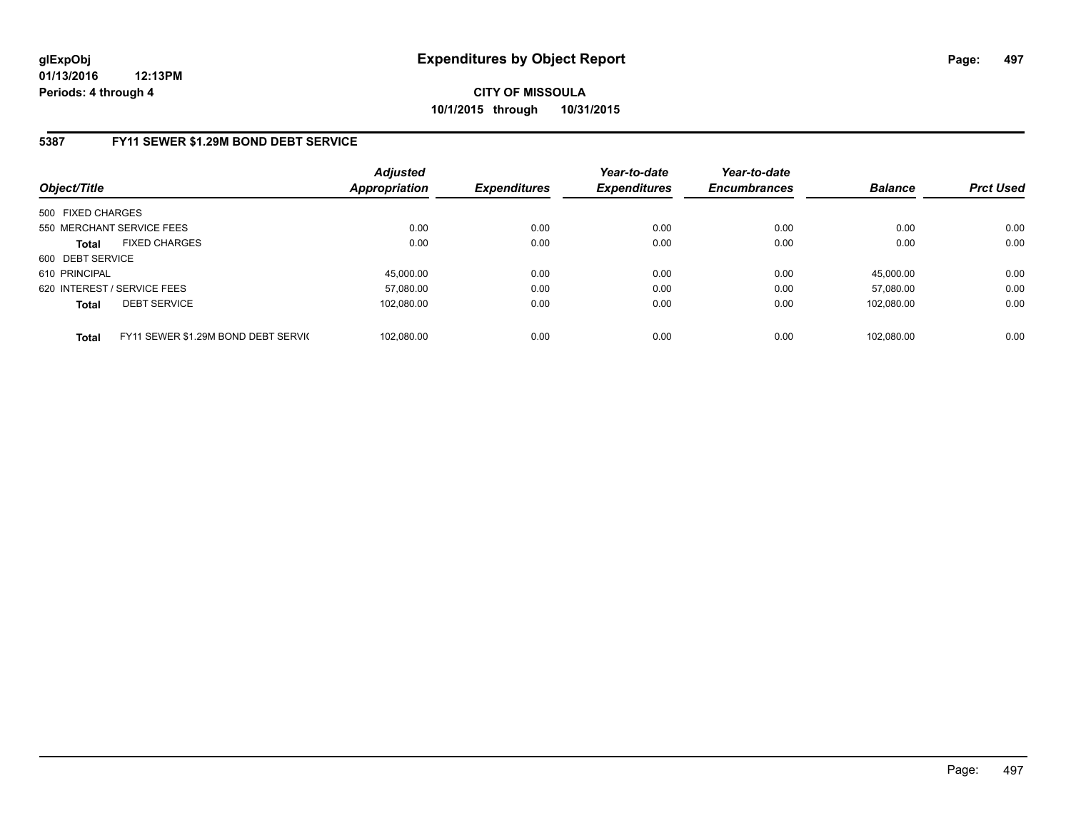## **5387 FY11 SEWER \$1.29M BOND DEBT SERVICE**

| Object/Title      |                                     | Adjusted<br><b>Appropriation</b> | <b>Expenditures</b> | Year-to-date<br><b>Expenditures</b> | Year-to-date<br><b>Encumbrances</b> | <b>Balance</b> | <b>Prct Used</b> |
|-------------------|-------------------------------------|----------------------------------|---------------------|-------------------------------------|-------------------------------------|----------------|------------------|
| 500 FIXED CHARGES |                                     |                                  |                     |                                     |                                     |                |                  |
|                   | 550 MERCHANT SERVICE FEES           | 0.00                             | 0.00                | 0.00                                | 0.00                                | 0.00           | 0.00             |
| <b>Total</b>      | <b>FIXED CHARGES</b>                | 0.00                             | 0.00                | 0.00                                | 0.00                                | 0.00           | 0.00             |
| 600 DEBT SERVICE  |                                     |                                  |                     |                                     |                                     |                |                  |
| 610 PRINCIPAL     |                                     | 45.000.00                        | 0.00                | 0.00                                | 0.00                                | 45.000.00      | 0.00             |
|                   | 620 INTEREST / SERVICE FEES         | 57.080.00                        | 0.00                | 0.00                                | 0.00                                | 57.080.00      | 0.00             |
| <b>Total</b>      | <b>DEBT SERVICE</b>                 | 102.080.00                       | 0.00                | 0.00                                | 0.00                                | 102.080.00     | 0.00             |
| <b>Total</b>      | FY11 SEWER \$1.29M BOND DEBT SERVIC | 102.080.00                       | 0.00                | 0.00                                | 0.00                                | 102.080.00     | 0.00             |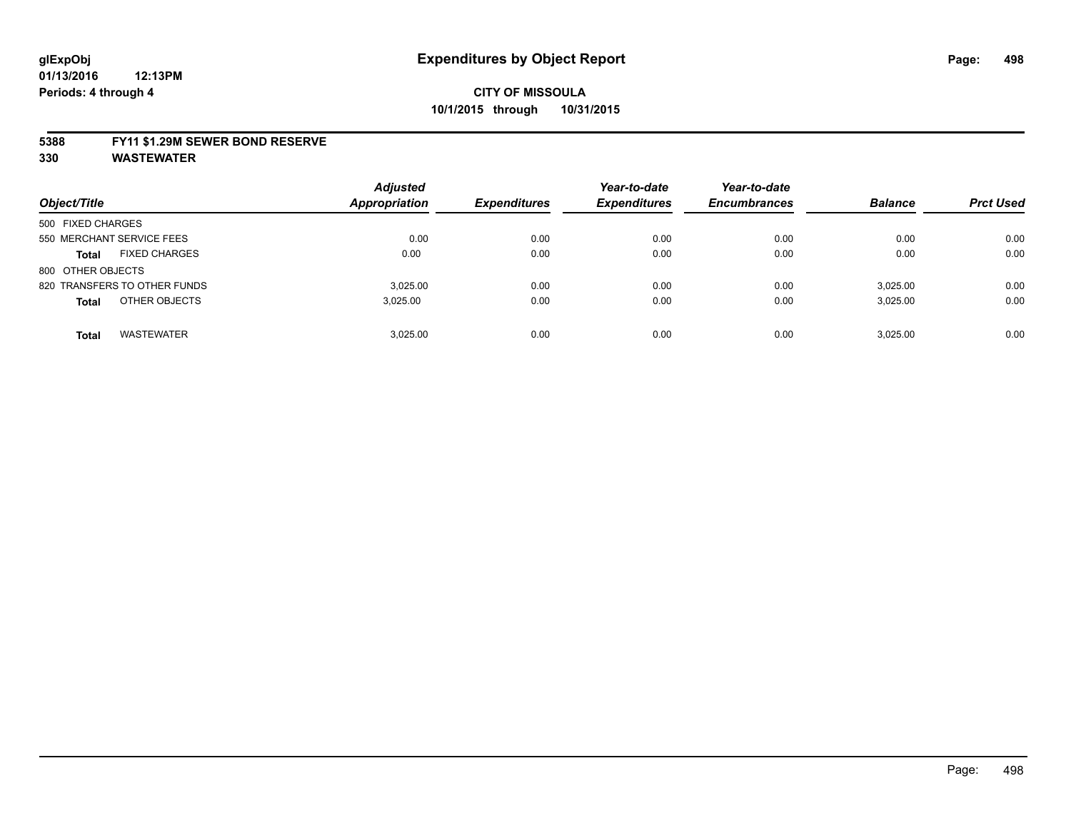#### **5388 FY11 \$1.29M SEWER BOND RESERVE**

| Object/Title                         | <b>Adjusted</b><br><b>Appropriation</b> | <b>Expenditures</b> | Year-to-date<br><b>Expenditures</b> | Year-to-date<br><b>Encumbrances</b> | <b>Balance</b> | <b>Prct Used</b> |
|--------------------------------------|-----------------------------------------|---------------------|-------------------------------------|-------------------------------------|----------------|------------------|
| 500 FIXED CHARGES                    |                                         |                     |                                     |                                     |                |                  |
| 550 MERCHANT SERVICE FEES            | 0.00                                    | 0.00                | 0.00                                | 0.00                                | 0.00           | 0.00             |
| <b>FIXED CHARGES</b><br><b>Total</b> | 0.00                                    | 0.00                | 0.00                                | 0.00                                | 0.00           | 0.00             |
| 800 OTHER OBJECTS                    |                                         |                     |                                     |                                     |                |                  |
| 820 TRANSFERS TO OTHER FUNDS         | 3.025.00                                | 0.00                | 0.00                                | 0.00                                | 3,025.00       | 0.00             |
| OTHER OBJECTS<br><b>Total</b>        | 3,025.00                                | 0.00                | 0.00                                | 0.00                                | 3,025.00       | 0.00             |
| <b>WASTEWATER</b><br><b>Total</b>    | 3.025.00                                | 0.00                | 0.00                                | 0.00                                | 3.025.00       | 0.00             |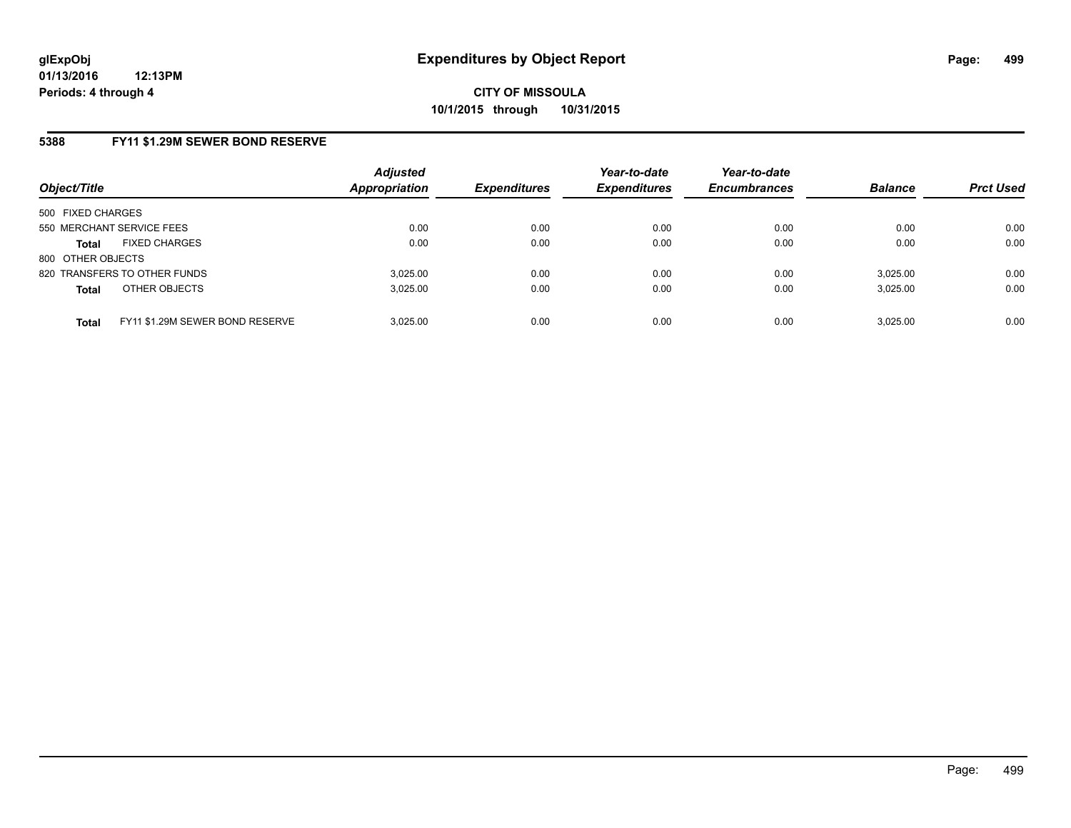### **5388 FY11 \$1.29M SEWER BOND RESERVE**

| Object/Title              |                                 | <b>Adjusted</b><br><b>Appropriation</b> | <b>Expenditures</b> | Year-to-date<br><b>Expenditures</b> | Year-to-date<br><b>Encumbrances</b> | <b>Balance</b> | <b>Prct Used</b> |
|---------------------------|---------------------------------|-----------------------------------------|---------------------|-------------------------------------|-------------------------------------|----------------|------------------|
| 500 FIXED CHARGES         |                                 |                                         |                     |                                     |                                     |                |                  |
| 550 MERCHANT SERVICE FEES |                                 | 0.00                                    | 0.00                | 0.00                                | 0.00                                | 0.00           | 0.00             |
| <b>Total</b>              | <b>FIXED CHARGES</b>            | 0.00                                    | 0.00                | 0.00                                | 0.00                                | 0.00           | 0.00             |
| 800 OTHER OBJECTS         |                                 |                                         |                     |                                     |                                     |                |                  |
|                           | 820 TRANSFERS TO OTHER FUNDS    | 3.025.00                                | 0.00                | 0.00                                | 0.00                                | 3.025.00       | 0.00             |
| <b>Total</b>              | OTHER OBJECTS                   | 3.025.00                                | 0.00                | 0.00                                | 0.00                                | 3,025.00       | 0.00             |
| <b>Total</b>              | FY11 \$1.29M SEWER BOND RESERVE | 3.025.00                                | 0.00                | 0.00                                | 0.00                                | 3.025.00       | 0.00             |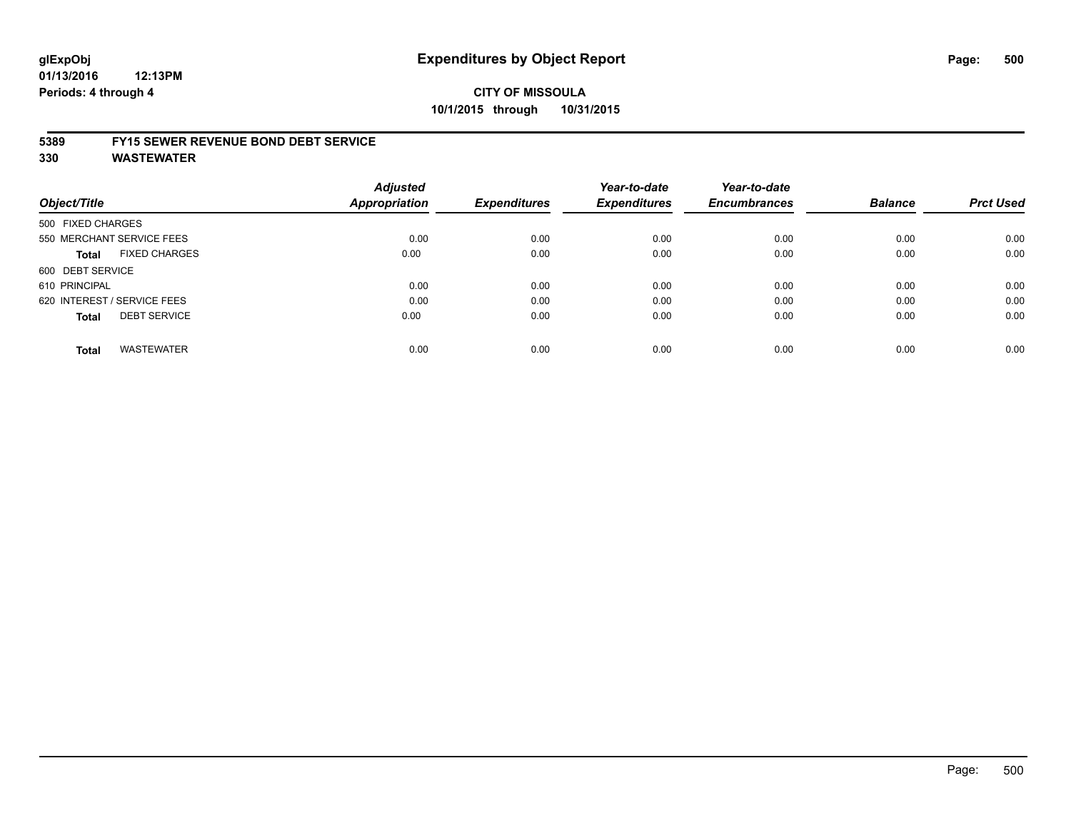#### **01/13/2016 12:13PM Periods: 4 through 4**

# **CITY OF MISSOULA 10/1/2015 through 10/31/2015**

#### **5389 FY15 SEWER REVENUE BOND DEBT SERVICE**

| Object/Title                |                           | <b>Adjusted</b><br>Appropriation | <b>Expenditures</b> | Year-to-date<br><b>Expenditures</b> | Year-to-date<br><b>Encumbrances</b> | <b>Balance</b> | <b>Prct Used</b> |
|-----------------------------|---------------------------|----------------------------------|---------------------|-------------------------------------|-------------------------------------|----------------|------------------|
| 500 FIXED CHARGES           |                           |                                  |                     |                                     |                                     |                |                  |
|                             | 550 MERCHANT SERVICE FEES | 0.00                             | 0.00                | 0.00                                | 0.00                                | 0.00           | 0.00             |
| Total                       | <b>FIXED CHARGES</b>      | 0.00                             | 0.00                | 0.00                                | 0.00                                | 0.00           | 0.00             |
| 600 DEBT SERVICE            |                           |                                  |                     |                                     |                                     |                |                  |
| 610 PRINCIPAL               |                           | 0.00                             | 0.00                | 0.00                                | 0.00                                | 0.00           | 0.00             |
| 620 INTEREST / SERVICE FEES |                           | 0.00                             | 0.00                | 0.00                                | 0.00                                | 0.00           | 0.00             |
| <b>Total</b>                | <b>DEBT SERVICE</b>       | 0.00                             | 0.00                | 0.00                                | 0.00                                | 0.00           | 0.00             |
| <b>Total</b>                | <b>WASTEWATER</b>         | 0.00                             | 0.00                | 0.00                                | 0.00                                | 0.00           | 0.00             |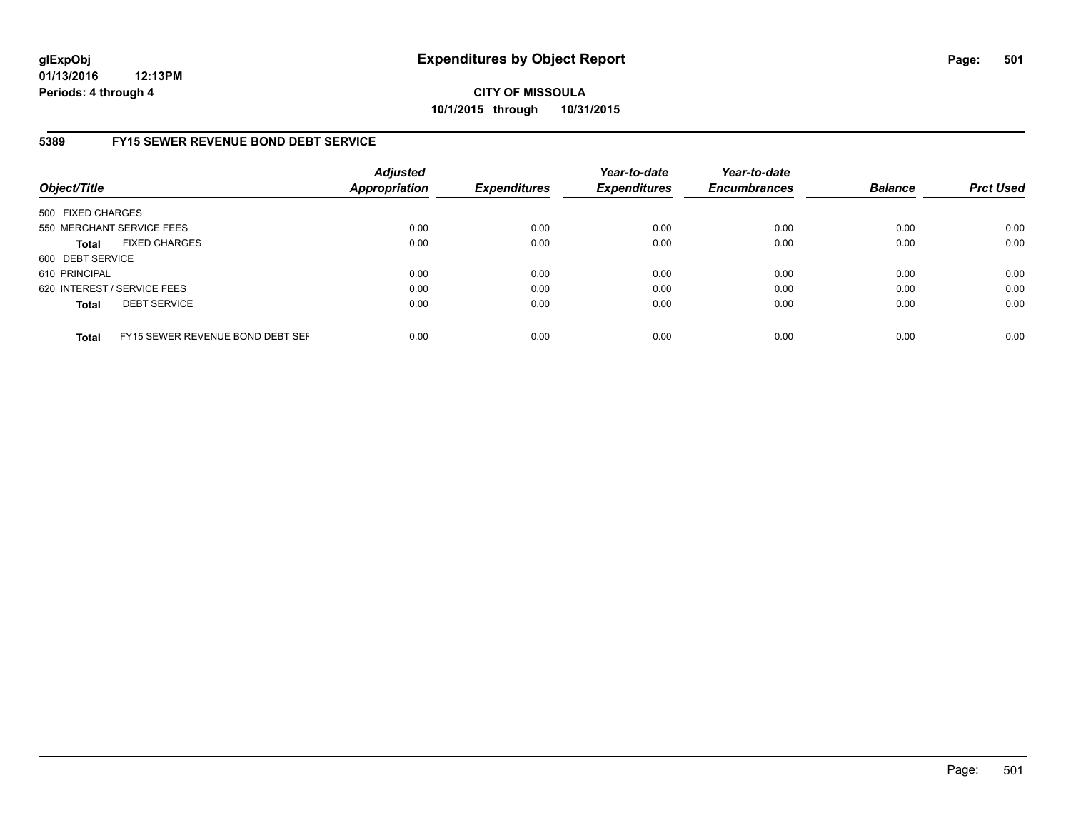**01/13/2016 12:13PM Periods: 4 through 4**

**CITY OF MISSOULA 10/1/2015 through 10/31/2015**

### **5389 FY15 SEWER REVENUE BOND DEBT SERVICE**

| Object/Title      |                                  | <b>Adjusted</b><br><b>Appropriation</b> | <b>Expenditures</b> | Year-to-date<br><b>Expenditures</b> | Year-to-date<br><b>Encumbrances</b> | <b>Balance</b> | <b>Prct Used</b> |
|-------------------|----------------------------------|-----------------------------------------|---------------------|-------------------------------------|-------------------------------------|----------------|------------------|
| 500 FIXED CHARGES |                                  |                                         |                     |                                     |                                     |                |                  |
|                   | 550 MERCHANT SERVICE FEES        | 0.00                                    | 0.00                | 0.00                                | 0.00                                | 0.00           | 0.00             |
| <b>Total</b>      | <b>FIXED CHARGES</b>             | 0.00                                    | 0.00                | 0.00                                | 0.00                                | 0.00           | 0.00             |
| 600 DEBT SERVICE  |                                  |                                         |                     |                                     |                                     |                |                  |
| 610 PRINCIPAL     |                                  | 0.00                                    | 0.00                | 0.00                                | 0.00                                | 0.00           | 0.00             |
|                   | 620 INTEREST / SERVICE FEES      | 0.00                                    | 0.00                | 0.00                                | 0.00                                | 0.00           | 0.00             |
| <b>Total</b>      | <b>DEBT SERVICE</b>              | 0.00                                    | 0.00                | 0.00                                | 0.00                                | 0.00           | 0.00             |
| <b>Total</b>      | FY15 SEWER REVENUE BOND DEBT SEF | 0.00                                    | 0.00                | 0.00                                | 0.00                                | 0.00           | 0.00             |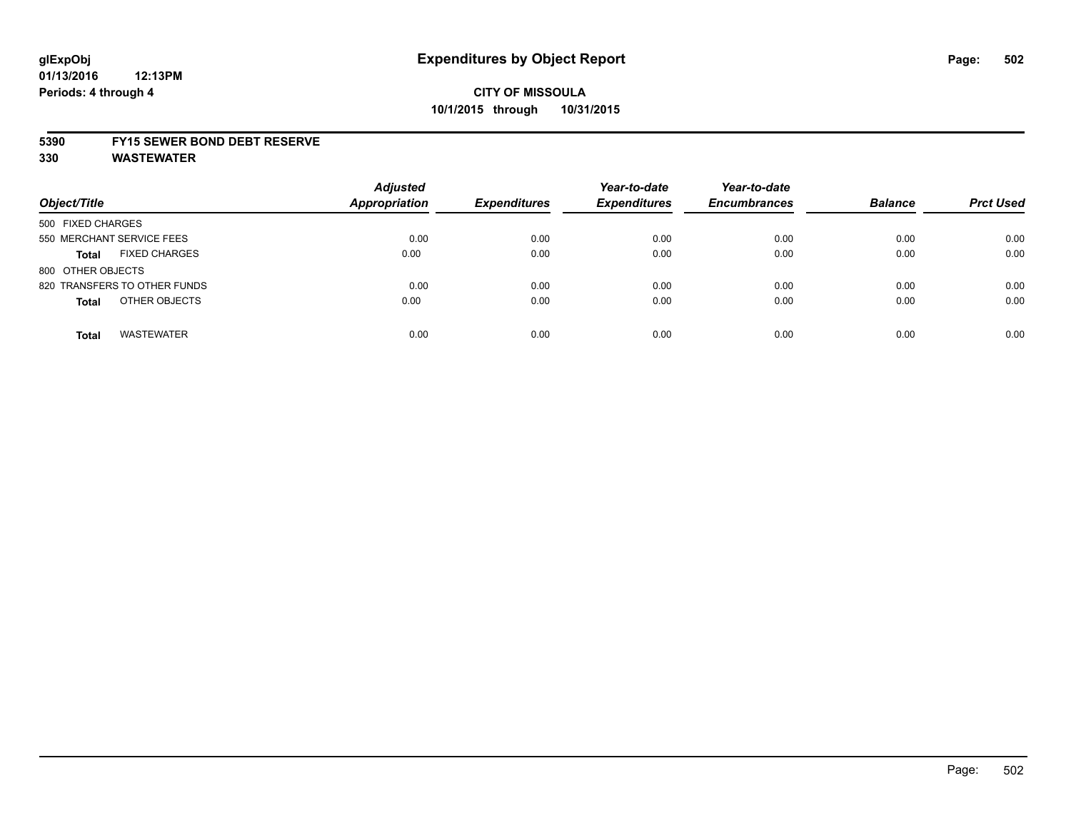#### **5390 FY15 SEWER BOND DEBT RESERVE**

| Object/Title                         | <b>Adjusted</b><br><b>Appropriation</b> | <b>Expenditures</b> | Year-to-date<br><b>Expenditures</b> | Year-to-date<br><b>Encumbrances</b> | <b>Balance</b> | <b>Prct Used</b> |
|--------------------------------------|-----------------------------------------|---------------------|-------------------------------------|-------------------------------------|----------------|------------------|
| 500 FIXED CHARGES                    |                                         |                     |                                     |                                     |                |                  |
| 550 MERCHANT SERVICE FEES            | 0.00                                    | 0.00                | 0.00                                | 0.00                                | 0.00           | 0.00             |
| <b>FIXED CHARGES</b><br><b>Total</b> | 0.00                                    | 0.00                | 0.00                                | 0.00                                | 0.00           | 0.00             |
| 800 OTHER OBJECTS                    |                                         |                     |                                     |                                     |                |                  |
| 820 TRANSFERS TO OTHER FUNDS         | 0.00                                    | 0.00                | 0.00                                | 0.00                                | 0.00           | 0.00             |
| OTHER OBJECTS<br><b>Total</b>        | 0.00                                    | 0.00                | 0.00                                | 0.00                                | 0.00           | 0.00             |
| <b>WASTEWATER</b><br><b>Total</b>    | 0.00                                    | 0.00                | 0.00                                | 0.00                                | 0.00           | 0.00             |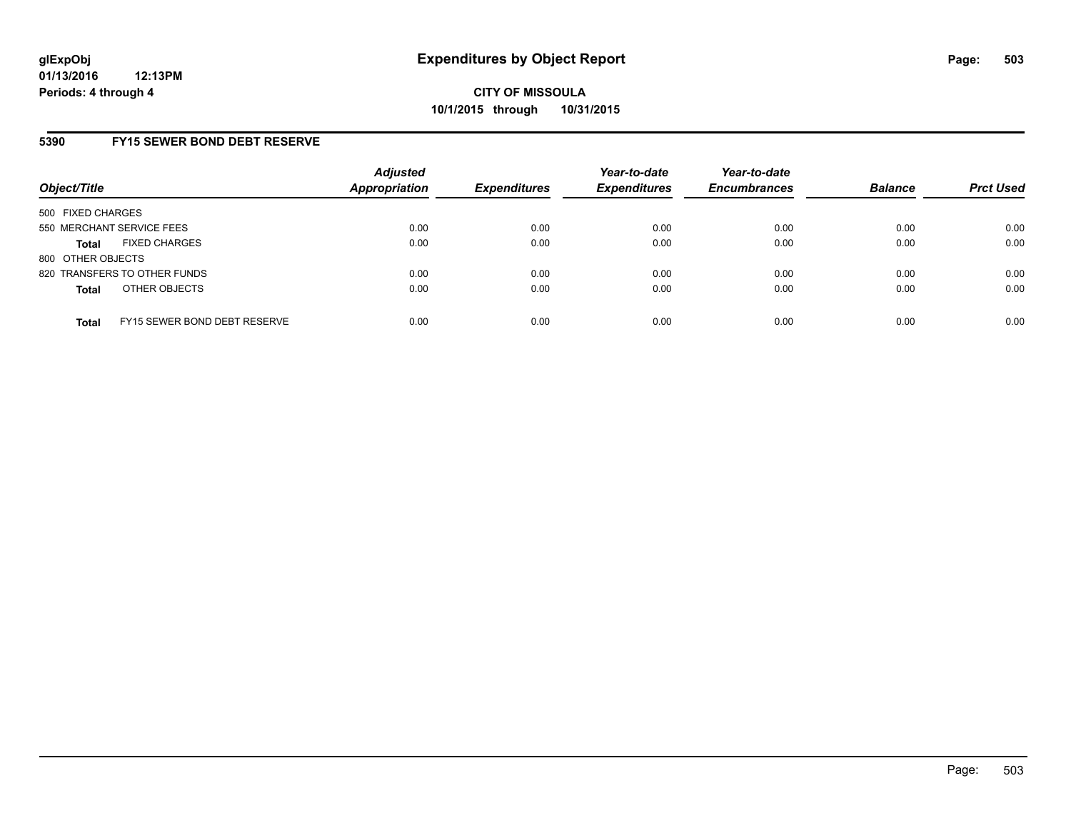## **5390 FY15 SEWER BOND DEBT RESERVE**

| Object/Title              |                              | <b>Adjusted</b><br><b>Appropriation</b> | <b>Expenditures</b> | Year-to-date<br><b>Expenditures</b> | Year-to-date<br><b>Encumbrances</b> | <b>Balance</b> | <b>Prct Used</b> |
|---------------------------|------------------------------|-----------------------------------------|---------------------|-------------------------------------|-------------------------------------|----------------|------------------|
| 500 FIXED CHARGES         |                              |                                         |                     |                                     |                                     |                |                  |
| 550 MERCHANT SERVICE FEES |                              | 0.00                                    | 0.00                | 0.00                                | 0.00                                | 0.00           | 0.00             |
| Total                     | <b>FIXED CHARGES</b>         | 0.00                                    | 0.00                | 0.00                                | 0.00                                | 0.00           | 0.00             |
| 800 OTHER OBJECTS         |                              |                                         |                     |                                     |                                     |                |                  |
|                           | 820 TRANSFERS TO OTHER FUNDS | 0.00                                    | 0.00                | 0.00                                | 0.00                                | 0.00           | 0.00             |
| <b>Total</b>              | OTHER OBJECTS                | 0.00                                    | 0.00                | 0.00                                | 0.00                                | 0.00           | 0.00             |
| <b>Total</b>              | FY15 SEWER BOND DEBT RESERVE | 0.00                                    | 0.00                | 0.00                                | 0.00                                | 0.00           | 0.00             |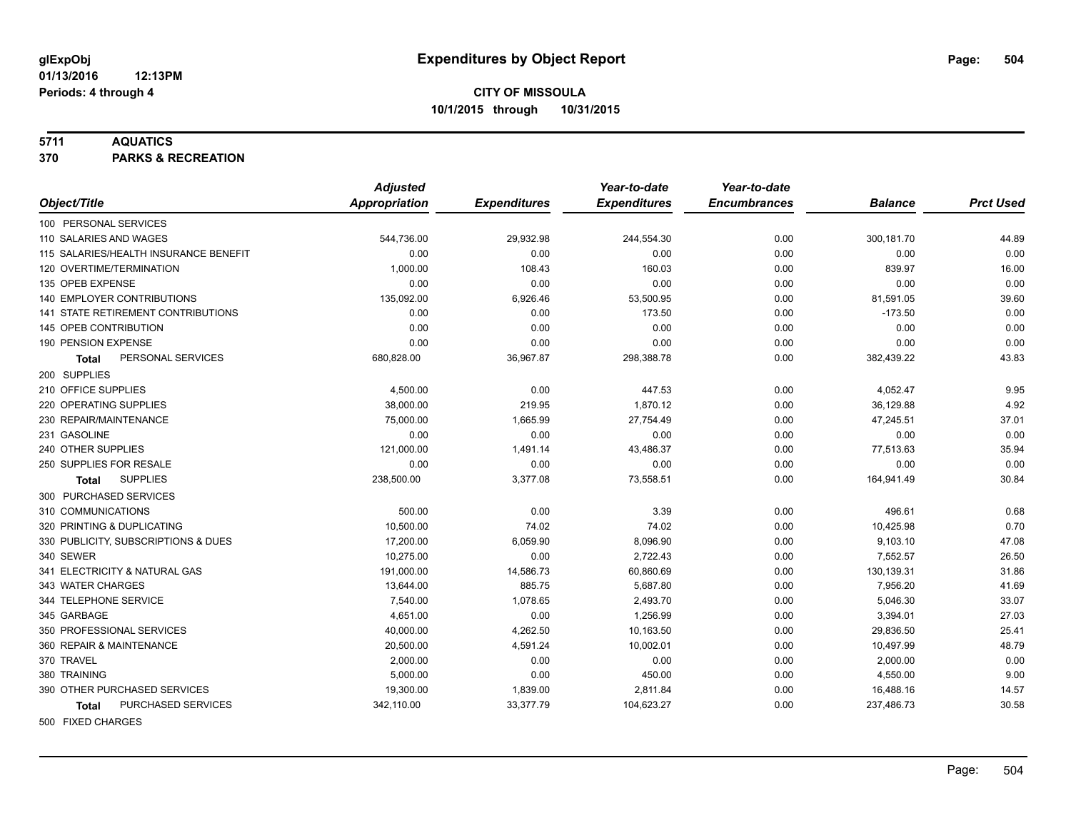#### **5711 AQUATICS**

**370 PARKS & RECREATION**

|                                       | <b>Adjusted</b>      |                     | Year-to-date        | Year-to-date        |                |                  |
|---------------------------------------|----------------------|---------------------|---------------------|---------------------|----------------|------------------|
| Object/Title                          | <b>Appropriation</b> | <b>Expenditures</b> | <b>Expenditures</b> | <b>Encumbrances</b> | <b>Balance</b> | <b>Prct Used</b> |
| 100 PERSONAL SERVICES                 |                      |                     |                     |                     |                |                  |
| 110 SALARIES AND WAGES                | 544,736.00           | 29,932.98           | 244,554.30          | 0.00                | 300,181.70     | 44.89            |
| 115 SALARIES/HEALTH INSURANCE BENEFIT | 0.00                 | 0.00                | 0.00                | 0.00                | 0.00           | 0.00             |
| 120 OVERTIME/TERMINATION              | 1,000.00             | 108.43              | 160.03              | 0.00                | 839.97         | 16.00            |
| 135 OPEB EXPENSE                      | 0.00                 | 0.00                | 0.00                | 0.00                | 0.00           | 0.00             |
| <b>140 EMPLOYER CONTRIBUTIONS</b>     | 135,092.00           | 6,926.46            | 53,500.95           | 0.00                | 81,591.05      | 39.60            |
| 141 STATE RETIREMENT CONTRIBUTIONS    | 0.00                 | 0.00                | 173.50              | 0.00                | $-173.50$      | 0.00             |
| 145 OPEB CONTRIBUTION                 | 0.00                 | 0.00                | 0.00                | 0.00                | 0.00           | 0.00             |
| 190 PENSION EXPENSE                   | 0.00                 | 0.00                | 0.00                | 0.00                | 0.00           | 0.00             |
| PERSONAL SERVICES<br>Total            | 680,828.00           | 36,967.87           | 298,388.78          | 0.00                | 382,439.22     | 43.83            |
| 200 SUPPLIES                          |                      |                     |                     |                     |                |                  |
| 210 OFFICE SUPPLIES                   | 4,500.00             | 0.00                | 447.53              | 0.00                | 4,052.47       | 9.95             |
| 220 OPERATING SUPPLIES                | 38,000.00            | 219.95              | 1,870.12            | 0.00                | 36,129.88      | 4.92             |
| 230 REPAIR/MAINTENANCE                | 75,000.00            | 1,665.99            | 27,754.49           | 0.00                | 47,245.51      | 37.01            |
| 231 GASOLINE                          | 0.00                 | 0.00                | 0.00                | 0.00                | 0.00           | 0.00             |
| 240 OTHER SUPPLIES                    | 121,000.00           | 1,491.14            | 43,486.37           | 0.00                | 77,513.63      | 35.94            |
| 250 SUPPLIES FOR RESALE               | 0.00                 | 0.00                | 0.00                | 0.00                | 0.00           | 0.00             |
| <b>SUPPLIES</b><br>Total              | 238,500.00           | 3,377.08            | 73,558.51           | 0.00                | 164,941.49     | 30.84            |
| 300 PURCHASED SERVICES                |                      |                     |                     |                     |                |                  |
| 310 COMMUNICATIONS                    | 500.00               | 0.00                | 3.39                | 0.00                | 496.61         | 0.68             |
| 320 PRINTING & DUPLICATING            | 10,500.00            | 74.02               | 74.02               | 0.00                | 10,425.98      | 0.70             |
| 330 PUBLICITY, SUBSCRIPTIONS & DUES   | 17,200.00            | 6,059.90            | 8,096.90            | 0.00                | 9,103.10       | 47.08            |
| 340 SEWER                             | 10,275.00            | 0.00                | 2,722.43            | 0.00                | 7,552.57       | 26.50            |
| 341 ELECTRICITY & NATURAL GAS         | 191,000.00           | 14,586.73           | 60,860.69           | 0.00                | 130,139.31     | 31.86            |
| 343 WATER CHARGES                     | 13,644.00            | 885.75              | 5,687.80            | 0.00                | 7,956.20       | 41.69            |
| 344 TELEPHONE SERVICE                 | 7,540.00             | 1,078.65            | 2,493.70            | 0.00                | 5,046.30       | 33.07            |
| 345 GARBAGE                           | 4,651.00             | 0.00                | 1,256.99            | 0.00                | 3,394.01       | 27.03            |
| 350 PROFESSIONAL SERVICES             | 40,000.00            | 4,262.50            | 10,163.50           | 0.00                | 29,836.50      | 25.41            |
| 360 REPAIR & MAINTENANCE              | 20,500.00            | 4,591.24            | 10,002.01           | 0.00                | 10,497.99      | 48.79            |
| 370 TRAVEL                            | 2,000.00             | 0.00                | 0.00                | 0.00                | 2,000.00       | 0.00             |
| 380 TRAINING                          | 5,000.00             | 0.00                | 450.00              | 0.00                | 4,550.00       | 9.00             |
| 390 OTHER PURCHASED SERVICES          | 19,300.00            | 1,839.00            | 2,811.84            | 0.00                | 16,488.16      | 14.57            |
| PURCHASED SERVICES<br><b>Total</b>    | 342,110.00           | 33,377.79           | 104,623.27          | 0.00                | 237,486.73     | 30.58            |
| FOR FIVED OUADOED                     |                      |                     |                     |                     |                |                  |

500 FIXED CHARGES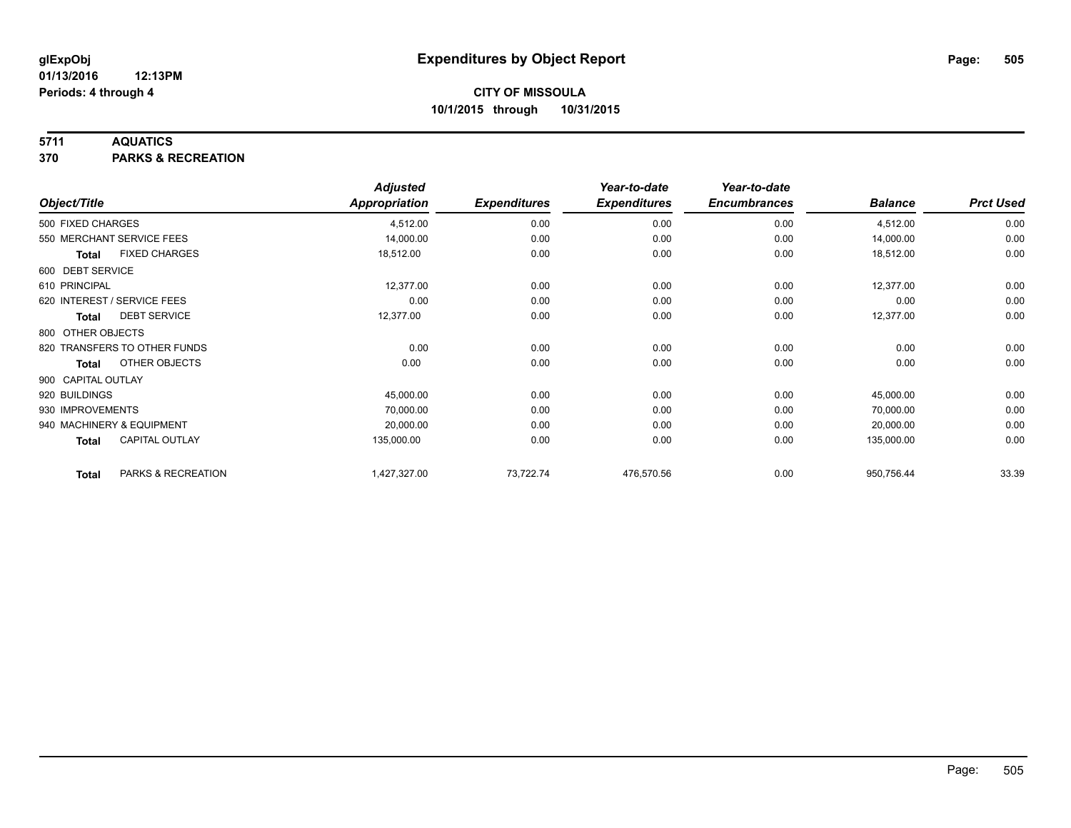### **5711 AQUATICS**

**370 PARKS & RECREATION**

|                    |                              | <b>Adjusted</b>      |                     | Year-to-date        | Year-to-date        |                |                  |
|--------------------|------------------------------|----------------------|---------------------|---------------------|---------------------|----------------|------------------|
| Object/Title       |                              | <b>Appropriation</b> | <b>Expenditures</b> | <b>Expenditures</b> | <b>Encumbrances</b> | <b>Balance</b> | <b>Prct Used</b> |
| 500 FIXED CHARGES  |                              | 4,512.00             | 0.00                | 0.00                | 0.00                | 4,512.00       | 0.00             |
|                    | 550 MERCHANT SERVICE FEES    | 14,000.00            | 0.00                | 0.00                | 0.00                | 14,000.00      | 0.00             |
| <b>Total</b>       | <b>FIXED CHARGES</b>         | 18,512.00            | 0.00                | 0.00                | 0.00                | 18,512.00      | 0.00             |
| 600 DEBT SERVICE   |                              |                      |                     |                     |                     |                |                  |
| 610 PRINCIPAL      |                              | 12,377.00            | 0.00                | 0.00                | 0.00                | 12,377.00      | 0.00             |
|                    | 620 INTEREST / SERVICE FEES  | 0.00                 | 0.00                | 0.00                | 0.00                | 0.00           | 0.00             |
| Total              | <b>DEBT SERVICE</b>          | 12,377.00            | 0.00                | 0.00                | 0.00                | 12,377.00      | 0.00             |
| 800 OTHER OBJECTS  |                              |                      |                     |                     |                     |                |                  |
|                    | 820 TRANSFERS TO OTHER FUNDS | 0.00                 | 0.00                | 0.00                | 0.00                | 0.00           | 0.00             |
| Total              | OTHER OBJECTS                | 0.00                 | 0.00                | 0.00                | 0.00                | 0.00           | 0.00             |
| 900 CAPITAL OUTLAY |                              |                      |                     |                     |                     |                |                  |
| 920 BUILDINGS      |                              | 45,000.00            | 0.00                | 0.00                | 0.00                | 45,000.00      | 0.00             |
| 930 IMPROVEMENTS   |                              | 70,000.00            | 0.00                | 0.00                | 0.00                | 70,000.00      | 0.00             |
|                    | 940 MACHINERY & EQUIPMENT    | 20,000.00            | 0.00                | 0.00                | 0.00                | 20,000.00      | 0.00             |
| <b>Total</b>       | <b>CAPITAL OUTLAY</b>        | 135,000.00           | 0.00                | 0.00                | 0.00                | 135,000.00     | 0.00             |
| <b>Total</b>       | PARKS & RECREATION           | 1,427,327.00         | 73,722.74           | 476,570.56          | 0.00                | 950,756.44     | 33.39            |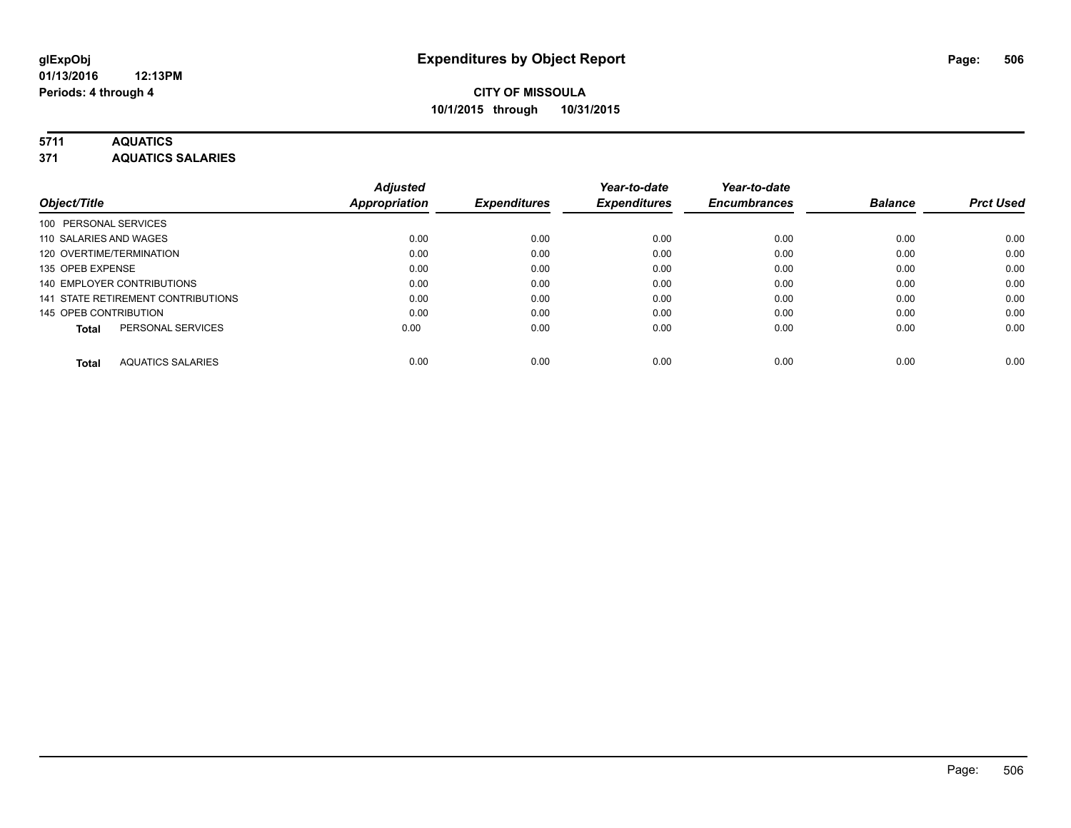# **5711 AQUATICS**

**371 AQUATICS SALARIES**

| Object/Title                             | <b>Adjusted</b><br><b>Appropriation</b> | <b>Expenditures</b> | Year-to-date<br><b>Expenditures</b> | Year-to-date<br><b>Encumbrances</b> | <b>Balance</b> | <b>Prct Used</b> |
|------------------------------------------|-----------------------------------------|---------------------|-------------------------------------|-------------------------------------|----------------|------------------|
| 100 PERSONAL SERVICES                    |                                         |                     |                                     |                                     |                |                  |
| 110 SALARIES AND WAGES                   | 0.00                                    | 0.00                | 0.00                                | 0.00                                | 0.00           | 0.00             |
| 120 OVERTIME/TERMINATION                 | 0.00                                    | 0.00                | 0.00                                | 0.00                                | 0.00           | 0.00             |
| 135 OPEB EXPENSE                         | 0.00                                    | 0.00                | 0.00                                | 0.00                                | 0.00           | 0.00             |
| 140 EMPLOYER CONTRIBUTIONS               | 0.00                                    | 0.00                | 0.00                                | 0.00                                | 0.00           | 0.00             |
| 141 STATE RETIREMENT CONTRIBUTIONS       | 0.00                                    | 0.00                | 0.00                                | 0.00                                | 0.00           | 0.00             |
| 145 OPEB CONTRIBUTION                    | 0.00                                    | 0.00                | 0.00                                | 0.00                                | 0.00           | 0.00             |
| PERSONAL SERVICES<br><b>Total</b>        | 0.00                                    | 0.00                | 0.00                                | 0.00                                | 0.00           | 0.00             |
| <b>AQUATICS SALARIES</b><br><b>Total</b> | 0.00                                    | 0.00                | 0.00                                | 0.00                                | 0.00           | 0.00             |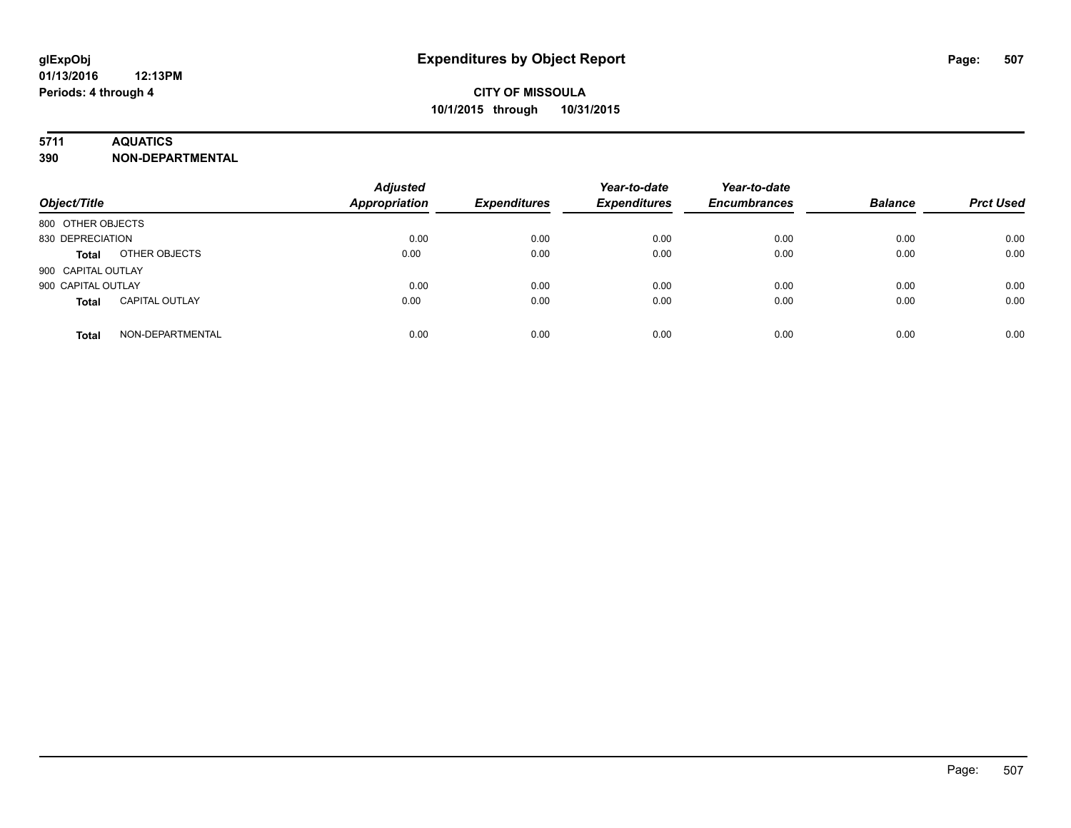## **5711 AQUATICS**

**390 NON-DEPARTMENTAL**

| Object/Title                          | <b>Adjusted</b><br><b>Appropriation</b> | <b>Expenditures</b> | Year-to-date<br><b>Expenditures</b> | Year-to-date<br><b>Encumbrances</b> | <b>Balance</b> | <b>Prct Used</b> |
|---------------------------------------|-----------------------------------------|---------------------|-------------------------------------|-------------------------------------|----------------|------------------|
| 800 OTHER OBJECTS                     |                                         |                     |                                     |                                     |                |                  |
| 830 DEPRECIATION                      | 0.00                                    | 0.00                | 0.00                                | 0.00                                | 0.00           | 0.00             |
| OTHER OBJECTS<br><b>Total</b>         | 0.00                                    | 0.00                | 0.00                                | 0.00                                | 0.00           | 0.00             |
| 900 CAPITAL OUTLAY                    |                                         |                     |                                     |                                     |                |                  |
| 900 CAPITAL OUTLAY                    | 0.00                                    | 0.00                | 0.00                                | 0.00                                | 0.00           | 0.00             |
| <b>CAPITAL OUTLAY</b><br><b>Total</b> | 0.00                                    | 0.00                | 0.00                                | 0.00                                | 0.00           | 0.00             |
| NON-DEPARTMENTAL<br><b>Total</b>      | 0.00                                    | 0.00                | 0.00                                | 0.00                                | 0.00           | 0.00             |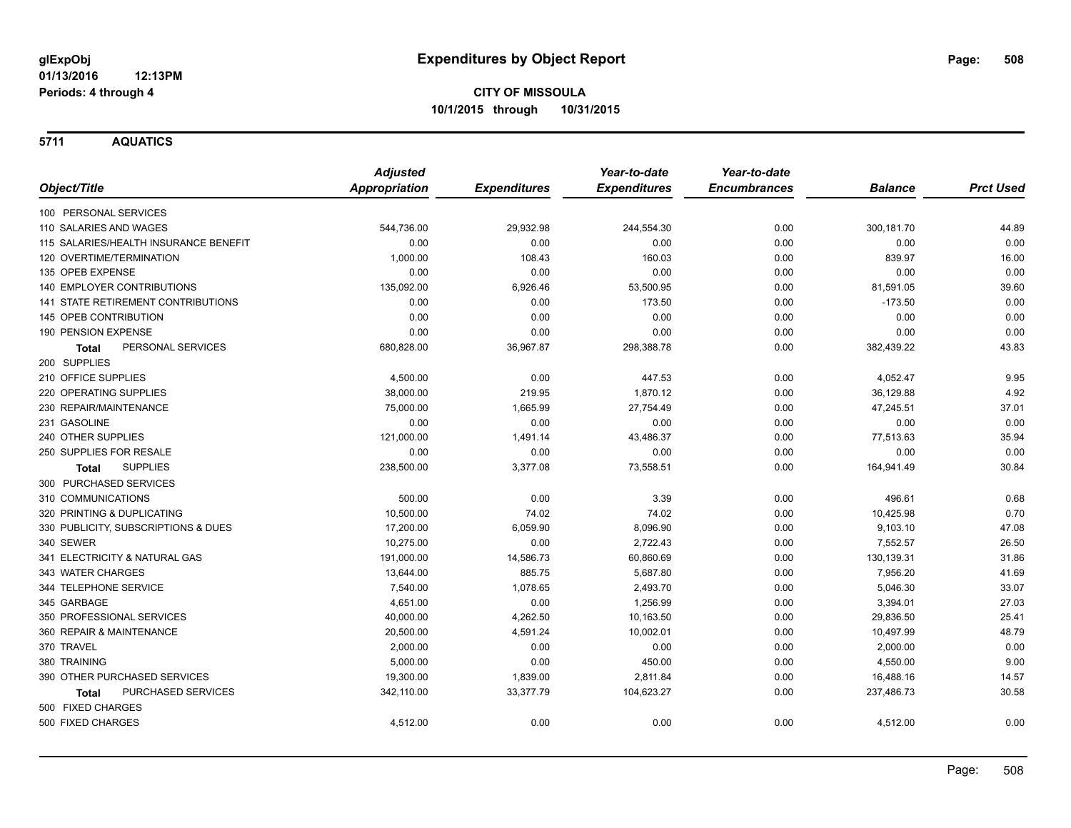**5711 AQUATICS**

|                                           | <b>Adjusted</b>      |                     | Year-to-date        | Year-to-date        |                |                  |
|-------------------------------------------|----------------------|---------------------|---------------------|---------------------|----------------|------------------|
| Object/Title                              | <b>Appropriation</b> | <b>Expenditures</b> | <b>Expenditures</b> | <b>Encumbrances</b> | <b>Balance</b> | <b>Prct Used</b> |
| 100 PERSONAL SERVICES                     |                      |                     |                     |                     |                |                  |
| 110 SALARIES AND WAGES                    | 544,736.00           | 29,932.98           | 244,554.30          | 0.00                | 300,181.70     | 44.89            |
| 115 SALARIES/HEALTH INSURANCE BENEFIT     | 0.00                 | 0.00                | 0.00                | 0.00                | 0.00           | 0.00             |
| 120 OVERTIME/TERMINATION                  | 1,000.00             | 108.43              | 160.03              | 0.00                | 839.97         | 16.00            |
| 135 OPEB EXPENSE                          | 0.00                 | 0.00                | 0.00                | 0.00                | 0.00           | 0.00             |
| <b>140 EMPLOYER CONTRIBUTIONS</b>         | 135,092.00           | 6,926.46            | 53,500.95           | 0.00                | 81,591.05      | 39.60            |
| <b>141 STATE RETIREMENT CONTRIBUTIONS</b> | 0.00                 | 0.00                | 173.50              | 0.00                | $-173.50$      | 0.00             |
| 145 OPEB CONTRIBUTION                     | 0.00                 | 0.00                | 0.00                | 0.00                | 0.00           | 0.00             |
| 190 PENSION EXPENSE                       | 0.00                 | 0.00                | 0.00                | 0.00                | 0.00           | 0.00             |
| PERSONAL SERVICES<br><b>Total</b>         | 680,828.00           | 36,967.87           | 298,388.78          | 0.00                | 382,439.22     | 43.83            |
| 200 SUPPLIES                              |                      |                     |                     |                     |                |                  |
| 210 OFFICE SUPPLIES                       | 4,500.00             | 0.00                | 447.53              | 0.00                | 4,052.47       | 9.95             |
| 220 OPERATING SUPPLIES                    | 38,000.00            | 219.95              | 1,870.12            | 0.00                | 36,129.88      | 4.92             |
| 230 REPAIR/MAINTENANCE                    | 75,000.00            | 1,665.99            | 27,754.49           | 0.00                | 47,245.51      | 37.01            |
| 231 GASOLINE                              | 0.00                 | 0.00                | 0.00                | 0.00                | 0.00           | 0.00             |
| 240 OTHER SUPPLIES                        | 121,000.00           | 1,491.14            | 43,486.37           | 0.00                | 77,513.63      | 35.94            |
| 250 SUPPLIES FOR RESALE                   | 0.00                 | 0.00                | 0.00                | 0.00                | 0.00           | 0.00             |
| <b>SUPPLIES</b><br><b>Total</b>           | 238,500.00           | 3,377.08            | 73,558.51           | 0.00                | 164,941.49     | 30.84            |
| 300 PURCHASED SERVICES                    |                      |                     |                     |                     |                |                  |
| 310 COMMUNICATIONS                        | 500.00               | 0.00                | 3.39                | 0.00                | 496.61         | 0.68             |
| 320 PRINTING & DUPLICATING                | 10,500.00            | 74.02               | 74.02               | 0.00                | 10,425.98      | 0.70             |
| 330 PUBLICITY, SUBSCRIPTIONS & DUES       | 17,200.00            | 6,059.90            | 8,096.90            | 0.00                | 9,103.10       | 47.08            |
| 340 SEWER                                 | 10,275.00            | 0.00                | 2,722.43            | 0.00                | 7,552.57       | 26.50            |
| 341 ELECTRICITY & NATURAL GAS             | 191,000.00           | 14,586.73           | 60,860.69           | 0.00                | 130,139.31     | 31.86            |
| 343 WATER CHARGES                         | 13,644.00            | 885.75              | 5,687.80            | 0.00                | 7,956.20       | 41.69            |
| 344 TELEPHONE SERVICE                     | 7,540.00             | 1,078.65            | 2,493.70            | 0.00                | 5,046.30       | 33.07            |
| 345 GARBAGE                               | 4,651.00             | 0.00                | 1,256.99            | 0.00                | 3,394.01       | 27.03            |
| 350 PROFESSIONAL SERVICES                 | 40,000.00            | 4,262.50            | 10,163.50           | 0.00                | 29,836.50      | 25.41            |
| 360 REPAIR & MAINTENANCE                  | 20,500.00            | 4,591.24            | 10,002.01           | 0.00                | 10,497.99      | 48.79            |
| 370 TRAVEL                                | 2,000.00             | 0.00                | 0.00                | 0.00                | 2,000.00       | 0.00             |
| 380 TRAINING                              | 5,000.00             | 0.00                | 450.00              | 0.00                | 4,550.00       | 9.00             |
| 390 OTHER PURCHASED SERVICES              | 19,300.00            | 1,839.00            | 2,811.84            | 0.00                | 16,488.16      | 14.57            |
| PURCHASED SERVICES<br><b>Total</b>        | 342,110.00           | 33,377.79           | 104,623.27          | 0.00                | 237,486.73     | 30.58            |
| 500 FIXED CHARGES                         |                      |                     |                     |                     |                |                  |
| 500 FIXED CHARGES                         | 4,512.00             | 0.00                | 0.00                | 0.00                | 4,512.00       | 0.00             |
|                                           |                      |                     |                     |                     |                |                  |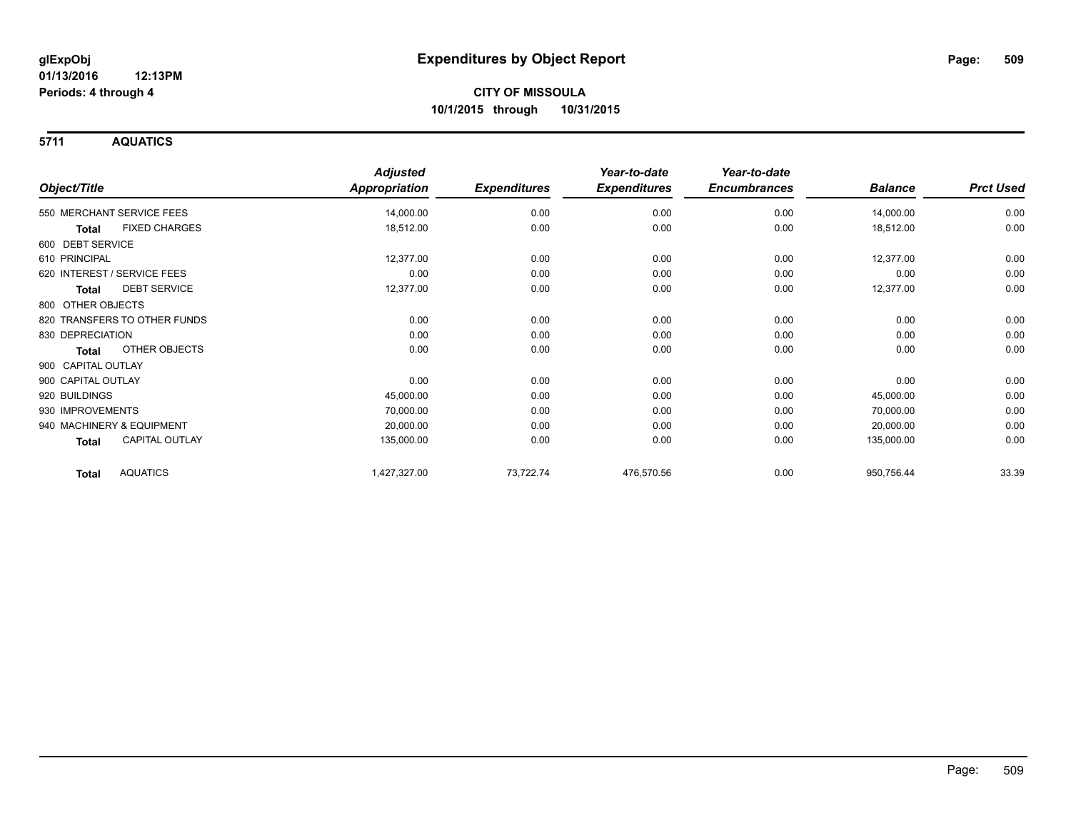**5711 AQUATICS**

|                                 | <b>Adjusted</b>      |                     | Year-to-date        | Year-to-date        |                |                  |
|---------------------------------|----------------------|---------------------|---------------------|---------------------|----------------|------------------|
| Object/Title                    | <b>Appropriation</b> | <b>Expenditures</b> | <b>Expenditures</b> | <b>Encumbrances</b> | <b>Balance</b> | <b>Prct Used</b> |
| 550 MERCHANT SERVICE FEES       | 14,000.00            | 0.00                | 0.00                | 0.00                | 14,000.00      | 0.00             |
| <b>FIXED CHARGES</b><br>Total   | 18,512.00            | 0.00                | 0.00                | 0.00                | 18,512.00      | 0.00             |
| 600 DEBT SERVICE                |                      |                     |                     |                     |                |                  |
| 610 PRINCIPAL                   | 12,377.00            | 0.00                | 0.00                | 0.00                | 12,377.00      | 0.00             |
| 620 INTEREST / SERVICE FEES     | 0.00                 | 0.00                | 0.00                | 0.00                | 0.00           | 0.00             |
| <b>DEBT SERVICE</b><br>Total    | 12,377.00            | 0.00                | 0.00                | 0.00                | 12,377.00      | 0.00             |
| 800 OTHER OBJECTS               |                      |                     |                     |                     |                |                  |
| 820 TRANSFERS TO OTHER FUNDS    | 0.00                 | 0.00                | 0.00                | 0.00                | 0.00           | 0.00             |
| 830 DEPRECIATION                | 0.00                 | 0.00                | 0.00                | 0.00                | 0.00           | 0.00             |
| OTHER OBJECTS<br>Total          | 0.00                 | 0.00                | 0.00                | 0.00                | 0.00           | 0.00             |
| 900 CAPITAL OUTLAY              |                      |                     |                     |                     |                |                  |
| 900 CAPITAL OUTLAY              | 0.00                 | 0.00                | 0.00                | 0.00                | 0.00           | 0.00             |
| 920 BUILDINGS                   | 45,000.00            | 0.00                | 0.00                | 0.00                | 45,000.00      | 0.00             |
| 930 IMPROVEMENTS                | 70,000.00            | 0.00                | 0.00                | 0.00                | 70,000.00      | 0.00             |
| 940 MACHINERY & EQUIPMENT       | 20,000.00            | 0.00                | 0.00                | 0.00                | 20,000.00      | 0.00             |
| CAPITAL OUTLAY<br>Total         | 135,000.00           | 0.00                | 0.00                | 0.00                | 135,000.00     | 0.00             |
| <b>AQUATICS</b><br><b>Total</b> | 1,427,327.00         | 73,722.74           | 476,570.56          | 0.00                | 950,756.44     | 33.39            |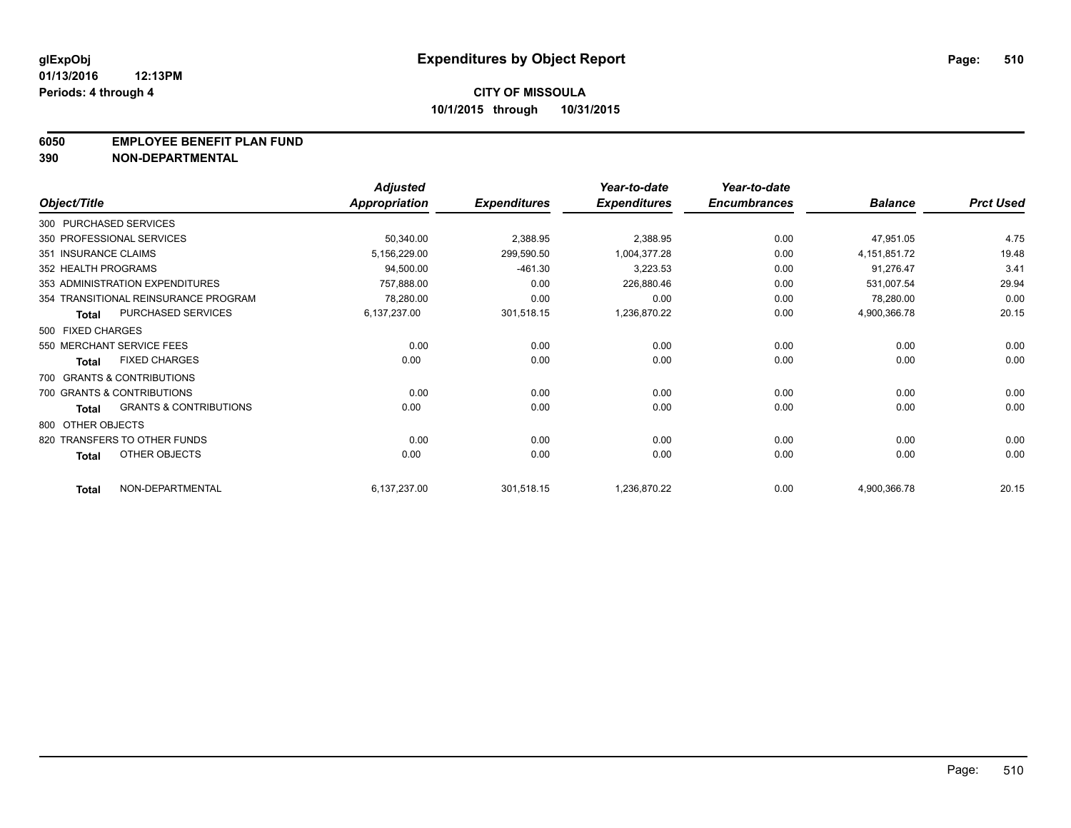### **6050 EMPLOYEE BENEFIT PLAN FUND**

**390 NON-DEPARTMENTAL**

|                      |                                      | <b>Adjusted</b> |                     | Year-to-date        | Year-to-date        |                 |                  |
|----------------------|--------------------------------------|-----------------|---------------------|---------------------|---------------------|-----------------|------------------|
| Object/Title         |                                      | Appropriation   | <b>Expenditures</b> | <b>Expenditures</b> | <b>Encumbrances</b> | <b>Balance</b>  | <b>Prct Used</b> |
|                      | 300 PURCHASED SERVICES               |                 |                     |                     |                     |                 |                  |
|                      | 350 PROFESSIONAL SERVICES            | 50,340.00       | 2,388.95            | 2,388.95            | 0.00                | 47,951.05       | 4.75             |
| 351 INSURANCE CLAIMS |                                      | 5,156,229.00    | 299,590.50          | 1,004,377.28        | 0.00                | 4, 151, 851. 72 | 19.48            |
| 352 HEALTH PROGRAMS  |                                      | 94,500.00       | $-461.30$           | 3,223.53            | 0.00                | 91,276.47       | $3.4^{\circ}$    |
|                      | 353 ADMINISTRATION EXPENDITURES      | 757,888.00      | 0.00                | 226,880.46          | 0.00                | 531,007.54      | 29.94            |
|                      | 354 TRANSITIONAL REINSURANCE PROGRAM | 78,280.00       | 0.00                | 0.00                | 0.00                | 78,280.00       | 0.00             |
| <b>Total</b>         | PURCHASED SERVICES                   | 6,137,237.00    | 301,518.15          | 1,236,870.22        | 0.00                | 4,900,366.78    | 20.15            |
| 500 FIXED CHARGES    |                                      |                 |                     |                     |                     |                 |                  |
|                      | 550 MERCHANT SERVICE FEES            | 0.00            | 0.00                | 0.00                | 0.00                | 0.00            | 0.00             |
| <b>Total</b>         | <b>FIXED CHARGES</b>                 | 0.00            | 0.00                | 0.00                | 0.00                | 0.00            | 0.00             |
|                      | 700 GRANTS & CONTRIBUTIONS           |                 |                     |                     |                     |                 |                  |
|                      | 700 GRANTS & CONTRIBUTIONS           | 0.00            | 0.00                | 0.00                | 0.00                | 0.00            | 0.00             |
| <b>Total</b>         | <b>GRANTS &amp; CONTRIBUTIONS</b>    | 0.00            | 0.00                | 0.00                | 0.00                | 0.00            | 0.00             |
| 800 OTHER OBJECTS    |                                      |                 |                     |                     |                     |                 |                  |
|                      | 820 TRANSFERS TO OTHER FUNDS         | 0.00            | 0.00                | 0.00                | 0.00                | 0.00            | 0.00             |
| <b>Total</b>         | <b>OTHER OBJECTS</b>                 | 0.00            | 0.00                | 0.00                | 0.00                | 0.00            | 0.00             |
| <b>Total</b>         | NON-DEPARTMENTAL                     | 6,137,237.00    | 301,518.15          | 1,236,870.22        | 0.00                | 4,900,366.78    | 20.15            |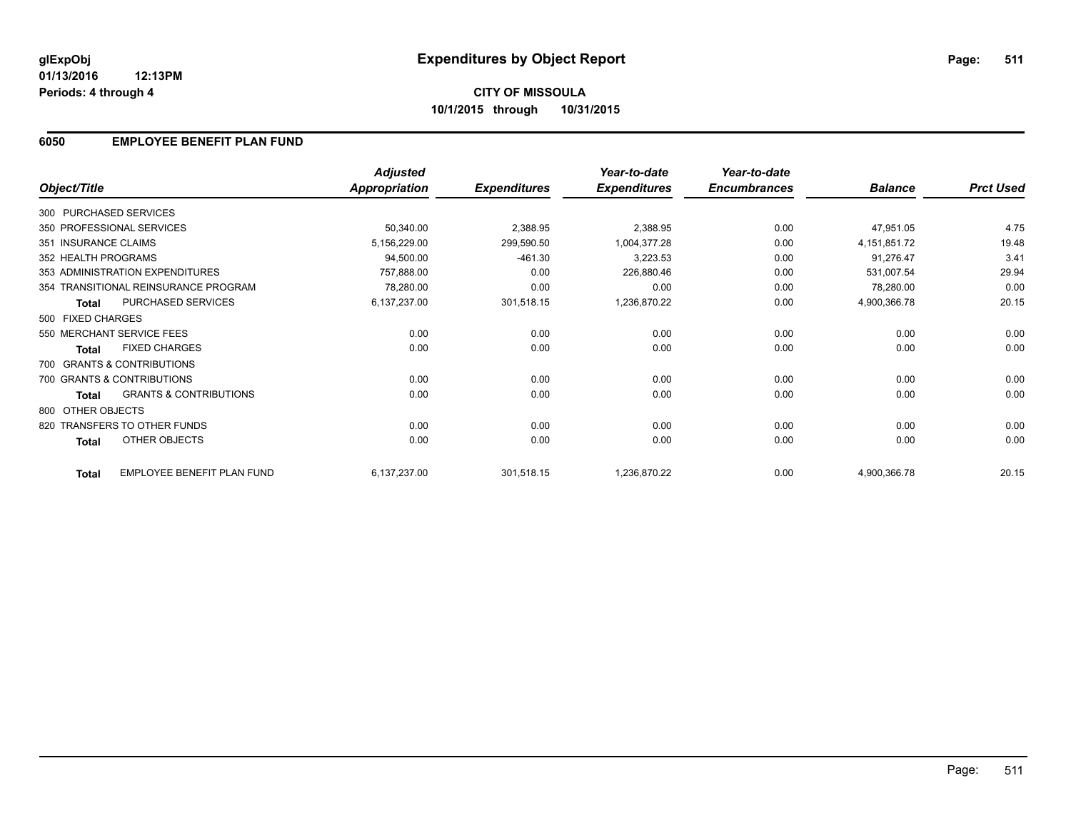### **01/13/2016 12:13PM Periods: 4 through 4**

## **6050 EMPLOYEE BENEFIT PLAN FUND**

|                        |                                      | <b>Adjusted</b>      |                     | Year-to-date        | Year-to-date        |                |                  |
|------------------------|--------------------------------------|----------------------|---------------------|---------------------|---------------------|----------------|------------------|
| Object/Title           |                                      | <b>Appropriation</b> | <b>Expenditures</b> | <b>Expenditures</b> | <b>Encumbrances</b> | <b>Balance</b> | <b>Prct Used</b> |
| 300 PURCHASED SERVICES |                                      |                      |                     |                     |                     |                |                  |
|                        | 350 PROFESSIONAL SERVICES            | 50,340.00            | 2,388.95            | 2,388.95            | 0.00                | 47,951.05      | 4.75             |
| 351 INSURANCE CLAIMS   |                                      | 5,156,229.00         | 299,590.50          | 1,004,377.28        | 0.00                | 4,151,851.72   | 19.48            |
| 352 HEALTH PROGRAMS    |                                      | 94,500.00            | $-461.30$           | 3,223.53            | 0.00                | 91,276.47      | 3.41             |
|                        | 353 ADMINISTRATION EXPENDITURES      | 757,888.00           | 0.00                | 226,880.46          | 0.00                | 531,007.54     | 29.94            |
|                        | 354 TRANSITIONAL REINSURANCE PROGRAM | 78,280.00            | 0.00                | 0.00                | 0.00                | 78,280.00      | 0.00             |
| <b>Total</b>           | PURCHASED SERVICES                   | 6,137,237.00         | 301,518.15          | 1,236,870.22        | 0.00                | 4,900,366.78   | 20.15            |
| 500 FIXED CHARGES      |                                      |                      |                     |                     |                     |                |                  |
|                        | 550 MERCHANT SERVICE FEES            | 0.00                 | 0.00                | 0.00                | 0.00                | 0.00           | 0.00             |
| <b>Total</b>           | <b>FIXED CHARGES</b>                 | 0.00                 | 0.00                | 0.00                | 0.00                | 0.00           | 0.00             |
|                        | 700 GRANTS & CONTRIBUTIONS           |                      |                     |                     |                     |                |                  |
|                        | 700 GRANTS & CONTRIBUTIONS           | 0.00                 | 0.00                | 0.00                | 0.00                | 0.00           | 0.00             |
| <b>Total</b>           | <b>GRANTS &amp; CONTRIBUTIONS</b>    | 0.00                 | 0.00                | 0.00                | 0.00                | 0.00           | 0.00             |
| 800 OTHER OBJECTS      |                                      |                      |                     |                     |                     |                |                  |
|                        | 820 TRANSFERS TO OTHER FUNDS         | 0.00                 | 0.00                | 0.00                | 0.00                | 0.00           | 0.00             |
| Total                  | OTHER OBJECTS                        | 0.00                 | 0.00                | 0.00                | 0.00                | 0.00           | 0.00             |
| <b>Total</b>           | EMPLOYEE BENEFIT PLAN FUND           | 6,137,237.00         | 301,518.15          | 1,236,870.22        | 0.00                | 4,900,366.78   | 20.15            |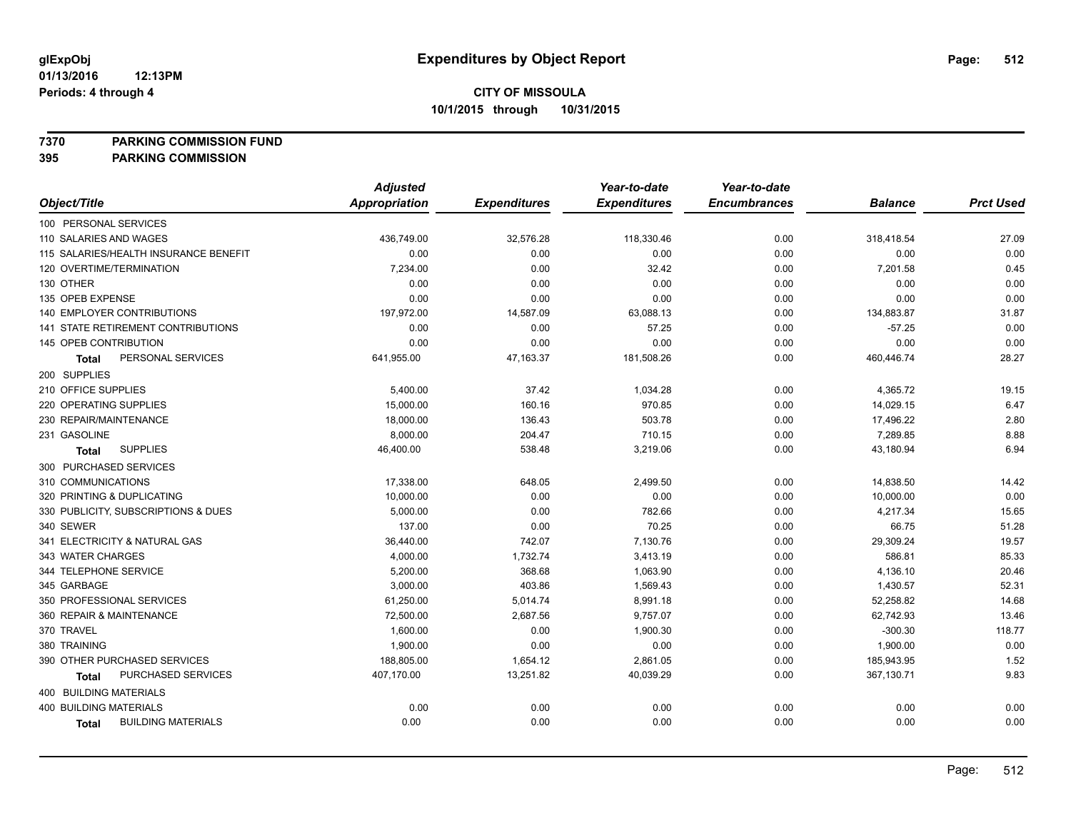**7370 PARKING COMMISSION FUND**

|                                       | <b>Adjusted</b> |                     | Year-to-date        | Year-to-date        |                |                  |
|---------------------------------------|-----------------|---------------------|---------------------|---------------------|----------------|------------------|
| Object/Title                          | Appropriation   | <b>Expenditures</b> | <b>Expenditures</b> | <b>Encumbrances</b> | <b>Balance</b> | <b>Prct Used</b> |
| 100 PERSONAL SERVICES                 |                 |                     |                     |                     |                |                  |
| 110 SALARIES AND WAGES                | 436,749.00      | 32,576.28           | 118,330.46          | 0.00                | 318,418.54     | 27.09            |
| 115 SALARIES/HEALTH INSURANCE BENEFIT | 0.00            | 0.00                | 0.00                | 0.00                | 0.00           | 0.00             |
| 120 OVERTIME/TERMINATION              | 7,234.00        | 0.00                | 32.42               | 0.00                | 7,201.58       | 0.45             |
| 130 OTHER                             | 0.00            | 0.00                | 0.00                | 0.00                | 0.00           | 0.00             |
| 135 OPEB EXPENSE                      | 0.00            | 0.00                | 0.00                | 0.00                | 0.00           | 0.00             |
| 140 EMPLOYER CONTRIBUTIONS            | 197,972.00      | 14,587.09           | 63,088.13           | 0.00                | 134,883.87     | 31.87            |
| 141 STATE RETIREMENT CONTRIBUTIONS    | 0.00            | 0.00                | 57.25               | 0.00                | $-57.25$       | 0.00             |
| 145 OPEB CONTRIBUTION                 | 0.00            | 0.00                | 0.00                | 0.00                | 0.00           | 0.00             |
| PERSONAL SERVICES<br><b>Total</b>     | 641,955.00      | 47,163.37           | 181,508.26          | 0.00                | 460,446.74     | 28.27            |
| 200 SUPPLIES                          |                 |                     |                     |                     |                |                  |
| 210 OFFICE SUPPLIES                   | 5,400.00        | 37.42               | 1,034.28            | 0.00                | 4,365.72       | 19.15            |
| 220 OPERATING SUPPLIES                | 15,000.00       | 160.16              | 970.85              | 0.00                | 14,029.15      | 6.47             |
| 230 REPAIR/MAINTENANCE                | 18,000.00       | 136.43              | 503.78              | 0.00                | 17,496.22      | 2.80             |
| 231 GASOLINE                          | 8,000.00        | 204.47              | 710.15              | 0.00                | 7,289.85       | 8.88             |
| <b>SUPPLIES</b><br><b>Total</b>       | 46,400.00       | 538.48              | 3,219.06            | 0.00                | 43,180.94      | 6.94             |
| 300 PURCHASED SERVICES                |                 |                     |                     |                     |                |                  |
| 310 COMMUNICATIONS                    | 17,338.00       | 648.05              | 2,499.50            | 0.00                | 14,838.50      | 14.42            |
| 320 PRINTING & DUPLICATING            | 10,000.00       | 0.00                | 0.00                | 0.00                | 10,000.00      | 0.00             |
| 330 PUBLICITY, SUBSCRIPTIONS & DUES   | 5,000.00        | 0.00                | 782.66              | 0.00                | 4,217.34       | 15.65            |
| 340 SEWER                             | 137.00          | 0.00                | 70.25               | 0.00                | 66.75          | 51.28            |
| 341 ELECTRICITY & NATURAL GAS         | 36,440.00       | 742.07              | 7,130.76            | 0.00                | 29,309.24      | 19.57            |
| 343 WATER CHARGES                     | 4,000.00        | 1,732.74            | 3,413.19            | 0.00                | 586.81         | 85.33            |
| 344 TELEPHONE SERVICE                 | 5,200.00        | 368.68              | 1,063.90            | 0.00                | 4,136.10       | 20.46            |
| 345 GARBAGE                           | 3,000.00        | 403.86              | 1,569.43            | 0.00                | 1,430.57       | 52.31            |
| 350 PROFESSIONAL SERVICES             | 61,250.00       | 5,014.74            | 8,991.18            | 0.00                | 52,258.82      | 14.68            |
| 360 REPAIR & MAINTENANCE              | 72,500.00       | 2,687.56            | 9,757.07            | 0.00                | 62,742.93      | 13.46            |
| 370 TRAVEL                            | 1,600.00        | 0.00                | 1,900.30            | 0.00                | $-300.30$      | 118.77           |
| 380 TRAINING                          | 1,900.00        | 0.00                | 0.00                | 0.00                | 1,900.00       | 0.00             |
| 390 OTHER PURCHASED SERVICES          | 188,805.00      | 1,654.12            | 2,861.05            | 0.00                | 185,943.95     | 1.52             |
| PURCHASED SERVICES<br>Total           | 407,170.00      | 13,251.82           | 40,039.29           | 0.00                | 367,130.71     | 9.83             |
| 400 BUILDING MATERIALS                |                 |                     |                     |                     |                |                  |
| <b>400 BUILDING MATERIALS</b>         | 0.00            | 0.00                | 0.00                | 0.00                | 0.00           | 0.00             |
| <b>BUILDING MATERIALS</b><br>Total    | 0.00            | 0.00                | 0.00                | 0.00                | 0.00           | 0.00             |
|                                       |                 |                     |                     |                     |                |                  |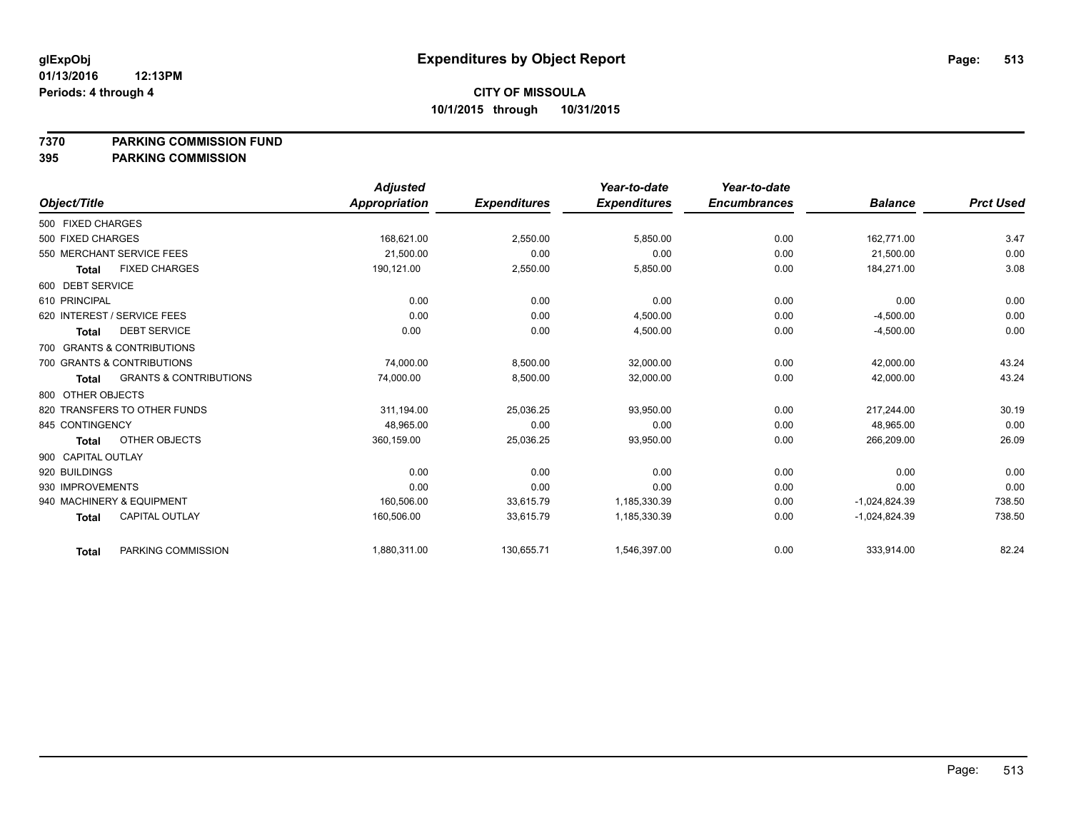**7370 PARKING COMMISSION FUND**

|                    |                                   | <b>Adjusted</b> |                     | Year-to-date        | Year-to-date        |                 |                  |
|--------------------|-----------------------------------|-----------------|---------------------|---------------------|---------------------|-----------------|------------------|
| Object/Title       |                                   | Appropriation   | <b>Expenditures</b> | <b>Expenditures</b> | <b>Encumbrances</b> | <b>Balance</b>  | <b>Prct Used</b> |
| 500 FIXED CHARGES  |                                   |                 |                     |                     |                     |                 |                  |
| 500 FIXED CHARGES  |                                   | 168,621.00      | 2,550.00            | 5,850.00            | 0.00                | 162,771.00      | 3.47             |
|                    | 550 MERCHANT SERVICE FEES         | 21,500.00       | 0.00                | 0.00                | 0.00                | 21,500.00       | 0.00             |
| <b>Total</b>       | <b>FIXED CHARGES</b>              | 190,121.00      | 2,550.00            | 5,850.00            | 0.00                | 184.271.00      | 3.08             |
| 600 DEBT SERVICE   |                                   |                 |                     |                     |                     |                 |                  |
| 610 PRINCIPAL      |                                   | 0.00            | 0.00                | 0.00                | 0.00                | 0.00            | 0.00             |
|                    | 620 INTEREST / SERVICE FEES       | 0.00            | 0.00                | 4,500.00            | 0.00                | $-4,500.00$     | 0.00             |
| Total              | <b>DEBT SERVICE</b>               | 0.00            | 0.00                | 4,500.00            | 0.00                | $-4,500.00$     | 0.00             |
|                    | 700 GRANTS & CONTRIBUTIONS        |                 |                     |                     |                     |                 |                  |
|                    | 700 GRANTS & CONTRIBUTIONS        | 74,000.00       | 8,500.00            | 32,000.00           | 0.00                | 42,000.00       | 43.24            |
| Total              | <b>GRANTS &amp; CONTRIBUTIONS</b> | 74,000.00       | 8,500.00            | 32,000.00           | 0.00                | 42,000.00       | 43.24            |
| 800 OTHER OBJECTS  |                                   |                 |                     |                     |                     |                 |                  |
|                    | 820 TRANSFERS TO OTHER FUNDS      | 311,194.00      | 25,036.25           | 93,950.00           | 0.00                | 217,244.00      | 30.19            |
| 845 CONTINGENCY    |                                   | 48,965.00       | 0.00                | 0.00                | 0.00                | 48,965.00       | 0.00             |
| <b>Total</b>       | OTHER OBJECTS                     | 360,159.00      | 25,036.25           | 93,950.00           | 0.00                | 266,209.00      | 26.09            |
| 900 CAPITAL OUTLAY |                                   |                 |                     |                     |                     |                 |                  |
| 920 BUILDINGS      |                                   | 0.00            | 0.00                | 0.00                | 0.00                | 0.00            | 0.00             |
| 930 IMPROVEMENTS   |                                   | 0.00            | 0.00                | 0.00                | 0.00                | 0.00            | 0.00             |
|                    | 940 MACHINERY & EQUIPMENT         | 160,506.00      | 33,615.79           | 1,185,330.39        | 0.00                | $-1,024,824.39$ | 738.50           |
| <b>Total</b>       | <b>CAPITAL OUTLAY</b>             | 160,506.00      | 33,615.79           | 1,185,330.39        | 0.00                | $-1,024,824.39$ | 738.50           |
| <b>Total</b>       | PARKING COMMISSION                | 1,880,311.00    | 130,655.71          | 1,546,397.00        | 0.00                | 333,914.00      | 82.24            |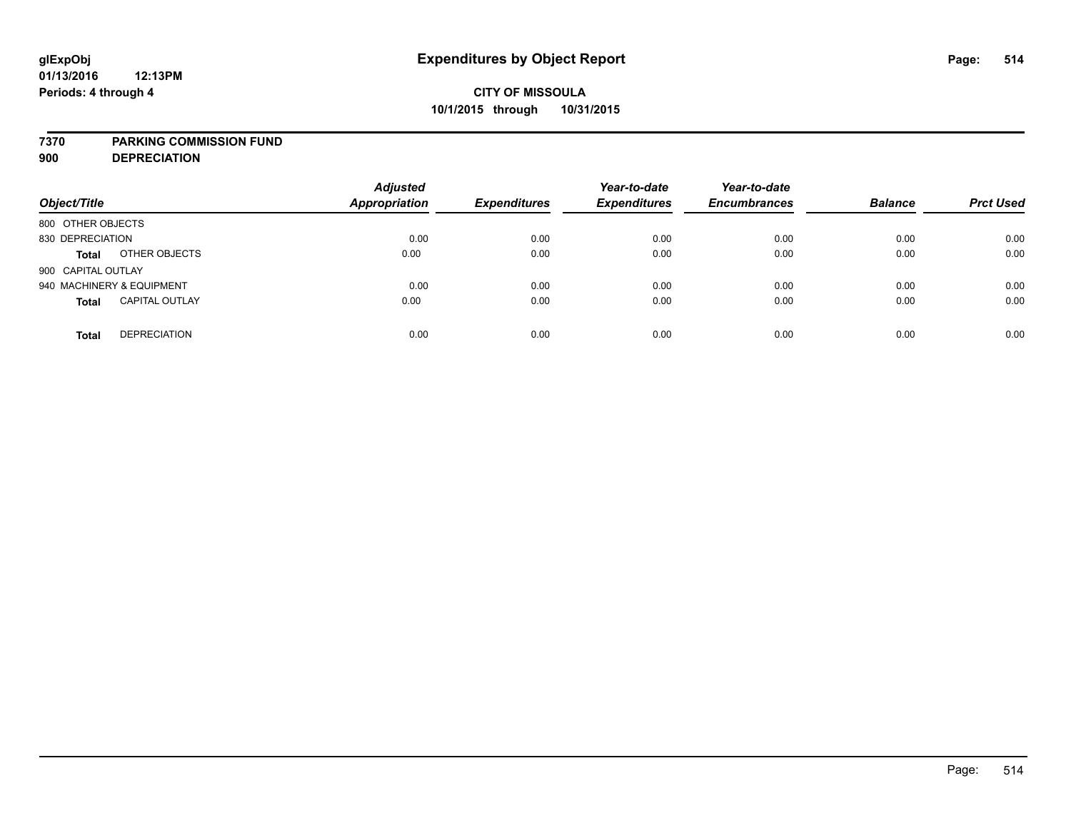### **7370 PARKING COMMISSION FUND**

**900 DEPRECIATION**

| Object/Title                          | <b>Adjusted</b><br>Appropriation | <b>Expenditures</b> | Year-to-date<br><b>Expenditures</b> | Year-to-date<br><b>Encumbrances</b> | <b>Balance</b> | <b>Prct Used</b> |
|---------------------------------------|----------------------------------|---------------------|-------------------------------------|-------------------------------------|----------------|------------------|
| 800 OTHER OBJECTS                     |                                  |                     |                                     |                                     |                |                  |
| 830 DEPRECIATION                      | 0.00                             | 0.00                | 0.00                                | 0.00                                | 0.00           | 0.00             |
| OTHER OBJECTS<br><b>Total</b>         | 0.00                             | 0.00                | 0.00                                | 0.00                                | 0.00           | 0.00             |
| 900 CAPITAL OUTLAY                    |                                  |                     |                                     |                                     |                |                  |
| 940 MACHINERY & EQUIPMENT             | 0.00                             | 0.00                | 0.00                                | 0.00                                | 0.00           | 0.00             |
| <b>CAPITAL OUTLAY</b><br><b>Total</b> | 0.00                             | 0.00                | 0.00                                | 0.00                                | 0.00           | 0.00             |
| <b>DEPRECIATION</b><br><b>Total</b>   | 0.00                             | 0.00                | 0.00                                | 0.00                                | 0.00           | 0.00             |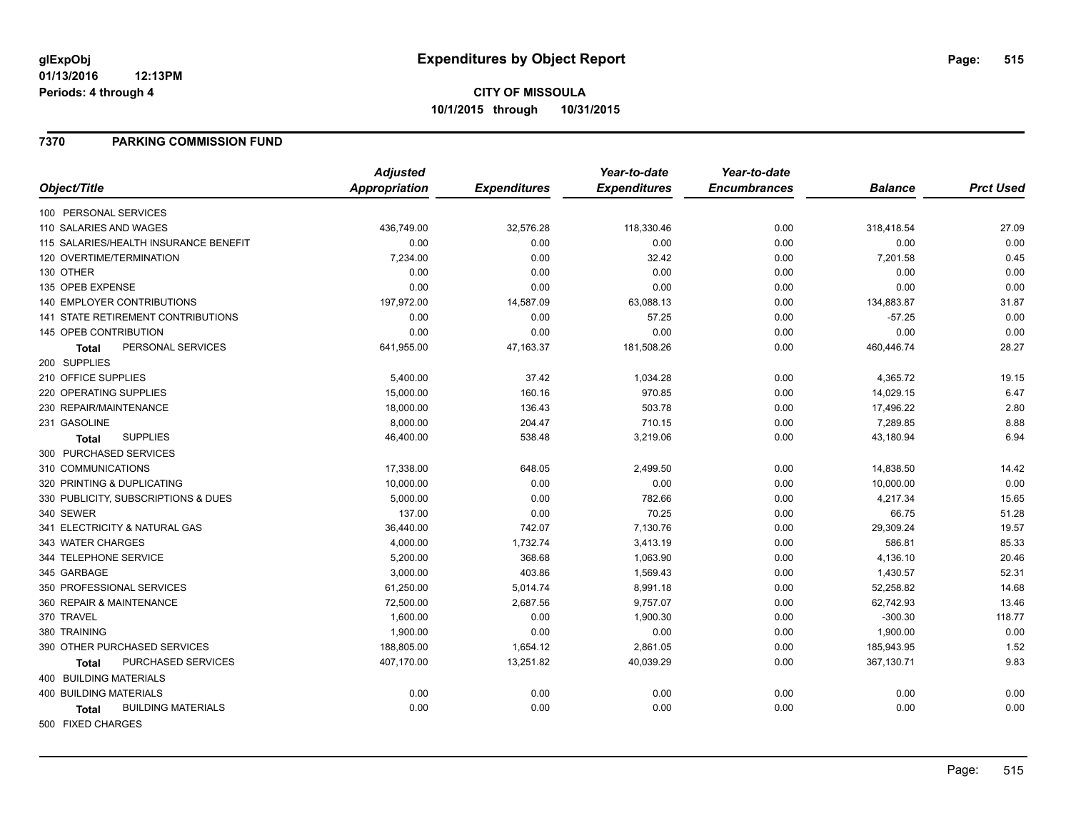#### **01/13/2016 12:13PM Periods: 4 through 4**

# **CITY OF MISSOULA 10/1/2015 through 10/31/2015**

### **7370 PARKING COMMISSION FUND**

|                                           | <b>Adjusted</b> |                     | Year-to-date        | Year-to-date        |                |                  |
|-------------------------------------------|-----------------|---------------------|---------------------|---------------------|----------------|------------------|
| Object/Title                              | Appropriation   | <b>Expenditures</b> | <b>Expenditures</b> | <b>Encumbrances</b> | <b>Balance</b> | <b>Prct Used</b> |
| 100 PERSONAL SERVICES                     |                 |                     |                     |                     |                |                  |
| 110 SALARIES AND WAGES                    | 436,749.00      | 32,576.28           | 118,330.46          | 0.00                | 318,418.54     | 27.09            |
| 115 SALARIES/HEALTH INSURANCE BENEFIT     | 0.00            | 0.00                | 0.00                | 0.00                | 0.00           | 0.00             |
| 120 OVERTIME/TERMINATION                  | 7,234.00        | 0.00                | 32.42               | 0.00                | 7,201.58       | 0.45             |
| 130 OTHER                                 | 0.00            | 0.00                | 0.00                | 0.00                | 0.00           | 0.00             |
| 135 OPEB EXPENSE                          | 0.00            | 0.00                | 0.00                | 0.00                | 0.00           | 0.00             |
| <b>140 EMPLOYER CONTRIBUTIONS</b>         | 197,972.00      | 14,587.09           | 63,088.13           | 0.00                | 134,883.87     | 31.87            |
| 141 STATE RETIREMENT CONTRIBUTIONS        | 0.00            | 0.00                | 57.25               | 0.00                | $-57.25$       | 0.00             |
| <b>145 OPEB CONTRIBUTION</b>              | 0.00            | 0.00                | 0.00                | 0.00                | 0.00           | 0.00             |
| PERSONAL SERVICES<br><b>Total</b>         | 641,955.00      | 47,163.37           | 181,508.26          | 0.00                | 460,446.74     | 28.27            |
| 200 SUPPLIES                              |                 |                     |                     |                     |                |                  |
| 210 OFFICE SUPPLIES                       | 5,400.00        | 37.42               | 1,034.28            | 0.00                | 4,365.72       | 19.15            |
| 220 OPERATING SUPPLIES                    | 15,000.00       | 160.16              | 970.85              | 0.00                | 14,029.15      | 6.47             |
| 230 REPAIR/MAINTENANCE                    | 18,000.00       | 136.43              | 503.78              | 0.00                | 17,496.22      | 2.80             |
| 231 GASOLINE                              | 8,000.00        | 204.47              | 710.15              | 0.00                | 7,289.85       | 8.88             |
| <b>SUPPLIES</b><br>Total                  | 46,400.00       | 538.48              | 3,219.06            | 0.00                | 43,180.94      | 6.94             |
| 300 PURCHASED SERVICES                    |                 |                     |                     |                     |                |                  |
| 310 COMMUNICATIONS                        | 17,338.00       | 648.05              | 2,499.50            | 0.00                | 14,838.50      | 14.42            |
| 320 PRINTING & DUPLICATING                | 10,000.00       | 0.00                | 0.00                | 0.00                | 10,000.00      | 0.00             |
| 330 PUBLICITY, SUBSCRIPTIONS & DUES       | 5,000.00        | 0.00                | 782.66              | 0.00                | 4,217.34       | 15.65            |
| 340 SEWER                                 | 137.00          | 0.00                | 70.25               | 0.00                | 66.75          | 51.28            |
| 341 ELECTRICITY & NATURAL GAS             | 36,440.00       | 742.07              | 7,130.76            | 0.00                | 29,309.24      | 19.57            |
| 343 WATER CHARGES                         | 4,000.00        | 1,732.74            | 3,413.19            | 0.00                | 586.81         | 85.33            |
| 344 TELEPHONE SERVICE                     | 5,200.00        | 368.68              | 1,063.90            | 0.00                | 4,136.10       | 20.46            |
| 345 GARBAGE                               | 3,000.00        | 403.86              | 1,569.43            | 0.00                | 1,430.57       | 52.31            |
| 350 PROFESSIONAL SERVICES                 | 61,250.00       | 5,014.74            | 8,991.18            | 0.00                | 52,258.82      | 14.68            |
| 360 REPAIR & MAINTENANCE                  | 72,500.00       | 2,687.56            | 9,757.07            | 0.00                | 62,742.93      | 13.46            |
| 370 TRAVEL                                | 1,600.00        | 0.00                | 1,900.30            | 0.00                | $-300.30$      | 118.77           |
| 380 TRAINING                              | 1,900.00        | 0.00                | 0.00                | 0.00                | 1,900.00       | 0.00             |
| 390 OTHER PURCHASED SERVICES              | 188,805.00      | 1,654.12            | 2,861.05            | 0.00                | 185,943.95     | 1.52             |
| PURCHASED SERVICES<br>Total               | 407,170.00      | 13,251.82           | 40,039.29           | 0.00                | 367,130.71     | 9.83             |
| <b>400 BUILDING MATERIALS</b>             |                 |                     |                     |                     |                |                  |
| <b>400 BUILDING MATERIALS</b>             | 0.00            | 0.00                | 0.00                | 0.00                | 0.00           | 0.00             |
| <b>BUILDING MATERIALS</b><br><b>Total</b> | 0.00            | 0.00                | 0.00                | 0.00                | 0.00           | 0.00             |
| 500 FIXED CHARGES                         |                 |                     |                     |                     |                |                  |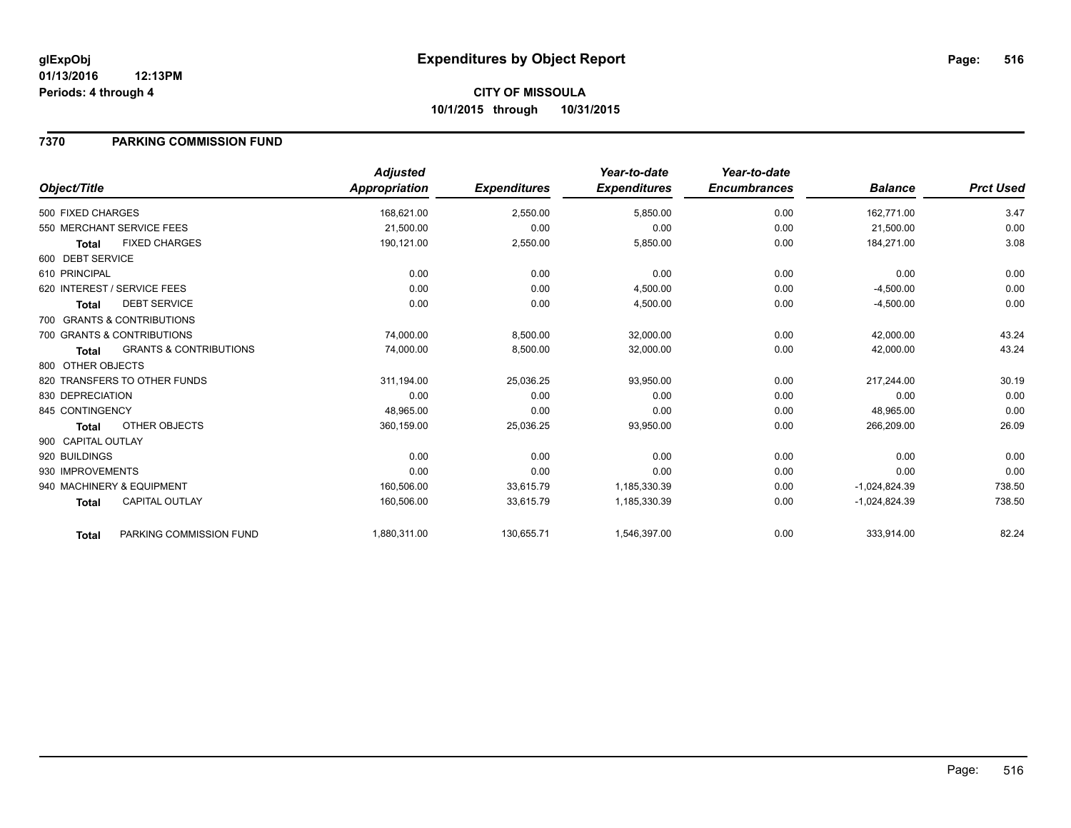### **01/13/2016 12:13PM Periods: 4 through 4**

# **CITY OF MISSOULA 10/1/2015 through 10/31/2015**

### **7370 PARKING COMMISSION FUND**

|                    |                                   | <b>Adjusted</b> |                     | Year-to-date        | Year-to-date        |                 |                  |
|--------------------|-----------------------------------|-----------------|---------------------|---------------------|---------------------|-----------------|------------------|
| Object/Title       |                                   | Appropriation   | <b>Expenditures</b> | <b>Expenditures</b> | <b>Encumbrances</b> | <b>Balance</b>  | <b>Prct Used</b> |
| 500 FIXED CHARGES  |                                   | 168,621.00      | 2,550.00            | 5,850.00            | 0.00                | 162,771.00      | 3.47             |
|                    | 550 MERCHANT SERVICE FEES         | 21,500.00       | 0.00                | 0.00                | 0.00                | 21,500.00       | 0.00             |
| <b>Total</b>       | <b>FIXED CHARGES</b>              | 190,121.00      | 2,550.00            | 5,850.00            | 0.00                | 184,271.00      | 3.08             |
| 600 DEBT SERVICE   |                                   |                 |                     |                     |                     |                 |                  |
| 610 PRINCIPAL      |                                   | 0.00            | 0.00                | 0.00                | 0.00                | 0.00            | 0.00             |
|                    | 620 INTEREST / SERVICE FEES       | 0.00            | 0.00                | 4,500.00            | 0.00                | $-4,500.00$     | 0.00             |
| Total              | <b>DEBT SERVICE</b>               | 0.00            | 0.00                | 4,500.00            | 0.00                | $-4,500.00$     | 0.00             |
|                    | 700 GRANTS & CONTRIBUTIONS        |                 |                     |                     |                     |                 |                  |
|                    | 700 GRANTS & CONTRIBUTIONS        | 74,000.00       | 8,500.00            | 32,000.00           | 0.00                | 42,000.00       | 43.24            |
| Total              | <b>GRANTS &amp; CONTRIBUTIONS</b> | 74,000.00       | 8,500.00            | 32,000.00           | 0.00                | 42,000.00       | 43.24            |
| 800 OTHER OBJECTS  |                                   |                 |                     |                     |                     |                 |                  |
|                    | 820 TRANSFERS TO OTHER FUNDS      | 311,194.00      | 25,036.25           | 93,950.00           | 0.00                | 217,244.00      | 30.19            |
| 830 DEPRECIATION   |                                   | 0.00            | 0.00                | 0.00                | 0.00                | 0.00            | 0.00             |
| 845 CONTINGENCY    |                                   | 48,965.00       | 0.00                | 0.00                | 0.00                | 48,965.00       | 0.00             |
| <b>Total</b>       | OTHER OBJECTS                     | 360,159.00      | 25,036.25           | 93,950.00           | 0.00                | 266,209.00      | 26.09            |
| 900 CAPITAL OUTLAY |                                   |                 |                     |                     |                     |                 |                  |
| 920 BUILDINGS      |                                   | 0.00            | 0.00                | 0.00                | 0.00                | 0.00            | 0.00             |
| 930 IMPROVEMENTS   |                                   | 0.00            | 0.00                | 0.00                | 0.00                | 0.00            | 0.00             |
|                    | 940 MACHINERY & EQUIPMENT         | 160,506.00      | 33,615.79           | 1,185,330.39        | 0.00                | $-1,024,824.39$ | 738.50           |
| <b>Total</b>       | <b>CAPITAL OUTLAY</b>             | 160,506.00      | 33,615.79           | 1,185,330.39        | 0.00                | $-1,024,824.39$ | 738.50           |
| <b>Total</b>       | PARKING COMMISSION FUND           | 1,880,311.00    | 130,655.71          | 1,546,397.00        | 0.00                | 333,914.00      | 82.24            |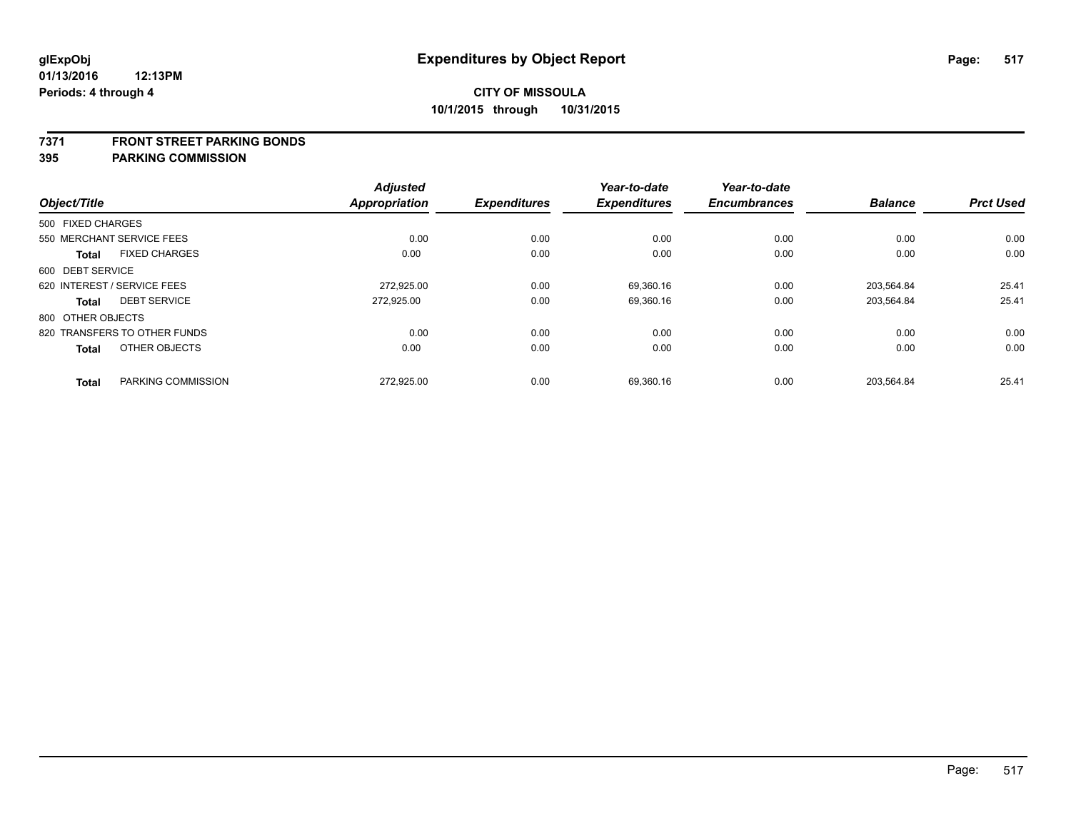### **7371 FRONT STREET PARKING BONDS**

| Object/Title      |                              | <b>Adjusted</b><br><b>Appropriation</b> | <b>Expenditures</b> | Year-to-date<br><b>Expenditures</b> | Year-to-date<br><b>Encumbrances</b> | <b>Balance</b> | <b>Prct Used</b> |
|-------------------|------------------------------|-----------------------------------------|---------------------|-------------------------------------|-------------------------------------|----------------|------------------|
| 500 FIXED CHARGES |                              |                                         |                     |                                     |                                     |                |                  |
|                   | 550 MERCHANT SERVICE FEES    | 0.00                                    | 0.00                | 0.00                                | 0.00                                | 0.00           | 0.00             |
| <b>Total</b>      | <b>FIXED CHARGES</b>         | 0.00                                    | 0.00                | 0.00                                | 0.00                                | 0.00           | 0.00             |
| 600 DEBT SERVICE  |                              |                                         |                     |                                     |                                     |                |                  |
|                   | 620 INTEREST / SERVICE FEES  | 272.925.00                              | 0.00                | 69.360.16                           | 0.00                                | 203.564.84     | 25.41            |
| <b>Total</b>      | <b>DEBT SERVICE</b>          | 272.925.00                              | 0.00                | 69,360.16                           | 0.00                                | 203,564.84     | 25.41            |
| 800 OTHER OBJECTS |                              |                                         |                     |                                     |                                     |                |                  |
|                   | 820 TRANSFERS TO OTHER FUNDS | 0.00                                    | 0.00                | 0.00                                | 0.00                                | 0.00           | 0.00             |
| <b>Total</b>      | OTHER OBJECTS                | 0.00                                    | 0.00                | 0.00                                | 0.00                                | 0.00           | 0.00             |
| <b>Total</b>      | PARKING COMMISSION           | 272.925.00                              | 0.00                | 69.360.16                           | 0.00                                | 203.564.84     | 25.41            |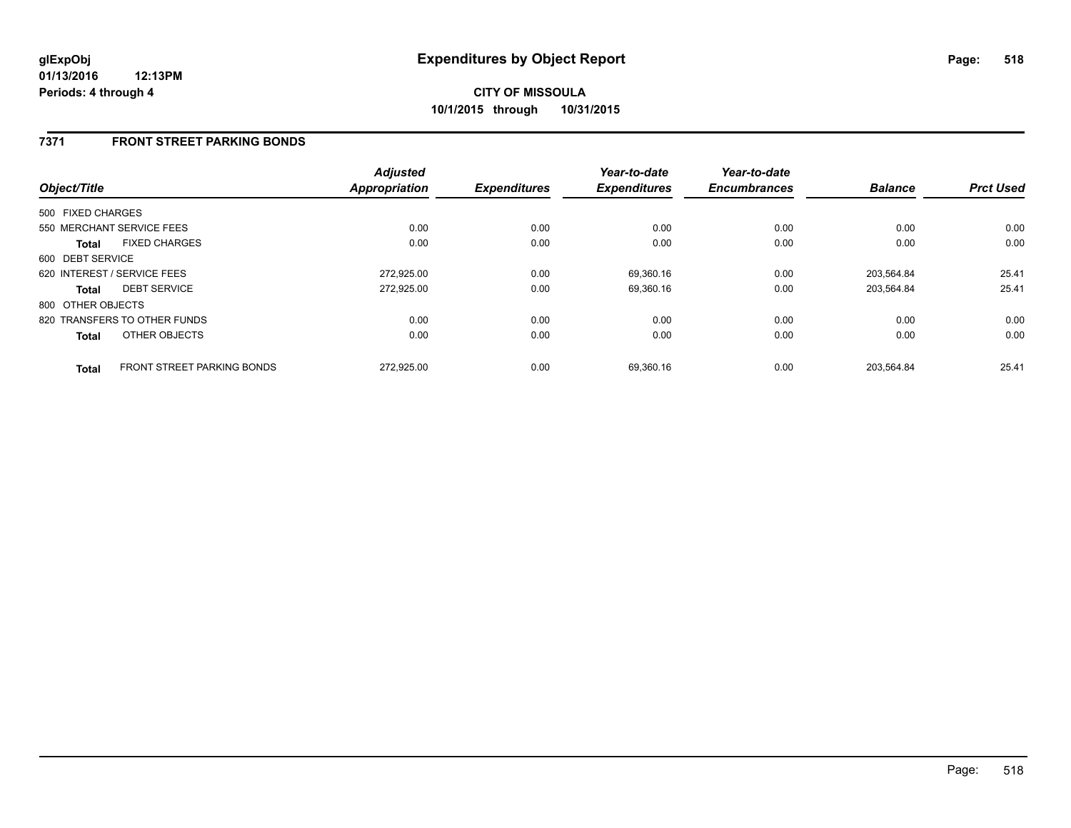### **7371 FRONT STREET PARKING BONDS**

| Object/Title      |                                   | <b>Adjusted</b><br><b>Appropriation</b> | <b>Expenditures</b> | Year-to-date<br><b>Expenditures</b> | Year-to-date<br><b>Encumbrances</b> | <b>Balance</b> | <b>Prct Used</b> |
|-------------------|-----------------------------------|-----------------------------------------|---------------------|-------------------------------------|-------------------------------------|----------------|------------------|
| 500 FIXED CHARGES |                                   |                                         |                     |                                     |                                     |                |                  |
|                   | 550 MERCHANT SERVICE FEES         | 0.00                                    | 0.00                | 0.00                                | 0.00                                | 0.00           | 0.00             |
| <b>Total</b>      | <b>FIXED CHARGES</b>              | 0.00                                    | 0.00                | 0.00                                | 0.00                                | 0.00           | 0.00             |
| 600 DEBT SERVICE  |                                   |                                         |                     |                                     |                                     |                |                  |
|                   | 620 INTEREST / SERVICE FEES       | 272,925.00                              | 0.00                | 69,360.16                           | 0.00                                | 203.564.84     | 25.41            |
| <b>Total</b>      | <b>DEBT SERVICE</b>               | 272,925.00                              | 0.00                | 69,360.16                           | 0.00                                | 203.564.84     | 25.41            |
| 800 OTHER OBJECTS |                                   |                                         |                     |                                     |                                     |                |                  |
|                   | 820 TRANSFERS TO OTHER FUNDS      | 0.00                                    | 0.00                | 0.00                                | 0.00                                | 0.00           | 0.00             |
| <b>Total</b>      | OTHER OBJECTS                     | 0.00                                    | 0.00                | 0.00                                | 0.00                                | 0.00           | 0.00             |
| <b>Total</b>      | <b>FRONT STREET PARKING BONDS</b> | 272.925.00                              | 0.00                | 69.360.16                           | 0.00                                | 203.564.84     | 25.41            |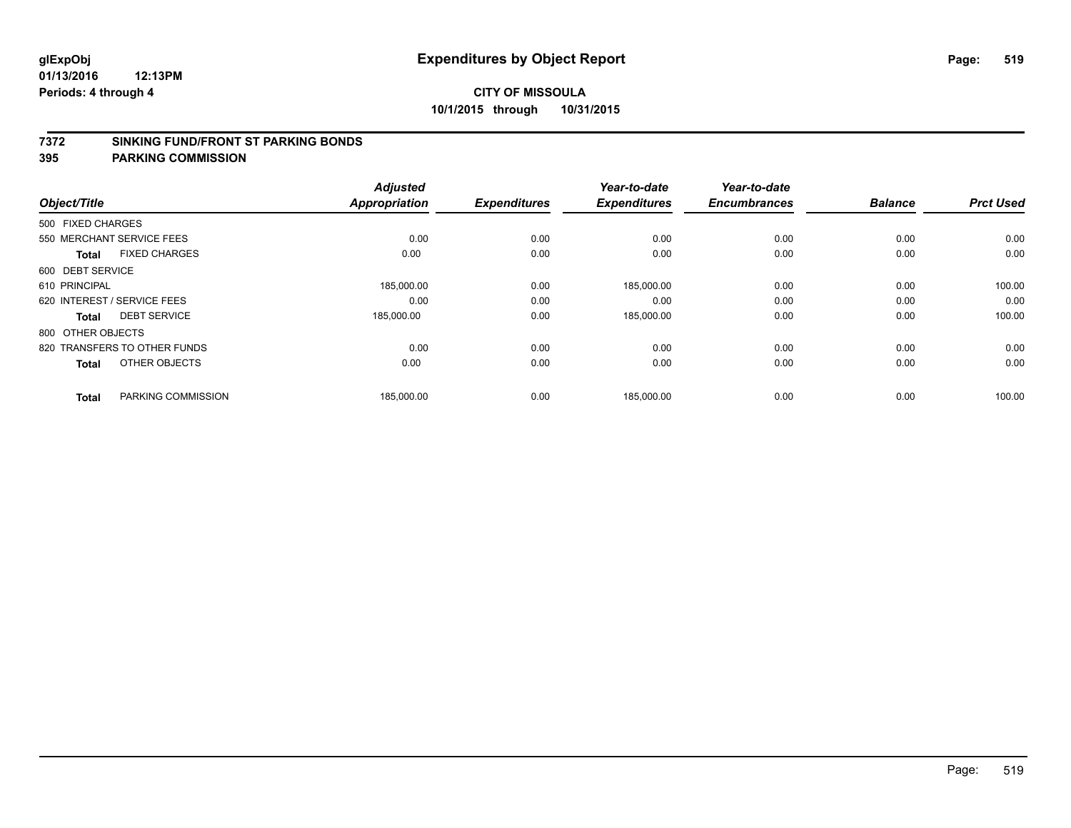### **7372 SINKING FUND/FRONT ST PARKING BONDS**

|                   |                              | <b>Adjusted</b>      |                     | Year-to-date        | Year-to-date        |                |                  |
|-------------------|------------------------------|----------------------|---------------------|---------------------|---------------------|----------------|------------------|
| Object/Title      |                              | <b>Appropriation</b> | <b>Expenditures</b> | <b>Expenditures</b> | <b>Encumbrances</b> | <b>Balance</b> | <b>Prct Used</b> |
| 500 FIXED CHARGES |                              |                      |                     |                     |                     |                |                  |
|                   | 550 MERCHANT SERVICE FEES    | 0.00                 | 0.00                | 0.00                | 0.00                | 0.00           | 0.00             |
| <b>Total</b>      | <b>FIXED CHARGES</b>         | 0.00                 | 0.00                | 0.00                | 0.00                | 0.00           | 0.00             |
| 600 DEBT SERVICE  |                              |                      |                     |                     |                     |                |                  |
| 610 PRINCIPAL     |                              | 185,000.00           | 0.00                | 185,000.00          | 0.00                | 0.00           | 100.00           |
|                   | 620 INTEREST / SERVICE FEES  | 0.00                 | 0.00                | 0.00                | 0.00                | 0.00           | 0.00             |
| <b>Total</b>      | <b>DEBT SERVICE</b>          | 185,000.00           | 0.00                | 185,000.00          | 0.00                | 0.00           | 100.00           |
| 800 OTHER OBJECTS |                              |                      |                     |                     |                     |                |                  |
|                   | 820 TRANSFERS TO OTHER FUNDS | 0.00                 | 0.00                | 0.00                | 0.00                | 0.00           | 0.00             |
| <b>Total</b>      | OTHER OBJECTS                | 0.00                 | 0.00                | 0.00                | 0.00                | 0.00           | 0.00             |
|                   |                              |                      |                     |                     |                     |                |                  |
| <b>Total</b>      | PARKING COMMISSION           | 185,000.00           | 0.00                | 185,000.00          | 0.00                | 0.00           | 100.00           |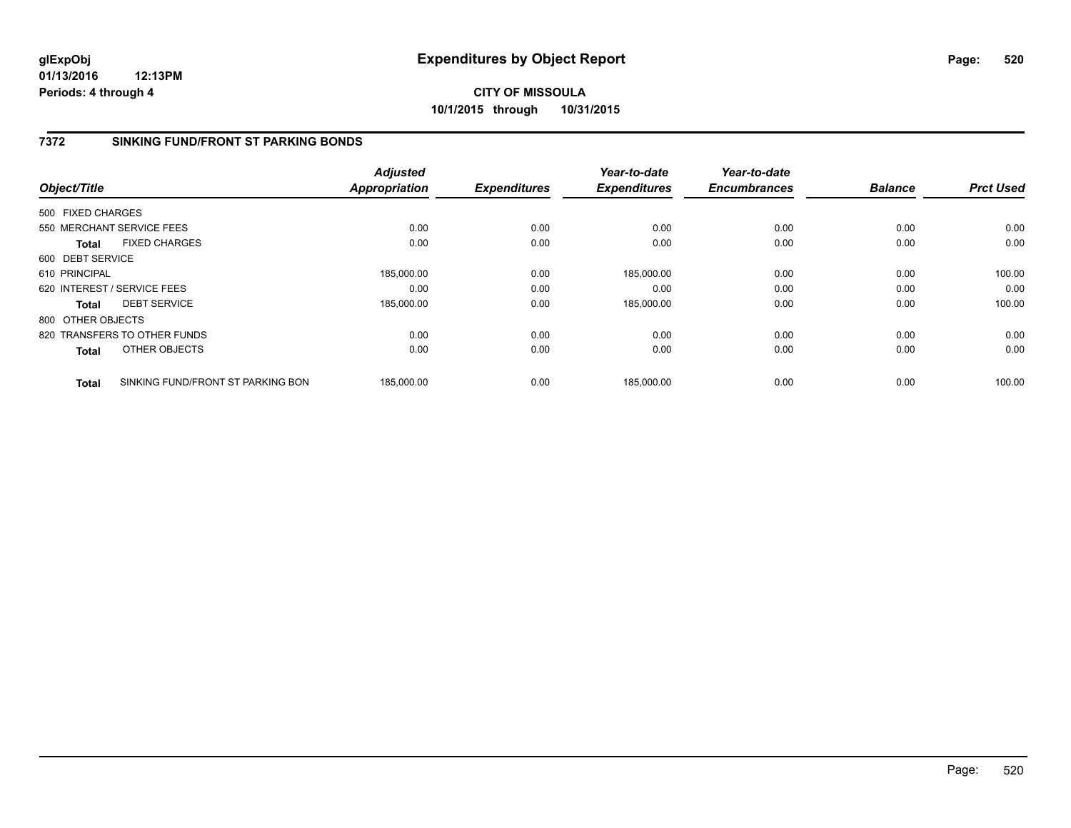**01/13/2016 12:13PM Periods: 4 through 4**

**CITY OF MISSOULA 10/1/2015 through 10/31/2015**

### **7372 SINKING FUND/FRONT ST PARKING BONDS**

|                   |                                   | <b>Adjusted</b>      |                     | Year-to-date        | Year-to-date        |                |                  |
|-------------------|-----------------------------------|----------------------|---------------------|---------------------|---------------------|----------------|------------------|
| Object/Title      |                                   | <b>Appropriation</b> | <b>Expenditures</b> | <b>Expenditures</b> | <b>Encumbrances</b> | <b>Balance</b> | <b>Prct Used</b> |
| 500 FIXED CHARGES |                                   |                      |                     |                     |                     |                |                  |
|                   | 550 MERCHANT SERVICE FEES         | 0.00                 | 0.00                | 0.00                | 0.00                | 0.00           | 0.00             |
| <b>Total</b>      | <b>FIXED CHARGES</b>              | 0.00                 | 0.00                | 0.00                | 0.00                | 0.00           | 0.00             |
| 600 DEBT SERVICE  |                                   |                      |                     |                     |                     |                |                  |
| 610 PRINCIPAL     |                                   | 185,000.00           | 0.00                | 185,000.00          | 0.00                | 0.00           | 100.00           |
|                   | 620 INTEREST / SERVICE FEES       | 0.00                 | 0.00                | 0.00                | 0.00                | 0.00           | 0.00             |
| <b>Total</b>      | <b>DEBT SERVICE</b>               | 185,000.00           | 0.00                | 185,000.00          | 0.00                | 0.00           | 100.00           |
| 800 OTHER OBJECTS |                                   |                      |                     |                     |                     |                |                  |
|                   | 820 TRANSFERS TO OTHER FUNDS      | 0.00                 | 0.00                | 0.00                | 0.00                | 0.00           | 0.00             |
| <b>Total</b>      | OTHER OBJECTS                     | 0.00                 | 0.00                | 0.00                | 0.00                | 0.00           | 0.00             |
| <b>Total</b>      | SINKING FUND/FRONT ST PARKING BON | 185.000.00           | 0.00                | 185.000.00          | 0.00                | 0.00           | 100.00           |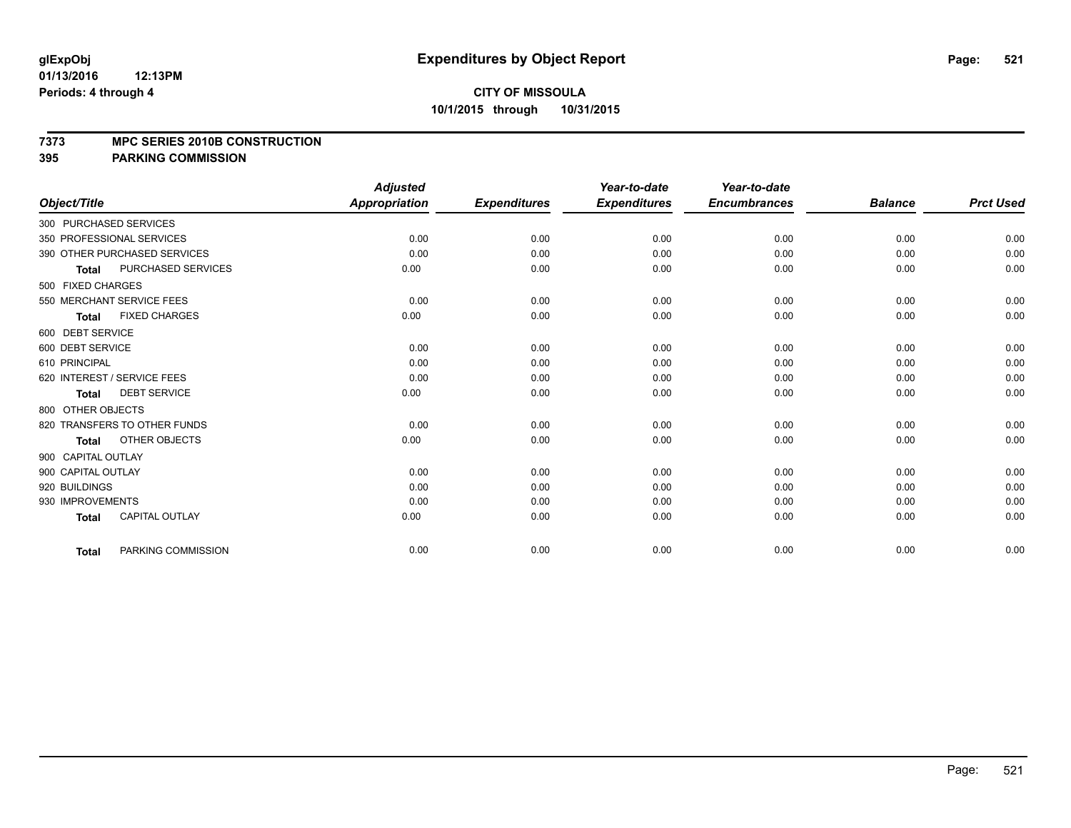### **7373 MPC SERIES 2010B CONSTRUCTION**

|                                           | <b>Adjusted</b>      |                     | Year-to-date        | Year-to-date        |                |                  |
|-------------------------------------------|----------------------|---------------------|---------------------|---------------------|----------------|------------------|
| Object/Title                              | <b>Appropriation</b> | <b>Expenditures</b> | <b>Expenditures</b> | <b>Encumbrances</b> | <b>Balance</b> | <b>Prct Used</b> |
| 300 PURCHASED SERVICES                    |                      |                     |                     |                     |                |                  |
| 350 PROFESSIONAL SERVICES                 | 0.00                 | 0.00                | 0.00                | 0.00                | 0.00           | 0.00             |
| 390 OTHER PURCHASED SERVICES              | 0.00                 | 0.00                | 0.00                | 0.00                | 0.00           | 0.00             |
| <b>PURCHASED SERVICES</b><br><b>Total</b> | 0.00                 | 0.00                | 0.00                | 0.00                | 0.00           | 0.00             |
| 500 FIXED CHARGES                         |                      |                     |                     |                     |                |                  |
| 550 MERCHANT SERVICE FEES                 | 0.00                 | 0.00                | 0.00                | 0.00                | 0.00           | 0.00             |
| <b>FIXED CHARGES</b><br><b>Total</b>      | 0.00                 | 0.00                | 0.00                | 0.00                | 0.00           | 0.00             |
| 600 DEBT SERVICE                          |                      |                     |                     |                     |                |                  |
| 600 DEBT SERVICE                          | 0.00                 | 0.00                | 0.00                | 0.00                | 0.00           | 0.00             |
| 610 PRINCIPAL                             | 0.00                 | 0.00                | 0.00                | 0.00                | 0.00           | 0.00             |
| 620 INTEREST / SERVICE FEES               | 0.00                 | 0.00                | 0.00                | 0.00                | 0.00           | 0.00             |
| <b>DEBT SERVICE</b><br><b>Total</b>       | 0.00                 | 0.00                | 0.00                | 0.00                | 0.00           | 0.00             |
| 800 OTHER OBJECTS                         |                      |                     |                     |                     |                |                  |
| 820 TRANSFERS TO OTHER FUNDS              | 0.00                 | 0.00                | 0.00                | 0.00                | 0.00           | 0.00             |
| OTHER OBJECTS<br><b>Total</b>             | 0.00                 | 0.00                | 0.00                | 0.00                | 0.00           | 0.00             |
| 900 CAPITAL OUTLAY                        |                      |                     |                     |                     |                |                  |
| 900 CAPITAL OUTLAY                        | 0.00                 | 0.00                | 0.00                | 0.00                | 0.00           | 0.00             |
| 920 BUILDINGS                             | 0.00                 | 0.00                | 0.00                | 0.00                | 0.00           | 0.00             |
| 930 IMPROVEMENTS                          | 0.00                 | 0.00                | 0.00                | 0.00                | 0.00           | 0.00             |
| <b>CAPITAL OUTLAY</b><br><b>Total</b>     | 0.00                 | 0.00                | 0.00                | 0.00                | 0.00           | 0.00             |
| PARKING COMMISSION<br><b>Total</b>        | 0.00                 | 0.00                | 0.00                | 0.00                | 0.00           | 0.00             |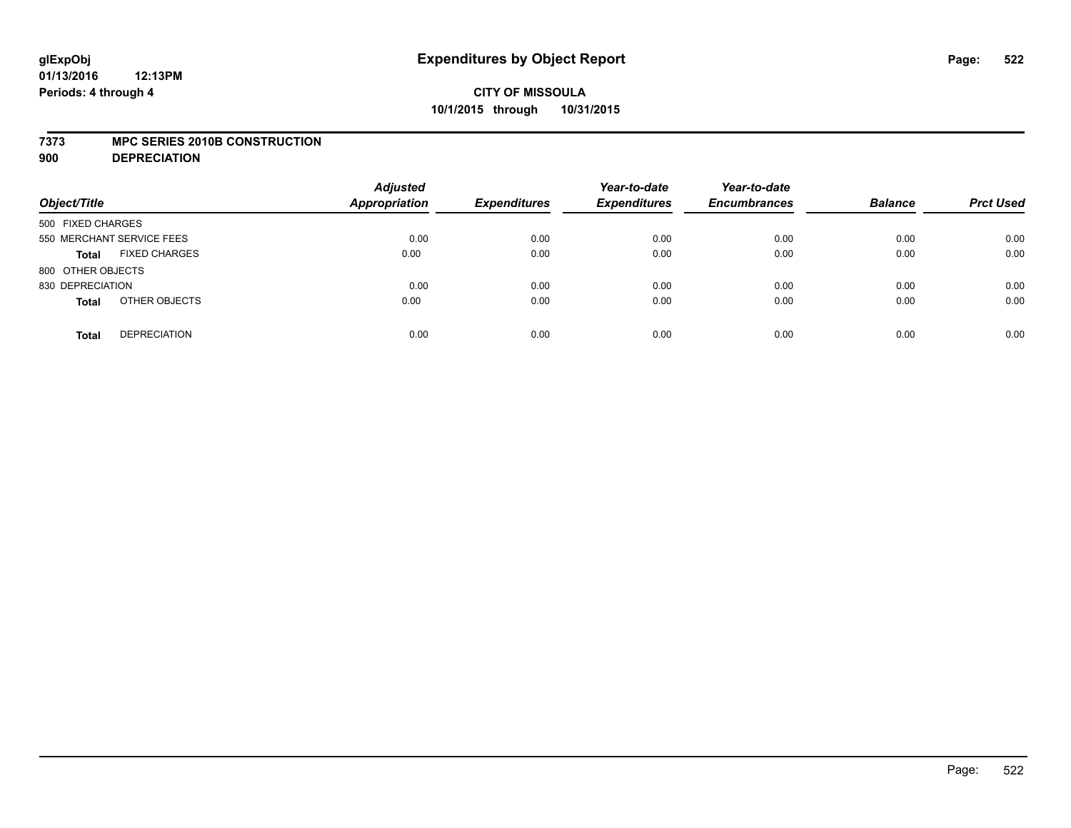### **7373 MPC SERIES 2010B CONSTRUCTION**

**900 DEPRECIATION**

| Object/Title                         | <b>Adjusted</b><br>Appropriation | <b>Expenditures</b> | Year-to-date<br><b>Expenditures</b> | Year-to-date<br><b>Encumbrances</b> | <b>Balance</b> | <b>Prct Used</b> |
|--------------------------------------|----------------------------------|---------------------|-------------------------------------|-------------------------------------|----------------|------------------|
| 500 FIXED CHARGES                    |                                  |                     |                                     |                                     |                |                  |
| 550 MERCHANT SERVICE FEES            | 0.00                             | 0.00                | 0.00                                | 0.00                                | 0.00           | 0.00             |
| <b>FIXED CHARGES</b><br><b>Total</b> | 0.00                             | 0.00                | 0.00                                | 0.00                                | 0.00           | 0.00             |
| 800 OTHER OBJECTS                    |                                  |                     |                                     |                                     |                |                  |
| 830 DEPRECIATION                     | 0.00                             | 0.00                | 0.00                                | 0.00                                | 0.00           | 0.00             |
| OTHER OBJECTS<br><b>Total</b>        | 0.00                             | 0.00                | 0.00                                | 0.00                                | 0.00           | 0.00             |
| <b>DEPRECIATION</b><br><b>Total</b>  | 0.00                             | 0.00                | 0.00                                | 0.00                                | 0.00           | 0.00             |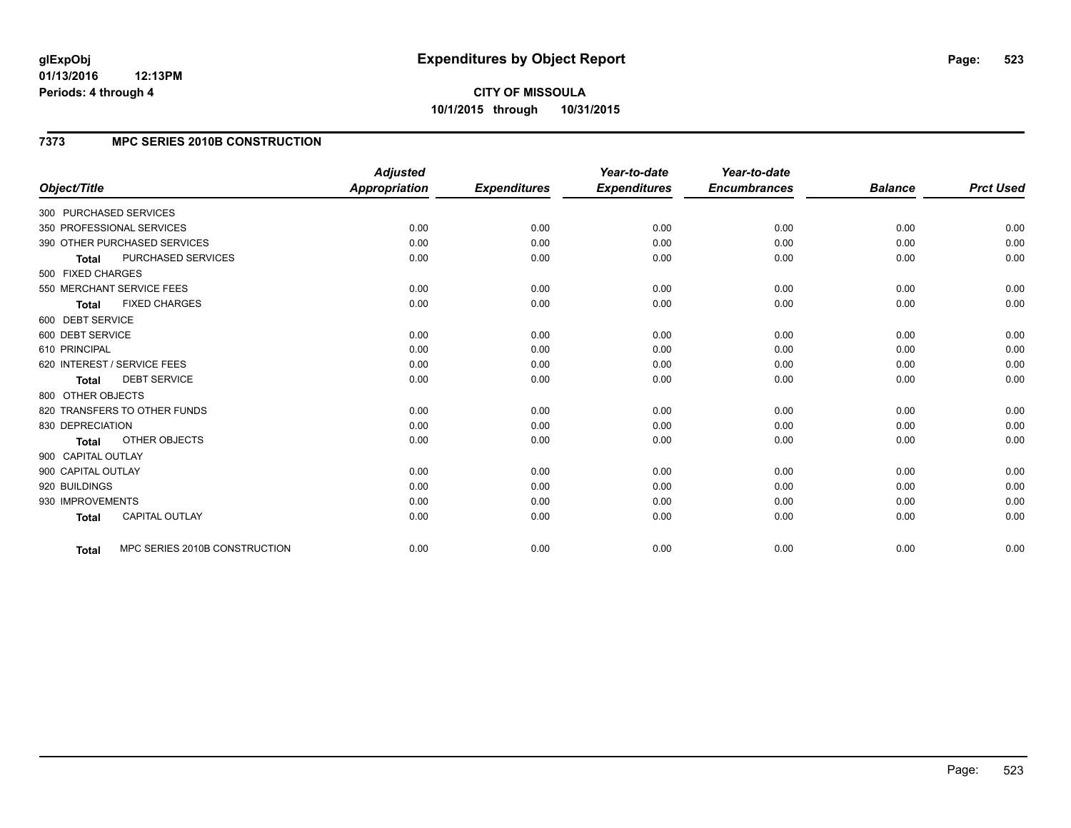### **01/13/2016 12:13PM Periods: 4 through 4**

# **7373 MPC SERIES 2010B CONSTRUCTION**

| Object/Title                |                               | <b>Adjusted</b><br><b>Appropriation</b> | <b>Expenditures</b> | Year-to-date<br><b>Expenditures</b> | Year-to-date<br><b>Encumbrances</b> | <b>Balance</b> | <b>Prct Used</b> |
|-----------------------------|-------------------------------|-----------------------------------------|---------------------|-------------------------------------|-------------------------------------|----------------|------------------|
| 300 PURCHASED SERVICES      |                               |                                         |                     |                                     |                                     |                |                  |
| 350 PROFESSIONAL SERVICES   |                               | 0.00                                    | 0.00                | 0.00                                | 0.00                                | 0.00           | 0.00             |
|                             | 390 OTHER PURCHASED SERVICES  | 0.00                                    | 0.00                | 0.00                                | 0.00                                | 0.00           | 0.00             |
| <b>Total</b>                | <b>PURCHASED SERVICES</b>     | 0.00                                    | 0.00                | 0.00                                | 0.00                                | 0.00           | 0.00             |
| 500 FIXED CHARGES           |                               |                                         |                     |                                     |                                     |                |                  |
| 550 MERCHANT SERVICE FEES   |                               | 0.00                                    | 0.00                | 0.00                                | 0.00                                | 0.00           | 0.00             |
| <b>Total</b>                | <b>FIXED CHARGES</b>          | 0.00                                    | 0.00                | 0.00                                | 0.00                                | 0.00           | 0.00             |
| 600 DEBT SERVICE            |                               |                                         |                     |                                     |                                     |                |                  |
| 600 DEBT SERVICE            |                               | 0.00                                    | 0.00                | 0.00                                | 0.00                                | 0.00           | 0.00             |
| 610 PRINCIPAL               |                               | 0.00                                    | 0.00                | 0.00                                | 0.00                                | 0.00           | 0.00             |
| 620 INTEREST / SERVICE FEES |                               | 0.00                                    | 0.00                | 0.00                                | 0.00                                | 0.00           | 0.00             |
| <b>Total</b>                | <b>DEBT SERVICE</b>           | 0.00                                    | 0.00                | 0.00                                | 0.00                                | 0.00           | 0.00             |
| 800 OTHER OBJECTS           |                               |                                         |                     |                                     |                                     |                |                  |
|                             | 820 TRANSFERS TO OTHER FUNDS  | 0.00                                    | 0.00                | 0.00                                | 0.00                                | 0.00           | 0.00             |
| 830 DEPRECIATION            |                               | 0.00                                    | 0.00                | 0.00                                | 0.00                                | 0.00           | 0.00             |
| <b>Total</b>                | OTHER OBJECTS                 | 0.00                                    | 0.00                | 0.00                                | 0.00                                | 0.00           | 0.00             |
| 900 CAPITAL OUTLAY          |                               |                                         |                     |                                     |                                     |                |                  |
| 900 CAPITAL OUTLAY          |                               | 0.00                                    | 0.00                | 0.00                                | 0.00                                | 0.00           | 0.00             |
| 920 BUILDINGS               |                               | 0.00                                    | 0.00                | 0.00                                | 0.00                                | 0.00           | 0.00             |
| 930 IMPROVEMENTS            |                               | 0.00                                    | 0.00                | 0.00                                | 0.00                                | 0.00           | 0.00             |
| <b>Total</b>                | CAPITAL OUTLAY                | 0.00                                    | 0.00                | 0.00                                | 0.00                                | 0.00           | 0.00             |
| <b>Total</b>                | MPC SERIES 2010B CONSTRUCTION | 0.00                                    | 0.00                | 0.00                                | 0.00                                | 0.00           | 0.00             |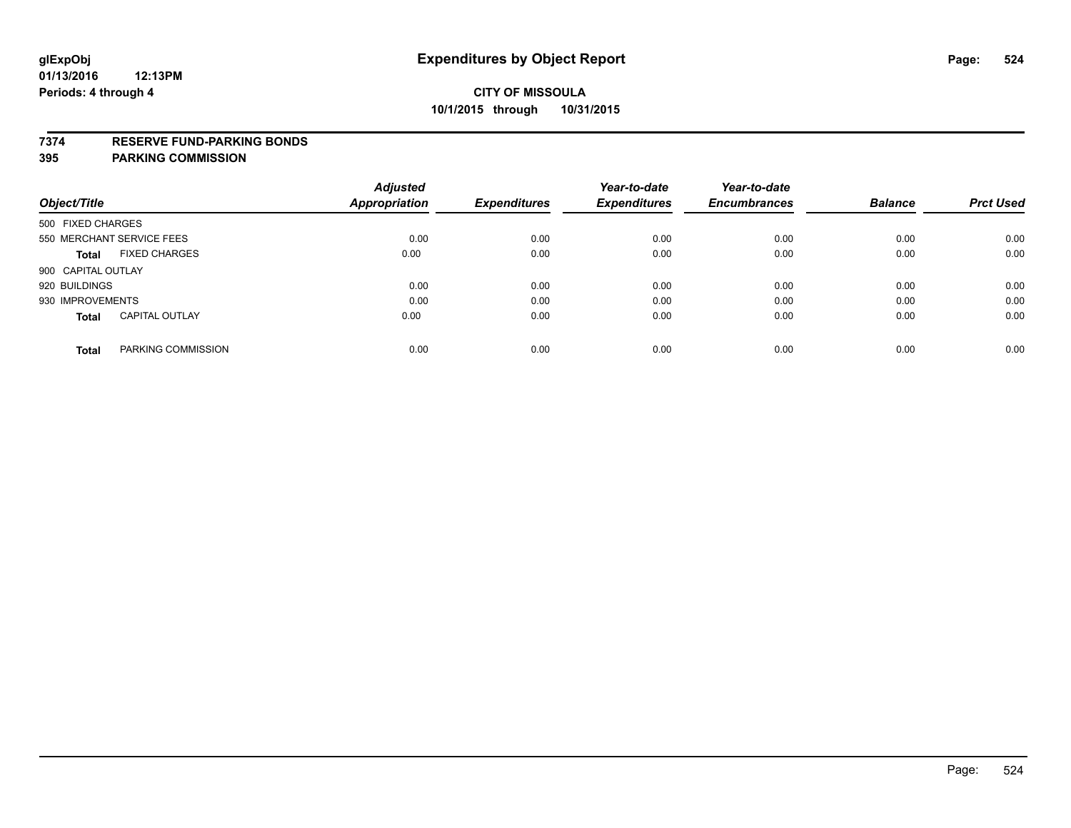### **7374 RESERVE FUND-PARKING BONDS**

|                                       | <b>Adjusted</b>      |                     | Year-to-date        | Year-to-date        |                |                  |
|---------------------------------------|----------------------|---------------------|---------------------|---------------------|----------------|------------------|
| Object/Title                          | <b>Appropriation</b> | <b>Expenditures</b> | <b>Expenditures</b> | <b>Encumbrances</b> | <b>Balance</b> | <b>Prct Used</b> |
| 500 FIXED CHARGES                     |                      |                     |                     |                     |                |                  |
| 550 MERCHANT SERVICE FEES             | 0.00                 | 0.00                | 0.00                | 0.00                | 0.00           | 0.00             |
| <b>FIXED CHARGES</b><br><b>Total</b>  | 0.00                 | 0.00                | 0.00                | 0.00                | 0.00           | 0.00             |
| 900 CAPITAL OUTLAY                    |                      |                     |                     |                     |                |                  |
| 920 BUILDINGS                         | 0.00                 | 0.00                | 0.00                | 0.00                | 0.00           | 0.00             |
| 930 IMPROVEMENTS                      | 0.00                 | 0.00                | 0.00                | 0.00                | 0.00           | 0.00             |
| <b>CAPITAL OUTLAY</b><br><b>Total</b> | 0.00                 | 0.00                | 0.00                | 0.00                | 0.00           | 0.00             |
| PARKING COMMISSION<br><b>Total</b>    | 0.00                 | 0.00                | 0.00                | 0.00                | 0.00           | 0.00             |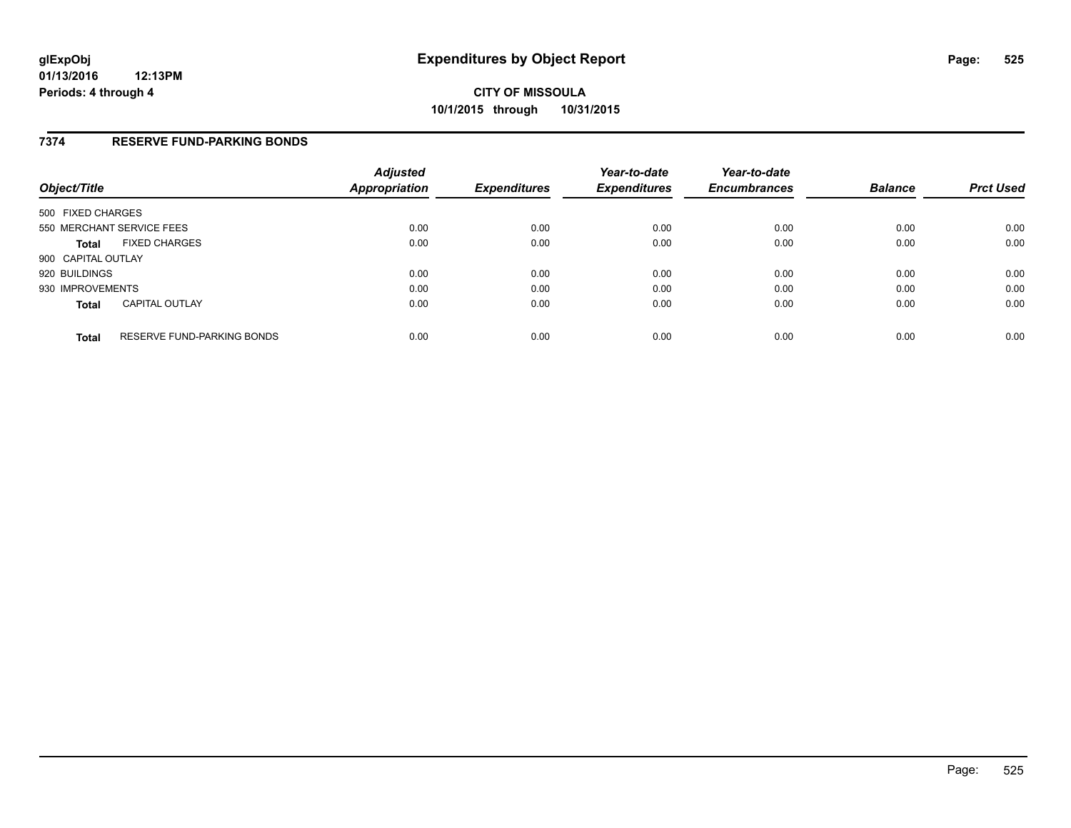### **7374 RESERVE FUND-PARKING BONDS**

| Object/Title              |                            | <b>Adjusted</b><br>Appropriation | <b>Expenditures</b> | Year-to-date<br><b>Expenditures</b> | Year-to-date<br><b>Encumbrances</b> | <b>Balance</b> | <b>Prct Used</b> |
|---------------------------|----------------------------|----------------------------------|---------------------|-------------------------------------|-------------------------------------|----------------|------------------|
| 500 FIXED CHARGES         |                            |                                  |                     |                                     |                                     |                |                  |
| 550 MERCHANT SERVICE FEES |                            | 0.00                             | 0.00                | 0.00                                | 0.00                                | 0.00           | 0.00             |
| <b>Total</b>              | <b>FIXED CHARGES</b>       | 0.00                             | 0.00                | 0.00                                | 0.00                                | 0.00           | 0.00             |
| 900 CAPITAL OUTLAY        |                            |                                  |                     |                                     |                                     |                |                  |
| 920 BUILDINGS             |                            | 0.00                             | 0.00                | 0.00                                | 0.00                                | 0.00           | 0.00             |
| 930 IMPROVEMENTS          |                            | 0.00                             | 0.00                | 0.00                                | 0.00                                | 0.00           | 0.00             |
| <b>Total</b>              | <b>CAPITAL OUTLAY</b>      | 0.00                             | 0.00                | 0.00                                | 0.00                                | 0.00           | 0.00             |
| <b>Total</b>              | RESERVE FUND-PARKING BONDS | 0.00                             | 0.00                | 0.00                                | 0.00                                | 0.00           | 0.00             |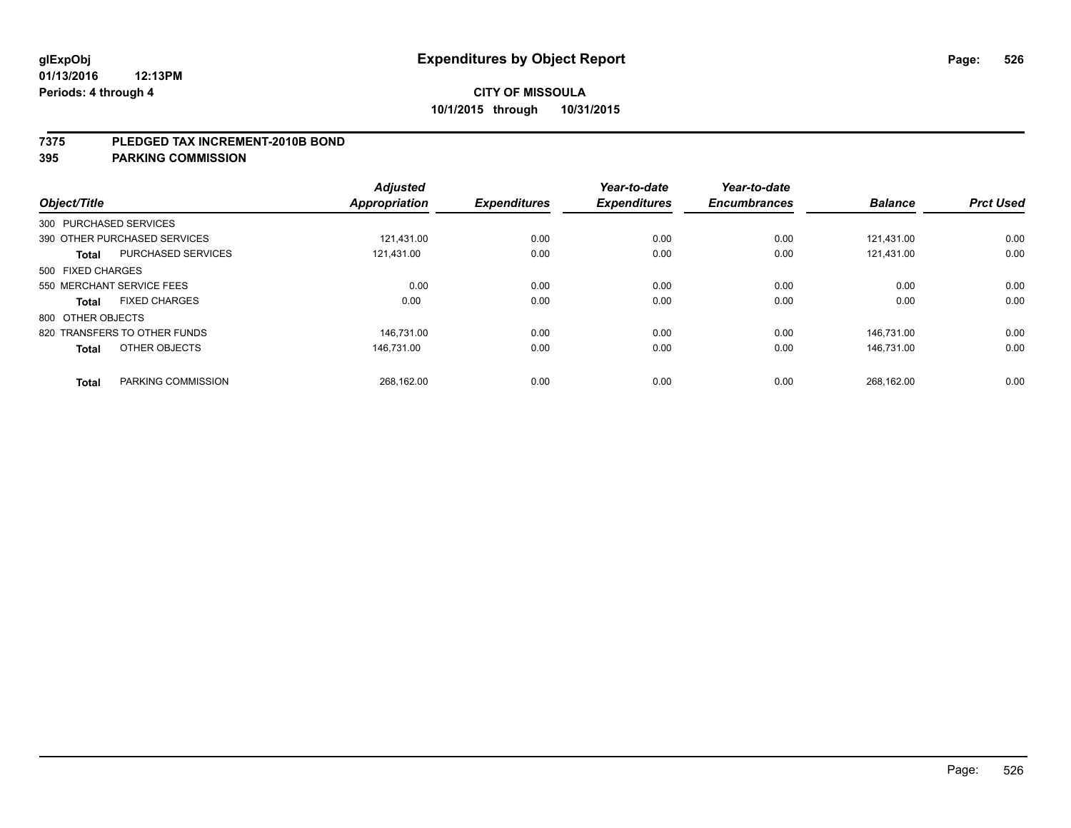### **7375 PLEDGED TAX INCREMENT-2010B BOND**

| Object/Title           |                              | <b>Adjusted</b><br><b>Appropriation</b> | <b>Expenditures</b> | Year-to-date<br><b>Expenditures</b> | Year-to-date<br><b>Encumbrances</b> | <b>Balance</b> | <b>Prct Used</b> |
|------------------------|------------------------------|-----------------------------------------|---------------------|-------------------------------------|-------------------------------------|----------------|------------------|
| 300 PURCHASED SERVICES |                              |                                         |                     |                                     |                                     |                |                  |
|                        | 390 OTHER PURCHASED SERVICES | 121.431.00                              | 0.00                | 0.00                                | 0.00                                | 121.431.00     | 0.00             |
| <b>Total</b>           | <b>PURCHASED SERVICES</b>    | 121,431.00                              | 0.00                | 0.00                                | 0.00                                | 121,431.00     | 0.00             |
| 500 FIXED CHARGES      |                              |                                         |                     |                                     |                                     |                |                  |
|                        | 550 MERCHANT SERVICE FEES    | 0.00                                    | 0.00                | 0.00                                | 0.00                                | 0.00           | 0.00             |
| Total                  | <b>FIXED CHARGES</b>         | 0.00                                    | 0.00                | 0.00                                | 0.00                                | 0.00           | 0.00             |
| 800 OTHER OBJECTS      |                              |                                         |                     |                                     |                                     |                |                  |
|                        | 820 TRANSFERS TO OTHER FUNDS | 146.731.00                              | 0.00                | 0.00                                | 0.00                                | 146.731.00     | 0.00             |
| <b>Total</b>           | OTHER OBJECTS                | 146.731.00                              | 0.00                | 0.00                                | 0.00                                | 146.731.00     | 0.00             |
|                        |                              |                                         |                     |                                     |                                     |                |                  |
| <b>Total</b>           | PARKING COMMISSION           | 268.162.00                              | 0.00                | 0.00                                | 0.00                                | 268,162.00     | 0.00             |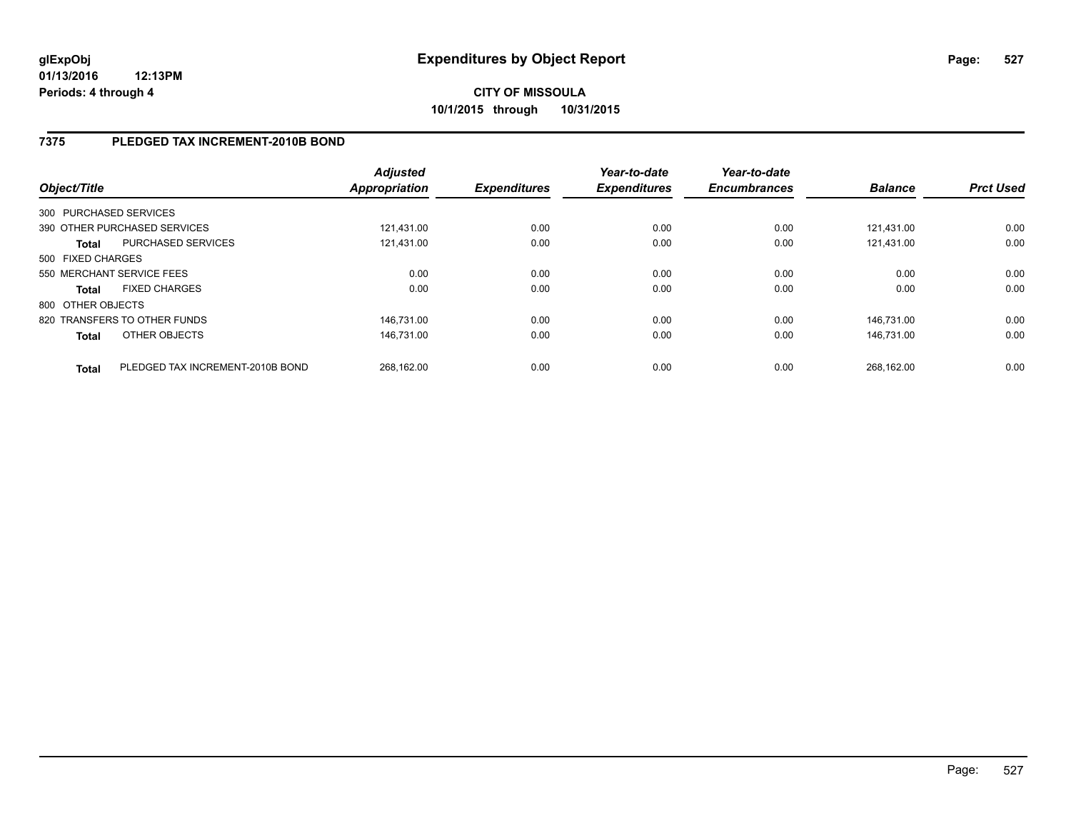## **7375 PLEDGED TAX INCREMENT-2010B BOND**

| Object/Title      |                                  | <b>Adjusted</b><br><b>Appropriation</b> | <b>Expenditures</b> | Year-to-date<br><b>Expenditures</b> | Year-to-date<br><b>Encumbrances</b> | <b>Balance</b> | <b>Prct Used</b> |
|-------------------|----------------------------------|-----------------------------------------|---------------------|-------------------------------------|-------------------------------------|----------------|------------------|
|                   | 300 PURCHASED SERVICES           |                                         |                     |                                     |                                     |                |                  |
|                   | 390 OTHER PURCHASED SERVICES     | 121.431.00                              | 0.00                | 0.00                                | 0.00                                | 121.431.00     | 0.00             |
| <b>Total</b>      | PURCHASED SERVICES               | 121.431.00                              | 0.00                | 0.00                                | 0.00                                | 121.431.00     | 0.00             |
| 500 FIXED CHARGES |                                  |                                         |                     |                                     |                                     |                |                  |
|                   | 550 MERCHANT SERVICE FEES        | 0.00                                    | 0.00                | 0.00                                | 0.00                                | 0.00           | 0.00             |
| <b>Total</b>      | <b>FIXED CHARGES</b>             | 0.00                                    | 0.00                | 0.00                                | 0.00                                | 0.00           | 0.00             |
| 800 OTHER OBJECTS |                                  |                                         |                     |                                     |                                     |                |                  |
|                   | 820 TRANSFERS TO OTHER FUNDS     | 146.731.00                              | 0.00                | 0.00                                | 0.00                                | 146.731.00     | 0.00             |
| <b>Total</b>      | OTHER OBJECTS                    | 146.731.00                              | 0.00                | 0.00                                | 0.00                                | 146.731.00     | 0.00             |
| <b>Total</b>      | PLEDGED TAX INCREMENT-2010B BOND | 268.162.00                              | 0.00                | 0.00                                | 0.00                                | 268.162.00     | 0.00             |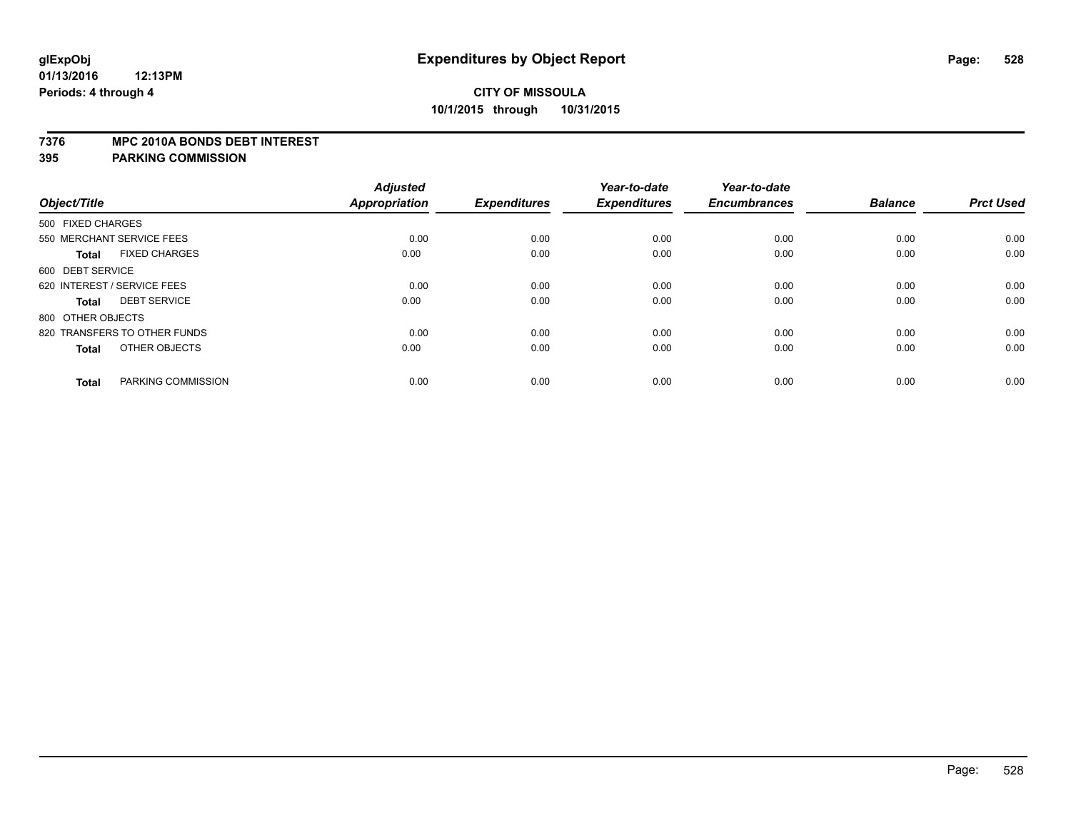### **7376 MPC 2010A BONDS DEBT INTEREST**

| Object/Title                         | <b>Adjusted</b><br>Appropriation | <b>Expenditures</b> | Year-to-date<br><b>Expenditures</b> | Year-to-date<br><b>Encumbrances</b> | <b>Balance</b> | <b>Prct Used</b> |
|--------------------------------------|----------------------------------|---------------------|-------------------------------------|-------------------------------------|----------------|------------------|
|                                      |                                  |                     |                                     |                                     |                |                  |
| 500 FIXED CHARGES                    |                                  |                     |                                     |                                     |                |                  |
| 550 MERCHANT SERVICE FEES            | 0.00                             | 0.00                | 0.00                                | 0.00                                | 0.00           | 0.00             |
| <b>FIXED CHARGES</b><br><b>Total</b> | 0.00                             | 0.00                | 0.00                                | 0.00                                | 0.00           | 0.00             |
| 600 DEBT SERVICE                     |                                  |                     |                                     |                                     |                |                  |
| 620 INTEREST / SERVICE FEES          | 0.00                             | 0.00                | 0.00                                | 0.00                                | 0.00           | 0.00             |
| <b>DEBT SERVICE</b><br><b>Total</b>  | 0.00                             | 0.00                | 0.00                                | 0.00                                | 0.00           | 0.00             |
| 800 OTHER OBJECTS                    |                                  |                     |                                     |                                     |                |                  |
| 820 TRANSFERS TO OTHER FUNDS         | 0.00                             | 0.00                | 0.00                                | 0.00                                | 0.00           | 0.00             |
| OTHER OBJECTS<br><b>Total</b>        | 0.00                             | 0.00                | 0.00                                | 0.00                                | 0.00           | 0.00             |
| PARKING COMMISSION<br><b>Total</b>   | 0.00                             | 0.00                | 0.00                                | 0.00                                | 0.00           | 0.00             |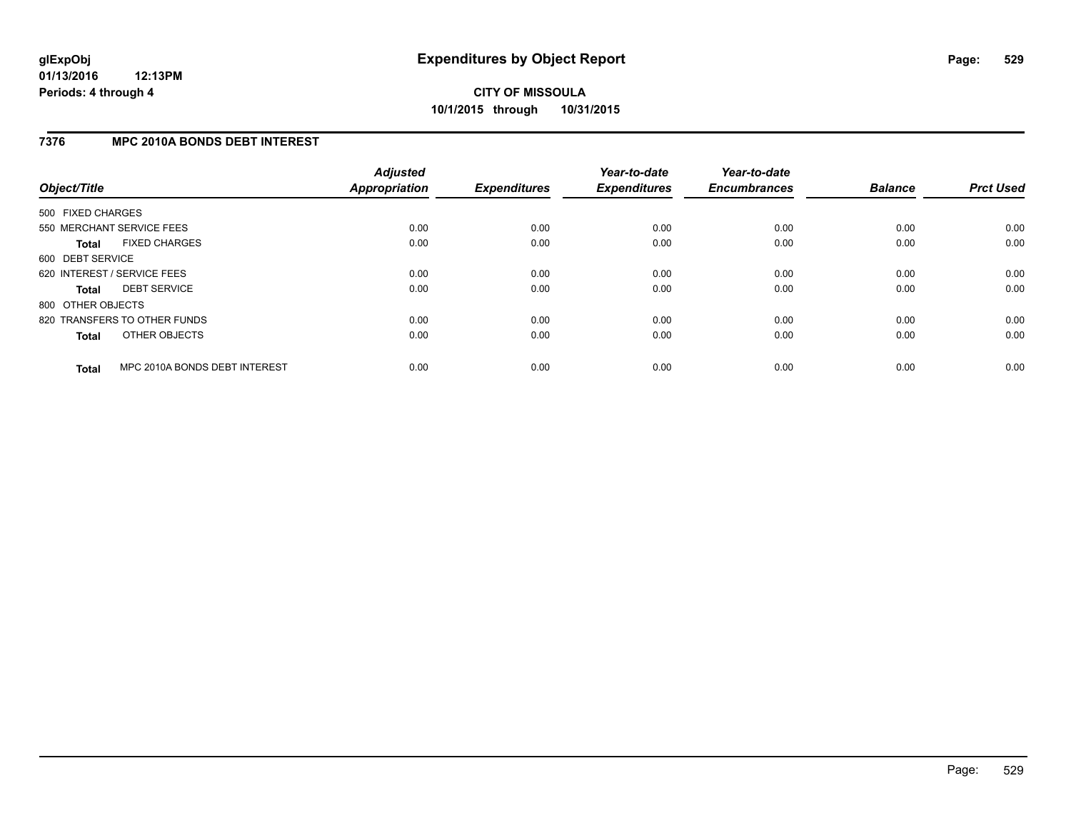## **7376 MPC 2010A BONDS DEBT INTEREST**

| Object/Title      |                               | <b>Adjusted</b><br><b>Appropriation</b> | <b>Expenditures</b> | Year-to-date<br><b>Expenditures</b> | Year-to-date<br><b>Encumbrances</b> | <b>Balance</b> | <b>Prct Used</b> |
|-------------------|-------------------------------|-----------------------------------------|---------------------|-------------------------------------|-------------------------------------|----------------|------------------|
| 500 FIXED CHARGES |                               |                                         |                     |                                     |                                     |                |                  |
|                   | 550 MERCHANT SERVICE FEES     | 0.00                                    | 0.00                | 0.00                                | 0.00                                | 0.00           | 0.00             |
| <b>Total</b>      | <b>FIXED CHARGES</b>          | 0.00                                    | 0.00                | 0.00                                | 0.00                                | 0.00           | 0.00             |
| 600 DEBT SERVICE  |                               |                                         |                     |                                     |                                     |                |                  |
|                   | 620 INTEREST / SERVICE FEES   | 0.00                                    | 0.00                | 0.00                                | 0.00                                | 0.00           | 0.00             |
| <b>Total</b>      | <b>DEBT SERVICE</b>           | 0.00                                    | 0.00                | 0.00                                | 0.00                                | 0.00           | 0.00             |
| 800 OTHER OBJECTS |                               |                                         |                     |                                     |                                     |                |                  |
|                   | 820 TRANSFERS TO OTHER FUNDS  | 0.00                                    | 0.00                | 0.00                                | 0.00                                | 0.00           | 0.00             |
| <b>Total</b>      | OTHER OBJECTS                 | 0.00                                    | 0.00                | 0.00                                | 0.00                                | 0.00           | 0.00             |
| <b>Total</b>      | MPC 2010A BONDS DEBT INTEREST | 0.00                                    | 0.00                | 0.00                                | 0.00                                | 0.00           | 0.00             |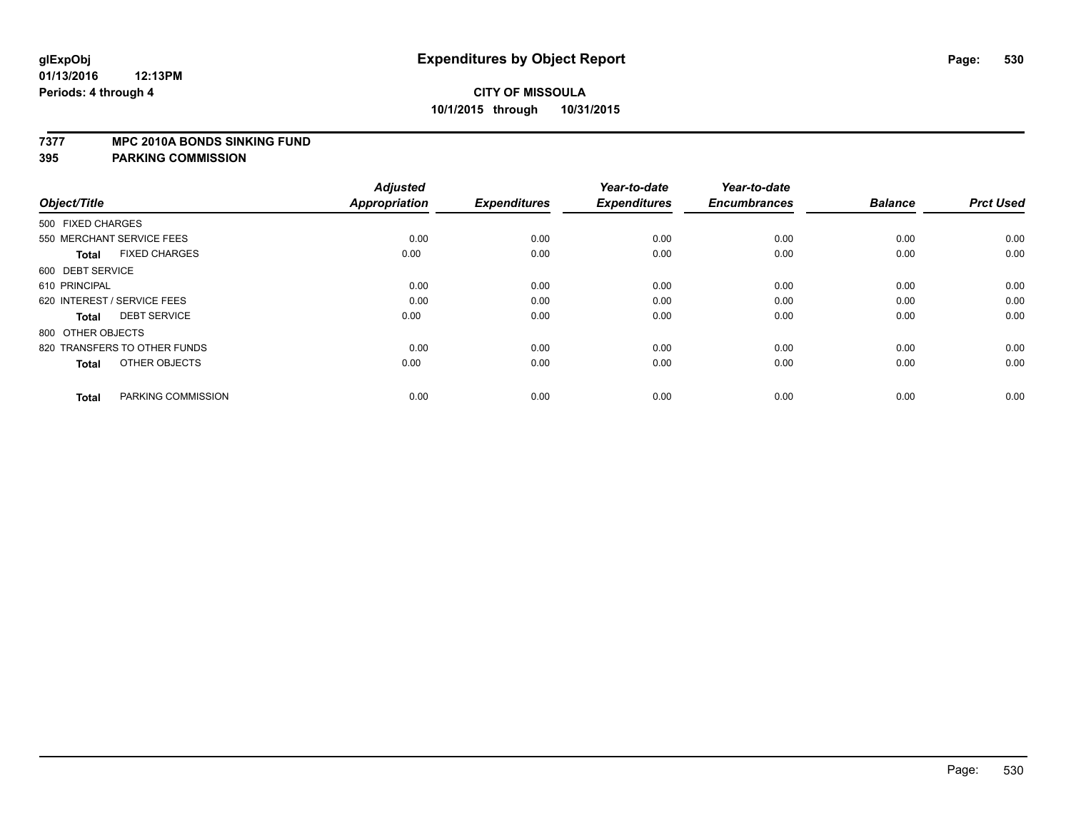### **7377 MPC 2010A BONDS SINKING FUND**

| Object/Title                         | <b>Adjusted</b><br><b>Appropriation</b> | <b>Expenditures</b> | Year-to-date<br><b>Expenditures</b> | Year-to-date<br><b>Encumbrances</b> | <b>Balance</b> | <b>Prct Used</b> |
|--------------------------------------|-----------------------------------------|---------------------|-------------------------------------|-------------------------------------|----------------|------------------|
| 500 FIXED CHARGES                    |                                         |                     |                                     |                                     |                |                  |
| 550 MERCHANT SERVICE FEES            | 0.00                                    | 0.00                | 0.00                                | 0.00                                | 0.00           | 0.00             |
| <b>FIXED CHARGES</b><br><b>Total</b> | 0.00                                    | 0.00                | 0.00                                | 0.00                                | 0.00           | 0.00             |
| 600 DEBT SERVICE                     |                                         |                     |                                     |                                     |                |                  |
| 610 PRINCIPAL                        | 0.00                                    | 0.00                | 0.00                                | 0.00                                | 0.00           | 0.00             |
| 620 INTEREST / SERVICE FEES          | 0.00                                    | 0.00                | 0.00                                | 0.00                                | 0.00           | 0.00             |
| <b>DEBT SERVICE</b><br><b>Total</b>  | 0.00                                    | 0.00                | 0.00                                | 0.00                                | 0.00           | 0.00             |
| 800 OTHER OBJECTS                    |                                         |                     |                                     |                                     |                |                  |
| 820 TRANSFERS TO OTHER FUNDS         | 0.00                                    | 0.00                | 0.00                                | 0.00                                | 0.00           | 0.00             |
| OTHER OBJECTS<br><b>Total</b>        | 0.00                                    | 0.00                | 0.00                                | 0.00                                | 0.00           | 0.00             |
|                                      |                                         |                     |                                     |                                     |                |                  |
| PARKING COMMISSION<br><b>Total</b>   | 0.00                                    | 0.00                | 0.00                                | 0.00                                | 0.00           | 0.00             |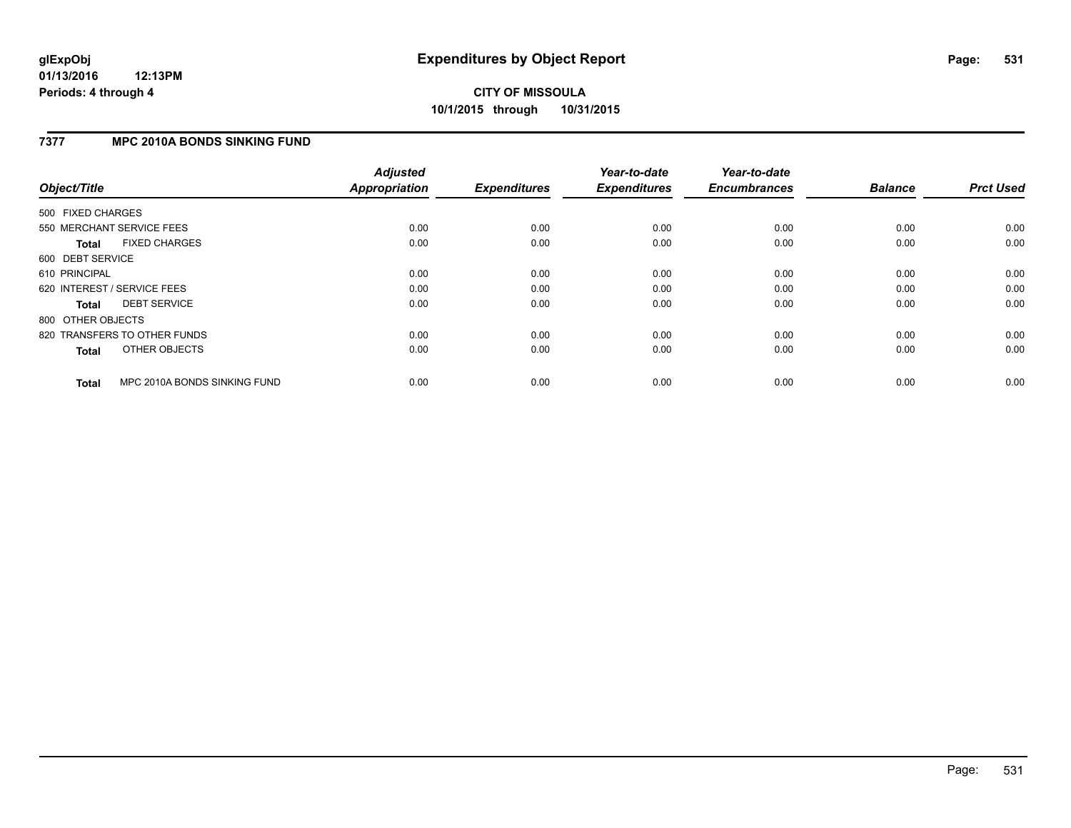## **7377 MPC 2010A BONDS SINKING FUND**

| Object/Title      |                              | <b>Adjusted</b><br><b>Appropriation</b> | <b>Expenditures</b> | Year-to-date<br><b>Expenditures</b> | Year-to-date<br><b>Encumbrances</b> | <b>Balance</b> | <b>Prct Used</b> |
|-------------------|------------------------------|-----------------------------------------|---------------------|-------------------------------------|-------------------------------------|----------------|------------------|
| 500 FIXED CHARGES |                              |                                         |                     |                                     |                                     |                |                  |
|                   | 550 MERCHANT SERVICE FEES    | 0.00                                    | 0.00                | 0.00                                | 0.00                                | 0.00           | 0.00             |
| <b>Total</b>      | <b>FIXED CHARGES</b>         | 0.00                                    | 0.00                | 0.00                                | 0.00                                | 0.00           | 0.00             |
| 600 DEBT SERVICE  |                              |                                         |                     |                                     |                                     |                |                  |
| 610 PRINCIPAL     |                              | 0.00                                    | 0.00                | 0.00                                | 0.00                                | 0.00           | 0.00             |
|                   | 620 INTEREST / SERVICE FEES  | 0.00                                    | 0.00                | 0.00                                | 0.00                                | 0.00           | 0.00             |
| <b>Total</b>      | <b>DEBT SERVICE</b>          | 0.00                                    | 0.00                | 0.00                                | 0.00                                | 0.00           | 0.00             |
| 800 OTHER OBJECTS |                              |                                         |                     |                                     |                                     |                |                  |
|                   | 820 TRANSFERS TO OTHER FUNDS | 0.00                                    | 0.00                | 0.00                                | 0.00                                | 0.00           | 0.00             |
| <b>Total</b>      | OTHER OBJECTS                | 0.00                                    | 0.00                | 0.00                                | 0.00                                | 0.00           | 0.00             |
| <b>Total</b>      | MPC 2010A BONDS SINKING FUND | 0.00                                    | 0.00                | 0.00                                | 0.00                                | 0.00           | 0.00             |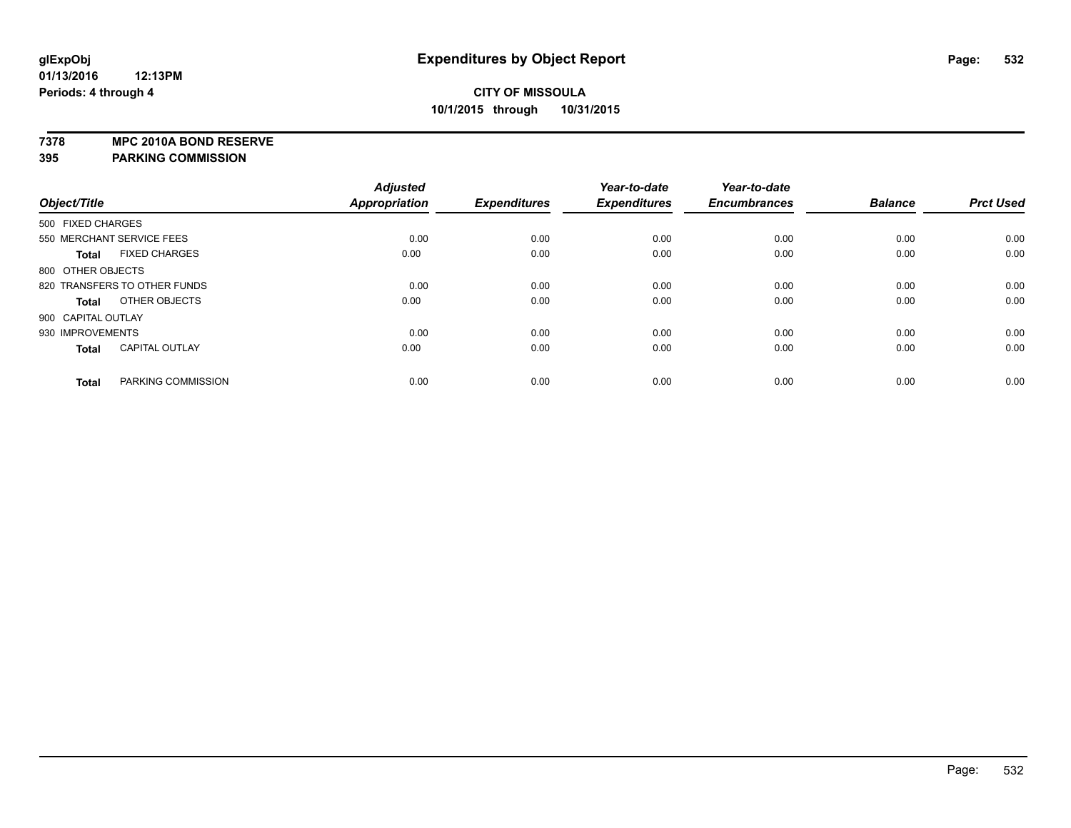**7378 MPC 2010A BOND RESERVE**

|                    |                              | <b>Adjusted</b> |                     | Year-to-date        | Year-to-date        |                |                  |
|--------------------|------------------------------|-----------------|---------------------|---------------------|---------------------|----------------|------------------|
| Object/Title       |                              | Appropriation   | <b>Expenditures</b> | <b>Expenditures</b> | <b>Encumbrances</b> | <b>Balance</b> | <b>Prct Used</b> |
| 500 FIXED CHARGES  |                              |                 |                     |                     |                     |                |                  |
|                    | 550 MERCHANT SERVICE FEES    | 0.00            | 0.00                | 0.00                | 0.00                | 0.00           | 0.00             |
| <b>Total</b>       | <b>FIXED CHARGES</b>         | 0.00            | 0.00                | 0.00                | 0.00                | 0.00           | 0.00             |
| 800 OTHER OBJECTS  |                              |                 |                     |                     |                     |                |                  |
|                    | 820 TRANSFERS TO OTHER FUNDS | 0.00            | 0.00                | 0.00                | 0.00                | 0.00           | 0.00             |
| <b>Total</b>       | OTHER OBJECTS                | 0.00            | 0.00                | 0.00                | 0.00                | 0.00           | 0.00             |
| 900 CAPITAL OUTLAY |                              |                 |                     |                     |                     |                |                  |
| 930 IMPROVEMENTS   |                              | 0.00            | 0.00                | 0.00                | 0.00                | 0.00           | 0.00             |
| <b>Total</b>       | <b>CAPITAL OUTLAY</b>        | 0.00            | 0.00                | 0.00                | 0.00                | 0.00           | 0.00             |
| <b>Total</b>       | PARKING COMMISSION           | 0.00            | 0.00                | 0.00                | 0.00                | 0.00           | 0.00             |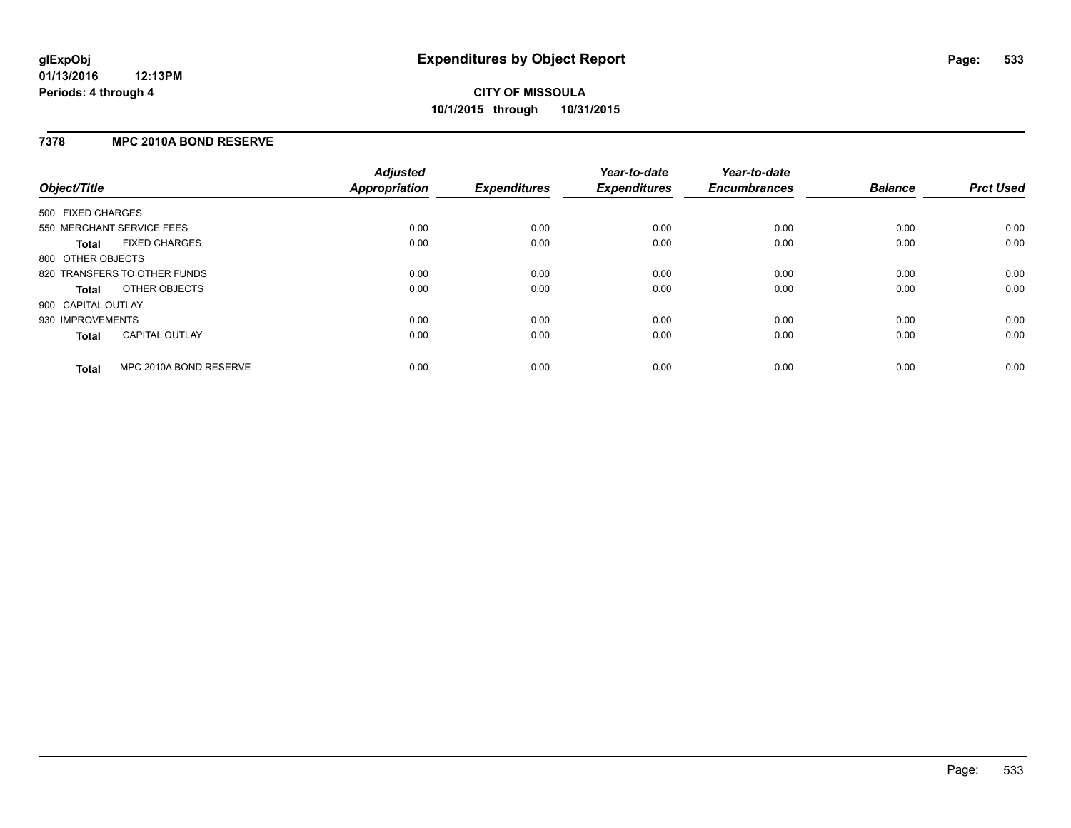### **7378 MPC 2010A BOND RESERVE**

| Object/Title              |                              | <b>Adjusted</b><br><b>Appropriation</b> | <b>Expenditures</b> | Year-to-date<br><b>Expenditures</b> | Year-to-date<br><b>Encumbrances</b> | <b>Balance</b> | <b>Prct Used</b> |
|---------------------------|------------------------------|-----------------------------------------|---------------------|-------------------------------------|-------------------------------------|----------------|------------------|
| 500 FIXED CHARGES         |                              |                                         |                     |                                     |                                     |                |                  |
| 550 MERCHANT SERVICE FEES |                              | 0.00                                    | 0.00                | 0.00                                | 0.00                                | 0.00           | 0.00             |
| Total                     | <b>FIXED CHARGES</b>         | 0.00                                    | 0.00                | 0.00                                | 0.00                                | 0.00           | 0.00             |
| 800 OTHER OBJECTS         |                              |                                         |                     |                                     |                                     |                |                  |
|                           | 820 TRANSFERS TO OTHER FUNDS | 0.00                                    | 0.00                | 0.00                                | 0.00                                | 0.00           | 0.00             |
| Total                     | OTHER OBJECTS                | 0.00                                    | 0.00                | 0.00                                | 0.00                                | 0.00           | 0.00             |
| 900 CAPITAL OUTLAY        |                              |                                         |                     |                                     |                                     |                |                  |
| 930 IMPROVEMENTS          |                              | 0.00                                    | 0.00                | 0.00                                | 0.00                                | 0.00           | 0.00             |
| Total                     | <b>CAPITAL OUTLAY</b>        | 0.00                                    | 0.00                | 0.00                                | 0.00                                | 0.00           | 0.00             |
| <b>Total</b>              | MPC 2010A BOND RESERVE       | 0.00                                    | 0.00                | 0.00                                | 0.00                                | 0.00           | 0.00             |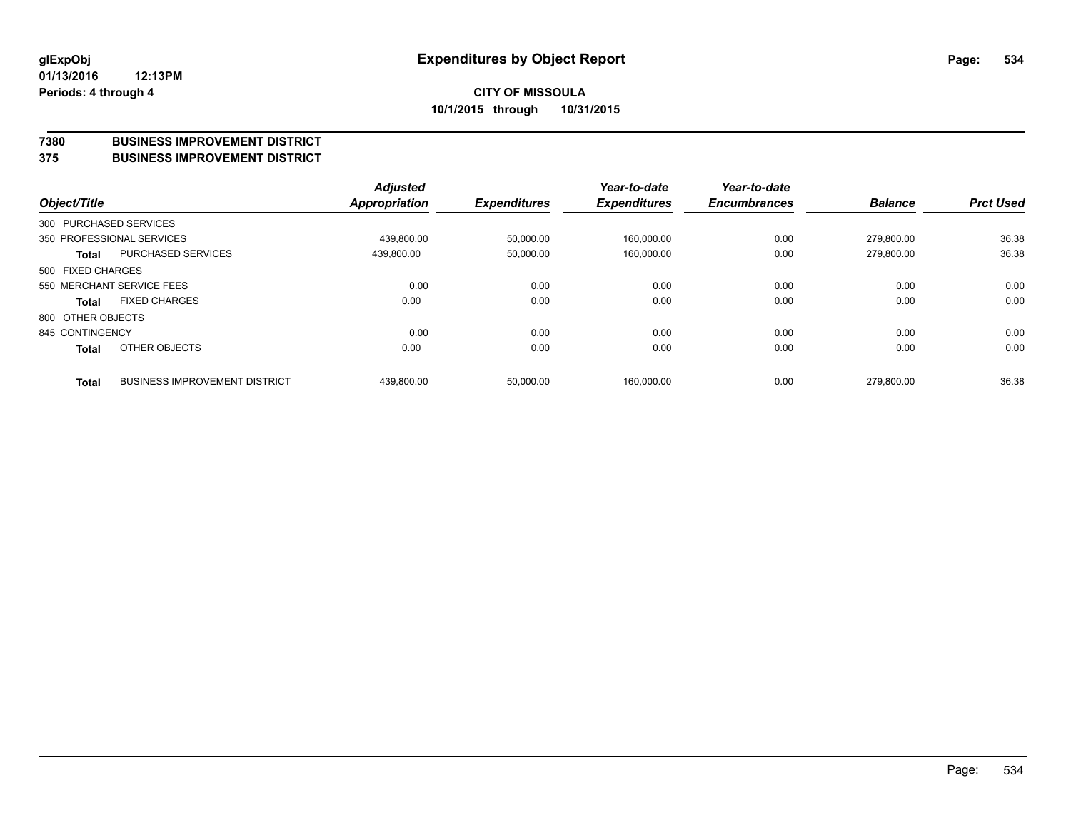### **7380 BUSINESS IMPROVEMENT DISTRICT**

**375 BUSINESS IMPROVEMENT DISTRICT**

| Object/Title      |                                      | <b>Adjusted</b><br><b>Appropriation</b> | <b>Expenditures</b> | Year-to-date<br><b>Expenditures</b> | Year-to-date<br><b>Encumbrances</b> | <b>Balance</b> | <b>Prct Used</b> |
|-------------------|--------------------------------------|-----------------------------------------|---------------------|-------------------------------------|-------------------------------------|----------------|------------------|
|                   | 300 PURCHASED SERVICES               |                                         |                     |                                     |                                     |                |                  |
|                   | 350 PROFESSIONAL SERVICES            | 439.800.00                              | 50,000.00           | 160,000.00                          | 0.00                                | 279.800.00     | 36.38            |
| <b>Total</b>      | <b>PURCHASED SERVICES</b>            | 439,800.00                              | 50,000.00           | 160,000.00                          | 0.00                                | 279.800.00     | 36.38            |
| 500 FIXED CHARGES |                                      |                                         |                     |                                     |                                     |                |                  |
|                   | 550 MERCHANT SERVICE FEES            | 0.00                                    | 0.00                | 0.00                                | 0.00                                | 0.00           | 0.00             |
| <b>Total</b>      | <b>FIXED CHARGES</b>                 | 0.00                                    | 0.00                | 0.00                                | 0.00                                | 0.00           | 0.00             |
| 800 OTHER OBJECTS |                                      |                                         |                     |                                     |                                     |                |                  |
| 845 CONTINGENCY   |                                      | 0.00                                    | 0.00                | 0.00                                | 0.00                                | 0.00           | 0.00             |
| <b>Total</b>      | OTHER OBJECTS                        | 0.00                                    | 0.00                | 0.00                                | 0.00                                | 0.00           | 0.00             |
| <b>Total</b>      | <b>BUSINESS IMPROVEMENT DISTRICT</b> | 439,800.00                              | 50,000.00           | 160.000.00                          | 0.00                                | 279.800.00     | 36.38            |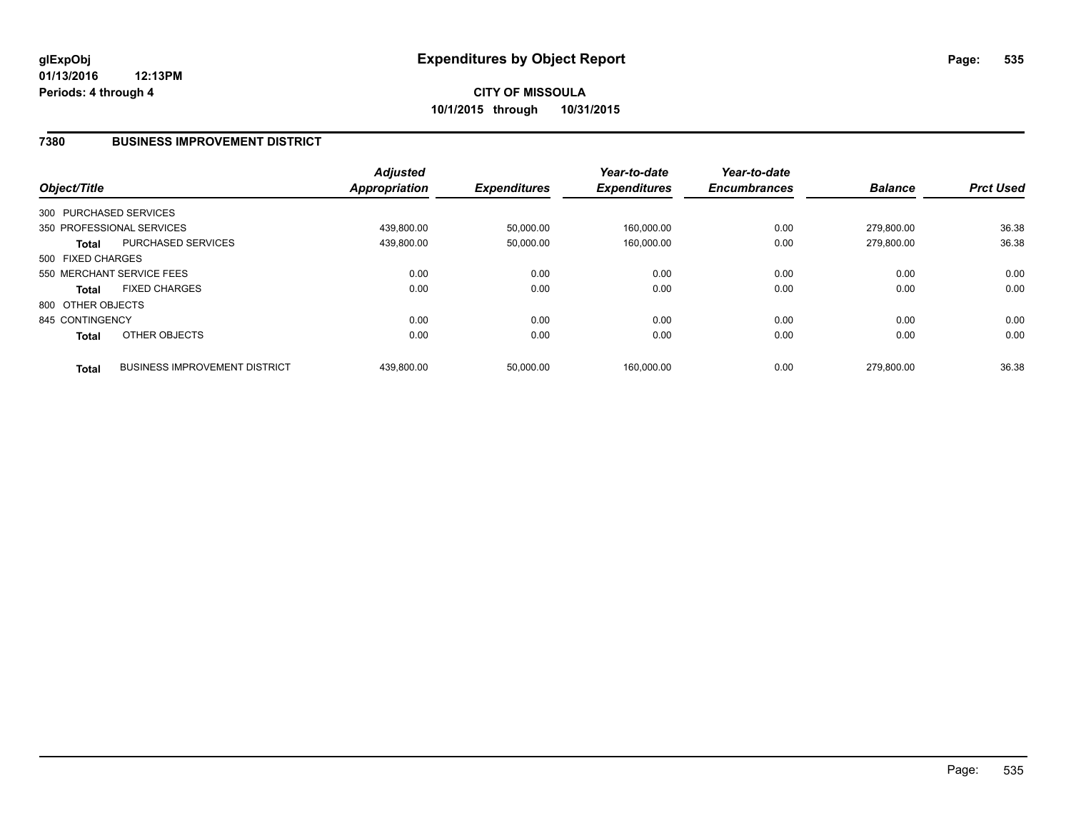### **7380 BUSINESS IMPROVEMENT DISTRICT**

| Object/Title      |                                      | <b>Adjusted</b><br><b>Appropriation</b> | <b>Expenditures</b> | Year-to-date<br><b>Expenditures</b> | Year-to-date<br><b>Encumbrances</b> | <b>Balance</b> | <b>Prct Used</b> |
|-------------------|--------------------------------------|-----------------------------------------|---------------------|-------------------------------------|-------------------------------------|----------------|------------------|
|                   | 300 PURCHASED SERVICES               |                                         |                     |                                     |                                     |                |                  |
|                   | 350 PROFESSIONAL SERVICES            | 439.800.00                              | 50,000.00           | 160,000.00                          | 0.00                                | 279.800.00     | 36.38            |
| <b>Total</b>      | <b>PURCHASED SERVICES</b>            | 439,800.00                              | 50,000.00           | 160,000.00                          | 0.00                                | 279,800.00     | 36.38            |
| 500 FIXED CHARGES |                                      |                                         |                     |                                     |                                     |                |                  |
|                   | 550 MERCHANT SERVICE FEES            | 0.00                                    | 0.00                | 0.00                                | 0.00                                | 0.00           | 0.00             |
| <b>Total</b>      | <b>FIXED CHARGES</b>                 | 0.00                                    | 0.00                | 0.00                                | 0.00                                | 0.00           | 0.00             |
| 800 OTHER OBJECTS |                                      |                                         |                     |                                     |                                     |                |                  |
| 845 CONTINGENCY   |                                      | 0.00                                    | 0.00                | 0.00                                | 0.00                                | 0.00           | 0.00             |
| <b>Total</b>      | OTHER OBJECTS                        | 0.00                                    | 0.00                | 0.00                                | 0.00                                | 0.00           | 0.00             |
| <b>Total</b>      | <b>BUSINESS IMPROVEMENT DISTRICT</b> | 439.800.00                              | 50,000.00           | 160.000.00                          | 0.00                                | 279.800.00     | 36.38            |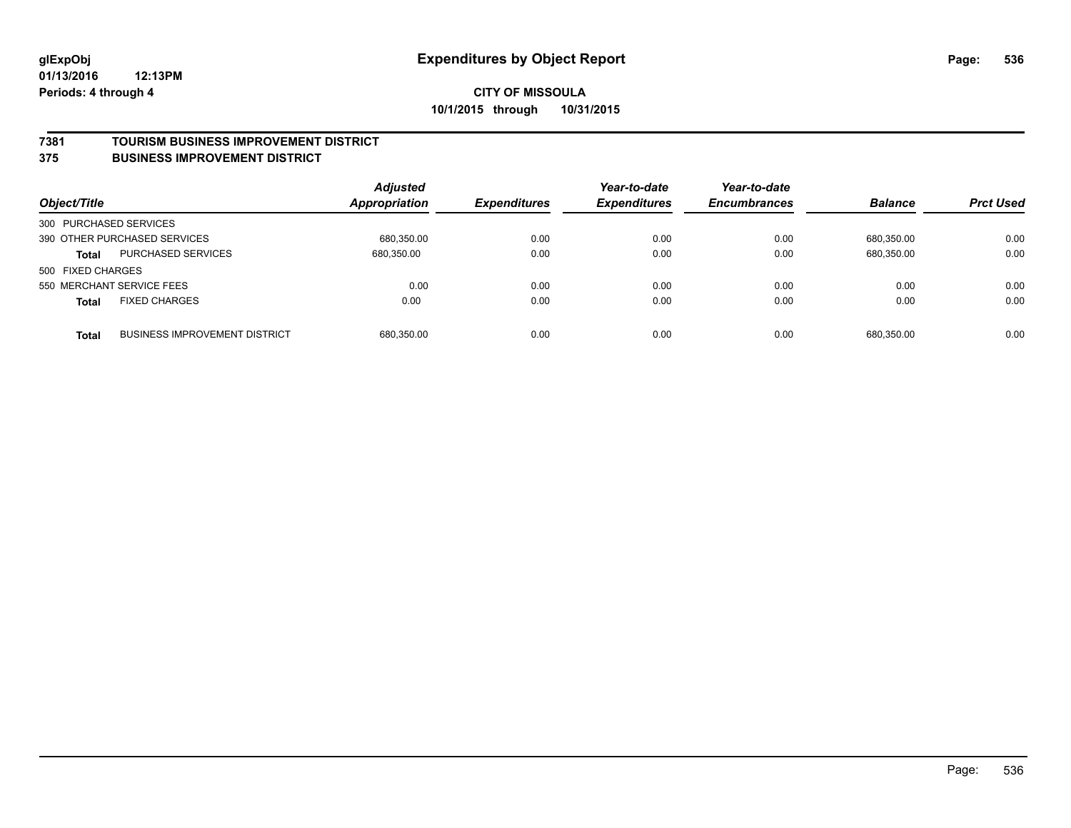### **7381 TOURISM BUSINESS IMPROVEMENT DISTRICT**

### **375 BUSINESS IMPROVEMENT DISTRICT**

| Object/Title           |                                      | <b>Adjusted</b><br><b>Appropriation</b> | <b>Expenditures</b> | Year-to-date<br><b>Expenditures</b> | Year-to-date<br><b>Encumbrances</b> | <b>Balance</b> | <b>Prct Used</b> |
|------------------------|--------------------------------------|-----------------------------------------|---------------------|-------------------------------------|-------------------------------------|----------------|------------------|
| 300 PURCHASED SERVICES |                                      |                                         |                     |                                     |                                     |                |                  |
|                        | 390 OTHER PURCHASED SERVICES         | 680,350.00                              | 0.00                | 0.00                                | 0.00                                | 680.350.00     | 0.00             |
| <b>Total</b>           | <b>PURCHASED SERVICES</b>            | 680,350.00                              | 0.00                | 0.00                                | 0.00                                | 680,350.00     | 0.00             |
| 500 FIXED CHARGES      |                                      |                                         |                     |                                     |                                     |                |                  |
|                        | 550 MERCHANT SERVICE FEES            | 0.00                                    | 0.00                | 0.00                                | 0.00                                | 0.00           | 0.00             |
| <b>Total</b>           | <b>FIXED CHARGES</b>                 | 0.00                                    | 0.00                | 0.00                                | 0.00                                | 0.00           | 0.00             |
| <b>Total</b>           | <b>BUSINESS IMPROVEMENT DISTRICT</b> | 680,350.00                              | 0.00                | 0.00                                | 0.00                                | 680.350.00     | 0.00             |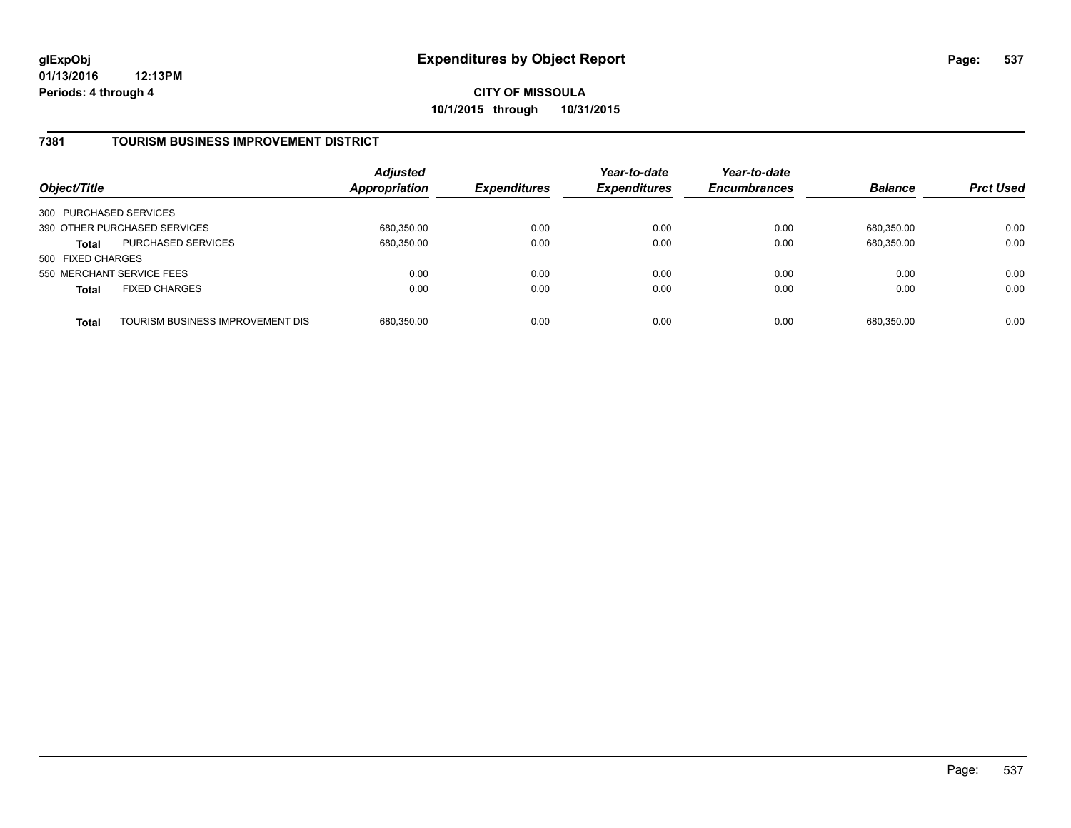## **7381 TOURISM BUSINESS IMPROVEMENT DISTRICT**

| Object/Title              |                                  | <b>Adjusted</b><br>Appropriation | <b>Expenditures</b> | Year-to-date<br><b>Expenditures</b> | Year-to-date<br><b>Encumbrances</b> | <b>Balance</b> | <b>Prct Used</b> |
|---------------------------|----------------------------------|----------------------------------|---------------------|-------------------------------------|-------------------------------------|----------------|------------------|
| 300 PURCHASED SERVICES    |                                  |                                  |                     |                                     |                                     |                |                  |
|                           | 390 OTHER PURCHASED SERVICES     | 680,350.00                       | 0.00                | 0.00                                | 0.00                                | 680.350.00     | 0.00             |
| <b>Total</b>              | <b>PURCHASED SERVICES</b>        | 680,350.00                       | 0.00                | 0.00                                | 0.00                                | 680.350.00     | 0.00             |
| 500 FIXED CHARGES         |                                  |                                  |                     |                                     |                                     |                |                  |
| 550 MERCHANT SERVICE FEES |                                  | 0.00                             | 0.00                | 0.00                                | 0.00                                | 0.00           | 0.00             |
| <b>Total</b>              | <b>FIXED CHARGES</b>             | 0.00                             | 0.00                | 0.00                                | 0.00                                | 0.00           | 0.00             |
| <b>Total</b>              | TOURISM BUSINESS IMPROVEMENT DIS | 680,350.00                       | 0.00                | 0.00                                | 0.00                                | 680,350.00     | 0.00             |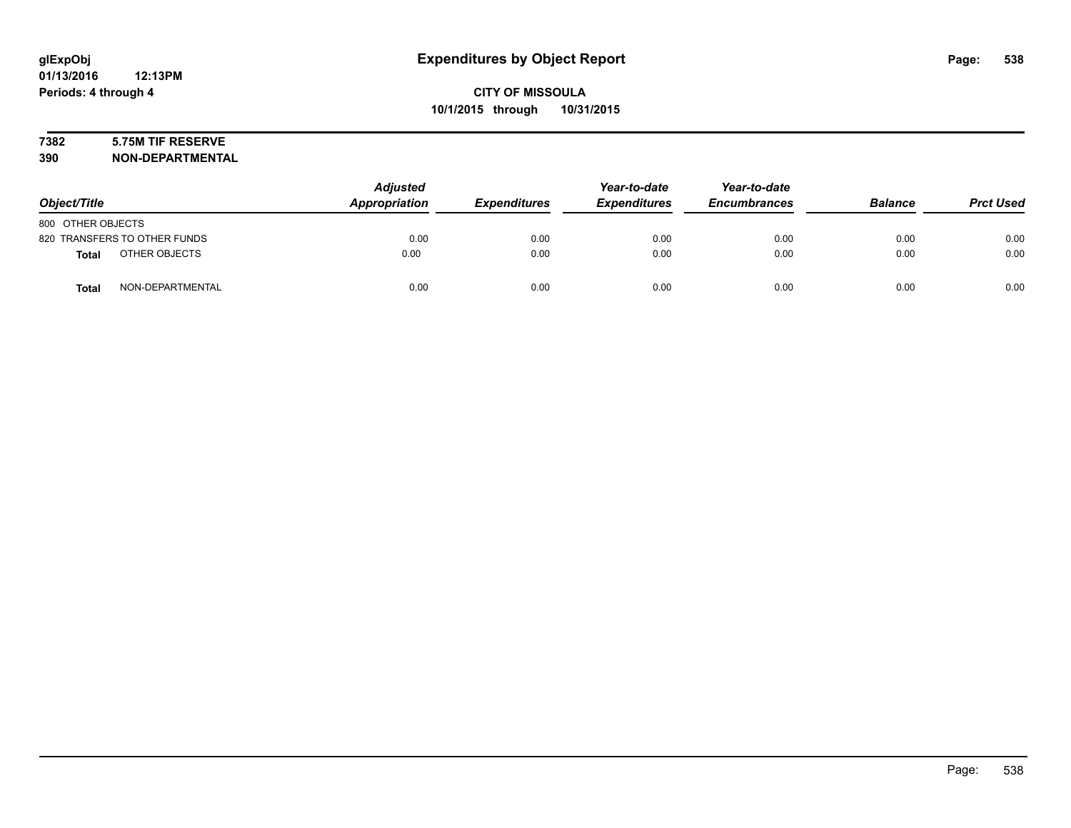# **7382 5.75M TIF RESERVE**

**390 NON-DEPARTMENTAL**

| Object/Title                     | <b>Adjusted</b><br>Appropriation | <b>Expenditures</b> | Year-to-date<br><b>Expenditures</b> | Year-to-date<br><b>Encumbrances</b> | <b>Balance</b> | <b>Prct Used</b> |
|----------------------------------|----------------------------------|---------------------|-------------------------------------|-------------------------------------|----------------|------------------|
| 800 OTHER OBJECTS                |                                  |                     |                                     |                                     |                |                  |
| 820 TRANSFERS TO OTHER FUNDS     | 0.00                             | 0.00                | 0.00                                | 0.00                                | 0.00           | 0.00             |
| OTHER OBJECTS<br>Total           | 0.00                             | 0.00                | 0.00                                | 0.00                                | 0.00           | 0.00             |
| NON-DEPARTMENTAL<br><b>Total</b> | 0.00                             | 0.00                | 0.00                                | 0.00                                | 0.00           | 0.00             |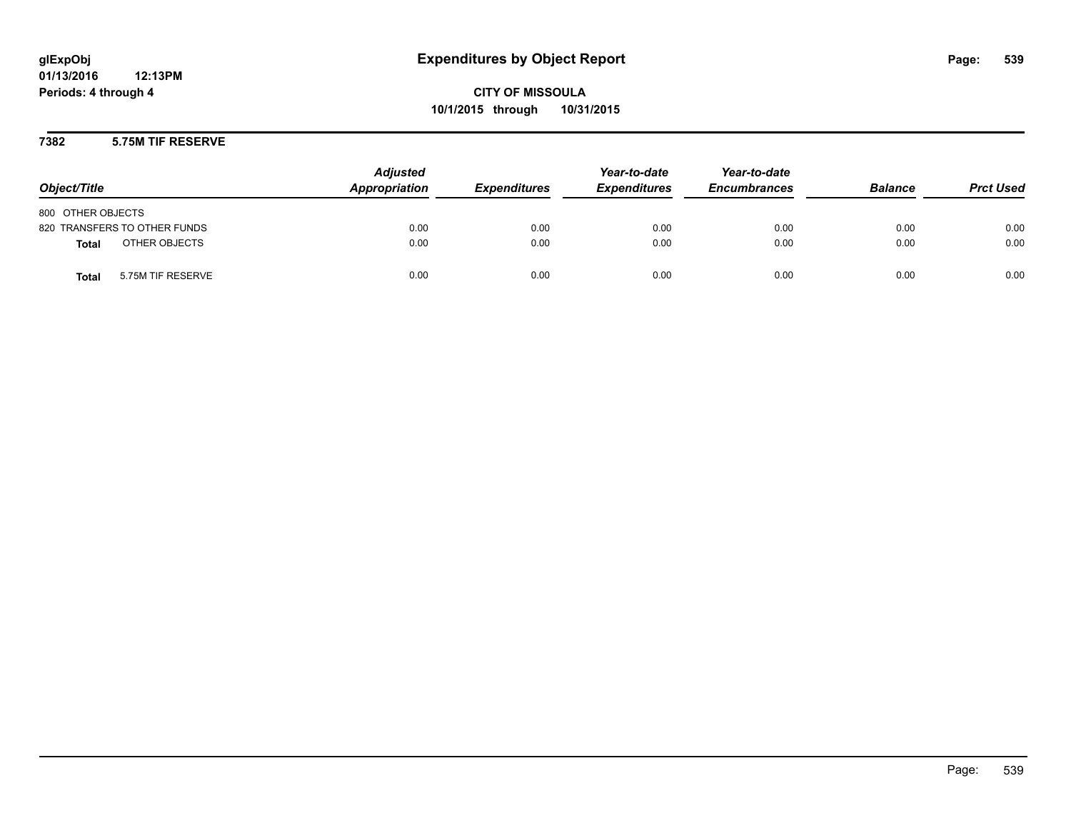### **7382 5.75M TIF RESERVE**

| Object/Title                      | <b>Adjusted</b><br>Appropriation | <b>Expenditures</b> | Year-to-date<br><b>Expenditures</b> | Year-to-date<br><b>Encumbrances</b> | <b>Balance</b> | <b>Prct Used</b> |
|-----------------------------------|----------------------------------|---------------------|-------------------------------------|-------------------------------------|----------------|------------------|
| 800 OTHER OBJECTS                 |                                  |                     |                                     |                                     |                |                  |
| 820 TRANSFERS TO OTHER FUNDS      | 0.00                             | 0.00                | 0.00                                | 0.00                                | 0.00           | 0.00             |
| OTHER OBJECTS<br><b>Total</b>     | 0.00                             | 0.00                | 0.00                                | 0.00                                | 0.00           | 0.00             |
| 5.75M TIF RESERVE<br><b>Total</b> | 0.00                             | 0.00                | 0.00                                | 0.00                                | 0.00           | 0.00             |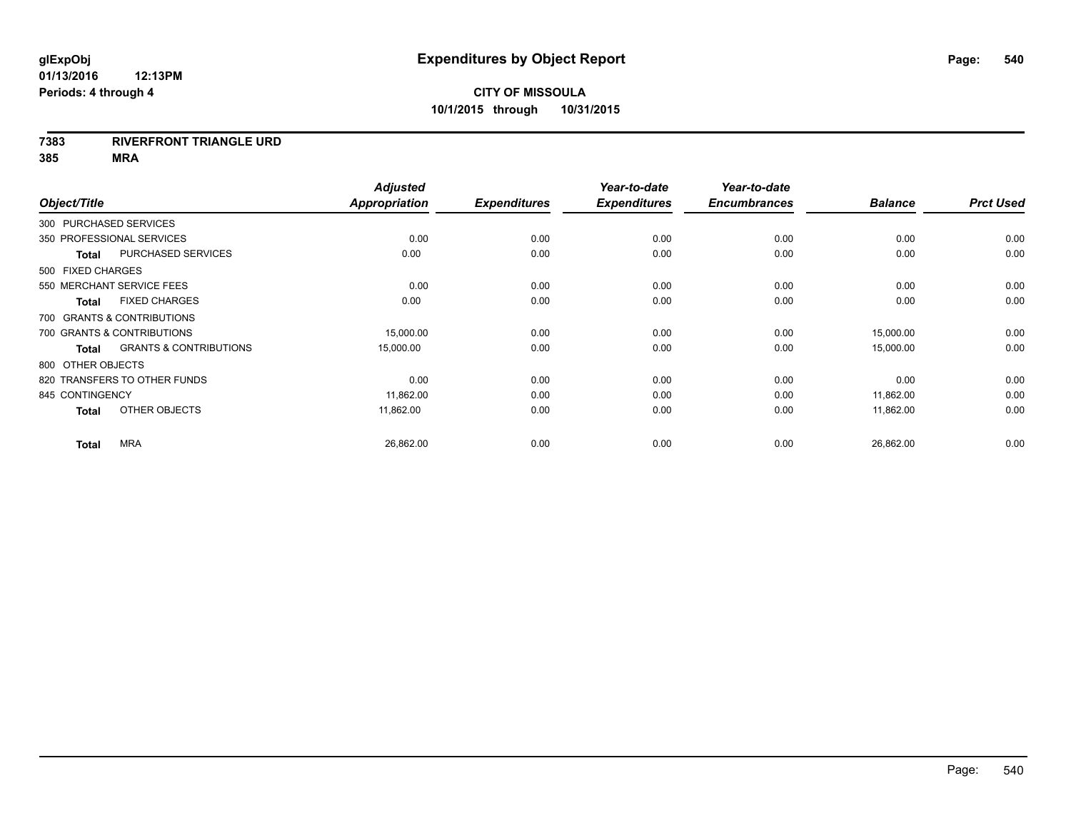### **7383 RIVERFRONT TRIANGLE URD**

**385 MRA**

| Object/Title           |                                   | <b>Adjusted</b><br><b>Appropriation</b> | <b>Expenditures</b> | Year-to-date<br><b>Expenditures</b> | Year-to-date<br><b>Encumbrances</b> | <b>Balance</b> | <b>Prct Used</b> |
|------------------------|-----------------------------------|-----------------------------------------|---------------------|-------------------------------------|-------------------------------------|----------------|------------------|
| 300 PURCHASED SERVICES |                                   |                                         |                     |                                     |                                     |                |                  |
|                        | 350 PROFESSIONAL SERVICES         | 0.00                                    | 0.00                | 0.00                                | 0.00                                | 0.00           | 0.00             |
| <b>Total</b>           | <b>PURCHASED SERVICES</b>         | 0.00                                    | 0.00                | 0.00                                | 0.00                                | 0.00           | 0.00             |
| 500 FIXED CHARGES      |                                   |                                         |                     |                                     |                                     |                |                  |
|                        | 550 MERCHANT SERVICE FEES         | 0.00                                    | 0.00                | 0.00                                | 0.00                                | 0.00           | 0.00             |
| <b>Total</b>           | <b>FIXED CHARGES</b>              | 0.00                                    | 0.00                | 0.00                                | 0.00                                | 0.00           | 0.00             |
|                        | 700 GRANTS & CONTRIBUTIONS        |                                         |                     |                                     |                                     |                |                  |
|                        | 700 GRANTS & CONTRIBUTIONS        | 15,000.00                               | 0.00                | 0.00                                | 0.00                                | 15,000.00      | 0.00             |
| <b>Total</b>           | <b>GRANTS &amp; CONTRIBUTIONS</b> | 15,000.00                               | 0.00                | 0.00                                | 0.00                                | 15,000.00      | 0.00             |
| 800 OTHER OBJECTS      |                                   |                                         |                     |                                     |                                     |                |                  |
|                        | 820 TRANSFERS TO OTHER FUNDS      | 0.00                                    | 0.00                | 0.00                                | 0.00                                | 0.00           | 0.00             |
| 845 CONTINGENCY        |                                   | 11,862.00                               | 0.00                | 0.00                                | 0.00                                | 11,862.00      | 0.00             |
| <b>Total</b>           | OTHER OBJECTS                     | 11,862.00                               | 0.00                | 0.00                                | 0.00                                | 11,862.00      | 0.00             |
| <b>Total</b>           | <b>MRA</b>                        | 26,862.00                               | 0.00                | 0.00                                | 0.00                                | 26,862.00      | 0.00             |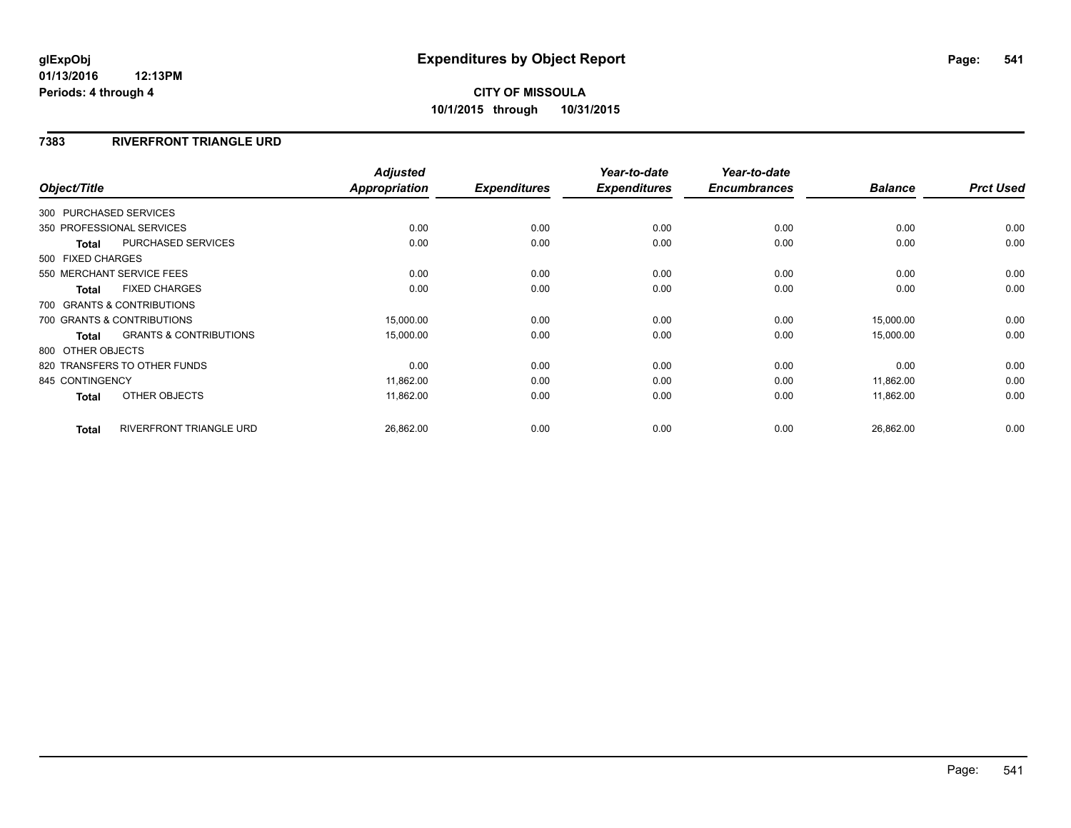#### **7383 RIVERFRONT TRIANGLE URD**

| Object/Title      |                                   | <b>Adjusted</b><br><b>Appropriation</b> | <b>Expenditures</b> | Year-to-date<br><b>Expenditures</b> | Year-to-date<br><b>Encumbrances</b> | <b>Balance</b> | <b>Prct Used</b> |
|-------------------|-----------------------------------|-----------------------------------------|---------------------|-------------------------------------|-------------------------------------|----------------|------------------|
|                   |                                   |                                         |                     |                                     |                                     |                |                  |
|                   | 300 PURCHASED SERVICES            |                                         |                     |                                     |                                     |                |                  |
|                   | 350 PROFESSIONAL SERVICES         | 0.00                                    | 0.00                | 0.00                                | 0.00                                | 0.00           | 0.00             |
| <b>Total</b>      | <b>PURCHASED SERVICES</b>         | 0.00                                    | 0.00                | 0.00                                | 0.00                                | 0.00           | 0.00             |
| 500 FIXED CHARGES |                                   |                                         |                     |                                     |                                     |                |                  |
|                   | 550 MERCHANT SERVICE FEES         | 0.00                                    | 0.00                | 0.00                                | 0.00                                | 0.00           | 0.00             |
| <b>Total</b>      | <b>FIXED CHARGES</b>              | 0.00                                    | 0.00                | 0.00                                | 0.00                                | 0.00           | 0.00             |
|                   | 700 GRANTS & CONTRIBUTIONS        |                                         |                     |                                     |                                     |                |                  |
|                   | 700 GRANTS & CONTRIBUTIONS        | 15,000.00                               | 0.00                | 0.00                                | 0.00                                | 15,000.00      | 0.00             |
| <b>Total</b>      | <b>GRANTS &amp; CONTRIBUTIONS</b> | 15,000.00                               | 0.00                | 0.00                                | 0.00                                | 15,000.00      | 0.00             |
| 800 OTHER OBJECTS |                                   |                                         |                     |                                     |                                     |                |                  |
|                   | 820 TRANSFERS TO OTHER FUNDS      | 0.00                                    | 0.00                | 0.00                                | 0.00                                | 0.00           | 0.00             |
| 845 CONTINGENCY   |                                   | 11,862.00                               | 0.00                | 0.00                                | 0.00                                | 11,862.00      | 0.00             |
| <b>Total</b>      | OTHER OBJECTS                     | 11,862.00                               | 0.00                | 0.00                                | 0.00                                | 11,862.00      | 0.00             |
| <b>Total</b>      | <b>RIVERFRONT TRIANGLE URD</b>    | 26,862.00                               | 0.00                | 0.00                                | 0.00                                | 26,862.00      | 0.00             |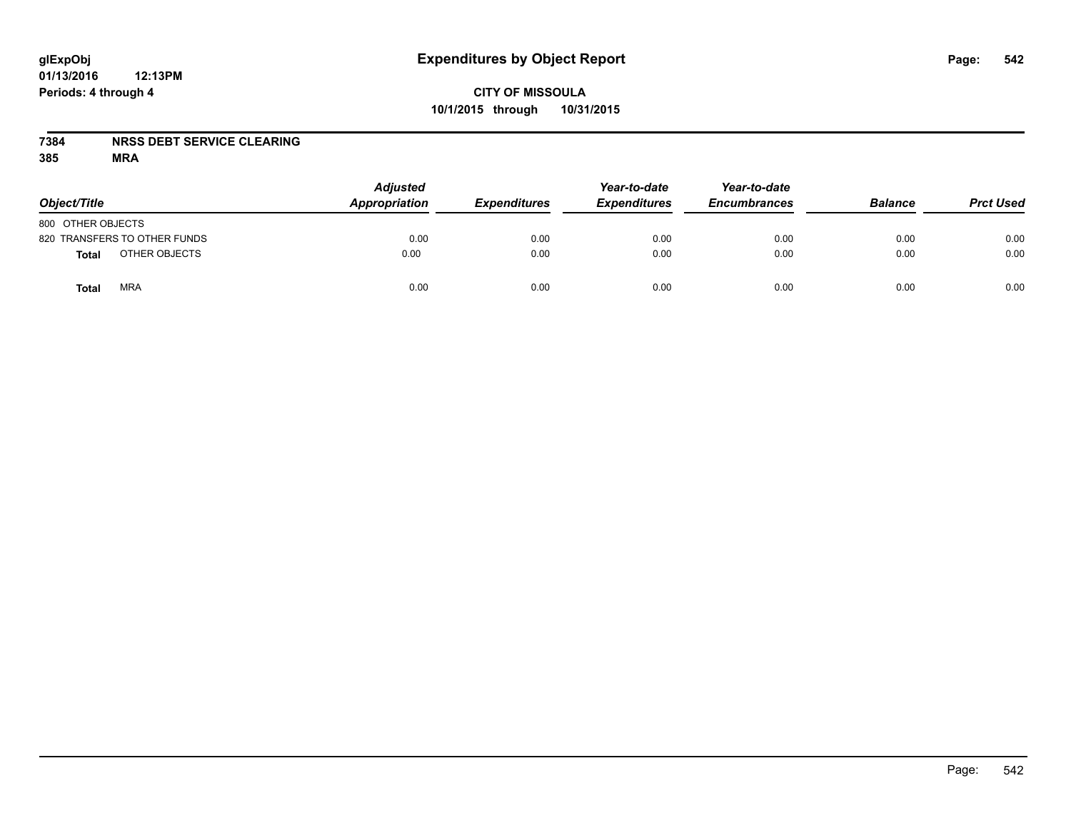### **7384 NRSS DEBT SERVICE CLEARING**

| Object/Title                 | <b>Adjusted</b><br>Appropriation | <b>Expenditures</b> | Year-to-date<br><b>Expenditures</b> | Year-to-date<br><b>Encumbrances</b> | <b>Balance</b> | <b>Prct Used</b> |
|------------------------------|----------------------------------|---------------------|-------------------------------------|-------------------------------------|----------------|------------------|
| 800 OTHER OBJECTS            |                                  |                     |                                     |                                     |                |                  |
| 820 TRANSFERS TO OTHER FUNDS | 0.00                             | 0.00                | 0.00                                | 0.00                                | 0.00           | 0.00             |
| OTHER OBJECTS<br>Total       | 0.00                             | 0.00                | 0.00                                | 0.00                                | 0.00           | 0.00             |
| <b>MRA</b><br>Total          | 0.00                             | 0.00                | 0.00                                | 0.00                                | 0.00           | 0.00             |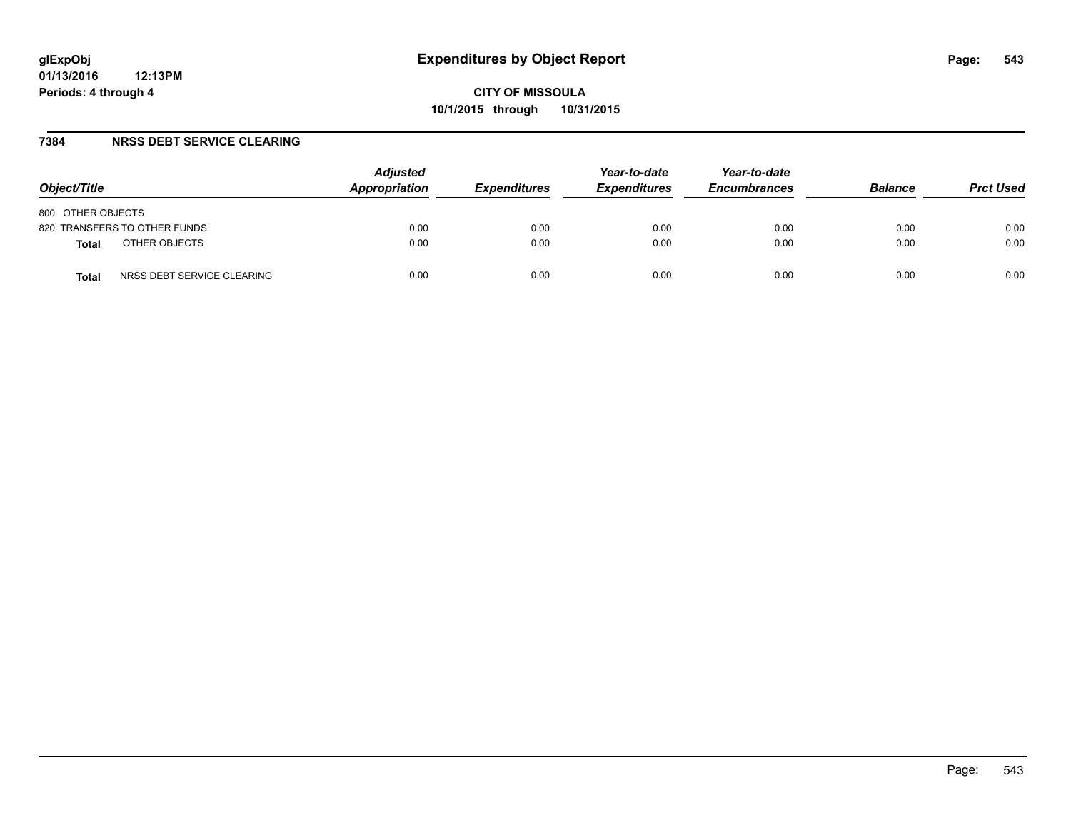#### **7384 NRSS DEBT SERVICE CLEARING**

| Object/Title                        | <b>Adjusted</b><br>Appropriation | <i><b>Expenditures</b></i> | Year-to-date<br><b>Expenditures</b> | Year-to-date<br><b>Encumbrances</b> | <b>Balance</b> | <b>Prct Used</b> |
|-------------------------------------|----------------------------------|----------------------------|-------------------------------------|-------------------------------------|----------------|------------------|
| 800 OTHER OBJECTS                   |                                  |                            |                                     |                                     |                |                  |
| 820 TRANSFERS TO OTHER FUNDS        | 0.00                             | 0.00                       | 0.00                                | 0.00                                | 0.00           | 0.00             |
| OTHER OBJECTS<br><b>Total</b>       | 0.00                             | 0.00                       | 0.00                                | 0.00                                | 0.00           | 0.00             |
| NRSS DEBT SERVICE CLEARING<br>Total | 0.00                             | 0.00                       | 0.00                                | 0.00                                | 0.00           | 0.00             |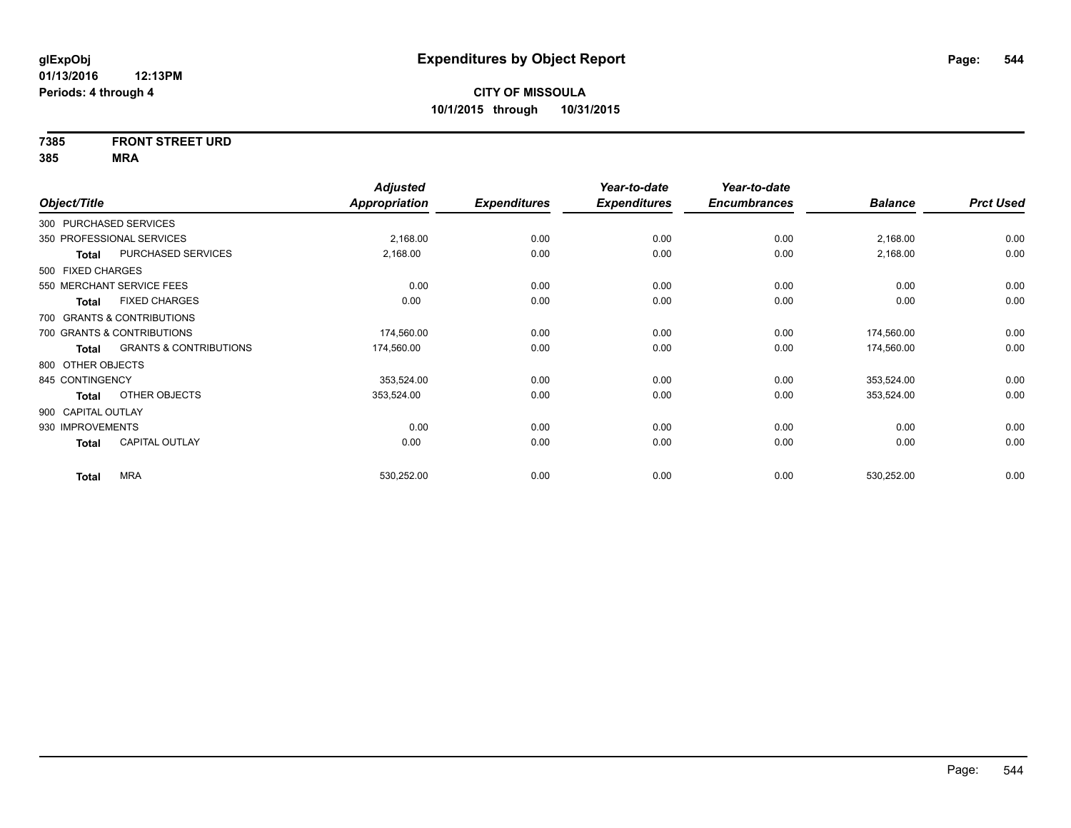## **7385 FRONT STREET URD**

|                    |                                   | <b>Adjusted</b>      |                     | Year-to-date        | Year-to-date        |                |                  |
|--------------------|-----------------------------------|----------------------|---------------------|---------------------|---------------------|----------------|------------------|
| Object/Title       |                                   | <b>Appropriation</b> | <b>Expenditures</b> | <b>Expenditures</b> | <b>Encumbrances</b> | <b>Balance</b> | <b>Prct Used</b> |
|                    | 300 PURCHASED SERVICES            |                      |                     |                     |                     |                |                  |
|                    | 350 PROFESSIONAL SERVICES         | 2,168.00             | 0.00                | 0.00                | 0.00                | 2,168.00       | 0.00             |
| Total              | PURCHASED SERVICES                | 2,168.00             | 0.00                | 0.00                | 0.00                | 2,168.00       | 0.00             |
| 500 FIXED CHARGES  |                                   |                      |                     |                     |                     |                |                  |
|                    | 550 MERCHANT SERVICE FEES         | 0.00                 | 0.00                | 0.00                | 0.00                | 0.00           | 0.00             |
| <b>Total</b>       | <b>FIXED CHARGES</b>              | 0.00                 | 0.00                | 0.00                | 0.00                | 0.00           | 0.00             |
|                    | 700 GRANTS & CONTRIBUTIONS        |                      |                     |                     |                     |                |                  |
|                    | 700 GRANTS & CONTRIBUTIONS        | 174,560.00           | 0.00                | 0.00                | 0.00                | 174,560.00     | 0.00             |
| Total              | <b>GRANTS &amp; CONTRIBUTIONS</b> | 174,560.00           | 0.00                | 0.00                | 0.00                | 174,560.00     | 0.00             |
| 800 OTHER OBJECTS  |                                   |                      |                     |                     |                     |                |                  |
| 845 CONTINGENCY    |                                   | 353,524.00           | 0.00                | 0.00                | 0.00                | 353,524.00     | 0.00             |
| <b>Total</b>       | OTHER OBJECTS                     | 353,524.00           | 0.00                | 0.00                | 0.00                | 353,524.00     | 0.00             |
| 900 CAPITAL OUTLAY |                                   |                      |                     |                     |                     |                |                  |
| 930 IMPROVEMENTS   |                                   | 0.00                 | 0.00                | 0.00                | 0.00                | 0.00           | 0.00             |
| <b>Total</b>       | <b>CAPITAL OUTLAY</b>             | 0.00                 | 0.00                | 0.00                | 0.00                | 0.00           | 0.00             |
| <b>Total</b>       | <b>MRA</b>                        | 530,252.00           | 0.00                | 0.00                | 0.00                | 530,252.00     | 0.00             |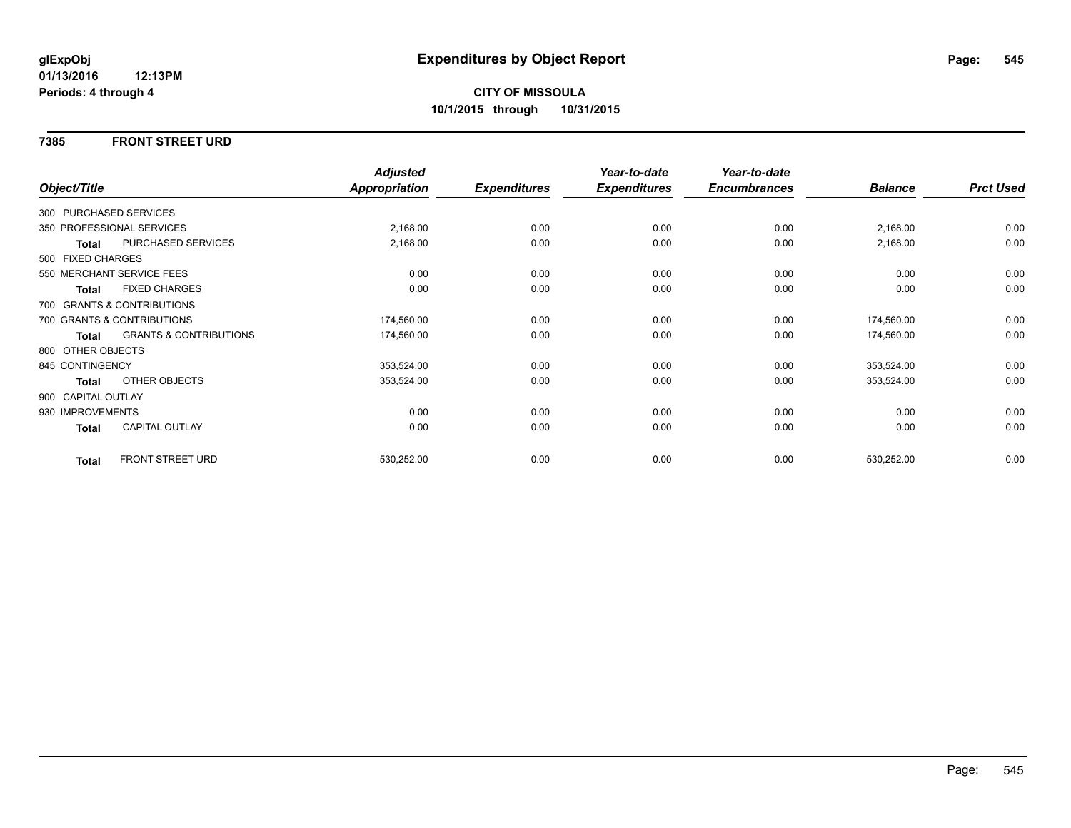#### **7385 FRONT STREET URD**

|                    |                                   | <b>Adjusted</b> |                     | Year-to-date        | Year-to-date        |                |                  |
|--------------------|-----------------------------------|-----------------|---------------------|---------------------|---------------------|----------------|------------------|
| Object/Title       |                                   | Appropriation   | <b>Expenditures</b> | <b>Expenditures</b> | <b>Encumbrances</b> | <b>Balance</b> | <b>Prct Used</b> |
|                    | 300 PURCHASED SERVICES            |                 |                     |                     |                     |                |                  |
|                    | 350 PROFESSIONAL SERVICES         | 2,168.00        | 0.00                | 0.00                | 0.00                | 2,168.00       | 0.00             |
| Total              | PURCHASED SERVICES                | 2,168.00        | 0.00                | 0.00                | 0.00                | 2,168.00       | 0.00             |
| 500 FIXED CHARGES  |                                   |                 |                     |                     |                     |                |                  |
|                    | 550 MERCHANT SERVICE FEES         | 0.00            | 0.00                | 0.00                | 0.00                | 0.00           | 0.00             |
| <b>Total</b>       | <b>FIXED CHARGES</b>              | 0.00            | 0.00                | 0.00                | 0.00                | 0.00           | 0.00             |
|                    | 700 GRANTS & CONTRIBUTIONS        |                 |                     |                     |                     |                |                  |
|                    | 700 GRANTS & CONTRIBUTIONS        | 174,560.00      | 0.00                | 0.00                | 0.00                | 174,560.00     | 0.00             |
| Total              | <b>GRANTS &amp; CONTRIBUTIONS</b> | 174,560.00      | 0.00                | 0.00                | 0.00                | 174,560.00     | 0.00             |
| 800 OTHER OBJECTS  |                                   |                 |                     |                     |                     |                |                  |
| 845 CONTINGENCY    |                                   | 353,524.00      | 0.00                | 0.00                | 0.00                | 353,524.00     | 0.00             |
| Total              | OTHER OBJECTS                     | 353,524.00      | 0.00                | 0.00                | 0.00                | 353,524.00     | 0.00             |
| 900 CAPITAL OUTLAY |                                   |                 |                     |                     |                     |                |                  |
| 930 IMPROVEMENTS   |                                   | 0.00            | 0.00                | 0.00                | 0.00                | 0.00           | 0.00             |
| <b>Total</b>       | CAPITAL OUTLAY                    | 0.00            | 0.00                | 0.00                | 0.00                | 0.00           | 0.00             |
| <b>Total</b>       | <b>FRONT STREET URD</b>           | 530,252.00      | 0.00                | 0.00                | 0.00                | 530,252.00     | 0.00             |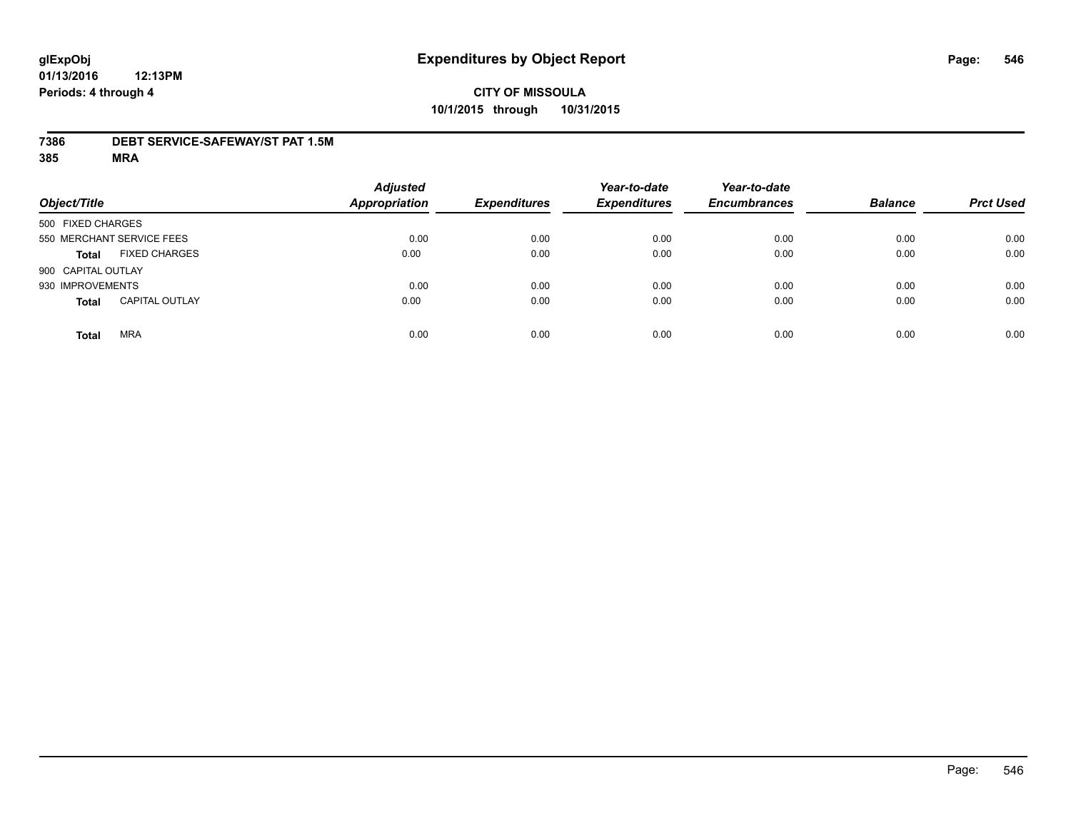#### **7386 DEBT SERVICE-SAFEWAY/ST PAT 1.5M**

| Object/Title       |                           | <b>Adjusted</b><br><b>Appropriation</b> | <b>Expenditures</b> | Year-to-date<br><b>Expenditures</b> | Year-to-date<br><b>Encumbrances</b> | <b>Balance</b> | <b>Prct Used</b> |
|--------------------|---------------------------|-----------------------------------------|---------------------|-------------------------------------|-------------------------------------|----------------|------------------|
| 500 FIXED CHARGES  |                           |                                         |                     |                                     |                                     |                |                  |
|                    | 550 MERCHANT SERVICE FEES | 0.00                                    | 0.00                | 0.00                                | 0.00                                | 0.00           | 0.00             |
| <b>Total</b>       | <b>FIXED CHARGES</b>      | 0.00                                    | 0.00                | 0.00                                | 0.00                                | 0.00           | 0.00             |
| 900 CAPITAL OUTLAY |                           |                                         |                     |                                     |                                     |                |                  |
| 930 IMPROVEMENTS   |                           | 0.00                                    | 0.00                | 0.00                                | 0.00                                | 0.00           | 0.00             |
| <b>Total</b>       | <b>CAPITAL OUTLAY</b>     | 0.00                                    | 0.00                | 0.00                                | 0.00                                | 0.00           | 0.00             |
| <b>Total</b>       | <b>MRA</b>                | 0.00                                    | 0.00                | 0.00                                | 0.00                                | 0.00           | 0.00             |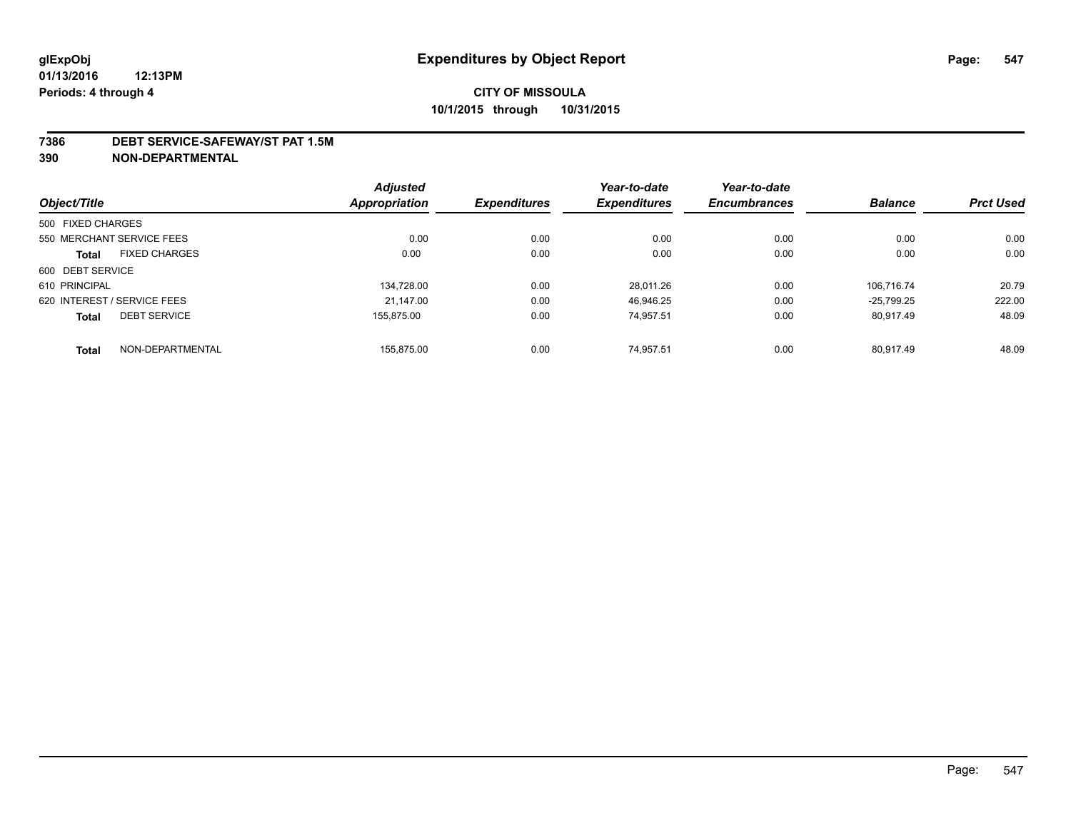#### **7386 DEBT SERVICE-SAFEWAY/ST PAT 1.5M**

**390 NON-DEPARTMENTAL**

|                   |                             | <b>Adjusted</b>      |                     | Year-to-date        | Year-to-date        |                |                  |
|-------------------|-----------------------------|----------------------|---------------------|---------------------|---------------------|----------------|------------------|
| Object/Title      |                             | <b>Appropriation</b> | <b>Expenditures</b> | <b>Expenditures</b> | <b>Encumbrances</b> | <b>Balance</b> | <b>Prct Used</b> |
| 500 FIXED CHARGES |                             |                      |                     |                     |                     |                |                  |
|                   | 550 MERCHANT SERVICE FEES   | 0.00                 | 0.00                | 0.00                | 0.00                | 0.00           | 0.00             |
| <b>Total</b>      | <b>FIXED CHARGES</b>        | 0.00                 | 0.00                | 0.00                | 0.00                | 0.00           | 0.00             |
| 600 DEBT SERVICE  |                             |                      |                     |                     |                     |                |                  |
| 610 PRINCIPAL     |                             | 134.728.00           | 0.00                | 28.011.26           | 0.00                | 106.716.74     | 20.79            |
|                   | 620 INTEREST / SERVICE FEES | 21.147.00            | 0.00                | 46.946.25           | 0.00                | $-25.799.25$   | 222.00           |
| <b>Total</b>      | <b>DEBT SERVICE</b>         | 155.875.00           | 0.00                | 74.957.51           | 0.00                | 80.917.49      | 48.09            |
| <b>Total</b>      | NON-DEPARTMENTAL            | 155.875.00           | 0.00                | 74.957.51           | 0.00                | 80.917.49      | 48.09            |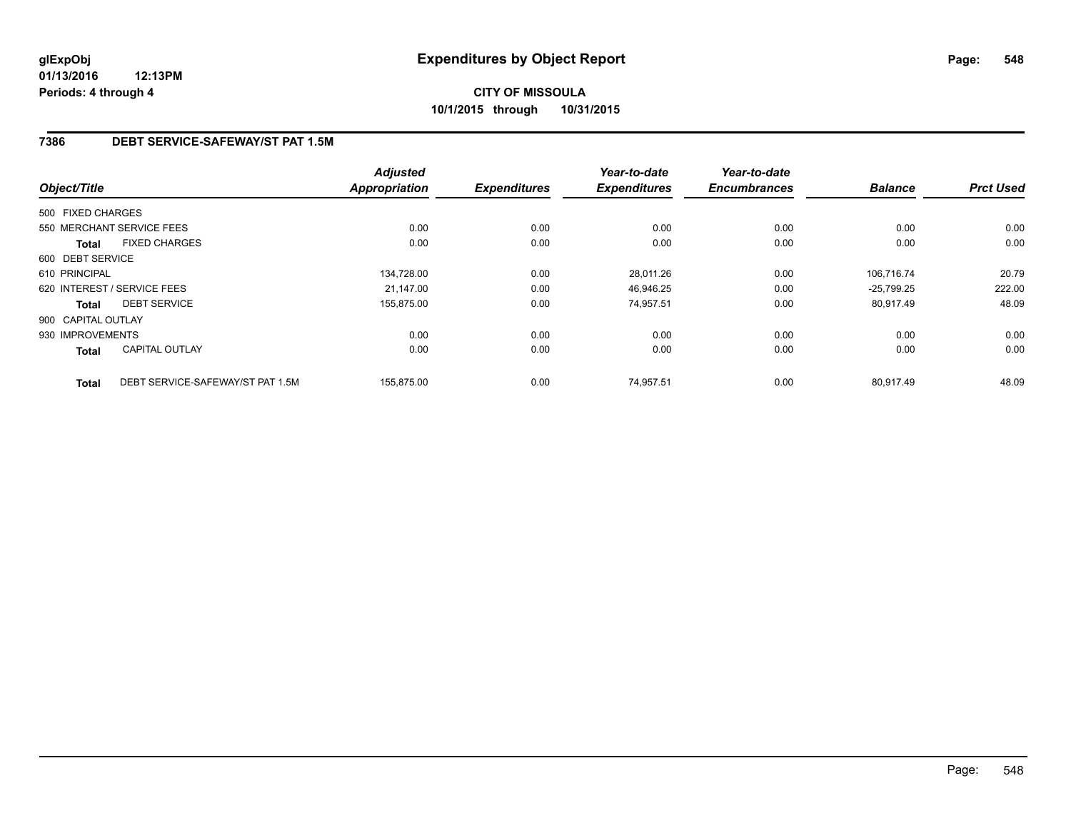### **7386 DEBT SERVICE-SAFEWAY/ST PAT 1.5M**

|                    |                                  | <b>Adjusted</b>      |                     | Year-to-date        | Year-to-date        |                |                  |
|--------------------|----------------------------------|----------------------|---------------------|---------------------|---------------------|----------------|------------------|
| Object/Title       |                                  | <b>Appropriation</b> | <b>Expenditures</b> | <b>Expenditures</b> | <b>Encumbrances</b> | <b>Balance</b> | <b>Prct Used</b> |
| 500 FIXED CHARGES  |                                  |                      |                     |                     |                     |                |                  |
|                    | 550 MERCHANT SERVICE FEES        | 0.00                 | 0.00                | 0.00                | 0.00                | 0.00           | 0.00             |
| <b>Total</b>       | <b>FIXED CHARGES</b>             | 0.00                 | 0.00                | 0.00                | 0.00                | 0.00           | 0.00             |
| 600 DEBT SERVICE   |                                  |                      |                     |                     |                     |                |                  |
| 610 PRINCIPAL      |                                  | 134,728.00           | 0.00                | 28,011.26           | 0.00                | 106.716.74     | 20.79            |
|                    | 620 INTEREST / SERVICE FEES      | 21.147.00            | 0.00                | 46.946.25           | 0.00                | $-25.799.25$   | 222.00           |
| Total              | <b>DEBT SERVICE</b>              | 155,875.00           | 0.00                | 74,957.51           | 0.00                | 80,917.49      | 48.09            |
| 900 CAPITAL OUTLAY |                                  |                      |                     |                     |                     |                |                  |
| 930 IMPROVEMENTS   |                                  | 0.00                 | 0.00                | 0.00                | 0.00                | 0.00           | 0.00             |
| Total              | <b>CAPITAL OUTLAY</b>            | 0.00                 | 0.00                | 0.00                | 0.00                | 0.00           | 0.00             |
| <b>Total</b>       | DEBT SERVICE-SAFEWAY/ST PAT 1.5M | 155.875.00           | 0.00                | 74.957.51           | 0.00                | 80.917.49      | 48.09            |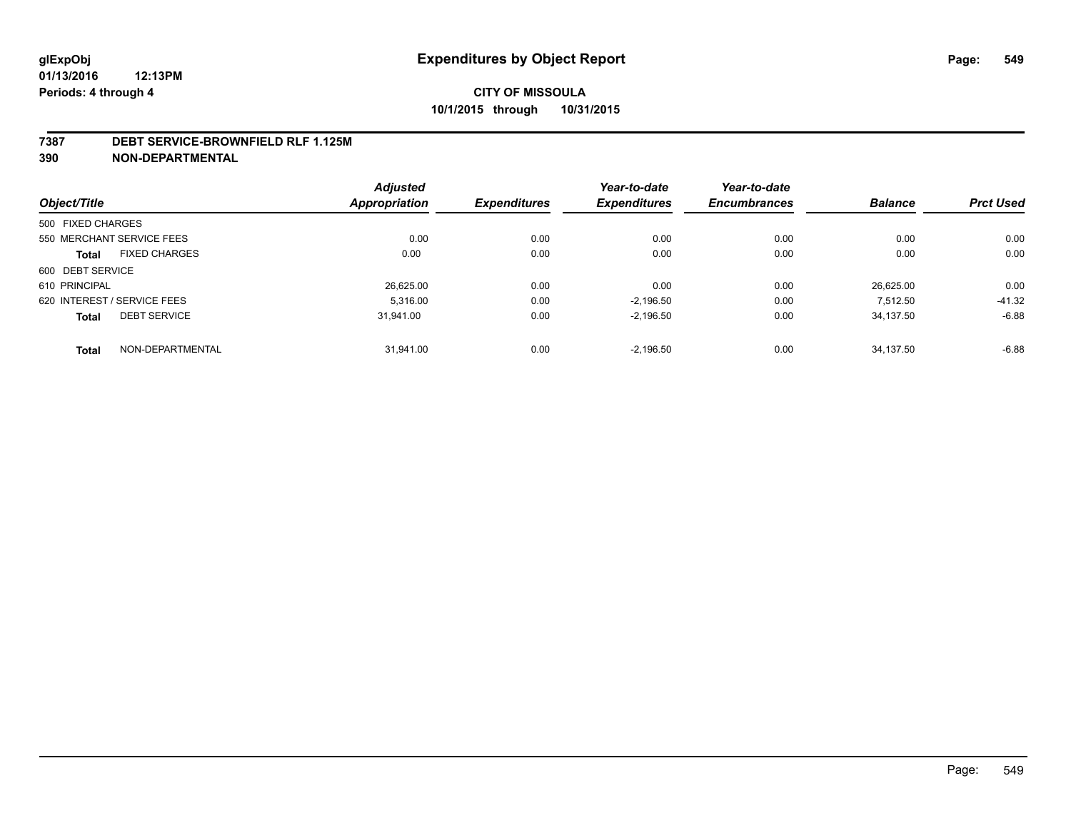#### **7387 DEBT SERVICE-BROWNFIELD RLF 1.125M**

**390 NON-DEPARTMENTAL**

|                                      | <b>Adjusted</b> |                     | Year-to-date        | Year-to-date        |                |                  |
|--------------------------------------|-----------------|---------------------|---------------------|---------------------|----------------|------------------|
| Object/Title                         | Appropriation   | <b>Expenditures</b> | <b>Expenditures</b> | <b>Encumbrances</b> | <b>Balance</b> | <b>Prct Used</b> |
| 500 FIXED CHARGES                    |                 |                     |                     |                     |                |                  |
| 550 MERCHANT SERVICE FEES            | 0.00            | 0.00                | 0.00                | 0.00                | 0.00           | 0.00             |
| <b>FIXED CHARGES</b><br><b>Total</b> | 0.00            | 0.00                | 0.00                | 0.00                | 0.00           | 0.00             |
| 600 DEBT SERVICE                     |                 |                     |                     |                     |                |                  |
| 610 PRINCIPAL                        | 26.625.00       | 0.00                | 0.00                | 0.00                | 26.625.00      | 0.00             |
| 620 INTEREST / SERVICE FEES          | 5.316.00        | 0.00                | $-2.196.50$         | 0.00                | 7.512.50       | $-41.32$         |
| <b>DEBT SERVICE</b><br><b>Total</b>  | 31.941.00       | 0.00                | $-2.196.50$         | 0.00                | 34.137.50      | $-6.88$          |
| NON-DEPARTMENTAL<br><b>Total</b>     | 31.941.00       | 0.00                | $-2.196.50$         | 0.00                | 34.137.50      | $-6.88$          |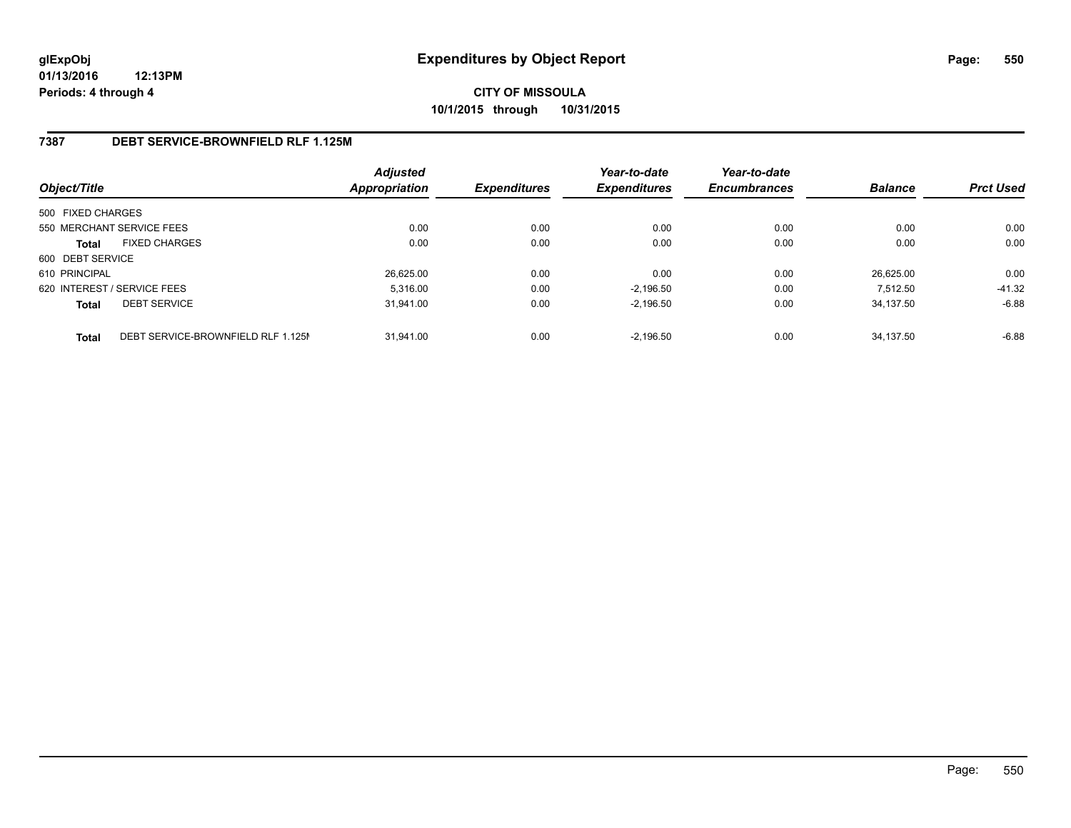### **CITY OF MISSOULA 10/1/2015 through 10/31/2015**

### **7387 DEBT SERVICE-BROWNFIELD RLF 1.125M**

| Object/Title      |                                    | <b>Adjusted</b><br><b>Appropriation</b> | <b>Expenditures</b> | Year-to-date<br><b>Expenditures</b> | Year-to-date<br><b>Encumbrances</b> | <b>Balance</b> | <b>Prct Used</b> |
|-------------------|------------------------------------|-----------------------------------------|---------------------|-------------------------------------|-------------------------------------|----------------|------------------|
| 500 FIXED CHARGES |                                    |                                         |                     |                                     |                                     |                |                  |
|                   | 550 MERCHANT SERVICE FEES          | 0.00                                    | 0.00                | 0.00                                | 0.00                                | 0.00           | 0.00             |
| <b>Total</b>      | <b>FIXED CHARGES</b>               | 0.00                                    | 0.00                | 0.00                                | 0.00                                | 0.00           | 0.00             |
| 600 DEBT SERVICE  |                                    |                                         |                     |                                     |                                     |                |                  |
| 610 PRINCIPAL     |                                    | 26.625.00                               | 0.00                | 0.00                                | 0.00                                | 26.625.00      | 0.00             |
|                   | 620 INTEREST / SERVICE FEES        | 5.316.00                                | 0.00                | $-2.196.50$                         | 0.00                                | 7.512.50       | $-41.32$         |
| <b>Total</b>      | <b>DEBT SERVICE</b>                | 31.941.00                               | 0.00                | $-2.196.50$                         | 0.00                                | 34.137.50      | $-6.88$          |
| <b>Total</b>      | DEBT SERVICE-BROWNFIELD RLF 1.125M | 31.941.00                               | 0.00                | $-2.196.50$                         | 0.00                                | 34.137.50      | $-6.88$          |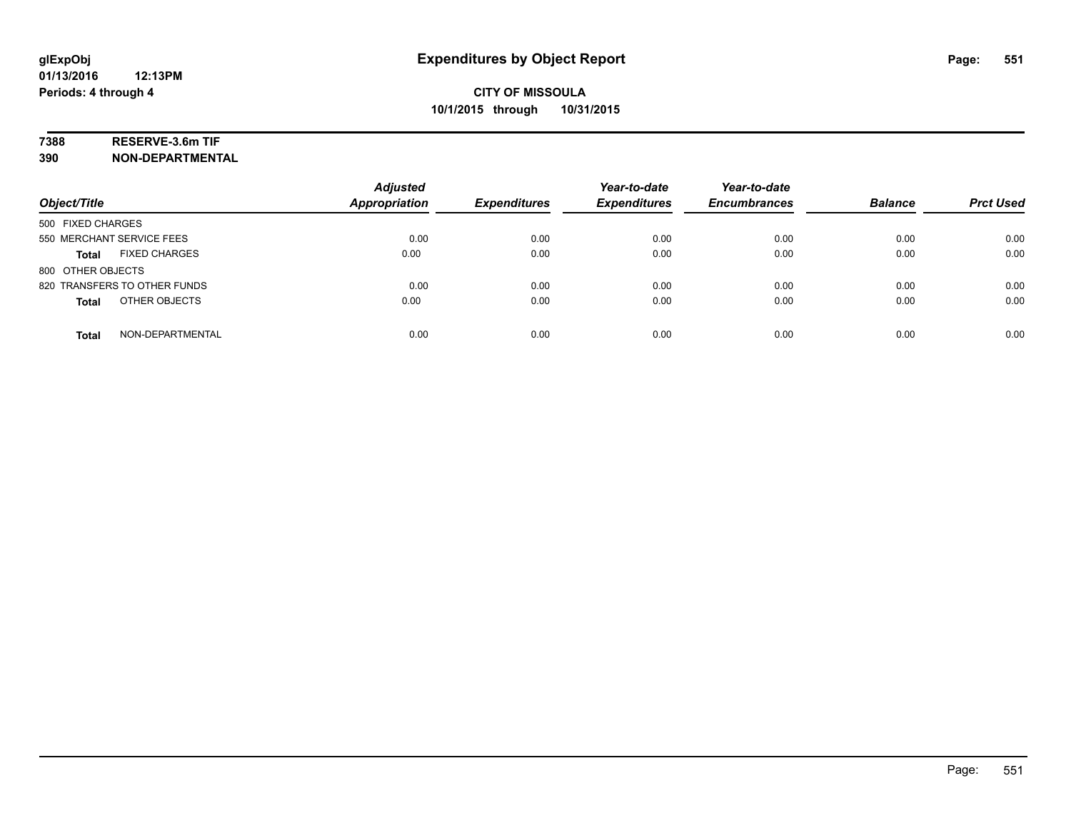### **7388 RESERVE-3.6m TIF**

**390 NON-DEPARTMENTAL**

| Object/Title                         | <b>Adjusted</b><br><b>Appropriation</b> | <b>Expenditures</b> | Year-to-date<br><b>Expenditures</b> | Year-to-date<br><b>Encumbrances</b> | <b>Balance</b> | <b>Prct Used</b> |
|--------------------------------------|-----------------------------------------|---------------------|-------------------------------------|-------------------------------------|----------------|------------------|
| 500 FIXED CHARGES                    |                                         |                     |                                     |                                     |                |                  |
| 550 MERCHANT SERVICE FEES            | 0.00                                    | 0.00                | 0.00                                | 0.00                                | 0.00           | 0.00             |
| <b>FIXED CHARGES</b><br><b>Total</b> | 0.00                                    | 0.00                | 0.00                                | 0.00                                | 0.00           | 0.00             |
| 800 OTHER OBJECTS                    |                                         |                     |                                     |                                     |                |                  |
| 820 TRANSFERS TO OTHER FUNDS         | 0.00                                    | 0.00                | 0.00                                | 0.00                                | 0.00           | 0.00             |
| OTHER OBJECTS<br><b>Total</b>        | 0.00                                    | 0.00                | 0.00                                | 0.00                                | 0.00           | 0.00             |
| NON-DEPARTMENTAL<br><b>Total</b>     | 0.00                                    | 0.00                | 0.00                                | 0.00                                | 0.00           | 0.00             |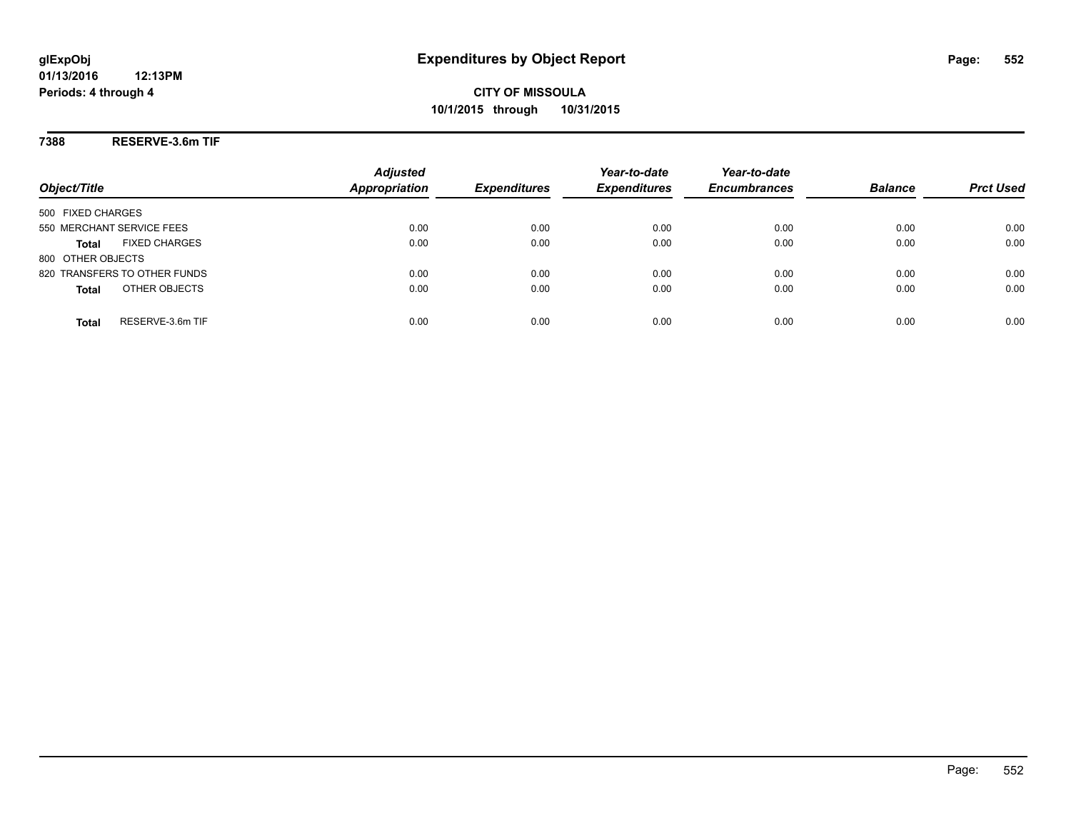**CITY OF MISSOULA 10/1/2015 through 10/31/2015**

**7388 RESERVE-3.6m TIF**

|                                      | <b>Adjusted</b>      |                     | Year-to-date        | Year-to-date        |                |                  |
|--------------------------------------|----------------------|---------------------|---------------------|---------------------|----------------|------------------|
| Object/Title                         | <b>Appropriation</b> | <b>Expenditures</b> | <b>Expenditures</b> | <b>Encumbrances</b> | <b>Balance</b> | <b>Prct Used</b> |
| 500 FIXED CHARGES                    |                      |                     |                     |                     |                |                  |
| 550 MERCHANT SERVICE FEES            | 0.00                 | 0.00                | 0.00                | 0.00                | 0.00           | 0.00             |
| <b>FIXED CHARGES</b><br><b>Total</b> | 0.00                 | 0.00                | 0.00                | 0.00                | 0.00           | 0.00             |
| 800 OTHER OBJECTS                    |                      |                     |                     |                     |                |                  |
| 820 TRANSFERS TO OTHER FUNDS         | 0.00                 | 0.00                | 0.00                | 0.00                | 0.00           | 0.00             |
| OTHER OBJECTS<br><b>Total</b>        | 0.00                 | 0.00                | 0.00                | 0.00                | 0.00           | 0.00             |
| RESERVE-3.6m TIF<br>Total            | 0.00                 | 0.00                | 0.00                | 0.00                | 0.00           | 0.00             |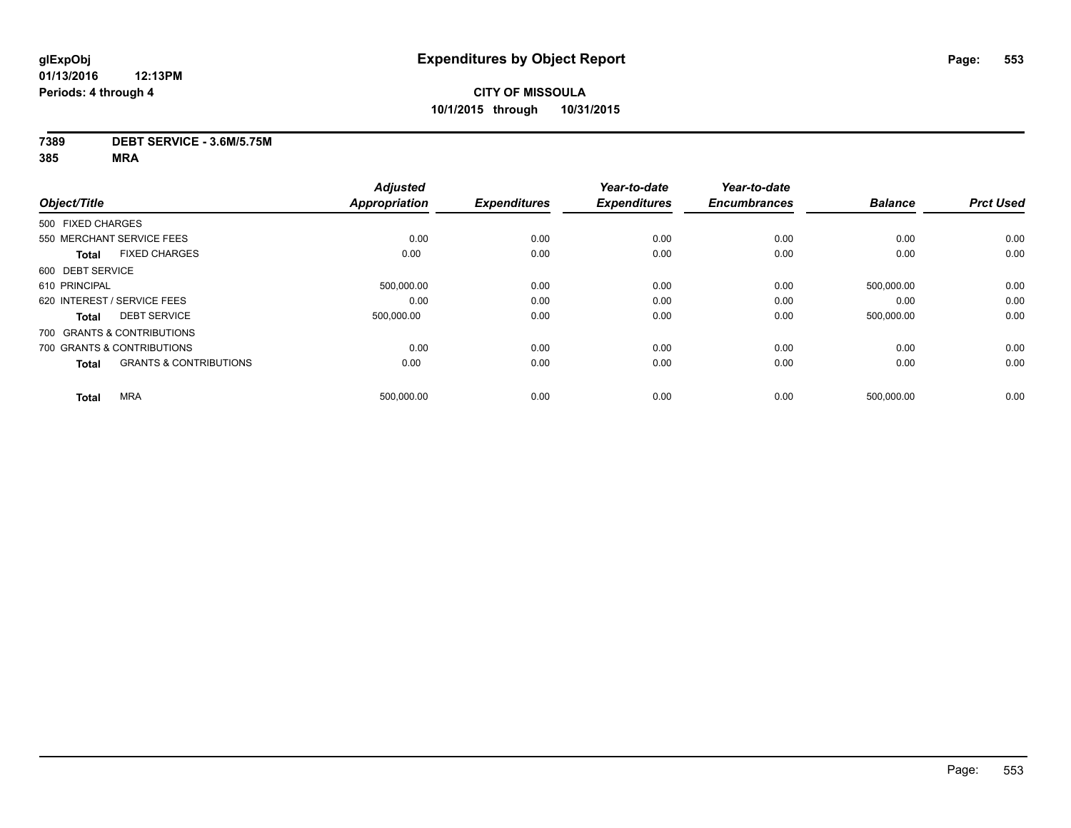#### **7389 DEBT SERVICE - 3.6M/5.75M**

| Object/Title                                      | <b>Adjusted</b><br><b>Appropriation</b> | <b>Expenditures</b> | Year-to-date<br><b>Expenditures</b> | Year-to-date<br><b>Encumbrances</b> | <b>Balance</b> | <b>Prct Used</b> |
|---------------------------------------------------|-----------------------------------------|---------------------|-------------------------------------|-------------------------------------|----------------|------------------|
|                                                   |                                         |                     |                                     |                                     |                |                  |
| 500 FIXED CHARGES                                 |                                         |                     |                                     |                                     |                |                  |
| 550 MERCHANT SERVICE FEES                         | 0.00                                    | 0.00                | 0.00                                | 0.00                                | 0.00           | 0.00             |
| <b>FIXED CHARGES</b><br><b>Total</b>              | 0.00                                    | 0.00                | 0.00                                | 0.00                                | 0.00           | 0.00             |
| 600 DEBT SERVICE                                  |                                         |                     |                                     |                                     |                |                  |
| 610 PRINCIPAL                                     | 500,000.00                              | 0.00                | 0.00                                | 0.00                                | 500,000.00     | 0.00             |
| 620 INTEREST / SERVICE FEES                       | 0.00                                    | 0.00                | 0.00                                | 0.00                                | 0.00           | 0.00             |
| <b>DEBT SERVICE</b><br><b>Total</b>               | 500,000.00                              | 0.00                | 0.00                                | 0.00                                | 500,000.00     | 0.00             |
| 700 GRANTS & CONTRIBUTIONS                        |                                         |                     |                                     |                                     |                |                  |
| 700 GRANTS & CONTRIBUTIONS                        | 0.00                                    | 0.00                | 0.00                                | 0.00                                | 0.00           | 0.00             |
| <b>GRANTS &amp; CONTRIBUTIONS</b><br><b>Total</b> | 0.00                                    | 0.00                | 0.00                                | 0.00                                | 0.00           | 0.00             |
| <b>MRA</b>                                        | 500,000.00                              | 0.00                | 0.00                                | 0.00                                | 500,000.00     | 0.00             |
| <b>Total</b>                                      |                                         |                     |                                     |                                     |                |                  |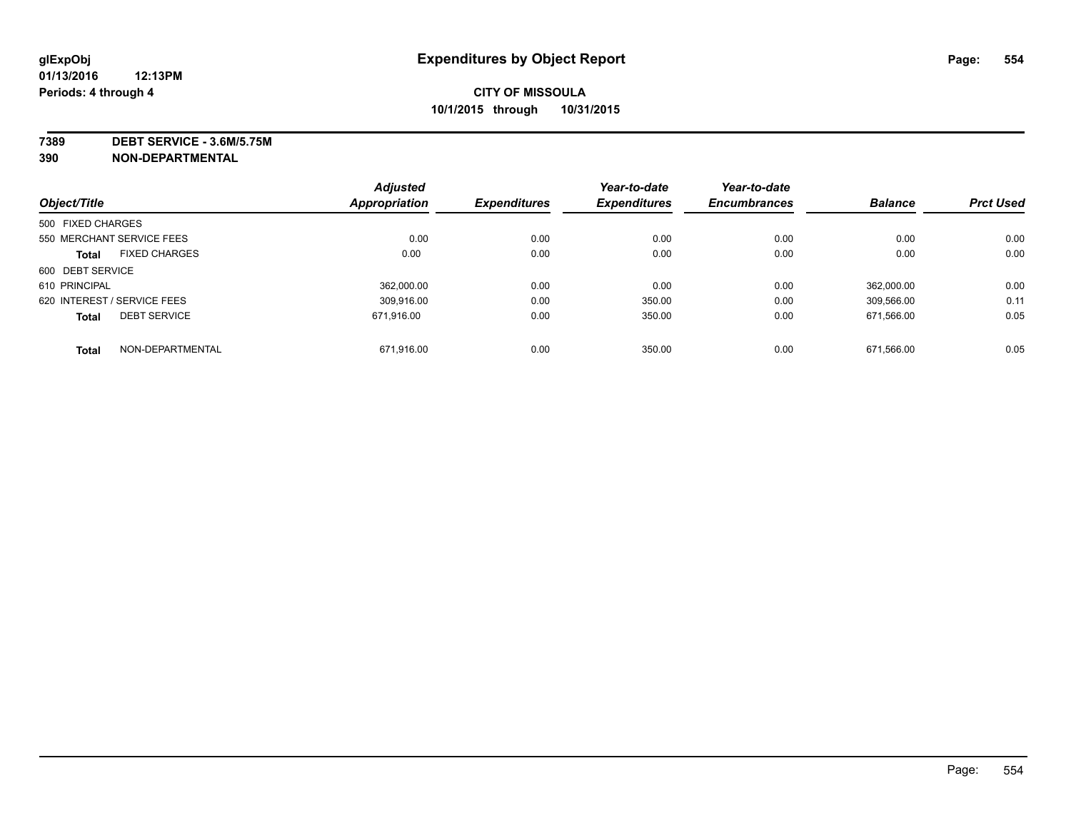**7389 DEBT SERVICE - 3.6M/5.75M**

**390 NON-DEPARTMENTAL**

| Object/Title      |                             | <b>Adjusted</b> | <b>Expenditures</b> | Year-to-date<br><b>Expenditures</b> | Year-to-date        | <b>Balance</b> | <b>Prct Used</b> |
|-------------------|-----------------------------|-----------------|---------------------|-------------------------------------|---------------------|----------------|------------------|
|                   |                             | Appropriation   |                     |                                     | <b>Encumbrances</b> |                |                  |
| 500 FIXED CHARGES |                             |                 |                     |                                     |                     |                |                  |
|                   | 550 MERCHANT SERVICE FEES   | 0.00            | 0.00                | 0.00                                | 0.00                | 0.00           | 0.00             |
| <b>Total</b>      | <b>FIXED CHARGES</b>        | 0.00            | 0.00                | 0.00                                | 0.00                | 0.00           | 0.00             |
| 600 DEBT SERVICE  |                             |                 |                     |                                     |                     |                |                  |
| 610 PRINCIPAL     |                             | 362.000.00      | 0.00                | 0.00                                | 0.00                | 362.000.00     | 0.00             |
|                   | 620 INTEREST / SERVICE FEES | 309.916.00      | 0.00                | 350.00                              | 0.00                | 309.566.00     | 0.11             |
| <b>Total</b>      | <b>DEBT SERVICE</b>         | 671.916.00      | 0.00                | 350.00                              | 0.00                | 671.566.00     | 0.05             |
| <b>Total</b>      | NON-DEPARTMENTAL            | 671,916.00      | 0.00                | 350.00                              | 0.00                | 671.566.00     | 0.05             |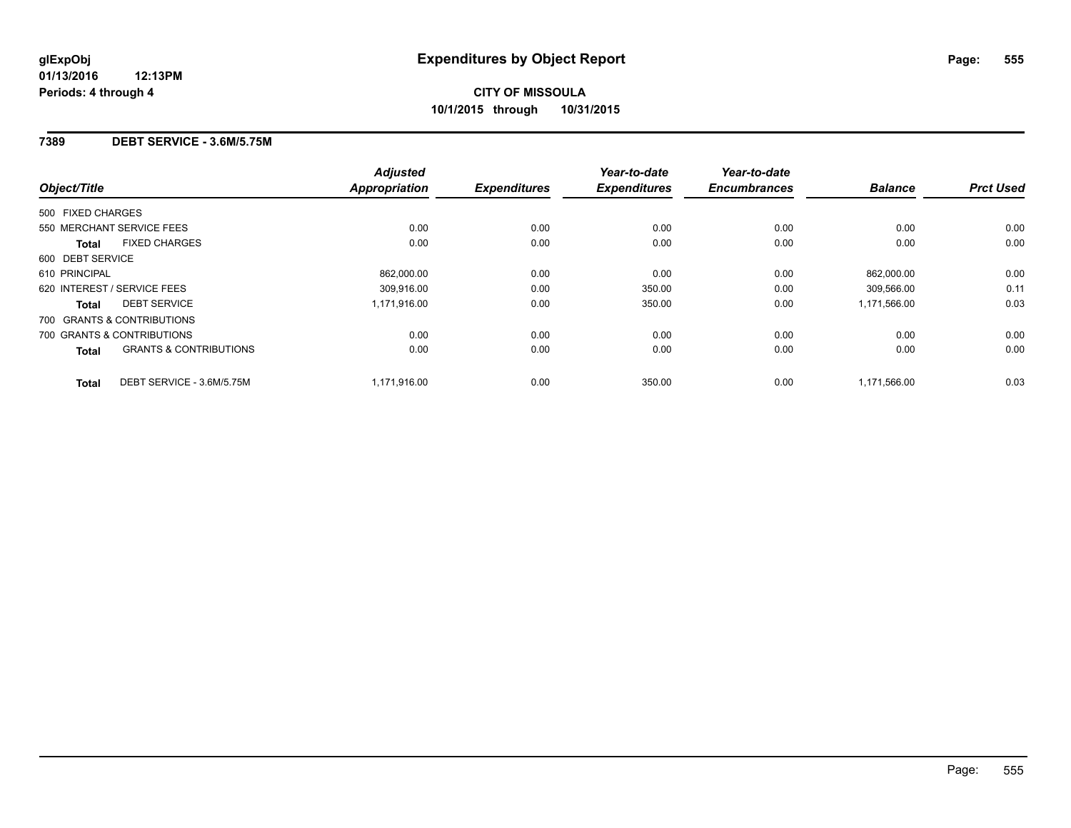#### **7389 DEBT SERVICE - 3.6M/5.75M**

| Object/Title                               | <b>Adjusted</b><br><b>Appropriation</b> | <b>Expenditures</b> | Year-to-date<br><b>Expenditures</b> | Year-to-date<br><b>Encumbrances</b> | <b>Balance</b> | <b>Prct Used</b> |
|--------------------------------------------|-----------------------------------------|---------------------|-------------------------------------|-------------------------------------|----------------|------------------|
|                                            |                                         |                     |                                     |                                     |                |                  |
| 500 FIXED CHARGES                          |                                         |                     |                                     |                                     |                |                  |
| 550 MERCHANT SERVICE FEES                  | 0.00                                    | 0.00                | 0.00                                | 0.00                                | 0.00           | 0.00             |
| <b>FIXED CHARGES</b><br><b>Total</b>       | 0.00                                    | 0.00                | 0.00                                | 0.00                                | 0.00           | 0.00             |
| 600 DEBT SERVICE                           |                                         |                     |                                     |                                     |                |                  |
| 610 PRINCIPAL                              | 862,000.00                              | 0.00                | 0.00                                | 0.00                                | 862,000.00     | 0.00             |
| 620 INTEREST / SERVICE FEES                | 309.916.00                              | 0.00                | 350.00                              | 0.00                                | 309,566.00     | 0.11             |
| <b>DEBT SERVICE</b><br><b>Total</b>        | 1,171,916.00                            | 0.00                | 350.00                              | 0.00                                | 1,171,566.00   | 0.03             |
| 700 GRANTS & CONTRIBUTIONS                 |                                         |                     |                                     |                                     |                |                  |
| 700 GRANTS & CONTRIBUTIONS                 | 0.00                                    | 0.00                | 0.00                                | 0.00                                | 0.00           | 0.00             |
| <b>GRANTS &amp; CONTRIBUTIONS</b><br>Total | 0.00                                    | 0.00                | 0.00                                | 0.00                                | 0.00           | 0.00             |
| DEBT SERVICE - 3.6M/5.75M<br><b>Total</b>  | 1,171,916.00                            | 0.00                | 350.00                              | 0.00                                | 1,171,566.00   | 0.03             |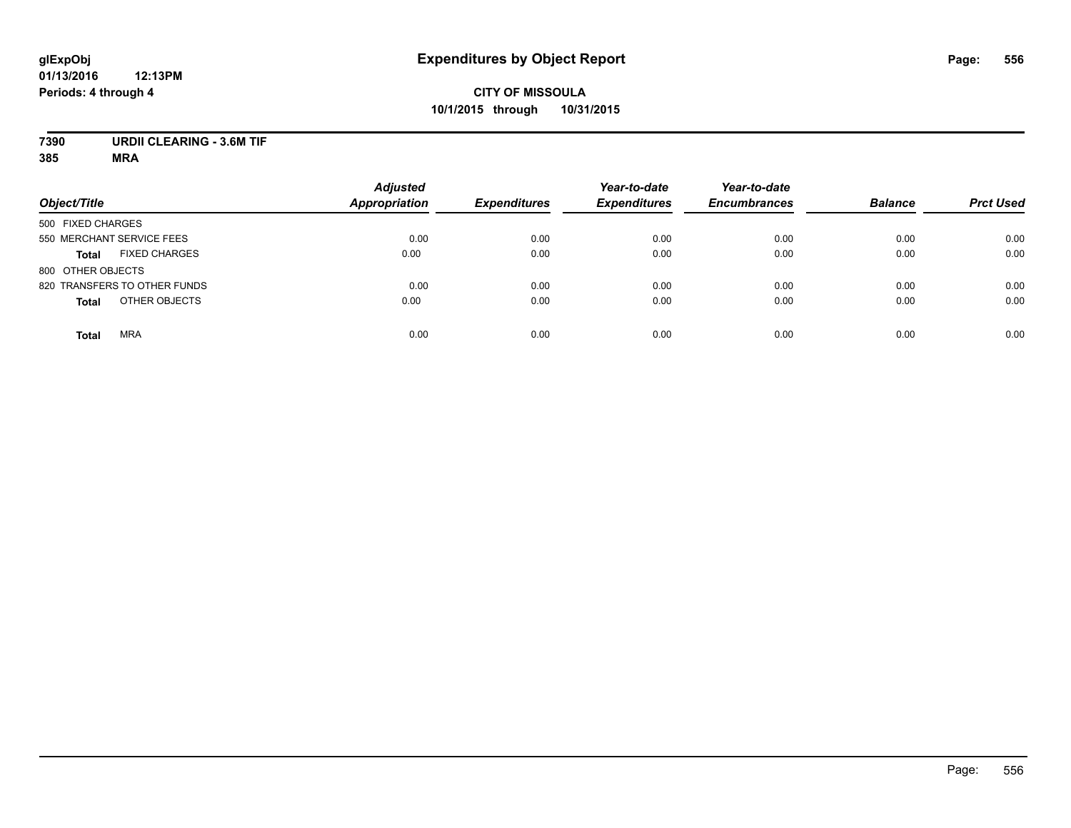### **CITY OF MISSOULA 10/1/2015 through 10/31/2015**

### **7390 URDII CLEARING - 3.6M TIF**

| Object/Title                         | <b>Adjusted</b><br>Appropriation | <b>Expenditures</b> | Year-to-date<br><b>Expenditures</b> | Year-to-date<br><b>Encumbrances</b> | <b>Balance</b> | <b>Prct Used</b> |
|--------------------------------------|----------------------------------|---------------------|-------------------------------------|-------------------------------------|----------------|------------------|
| 500 FIXED CHARGES                    |                                  |                     |                                     |                                     |                |                  |
| 550 MERCHANT SERVICE FEES            | 0.00                             | 0.00                | 0.00                                | 0.00                                | 0.00           | 0.00             |
| <b>FIXED CHARGES</b><br><b>Total</b> | 0.00                             | 0.00                | 0.00                                | 0.00                                | 0.00           | 0.00             |
| 800 OTHER OBJECTS                    |                                  |                     |                                     |                                     |                |                  |
| 820 TRANSFERS TO OTHER FUNDS         | 0.00                             | 0.00                | 0.00                                | 0.00                                | 0.00           | 0.00             |
| OTHER OBJECTS<br><b>Total</b>        | 0.00                             | 0.00                | 0.00                                | 0.00                                | 0.00           | 0.00             |
| <b>MRA</b><br><b>Total</b>           | 0.00                             | 0.00                | 0.00                                | 0.00                                | 0.00           | 0.00             |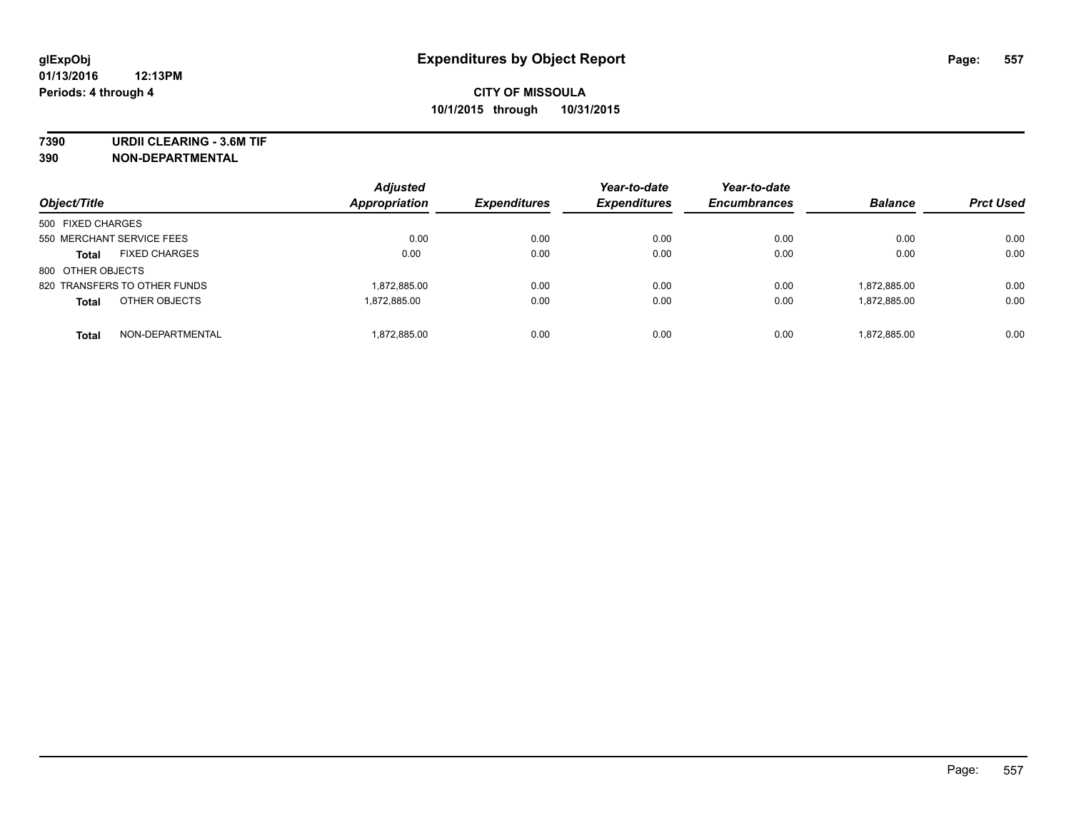**7390 URDII CLEARING - 3.6M TIF**

**390 NON-DEPARTMENTAL**

| Object/Title                         | <b>Adjusted</b><br>Appropriation | <b>Expenditures</b> | Year-to-date<br><b>Expenditures</b> | Year-to-date<br><b>Encumbrances</b> | <b>Balance</b> | <b>Prct Used</b> |
|--------------------------------------|----------------------------------|---------------------|-------------------------------------|-------------------------------------|----------------|------------------|
| 500 FIXED CHARGES                    |                                  |                     |                                     |                                     |                |                  |
| 550 MERCHANT SERVICE FEES            | 0.00                             | 0.00                | 0.00                                | 0.00                                | 0.00           | 0.00             |
| <b>FIXED CHARGES</b><br><b>Total</b> | 0.00                             | 0.00                | 0.00                                | 0.00                                | 0.00           | 0.00             |
| 800 OTHER OBJECTS                    |                                  |                     |                                     |                                     |                |                  |
| 820 TRANSFERS TO OTHER FUNDS         | 1,872,885.00                     | 0.00                | 0.00                                | 0.00                                | 1,872,885.00   | 0.00             |
| OTHER OBJECTS<br><b>Total</b>        | 1.872.885.00                     | 0.00                | 0.00                                | 0.00                                | 1,872,885.00   | 0.00             |
| NON-DEPARTMENTAL<br><b>Total</b>     | 1,872,885.00                     | 0.00                | 0.00                                | 0.00                                | 1.872.885.00   | 0.00             |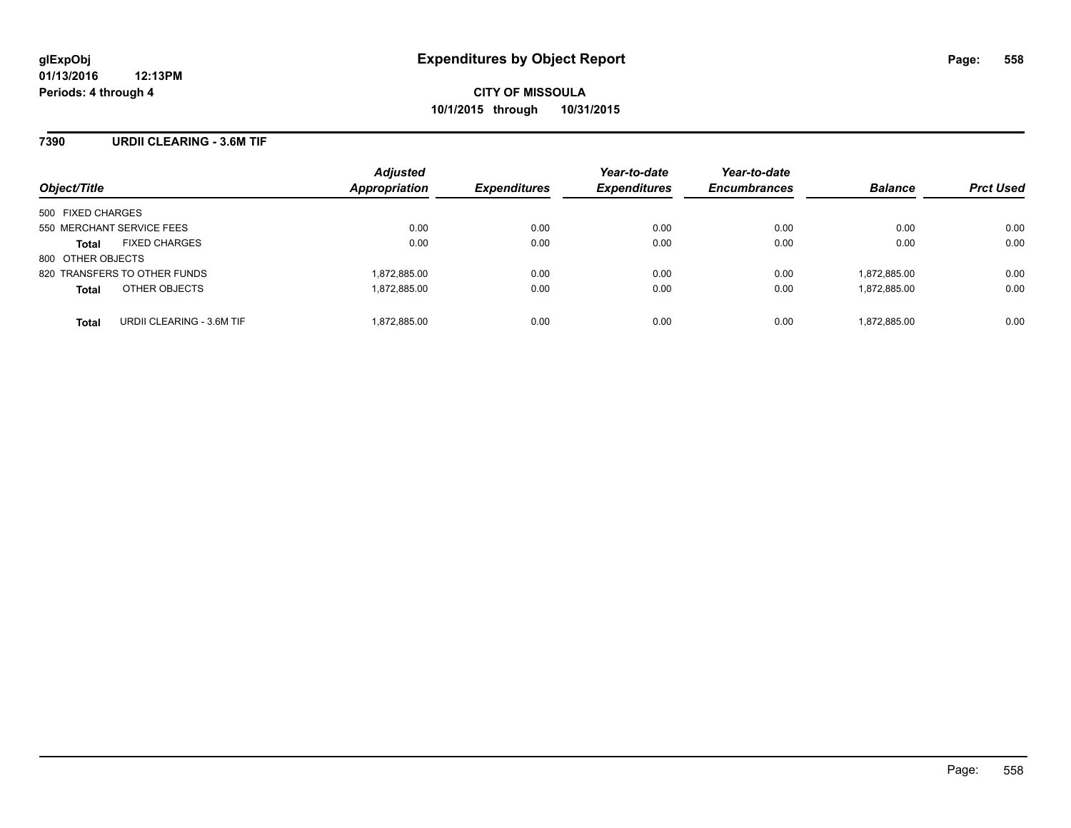#### **7390 URDII CLEARING - 3.6M TIF**

| Object/Title                              | <b>Adjusted</b><br>Appropriation | <b>Expenditures</b> | Year-to-date<br><b>Expenditures</b> | Year-to-date<br><b>Encumbrances</b> | <b>Balance</b> | <b>Prct Used</b> |
|-------------------------------------------|----------------------------------|---------------------|-------------------------------------|-------------------------------------|----------------|------------------|
| 500 FIXED CHARGES                         |                                  |                     |                                     |                                     |                |                  |
| 550 MERCHANT SERVICE FEES                 | 0.00                             | 0.00                | 0.00                                | 0.00                                | 0.00           | 0.00             |
| <b>FIXED CHARGES</b><br><b>Total</b>      | 0.00                             | 0.00                | 0.00                                | 0.00                                | 0.00           | 0.00             |
| 800 OTHER OBJECTS                         |                                  |                     |                                     |                                     |                |                  |
| 820 TRANSFERS TO OTHER FUNDS              | 1,872,885.00                     | 0.00                | 0.00                                | 0.00                                | 1,872,885.00   | 0.00             |
| OTHER OBJECTS<br><b>Total</b>             | 1,872,885.00                     | 0.00                | 0.00                                | 0.00                                | 1,872,885.00   | 0.00             |
| URDII CLEARING - 3.6M TIF<br><b>Total</b> | 1,872,885.00                     | 0.00                | 0.00                                | 0.00                                | 1,872,885.00   | 0.00             |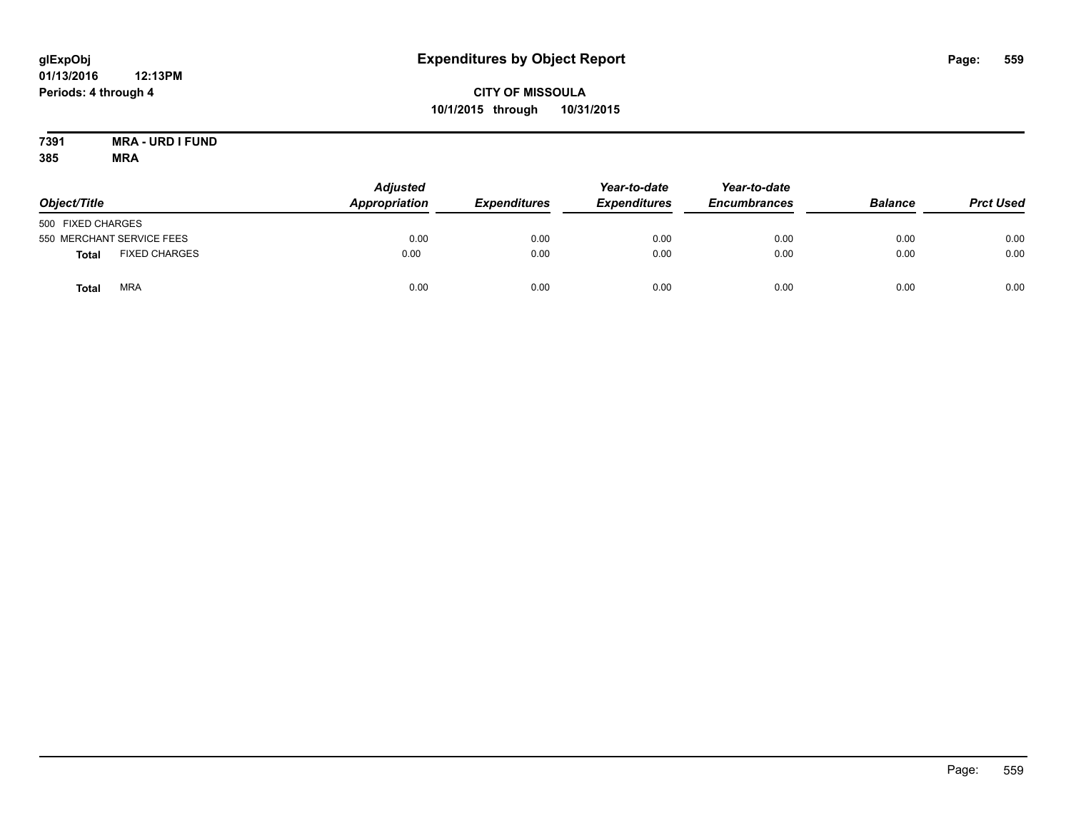### **CITY OF MISSOULA 10/1/2015 through 10/31/2015**

#### **7391 MRA - URD I FUND 385 MRA**

| Object/Title      |                           | <b>Adjusted</b><br>Appropriation | <b>Expenditures</b> | Year-to-date<br><b>Expenditures</b> | Year-to-date<br><b>Encumbrances</b> | <b>Balance</b> | <b>Prct Used</b> |
|-------------------|---------------------------|----------------------------------|---------------------|-------------------------------------|-------------------------------------|----------------|------------------|
| 500 FIXED CHARGES |                           |                                  |                     |                                     |                                     |                |                  |
|                   | 550 MERCHANT SERVICE FEES | 0.00                             | 0.00                | 0.00                                | 0.00                                | 0.00           | 0.00             |
| Total             | <b>FIXED CHARGES</b>      | 0.00                             | 0.00                | 0.00                                | 0.00                                | 0.00           | 0.00             |
| Total             | <b>MRA</b>                | 0.00                             | 0.00                | 0.00                                | 0.00                                | 0.00           | 0.00             |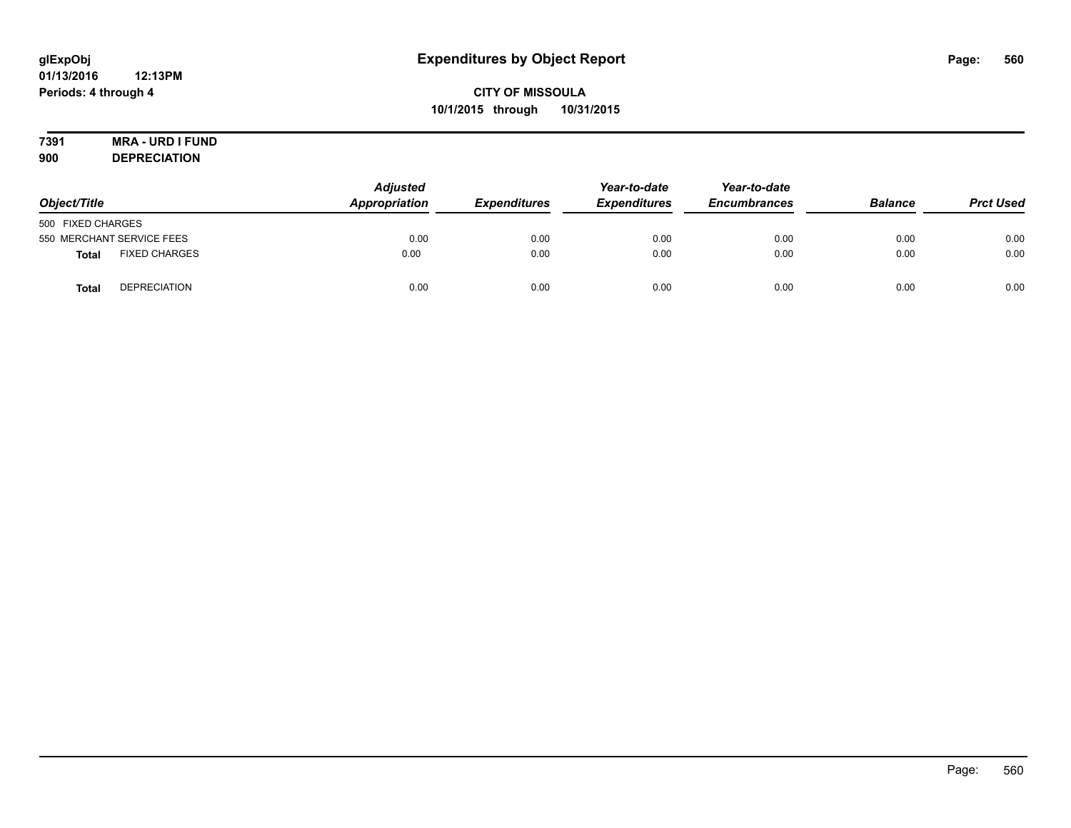# **7391 MRA - URD I FUND**

**900 DEPRECIATION**

| Object/Title                         | <b>Adjusted</b><br>Appropriation | <b>Expenditures</b> | Year-to-date<br><b>Expenditures</b> | Year-to-date<br><b>Encumbrances</b> | <b>Balance</b> | <b>Prct Used</b> |
|--------------------------------------|----------------------------------|---------------------|-------------------------------------|-------------------------------------|----------------|------------------|
| 500 FIXED CHARGES                    |                                  |                     |                                     |                                     |                |                  |
| 550 MERCHANT SERVICE FEES            | 0.00                             | 0.00                | 0.00                                | 0.00                                | 0.00           | 0.00             |
| <b>FIXED CHARGES</b><br><b>Total</b> | 0.00                             | 0.00                | 0.00                                | 0.00                                | 0.00           | 0.00             |
| <b>DEPRECIATION</b><br><b>Total</b>  | 0.00                             | 0.00                | 0.00                                | 0.00                                | 0.00           | 0.00             |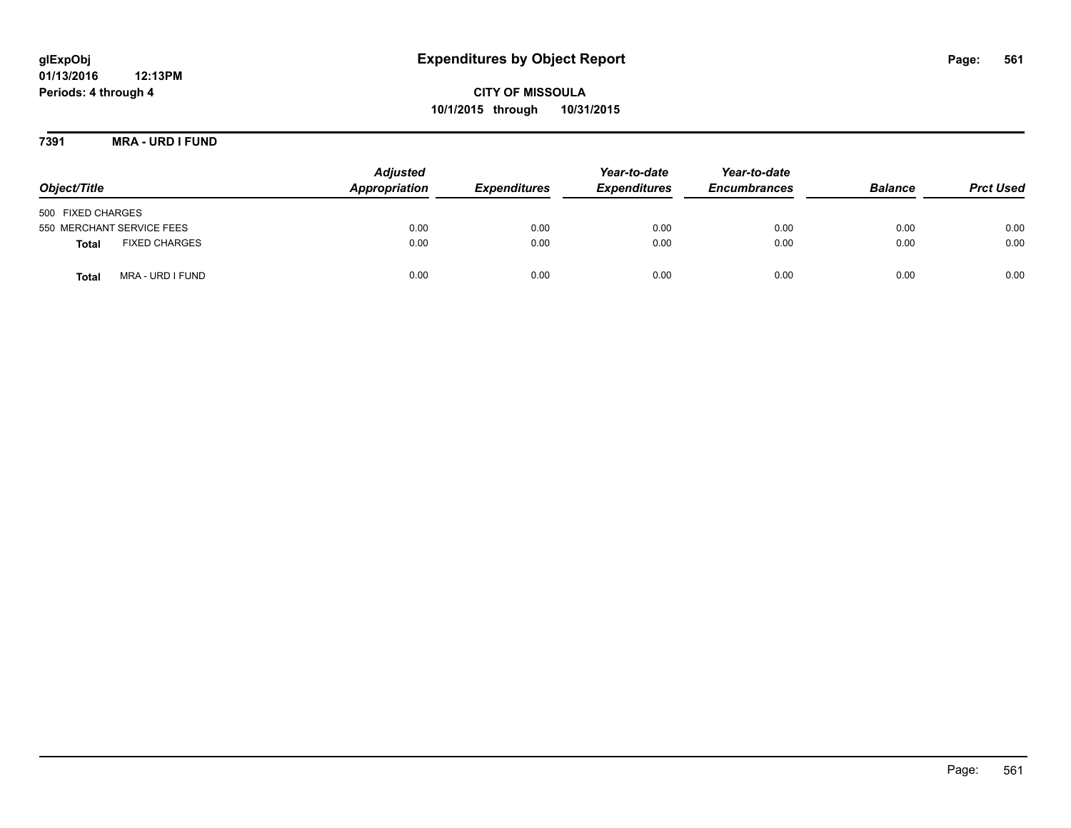**CITY OF MISSOULA 10/1/2015 through 10/31/2015**

**7391 MRA - URD I FUND**

| Object/Title                         | <b>Adjusted</b><br>Appropriation | <b>Expenditures</b> | Year-to-date<br><b>Expenditures</b> | Year-to-date<br><b>Encumbrances</b> | <b>Balance</b> | <b>Prct Used</b> |
|--------------------------------------|----------------------------------|---------------------|-------------------------------------|-------------------------------------|----------------|------------------|
| 500 FIXED CHARGES                    |                                  |                     |                                     |                                     |                |                  |
| 550 MERCHANT SERVICE FEES            | 0.00                             | 0.00                | 0.00                                | 0.00                                | 0.00           | 0.00             |
| <b>FIXED CHARGES</b><br><b>Total</b> | 0.00                             | 0.00                | 0.00                                | 0.00                                | 0.00           | 0.00             |
| MRA - URD I FUND<br>Total            | 0.00                             | 0.00                | 0.00                                | 0.00                                | 0.00           | 0.00             |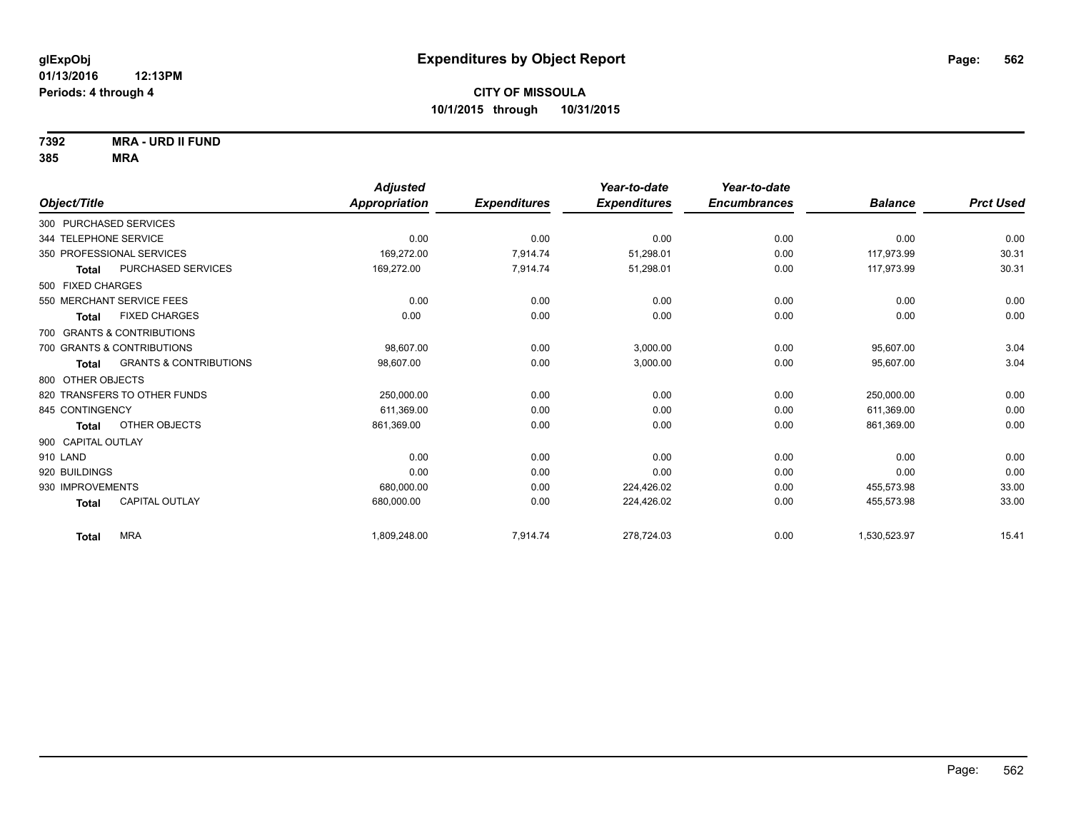**7392 MRA - URD II FUND**

|                              |                                   | <b>Adjusted</b>      |                     | Year-to-date        | Year-to-date        |                |                  |
|------------------------------|-----------------------------------|----------------------|---------------------|---------------------|---------------------|----------------|------------------|
| Object/Title                 |                                   | <b>Appropriation</b> | <b>Expenditures</b> | <b>Expenditures</b> | <b>Encumbrances</b> | <b>Balance</b> | <b>Prct Used</b> |
| 300 PURCHASED SERVICES       |                                   |                      |                     |                     |                     |                |                  |
| 344 TELEPHONE SERVICE        |                                   | 0.00                 | 0.00                | 0.00                | 0.00                | 0.00           | 0.00             |
| 350 PROFESSIONAL SERVICES    |                                   | 169,272.00           | 7,914.74            | 51,298.01           | 0.00                | 117,973.99     | 30.31            |
| <b>Total</b>                 | PURCHASED SERVICES                | 169,272.00           | 7,914.74            | 51,298.01           | 0.00                | 117.973.99     | 30.31            |
| 500 FIXED CHARGES            |                                   |                      |                     |                     |                     |                |                  |
| 550 MERCHANT SERVICE FEES    |                                   | 0.00                 | 0.00                | 0.00                | 0.00                | 0.00           | 0.00             |
| <b>Total</b>                 | <b>FIXED CHARGES</b>              | 0.00                 | 0.00                | 0.00                | 0.00                | 0.00           | 0.00             |
| 700 GRANTS & CONTRIBUTIONS   |                                   |                      |                     |                     |                     |                |                  |
| 700 GRANTS & CONTRIBUTIONS   |                                   | 98,607.00            | 0.00                | 3,000.00            | 0.00                | 95,607.00      | 3.04             |
| <b>Total</b>                 | <b>GRANTS &amp; CONTRIBUTIONS</b> | 98,607.00            | 0.00                | 3,000.00            | 0.00                | 95,607.00      | 3.04             |
| 800 OTHER OBJECTS            |                                   |                      |                     |                     |                     |                |                  |
| 820 TRANSFERS TO OTHER FUNDS |                                   | 250,000.00           | 0.00                | 0.00                | 0.00                | 250.000.00     | 0.00             |
| 845 CONTINGENCY              |                                   | 611,369.00           | 0.00                | 0.00                | 0.00                | 611.369.00     | 0.00             |
| Total                        | OTHER OBJECTS                     | 861,369.00           | 0.00                | 0.00                | 0.00                | 861,369.00     | 0.00             |
| 900 CAPITAL OUTLAY           |                                   |                      |                     |                     |                     |                |                  |
| 910 LAND                     |                                   | 0.00                 | 0.00                | 0.00                | 0.00                | 0.00           | 0.00             |
| 920 BUILDINGS                |                                   | 0.00                 | 0.00                | 0.00                | 0.00                | 0.00           | 0.00             |
| 930 IMPROVEMENTS             |                                   | 680,000.00           | 0.00                | 224,426.02          | 0.00                | 455,573.98     | 33.00            |
| <b>Total</b>                 | <b>CAPITAL OUTLAY</b>             | 680,000.00           | 0.00                | 224,426.02          | 0.00                | 455,573.98     | 33.00            |
| <b>MRA</b><br><b>Total</b>   |                                   | 1,809,248.00         | 7,914.74            | 278,724.03          | 0.00                | 1,530,523.97   | 15.41            |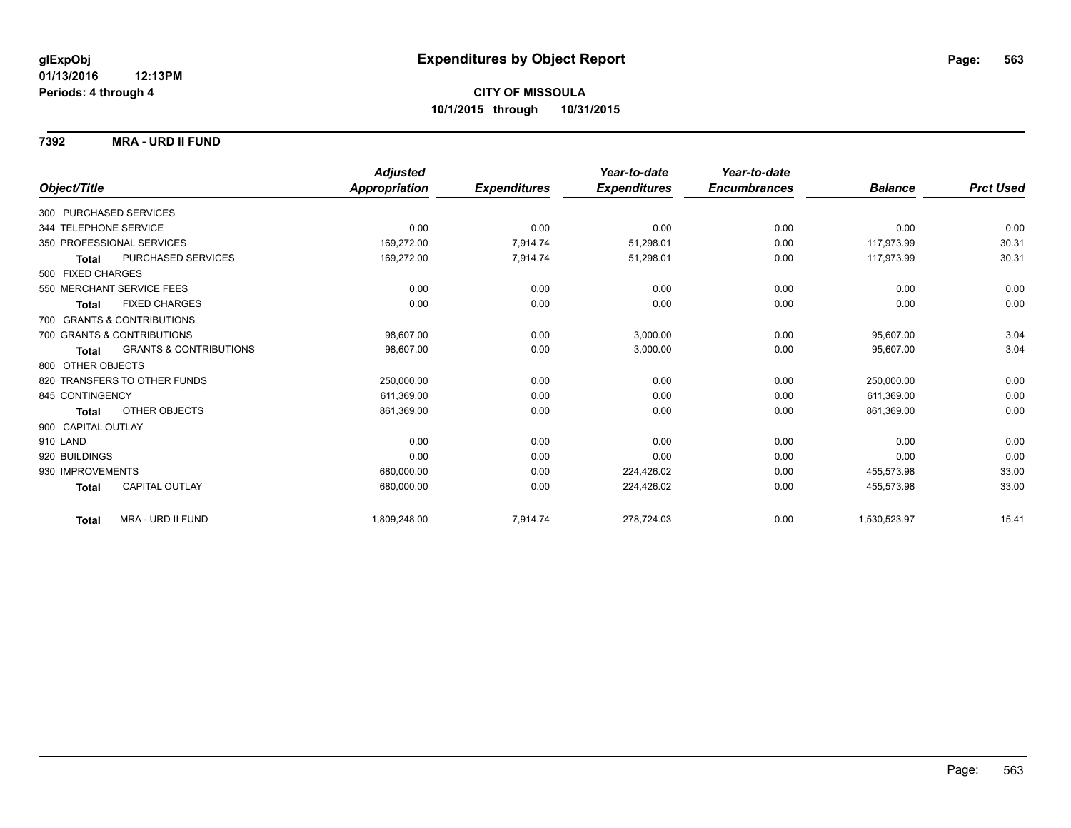**7392 MRA - URD II FUND**

|                                                   | <b>Adjusted</b> |                     | Year-to-date        | Year-to-date        |                |                  |
|---------------------------------------------------|-----------------|---------------------|---------------------|---------------------|----------------|------------------|
| Object/Title                                      | Appropriation   | <b>Expenditures</b> | <b>Expenditures</b> | <b>Encumbrances</b> | <b>Balance</b> | <b>Prct Used</b> |
| 300 PURCHASED SERVICES                            |                 |                     |                     |                     |                |                  |
| 344 TELEPHONE SERVICE                             | 0.00            | 0.00                | 0.00                | 0.00                | 0.00           | 0.00             |
| 350 PROFESSIONAL SERVICES                         | 169,272.00      | 7,914.74            | 51,298.01           | 0.00                | 117,973.99     | 30.31            |
| <b>PURCHASED SERVICES</b><br><b>Total</b>         | 169,272.00      | 7,914.74            | 51,298.01           | 0.00                | 117.973.99     | 30.31            |
| 500 FIXED CHARGES                                 |                 |                     |                     |                     |                |                  |
| 550 MERCHANT SERVICE FEES                         | 0.00            | 0.00                | 0.00                | 0.00                | 0.00           | 0.00             |
| <b>FIXED CHARGES</b><br><b>Total</b>              | 0.00            | 0.00                | 0.00                | 0.00                | 0.00           | 0.00             |
| 700 GRANTS & CONTRIBUTIONS                        |                 |                     |                     |                     |                |                  |
| 700 GRANTS & CONTRIBUTIONS                        | 98.607.00       | 0.00                | 3,000.00            | 0.00                | 95,607.00      | 3.04             |
| <b>GRANTS &amp; CONTRIBUTIONS</b><br><b>Total</b> | 98,607.00       | 0.00                | 3,000.00            | 0.00                | 95,607.00      | 3.04             |
| 800 OTHER OBJECTS                                 |                 |                     |                     |                     |                |                  |
| 820 TRANSFERS TO OTHER FUNDS                      | 250,000.00      | 0.00                | 0.00                | 0.00                | 250,000.00     | 0.00             |
| 845 CONTINGENCY                                   | 611,369.00      | 0.00                | 0.00                | 0.00                | 611,369.00     | 0.00             |
| OTHER OBJECTS<br><b>Total</b>                     | 861,369.00      | 0.00                | 0.00                | 0.00                | 861,369.00     | 0.00             |
| 900 CAPITAL OUTLAY                                |                 |                     |                     |                     |                |                  |
| 910 LAND                                          | 0.00            | 0.00                | 0.00                | 0.00                | 0.00           | 0.00             |
| 920 BUILDINGS                                     | 0.00            | 0.00                | 0.00                | 0.00                | 0.00           | 0.00             |
| 930 IMPROVEMENTS                                  | 680,000.00      | 0.00                | 224,426.02          | 0.00                | 455,573.98     | 33.00            |
| <b>CAPITAL OUTLAY</b><br><b>Total</b>             | 680,000.00      | 0.00                | 224,426.02          | 0.00                | 455,573.98     | 33.00            |
| MRA - URD II FUND<br><b>Total</b>                 | 1,809,248.00    | 7,914.74            | 278,724.03          | 0.00                | 1,530,523.97   | 15.41            |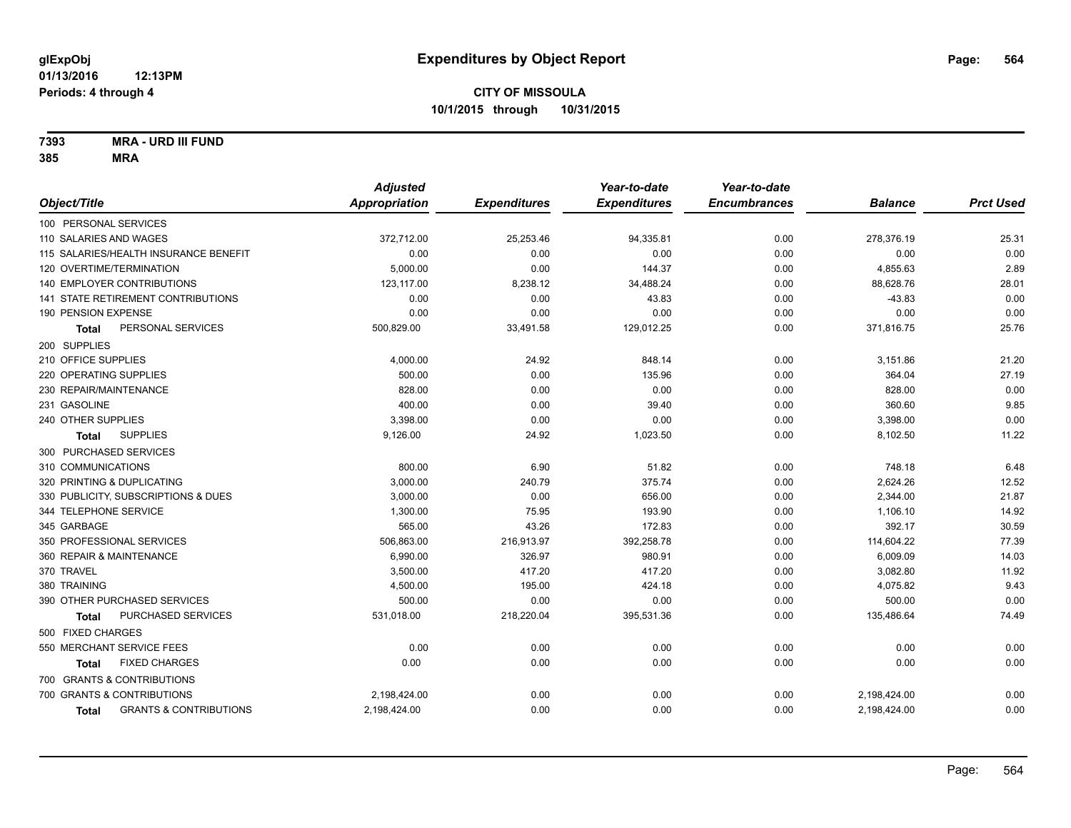**7393 MRA - URD III FUND**

|                                                   | <b>Adjusted</b> |                     | Year-to-date        | Year-to-date        |                |                  |
|---------------------------------------------------|-----------------|---------------------|---------------------|---------------------|----------------|------------------|
| Object/Title                                      | Appropriation   | <b>Expenditures</b> | <b>Expenditures</b> | <b>Encumbrances</b> | <b>Balance</b> | <b>Prct Used</b> |
| 100 PERSONAL SERVICES                             |                 |                     |                     |                     |                |                  |
| 110 SALARIES AND WAGES                            | 372,712.00      | 25,253.46           | 94,335.81           | 0.00                | 278,376.19     | 25.31            |
| 115 SALARIES/HEALTH INSURANCE BENEFIT             | 0.00            | 0.00                | 0.00                | 0.00                | 0.00           | 0.00             |
| 120 OVERTIME/TERMINATION                          | 5,000.00        | 0.00                | 144.37              | 0.00                | 4,855.63       | 2.89             |
| 140 EMPLOYER CONTRIBUTIONS                        | 123,117.00      | 8,238.12            | 34,488.24           | 0.00                | 88,628.76      | 28.01            |
| <b>141 STATE RETIREMENT CONTRIBUTIONS</b>         | 0.00            | 0.00                | 43.83               | 0.00                | $-43.83$       | 0.00             |
| 190 PENSION EXPENSE                               | 0.00            | 0.00                | 0.00                | 0.00                | 0.00           | 0.00             |
| PERSONAL SERVICES<br>Total                        | 500,829.00      | 33,491.58           | 129,012.25          | 0.00                | 371,816.75     | 25.76            |
| 200 SUPPLIES                                      |                 |                     |                     |                     |                |                  |
| 210 OFFICE SUPPLIES                               | 4,000.00        | 24.92               | 848.14              | 0.00                | 3,151.86       | 21.20            |
| 220 OPERATING SUPPLIES                            | 500.00          | 0.00                | 135.96              | 0.00                | 364.04         | 27.19            |
| 230 REPAIR/MAINTENANCE                            | 828.00          | 0.00                | 0.00                | 0.00                | 828.00         | 0.00             |
| 231 GASOLINE                                      | 400.00          | 0.00                | 39.40               | 0.00                | 360.60         | 9.85             |
| 240 OTHER SUPPLIES                                | 3,398.00        | 0.00                | 0.00                | 0.00                | 3,398.00       | 0.00             |
| <b>SUPPLIES</b><br>Total                          | 9,126.00        | 24.92               | 1,023.50            | 0.00                | 8,102.50       | 11.22            |
| 300 PURCHASED SERVICES                            |                 |                     |                     |                     |                |                  |
| 310 COMMUNICATIONS                                | 800.00          | 6.90                | 51.82               | 0.00                | 748.18         | 6.48             |
| 320 PRINTING & DUPLICATING                        | 3,000.00        | 240.79              | 375.74              | 0.00                | 2,624.26       | 12.52            |
| 330 PUBLICITY, SUBSCRIPTIONS & DUES               | 3,000.00        | 0.00                | 656.00              | 0.00                | 2,344.00       | 21.87            |
| 344 TELEPHONE SERVICE                             | 1,300.00        | 75.95               | 193.90              | 0.00                | 1,106.10       | 14.92            |
| 345 GARBAGE                                       | 565.00          | 43.26               | 172.83              | 0.00                | 392.17         | 30.59            |
| 350 PROFESSIONAL SERVICES                         | 506,863.00      | 216,913.97          | 392,258.78          | 0.00                | 114,604.22     | 77.39            |
| 360 REPAIR & MAINTENANCE                          | 6,990.00        | 326.97              | 980.91              | 0.00                | 6,009.09       | 14.03            |
| 370 TRAVEL                                        | 3,500.00        | 417.20              | 417.20              | 0.00                | 3,082.80       | 11.92            |
| 380 TRAINING                                      | 4,500.00        | 195.00              | 424.18              | 0.00                | 4,075.82       | 9.43             |
| 390 OTHER PURCHASED SERVICES                      | 500.00          | 0.00                | 0.00                | 0.00                | 500.00         | 0.00             |
| PURCHASED SERVICES<br><b>Total</b>                | 531,018.00      | 218,220.04          | 395,531.36          | 0.00                | 135,486.64     | 74.49            |
| 500 FIXED CHARGES                                 |                 |                     |                     |                     |                |                  |
| 550 MERCHANT SERVICE FEES                         | 0.00            | 0.00                | 0.00                | 0.00                | 0.00           | 0.00             |
| <b>FIXED CHARGES</b><br>Total                     | 0.00            | 0.00                | 0.00                | 0.00                | 0.00           | 0.00             |
| 700 GRANTS & CONTRIBUTIONS                        |                 |                     |                     |                     |                |                  |
| 700 GRANTS & CONTRIBUTIONS                        | 2,198,424.00    | 0.00                | 0.00                | 0.00                | 2,198,424.00   | 0.00             |
| <b>GRANTS &amp; CONTRIBUTIONS</b><br><b>Total</b> | 2,198,424.00    | 0.00                | 0.00                | 0.00                | 2,198,424.00   | 0.00             |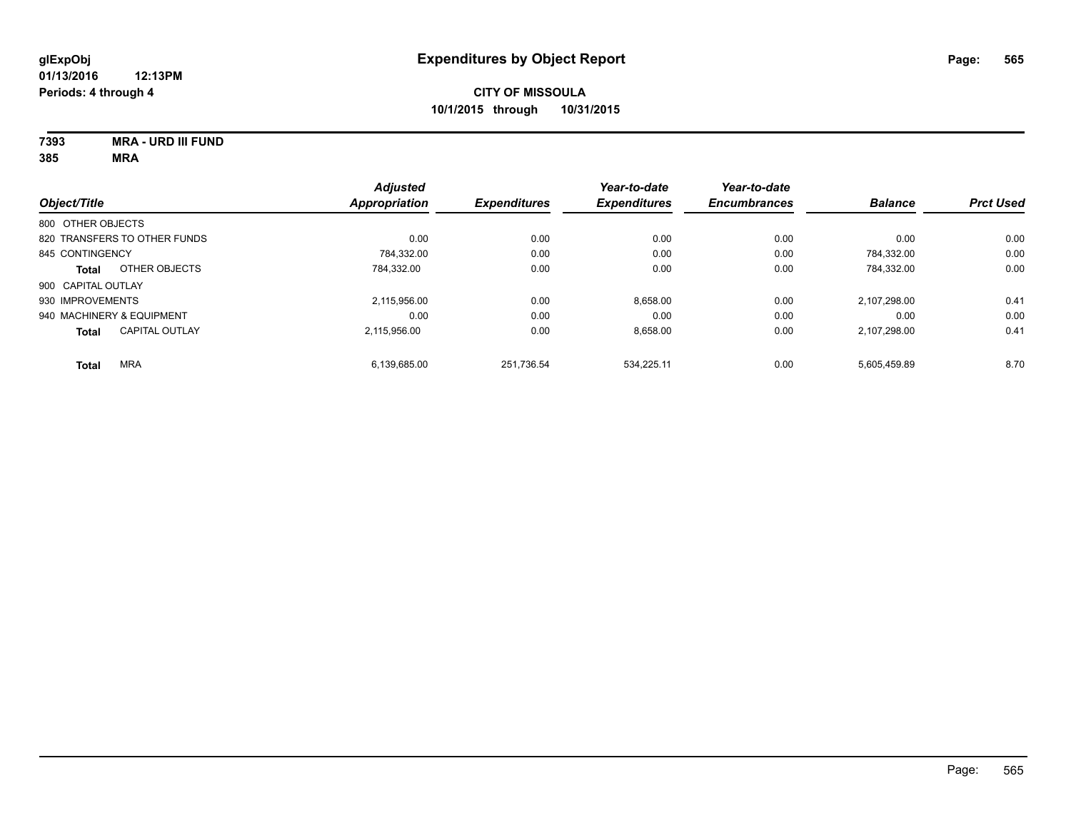| 7393    | <b>MRA - URD III FUND</b> |
|---------|---------------------------|
| $- - -$ |                           |

|                           |                              | <b>Adjusted</b>      |                     | Year-to-date        | Year-to-date        | <b>Balance</b> | <b>Prct Used</b> |
|---------------------------|------------------------------|----------------------|---------------------|---------------------|---------------------|----------------|------------------|
| Object/Title              |                              | <b>Appropriation</b> | <b>Expenditures</b> | <b>Expenditures</b> | <b>Encumbrances</b> |                |                  |
| 800 OTHER OBJECTS         |                              |                      |                     |                     |                     |                |                  |
|                           | 820 TRANSFERS TO OTHER FUNDS | 0.00                 | 0.00                | 0.00                | 0.00                | 0.00           | 0.00             |
| 845 CONTINGENCY           |                              | 784.332.00           | 0.00                | 0.00                | 0.00                | 784.332.00     | 0.00             |
| <b>Total</b>              | OTHER OBJECTS                | 784.332.00           | 0.00                | 0.00                | 0.00                | 784.332.00     | 0.00             |
| 900 CAPITAL OUTLAY        |                              |                      |                     |                     |                     |                |                  |
| 930 IMPROVEMENTS          |                              | 2.115.956.00         | 0.00                | 8.658.00            | 0.00                | 2.107.298.00   | 0.41             |
| 940 MACHINERY & EQUIPMENT |                              | 0.00                 | 0.00                | 0.00                | 0.00                | 0.00           | 0.00             |
| <b>Total</b>              | <b>CAPITAL OUTLAY</b>        | 2.115.956.00         | 0.00                | 8.658.00            | 0.00                | 2,107,298.00   | 0.41             |
| <b>Total</b>              | <b>MRA</b>                   | 6.139.685.00         | 251.736.54          | 534.225.11          | 0.00                | 5.605.459.89   | 8.70             |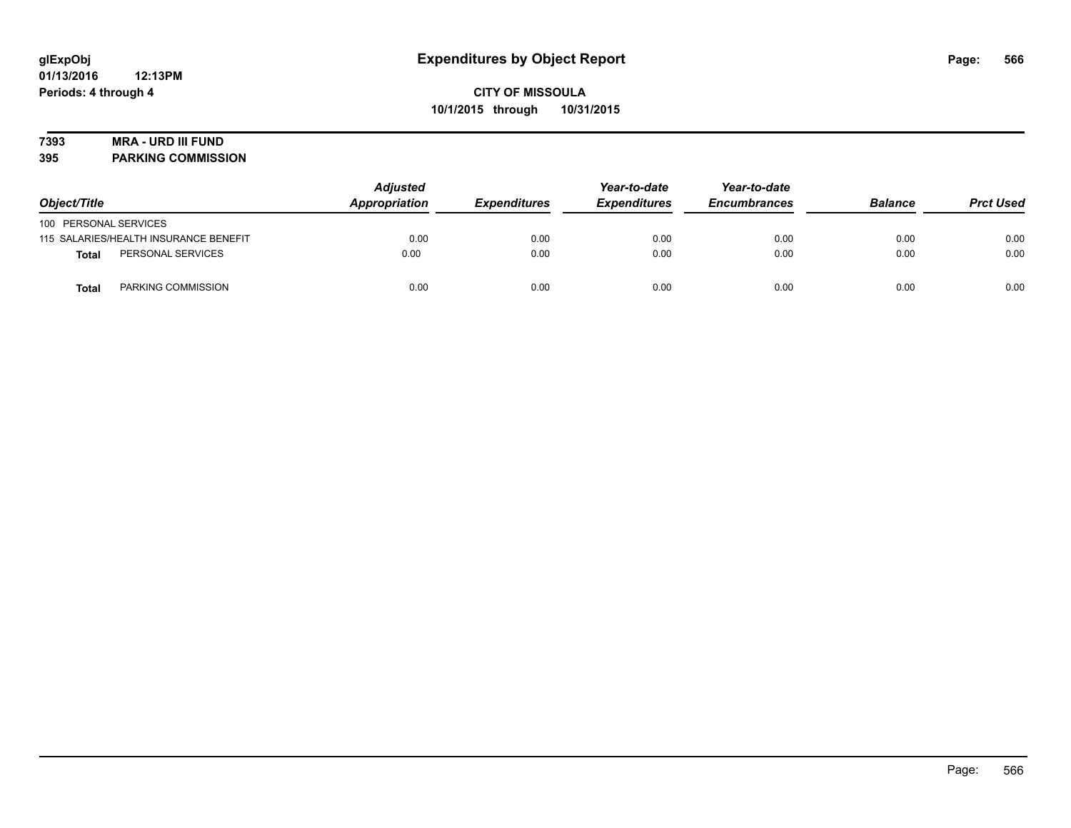### **7393 MRA - URD III FUND**

**395 PARKING COMMISSION**

| Object/Title                          | <b>Adjusted</b><br>Appropriation | <b>Expenditures</b> | Year-to-date<br><b>Expenditures</b> | Year-to-date<br><b>Encumbrances</b> | <b>Balance</b> | <b>Prct Used</b> |
|---------------------------------------|----------------------------------|---------------------|-------------------------------------|-------------------------------------|----------------|------------------|
| 100 PERSONAL SERVICES                 |                                  |                     |                                     |                                     |                |                  |
| 115 SALARIES/HEALTH INSURANCE BENEFIT | 0.00                             | 0.00                | 0.00                                | 0.00                                | 0.00           | 0.00             |
| PERSONAL SERVICES<br>Total            | 0.00                             | 0.00                | 0.00                                | 0.00                                | 0.00           | 0.00             |
| PARKING COMMISSION<br>Total           | 0.00                             | 0.00                | 0.00                                | 0.00                                | 0.00           | 0.00             |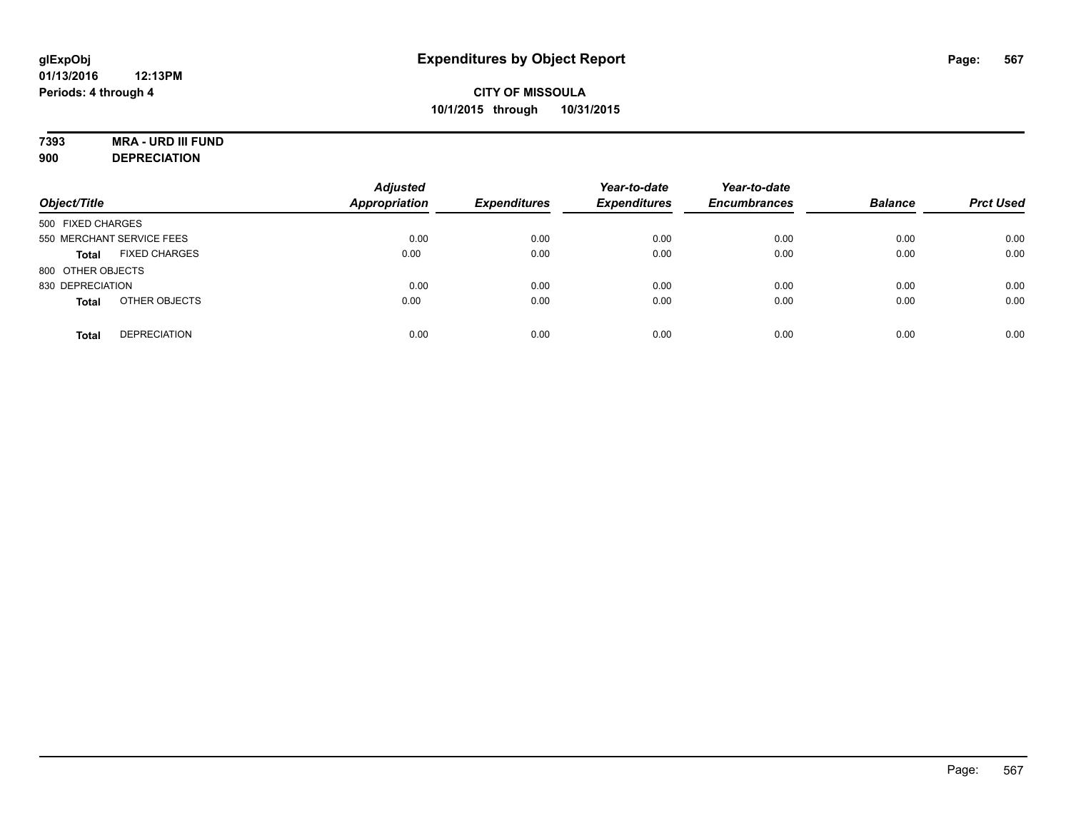# **7393 MRA - URD III FUND**

**900 DEPRECIATION**

| Object/Title              |                      | <b>Adjusted</b><br><b>Appropriation</b> | <b>Expenditures</b> | Year-to-date<br><b>Expenditures</b> | Year-to-date<br><b>Encumbrances</b> | <b>Balance</b> | <b>Prct Used</b> |
|---------------------------|----------------------|-----------------------------------------|---------------------|-------------------------------------|-------------------------------------|----------------|------------------|
| 500 FIXED CHARGES         |                      |                                         |                     |                                     |                                     |                |                  |
| 550 MERCHANT SERVICE FEES |                      | 0.00                                    | 0.00                | 0.00                                | 0.00                                | 0.00           | 0.00             |
| <b>Total</b>              | <b>FIXED CHARGES</b> | 0.00                                    | 0.00                | 0.00                                | 0.00                                | 0.00           | 0.00             |
| 800 OTHER OBJECTS         |                      |                                         |                     |                                     |                                     |                |                  |
| 830 DEPRECIATION          |                      | 0.00                                    | 0.00                | 0.00                                | 0.00                                | 0.00           | 0.00             |
| <b>Total</b>              | OTHER OBJECTS        | 0.00                                    | 0.00                | 0.00                                | 0.00                                | 0.00           | 0.00             |
| <b>Total</b>              | <b>DEPRECIATION</b>  | 0.00                                    | 0.00                | 0.00                                | 0.00                                | 0.00           | 0.00             |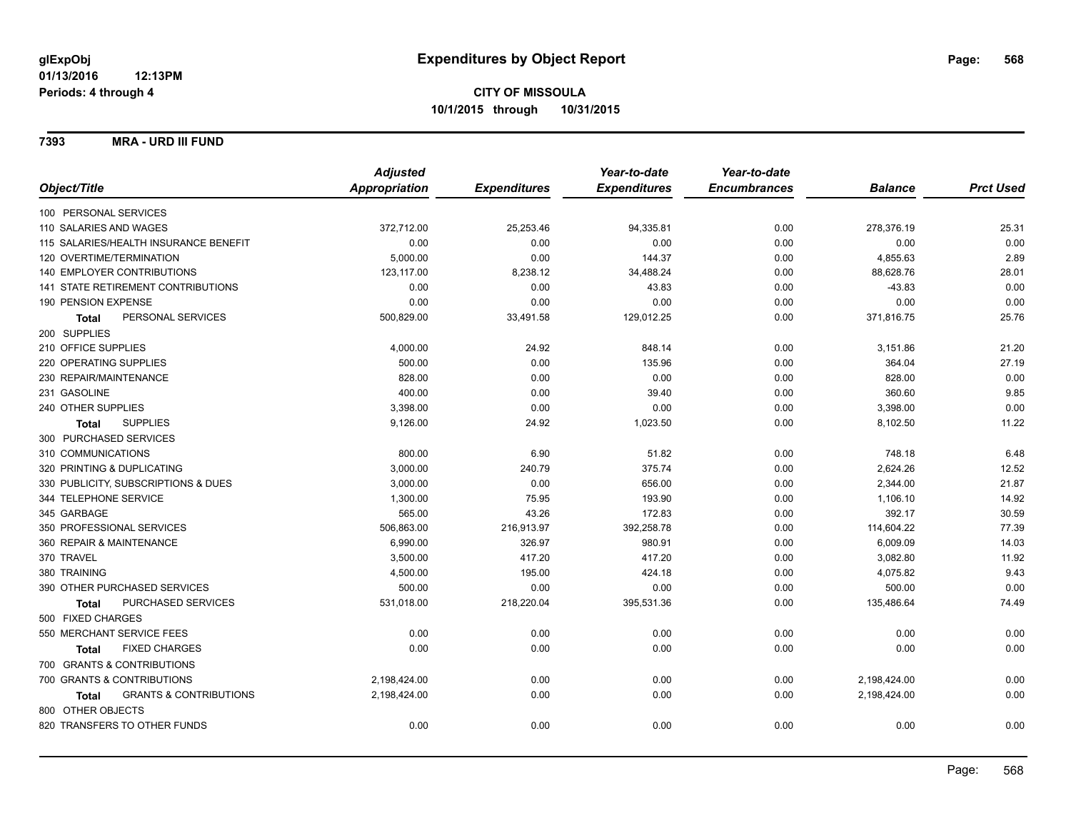**7393 MRA - URD III FUND**

|                                                   | <b>Adjusted</b> |                     | Year-to-date        | Year-to-date        |                |                  |
|---------------------------------------------------|-----------------|---------------------|---------------------|---------------------|----------------|------------------|
| Object/Title                                      | Appropriation   | <b>Expenditures</b> | <b>Expenditures</b> | <b>Encumbrances</b> | <b>Balance</b> | <b>Prct Used</b> |
| 100 PERSONAL SERVICES                             |                 |                     |                     |                     |                |                  |
| 110 SALARIES AND WAGES                            | 372,712.00      | 25,253.46           | 94,335.81           | 0.00                | 278,376.19     | 25.31            |
| 115 SALARIES/HEALTH INSURANCE BENEFIT             | 0.00            | 0.00                | 0.00                | 0.00                | 0.00           | 0.00             |
| 120 OVERTIME/TERMINATION                          | 5,000.00        | 0.00                | 144.37              | 0.00                | 4,855.63       | 2.89             |
| 140 EMPLOYER CONTRIBUTIONS                        | 123,117.00      | 8,238.12            | 34,488.24           | 0.00                | 88,628.76      | 28.01            |
| 141 STATE RETIREMENT CONTRIBUTIONS                | 0.00            | 0.00                | 43.83               | 0.00                | $-43.83$       | 0.00             |
| 190 PENSION EXPENSE                               | 0.00            | 0.00                | 0.00                | 0.00                | 0.00           | 0.00             |
| PERSONAL SERVICES<br>Total                        | 500,829.00      | 33,491.58           | 129,012.25          | 0.00                | 371,816.75     | 25.76            |
| 200 SUPPLIES                                      |                 |                     |                     |                     |                |                  |
| 210 OFFICE SUPPLIES                               | 4,000.00        | 24.92               | 848.14              | 0.00                | 3,151.86       | 21.20            |
| 220 OPERATING SUPPLIES                            | 500.00          | 0.00                | 135.96              | 0.00                | 364.04         | 27.19            |
| 230 REPAIR/MAINTENANCE                            | 828.00          | 0.00                | 0.00                | 0.00                | 828.00         | 0.00             |
| 231 GASOLINE                                      | 400.00          | 0.00                | 39.40               | 0.00                | 360.60         | 9.85             |
| 240 OTHER SUPPLIES                                | 3,398.00        | 0.00                | 0.00                | 0.00                | 3,398.00       | 0.00             |
| <b>SUPPLIES</b><br>Total                          | 9,126.00        | 24.92               | 1,023.50            | 0.00                | 8,102.50       | 11.22            |
| 300 PURCHASED SERVICES                            |                 |                     |                     |                     |                |                  |
| 310 COMMUNICATIONS                                | 800.00          | 6.90                | 51.82               | 0.00                | 748.18         | 6.48             |
| 320 PRINTING & DUPLICATING                        | 3,000.00        | 240.79              | 375.74              | 0.00                | 2,624.26       | 12.52            |
| 330 PUBLICITY, SUBSCRIPTIONS & DUES               | 3,000.00        | 0.00                | 656.00              | 0.00                | 2,344.00       | 21.87            |
| 344 TELEPHONE SERVICE                             | 1,300.00        | 75.95               | 193.90              | 0.00                | 1,106.10       | 14.92            |
| 345 GARBAGE                                       | 565.00          | 43.26               | 172.83              | 0.00                | 392.17         | 30.59            |
| 350 PROFESSIONAL SERVICES                         | 506,863.00      | 216,913.97          | 392,258.78          | 0.00                | 114,604.22     | 77.39            |
| 360 REPAIR & MAINTENANCE                          | 6,990.00        | 326.97              | 980.91              | 0.00                | 6,009.09       | 14.03            |
| 370 TRAVEL                                        | 3,500.00        | 417.20              | 417.20              | 0.00                | 3,082.80       | 11.92            |
| 380 TRAINING                                      | 4,500.00        | 195.00              | 424.18              | 0.00                | 4,075.82       | 9.43             |
| 390 OTHER PURCHASED SERVICES                      | 500.00          | 0.00                | 0.00                | 0.00                | 500.00         | 0.00             |
| PURCHASED SERVICES<br><b>Total</b>                | 531,018.00      | 218,220.04          | 395,531.36          | 0.00                | 135,486.64     | 74.49            |
| 500 FIXED CHARGES                                 |                 |                     |                     |                     |                |                  |
| 550 MERCHANT SERVICE FEES                         | 0.00            | 0.00                | 0.00                | 0.00                | 0.00           | 0.00             |
| <b>FIXED CHARGES</b><br><b>Total</b>              | 0.00            | 0.00                | 0.00                | 0.00                | 0.00           | 0.00             |
| 700 GRANTS & CONTRIBUTIONS                        |                 |                     |                     |                     |                |                  |
| 700 GRANTS & CONTRIBUTIONS                        | 2,198,424.00    | 0.00                | 0.00                | 0.00                | 2,198,424.00   | 0.00             |
| <b>GRANTS &amp; CONTRIBUTIONS</b><br><b>Total</b> | 2,198,424.00    | 0.00                | 0.00                | 0.00                | 2,198,424.00   | 0.00             |
| 800 OTHER OBJECTS                                 |                 |                     |                     |                     |                |                  |
| 820 TRANSFERS TO OTHER FUNDS                      | 0.00            | 0.00                | 0.00                | 0.00                | 0.00           | 0.00             |
|                                                   |                 |                     |                     |                     |                |                  |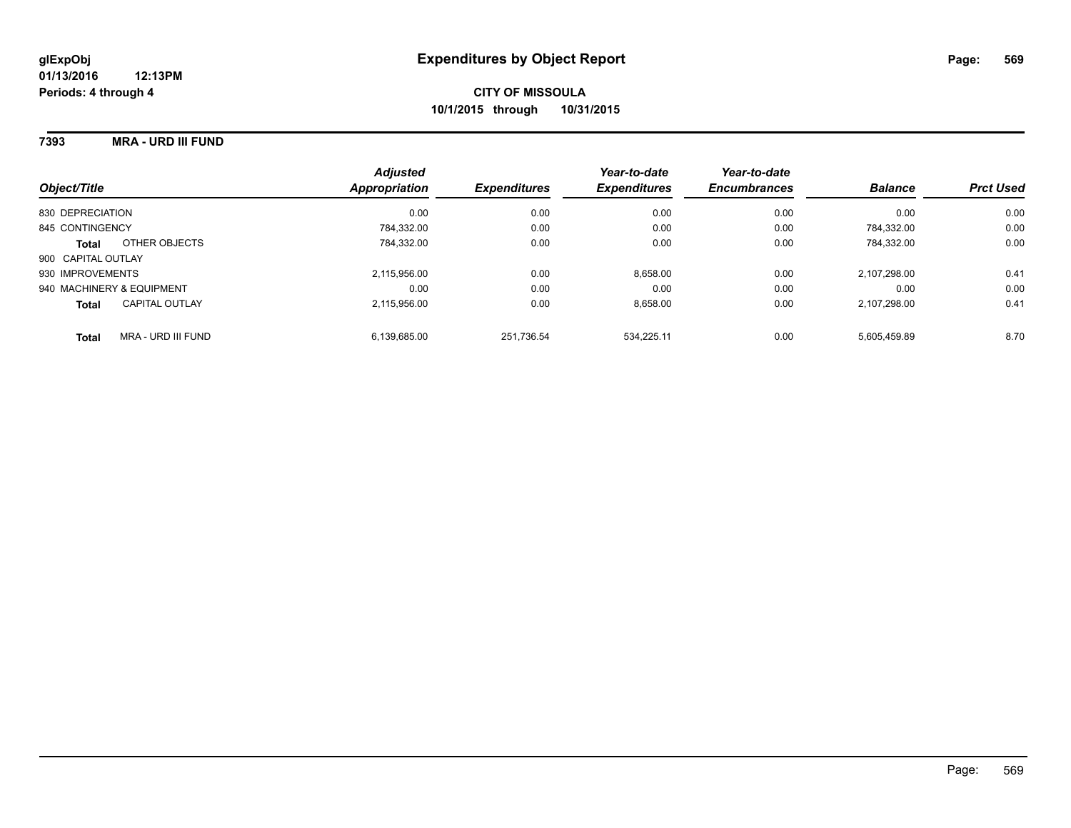#### **7393 MRA - URD III FUND**

| Object/Title                       | <b>Adjusted</b><br>Appropriation | <b>Expenditures</b> | Year-to-date<br><b>Expenditures</b> | Year-to-date<br><b>Encumbrances</b> | <b>Balance</b> | <b>Prct Used</b> |
|------------------------------------|----------------------------------|---------------------|-------------------------------------|-------------------------------------|----------------|------------------|
| 830 DEPRECIATION                   | 0.00                             | 0.00                | 0.00                                | 0.00                                | 0.00           | 0.00             |
| 845 CONTINGENCY                    | 784.332.00                       | 0.00                | 0.00                                | 0.00                                | 784.332.00     | 0.00             |
| OTHER OBJECTS<br><b>Total</b>      | 784.332.00                       | 0.00                | 0.00                                | 0.00                                | 784.332.00     | 0.00             |
| 900 CAPITAL OUTLAY                 |                                  |                     |                                     |                                     |                |                  |
| 930 IMPROVEMENTS                   | 2,115,956.00                     | 0.00                | 8,658.00                            | 0.00                                | 2.107.298.00   | 0.41             |
| 940 MACHINERY & EQUIPMENT          | 0.00                             | 0.00                | 0.00                                | 0.00                                | 0.00           | 0.00             |
| CAPITAL OUTLAY<br><b>Total</b>     | 2.115.956.00                     | 0.00                | 8,658.00                            | 0.00                                | 2.107.298.00   | 0.41             |
| MRA - URD III FUND<br><b>Total</b> | 6.139.685.00                     | 251.736.54          | 534.225.11                          | 0.00                                | 5.605.459.89   | 8.70             |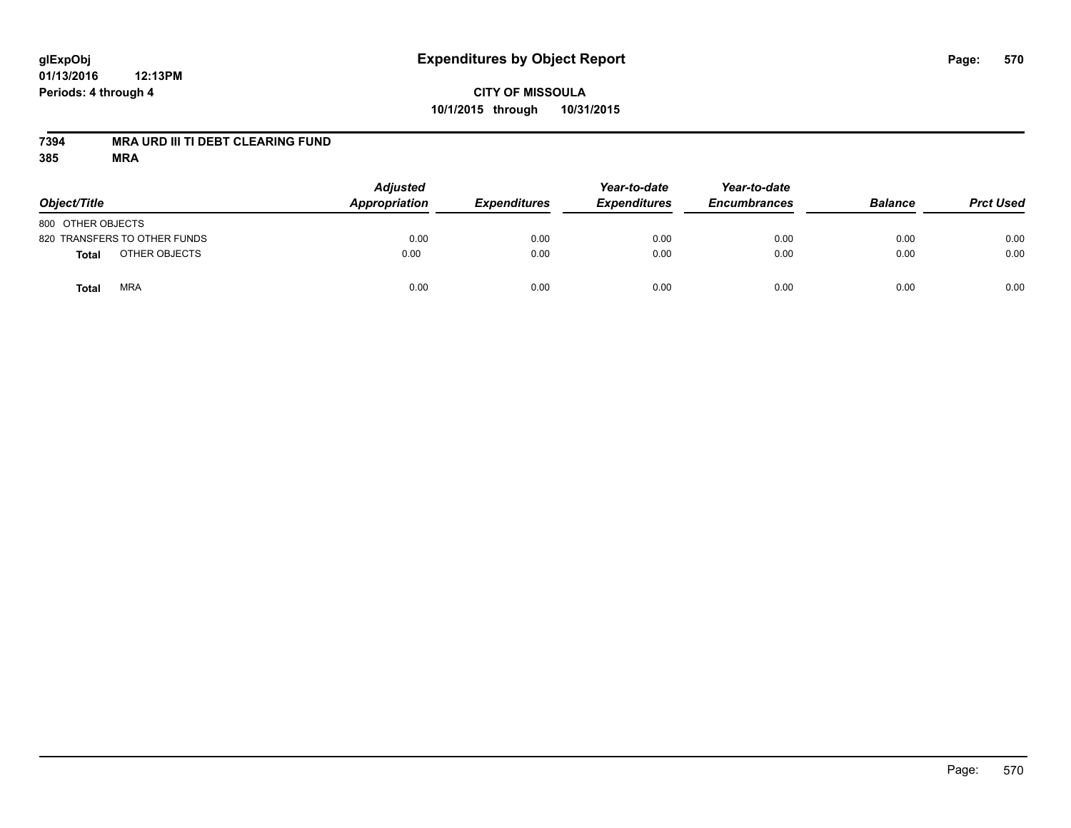### **CITY OF MISSOULA 10/1/2015 through 10/31/2015**

#### **7394 MRA URD III TI DEBT CLEARING FUND**

| Object/Title                 | <b>Adjusted</b><br>Appropriation | <b>Expenditures</b> | Year-to-date<br><b>Expenditures</b> | Year-to-date<br><b>Encumbrances</b> | <b>Balance</b> | <b>Prct Used</b> |
|------------------------------|----------------------------------|---------------------|-------------------------------------|-------------------------------------|----------------|------------------|
| 800 OTHER OBJECTS            |                                  |                     |                                     |                                     |                |                  |
| 820 TRANSFERS TO OTHER FUNDS | 0.00                             | 0.00                | 0.00                                | 0.00                                | 0.00           | 0.00             |
| OTHER OBJECTS<br>Total       | 0.00                             | 0.00                | 0.00                                | 0.00                                | 0.00           | 0.00             |
| <b>MRA</b><br>Total          | 0.00                             | 0.00                | 0.00                                | 0.00                                | 0.00           | 0.00             |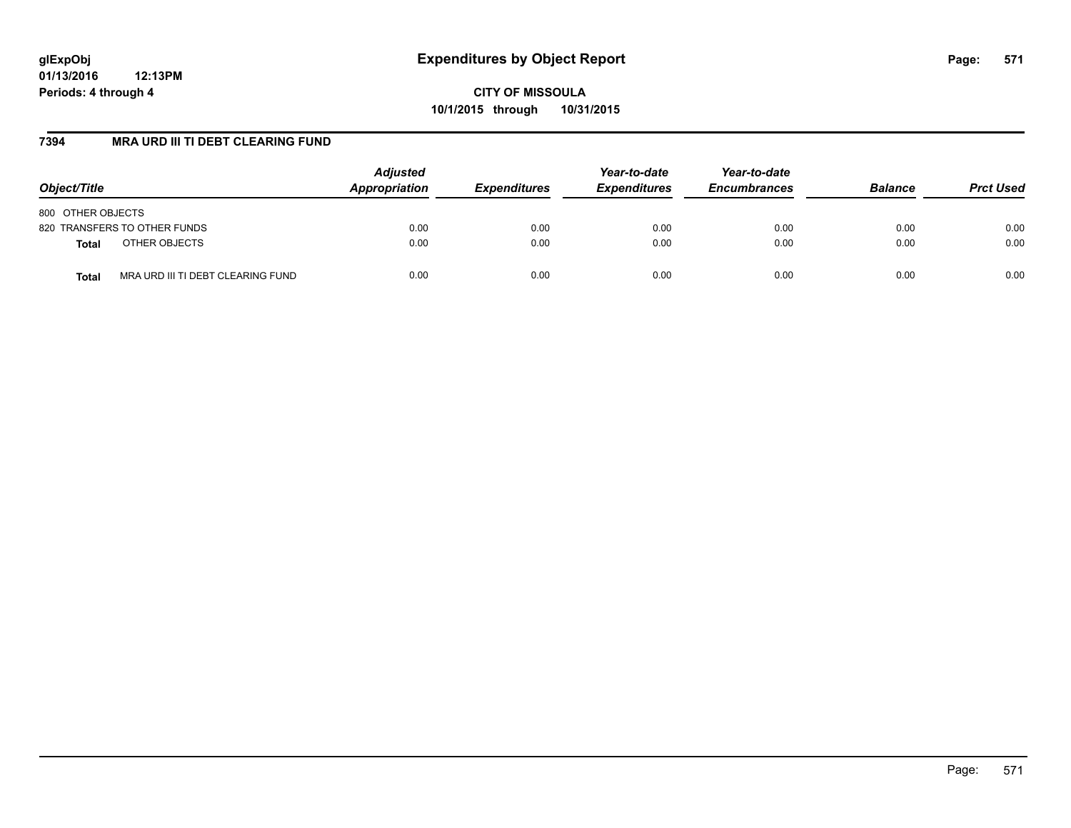**CITY OF MISSOULA 10/1/2015 through 10/31/2015**

### **7394 MRA URD III TI DEBT CLEARING FUND**

| Object/Title                               | <b>Adjusted</b><br>Appropriation | <b>Expenditures</b> | Year-to-date<br><b>Expenditures</b> | Year-to-date<br><b>Encumbrances</b> | <b>Balance</b> | <b>Prct Used</b> |
|--------------------------------------------|----------------------------------|---------------------|-------------------------------------|-------------------------------------|----------------|------------------|
| 800 OTHER OBJECTS                          |                                  |                     |                                     |                                     |                |                  |
| 820 TRANSFERS TO OTHER FUNDS               | 0.00                             | 0.00                | 0.00                                | 0.00                                | 0.00           | 0.00             |
| OTHER OBJECTS<br><b>Total</b>              | 0.00                             | 0.00                | 0.00                                | 0.00                                | 0.00           | 0.00             |
| MRA URD III TI DEBT CLEARING FUND<br>Total | 0.00                             | 0.00                | 0.00                                | 0.00                                | 0.00           | 0.00             |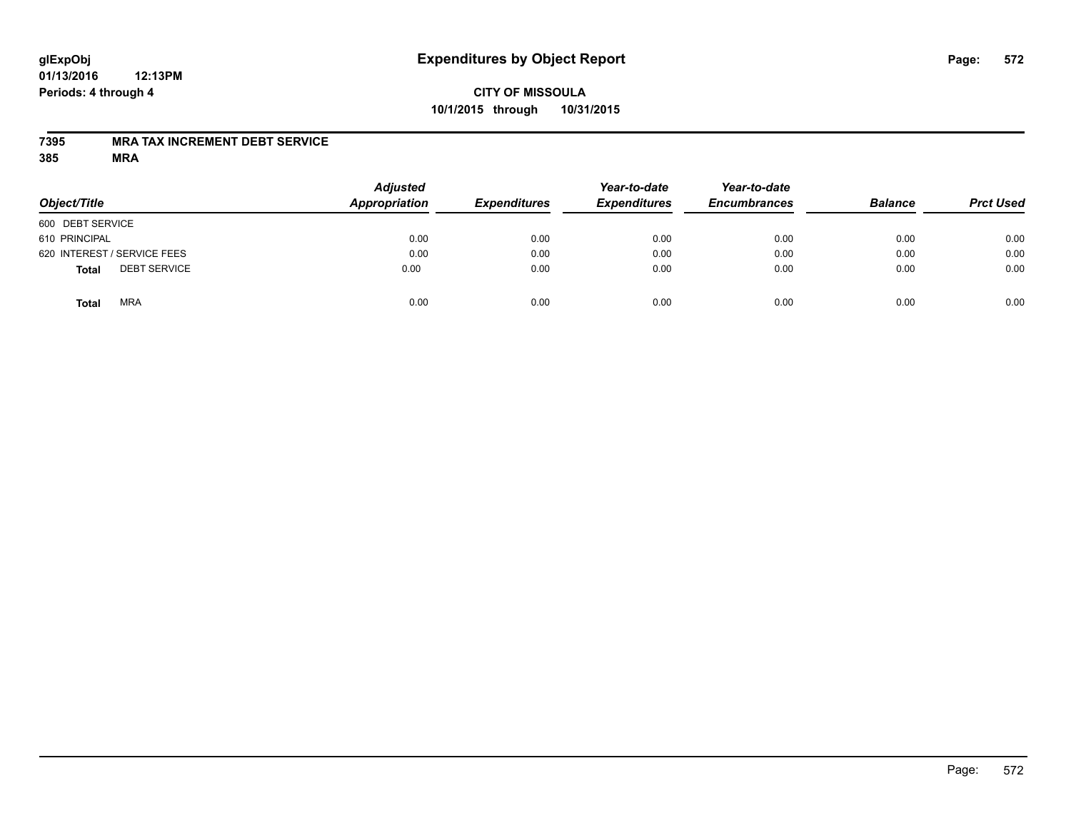### **CITY OF MISSOULA 10/1/2015 through 10/31/2015**

#### **7395 MRA TAX INCREMENT DEBT SERVICE**

| Object/Title                        | <b>Adjusted</b><br>Appropriation | <b>Expenditures</b> | Year-to-date<br><b>Expenditures</b> | Year-to-date<br><b>Encumbrances</b> | <b>Balance</b> | <b>Prct Used</b> |
|-------------------------------------|----------------------------------|---------------------|-------------------------------------|-------------------------------------|----------------|------------------|
| 600 DEBT SERVICE                    |                                  |                     |                                     |                                     |                |                  |
| 610 PRINCIPAL                       | 0.00                             | 0.00                | 0.00                                | 0.00                                | 0.00           | 0.00             |
| 620 INTEREST / SERVICE FEES         | 0.00                             | 0.00                | 0.00                                | 0.00                                | 0.00           | 0.00             |
| <b>DEBT SERVICE</b><br><b>Total</b> | 0.00                             | 0.00                | 0.00                                | 0.00                                | 0.00           | 0.00             |
| <b>MRA</b><br><b>Total</b>          | 0.00                             | 0.00                | 0.00                                | 0.00                                | 0.00           | 0.00             |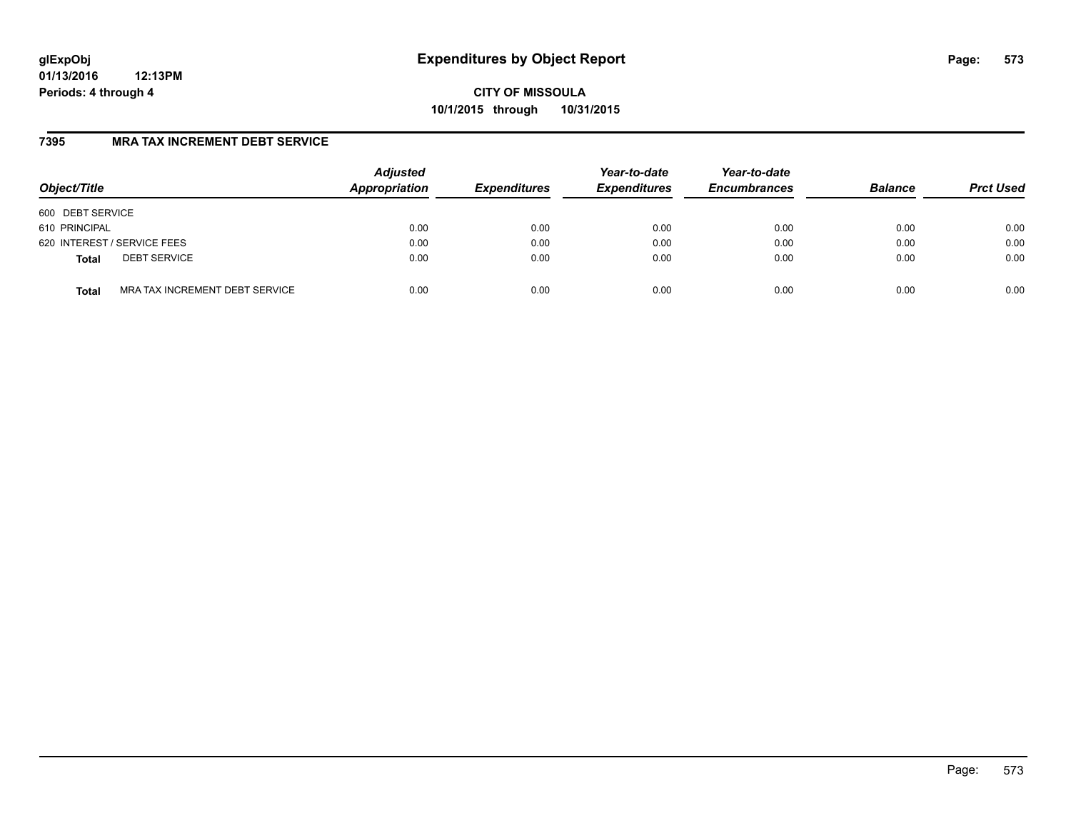**CITY OF MISSOULA 10/1/2015 through 10/31/2015**

### **7395 MRA TAX INCREMENT DEBT SERVICE**

| Object/Title                |                                | <b>Adjusted</b><br>Appropriation | <b>Expenditures</b> | Year-to-date<br><b>Expenditures</b> | Year-to-date<br><b>Encumbrances</b> | <b>Balance</b> | <b>Prct Used</b> |
|-----------------------------|--------------------------------|----------------------------------|---------------------|-------------------------------------|-------------------------------------|----------------|------------------|
| 600 DEBT SERVICE            |                                |                                  |                     |                                     |                                     |                |                  |
| 610 PRINCIPAL               |                                | 0.00                             | 0.00                | 0.00                                | 0.00                                | 0.00           | 0.00             |
| 620 INTEREST / SERVICE FEES |                                | 0.00                             | 0.00                | 0.00                                | 0.00                                | 0.00           | 0.00             |
| <b>Total</b>                | <b>DEBT SERVICE</b>            | 0.00                             | 0.00                | 0.00                                | 0.00                                | 0.00           | 0.00             |
| <b>Total</b>                | MRA TAX INCREMENT DEBT SERVICE | 0.00                             | 0.00                | 0.00                                | 0.00                                | 0.00           | 0.00             |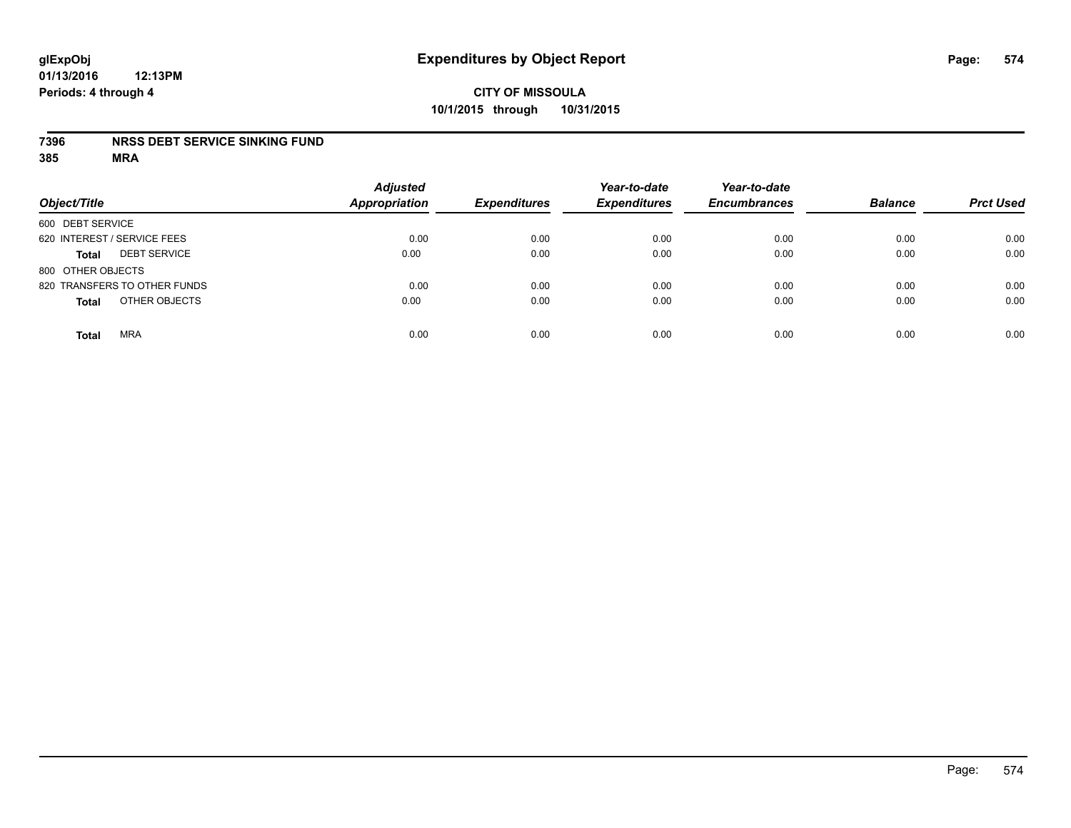#### **7396 NRSS DEBT SERVICE SINKING FUND**

| Object/Title                        | <b>Adjusted</b><br><b>Appropriation</b> | <b>Expenditures</b> | Year-to-date<br><b>Expenditures</b> | Year-to-date<br><b>Encumbrances</b> | <b>Balance</b> | <b>Prct Used</b> |
|-------------------------------------|-----------------------------------------|---------------------|-------------------------------------|-------------------------------------|----------------|------------------|
| 600 DEBT SERVICE                    |                                         |                     |                                     |                                     |                |                  |
| 620 INTEREST / SERVICE FEES         | 0.00                                    | 0.00                | 0.00                                | 0.00                                | 0.00           | 0.00             |
| <b>DEBT SERVICE</b><br><b>Total</b> | 0.00                                    | 0.00                | 0.00                                | 0.00                                | 0.00           | 0.00             |
| 800 OTHER OBJECTS                   |                                         |                     |                                     |                                     |                |                  |
| 820 TRANSFERS TO OTHER FUNDS        | 0.00                                    | 0.00                | 0.00                                | 0.00                                | 0.00           | 0.00             |
| OTHER OBJECTS<br><b>Total</b>       | 0.00                                    | 0.00                | 0.00                                | 0.00                                | 0.00           | 0.00             |
| <b>MRA</b><br><b>Total</b>          | 0.00                                    | 0.00                | 0.00                                | 0.00                                | 0.00           | 0.00             |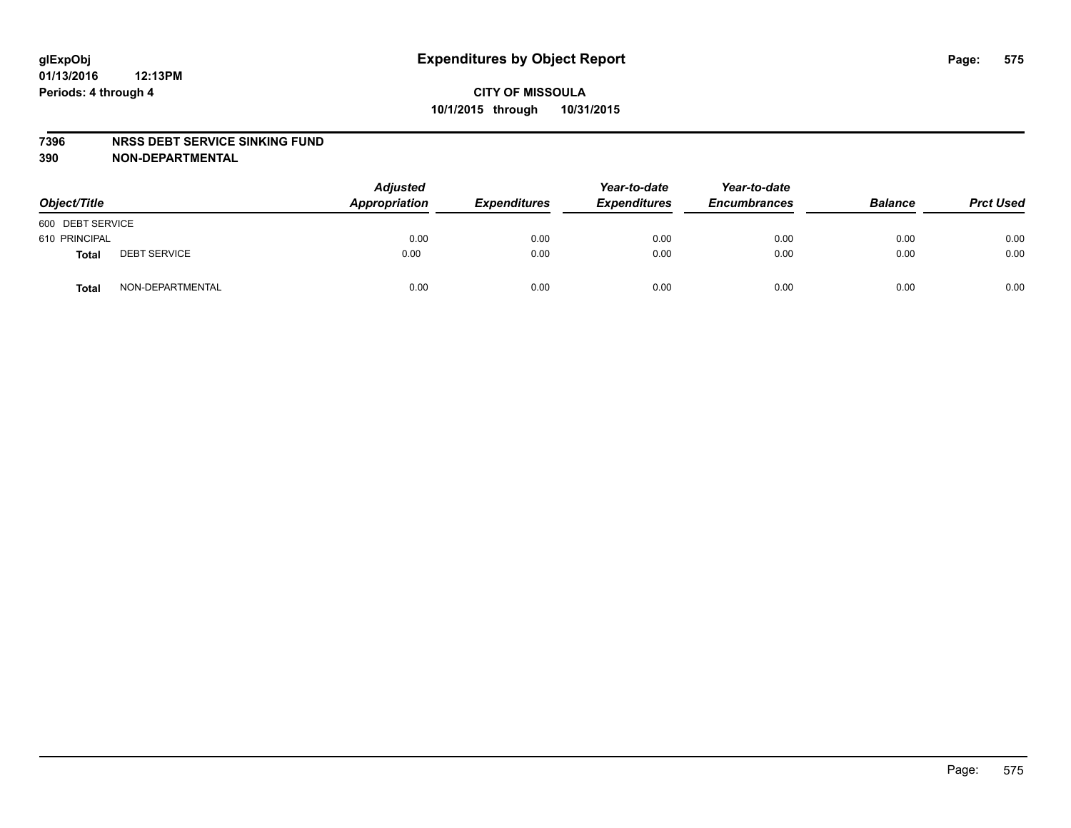#### **7396 NRSS DEBT SERVICE SINKING FUND**

**390 NON-DEPARTMENTAL**

| Object/Title     |                     | <b>Adjusted</b><br>Appropriation | <b>Expenditures</b> | Year-to-date<br><b>Expenditures</b> | Year-to-date<br><b>Encumbrances</b> | <b>Balance</b> | <b>Prct Used</b> |
|------------------|---------------------|----------------------------------|---------------------|-------------------------------------|-------------------------------------|----------------|------------------|
| 600 DEBT SERVICE |                     |                                  |                     |                                     |                                     |                |                  |
| 610 PRINCIPAL    |                     | 0.00                             | 0.00                | 0.00                                | 0.00                                | 0.00           | 0.00             |
| Total            | <b>DEBT SERVICE</b> | 0.00                             | 0.00                | 0.00                                | 0.00                                | 0.00           | 0.00             |
| Total            | NON-DEPARTMENTAL    | 0.00                             | 0.00                | 0.00                                | 0.00                                | 0.00           | 0.00             |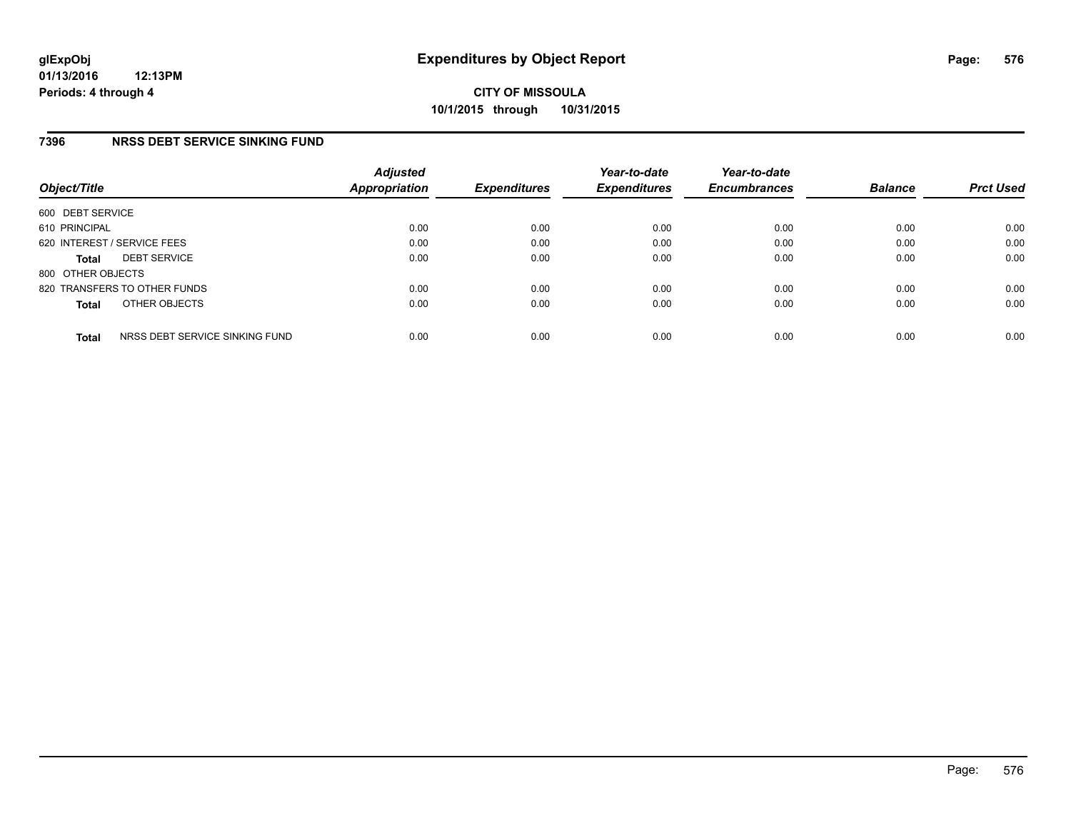### **7396 NRSS DEBT SERVICE SINKING FUND**

| Object/Title                |                                | <b>Adjusted</b><br>Appropriation | <b>Expenditures</b> | Year-to-date<br><b>Expenditures</b> | Year-to-date<br><b>Encumbrances</b> | <b>Balance</b> | <b>Prct Used</b> |
|-----------------------------|--------------------------------|----------------------------------|---------------------|-------------------------------------|-------------------------------------|----------------|------------------|
| 600 DEBT SERVICE            |                                |                                  |                     |                                     |                                     |                |                  |
| 610 PRINCIPAL               |                                | 0.00                             | 0.00                | 0.00                                | 0.00                                | 0.00           | 0.00             |
| 620 INTEREST / SERVICE FEES |                                | 0.00                             | 0.00                | 0.00                                | 0.00                                | 0.00           | 0.00             |
| <b>Total</b>                | <b>DEBT SERVICE</b>            | 0.00                             | 0.00                | 0.00                                | 0.00                                | 0.00           | 0.00             |
| 800 OTHER OBJECTS           |                                |                                  |                     |                                     |                                     |                |                  |
|                             | 820 TRANSFERS TO OTHER FUNDS   | 0.00                             | 0.00                | 0.00                                | 0.00                                | 0.00           | 0.00             |
| <b>Total</b>                | OTHER OBJECTS                  | 0.00                             | 0.00                | 0.00                                | 0.00                                | 0.00           | 0.00             |
| <b>Total</b>                | NRSS DEBT SERVICE SINKING FUND | 0.00                             | 0.00                | 0.00                                | 0.00                                | 0.00           | 0.00             |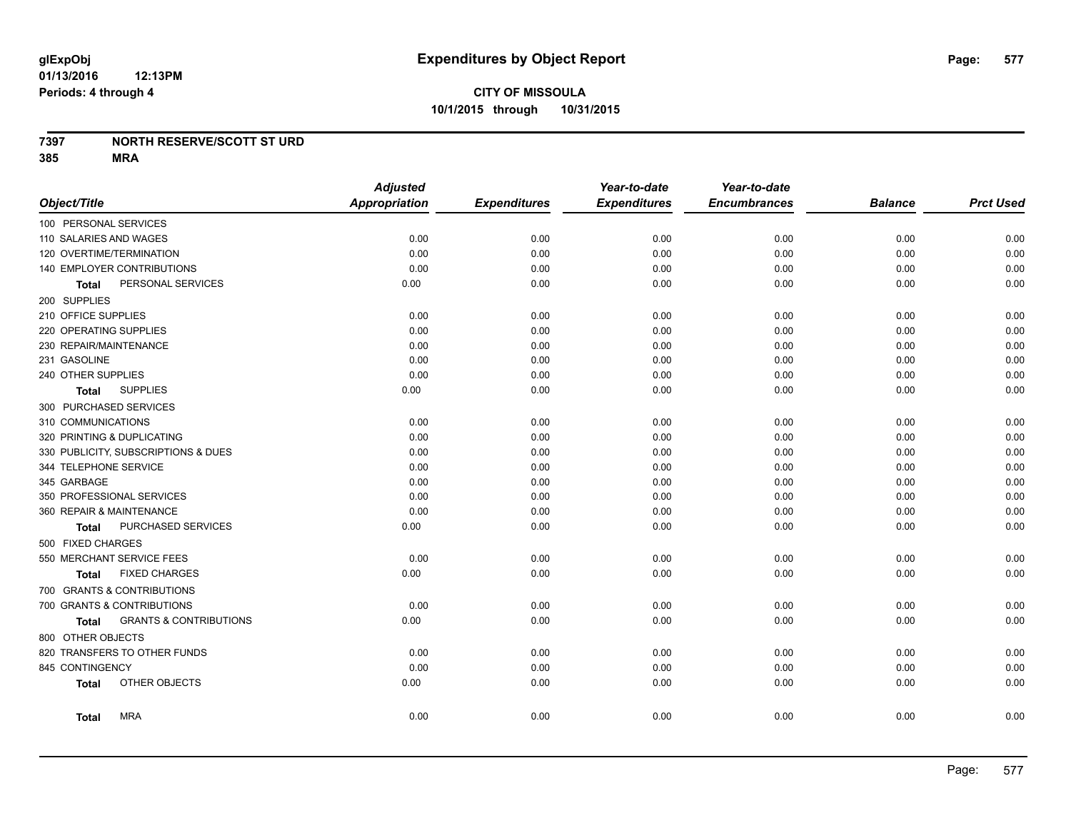### **7397 NORTH RESERVE/SCOTT ST URD**

**385 MRA**

|                                            | <b>Adjusted</b>      |                     | Year-to-date        | Year-to-date        |                |                  |
|--------------------------------------------|----------------------|---------------------|---------------------|---------------------|----------------|------------------|
| Object/Title                               | <b>Appropriation</b> | <b>Expenditures</b> | <b>Expenditures</b> | <b>Encumbrances</b> | <b>Balance</b> | <b>Prct Used</b> |
| 100 PERSONAL SERVICES                      |                      |                     |                     |                     |                |                  |
| 110 SALARIES AND WAGES                     | 0.00                 | 0.00                | 0.00                | 0.00                | 0.00           | 0.00             |
| 120 OVERTIME/TERMINATION                   | 0.00                 | 0.00                | 0.00                | 0.00                | 0.00           | 0.00             |
| 140 EMPLOYER CONTRIBUTIONS                 | 0.00                 | 0.00                | 0.00                | 0.00                | 0.00           | 0.00             |
| PERSONAL SERVICES<br>Total                 | 0.00                 | 0.00                | 0.00                | 0.00                | 0.00           | 0.00             |
| 200 SUPPLIES                               |                      |                     |                     |                     |                |                  |
| 210 OFFICE SUPPLIES                        | 0.00                 | 0.00                | 0.00                | 0.00                | 0.00           | 0.00             |
| 220 OPERATING SUPPLIES                     | 0.00                 | 0.00                | 0.00                | 0.00                | 0.00           | 0.00             |
| 230 REPAIR/MAINTENANCE                     | 0.00                 | 0.00                | 0.00                | 0.00                | 0.00           | 0.00             |
| 231 GASOLINE                               | 0.00                 | 0.00                | 0.00                | 0.00                | 0.00           | 0.00             |
| 240 OTHER SUPPLIES                         | 0.00                 | 0.00                | 0.00                | 0.00                | 0.00           | 0.00             |
| <b>SUPPLIES</b><br><b>Total</b>            | 0.00                 | 0.00                | 0.00                | 0.00                | 0.00           | 0.00             |
| 300 PURCHASED SERVICES                     |                      |                     |                     |                     |                |                  |
| 310 COMMUNICATIONS                         | 0.00                 | 0.00                | 0.00                | 0.00                | 0.00           | 0.00             |
| 320 PRINTING & DUPLICATING                 | 0.00                 | 0.00                | 0.00                | 0.00                | 0.00           | 0.00             |
| 330 PUBLICITY, SUBSCRIPTIONS & DUES        | 0.00                 | 0.00                | 0.00                | 0.00                | 0.00           | 0.00             |
| 344 TELEPHONE SERVICE                      | 0.00                 | 0.00                | 0.00                | 0.00                | 0.00           | 0.00             |
| 345 GARBAGE                                | 0.00                 | 0.00                | 0.00                | 0.00                | 0.00           | 0.00             |
| 350 PROFESSIONAL SERVICES                  | 0.00                 | 0.00                | 0.00                | 0.00                | 0.00           | 0.00             |
| 360 REPAIR & MAINTENANCE                   | 0.00                 | 0.00                | 0.00                | 0.00                | 0.00           | 0.00             |
| PURCHASED SERVICES<br><b>Total</b>         | 0.00                 | 0.00                | 0.00                | 0.00                | 0.00           | 0.00             |
| 500 FIXED CHARGES                          |                      |                     |                     |                     |                |                  |
| 550 MERCHANT SERVICE FEES                  | 0.00                 | 0.00                | 0.00                | 0.00                | 0.00           | 0.00             |
| <b>FIXED CHARGES</b><br><b>Total</b>       | 0.00                 | 0.00                | 0.00                | 0.00                | 0.00           | 0.00             |
| 700 GRANTS & CONTRIBUTIONS                 |                      |                     |                     |                     |                |                  |
| 700 GRANTS & CONTRIBUTIONS                 | 0.00                 | 0.00                | 0.00                | 0.00                | 0.00           | 0.00             |
| <b>GRANTS &amp; CONTRIBUTIONS</b><br>Total | 0.00                 | 0.00                | 0.00                | 0.00                | 0.00           | 0.00             |
| 800 OTHER OBJECTS                          |                      |                     |                     |                     |                |                  |
| 820 TRANSFERS TO OTHER FUNDS               | 0.00                 | 0.00                | 0.00                | 0.00                | 0.00           | 0.00             |
| 845 CONTINGENCY                            | 0.00                 | 0.00                | 0.00                | 0.00                | 0.00           | 0.00             |
| OTHER OBJECTS<br><b>Total</b>              | 0.00                 | 0.00                | 0.00                | 0.00                | 0.00           | 0.00             |
|                                            |                      |                     |                     |                     |                |                  |
| <b>MRA</b><br><b>Total</b>                 | 0.00                 | 0.00                | 0.00                | 0.00                | 0.00           | 0.00             |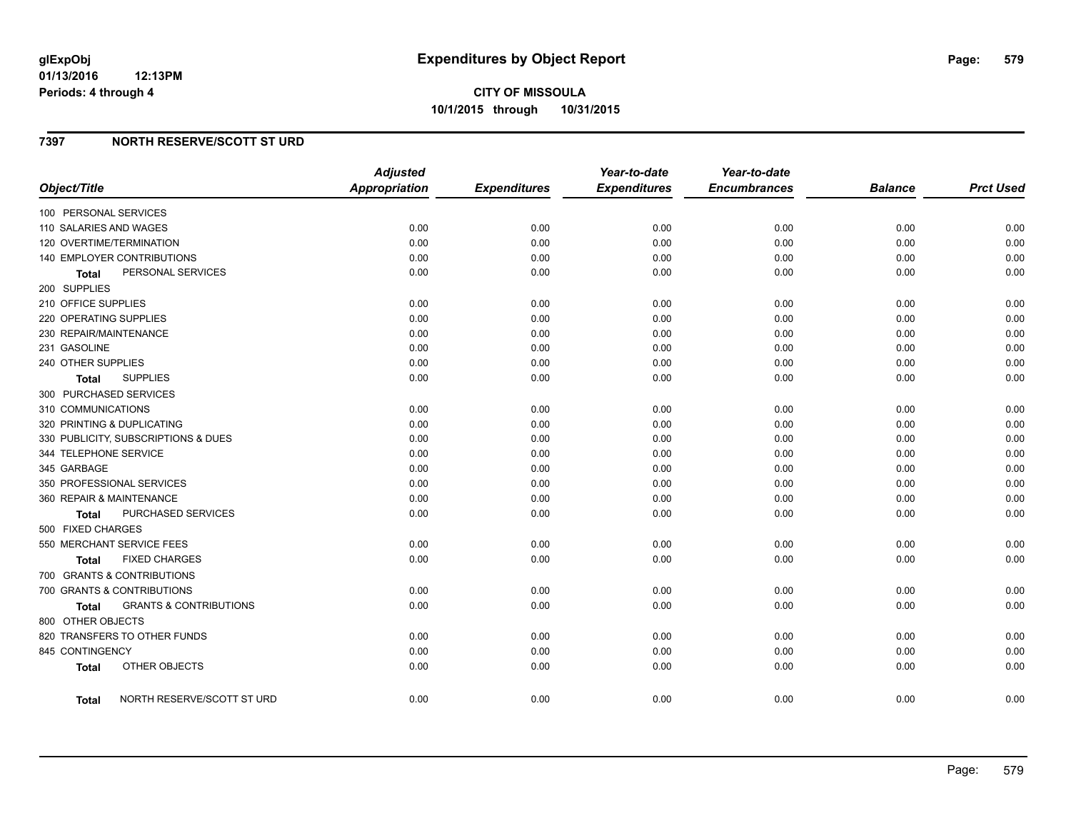## **7397 NORTH RESERVE/SCOTT ST URD**

| Object/Title                                      | <b>Adjusted</b><br><b>Appropriation</b> | <b>Expenditures</b> | Year-to-date<br><b>Expenditures</b> | Year-to-date<br><b>Encumbrances</b> | <b>Balance</b> | <b>Prct Used</b> |
|---------------------------------------------------|-----------------------------------------|---------------------|-------------------------------------|-------------------------------------|----------------|------------------|
| 100 PERSONAL SERVICES                             |                                         |                     |                                     |                                     |                |                  |
| 110 SALARIES AND WAGES                            | 0.00                                    | 0.00                | 0.00                                | 0.00                                | 0.00           | 0.00             |
| 120 OVERTIME/TERMINATION                          | 0.00                                    | 0.00                | 0.00                                | 0.00                                | 0.00           | 0.00             |
| 140 EMPLOYER CONTRIBUTIONS                        | 0.00                                    | 0.00                | 0.00                                | 0.00                                | 0.00           | 0.00             |
| PERSONAL SERVICES<br><b>Total</b>                 | 0.00                                    | 0.00                | 0.00                                | 0.00                                | 0.00           | 0.00             |
| 200 SUPPLIES                                      |                                         |                     |                                     |                                     |                |                  |
| 210 OFFICE SUPPLIES                               | 0.00                                    | 0.00                | 0.00                                | 0.00                                | 0.00           | 0.00             |
| 220 OPERATING SUPPLIES                            | 0.00                                    | 0.00                | 0.00                                | 0.00                                | 0.00           | 0.00             |
| 230 REPAIR/MAINTENANCE                            | 0.00                                    | 0.00                | 0.00                                | 0.00                                | 0.00           | 0.00             |
| 231 GASOLINE                                      | 0.00                                    | 0.00                | 0.00                                | 0.00                                | 0.00           | 0.00             |
| 240 OTHER SUPPLIES                                | 0.00                                    | 0.00                | 0.00                                | 0.00                                | 0.00           | 0.00             |
| <b>SUPPLIES</b><br>Total                          | 0.00                                    | 0.00                | 0.00                                | 0.00                                | 0.00           | 0.00             |
| 300 PURCHASED SERVICES                            |                                         |                     |                                     |                                     |                |                  |
| 310 COMMUNICATIONS                                | 0.00                                    | 0.00                | 0.00                                | 0.00                                | 0.00           | 0.00             |
| 320 PRINTING & DUPLICATING                        | 0.00                                    | 0.00                | 0.00                                | 0.00                                | 0.00           | 0.00             |
| 330 PUBLICITY, SUBSCRIPTIONS & DUES               | 0.00                                    | 0.00                | 0.00                                | 0.00                                | 0.00           | 0.00             |
| 344 TELEPHONE SERVICE                             | 0.00                                    | 0.00                | 0.00                                | 0.00                                | 0.00           | 0.00             |
| 345 GARBAGE                                       | 0.00                                    | 0.00                | 0.00                                | 0.00                                | 0.00           | 0.00             |
| 350 PROFESSIONAL SERVICES                         | 0.00                                    | 0.00                | 0.00                                | 0.00                                | 0.00           | 0.00             |
| 360 REPAIR & MAINTENANCE                          | 0.00                                    | 0.00                | 0.00                                | 0.00                                | 0.00           | 0.00             |
| PURCHASED SERVICES<br>Total                       | 0.00                                    | 0.00                | 0.00                                | 0.00                                | 0.00           | 0.00             |
| 500 FIXED CHARGES                                 |                                         |                     |                                     |                                     |                |                  |
| 550 MERCHANT SERVICE FEES                         | 0.00                                    | 0.00                | 0.00                                | 0.00                                | 0.00           | 0.00             |
| <b>FIXED CHARGES</b><br><b>Total</b>              | 0.00                                    | 0.00                | 0.00                                | 0.00                                | 0.00           | 0.00             |
| 700 GRANTS & CONTRIBUTIONS                        |                                         |                     |                                     |                                     |                |                  |
| 700 GRANTS & CONTRIBUTIONS                        | 0.00                                    | 0.00                | 0.00                                | 0.00                                | 0.00           | 0.00             |
| <b>GRANTS &amp; CONTRIBUTIONS</b><br><b>Total</b> | 0.00                                    | 0.00                | 0.00                                | 0.00                                | 0.00           | 0.00             |
| 800 OTHER OBJECTS                                 |                                         |                     |                                     |                                     |                |                  |
| 820 TRANSFERS TO OTHER FUNDS                      | 0.00                                    | 0.00                | 0.00                                | 0.00                                | 0.00           | 0.00             |
| 845 CONTINGENCY                                   | 0.00                                    | 0.00                | 0.00                                | 0.00                                | 0.00           | 0.00             |
| OTHER OBJECTS<br><b>Total</b>                     | 0.00                                    | 0.00                | 0.00                                | 0.00                                | 0.00           | 0.00             |
| NORTH RESERVE/SCOTT ST URD<br>Total               | 0.00                                    | 0.00                | 0.00                                | 0.00                                | 0.00           | 0.00             |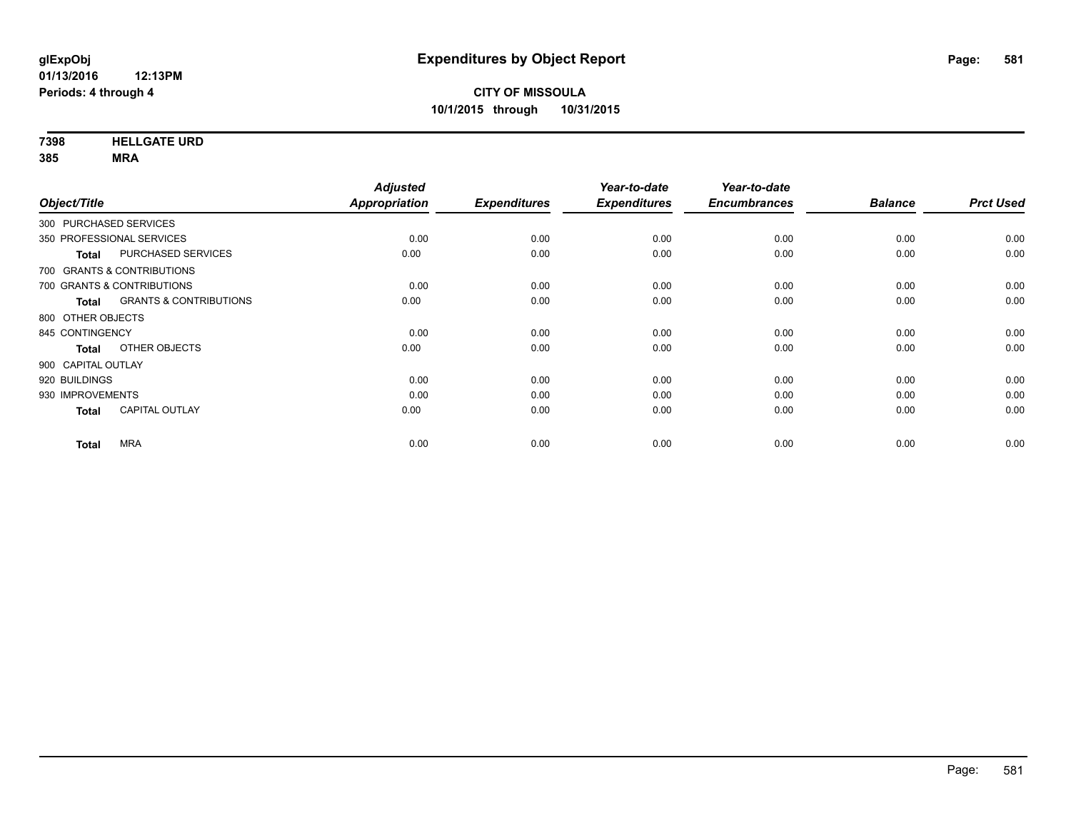**7398 HELLGATE URD**

**385 MRA**

| <b>Prct Used</b> |
|------------------|
|                  |
| 0.00             |
| 0.00             |
|                  |
| 0.00             |
| 0.00             |
|                  |
| 0.00             |
| 0.00             |
|                  |
| 0.00             |
| 0.00             |
| 0.00             |
| 0.00             |
|                  |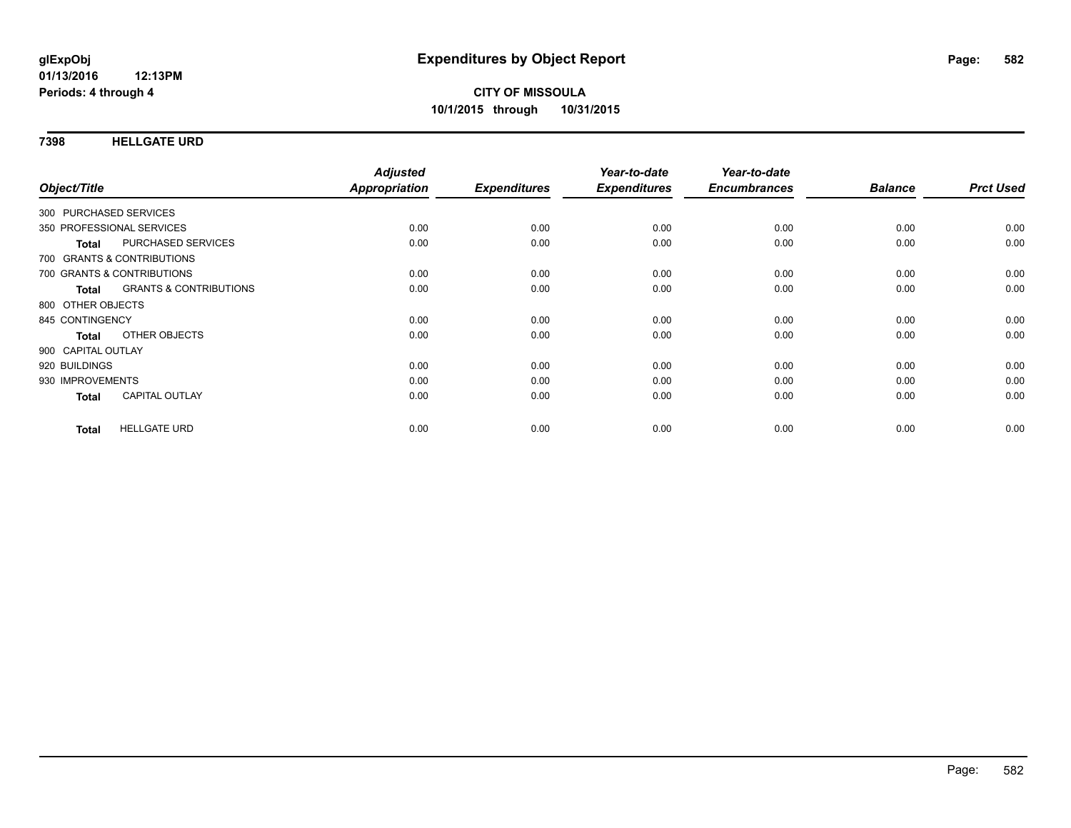**7398 HELLGATE URD**

| Object/Title                               | <b>Adjusted</b><br>Appropriation | <b>Expenditures</b> | Year-to-date<br><b>Expenditures</b> | Year-to-date<br><b>Encumbrances</b> | <b>Balance</b> | <b>Prct Used</b> |
|--------------------------------------------|----------------------------------|---------------------|-------------------------------------|-------------------------------------|----------------|------------------|
|                                            |                                  |                     |                                     |                                     |                |                  |
| 300 PURCHASED SERVICES                     |                                  |                     |                                     |                                     |                |                  |
| 350 PROFESSIONAL SERVICES                  | 0.00                             | 0.00                | 0.00                                | 0.00                                | 0.00           | 0.00             |
| PURCHASED SERVICES<br><b>Total</b>         | 0.00                             | 0.00                | 0.00                                | 0.00                                | 0.00           | 0.00             |
| 700 GRANTS & CONTRIBUTIONS                 |                                  |                     |                                     |                                     |                |                  |
| 700 GRANTS & CONTRIBUTIONS                 | 0.00                             | 0.00                | 0.00                                | 0.00                                | 0.00           | 0.00             |
| <b>GRANTS &amp; CONTRIBUTIONS</b><br>Total | 0.00                             | 0.00                | 0.00                                | 0.00                                | 0.00           | 0.00             |
| 800 OTHER OBJECTS                          |                                  |                     |                                     |                                     |                |                  |
| 845 CONTINGENCY                            | 0.00                             | 0.00                | 0.00                                | 0.00                                | 0.00           | 0.00             |
| OTHER OBJECTS<br><b>Total</b>              | 0.00                             | 0.00                | 0.00                                | 0.00                                | 0.00           | 0.00             |
| 900 CAPITAL OUTLAY                         |                                  |                     |                                     |                                     |                |                  |
| 920 BUILDINGS                              | 0.00                             | 0.00                | 0.00                                | 0.00                                | 0.00           | 0.00             |
| 930 IMPROVEMENTS                           | 0.00                             | 0.00                | 0.00                                | 0.00                                | 0.00           | 0.00             |
| <b>CAPITAL OUTLAY</b><br><b>Total</b>      | 0.00                             | 0.00                | 0.00                                | 0.00                                | 0.00           | 0.00             |
| <b>HELLGATE URD</b><br><b>Total</b>        | 0.00                             | 0.00                | 0.00                                | 0.00                                | 0.00           | 0.00             |
|                                            |                                  |                     |                                     |                                     |                |                  |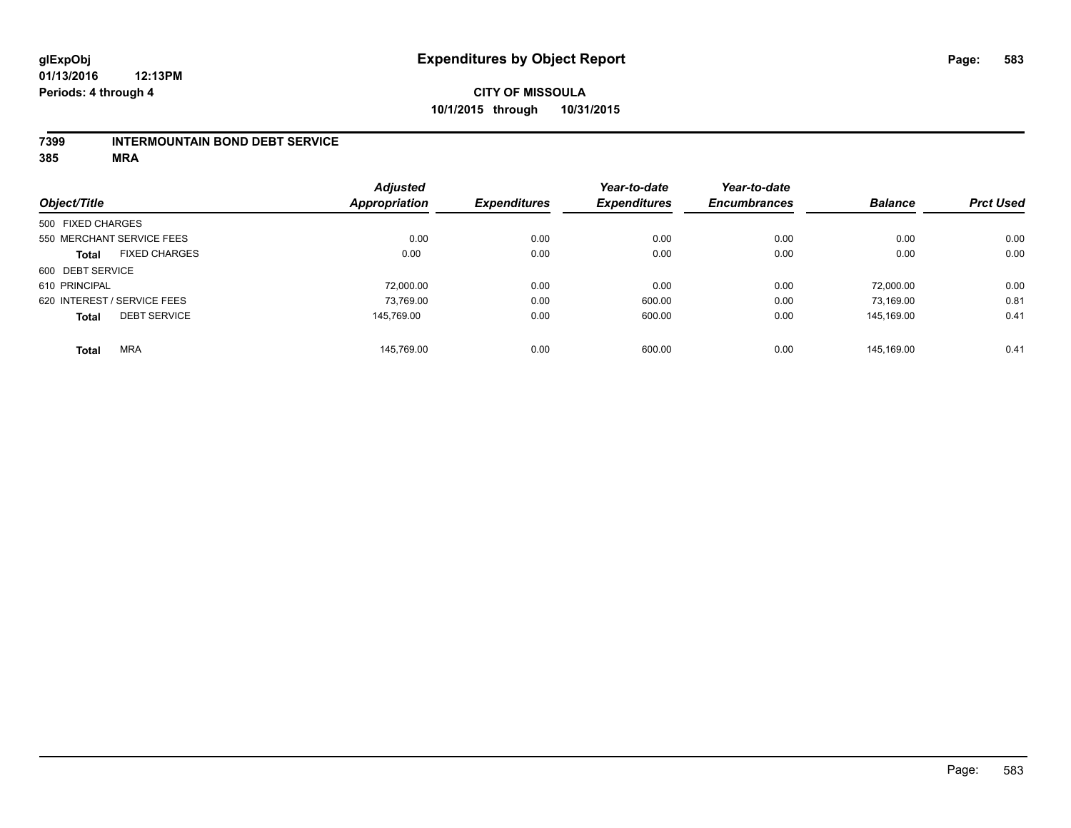#### **7399 INTERMOUNTAIN BOND DEBT SERVICE**

**385 MRA**

|                   |                             | <b>Adjusted</b>      |                     | Year-to-date        | Year-to-date        |                |                  |
|-------------------|-----------------------------|----------------------|---------------------|---------------------|---------------------|----------------|------------------|
| Object/Title      |                             | <b>Appropriation</b> | <b>Expenditures</b> | <b>Expenditures</b> | <b>Encumbrances</b> | <b>Balance</b> | <b>Prct Used</b> |
| 500 FIXED CHARGES |                             |                      |                     |                     |                     |                |                  |
|                   | 550 MERCHANT SERVICE FEES   | 0.00                 | 0.00                | 0.00                | 0.00                | 0.00           | 0.00             |
| <b>Total</b>      | <b>FIXED CHARGES</b>        | 0.00                 | 0.00                | 0.00                | 0.00                | 0.00           | 0.00             |
| 600 DEBT SERVICE  |                             |                      |                     |                     |                     |                |                  |
| 610 PRINCIPAL     |                             | 72.000.00            | 0.00                | 0.00                | 0.00                | 72.000.00      | 0.00             |
|                   | 620 INTEREST / SERVICE FEES | 73,769.00            | 0.00                | 600.00              | 0.00                | 73,169.00      | 0.81             |
| <b>Total</b>      | <b>DEBT SERVICE</b>         | 145.769.00           | 0.00                | 600.00              | 0.00                | 145.169.00     | 0.41             |
| <b>Total</b>      | <b>MRA</b>                  | 145.769.00           | 0.00                | 600.00              | 0.00                | 145.169.00     | 0.41             |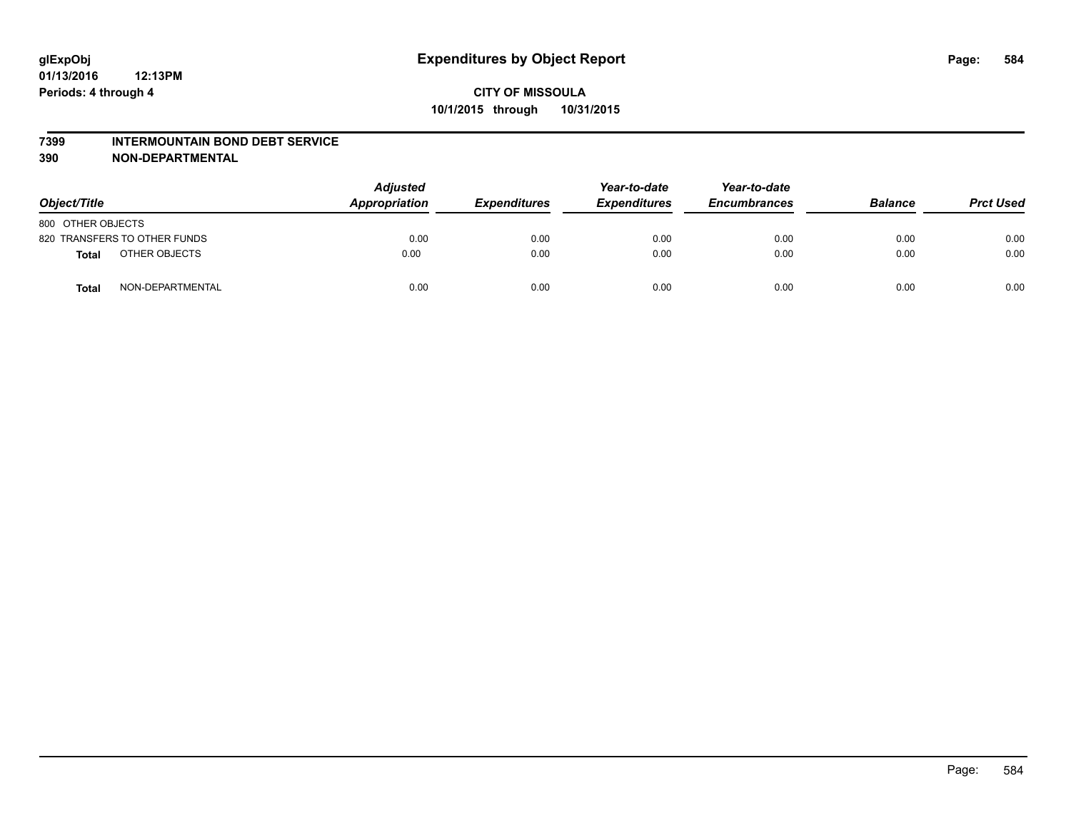#### **7399 INTERMOUNTAIN BOND DEBT SERVICE**

**390 NON-DEPARTMENTAL**

| Object/Title                 |                  | <b>Adjusted</b><br>Appropriation | <b>Expenditures</b> | Year-to-date<br><b>Expenditures</b> | Year-to-date<br><b>Encumbrances</b> | <b>Balance</b> | <b>Prct Used</b> |
|------------------------------|------------------|----------------------------------|---------------------|-------------------------------------|-------------------------------------|----------------|------------------|
| 800 OTHER OBJECTS            |                  |                                  |                     |                                     |                                     |                |                  |
| 820 TRANSFERS TO OTHER FUNDS |                  | 0.00                             | 0.00                | 0.00                                | 0.00                                | 0.00           | 0.00             |
| <b>Total</b>                 | OTHER OBJECTS    | 0.00                             | 0.00                | 0.00                                | 0.00                                | 0.00           | 0.00             |
| <b>Total</b>                 | NON-DEPARTMENTAL | 0.00                             | 0.00                | 0.00                                | 0.00                                | 0.00           | 0.00             |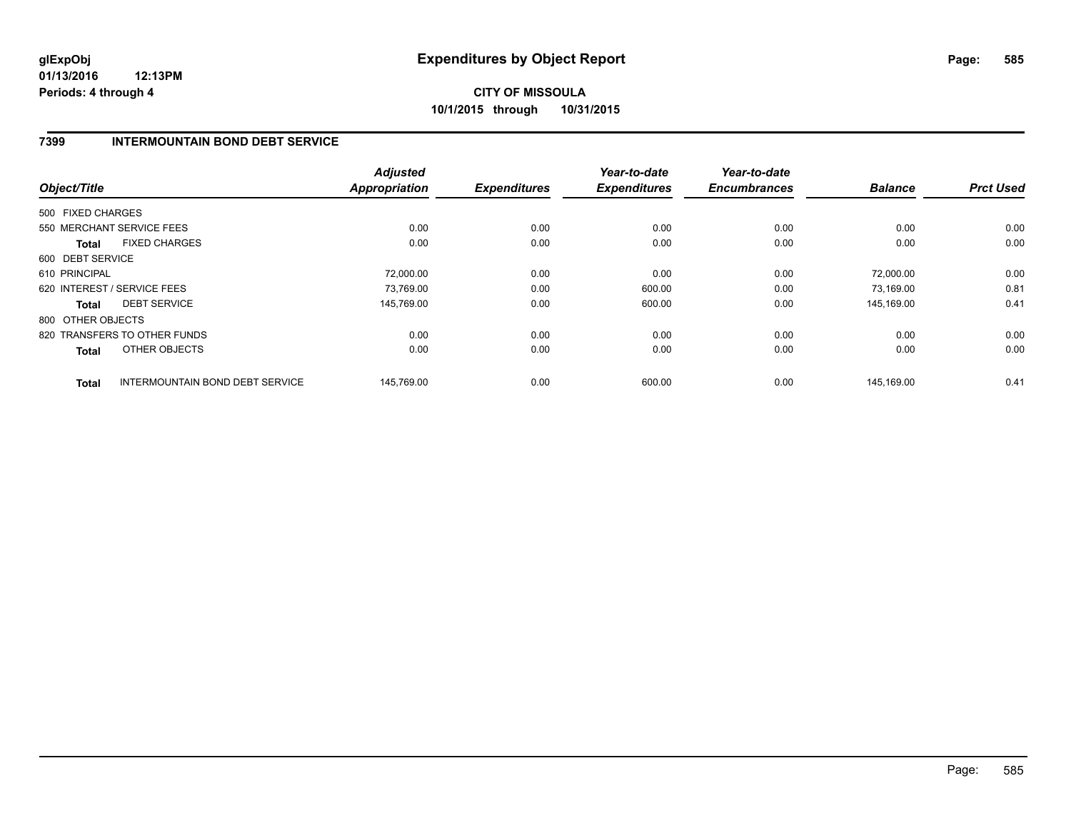# **CITY OF MISSOULA 10/1/2015 through 10/31/2015**

### **7399 INTERMOUNTAIN BOND DEBT SERVICE**

| Object/Title      |                                 | <b>Adjusted</b><br><b>Appropriation</b> | <b>Expenditures</b> | Year-to-date<br><b>Expenditures</b> | Year-to-date<br><b>Encumbrances</b> | <b>Balance</b> | <b>Prct Used</b> |
|-------------------|---------------------------------|-----------------------------------------|---------------------|-------------------------------------|-------------------------------------|----------------|------------------|
| 500 FIXED CHARGES |                                 |                                         |                     |                                     |                                     |                |                  |
|                   |                                 |                                         |                     |                                     |                                     |                |                  |
|                   | 550 MERCHANT SERVICE FEES       | 0.00                                    | 0.00                | 0.00                                | 0.00                                | 0.00           | 0.00             |
| <b>Total</b>      | <b>FIXED CHARGES</b>            | 0.00                                    | 0.00                | 0.00                                | 0.00                                | 0.00           | 0.00             |
| 600 DEBT SERVICE  |                                 |                                         |                     |                                     |                                     |                |                  |
| 610 PRINCIPAL     |                                 | 72,000.00                               | 0.00                | 0.00                                | 0.00                                | 72.000.00      | 0.00             |
|                   | 620 INTEREST / SERVICE FEES     | 73,769.00                               | 0.00                | 600.00                              | 0.00                                | 73,169.00      | 0.81             |
| <b>Total</b>      | <b>DEBT SERVICE</b>             | 145.769.00                              | 0.00                | 600.00                              | 0.00                                | 145.169.00     | 0.41             |
| 800 OTHER OBJECTS |                                 |                                         |                     |                                     |                                     |                |                  |
|                   | 820 TRANSFERS TO OTHER FUNDS    | 0.00                                    | 0.00                | 0.00                                | 0.00                                | 0.00           | 0.00             |
| Total             | OTHER OBJECTS                   | 0.00                                    | 0.00                | 0.00                                | 0.00                                | 0.00           | 0.00             |
| <b>Total</b>      | INTERMOUNTAIN BOND DEBT SERVICE | 145,769.00                              | 0.00                | 600.00                              | 0.00                                | 145,169.00     | 0.41             |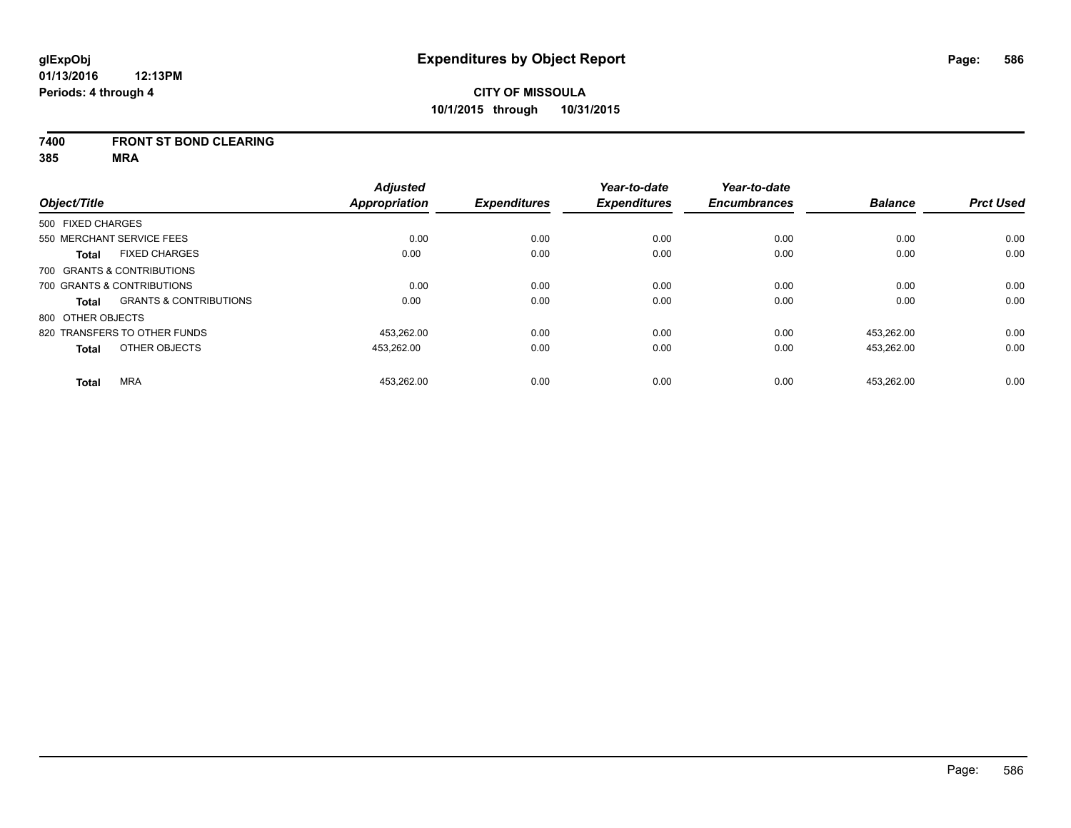#### **7400 FRONT ST BOND CLEARING**

**385 MRA**

|                   |                                   | <b>Adjusted</b>      |                     | Year-to-date        | Year-to-date        |                |                  |
|-------------------|-----------------------------------|----------------------|---------------------|---------------------|---------------------|----------------|------------------|
| Object/Title      |                                   | <b>Appropriation</b> | <b>Expenditures</b> | <b>Expenditures</b> | <b>Encumbrances</b> | <b>Balance</b> | <b>Prct Used</b> |
| 500 FIXED CHARGES |                                   |                      |                     |                     |                     |                |                  |
|                   | 550 MERCHANT SERVICE FEES         | 0.00                 | 0.00                | 0.00                | 0.00                | 0.00           | 0.00             |
| <b>Total</b>      | <b>FIXED CHARGES</b>              | 0.00                 | 0.00                | 0.00                | 0.00                | 0.00           | 0.00             |
|                   | 700 GRANTS & CONTRIBUTIONS        |                      |                     |                     |                     |                |                  |
|                   | 700 GRANTS & CONTRIBUTIONS        | 0.00                 | 0.00                | 0.00                | 0.00                | 0.00           | 0.00             |
| Total             | <b>GRANTS &amp; CONTRIBUTIONS</b> | 0.00                 | 0.00                | 0.00                | 0.00                | 0.00           | 0.00             |
| 800 OTHER OBJECTS |                                   |                      |                     |                     |                     |                |                  |
|                   | 820 TRANSFERS TO OTHER FUNDS      | 453.262.00           | 0.00                | 0.00                | 0.00                | 453.262.00     | 0.00             |
| <b>Total</b>      | OTHER OBJECTS                     | 453,262.00           | 0.00                | 0.00                | 0.00                | 453,262.00     | 0.00             |
| <b>Total</b>      | <b>MRA</b>                        | 453.262.00           | 0.00                | 0.00                | 0.00                | 453.262.00     | 0.00             |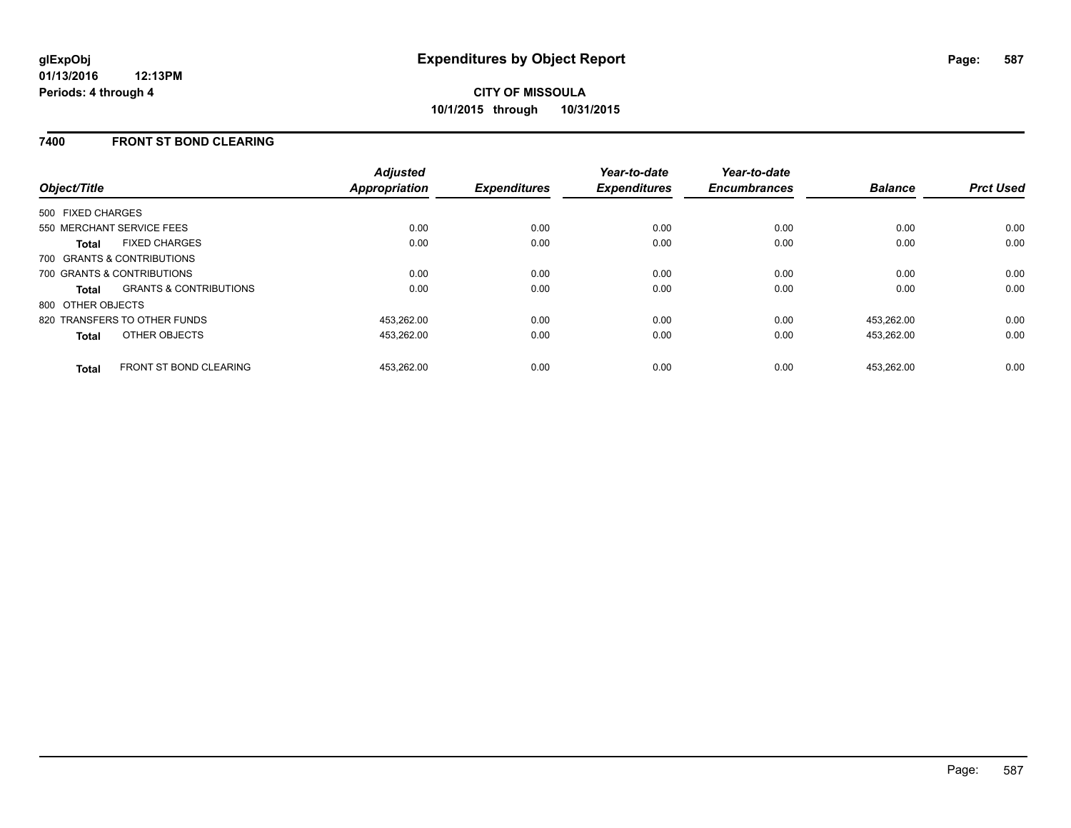### **7400 FRONT ST BOND CLEARING**

| Object/Title                                      | <b>Adjusted</b><br><b>Appropriation</b> | <b>Expenditures</b> | Year-to-date<br><b>Expenditures</b> | Year-to-date<br><b>Encumbrances</b> | <b>Balance</b> | <b>Prct Used</b> |
|---------------------------------------------------|-----------------------------------------|---------------------|-------------------------------------|-------------------------------------|----------------|------------------|
| 500 FIXED CHARGES                                 |                                         |                     |                                     |                                     |                |                  |
| 550 MERCHANT SERVICE FEES                         | 0.00                                    | 0.00                | 0.00                                | 0.00                                | 0.00           | 0.00             |
| <b>FIXED CHARGES</b><br><b>Total</b>              | 0.00                                    | 0.00                | 0.00                                | 0.00                                | 0.00           | 0.00             |
| 700 GRANTS & CONTRIBUTIONS                        |                                         |                     |                                     |                                     |                |                  |
| 700 GRANTS & CONTRIBUTIONS                        | 0.00                                    | 0.00                | 0.00                                | 0.00                                | 0.00           | 0.00             |
| <b>GRANTS &amp; CONTRIBUTIONS</b><br><b>Total</b> | 0.00                                    | 0.00                | 0.00                                | 0.00                                | 0.00           | 0.00             |
| 800 OTHER OBJECTS                                 |                                         |                     |                                     |                                     |                |                  |
| 820 TRANSFERS TO OTHER FUNDS                      | 453.262.00                              | 0.00                | 0.00                                | 0.00                                | 453.262.00     | 0.00             |
| OTHER OBJECTS<br><b>Total</b>                     | 453.262.00                              | 0.00                | 0.00                                | 0.00                                | 453.262.00     | 0.00             |
| <b>FRONT ST BOND CLEARING</b><br><b>Total</b>     | 453.262.00                              | 0.00                | 0.00                                | 0.00                                | 453.262.00     | 0.00             |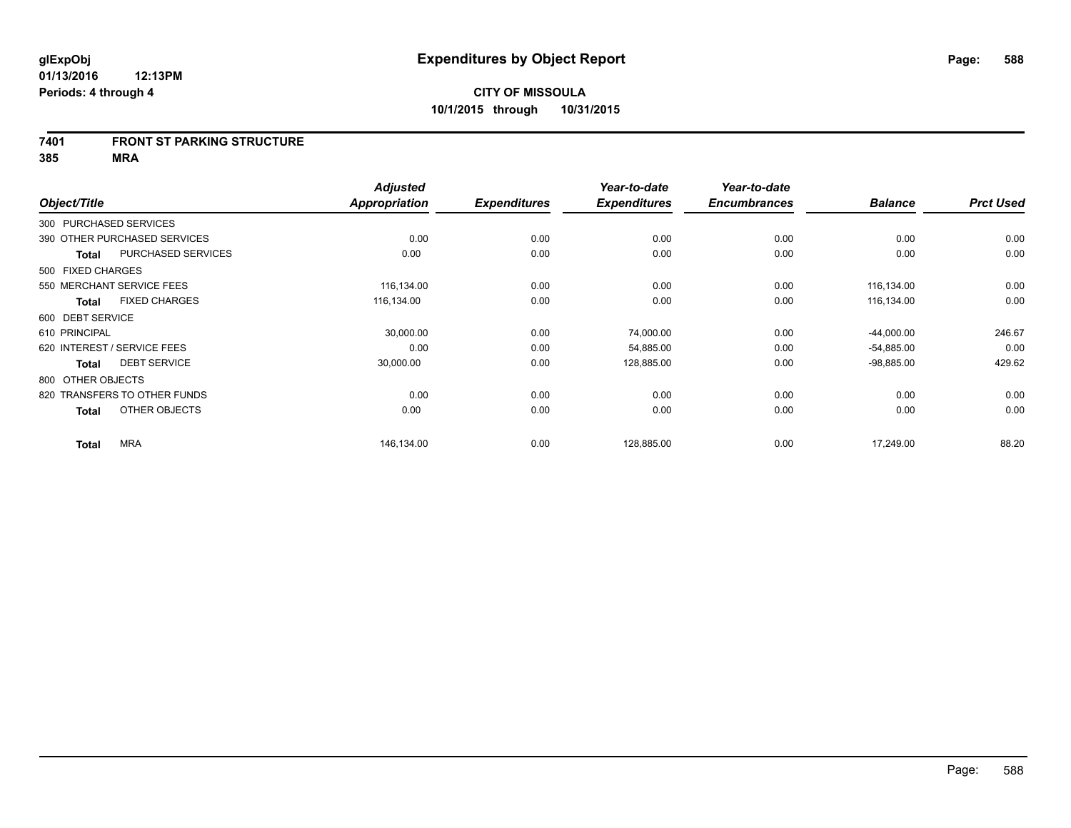#### **7401 FRONT ST PARKING STRUCTURE**

**385 MRA**

|                             |                              | <b>Adjusted</b> |                     | Year-to-date        | Year-to-date        |                |                  |
|-----------------------------|------------------------------|-----------------|---------------------|---------------------|---------------------|----------------|------------------|
| Object/Title                |                              | Appropriation   | <b>Expenditures</b> | <b>Expenditures</b> | <b>Encumbrances</b> | <b>Balance</b> | <b>Prct Used</b> |
| 300 PURCHASED SERVICES      |                              |                 |                     |                     |                     |                |                  |
|                             | 390 OTHER PURCHASED SERVICES | 0.00            | 0.00                | 0.00                | 0.00                | 0.00           | 0.00             |
| <b>Total</b>                | PURCHASED SERVICES           | 0.00            | 0.00                | 0.00                | 0.00                | 0.00           | 0.00             |
| 500 FIXED CHARGES           |                              |                 |                     |                     |                     |                |                  |
|                             | 550 MERCHANT SERVICE FEES    | 116,134.00      | 0.00                | 0.00                | 0.00                | 116,134.00     | 0.00             |
| <b>Total</b>                | <b>FIXED CHARGES</b>         | 116,134.00      | 0.00                | 0.00                | 0.00                | 116,134.00     | 0.00             |
| 600 DEBT SERVICE            |                              |                 |                     |                     |                     |                |                  |
| 610 PRINCIPAL               |                              | 30,000.00       | 0.00                | 74,000.00           | 0.00                | $-44,000.00$   | 246.67           |
| 620 INTEREST / SERVICE FEES |                              | 0.00            | 0.00                | 54,885.00           | 0.00                | $-54,885.00$   | 0.00             |
| <b>Total</b>                | <b>DEBT SERVICE</b>          | 30,000.00       | 0.00                | 128,885.00          | 0.00                | $-98,885.00$   | 429.62           |
| 800 OTHER OBJECTS           |                              |                 |                     |                     |                     |                |                  |
|                             | 820 TRANSFERS TO OTHER FUNDS | 0.00            | 0.00                | 0.00                | 0.00                | 0.00           | 0.00             |
| <b>Total</b>                | OTHER OBJECTS                | 0.00            | 0.00                | 0.00                | 0.00                | 0.00           | 0.00             |
| <b>Total</b>                | <b>MRA</b>                   | 146,134.00      | 0.00                | 128,885.00          | 0.00                | 17,249.00      | 88.20            |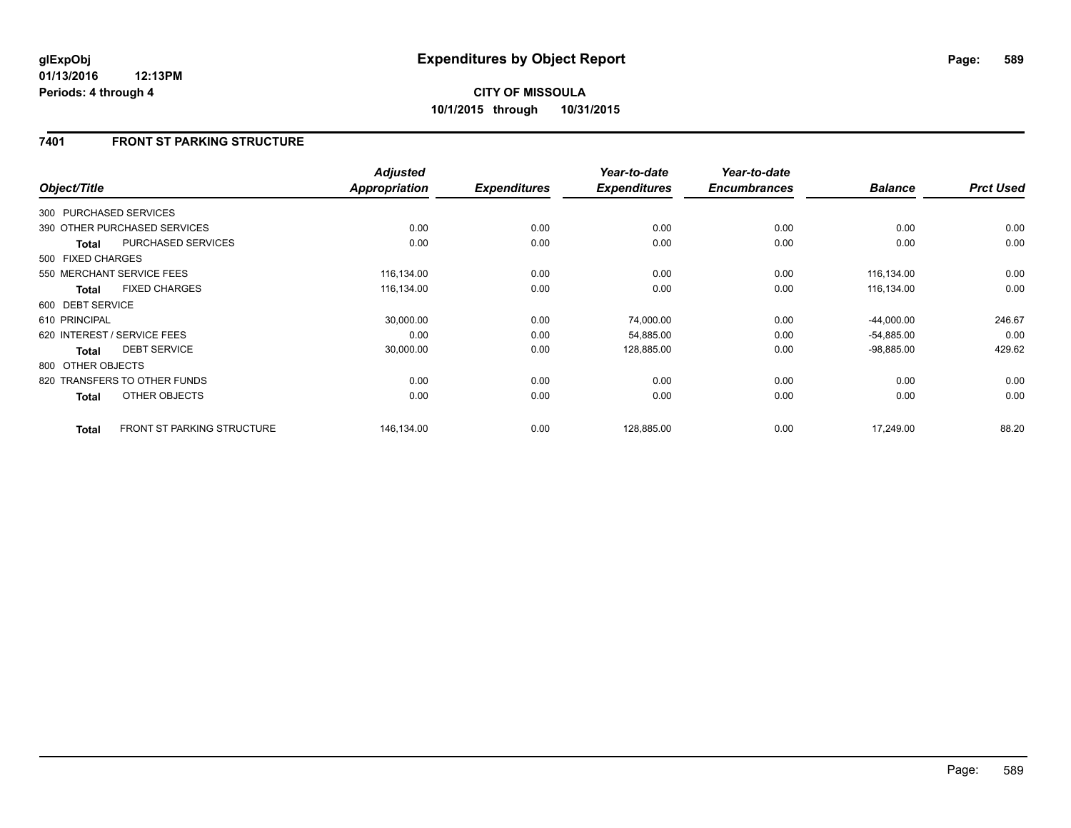## **7401 FRONT ST PARKING STRUCTURE**

| Object/Title           |                                   | <b>Adjusted</b><br><b>Appropriation</b> | <b>Expenditures</b> | Year-to-date<br><b>Expenditures</b> | Year-to-date<br><b>Encumbrances</b> | <b>Balance</b> | <b>Prct Used</b> |
|------------------------|-----------------------------------|-----------------------------------------|---------------------|-------------------------------------|-------------------------------------|----------------|------------------|
| 300 PURCHASED SERVICES |                                   |                                         |                     |                                     |                                     |                |                  |
|                        | 390 OTHER PURCHASED SERVICES      | 0.00                                    | 0.00                | 0.00                                | 0.00                                | 0.00           | 0.00             |
| <b>Total</b>           | <b>PURCHASED SERVICES</b>         | 0.00                                    | 0.00                | 0.00                                | 0.00                                | 0.00           | 0.00             |
| 500 FIXED CHARGES      |                                   |                                         |                     |                                     |                                     |                |                  |
|                        | 550 MERCHANT SERVICE FEES         | 116,134.00                              | 0.00                | 0.00                                | 0.00                                | 116,134.00     | 0.00             |
| <b>Total</b>           | <b>FIXED CHARGES</b>              | 116,134.00                              | 0.00                | 0.00                                | 0.00                                | 116,134.00     | 0.00             |
| 600 DEBT SERVICE       |                                   |                                         |                     |                                     |                                     |                |                  |
| 610 PRINCIPAL          |                                   | 30,000.00                               | 0.00                | 74,000.00                           | 0.00                                | $-44,000.00$   | 246.67           |
|                        | 620 INTEREST / SERVICE FEES       | 0.00                                    | 0.00                | 54,885.00                           | 0.00                                | $-54,885.00$   | 0.00             |
| <b>Total</b>           | <b>DEBT SERVICE</b>               | 30,000.00                               | 0.00                | 128,885.00                          | 0.00                                | $-98,885.00$   | 429.62           |
| 800 OTHER OBJECTS      |                                   |                                         |                     |                                     |                                     |                |                  |
|                        | 820 TRANSFERS TO OTHER FUNDS      | 0.00                                    | 0.00                | 0.00                                | 0.00                                | 0.00           | 0.00             |
| <b>Total</b>           | OTHER OBJECTS                     | 0.00                                    | 0.00                | 0.00                                | 0.00                                | 0.00           | 0.00             |
| <b>Total</b>           | <b>FRONT ST PARKING STRUCTURE</b> | 146,134.00                              | 0.00                | 128,885.00                          | 0.00                                | 17,249.00      | 88.20            |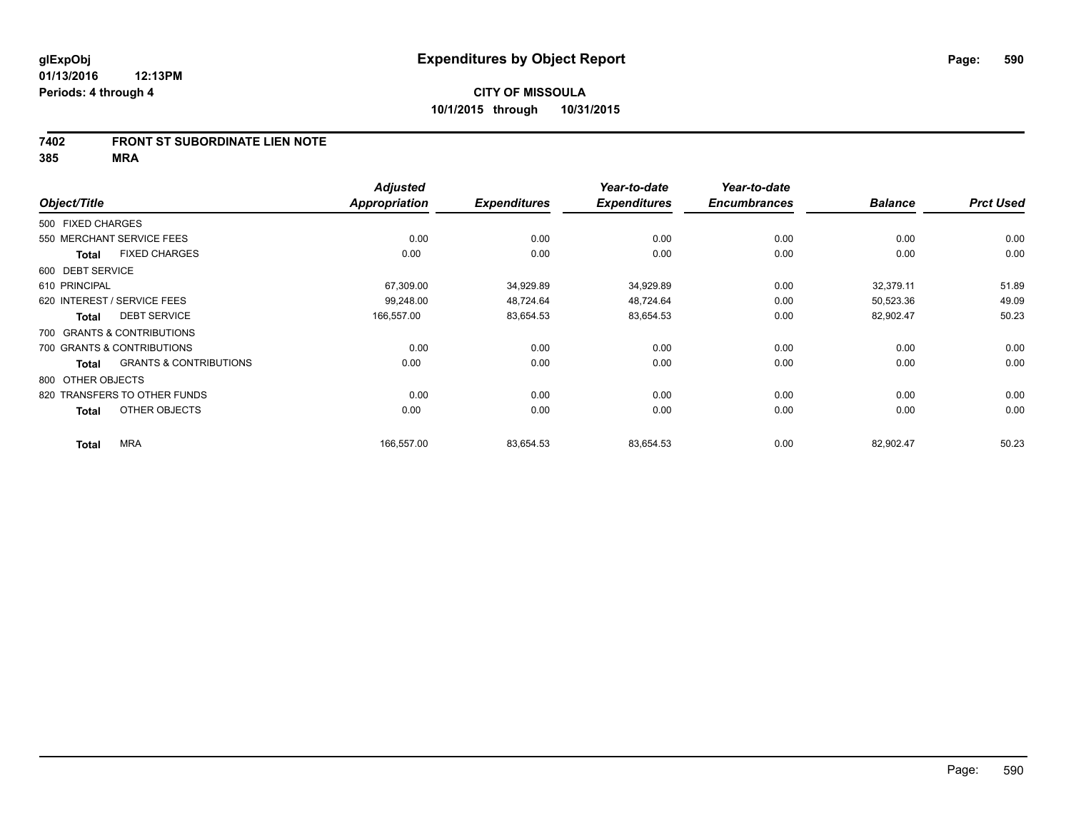#### **7402 FRONT ST SUBORDINATE LIEN NOTE**

**385 MRA**

|                   |                                   | <b>Adjusted</b>      |                     | Year-to-date        | Year-to-date        |                |                  |
|-------------------|-----------------------------------|----------------------|---------------------|---------------------|---------------------|----------------|------------------|
| Object/Title      |                                   | <b>Appropriation</b> | <b>Expenditures</b> | <b>Expenditures</b> | <b>Encumbrances</b> | <b>Balance</b> | <b>Prct Used</b> |
| 500 FIXED CHARGES |                                   |                      |                     |                     |                     |                |                  |
|                   | 550 MERCHANT SERVICE FEES         | 0.00                 | 0.00                | 0.00                | 0.00                | 0.00           | 0.00             |
| Total             | <b>FIXED CHARGES</b>              | 0.00                 | 0.00                | 0.00                | 0.00                | 0.00           | 0.00             |
| 600 DEBT SERVICE  |                                   |                      |                     |                     |                     |                |                  |
| 610 PRINCIPAL     |                                   | 67,309.00            | 34,929.89           | 34,929.89           | 0.00                | 32,379.11      | 51.89            |
|                   | 620 INTEREST / SERVICE FEES       | 99,248.00            | 48,724.64           | 48,724.64           | 0.00                | 50,523.36      | 49.09            |
| <b>Total</b>      | <b>DEBT SERVICE</b>               | 166,557.00           | 83,654.53           | 83,654.53           | 0.00                | 82,902.47      | 50.23            |
|                   | 700 GRANTS & CONTRIBUTIONS        |                      |                     |                     |                     |                |                  |
|                   | 700 GRANTS & CONTRIBUTIONS        | 0.00                 | 0.00                | 0.00                | 0.00                | 0.00           | 0.00             |
| Total             | <b>GRANTS &amp; CONTRIBUTIONS</b> | 0.00                 | 0.00                | 0.00                | 0.00                | 0.00           | 0.00             |
| 800 OTHER OBJECTS |                                   |                      |                     |                     |                     |                |                  |
|                   | 820 TRANSFERS TO OTHER FUNDS      | 0.00                 | 0.00                | 0.00                | 0.00                | 0.00           | 0.00             |
| <b>Total</b>      | OTHER OBJECTS                     | 0.00                 | 0.00                | 0.00                | 0.00                | 0.00           | 0.00             |
| <b>Total</b>      | <b>MRA</b>                        | 166,557.00           | 83,654.53           | 83,654.53           | 0.00                | 82,902.47      | 50.23            |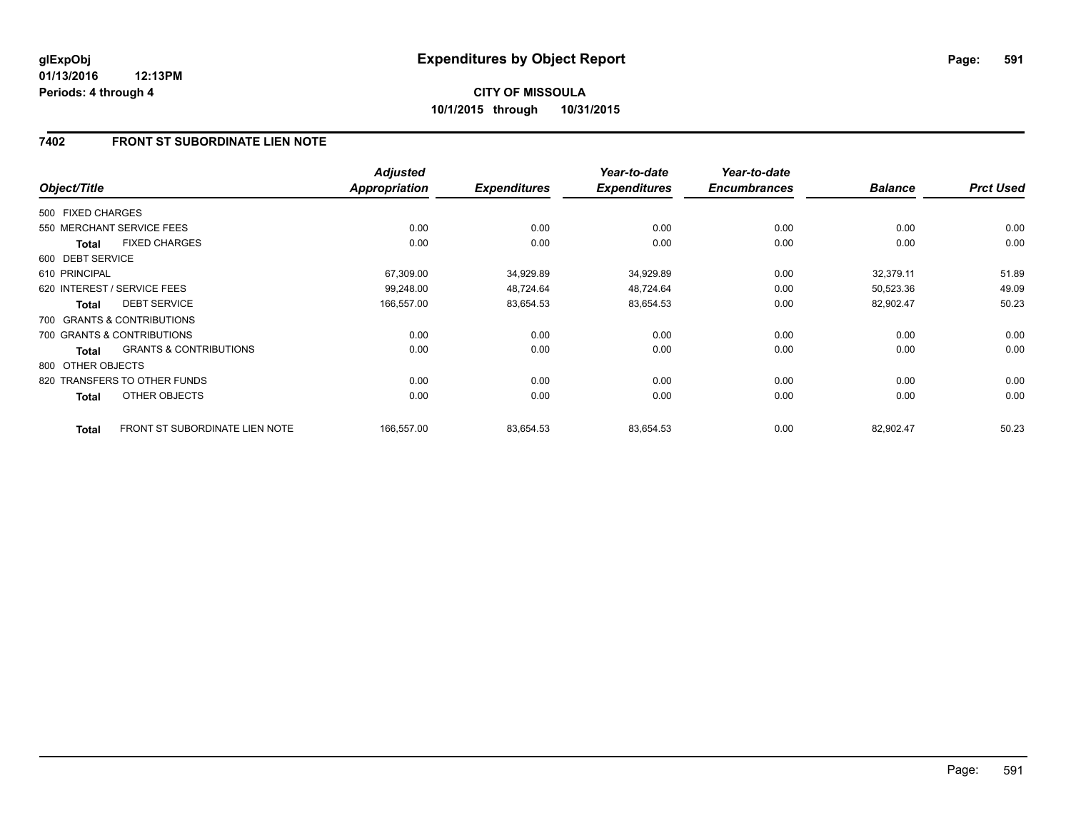### **7402 FRONT ST SUBORDINATE LIEN NOTE**

| Object/Title      |                                       | <b>Adjusted</b><br><b>Appropriation</b> | <b>Expenditures</b> | Year-to-date<br><b>Expenditures</b> | Year-to-date<br><b>Encumbrances</b> | <b>Balance</b> | <b>Prct Used</b> |
|-------------------|---------------------------------------|-----------------------------------------|---------------------|-------------------------------------|-------------------------------------|----------------|------------------|
| 500 FIXED CHARGES |                                       |                                         |                     |                                     |                                     |                |                  |
|                   | 550 MERCHANT SERVICE FEES             | 0.00                                    | 0.00                | 0.00                                | 0.00                                | 0.00           | 0.00             |
| <b>Total</b>      | <b>FIXED CHARGES</b>                  | 0.00                                    | 0.00                | 0.00                                | 0.00                                | 0.00           | 0.00             |
| 600 DEBT SERVICE  |                                       |                                         |                     |                                     |                                     |                |                  |
| 610 PRINCIPAL     |                                       | 67,309.00                               | 34,929.89           | 34,929.89                           | 0.00                                | 32,379.11      | 51.89            |
|                   | 620 INTEREST / SERVICE FEES           | 99.248.00                               | 48,724.64           | 48,724.64                           | 0.00                                | 50,523.36      | 49.09            |
| <b>Total</b>      | <b>DEBT SERVICE</b>                   | 166,557.00                              | 83,654.53           | 83,654.53                           | 0.00                                | 82,902.47      | 50.23            |
|                   | 700 GRANTS & CONTRIBUTIONS            |                                         |                     |                                     |                                     |                |                  |
|                   | 700 GRANTS & CONTRIBUTIONS            | 0.00                                    | 0.00                | 0.00                                | 0.00                                | 0.00           | 0.00             |
| <b>Total</b>      | <b>GRANTS &amp; CONTRIBUTIONS</b>     | 0.00                                    | 0.00                | 0.00                                | 0.00                                | 0.00           | 0.00             |
| 800 OTHER OBJECTS |                                       |                                         |                     |                                     |                                     |                |                  |
|                   | 820 TRANSFERS TO OTHER FUNDS          | 0.00                                    | 0.00                | 0.00                                | 0.00                                | 0.00           | 0.00             |
| <b>Total</b>      | OTHER OBJECTS                         | 0.00                                    | 0.00                | 0.00                                | 0.00                                | 0.00           | 0.00             |
| <b>Total</b>      | <b>FRONT ST SUBORDINATE LIEN NOTE</b> | 166,557.00                              | 83,654.53           | 83,654.53                           | 0.00                                | 82,902.47      | 50.23            |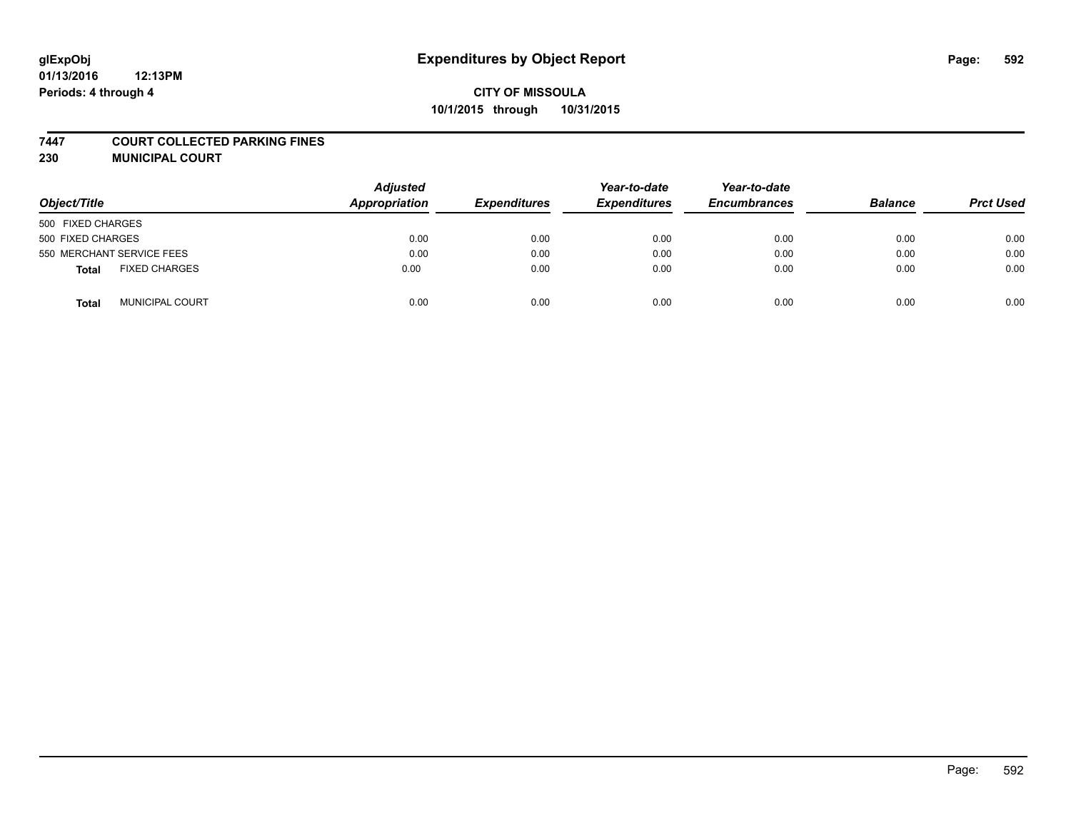#### **7447 COURT COLLECTED PARKING FINES**

**230 MUNICIPAL COURT**

| Object/Title                    | <b>Adjusted</b><br>Appropriation | <b>Expenditures</b> | Year-to-date<br><b>Expenditures</b> | Year-to-date<br><b>Encumbrances</b> | <b>Balance</b> | <b>Prct Used</b> |
|---------------------------------|----------------------------------|---------------------|-------------------------------------|-------------------------------------|----------------|------------------|
| 500 FIXED CHARGES               |                                  |                     |                                     |                                     |                |                  |
| 500 FIXED CHARGES               | 0.00                             | 0.00                | 0.00                                | 0.00                                | 0.00           | 0.00             |
| 550 MERCHANT SERVICE FEES       | 0.00                             | 0.00                | 0.00                                | 0.00                                | 0.00           | 0.00             |
| <b>FIXED CHARGES</b><br>Total   | 0.00                             | 0.00                | 0.00                                | 0.00                                | 0.00           | 0.00             |
| <b>MUNICIPAL COURT</b><br>Total | 0.00                             | 0.00                | 0.00                                | 0.00                                | 0.00           | 0.00             |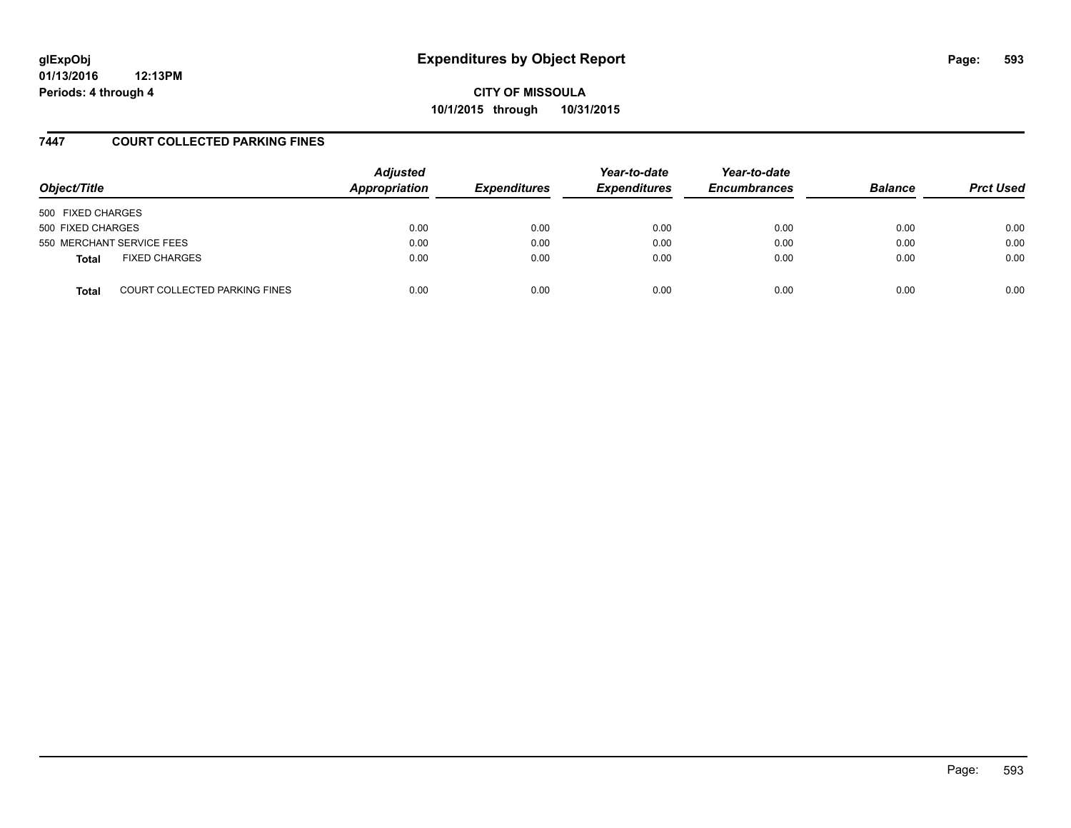**CITY OF MISSOULA 10/1/2015 through 10/31/2015**

### **7447 COURT COLLECTED PARKING FINES**

| Object/Title      |                                      | <b>Adjusted</b><br>Appropriation | <b>Expenditures</b> | Year-to-date<br><b>Expenditures</b> | Year-to-date<br><b>Encumbrances</b> | <b>Balance</b> | <b>Prct Used</b> |
|-------------------|--------------------------------------|----------------------------------|---------------------|-------------------------------------|-------------------------------------|----------------|------------------|
| 500 FIXED CHARGES |                                      |                                  |                     |                                     |                                     |                |                  |
| 500 FIXED CHARGES |                                      | 0.00                             | 0.00                | 0.00                                | 0.00                                | 0.00           | 0.00             |
|                   | 550 MERCHANT SERVICE FEES            | 0.00                             | 0.00                | 0.00                                | 0.00                                | 0.00           | 0.00             |
| Total             | <b>FIXED CHARGES</b>                 | 0.00                             | 0.00                | 0.00                                | 0.00                                | 0.00           | 0.00             |
| <b>Total</b>      | <b>COURT COLLECTED PARKING FINES</b> | 0.00                             | 0.00                | 0.00                                | 0.00                                | 0.00           | 0.00             |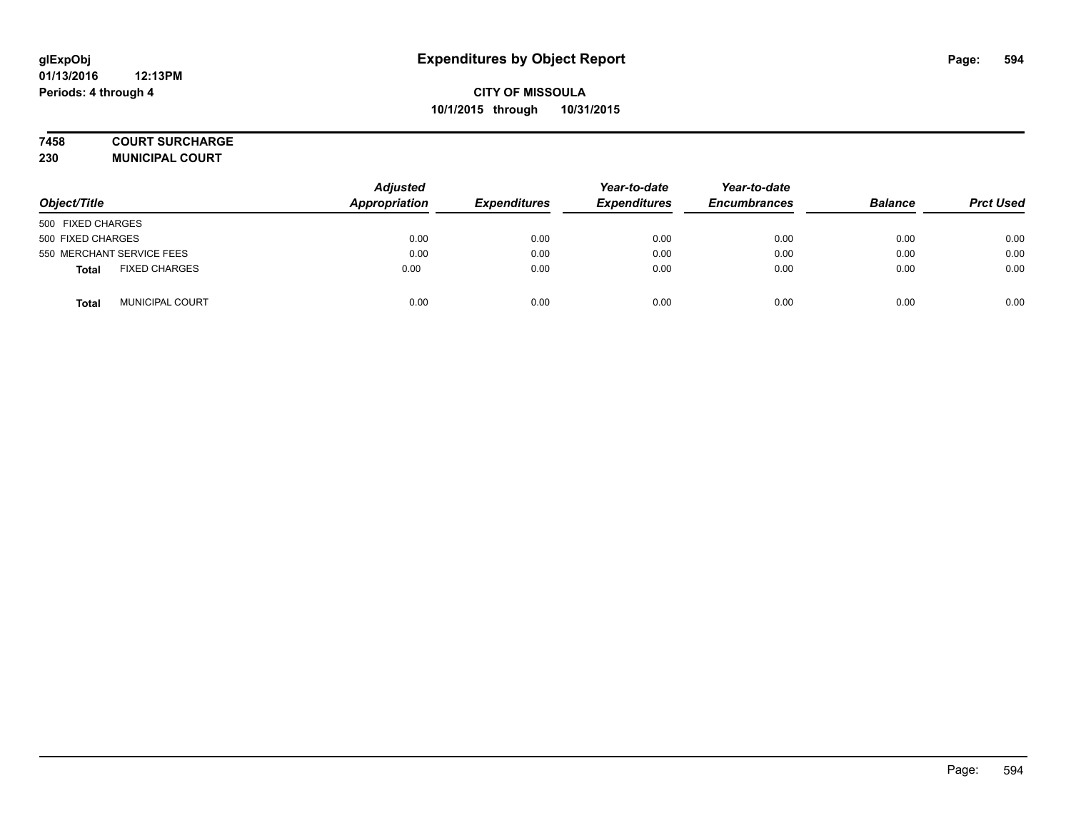#### **7458 COURT SURCHARGE**

**230 MUNICIPAL COURT**

| Object/Title                    | <b>Adjusted</b><br><b>Appropriation</b> | <b>Expenditures</b> | Year-to-date<br><b>Expenditures</b> | Year-to-date<br><b>Encumbrances</b> | <b>Balance</b> | <b>Prct Used</b> |
|---------------------------------|-----------------------------------------|---------------------|-------------------------------------|-------------------------------------|----------------|------------------|
| 500 FIXED CHARGES               |                                         |                     |                                     |                                     |                |                  |
| 500 FIXED CHARGES               | 0.00                                    | 0.00                | 0.00                                | 0.00                                | 0.00           | 0.00             |
| 550 MERCHANT SERVICE FEES       | 0.00                                    | 0.00                | 0.00                                | 0.00                                | 0.00           | 0.00             |
| <b>FIXED CHARGES</b><br>Total   | 0.00                                    | 0.00                | 0.00                                | 0.00                                | 0.00           | 0.00             |
| <b>MUNICIPAL COURT</b><br>Total | 0.00                                    | 0.00                | 0.00                                | 0.00                                | 0.00           | 0.00             |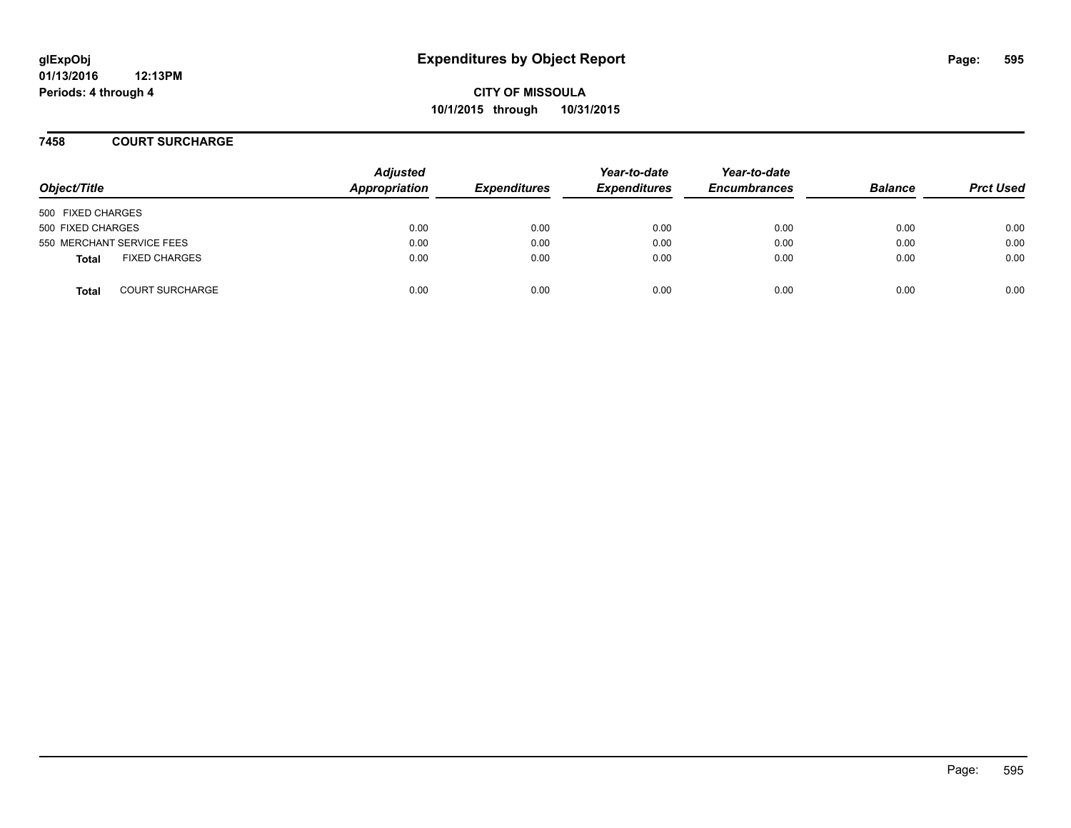**CITY OF MISSOULA 10/1/2015 through 10/31/2015**

**7458 COURT SURCHARGE**

| Object/Title      |                           | <b>Adjusted</b><br>Appropriation | <b>Expenditures</b> | Year-to-date<br><b>Expenditures</b> | Year-to-date<br><b>Encumbrances</b> | <b>Balance</b> | <b>Prct Used</b> |
|-------------------|---------------------------|----------------------------------|---------------------|-------------------------------------|-------------------------------------|----------------|------------------|
| 500 FIXED CHARGES |                           |                                  |                     |                                     |                                     |                |                  |
| 500 FIXED CHARGES |                           | 0.00                             | 0.00                | 0.00                                | 0.00                                | 0.00           | 0.00             |
|                   | 550 MERCHANT SERVICE FEES | 0.00                             | 0.00                | 0.00                                | 0.00                                | 0.00           | 0.00             |
| <b>Total</b>      | <b>FIXED CHARGES</b>      | 0.00                             | 0.00                | 0.00                                | 0.00                                | 0.00           | 0.00             |
| <b>Total</b>      | <b>COURT SURCHARGE</b>    | 0.00                             | 0.00                | 0.00                                | 0.00                                | 0.00           | 0.00             |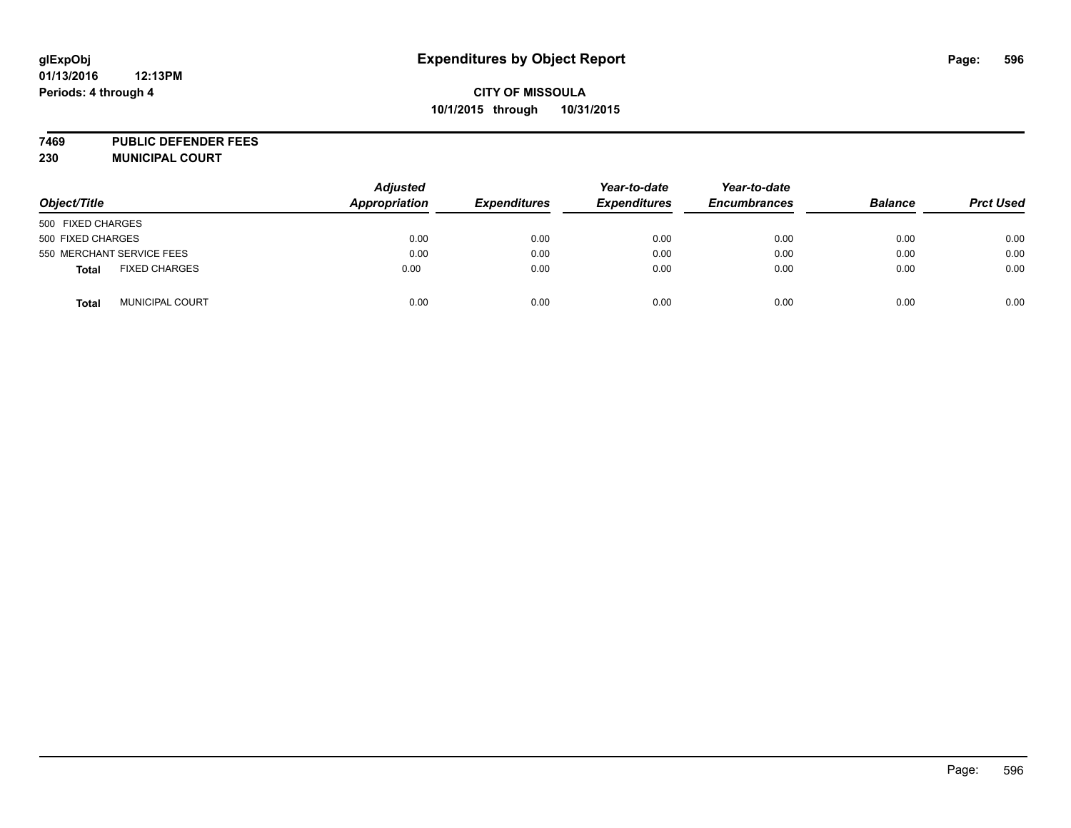## **CITY OF MISSOULA 10/1/2015 through 10/31/2015**

**7469 PUBLIC DEFENDER FEES 230 MUNICIPAL COURT**

| Object/Title                           | <b>Adjusted</b><br>Appropriation | <b>Expenditures</b> | Year-to-date<br><b>Expenditures</b> | Year-to-date<br><b>Encumbrances</b> | <b>Balance</b> | <b>Prct Used</b> |
|----------------------------------------|----------------------------------|---------------------|-------------------------------------|-------------------------------------|----------------|------------------|
| 500 FIXED CHARGES                      |                                  |                     |                                     |                                     |                |                  |
| 500 FIXED CHARGES                      | 0.00                             | 0.00                | 0.00                                | 0.00                                | 0.00           | 0.00             |
| 550 MERCHANT SERVICE FEES              | 0.00                             | 0.00                | 0.00                                | 0.00                                | 0.00           | 0.00             |
| <b>FIXED CHARGES</b><br><b>Total</b>   | 0.00                             | 0.00                | 0.00                                | 0.00                                | 0.00           | 0.00             |
| <b>MUNICIPAL COURT</b><br><b>Total</b> | 0.00                             | 0.00                | 0.00                                | 0.00                                | 0.00           | 0.00             |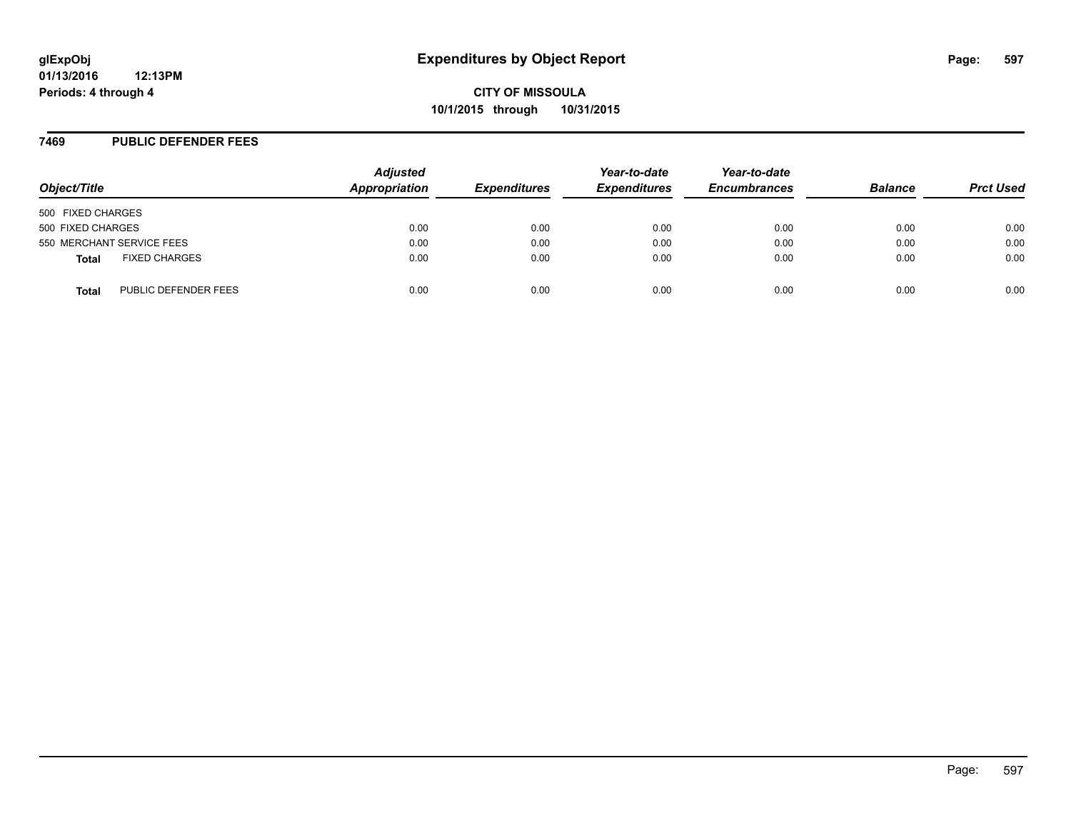#### **7469 PUBLIC DEFENDER FEES**

| Object/Title                         | <b>Adjusted</b><br>Appropriation | <b>Expenditures</b> | Year-to-date<br><b>Expenditures</b> | Year-to-date<br><b>Encumbrances</b> | <b>Balance</b> | <b>Prct Used</b> |
|--------------------------------------|----------------------------------|---------------------|-------------------------------------|-------------------------------------|----------------|------------------|
| 500 FIXED CHARGES                    |                                  |                     |                                     |                                     |                |                  |
| 500 FIXED CHARGES                    | 0.00                             | 0.00                | 0.00                                | 0.00                                | 0.00           | 0.00             |
| 550 MERCHANT SERVICE FEES            | 0.00                             | 0.00                | 0.00                                | 0.00                                | 0.00           | 0.00             |
| <b>FIXED CHARGES</b><br><b>Total</b> | 0.00                             | 0.00                | 0.00                                | 0.00                                | 0.00           | 0.00             |
| PUBLIC DEFENDER FEES<br><b>Total</b> | 0.00                             | 0.00                | 0.00                                | 0.00                                | 0.00           | 0.00             |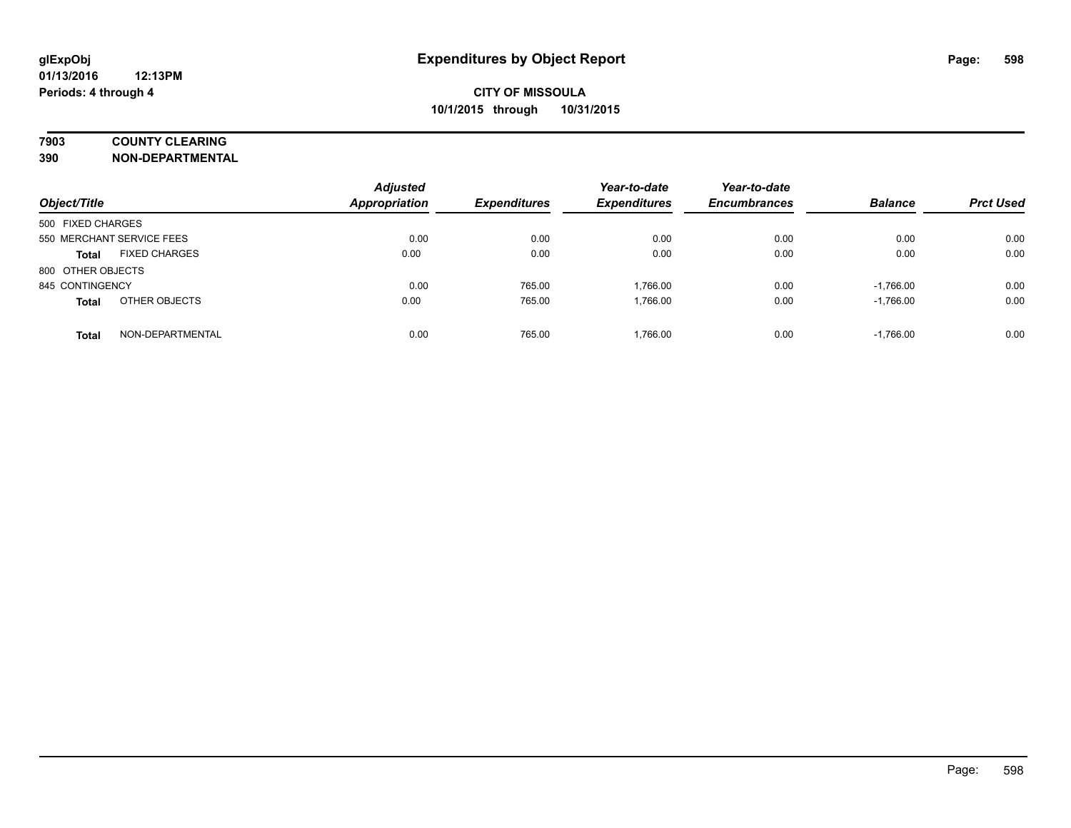## **7903 COUNTY CLEARING**

**390 NON-DEPARTMENTAL**

| Object/Title              |                      | <b>Adjusted</b><br><b>Appropriation</b> | <b>Expenditures</b> | Year-to-date<br><b>Expenditures</b> | Year-to-date<br><b>Encumbrances</b> | <b>Balance</b> | <b>Prct Used</b> |
|---------------------------|----------------------|-----------------------------------------|---------------------|-------------------------------------|-------------------------------------|----------------|------------------|
| 500 FIXED CHARGES         |                      |                                         |                     |                                     |                                     |                |                  |
| 550 MERCHANT SERVICE FEES |                      | 0.00                                    | 0.00                | 0.00                                | 0.00                                | 0.00           | 0.00             |
| <b>Total</b>              | <b>FIXED CHARGES</b> | 0.00                                    | 0.00                | 0.00                                | 0.00                                | 0.00           | 0.00             |
| 800 OTHER OBJECTS         |                      |                                         |                     |                                     |                                     |                |                  |
| 845 CONTINGENCY           |                      | 0.00                                    | 765.00              | 1.766.00                            | 0.00                                | $-1,766.00$    | 0.00             |
| <b>Total</b>              | OTHER OBJECTS        | 0.00                                    | 765.00              | 1.766.00                            | 0.00                                | $-1,766.00$    | 0.00             |
| <b>Total</b>              | NON-DEPARTMENTAL     | 0.00                                    | 765.00              | 1.766.00                            | 0.00                                | $-1,766.00$    | 0.00             |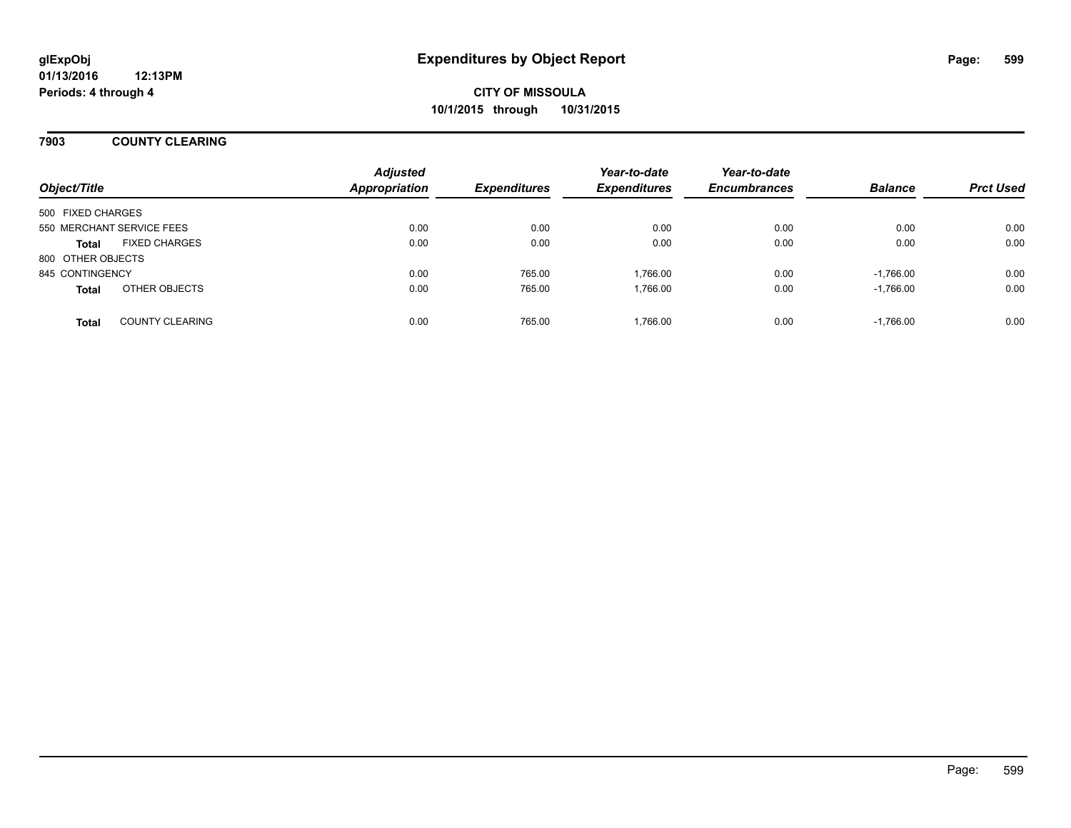### **7903 COUNTY CLEARING**

| Object/Title              |                        | <b>Adjusted</b><br><b>Appropriation</b> | <b>Expenditures</b> | Year-to-date<br><b>Expenditures</b> | Year-to-date<br><b>Encumbrances</b> | <b>Balance</b> | <b>Prct Used</b> |
|---------------------------|------------------------|-----------------------------------------|---------------------|-------------------------------------|-------------------------------------|----------------|------------------|
| 500 FIXED CHARGES         |                        |                                         |                     |                                     |                                     |                |                  |
| 550 MERCHANT SERVICE FEES |                        | 0.00                                    | 0.00                | 0.00                                | 0.00                                | 0.00           | 0.00             |
| <b>Total</b>              | <b>FIXED CHARGES</b>   | 0.00                                    | 0.00                | 0.00                                | 0.00                                | 0.00           | 0.00             |
| 800 OTHER OBJECTS         |                        |                                         |                     |                                     |                                     |                |                  |
| 845 CONTINGENCY           |                        | 0.00                                    | 765.00              | 1.766.00                            | 0.00                                | $-1.766.00$    | 0.00             |
| <b>Total</b>              | OTHER OBJECTS          | 0.00                                    | 765.00              | 1,766.00                            | 0.00                                | $-1,766.00$    | 0.00             |
| <b>Total</b>              | <b>COUNTY CLEARING</b> | 0.00                                    | 765.00              | 1,766.00                            | 0.00                                | $-1,766.00$    | 0.00             |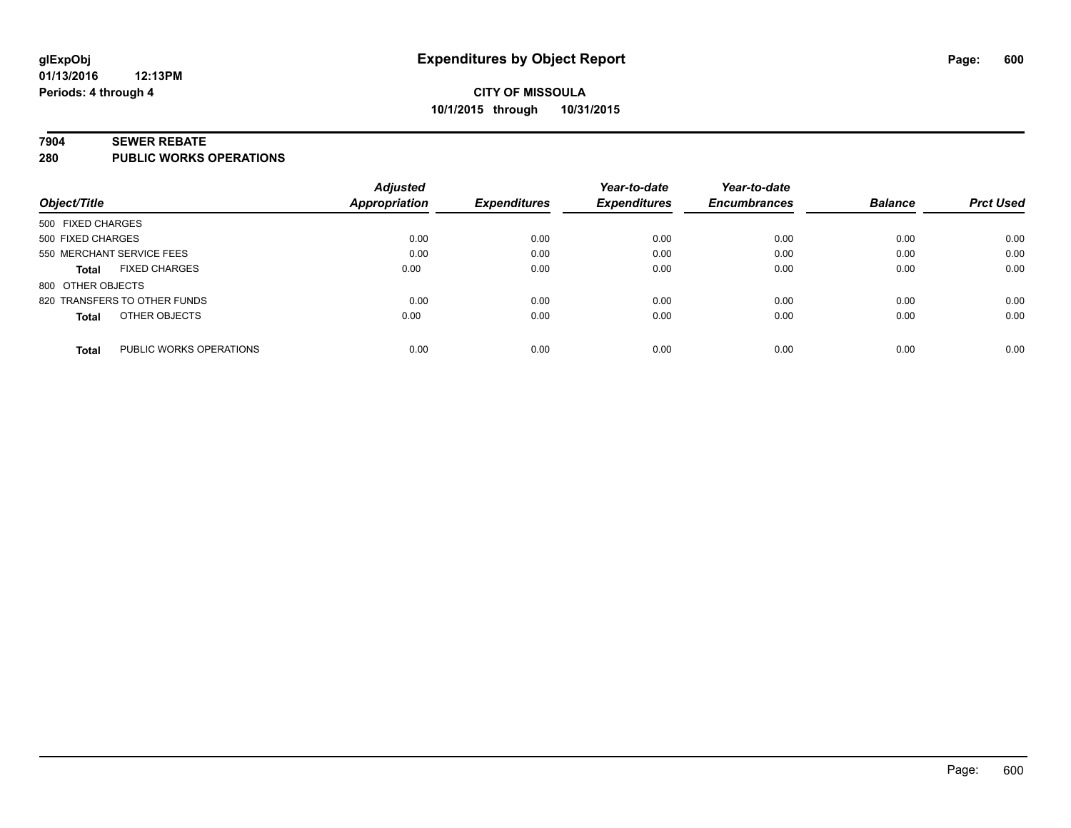#### **7904 SEWER REBATE**

**280 PUBLIC WORKS OPERATIONS**

|                                         | <b>Adjusted</b> |                     | Year-to-date        | Year-to-date        |                |                  |
|-----------------------------------------|-----------------|---------------------|---------------------|---------------------|----------------|------------------|
| Object/Title                            | Appropriation   | <b>Expenditures</b> | <b>Expenditures</b> | <b>Encumbrances</b> | <b>Balance</b> | <b>Prct Used</b> |
| 500 FIXED CHARGES                       |                 |                     |                     |                     |                |                  |
| 500 FIXED CHARGES                       | 0.00            | 0.00                | 0.00                | 0.00                | 0.00           | 0.00             |
| 550 MERCHANT SERVICE FEES               | 0.00            | 0.00                | 0.00                | 0.00                | 0.00           | 0.00             |
| <b>FIXED CHARGES</b><br><b>Total</b>    | 0.00            | 0.00                | 0.00                | 0.00                | 0.00           | 0.00             |
| 800 OTHER OBJECTS                       |                 |                     |                     |                     |                |                  |
| 820 TRANSFERS TO OTHER FUNDS            | 0.00            | 0.00                | 0.00                | 0.00                | 0.00           | 0.00             |
| OTHER OBJECTS<br><b>Total</b>           | 0.00            | 0.00                | 0.00                | 0.00                | 0.00           | 0.00             |
| PUBLIC WORKS OPERATIONS<br><b>Total</b> | 0.00            | 0.00                | 0.00                | 0.00                | 0.00           | 0.00             |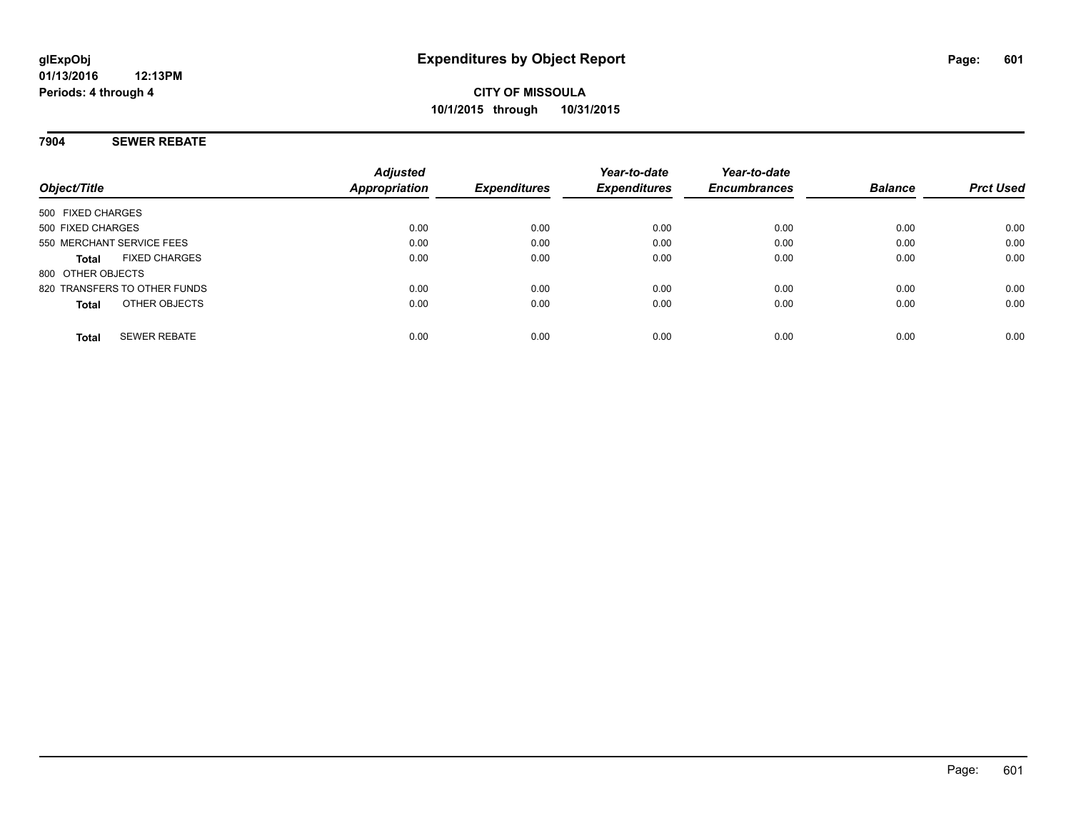### **7904 SEWER REBATE**

| Object/Title                         | <b>Adjusted</b><br>Appropriation | <b>Expenditures</b> | Year-to-date<br><b>Expenditures</b> | Year-to-date<br><b>Encumbrances</b> | <b>Balance</b> | <b>Prct Used</b> |
|--------------------------------------|----------------------------------|---------------------|-------------------------------------|-------------------------------------|----------------|------------------|
| 500 FIXED CHARGES                    |                                  |                     |                                     |                                     |                |                  |
| 500 FIXED CHARGES                    | 0.00                             | 0.00                | 0.00                                | 0.00                                | 0.00           | 0.00             |
| 550 MERCHANT SERVICE FEES            | 0.00                             | 0.00                | 0.00                                | 0.00                                | 0.00           | 0.00             |
| <b>FIXED CHARGES</b><br><b>Total</b> | 0.00                             | 0.00                | 0.00                                | 0.00                                | 0.00           | 0.00             |
| 800 OTHER OBJECTS                    |                                  |                     |                                     |                                     |                |                  |
| 820 TRANSFERS TO OTHER FUNDS         | 0.00                             | 0.00                | 0.00                                | 0.00                                | 0.00           | 0.00             |
| OTHER OBJECTS<br><b>Total</b>        | 0.00                             | 0.00                | 0.00                                | 0.00                                | 0.00           | 0.00             |
| <b>SEWER REBATE</b><br><b>Total</b>  | 0.00                             | 0.00                | 0.00                                | 0.00                                | 0.00           | 0.00             |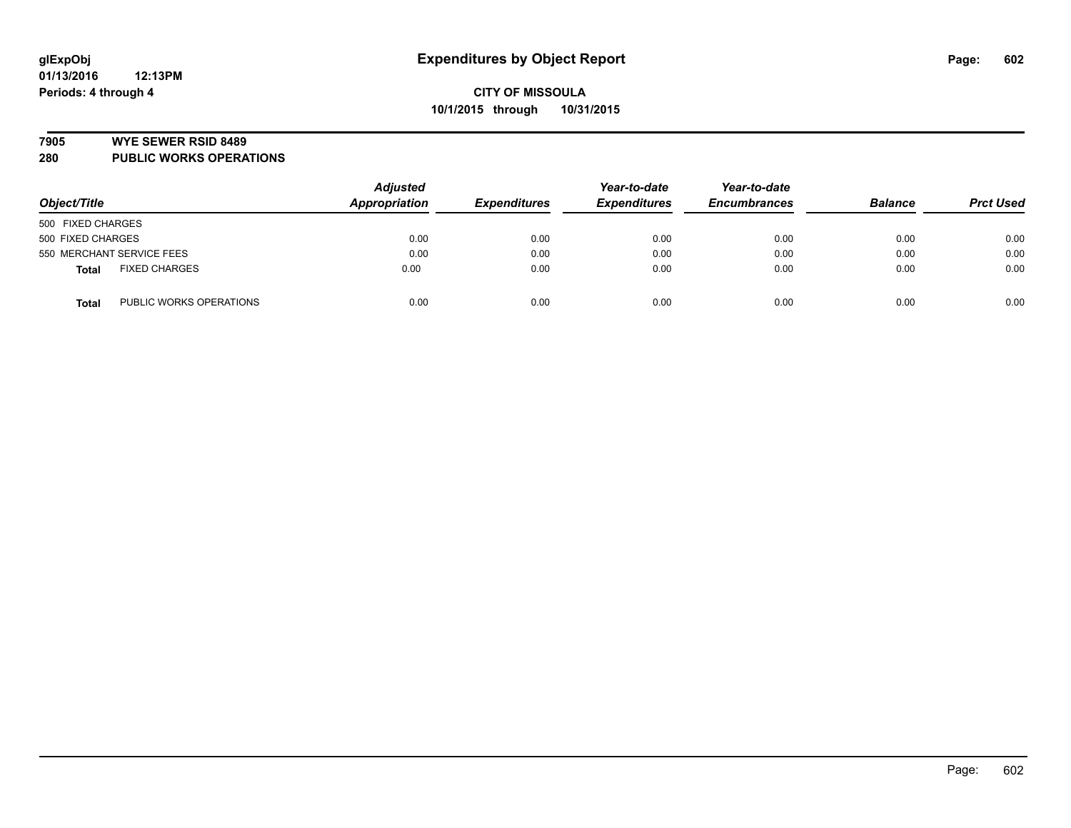#### **7905 WYE SEWER RSID 8489**

**280 PUBLIC WORKS OPERATIONS**

| Object/Title                            | <b>Adjusted</b><br>Appropriation | <b>Expenditures</b> | Year-to-date<br><b>Expenditures</b> | Year-to-date<br><b>Encumbrances</b> | <b>Balance</b> | <b>Prct Used</b> |
|-----------------------------------------|----------------------------------|---------------------|-------------------------------------|-------------------------------------|----------------|------------------|
| 500 FIXED CHARGES                       |                                  |                     |                                     |                                     |                |                  |
| 500 FIXED CHARGES                       | 0.00                             | 0.00                | 0.00                                | 0.00                                | 0.00           | 0.00             |
| 550 MERCHANT SERVICE FEES               | 0.00                             | 0.00                | 0.00                                | 0.00                                | 0.00           | 0.00             |
| <b>FIXED CHARGES</b><br><b>Total</b>    | 0.00                             | 0.00                | 0.00                                | 0.00                                | 0.00           | 0.00             |
| PUBLIC WORKS OPERATIONS<br><b>Total</b> | 0.00                             | 0.00                | 0.00                                | 0.00                                | 0.00           | 0.00             |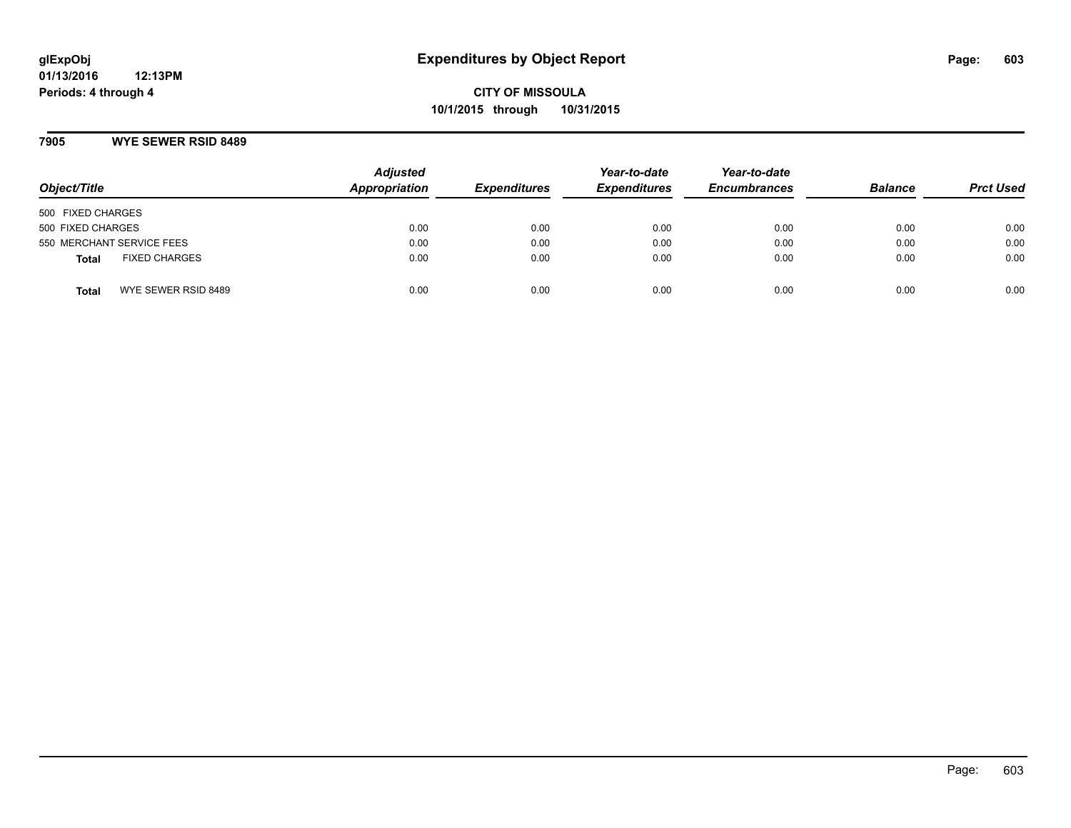### **7905 WYE SEWER RSID 8489**

| Object/Title                         | <b>Adjusted</b><br>Appropriation | <b>Expenditures</b> | Year-to-date<br><b>Expenditures</b> | Year-to-date<br><b>Encumbrances</b> | <b>Balance</b> | <b>Prct Used</b> |
|--------------------------------------|----------------------------------|---------------------|-------------------------------------|-------------------------------------|----------------|------------------|
| 500 FIXED CHARGES                    |                                  |                     |                                     |                                     |                |                  |
| 500 FIXED CHARGES                    | 0.00                             | 0.00                | 0.00                                | 0.00                                | 0.00           | 0.00             |
| 550 MERCHANT SERVICE FEES            | 0.00                             | 0.00                | 0.00                                | 0.00                                | 0.00           | 0.00             |
| <b>FIXED CHARGES</b><br><b>Total</b> | 0.00                             | 0.00                | 0.00                                | 0.00                                | 0.00           | 0.00             |
| WYE SEWER RSID 8489<br>Total         | 0.00                             | 0.00                | 0.00                                | 0.00                                | 0.00           | 0.00             |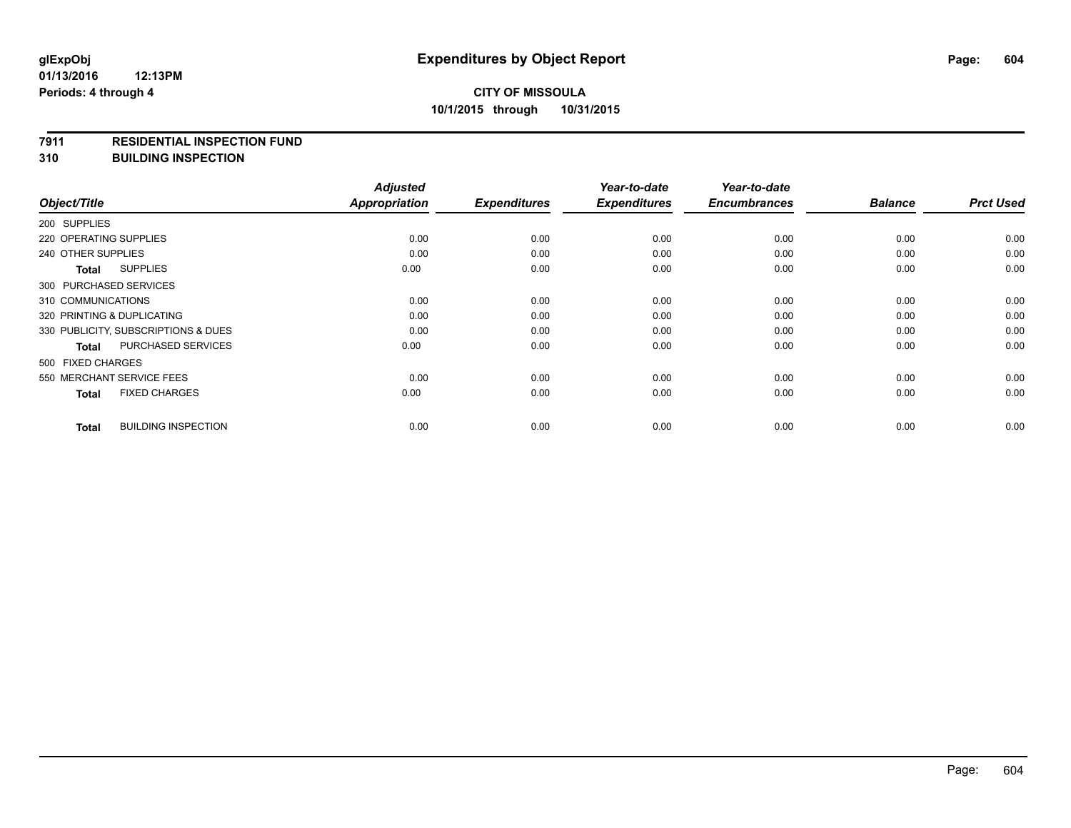#### **7911 RESIDENTIAL INSPECTION FUND**

**310 BUILDING INSPECTION**

|                                     |                            | <b>Adjusted</b>      |                     | Year-to-date        | Year-to-date        |                |                  |
|-------------------------------------|----------------------------|----------------------|---------------------|---------------------|---------------------|----------------|------------------|
| Object/Title                        |                            | <b>Appropriation</b> | <b>Expenditures</b> | <b>Expenditures</b> | <b>Encumbrances</b> | <b>Balance</b> | <b>Prct Used</b> |
| 200 SUPPLIES                        |                            |                      |                     |                     |                     |                |                  |
| 220 OPERATING SUPPLIES              |                            | 0.00                 | 0.00                | 0.00                | 0.00                | 0.00           | 0.00             |
| 240 OTHER SUPPLIES                  |                            | 0.00                 | 0.00                | 0.00                | 0.00                | 0.00           | 0.00             |
| <b>Total</b>                        | <b>SUPPLIES</b>            | 0.00                 | 0.00                | 0.00                | 0.00                | 0.00           | 0.00             |
| 300 PURCHASED SERVICES              |                            |                      |                     |                     |                     |                |                  |
| 310 COMMUNICATIONS                  |                            | 0.00                 | 0.00                | 0.00                | 0.00                | 0.00           | 0.00             |
| 320 PRINTING & DUPLICATING          |                            | 0.00                 | 0.00                | 0.00                | 0.00                | 0.00           | 0.00             |
| 330 PUBLICITY, SUBSCRIPTIONS & DUES |                            | 0.00                 | 0.00                | 0.00                | 0.00                | 0.00           | 0.00             |
| <b>Total</b>                        | PURCHASED SERVICES         | 0.00                 | 0.00                | 0.00                | 0.00                | 0.00           | 0.00             |
| 500 FIXED CHARGES                   |                            |                      |                     |                     |                     |                |                  |
| 550 MERCHANT SERVICE FEES           |                            | 0.00                 | 0.00                | 0.00                | 0.00                | 0.00           | 0.00             |
| <b>Total</b>                        | <b>FIXED CHARGES</b>       | 0.00                 | 0.00                | 0.00                | 0.00                | 0.00           | 0.00             |
| <b>Total</b>                        | <b>BUILDING INSPECTION</b> | 0.00                 | 0.00                | 0.00                | 0.00                | 0.00           | 0.00             |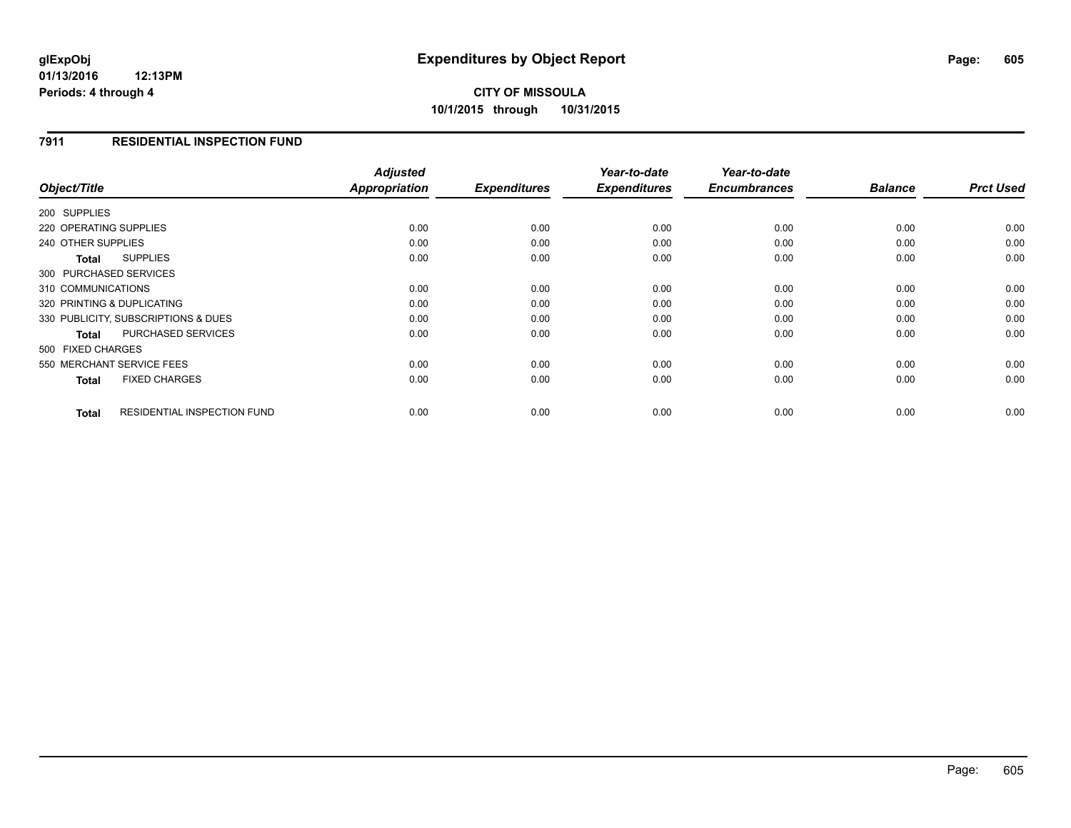# **CITY OF MISSOULA 10/1/2015 through 10/31/2015**

### **7911 RESIDENTIAL INSPECTION FUND**

|                                           |                                    | <b>Adjusted</b>      |                     | Year-to-date        | Year-to-date        |                |                  |
|-------------------------------------------|------------------------------------|----------------------|---------------------|---------------------|---------------------|----------------|------------------|
| Object/Title                              |                                    | <b>Appropriation</b> | <b>Expenditures</b> | <b>Expenditures</b> | <b>Encumbrances</b> | <b>Balance</b> | <b>Prct Used</b> |
| 200 SUPPLIES                              |                                    |                      |                     |                     |                     |                |                  |
| 220 OPERATING SUPPLIES                    |                                    | 0.00                 | 0.00                | 0.00                | 0.00                | 0.00           | 0.00             |
| 240 OTHER SUPPLIES                        |                                    | 0.00                 | 0.00                | 0.00                | 0.00                | 0.00           | 0.00             |
| <b>SUPPLIES</b><br><b>Total</b>           |                                    | 0.00                 | 0.00                | 0.00                | 0.00                | 0.00           | 0.00             |
| 300 PURCHASED SERVICES                    |                                    |                      |                     |                     |                     |                |                  |
| 310 COMMUNICATIONS                        |                                    | 0.00                 | 0.00                | 0.00                | 0.00                | 0.00           | 0.00             |
| 320 PRINTING & DUPLICATING                |                                    | 0.00                 | 0.00                | 0.00                | 0.00                | 0.00           | 0.00             |
| 330 PUBLICITY, SUBSCRIPTIONS & DUES       |                                    | 0.00                 | 0.00                | 0.00                | 0.00                | 0.00           | 0.00             |
| <b>PURCHASED SERVICES</b><br><b>Total</b> |                                    | 0.00                 | 0.00                | 0.00                | 0.00                | 0.00           | 0.00             |
| 500 FIXED CHARGES                         |                                    |                      |                     |                     |                     |                |                  |
| 550 MERCHANT SERVICE FEES                 |                                    | 0.00                 | 0.00                | 0.00                | 0.00                | 0.00           | 0.00             |
| <b>FIXED CHARGES</b><br><b>Total</b>      |                                    | 0.00                 | 0.00                | 0.00                | 0.00                | 0.00           | 0.00             |
| <b>Total</b>                              | <b>RESIDENTIAL INSPECTION FUND</b> | 0.00                 | 0.00                | 0.00                | 0.00                | 0.00           | 0.00             |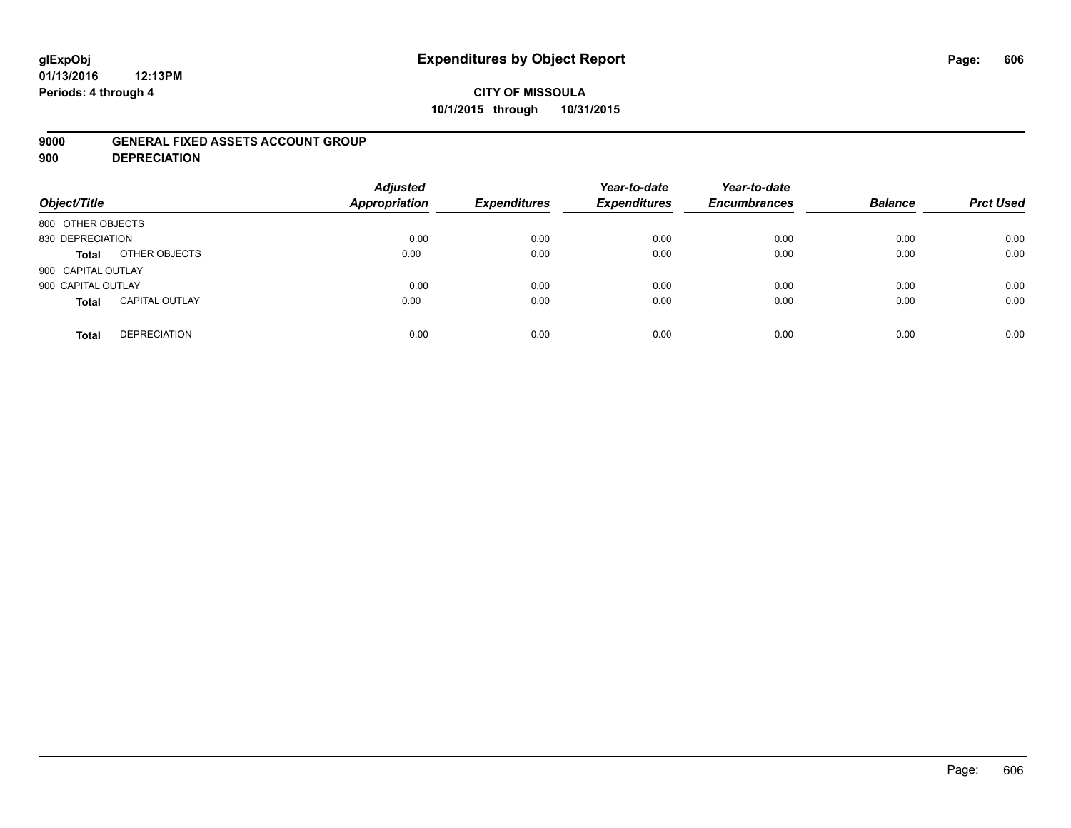# **glExpObj Expenditures by Object Report Page: 606**

#### **01/13/2016 12:13PM Periods: 4 through 4**

### **CITY OF MISSOULA 10/1/2015 through 10/31/2015**

### **9000 GENERAL FIXED ASSETS ACCOUNT GROUP**

**900 DEPRECIATION**

| Object/Title       |                       | <b>Adjusted</b><br>Appropriation | <b>Expenditures</b> | Year-to-date<br><b>Expenditures</b> | Year-to-date<br><b>Encumbrances</b> | <b>Balance</b> | <b>Prct Used</b> |
|--------------------|-----------------------|----------------------------------|---------------------|-------------------------------------|-------------------------------------|----------------|------------------|
| 800 OTHER OBJECTS  |                       |                                  |                     |                                     |                                     |                |                  |
| 830 DEPRECIATION   |                       | 0.00                             | 0.00                | 0.00                                | 0.00                                | 0.00           | 0.00             |
| Total              | OTHER OBJECTS         | 0.00                             | 0.00                | 0.00                                | 0.00                                | 0.00           | 0.00             |
| 900 CAPITAL OUTLAY |                       |                                  |                     |                                     |                                     |                |                  |
| 900 CAPITAL OUTLAY |                       | 0.00                             | 0.00                | 0.00                                | 0.00                                | 0.00           | 0.00             |
| <b>Total</b>       | <b>CAPITAL OUTLAY</b> | 0.00                             | 0.00                | 0.00                                | 0.00                                | 0.00           | 0.00             |
| <b>Total</b>       | <b>DEPRECIATION</b>   | 0.00                             | 0.00                | 0.00                                | 0.00                                | 0.00           | 0.00             |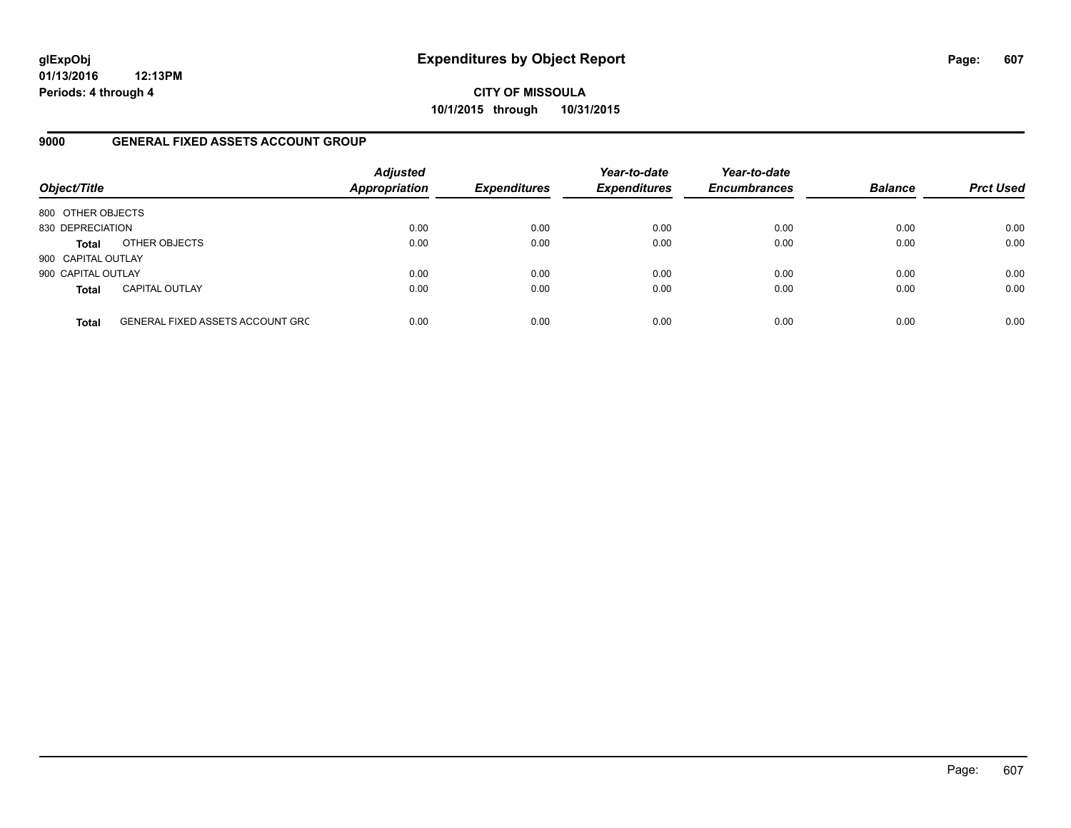**CITY OF MISSOULA 10/1/2015 through 10/31/2015**

### **9000 GENERAL FIXED ASSETS ACCOUNT GROUP**

| Object/Title       |                                         | <b>Adjusted</b><br><b>Appropriation</b> | <b>Expenditures</b> | Year-to-date<br><b>Expenditures</b> | Year-to-date<br><b>Encumbrances</b> | <b>Balance</b> | <b>Prct Used</b> |
|--------------------|-----------------------------------------|-----------------------------------------|---------------------|-------------------------------------|-------------------------------------|----------------|------------------|
| 800 OTHER OBJECTS  |                                         |                                         |                     |                                     |                                     |                |                  |
| 830 DEPRECIATION   |                                         | 0.00                                    | 0.00                | 0.00                                | 0.00                                | 0.00           | 0.00             |
| <b>Total</b>       | OTHER OBJECTS                           | 0.00                                    | 0.00                | 0.00                                | 0.00                                | 0.00           | 0.00             |
| 900 CAPITAL OUTLAY |                                         |                                         |                     |                                     |                                     |                |                  |
| 900 CAPITAL OUTLAY |                                         | 0.00                                    | 0.00                | 0.00                                | 0.00                                | 0.00           | 0.00             |
| <b>Total</b>       | <b>CAPITAL OUTLAY</b>                   | 0.00                                    | 0.00                | 0.00                                | 0.00                                | 0.00           | 0.00             |
| <b>Total</b>       | <b>GENERAL FIXED ASSETS ACCOUNT GRC</b> | 0.00                                    | 0.00                | 0.00                                | 0.00                                | 0.00           | 0.00             |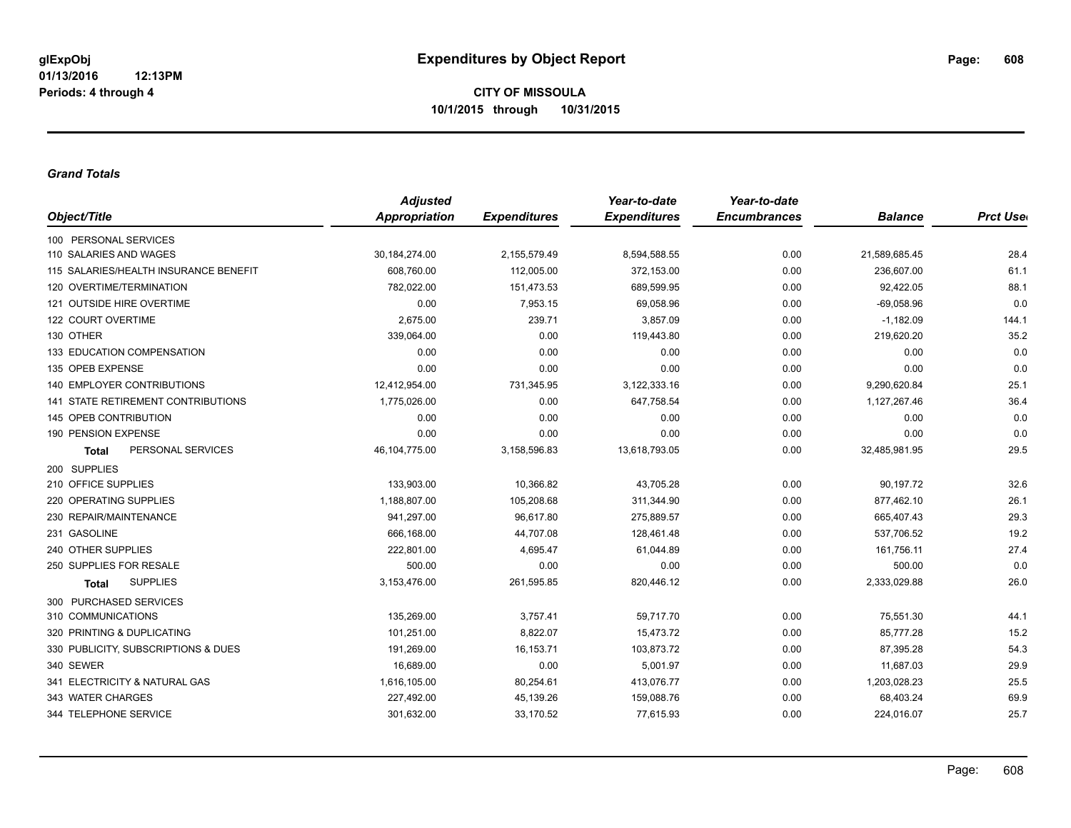#### *Grand Totals*

|                                           | <b>Adjusted</b> |                     | Year-to-date        | Year-to-date        |                |                  |
|-------------------------------------------|-----------------|---------------------|---------------------|---------------------|----------------|------------------|
| Object/Title                              | Appropriation   | <b>Expenditures</b> | <b>Expenditures</b> | <b>Encumbrances</b> | <b>Balance</b> | <b>Prct User</b> |
| 100 PERSONAL SERVICES                     |                 |                     |                     |                     |                |                  |
| 110 SALARIES AND WAGES                    | 30, 184, 274.00 | 2,155,579.49        | 8,594,588.55        | 0.00                | 21,589,685.45  | 28.4             |
| 115 SALARIES/HEALTH INSURANCE BENEFIT     | 608,760.00      | 112,005.00          | 372,153.00          | 0.00                | 236,607.00     | 61.1             |
| 120 OVERTIME/TERMINATION                  | 782,022.00      | 151,473.53          | 689,599.95          | 0.00                | 92,422.05      | 88.1             |
| 121 OUTSIDE HIRE OVERTIME                 | 0.00            | 7,953.15            | 69,058.96           | 0.00                | $-69,058.96$   | 0.0              |
| 122 COURT OVERTIME                        | 2,675.00        | 239.71              | 3,857.09            | 0.00                | $-1,182.09$    | 144.1            |
| 130 OTHER                                 | 339,064.00      | 0.00                | 119,443.80          | 0.00                | 219,620.20     | 35.2             |
| 133 EDUCATION COMPENSATION                | 0.00            | 0.00                | 0.00                | 0.00                | 0.00           | 0.0              |
| 135 OPEB EXPENSE                          | 0.00            | 0.00                | 0.00                | 0.00                | 0.00           | 0.0              |
| <b>140 EMPLOYER CONTRIBUTIONS</b>         | 12,412,954.00   | 731,345.95          | 3,122,333.16        | 0.00                | 9,290,620.84   | 25.1             |
| <b>141 STATE RETIREMENT CONTRIBUTIONS</b> | 1,775,026.00    | 0.00                | 647,758.54          | 0.00                | 1,127,267.46   | 36.4             |
| 145 OPEB CONTRIBUTION                     | 0.00            | 0.00                | 0.00                | 0.00                | 0.00           | 0.0              |
| 190 PENSION EXPENSE                       | 0.00            | 0.00                | 0.00                | 0.00                | 0.00           | 0.0              |
| PERSONAL SERVICES<br><b>Total</b>         | 46,104,775.00   | 3,158,596.83        | 13,618,793.05       | 0.00                | 32,485,981.95  | 29.5             |
| 200 SUPPLIES                              |                 |                     |                     |                     |                |                  |
| 210 OFFICE SUPPLIES                       | 133,903.00      | 10,366.82           | 43,705.28           | 0.00                | 90,197.72      | 32.6             |
| 220 OPERATING SUPPLIES                    | 1,188,807.00    | 105,208.68          | 311,344.90          | 0.00                | 877,462.10     | 26.1             |
| 230 REPAIR/MAINTENANCE                    | 941,297.00      | 96,617.80           | 275,889.57          | 0.00                | 665,407.43     | 29.3             |
| 231 GASOLINE                              | 666,168.00      | 44,707.08           | 128,461.48          | 0.00                | 537,706.52     | 19.2             |
| 240 OTHER SUPPLIES                        | 222,801.00      | 4,695.47            | 61,044.89           | 0.00                | 161,756.11     | 27.4             |
| 250 SUPPLIES FOR RESALE                   | 500.00          | 0.00                | 0.00                | 0.00                | 500.00         | 0.0              |
| <b>SUPPLIES</b><br>Total                  | 3,153,476.00    | 261,595.85          | 820,446.12          | 0.00                | 2,333,029.88   | 26.0             |
| 300 PURCHASED SERVICES                    |                 |                     |                     |                     |                |                  |
| 310 COMMUNICATIONS                        | 135,269.00      | 3,757.41            | 59,717.70           | 0.00                | 75,551.30      | 44.1             |
| 320 PRINTING & DUPLICATING                | 101,251.00      | 8,822.07            | 15,473.72           | 0.00                | 85,777.28      | 15.2             |
| 330 PUBLICITY, SUBSCRIPTIONS & DUES       | 191,269.00      | 16, 153. 71         | 103,873.72          | 0.00                | 87,395.28      | 54.3             |
| 340 SEWER                                 | 16,689.00       | 0.00                | 5,001.97            | 0.00                | 11,687.03      | 29.9             |
| 341 ELECTRICITY & NATURAL GAS             | 1,616,105.00    | 80,254.61           | 413,076.77          | 0.00                | 1,203,028.23   | 25.5             |
| 343 WATER CHARGES                         | 227,492.00      | 45,139.26           | 159,088.76          | 0.00                | 68,403.24      | 69.9             |
| 344 TELEPHONE SERVICE                     | 301,632.00      | 33,170.52           | 77,615.93           | 0.00                | 224,016.07     | 25.7             |
|                                           |                 |                     |                     |                     |                |                  |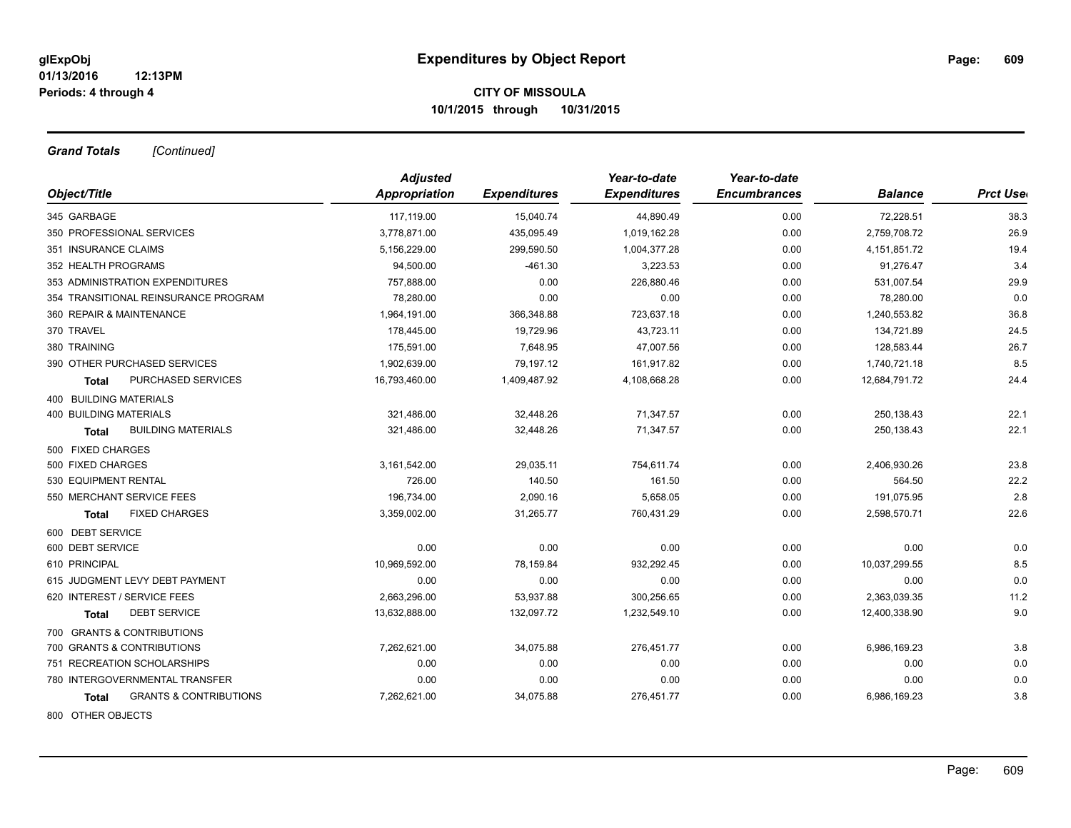*Grand Totals [Continued]*

|                                            | <b>Adjusted</b> |                     | Year-to-date        | Year-to-date        |                 |                  |
|--------------------------------------------|-----------------|---------------------|---------------------|---------------------|-----------------|------------------|
| Object/Title                               | Appropriation   | <b>Expenditures</b> | <b>Expenditures</b> | <b>Encumbrances</b> | <b>Balance</b>  | <b>Prct Uset</b> |
| 345 GARBAGE                                | 117,119.00      | 15,040.74           | 44,890.49           | 0.00                | 72,228.51       | 38.3             |
| 350 PROFESSIONAL SERVICES                  | 3,778,871.00    | 435,095.49          | 1,019,162.28        | 0.00                | 2,759,708.72    | 26.9             |
| 351 INSURANCE CLAIMS                       | 5,156,229.00    | 299,590.50          | 1,004,377.28        | 0.00                | 4, 151, 851. 72 | 19.4             |
| 352 HEALTH PROGRAMS                        | 94,500.00       | $-461.30$           | 3,223.53            | 0.00                | 91,276.47       | 3.4              |
| 353 ADMINISTRATION EXPENDITURES            | 757,888.00      | 0.00                | 226,880.46          | 0.00                | 531,007.54      | 29.9             |
| 354 TRANSITIONAL REINSURANCE PROGRAM       | 78,280.00       | 0.00                | 0.00                | 0.00                | 78,280.00       | 0.0              |
| 360 REPAIR & MAINTENANCE                   | 1,964,191.00    | 366,348.88          | 723,637.18          | 0.00                | 1,240,553.82    | 36.8             |
| 370 TRAVEL                                 | 178,445.00      | 19,729.96           | 43,723.11           | 0.00                | 134,721.89      | 24.5             |
| 380 TRAINING                               | 175,591.00      | 7,648.95            | 47,007.56           | 0.00                | 128,583.44      | 26.7             |
| 390 OTHER PURCHASED SERVICES               | 1,902,639.00    | 79,197.12           | 161,917.82          | 0.00                | 1,740,721.18    | 8.5              |
| PURCHASED SERVICES<br>Total                | 16,793,460.00   | 1,409,487.92        | 4,108,668.28        | 0.00                | 12,684,791.72   | 24.4             |
| 400 BUILDING MATERIALS                     |                 |                     |                     |                     |                 |                  |
| <b>400 BUILDING MATERIALS</b>              | 321,486.00      | 32,448.26           | 71,347.57           | 0.00                | 250,138.43      | 22.1             |
| <b>BUILDING MATERIALS</b><br><b>Total</b>  | 321,486.00      | 32,448.26           | 71,347.57           | 0.00                | 250,138.43      | 22.1             |
| 500 FIXED CHARGES                          |                 |                     |                     |                     |                 |                  |
| 500 FIXED CHARGES                          | 3,161,542.00    | 29,035.11           | 754,611.74          | 0.00                | 2,406,930.26    | 23.8             |
| 530 EQUIPMENT RENTAL                       | 726.00          | 140.50              | 161.50              | 0.00                | 564.50          | 22.2             |
| 550 MERCHANT SERVICE FEES                  | 196,734.00      | 2,090.16            | 5,658.05            | 0.00                | 191,075.95      | 2.8              |
| <b>FIXED CHARGES</b><br><b>Total</b>       | 3,359,002.00    | 31,265.77           | 760,431.29          | 0.00                | 2,598,570.71    | 22.6             |
| 600 DEBT SERVICE                           |                 |                     |                     |                     |                 |                  |
| 600 DEBT SERVICE                           | 0.00            | 0.00                | 0.00                | 0.00                | 0.00            | 0.0              |
| 610 PRINCIPAL                              | 10,969,592.00   | 78,159.84           | 932,292.45          | 0.00                | 10,037,299.55   | 8.5              |
| 615 JUDGMENT LEVY DEBT PAYMENT             | 0.00            | 0.00                | 0.00                | 0.00                | 0.00            | 0.0              |
| 620 INTEREST / SERVICE FEES                | 2,663,296.00    | 53,937.88           | 300,256.65          | 0.00                | 2,363,039.35    | 11.2             |
| <b>DEBT SERVICE</b><br>Total               | 13,632,888.00   | 132,097.72          | 1,232,549.10        | 0.00                | 12,400,338.90   | 9.0              |
| 700 GRANTS & CONTRIBUTIONS                 |                 |                     |                     |                     |                 |                  |
| 700 GRANTS & CONTRIBUTIONS                 | 7,262,621.00    | 34,075.88           | 276,451.77          | 0.00                | 6,986,169.23    | 3.8              |
| 751 RECREATION SCHOLARSHIPS                | 0.00            | 0.00                | 0.00                | 0.00                | 0.00            | 0.0              |
| 780 INTERGOVERNMENTAL TRANSFER             | 0.00            | 0.00                | 0.00                | 0.00                | 0.00            | 0.0              |
| <b>GRANTS &amp; CONTRIBUTIONS</b><br>Total | 7,262,621.00    | 34,075.88           | 276,451.77          | 0.00                | 6,986,169.23    | 3.8              |
| 800 OTHER OBJECTS                          |                 |                     |                     |                     |                 |                  |